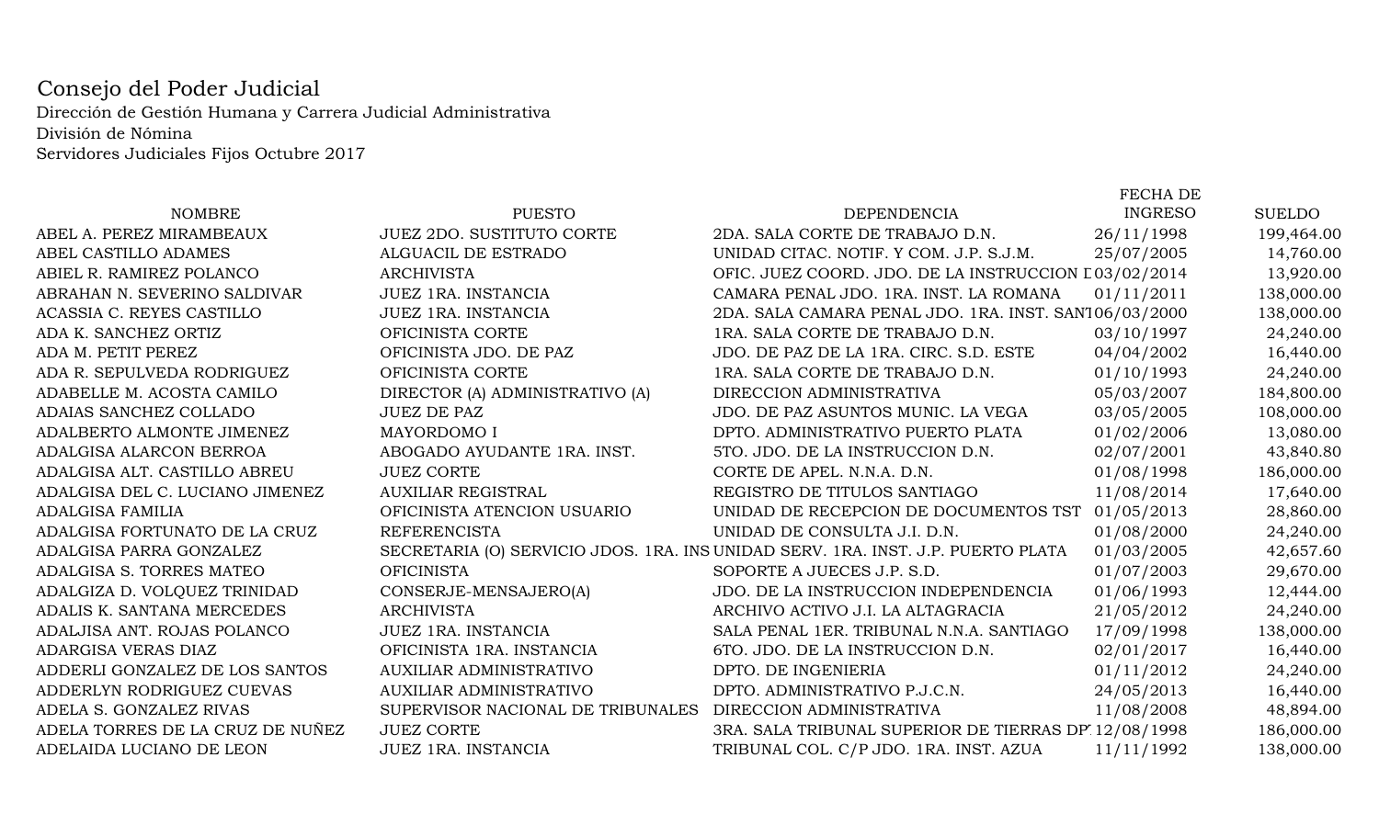## Consejo del Poder Judicial Dirección de Gestión Humana y Carrera Judicial Administrativa División de Nómina Servidores Judiciales Fijos Octubre 2017

|                                  |                                   |                                                                                  | <b>FECHA DE</b> |               |
|----------------------------------|-----------------------------------|----------------------------------------------------------------------------------|-----------------|---------------|
| <b>NOMBRE</b>                    | <b>PUESTO</b>                     | <b>DEPENDENCIA</b>                                                               | <b>INGRESO</b>  | <b>SUELDO</b> |
| ABEL A. PEREZ MIRAMBEAUX         | <b>JUEZ 2DO. SUSTITUTO CORTE</b>  | 2DA. SALA CORTE DE TRABAJO D.N.                                                  | 26/11/1998      | 199,464.00    |
| ABEL CASTILLO ADAMES             | ALGUACIL DE ESTRADO               | UNIDAD CITAC. NOTIF. Y COM. J.P. S.J.M.                                          | 25/07/2005      | 14,760.00     |
| ABIEL R. RAMIREZ POLANCO         | <b>ARCHIVISTA</b>                 | OFIC. JUEZ COORD. JDO. DE LA INSTRUCCION L03/02/2014                             |                 | 13,920.00     |
| ABRAHAN N. SEVERINO SALDIVAR     | JUEZ 1RA. INSTANCIA               | CAMARA PENAL JDO. 1RA. INST. LA ROMANA                                           | 01/11/2011      | 138,000.00    |
| ACASSIA C. REYES CASTILLO        | <b>JUEZ 1RA. INSTANCIA</b>        | 2DA. SALA CAMARA PENAL JDO. 1RA. INST. SAN106/03/2000                            |                 | 138,000.00    |
| ADA K. SANCHEZ ORTIZ             | OFICINISTA CORTE                  | 1RA. SALA CORTE DE TRABAJO D.N.                                                  | 03/10/1997      | 24,240.00     |
| ADA M. PETIT PEREZ               | OFICINISTA JDO. DE PAZ            | JDO. DE PAZ DE LA 1RA. CIRC. S.D. ESTE                                           | 04/04/2002      | 16,440.00     |
| ADA R. SEPULVEDA RODRIGUEZ       | OFICINISTA CORTE                  | 1RA. SALA CORTE DE TRABAJO D.N.                                                  | 01/10/1993      | 24,240.00     |
| ADABELLE M. ACOSTA CAMILO        | DIRECTOR (A) ADMINISTRATIVO (A)   | DIRECCION ADMINISTRATIVA                                                         | 05/03/2007      | 184,800.00    |
| ADAIAS SANCHEZ COLLADO           | <b>JUEZ DE PAZ</b>                | JDO. DE PAZ ASUNTOS MUNIC. LA VEGA                                               | 03/05/2005      | 108,000.00    |
| ADALBERTO ALMONTE JIMENEZ        | MAYORDOMO I                       | DPTO. ADMINISTRATIVO PUERTO PLATA                                                | 01/02/2006      | 13,080.00     |
| ADALGISA ALARCON BERROA          | ABOGADO AYUDANTE 1RA. INST.       | 5TO. JDO. DE LA INSTRUCCION D.N.                                                 | 02/07/2001      | 43,840.80     |
| ADALGISA ALT. CASTILLO ABREU     | <b>JUEZ CORTE</b>                 | CORTE DE APEL. N.N.A. D.N.                                                       | 01/08/1998      | 186,000.00    |
| ADALGISA DEL C. LUCIANO JIMENEZ  | <b>AUXILIAR REGISTRAL</b>         | REGISTRO DE TITULOS SANTIAGO                                                     | 11/08/2014      | 17,640.00     |
| <b>ADALGISA FAMILIA</b>          | OFICINISTA ATENCION USUARIO       | UNIDAD DE RECEPCION DE DOCUMENTOS TST                                            | 01/05/2013      | 28,860.00     |
| ADALGISA FORTUNATO DE LA CRUZ    | <b>REFERENCISTA</b>               | UNIDAD DE CONSULTA J.I. D.N.                                                     | 01/08/2000      | 24,240.00     |
| ADALGISA PARRA GONZALEZ          |                                   | SECRETARIA (O) SERVICIO JDOS. 1RA. INS UNIDAD SERV. 1RA. INST. J.P. PUERTO PLATA | 01/03/2005      | 42,657.60     |
| ADALGISA S. TORRES MATEO         | <b>OFICINISTA</b>                 | SOPORTE A JUECES J.P. S.D.                                                       | 01/07/2003      | 29,670.00     |
| ADALGIZA D. VOLQUEZ TRINIDAD     | CONSERJE-MENSAJERO(A)             | JDO. DE LA INSTRUCCION INDEPENDENCIA                                             | 01/06/1993      | 12,444.00     |
| ADALIS K. SANTANA MERCEDES       | <b>ARCHIVISTA</b>                 | ARCHIVO ACTIVO J.I. LA ALTAGRACIA                                                | 21/05/2012      | 24,240.00     |
| ADALJISA ANT. ROJAS POLANCO      | JUEZ 1RA. INSTANCIA               | SALA PENAL 1ER. TRIBUNAL N.N.A. SANTIAGO                                         | 17/09/1998      | 138,000.00    |
| ADARGISA VERAS DIAZ              | OFICINISTA 1RA. INSTANCIA         | 6TO. JDO. DE LA INSTRUCCION D.N.                                                 | 02/01/2017      | 16,440.00     |
| ADDERLI GONZALEZ DE LOS SANTOS   | AUXILIAR ADMINISTRATIVO           | DPTO. DE INGENIERIA                                                              | 01/11/2012      | 24,240.00     |
| ADDERLYN RODRIGUEZ CUEVAS        | AUXILIAR ADMINISTRATIVO           | DPTO. ADMINISTRATIVO P.J.C.N.                                                    | 24/05/2013      | 16,440.00     |
| ADELA S. GONZALEZ RIVAS          | SUPERVISOR NACIONAL DE TRIBUNALES | DIRECCION ADMINISTRATIVA                                                         | 11/08/2008      | 48,894.00     |
| ADELA TORRES DE LA CRUZ DE NUÑEZ | <b>JUEZ CORTE</b>                 | 3RA. SALA TRIBUNAL SUPERIOR DE TIERRAS DP 12/08/1998                             |                 | 186,000.00    |
| ADELAIDA LUCIANO DE LEON         | <b>JUEZ 1RA. INSTANCIA</b>        | TRIBUNAL COL. C/P JDO. 1RA. INST. AZUA                                           | 11/11/1992      | 138,000.00    |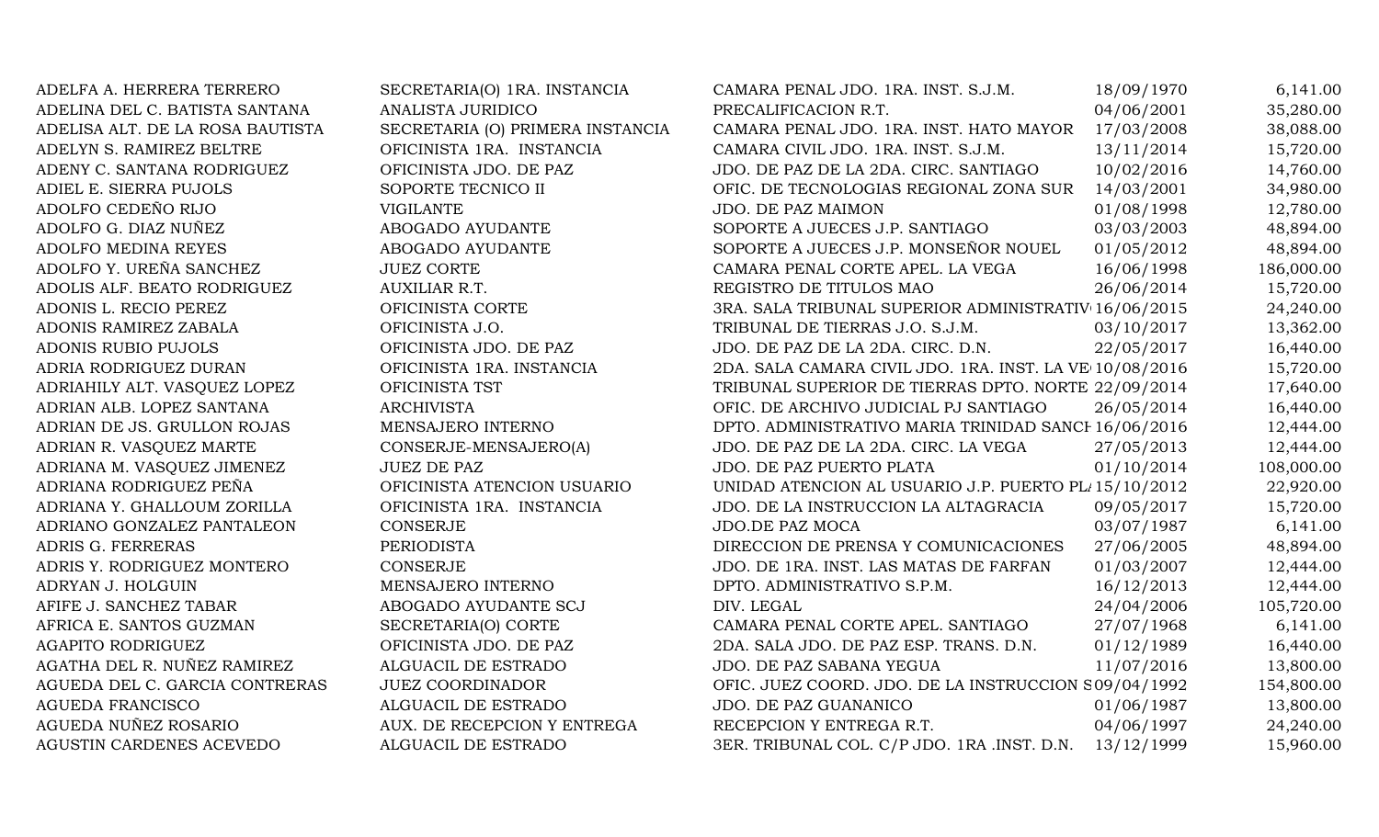| ADELFA A. HERRERA TERRERO        | SECRETARIA(O) 1RA. INSTANCIA     | CAMARA PENAL JDO. 1RA. INST. S.J.M.                     | 18/09/1970 | 6,141.00   |
|----------------------------------|----------------------------------|---------------------------------------------------------|------------|------------|
| ADELINA DEL C. BATISTA SANTANA   | ANALISTA JURIDICO                | PRECALIFICACION R.T.                                    | 04/06/2001 | 35,280.00  |
| ADELISA ALT. DE LA ROSA BAUTISTA | SECRETARIA (O) PRIMERA INSTANCIA | CAMARA PENAL JDO. 1RA. INST. HATO MAYOR                 | 17/03/2008 | 38,088.00  |
| ADELYN S. RAMIREZ BELTRE         | OFICINISTA 1RA. INSTANCIA        | CAMARA CIVIL JDO. 1RA. INST. S.J.M.                     | 13/11/2014 | 15,720.00  |
| ADENY C. SANTANA RODRIGUEZ       | OFICINISTA JDO. DE PAZ           | JDO. DE PAZ DE LA 2DA. CIRC. SANTIAGO                   | 10/02/2016 | 14,760.00  |
| ADIEL E. SIERRA PUJOLS           | SOPORTE TECNICO II               | OFIC. DE TECNOLOGIAS REGIONAL ZONA SUR                  | 14/03/2001 | 34,980.00  |
| ADOLFO CEDEÑO RIJO               | <b>VIGILANTE</b>                 | JDO. DE PAZ MAIMON                                      | 01/08/1998 | 12,780.00  |
| ADOLFO G. DIAZ NUÑEZ             | ABOGADO AYUDANTE                 | SOPORTE A JUECES J.P. SANTIAGO                          | 03/03/2003 | 48,894.00  |
| ADOLFO MEDINA REYES              | ABOGADO AYUDANTE                 | SOPORTE A JUECES J.P. MONSEÑOR NOUEL                    | 01/05/2012 | 48,894.00  |
| ADOLFO Y. UREÑA SANCHEZ          | <b>JUEZ CORTE</b>                | CAMARA PENAL CORTE APEL. LA VEGA                        | 16/06/1998 | 186,000.00 |
| ADOLIS ALF. BEATO RODRIGUEZ      | AUXILIAR R.T.                    | REGISTRO DE TITULOS MAO                                 | 26/06/2014 | 15,720.00  |
| ADONIS L. RECIO PEREZ            | OFICINISTA CORTE                 | 3RA. SALA TRIBUNAL SUPERIOR ADMINISTRATIV 16/06/2015    |            | 24,240.00  |
| ADONIS RAMIREZ ZABALA            | OFICINISTA J.O.                  | TRIBUNAL DE TIERRAS J.O. S.J.M.                         | 03/10/2017 | 13,362.00  |
| ADONIS RUBIO PUJOLS              | OFICINISTA JDO. DE PAZ           | JDO. DE PAZ DE LA 2DA. CIRC. D.N.                       | 22/05/2017 | 16,440.00  |
| ADRIA RODRIGUEZ DURAN            | OFICINISTA 1RA. INSTANCIA        | 2DA. SALA CAMARA CIVIL JDO. 1RA. INST. LA VE 10/08/2016 |            | 15,720.00  |
| ADRIAHILY ALT. VASQUEZ LOPEZ     | OFICINISTA TST                   | TRIBUNAL SUPERIOR DE TIERRAS DPTO. NORTE 22/09/2014     |            | 17,640.00  |
| ADRIAN ALB. LOPEZ SANTANA        | <b>ARCHIVISTA</b>                | OFIC. DE ARCHIVO JUDICIAL PJ SANTIAGO                   | 26/05/2014 | 16,440.00  |
| ADRIAN DE JS. GRULLON ROJAS      | MENSAJERO INTERNO                | DPTO. ADMINISTRATIVO MARIA TRINIDAD SANCI 16/06/2016    |            | 12,444.00  |
| ADRIAN R. VASQUEZ MARTE          | CONSERJE-MENSAJERO(A)            | JDO. DE PAZ DE LA 2DA. CIRC. LA VEGA                    | 27/05/2013 | 12,444.00  |
| ADRIANA M. VASQUEZ JIMENEZ       | <b>JUEZ DE PAZ</b>               | JDO. DE PAZ PUERTO PLATA                                | 01/10/2014 | 108,000.00 |
| ADRIANA RODRIGUEZ PEÑA           | OFICINISTA ATENCION USUARIO      | UNIDAD ATENCION AL USUARIO J.P. PUERTO PL 15/10/2012    |            | 22,920.00  |
| ADRIANA Y. GHALLOUM ZORILLA      | OFICINISTA 1RA. INSTANCIA        | JDO. DE LA INSTRUCCION LA ALTAGRACIA                    | 09/05/2017 | 15,720.00  |
| ADRIANO GONZALEZ PANTALEON       | CONSERJE                         | JDO.DE PAZ MOCA                                         | 03/07/1987 | 6,141.00   |
| ADRIS G. FERRERAS                | PERIODISTA                       | DIRECCION DE PRENSA Y COMUNICACIONES                    | 27/06/2005 | 48,894.00  |
| ADRIS Y. RODRIGUEZ MONTERO       | <b>CONSERJE</b>                  | JDO. DE 1RA. INST. LAS MATAS DE FARFAN                  | 01/03/2007 | 12,444.00  |
| ADRYAN J. HOLGUIN                | MENSAJERO INTERNO                | DPTO. ADMINISTRATIVO S.P.M.                             | 16/12/2013 | 12,444.00  |
| AFIFE J. SANCHEZ TABAR           | ABOGADO AYUDANTE SCJ             | DIV. LEGAL                                              | 24/04/2006 | 105,720.00 |
| AFRICA E. SANTOS GUZMAN          | SECRETARIA(O) CORTE              | CAMARA PENAL CORTE APEL. SANTIAGO                       | 27/07/1968 | 6,141.00   |
| <b>AGAPITO RODRIGUEZ</b>         | OFICINISTA JDO. DE PAZ           | 2DA. SALA JDO. DE PAZ ESP. TRANS. D.N.                  | 01/12/1989 | 16,440.00  |
| AGATHA DEL R. NUÑEZ RAMIREZ      | ALGUACIL DE ESTRADO              | JDO. DE PAZ SABANA YEGUA                                | 11/07/2016 | 13,800.00  |
| AGUEDA DEL C. GARCIA CONTRERAS   | <b>JUEZ COORDINADOR</b>          | OFIC. JUEZ COORD. JDO. DE LA INSTRUCCION S09/04/1992    |            | 154,800.00 |
| <b>AGUEDA FRANCISCO</b>          | ALGUACIL DE ESTRADO              | JDO. DE PAZ GUANANICO                                   | 01/06/1987 | 13,800.00  |
| AGUEDA NUÑEZ ROSARIO             | AUX. DE RECEPCION Y ENTREGA      | RECEPCION Y ENTREGA R.T.                                | 04/06/1997 | 24,240.00  |
| AGUSTIN CARDENES ACEVEDO         | ALGUACIL DE ESTRADO              | 3ER. TRIBUNAL COL. C/P JDO. 1RA .INST. D.N.             | 13/12/1999 | 15,960.00  |
|                                  |                                  |                                                         |            |            |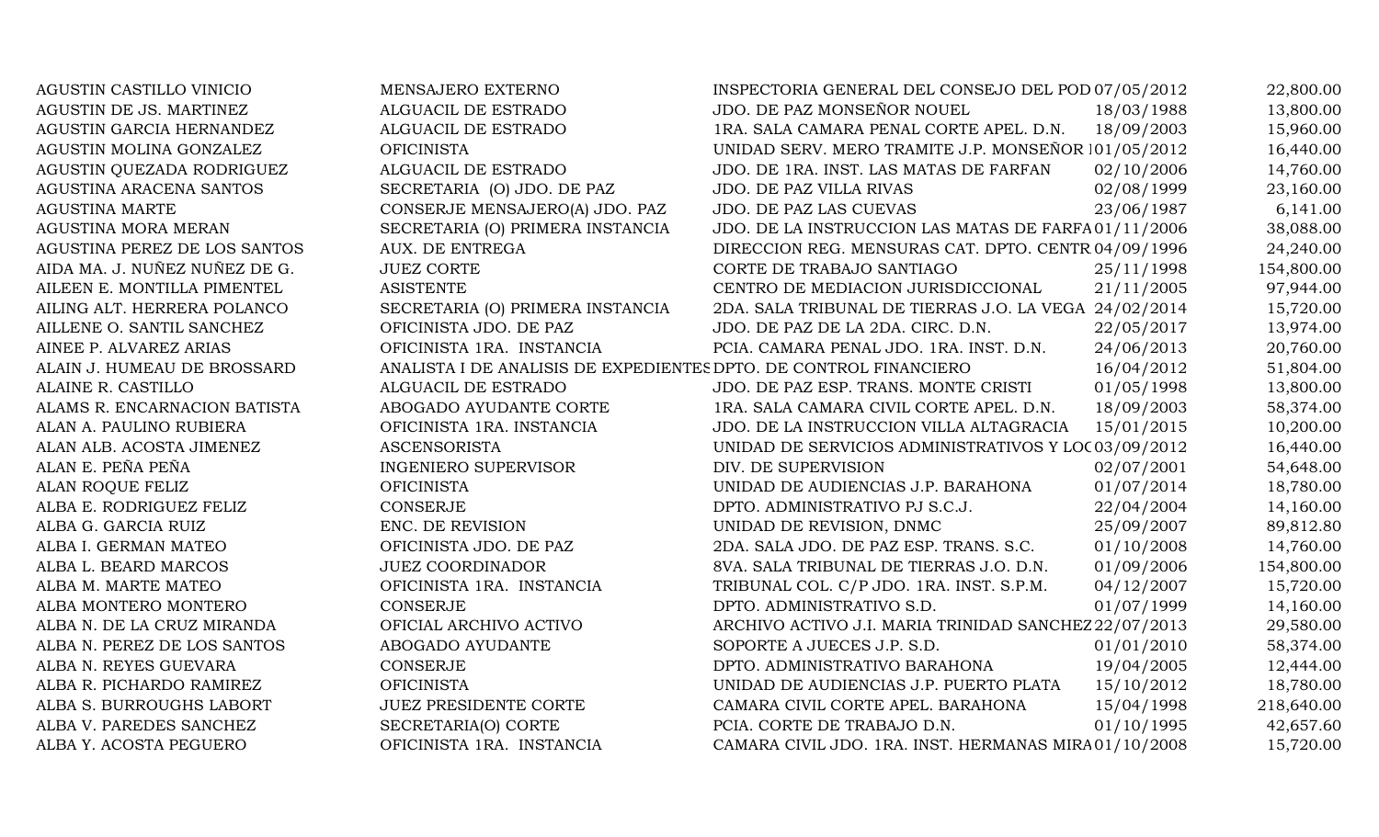| AGUSTIN CASTILLO VINICIO      | MENSAJERO EXTERNO                                                 | INSPECTORIA GENERAL DEL CONSEJO DEL POD 07/05/2012    |            | 22,800.00  |
|-------------------------------|-------------------------------------------------------------------|-------------------------------------------------------|------------|------------|
| AGUSTIN DE JS. MARTINEZ       | ALGUACIL DE ESTRADO                                               | JDO. DE PAZ MONSEÑOR NOUEL                            | 18/03/1988 | 13,800.00  |
| AGUSTIN GARCIA HERNANDEZ      | ALGUACIL DE ESTRADO                                               | 1RA. SALA CAMARA PENAL CORTE APEL. D.N.               | 18/09/2003 | 15,960.00  |
| AGUSTIN MOLINA GONZALEZ       | <b>OFICINISTA</b>                                                 | UNIDAD SERV. MERO TRAMITE J.P. MONSEÑOR 101/05/2012   |            | 16,440.00  |
| AGUSTIN QUEZADA RODRIGUEZ     | ALGUACIL DE ESTRADO                                               | JDO. DE 1RA. INST. LAS MATAS DE FARFAN                | 02/10/2006 | 14,760.00  |
| AGUSTINA ARACENA SANTOS       | SECRETARIA (O) JDO. DE PAZ                                        | <b>JDO. DE PAZ VILLA RIVAS</b>                        | 02/08/1999 | 23,160.00  |
| <b>AGUSTINA MARTE</b>         | CONSERJE MENSAJERO(A) JDO. PAZ                                    | JDO. DE PAZ LAS CUEVAS                                | 23/06/1987 | 6,141.00   |
| AGUSTINA MORA MERAN           | SECRETARIA (O) PRIMERA INSTANCIA                                  | JDO. DE LA INSTRUCCION LAS MATAS DE FARFA01/11/2006   |            | 38,088.00  |
| AGUSTINA PEREZ DE LOS SANTOS  | AUX. DE ENTREGA                                                   | DIRECCION REG. MENSURAS CAT. DPTO. CENTR 04/09/1996   |            | 24,240.00  |
| AIDA MA. J. NUÑEZ NUÑEZ DE G. | <b>JUEZ CORTE</b>                                                 | CORTE DE TRABAJO SANTIAGO                             | 25/11/1998 | 154,800.00 |
| AILEEN E. MONTILLA PIMENTEL   | <b>ASISTENTE</b>                                                  | CENTRO DE MEDIACION JURISDICCIONAL                    | 21/11/2005 | 97,944.00  |
| AILING ALT. HERRERA POLANCO   | SECRETARIA (O) PRIMERA INSTANCIA                                  | 2DA. SALA TRIBUNAL DE TIERRAS J.O. LA VEGA 24/02/2014 |            | 15,720.00  |
| AILLENE O. SANTIL SANCHEZ     | OFICINISTA JDO. DE PAZ                                            | JDO. DE PAZ DE LA 2DA. CIRC. D.N.                     | 22/05/2017 | 13,974.00  |
| AINEE P. ALVAREZ ARIAS        | OFICINISTA 1RA. INSTANCIA                                         | PCIA. CAMARA PENAL JDO. 1RA. INST. D.N.               | 24/06/2013 | 20,760.00  |
| ALAIN J. HUMEAU DE BROSSARD   | ANALISTA I DE ANALISIS DE EXPEDIENTES DPTO. DE CONTROL FINANCIERO |                                                       | 16/04/2012 | 51,804.00  |
| ALAINE R. CASTILLO            | ALGUACIL DE ESTRADO                                               | JDO. DE PAZ ESP. TRANS. MONTE CRISTI                  | 01/05/1998 | 13,800.00  |
| ALAMS R. ENCARNACION BATISTA  | ABOGADO AYUDANTE CORTE                                            | 1RA. SALA CAMARA CIVIL CORTE APEL. D.N.               | 18/09/2003 | 58,374.00  |
| ALAN A. PAULINO RUBIERA       | OFICINISTA 1RA. INSTANCIA                                         | JDO. DE LA INSTRUCCION VILLA ALTAGRACIA               | 15/01/2015 | 10,200.00  |
| ALAN ALB. ACOSTA JIMENEZ      | <b>ASCENSORISTA</b>                                               | UNIDAD DE SERVICIOS ADMINISTRATIVOS Y LOC 03/09/2012  |            | 16,440.00  |
| ALAN E. PEÑA PEÑA             | <b>INGENIERO SUPERVISOR</b>                                       | DIV. DE SUPERVISION                                   | 02/07/2001 | 54,648.00  |
| ALAN ROQUE FELIZ              | <b>OFICINISTA</b>                                                 | UNIDAD DE AUDIENCIAS J.P. BARAHONA                    | 01/07/2014 | 18,780.00  |
| ALBA E. RODRIGUEZ FELIZ       | <b>CONSERJE</b>                                                   | DPTO. ADMINISTRATIVO PJ S.C.J.                        | 22/04/2004 | 14,160.00  |
| ALBA G. GARCIA RUIZ           | ENC. DE REVISION                                                  | UNIDAD DE REVISION, DNMC                              | 25/09/2007 | 89,812.80  |
| ALBA I. GERMAN MATEO          | OFICINISTA JDO. DE PAZ                                            | 2DA. SALA JDO. DE PAZ ESP. TRANS. S.C.                | 01/10/2008 | 14,760.00  |
| ALBA L. BEARD MARCOS          | <b>JUEZ COORDINADOR</b>                                           | 8VA. SALA TRIBUNAL DE TIERRAS J.O. D.N.               | 01/09/2006 | 154,800.00 |
| ALBA M. MARTE MATEO           | OFICINISTA 1RA. INSTANCIA                                         | TRIBUNAL COL. C/P JDO. 1RA. INST. S.P.M.              | 04/12/2007 | 15,720.00  |
| ALBA MONTERO MONTERO          | <b>CONSERJE</b>                                                   | DPTO. ADMINISTRATIVO S.D.                             | 01/07/1999 | 14,160.00  |
| ALBA N. DE LA CRUZ MIRANDA    | OFICIAL ARCHIVO ACTIVO                                            | ARCHIVO ACTIVO J.I. MARIA TRINIDAD SANCHEZ 22/07/2013 |            | 29,580.00  |
| ALBA N. PEREZ DE LOS SANTOS   | ABOGADO AYUDANTE                                                  | SOPORTE A JUECES J.P. S.D.                            | 01/01/2010 | 58,374.00  |
| ALBA N. REYES GUEVARA         | CONSERJE                                                          | DPTO. ADMINISTRATIVO BARAHONA                         | 19/04/2005 | 12,444.00  |
| ALBA R. PICHARDO RAMIREZ      | <b>OFICINISTA</b>                                                 | UNIDAD DE AUDIENCIAS J.P. PUERTO PLATA                | 15/10/2012 | 18,780.00  |
| ALBA S. BURROUGHS LABORT      | <b>JUEZ PRESIDENTE CORTE</b>                                      | CAMARA CIVIL CORTE APEL. BARAHONA                     | 15/04/1998 | 218,640.00 |
| ALBA V. PAREDES SANCHEZ       | SECRETARIA(O) CORTE                                               | PCIA. CORTE DE TRABAJO D.N.                           | 01/10/1995 | 42,657.60  |
| ALBA Y. ACOSTA PEGUERO        | OFICINISTA 1RA. INSTANCIA                                         | CAMARA CIVIL JDO. 1RA. INST. HERMANAS MIRA01/10/2008  |            | 15,720.00  |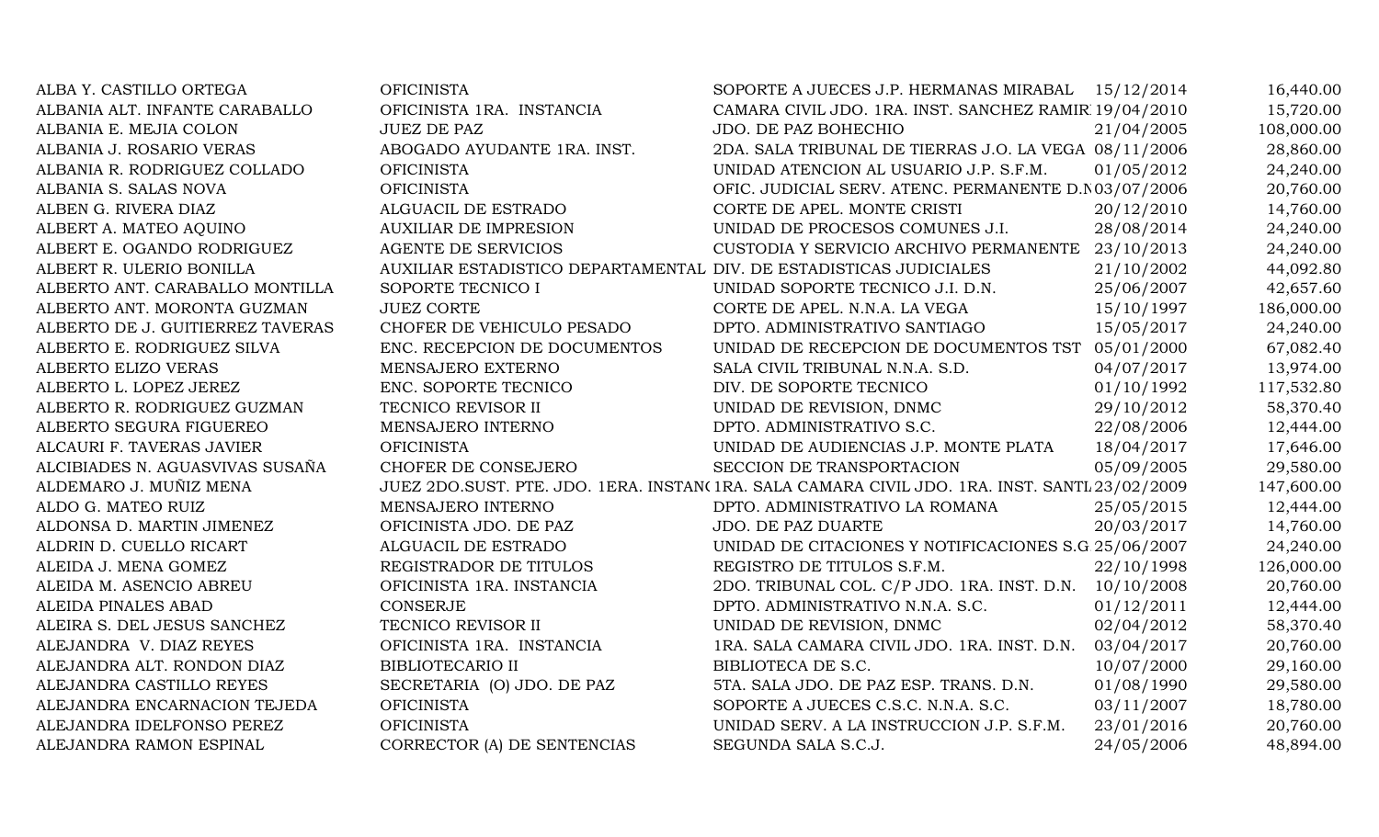| ALBA Y. CASTILLO ORTEGA          | <b>OFICINISTA</b>                                                  | SOPORTE A JUECES J.P. HERMANAS MIRABAL 15/12/2014                                             |            | 16,440.00  |
|----------------------------------|--------------------------------------------------------------------|-----------------------------------------------------------------------------------------------|------------|------------|
| ALBANIA ALT. INFANTE CARABALLO   | OFICINISTA 1RA. INSTANCIA                                          | CAMARA CIVIL JDO. 1RA. INST. SANCHEZ RAMIR 19/04/2010                                         |            | 15,720.00  |
| ALBANIA E. MEJIA COLON           | <b>JUEZ DE PAZ</b>                                                 | JDO. DE PAZ BOHECHIO                                                                          | 21/04/2005 | 108,000.00 |
| ALBANIA J. ROSARIO VERAS         | ABOGADO AYUDANTE 1RA. INST.                                        | 2DA. SALA TRIBUNAL DE TIERRAS J.O. LA VEGA 08/11/2006                                         |            | 28,860.00  |
| ALBANIA R. RODRIGUEZ COLLADO     | <b>OFICINISTA</b>                                                  | UNIDAD ATENCION AL USUARIO J.P. S.F.M.                                                        | 01/05/2012 | 24,240.00  |
| ALBANIA S. SALAS NOVA            | <b>OFICINISTA</b>                                                  | OFIC. JUDICIAL SERV. ATENC. PERMANENTE D.N 03/07/2006                                         |            | 20,760.00  |
| ALBEN G. RIVERA DIAZ             | ALGUACIL DE ESTRADO                                                | CORTE DE APEL. MONTE CRISTI                                                                   | 20/12/2010 | 14,760.00  |
| ALBERT A. MATEO AQUINO           | <b>AUXILIAR DE IMPRESION</b>                                       | UNIDAD DE PROCESOS COMUNES J.I.                                                               | 28/08/2014 | 24,240.00  |
| ALBERT E. OGANDO RODRIGUEZ       | <b>AGENTE DE SERVICIOS</b>                                         | CUSTODIA Y SERVICIO ARCHIVO PERMANENTE                                                        | 23/10/2013 | 24,240.00  |
| ALBERT R. ULERIO BONILLA         | AUXILIAR ESTADISTICO DEPARTAMENTAL DIV. DE ESTADISTICAS JUDICIALES |                                                                                               | 21/10/2002 | 44,092.80  |
| ALBERTO ANT. CARABALLO MONTILLA  | SOPORTE TECNICO I                                                  | UNIDAD SOPORTE TECNICO J.I. D.N.                                                              | 25/06/2007 | 42,657.60  |
| ALBERTO ANT. MORONTA GUZMAN      | <b>JUEZ CORTE</b>                                                  | CORTE DE APEL. N.N.A. LA VEGA                                                                 | 15/10/1997 | 186,000.00 |
| ALBERTO DE J. GUITIERREZ TAVERAS | CHOFER DE VEHICULO PESADO                                          | DPTO. ADMINISTRATIVO SANTIAGO                                                                 | 15/05/2017 | 24,240.00  |
| ALBERTO E. RODRIGUEZ SILVA       | ENC. RECEPCION DE DOCUMENTOS                                       | UNIDAD DE RECEPCION DE DOCUMENTOS TST 05/01/2000                                              |            | 67,082.40  |
| ALBERTO ELIZO VERAS              | MENSAJERO EXTERNO                                                  | SALA CIVIL TRIBUNAL N.N.A. S.D.                                                               | 04/07/2017 | 13,974.00  |
| ALBERTO L. LOPEZ JEREZ           | ENC. SOPORTE TECNICO                                               | DIV. DE SOPORTE TECNICO                                                                       | 01/10/1992 | 117,532.80 |
| ALBERTO R. RODRIGUEZ GUZMAN      | TECNICO REVISOR II                                                 | UNIDAD DE REVISION, DNMC                                                                      | 29/10/2012 | 58,370.40  |
| ALBERTO SEGURA FIGUEREO          | MENSAJERO INTERNO                                                  | DPTO. ADMINISTRATIVO S.C.                                                                     | 22/08/2006 | 12,444.00  |
| ALCAURI F. TAVERAS JAVIER        | <b>OFICINISTA</b>                                                  | UNIDAD DE AUDIENCIAS J.P. MONTE PLATA                                                         | 18/04/2017 | 17,646.00  |
| ALCIBIADES N. AGUASVIVAS SUSAÑA  | CHOFER DE CONSEJERO                                                | SECCION DE TRANSPORTACION                                                                     | 05/09/2005 | 29,580.00  |
| ALDEMARO J. MUÑIZ MENA           |                                                                    | JUEZ 2DO.SUST. PTE. JDO. 1ERA. INSTAN(1RA. SALA CAMARA CIVIL JDO. 1RA. INST. SANTL 23/02/2009 |            | 147,600.00 |
| ALDO G. MATEO RUIZ               | MENSAJERO INTERNO                                                  | DPTO. ADMINISTRATIVO LA ROMANA                                                                | 25/05/2015 | 12,444.00  |
| ALDONSA D. MARTIN JIMENEZ        | OFICINISTA JDO. DE PAZ                                             | <b>JDO. DE PAZ DUARTE</b>                                                                     | 20/03/2017 | 14,760.00  |
| ALDRIN D. CUELLO RICART          | ALGUACIL DE ESTRADO                                                | UNIDAD DE CITACIONES Y NOTIFICACIONES S.G 25/06/2007                                          |            | 24,240.00  |
| ALEIDA J. MENA GOMEZ             | REGISTRADOR DE TITULOS                                             | REGISTRO DE TITULOS S.F.M.                                                                    | 22/10/1998 | 126,000.00 |
| ALEIDA M. ASENCIO ABREU          | OFICINISTA 1RA. INSTANCIA                                          | 2DO. TRIBUNAL COL. C/P JDO. 1RA. INST. D.N.                                                   | 10/10/2008 | 20,760.00  |
| ALEIDA PINALES ABAD              | <b>CONSERJE</b>                                                    | DPTO. ADMINISTRATIVO N.N.A. S.C.                                                              | 01/12/2011 | 12,444.00  |
| ALEIRA S. DEL JESUS SANCHEZ      | TECNICO REVISOR II                                                 | UNIDAD DE REVISION, DNMC                                                                      | 02/04/2012 | 58,370.40  |
| ALEJANDRA V. DIAZ REYES          | OFICINISTA 1RA. INSTANCIA                                          | 1RA. SALA CAMARA CIVIL JDO. 1RA. INST. D.N.                                                   | 03/04/2017 | 20,760.00  |
| ALEJANDRA ALT. RONDON DIAZ       | <b>BIBLIOTECARIO II</b>                                            | BIBLIOTECA DE S.C.                                                                            | 10/07/2000 | 29,160.00  |
| ALEJANDRA CASTILLO REYES         | SECRETARIA (O) JDO. DE PAZ                                         | 5TA. SALA JDO. DE PAZ ESP. TRANS. D.N.                                                        | 01/08/1990 | 29,580.00  |
| ALEJANDRA ENCARNACION TEJEDA     | <b>OFICINISTA</b>                                                  | SOPORTE A JUECES C.S.C. N.N.A. S.C.                                                           | 03/11/2007 | 18,780.00  |
| ALEJANDRA IDELFONSO PEREZ        | <b>OFICINISTA</b>                                                  | UNIDAD SERV. A LA INSTRUCCION J.P. S.F.M.                                                     | 23/01/2016 | 20,760.00  |
| ALEJANDRA RAMON ESPINAL          | CORRECTOR (A) DE SENTENCIAS                                        | SEGUNDA SALA S.C.J.                                                                           | 24/05/2006 | 48,894.00  |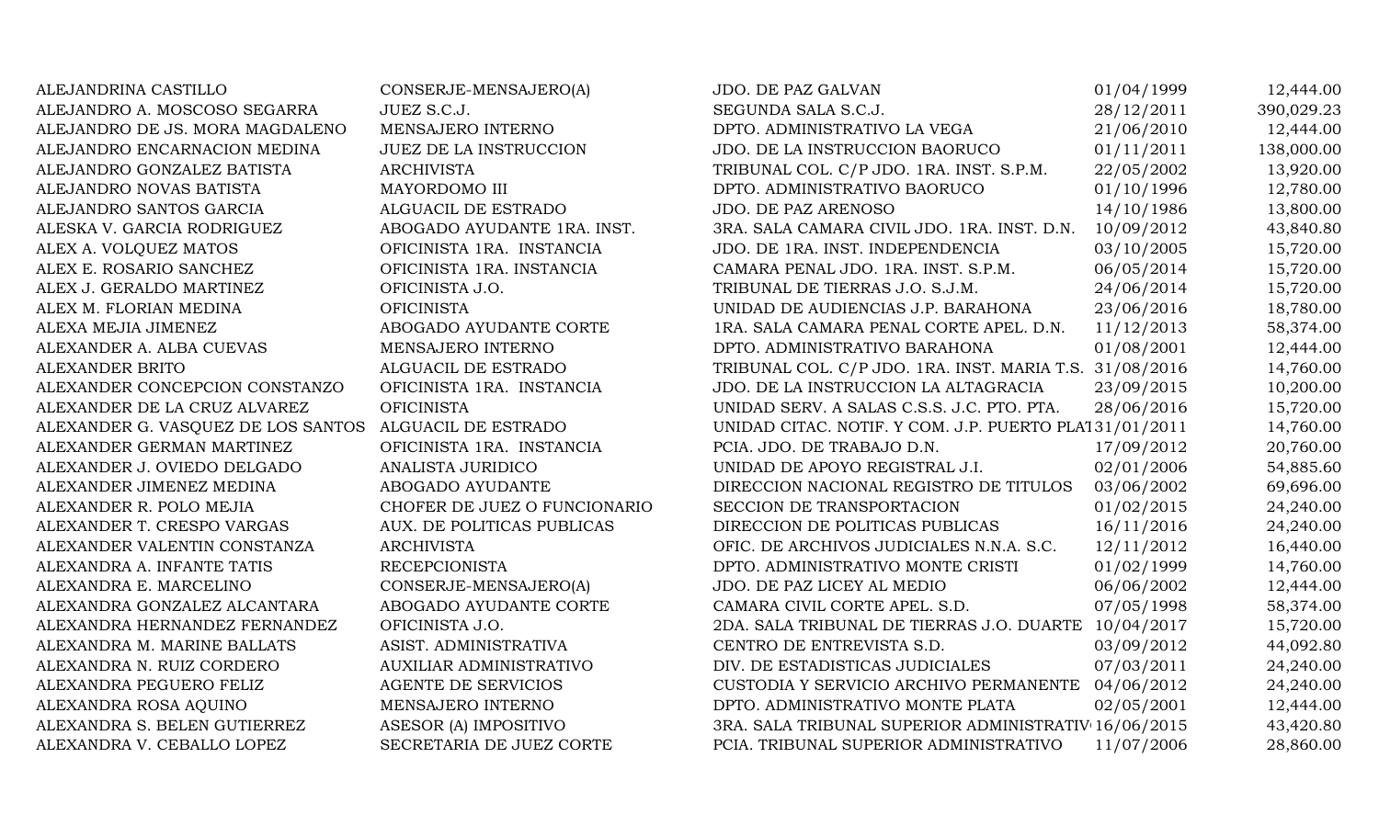ALEJANDRINA CASTILLO CONSERJE-MENSAJERO(A) JDO. DE PAZ GALVAN 01/04/1999 12,444.00 ALEJANDRO A. MOSCOSO SEGARRA JUEZ S.C.J. SEGUNDA SALA S.C.J. 28/12/2011 390,029.23 ALEJANDRO DE JS. MORA MAGDALENO MENSAJERO INTERNO DPTO. ADMINISTRATIVO LA VEGA 21/06/2010 12,444.00 ALEJANDRO ENCARNACION MEDINA JUEZ DE LA INSTRUCCION JDO. DE LA INSTRUCCION BAORUCO 01/11/2011 138,000.00 ALEJANDRO GONZALEZ BATISTA ARCHIVISTA ARCHIVISTA TRIBUNAL COL. C/P JDO. 1RA. INST. S.P.M. 22/05/2002 13,920.00 ALEJANDRO NOVAS BATISTA MAYORDOMO III DPTO. ADMINISTRATIVO BAORUCO 01/10/1996 12,780.00 ALEJANDRO SANTOS GARCIA ALGUACIL DE ESTRADO JDO. DE PAZ ARENOSO 14/10/1986 13,800.00 ALESKA V. GARCIA RODRIGUEZ ABOGADO AYUDANTE 1RA. INST. 3RA. SALA CAMARA CIVIL JDO. 1RA. INST. D.N. 10/09/2012 43,840.80 ALEX A. VOLQUEZ MATOS **OFICINISTA 1RA. INSTANCIA** JDO. DE 1RA. INST. INDEPENDENCIA 03/10/2005 15,720.00 ALEX E. ROSARIO SANCHEZ **OFICINISTA 1RA. INSTANCIA** CAMARA PENAL JDO. 1RA. INST. S.P.M. 06/05/2014 15,720.00 ALEX J. GERALDO MARTINEZ CHICINISTA J.O. TRIBUNAL DE TIERRAS J.O. S.J.M. 24/06/2014 15.720.00 ALEX M. FLORIAN MEDINA **OFICINISTA** OFICINISTA UNIDAD DE AUDIENCIAS J.P. BARAHONA 23/06/2016 18,780.00 ALEXA MEJIA JIMENEZ ABOGADO AYUDANTE CORTE 1RA. SALA CAMARA PENAL CORTE APEL. D.N. 11/12/2013 58,374.00 ALEXANDER A. ALBA CUEVAS **MENSAJERO INTERNO** DPTO. ADMINISTRATIVO BARAHONA 01/08/2001 12,444.00 ALEXANDER BRITO ALGUACIL DE ESTRADO TRIBUNAL COL. C/P JDO. 1RA. INST. MARIA T.S. 31/08/2016 14,760.00 ALEXANDER CONCEPCION CONSTANZO OFICINISTA 1RA. INSTANCIA JDO. DE LA INSTRUCCION LA ALTAGRACIA 23/09/2015 10,200.00 ALEXANDER DE LA CRUZ ALVAREZ OFICINISTA CHE ESTE UNIDAD SERV. A SALAS C.S.S. J.C. PTO. PTA. 28/06/2016 15,720.00 ALEXANDER G. VASQUEZ DE LOS SANTOS ALGUACIL DE ESTRADO UNIDAD CITAC. NOTIF. Y COM. J.P. PUERTO PLATA31/01/2011 14,760.00 ALEXANDER GERMAN MARTINEZ CHICINISTA 1RA. INSTANCIA PCIA. JDO. DE TRABAJO D.N. 17/09/2012 20.760.00 ALEXANDER J. OVIEDO DELGADO ANALISTA JURIDICO UNIDAD DE APOYO REGISTRAL J.I. 02/01/2006 54,885.60 ALEXANDER JIMENEZ MEDINA ABOGADO AYUDANTE DIRECCION NACIONAL REGISTRO DE TITULOS 03/06/2002 69,696.00 ALEXANDER R. POLO MEJIA CHOFER DE JUEZ O FUNCIONARIO SECCION DE TRANSPORTACION 01/02/2015 24,240.00 ALEXANDER T. CRESPO VARGAS AUX. DE POLITICAS PUBLICAS DIRECCION DE POLITICAS PUBLICAS 16/11/2016 24,240.00 ALEXANDER VALENTIN CONSTANZA ARCHIVISTA ARCHIVISTA OFIC. DE ARCHIVOS JUDICIALES N.N.A. S.C. 12/11/2012 16,440.00 ALEXANDRA A. INFANTE TATIS RECEPCIONISTA DPTO. ADMINISTRATIVO MONTE CRISTI 01/02/1999 14,760.00 ALEXANDRA E. MARCELINO CONSERJE-MENSAJERO(A) JDO. DE PAZ LICEY AL MEDIO 06/06/2002 12,444.00 ALEXANDRA GONZALEZ ALCANTARA ABOGADO AYUDANTE CORTE CAMARA CIVIL CORTE APEL. S.D. 07/05/1998 58,374.00 ALEXANDRA HERNANDEZ FERNANDEZ OFICINISTA J.O. 2DA. SALA TRIBUNAL DE TIERRAS J.O. DUARTE 10/04/2017 15,720.00 ALEXANDRA M. MARINE BALLATS ASIST. ADMINISTRATIVA CENTRO DE ENTREVISTA S.D. 03/09/2012 44,092.80 ALEXANDRA N. RUIZ CORDERO AUXILIAR ADMINISTRATIVO DIV. DE ESTADISTICAS JUDICIALES 07/03/2011 24,240.00 ALEXANDRA PEGUERO FELIZ AGENTE DE SERVICIOS CUSTODIA Y SERVICIO ARCHIVO PERMANENTE 04/06/2012 24,240.00 ALEXANDRA ROSA AQUINO MENSAJERO INTERNO DPTO. ADMINISTRATIVO MONTE PLATA 02/05/2001 12,444.00 ALEXANDRA S. BELEN GUTIERREZ ASESOR (A) IMPOSITIVO 3RA. SALA TRIBUNAL SUPERIOR ADMINISTRATIV 16/06/2015 43,420.80 ALEXANDRA V. CEBALLO LOPEZ SECRETARIA DE JUEZ CORTE PCIA. TRIBUNAL SUPERIOR ADMINISTRATIVO 11/07/2006 28,860.00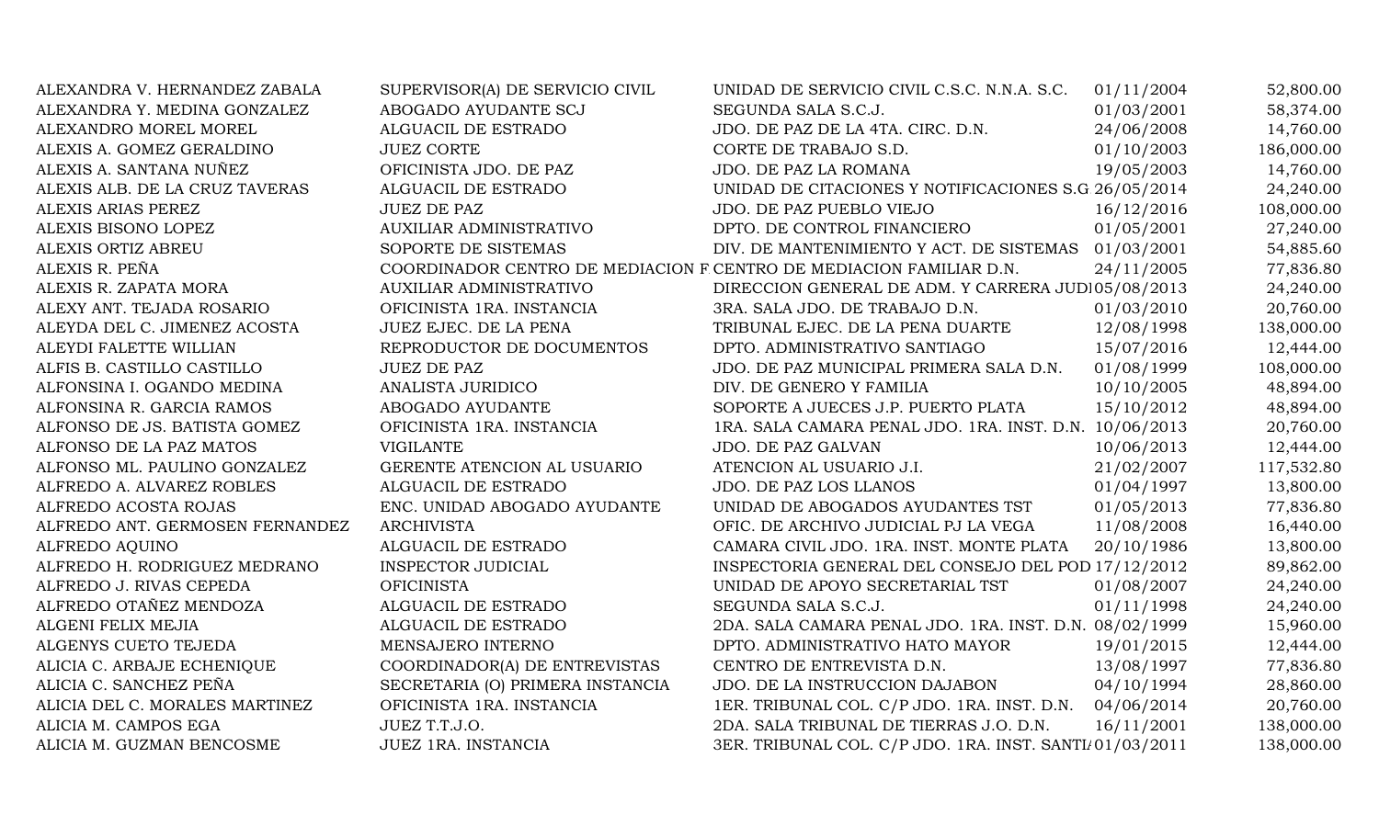| ALEXANDRA V. HERNANDEZ ZABALA   | SUPERVISOR(A) DE SERVICIO CIVIL                                     | UNIDAD DE SERVICIO CIVIL C.S.C. N.N.A. S.C.             | 01/11/2004 | 52,800.00  |
|---------------------------------|---------------------------------------------------------------------|---------------------------------------------------------|------------|------------|
| ALEXANDRA Y. MEDINA GONZALEZ    | ABOGADO AYUDANTE SCJ                                                | SEGUNDA SALA S.C.J.                                     | 01/03/2001 | 58,374.00  |
| ALEXANDRO MOREL MOREL           | ALGUACIL DE ESTRADO                                                 | JDO. DE PAZ DE LA 4TA. CIRC. D.N.                       | 24/06/2008 | 14,760.00  |
| ALEXIS A. GOMEZ GERALDINO       | <b>JUEZ CORTE</b>                                                   | CORTE DE TRABAJO S.D.                                   | 01/10/2003 | 186,000.00 |
| ALEXIS A. SANTANA NUÑEZ         | OFICINISTA JDO. DE PAZ                                              | JDO. DE PAZ LA ROMANA                                   | 19/05/2003 | 14,760.00  |
| ALEXIS ALB. DE LA CRUZ TAVERAS  | ALGUACIL DE ESTRADO                                                 | UNIDAD DE CITACIONES Y NOTIFICACIONES S.G 26/05/2014    |            | 24,240.00  |
| ALEXIS ARIAS PEREZ              | <b>JUEZ DE PAZ</b>                                                  | JDO. DE PAZ PUEBLO VIEJO                                | 16/12/2016 | 108,000.00 |
| ALEXIS BISONO LOPEZ             | AUXILIAR ADMINISTRATIVO                                             | DPTO. DE CONTROL FINANCIERO                             | 01/05/2001 | 27,240.00  |
| ALEXIS ORTIZ ABREU              | SOPORTE DE SISTEMAS                                                 | DIV. DE MANTENIMIENTO Y ACT. DE SISTEMAS 01/03/2001     |            | 54,885.60  |
| ALEXIS R. PEÑA                  | COORDINADOR CENTRO DE MEDIACION F CENTRO DE MEDIACION FAMILIAR D.N. |                                                         | 24/11/2005 | 77,836.80  |
| ALEXIS R. ZAPATA MORA           | AUXILIAR ADMINISTRATIVO                                             | DIRECCION GENERAL DE ADM. Y CARRERA JUDI05/08/2013      |            | 24,240.00  |
| ALEXY ANT. TEJADA ROSARIO       | OFICINISTA 1RA. INSTANCIA                                           | 3RA. SALA JDO. DE TRABAJO D.N.                          | 01/03/2010 | 20,760.00  |
| ALEYDA DEL C. JIMENEZ ACOSTA    | JUEZ EJEC. DE LA PENA                                               | TRIBUNAL EJEC. DE LA PENA DUARTE                        | 12/08/1998 | 138,000.00 |
| ALEYDI FALETTE WILLIAN          | REPRODUCTOR DE DOCUMENTOS                                           | DPTO. ADMINISTRATIVO SANTIAGO                           | 15/07/2016 | 12,444.00  |
| ALFIS B. CASTILLO CASTILLO      | <b>JUEZ DE PAZ</b>                                                  | JDO. DE PAZ MUNICIPAL PRIMERA SALA D.N.                 | 01/08/1999 | 108,000.00 |
| ALFONSINA I. OGANDO MEDINA      | ANALISTA JURIDICO                                                   | DIV. DE GENERO Y FAMILIA                                | 10/10/2005 | 48,894.00  |
| ALFONSINA R. GARCIA RAMOS       | ABOGADO AYUDANTE                                                    | SOPORTE A JUECES J.P. PUERTO PLATA                      | 15/10/2012 | 48,894.00  |
| ALFONSO DE JS. BATISTA GOMEZ    | OFICINISTA 1RA. INSTANCIA                                           | 1RA. SALA CAMARA PENAL JDO. 1RA. INST. D.N. 10/06/2013  |            | 20,760.00  |
| ALFONSO DE LA PAZ MATOS         | <b>VIGILANTE</b>                                                    | JDO. DE PAZ GALVAN                                      | 10/06/2013 | 12,444.00  |
| ALFONSO ML. PAULINO GONZALEZ    | GERENTE ATENCION AL USUARIO                                         | ATENCION AL USUARIO J.I.                                | 21/02/2007 | 117,532.80 |
| ALFREDO A. ALVAREZ ROBLES       | ALGUACIL DE ESTRADO                                                 | JDO. DE PAZ LOS LLANOS                                  | 01/04/1997 | 13,800.00  |
| ALFREDO ACOSTA ROJAS            | ENC. UNIDAD ABOGADO AYUDANTE                                        | UNIDAD DE ABOGADOS AYUDANTES TST                        | 01/05/2013 | 77,836.80  |
| ALFREDO ANT. GERMOSEN FERNANDEZ | <b>ARCHIVISTA</b>                                                   | OFIC. DE ARCHIVO JUDICIAL PJ LA VEGA                    | 11/08/2008 | 16,440.00  |
| ALFREDO AQUINO                  | ALGUACIL DE ESTRADO                                                 | CAMARA CIVIL JDO. 1RA. INST. MONTE PLATA                | 20/10/1986 | 13,800.00  |
| ALFREDO H. RODRIGUEZ MEDRANO    | INSPECTOR JUDICIAL                                                  | INSPECTORIA GENERAL DEL CONSEJO DEL POD 17/12/2012      |            | 89,862.00  |
| ALFREDO J. RIVAS CEPEDA         | <b>OFICINISTA</b>                                                   | UNIDAD DE APOYO SECRETARIAL TST                         | 01/08/2007 | 24,240.00  |
| ALFREDO OTAÑEZ MENDOZA          | ALGUACIL DE ESTRADO                                                 | SEGUNDA SALA S.C.J.                                     | 01/11/1998 | 24,240.00  |
| ALGENI FELIX MEJIA              | ALGUACIL DE ESTRADO                                                 | 2DA. SALA CAMARA PENAL JDO. 1RA. INST. D.N. 08/02/1999  |            | 15,960.00  |
| ALGENYS CUETO TEJEDA            | MENSAJERO INTERNO                                                   | DPTO. ADMINISTRATIVO HATO MAYOR                         | 19/01/2015 | 12,444.00  |
| ALICIA C. ARBAJE ECHENIQUE      | COORDINADOR(A) DE ENTREVISTAS                                       | CENTRO DE ENTREVISTA D.N.                               | 13/08/1997 | 77,836.80  |
| ALICIA C. SANCHEZ PEÑA          | SECRETARIA (O) PRIMERA INSTANCIA                                    | JDO. DE LA INSTRUCCION DAJABON                          | 04/10/1994 | 28,860.00  |
| ALICIA DEL C. MORALES MARTINEZ  | OFICINISTA 1RA. INSTANCIA                                           | 1ER. TRIBUNAL COL. C/P JDO. 1RA. INST. D.N.             | 04/06/2014 | 20,760.00  |
| ALICIA M. CAMPOS EGA            | JUEZ T.T.J.O.                                                       | 2DA. SALA TRIBUNAL DE TIERRAS J.O. D.N.                 | 16/11/2001 | 138,000.00 |
| ALICIA M. GUZMAN BENCOSME       | <b>JUEZ 1RA. INSTANCIA</b>                                          | 3ER. TRIBUNAL COL. C/P JDO. 1RA. INST. SANTI/01/03/2011 |            | 138,000.00 |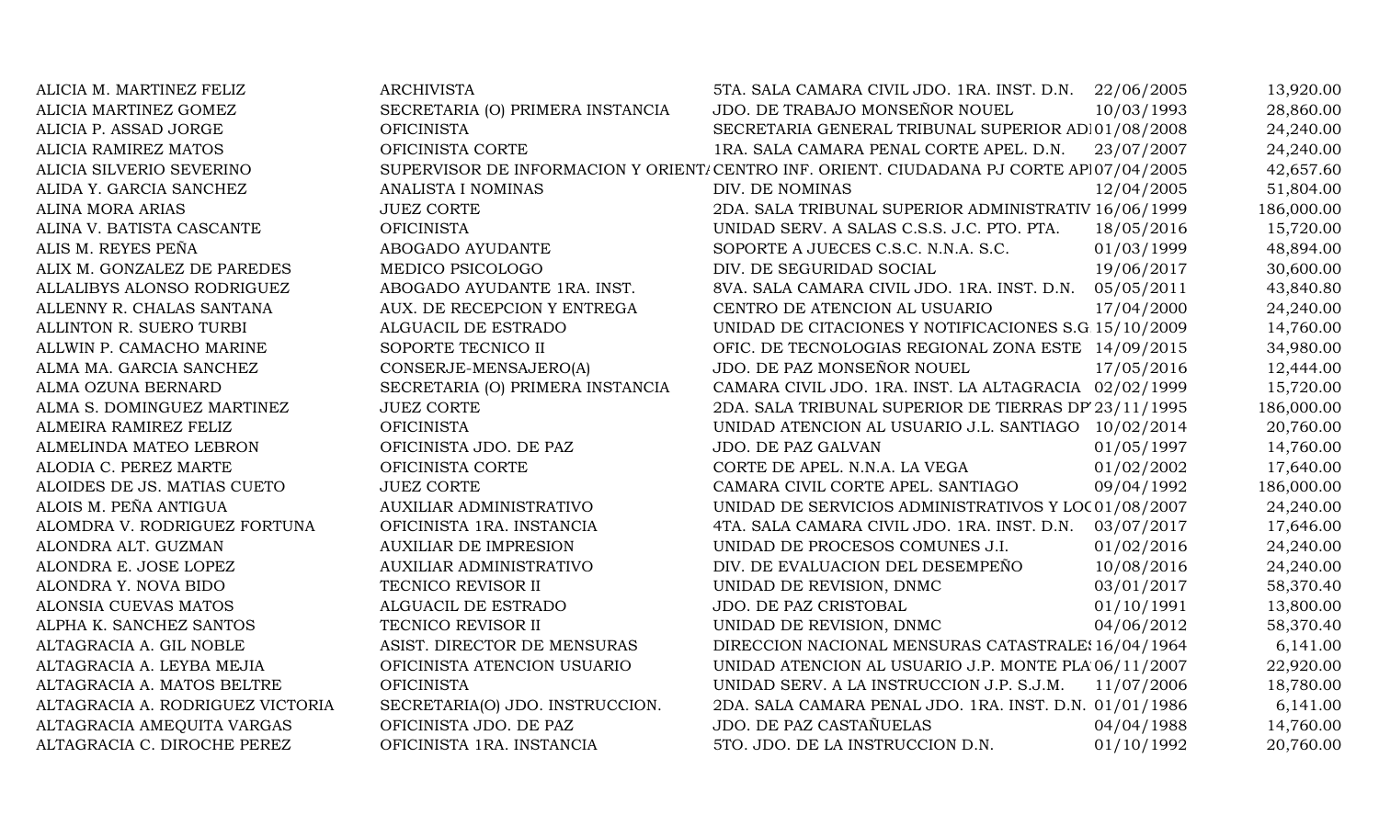| ALICIA M. MARTINEZ FELIZ         | <b>ARCHIVISTA</b>                | 5TA. SALA CAMARA CIVIL JDO. 1RA. INST. D.N.                                             | 22/06/2005 | 13,920.00  |
|----------------------------------|----------------------------------|-----------------------------------------------------------------------------------------|------------|------------|
| ALICIA MARTINEZ GOMEZ            | SECRETARIA (O) PRIMERA INSTANCIA | JDO. DE TRABAJO MONSEÑOR NOUEL                                                          | 10/03/1993 | 28,860.00  |
| ALICIA P. ASSAD JORGE            | <b>OFICINISTA</b>                | SECRETARIA GENERAL TRIBUNAL SUPERIOR AD 01/08/2008                                      |            | 24,240.00  |
| ALICIA RAMIREZ MATOS             | OFICINISTA CORTE                 | 1RA. SALA CAMARA PENAL CORTE APEL. D.N.                                                 | 23/07/2007 | 24,240.00  |
| ALICIA SILVERIO SEVERINO         |                                  | SUPERVISOR DE INFORMACION Y ORIENT/CENTRO INF. ORIENT. CIUDADANA PJ CORTE AP107/04/2005 |            | 42,657.60  |
| ALIDA Y. GARCIA SANCHEZ          | ANALISTA I NOMINAS               | DIV. DE NOMINAS                                                                         | 12/04/2005 | 51,804.00  |
| <b>ALINA MORA ARIAS</b>          | <b>JUEZ CORTE</b>                | 2DA. SALA TRIBUNAL SUPERIOR ADMINISTRATIV 16/06/1999                                    |            | 186,000.00 |
| ALINA V. BATISTA CASCANTE        | <b>OFICINISTA</b>                | UNIDAD SERV. A SALAS C.S.S. J.C. PTO. PTA.                                              | 18/05/2016 | 15,720.00  |
| ALIS M. REYES PEÑA               | ABOGADO AYUDANTE                 | SOPORTE A JUECES C.S.C. N.N.A. S.C.                                                     | 01/03/1999 | 48,894.00  |
| ALIX M. GONZALEZ DE PAREDES      | MEDICO PSICOLOGO                 | DIV. DE SEGURIDAD SOCIAL                                                                | 19/06/2017 | 30,600.00  |
| ALLALIBYS ALONSO RODRIGUEZ       | ABOGADO AYUDANTE 1RA. INST.      | 8VA. SALA CAMARA CIVIL JDO. 1RA. INST. D.N. 05/05/2011                                  |            | 43,840.80  |
| ALLENNY R. CHALAS SANTANA        | AUX. DE RECEPCION Y ENTREGA      | CENTRO DE ATENCION AL USUARIO                                                           | 17/04/2000 | 24,240.00  |
| ALLINTON R. SUERO TURBI          | ALGUACIL DE ESTRADO              | UNIDAD DE CITACIONES Y NOTIFICACIONES S.G 15/10/2009                                    |            | 14,760.00  |
| ALLWIN P. CAMACHO MARINE         | SOPORTE TECNICO II               | OFIC. DE TECNOLOGIAS REGIONAL ZONA ESTE 14/09/2015                                      |            | 34,980.00  |
| ALMA MA. GARCIA SANCHEZ          | CONSERJE-MENSAJERO(A)            | JDO. DE PAZ MONSEÑOR NOUEL                                                              | 17/05/2016 | 12,444.00  |
| ALMA OZUNA BERNARD               | SECRETARIA (O) PRIMERA INSTANCIA | CAMARA CIVIL JDO. 1RA. INST. LA ALTAGRACIA 02/02/1999                                   |            | 15,720.00  |
| ALMA S. DOMINGUEZ MARTINEZ       | <b>JUEZ CORTE</b>                | 2DA. SALA TRIBUNAL SUPERIOR DE TIERRAS DP 23/11/1995                                    |            | 186,000.00 |
| ALMEIRA RAMIREZ FELIZ            | <b>OFICINISTA</b>                | UNIDAD ATENCION AL USUARIO J.L. SANTIAGO 10/02/2014                                     |            | 20,760.00  |
| ALMELINDA MATEO LEBRON           | OFICINISTA JDO. DE PAZ           | JDO. DE PAZ GALVAN                                                                      | 01/05/1997 | 14,760.00  |
| ALODIA C. PEREZ MARTE            | OFICINISTA CORTE                 | CORTE DE APEL. N.N.A. LA VEGA                                                           | 01/02/2002 | 17,640.00  |
| ALOIDES DE JS. MATIAS CUETO      | <b>JUEZ CORTE</b>                | CAMARA CIVIL CORTE APEL. SANTIAGO                                                       | 09/04/1992 | 186,000.00 |
| ALOIS M. PEÑA ANTIGUA            | <b>AUXILIAR ADMINISTRATIVO</b>   | UNIDAD DE SERVICIOS ADMINISTRATIVOS Y LOC 01/08/2007                                    |            | 24,240.00  |
| ALOMDRA V. RODRIGUEZ FORTUNA     | OFICINISTA 1RA. INSTANCIA        | 4TA. SALA CAMARA CIVIL JDO. 1RA. INST. D.N. 03/07/2017                                  |            | 17,646.00  |
| ALONDRA ALT. GUZMAN              | <b>AUXILIAR DE IMPRESION</b>     | UNIDAD DE PROCESOS COMUNES J.I.                                                         | 01/02/2016 | 24,240.00  |
| ALONDRA E. JOSE LOPEZ            | <b>AUXILIAR ADMINISTRATIVO</b>   | DIV. DE EVALUACION DEL DESEMPEÑO                                                        | 10/08/2016 | 24,240.00  |
| ALONDRA Y. NOVA BIDO             | TECNICO REVISOR II               | UNIDAD DE REVISION, DNMC                                                                | 03/01/2017 | 58,370.40  |
| ALONSIA CUEVAS MATOS             | ALGUACIL DE ESTRADO              | JDO. DE PAZ CRISTOBAL                                                                   | 01/10/1991 | 13,800.00  |
| ALPHA K. SANCHEZ SANTOS          | TECNICO REVISOR II               | UNIDAD DE REVISION, DNMC                                                                | 04/06/2012 | 58,370.40  |
| ALTAGRACIA A. GIL NOBLE          | ASIST. DIRECTOR DE MENSURAS      | DIRECCION NACIONAL MENSURAS CATASTRALE: 16/04/1964                                      |            | 6,141.00   |
| ALTAGRACIA A. LEYBA MEJIA        | OFICINISTA ATENCION USUARIO      | UNIDAD ATENCION AL USUARIO J.P. MONTE PLA 06/11/2007                                    |            | 22,920.00  |
| ALTAGRACIA A. MATOS BELTRE       | <b>OFICINISTA</b>                | UNIDAD SERV. A LA INSTRUCCION J.P. S.J.M.                                               | 11/07/2006 | 18,780.00  |
| ALTAGRACIA A. RODRIGUEZ VICTORIA | SECRETARIA(O) JDO. INSTRUCCION.  | 2DA. SALA CAMARA PENAL JDO. 1RA. INST. D.N. 01/01/1986                                  |            | 6,141.00   |
| ALTAGRACIA AMEQUITA VARGAS       | OFICINISTA JDO. DE PAZ           | JDO. DE PAZ CASTAÑUELAS                                                                 | 04/04/1988 | 14,760.00  |
| ALTAGRACIA C. DIROCHE PEREZ      | OFICINISTA 1RA. INSTANCIA        | 5TO. JDO. DE LA INSTRUCCION D.N.                                                        | 01/10/1992 | 20,760.00  |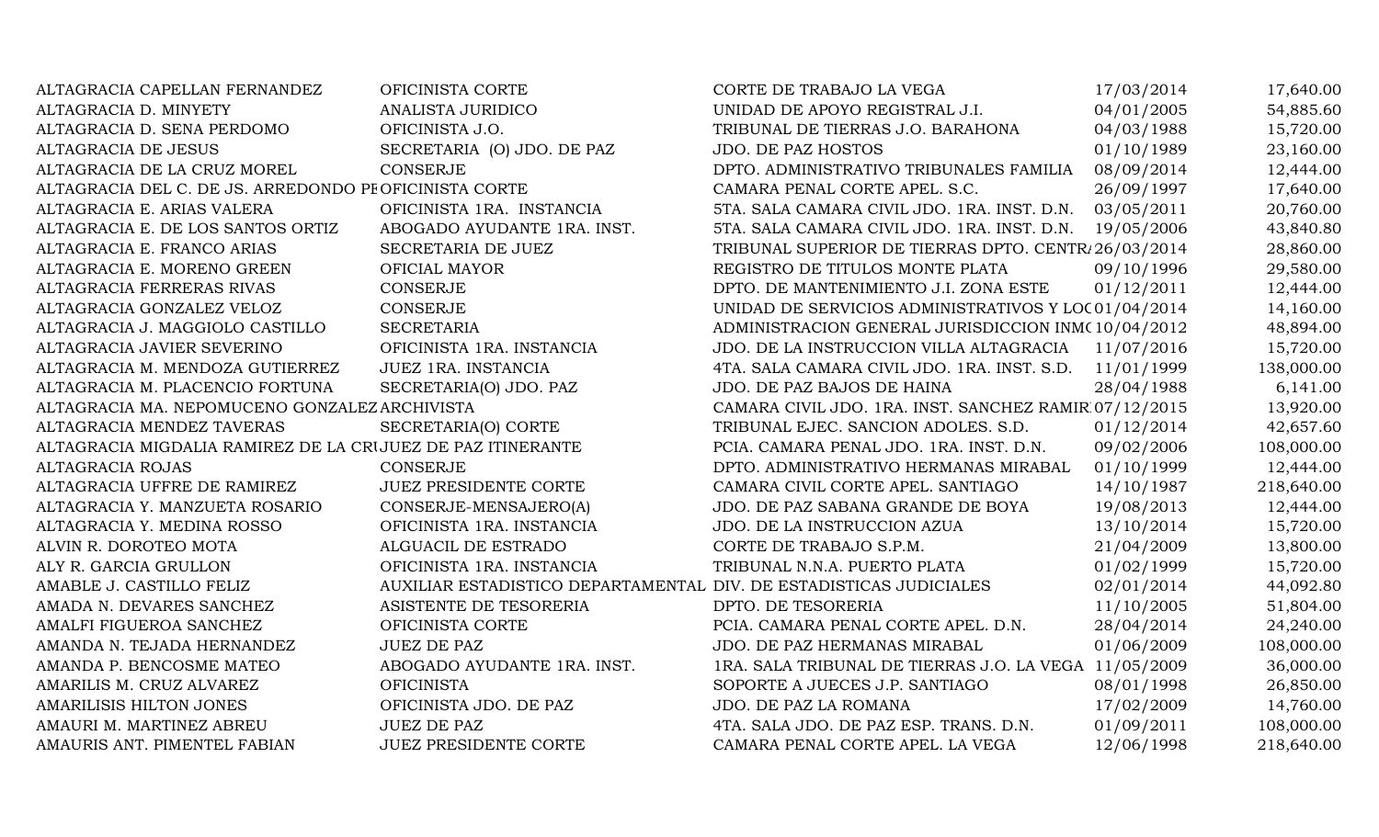| ALTAGRACIA CAPELLAN FERNANDEZ                               | OFICINISTA CORTE                                                   | CORTE DE TRABAJO LA VEGA                               | 17/03/2014 | 17,640.00  |
|-------------------------------------------------------------|--------------------------------------------------------------------|--------------------------------------------------------|------------|------------|
| ALTAGRACIA D. MINYETY                                       | <b>ANALISTA JURIDICO</b>                                           | UNIDAD DE APOYO REGISTRAL J.I.                         | 04/01/2005 | 54,885.60  |
| ALTAGRACIA D. SENA PERDOMO                                  | OFICINISTA J.O.                                                    | TRIBUNAL DE TIERRAS J.O. BARAHONA                      | 04/03/1988 | 15,720.00  |
| ALTAGRACIA DE JESUS                                         | SECRETARIA (O) JDO. DE PAZ                                         | <b>JDO. DE PAZ HOSTOS</b>                              | 01/10/1989 | 23,160.00  |
| ALTAGRACIA DE LA CRUZ MOREL                                 | <b>CONSERJE</b>                                                    | DPTO. ADMINISTRATIVO TRIBUNALES FAMILIA                | 08/09/2014 | 12,444.00  |
| ALTAGRACIA DEL C. DE JS. ARREDONDO PE OFICINISTA CORTE      |                                                                    | CAMARA PENAL CORTE APEL. S.C.                          | 26/09/1997 | 17,640.00  |
| ALTAGRACIA E. ARIAS VALERA                                  | OFICINISTA 1RA. INSTANCIA                                          | 5TA. SALA CAMARA CIVIL JDO. 1RA. INST. D.N. 03/05/2011 |            | 20,760.00  |
| ALTAGRACIA E. DE LOS SANTOS ORTIZ                           | ABOGADO AYUDANTE 1RA. INST.                                        | 5TA. SALA CAMARA CIVIL JDO. 1RA. INST. D.N.            | 19/05/2006 | 43,840.80  |
| ALTAGRACIA E. FRANCO ARIAS                                  | SECRETARIA DE JUEZ                                                 | TRIBUNAL SUPERIOR DE TIERRAS DPTO. CENTR/26/03/2014    |            | 28,860.00  |
| ALTAGRACIA E. MORENO GREEN                                  | <b>OFICIAL MAYOR</b>                                               | REGISTRO DE TITULOS MONTE PLATA                        | 09/10/1996 | 29,580.00  |
| ALTAGRACIA FERRERAS RIVAS                                   | <b>CONSERJE</b>                                                    | DPTO. DE MANTENIMIENTO J.I. ZONA ESTE                  | 01/12/2011 | 12,444.00  |
| ALTAGRACIA GONZALEZ VELOZ                                   | <b>CONSERJE</b>                                                    | UNIDAD DE SERVICIOS ADMINISTRATIVOS Y LOC 01/04/2014   |            | 14,160.00  |
| ALTAGRACIA J. MAGGIOLO CASTILLO                             | <b>SECRETARIA</b>                                                  | ADMINISTRACION GENERAL JURISDICCION INM(10/04/2012     |            | 48,894.00  |
| ALTAGRACIA JAVIER SEVERINO                                  | OFICINISTA 1RA. INSTANCIA                                          | JDO. DE LA INSTRUCCION VILLA ALTAGRACIA                | 11/07/2016 | 15,720.00  |
| ALTAGRACIA M. MENDOZA GUTIERREZ                             | JUEZ 1RA. INSTANCIA                                                | 4TA. SALA CAMARA CIVIL JDO. 1RA. INST. S.D.            | 11/01/1999 | 138,000.00 |
| ALTAGRACIA M. PLACENCIO FORTUNA                             | SECRETARIA(O) JDO. PAZ                                             | JDO. DE PAZ BAJOS DE HAINA                             | 28/04/1988 | 6,141.00   |
| ALTAGRACIA MA. NEPOMUCENO GONZALEZ ARCHIVISTA               |                                                                    | CAMARA CIVIL JDO. 1RA. INST. SANCHEZ RAMIR 07/12/2015  |            | 13,920.00  |
| ALTAGRACIA MENDEZ TAVERAS                                   | SECRETARIA(O) CORTE                                                | TRIBUNAL EJEC. SANCION ADOLES. S.D.                    | 01/12/2014 | 42,657.60  |
| ALTAGRACIA MIGDALIA RAMIREZ DE LA CRIJUEZ DE PAZ ITINERANTE |                                                                    | PCIA. CAMARA PENAL JDO. 1RA. INST. D.N.                | 09/02/2006 | 108,000.00 |
| ALTAGRACIA ROJAS                                            | <b>CONSERJE</b>                                                    | DPTO. ADMINISTRATIVO HERMANAS MIRABAL                  | 01/10/1999 | 12,444.00  |
| ALTAGRACIA UFFRE DE RAMIREZ                                 | <b>JUEZ PRESIDENTE CORTE</b>                                       | CAMARA CIVIL CORTE APEL. SANTIAGO                      | 14/10/1987 | 218,640.00 |
| ALTAGRACIA Y. MANZUETA ROSARIO                              | CONSERJE-MENSAJERO(A)                                              | JDO. DE PAZ SABANA GRANDE DE BOYA                      | 19/08/2013 | 12,444.00  |
| ALTAGRACIA Y. MEDINA ROSSO                                  | OFICINISTA 1RA. INSTANCIA                                          | JDO. DE LA INSTRUCCION AZUA                            | 13/10/2014 | 15,720.00  |
| ALVIN R. DOROTEO MOTA                                       | ALGUACIL DE ESTRADO                                                | CORTE DE TRABAJO S.P.M.                                | 21/04/2009 | 13,800.00  |
| ALY R. GARCIA GRULLON                                       | OFICINISTA 1RA. INSTANCIA                                          | TRIBUNAL N.N.A. PUERTO PLATA                           | 01/02/1999 | 15,720.00  |
| AMABLE J. CASTILLO FELIZ                                    | AUXILIAR ESTADISTICO DEPARTAMENTAL DIV. DE ESTADISTICAS JUDICIALES |                                                        | 02/01/2014 | 44,092.80  |
| AMADA N. DEVARES SANCHEZ                                    | ASISTENTE DE TESORERIA                                             | DPTO. DE TESORERIA                                     | 11/10/2005 | 51,804.00  |
| AMALFI FIGUEROA SANCHEZ                                     | OFICINISTA CORTE                                                   | PCIA. CAMARA PENAL CORTE APEL. D.N.                    | 28/04/2014 | 24,240.00  |
| AMANDA N. TEJADA HERNANDEZ                                  | <b>JUEZ DE PAZ</b>                                                 | JDO. DE PAZ HERMANAS MIRABAL                           | 01/06/2009 | 108,000.00 |
| AMANDA P. BENCOSME MATEO                                    | ABOGADO AYUDANTE 1RA. INST.                                        | 1RA. SALA TRIBUNAL DE TIERRAS J.O. LA VEGA 11/05/2009  |            | 36,000.00  |
| AMARILIS M. CRUZ ALVAREZ                                    | <b>OFICINISTA</b>                                                  | SOPORTE A JUECES J.P. SANTIAGO                         | 08/01/1998 | 26,850.00  |
| <b>AMARILISIS HILTON JONES</b>                              | OFICINISTA JDO. DE PAZ                                             | JDO. DE PAZ LA ROMANA                                  | 17/02/2009 | 14,760.00  |
| AMAURI M. MARTINEZ ABREU                                    | <b>JUEZ DE PAZ</b>                                                 | 4TA. SALA JDO. DE PAZ ESP. TRANS. D.N.                 | 01/09/2011 | 108,000.00 |
| AMAURIS ANT. PIMENTEL FABIAN                                | <b>JUEZ PRESIDENTE CORTE</b>                                       | CAMARA PENAL CORTE APEL. LA VEGA                       | 12/06/1998 | 218,640.00 |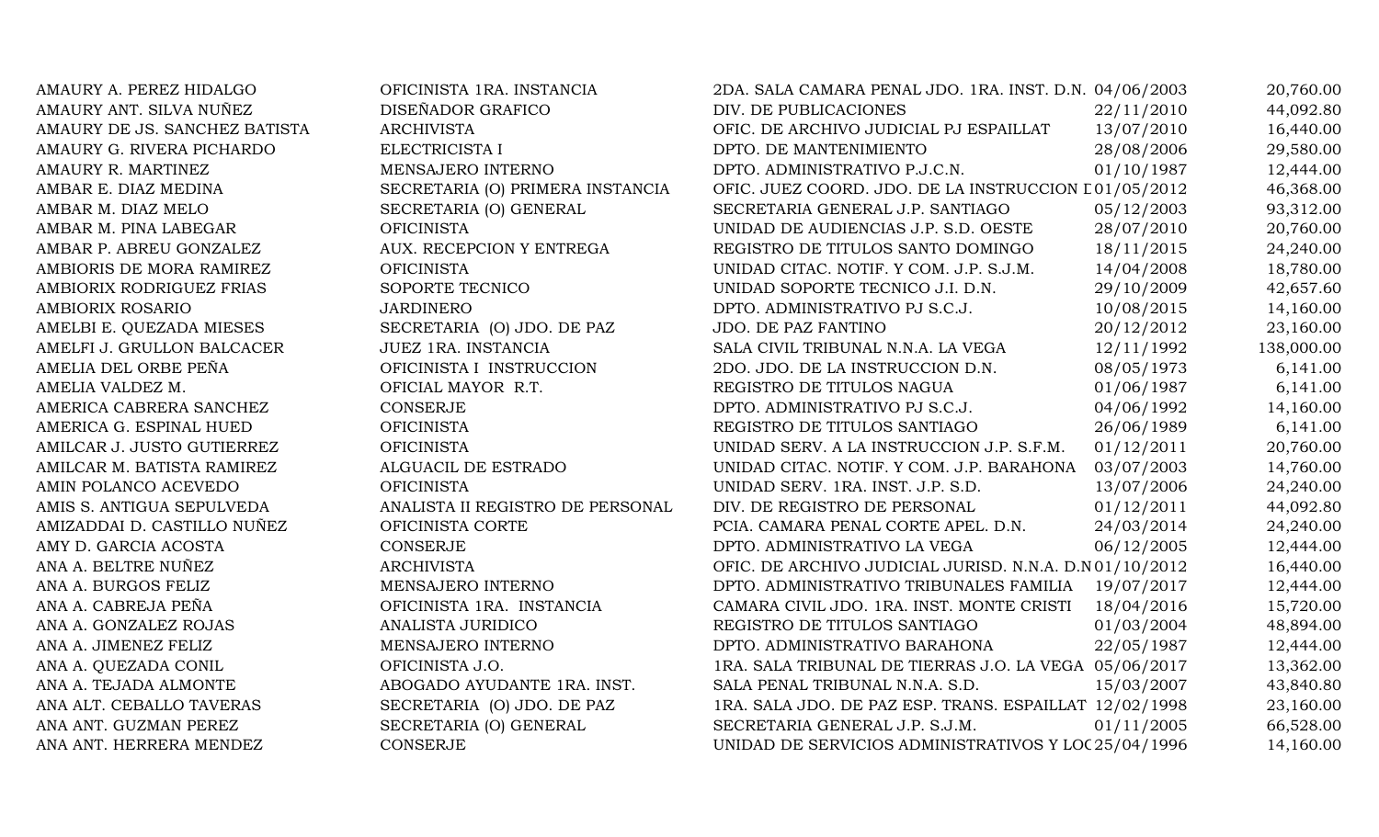| AMAURY A. PEREZ HIDALGO       | OFICINISTA 1RA. INSTANCIA        | 2DA. SALA CAMARA PENAL JDO. 1RA. INST. D.N. 04/06/2003 |            | 20,760.00  |
|-------------------------------|----------------------------------|--------------------------------------------------------|------------|------------|
| AMAURY ANT. SILVA NUÑEZ       | DISEÑADOR GRAFICO                | DIV. DE PUBLICACIONES                                  | 22/11/2010 | 44,092.80  |
| AMAURY DE JS. SANCHEZ BATISTA | <b>ARCHIVISTA</b>                | OFIC. DE ARCHIVO JUDICIAL PJ ESPAILLAT                 | 13/07/2010 | 16,440.00  |
| AMAURY G. RIVERA PICHARDO     | ELECTRICISTA I                   | DPTO. DE MANTENIMIENTO                                 | 28/08/2006 | 29,580.00  |
| AMAURY R. MARTINEZ            | MENSAJERO INTERNO                | DPTO. ADMINISTRATIVO P.J.C.N.                          | 01/10/1987 | 12,444.00  |
| AMBAR E. DIAZ MEDINA          | SECRETARIA (O) PRIMERA INSTANCIA | OFIC. JUEZ COORD. JDO. DE LA INSTRUCCION [01/05/2012]  |            | 46,368.00  |
| AMBAR M. DIAZ MELO            | SECRETARIA (O) GENERAL           | SECRETARIA GENERAL J.P. SANTIAGO                       | 05/12/2003 | 93,312.00  |
| AMBAR M. PINA LABEGAR         | <b>OFICINISTA</b>                | UNIDAD DE AUDIENCIAS J.P. S.D. OESTE                   | 28/07/2010 | 20,760.00  |
| AMBAR P. ABREU GONZALEZ       | AUX. RECEPCION Y ENTREGA         | REGISTRO DE TITULOS SANTO DOMINGO                      | 18/11/2015 | 24,240.00  |
| AMBIORIS DE MORA RAMIREZ      | <b>OFICINISTA</b>                | UNIDAD CITAC. NOTIF. Y COM. J.P. S.J.M.                | 14/04/2008 | 18,780.00  |
| AMBIORIX RODRIGUEZ FRIAS      | SOPORTE TECNICO                  | UNIDAD SOPORTE TECNICO J.I. D.N.                       | 29/10/2009 | 42,657.60  |
| AMBIORIX ROSARIO              | <b>JARDINERO</b>                 | DPTO. ADMINISTRATIVO PJ S.C.J.                         | 10/08/2015 | 14,160.00  |
| AMELBI E. QUEZADA MIESES      | SECRETARIA (O) JDO. DE PAZ       | JDO. DE PAZ FANTINO                                    | 20/12/2012 | 23,160.00  |
| AMELFI J. GRULLON BALCACER    | <b>JUEZ 1RA. INSTANCIA</b>       | SALA CIVIL TRIBUNAL N.N.A. LA VEGA                     | 12/11/1992 | 138,000.00 |
| AMELIA DEL ORBE PEÑA          | OFICINISTA I INSTRUCCION         | 2DO. JDO. DE LA INSTRUCCION D.N.                       | 08/05/1973 | 6,141.00   |
| AMELIA VALDEZ M.              | OFICIAL MAYOR R.T.               | REGISTRO DE TITULOS NAGUA                              | 01/06/1987 | 6,141.00   |
| AMERICA CABRERA SANCHEZ       | <b>CONSERJE</b>                  | DPTO. ADMINISTRATIVO PJ S.C.J.                         | 04/06/1992 | 14,160.00  |
| AMERICA G. ESPINAL HUED       | <b>OFICINISTA</b>                | REGISTRO DE TITULOS SANTIAGO                           | 26/06/1989 | 6,141.00   |
| AMILCAR J. JUSTO GUTIERREZ    | <b>OFICINISTA</b>                | UNIDAD SERV. A LA INSTRUCCION J.P. S.F.M.              | 01/12/2011 | 20,760.00  |
| AMILCAR M. BATISTA RAMIREZ    | ALGUACIL DE ESTRADO              | UNIDAD CITAC. NOTIF. Y COM. J.P. BARAHONA              | 03/07/2003 | 14,760.00  |
| AMIN POLANCO ACEVEDO          | <b>OFICINISTA</b>                | UNIDAD SERV. 1RA. INST. J.P. S.D.                      | 13/07/2006 | 24,240.00  |
| AMIS S. ANTIGUA SEPULVEDA     | ANALISTA II REGISTRO DE PERSONAL | DIV. DE REGISTRO DE PERSONAL                           | 01/12/2011 | 44,092.80  |
| AMIZADDAI D. CASTILLO NUÑEZ   | OFICINISTA CORTE                 | PCIA. CAMARA PENAL CORTE APEL. D.N.                    | 24/03/2014 | 24,240.00  |
| AMY D. GARCIA ACOSTA          | CONSERJE                         | DPTO. ADMINISTRATIVO LA VEGA                           | 06/12/2005 | 12,444.00  |
| ANA A. BELTRE NUÑEZ           | <b>ARCHIVISTA</b>                | OFIC. DE ARCHIVO JUDICIAL JURISD. N.N.A. D.N01/10/2012 |            | 16,440.00  |
| ANA A. BURGOS FELIZ           | MENSAJERO INTERNO                | DPTO. ADMINISTRATIVO TRIBUNALES FAMILIA                | 19/07/2017 | 12,444.00  |
| ANA A. CABREJA PEÑA           | OFICINISTA 1RA. INSTANCIA        | CAMARA CIVIL JDO. 1RA. INST. MONTE CRISTI              | 18/04/2016 | 15,720.00  |
| ANA A. GONZALEZ ROJAS         | ANALISTA JURIDICO                | REGISTRO DE TITULOS SANTIAGO                           | 01/03/2004 | 48,894.00  |
| ANA A. JIMENEZ FELIZ          | MENSAJERO INTERNO                | DPTO. ADMINISTRATIVO BARAHONA                          | 22/05/1987 | 12,444.00  |
| ANA A. QUEZADA CONIL          | OFICINISTA J.O.                  | 1RA. SALA TRIBUNAL DE TIERRAS J.O. LA VEGA 05/06/2017  |            | 13,362.00  |
| ANA A. TEJADA ALMONTE         | ABOGADO AYUDANTE 1RA. INST.      | SALA PENAL TRIBUNAL N.N.A. S.D.                        | 15/03/2007 | 43,840.80  |
| ANA ALT. CEBALLO TAVERAS      | SECRETARIA (O) JDO. DE PAZ       | 1RA. SALA JDO. DE PAZ ESP. TRANS. ESPAILLAT 12/02/1998 |            | 23,160.00  |
| ANA ANT. GUZMAN PEREZ         | SECRETARIA (O) GENERAL           | SECRETARIA GENERAL J.P. S.J.M.                         | 01/11/2005 | 66,528.00  |
| ANA ANT. HERRERA MENDEZ       | <b>CONSERJE</b>                  | UNIDAD DE SERVICIOS ADMINISTRATIVOS Y LOC 25/04/1996   |            | 14,160.00  |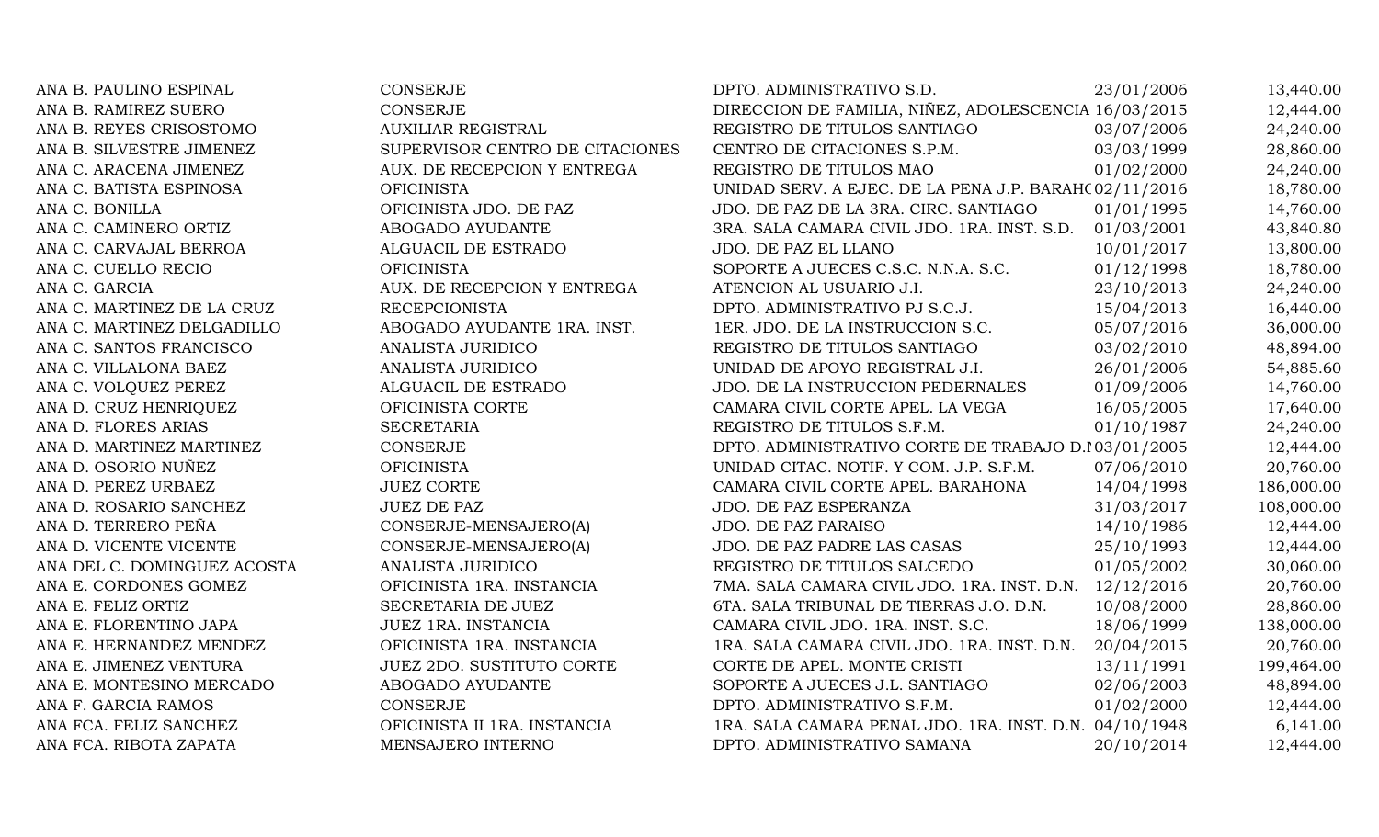| ANA B. PAULINO ESPINAL      | <b>CONSERJE</b>                  | DPTO. ADMINISTRATIVO S.D.                              | 23/01/2006 | 13,440.00  |
|-----------------------------|----------------------------------|--------------------------------------------------------|------------|------------|
| ANA B. RAMIREZ SUERO        | CONSERJE                         | DIRECCION DE FAMILIA, NIÑEZ, ADOLESCENCIA 16/03/2015   |            | 12,444.00  |
| ANA B. REYES CRISOSTOMO     | <b>AUXILIAR REGISTRAL</b>        | REGISTRO DE TITULOS SANTIAGO                           | 03/07/2006 | 24,240.00  |
| ANA B. SILVESTRE JIMENEZ    | SUPERVISOR CENTRO DE CITACIONES  | CENTRO DE CITACIONES S.P.M.                            | 03/03/1999 | 28,860.00  |
| ANA C. ARACENA JIMENEZ      | AUX. DE RECEPCION Y ENTREGA      | REGISTRO DE TITULOS MAO                                | 01/02/2000 | 24,240.00  |
| ANA C. BATISTA ESPINOSA     | <b>OFICINISTA</b>                | UNIDAD SERV. A EJEC. DE LA PENA J.P. BARAH(02/11/2016) |            | 18,780.00  |
| ANA C. BONILLA              | OFICINISTA JDO. DE PAZ           | JDO. DE PAZ DE LA 3RA. CIRC. SANTIAGO                  | 01/01/1995 | 14,760.00  |
| ANA C. CAMINERO ORTIZ       | ABOGADO AYUDANTE                 | 3RA. SALA CAMARA CIVIL JDO. 1RA. INST. S.D.            | 01/03/2001 | 43,840.80  |
| ANA C. CARVAJAL BERROA      | ALGUACIL DE ESTRADO              | JDO. DE PAZ EL LLANO                                   | 10/01/2017 | 13,800.00  |
| ANA C. CUELLO RECIO         | <b>OFICINISTA</b>                | SOPORTE A JUECES C.S.C. N.N.A. S.C.                    | 01/12/1998 | 18,780.00  |
| ANA C. GARCIA               | AUX. DE RECEPCION Y ENTREGA      | ATENCION AL USUARIO J.I.                               | 23/10/2013 | 24,240.00  |
| ANA C. MARTINEZ DE LA CRUZ  | <b>RECEPCIONISTA</b>             | DPTO. ADMINISTRATIVO PJ S.C.J.                         | 15/04/2013 | 16,440.00  |
| ANA C. MARTINEZ DELGADILLO  | ABOGADO AYUDANTE 1RA. INST.      | 1ER. JDO. DE LA INSTRUCCION S.C.                       | 05/07/2016 | 36,000.00  |
| ANA C. SANTOS FRANCISCO     | ANALISTA JURIDICO                | REGISTRO DE TITULOS SANTIAGO                           | 03/02/2010 | 48,894.00  |
| ANA C. VILLALONA BAEZ       | ANALISTA JURIDICO                | UNIDAD DE APOYO REGISTRAL J.I.                         | 26/01/2006 | 54,885.60  |
| ANA C. VOLQUEZ PEREZ        | ALGUACIL DE ESTRADO              | JDO. DE LA INSTRUCCION PEDERNALES                      | 01/09/2006 | 14,760.00  |
| ANA D. CRUZ HENRIQUEZ       | OFICINISTA CORTE                 | CAMARA CIVIL CORTE APEL. LA VEGA                       | 16/05/2005 | 17,640.00  |
| ANA D. FLORES ARIAS         | <b>SECRETARIA</b>                | REGISTRO DE TITULOS S.F.M.                             | 01/10/1987 | 24,240.00  |
| ANA D. MARTINEZ MARTINEZ    | CONSERJE                         | DPTO. ADMINISTRATIVO CORTE DE TRABAJO D.103/01/2005    |            | 12,444.00  |
| ANA D. OSORIO NUÑEZ         | <b>OFICINISTA</b>                | UNIDAD CITAC. NOTIF. Y COM. J.P. S.F.M.                | 07/06/2010 | 20,760.00  |
| ANA D. PEREZ URBAEZ         | <b>JUEZ CORTE</b>                | CAMARA CIVIL CORTE APEL. BARAHONA                      | 14/04/1998 | 186,000.00 |
| ANA D. ROSARIO SANCHEZ      | <b>JUEZ DE PAZ</b>               | JDO. DE PAZ ESPERANZA                                  | 31/03/2017 | 108,000.00 |
| ANA D. TERRERO PEÑA         | CONSERJE-MENSAJERO(A)            | JDO. DE PAZ PARAISO                                    | 14/10/1986 | 12,444.00  |
| ANA D. VICENTE VICENTE      | CONSERJE-MENSAJERO(A)            | JDO. DE PAZ PADRE LAS CASAS                            | 25/10/1993 | 12,444.00  |
| ANA DEL C. DOMINGUEZ ACOSTA | ANALISTA JURIDICO                | REGISTRO DE TITULOS SALCEDO                            | 01/05/2002 | 30,060.00  |
| ANA E. CORDONES GOMEZ       | OFICINISTA 1RA. INSTANCIA        | 7MA. SALA CAMARA CIVIL JDO. 1RA. INST. D.N. 12/12/2016 |            | 20,760.00  |
| ANA E. FELIZ ORTIZ          | SECRETARIA DE JUEZ               | 6TA. SALA TRIBUNAL DE TIERRAS J.O. D.N.                | 10/08/2000 | 28,860.00  |
| ANA E. FLORENTINO JAPA      | JUEZ 1RA. INSTANCIA              | CAMARA CIVIL JDO. 1RA. INST. S.C.                      | 18/06/1999 | 138,000.00 |
| ANA E. HERNANDEZ MENDEZ     | OFICINISTA 1RA. INSTANCIA        | 1RA. SALA CAMARA CIVIL JDO. 1RA. INST. D.N.            | 20/04/2015 | 20,760.00  |
| ANA E. JIMENEZ VENTURA      | <b>JUEZ 2DO. SUSTITUTO CORTE</b> | CORTE DE APEL. MONTE CRISTI                            | 13/11/1991 | 199,464.00 |
| ANA E. MONTESINO MERCADO    | ABOGADO AYUDANTE                 | SOPORTE A JUECES J.L. SANTIAGO                         | 02/06/2003 | 48,894.00  |
| ANA F. GARCIA RAMOS         | <b>CONSERJE</b>                  | DPTO. ADMINISTRATIVO S.F.M.                            | 01/02/2000 | 12,444.00  |
| ANA FCA. FELIZ SANCHEZ      | OFICINISTA II 1RA. INSTANCIA     | 1RA. SALA CAMARA PENAL JDO. 1RA. INST. D.N. 04/10/1948 |            | 6,141.00   |
| ANA FCA. RIBOTA ZAPATA      | MENSAJERO INTERNO                | DPTO. ADMINISTRATIVO SAMANA                            | 20/10/2014 | 12,444.00  |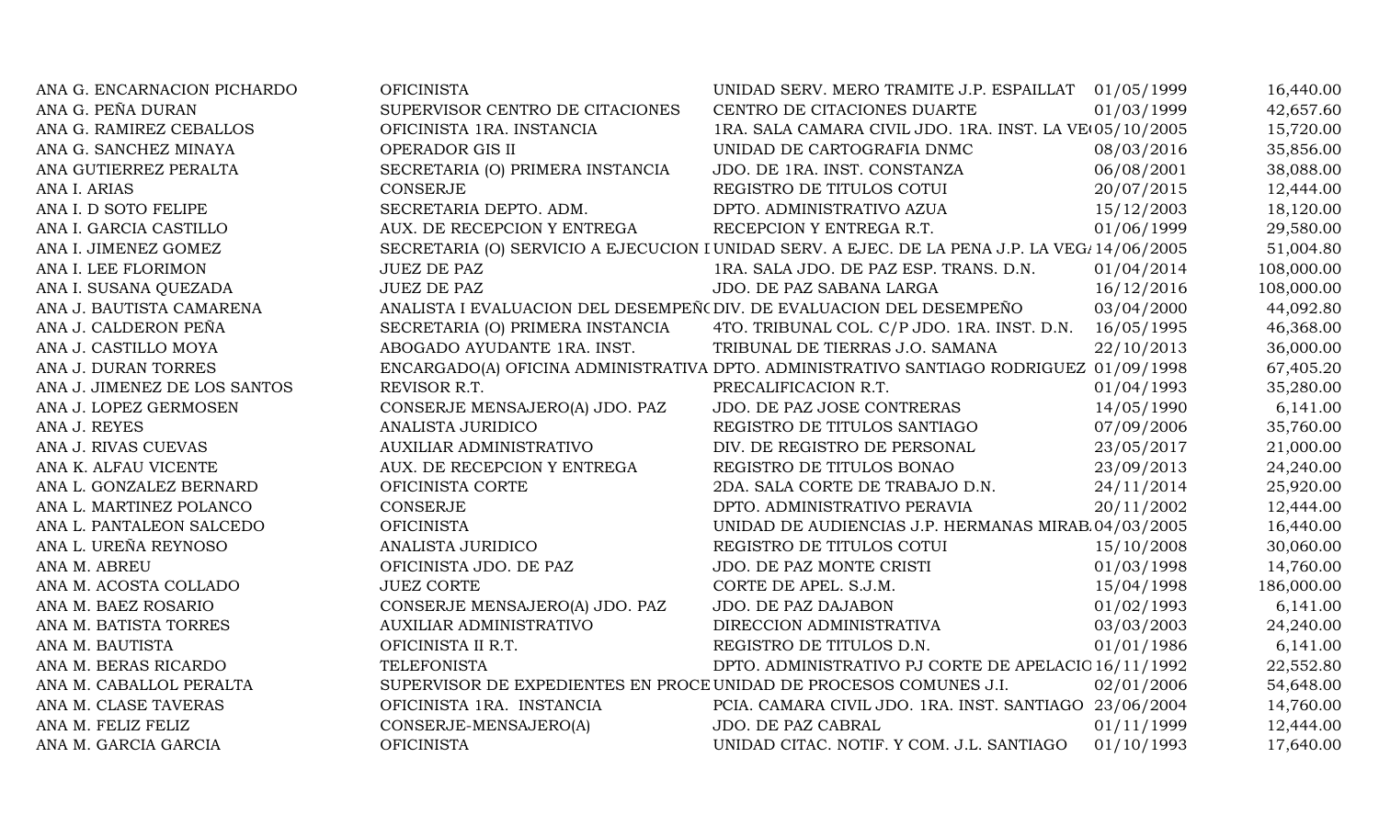| ANA G. ENCARNACION PICHARDO  | <b>OFICINISTA</b>                                                    | UNIDAD SERV. MERO TRAMITE J.P. ESPAILLAT 01/05/1999                                          |            | 16,440.00  |
|------------------------------|----------------------------------------------------------------------|----------------------------------------------------------------------------------------------|------------|------------|
| ANA G. PEÑA DURAN            | SUPERVISOR CENTRO DE CITACIONES                                      | CENTRO DE CITACIONES DUARTE                                                                  | 01/03/1999 | 42,657.60  |
| ANA G. RAMIREZ CEBALLOS      | OFICINISTA 1RA. INSTANCIA                                            | 1RA. SALA CAMARA CIVIL JDO. 1RA. INST. LA VE(05/10/2005)                                     |            | 15,720.00  |
| ANA G. SANCHEZ MINAYA        | OPERADOR GIS II                                                      | UNIDAD DE CARTOGRAFIA DNMC                                                                   | 08/03/2016 | 35,856.00  |
| ANA GUTIERREZ PERALTA        | SECRETARIA (O) PRIMERA INSTANCIA                                     | JDO. DE 1RA. INST. CONSTANZA                                                                 | 06/08/2001 | 38,088.00  |
| ANA I. ARIAS                 | <b>CONSERJE</b>                                                      | REGISTRO DE TITULOS COTUI                                                                    | 20/07/2015 | 12,444.00  |
| ANA I. D SOTO FELIPE         | SECRETARIA DEPTO. ADM.                                               | DPTO. ADMINISTRATIVO AZUA                                                                    | 15/12/2003 | 18,120.00  |
| ANA I. GARCIA CASTILLO       | AUX. DE RECEPCION Y ENTREGA                                          | RECEPCION Y ENTREGA R.T.                                                                     | 01/06/1999 | 29,580.00  |
| ANA I. JIMENEZ GOMEZ         |                                                                      | SECRETARIA (O) SERVICIO A EJECUCION I UNIDAD SERV. A EJEC. DE LA PENA J.P. LA VEG/14/06/2005 |            | 51,004.80  |
| ANA I. LEE FLORIMON          | <b>JUEZ DE PAZ</b>                                                   | 1RA. SALA JDO. DE PAZ ESP. TRANS. D.N.                                                       | 01/04/2014 | 108,000.00 |
| ANA I. SUSANA QUEZADA        | <b>JUEZ DE PAZ</b>                                                   | JDO. DE PAZ SABANA LARGA                                                                     | 16/12/2016 | 108,000.00 |
| ANA J. BAUTISTA CAMARENA     | ANALISTA I EVALUACION DEL DESEMPEÑO DIV. DE EVALUACION DEL DESEMPEÑO |                                                                                              | 03/04/2000 | 44,092.80  |
| ANA J. CALDERON PEÑA         | SECRETARIA (O) PRIMERA INSTANCIA                                     | 4TO. TRIBUNAL COL. C/P JDO. 1RA. INST. D.N.                                                  | 16/05/1995 | 46,368.00  |
| ANA J. CASTILLO MOYA         | ABOGADO AYUDANTE 1RA. INST.                                          | TRIBUNAL DE TIERRAS J.O. SAMANA                                                              | 22/10/2013 | 36,000.00  |
| ANA J. DURAN TORRES          |                                                                      | ENCARGADO(A) OFICINA ADMINISTRATIVA DPTO. ADMINISTRATIVO SANTIAGO RODRIGUEZ 01/09/1998       |            | 67,405.20  |
| ANA J. JIMENEZ DE LOS SANTOS | REVISOR R.T.                                                         | PRECALIFICACION R.T.                                                                         | 01/04/1993 | 35,280.00  |
| ANA J. LOPEZ GERMOSEN        | CONSERJE MENSAJERO(A) JDO. PAZ                                       | JDO. DE PAZ JOSE CONTRERAS                                                                   | 14/05/1990 | 6,141.00   |
| ANA J. REYES                 | ANALISTA JURIDICO                                                    | REGISTRO DE TITULOS SANTIAGO                                                                 | 07/09/2006 | 35,760.00  |
| ANA J. RIVAS CUEVAS          | <b>AUXILIAR ADMINISTRATIVO</b>                                       | DIV. DE REGISTRO DE PERSONAL                                                                 | 23/05/2017 | 21,000.00  |
| ANA K. ALFAU VICENTE         | AUX. DE RECEPCION Y ENTREGA                                          | REGISTRO DE TITULOS BONAO                                                                    | 23/09/2013 | 24,240.00  |
| ANA L. GONZALEZ BERNARD      | OFICINISTA CORTE                                                     | 2DA. SALA CORTE DE TRABAJO D.N.                                                              | 24/11/2014 | 25,920.00  |
| ANA L. MARTINEZ POLANCO      | CONSERJE                                                             | DPTO. ADMINISTRATIVO PERAVIA                                                                 | 20/11/2002 | 12,444.00  |
| ANA L. PANTALEON SALCEDO     | <b>OFICINISTA</b>                                                    | UNIDAD DE AUDIENCIAS J.P. HERMANAS MIRAB 04/03/2005                                          |            | 16,440.00  |
| ANA L. UREÑA REYNOSO         | ANALISTA JURIDICO                                                    | REGISTRO DE TITULOS COTUI                                                                    | 15/10/2008 | 30,060.00  |
| ANA M. ABREU                 | OFICINISTA JDO. DE PAZ                                               | JDO. DE PAZ MONTE CRISTI                                                                     | 01/03/1998 | 14,760.00  |
| ANA M. ACOSTA COLLADO        | <b>JUEZ CORTE</b>                                                    | CORTE DE APEL. S.J.M.                                                                        | 15/04/1998 | 186,000.00 |
| ANA M. BAEZ ROSARIO          | CONSERJE MENSAJERO(A) JDO. PAZ                                       | JDO. DE PAZ DAJABON                                                                          | 01/02/1993 | 6,141.00   |
| ANA M. BATISTA TORRES        | AUXILIAR ADMINISTRATIVO                                              | DIRECCION ADMINISTRATIVA                                                                     | 03/03/2003 | 24,240.00  |
| ANA M. BAUTISTA              | OFICINISTA II R.T.                                                   | REGISTRO DE TITULOS D.N.                                                                     | 01/01/1986 | 6,141.00   |
| ANA M. BERAS RICARDO         | <b>TELEFONISTA</b>                                                   | DPTO. ADMINISTRATIVO PJ CORTE DE APELACIO 16/11/1992                                         |            | 22,552.80  |
| ANA M. CABALLOL PERALTA      | SUPERVISOR DE EXPEDIENTES EN PROCE UNIDAD DE PROCESOS COMUNES J.I.   |                                                                                              | 02/01/2006 | 54,648.00  |
| ANA M. CLASE TAVERAS         | OFICINISTA 1RA. INSTANCIA                                            | PCIA. CAMARA CIVIL JDO. 1RA. INST. SANTIAGO 23/06/2004                                       |            | 14,760.00  |
| ANA M. FELIZ FELIZ           | CONSERJE-MENSAJERO(A)                                                | JDO. DE PAZ CABRAL                                                                           | 01/11/1999 | 12,444.00  |
| ANA M. GARCIA GARCIA         | <b>OFICINISTA</b>                                                    | UNIDAD CITAC. NOTIF. Y COM. J.L. SANTIAGO                                                    | 01/10/1993 | 17,640.00  |
|                              |                                                                      |                                                                                              |            |            |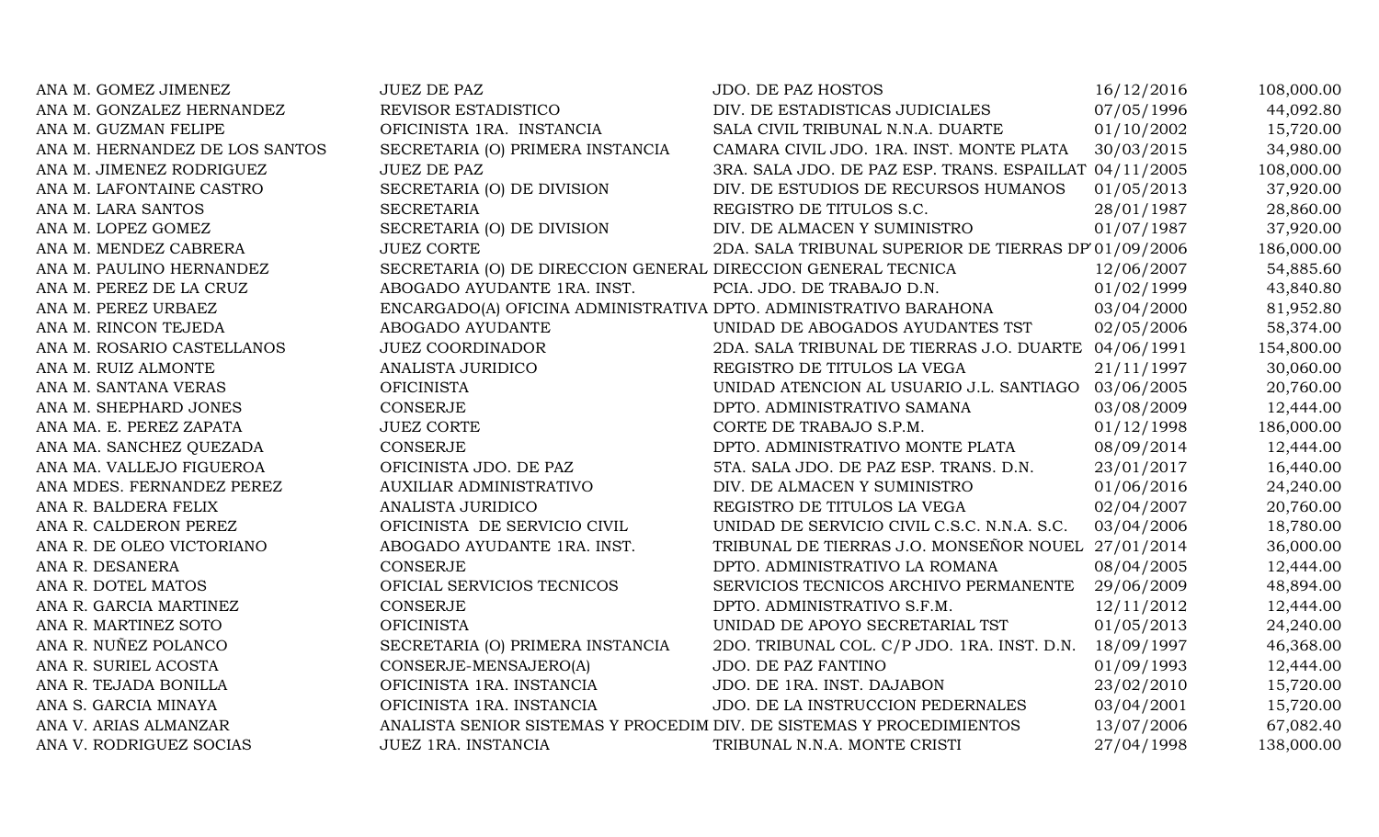| ANA M. GOMEZ JIMENEZ           | <b>JUEZ DE PAZ</b>                                                    | <b>JDO. DE PAZ HOSTOS</b>                              | 16/12/2016 | 108,000.00 |
|--------------------------------|-----------------------------------------------------------------------|--------------------------------------------------------|------------|------------|
| ANA M. GONZALEZ HERNANDEZ      | REVISOR ESTADISTICO                                                   | DIV. DE ESTADISTICAS JUDICIALES                        | 07/05/1996 | 44,092.80  |
| ANA M. GUZMAN FELIPE           | OFICINISTA 1RA. INSTANCIA                                             | SALA CIVIL TRIBUNAL N.N.A. DUARTE                      | 01/10/2002 | 15,720.00  |
| ANA M. HERNANDEZ DE LOS SANTOS | SECRETARIA (O) PRIMERA INSTANCIA                                      | CAMARA CIVIL JDO. 1RA. INST. MONTE PLATA               | 30/03/2015 | 34,980.00  |
| ANA M. JIMENEZ RODRIGUEZ       | <b>JUEZ DE PAZ</b>                                                    | 3RA. SALA JDO. DE PAZ ESP. TRANS. ESPAILLAT 04/11/2005 |            | 108,000.00 |
| ANA M. LAFONTAINE CASTRO       | SECRETARIA (O) DE DIVISION                                            | DIV. DE ESTUDIOS DE RECURSOS HUMANOS                   | 01/05/2013 | 37,920.00  |
| ANA M. LARA SANTOS             | <b>SECRETARIA</b>                                                     | REGISTRO DE TITULOS S.C.                               | 28/01/1987 | 28,860.00  |
| ANA M. LOPEZ GOMEZ             | SECRETARIA (O) DE DIVISION                                            | DIV. DE ALMACEN Y SUMINISTRO                           | 01/07/1987 | 37,920.00  |
| ANA M. MENDEZ CABRERA          | <b>JUEZ CORTE</b>                                                     | 2DA. SALA TRIBUNAL SUPERIOR DE TIERRAS DP 01/09/2006   |            | 186,000.00 |
| ANA M. PAULINO HERNANDEZ       | SECRETARIA (O) DE DIRECCION GENERAL DIRECCION GENERAL TECNICA         |                                                        | 12/06/2007 | 54,885.60  |
| ANA M. PEREZ DE LA CRUZ        | ABOGADO AYUDANTE 1RA. INST.                                           | PCIA. JDO. DE TRABAJO D.N.                             | 01/02/1999 | 43,840.80  |
| ANA M. PEREZ URBAEZ            | ENCARGADO(A) OFICINA ADMINISTRATIVA DPTO. ADMINISTRATIVO BARAHONA     |                                                        | 03/04/2000 | 81,952.80  |
| ANA M. RINCON TEJEDA           | ABOGADO AYUDANTE                                                      | UNIDAD DE ABOGADOS AYUDANTES TST                       | 02/05/2006 | 58,374.00  |
| ANA M. ROSARIO CASTELLANOS     | <b>JUEZ COORDINADOR</b>                                               | 2DA. SALA TRIBUNAL DE TIERRAS J.O. DUARTE 04/06/1991   |            | 154,800.00 |
| ANA M. RUIZ ALMONTE            | ANALISTA JURIDICO                                                     | REGISTRO DE TITULOS LA VEGA                            | 21/11/1997 | 30,060.00  |
| ANA M. SANTANA VERAS           | <b>OFICINISTA</b>                                                     | UNIDAD ATENCION AL USUARIO J.L. SANTIAGO               | 03/06/2005 | 20,760.00  |
| ANA M. SHEPHARD JONES          | <b>CONSERJE</b>                                                       | DPTO. ADMINISTRATIVO SAMANA                            | 03/08/2009 | 12,444.00  |
| ANA MA. E. PEREZ ZAPATA        | <b>JUEZ CORTE</b>                                                     | CORTE DE TRABAJO S.P.M.                                | 01/12/1998 | 186,000.00 |
| ANA MA. SANCHEZ QUEZADA        | <b>CONSERJE</b>                                                       | DPTO. ADMINISTRATIVO MONTE PLATA                       | 08/09/2014 | 12,444.00  |
| ANA MA. VALLEJO FIGUEROA       | OFICINISTA JDO. DE PAZ                                                | 5TA. SALA JDO. DE PAZ ESP. TRANS. D.N.                 | 23/01/2017 | 16,440.00  |
| ANA MDES. FERNANDEZ PEREZ      | AUXILIAR ADMINISTRATIVO                                               | DIV. DE ALMACEN Y SUMINISTRO                           | 01/06/2016 | 24,240.00  |
| ANA R. BALDERA FELIX           | ANALISTA JURIDICO                                                     | REGISTRO DE TITULOS LA VEGA                            | 02/04/2007 | 20,760.00  |
| ANA R. CALDERON PEREZ          | OFICINISTA DE SERVICIO CIVIL                                          | UNIDAD DE SERVICIO CIVIL C.S.C. N.N.A. S.C.            | 03/04/2006 | 18,780.00  |
| ANA R. DE OLEO VICTORIANO      | ABOGADO AYUDANTE 1RA. INST.                                           | TRIBUNAL DE TIERRAS J.O. MONSEÑOR NOUEL 27/01/2014     |            | 36,000.00  |
| ANA R. DESANERA                | CONSERJE                                                              | DPTO. ADMINISTRATIVO LA ROMANA                         | 08/04/2005 | 12,444.00  |
| ANA R. DOTEL MATOS             | OFICIAL SERVICIOS TECNICOS                                            | SERVICIOS TECNICOS ARCHIVO PERMANENTE                  | 29/06/2009 | 48,894.00  |
| ANA R. GARCIA MARTINEZ         | <b>CONSERJE</b>                                                       | DPTO. ADMINISTRATIVO S.F.M.                            | 12/11/2012 | 12,444.00  |
| ANA R. MARTINEZ SOTO           | <b>OFICINISTA</b>                                                     | UNIDAD DE APOYO SECRETARIAL TST                        | 01/05/2013 | 24,240.00  |
| ANA R. NUÑEZ POLANCO           | SECRETARIA (O) PRIMERA INSTANCIA                                      | 2DO. TRIBUNAL COL. C/P JDO. 1RA. INST. D.N.            | 18/09/1997 | 46,368.00  |
| ANA R. SURIEL ACOSTA           | CONSERJE-MENSAJERO(A)                                                 | JDO. DE PAZ FANTINO                                    | 01/09/1993 | 12,444.00  |
| ANA R. TEJADA BONILLA          | OFICINISTA 1RA. INSTANCIA                                             | JDO. DE 1RA. INST. DAJABON                             | 23/02/2010 | 15,720.00  |
| ANA S. GARCIA MINAYA           | OFICINISTA 1RA. INSTANCIA                                             | JDO. DE LA INSTRUCCION PEDERNALES                      | 03/04/2001 | 15,720.00  |
| ANA V. ARIAS ALMANZAR          | ANALISTA SENIOR SISTEMAS Y PROCEDIM DIV. DE SISTEMAS Y PROCEDIMIENTOS |                                                        | 13/07/2006 | 67,082.40  |
| ANA V. RODRIGUEZ SOCIAS        | JUEZ 1RA. INSTANCIA                                                   | TRIBUNAL N.N.A. MONTE CRISTI                           | 27/04/1998 | 138,000.00 |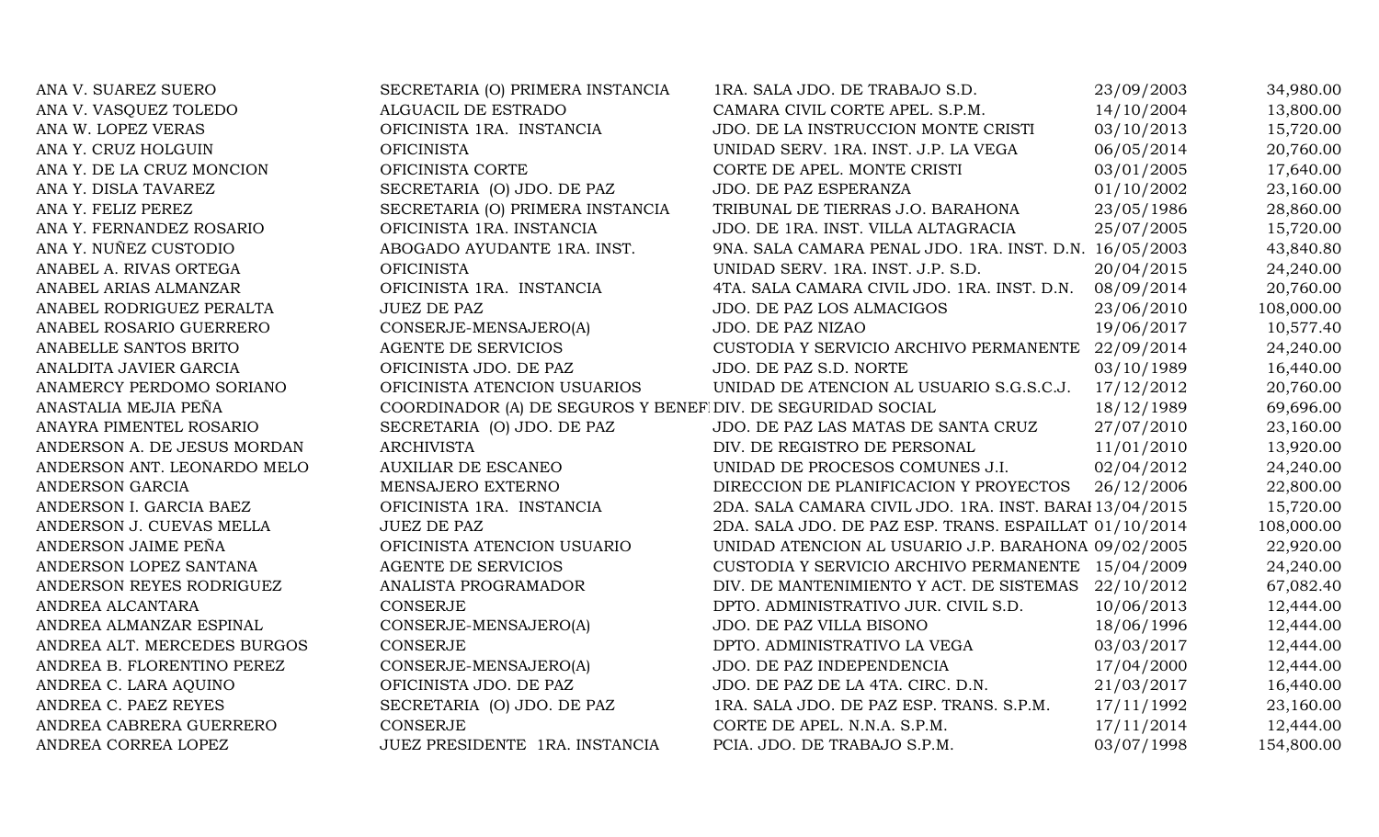| ANA V. SUAREZ SUERO         | SECRETARIA (O) PRIMERA INSTANCIA                            | 1RA. SALA JDO. DE TRABAJO S.D.                          | 23/09/2003 | 34,980.00  |
|-----------------------------|-------------------------------------------------------------|---------------------------------------------------------|------------|------------|
| ANA V. VASQUEZ TOLEDO       | ALGUACIL DE ESTRADO                                         | CAMARA CIVIL CORTE APEL. S.P.M.                         | 14/10/2004 | 13,800.00  |
| ANA W. LOPEZ VERAS          | OFICINISTA 1RA. INSTANCIA                                   | JDO. DE LA INSTRUCCION MONTE CRISTI                     | 03/10/2013 | 15,720.00  |
| ANA Y. CRUZ HOLGUIN         | <b>OFICINISTA</b>                                           | UNIDAD SERV. 1RA. INST. J.P. LA VEGA                    | 06/05/2014 | 20,760.00  |
| ANA Y. DE LA CRUZ MONCION   | OFICINISTA CORTE                                            | CORTE DE APEL. MONTE CRISTI                             | 03/01/2005 | 17,640.00  |
| ANA Y. DISLA TAVAREZ        | SECRETARIA (O) JDO. DE PAZ                                  | JDO. DE PAZ ESPERANZA                                   | 01/10/2002 | 23,160.00  |
| ANA Y. FELIZ PEREZ          | SECRETARIA (O) PRIMERA INSTANCIA                            | TRIBUNAL DE TIERRAS J.O. BARAHONA                       | 23/05/1986 | 28,860.00  |
| ANA Y. FERNANDEZ ROSARIO    | OFICINISTA 1RA. INSTANCIA                                   | JDO. DE 1RA. INST. VILLA ALTAGRACIA                     | 25/07/2005 | 15,720.00  |
| ANA Y. NUÑEZ CUSTODIO       | ABOGADO AYUDANTE 1RA. INST.                                 | 9NA. SALA CAMARA PENAL JDO. 1RA. INST. D.N. 16/05/2003  |            | 43,840.80  |
| ANABEL A. RIVAS ORTEGA      | <b>OFICINISTA</b>                                           | UNIDAD SERV. 1RA. INST. J.P. S.D.                       | 20/04/2015 | 24,240.00  |
| ANABEL ARIAS ALMANZAR       | OFICINISTA 1RA. INSTANCIA                                   | 4TA. SALA CAMARA CIVIL JDO. 1RA. INST. D.N.             | 08/09/2014 | 20,760.00  |
| ANABEL RODRIGUEZ PERALTA    | <b>JUEZ DE PAZ</b>                                          | JDO. DE PAZ LOS ALMACIGOS                               | 23/06/2010 | 108,000.00 |
| ANABEL ROSARIO GUERRERO     | CONSERJE-MENSAJERO(A)                                       | JDO. DE PAZ NIZAO                                       | 19/06/2017 | 10,577.40  |
| ANABELLE SANTOS BRITO       | <b>AGENTE DE SERVICIOS</b>                                  | CUSTODIA Y SERVICIO ARCHIVO PERMANENTE 22/09/2014       |            | 24,240.00  |
| ANALDITA JAVIER GARCIA      | OFICINISTA JDO. DE PAZ                                      | JDO. DE PAZ S.D. NORTE                                  | 03/10/1989 | 16,440.00  |
| ANAMERCY PERDOMO SORIANO    | OFICINISTA ATENCION USUARIOS                                | UNIDAD DE ATENCION AL USUARIO S.G.S.C.J.                | 17/12/2012 | 20,760.00  |
| ANASTALIA MEJIA PEÑA        | COORDINADOR (A) DE SEGUROS Y BENEF DIV. DE SEGURIDAD SOCIAL |                                                         | 18/12/1989 | 69,696.00  |
| ANAYRA PIMENTEL ROSARIO     | SECRETARIA (O) JDO. DE PAZ                                  | JDO. DE PAZ LAS MATAS DE SANTA CRUZ                     | 27/07/2010 | 23,160.00  |
| ANDERSON A. DE JESUS MORDAN | <b>ARCHIVISTA</b>                                           | DIV. DE REGISTRO DE PERSONAL                            | 11/01/2010 | 13,920.00  |
| ANDERSON ANT. LEONARDO MELO | <b>AUXILIAR DE ESCANEO</b>                                  | UNIDAD DE PROCESOS COMUNES J.I.                         | 02/04/2012 | 24,240.00  |
| ANDERSON GARCIA             | MENSAJERO EXTERNO                                           | DIRECCION DE PLANIFICACION Y PROYECTOS                  | 26/12/2006 | 22,800.00  |
| ANDERSON I. GARCIA BAEZ     | OFICINISTA 1RA. INSTANCIA                                   | 2DA. SALA CAMARA CIVIL JDO. 1RA. INST. BARAI 13/04/2015 |            | 15,720.00  |
| ANDERSON J. CUEVAS MELLA    | <b>JUEZ DE PAZ</b>                                          | 2DA. SALA JDO. DE PAZ ESP. TRANS. ESPAILLAT 01/10/2014  |            | 108,000.00 |
| ANDERSON JAIME PEÑA         | OFICINISTA ATENCION USUARIO                                 | UNIDAD ATENCION AL USUARIO J.P. BARAHONA 09/02/2005     |            | 22,920.00  |
| ANDERSON LOPEZ SANTANA      | AGENTE DE SERVICIOS                                         | CUSTODIA Y SERVICIO ARCHIVO PERMANENTE 15/04/2009       |            | 24,240.00  |
| ANDERSON REYES RODRIGUEZ    | ANALISTA PROGRAMADOR                                        | DIV. DE MANTENIMIENTO Y ACT. DE SISTEMAS 22/10/2012     |            | 67,082.40  |
| ANDREA ALCANTARA            | CONSERJE                                                    | DPTO. ADMINISTRATIVO JUR. CIVIL S.D.                    | 10/06/2013 | 12,444.00  |
| ANDREA ALMANZAR ESPINAL     | CONSERJE-MENSAJERO(A)                                       | JDO. DE PAZ VILLA BISONO                                | 18/06/1996 | 12,444.00  |
| ANDREA ALT. MERCEDES BURGOS | <b>CONSERJE</b>                                             | DPTO. ADMINISTRATIVO LA VEGA                            | 03/03/2017 | 12,444.00  |
| ANDREA B. FLORENTINO PEREZ  | CONSERJE-MENSAJERO(A)                                       | JDO. DE PAZ INDEPENDENCIA                               | 17/04/2000 | 12,444.00  |
| ANDREA C. LARA AQUINO       | OFICINISTA JDO. DE PAZ                                      | JDO. DE PAZ DE LA 4TA. CIRC. D.N.                       | 21/03/2017 | 16,440.00  |
| ANDREA C. PAEZ REYES        | SECRETARIA (O) JDO. DE PAZ                                  | 1RA. SALA JDO. DE PAZ ESP. TRANS. S.P.M.                | 17/11/1992 | 23,160.00  |
| ANDREA CABRERA GUERRERO     | CONSERJE                                                    | CORTE DE APEL. N.N.A. S.P.M.                            | 17/11/2014 | 12,444.00  |
| ANDREA CORREA LOPEZ         | JUEZ PRESIDENTE 1RA. INSTANCIA                              | PCIA. JDO. DE TRABAJO S.P.M.                            | 03/07/1998 | 154,800.00 |
|                             |                                                             |                                                         |            |            |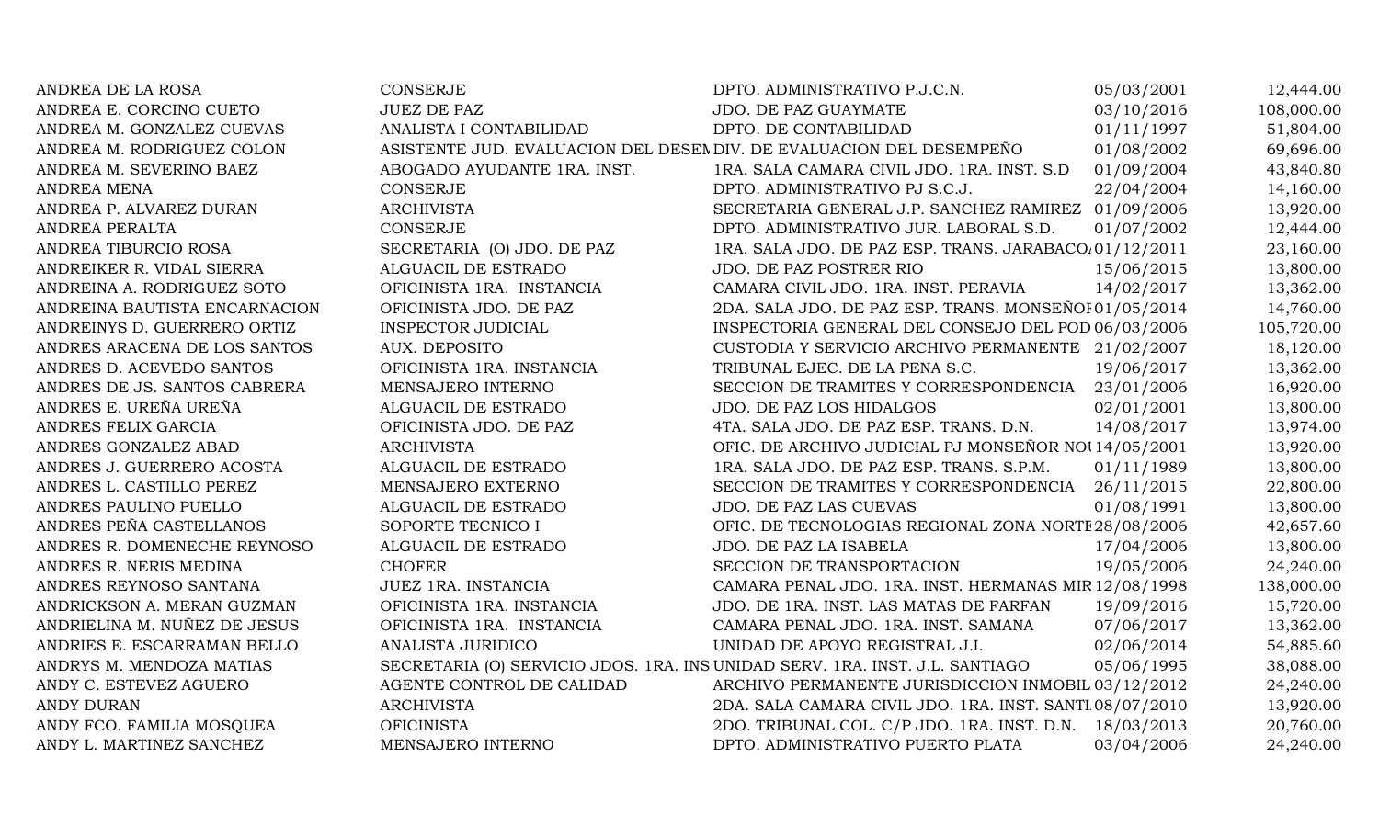| ANDREA DE LA ROSA             | <b>CONSERJE</b>                                                              | DPTO. ADMINISTRATIVO P.J.C.N.                           | 05/03/2001 | 12,444.00  |
|-------------------------------|------------------------------------------------------------------------------|---------------------------------------------------------|------------|------------|
| ANDREA E. CORCINO CUETO       | <b>JUEZ DE PAZ</b>                                                           | JDO. DE PAZ GUAYMATE                                    | 03/10/2016 | 108,000.00 |
| ANDREA M. GONZALEZ CUEVAS     | ANALISTA I CONTABILIDAD                                                      | DPTO. DE CONTABILIDAD                                   | 01/11/1997 | 51,804.00  |
| ANDREA M. RODRIGUEZ COLON     | ASISTENTE JUD. EVALUACION DEL DESEN DIV. DE EVALUACION DEL DESEMPEÑO         |                                                         | 01/08/2002 | 69,696.00  |
| ANDREA M. SEVERINO BAEZ       | ABOGADO AYUDANTE 1RA. INST.                                                  | 1RA. SALA CAMARA CIVIL JDO. 1RA. INST. S.D              | 01/09/2004 | 43,840.80  |
| <b>ANDREA MENA</b>            | CONSERJE                                                                     | DPTO. ADMINISTRATIVO PJ S.C.J.                          | 22/04/2004 | 14,160.00  |
| ANDREA P. ALVAREZ DURAN       | <b>ARCHIVISTA</b>                                                            | SECRETARIA GENERAL J.P. SANCHEZ RAMIREZ 01/09/2006      |            | 13,920.00  |
| ANDREA PERALTA                | <b>CONSERJE</b>                                                              | DPTO. ADMINISTRATIVO JUR. LABORAL S.D.                  | 01/07/2002 | 12,444.00  |
| ANDREA TIBURCIO ROSA          | SECRETARIA (O) JDO. DE PAZ                                                   | 1RA. SALA JDO. DE PAZ ESP. TRANS. JARABACO. 01/12/2011  |            | 23,160.00  |
| ANDREIKER R. VIDAL SIERRA     | ALGUACIL DE ESTRADO                                                          | <b>JDO. DE PAZ POSTRER RIO</b>                          | 15/06/2015 | 13,800.00  |
| ANDREINA A. RODRIGUEZ SOTO    | OFICINISTA 1RA. INSTANCIA                                                    | CAMARA CIVIL JDO. 1RA. INST. PERAVIA                    | 14/02/2017 | 13,362.00  |
| ANDREINA BAUTISTA ENCARNACION | OFICINISTA JDO. DE PAZ                                                       | 2DA. SALA JDO. DE PAZ ESP. TRANS. MONSEÑOI 01/05/2014   |            | 14,760.00  |
| ANDREINYS D. GUERRERO ORTIZ   | INSPECTOR JUDICIAL                                                           | INSPECTORIA GENERAL DEL CONSEJO DEL POD 06/03/2006      |            | 105,720.00 |
| ANDRES ARACENA DE LOS SANTOS  | <b>AUX. DEPOSITO</b>                                                         | CUSTODIA Y SERVICIO ARCHIVO PERMANENTE 21/02/2007       |            | 18,120.00  |
| ANDRES D. ACEVEDO SANTOS      | OFICINISTA 1RA. INSTANCIA                                                    | TRIBUNAL EJEC. DE LA PENA S.C.                          | 19/06/2017 | 13,362.00  |
| ANDRES DE JS. SANTOS CABRERA  | MENSAJERO INTERNO                                                            | SECCION DE TRAMITES Y CORRESPONDENCIA 23/01/2006        |            | 16,920.00  |
| ANDRES E. UREÑA UREÑA         | ALGUACIL DE ESTRADO                                                          | JDO. DE PAZ LOS HIDALGOS                                | 02/01/2001 | 13,800.00  |
| ANDRES FELIX GARCIA           | OFICINISTA JDO. DE PAZ                                                       | 4TA. SALA JDO. DE PAZ ESP. TRANS. D.N.                  | 14/08/2017 | 13,974.00  |
| ANDRES GONZALEZ ABAD          | <b>ARCHIVISTA</b>                                                            | OFIC. DE ARCHIVO JUDICIAL PJ MONSEÑOR NOU14/05/2001     |            | 13,920.00  |
| ANDRES J. GUERRERO ACOSTA     | ALGUACIL DE ESTRADO                                                          | 1RA. SALA JDO. DE PAZ ESP. TRANS. S.P.M.                | 01/11/1989 | 13,800.00  |
| ANDRES L. CASTILLO PEREZ      | MENSAJERO EXTERNO                                                            | SECCION DE TRAMITES Y CORRESPONDENCIA                   | 26/11/2015 | 22,800.00  |
| ANDRES PAULINO PUELLO         | ALGUACIL DE ESTRADO                                                          | JDO. DE PAZ LAS CUEVAS                                  | 01/08/1991 | 13,800.00  |
| ANDRES PEÑA CASTELLANOS       | SOPORTE TECNICO I                                                            | OFIC. DE TECNOLOGIAS REGIONAL ZONA NORTE 28/08/2006     |            | 42,657.60  |
| ANDRES R. DOMENECHE REYNOSO   | ALGUACIL DE ESTRADO                                                          | JDO. DE PAZ LA ISABELA                                  | 17/04/2006 | 13,800.00  |
| ANDRES R. NERIS MEDINA        | <b>CHOFER</b>                                                                | SECCION DE TRANSPORTACION                               | 19/05/2006 | 24,240.00  |
| ANDRES REYNOSO SANTANA        | JUEZ 1RA. INSTANCIA                                                          | CAMARA PENAL JDO. 1RA. INST. HERMANAS MIR 12/08/1998    |            | 138,000.00 |
| ANDRICKSON A. MERAN GUZMAN    | OFICINISTA 1RA. INSTANCIA                                                    | JDO. DE 1RA. INST. LAS MATAS DE FARFAN                  | 19/09/2016 | 15,720.00  |
| ANDRIELINA M. NUÑEZ DE JESUS  | OFICINISTA 1RA. INSTANCIA                                                    | CAMARA PENAL JDO. 1RA. INST. SAMANA                     | 07/06/2017 | 13,362.00  |
| ANDRIES E. ESCARRAMAN BELLO   | ANALISTA JURIDICO                                                            | UNIDAD DE APOYO REGISTRAL J.I.                          | 02/06/2014 | 54,885.60  |
| ANDRYS M. MENDOZA MATIAS      | SECRETARIA (O) SERVICIO JDOS. 1RA. INS UNIDAD SERV. 1RA. INST. J.L. SANTIAGO |                                                         | 05/06/1995 | 38,088.00  |
| ANDY C. ESTEVEZ AGUERO        | AGENTE CONTROL DE CALIDAD                                                    | ARCHIVO PERMANENTE JURISDICCION INMOBIL 03/12/2012      |            | 24,240.00  |
| <b>ANDY DURAN</b>             | <b>ARCHIVISTA</b>                                                            | 2DA. SALA CAMARA CIVIL JDO. 1RA. INST. SANTI 08/07/2010 |            | 13,920.00  |
| ANDY FCO. FAMILIA MOSQUEA     | <b>OFICINISTA</b>                                                            | 2DO. TRIBUNAL COL. C/P JDO. 1RA. INST. D.N.             | 18/03/2013 | 20,760.00  |
| ANDY L. MARTINEZ SANCHEZ      | MENSAJERO INTERNO                                                            | DPTO. ADMINISTRATIVO PUERTO PLATA                       | 03/04/2006 | 24,240.00  |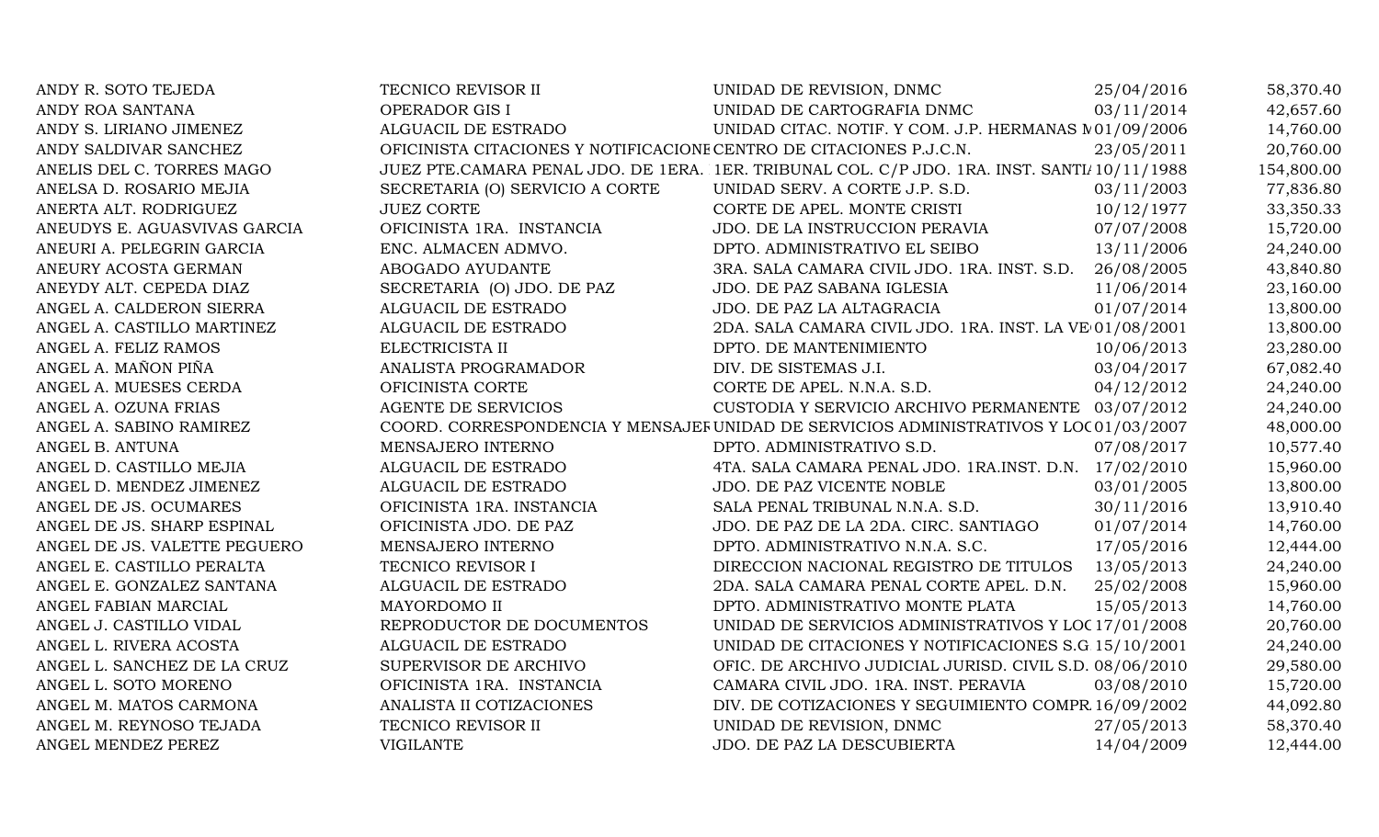| ANDY R. SOTO TEJEDA          | TECNICO REVISOR II                                                  | UNIDAD DE REVISION, DNMC                                                                    | 25/04/2016 | 58,370.40  |
|------------------------------|---------------------------------------------------------------------|---------------------------------------------------------------------------------------------|------------|------------|
| ANDY ROA SANTANA             | OPERADOR GIS I                                                      | UNIDAD DE CARTOGRAFIA DNMC                                                                  | 03/11/2014 | 42,657.60  |
| ANDY S. LIRIANO JIMENEZ      | ALGUACIL DE ESTRADO                                                 | UNIDAD CITAC. NOTIF. Y COM. J.P. HERMANAS N01/09/2006                                       |            | 14,760.00  |
| ANDY SALDIVAR SANCHEZ        | OFICINISTA CITACIONES Y NOTIFICACIONE CENTRO DE CITACIONES P.J.C.N. |                                                                                             | 23/05/2011 | 20,760.00  |
| ANELIS DEL C. TORRES MAGO    |                                                                     | JUEZ PTE.CAMARA PENAL JDO. DE 1ERA. 1ER. TRIBUNAL COL. C/P JDO. 1RA. INST. SANTI/10/11/1988 |            | 154,800.00 |
| ANELSA D. ROSARIO MEJIA      | SECRETARIA (O) SERVICIO A CORTE                                     | UNIDAD SERV. A CORTE J.P. S.D.                                                              | 03/11/2003 | 77,836.80  |
| ANERTA ALT. RODRIGUEZ        | <b>JUEZ CORTE</b>                                                   | CORTE DE APEL. MONTE CRISTI                                                                 | 10/12/1977 | 33,350.33  |
| ANEUDYS E. AGUASVIVAS GARCIA | OFICINISTA 1RA. INSTANCIA                                           | JDO. DE LA INSTRUCCION PERAVIA                                                              | 07/07/2008 | 15,720.00  |
| ANEURI A. PELEGRIN GARCIA    | ENC. ALMACEN ADMVO.                                                 | DPTO. ADMINISTRATIVO EL SEIBO                                                               | 13/11/2006 | 24,240.00  |
| ANEURY ACOSTA GERMAN         | ABOGADO AYUDANTE                                                    | 3RA. SALA CAMARA CIVIL JDO. 1RA. INST. S.D.                                                 | 26/08/2005 | 43,840.80  |
| ANEYDY ALT. CEPEDA DIAZ      | SECRETARIA (O) JDO. DE PAZ                                          | JDO. DE PAZ SABANA IGLESIA                                                                  | 11/06/2014 | 23,160.00  |
| ANGEL A. CALDERON SIERRA     | ALGUACIL DE ESTRADO                                                 | JDO. DE PAZ LA ALTAGRACIA                                                                   | 01/07/2014 | 13,800.00  |
| ANGEL A. CASTILLO MARTINEZ   | ALGUACIL DE ESTRADO                                                 | 2DA. SALA CAMARA CIVIL JDO. 1RA. INST. LA VE 01/08/2001                                     |            | 13,800.00  |
| ANGEL A. FELIZ RAMOS         | ELECTRICISTA II                                                     | DPTO. DE MANTENIMIENTO                                                                      | 10/06/2013 | 23,280.00  |
| ANGEL A. MAÑON PIÑA          | ANALISTA PROGRAMADOR                                                | DIV. DE SISTEMAS J.I.                                                                       | 03/04/2017 | 67,082.40  |
| ANGEL A. MUESES CERDA        | OFICINISTA CORTE                                                    | CORTE DE APEL. N.N.A. S.D.                                                                  | 04/12/2012 | 24,240.00  |
| ANGEL A. OZUNA FRIAS         | <b>AGENTE DE SERVICIOS</b>                                          | CUSTODIA Y SERVICIO ARCHIVO PERMANENTE 03/07/2012                                           |            | 24,240.00  |
| ANGEL A. SABINO RAMIREZ      |                                                                     | COORD. CORRESPONDENCIA Y MENSAJEF UNIDAD DE SERVICIOS ADMINISTRATIVOS Y LOC 01/03/2007      |            | 48,000.00  |
| ANGEL B. ANTUNA              | MENSAJERO INTERNO                                                   | DPTO. ADMINISTRATIVO S.D.                                                                   | 07/08/2017 | 10,577.40  |
| ANGEL D. CASTILLO MEJIA      | ALGUACIL DE ESTRADO                                                 | 4TA. SALA CAMARA PENAL JDO. 1RA.INST. D.N. 17/02/2010                                       |            | 15,960.00  |
| ANGEL D. MENDEZ JIMENEZ      | ALGUACIL DE ESTRADO                                                 | JDO. DE PAZ VICENTE NOBLE                                                                   | 03/01/2005 | 13,800.00  |
| ANGEL DE JS. OCUMARES        | OFICINISTA 1RA. INSTANCIA                                           | SALA PENAL TRIBUNAL N.N.A. S.D.                                                             | 30/11/2016 | 13,910.40  |
| ANGEL DE JS. SHARP ESPINAL   | OFICINISTA JDO. DE PAZ                                              | JDO. DE PAZ DE LA 2DA. CIRC. SANTIAGO                                                       | 01/07/2014 | 14,760.00  |
| ANGEL DE JS. VALETTE PEGUERO | MENSAJERO INTERNO                                                   | DPTO. ADMINISTRATIVO N.N.A. S.C.                                                            | 17/05/2016 | 12,444.00  |
| ANGEL E. CASTILLO PERALTA    | TECNICO REVISOR I                                                   | DIRECCION NACIONAL REGISTRO DE TITULOS                                                      | 13/05/2013 | 24,240.00  |
| ANGEL E. GONZALEZ SANTANA    | ALGUACIL DE ESTRADO                                                 | 2DA. SALA CAMARA PENAL CORTE APEL. D.N.                                                     | 25/02/2008 | 15,960.00  |
| ANGEL FABIAN MARCIAL         | MAYORDOMO II                                                        | DPTO. ADMINISTRATIVO MONTE PLATA                                                            | 15/05/2013 | 14,760.00  |
| ANGEL J. CASTILLO VIDAL      | REPRODUCTOR DE DOCUMENTOS                                           | UNIDAD DE SERVICIOS ADMINISTRATIVOS Y LOC 17/01/2008                                        |            | 20,760.00  |
| ANGEL L. RIVERA ACOSTA       | ALGUACIL DE ESTRADO                                                 | UNIDAD DE CITACIONES Y NOTIFICACIONES S.G 15/10/2001                                        |            | 24,240.00  |
| ANGEL L. SANCHEZ DE LA CRUZ  | SUPERVISOR DE ARCHIVO                                               | OFIC. DE ARCHIVO JUDICIAL JURISD. CIVIL S.D. 08/06/2010                                     |            | 29,580.00  |
| ANGEL L. SOTO MORENO         | OFICINISTA 1RA. INSTANCIA                                           | CAMARA CIVIL JDO. 1RA. INST. PERAVIA                                                        | 03/08/2010 | 15,720.00  |
| ANGEL M. MATOS CARMONA       | ANALISTA II COTIZACIONES                                            | DIV. DE COTIZACIONES Y SEGUIMIENTO COMPR 16/09/2002                                         |            | 44,092.80  |
| ANGEL M. REYNOSO TEJADA      | TECNICO REVISOR II                                                  | UNIDAD DE REVISION, DNMC                                                                    | 27/05/2013 | 58,370.40  |
| ANGEL MENDEZ PEREZ           | <b>VIGILANTE</b>                                                    | JDO. DE PAZ LA DESCUBIERTA                                                                  | 14/04/2009 | 12,444.00  |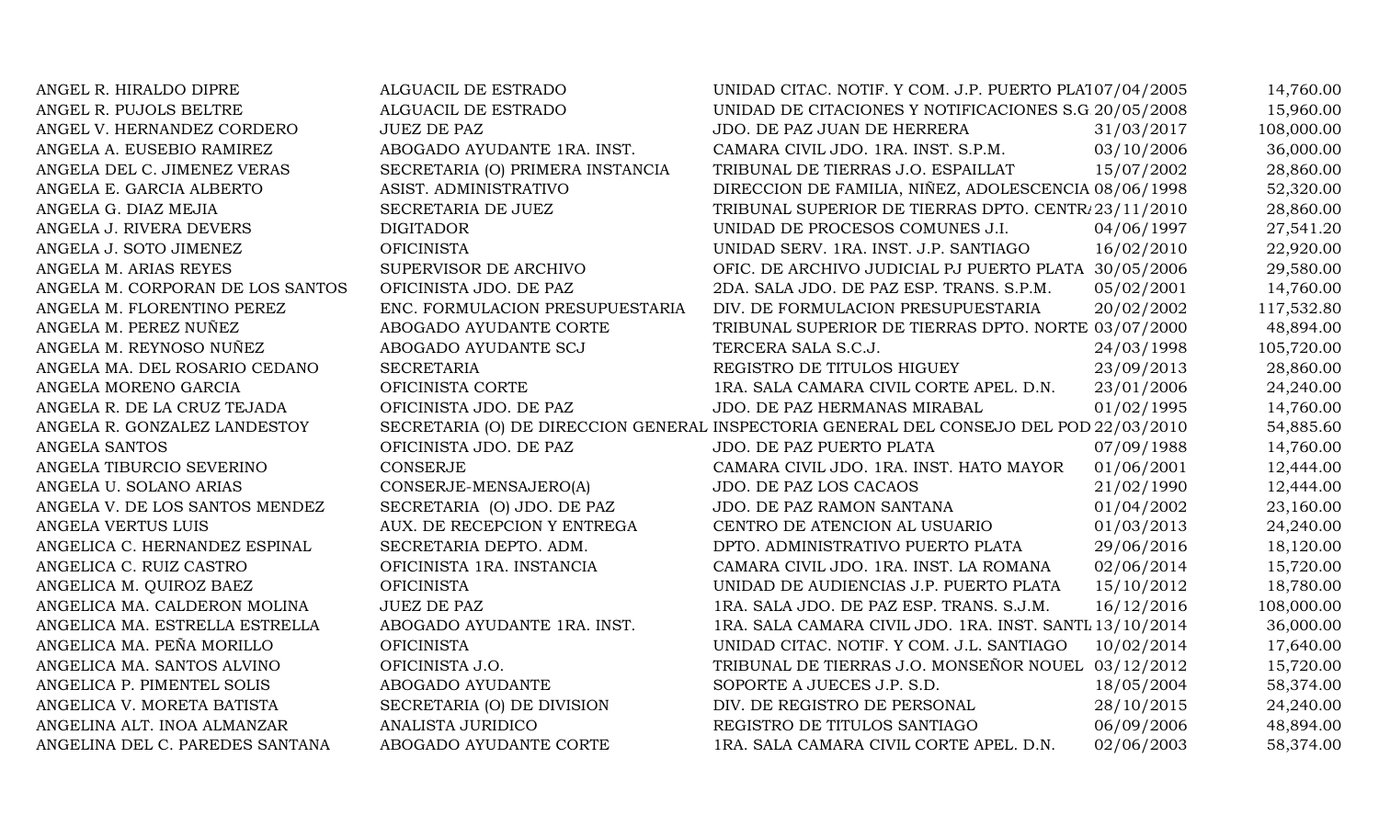| ANGEL R. HIRALDO DIPRE           | ALGUACIL DE ESTRADO              | UNIDAD CITAC. NOTIF. Y COM. J.P. PUERTO PLA107/04/2005                                 |            | 14,760.00  |
|----------------------------------|----------------------------------|----------------------------------------------------------------------------------------|------------|------------|
| ANGEL R. PUJOLS BELTRE           | ALGUACIL DE ESTRADO              | UNIDAD DE CITACIONES Y NOTIFICACIONES S.G 20/05/2008                                   |            | 15,960.00  |
| ANGEL V. HERNANDEZ CORDERO       | <b>JUEZ DE PAZ</b>               | JDO. DE PAZ JUAN DE HERRERA                                                            | 31/03/2017 | 108,000.00 |
| ANGELA A. EUSEBIO RAMIREZ        | ABOGADO AYUDANTE 1RA. INST.      | CAMARA CIVIL JDO. 1RA. INST. S.P.M.                                                    | 03/10/2006 | 36,000.00  |
| ANGELA DEL C. JIMENEZ VERAS      | SECRETARIA (O) PRIMERA INSTANCIA | TRIBUNAL DE TIERRAS J.O. ESPAILLAT                                                     | 15/07/2002 | 28,860.00  |
| ANGELA E. GARCIA ALBERTO         | ASIST. ADMINISTRATIVO            | DIRECCION DE FAMILIA, NIÑEZ, ADOLESCENCIA 08/06/1998                                   |            | 52,320.00  |
| ANGELA G. DIAZ MEJIA             | SECRETARIA DE JUEZ               | TRIBUNAL SUPERIOR DE TIERRAS DPTO. CENTR/23/11/2010                                    |            | 28,860.00  |
| ANGELA J. RIVERA DEVERS          | <b>DIGITADOR</b>                 | UNIDAD DE PROCESOS COMUNES J.I.                                                        | 04/06/1997 | 27,541.20  |
| ANGELA J. SOTO JIMENEZ           | <b>OFICINISTA</b>                | UNIDAD SERV. 1RA. INST. J.P. SANTIAGO                                                  | 16/02/2010 | 22,920.00  |
| ANGELA M. ARIAS REYES            | SUPERVISOR DE ARCHIVO            | OFIC. DE ARCHIVO JUDICIAL PJ PUERTO PLATA 30/05/2006                                   |            | 29,580.00  |
| ANGELA M. CORPORAN DE LOS SANTOS | OFICINISTA JDO. DE PAZ           | 2DA. SALA JDO. DE PAZ ESP. TRANS. S.P.M.                                               | 05/02/2001 | 14,760.00  |
| ANGELA M. FLORENTINO PEREZ       | ENC. FORMULACION PRESUPUESTARIA  | DIV. DE FORMULACION PRESUPUESTARIA                                                     | 20/02/2002 | 117,532.80 |
| ANGELA M. PEREZ NUÑEZ            | ABOGADO AYUDANTE CORTE           | TRIBUNAL SUPERIOR DE TIERRAS DPTO. NORTE 03/07/2000                                    |            | 48,894.00  |
| ANGELA M. REYNOSO NUÑEZ          | ABOGADO AYUDANTE SCJ             | TERCERA SALA S.C.J.                                                                    | 24/03/1998 | 105,720.00 |
| ANGELA MA. DEL ROSARIO CEDANO    | <b>SECRETARIA</b>                | REGISTRO DE TITULOS HIGUEY                                                             | 23/09/2013 | 28,860.00  |
| ANGELA MORENO GARCIA             | OFICINISTA CORTE                 | 1RA. SALA CAMARA CIVIL CORTE APEL. D.N.                                                | 23/01/2006 | 24,240.00  |
| ANGELA R. DE LA CRUZ TEJADA      | OFICINISTA JDO. DE PAZ           | JDO. DE PAZ HERMANAS MIRABAL                                                           | 01/02/1995 | 14,760.00  |
| ANGELA R. GONZALEZ LANDESTOY     |                                  | SECRETARIA (O) DE DIRECCION GENERAL INSPECTORIA GENERAL DEL CONSEJO DEL POD 22/03/2010 |            | 54,885.60  |
| ANGELA SANTOS                    | OFICINISTA JDO. DE PAZ           | JDO. DE PAZ PUERTO PLATA                                                               | 07/09/1988 | 14,760.00  |
| ANGELA TIBURCIO SEVERINO         | <b>CONSERJE</b>                  | CAMARA CIVIL JDO. 1RA. INST. HATO MAYOR                                                | 01/06/2001 | 12,444.00  |
| ANGELA U. SOLANO ARIAS           | CONSERJE-MENSAJERO(A)            | JDO. DE PAZ LOS CACAOS                                                                 | 21/02/1990 | 12,444.00  |
| ANGELA V. DE LOS SANTOS MENDEZ   | SECRETARIA (O) JDO. DE PAZ       | JDO. DE PAZ RAMON SANTANA                                                              | 01/04/2002 | 23,160.00  |
| ANGELA VERTUS LUIS               | AUX. DE RECEPCION Y ENTREGA      | CENTRO DE ATENCION AL USUARIO                                                          | 01/03/2013 | 24,240.00  |
| ANGELICA C. HERNANDEZ ESPINAL    | SECRETARIA DEPTO. ADM.           | DPTO. ADMINISTRATIVO PUERTO PLATA                                                      | 29/06/2016 | 18,120.00  |
| ANGELICA C. RUIZ CASTRO          | OFICINISTA 1RA. INSTANCIA        | CAMARA CIVIL JDO. 1RA. INST. LA ROMANA                                                 | 02/06/2014 | 15,720.00  |
| ANGELICA M. QUIROZ BAEZ          | <b>OFICINISTA</b>                | UNIDAD DE AUDIENCIAS J.P. PUERTO PLATA                                                 | 15/10/2012 | 18,780.00  |
| ANGELICA MA. CALDERON MOLINA     | <b>JUEZ DE PAZ</b>               | 1RA. SALA JDO. DE PAZ ESP. TRANS. S.J.M.                                               | 16/12/2016 | 108,000.00 |
| ANGELICA MA. ESTRELLA ESTRELLA   | ABOGADO AYUDANTE 1RA. INST.      | 1RA. SALA CAMARA CIVIL JDO. 1RA. INST. SANTL 13/10/2014                                |            | 36,000.00  |
| ANGELICA MA. PEÑA MORILLO        | <b>OFICINISTA</b>                | UNIDAD CITAC. NOTIF. Y COM. J.L. SANTIAGO                                              | 10/02/2014 | 17,640.00  |
| ANGELICA MA. SANTOS ALVINO       | OFICINISTA J.O.                  | TRIBUNAL DE TIERRAS J.O. MONSEÑOR NOUEL 03/12/2012                                     |            | 15,720.00  |
| ANGELICA P. PIMENTEL SOLIS       | ABOGADO AYUDANTE                 | SOPORTE A JUECES J.P. S.D.                                                             | 18/05/2004 | 58,374.00  |
| ANGELICA V. MORETA BATISTA       | SECRETARIA (O) DE DIVISION       | DIV. DE REGISTRO DE PERSONAL                                                           | 28/10/2015 | 24,240.00  |
| ANGELINA ALT. INOA ALMANZAR      | ANALISTA JURIDICO                | REGISTRO DE TITULOS SANTIAGO                                                           | 06/09/2006 | 48,894.00  |
| ANGELINA DEL C. PAREDES SANTANA  | ABOGADO AYUDANTE CORTE           | 1RA. SALA CAMARA CIVIL CORTE APEL. D.N.                                                | 02/06/2003 | 58,374.00  |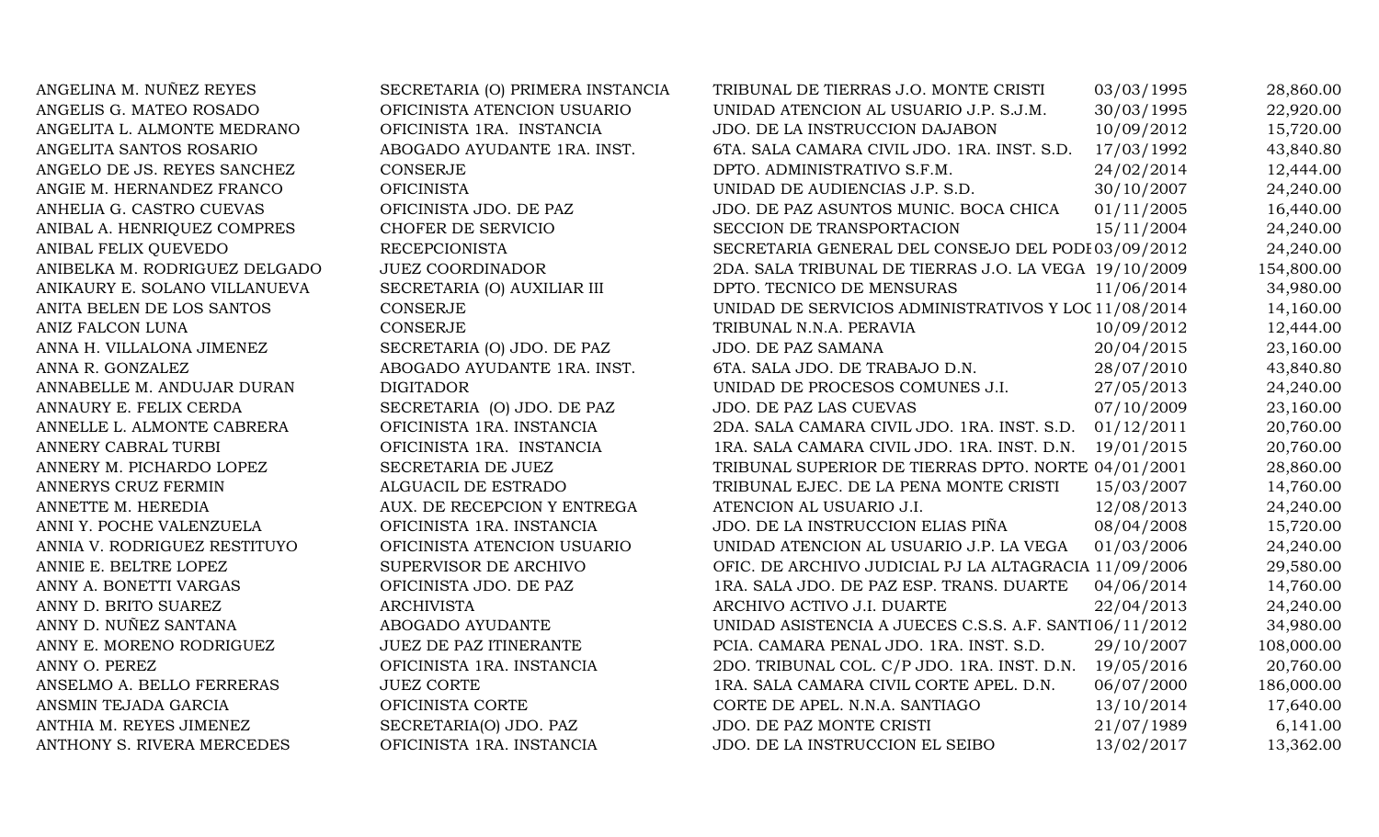| ANGELINA M. NUÑEZ REYES       | SECRETARIA (O) PRIMERA INSTANCIA | TRIBUNAL DE TIERRAS J.O. MONTE CRISTI                  | 03/03/1995 | 28,860.00  |
|-------------------------------|----------------------------------|--------------------------------------------------------|------------|------------|
| ANGELIS G. MATEO ROSADO       | OFICINISTA ATENCION USUARIO      | UNIDAD ATENCION AL USUARIO J.P. S.J.M.                 | 30/03/1995 | 22,920.00  |
| ANGELITA L. ALMONTE MEDRANO   | OFICINISTA 1RA. INSTANCIA        | JDO. DE LA INSTRUCCION DAJABON                         | 10/09/2012 | 15,720.00  |
| ANGELITA SANTOS ROSARIO       | ABOGADO AYUDANTE 1RA. INST.      | 6TA. SALA CAMARA CIVIL JDO. 1RA. INST. S.D.            | 17/03/1992 | 43,840.80  |
| ANGELO DE JS. REYES SANCHEZ   | <b>CONSERJE</b>                  | DPTO. ADMINISTRATIVO S.F.M.                            | 24/02/2014 | 12,444.00  |
| ANGIE M. HERNANDEZ FRANCO     | <b>OFICINISTA</b>                | UNIDAD DE AUDIENCIAS J.P. S.D.                         | 30/10/2007 | 24,240.00  |
| ANHELIA G. CASTRO CUEVAS      | OFICINISTA JDO. DE PAZ           | JDO. DE PAZ ASUNTOS MUNIC. BOCA CHICA                  | 01/11/2005 | 16,440.00  |
| ANIBAL A. HENRIQUEZ COMPRES   | CHOFER DE SERVICIO               | SECCION DE TRANSPORTACION                              | 15/11/2004 | 24,240.00  |
| ANIBAL FELIX QUEVEDO          | <b>RECEPCIONISTA</b>             | SECRETARIA GENERAL DEL CONSEJO DEL PODI 03/09/2012     |            | 24,240.00  |
| ANIBELKA M. RODRIGUEZ DELGADO | <b>JUEZ COORDINADOR</b>          | 2DA. SALA TRIBUNAL DE TIERRAS J.O. LA VEGA 19/10/2009  |            | 154,800.00 |
| ANIKAURY E. SOLANO VILLANUEVA | SECRETARIA (O) AUXILIAR III      | DPTO. TECNICO DE MENSURAS                              | 11/06/2014 | 34,980.00  |
| ANITA BELEN DE LOS SANTOS     | <b>CONSERJE</b>                  | UNIDAD DE SERVICIOS ADMINISTRATIVOS Y LOC 11/08/2014   |            | 14,160.00  |
| ANIZ FALCON LUNA              | <b>CONSERJE</b>                  | TRIBUNAL N.N.A. PERAVIA                                | 10/09/2012 | 12,444.00  |
| ANNA H. VILLALONA JIMENEZ     | SECRETARIA (O) JDO. DE PAZ       | JDO. DE PAZ SAMANA                                     | 20/04/2015 | 23,160.00  |
| ANNA R. GONZALEZ              | ABOGADO AYUDANTE 1RA. INST.      | 6TA. SALA JDO. DE TRABAJO D.N.                         | 28/07/2010 | 43,840.80  |
| ANNABELLE M. ANDUJAR DURAN    | <b>DIGITADOR</b>                 | UNIDAD DE PROCESOS COMUNES J.I.                        | 27/05/2013 | 24,240.00  |
| ANNAURY E. FELIX CERDA        | SECRETARIA (O) JDO. DE PAZ       | JDO. DE PAZ LAS CUEVAS                                 | 07/10/2009 | 23,160.00  |
| ANNELLE L. ALMONTE CABRERA    | OFICINISTA 1RA. INSTANCIA        | 2DA. SALA CAMARA CIVIL JDO. 1RA. INST. S.D.            | 01/12/2011 | 20,760.00  |
| ANNERY CABRAL TURBI           | OFICINISTA 1RA. INSTANCIA        | 1RA. SALA CAMARA CIVIL JDO. 1RA. INST. D.N.            | 19/01/2015 | 20,760.00  |
| ANNERY M. PICHARDO LOPEZ      | SECRETARIA DE JUEZ               | TRIBUNAL SUPERIOR DE TIERRAS DPTO. NORTE 04/01/2001    |            | 28,860.00  |
| ANNERYS CRUZ FERMIN           | ALGUACIL DE ESTRADO              | TRIBUNAL EJEC. DE LA PENA MONTE CRISTI                 | 15/03/2007 | 14,760.00  |
| ANNETTE M. HEREDIA            | AUX. DE RECEPCION Y ENTREGA      | ATENCION AL USUARIO J.I.                               | 12/08/2013 | 24,240.00  |
| ANNI Y. POCHE VALENZUELA      | OFICINISTA 1RA. INSTANCIA        | JDO. DE LA INSTRUCCION ELIAS PIÑA                      | 08/04/2008 | 15,720.00  |
| ANNIA V. RODRIGUEZ RESTITUYO  | OFICINISTA ATENCION USUARIO      | UNIDAD ATENCION AL USUARIO J.P. LA VEGA                | 01/03/2006 | 24,240.00  |
| ANNIE E. BELTRE LOPEZ         | SUPERVISOR DE ARCHIVO            | OFIC. DE ARCHIVO JUDICIAL PJ LA ALTAGRACIA 11/09/2006  |            | 29,580.00  |
| ANNY A. BONETTI VARGAS        | OFICINISTA JDO. DE PAZ           | 1RA. SALA JDO. DE PAZ ESP. TRANS. DUARTE               | 04/06/2014 | 14,760.00  |
| ANNY D. BRITO SUAREZ          | <b>ARCHIVISTA</b>                | ARCHIVO ACTIVO J.I. DUARTE                             | 22/04/2013 | 24,240.00  |
| ANNY D. NUÑEZ SANTANA         | ABOGADO AYUDANTE                 | UNIDAD ASISTENCIA A JUECES C.S.S. A.F. SANTI06/11/2012 |            | 34,980.00  |
| ANNY E. MORENO RODRIGUEZ      | <b>JUEZ DE PAZ ITINERANTE</b>    | PCIA. CAMARA PENAL JDO. 1RA. INST. S.D.                | 29/10/2007 | 108,000.00 |
| ANNY O. PEREZ                 | OFICINISTA 1RA. INSTANCIA        | 2DO. TRIBUNAL COL. C/P JDO. 1RA. INST. D.N.            | 19/05/2016 | 20,760.00  |
| ANSELMO A. BELLO FERRERAS     | <b>JUEZ CORTE</b>                | 1RA. SALA CAMARA CIVIL CORTE APEL. D.N.                | 06/07/2000 | 186,000.00 |
| ANSMIN TEJADA GARCIA          | OFICINISTA CORTE                 | CORTE DE APEL. N.N.A. SANTIAGO                         | 13/10/2014 | 17,640.00  |
| ANTHIA M. REYES JIMENEZ       | SECRETARIA(O) JDO. PAZ           | JDO. DE PAZ MONTE CRISTI                               | 21/07/1989 | 6,141.00   |
| ANTHONY S. RIVERA MERCEDES    | OFICINISTA 1RA. INSTANCIA        | JDO. DE LA INSTRUCCION EL SEIBO                        | 13/02/2017 | 13,362.00  |
|                               |                                  |                                                        |            |            |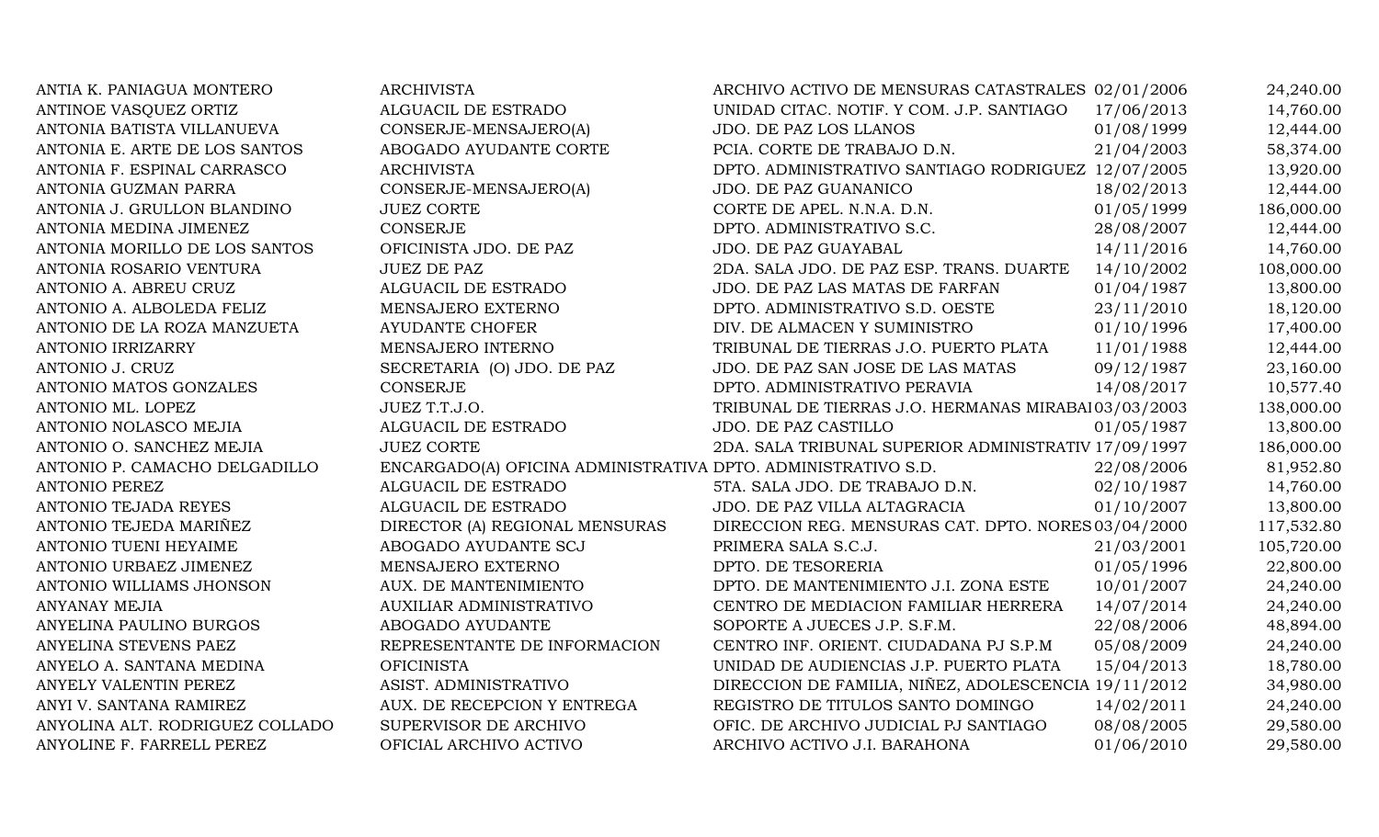| ANTIA K. PANIAGUA MONTERO       | <b>ARCHIVISTA</b>                                             | ARCHIVO ACTIVO DE MENSURAS CATASTRALES 02/01/2006    |            | 24,240.00  |
|---------------------------------|---------------------------------------------------------------|------------------------------------------------------|------------|------------|
| ANTINOE VASQUEZ ORTIZ           | ALGUACIL DE ESTRADO                                           | UNIDAD CITAC. NOTIF. Y COM. J.P. SANTIAGO            | 17/06/2013 | 14,760.00  |
| ANTONIA BATISTA VILLANUEVA      | CONSERJE-MENSAJERO(A)                                         | JDO. DE PAZ LOS LLANOS                               | 01/08/1999 | 12,444.00  |
| ANTONIA E. ARTE DE LOS SANTOS   | ABOGADO AYUDANTE CORTE                                        | PCIA. CORTE DE TRABAJO D.N.                          | 21/04/2003 | 58,374.00  |
| ANTONIA F. ESPINAL CARRASCO     | <b>ARCHIVISTA</b>                                             | DPTO. ADMINISTRATIVO SANTIAGO RODRIGUEZ 12/07/2005   |            | 13,920.00  |
| ANTONIA GUZMAN PARRA            | CONSERJE-MENSAJERO(A)                                         | JDO. DE PAZ GUANANICO                                | 18/02/2013 | 12,444.00  |
| ANTONIA J. GRULLON BLANDINO     | <b>JUEZ CORTE</b>                                             | CORTE DE APEL. N.N.A. D.N.                           | 01/05/1999 | 186,000.00 |
| ANTONIA MEDINA JIMENEZ          | <b>CONSERJE</b>                                               | DPTO. ADMINISTRATIVO S.C.                            | 28/08/2007 | 12,444.00  |
| ANTONIA MORILLO DE LOS SANTOS   | OFICINISTA JDO. DE PAZ                                        | JDO. DE PAZ GUAYABAL                                 | 14/11/2016 | 14,760.00  |
| ANTONIA ROSARIO VENTURA         | <b>JUEZ DE PAZ</b>                                            | 2DA. SALA JDO. DE PAZ ESP. TRANS. DUARTE             | 14/10/2002 | 108,000.00 |
| ANTONIO A. ABREU CRUZ           | ALGUACIL DE ESTRADO                                           | JDO. DE PAZ LAS MATAS DE FARFAN                      | 01/04/1987 | 13,800.00  |
| ANTONIO A. ALBOLEDA FELIZ       | MENSAJERO EXTERNO                                             | DPTO. ADMINISTRATIVO S.D. OESTE                      | 23/11/2010 | 18,120.00  |
| ANTONIO DE LA ROZA MANZUETA     | AYUDANTE CHOFER                                               | DIV. DE ALMACEN Y SUMINISTRO                         | 01/10/1996 | 17,400.00  |
| <b>ANTONIO IRRIZARRY</b>        | MENSAJERO INTERNO                                             | TRIBUNAL DE TIERRAS J.O. PUERTO PLATA                | 11/01/1988 | 12,444.00  |
| ANTONIO J. CRUZ                 | SECRETARIA (O) JDO. DE PAZ                                    | JDO. DE PAZ SAN JOSE DE LAS MATAS                    | 09/12/1987 | 23,160.00  |
| ANTONIO MATOS GONZALES          | <b>CONSERJE</b>                                               | DPTO. ADMINISTRATIVO PERAVIA                         | 14/08/2017 | 10,577.40  |
| ANTONIO ML. LOPEZ               | JUEZ T.T.J.O.                                                 | TRIBUNAL DE TIERRAS J.O. HERMANAS MIRABAI 03/03/2003 |            | 138,000.00 |
| ANTONIO NOLASCO MEJIA           | ALGUACIL DE ESTRADO                                           | JDO. DE PAZ CASTILLO                                 | 01/05/1987 | 13,800.00  |
| ANTONIO O. SANCHEZ MEJIA        | <b>JUEZ CORTE</b>                                             | 2DA. SALA TRIBUNAL SUPERIOR ADMINISTRATIV 17/09/1997 |            | 186,000.00 |
| ANTONIO P. CAMACHO DELGADILLO   | ENCARGADO(A) OFICINA ADMINISTRATIVA DPTO. ADMINISTRATIVO S.D. |                                                      | 22/08/2006 | 81,952.80  |
| <b>ANTONIO PEREZ</b>            | ALGUACIL DE ESTRADO                                           | 5TA. SALA JDO. DE TRABAJO D.N.                       | 02/10/1987 | 14,760.00  |
| <b>ANTONIO TEJADA REYES</b>     | ALGUACIL DE ESTRADO                                           | JDO. DE PAZ VILLA ALTAGRACIA                         | 01/10/2007 | 13,800.00  |
| ANTONIO TEJEDA MARIÑEZ          | DIRECTOR (A) REGIONAL MENSURAS                                | DIRECCION REG. MENSURAS CAT. DPTO. NORES 03/04/2000  |            | 117,532.80 |
| ANTONIO TUENI HEYAIME           | ABOGADO AYUDANTE SCJ                                          | PRIMERA SALA S.C.J.                                  | 21/03/2001 | 105,720.00 |
| ANTONIO URBAEZ JIMENEZ          | MENSAJERO EXTERNO                                             | DPTO. DE TESORERIA                                   | 01/05/1996 | 22,800.00  |
| ANTONIO WILLIAMS JHONSON        | AUX. DE MANTENIMIENTO                                         | DPTO. DE MANTENIMIENTO J.I. ZONA ESTE                | 10/01/2007 | 24,240.00  |
| <b>ANYANAY MEJIA</b>            | AUXILIAR ADMINISTRATIVO                                       | CENTRO DE MEDIACION FAMILIAR HERRERA                 | 14/07/2014 | 24,240.00  |
| ANYELINA PAULINO BURGOS         | ABOGADO AYUDANTE                                              | SOPORTE A JUECES J.P. S.F.M.                         | 22/08/2006 | 48,894.00  |
| ANYELINA STEVENS PAEZ           | REPRESENTANTE DE INFORMACION                                  | CENTRO INF. ORIENT. CIUDADANA PJ S.P.M               | 05/08/2009 | 24,240.00  |
| ANYELO A. SANTANA MEDINA        | <b>OFICINISTA</b>                                             | UNIDAD DE AUDIENCIAS J.P. PUERTO PLATA               | 15/04/2013 | 18,780.00  |
| ANYELY VALENTIN PEREZ           | ASIST. ADMINISTRATIVO                                         | DIRECCION DE FAMILIA, NIÑEZ, ADOLESCENCIA 19/11/2012 |            | 34,980.00  |
| ANYI V. SANTANA RAMIREZ         | AUX. DE RECEPCION Y ENTREGA                                   | REGISTRO DE TITULOS SANTO DOMINGO                    | 14/02/2011 | 24,240.00  |
| ANYOLINA ALT. RODRIGUEZ COLLADO | SUPERVISOR DE ARCHIVO                                         | OFIC. DE ARCHIVO JUDICIAL PJ SANTIAGO                | 08/08/2005 | 29,580.00  |
| ANYOLINE F. FARRELL PEREZ       | OFICIAL ARCHIVO ACTIVO                                        | ARCHIVO ACTIVO J.I. BARAHONA                         | 01/06/2010 | 29,580.00  |
|                                 |                                                               |                                                      |            |            |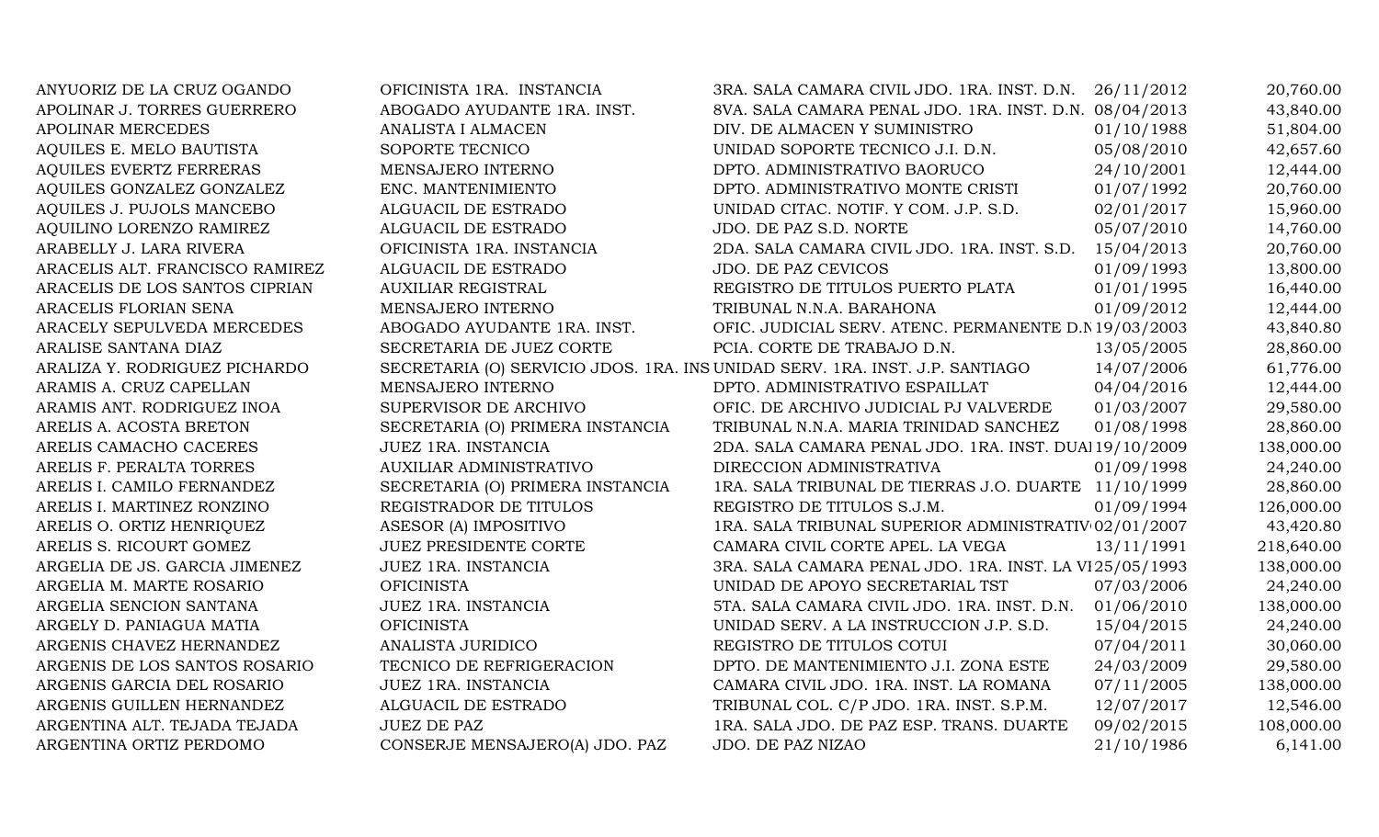| ANYUORIZ DE LA CRUZ OGANDO      | OFICINISTA 1RA. INSTANCIA        | 3RA. SALA CAMARA CIVIL JDO. 1RA. INST. D.N.                                  | 26/11/2012 | 20,760.00  |
|---------------------------------|----------------------------------|------------------------------------------------------------------------------|------------|------------|
| APOLINAR J. TORRES GUERRERO     | ABOGADO AYUDANTE 1RA. INST.      | 8VA. SALA CAMARA PENAL JDO. 1RA. INST. D.N. 08/04/2013                       |            | 43,840.00  |
| <b>APOLINAR MERCEDES</b>        | ANALISTA I ALMACEN               | DIV. DE ALMACEN Y SUMINISTRO                                                 | 01/10/1988 | 51,804.00  |
| AQUILES E. MELO BAUTISTA        | SOPORTE TECNICO                  | UNIDAD SOPORTE TECNICO J.I. D.N.                                             | 05/08/2010 | 42,657.60  |
| <b>AQUILES EVERTZ FERRERAS</b>  | MENSAJERO INTERNO                | DPTO. ADMINISTRATIVO BAORUCO                                                 | 24/10/2001 | 12,444.00  |
| AQUILES GONZALEZ GONZALEZ       | ENC. MANTENIMIENTO               | DPTO. ADMINISTRATIVO MONTE CRISTI                                            | 01/07/1992 | 20,760.00  |
| AQUILES J. PUJOLS MANCEBO       | ALGUACIL DE ESTRADO              | UNIDAD CITAC. NOTIF. Y COM. J.P. S.D.                                        | 02/01/2017 | 15,960.00  |
| AQUILINO LORENZO RAMIREZ        | ALGUACIL DE ESTRADO              | JDO. DE PAZ S.D. NORTE                                                       | 05/07/2010 | 14,760.00  |
| ARABELLY J. LARA RIVERA         | OFICINISTA 1RA. INSTANCIA        | 2DA. SALA CAMARA CIVIL JDO. 1RA. INST. S.D.                                  | 15/04/2013 | 20,760.00  |
| ARACELIS ALT. FRANCISCO RAMIREZ | ALGUACIL DE ESTRADO              | <b>JDO. DE PAZ CEVICOS</b>                                                   | 01/09/1993 | 13,800.00  |
| ARACELIS DE LOS SANTOS CIPRIAN  | <b>AUXILIAR REGISTRAL</b>        | REGISTRO DE TITULOS PUERTO PLATA                                             | 01/01/1995 | 16,440.00  |
| ARACELIS FLORIAN SENA           | MENSAJERO INTERNO                | TRIBUNAL N.N.A. BARAHONA                                                     | 01/09/2012 | 12,444.00  |
| ARACELY SEPULVEDA MERCEDES      | ABOGADO AYUDANTE 1RA. INST.      | OFIC. JUDICIAL SERV. ATENC. PERMANENTE D.N 19/03/2003                        |            | 43,840.80  |
| ARALISE SANTANA DIAZ            | SECRETARIA DE JUEZ CORTE         | PCIA. CORTE DE TRABAJO D.N.                                                  | 13/05/2005 | 28,860.00  |
| ARALIZA Y. RODRIGUEZ PICHARDO   |                                  | SECRETARIA (O) SERVICIO JDOS. 1RA. INS UNIDAD SERV. 1RA. INST. J.P. SANTIAGO | 14/07/2006 | 61,776.00  |
| ARAMIS A. CRUZ CAPELLAN         | MENSAJERO INTERNO                | DPTO. ADMINISTRATIVO ESPAILLAT                                               | 04/04/2016 | 12,444.00  |
| ARAMIS ANT. RODRIGUEZ INOA      | SUPERVISOR DE ARCHIVO            | OFIC. DE ARCHIVO JUDICIAL PJ VALVERDE                                        | 01/03/2007 | 29,580.00  |
| ARELIS A. ACOSTA BRETON         | SECRETARIA (O) PRIMERA INSTANCIA | TRIBUNAL N.N.A. MARIA TRINIDAD SANCHEZ                                       | 01/08/1998 | 28,860.00  |
| ARELIS CAMACHO CACERES          | JUEZ 1RA. INSTANCIA              | 2DA. SALA CAMARA PENAL JDO. 1RA. INST. DUAl 19/10/2009                       |            | 138,000.00 |
| ARELIS F. PERALTA TORRES        | <b>AUXILIAR ADMINISTRATIVO</b>   | DIRECCION ADMINISTRATIVA                                                     | 01/09/1998 | 24,240.00  |
| ARELIS I. CAMILO FERNANDEZ      | SECRETARIA (O) PRIMERA INSTANCIA | 1RA. SALA TRIBUNAL DE TIERRAS J.O. DUARTE 11/10/1999                         |            | 28,860.00  |
| ARELIS I. MARTINEZ RONZINO      | REGISTRADOR DE TITULOS           | REGISTRO DE TITULOS S.J.M.                                                   | 01/09/1994 | 126,000.00 |
| ARELIS O. ORTIZ HENRIQUEZ       | ASESOR (A) IMPOSITIVO            | 1RA. SALA TRIBUNAL SUPERIOR ADMINISTRATIV 02/01/2007                         |            | 43,420.80  |
| ARELIS S. RICOURT GOMEZ         | <b>JUEZ PRESIDENTE CORTE</b>     | CAMARA CIVIL CORTE APEL. LA VEGA                                             | 13/11/1991 | 218,640.00 |
| ARGELIA DE JS. GARCIA JIMENEZ   | JUEZ 1RA. INSTANCIA              | 3RA. SALA CAMARA PENAL JDO. 1RA. INST. LA V125/05/1993                       |            | 138,000.00 |
| ARGELIA M. MARTE ROSARIO        | <b>OFICINISTA</b>                | UNIDAD DE APOYO SECRETARIAL TST                                              | 07/03/2006 | 24,240.00  |
| ARGELIA SENCION SANTANA         | JUEZ 1RA. INSTANCIA              | 5TA. SALA CAMARA CIVIL JDO. 1RA. INST. D.N.                                  | 01/06/2010 | 138,000.00 |
| ARGELY D. PANIAGUA MATIA        | <b>OFICINISTA</b>                | UNIDAD SERV. A LA INSTRUCCION J.P. S.D.                                      | 15/04/2015 | 24,240.00  |
| ARGENIS CHAVEZ HERNANDEZ        | ANALISTA JURIDICO                | REGISTRO DE TITULOS COTUI                                                    | 07/04/2011 | 30,060.00  |
| ARGENIS DE LOS SANTOS ROSARIO   | TECNICO DE REFRIGERACION         | DPTO. DE MANTENIMIENTO J.I. ZONA ESTE                                        | 24/03/2009 | 29,580.00  |
| ARGENIS GARCIA DEL ROSARIO      | JUEZ 1RA. INSTANCIA              | CAMARA CIVIL JDO. 1RA. INST. LA ROMANA                                       | 07/11/2005 | 138,000.00 |
| ARGENIS GUILLEN HERNANDEZ       | ALGUACIL DE ESTRADO              | TRIBUNAL COL. C/P JDO. 1RA. INST. S.P.M.                                     | 12/07/2017 | 12,546.00  |
| ARGENTINA ALT. TEJADA TEJADA    | <b>JUEZ DE PAZ</b>               | 1RA. SALA JDO. DE PAZ ESP. TRANS. DUARTE                                     | 09/02/2015 | 108,000.00 |
| ARGENTINA ORTIZ PERDOMO         | CONSERJE MENSAJERO(A) JDO. PAZ   | JDO. DE PAZ NIZAO                                                            | 21/10/1986 | 6,141.00   |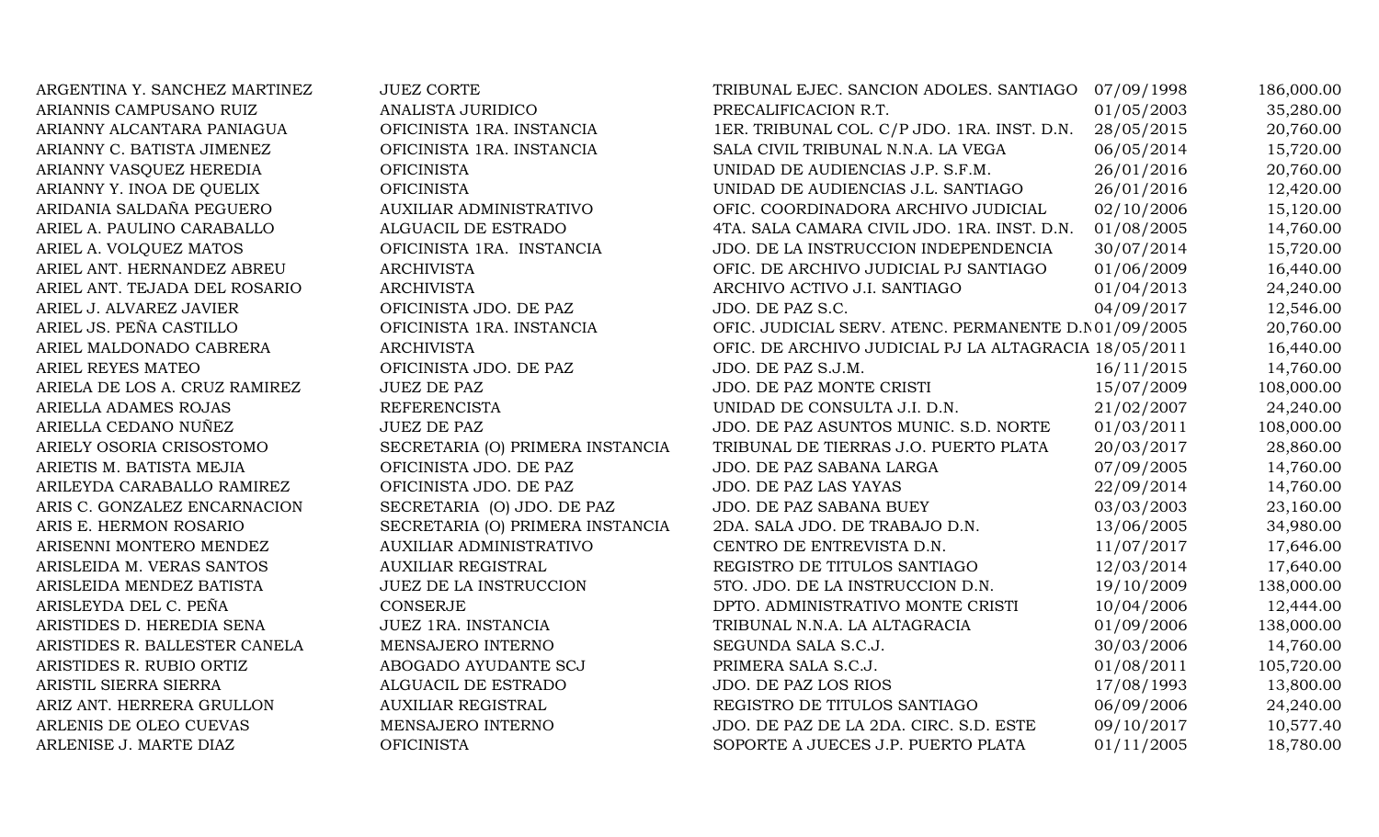ARGENTINA Y. SANCHEZ MARTINEZ ARIANNIS CAMPUSANO RUIZ ARIANNY ALCANTARA PANIAGUA ARIANNY C. BATISTA JIMENEZ ARIANNY VASQUEZ HEREDIA ARIANNY Y. INOA DE QUELIX ARIDANIA SALDAÑA PEGUERO ARIEL A. PAULINO CARABALLO ARIEL A. VOLQUEZ MATOS ARIEL ANT. HERNANDEZ ABREU ARIEL ANT. TEJADA DEL ROSARIO ARIEL J. ALVAREZ JAVIER ARIEL JS. PEÑA CASTILLO ARIEL MALDONADO CABRERA ARIEL REYES MATEO ARIELA DE LOS A. CRUZ RAMIREZ ARIELLA ADAMES ROJAS ARIELLA CEDANO NUÑEZ ARIELY OSORIA CRISOSTOMO ARIETIS M. BATISTA MEJIA ARILEYDA CARABALLO RAMIREZ ARIS C. GONZALEZ ENCARNACION ARIS E. HERMON ROSARIO ARISENNI MONTERO MENDEZ ARISLEIDA M. VERAS SANTOS ARISLEIDA MENDEZ BATISTA ARISLEYDA DEL C. PEÑA ARISTIDES D. HEREDIA SENA ARISTIDES R. BALLESTER CANELA ARISTIDES R. RUBIO ORTIZ ARISTIL SIERRA SIERRA ARIZ ANT. HERRERA GRULLON ARLENIS DE OLEO CUEVAS ARLENISE J. MARTE DIAZ

| <b>JUEZ CORTE</b>                | TRIBUNAL EJEC. SANCION ADOLES. SANTIAGO               | 07/09/1998 | 186,000.00 |
|----------------------------------|-------------------------------------------------------|------------|------------|
| ANALISTA JURIDICO                | PRECALIFICACION R.T.                                  | 01/05/2003 | 35,280.00  |
| OFICINISTA 1RA. INSTANCIA        | 1ER. TRIBUNAL COL. C/P JDO. 1RA. INST. D.N.           | 28/05/2015 | 20,760.00  |
| OFICINISTA 1RA. INSTANCIA        | SALA CIVIL TRIBUNAL N.N.A. LA VEGA                    | 06/05/2014 | 15,720.00  |
| <b>OFICINISTA</b>                | UNIDAD DE AUDIENCIAS J.P. S.F.M.                      | 26/01/2016 | 20,760.00  |
| <b>OFICINISTA</b>                | UNIDAD DE AUDIENCIAS J.L. SANTIAGO                    | 26/01/2016 | 12,420.00  |
| AUXILIAR ADMINISTRATIVO          | OFIC. COORDINADORA ARCHIVO JUDICIAL                   | 02/10/2006 | 15,120.00  |
| ALGUACIL DE ESTRADO              | 4TA. SALA CAMARA CIVIL JDO. 1RA. INST. D.N.           | 01/08/2005 | 14,760.00  |
| OFICINISTA 1RA. INSTANCIA        | JDO. DE LA INSTRUCCION INDEPENDENCIA                  | 30/07/2014 | 15,720.00  |
| <b>ARCHIVISTA</b>                | OFIC. DE ARCHIVO JUDICIAL PJ SANTIAGO                 | 01/06/2009 | 16,440.00  |
| <b>ARCHIVISTA</b>                | ARCHIVO ACTIVO J.I. SANTIAGO                          | 01/04/2013 | 24,240.00  |
| OFICINISTA JDO. DE PAZ           | JDO. DE PAZ S.C.                                      | 04/09/2017 | 12,546.00  |
| OFICINISTA 1RA. INSTANCIA        | OFIC. JUDICIAL SERV. ATENC. PERMANENTE D.N01/09/2005  |            | 20,760.00  |
| <b>ARCHIVISTA</b>                | OFIC. DE ARCHIVO JUDICIAL PJ LA ALTAGRACIA 18/05/2011 |            | 16,440.00  |
| OFICINISTA JDO. DE PAZ           | JDO. DE PAZ S.J.M.                                    | 16/11/2015 | 14,760.00  |
| <b>JUEZ DE PAZ</b>               | JDO. DE PAZ MONTE CRISTI                              | 15/07/2009 | 108,000.00 |
| <b>REFERENCISTA</b>              | UNIDAD DE CONSULTA J.I. D.N.                          | 21/02/2007 | 24,240.00  |
| <b>JUEZ DE PAZ</b>               | JDO. DE PAZ ASUNTOS MUNIC. S.D. NORTE                 | 01/03/2011 | 108,000.00 |
| SECRETARIA (O) PRIMERA INSTANCIA | TRIBUNAL DE TIERRAS J.O. PUERTO PLATA                 | 20/03/2017 | 28,860.00  |
| OFICINISTA JDO. DE PAZ           | JDO. DE PAZ SABANA LARGA                              | 07/09/2005 | 14,760.00  |
| OFICINISTA JDO. DE PAZ           | JDO. DE PAZ LAS YAYAS                                 | 22/09/2014 | 14,760.00  |
| SECRETARIA (O) JDO. DE PAZ       | JDO. DE PAZ SABANA BUEY                               | 03/03/2003 | 23,160.00  |
| SECRETARIA (O) PRIMERA INSTANCIA | 2DA. SALA JDO. DE TRABAJO D.N.                        | 13/06/2005 | 34,980.00  |
| <b>AUXILIAR ADMINISTRATIVO</b>   | CENTRO DE ENTREVISTA D.N.                             | 11/07/2017 | 17,646.00  |
| <b>AUXILIAR REGISTRAL</b>        | REGISTRO DE TITULOS SANTIAGO                          | 12/03/2014 | 17,640.00  |
| JUEZ DE LA INSTRUCCION           | 5TO. JDO. DE LA INSTRUCCION D.N.                      | 19/10/2009 | 138,000.00 |
| <b>CONSERJE</b>                  | DPTO. ADMINISTRATIVO MONTE CRISTI                     | 10/04/2006 | 12,444.00  |
| JUEZ 1RA. INSTANCIA              | TRIBUNAL N.N.A. LA ALTAGRACIA                         | 01/09/2006 | 138,000.00 |
| MENSAJERO INTERNO                | SEGUNDA SALA S.C.J.                                   | 30/03/2006 | 14,760.00  |
| ABOGADO AYUDANTE SCJ             | PRIMERA SALA S.C.J.                                   | 01/08/2011 | 105,720.00 |
| ALGUACIL DE ESTRADO              | JDO. DE PAZ LOS RIOS                                  | 17/08/1993 | 13,800.00  |
| <b>AUXILIAR REGISTRAL</b>        | REGISTRO DE TITULOS SANTIAGO                          | 06/09/2006 | 24,240.00  |
| MENSAJERO INTERNO                | JDO. DE PAZ DE LA 2DA. CIRC. S.D. ESTE                | 09/10/2017 | 10,577.40  |
| <b>OFICINISTA</b>                | SOPORTE A JUECES J.P. PUERTO PLATA                    | 01/11/2005 | 18,780.00  |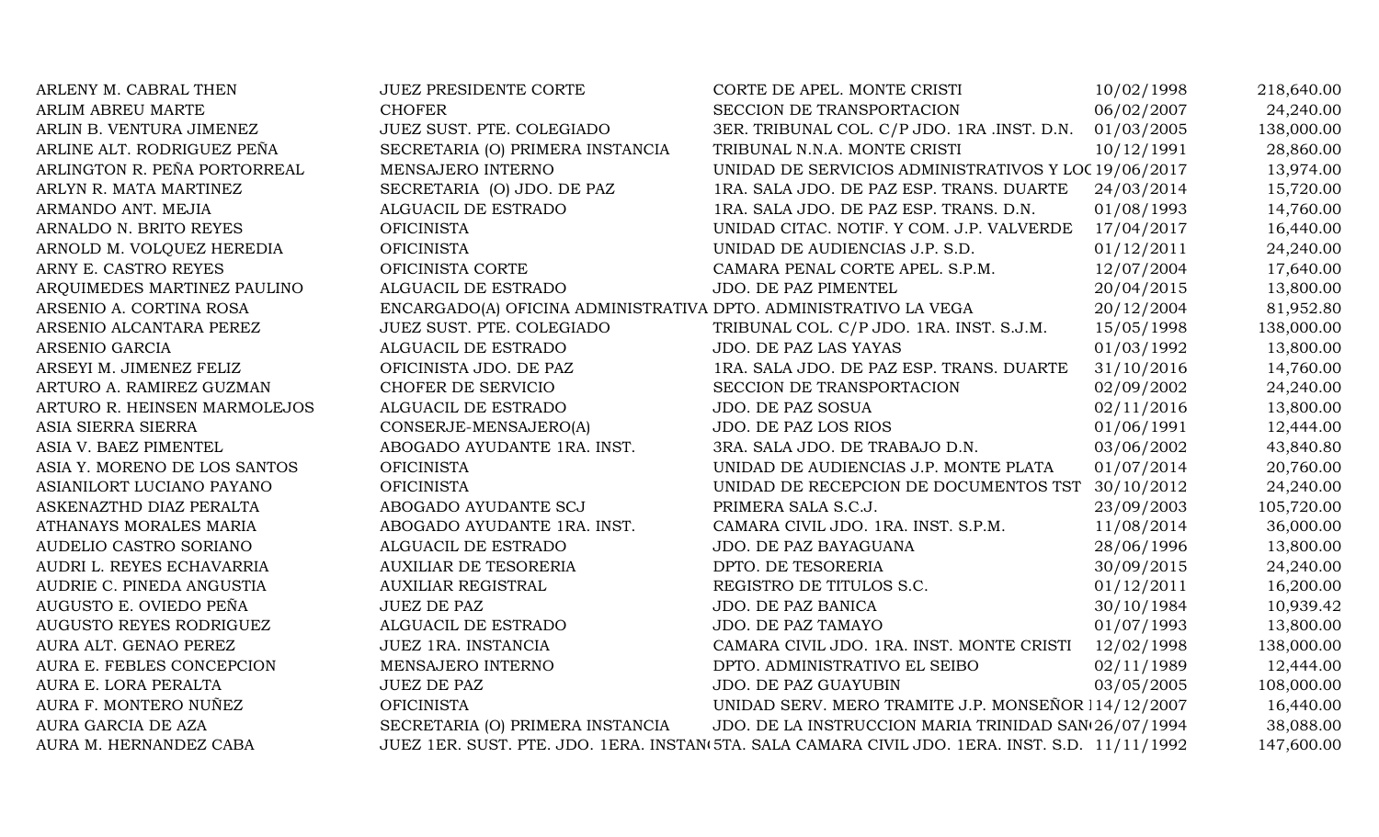| <b>JUEZ PRESIDENTE CORTE</b>     | CORTE DE APEL. MONTE CRISTI                 | 10/02/1998                                                       | 218,640.00                                                                                                                                                                                                                                                                                                                |
|----------------------------------|---------------------------------------------|------------------------------------------------------------------|---------------------------------------------------------------------------------------------------------------------------------------------------------------------------------------------------------------------------------------------------------------------------------------------------------------------------|
| <b>CHOFER</b>                    | SECCION DE TRANSPORTACION                   | 06/02/2007                                                       | 24,240.00                                                                                                                                                                                                                                                                                                                 |
| JUEZ SUST. PTE. COLEGIADO        | 3ER. TRIBUNAL COL. C/P JDO. 1RA .INST. D.N. | 01/03/2005                                                       | 138,000.00                                                                                                                                                                                                                                                                                                                |
| SECRETARIA (O) PRIMERA INSTANCIA | TRIBUNAL N.N.A. MONTE CRISTI                | 10/12/1991                                                       | 28,860.00                                                                                                                                                                                                                                                                                                                 |
| MENSAJERO INTERNO                |                                             |                                                                  | 13,974.00                                                                                                                                                                                                                                                                                                                 |
| SECRETARIA (O) JDO. DE PAZ       | 1RA. SALA JDO. DE PAZ ESP. TRANS. DUARTE    | 24/03/2014                                                       | 15,720.00                                                                                                                                                                                                                                                                                                                 |
| ALGUACIL DE ESTRADO              | 1RA. SALA JDO. DE PAZ ESP. TRANS. D.N.      | 01/08/1993                                                       | 14,760.00                                                                                                                                                                                                                                                                                                                 |
| <b>OFICINISTA</b>                | UNIDAD CITAC. NOTIF. Y COM. J.P. VALVERDE   | 17/04/2017                                                       | 16,440.00                                                                                                                                                                                                                                                                                                                 |
| <b>OFICINISTA</b>                | UNIDAD DE AUDIENCIAS J.P. S.D.              | 01/12/2011                                                       | 24,240.00                                                                                                                                                                                                                                                                                                                 |
| OFICINISTA CORTE                 | CAMARA PENAL CORTE APEL. S.P.M.             | 12/07/2004                                                       | 17,640.00                                                                                                                                                                                                                                                                                                                 |
| ALGUACIL DE ESTRADO              | JDO. DE PAZ PIMENTEL                        | 20/04/2015                                                       | 13,800.00                                                                                                                                                                                                                                                                                                                 |
|                                  |                                             | 20/12/2004                                                       | 81,952.80                                                                                                                                                                                                                                                                                                                 |
| JUEZ SUST. PTE. COLEGIADO        | TRIBUNAL COL. C/P JDO. 1RA. INST. S.J.M.    | 15/05/1998                                                       | 138,000.00                                                                                                                                                                                                                                                                                                                |
| ALGUACIL DE ESTRADO              | JDO. DE PAZ LAS YAYAS                       | 01/03/1992                                                       | 13,800.00                                                                                                                                                                                                                                                                                                                 |
| OFICINISTA JDO. DE PAZ           | 1RA. SALA JDO. DE PAZ ESP. TRANS. DUARTE    | 31/10/2016                                                       | 14,760.00                                                                                                                                                                                                                                                                                                                 |
| CHOFER DE SERVICIO               | SECCION DE TRANSPORTACION                   | 02/09/2002                                                       | 24,240.00                                                                                                                                                                                                                                                                                                                 |
| ALGUACIL DE ESTRADO              | JDO. DE PAZ SOSUA                           | 02/11/2016                                                       | 13,800.00                                                                                                                                                                                                                                                                                                                 |
| CONSERJE-MENSAJERO(A)            | JDO. DE PAZ LOS RIOS                        | 01/06/1991                                                       | 12,444.00                                                                                                                                                                                                                                                                                                                 |
| ABOGADO AYUDANTE 1RA. INST.      | 3RA. SALA JDO. DE TRABAJO D.N.              | 03/06/2002                                                       | 43,840.80                                                                                                                                                                                                                                                                                                                 |
| <b>OFICINISTA</b>                | UNIDAD DE AUDIENCIAS J.P. MONTE PLATA       | 01/07/2014                                                       | 20,760.00                                                                                                                                                                                                                                                                                                                 |
| <b>OFICINISTA</b>                |                                             |                                                                  | 24,240.00                                                                                                                                                                                                                                                                                                                 |
| ABOGADO AYUDANTE SCJ             | PRIMERA SALA S.C.J.                         | 23/09/2003                                                       | 105,720.00                                                                                                                                                                                                                                                                                                                |
| ABOGADO AYUDANTE 1RA. INST.      | CAMARA CIVIL JDO. 1RA. INST. S.P.M.         | 11/08/2014                                                       | 36,000.00                                                                                                                                                                                                                                                                                                                 |
| ALGUACIL DE ESTRADO              | JDO. DE PAZ BAYAGUANA                       | 28/06/1996                                                       | 13,800.00                                                                                                                                                                                                                                                                                                                 |
| <b>AUXILIAR DE TESORERIA</b>     | DPTO. DE TESORERIA                          | 30/09/2015                                                       | 24,240.00                                                                                                                                                                                                                                                                                                                 |
| <b>AUXILIAR REGISTRAL</b>        | REGISTRO DE TITULOS S.C.                    | 01/12/2011                                                       | 16,200.00                                                                                                                                                                                                                                                                                                                 |
| <b>JUEZ DE PAZ</b>               | JDO. DE PAZ BANICA                          | 30/10/1984                                                       | 10,939.42                                                                                                                                                                                                                                                                                                                 |
| ALGUACIL DE ESTRADO              | JDO. DE PAZ TAMAYO                          | 01/07/1993                                                       | 13,800.00                                                                                                                                                                                                                                                                                                                 |
| JUEZ 1RA. INSTANCIA              | CAMARA CIVIL JDO. 1RA. INST. MONTE CRISTI   | 12/02/1998                                                       | 138,000.00                                                                                                                                                                                                                                                                                                                |
| MENSAJERO INTERNO                | DPTO. ADMINISTRATIVO EL SEIBO               | 02/11/1989                                                       | 12,444.00                                                                                                                                                                                                                                                                                                                 |
| <b>JUEZ DE PAZ</b>               | JDO. DE PAZ GUAYUBIN                        | 03/05/2005                                                       | 108,000.00                                                                                                                                                                                                                                                                                                                |
| <b>OFICINISTA</b>                |                                             |                                                                  | 16,440.00                                                                                                                                                                                                                                                                                                                 |
| SECRETARIA (O) PRIMERA INSTANCIA |                                             |                                                                  | 38,088.00                                                                                                                                                                                                                                                                                                                 |
|                                  |                                             |                                                                  | 147,600.00                                                                                                                                                                                                                                                                                                                |
|                                  |                                             | ENCARGADO(A) OFICINA ADMINISTRATIVA DPTO. ADMINISTRATIVO LA VEGA | UNIDAD DE SERVICIOS ADMINISTRATIVOS Y LOC 19/06/2017<br>UNIDAD DE RECEPCION DE DOCUMENTOS TST 30/10/2012<br>UNIDAD SERV. MERO TRAMITE J.P. MONSEÑOR 114/12/2007<br>JDO. DE LA INSTRUCCION MARIA TRINIDAD SAN(26/07/1994<br>JUEZ 1ER. SUST. PTE. JDO. 1ERA. INSTAN 5TA. SALA CAMARA CIVIL JDO. 1ERA. INST. S.D. 11/11/1992 |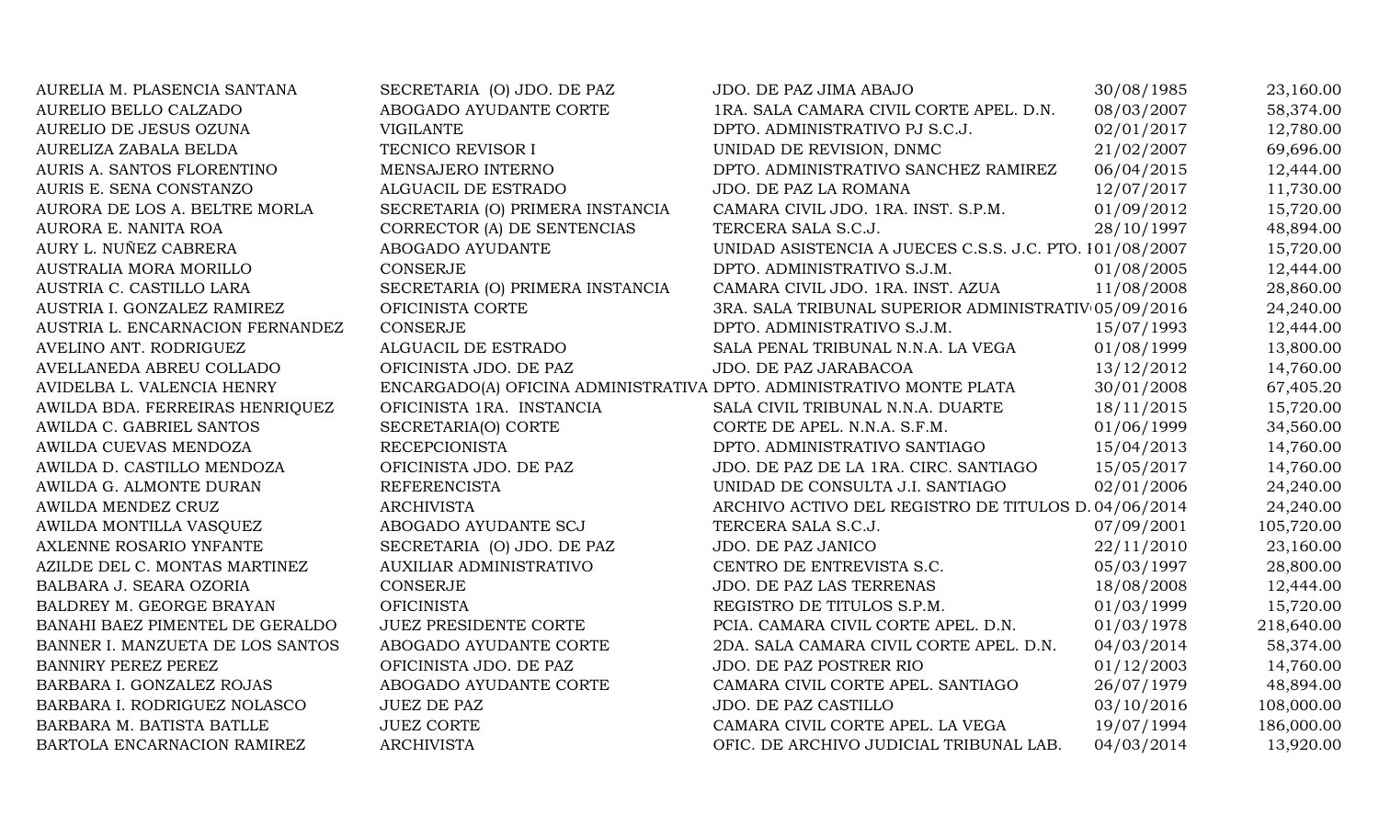| AURELIA M. PLASENCIA SANTANA     | SECRETARIA (O) JDO. DE PAZ                                           | JDO. DE PAZ JIMA ABAJO                                  | 30/08/1985 | 23,160.00  |
|----------------------------------|----------------------------------------------------------------------|---------------------------------------------------------|------------|------------|
| AURELIO BELLO CALZADO            | ABOGADO AYUDANTE CORTE                                               | 1RA. SALA CAMARA CIVIL CORTE APEL. D.N.                 | 08/03/2007 | 58,374.00  |
| AURELIO DE JESUS OZUNA           | <b>VIGILANTE</b>                                                     | DPTO. ADMINISTRATIVO PJ S.C.J.                          | 02/01/2017 | 12,780.00  |
| AURELIZA ZABALA BELDA            | TECNICO REVISOR I                                                    | UNIDAD DE REVISION, DNMC                                | 21/02/2007 | 69,696.00  |
| AURIS A. SANTOS FLORENTINO       | MENSAJERO INTERNO                                                    | DPTO. ADMINISTRATIVO SANCHEZ RAMIREZ                    | 06/04/2015 | 12,444.00  |
| AURIS E. SENA CONSTANZO          | ALGUACIL DE ESTRADO                                                  | JDO. DE PAZ LA ROMANA                                   | 12/07/2017 | 11,730.00  |
| AURORA DE LOS A. BELTRE MORLA    | SECRETARIA (O) PRIMERA INSTANCIA                                     | CAMARA CIVIL JDO. 1RA. INST. S.P.M.                     | 01/09/2012 | 15,720.00  |
| AURORA E. NANITA ROA             | CORRECTOR (A) DE SENTENCIAS                                          | TERCERA SALA S.C.J.                                     | 28/10/1997 | 48,894.00  |
| AURY L. NUÑEZ CABRERA            | ABOGADO AYUDANTE                                                     | UNIDAD ASISTENCIA A JUECES C.S.S. J.C. PTO. 101/08/2007 |            | 15,720.00  |
| AUSTRALIA MORA MORILLO           | CONSERJE                                                             | DPTO. ADMINISTRATIVO S.J.M.                             | 01/08/2005 | 12,444.00  |
| AUSTRIA C. CASTILLO LARA         | SECRETARIA (O) PRIMERA INSTANCIA                                     | CAMARA CIVIL JDO. 1RA. INST. AZUA                       | 11/08/2008 | 28,860.00  |
| AUSTRIA I. GONZALEZ RAMIREZ      | OFICINISTA CORTE                                                     | 3RA. SALA TRIBUNAL SUPERIOR ADMINISTRATIV 05/09/2016    |            | 24,240.00  |
| AUSTRIA L. ENCARNACION FERNANDEZ | <b>CONSERJE</b>                                                      | DPTO. ADMINISTRATIVO S.J.M.                             | 15/07/1993 | 12,444.00  |
| AVELINO ANT. RODRIGUEZ           | ALGUACIL DE ESTRADO                                                  | SALA PENAL TRIBUNAL N.N.A. LA VEGA                      | 01/08/1999 | 13,800.00  |
| AVELLANEDA ABREU COLLADO         | OFICINISTA JDO. DE PAZ                                               | JDO. DE PAZ JARABACOA                                   | 13/12/2012 | 14,760.00  |
| AVIDELBA L. VALENCIA HENRY       | ENCARGADO(A) OFICINA ADMINISTRATIVA DPTO. ADMINISTRATIVO MONTE PLATA |                                                         | 30/01/2008 | 67,405.20  |
| AWILDA BDA. FERREIRAS HENRIQUEZ  | OFICINISTA 1RA. INSTANCIA                                            | SALA CIVIL TRIBUNAL N.N.A. DUARTE                       | 18/11/2015 | 15,720.00  |
| AWILDA C. GABRIEL SANTOS         | SECRETARIA(O) CORTE                                                  | CORTE DE APEL. N.N.A. S.F.M.                            | 01/06/1999 | 34,560.00  |
| AWILDA CUEVAS MENDOZA            | <b>RECEPCIONISTA</b>                                                 | DPTO. ADMINISTRATIVO SANTIAGO                           | 15/04/2013 | 14,760.00  |
| AWILDA D. CASTILLO MENDOZA       | OFICINISTA JDO. DE PAZ                                               | JDO. DE PAZ DE LA 1RA. CIRC. SANTIAGO                   | 15/05/2017 | 14,760.00  |
| AWILDA G. ALMONTE DURAN          | <b>REFERENCISTA</b>                                                  | UNIDAD DE CONSULTA J.I. SANTIAGO                        | 02/01/2006 | 24,240.00  |
| AWILDA MENDEZ CRUZ               | <b>ARCHIVISTA</b>                                                    | ARCHIVO ACTIVO DEL REGISTRO DE TITULOS D. 04/06/2014    |            | 24,240.00  |
| AWILDA MONTILLA VASQUEZ          | ABOGADO AYUDANTE SCJ                                                 | TERCERA SALA S.C.J.                                     | 07/09/2001 | 105,720.00 |
| AXLENNE ROSARIO YNFANTE          | SECRETARIA (O) JDO. DE PAZ                                           | JDO. DE PAZ JANICO                                      | 22/11/2010 | 23,160.00  |
| AZILDE DEL C. MONTAS MARTINEZ    | AUXILIAR ADMINISTRATIVO                                              | CENTRO DE ENTREVISTA S.C.                               | 05/03/1997 | 28,800.00  |
| BALBARA J. SEARA OZORIA          | CONSERJE                                                             | JDO. DE PAZ LAS TERRENAS                                | 18/08/2008 | 12,444.00  |
| BALDREY M. GEORGE BRAYAN         | <b>OFICINISTA</b>                                                    | REGISTRO DE TITULOS S.P.M.                              | 01/03/1999 | 15,720.00  |
| BANAHI BAEZ PIMENTEL DE GERALDO  | <b>JUEZ PRESIDENTE CORTE</b>                                         | PCIA. CAMARA CIVIL CORTE APEL. D.N.                     | 01/03/1978 | 218,640.00 |
| BANNER I. MANZUETA DE LOS SANTOS | ABOGADO AYUDANTE CORTE                                               | 2DA. SALA CAMARA CIVIL CORTE APEL. D.N.                 | 04/03/2014 | 58,374.00  |
| BANNIRY PEREZ PEREZ              | OFICINISTA JDO. DE PAZ                                               | JDO. DE PAZ POSTRER RIO                                 | 01/12/2003 | 14,760.00  |
| BARBARA I. GONZALEZ ROJAS        | ABOGADO AYUDANTE CORTE                                               | CAMARA CIVIL CORTE APEL. SANTIAGO                       | 26/07/1979 | 48,894.00  |
| BARBARA I. RODRIGUEZ NOLASCO     | <b>JUEZ DE PAZ</b>                                                   | JDO. DE PAZ CASTILLO                                    | 03/10/2016 | 108,000.00 |
| BARBARA M. BATISTA BATLLE        | <b>JUEZ CORTE</b>                                                    | CAMARA CIVIL CORTE APEL. LA VEGA                        | 19/07/1994 | 186,000.00 |
| BARTOLA ENCARNACION RAMIREZ      | <b>ARCHIVISTA</b>                                                    | OFIC. DE ARCHIVO JUDICIAL TRIBUNAL LAB.                 | 04/03/2014 | 13,920.00  |
|                                  |                                                                      |                                                         |            |            |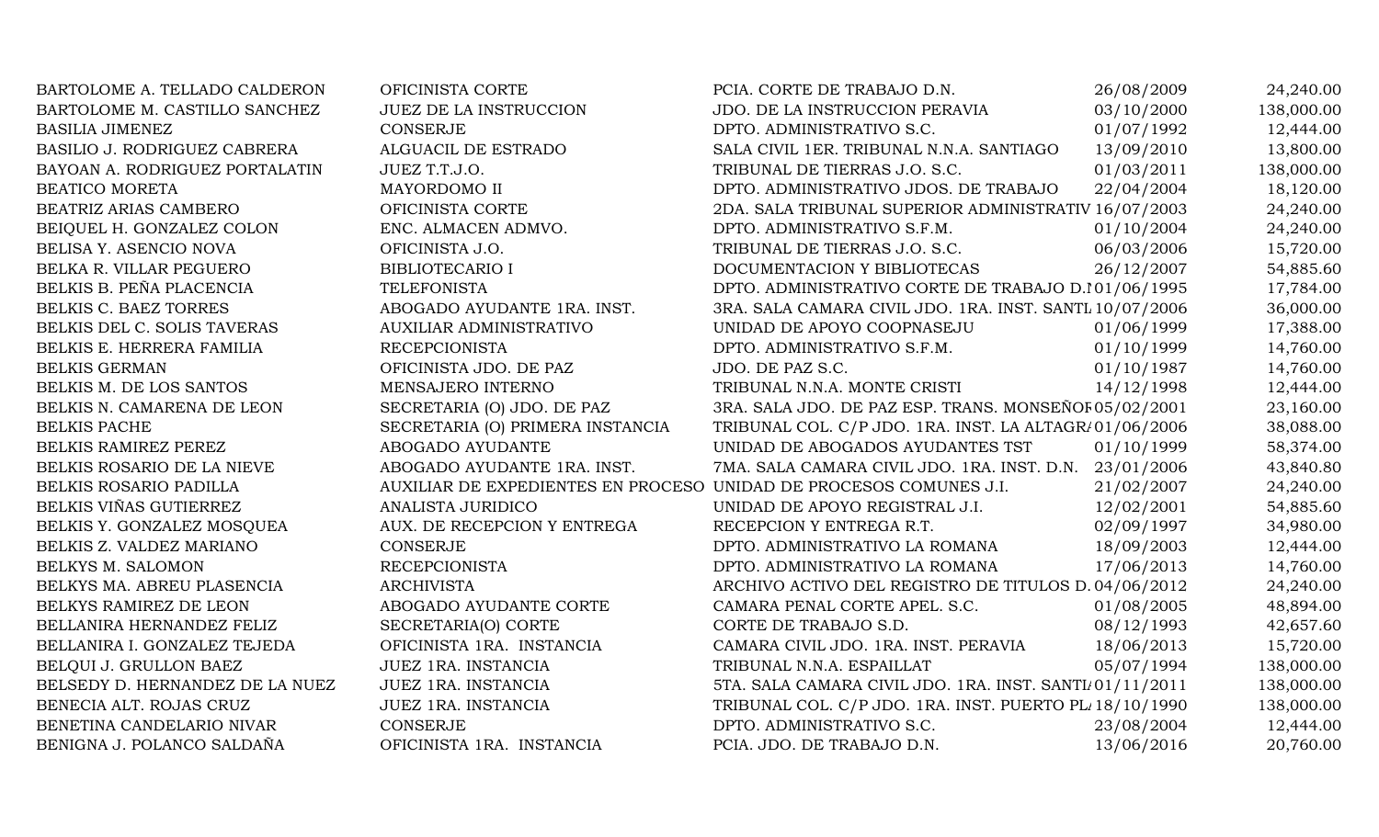| BARTOLOME A. TELLADO CALDERON   | OFICINISTA CORTE                                                   | PCIA. CORTE DE TRABAJO D.N.                             | 26/08/2009 | 24,240.00  |
|---------------------------------|--------------------------------------------------------------------|---------------------------------------------------------|------------|------------|
| BARTOLOME M. CASTILLO SANCHEZ   | <b>JUEZ DE LA INSTRUCCION</b>                                      | JDO. DE LA INSTRUCCION PERAVIA                          | 03/10/2000 | 138,000.00 |
| <b>BASILIA JIMENEZ</b>          | <b>CONSERJE</b>                                                    | DPTO. ADMINISTRATIVO S.C.                               | 01/07/1992 | 12,444.00  |
| BASILIO J. RODRIGUEZ CABRERA    | ALGUACIL DE ESTRADO                                                | SALA CIVIL 1ER. TRIBUNAL N.N.A. SANTIAGO                | 13/09/2010 | 13,800.00  |
| BAYOAN A. RODRIGUEZ PORTALATIN  | JUEZ T.T.J.O.                                                      | TRIBUNAL DE TIERRAS J.O. S.C.                           | 01/03/2011 | 138,000.00 |
| BEATICO MORETA                  | MAYORDOMO II                                                       | DPTO. ADMINISTRATIVO JDOS. DE TRABAJO                   | 22/04/2004 | 18,120.00  |
| BEATRIZ ARIAS CAMBERO           | OFICINISTA CORTE                                                   | 2DA. SALA TRIBUNAL SUPERIOR ADMINISTRATIV 16/07/2003    |            | 24,240.00  |
| BEIQUEL H. GONZALEZ COLON       | ENC. ALMACEN ADMVO.                                                | DPTO. ADMINISTRATIVO S.F.M.                             | 01/10/2004 | 24,240.00  |
| BELISA Y. ASENCIO NOVA          | OFICINISTA J.O.                                                    | TRIBUNAL DE TIERRAS J.O. S.C.                           | 06/03/2006 | 15,720.00  |
| BELKA R. VILLAR PEGUERO         | <b>BIBLIOTECARIO I</b>                                             | DOCUMENTACION Y BIBLIOTECAS                             | 26/12/2007 | 54,885.60  |
| BELKIS B. PEÑA PLACENCIA        | <b>TELEFONISTA</b>                                                 | DPTO. ADMINISTRATIVO CORTE DE TRABAJO D.101/06/1995     |            | 17,784.00  |
| BELKIS C. BAEZ TORRES           | ABOGADO AYUDANTE 1RA. INST.                                        | 3RA. SALA CAMARA CIVIL JDO. 1RA. INST. SANTL 10/07/2006 |            | 36,000.00  |
| BELKIS DEL C. SOLIS TAVERAS     | AUXILIAR ADMINISTRATIVO                                            | UNIDAD DE APOYO COOPNASEJU                              | 01/06/1999 | 17,388.00  |
| BELKIS E. HERRERA FAMILIA       | <b>RECEPCIONISTA</b>                                               | DPTO. ADMINISTRATIVO S.F.M.                             | 01/10/1999 | 14,760.00  |
| <b>BELKIS GERMAN</b>            | OFICINISTA JDO. DE PAZ                                             | JDO. DE PAZ S.C.                                        | 01/10/1987 | 14,760.00  |
| BELKIS M. DE LOS SANTOS         | MENSAJERO INTERNO                                                  | TRIBUNAL N.N.A. MONTE CRISTI                            | 14/12/1998 | 12,444.00  |
| BELKIS N. CAMARENA DE LEON      | SECRETARIA (O) JDO. DE PAZ                                         | 3RA. SALA JDO. DE PAZ ESP. TRANS. MONSEÑOF 05/02/2001   |            | 23,160.00  |
| <b>BELKIS PACHE</b>             | SECRETARIA (O) PRIMERA INSTANCIA                                   | TRIBUNAL COL. C/P JDO. 1RA. INST. LA ALTAGR/01/06/2006  |            | 38,088.00  |
| BELKIS RAMIREZ PEREZ            | ABOGADO AYUDANTE                                                   | UNIDAD DE ABOGADOS AYUDANTES TST                        | 01/10/1999 | 58,374.00  |
| BELKIS ROSARIO DE LA NIEVE      | ABOGADO AYUDANTE 1RA. INST.                                        | 7MA. SALA CAMARA CIVIL JDO. 1RA. INST. D.N. 23/01/2006  |            | 43,840.80  |
| BELKIS ROSARIO PADILLA          | AUXILIAR DE EXPEDIENTES EN PROCESO UNIDAD DE PROCESOS COMUNES J.I. |                                                         | 21/02/2007 | 24,240.00  |
| BELKIS VIÑAS GUTIERREZ          | ANALISTA JURIDICO                                                  | UNIDAD DE APOYO REGISTRAL J.I.                          | 12/02/2001 | 54,885.60  |
| BELKIS Y. GONZALEZ MOSQUEA      | AUX. DE RECEPCION Y ENTREGA                                        | RECEPCION Y ENTREGA R.T.                                | 02/09/1997 | 34,980.00  |
| BELKIS Z. VALDEZ MARIANO        | <b>CONSERJE</b>                                                    | DPTO. ADMINISTRATIVO LA ROMANA                          | 18/09/2003 | 12,444.00  |
| BELKYS M. SALOMON               | <b>RECEPCIONISTA</b>                                               | DPTO. ADMINISTRATIVO LA ROMANA                          | 17/06/2013 | 14,760.00  |
| BELKYS MA. ABREU PLASENCIA      | <b>ARCHIVISTA</b>                                                  | ARCHIVO ACTIVO DEL REGISTRO DE TITULOS D. 04/06/2012    |            | 24,240.00  |
| BELKYS RAMIREZ DE LEON          | ABOGADO AYUDANTE CORTE                                             | CAMARA PENAL CORTE APEL. S.C.                           | 01/08/2005 | 48,894.00  |
| BELLANIRA HERNANDEZ FELIZ       | SECRETARIA(O) CORTE                                                | CORTE DE TRABAJO S.D.                                   | 08/12/1993 | 42,657.60  |
| BELLANIRA I. GONZALEZ TEJEDA    | OFICINISTA 1RA. INSTANCIA                                          | CAMARA CIVIL JDO. 1RA. INST. PERAVIA                    | 18/06/2013 | 15,720.00  |
| BELQUI J. GRULLON BAEZ          | JUEZ 1RA. INSTANCIA                                                | TRIBUNAL N.N.A. ESPAILLAT                               | 05/07/1994 | 138,000.00 |
| BELSEDY D. HERNANDEZ DE LA NUEZ | JUEZ 1RA. INSTANCIA                                                | 5TA. SALA CAMARA CIVIL JDO. 1RA. INST. SANTI/01/11/2011 |            | 138,000.00 |
| BENECIA ALT. ROJAS CRUZ         | JUEZ 1RA. INSTANCIA                                                | TRIBUNAL COL. C/P JDO. 1RA. INST. PUERTO PL 18/10/1990  |            | 138,000.00 |
| BENETINA CANDELARIO NIVAR       | CONSERJE                                                           | DPTO. ADMINISTRATIVO S.C.                               | 23/08/2004 | 12,444.00  |
| BENIGNA J. POLANCO SALDAÑA      | OFICINISTA 1RA. INSTANCIA                                          | PCIA. JDO. DE TRABAJO D.N.                              | 13/06/2016 | 20,760.00  |
|                                 |                                                                    |                                                         |            |            |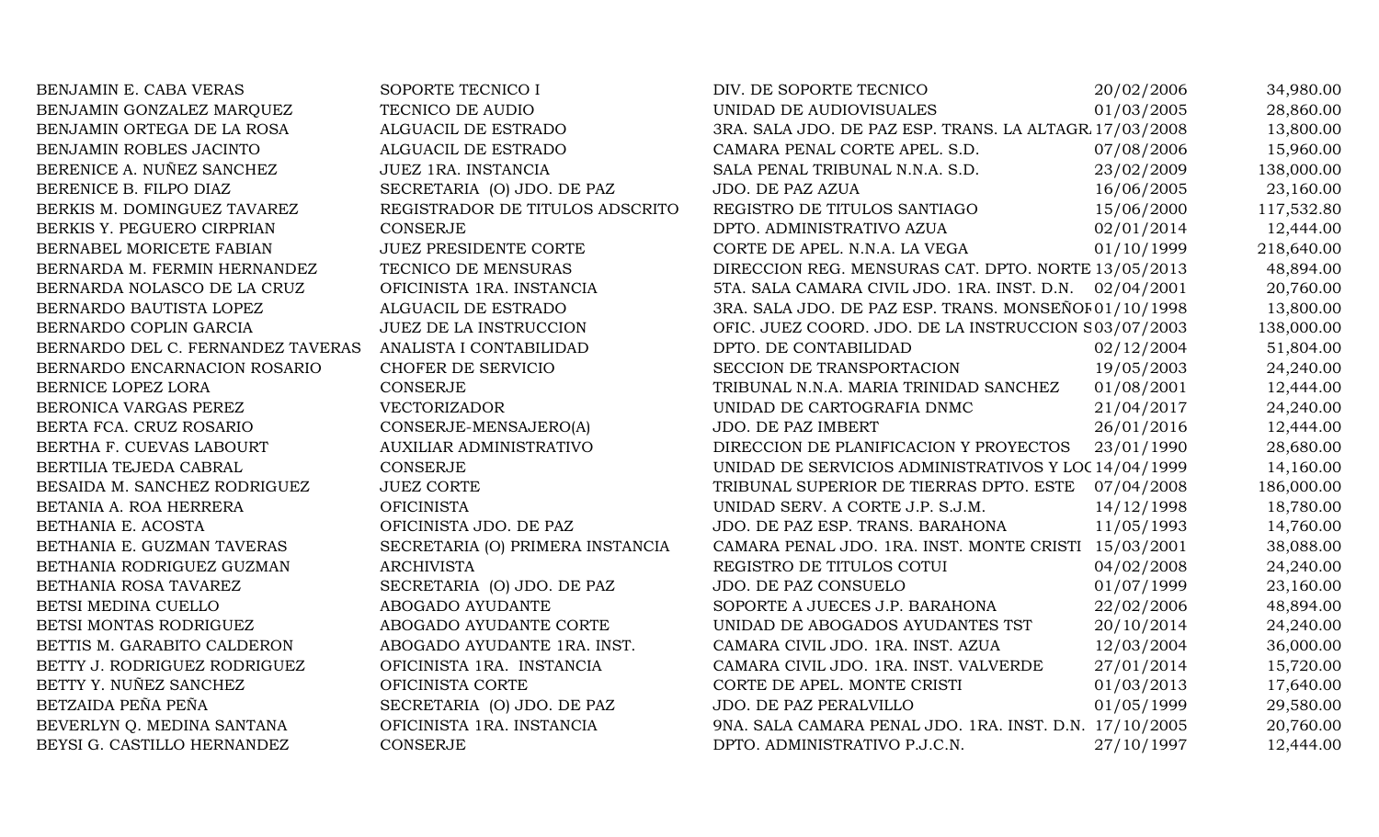| BENJAMIN E. CABA VERAS            | SOPORTE TECNICO I                | DIV. DE SOPORTE TECNICO                                | 20/02/2006 | 34,980.00  |
|-----------------------------------|----------------------------------|--------------------------------------------------------|------------|------------|
| BENJAMIN GONZALEZ MARQUEZ         | TECNICO DE AUDIO                 | UNIDAD DE AUDIOVISUALES                                | 01/03/2005 | 28,860.00  |
| BENJAMIN ORTEGA DE LA ROSA        | ALGUACIL DE ESTRADO              | 3RA. SALA JDO. DE PAZ ESP. TRANS. LA ALTAGR 17/03/2008 |            | 13,800.00  |
| BENJAMIN ROBLES JACINTO           | ALGUACIL DE ESTRADO              | CAMARA PENAL CORTE APEL. S.D.                          | 07/08/2006 | 15,960.00  |
| BERENICE A. NUÑEZ SANCHEZ         | JUEZ 1RA. INSTANCIA              | SALA PENAL TRIBUNAL N.N.A. S.D.                        | 23/02/2009 | 138,000.00 |
| BERENICE B. FILPO DIAZ            | SECRETARIA (O) JDO. DE PAZ       | JDO. DE PAZ AZUA                                       | 16/06/2005 | 23,160.00  |
| BERKIS M. DOMINGUEZ TAVAREZ       | REGISTRADOR DE TITULOS ADSCRITO  | REGISTRO DE TITULOS SANTIAGO                           | 15/06/2000 | 117,532.80 |
| BERKIS Y. PEGUERO CIRPRIAN        | <b>CONSERJE</b>                  | DPTO. ADMINISTRATIVO AZUA                              | 02/01/2014 | 12,444.00  |
| BERNABEL MORICETE FABIAN          | <b>JUEZ PRESIDENTE CORTE</b>     | CORTE DE APEL. N.N.A. LA VEGA                          | 01/10/1999 | 218,640.00 |
| BERNARDA M. FERMIN HERNANDEZ      | TECNICO DE MENSURAS              | DIRECCION REG. MENSURAS CAT. DPTO. NORTE 13/05/2013    |            | 48,894.00  |
| BERNARDA NOLASCO DE LA CRUZ       | OFICINISTA 1RA. INSTANCIA        | 5TA. SALA CAMARA CIVIL JDO. 1RA. INST. D.N. 02/04/2001 |            | 20,760.00  |
| BERNARDO BAUTISTA LOPEZ           | ALGUACIL DE ESTRADO              | 3RA. SALA JDO. DE PAZ ESP. TRANS. MONSEÑOF 01/10/1998  |            | 13,800.00  |
| BERNARDO COPLIN GARCIA            | JUEZ DE LA INSTRUCCION           | OFIC. JUEZ COORD. JDO. DE LA INSTRUCCION S03/07/2003   |            | 138,000.00 |
| BERNARDO DEL C. FERNANDEZ TAVERAS | ANALISTA I CONTABILIDAD          | DPTO. DE CONTABILIDAD                                  | 02/12/2004 | 51,804.00  |
| BERNARDO ENCARNACION ROSARIO      | CHOFER DE SERVICIO               | SECCION DE TRANSPORTACION                              | 19/05/2003 | 24,240.00  |
| BERNICE LOPEZ LORA                | CONSERJE                         | TRIBUNAL N.N.A. MARIA TRINIDAD SANCHEZ                 | 01/08/2001 | 12,444.00  |
| BERONICA VARGAS PEREZ             | <b>VECTORIZADOR</b>              | UNIDAD DE CARTOGRAFIA DNMC                             | 21/04/2017 | 24,240.00  |
| BERTA FCA. CRUZ ROSARIO           | CONSERJE-MENSAJERO(A)            | JDO. DE PAZ IMBERT                                     | 26/01/2016 | 12,444.00  |
| BERTHA F. CUEVAS LABOURT          | <b>AUXILIAR ADMINISTRATIVO</b>   | DIRECCION DE PLANIFICACION Y PROYECTOS                 | 23/01/1990 | 28,680.00  |
| BERTILIA TEJEDA CABRAL            | CONSERJE                         | UNIDAD DE SERVICIOS ADMINISTRATIVOS Y LOC 14/04/1999   |            | 14,160.00  |
| BESAIDA M. SANCHEZ RODRIGUEZ      | <b>JUEZ CORTE</b>                | TRIBUNAL SUPERIOR DE TIERRAS DPTO. ESTE                | 07/04/2008 | 186,000.00 |
| BETANIA A. ROA HERRERA            | <b>OFICINISTA</b>                | UNIDAD SERV. A CORTE J.P. S.J.M.                       | 14/12/1998 | 18,780.00  |
| BETHANIA E. ACOSTA                | OFICINISTA JDO. DE PAZ           | JDO. DE PAZ ESP. TRANS. BARAHONA                       | 11/05/1993 | 14,760.00  |
| BETHANIA E. GUZMAN TAVERAS        | SECRETARIA (O) PRIMERA INSTANCIA | CAMARA PENAL JDO. 1RA. INST. MONTE CRISTI 15/03/2001   |            | 38,088.00  |
| BETHANIA RODRIGUEZ GUZMAN         | <b>ARCHIVISTA</b>                | REGISTRO DE TITULOS COTUI                              | 04/02/2008 | 24,240.00  |
| BETHANIA ROSA TAVAREZ             | SECRETARIA (O) JDO. DE PAZ       | JDO. DE PAZ CONSUELO                                   | 01/07/1999 | 23,160.00  |
| BETSI MEDINA CUELLO               | ABOGADO AYUDANTE                 | SOPORTE A JUECES J.P. BARAHONA                         | 22/02/2006 | 48,894.00  |
| BETSI MONTAS RODRIGUEZ            | ABOGADO AYUDANTE CORTE           | UNIDAD DE ABOGADOS AYUDANTES TST                       | 20/10/2014 | 24,240.00  |
| BETTIS M. GARABITO CALDERON       | ABOGADO AYUDANTE 1RA. INST.      | CAMARA CIVIL JDO. 1RA. INST. AZUA                      | 12/03/2004 | 36,000.00  |
| BETTY J. RODRIGUEZ RODRIGUEZ      | OFICINISTA 1RA. INSTANCIA        | CAMARA CIVIL JDO. 1RA. INST. VALVERDE                  | 27/01/2014 | 15,720.00  |
| BETTY Y. NUÑEZ SANCHEZ            | OFICINISTA CORTE                 | CORTE DE APEL. MONTE CRISTI                            | 01/03/2013 | 17,640.00  |
| BETZAIDA PEÑA PEÑA                | SECRETARIA (O) JDO. DE PAZ       | JDO. DE PAZ PERALVILLO                                 | 01/05/1999 | 29,580.00  |
| BEVERLYN Q. MEDINA SANTANA        | OFICINISTA 1RA. INSTANCIA        | 9NA. SALA CAMARA PENAL JDO. 1RA. INST. D.N. 17/10/2005 |            | 20,760.00  |
| BEYSI G. CASTILLO HERNANDEZ       | <b>CONSERJE</b>                  | DPTO. ADMINISTRATIVO P.J.C.N.                          | 27/10/1997 | 12,444.00  |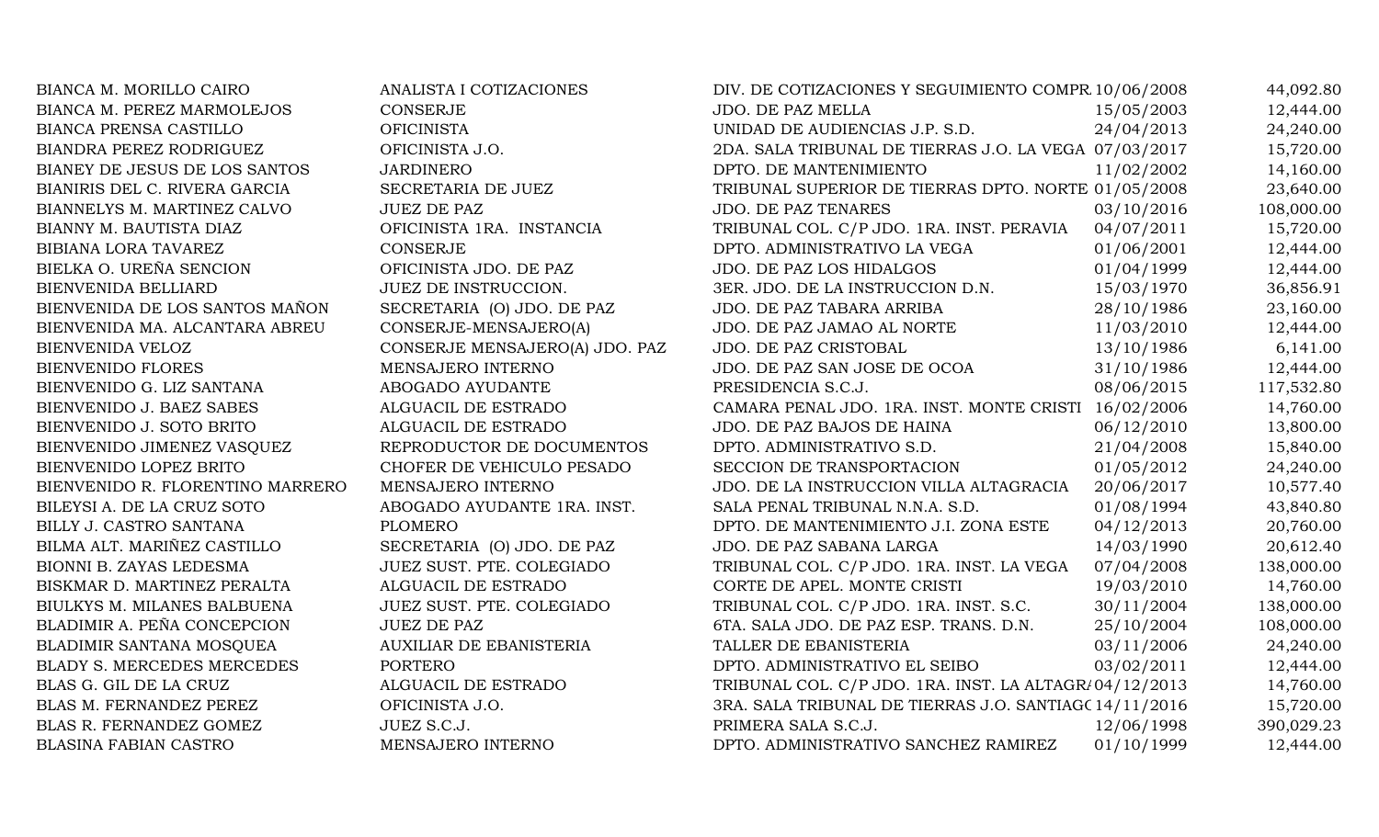| BIANCA M. MORILLO CAIRO          | ANALISTA I COTIZACIONES        | DIV. DE COTIZACIONES Y SEGUIMIENTO COMPR 10/06/2008    |            | 44,092.80  |
|----------------------------------|--------------------------------|--------------------------------------------------------|------------|------------|
| BIANCA M. PEREZ MARMOLEJOS       | <b>CONSERJE</b>                | JDO. DE PAZ MELLA                                      | 15/05/2003 | 12,444.00  |
| BIANCA PRENSA CASTILLO           | <b>OFICINISTA</b>              | UNIDAD DE AUDIENCIAS J.P. S.D.                         | 24/04/2013 | 24,240.00  |
| BIANDRA PEREZ RODRIGUEZ          | OFICINISTA J.O.                | 2DA. SALA TRIBUNAL DE TIERRAS J.O. LA VEGA 07/03/2017  |            | 15,720.00  |
| BIANEY DE JESUS DE LOS SANTOS    | <b>JARDINERO</b>               | DPTO. DE MANTENIMIENTO                                 | 11/02/2002 | 14,160.00  |
| BIANIRIS DEL C. RIVERA GARCIA    | SECRETARIA DE JUEZ             | TRIBUNAL SUPERIOR DE TIERRAS DPTO. NORTE 01/05/2008    |            | 23,640.00  |
| BIANNELYS M. MARTINEZ CALVO      | <b>JUEZ DE PAZ</b>             | <b>JDO. DE PAZ TENARES</b>                             | 03/10/2016 | 108,000.00 |
| BIANNY M. BAUTISTA DIAZ          | OFICINISTA 1RA. INSTANCIA      | TRIBUNAL COL. C/P JDO. 1RA. INST. PERAVIA              | 04/07/2011 | 15,720.00  |
| BIBIANA LORA TAVAREZ             | CONSERJE                       | DPTO. ADMINISTRATIVO LA VEGA                           | 01/06/2001 | 12,444.00  |
| BIELKA O. UREÑA SENCION          | OFICINISTA JDO. DE PAZ         | JDO. DE PAZ LOS HIDALGOS                               | 01/04/1999 | 12,444.00  |
| BIENVENIDA BELLIARD              | JUEZ DE INSTRUCCION.           | 3ER. JDO. DE LA INSTRUCCION D.N.                       | 15/03/1970 | 36,856.91  |
| BIENVENIDA DE LOS SANTOS MAÑON   | SECRETARIA (O) JDO. DE PAZ     | JDO. DE PAZ TABARA ARRIBA                              | 28/10/1986 | 23,160.00  |
| BIENVENIDA MA. ALCANTARA ABREU   | CONSERJE-MENSAJERO(A)          | JDO. DE PAZ JAMAO AL NORTE                             | 11/03/2010 | 12,444.00  |
| BIENVENIDA VELOZ                 | CONSERJE MENSAJERO(A) JDO. PAZ | JDO. DE PAZ CRISTOBAL                                  | 13/10/1986 | 6,141.00   |
| <b>BIENVENIDO FLORES</b>         | MENSAJERO INTERNO              | JDO. DE PAZ SAN JOSE DE OCOA                           | 31/10/1986 | 12,444.00  |
| BIENVENIDO G. LIZ SANTANA        | ABOGADO AYUDANTE               | PRESIDENCIA S.C.J.                                     | 08/06/2015 | 117,532.80 |
| BIENVENIDO J. BAEZ SABES         | ALGUACIL DE ESTRADO            | CAMARA PENAL JDO. 1RA. INST. MONTE CRISTI              | 16/02/2006 | 14,760.00  |
| BIENVENIDO J. SOTO BRITO         | ALGUACIL DE ESTRADO            | JDO. DE PAZ BAJOS DE HAINA                             | 06/12/2010 | 13,800.00  |
| BIENVENIDO JIMENEZ VASQUEZ       | REPRODUCTOR DE DOCUMENTOS      | DPTO. ADMINISTRATIVO S.D.                              | 21/04/2008 | 15,840.00  |
| BIENVENIDO LOPEZ BRITO           | CHOFER DE VEHICULO PESADO      | SECCION DE TRANSPORTACION                              | 01/05/2012 | 24,240.00  |
| BIENVENIDO R. FLORENTINO MARRERO | MENSAJERO INTERNO              | JDO. DE LA INSTRUCCION VILLA ALTAGRACIA                | 20/06/2017 | 10,577.40  |
| BILEYSI A. DE LA CRUZ SOTO       | ABOGADO AYUDANTE 1RA. INST.    | SALA PENAL TRIBUNAL N.N.A. S.D.                        | 01/08/1994 | 43,840.80  |
| BILLY J. CASTRO SANTANA          | <b>PLOMERO</b>                 | DPTO. DE MANTENIMIENTO J.I. ZONA ESTE                  | 04/12/2013 | 20,760.00  |
| BILMA ALT. MARIÑEZ CASTILLO      | SECRETARIA (O) JDO. DE PAZ     | JDO. DE PAZ SABANA LARGA                               | 14/03/1990 | 20,612.40  |
| BIONNI B. ZAYAS LEDESMA          | JUEZ SUST. PTE. COLEGIADO      | TRIBUNAL COL. C/P JDO. 1RA. INST. LA VEGA              | 07/04/2008 | 138,000.00 |
| BISKMAR D. MARTINEZ PERALTA      | ALGUACIL DE ESTRADO            | CORTE DE APEL. MONTE CRISTI                            | 19/03/2010 | 14,760.00  |
| BIULKYS M. MILANES BALBUENA      | JUEZ SUST. PTE. COLEGIADO      | TRIBUNAL COL. C/P JDO. 1RA. INST. S.C.                 | 30/11/2004 | 138,000.00 |
| BLADIMIR A. PEÑA CONCEPCION      | <b>JUEZ DE PAZ</b>             | 6TA. SALA JDO. DE PAZ ESP. TRANS. D.N.                 | 25/10/2004 | 108,000.00 |
| BLADIMIR SANTANA MOSQUEA         | <b>AUXILIAR DE EBANISTERIA</b> | TALLER DE EBANISTERIA                                  | 03/11/2006 | 24,240.00  |
| BLADY S. MERCEDES MERCEDES       | <b>PORTERO</b>                 | DPTO. ADMINISTRATIVO EL SEIBO                          | 03/02/2011 | 12,444.00  |
| BLAS G. GIL DE LA CRUZ           | ALGUACIL DE ESTRADO            | TRIBUNAL COL. C/P JDO. 1RA. INST. LA ALTAGR/04/12/2013 |            | 14,760.00  |
| BLAS M. FERNANDEZ PEREZ          | OFICINISTA J.O.                | 3RA. SALA TRIBUNAL DE TIERRAS J.O. SANTIAG(14/11/2016  |            | 15,720.00  |
| BLAS R. FERNANDEZ GOMEZ          | JUEZ S.C.J.                    | PRIMERA SALA S.C.J.                                    | 12/06/1998 | 390,029.23 |
| <b>BLASINA FABIAN CASTRO</b>     | MENSAJERO INTERNO              | DPTO. ADMINISTRATIVO SANCHEZ RAMIREZ                   | 01/10/1999 | 12,444.00  |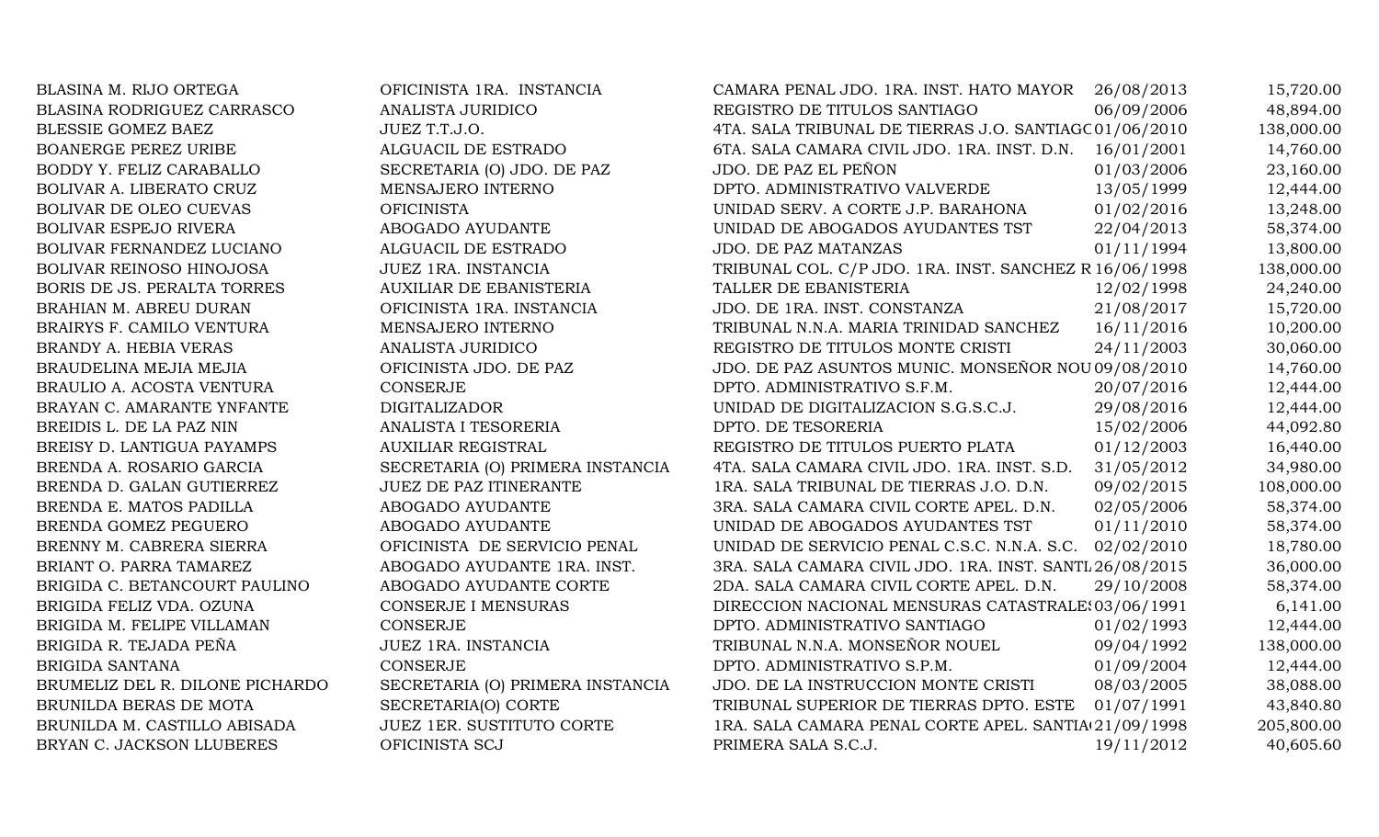| BLASINA M. RIJO ORTEGA            | OFICINISTA 1RA. INSTANCIA        | CAMARA PENAL JDO. 1RA. INST. HATO MAYOR                 | 26/08/2013 | 15,720.00  |
|-----------------------------------|----------------------------------|---------------------------------------------------------|------------|------------|
| <b>BLASINA RODRIGUEZ CARRASCO</b> | <b>ANALISTA JURIDICO</b>         | REGISTRO DE TITULOS SANTIAGO                            | 06/09/2006 | 48,894.00  |
| BLESSIE GOMEZ BAEZ                | JUEZ T.T.J.O.                    | 4TA. SALA TRIBUNAL DE TIERRAS J.O. SANTIAGC 01/06/2010  |            | 138,000.00 |
| <b>BOANERGE PEREZ URIBE</b>       | ALGUACIL DE ESTRADO              | 6TA. SALA CAMARA CIVIL JDO. 1RA. INST. D.N.             | 16/01/2001 | 14,760.00  |
| BODDY Y. FELIZ CARABALLO          | SECRETARIA (O) JDO. DE PAZ       | JDO. DE PAZ EL PEÑON                                    | 01/03/2006 | 23,160.00  |
| BOLIVAR A. LIBERATO CRUZ          | MENSAJERO INTERNO                | DPTO. ADMINISTRATIVO VALVERDE                           | 13/05/1999 | 12,444.00  |
| BOLIVAR DE OLEO CUEVAS            | <b>OFICINISTA</b>                | UNIDAD SERV. A CORTE J.P. BARAHONA                      | 01/02/2016 | 13,248.00  |
| <b>BOLIVAR ESPEJO RIVERA</b>      | ABOGADO AYUDANTE                 | UNIDAD DE ABOGADOS AYUDANTES TST                        | 22/04/2013 | 58,374.00  |
| BOLIVAR FERNANDEZ LUCIANO         | ALGUACIL DE ESTRADO              | <b>JDO. DE PAZ MATANZAS</b>                             | 01/11/1994 | 13,800.00  |
| <b>BOLIVAR REINOSO HINOJOSA</b>   | JUEZ 1RA. INSTANCIA              | TRIBUNAL COL. C/P JDO. 1RA. INST. SANCHEZ R 16/06/1998  |            | 138,000.00 |
| BORIS DE JS. PERALTA TORRES       | <b>AUXILIAR DE EBANISTERIA</b>   | TALLER DE EBANISTERIA                                   | 12/02/1998 | 24,240.00  |
| BRAHIAN M. ABREU DURAN            | OFICINISTA 1RA. INSTANCIA        | JDO. DE 1RA. INST. CONSTANZA                            | 21/08/2017 | 15,720.00  |
| BRAIRYS F. CAMILO VENTURA         | MENSAJERO INTERNO                | TRIBUNAL N.N.A. MARIA TRINIDAD SANCHEZ                  | 16/11/2016 | 10,200.00  |
| BRANDY A. HEBIA VERAS             | ANALISTA JURIDICO                | REGISTRO DE TITULOS MONTE CRISTI                        | 24/11/2003 | 30,060.00  |
| BRAUDELINA MEJIA MEJIA            | OFICINISTA JDO. DE PAZ           | JDO. DE PAZ ASUNTOS MUNIC. MONSEÑOR NOU 09/08/2010      |            | 14,760.00  |
| BRAULIO A. ACOSTA VENTURA         | <b>CONSERJE</b>                  | DPTO. ADMINISTRATIVO S.F.M.                             | 20/07/2016 | 12,444.00  |
| BRAYAN C. AMARANTE YNFANTE        | <b>DIGITALIZADOR</b>             | UNIDAD DE DIGITALIZACION S.G.S.C.J.                     | 29/08/2016 | 12,444.00  |
| BREIDIS L. DE LA PAZ NIN          | ANALISTA I TESORERIA             | DPTO. DE TESORERIA                                      | 15/02/2006 | 44,092.80  |
| BREISY D. LANTIGUA PAYAMPS        | <b>AUXILIAR REGISTRAL</b>        | REGISTRO DE TITULOS PUERTO PLATA                        | 01/12/2003 | 16,440.00  |
| BRENDA A. ROSARIO GARCIA          | SECRETARIA (O) PRIMERA INSTANCIA | 4TA. SALA CAMARA CIVIL JDO. 1RA. INST. S.D.             | 31/05/2012 | 34,980.00  |
| BRENDA D. GALAN GUTIERREZ         | JUEZ DE PAZ ITINERANTE           | 1RA. SALA TRIBUNAL DE TIERRAS J.O. D.N.                 | 09/02/2015 | 108,000.00 |
| BRENDA E. MATOS PADILLA           | ABOGADO AYUDANTE                 | 3RA. SALA CAMARA CIVIL CORTE APEL. D.N.                 | 02/05/2006 | 58,374.00  |
| BRENDA GOMEZ PEGUERO              | ABOGADO AYUDANTE                 | UNIDAD DE ABOGADOS AYUDANTES TST                        | 01/11/2010 | 58,374.00  |
| BRENNY M. CABRERA SIERRA          | OFICINISTA DE SERVICIO PENAL     | UNIDAD DE SERVICIO PENAL C.S.C. N.N.A. S.C.             | 02/02/2010 | 18,780.00  |
| BRIANT O. PARRA TAMAREZ           | ABOGADO AYUDANTE 1RA. INST.      | 3RA. SALA CAMARA CIVIL JDO. 1RA. INST. SANTL 26/08/2015 |            | 36,000.00  |
| BRIGIDA C. BETANCOURT PAULINO     | ABOGADO AYUDANTE CORTE           | 2DA. SALA CAMARA CIVIL CORTE APEL. D.N.                 | 29/10/2008 | 58,374.00  |
| BRIGIDA FELIZ VDA. OZUNA          | CONSERJE I MENSURAS              | DIRECCION NACIONAL MENSURAS CATASTRALE: 03/06/1991      |            | 6,141.00   |
| BRIGIDA M. FELIPE VILLAMAN        | CONSERJE                         | DPTO. ADMINISTRATIVO SANTIAGO                           | 01/02/1993 | 12,444.00  |
| BRIGIDA R. TEJADA PEÑA            | JUEZ 1RA. INSTANCIA              | TRIBUNAL N.N.A. MONSEÑOR NOUEL                          | 09/04/1992 | 138,000.00 |
| <b>BRIGIDA SANTANA</b>            | <b>CONSERJE</b>                  | DPTO. ADMINISTRATIVO S.P.M.                             | 01/09/2004 | 12,444.00  |
| BRUMELIZ DEL R. DILONE PICHARDO   | SECRETARIA (O) PRIMERA INSTANCIA | JDO. DE LA INSTRUCCION MONTE CRISTI                     | 08/03/2005 | 38,088.00  |
| BRUNILDA BERAS DE MOTA            | SECRETARIA(O) CORTE              | TRIBUNAL SUPERIOR DE TIERRAS DPTO. ESTE                 | 01/07/1991 | 43,840.80  |
| BRUNILDA M. CASTILLO ABISADA      | <b>JUEZ 1ER. SUSTITUTO CORTE</b> | 1RA. SALA CAMARA PENAL CORTE APEL. SANTIA 21/09/1998    |            | 205,800.00 |
| BRYAN C. JACKSON LLUBERES         | OFICINISTA SCJ                   | PRIMERA SALA S.C.J.                                     | 19/11/2012 | 40,605.60  |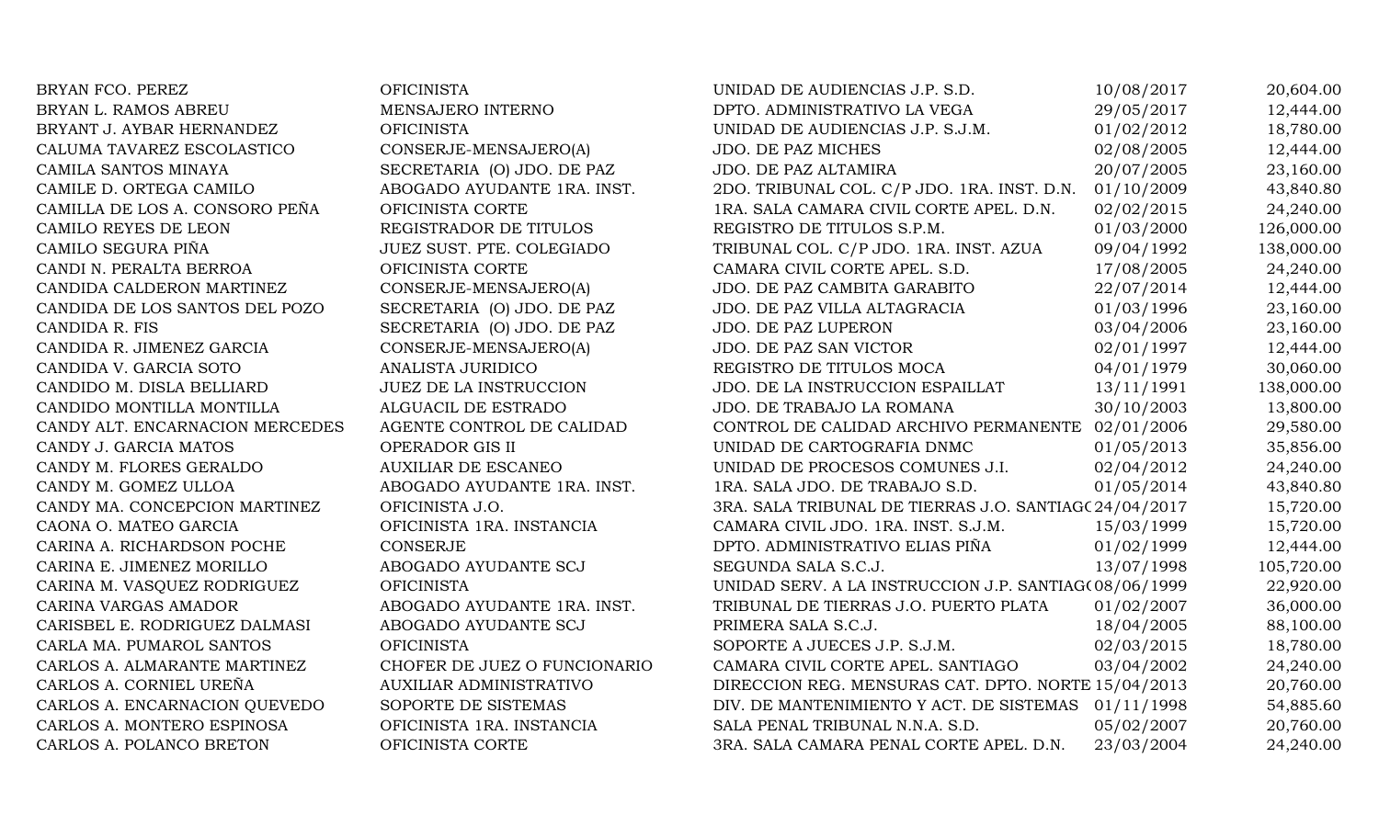| BRYAN FCO. PEREZ                | <b>OFICINISTA</b>              | UNIDAD DE AUDIENCIAS J.P. S.D.                        | 10/08/2017 | 20,604.00  |
|---------------------------------|--------------------------------|-------------------------------------------------------|------------|------------|
| BRYAN L. RAMOS ABREU            | MENSAJERO INTERNO              | DPTO. ADMINISTRATIVO LA VEGA                          | 29/05/2017 | 12,444.00  |
| BRYANT J. AYBAR HERNANDEZ       | <b>OFICINISTA</b>              | UNIDAD DE AUDIENCIAS J.P. S.J.M.                      | 01/02/2012 | 18,780.00  |
| CALUMA TAVAREZ ESCOLASTICO      | CONSERJE-MENSAJERO(A)          | <b>JDO. DE PAZ MICHES</b>                             | 02/08/2005 | 12,444.00  |
| CAMILA SANTOS MINAYA            | SECRETARIA (O) JDO. DE PAZ     | JDO. DE PAZ ALTAMIRA                                  | 20/07/2005 | 23,160.00  |
| CAMILE D. ORTEGA CAMILO         | ABOGADO AYUDANTE 1RA. INST.    | 2DO. TRIBUNAL COL. C/P JDO. 1RA. INST. D.N.           | 01/10/2009 | 43,840.80  |
| CAMILLA DE LOS A. CONSORO PEÑA  | OFICINISTA CORTE               | 1RA. SALA CAMARA CIVIL CORTE APEL. D.N.               | 02/02/2015 | 24,240.00  |
| CAMILO REYES DE LEON            | REGISTRADOR DE TITULOS         | REGISTRO DE TITULOS S.P.M.                            | 01/03/2000 | 126,000.00 |
| CAMILO SEGURA PIÑA              | JUEZ SUST. PTE. COLEGIADO      | TRIBUNAL COL. C/P JDO. 1RA. INST. AZUA                | 09/04/1992 | 138,000.00 |
| CANDI N. PERALTA BERROA         | OFICINISTA CORTE               | CAMARA CIVIL CORTE APEL. S.D.                         | 17/08/2005 | 24,240.00  |
| CANDIDA CALDERON MARTINEZ       | CONSERJE-MENSAJERO(A)          | JDO. DE PAZ CAMBITA GARABITO                          | 22/07/2014 | 12,444.00  |
| CANDIDA DE LOS SANTOS DEL POZO  | SECRETARIA (O) JDO. DE PAZ     | JDO. DE PAZ VILLA ALTAGRACIA                          | 01/03/1996 | 23,160.00  |
| CANDIDA R. FIS                  | SECRETARIA (O) JDO. DE PAZ     | <b>JDO. DE PAZ LUPERON</b>                            | 03/04/2006 | 23,160.00  |
| CANDIDA R. JIMENEZ GARCIA       | CONSERJE-MENSAJERO(A)          | JDO. DE PAZ SAN VICTOR                                | 02/01/1997 | 12,444.00  |
| CANDIDA V. GARCIA SOTO          | ANALISTA JURIDICO              | REGISTRO DE TITULOS MOCA                              | 04/01/1979 | 30,060.00  |
| CANDIDO M. DISLA BELLIARD       | <b>JUEZ DE LA INSTRUCCION</b>  | JDO. DE LA INSTRUCCION ESPAILLAT                      | 13/11/1991 | 138,000.00 |
| CANDIDO MONTILLA MONTILLA       | ALGUACIL DE ESTRADO            | JDO. DE TRABAJO LA ROMANA                             | 30/10/2003 | 13,800.00  |
| CANDY ALT. ENCARNACION MERCEDES | AGENTE CONTROL DE CALIDAD      | CONTROL DE CALIDAD ARCHIVO PERMANENTE                 | 02/01/2006 | 29,580.00  |
| CANDY J. GARCIA MATOS           | OPERADOR GIS II                | UNIDAD DE CARTOGRAFIA DNMC                            | 01/05/2013 | 35,856.00  |
| CANDY M. FLORES GERALDO         | <b>AUXILIAR DE ESCANEO</b>     | UNIDAD DE PROCESOS COMUNES J.I.                       | 02/04/2012 | 24,240.00  |
| CANDY M. GOMEZ ULLOA            | ABOGADO AYUDANTE 1RA. INST.    | 1RA. SALA JDO. DE TRABAJO S.D.                        | 01/05/2014 | 43,840.80  |
| CANDY MA. CONCEPCION MARTINEZ   | OFICINISTA J.O.                | 3RA. SALA TRIBUNAL DE TIERRAS J.O. SANTIAG(24/04/2017 |            | 15,720.00  |
| CAONA O. MATEO GARCIA           | OFICINISTA 1RA. INSTANCIA      | CAMARA CIVIL JDO. 1RA. INST. S.J.M.                   | 15/03/1999 | 15,720.00  |
| CARINA A. RICHARDSON POCHE      | CONSERJE                       | DPTO. ADMINISTRATIVO ELIAS PIÑA                       | 01/02/1999 | 12,444.00  |
| CARINA E. JIMENEZ MORILLO       | ABOGADO AYUDANTE SCJ           | SEGUNDA SALA S.C.J.                                   | 13/07/1998 | 105,720.00 |
| CARINA M. VASQUEZ RODRIGUEZ     | <b>OFICINISTA</b>              | UNIDAD SERV. A LA INSTRUCCION J.P. SANTIAG(08/06/1999 |            | 22,920.00  |
| CARINA VARGAS AMADOR            | ABOGADO AYUDANTE 1RA. INST.    | TRIBUNAL DE TIERRAS J.O. PUERTO PLATA                 | 01/02/2007 | 36,000.00  |
| CARISBEL E. RODRIGUEZ DALMASI   | ABOGADO AYUDANTE SCJ           | PRIMERA SALA S.C.J.                                   | 18/04/2005 | 88,100.00  |
| CARLA MA. PUMAROL SANTOS        | <b>OFICINISTA</b>              | SOPORTE A JUECES J.P. S.J.M.                          | 02/03/2015 | 18,780.00  |
| CARLOS A. ALMARANTE MARTINEZ    | CHOFER DE JUEZ O FUNCIONARIO   | CAMARA CIVIL CORTE APEL. SANTIAGO                     | 03/04/2002 | 24,240.00  |
| CARLOS A. CORNIEL UREÑA         | <b>AUXILIAR ADMINISTRATIVO</b> | DIRECCION REG. MENSURAS CAT. DPTO. NORTE 15/04/2013   |            | 20,760.00  |
| CARLOS A. ENCARNACION QUEVEDO   | SOPORTE DE SISTEMAS            | DIV. DE MANTENIMIENTO Y ACT. DE SISTEMAS              | 01/11/1998 | 54,885.60  |
| CARLOS A. MONTERO ESPINOSA      | OFICINISTA 1RA. INSTANCIA      | SALA PENAL TRIBUNAL N.N.A. S.D.                       | 05/02/2007 | 20,760.00  |
| CARLOS A. POLANCO BRETON        | OFICINISTA CORTE               | 3RA. SALA CAMARA PENAL CORTE APEL. D.N.               | 23/03/2004 | 24,240.00  |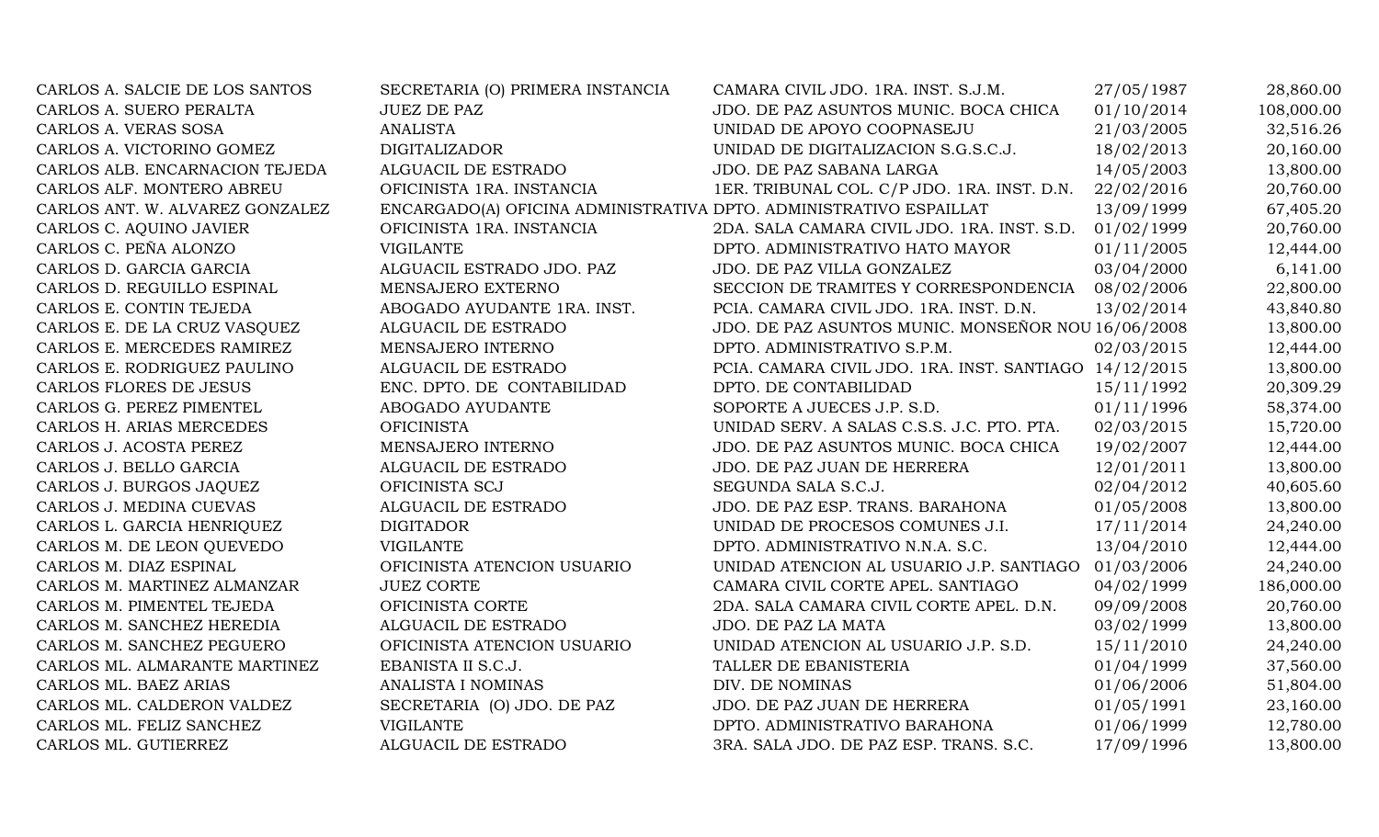| CARLOS A. SALCIE DE LOS SANTOS  | SECRETARIA (O) PRIMERA INSTANCIA                                   | CAMARA CIVIL JDO. 1RA. INST. S.J.M.                    | 27/05/1987 | 28,860.00  |
|---------------------------------|--------------------------------------------------------------------|--------------------------------------------------------|------------|------------|
| CARLOS A. SUERO PERALTA         | <b>JUEZ DE PAZ</b>                                                 | JDO. DE PAZ ASUNTOS MUNIC. BOCA CHICA                  | 01/10/2014 | 108,000.00 |
| CARLOS A. VERAS SOSA            | <b>ANALISTA</b>                                                    | UNIDAD DE APOYO COOPNASEJU                             | 21/03/2005 | 32,516.26  |
| CARLOS A. VICTORINO GOMEZ       | <b>DIGITALIZADOR</b>                                               | UNIDAD DE DIGITALIZACION S.G.S.C.J.                    | 18/02/2013 | 20,160.00  |
| CARLOS ALB. ENCARNACION TEJEDA  | ALGUACIL DE ESTRADO                                                | JDO. DE PAZ SABANA LARGA                               | 14/05/2003 | 13,800.00  |
| CARLOS ALF. MONTERO ABREU       | OFICINISTA 1RA. INSTANCIA                                          | 1ER. TRIBUNAL COL. C/P JDO. 1RA. INST. D.N.            | 22/02/2016 | 20,760.00  |
| CARLOS ANT. W. ALVAREZ GONZALEZ | ENCARGADO(A) OFICINA ADMINISTRATIVA DPTO. ADMINISTRATIVO ESPAILLAT |                                                        | 13/09/1999 | 67,405.20  |
| CARLOS C. AQUINO JAVIER         | OFICINISTA 1RA. INSTANCIA                                          | 2DA. SALA CAMARA CIVIL JDO. 1RA. INST. S.D.            | 01/02/1999 | 20,760.00  |
| CARLOS C. PEÑA ALONZO           | <b>VIGILANTE</b>                                                   | DPTO. ADMINISTRATIVO HATO MAYOR                        | 01/11/2005 | 12,444.00  |
| CARLOS D. GARCIA GARCIA         | ALGUACIL ESTRADO JDO. PAZ                                          | JDO. DE PAZ VILLA GONZALEZ                             | 03/04/2000 | 6,141.00   |
| CARLOS D. REGUILLO ESPINAL      | MENSAJERO EXTERNO                                                  | SECCION DE TRAMITES Y CORRESPONDENCIA                  | 08/02/2006 | 22,800.00  |
| CARLOS E. CONTIN TEJEDA         | ABOGADO AYUDANTE 1RA. INST.                                        | PCIA. CAMARA CIVIL JDO. 1RA. INST. D.N.                | 13/02/2014 | 43,840.80  |
| CARLOS E. DE LA CRUZ VASQUEZ    | ALGUACIL DE ESTRADO                                                | JDO. DE PAZ ASUNTOS MUNIC. MONSEÑOR NOU 16/06/2008     |            | 13,800.00  |
| CARLOS E. MERCEDES RAMIREZ      | MENSAJERO INTERNO                                                  | DPTO. ADMINISTRATIVO S.P.M.                            | 02/03/2015 | 12,444.00  |
| CARLOS E. RODRIGUEZ PAULINO     | ALGUACIL DE ESTRADO                                                | PCIA. CAMARA CIVIL JDO. 1RA. INST. SANTIAGO 14/12/2015 |            | 13,800.00  |
| CARLOS FLORES DE JESUS          | ENC. DPTO. DE CONTABILIDAD                                         | DPTO. DE CONTABILIDAD                                  | 15/11/1992 | 20,309.29  |
| CARLOS G. PEREZ PIMENTEL        | ABOGADO AYUDANTE                                                   | SOPORTE A JUECES J.P. S.D.                             | 01/11/1996 | 58,374.00  |
| CARLOS H. ARIAS MERCEDES        | <b>OFICINISTA</b>                                                  | UNIDAD SERV. A SALAS C.S.S. J.C. PTO. PTA.             | 02/03/2015 | 15,720.00  |
| CARLOS J. ACOSTA PEREZ          | MENSAJERO INTERNO                                                  | JDO. DE PAZ ASUNTOS MUNIC. BOCA CHICA                  | 19/02/2007 | 12,444.00  |
| CARLOS J. BELLO GARCIA          | ALGUACIL DE ESTRADO                                                | JDO. DE PAZ JUAN DE HERRERA                            | 12/01/2011 | 13,800.00  |
| CARLOS J. BURGOS JAQUEZ         | OFICINISTA SCJ                                                     | SEGUNDA SALA S.C.J.                                    | 02/04/2012 | 40,605.60  |
| CARLOS J. MEDINA CUEVAS         | ALGUACIL DE ESTRADO                                                | JDO. DE PAZ ESP. TRANS. BARAHONA                       | 01/05/2008 | 13,800.00  |
| CARLOS L. GARCIA HENRIQUEZ      | <b>DIGITADOR</b>                                                   | UNIDAD DE PROCESOS COMUNES J.I.                        | 17/11/2014 | 24,240.00  |
| CARLOS M. DE LEON QUEVEDO       | <b>VIGILANTE</b>                                                   | DPTO. ADMINISTRATIVO N.N.A. S.C.                       | 13/04/2010 | 12,444.00  |
| CARLOS M. DIAZ ESPINAL          | OFICINISTA ATENCION USUARIO                                        | UNIDAD ATENCION AL USUARIO J.P. SANTIAGO               | 01/03/2006 | 24,240.00  |
| CARLOS M. MARTINEZ ALMANZAR     | <b>JUEZ CORTE</b>                                                  | CAMARA CIVIL CORTE APEL. SANTIAGO                      | 04/02/1999 | 186,000.00 |
| CARLOS M. PIMENTEL TEJEDA       | OFICINISTA CORTE                                                   | 2DA. SALA CAMARA CIVIL CORTE APEL. D.N.                | 09/09/2008 | 20,760.00  |
| CARLOS M. SANCHEZ HEREDIA       | ALGUACIL DE ESTRADO                                                | JDO. DE PAZ LA MATA                                    | 03/02/1999 | 13,800.00  |
| CARLOS M. SANCHEZ PEGUERO       | OFICINISTA ATENCION USUARIO                                        | UNIDAD ATENCION AL USUARIO J.P. S.D.                   | 15/11/2010 | 24,240.00  |
| CARLOS ML. ALMARANTE MARTINEZ   | EBANISTA II S.C.J.                                                 | TALLER DE EBANISTERIA                                  | 01/04/1999 | 37,560.00  |
| CARLOS ML. BAEZ ARIAS           | ANALISTA I NOMINAS                                                 | DIV. DE NOMINAS                                        | 01/06/2006 | 51,804.00  |
| CARLOS ML. CALDERON VALDEZ      | SECRETARIA (O) JDO. DE PAZ                                         | JDO. DE PAZ JUAN DE HERRERA                            | 01/05/1991 | 23,160.00  |
| CARLOS ML. FELIZ SANCHEZ        | <b>VIGILANTE</b>                                                   | DPTO. ADMINISTRATIVO BARAHONA                          | 01/06/1999 | 12,780.00  |
| CARLOS ML. GUTIERREZ            | ALGUACIL DE ESTRADO                                                | 3RA. SALA JDO. DE PAZ ESP. TRANS. S.C.                 | 17/09/1996 | 13,800.00  |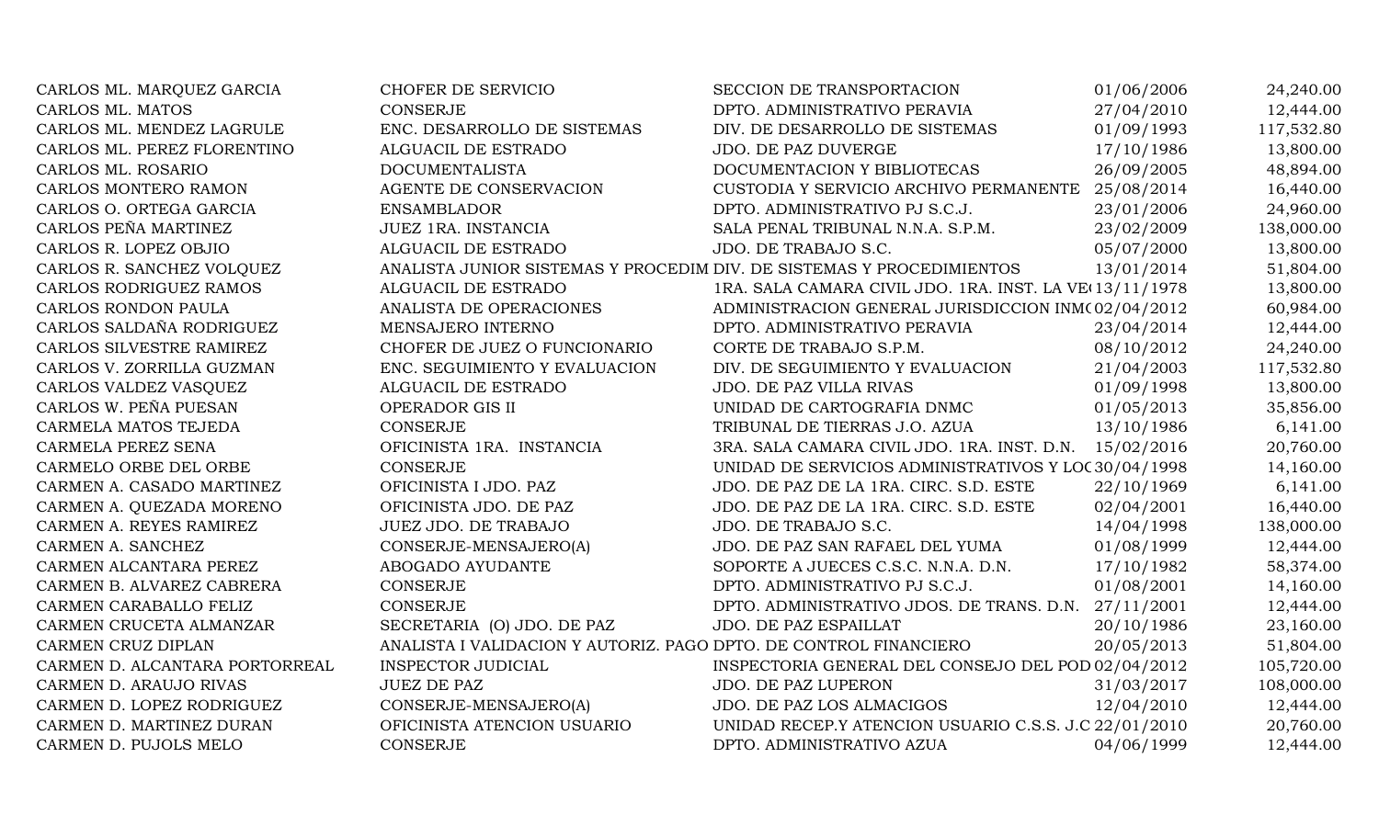| CARLOS ML. MARQUEZ GARCIA      | CHOFER DE SERVICIO                                                    | SECCION DE TRANSPORTACION                               | 01/06/2006 | 24,240.00  |
|--------------------------------|-----------------------------------------------------------------------|---------------------------------------------------------|------------|------------|
| CARLOS ML. MATOS               | <b>CONSERJE</b>                                                       | DPTO. ADMINISTRATIVO PERAVIA                            | 27/04/2010 | 12,444.00  |
| CARLOS ML. MENDEZ LAGRULE      | ENC. DESARROLLO DE SISTEMAS                                           | DIV. DE DESARROLLO DE SISTEMAS                          | 01/09/1993 | 117,532.80 |
| CARLOS ML. PEREZ FLORENTINO    | ALGUACIL DE ESTRADO                                                   | JDO. DE PAZ DUVERGE                                     | 17/10/1986 | 13,800.00  |
| CARLOS ML. ROSARIO             | <b>DOCUMENTALISTA</b>                                                 | DOCUMENTACION Y BIBLIOTECAS                             | 26/09/2005 | 48,894.00  |
| CARLOS MONTERO RAMON           | AGENTE DE CONSERVACION                                                | CUSTODIA Y SERVICIO ARCHIVO PERMANENTE                  | 25/08/2014 | 16,440.00  |
| CARLOS O. ORTEGA GARCIA        | <b>ENSAMBLADOR</b>                                                    | DPTO. ADMINISTRATIVO PJ S.C.J.                          | 23/01/2006 | 24,960.00  |
| CARLOS PEÑA MARTINEZ           | JUEZ 1RA. INSTANCIA                                                   | SALA PENAL TRIBUNAL N.N.A. S.P.M.                       | 23/02/2009 | 138,000.00 |
| CARLOS R. LOPEZ OBJIO          | ALGUACIL DE ESTRADO                                                   | JDO. DE TRABAJO S.C.                                    | 05/07/2000 | 13,800.00  |
| CARLOS R. SANCHEZ VOLQUEZ      | ANALISTA JUNIOR SISTEMAS Y PROCEDIM DIV. DE SISTEMAS Y PROCEDIMIENTOS |                                                         | 13/01/2014 | 51,804.00  |
| CARLOS RODRIGUEZ RAMOS         | ALGUACIL DE ESTRADO                                                   | 1RA. SALA CAMARA CIVIL JDO. 1RA. INST. LA VE 13/11/1978 |            | 13,800.00  |
| <b>CARLOS RONDON PAULA</b>     | ANALISTA DE OPERACIONES                                               | ADMINISTRACION GENERAL JURISDICCION INM(02/04/2012      |            | 60,984.00  |
| CARLOS SALDAÑA RODRIGUEZ       | MENSAJERO INTERNO                                                     | DPTO. ADMINISTRATIVO PERAVIA                            | 23/04/2014 | 12,444.00  |
| CARLOS SILVESTRE RAMIREZ       | CHOFER DE JUEZ O FUNCIONARIO                                          | CORTE DE TRABAJO S.P.M.                                 | 08/10/2012 | 24,240.00  |
| CARLOS V. ZORRILLA GUZMAN      | ENC. SEGUIMIENTO Y EVALUACION                                         | DIV. DE SEGUIMIENTO Y EVALUACION                        | 21/04/2003 | 117,532.80 |
| CARLOS VALDEZ VASQUEZ          | ALGUACIL DE ESTRADO                                                   | JDO. DE PAZ VILLA RIVAS                                 | 01/09/1998 | 13,800.00  |
| CARLOS W. PEÑA PUESAN          | OPERADOR GIS II                                                       | UNIDAD DE CARTOGRAFIA DNMC                              | 01/05/2013 | 35,856.00  |
| CARMELA MATOS TEJEDA           | <b>CONSERJE</b>                                                       | TRIBUNAL DE TIERRAS J.O. AZUA                           | 13/10/1986 | 6,141.00   |
| CARMELA PEREZ SENA             | OFICINISTA 1RA. INSTANCIA                                             | 3RA. SALA CAMARA CIVIL JDO. 1RA. INST. D.N. 15/02/2016  |            | 20,760.00  |
| CARMELO ORBE DEL ORBE          | <b>CONSERJE</b>                                                       | UNIDAD DE SERVICIOS ADMINISTRATIVOS Y LOC30/04/1998     |            | 14,160.00  |
| CARMEN A. CASADO MARTINEZ      | OFICINISTA I JDO. PAZ                                                 | JDO. DE PAZ DE LA 1RA. CIRC. S.D. ESTE                  | 22/10/1969 | 6,141.00   |
| CARMEN A. QUEZADA MORENO       | OFICINISTA JDO. DE PAZ                                                | JDO. DE PAZ DE LA 1RA. CIRC. S.D. ESTE                  | 02/04/2001 | 16,440.00  |
| CARMEN A. REYES RAMIREZ        | JUEZ JDO. DE TRABAJO                                                  | JDO. DE TRABAJO S.C.                                    | 14/04/1998 | 138,000.00 |
| CARMEN A. SANCHEZ              | CONSERJE-MENSAJERO(A)                                                 | JDO. DE PAZ SAN RAFAEL DEL YUMA                         | 01/08/1999 | 12,444.00  |
| CARMEN ALCANTARA PEREZ         | ABOGADO AYUDANTE                                                      | SOPORTE A JUECES C.S.C. N.N.A. D.N.                     | 17/10/1982 | 58,374.00  |
| CARMEN B. ALVAREZ CABRERA      | <b>CONSERJE</b>                                                       | DPTO. ADMINISTRATIVO PJ S.C.J.                          | 01/08/2001 | 14,160.00  |
| CARMEN CARABALLO FELIZ         | <b>CONSERJE</b>                                                       | DPTO. ADMINISTRATIVO JDOS. DE TRANS. D.N.               | 27/11/2001 | 12,444.00  |
| CARMEN CRUCETA ALMANZAR        | SECRETARIA (O) JDO. DE PAZ                                            | JDO. DE PAZ ESPAILLAT                                   | 20/10/1986 | 23,160.00  |
| CARMEN CRUZ DIPLAN             | ANALISTA I VALIDACION Y AUTORIZ. PAGO DPTO. DE CONTROL FINANCIERO     |                                                         | 20/05/2013 | 51,804.00  |
| CARMEN D. ALCANTARA PORTORREAL | <b>INSPECTOR JUDICIAL</b>                                             | INSPECTORIA GENERAL DEL CONSEJO DEL POD 02/04/2012      |            | 105,720.00 |
| CARMEN D. ARAUJO RIVAS         | <b>JUEZ DE PAZ</b>                                                    | JDO. DE PAZ LUPERON                                     | 31/03/2017 | 108,000.00 |
| CARMEN D. LOPEZ RODRIGUEZ      | CONSERJE-MENSAJERO(A)                                                 | JDO. DE PAZ LOS ALMACIGOS                               | 12/04/2010 | 12,444.00  |
| CARMEN D. MARTINEZ DURAN       | OFICINISTA ATENCION USUARIO                                           | UNIDAD RECEP.Y ATENCION USUARIO C.S.S. J.C 22/01/2010   |            | 20,760.00  |
| CARMEN D. PUJOLS MELO          | <b>CONSERJE</b>                                                       | DPTO. ADMINISTRATIVO AZUA                               | 04/06/1999 | 12,444.00  |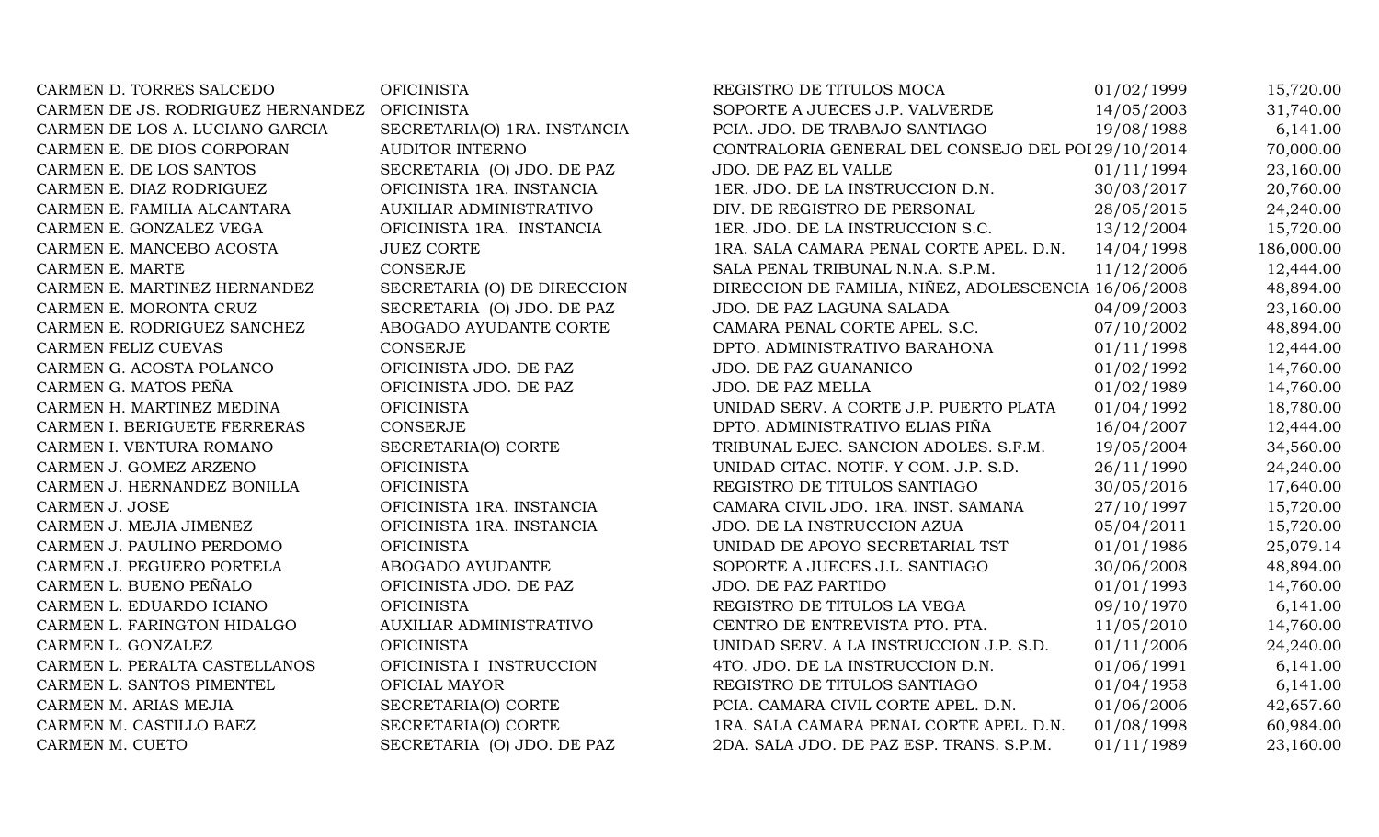| CARMEN D. TORRES SALCEDO          | <b>OFICINISTA</b>            | REGISTRO DE TITULOS MOCA                             | 01/02/1999 | 15,720.00  |
|-----------------------------------|------------------------------|------------------------------------------------------|------------|------------|
| CARMEN DE JS. RODRIGUEZ HERNANDEZ | <b>OFICINISTA</b>            | SOPORTE A JUECES J.P. VALVERDE                       | 14/05/2003 | 31,740.00  |
| CARMEN DE LOS A. LUCIANO GARCIA   | SECRETARIA(O) 1RA. INSTANCIA | PCIA. JDO. DE TRABAJO SANTIAGO                       | 19/08/1988 | 6,141.00   |
| CARMEN E. DE DIOS CORPORAN        | <b>AUDITOR INTERNO</b>       | CONTRALORIA GENERAL DEL CONSEJO DEL POI 29/10/2014   |            | 70,000.00  |
| CARMEN E. DE LOS SANTOS           | SECRETARIA (O) JDO. DE PAZ   | JDO. DE PAZ EL VALLE                                 | 01/11/1994 | 23,160.00  |
| CARMEN E. DIAZ RODRIGUEZ          | OFICINISTA 1RA. INSTANCIA    | 1ER. JDO. DE LA INSTRUCCION D.N.                     | 30/03/2017 | 20,760.00  |
| CARMEN E. FAMILIA ALCANTARA       | AUXILIAR ADMINISTRATIVO      | DIV. DE REGISTRO DE PERSONAL                         | 28/05/2015 | 24,240.00  |
| CARMEN E. GONZALEZ VEGA           | OFICINISTA 1RA. INSTANCIA    | 1ER. JDO. DE LA INSTRUCCION S.C.                     | 13/12/2004 | 15,720.00  |
| CARMEN E. MANCEBO ACOSTA          | <b>JUEZ CORTE</b>            | 1RA. SALA CAMARA PENAL CORTE APEL. D.N.              | 14/04/1998 | 186,000.00 |
| CARMEN E. MARTE                   | <b>CONSERJE</b>              | SALA PENAL TRIBUNAL N.N.A. S.P.M.                    | 11/12/2006 | 12,444.00  |
| CARMEN E. MARTINEZ HERNANDEZ      | SECRETARIA (O) DE DIRECCION  | DIRECCION DE FAMILIA, NIÑEZ, ADOLESCENCIA 16/06/2008 |            | 48,894.00  |
| CARMEN E. MORONTA CRUZ            | SECRETARIA (O) JDO. DE PAZ   | JDO. DE PAZ LAGUNA SALADA                            | 04/09/2003 | 23,160.00  |
| CARMEN E. RODRIGUEZ SANCHEZ       | ABOGADO AYUDANTE CORTE       | CAMARA PENAL CORTE APEL. S.C.                        | 07/10/2002 | 48,894.00  |
| CARMEN FELIZ CUEVAS               | <b>CONSERJE</b>              | DPTO. ADMINISTRATIVO BARAHONA                        | 01/11/1998 | 12,444.00  |
| CARMEN G. ACOSTA POLANCO          | OFICINISTA JDO. DE PAZ       | JDO. DE PAZ GUANANICO                                | 01/02/1992 | 14,760.00  |
| CARMEN G. MATOS PEÑA              | OFICINISTA JDO. DE PAZ       | JDO. DE PAZ MELLA                                    | 01/02/1989 | 14,760.00  |
| CARMEN H. MARTINEZ MEDINA         | <b>OFICINISTA</b>            | UNIDAD SERV. A CORTE J.P. PUERTO PLATA               | 01/04/1992 | 18,780.00  |
| CARMEN I. BERIGUETE FERRERAS      | <b>CONSERJE</b>              | DPTO. ADMINISTRATIVO ELIAS PIÑA                      | 16/04/2007 | 12,444.00  |
| CARMEN I. VENTURA ROMANO          | SECRETARIA(O) CORTE          | TRIBUNAL EJEC. SANCION ADOLES. S.F.M.                | 19/05/2004 | 34,560.00  |
| CARMEN J. GOMEZ ARZENO            | <b>OFICINISTA</b>            | UNIDAD CITAC. NOTIF. Y COM. J.P. S.D.                | 26/11/1990 | 24,240.00  |
| CARMEN J. HERNANDEZ BONILLA       | <b>OFICINISTA</b>            | REGISTRO DE TITULOS SANTIAGO                         | 30/05/2016 | 17,640.00  |
| <b>CARMEN J. JOSE</b>             | OFICINISTA 1RA. INSTANCIA    | CAMARA CIVIL JDO. 1RA. INST. SAMANA                  | 27/10/1997 | 15,720.00  |
| CARMEN J. MEJIA JIMENEZ           | OFICINISTA 1RA. INSTANCIA    | JDO. DE LA INSTRUCCION AZUA                          | 05/04/2011 | 15,720.00  |
| CARMEN J. PAULINO PERDOMO         | <b>OFICINISTA</b>            | UNIDAD DE APOYO SECRETARIAL TST                      | 01/01/1986 | 25,079.14  |
| CARMEN J. PEGUERO PORTELA         | ABOGADO AYUDANTE             | SOPORTE A JUECES J.L. SANTIAGO                       | 30/06/2008 | 48,894.00  |
| CARMEN L. BUENO PEÑALO            | OFICINISTA JDO. DE PAZ       | JDO. DE PAZ PARTIDO                                  | 01/01/1993 | 14,760.00  |
| CARMEN L. EDUARDO ICIANO          | <b>OFICINISTA</b>            | REGISTRO DE TITULOS LA VEGA                          | 09/10/1970 | 6,141.00   |
| CARMEN L. FARINGTON HIDALGO       | AUXILIAR ADMINISTRATIVO      | CENTRO DE ENTREVISTA PTO. PTA.                       | 11/05/2010 | 14,760.00  |
| CARMEN L. GONZALEZ                | <b>OFICINISTA</b>            | UNIDAD SERV. A LA INSTRUCCION J.P. S.D.              | 01/11/2006 | 24,240.00  |
| CARMEN L. PERALTA CASTELLANOS     | OFICINISTA I INSTRUCCION     | 4TO. JDO. DE LA INSTRUCCION D.N.                     | 01/06/1991 | 6,141.00   |
| CARMEN L. SANTOS PIMENTEL         | OFICIAL MAYOR                | REGISTRO DE TITULOS SANTIAGO                         | 01/04/1958 | 6,141.00   |
| CARMEN M. ARIAS MEJIA             | SECRETARIA(O) CORTE          | PCIA. CAMARA CIVIL CORTE APEL. D.N.                  | 01/06/2006 | 42,657.60  |
| CARMEN M. CASTILLO BAEZ           | SECRETARIA(O) CORTE          | 1RA. SALA CAMARA PENAL CORTE APEL. D.N.              | 01/08/1998 | 60,984.00  |
| CARMEN M. CUETO                   | SECRETARIA (O) JDO. DE PAZ   | 2DA. SALA JDO. DE PAZ ESP. TRANS. S.P.M.             | 01/11/1989 | 23,160.00  |
|                                   |                              |                                                      |            |            |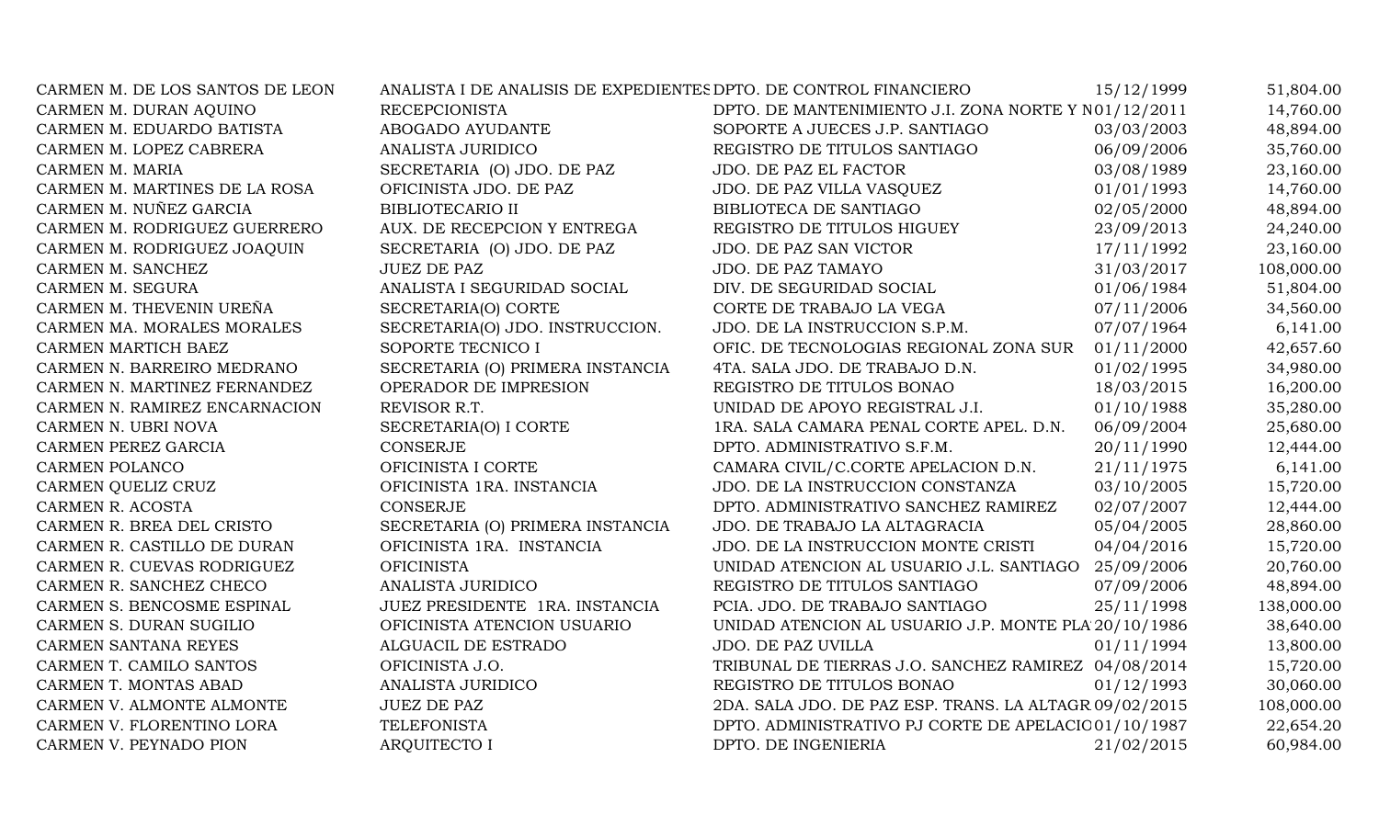| CARMEN M. DE LOS SANTOS DE LEON | ANALISTA I DE ANALISIS DE EXPEDIENTES DPTO. DE CONTROL FINANCIERO |                                                        | 15/12/1999 | 51,804.00  |
|---------------------------------|-------------------------------------------------------------------|--------------------------------------------------------|------------|------------|
| CARMEN M. DURAN AQUINO          | <b>RECEPCIONISTA</b>                                              | DPTO. DE MANTENIMIENTO J.I. ZONA NORTE Y N01/12/2011   |            | 14,760.00  |
| CARMEN M. EDUARDO BATISTA       | ABOGADO AYUDANTE                                                  | SOPORTE A JUECES J.P. SANTIAGO                         | 03/03/2003 | 48,894.00  |
| CARMEN M. LOPEZ CABRERA         | ANALISTA JURIDICO                                                 | REGISTRO DE TITULOS SANTIAGO                           | 06/09/2006 | 35,760.00  |
| CARMEN M. MARIA                 | SECRETARIA (O) JDO. DE PAZ                                        | JDO. DE PAZ EL FACTOR                                  | 03/08/1989 | 23,160.00  |
| CARMEN M. MARTINES DE LA ROSA   | OFICINISTA JDO. DE PAZ                                            | JDO. DE PAZ VILLA VASQUEZ                              | 01/01/1993 | 14,760.00  |
| CARMEN M. NUÑEZ GARCIA          | <b>BIBLIOTECARIO II</b>                                           | BIBLIOTECA DE SANTIAGO                                 | 02/05/2000 | 48,894.00  |
| CARMEN M. RODRIGUEZ GUERRERO    | AUX. DE RECEPCION Y ENTREGA                                       | REGISTRO DE TITULOS HIGUEY                             | 23/09/2013 | 24,240.00  |
| CARMEN M. RODRIGUEZ JOAQUIN     | SECRETARIA (O) JDO. DE PAZ                                        | JDO. DE PAZ SAN VICTOR                                 | 17/11/1992 | 23,160.00  |
| CARMEN M. SANCHEZ               | <b>JUEZ DE PAZ</b>                                                | JDO. DE PAZ TAMAYO                                     | 31/03/2017 | 108,000.00 |
| CARMEN M. SEGURA                | ANALISTA I SEGURIDAD SOCIAL                                       | DIV. DE SEGURIDAD SOCIAL                               | 01/06/1984 | 51,804.00  |
| CARMEN M. THEVENIN UREÑA        | SECRETARIA(O) CORTE                                               | CORTE DE TRABAJO LA VEGA                               | 07/11/2006 | 34,560.00  |
| CARMEN MA. MORALES MORALES      | SECRETARIA(O) JDO. INSTRUCCION.                                   | JDO. DE LA INSTRUCCION S.P.M.                          | 07/07/1964 | 6,141.00   |
| CARMEN MARTICH BAEZ             | SOPORTE TECNICO I                                                 | OFIC. DE TECNOLOGIAS REGIONAL ZONA SUR                 | 01/11/2000 | 42,657.60  |
| CARMEN N. BARREIRO MEDRANO      | SECRETARIA (O) PRIMERA INSTANCIA                                  | 4TA. SALA JDO. DE TRABAJO D.N.                         | 01/02/1995 | 34,980.00  |
| CARMEN N. MARTINEZ FERNANDEZ    | OPERADOR DE IMPRESION                                             | REGISTRO DE TITULOS BONAO                              | 18/03/2015 | 16,200.00  |
| CARMEN N. RAMIREZ ENCARNACION   | REVISOR R.T.                                                      | UNIDAD DE APOYO REGISTRAL J.I.                         | 01/10/1988 | 35,280.00  |
| CARMEN N. UBRI NOVA             | SECRETARIA(O) I CORTE                                             | 1RA. SALA CAMARA PENAL CORTE APEL. D.N.                | 06/09/2004 | 25,680.00  |
| CARMEN PEREZ GARCIA             | <b>CONSERJE</b>                                                   | DPTO. ADMINISTRATIVO S.F.M.                            | 20/11/1990 | 12,444.00  |
| CARMEN POLANCO                  | OFICINISTA I CORTE                                                | CAMARA CIVIL/C.CORTE APELACION D.N.                    | 21/11/1975 | 6,141.00   |
| CARMEN QUELIZ CRUZ              | OFICINISTA 1RA. INSTANCIA                                         | JDO. DE LA INSTRUCCION CONSTANZA                       | 03/10/2005 | 15,720.00  |
| CARMEN R. ACOSTA                | <b>CONSERJE</b>                                                   | DPTO. ADMINISTRATIVO SANCHEZ RAMIREZ                   | 02/07/2007 | 12,444.00  |
| CARMEN R. BREA DEL CRISTO       | SECRETARIA (O) PRIMERA INSTANCIA                                  | JDO. DE TRABAJO LA ALTAGRACIA                          | 05/04/2005 | 28,860.00  |
| CARMEN R. CASTILLO DE DURAN     | OFICINISTA 1RA. INSTANCIA                                         | JDO. DE LA INSTRUCCION MONTE CRISTI                    | 04/04/2016 | 15,720.00  |
| CARMEN R. CUEVAS RODRIGUEZ      | <b>OFICINISTA</b>                                                 | UNIDAD ATENCION AL USUARIO J.L. SANTIAGO               | 25/09/2006 | 20,760.00  |
| CARMEN R. SANCHEZ CHECO         | <b>ANALISTA JURIDICO</b>                                          | REGISTRO DE TITULOS SANTIAGO                           | 07/09/2006 | 48,894.00  |
| CARMEN S. BENCOSME ESPINAL      | JUEZ PRESIDENTE 1RA. INSTANCIA                                    | PCIA. JDO. DE TRABAJO SANTIAGO                         | 25/11/1998 | 138,000.00 |
| CARMEN S. DURAN SUGILIO         | OFICINISTA ATENCION USUARIO                                       | UNIDAD ATENCION AL USUARIO J.P. MONTE PLA 20/10/1986   |            | 38,640.00  |
| CARMEN SANTANA REYES            | ALGUACIL DE ESTRADO                                               | JDO. DE PAZ UVILLA                                     | 01/11/1994 | 13,800.00  |
| CARMEN T. CAMILO SANTOS         | OFICINISTA J.O.                                                   | TRIBUNAL DE TIERRAS J.O. SANCHEZ RAMIREZ 04/08/2014    |            | 15,720.00  |
| CARMEN T. MONTAS ABAD           | ANALISTA JURIDICO                                                 | REGISTRO DE TITULOS BONAO                              | 01/12/1993 | 30,060.00  |
| CARMEN V. ALMONTE ALMONTE       | <b>JUEZ DE PAZ</b>                                                | 2DA. SALA JDO. DE PAZ ESP. TRANS. LA ALTAGR 09/02/2015 |            | 108,000.00 |
| CARMEN V. FLORENTINO LORA       | <b>TELEFONISTA</b>                                                | DPTO. ADMINISTRATIVO PJ CORTE DE APELACIC 01/10/1987   |            | 22,654.20  |
| CARMEN V. PEYNADO PION          | <b>AROUITECTO I</b>                                               | DPTO. DE INGENIERIA                                    | 21/02/2015 | 60,984.00  |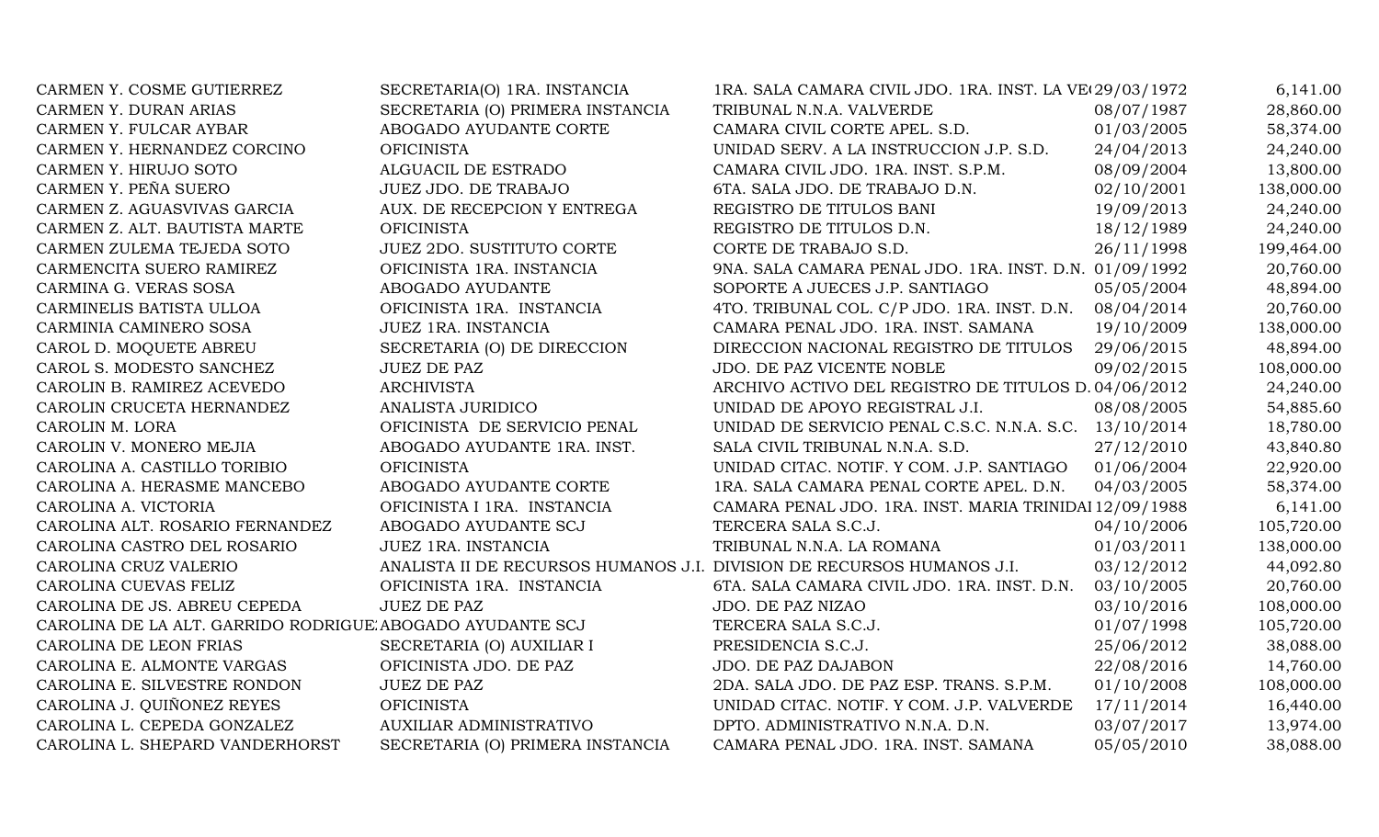| CARMEN Y. COSME GUTIERREZ                                 | SECRETARIA(O) 1RA. INSTANCIA                                           | 1RA. SALA CAMARA CIVIL JDO. 1RA. INST. LA VE(29/03/1972) |            | 6,141.00   |
|-----------------------------------------------------------|------------------------------------------------------------------------|----------------------------------------------------------|------------|------------|
| CARMEN Y. DURAN ARIAS                                     | SECRETARIA (O) PRIMERA INSTANCIA                                       | TRIBUNAL N.N.A. VALVERDE                                 | 08/07/1987 | 28,860.00  |
| CARMEN Y. FULCAR AYBAR                                    | ABOGADO AYUDANTE CORTE                                                 | CAMARA CIVIL CORTE APEL. S.D.                            | 01/03/2005 | 58,374.00  |
| CARMEN Y. HERNANDEZ CORCINO                               | <b>OFICINISTA</b>                                                      | UNIDAD SERV. A LA INSTRUCCION J.P. S.D.                  | 24/04/2013 | 24,240.00  |
| CARMEN Y. HIRUJO SOTO                                     | ALGUACIL DE ESTRADO                                                    | CAMARA CIVIL JDO. 1RA. INST. S.P.M.                      | 08/09/2004 | 13,800.00  |
| CARMEN Y. PEÑA SUERO                                      | JUEZ JDO. DE TRABAJO                                                   | 6TA. SALA JDO. DE TRABAJO D.N.                           | 02/10/2001 | 138,000.00 |
| CARMEN Z. AGUASVIVAS GARCIA                               | AUX. DE RECEPCION Y ENTREGA                                            | REGISTRO DE TITULOS BANI                                 | 19/09/2013 | 24,240.00  |
| CARMEN Z. ALT. BAUTISTA MARTE                             | <b>OFICINISTA</b>                                                      | REGISTRO DE TITULOS D.N.                                 | 18/12/1989 | 24,240.00  |
| CARMEN ZULEMA TEJEDA SOTO                                 | JUEZ 2DO. SUSTITUTO CORTE                                              | CORTE DE TRABAJO S.D.                                    | 26/11/1998 | 199,464.00 |
| CARMENCITA SUERO RAMIREZ                                  | OFICINISTA 1RA. INSTANCIA                                              | 9NA. SALA CAMARA PENAL JDO. 1RA. INST. D.N. 01/09/1992   |            | 20,760.00  |
| CARMINA G. VERAS SOSA                                     | ABOGADO AYUDANTE                                                       | SOPORTE A JUECES J.P. SANTIAGO                           | 05/05/2004 | 48,894.00  |
| CARMINELIS BATISTA ULLOA                                  | OFICINISTA 1RA. INSTANCIA                                              | 4TO. TRIBUNAL COL. C/P JDO. 1RA. INST. D.N.              | 08/04/2014 | 20,760.00  |
| CARMINIA CAMINERO SOSA                                    | JUEZ 1RA. INSTANCIA                                                    | CAMARA PENAL JDO. 1RA. INST. SAMANA                      | 19/10/2009 | 138,000.00 |
| CAROL D. MOQUETE ABREU                                    | SECRETARIA (O) DE DIRECCION                                            | DIRECCION NACIONAL REGISTRO DE TITULOS                   | 29/06/2015 | 48,894.00  |
| CAROL S. MODESTO SANCHEZ                                  | <b>JUEZ DE PAZ</b>                                                     | JDO. DE PAZ VICENTE NOBLE                                | 09/02/2015 | 108,000.00 |
| CAROLIN B. RAMIREZ ACEVEDO                                | <b>ARCHIVISTA</b>                                                      | ARCHIVO ACTIVO DEL REGISTRO DE TITULOS D. 04/06/2012     |            | 24,240.00  |
| CAROLIN CRUCETA HERNANDEZ                                 | ANALISTA JURIDICO                                                      | UNIDAD DE APOYO REGISTRAL J.I.                           | 08/08/2005 | 54,885.60  |
| CAROLIN M. LORA                                           | OFICINISTA DE SERVICIO PENAL                                           | UNIDAD DE SERVICIO PENAL C.S.C. N.N.A. S.C. 13/10/2014   |            | 18,780.00  |
| CAROLIN V. MONERO MEJIA                                   | ABOGADO AYUDANTE 1RA. INST.                                            | SALA CIVIL TRIBUNAL N.N.A. S.D.                          | 27/12/2010 | 43,840.80  |
| CAROLINA A. CASTILLO TORIBIO                              | <b>OFICINISTA</b>                                                      | UNIDAD CITAC. NOTIF. Y COM. J.P. SANTIAGO                | 01/06/2004 | 22,920.00  |
| CAROLINA A. HERASME MANCEBO                               | ABOGADO AYUDANTE CORTE                                                 | 1RA. SALA CAMARA PENAL CORTE APEL. D.N.                  | 04/03/2005 | 58,374.00  |
| CAROLINA A. VICTORIA                                      | OFICINISTA I 1RA. INSTANCIA                                            | CAMARA PENAL JDO. 1RA. INST. MARIA TRINIDAI 12/09/1988   |            | 6,141.00   |
| CAROLINA ALT. ROSARIO FERNANDEZ                           | ABOGADO AYUDANTE SCJ                                                   | TERCERA SALA S.C.J.                                      | 04/10/2006 | 105,720.00 |
| CAROLINA CASTRO DEL ROSARIO                               | JUEZ 1RA. INSTANCIA                                                    | TRIBUNAL N.N.A. LA ROMANA                                | 01/03/2011 | 138,000.00 |
| CAROLINA CRUZ VALERIO                                     | ANALISTA II DE RECURSOS HUMANOS J.I. DIVISION DE RECURSOS HUMANOS J.I. |                                                          | 03/12/2012 | 44,092.80  |
| CAROLINA CUEVAS FELIZ                                     | OFICINISTA 1RA. INSTANCIA                                              | 6TA. SALA CAMARA CIVIL JDO. 1RA. INST. D.N.              | 03/10/2005 | 20,760.00  |
| CAROLINA DE JS. ABREU CEPEDA                              | <b>JUEZ DE PAZ</b>                                                     | JDO. DE PAZ NIZAO                                        | 03/10/2016 | 108,000.00 |
| CAROLINA DE LA ALT. GARRIDO RODRIGUE ABOGADO AYUDANTE SCJ |                                                                        | TERCERA SALA S.C.J.                                      | 01/07/1998 | 105,720.00 |
| CAROLINA DE LEON FRIAS                                    | SECRETARIA (O) AUXILIAR I                                              | PRESIDENCIA S.C.J.                                       | 25/06/2012 | 38,088.00  |
| CAROLINA E. ALMONTE VARGAS                                | OFICINISTA JDO. DE PAZ                                                 | JDO. DE PAZ DAJABON                                      | 22/08/2016 | 14,760.00  |
| CAROLINA E. SILVESTRE RONDON                              | <b>JUEZ DE PAZ</b>                                                     | 2DA. SALA JDO. DE PAZ ESP. TRANS. S.P.M.                 | 01/10/2008 | 108,000.00 |
| CAROLINA J. QUIÑONEZ REYES                                | <b>OFICINISTA</b>                                                      | UNIDAD CITAC. NOTIF. Y COM. J.P. VALVERDE                | 17/11/2014 | 16,440.00  |
| CAROLINA L. CEPEDA GONZALEZ                               | <b>AUXILIAR ADMINISTRATIVO</b>                                         | DPTO. ADMINISTRATIVO N.N.A. D.N.                         | 03/07/2017 | 13,974.00  |
| CAROLINA L. SHEPARD VANDERHORST                           | SECRETARIA (O) PRIMERA INSTANCIA                                       | CAMARA PENAL JDO. 1RA. INST. SAMANA                      | 05/05/2010 | 38,088.00  |
|                                                           |                                                                        |                                                          |            |            |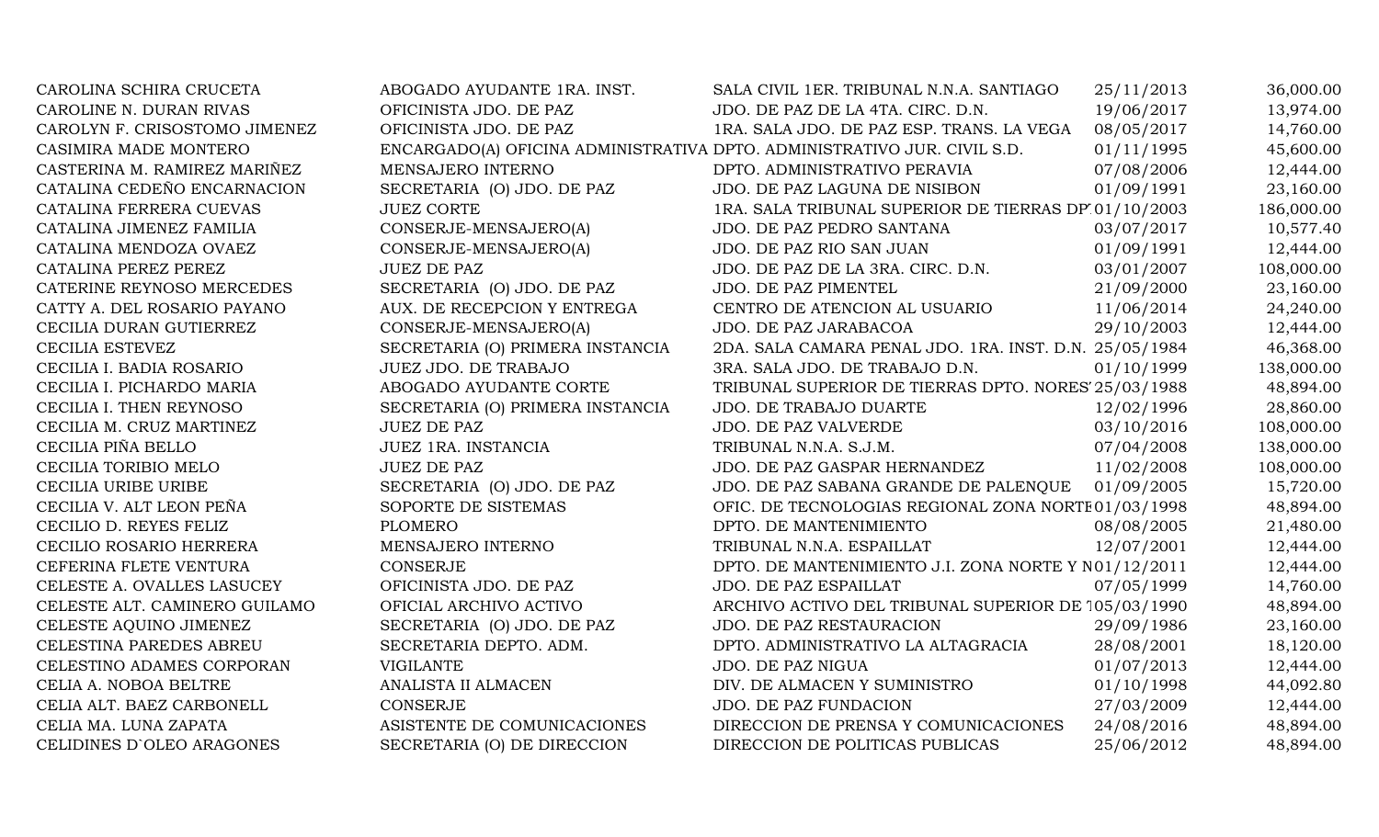| CAROLINA SCHIRA CRUCETA       | ABOGADO AYUDANTE 1RA. INST.      | SALA CIVIL 1ER. TRIBUNAL N.N.A. SANTIAGO                                 | 25/11/2013 | 36,000.00  |
|-------------------------------|----------------------------------|--------------------------------------------------------------------------|------------|------------|
| CAROLINE N. DURAN RIVAS       | OFICINISTA JDO. DE PAZ           | JDO. DE PAZ DE LA 4TA. CIRC. D.N.                                        | 19/06/2017 | 13,974.00  |
| CAROLYN F. CRISOSTOMO JIMENEZ | OFICINISTA JDO. DE PAZ           | 1RA. SALA JDO. DE PAZ ESP. TRANS. LA VEGA                                | 08/05/2017 | 14,760.00  |
| CASIMIRA MADE MONTERO         |                                  | ENCARGADO(A) OFICINA ADMINISTRATIVA DPTO. ADMINISTRATIVO JUR. CIVIL S.D. | 01/11/1995 | 45,600.00  |
| CASTERINA M. RAMIREZ MARIÑEZ  | MENSAJERO INTERNO                | DPTO. ADMINISTRATIVO PERAVIA                                             | 07/08/2006 | 12,444.00  |
| CATALINA CEDEÑO ENCARNACION   | SECRETARIA (O) JDO. DE PAZ       | JDO. DE PAZ LAGUNA DE NISIBON                                            | 01/09/1991 | 23,160.00  |
| CATALINA FERRERA CUEVAS       | <b>JUEZ CORTE</b>                | 1RA. SALA TRIBUNAL SUPERIOR DE TIERRAS DP 01/10/2003                     |            | 186,000.00 |
| CATALINA JIMENEZ FAMILIA      | CONSERJE-MENSAJERO(A)            | JDO. DE PAZ PEDRO SANTANA                                                | 03/07/2017 | 10,577.40  |
| CATALINA MENDOZA OVAEZ        | CONSERJE-MENSAJERO(A)            | JDO. DE PAZ RIO SAN JUAN                                                 | 01/09/1991 | 12,444.00  |
| CATALINA PEREZ PEREZ          | <b>JUEZ DE PAZ</b>               | JDO. DE PAZ DE LA 3RA. CIRC. D.N.                                        | 03/01/2007 | 108,000.00 |
| CATERINE REYNOSO MERCEDES     | SECRETARIA (O) JDO. DE PAZ       | JDO. DE PAZ PIMENTEL                                                     | 21/09/2000 | 23,160.00  |
| CATTY A. DEL ROSARIO PAYANO   | AUX. DE RECEPCION Y ENTREGA      | CENTRO DE ATENCION AL USUARIO                                            | 11/06/2014 | 24,240.00  |
| CECILIA DURAN GUTIERREZ       | CONSERJE-MENSAJERO(A)            | JDO. DE PAZ JARABACOA                                                    | 29/10/2003 | 12,444.00  |
| CECILIA ESTEVEZ               | SECRETARIA (O) PRIMERA INSTANCIA | 2DA. SALA CAMARA PENAL JDO. 1RA. INST. D.N. 25/05/1984                   |            | 46,368.00  |
| CECILIA I. BADIA ROSARIO      | JUEZ JDO. DE TRABAJO             | 3RA. SALA JDO. DE TRABAJO D.N.                                           | 01/10/1999 | 138,000.00 |
| CECILIA I. PICHARDO MARIA     | ABOGADO AYUDANTE CORTE           | TRIBUNAL SUPERIOR DE TIERRAS DPTO. NORES' 25/03/1988                     |            | 48,894.00  |
| CECILIA I. THEN REYNOSO       | SECRETARIA (O) PRIMERA INSTANCIA | JDO. DE TRABAJO DUARTE                                                   | 12/02/1996 | 28,860.00  |
| CECILIA M. CRUZ MARTINEZ      | <b>JUEZ DE PAZ</b>               | <b>JDO. DE PAZ VALVERDE</b>                                              | 03/10/2016 | 108,000.00 |
| CECILIA PIÑA BELLO            | JUEZ 1RA. INSTANCIA              | TRIBUNAL N.N.A. S.J.M.                                                   | 07/04/2008 | 138,000.00 |
| CECILIA TORIBIO MELO          | <b>JUEZ DE PAZ</b>               | JDO. DE PAZ GASPAR HERNANDEZ                                             | 11/02/2008 | 108,000.00 |
| CECILIA URIBE URIBE           | SECRETARIA (O) JDO. DE PAZ       | JDO. DE PAZ SABANA GRANDE DE PALENQUE                                    | 01/09/2005 | 15,720.00  |
| CECILIA V. ALT LEON PEÑA      | SOPORTE DE SISTEMAS              | OFIC. DE TECNOLOGIAS REGIONAL ZONA NORTE 01/03/1998                      |            | 48,894.00  |
| CECILIO D. REYES FELIZ        | <b>PLOMERO</b>                   | DPTO. DE MANTENIMIENTO                                                   | 08/08/2005 | 21,480.00  |
| CECILIO ROSARIO HERRERA       | MENSAJERO INTERNO                | TRIBUNAL N.N.A. ESPAILLAT                                                | 12/07/2001 | 12,444.00  |
| CEFERINA FLETE VENTURA        | <b>CONSERJE</b>                  | DPTO. DE MANTENIMIENTO J.I. ZONA NORTE Y N01/12/2011                     |            | 12,444.00  |
| CELESTE A. OVALLES LASUCEY    | OFICINISTA JDO. DE PAZ           | JDO. DE PAZ ESPAILLAT                                                    | 07/05/1999 | 14,760.00  |
| CELESTE ALT. CAMINERO GUILAMO | OFICIAL ARCHIVO ACTIVO           | ARCHIVO ACTIVO DEL TRIBUNAL SUPERIOR DE 105/03/1990                      |            | 48,894.00  |
| CELESTE AQUINO JIMENEZ        | SECRETARIA (O) JDO. DE PAZ       | JDO. DE PAZ RESTAURACION                                                 | 29/09/1986 | 23,160.00  |
| CELESTINA PAREDES ABREU       | SECRETARIA DEPTO. ADM.           | DPTO. ADMINISTRATIVO LA ALTAGRACIA                                       | 28/08/2001 | 18,120.00  |
| CELESTINO ADAMES CORPORAN     | <b>VIGILANTE</b>                 | JDO. DE PAZ NIGUA                                                        | 01/07/2013 | 12,444.00  |
| CELIA A. NOBOA BELTRE         | ANALISTA II ALMACEN              | DIV. DE ALMACEN Y SUMINISTRO                                             | 01/10/1998 | 44,092.80  |
| CELIA ALT. BAEZ CARBONELL     | <b>CONSERJE</b>                  | JDO. DE PAZ FUNDACION                                                    | 27/03/2009 | 12,444.00  |
| CELIA MA. LUNA ZAPATA         | ASISTENTE DE COMUNICACIONES      | DIRECCION DE PRENSA Y COMUNICACIONES                                     | 24/08/2016 | 48,894.00  |
| CELIDINES D'OLEO ARAGONES     | SECRETARIA (O) DE DIRECCION      | DIRECCION DE POLITICAS PUBLICAS                                          | 25/06/2012 | 48,894.00  |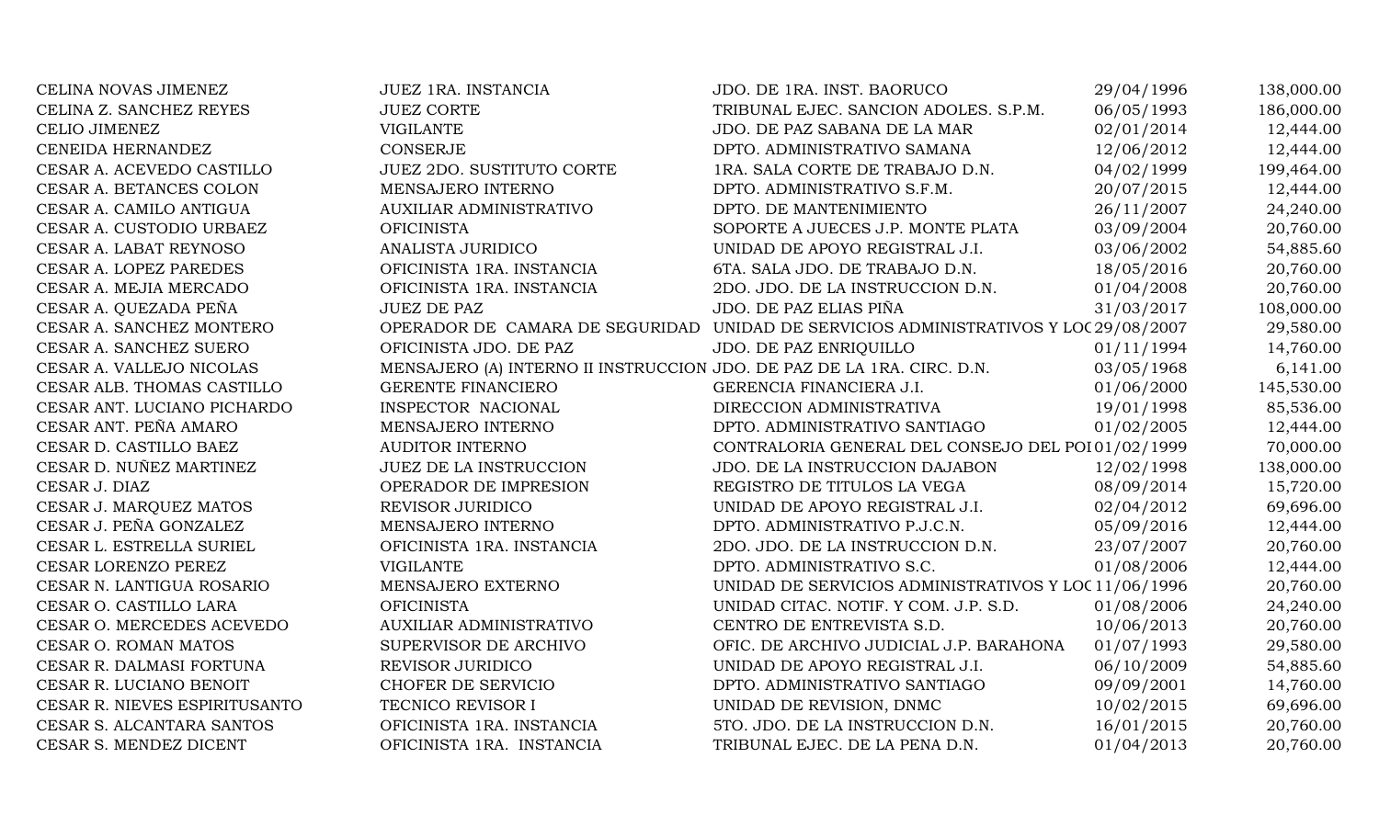| CELINA NOVAS JIMENEZ          | JUEZ 1RA. INSTANCIA                                                    | JDO. DE 1RA. INST. BAORUCO                           | 29/04/1996 | 138,000.00 |
|-------------------------------|------------------------------------------------------------------------|------------------------------------------------------|------------|------------|
| CELINA Z. SANCHEZ REYES       | <b>JUEZ CORTE</b>                                                      | TRIBUNAL EJEC. SANCION ADOLES. S.P.M.                | 06/05/1993 | 186,000.00 |
| CELIO JIMENEZ                 | <b>VIGILANTE</b>                                                       | JDO. DE PAZ SABANA DE LA MAR                         | 02/01/2014 | 12,444.00  |
| CENEIDA HERNANDEZ             | CONSERJE                                                               | DPTO. ADMINISTRATIVO SAMANA                          | 12/06/2012 | 12,444.00  |
| CESAR A. ACEVEDO CASTILLO     | <b>JUEZ 2DO. SUSTITUTO CORTE</b>                                       | 1RA. SALA CORTE DE TRABAJO D.N.                      | 04/02/1999 | 199,464.00 |
| CESAR A. BETANCES COLON       | MENSAJERO INTERNO                                                      | DPTO. ADMINISTRATIVO S.F.M.                          | 20/07/2015 | 12,444.00  |
| CESAR A. CAMILO ANTIGUA       | <b>AUXILIAR ADMINISTRATIVO</b>                                         | DPTO. DE MANTENIMIENTO                               | 26/11/2007 | 24,240.00  |
| CESAR A. CUSTODIO URBAEZ      | <b>OFICINISTA</b>                                                      | SOPORTE A JUECES J.P. MONTE PLATA                    | 03/09/2004 | 20,760.00  |
| CESAR A. LABAT REYNOSO        | ANALISTA JURIDICO                                                      | UNIDAD DE APOYO REGISTRAL J.I.                       | 03/06/2002 | 54,885.60  |
| CESAR A. LOPEZ PAREDES        | OFICINISTA 1RA. INSTANCIA                                              | 6TA. SALA JDO. DE TRABAJO D.N.                       | 18/05/2016 | 20,760.00  |
| CESAR A. MEJIA MERCADO        | OFICINISTA 1RA. INSTANCIA                                              | 2DO. JDO. DE LA INSTRUCCION D.N.                     | 01/04/2008 | 20,760.00  |
| CESAR A. QUEZADA PEÑA         | <b>JUEZ DE PAZ</b>                                                     | JDO. DE PAZ ELIAS PIÑA                               | 31/03/2017 | 108,000.00 |
| CESAR A. SANCHEZ MONTERO      | OPERADOR DE CAMARA DE SEGURIDAD                                        | UNIDAD DE SERVICIOS ADMINISTRATIVOS Y LOC 29/08/2007 |            | 29,580.00  |
| CESAR A. SANCHEZ SUERO        | OFICINISTA JDO. DE PAZ                                                 | JDO. DE PAZ ENRIQUILLO                               | 01/11/1994 | 14,760.00  |
| CESAR A. VALLEJO NICOLAS      | MENSAJERO (A) INTERNO II INSTRUCCION JDO. DE PAZ DE LA 1RA. CIRC. D.N. |                                                      | 03/05/1968 | 6,141.00   |
| CESAR ALB. THOMAS CASTILLO    | <b>GERENTE FINANCIERO</b>                                              | GERENCIA FINANCIERA J.I.                             | 01/06/2000 | 145,530.00 |
| CESAR ANT. LUCIANO PICHARDO   | INSPECTOR NACIONAL                                                     | DIRECCION ADMINISTRATIVA                             | 19/01/1998 | 85,536.00  |
| CESAR ANT. PEÑA AMARO         | MENSAJERO INTERNO                                                      | DPTO. ADMINISTRATIVO SANTIAGO                        | 01/02/2005 | 12,444.00  |
| CESAR D. CASTILLO BAEZ        | <b>AUDITOR INTERNO</b>                                                 | CONTRALORIA GENERAL DEL CONSEJO DEL POI 01/02/1999   |            | 70,000.00  |
| CESAR D. NUÑEZ MARTINEZ       | <b>JUEZ DE LA INSTRUCCION</b>                                          | JDO. DE LA INSTRUCCION DAJABON                       | 12/02/1998 | 138,000.00 |
| CESAR J. DIAZ                 | OPERADOR DE IMPRESION                                                  | REGISTRO DE TITULOS LA VEGA                          | 08/09/2014 | 15,720.00  |
| CESAR J. MARQUEZ MATOS        | REVISOR JURIDICO                                                       | UNIDAD DE APOYO REGISTRAL J.I.                       | 02/04/2012 | 69,696.00  |
| CESAR J. PEÑA GONZALEZ        | MENSAJERO INTERNO                                                      | DPTO. ADMINISTRATIVO P.J.C.N.                        | 05/09/2016 | 12,444.00  |
| CESAR L. ESTRELLA SURIEL      | OFICINISTA 1RA. INSTANCIA                                              | 2DO. JDO. DE LA INSTRUCCION D.N.                     | 23/07/2007 | 20,760.00  |
| CESAR LORENZO PEREZ           | <b>VIGILANTE</b>                                                       | DPTO. ADMINISTRATIVO S.C.                            | 01/08/2006 | 12,444.00  |
| CESAR N. LANTIGUA ROSARIO     | MENSAJERO EXTERNO                                                      | UNIDAD DE SERVICIOS ADMINISTRATIVOS Y LOC 11/06/1996 |            | 20,760.00  |
| CESAR O. CASTILLO LARA        | <b>OFICINISTA</b>                                                      | UNIDAD CITAC. NOTIF. Y COM. J.P. S.D.                | 01/08/2006 | 24,240.00  |
| CESAR O. MERCEDES ACEVEDO     | <b>AUXILIAR ADMINISTRATIVO</b>                                         | CENTRO DE ENTREVISTA S.D.                            | 10/06/2013 | 20,760.00  |
| CESAR O. ROMAN MATOS          | SUPERVISOR DE ARCHIVO                                                  | OFIC. DE ARCHIVO JUDICIAL J.P. BARAHONA              | 01/07/1993 | 29,580.00  |
| CESAR R. DALMASI FORTUNA      | REVISOR JURIDICO                                                       | UNIDAD DE APOYO REGISTRAL J.I.                       | 06/10/2009 | 54,885.60  |
| CESAR R. LUCIANO BENOIT       | CHOFER DE SERVICIO                                                     | DPTO. ADMINISTRATIVO SANTIAGO                        | 09/09/2001 | 14,760.00  |
| CESAR R. NIEVES ESPIRITUSANTO | TECNICO REVISOR I                                                      | UNIDAD DE REVISION, DNMC                             | 10/02/2015 | 69,696.00  |
| CESAR S. ALCANTARA SANTOS     | OFICINISTA 1RA. INSTANCIA                                              | 5TO. JDO. DE LA INSTRUCCION D.N.                     | 16/01/2015 | 20,760.00  |
| CESAR S. MENDEZ DICENT        | OFICINISTA 1RA. INSTANCIA                                              | TRIBUNAL EJEC. DE LA PENA D.N.                       | 01/04/2013 | 20,760.00  |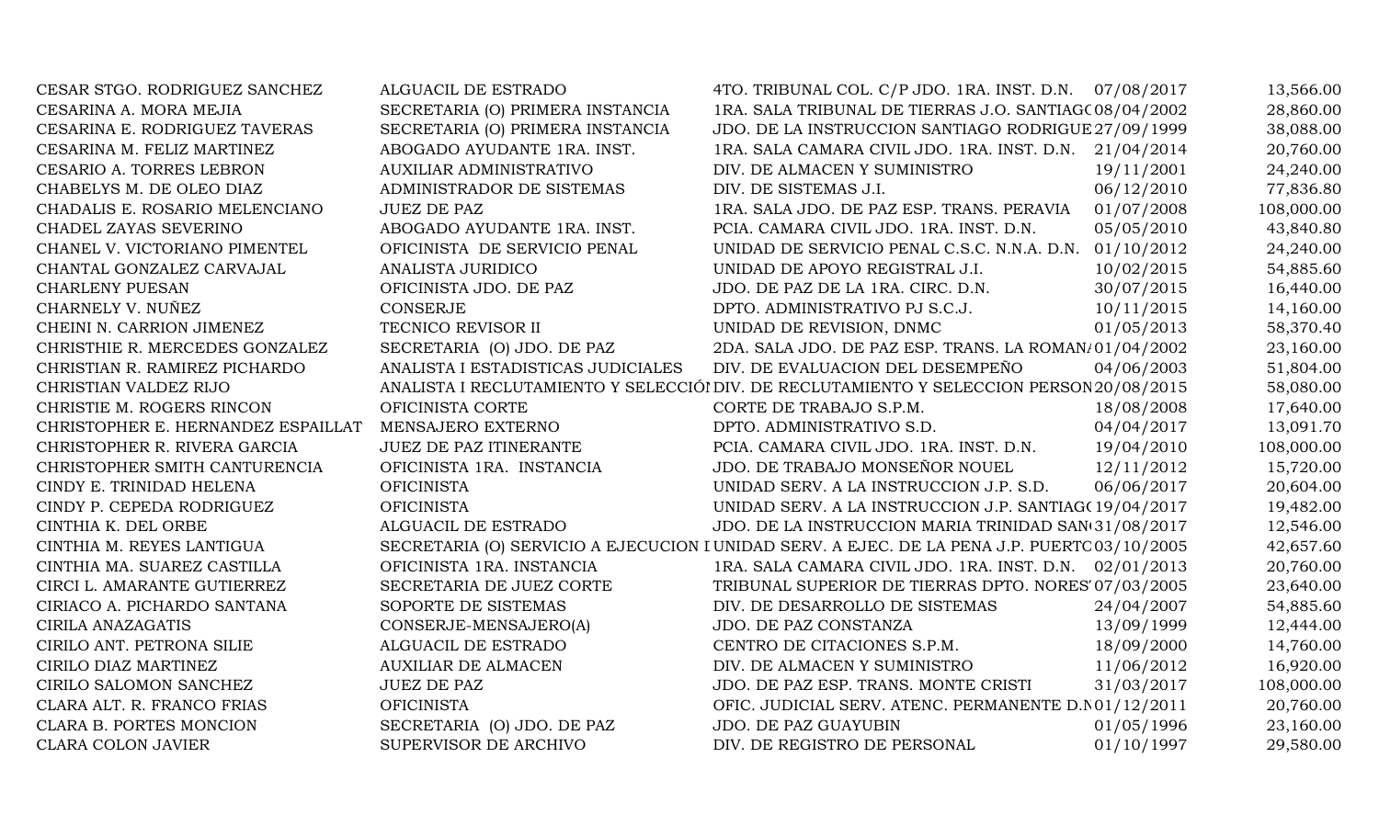| CESAR STGO. RODRIGUEZ SANCHEZ      | ALGUACIL DE ESTRADO                | 4TO. TRIBUNAL COL. C/P JDO. 1RA. INST. D.N. 07/08/2017                                       |            | 13,566.00  |
|------------------------------------|------------------------------------|----------------------------------------------------------------------------------------------|------------|------------|
| CESARINA A. MORA MEJIA             | SECRETARIA (O) PRIMERA INSTANCIA   | 1RA. SALA TRIBUNAL DE TIERRAS J.O. SANTIAG(08/04/2002)                                       |            | 28,860.00  |
| CESARINA E. RODRIGUEZ TAVERAS      | SECRETARIA (O) PRIMERA INSTANCIA   | JDO. DE LA INSTRUCCION SANTIAGO RODRIGUE 27/09/1999                                          |            | 38,088.00  |
| CESARINA M. FELIZ MARTINEZ         | ABOGADO AYUDANTE 1RA. INST.        | 1RA. SALA CAMARA CIVIL JDO. 1RA. INST. D.N. 21/04/2014                                       |            | 20,760.00  |
| CESARIO A. TORRES LEBRON           | <b>AUXILIAR ADMINISTRATIVO</b>     | DIV. DE ALMACEN Y SUMINISTRO                                                                 | 19/11/2001 | 24,240.00  |
| CHABELYS M. DE OLEO DIAZ           | ADMINISTRADOR DE SISTEMAS          | DIV. DE SISTEMAS J.I.                                                                        | 06/12/2010 | 77,836.80  |
| CHADALIS E. ROSARIO MELENCIANO     | <b>JUEZ DE PAZ</b>                 | 1RA. SALA JDO. DE PAZ ESP. TRANS. PERAVIA                                                    | 01/07/2008 | 108,000.00 |
| CHADEL ZAYAS SEVERINO              | ABOGADO AYUDANTE 1RA. INST.        | PCIA. CAMARA CIVIL JDO. 1RA. INST. D.N.                                                      | 05/05/2010 | 43,840.80  |
| CHANEL V. VICTORIANO PIMENTEL      | OFICINISTA DE SERVICIO PENAL       | UNIDAD DE SERVICIO PENAL C.S.C. N.N.A. D.N. 01/10/2012                                       |            | 24,240.00  |
| CHANTAL GONZALEZ CARVAJAL          | ANALISTA JURIDICO                  | UNIDAD DE APOYO REGISTRAL J.I.                                                               | 10/02/2015 | 54,885.60  |
| <b>CHARLENY PUESAN</b>             | OFICINISTA JDO. DE PAZ             | JDO. DE PAZ DE LA 1RA. CIRC. D.N.                                                            | 30/07/2015 | 16,440.00  |
| CHARNELY V. NUÑEZ                  | <b>CONSERJE</b>                    | DPTO. ADMINISTRATIVO PJ S.C.J.                                                               | 10/11/2015 | 14,160.00  |
| CHEINI N. CARRION JIMENEZ          | TECNICO REVISOR II                 | UNIDAD DE REVISION, DNMC                                                                     | 01/05/2013 | 58,370.40  |
| CHRISTHIE R. MERCEDES GONZALEZ     | SECRETARIA (O) JDO. DE PAZ         | 2DA. SALA JDO. DE PAZ ESP. TRANS. LA ROMAN/01/04/2002                                        |            | 23,160.00  |
| CHRISTIAN R. RAMIREZ PICHARDO      | ANALISTA I ESTADISTICAS JUDICIALES | DIV. DE EVALUACION DEL DESEMPEÑO                                                             | 04/06/2003 | 51,804.00  |
| CHRISTIAN VALDEZ RIJO              |                                    | ANALISTA I RECLUTAMIENTO Y SELECCIÓI DIV. DE RECLUTAMIENTO Y SELECCION PERSON 20/08/2015     |            | 58,080.00  |
| CHRISTIE M. ROGERS RINCON          | OFICINISTA CORTE                   | CORTE DE TRABAJO S.P.M.                                                                      | 18/08/2008 | 17,640.00  |
| CHRISTOPHER E. HERNANDEZ ESPAILLAT | MENSAJERO EXTERNO                  | DPTO. ADMINISTRATIVO S.D.                                                                    | 04/04/2017 | 13,091.70  |
| CHRISTOPHER R. RIVERA GARCIA       | JUEZ DE PAZ ITINERANTE             | PCIA. CAMARA CIVIL JDO. 1RA. INST. D.N.                                                      | 19/04/2010 | 108,000.00 |
| CHRISTOPHER SMITH CANTURENCIA      | OFICINISTA 1RA. INSTANCIA          | JDO. DE TRABAJO MONSEÑOR NOUEL                                                               | 12/11/2012 | 15,720.00  |
| CINDY E. TRINIDAD HELENA           | <b>OFICINISTA</b>                  | UNIDAD SERV. A LA INSTRUCCION J.P. S.D.                                                      | 06/06/2017 | 20,604.00  |
| CINDY P. CEPEDA RODRIGUEZ          | <b>OFICINISTA</b>                  | UNIDAD SERV. A LA INSTRUCCION J.P. SANTIAG(19/04/2017                                        |            | 19,482.00  |
| CINTHIA K. DEL ORBE                | ALGUACIL DE ESTRADO                | JDO. DE LA INSTRUCCION MARIA TRINIDAD SAN(31/08/2017                                         |            | 12,546.00  |
| CINTHIA M. REYES LANTIGUA          |                                    | SECRETARIA (O) SERVICIO A EJECUCION I UNIDAD SERV. A EJEC. DE LA PENA J.P. PUERTC 03/10/2005 |            | 42,657.60  |
| CINTHIA MA. SUAREZ CASTILLA        | OFICINISTA 1RA. INSTANCIA          | 1RA. SALA CAMARA CIVIL JDO. 1RA. INST. D.N. 02/01/2013                                       |            | 20,760.00  |
| CIRCI L. AMARANTE GUTIERREZ        | SECRETARIA DE JUEZ CORTE           | TRIBUNAL SUPERIOR DE TIERRAS DPTO. NORES' 07/03/2005                                         |            | 23,640.00  |
| CIRIACO A. PICHARDO SANTANA        | SOPORTE DE SISTEMAS                | DIV. DE DESARROLLO DE SISTEMAS                                                               | 24/04/2007 | 54,885.60  |
| <b>CIRILA ANAZAGATIS</b>           | CONSERJE-MENSAJERO(A)              | JDO. DE PAZ CONSTANZA                                                                        | 13/09/1999 | 12,444.00  |
| CIRILO ANT. PETRONA SILIE          | ALGUACIL DE ESTRADO                | CENTRO DE CITACIONES S.P.M.                                                                  | 18/09/2000 | 14,760.00  |
| CIRILO DIAZ MARTINEZ               | <b>AUXILIAR DE ALMACEN</b>         | DIV. DE ALMACEN Y SUMINISTRO                                                                 | 11/06/2012 | 16,920.00  |
| CIRILO SALOMON SANCHEZ             | <b>JUEZ DE PAZ</b>                 | JDO. DE PAZ ESP. TRANS. MONTE CRISTI                                                         | 31/03/2017 | 108,000.00 |
| CLARA ALT. R. FRANCO FRIAS         | <b>OFICINISTA</b>                  | OFIC. JUDICIAL SERV. ATENC. PERMANENTE D. N01/12/2011                                        |            | 20,760.00  |
| CLARA B. PORTES MONCION            | SECRETARIA (O) JDO. DE PAZ         | JDO. DE PAZ GUAYUBIN                                                                         | 01/05/1996 | 23,160.00  |
| <b>CLARA COLON JAVIER</b>          | SUPERVISOR DE ARCHIVO              | DIV. DE REGISTRO DE PERSONAL                                                                 | 01/10/1997 | 29,580.00  |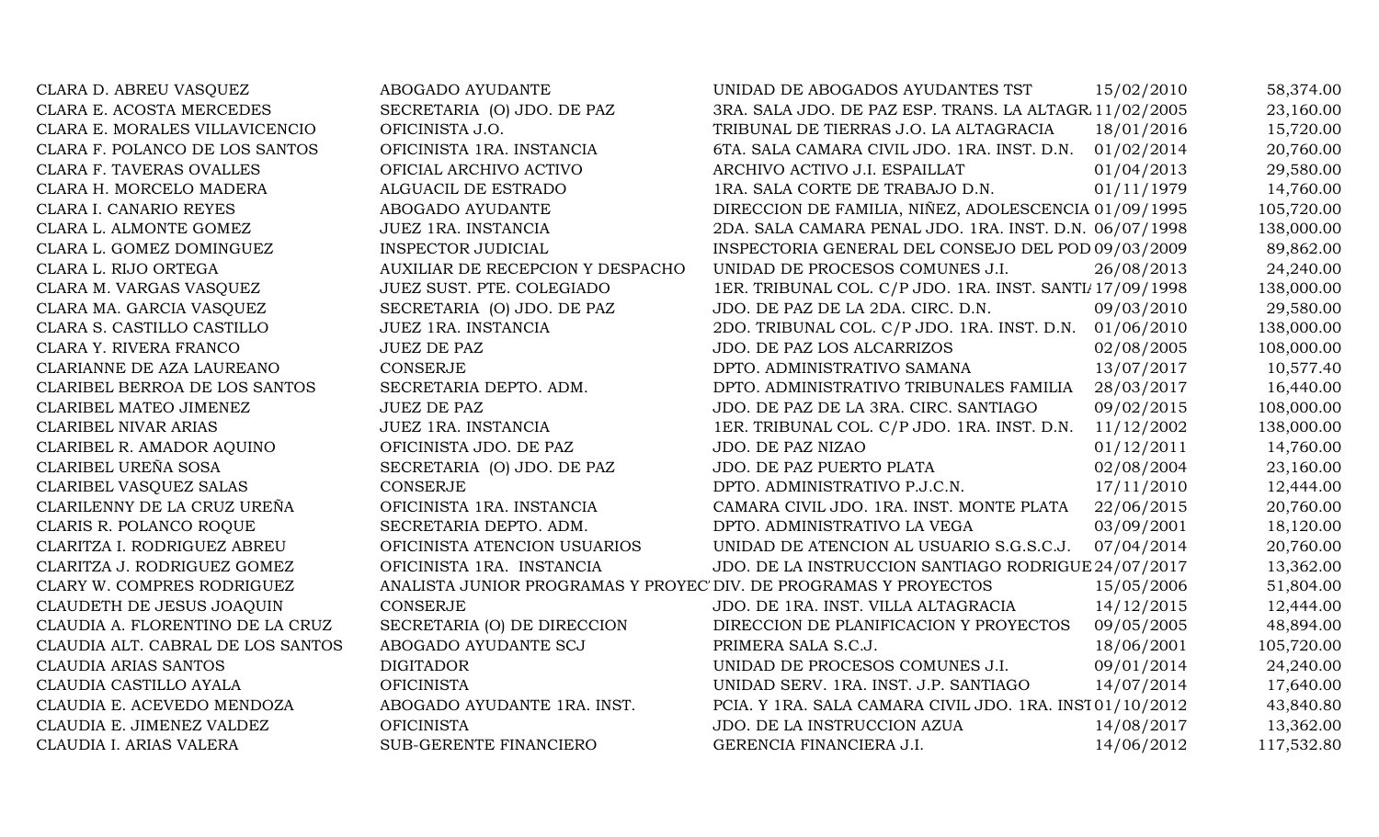| CLARA D. ABREU VASQUEZ            | ABOGADO AYUDANTE                                                  | UNIDAD DE ABOGADOS AYUDANTES TST                         | 15/02/2010 | 58,374.00  |
|-----------------------------------|-------------------------------------------------------------------|----------------------------------------------------------|------------|------------|
| CLARA E. ACOSTA MERCEDES          | SECRETARIA (O) JDO. DE PAZ                                        | 3RA. SALA JDO. DE PAZ ESP. TRANS. LA ALTAGR 11/02/2005   |            | 23,160.00  |
| CLARA E. MORALES VILLAVICENCIO    | OFICINISTA J.O.                                                   | TRIBUNAL DE TIERRAS J.O. LA ALTAGRACIA                   | 18/01/2016 | 15,720.00  |
| CLARA F. POLANCO DE LOS SANTOS    | OFICINISTA 1RA. INSTANCIA                                         | 6TA. SALA CAMARA CIVIL JDO. 1RA. INST. D.N.              | 01/02/2014 | 20,760.00  |
| CLARA F. TAVERAS OVALLES          | OFICIAL ARCHIVO ACTIVO                                            | ARCHIVO ACTIVO J.I. ESPAILLAT                            | 01/04/2013 | 29,580.00  |
| CLARA H. MORCELO MADERA           | ALGUACIL DE ESTRADO                                               | 1RA. SALA CORTE DE TRABAJO D.N.                          | 01/11/1979 | 14,760.00  |
| CLARA I. CANARIO REYES            | ABOGADO AYUDANTE                                                  | DIRECCION DE FAMILIA, NIÑEZ, ADOLESCENCIA 01/09/1995     |            | 105,720.00 |
| CLARA L. ALMONTE GOMEZ            | JUEZ 1RA. INSTANCIA                                               | 2DA. SALA CAMARA PENAL JDO. 1RA. INST. D.N. 06/07/1998   |            | 138,000.00 |
| CLARA L. GOMEZ DOMINGUEZ          | <b>INSPECTOR JUDICIAL</b>                                         | INSPECTORIA GENERAL DEL CONSEJO DEL POD 09/03/2009       |            | 89,862.00  |
| CLARA L. RIJO ORTEGA              | AUXILIAR DE RECEPCION Y DESPACHO                                  | UNIDAD DE PROCESOS COMUNES J.I.                          | 26/08/2013 | 24,240.00  |
| CLARA M. VARGAS VASQUEZ           | JUEZ SUST. PTE. COLEGIADO                                         | 1ER. TRIBUNAL COL. C/P JDO. 1RA. INST. SANTI/ 17/09/1998 |            | 138,000.00 |
| CLARA MA. GARCIA VASQUEZ          | SECRETARIA (O) JDO. DE PAZ                                        | JDO. DE PAZ DE LA 2DA. CIRC. D.N.                        | 09/03/2010 | 29,580.00  |
| CLARA S. CASTILLO CASTILLO        | JUEZ 1RA. INSTANCIA                                               | 2DO. TRIBUNAL COL. C/P JDO. 1RA. INST. D.N. 01/06/2010   |            | 138,000.00 |
| CLARA Y. RIVERA FRANCO            | <b>JUEZ DE PAZ</b>                                                | JDO. DE PAZ LOS ALCARRIZOS                               | 02/08/2005 | 108,000.00 |
| CLARIANNE DE AZA LAUREANO         | <b>CONSERJE</b>                                                   | DPTO. ADMINISTRATIVO SAMANA                              | 13/07/2017 | 10,577.40  |
| CLARIBEL BERROA DE LOS SANTOS     | SECRETARIA DEPTO. ADM.                                            | DPTO. ADMINISTRATIVO TRIBUNALES FAMILIA                  | 28/03/2017 | 16,440.00  |
| CLARIBEL MATEO JIMENEZ            | <b>JUEZ DE PAZ</b>                                                | JDO. DE PAZ DE LA 3RA. CIRC. SANTIAGO                    | 09/02/2015 | 108,000.00 |
| CLARIBEL NIVAR ARIAS              | JUEZ 1RA. INSTANCIA                                               | 1ER. TRIBUNAL COL. C/P JDO. 1RA. INST. D.N.              | 11/12/2002 | 138,000.00 |
| CLARIBEL R. AMADOR AQUINO         | OFICINISTA JDO. DE PAZ                                            | JDO. DE PAZ NIZAO                                        | 01/12/2011 | 14,760.00  |
| CLARIBEL UREÑA SOSA               | SECRETARIA (O) JDO. DE PAZ                                        | JDO. DE PAZ PUERTO PLATA                                 | 02/08/2004 | 23,160.00  |
| CLARIBEL VASQUEZ SALAS            | <b>CONSERJE</b>                                                   | DPTO. ADMINISTRATIVO P.J.C.N.                            | 17/11/2010 | 12,444.00  |
| CLARILENNY DE LA CRUZ UREÑA       | OFICINISTA 1RA. INSTANCIA                                         | CAMARA CIVIL JDO. 1RA. INST. MONTE PLATA                 | 22/06/2015 | 20,760.00  |
| CLARIS R. POLANCO ROQUE           | SECRETARIA DEPTO. ADM.                                            | DPTO. ADMINISTRATIVO LA VEGA                             | 03/09/2001 | 18,120.00  |
| CLARITZA I. RODRIGUEZ ABREU       | OFICINISTA ATENCION USUARIOS                                      | UNIDAD DE ATENCION AL USUARIO S.G.S.C.J.                 | 07/04/2014 | 20,760.00  |
| CLARITZA J. RODRIGUEZ GOMEZ       | OFICINISTA 1RA. INSTANCIA                                         | JDO. DE LA INSTRUCCION SANTIAGO RODRIGUE 24/07/2017      |            | 13,362.00  |
| CLARY W. COMPRES RODRIGUEZ        | ANALISTA JUNIOR PROGRAMAS Y PROYEC' DIV. DE PROGRAMAS Y PROYECTOS |                                                          | 15/05/2006 | 51,804.00  |
| CLAUDETH DE JESUS JOAQUIN         | <b>CONSERJE</b>                                                   | JDO. DE 1RA. INST. VILLA ALTAGRACIA                      | 14/12/2015 | 12,444.00  |
| CLAUDIA A. FLORENTINO DE LA CRUZ  | SECRETARIA (O) DE DIRECCION                                       | DIRECCION DE PLANIFICACION Y PROYECTOS                   | 09/05/2005 | 48,894.00  |
| CLAUDIA ALT. CABRAL DE LOS SANTOS | ABOGADO AYUDANTE SCJ                                              | PRIMERA SALA S.C.J.                                      | 18/06/2001 | 105,720.00 |
| <b>CLAUDIA ARIAS SANTOS</b>       | <b>DIGITADOR</b>                                                  | UNIDAD DE PROCESOS COMUNES J.I.                          | 09/01/2014 | 24,240.00  |
| CLAUDIA CASTILLO AYALA            | <b>OFICINISTA</b>                                                 | UNIDAD SERV. 1RA. INST. J.P. SANTIAGO                    | 14/07/2014 | 17,640.00  |
| CLAUDIA E. ACEVEDO MENDOZA        | ABOGADO AYUDANTE 1RA. INST.                                       | PCIA. Y 1RA. SALA CAMARA CIVIL JDO. 1RA. INST01/10/2012  |            | 43,840.80  |
| CLAUDIA E. JIMENEZ VALDEZ         | <b>OFICINISTA</b>                                                 | JDO. DE LA INSTRUCCION AZUA                              | 14/08/2017 | 13,362.00  |
| CLAUDIA I. ARIAS VALERA           | SUB-GERENTE FINANCIERO                                            | GERENCIA FINANCIERA J.I.                                 | 14/06/2012 | 117,532.80 |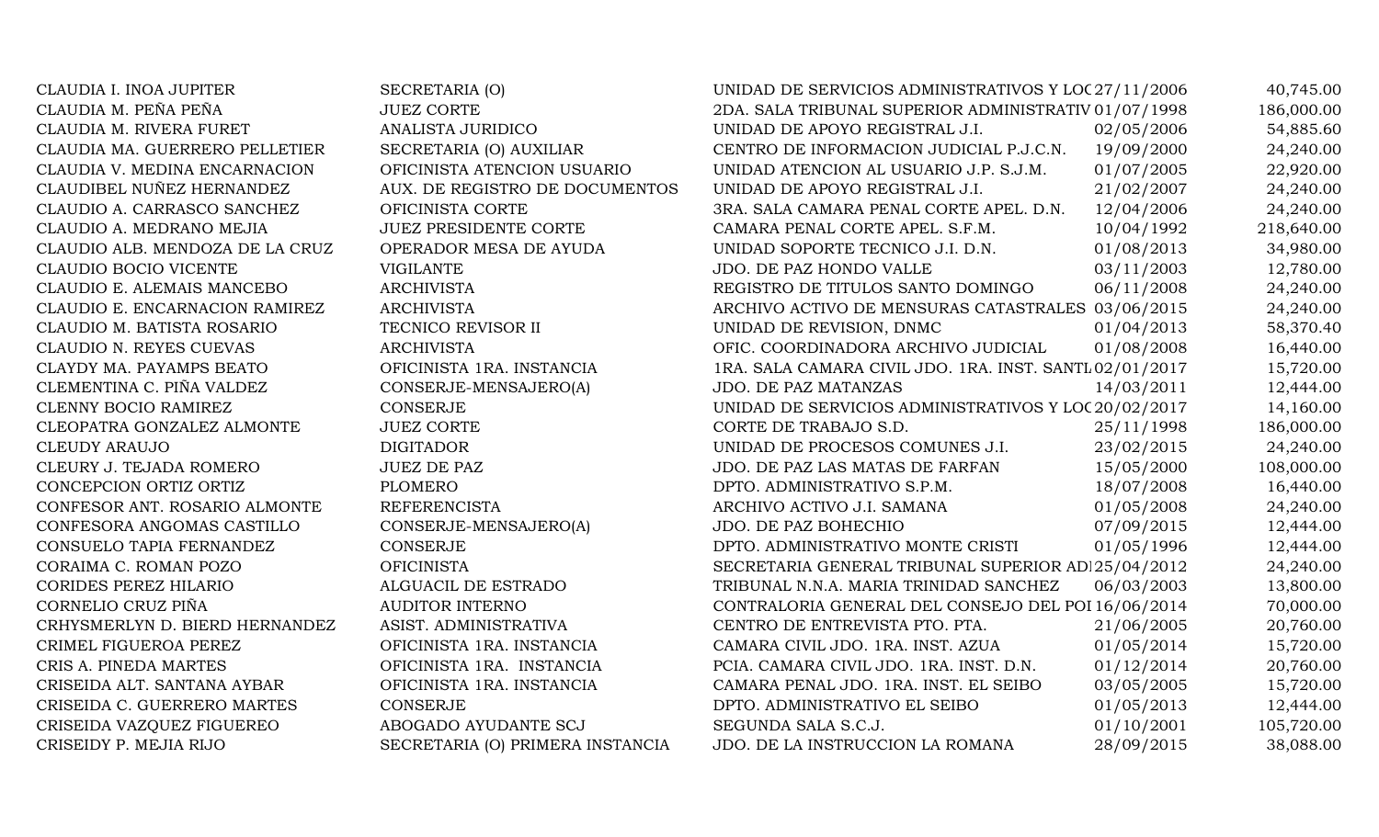| CLAUDIA I. INOA JUPITER         | SECRETARIA (O)                   | UNIDAD DE SERVICIOS ADMINISTRATIVOS Y LOC 27/11/2006    |            | 40,745.00  |
|---------------------------------|----------------------------------|---------------------------------------------------------|------------|------------|
| CLAUDIA M. PEÑA PEÑA            | <b>JUEZ CORTE</b>                | 2DA. SALA TRIBUNAL SUPERIOR ADMINISTRATIV 01/07/1998    |            | 186,000.00 |
| CLAUDIA M. RIVERA FURET         | ANALISTA JURIDICO                | UNIDAD DE APOYO REGISTRAL J.I.                          | 02/05/2006 | 54,885.60  |
| CLAUDIA MA. GUERRERO PELLETIER  | SECRETARIA (O) AUXILIAR          | CENTRO DE INFORMACION JUDICIAL P.J.C.N.                 | 19/09/2000 | 24,240.00  |
| CLAUDIA V. MEDINA ENCARNACION   | OFICINISTA ATENCION USUARIO      | UNIDAD ATENCION AL USUARIO J.P. S.J.M.                  | 01/07/2005 | 22,920.00  |
| CLAUDIBEL NUÑEZ HERNANDEZ       | AUX. DE REGISTRO DE DOCUMENTOS   | UNIDAD DE APOYO REGISTRAL J.I.                          | 21/02/2007 | 24,240.00  |
| CLAUDIO A. CARRASCO SANCHEZ     | OFICINISTA CORTE                 | 3RA. SALA CAMARA PENAL CORTE APEL. D.N.                 | 12/04/2006 | 24,240.00  |
| CLAUDIO A. MEDRANO MEJIA        | <b>JUEZ PRESIDENTE CORTE</b>     | CAMARA PENAL CORTE APEL. S.F.M.                         | 10/04/1992 | 218,640.00 |
| CLAUDIO ALB. MENDOZA DE LA CRUZ | OPERADOR MESA DE AYUDA           | UNIDAD SOPORTE TECNICO J.I. D.N.                        | 01/08/2013 | 34,980.00  |
| CLAUDIO BOCIO VICENTE           | <b>VIGILANTE</b>                 | JDO. DE PAZ HONDO VALLE                                 | 03/11/2003 | 12,780.00  |
| CLAUDIO E. ALEMAIS MANCEBO      | <b>ARCHIVISTA</b>                | REGISTRO DE TITULOS SANTO DOMINGO                       | 06/11/2008 | 24,240.00  |
| CLAUDIO E. ENCARNACION RAMIREZ  | <b>ARCHIVISTA</b>                | ARCHIVO ACTIVO DE MENSURAS CATASTRALES 03/06/2015       |            | 24,240.00  |
| CLAUDIO M. BATISTA ROSARIO      | TECNICO REVISOR II               | UNIDAD DE REVISION, DNMC                                | 01/04/2013 | 58,370.40  |
| CLAUDIO N. REYES CUEVAS         | <b>ARCHIVISTA</b>                | OFIC. COORDINADORA ARCHIVO JUDICIAL                     | 01/08/2008 | 16,440.00  |
| CLAYDY MA. PAYAMPS BEATO        | OFICINISTA 1RA. INSTANCIA        | 1RA. SALA CAMARA CIVIL JDO. 1RA. INST. SANTL 02/01/2017 |            | 15,720.00  |
| CLEMENTINA C. PIÑA VALDEZ       | CONSERJE-MENSAJERO(A)            | <b>JDO. DE PAZ MATANZAS</b>                             | 14/03/2011 | 12,444.00  |
| CLENNY BOCIO RAMIREZ            | CONSERJE                         | UNIDAD DE SERVICIOS ADMINISTRATIVOS Y LOC 20/02/2017    |            | 14,160.00  |
| CLEOPATRA GONZALEZ ALMONTE      | <b>JUEZ CORTE</b>                | CORTE DE TRABAJO S.D.                                   | 25/11/1998 | 186,000.00 |
| <b>CLEUDY ARAUJO</b>            | <b>DIGITADOR</b>                 | UNIDAD DE PROCESOS COMUNES J.I.                         | 23/02/2015 | 24,240.00  |
| CLEURY J. TEJADA ROMERO         | <b>JUEZ DE PAZ</b>               | JDO. DE PAZ LAS MATAS DE FARFAN                         | 15/05/2000 | 108,000.00 |
| CONCEPCION ORTIZ ORTIZ          | <b>PLOMERO</b>                   | DPTO. ADMINISTRATIVO S.P.M.                             | 18/07/2008 | 16,440.00  |
| CONFESOR ANT. ROSARIO ALMONTE   | <b>REFERENCISTA</b>              | ARCHIVO ACTIVO J.I. SAMANA                              | 01/05/2008 | 24,240.00  |
| CONFESORA ANGOMAS CASTILLO      | CONSERJE-MENSAJERO(A)            | JDO. DE PAZ BOHECHIO                                    | 07/09/2015 | 12,444.00  |
| CONSUELO TAPIA FERNANDEZ        | CONSERJE                         | DPTO. ADMINISTRATIVO MONTE CRISTI                       | 01/05/1996 | 12,444.00  |
| CORAIMA C. ROMAN POZO           | <b>OFICINISTA</b>                | SECRETARIA GENERAL TRIBUNAL SUPERIOR AD 25/04/2012      |            | 24,240.00  |
| CORIDES PEREZ HILARIO           | ALGUACIL DE ESTRADO              | TRIBUNAL N.N.A. MARIA TRINIDAD SANCHEZ                  | 06/03/2003 | 13,800.00  |
| CORNELIO CRUZ PIÑA              | <b>AUDITOR INTERNO</b>           | CONTRALORIA GENERAL DEL CONSEJO DEL POI 16/06/2014      |            | 70,000.00  |
| CRHYSMERLYN D. BIERD HERNANDEZ  | ASIST. ADMINISTRATIVA            | CENTRO DE ENTREVISTA PTO. PTA.                          | 21/06/2005 | 20,760.00  |
| CRIMEL FIGUEROA PEREZ           | OFICINISTA 1RA. INSTANCIA        | CAMARA CIVIL JDO. 1RA. INST. AZUA                       | 01/05/2014 | 15,720.00  |
| CRIS A. PINEDA MARTES           | OFICINISTA 1RA. INSTANCIA        | PCIA. CAMARA CIVIL JDO. 1RA. INST. D.N.                 | 01/12/2014 | 20,760.00  |
| CRISEIDA ALT. SANTANA AYBAR     | OFICINISTA 1RA. INSTANCIA        | CAMARA PENAL JDO. 1RA. INST. EL SEIBO                   | 03/05/2005 | 15,720.00  |
| CRISEIDA C. GUERRERO MARTES     | <b>CONSERJE</b>                  | DPTO. ADMINISTRATIVO EL SEIBO                           | 01/05/2013 | 12,444.00  |
| CRISEIDA VAZQUEZ FIGUEREO       | ABOGADO AYUDANTE SCJ             | SEGUNDA SALA S.C.J.                                     | 01/10/2001 | 105,720.00 |
| CRISEIDY P. MEJIA RIJO          | SECRETARIA (O) PRIMERA INSTANCIA | JDO. DE LA INSTRUCCION LA ROMANA                        | 28/09/2015 | 38,088.00  |
|                                 |                                  |                                                         |            |            |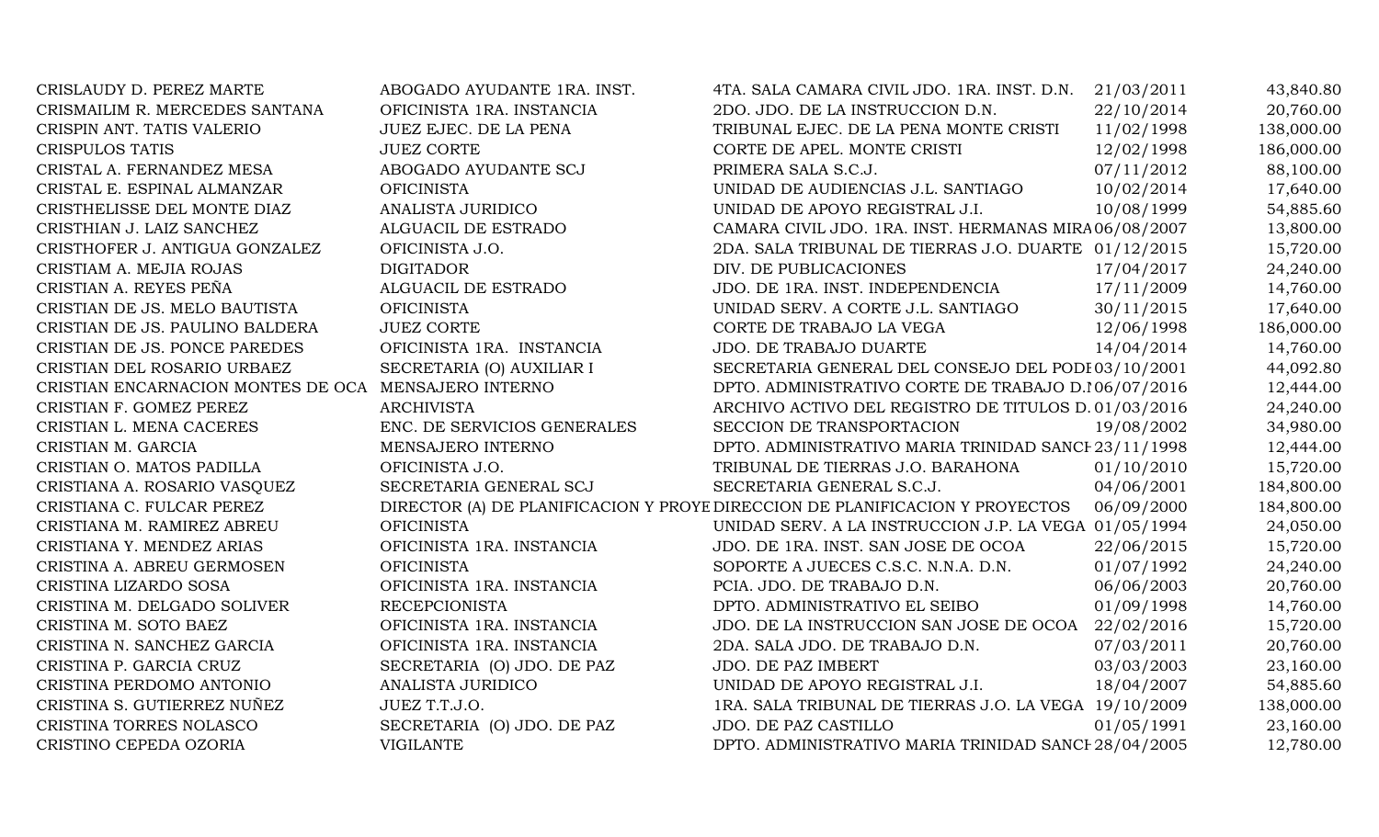| CRISLAUDY D. PEREZ MARTE                             | ABOGADO AYUDANTE 1RA. INST. | 4TA. SALA CAMARA CIVIL JDO. 1RA. INST. D.N.                                  | 21/03/2011 | 43,840.80  |
|------------------------------------------------------|-----------------------------|------------------------------------------------------------------------------|------------|------------|
| CRISMAILIM R. MERCEDES SANTANA                       | OFICINISTA 1RA. INSTANCIA   | 2DO. JDO. DE LA INSTRUCCION D.N.                                             | 22/10/2014 | 20,760.00  |
| CRISPIN ANT. TATIS VALERIO                           | JUEZ EJEC. DE LA PENA       | TRIBUNAL EJEC. DE LA PENA MONTE CRISTI                                       | 11/02/1998 | 138,000.00 |
| <b>CRISPULOS TATIS</b>                               | <b>JUEZ CORTE</b>           | CORTE DE APEL. MONTE CRISTI                                                  | 12/02/1998 | 186,000.00 |
| CRISTAL A. FERNANDEZ MESA                            | ABOGADO AYUDANTE SCJ        | PRIMERA SALA S.C.J.                                                          | 07/11/2012 | 88,100.00  |
| CRISTAL E. ESPINAL ALMANZAR                          | <b>OFICINISTA</b>           | UNIDAD DE AUDIENCIAS J.L. SANTIAGO                                           | 10/02/2014 | 17,640.00  |
| CRISTHELISSE DEL MONTE DIAZ                          | ANALISTA JURIDICO           | UNIDAD DE APOYO REGISTRAL J.I.                                               | 10/08/1999 | 54,885.60  |
| CRISTHIAN J. LAIZ SANCHEZ                            | ALGUACIL DE ESTRADO         | CAMARA CIVIL JDO. 1RA. INST. HERMANAS MIRA 06/08/2007                        |            | 13,800.00  |
| CRISTHOFER J. ANTIGUA GONZALEZ                       | OFICINISTA J.O.             | 2DA. SALA TRIBUNAL DE TIERRAS J.O. DUARTE 01/12/2015                         |            | 15,720.00  |
| CRISTIAM A. MEJIA ROJAS                              | <b>DIGITADOR</b>            | DIV. DE PUBLICACIONES                                                        | 17/04/2017 | 24,240.00  |
| CRISTIAN A. REYES PEÑA                               | ALGUACIL DE ESTRADO         | JDO. DE 1RA. INST. INDEPENDENCIA                                             | 17/11/2009 | 14,760.00  |
| CRISTIAN DE JS. MELO BAUTISTA                        | <b>OFICINISTA</b>           | UNIDAD SERV. A CORTE J.L. SANTIAGO                                           | 30/11/2015 | 17,640.00  |
| CRISTIAN DE JS. PAULINO BALDERA                      | <b>JUEZ CORTE</b>           | CORTE DE TRABAJO LA VEGA                                                     | 12/06/1998 | 186,000.00 |
| CRISTIAN DE JS. PONCE PAREDES                        | OFICINISTA 1RA. INSTANCIA   | JDO. DE TRABAJO DUARTE                                                       | 14/04/2014 | 14,760.00  |
| CRISTIAN DEL ROSARIO URBAEZ                          | SECRETARIA (O) AUXILIAR I   | SECRETARIA GENERAL DEL CONSEJO DEL PODI 03/10/2001                           |            | 44,092.80  |
| CRISTIAN ENCARNACION MONTES DE OCA MENSAJERO INTERNO |                             | DPTO. ADMINISTRATIVO CORTE DE TRABAJO D.106/07/2016                          |            | 12,444.00  |
| CRISTIAN F. GOMEZ PEREZ                              | <b>ARCHIVISTA</b>           | ARCHIVO ACTIVO DEL REGISTRO DE TITULOS D. 01/03/2016                         |            | 24,240.00  |
| CRISTIAN L. MENA CACERES                             | ENC. DE SERVICIOS GENERALES | SECCION DE TRANSPORTACION                                                    | 19/08/2002 | 34,980.00  |
| CRISTIAN M. GARCIA                                   | MENSAJERO INTERNO           | DPTO. ADMINISTRATIVO MARIA TRINIDAD SANCI 23/11/1998                         |            | 12,444.00  |
| CRISTIAN O. MATOS PADILLA                            | OFICINISTA J.O.             | TRIBUNAL DE TIERRAS J.O. BARAHONA                                            | 01/10/2010 | 15,720.00  |
| CRISTIANA A. ROSARIO VASQUEZ                         | SECRETARIA GENERAL SCJ      | SECRETARIA GENERAL S.C.J.                                                    | 04/06/2001 | 184,800.00 |
| CRISTIANA C. FULCAR PEREZ                            |                             | DIRECTOR (A) DE PLANIFICACION Y PROYE DIRECCION DE PLANIFICACION Y PROYECTOS | 06/09/2000 | 184,800.00 |
| CRISTIANA M. RAMIREZ ABREU                           | <b>OFICINISTA</b>           | UNIDAD SERV. A LA INSTRUCCION J.P. LA VEGA 01/05/1994                        |            | 24,050.00  |
| CRISTIANA Y. MENDEZ ARIAS                            | OFICINISTA 1RA. INSTANCIA   | JDO. DE 1RA. INST. SAN JOSE DE OCOA                                          | 22/06/2015 | 15,720.00  |
| CRISTINA A. ABREU GERMOSEN                           | <b>OFICINISTA</b>           | SOPORTE A JUECES C.S.C. N.N.A. D.N.                                          | 01/07/1992 | 24,240.00  |
| CRISTINA LIZARDO SOSA                                | OFICINISTA 1RA. INSTANCIA   | PCIA. JDO. DE TRABAJO D.N.                                                   | 06/06/2003 | 20,760.00  |
| CRISTINA M. DELGADO SOLIVER                          | <b>RECEPCIONISTA</b>        | DPTO. ADMINISTRATIVO EL SEIBO                                                | 01/09/1998 | 14,760.00  |
| CRISTINA M. SOTO BAEZ                                | OFICINISTA 1RA. INSTANCIA   | JDO. DE LA INSTRUCCION SAN JOSE DE OCOA                                      | 22/02/2016 | 15,720.00  |
| CRISTINA N. SANCHEZ GARCIA                           | OFICINISTA 1RA. INSTANCIA   | 2DA. SALA JDO. DE TRABAJO D.N.                                               | 07/03/2011 | 20,760.00  |
| CRISTINA P. GARCIA CRUZ                              | SECRETARIA (O) JDO. DE PAZ  | JDO. DE PAZ IMBERT                                                           | 03/03/2003 | 23,160.00  |
| CRISTINA PERDOMO ANTONIO                             | ANALISTA JURIDICO           | UNIDAD DE APOYO REGISTRAL J.I.                                               | 18/04/2007 | 54,885.60  |
| CRISTINA S. GUTIERREZ NUÑEZ                          | JUEZ T.T.J.O.               | 1RA. SALA TRIBUNAL DE TIERRAS J.O. LA VEGA 19/10/2009                        |            | 138,000.00 |
| CRISTINA TORRES NOLASCO                              | SECRETARIA (O) JDO. DE PAZ  | JDO. DE PAZ CASTILLO                                                         | 01/05/1991 | 23,160.00  |
| CRISTINO CEPEDA OZORIA                               | <b>VIGILANTE</b>            | DPTO. ADMINISTRATIVO MARIA TRINIDAD SANCI 28/04/2005                         |            | 12,780.00  |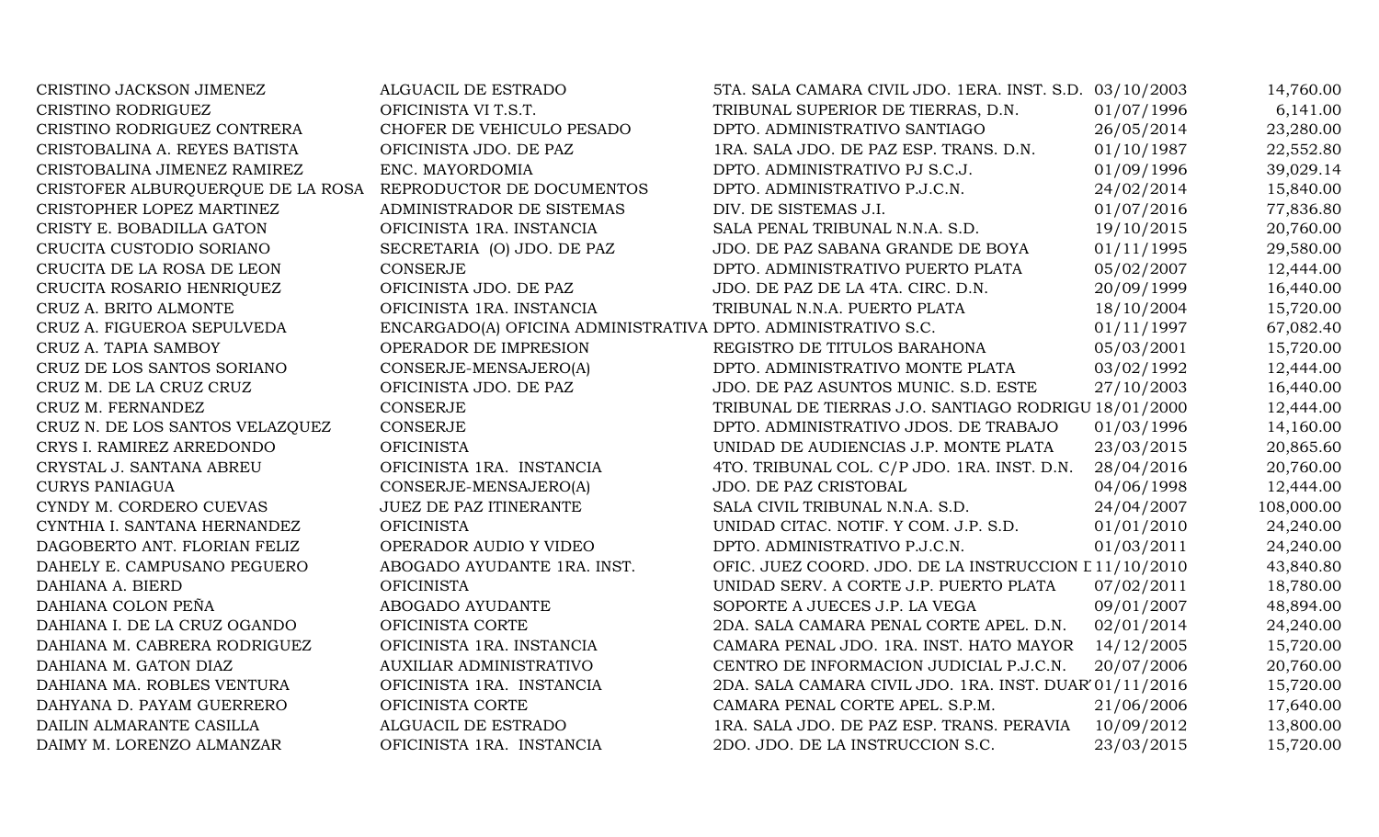| CRISTINO JACKSON JIMENEZ          | ALGUACIL DE ESTRADO                                           | 5TA. SALA CAMARA CIVIL JDO. 1ERA. INST. S.D. 03/10/2003 |            | 14,760.00  |
|-----------------------------------|---------------------------------------------------------------|---------------------------------------------------------|------------|------------|
| <b>CRISTINO RODRIGUEZ</b>         | OFICINISTA VI T.S.T.                                          | TRIBUNAL SUPERIOR DE TIERRAS, D.N.                      | 01/07/1996 | 6,141.00   |
| CRISTINO RODRIGUEZ CONTRERA       | CHOFER DE VEHICULO PESADO                                     | DPTO. ADMINISTRATIVO SANTIAGO                           | 26/05/2014 | 23,280.00  |
| CRISTOBALINA A. REYES BATISTA     | OFICINISTA JDO. DE PAZ                                        | 1RA. SALA JDO. DE PAZ ESP. TRANS. D.N.                  | 01/10/1987 | 22,552.80  |
| CRISTOBALINA JIMENEZ RAMIREZ      | ENC. MAYORDOMIA                                               | DPTO. ADMINISTRATIVO PJ S.C.J.                          | 01/09/1996 | 39,029.14  |
| CRISTOFER ALBURQUERQUE DE LA ROSA | REPRODUCTOR DE DOCUMENTOS                                     | DPTO. ADMINISTRATIVO P.J.C.N.                           | 24/02/2014 | 15,840.00  |
| CRISTOPHER LOPEZ MARTINEZ         | ADMINISTRADOR DE SISTEMAS                                     | DIV. DE SISTEMAS J.I.                                   | 01/07/2016 | 77,836.80  |
| CRISTY E. BOBADILLA GATON         | OFICINISTA 1RA. INSTANCIA                                     | SALA PENAL TRIBUNAL N.N.A. S.D.                         | 19/10/2015 | 20,760.00  |
| CRUCITA CUSTODIO SORIANO          | SECRETARIA (O) JDO. DE PAZ                                    | JDO. DE PAZ SABANA GRANDE DE BOYA                       | 01/11/1995 | 29,580.00  |
| CRUCITA DE LA ROSA DE LEON        | <b>CONSERJE</b>                                               | DPTO. ADMINISTRATIVO PUERTO PLATA                       | 05/02/2007 | 12,444.00  |
| CRUCITA ROSARIO HENRIQUEZ         | OFICINISTA JDO. DE PAZ                                        | JDO. DE PAZ DE LA 4TA. CIRC. D.N.                       | 20/09/1999 | 16,440.00  |
| CRUZ A. BRITO ALMONTE             | OFICINISTA 1RA. INSTANCIA                                     | TRIBUNAL N.N.A. PUERTO PLATA                            | 18/10/2004 | 15,720.00  |
| CRUZ A. FIGUEROA SEPULVEDA        | ENCARGADO(A) OFICINA ADMINISTRATIVA DPTO. ADMINISTRATIVO S.C. |                                                         | 01/11/1997 | 67,082.40  |
| CRUZ A. TAPIA SAMBOY              | OPERADOR DE IMPRESION                                         | REGISTRO DE TITULOS BARAHONA                            | 05/03/2001 | 15,720.00  |
| CRUZ DE LOS SANTOS SORIANO        | CONSERJE-MENSAJERO(A)                                         | DPTO. ADMINISTRATIVO MONTE PLATA                        | 03/02/1992 | 12,444.00  |
| CRUZ M. DE LA CRUZ CRUZ           | OFICINISTA JDO. DE PAZ                                        | JDO. DE PAZ ASUNTOS MUNIC. S.D. ESTE                    | 27/10/2003 | 16,440.00  |
| CRUZ M. FERNANDEZ                 | <b>CONSERJE</b>                                               | TRIBUNAL DE TIERRAS J.O. SANTIAGO RODRIGU 18/01/2000    |            | 12,444.00  |
| CRUZ N. DE LOS SANTOS VELAZQUEZ   | <b>CONSERJE</b>                                               | DPTO. ADMINISTRATIVO JDOS. DE TRABAJO                   | 01/03/1996 | 14,160.00  |
| CRYS I. RAMIREZ ARREDONDO         | <b>OFICINISTA</b>                                             | UNIDAD DE AUDIENCIAS J.P. MONTE PLATA                   | 23/03/2015 | 20,865.60  |
| CRYSTAL J. SANTANA ABREU          | OFICINISTA 1RA. INSTANCIA                                     | 4TO. TRIBUNAL COL. C/P JDO. 1RA. INST. D.N.             | 28/04/2016 | 20,760.00  |
| <b>CURYS PANIAGUA</b>             | CONSERJE-MENSAJERO(A)                                         | JDO. DE PAZ CRISTOBAL                                   | 04/06/1998 | 12,444.00  |
| CYNDY M. CORDERO CUEVAS           | JUEZ DE PAZ ITINERANTE                                        | SALA CIVIL TRIBUNAL N.N.A. S.D.                         | 24/04/2007 | 108,000.00 |
| CYNTHIA I. SANTANA HERNANDEZ      | <b>OFICINISTA</b>                                             | UNIDAD CITAC. NOTIF. Y COM. J.P. S.D.                   | 01/01/2010 | 24,240.00  |
| DAGOBERTO ANT. FLORIAN FELIZ      | OPERADOR AUDIO Y VIDEO                                        | DPTO. ADMINISTRATIVO P.J.C.N.                           | 01/03/2011 | 24,240.00  |
| DAHELY E. CAMPUSANO PEGUERO       | ABOGADO AYUDANTE 1RA. INST.                                   | OFIC. JUEZ COORD. JDO. DE LA INSTRUCCION I 11/10/2010   |            | 43,840.80  |
| DAHIANA A. BIERD                  | <b>OFICINISTA</b>                                             | UNIDAD SERV. A CORTE J.P. PUERTO PLATA                  | 07/02/2011 | 18,780.00  |
| DAHIANA COLON PEÑA                | ABOGADO AYUDANTE                                              | SOPORTE A JUECES J.P. LA VEGA                           | 09/01/2007 | 48,894.00  |
| DAHIANA I. DE LA CRUZ OGANDO      | OFICINISTA CORTE                                              | 2DA. SALA CAMARA PENAL CORTE APEL. D.N.                 | 02/01/2014 | 24,240.00  |
| DAHIANA M. CABRERA RODRIGUEZ      | OFICINISTA 1RA. INSTANCIA                                     | CAMARA PENAL JDO. 1RA. INST. HATO MAYOR                 | 14/12/2005 | 15,720.00  |
| DAHIANA M. GATON DIAZ             | AUXILIAR ADMINISTRATIVO                                       | CENTRO DE INFORMACION JUDICIAL P.J.C.N.                 | 20/07/2006 | 20,760.00  |
| DAHIANA MA. ROBLES VENTURA        | OFICINISTA 1RA. INSTANCIA                                     | 2DA. SALA CAMARA CIVIL JDO. 1RA. INST. DUAR'01/11/2016  |            | 15,720.00  |
| DAHYANA D. PAYAM GUERRERO         | OFICINISTA CORTE                                              | CAMARA PENAL CORTE APEL. S.P.M.                         | 21/06/2006 | 17,640.00  |
| DAILIN ALMARANTE CASILLA          | ALGUACIL DE ESTRADO                                           | 1RA. SALA JDO. DE PAZ ESP. TRANS. PERAVIA               | 10/09/2012 | 13,800.00  |
| DAIMY M. LORENZO ALMANZAR         | OFICINISTA 1RA. INSTANCIA                                     | 2DO. JDO. DE LA INSTRUCCION S.C.                        | 23/03/2015 | 15,720.00  |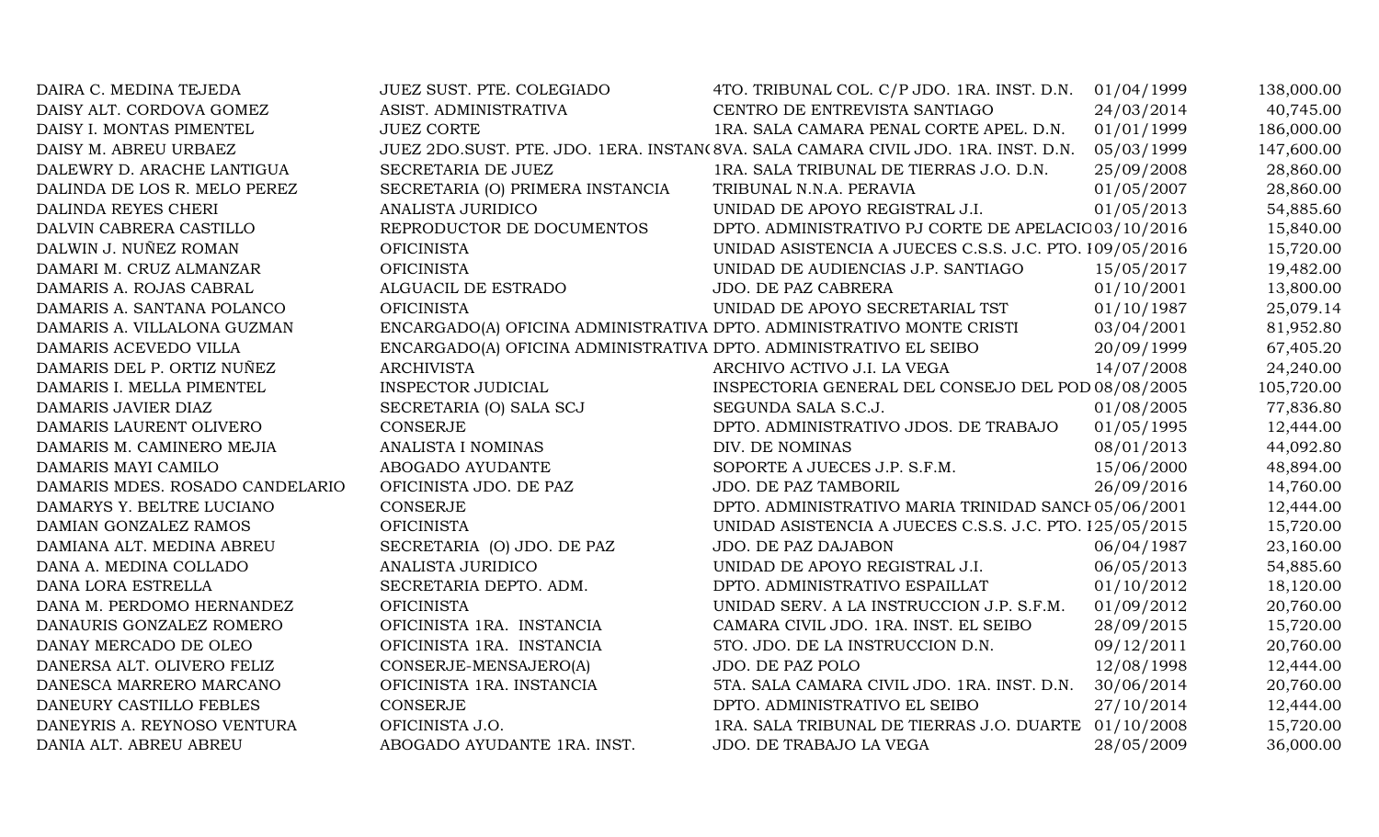| DAIRA C. MEDINA TEJEDA          | JUEZ SUST. PTE. COLEGIADO                                             | 4TO. TRIBUNAL COL. C/P JDO. 1RA. INST. D.N.                                       | 01/04/1999 | 138,000.00 |
|---------------------------------|-----------------------------------------------------------------------|-----------------------------------------------------------------------------------|------------|------------|
| DAISY ALT. CORDOVA GOMEZ        | ASIST. ADMINISTRATIVA                                                 | CENTRO DE ENTREVISTA SANTIAGO                                                     | 24/03/2014 | 40,745.00  |
| DAISY I. MONTAS PIMENTEL        | <b>JUEZ CORTE</b>                                                     | 1RA. SALA CAMARA PENAL CORTE APEL. D.N.                                           | 01/01/1999 | 186,000.00 |
| DAISY M. ABREU URBAEZ           |                                                                       | JUEZ 2DO.SUST. PTE. JDO. 1ERA. INSTAN(8VA. SALA CAMARA CIVIL JDO. 1RA. INST. D.N. | 05/03/1999 | 147,600.00 |
| DALEWRY D. ARACHE LANTIGUA      | SECRETARIA DE JUEZ                                                    | 1RA. SALA TRIBUNAL DE TIERRAS J.O. D.N.                                           | 25/09/2008 | 28,860.00  |
| DALINDA DE LOS R. MELO PEREZ    | SECRETARIA (O) PRIMERA INSTANCIA                                      | TRIBUNAL N.N.A. PERAVIA                                                           | 01/05/2007 | 28,860.00  |
| DALINDA REYES CHERI             | ANALISTA JURIDICO                                                     | UNIDAD DE APOYO REGISTRAL J.I.                                                    | 01/05/2013 | 54,885.60  |
| DALVIN CABRERA CASTILLO         | REPRODUCTOR DE DOCUMENTOS                                             | DPTO. ADMINISTRATIVO PJ CORTE DE APELACIO 03/10/2016                              |            | 15,840.00  |
| DALWIN J. NUÑEZ ROMAN           | <b>OFICINISTA</b>                                                     | UNIDAD ASISTENCIA A JUECES C.S.S. J.C. PTO. 109/05/2016                           |            | 15,720.00  |
| DAMARI M. CRUZ ALMANZAR         | <b>OFICINISTA</b>                                                     | UNIDAD DE AUDIENCIAS J.P. SANTIAGO                                                | 15/05/2017 | 19,482.00  |
| DAMARIS A. ROJAS CABRAL         | ALGUACIL DE ESTRADO                                                   | JDO. DE PAZ CABRERA                                                               | 01/10/2001 | 13,800.00  |
| DAMARIS A. SANTANA POLANCO      | <b>OFICINISTA</b>                                                     | UNIDAD DE APOYO SECRETARIAL TST                                                   | 01/10/1987 | 25,079.14  |
| DAMARIS A. VILLALONA GUZMAN     | ENCARGADO(A) OFICINA ADMINISTRATIVA DPTO. ADMINISTRATIVO MONTE CRISTI |                                                                                   | 03/04/2001 | 81,952.80  |
| DAMARIS ACEVEDO VILLA           | ENCARGADO(A) OFICINA ADMINISTRATIVA DPTO. ADMINISTRATIVO EL SEIBO     |                                                                                   | 20/09/1999 | 67,405.20  |
| DAMARIS DEL P. ORTIZ NUÑEZ      | <b>ARCHIVISTA</b>                                                     | ARCHIVO ACTIVO J.I. LA VEGA                                                       | 14/07/2008 | 24,240.00  |
| DAMARIS I. MELLA PIMENTEL       | <b>INSPECTOR JUDICIAL</b>                                             | INSPECTORIA GENERAL DEL CONSEJO DEL POD 08/08/2005                                |            | 105,720.00 |
| DAMARIS JAVIER DIAZ             | SECRETARIA (O) SALA SCJ                                               | SEGUNDA SALA S.C.J.                                                               | 01/08/2005 | 77,836.80  |
| DAMARIS LAURENT OLIVERO         | <b>CONSERJE</b>                                                       | DPTO. ADMINISTRATIVO JDOS. DE TRABAJO                                             | 01/05/1995 | 12,444.00  |
| DAMARIS M. CAMINERO MEJIA       | ANALISTA I NOMINAS                                                    | DIV. DE NOMINAS                                                                   | 08/01/2013 | 44,092.80  |
| DAMARIS MAYI CAMILO             | ABOGADO AYUDANTE                                                      | SOPORTE A JUECES J.P. S.F.M.                                                      | 15/06/2000 | 48,894.00  |
| DAMARIS MDES. ROSADO CANDELARIO | OFICINISTA JDO. DE PAZ                                                | JDO. DE PAZ TAMBORIL                                                              | 26/09/2016 | 14,760.00  |
| DAMARYS Y. BELTRE LUCIANO       | CONSERJE                                                              | DPTO. ADMINISTRATIVO MARIA TRINIDAD SANCI 05/06/2001                              |            | 12,444.00  |
| DAMIAN GONZALEZ RAMOS           | <b>OFICINISTA</b>                                                     | UNIDAD ASISTENCIA A JUECES C.S.S. J.C. PTO. 125/05/2015                           |            | 15,720.00  |
| DAMIANA ALT. MEDINA ABREU       | SECRETARIA (O) JDO. DE PAZ                                            | JDO. DE PAZ DAJABON                                                               | 06/04/1987 | 23,160.00  |
| DANA A. MEDINA COLLADO          | ANALISTA JURIDICO                                                     | UNIDAD DE APOYO REGISTRAL J.I.                                                    | 06/05/2013 | 54,885.60  |
| DANA LORA ESTRELLA              | SECRETARIA DEPTO. ADM.                                                | DPTO. ADMINISTRATIVO ESPAILLAT                                                    | 01/10/2012 | 18,120.00  |
| DANA M. PERDOMO HERNANDEZ       | <b>OFICINISTA</b>                                                     | UNIDAD SERV. A LA INSTRUCCION J.P. S.F.M.                                         | 01/09/2012 | 20,760.00  |
| DANAURIS GONZALEZ ROMERO        | OFICINISTA 1RA. INSTANCIA                                             | CAMARA CIVIL JDO. 1RA. INST. EL SEIBO                                             | 28/09/2015 | 15,720.00  |
| DANAY MERCADO DE OLEO           | OFICINISTA 1RA. INSTANCIA                                             | 5TO. JDO. DE LA INSTRUCCION D.N.                                                  | 09/12/2011 | 20,760.00  |
| DANERSA ALT. OLIVERO FELIZ      | CONSERJE-MENSAJERO(A)                                                 | JDO. DE PAZ POLO                                                                  | 12/08/1998 | 12,444.00  |
| DANESCA MARRERO MARCANO         | OFICINISTA 1RA. INSTANCIA                                             | 5TA. SALA CAMARA CIVIL JDO. 1RA. INST. D.N.                                       | 30/06/2014 | 20,760.00  |
| DANEURY CASTILLO FEBLES         | <b>CONSERJE</b>                                                       | DPTO. ADMINISTRATIVO EL SEIBO                                                     | 27/10/2014 | 12,444.00  |
| DANEYRIS A. REYNOSO VENTURA     | OFICINISTA J.O.                                                       | 1RA. SALA TRIBUNAL DE TIERRAS J.O. DUARTE 01/10/2008                              |            | 15,720.00  |
| DANIA ALT. ABREU ABREU          | ABOGADO AYUDANTE 1RA. INST.                                           | JDO. DE TRABAJO LA VEGA                                                           | 28/05/2009 | 36,000.00  |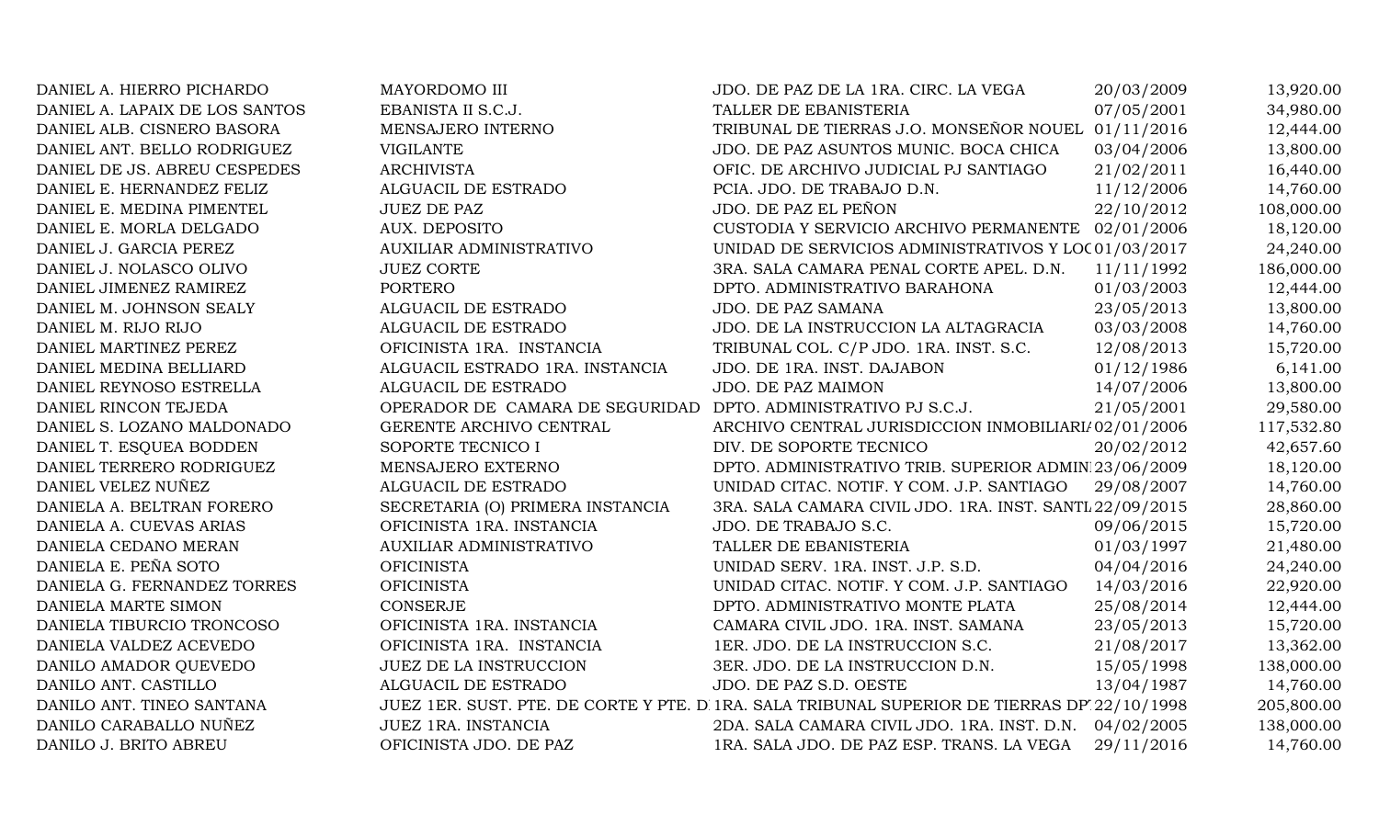DANIEL A. HIERRO PICHARDO MAYORDOMO III JDO. DE PAZ DE LA 1RA. CIRC. LA VEGA 20/03/2009 13,920.00 DANIEL A. LAPAIX DE LOS SANTOS EBANISTA II S.C.J. TALLER DE EBANISTERIA 07/05/2001 34,980.00 DANIEL ALB. CISNERO BASORA MENSAJERO INTERNO TRIBUNAL DE TIERRAS J.O. MONSEÑOR NOUEL 01/11/2016 12,444.00 DANIEL ANT. BELLO RODRIGUEZ VIGILANTE VIGILANTE JDO. DE PAZ ASUNTOS MUNIC. BOCA CHICA 03/04/2006 13,800.00 DANIEL DE JS. ABREU CESPEDES ARCHIVISTA ARCHIVISTA OFIC. DE ARCHIVO JUDICIAL PJ SANTIAGO 21/02/2011 16,440.00 DANIEL E. HERNANDEZ FELIZ ALGUACIL DE ESTRADO PCIA. JDO. DE TRABAJO D.N. 11/12/2006 14,760.00 DANIEL E. MEDINA PIMENTEL JUEZ DE PAZ DE PAZ JOS SON JOO. DE PAZ EL PEÑON 22/10/2012 108,000.00 DANIEL E. MORLA DELGADO AUX. DEPOSITO CUSTODIA Y SERVICIO ARCHIVO PERMANENTE 02/01/2006 18,120.00 DANIEL J. GARCIA PEREZ AUXILIAR ADMINISTRATIVO UNIDAD DE SERVICIOS ADMINISTRATIVOS Y LOCO1/03/2017 24,240.00 DANIEL J. NOLASCO OLIVO JUEZ CORTE 3RA. SALA CAMARA PENAL CORTE APEL. D.N. 11/11/1992 186,000.00 DANIEL JIMENEZ RAMIREZ PORTERO PORTERO DPTO. ADMINISTRATIVO BARAHONA 01/03/2003 12,444.00 DANIEL M. JOHNSON SEALY ALGUACIL DE ESTRADO JDO. DE PAZ SAMANA 23/05/2013 13,800.00 DANIEL M. RIJO RIJO **ALGUACIL DE ESTRADO** JDO. DE LA INSTRUCCION LA ALTAGRACIA 03/03/2008 14,760.00 DANIEL MARTINEZ PEREZ **OFICINISTA 1RA. INSTANCIA** TRIBUNAL COL. C/P JDO. 1RA. INST. S.C. 12/08/2013 15.720.00 DANIEL MEDINA BELLIARD ALGUACIL ESTRADO 1RA. INSTANCIA JDO. DE 1RA. INST. DAJABON 01/12/1986 6,141.00 DANIEL REYNOSO ESTRELLA ALGUACIL DE ESTRADO JDO. DE PAZ MAIMON 14/07/2006 13,800.00 DANIEL RINCON TEJEDA OPERADOR DE CAMARA DE SEGURIDAD DPTO. ADMINISTRATIVO PJ S.C.J. 21/05/2001 29,580.00 DANIEL S. LOZANO MALDONADO GERENTE ARCHIVO CENTRAL ARCHIVO CENTRAL JURISDICCION INMOBILIARI/02/01/2006 117,532.80 DANIEL T. ESOUEA BODDEN SOPORTE TECNICO I DIV. DE SOPORTE TECNICO  $10^{10}$  DIV. DE SOPORTE TECNICO 20/02/2012 42,657.60 DANIEL TERRERO RODRIGUEZ MENSAJERO EXTERNO DPTO. ADMINISTRATIVO TRIB. SUPERIOR ADMINI23/06/2009 18,120.00 DANIEL VELEZ NUÑEZ ALGUACIL DE ESTRADO UNIDAD CITAC. NOTIF. Y COM. J.P. SANTIAGO 29/08/2007 14,760.00 DANIELA A. BELTRAN FORERO SECRETARIA (O) PRIMERA INSTANCIA 3RA. SALA CAMARA CIVIL JDO. 1RA. INST. SANTI 22/09/2015 28,860.00 DANIELA A. CUEVAS ARIAS CHICINISTA 1RA. INSTANCIA JDO. DE TRABAJO S.C. 009/06/2015 15,720.00 DANIELA CEDANO MERAN AUXILIAR ADMINISTRATIVO TALLER DE EBANISTERIA 01/03/1997 21,480.00 DANIELA E. PEÑA SOTO **OFICINISTA** OFICINISTA UNIDAD SERV. 1RA. INST. J.P. S.D. 04/04/2016 24,240.00 DANIELA G. FERNANDEZ TORRES OFICINISTA CHE UNIDAD CITAC. NOTIF. Y COM. J.P. SANTIAGO 14/03/2016 22,920.00 DANIELA MARTE SIMON CONSERJE CONSERUE DPTO. ADMINISTRATIVO MONTE PLATA 25/08/2014 12,444.00 DANIELA TIBURCIO TRONCOSO **OFICINISTA 1RA. INSTANCIA** CAMARA CIVIL JDO. 1RA. INST. SAMANA 23/05/2013 15,720.00 DANIELA VALDEZ ACEVEDO OFICINISTA 1RA. INSTANCIA 1ER. JDO. DE LA INSTRUCCION S.C. 21/08/2017 13,362.00 DANILO AMADOR QUEVEDO JUEZ DE LA INSTRUCCION 3ER. JDO. DE LA INSTRUCCION D.N. 15/05/1998 138,000.00 DANILO ANT. CASTILLO ALGUACIL DE ESTRADO JDO. DE PAZ S.D. OESTE 13/04/1987 14,760.00 DANILO ANT. TINEO SANTANA JUEZ 1ER. SUST. PTE. DE CORTE Y PTE. D. 1RA. SALA TRIBUNAL SUPERIOR DE TIERRAS DP. 22/10/1998 205,800.00 DANILO CARABALLO NUÑEZ JUEZ 1RA. INSTANCIA 2DA. SALA CAMARA CIVIL JDO. 1RA. INST. D.N. 04/02/2005 138,000.00 DANILO J. BRITO ABREU **OFICINISTA JDO. DE PAZ** 1RA. SALA JDO. DE PAZ ESP. TRANS. LA VEGA 29/11/2016 14,760.00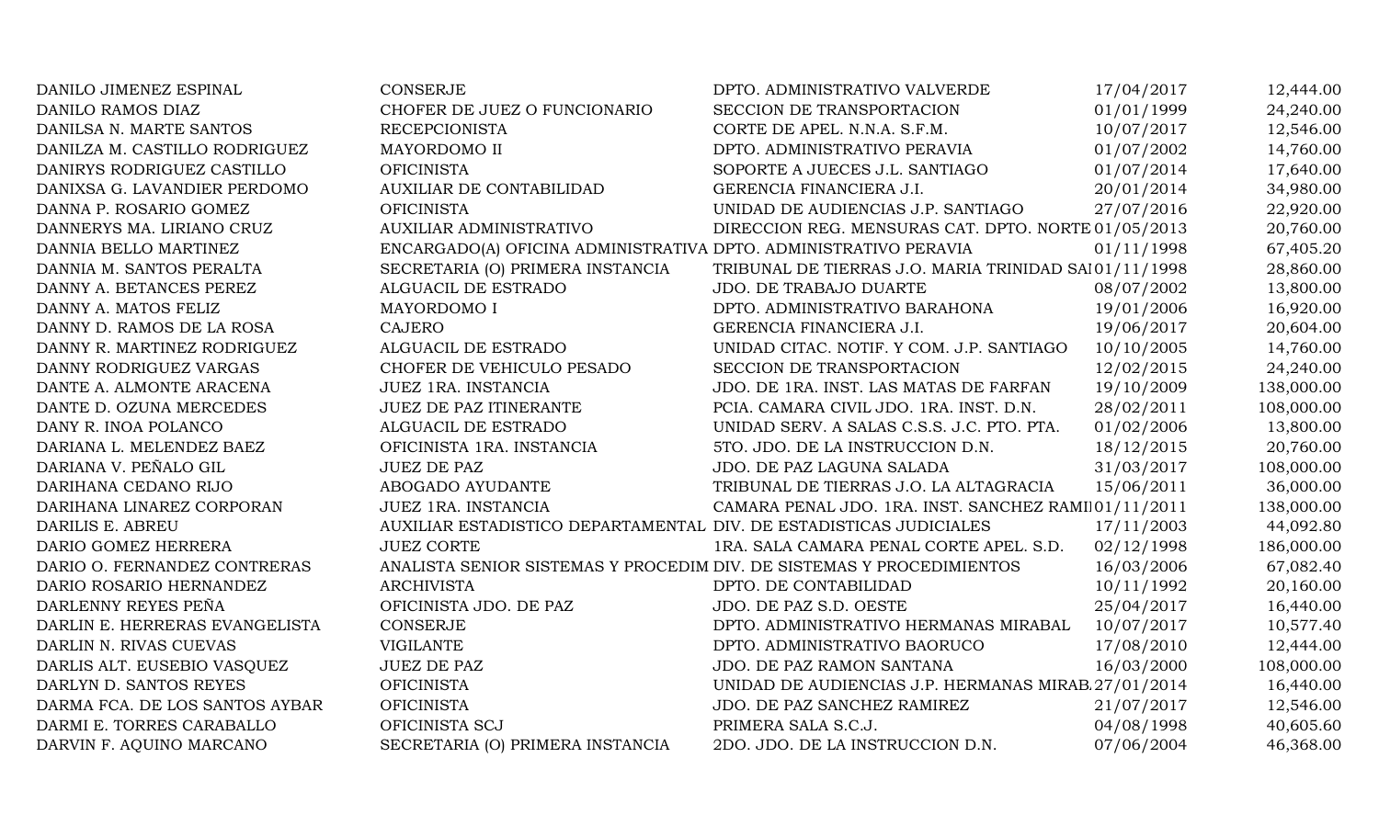| DANILO JIMENEZ ESPINAL         | <b>CONSERJE</b>                                                       | DPTO. ADMINISTRATIVO VALVERDE                         | 17/04/2017 | 12,444.00  |
|--------------------------------|-----------------------------------------------------------------------|-------------------------------------------------------|------------|------------|
| DANILO RAMOS DIAZ              | CHOFER DE JUEZ O FUNCIONARIO                                          | SECCION DE TRANSPORTACION                             | 01/01/1999 | 24,240.00  |
| DANILSA N. MARTE SANTOS        | <b>RECEPCIONISTA</b>                                                  | CORTE DE APEL. N.N.A. S.F.M.                          | 10/07/2017 | 12,546.00  |
| DANILZA M. CASTILLO RODRIGUEZ  | MAYORDOMO II                                                          | DPTO. ADMINISTRATIVO PERAVIA                          | 01/07/2002 | 14,760.00  |
| DANIRYS RODRIGUEZ CASTILLO     | <b>OFICINISTA</b>                                                     | SOPORTE A JUECES J.L. SANTIAGO                        | 01/07/2014 | 17,640.00  |
| DANIXSA G. LAVANDIER PERDOMO   | AUXILIAR DE CONTABILIDAD                                              | GERENCIA FINANCIERA J.I.                              | 20/01/2014 | 34,980.00  |
| DANNA P. ROSARIO GOMEZ         | <b>OFICINISTA</b>                                                     | UNIDAD DE AUDIENCIAS J.P. SANTIAGO                    | 27/07/2016 | 22,920.00  |
| DANNERYS MA. LIRIANO CRUZ      | <b>AUXILIAR ADMINISTRATIVO</b>                                        | DIRECCION REG. MENSURAS CAT. DPTO. NORTE 01/05/2013   |            | 20,760.00  |
| DANNIA BELLO MARTINEZ          | ENCARGADO(A) OFICINA ADMINISTRATIVA DPTO. ADMINISTRATIVO PERAVIA      |                                                       | 01/11/1998 | 67,405.20  |
| DANNIA M. SANTOS PERALTA       | SECRETARIA (O) PRIMERA INSTANCIA                                      | TRIBUNAL DE TIERRAS J.O. MARIA TRINIDAD SAI01/11/1998 |            | 28,860.00  |
| DANNY A. BETANCES PEREZ        | ALGUACIL DE ESTRADO                                                   | JDO. DE TRABAJO DUARTE                                | 08/07/2002 | 13,800.00  |
| DANNY A. MATOS FELIZ           | MAYORDOMO I                                                           | DPTO. ADMINISTRATIVO BARAHONA                         | 19/01/2006 | 16,920.00  |
| DANNY D. RAMOS DE LA ROSA      | <b>CAJERO</b>                                                         | GERENCIA FINANCIERA J.I.                              | 19/06/2017 | 20,604.00  |
| DANNY R. MARTINEZ RODRIGUEZ    | ALGUACIL DE ESTRADO                                                   | UNIDAD CITAC. NOTIF. Y COM. J.P. SANTIAGO             | 10/10/2005 | 14,760.00  |
| DANNY RODRIGUEZ VARGAS         | CHOFER DE VEHICULO PESADO                                             | SECCION DE TRANSPORTACION                             | 12/02/2015 | 24,240.00  |
| DANTE A. ALMONTE ARACENA       | JUEZ 1RA. INSTANCIA                                                   | JDO. DE 1RA. INST. LAS MATAS DE FARFAN                | 19/10/2009 | 138,000.00 |
| DANTE D. OZUNA MERCEDES        | JUEZ DE PAZ ITINERANTE                                                | PCIA. CAMARA CIVIL JDO. 1RA. INST. D.N.               | 28/02/2011 | 108,000.00 |
| DANY R. INOA POLANCO           | ALGUACIL DE ESTRADO                                                   | UNIDAD SERV. A SALAS C.S.S. J.C. PTO. PTA.            | 01/02/2006 | 13,800.00  |
| DARIANA L. MELENDEZ BAEZ       | OFICINISTA 1RA. INSTANCIA                                             | 5TO. JDO. DE LA INSTRUCCION D.N.                      | 18/12/2015 | 20,760.00  |
| DARIANA V. PEÑALO GIL          | <b>JUEZ DE PAZ</b>                                                    | JDO. DE PAZ LAGUNA SALADA                             | 31/03/2017 | 108,000.00 |
| DARIHANA CEDANO RIJO           | ABOGADO AYUDANTE                                                      | TRIBUNAL DE TIERRAS J.O. LA ALTAGRACIA                | 15/06/2011 | 36,000.00  |
| DARIHANA LINAREZ CORPORAN      | JUEZ 1RA. INSTANCIA                                                   | CAMARA PENAL JDO. 1RA. INST. SANCHEZ RAMI 01/11/2011  |            | 138,000.00 |
| DARILIS E. ABREU               | AUXILIAR ESTADISTICO DEPARTAMENTAL DIV. DE ESTADISTICAS JUDICIALES    |                                                       | 17/11/2003 | 44,092.80  |
| DARIO GOMEZ HERRERA            | <b>JUEZ CORTE</b>                                                     | 1RA. SALA CAMARA PENAL CORTE APEL. S.D.               | 02/12/1998 | 186,000.00 |
| DARIO O. FERNANDEZ CONTRERAS   | ANALISTA SENIOR SISTEMAS Y PROCEDIM DIV. DE SISTEMAS Y PROCEDIMIENTOS |                                                       | 16/03/2006 | 67,082.40  |
| DARIO ROSARIO HERNANDEZ        | <b>ARCHIVISTA</b>                                                     | DPTO. DE CONTABILIDAD                                 | 10/11/1992 | 20,160.00  |
| DARLENNY REYES PEÑA            | OFICINISTA JDO. DE PAZ                                                | JDO. DE PAZ S.D. OESTE                                | 25/04/2017 | 16,440.00  |
| DARLIN E. HERRERAS EVANGELISTA | <b>CONSERJE</b>                                                       | DPTO. ADMINISTRATIVO HERMANAS MIRABAL                 | 10/07/2017 | 10,577.40  |
| DARLIN N. RIVAS CUEVAS         | <b>VIGILANTE</b>                                                      | DPTO. ADMINISTRATIVO BAORUCO                          | 17/08/2010 | 12,444.00  |
| DARLIS ALT. EUSEBIO VASQUEZ    | <b>JUEZ DE PAZ</b>                                                    | JDO. DE PAZ RAMON SANTANA                             | 16/03/2000 | 108,000.00 |
| DARLYN D. SANTOS REYES         | <b>OFICINISTA</b>                                                     | UNIDAD DE AUDIENCIAS J.P. HERMANAS MIRAB 27/01/2014   |            | 16,440.00  |
| DARMA FCA. DE LOS SANTOS AYBAR | <b>OFICINISTA</b>                                                     | JDO. DE PAZ SANCHEZ RAMIREZ                           | 21/07/2017 | 12,546.00  |
| DARMI E. TORRES CARABALLO      | OFICINISTA SCJ                                                        | PRIMERA SALA S.C.J.                                   | 04/08/1998 | 40,605.60  |
| DARVIN F. AQUINO MARCANO       | SECRETARIA (O) PRIMERA INSTANCIA                                      | 2DO. JDO. DE LA INSTRUCCION D.N.                      | 07/06/2004 | 46,368.00  |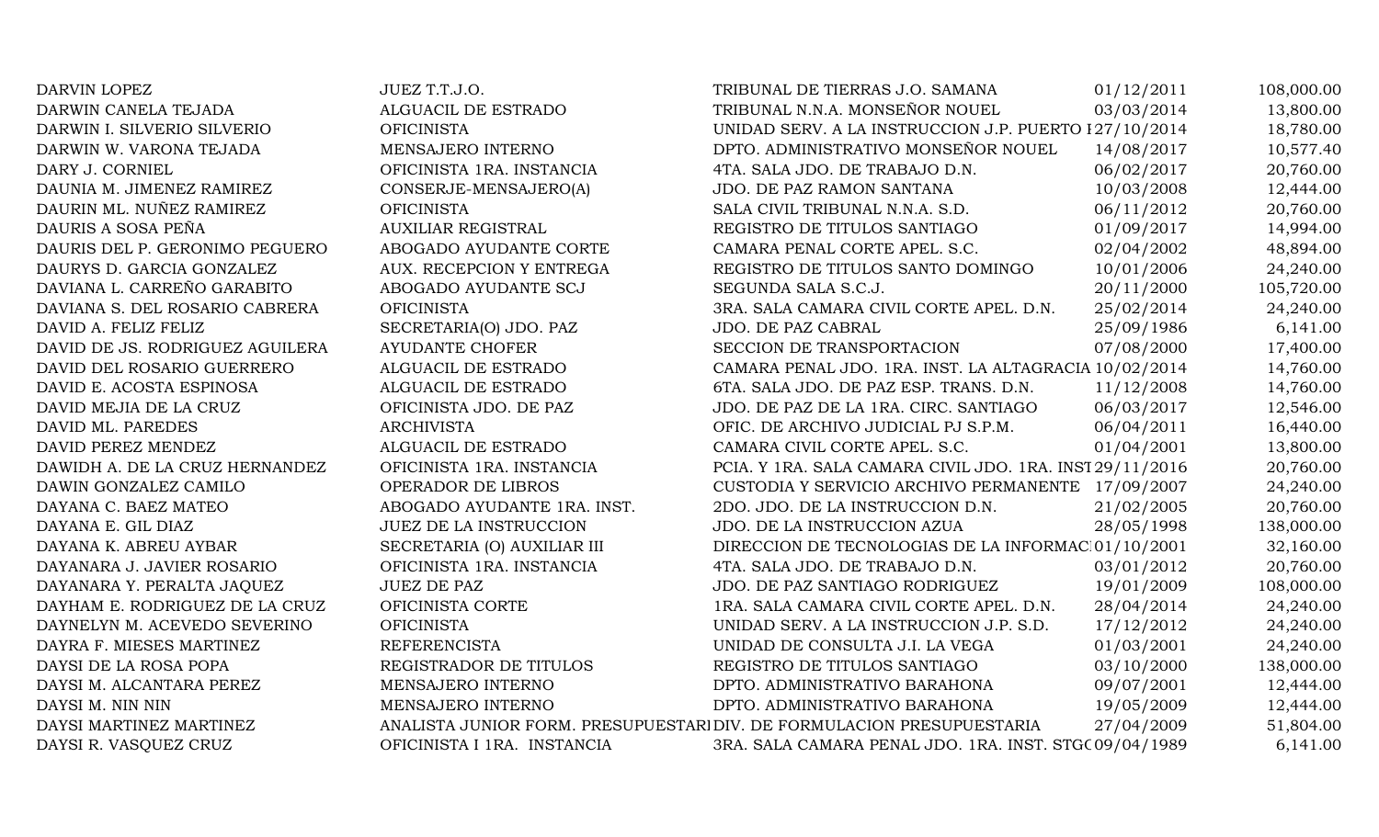| DARVIN LOPEZ                    | JUEZ T.T.J.O.               | TRIBUNAL DE TIERRAS J.O. SAMANA                                        | 01/12/2011 | 108,000.00 |
|---------------------------------|-----------------------------|------------------------------------------------------------------------|------------|------------|
| DARWIN CANELA TEJADA            | ALGUACIL DE ESTRADO         | TRIBUNAL N.N.A. MONSEÑOR NOUEL                                         | 03/03/2014 | 13,800.00  |
| DARWIN I. SILVERIO SILVERIO     | <b>OFICINISTA</b>           | UNIDAD SERV. A LA INSTRUCCION J.P. PUERTO 127/10/2014                  |            | 18,780.00  |
| DARWIN W. VARONA TEJADA         | MENSAJERO INTERNO           | DPTO. ADMINISTRATIVO MONSEÑOR NOUEL                                    | 14/08/2017 | 10,577.40  |
| DARY J. CORNIEL                 | OFICINISTA 1RA. INSTANCIA   | 4TA. SALA JDO. DE TRABAJO D.N.                                         | 06/02/2017 | 20,760.00  |
| DAUNIA M. JIMENEZ RAMIREZ       | CONSERJE-MENSAJERO(A)       | JDO. DE PAZ RAMON SANTANA                                              | 10/03/2008 | 12,444.00  |
| DAURIN ML. NUÑEZ RAMIREZ        | <b>OFICINISTA</b>           | SALA CIVIL TRIBUNAL N.N.A. S.D.                                        | 06/11/2012 | 20,760.00  |
| DAURIS A SOSA PEÑA              | <b>AUXILIAR REGISTRAL</b>   | REGISTRO DE TITULOS SANTIAGO                                           | 01/09/2017 | 14,994.00  |
| DAURIS DEL P. GERONIMO PEGUERO  | ABOGADO AYUDANTE CORTE      | CAMARA PENAL CORTE APEL. S.C.                                          | 02/04/2002 | 48,894.00  |
| DAURYS D. GARCIA GONZALEZ       | AUX. RECEPCION Y ENTREGA    | REGISTRO DE TITULOS SANTO DOMINGO                                      | 10/01/2006 | 24,240.00  |
| DAVIANA L. CARREÑO GARABITO     | ABOGADO AYUDANTE SCJ        | SEGUNDA SALA S.C.J.                                                    | 20/11/2000 | 105,720.00 |
| DAVIANA S. DEL ROSARIO CABRERA  | <b>OFICINISTA</b>           | 3RA. SALA CAMARA CIVIL CORTE APEL. D.N.                                | 25/02/2014 | 24,240.00  |
| DAVID A. FELIZ FELIZ            | SECRETARIA(O) JDO. PAZ      | JDO. DE PAZ CABRAL                                                     | 25/09/1986 | 6,141.00   |
| DAVID DE JS. RODRIGUEZ AGUILERA | <b>AYUDANTE CHOFER</b>      | SECCION DE TRANSPORTACION                                              | 07/08/2000 | 17,400.00  |
| DAVID DEL ROSARIO GUERRERO      | ALGUACIL DE ESTRADO         | CAMARA PENAL JDO. 1RA. INST. LA ALTAGRACIA 10/02/2014                  |            | 14,760.00  |
| DAVID E. ACOSTA ESPINOSA        | ALGUACIL DE ESTRADO         | 6TA. SALA JDO. DE PAZ ESP. TRANS. D.N.                                 | 11/12/2008 | 14,760.00  |
| DAVID MEJIA DE LA CRUZ          | OFICINISTA JDO. DE PAZ      | JDO. DE PAZ DE LA 1RA. CIRC. SANTIAGO                                  | 06/03/2017 | 12,546.00  |
| DAVID ML. PAREDES               | <b>ARCHIVISTA</b>           | OFIC. DE ARCHIVO JUDICIAL PJ S.P.M.                                    | 06/04/2011 | 16,440.00  |
| DAVID PEREZ MENDEZ              | ALGUACIL DE ESTRADO         | CAMARA CIVIL CORTE APEL. S.C.                                          | 01/04/2001 | 13,800.00  |
| DAWIDH A. DE LA CRUZ HERNANDEZ  | OFICINISTA 1RA. INSTANCIA   | PCIA. Y 1RA. SALA CAMARA CIVIL JDO. 1RA. INST 29/11/2016               |            | 20,760.00  |
| DAWIN GONZALEZ CAMILO           | OPERADOR DE LIBROS          | CUSTODIA Y SERVICIO ARCHIVO PERMANENTE 17/09/2007                      |            | 24,240.00  |
| DAYANA C. BAEZ MATEO            | ABOGADO AYUDANTE 1RA. INST. | 2DO. JDO. DE LA INSTRUCCION D.N.                                       | 21/02/2005 | 20,760.00  |
| DAYANA E. GIL DIAZ              | JUEZ DE LA INSTRUCCION      | JDO. DE LA INSTRUCCION AZUA                                            | 28/05/1998 | 138,000.00 |
| DAYANA K. ABREU AYBAR           | SECRETARIA (O) AUXILIAR III | DIRECCION DE TECNOLOGIAS DE LA INFORMAC 01/10/2001                     |            | 32,160.00  |
| DAYANARA J. JAVIER ROSARIO      | OFICINISTA 1RA. INSTANCIA   | 4TA. SALA JDO. DE TRABAJO D.N.                                         | 03/01/2012 | 20,760.00  |
| DAYANARA Y. PERALTA JAQUEZ      | <b>JUEZ DE PAZ</b>          | JDO. DE PAZ SANTIAGO RODRIGUEZ                                         | 19/01/2009 | 108,000.00 |
| DAYHAM E. RODRIGUEZ DE LA CRUZ  | OFICINISTA CORTE            | 1RA. SALA CAMARA CIVIL CORTE APEL. D.N.                                | 28/04/2014 | 24,240.00  |
| DAYNELYN M. ACEVEDO SEVERINO    | <b>OFICINISTA</b>           | UNIDAD SERV. A LA INSTRUCCION J.P. S.D.                                | 17/12/2012 | 24,240.00  |
| DAYRA F. MIESES MARTINEZ        | <b>REFERENCISTA</b>         | UNIDAD DE CONSULTA J.I. LA VEGA                                        | 01/03/2001 | 24,240.00  |
| DAYSI DE LA ROSA POPA           | REGISTRADOR DE TITULOS      | REGISTRO DE TITULOS SANTIAGO                                           | 03/10/2000 | 138,000.00 |
| DAYSI M. ALCANTARA PEREZ        | MENSAJERO INTERNO           | DPTO. ADMINISTRATIVO BARAHONA                                          | 09/07/2001 | 12,444.00  |
| DAYSI M. NIN NIN                | MENSAJERO INTERNO           | DPTO. ADMINISTRATIVO BARAHONA                                          | 19/05/2009 | 12,444.00  |
| DAYSI MARTINEZ MARTINEZ         |                             | ANALISTA JUNIOR FORM. PRESUPUESTARI DIV. DE FORMULACION PRESUPUESTARIA | 27/04/2009 | 51,804.00  |
| DAYSI R. VASQUEZ CRUZ           | OFICINISTA I 1RA. INSTANCIA | 3RA. SALA CAMARA PENAL JDO. 1RA. INST. STGC 09/04/1989                 |            | 6,141.00   |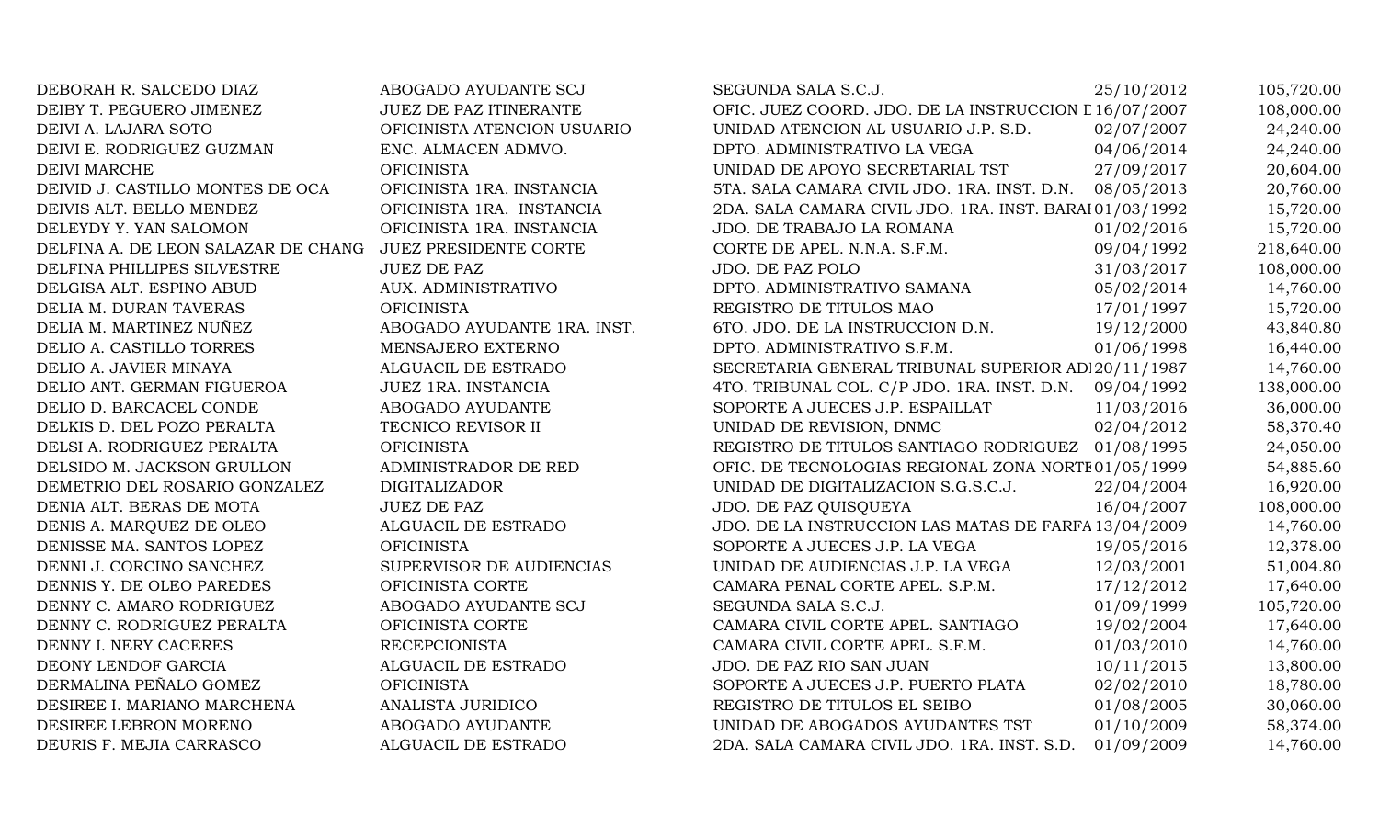| DEBORAH R. SALCEDO DIAZ             | ABOGADO AYUDANTE SCJ          | SEGUNDA SALA S.C.J.                                     | 25/10/2012 | 105,720.00 |
|-------------------------------------|-------------------------------|---------------------------------------------------------|------------|------------|
| DEIBY T. PEGUERO JIMENEZ            | <b>JUEZ DE PAZ ITINERANTE</b> | OFIC. JUEZ COORD. JDO. DE LA INSTRUCCION L 16/07/2007   |            | 108,000.00 |
| DEIVI A. LAJARA SOTO                | OFICINISTA ATENCION USUARIO   | UNIDAD ATENCION AL USUARIO J.P. S.D.                    | 02/07/2007 | 24,240.00  |
| DEIVI E. RODRIGUEZ GUZMAN           | ENC. ALMACEN ADMVO.           | DPTO. ADMINISTRATIVO LA VEGA                            | 04/06/2014 | 24,240.00  |
| <b>DEIVI MARCHE</b>                 | <b>OFICINISTA</b>             | UNIDAD DE APOYO SECRETARIAL TST                         | 27/09/2017 | 20,604.00  |
| DEIVID J. CASTILLO MONTES DE OCA    | OFICINISTA 1RA. INSTANCIA     | 5TA. SALA CAMARA CIVIL JDO. 1RA. INST. D.N.             | 08/05/2013 | 20,760.00  |
| DEIVIS ALT. BELLO MENDEZ            | OFICINISTA 1RA. INSTANCIA     | 2DA. SALA CAMARA CIVIL JDO. 1RA. INST. BARAI 01/03/1992 |            | 15,720.00  |
| DELEYDY Y. YAN SALOMON              | OFICINISTA 1RA. INSTANCIA     | JDO. DE TRABAJO LA ROMANA                               | 01/02/2016 | 15,720.00  |
| DELFINA A. DE LEON SALAZAR DE CHANG | JUEZ PRESIDENTE CORTE         | CORTE DE APEL. N.N.A. S.F.M.                            | 09/04/1992 | 218,640.00 |
| DELFINA PHILLIPES SILVESTRE         | <b>JUEZ DE PAZ</b>            | JDO. DE PAZ POLO                                        | 31/03/2017 | 108,000.00 |
| DELGISA ALT. ESPINO ABUD            | AUX. ADMINISTRATIVO           | DPTO. ADMINISTRATIVO SAMANA                             | 05/02/2014 | 14,760.00  |
| DELIA M. DURAN TAVERAS              | <b>OFICINISTA</b>             | REGISTRO DE TITULOS MAO                                 | 17/01/1997 | 15,720.00  |
| DELIA M. MARTINEZ NUÑEZ             | ABOGADO AYUDANTE 1RA. INST.   | 6TO. JDO. DE LA INSTRUCCION D.N.                        | 19/12/2000 | 43,840.80  |
| DELIO A. CASTILLO TORRES            | MENSAJERO EXTERNO             | DPTO. ADMINISTRATIVO S.F.M.                             | 01/06/1998 | 16,440.00  |
| DELIO A. JAVIER MINAYA              | ALGUACIL DE ESTRADO           | SECRETARIA GENERAL TRIBUNAL SUPERIOR AD 20/11/1987      |            | 14,760.00  |
| DELIO ANT. GERMAN FIGUEROA          | JUEZ 1RA. INSTANCIA           | 4TO. TRIBUNAL COL. C/P JDO. 1RA. INST. D.N.             | 09/04/1992 | 138,000.00 |
| DELIO D. BARCACEL CONDE             | ABOGADO AYUDANTE              | SOPORTE A JUECES J.P. ESPAILLAT                         | 11/03/2016 | 36,000.00  |
| DELKIS D. DEL POZO PERALTA          | TECNICO REVISOR II            | UNIDAD DE REVISION, DNMC                                | 02/04/2012 | 58,370.40  |
| DELSI A. RODRIGUEZ PERALTA          | <b>OFICINISTA</b>             | REGISTRO DE TITULOS SANTIAGO RODRIGUEZ 01/08/1995       |            | 24,050.00  |
| DELSIDO M. JACKSON GRULLON          | ADMINISTRADOR DE RED          | OFIC. DE TECNOLOGIAS REGIONAL ZONA NORTE 01/05/1999     |            | 54,885.60  |
| DEMETRIO DEL ROSARIO GONZALEZ       | <b>DIGITALIZADOR</b>          | UNIDAD DE DIGITALIZACION S.G.S.C.J.                     | 22/04/2004 | 16,920.00  |
| DENIA ALT. BERAS DE MOTA            | <b>JUEZ DE PAZ</b>            | JDO. DE PAZ QUISQUEYA                                   | 16/04/2007 | 108,000.00 |
| DENIS A. MARQUEZ DE OLEO            | ALGUACIL DE ESTRADO           | JDO. DE LA INSTRUCCION LAS MATAS DE FARFA 13/04/2009    |            | 14,760.00  |
| DENISSE MA. SANTOS LOPEZ            | <b>OFICINISTA</b>             | SOPORTE A JUECES J.P. LA VEGA                           | 19/05/2016 | 12,378.00  |
| DENNI J. CORCINO SANCHEZ            | SUPERVISOR DE AUDIENCIAS      | UNIDAD DE AUDIENCIAS J.P. LA VEGA                       | 12/03/2001 | 51,004.80  |
| DENNIS Y. DE OLEO PAREDES           | OFICINISTA CORTE              | CAMARA PENAL CORTE APEL. S.P.M.                         | 17/12/2012 | 17,640.00  |
| DENNY C. AMARO RODRIGUEZ            | ABOGADO AYUDANTE SCJ          | SEGUNDA SALA S.C.J.                                     | 01/09/1999 | 105,720.00 |
| DENNY C. RODRIGUEZ PERALTA          | OFICINISTA CORTE              | CAMARA CIVIL CORTE APEL. SANTIAGO                       | 19/02/2004 | 17,640.00  |
| DENNY I. NERY CACERES               | <b>RECEPCIONISTA</b>          | CAMARA CIVIL CORTE APEL. S.F.M.                         | 01/03/2010 | 14,760.00  |
| DEONY LENDOF GARCIA                 | ALGUACIL DE ESTRADO           | JDO. DE PAZ RIO SAN JUAN                                | 10/11/2015 | 13,800.00  |
| DERMALINA PEÑALO GOMEZ              | <b>OFICINISTA</b>             | SOPORTE A JUECES J.P. PUERTO PLATA                      | 02/02/2010 | 18,780.00  |
| DESIREE I. MARIANO MARCHENA         | ANALISTA JURIDICO             | REGISTRO DE TITULOS EL SEIBO                            | 01/08/2005 | 30,060.00  |
| DESIREE LEBRON MORENO               | ABOGADO AYUDANTE              | UNIDAD DE ABOGADOS AYUDANTES TST                        | 01/10/2009 | 58,374.00  |
| DEURIS F. MEJIA CARRASCO            | ALGUACIL DE ESTRADO           | 2DA. SALA CAMARA CIVIL JDO. 1RA. INST. S.D.             | 01/09/2009 | 14,760.00  |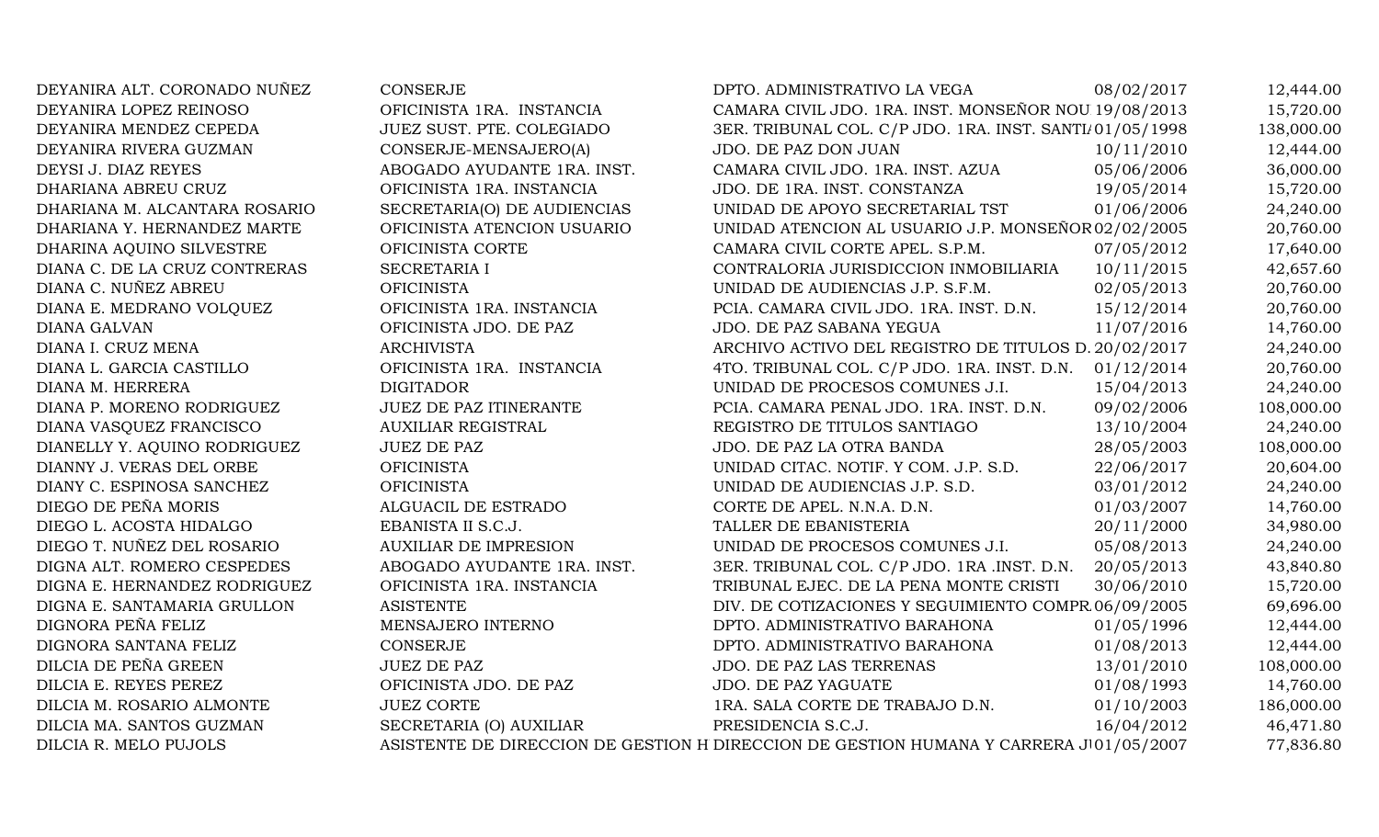| CAMARA CIVIL JDO. 1RA. INST. MONSEÑOR NOU 19/08/2013<br>DEYANIRA LOPEZ REINOSO<br>OFICINISTA 1RA. INSTANCIA<br>DEYANIRA MENDEZ CEPEDA<br>JUEZ SUST. PTE. COLEGIADO<br>3ER. TRIBUNAL COL. C/P JDO. 1RA. INST. SANTI/01/05/1998<br>CONSERJE-MENSAJERO(A)<br>10/11/2010<br>DEYANIRA RIVERA GUZMAN<br>JDO. DE PAZ DON JUAN<br>ABOGADO AYUDANTE 1RA. INST.<br>CAMARA CIVIL JDO. 1RA. INST. AZUA<br>05/06/2006<br>DEYSI J. DIAZ REYES<br>19/05/2014<br>DHARIANA ABREU CRUZ<br>OFICINISTA 1RA. INSTANCIA<br>JDO. DE 1RA. INST. CONSTANZA<br>UNIDAD DE APOYO SECRETARIAL TST<br>01/06/2006<br>DHARIANA M. ALCANTARA ROSARIO<br>SECRETARIA(O) DE AUDIENCIAS<br>UNIDAD ATENCION AL USUARIO J.P. MONSEÑOR 02/02/2005<br>OFICINISTA ATENCION USUARIO<br>DHARIANA Y. HERNANDEZ MARTE<br>07/05/2012<br>DHARINA AQUINO SILVESTRE<br>OFICINISTA CORTE<br>CAMARA CIVIL CORTE APEL. S.P.M.<br>10/11/2015<br>DIANA C. DE LA CRUZ CONTRERAS<br>SECRETARIA I<br>CONTRALORIA JURISDICCION INMOBILIARIA<br>DIANA C. NUÑEZ ABREU<br><b>OFICINISTA</b><br>UNIDAD DE AUDIENCIAS J.P. S.F.M.<br>02/05/2013<br>15/12/2014<br>DIANA E. MEDRANO VOLQUEZ<br>OFICINISTA 1RA. INSTANCIA<br>PCIA. CAMARA CIVIL JDO. 1RA. INST. D.N.<br>OFICINISTA JDO. DE PAZ<br>JDO. DE PAZ SABANA YEGUA<br>11/07/2016<br><b>DIANA GALVAN</b><br>ARCHIVO ACTIVO DEL REGISTRO DE TITULOS D. 20/02/2017<br>DIANA I. CRUZ MENA<br><b>ARCHIVISTA</b><br>OFICINISTA 1RA. INSTANCIA<br>01/12/2014<br>DIANA L. GARCIA CASTILLO<br>4TO. TRIBUNAL COL. C/P JDO. 1RA. INST. D.N.<br>DIANA M. HERRERA<br><b>DIGITADOR</b><br>UNIDAD DE PROCESOS COMUNES J.I.<br>15/04/2013<br>JUEZ DE PAZ ITINERANTE<br>09/02/2006<br>DIANA P. MORENO RODRIGUEZ<br>PCIA. CAMARA PENAL JDO. 1RA. INST. D.N.<br>DIANA VASQUEZ FRANCISCO<br>REGISTRO DE TITULOS SANTIAGO<br><b>AUXILIAR REGISTRAL</b><br>13/10/2004<br>DIANELLY Y. AQUINO RODRIGUEZ<br><b>JUEZ DE PAZ</b><br>JDO. DE PAZ LA OTRA BANDA<br>28/05/2003<br>DIANNY J. VERAS DEL ORBE<br><b>OFICINISTA</b><br>UNIDAD CITAC. NOTIF. Y COM. J.P. S.D.<br>22/06/2017<br><b>OFICINISTA</b><br>03/01/2012<br>DIANY C. ESPINOSA SANCHEZ<br>UNIDAD DE AUDIENCIAS J.P. S.D.<br>DIEGO DE PEÑA MORIS<br>01/03/2007<br>ALGUACIL DE ESTRADO<br>CORTE DE APEL. N.N.A. D.N.<br>DIEGO L. ACOSTA HIDALGO<br>EBANISTA II S.C.J.<br>20/11/2000<br>TALLER DE EBANISTERIA<br>DIEGO T. NUÑEZ DEL ROSARIO<br><b>AUXILIAR DE IMPRESION</b><br>UNIDAD DE PROCESOS COMUNES J.I.<br>05/08/2013<br>20/05/2013<br>DIGNA ALT. ROMERO CESPEDES<br>ABOGADO AYUDANTE 1RA. INST.<br>3ER. TRIBUNAL COL. C/P JDO. 1RA .INST. D.N.<br>DIGNA E. HERNANDEZ RODRIGUEZ<br>OFICINISTA 1RA. INSTANCIA<br>TRIBUNAL EJEC. DE LA PENA MONTE CRISTI<br>30/06/2010<br>DIV. DE COTIZACIONES Y SEGUIMIENTO COMPR 06/09/2005<br>DIGNA E. SANTAMARIA GRULLON<br><b>ASISTENTE</b><br>DIGNORA PEÑA FELIZ<br>MENSAJERO INTERNO<br>DPTO. ADMINISTRATIVO BARAHONA<br>01/05/1996<br>DIGNORA SANTANA FELIZ<br>CONSERJE<br>DPTO. ADMINISTRATIVO BARAHONA<br>01/08/2013<br>DILCIA DE PEÑA GREEN<br><b>JUEZ DE PAZ</b><br>JDO. DE PAZ LAS TERRENAS<br>13/01/2010<br>01/08/1993<br>DILCIA E. REYES PEREZ<br>OFICINISTA JDO. DE PAZ<br><b>JDO. DE PAZ YAGUATE</b><br>01/10/2003<br>DILCIA M. ROSARIO ALMONTE<br><b>JUEZ CORTE</b><br>1RA. SALA CORTE DE TRABAJO D.N.<br>PRESIDENCIA S.C.J.<br>16/04/2012<br>DILCIA MA. SANTOS GUZMAN<br>SECRETARIA (O) AUXILIAR<br>ASISTENTE DE DIRECCION DE GESTION H DIRECCION DE GESTION HUMANA Y CARRERA J 01/05/2007<br>DILCIA R. MELO PUJOLS | DEYANIRA ALT. CORONADO NUÑEZ | <b>CONSERJE</b> | DPTO. ADMINISTRATIVO LA VEGA | 08/02/2017 | 12,444.00  |
|-------------------------------------------------------------------------------------------------------------------------------------------------------------------------------------------------------------------------------------------------------------------------------------------------------------------------------------------------------------------------------------------------------------------------------------------------------------------------------------------------------------------------------------------------------------------------------------------------------------------------------------------------------------------------------------------------------------------------------------------------------------------------------------------------------------------------------------------------------------------------------------------------------------------------------------------------------------------------------------------------------------------------------------------------------------------------------------------------------------------------------------------------------------------------------------------------------------------------------------------------------------------------------------------------------------------------------------------------------------------------------------------------------------------------------------------------------------------------------------------------------------------------------------------------------------------------------------------------------------------------------------------------------------------------------------------------------------------------------------------------------------------------------------------------------------------------------------------------------------------------------------------------------------------------------------------------------------------------------------------------------------------------------------------------------------------------------------------------------------------------------------------------------------------------------------------------------------------------------------------------------------------------------------------------------------------------------------------------------------------------------------------------------------------------------------------------------------------------------------------------------------------------------------------------------------------------------------------------------------------------------------------------------------------------------------------------------------------------------------------------------------------------------------------------------------------------------------------------------------------------------------------------------------------------------------------------------------------------------------------------------------------------------------------------------------------------------------------------------------------------------------------------------------------------------------------------------------------------------------------------------------------------------------------------------------------------------------------------------------------------------------------------------------------------------------------------------------------------------------------------|------------------------------|-----------------|------------------------------|------------|------------|
|                                                                                                                                                                                                                                                                                                                                                                                                                                                                                                                                                                                                                                                                                                                                                                                                                                                                                                                                                                                                                                                                                                                                                                                                                                                                                                                                                                                                                                                                                                                                                                                                                                                                                                                                                                                                                                                                                                                                                                                                                                                                                                                                                                                                                                                                                                                                                                                                                                                                                                                                                                                                                                                                                                                                                                                                                                                                                                                                                                                                                                                                                                                                                                                                                                                                                                                                                                                                                                                                                                 |                              |                 |                              |            | 15,720.00  |
|                                                                                                                                                                                                                                                                                                                                                                                                                                                                                                                                                                                                                                                                                                                                                                                                                                                                                                                                                                                                                                                                                                                                                                                                                                                                                                                                                                                                                                                                                                                                                                                                                                                                                                                                                                                                                                                                                                                                                                                                                                                                                                                                                                                                                                                                                                                                                                                                                                                                                                                                                                                                                                                                                                                                                                                                                                                                                                                                                                                                                                                                                                                                                                                                                                                                                                                                                                                                                                                                                                 |                              |                 |                              |            | 138,000.00 |
|                                                                                                                                                                                                                                                                                                                                                                                                                                                                                                                                                                                                                                                                                                                                                                                                                                                                                                                                                                                                                                                                                                                                                                                                                                                                                                                                                                                                                                                                                                                                                                                                                                                                                                                                                                                                                                                                                                                                                                                                                                                                                                                                                                                                                                                                                                                                                                                                                                                                                                                                                                                                                                                                                                                                                                                                                                                                                                                                                                                                                                                                                                                                                                                                                                                                                                                                                                                                                                                                                                 |                              |                 |                              |            | 12,444.00  |
|                                                                                                                                                                                                                                                                                                                                                                                                                                                                                                                                                                                                                                                                                                                                                                                                                                                                                                                                                                                                                                                                                                                                                                                                                                                                                                                                                                                                                                                                                                                                                                                                                                                                                                                                                                                                                                                                                                                                                                                                                                                                                                                                                                                                                                                                                                                                                                                                                                                                                                                                                                                                                                                                                                                                                                                                                                                                                                                                                                                                                                                                                                                                                                                                                                                                                                                                                                                                                                                                                                 |                              |                 |                              |            | 36,000.00  |
|                                                                                                                                                                                                                                                                                                                                                                                                                                                                                                                                                                                                                                                                                                                                                                                                                                                                                                                                                                                                                                                                                                                                                                                                                                                                                                                                                                                                                                                                                                                                                                                                                                                                                                                                                                                                                                                                                                                                                                                                                                                                                                                                                                                                                                                                                                                                                                                                                                                                                                                                                                                                                                                                                                                                                                                                                                                                                                                                                                                                                                                                                                                                                                                                                                                                                                                                                                                                                                                                                                 |                              |                 |                              |            | 15,720.00  |
|                                                                                                                                                                                                                                                                                                                                                                                                                                                                                                                                                                                                                                                                                                                                                                                                                                                                                                                                                                                                                                                                                                                                                                                                                                                                                                                                                                                                                                                                                                                                                                                                                                                                                                                                                                                                                                                                                                                                                                                                                                                                                                                                                                                                                                                                                                                                                                                                                                                                                                                                                                                                                                                                                                                                                                                                                                                                                                                                                                                                                                                                                                                                                                                                                                                                                                                                                                                                                                                                                                 |                              |                 |                              |            | 24,240.00  |
|                                                                                                                                                                                                                                                                                                                                                                                                                                                                                                                                                                                                                                                                                                                                                                                                                                                                                                                                                                                                                                                                                                                                                                                                                                                                                                                                                                                                                                                                                                                                                                                                                                                                                                                                                                                                                                                                                                                                                                                                                                                                                                                                                                                                                                                                                                                                                                                                                                                                                                                                                                                                                                                                                                                                                                                                                                                                                                                                                                                                                                                                                                                                                                                                                                                                                                                                                                                                                                                                                                 |                              |                 |                              |            | 20,760.00  |
|                                                                                                                                                                                                                                                                                                                                                                                                                                                                                                                                                                                                                                                                                                                                                                                                                                                                                                                                                                                                                                                                                                                                                                                                                                                                                                                                                                                                                                                                                                                                                                                                                                                                                                                                                                                                                                                                                                                                                                                                                                                                                                                                                                                                                                                                                                                                                                                                                                                                                                                                                                                                                                                                                                                                                                                                                                                                                                                                                                                                                                                                                                                                                                                                                                                                                                                                                                                                                                                                                                 |                              |                 |                              |            | 17,640.00  |
|                                                                                                                                                                                                                                                                                                                                                                                                                                                                                                                                                                                                                                                                                                                                                                                                                                                                                                                                                                                                                                                                                                                                                                                                                                                                                                                                                                                                                                                                                                                                                                                                                                                                                                                                                                                                                                                                                                                                                                                                                                                                                                                                                                                                                                                                                                                                                                                                                                                                                                                                                                                                                                                                                                                                                                                                                                                                                                                                                                                                                                                                                                                                                                                                                                                                                                                                                                                                                                                                                                 |                              |                 |                              |            | 42,657.60  |
|                                                                                                                                                                                                                                                                                                                                                                                                                                                                                                                                                                                                                                                                                                                                                                                                                                                                                                                                                                                                                                                                                                                                                                                                                                                                                                                                                                                                                                                                                                                                                                                                                                                                                                                                                                                                                                                                                                                                                                                                                                                                                                                                                                                                                                                                                                                                                                                                                                                                                                                                                                                                                                                                                                                                                                                                                                                                                                                                                                                                                                                                                                                                                                                                                                                                                                                                                                                                                                                                                                 |                              |                 |                              |            | 20,760.00  |
|                                                                                                                                                                                                                                                                                                                                                                                                                                                                                                                                                                                                                                                                                                                                                                                                                                                                                                                                                                                                                                                                                                                                                                                                                                                                                                                                                                                                                                                                                                                                                                                                                                                                                                                                                                                                                                                                                                                                                                                                                                                                                                                                                                                                                                                                                                                                                                                                                                                                                                                                                                                                                                                                                                                                                                                                                                                                                                                                                                                                                                                                                                                                                                                                                                                                                                                                                                                                                                                                                                 |                              |                 |                              |            | 20,760.00  |
|                                                                                                                                                                                                                                                                                                                                                                                                                                                                                                                                                                                                                                                                                                                                                                                                                                                                                                                                                                                                                                                                                                                                                                                                                                                                                                                                                                                                                                                                                                                                                                                                                                                                                                                                                                                                                                                                                                                                                                                                                                                                                                                                                                                                                                                                                                                                                                                                                                                                                                                                                                                                                                                                                                                                                                                                                                                                                                                                                                                                                                                                                                                                                                                                                                                                                                                                                                                                                                                                                                 |                              |                 |                              |            | 14,760.00  |
|                                                                                                                                                                                                                                                                                                                                                                                                                                                                                                                                                                                                                                                                                                                                                                                                                                                                                                                                                                                                                                                                                                                                                                                                                                                                                                                                                                                                                                                                                                                                                                                                                                                                                                                                                                                                                                                                                                                                                                                                                                                                                                                                                                                                                                                                                                                                                                                                                                                                                                                                                                                                                                                                                                                                                                                                                                                                                                                                                                                                                                                                                                                                                                                                                                                                                                                                                                                                                                                                                                 |                              |                 |                              |            | 24,240.00  |
|                                                                                                                                                                                                                                                                                                                                                                                                                                                                                                                                                                                                                                                                                                                                                                                                                                                                                                                                                                                                                                                                                                                                                                                                                                                                                                                                                                                                                                                                                                                                                                                                                                                                                                                                                                                                                                                                                                                                                                                                                                                                                                                                                                                                                                                                                                                                                                                                                                                                                                                                                                                                                                                                                                                                                                                                                                                                                                                                                                                                                                                                                                                                                                                                                                                                                                                                                                                                                                                                                                 |                              |                 |                              |            | 20,760.00  |
|                                                                                                                                                                                                                                                                                                                                                                                                                                                                                                                                                                                                                                                                                                                                                                                                                                                                                                                                                                                                                                                                                                                                                                                                                                                                                                                                                                                                                                                                                                                                                                                                                                                                                                                                                                                                                                                                                                                                                                                                                                                                                                                                                                                                                                                                                                                                                                                                                                                                                                                                                                                                                                                                                                                                                                                                                                                                                                                                                                                                                                                                                                                                                                                                                                                                                                                                                                                                                                                                                                 |                              |                 |                              |            | 24,240.00  |
|                                                                                                                                                                                                                                                                                                                                                                                                                                                                                                                                                                                                                                                                                                                                                                                                                                                                                                                                                                                                                                                                                                                                                                                                                                                                                                                                                                                                                                                                                                                                                                                                                                                                                                                                                                                                                                                                                                                                                                                                                                                                                                                                                                                                                                                                                                                                                                                                                                                                                                                                                                                                                                                                                                                                                                                                                                                                                                                                                                                                                                                                                                                                                                                                                                                                                                                                                                                                                                                                                                 |                              |                 |                              |            | 108,000.00 |
|                                                                                                                                                                                                                                                                                                                                                                                                                                                                                                                                                                                                                                                                                                                                                                                                                                                                                                                                                                                                                                                                                                                                                                                                                                                                                                                                                                                                                                                                                                                                                                                                                                                                                                                                                                                                                                                                                                                                                                                                                                                                                                                                                                                                                                                                                                                                                                                                                                                                                                                                                                                                                                                                                                                                                                                                                                                                                                                                                                                                                                                                                                                                                                                                                                                                                                                                                                                                                                                                                                 |                              |                 |                              |            | 24,240.00  |
|                                                                                                                                                                                                                                                                                                                                                                                                                                                                                                                                                                                                                                                                                                                                                                                                                                                                                                                                                                                                                                                                                                                                                                                                                                                                                                                                                                                                                                                                                                                                                                                                                                                                                                                                                                                                                                                                                                                                                                                                                                                                                                                                                                                                                                                                                                                                                                                                                                                                                                                                                                                                                                                                                                                                                                                                                                                                                                                                                                                                                                                                                                                                                                                                                                                                                                                                                                                                                                                                                                 |                              |                 |                              |            | 108,000.00 |
|                                                                                                                                                                                                                                                                                                                                                                                                                                                                                                                                                                                                                                                                                                                                                                                                                                                                                                                                                                                                                                                                                                                                                                                                                                                                                                                                                                                                                                                                                                                                                                                                                                                                                                                                                                                                                                                                                                                                                                                                                                                                                                                                                                                                                                                                                                                                                                                                                                                                                                                                                                                                                                                                                                                                                                                                                                                                                                                                                                                                                                                                                                                                                                                                                                                                                                                                                                                                                                                                                                 |                              |                 |                              |            | 20,604.00  |
|                                                                                                                                                                                                                                                                                                                                                                                                                                                                                                                                                                                                                                                                                                                                                                                                                                                                                                                                                                                                                                                                                                                                                                                                                                                                                                                                                                                                                                                                                                                                                                                                                                                                                                                                                                                                                                                                                                                                                                                                                                                                                                                                                                                                                                                                                                                                                                                                                                                                                                                                                                                                                                                                                                                                                                                                                                                                                                                                                                                                                                                                                                                                                                                                                                                                                                                                                                                                                                                                                                 |                              |                 |                              |            | 24,240.00  |
|                                                                                                                                                                                                                                                                                                                                                                                                                                                                                                                                                                                                                                                                                                                                                                                                                                                                                                                                                                                                                                                                                                                                                                                                                                                                                                                                                                                                                                                                                                                                                                                                                                                                                                                                                                                                                                                                                                                                                                                                                                                                                                                                                                                                                                                                                                                                                                                                                                                                                                                                                                                                                                                                                                                                                                                                                                                                                                                                                                                                                                                                                                                                                                                                                                                                                                                                                                                                                                                                                                 |                              |                 |                              |            | 14,760.00  |
|                                                                                                                                                                                                                                                                                                                                                                                                                                                                                                                                                                                                                                                                                                                                                                                                                                                                                                                                                                                                                                                                                                                                                                                                                                                                                                                                                                                                                                                                                                                                                                                                                                                                                                                                                                                                                                                                                                                                                                                                                                                                                                                                                                                                                                                                                                                                                                                                                                                                                                                                                                                                                                                                                                                                                                                                                                                                                                                                                                                                                                                                                                                                                                                                                                                                                                                                                                                                                                                                                                 |                              |                 |                              |            | 34,980.00  |
|                                                                                                                                                                                                                                                                                                                                                                                                                                                                                                                                                                                                                                                                                                                                                                                                                                                                                                                                                                                                                                                                                                                                                                                                                                                                                                                                                                                                                                                                                                                                                                                                                                                                                                                                                                                                                                                                                                                                                                                                                                                                                                                                                                                                                                                                                                                                                                                                                                                                                                                                                                                                                                                                                                                                                                                                                                                                                                                                                                                                                                                                                                                                                                                                                                                                                                                                                                                                                                                                                                 |                              |                 |                              |            | 24,240.00  |
|                                                                                                                                                                                                                                                                                                                                                                                                                                                                                                                                                                                                                                                                                                                                                                                                                                                                                                                                                                                                                                                                                                                                                                                                                                                                                                                                                                                                                                                                                                                                                                                                                                                                                                                                                                                                                                                                                                                                                                                                                                                                                                                                                                                                                                                                                                                                                                                                                                                                                                                                                                                                                                                                                                                                                                                                                                                                                                                                                                                                                                                                                                                                                                                                                                                                                                                                                                                                                                                                                                 |                              |                 |                              |            | 43,840.80  |
|                                                                                                                                                                                                                                                                                                                                                                                                                                                                                                                                                                                                                                                                                                                                                                                                                                                                                                                                                                                                                                                                                                                                                                                                                                                                                                                                                                                                                                                                                                                                                                                                                                                                                                                                                                                                                                                                                                                                                                                                                                                                                                                                                                                                                                                                                                                                                                                                                                                                                                                                                                                                                                                                                                                                                                                                                                                                                                                                                                                                                                                                                                                                                                                                                                                                                                                                                                                                                                                                                                 |                              |                 |                              |            | 15,720.00  |
|                                                                                                                                                                                                                                                                                                                                                                                                                                                                                                                                                                                                                                                                                                                                                                                                                                                                                                                                                                                                                                                                                                                                                                                                                                                                                                                                                                                                                                                                                                                                                                                                                                                                                                                                                                                                                                                                                                                                                                                                                                                                                                                                                                                                                                                                                                                                                                                                                                                                                                                                                                                                                                                                                                                                                                                                                                                                                                                                                                                                                                                                                                                                                                                                                                                                                                                                                                                                                                                                                                 |                              |                 |                              |            | 69,696.00  |
|                                                                                                                                                                                                                                                                                                                                                                                                                                                                                                                                                                                                                                                                                                                                                                                                                                                                                                                                                                                                                                                                                                                                                                                                                                                                                                                                                                                                                                                                                                                                                                                                                                                                                                                                                                                                                                                                                                                                                                                                                                                                                                                                                                                                                                                                                                                                                                                                                                                                                                                                                                                                                                                                                                                                                                                                                                                                                                                                                                                                                                                                                                                                                                                                                                                                                                                                                                                                                                                                                                 |                              |                 |                              |            | 12,444.00  |
|                                                                                                                                                                                                                                                                                                                                                                                                                                                                                                                                                                                                                                                                                                                                                                                                                                                                                                                                                                                                                                                                                                                                                                                                                                                                                                                                                                                                                                                                                                                                                                                                                                                                                                                                                                                                                                                                                                                                                                                                                                                                                                                                                                                                                                                                                                                                                                                                                                                                                                                                                                                                                                                                                                                                                                                                                                                                                                                                                                                                                                                                                                                                                                                                                                                                                                                                                                                                                                                                                                 |                              |                 |                              |            | 12,444.00  |
|                                                                                                                                                                                                                                                                                                                                                                                                                                                                                                                                                                                                                                                                                                                                                                                                                                                                                                                                                                                                                                                                                                                                                                                                                                                                                                                                                                                                                                                                                                                                                                                                                                                                                                                                                                                                                                                                                                                                                                                                                                                                                                                                                                                                                                                                                                                                                                                                                                                                                                                                                                                                                                                                                                                                                                                                                                                                                                                                                                                                                                                                                                                                                                                                                                                                                                                                                                                                                                                                                                 |                              |                 |                              |            | 108,000.00 |
|                                                                                                                                                                                                                                                                                                                                                                                                                                                                                                                                                                                                                                                                                                                                                                                                                                                                                                                                                                                                                                                                                                                                                                                                                                                                                                                                                                                                                                                                                                                                                                                                                                                                                                                                                                                                                                                                                                                                                                                                                                                                                                                                                                                                                                                                                                                                                                                                                                                                                                                                                                                                                                                                                                                                                                                                                                                                                                                                                                                                                                                                                                                                                                                                                                                                                                                                                                                                                                                                                                 |                              |                 |                              |            | 14,760.00  |
|                                                                                                                                                                                                                                                                                                                                                                                                                                                                                                                                                                                                                                                                                                                                                                                                                                                                                                                                                                                                                                                                                                                                                                                                                                                                                                                                                                                                                                                                                                                                                                                                                                                                                                                                                                                                                                                                                                                                                                                                                                                                                                                                                                                                                                                                                                                                                                                                                                                                                                                                                                                                                                                                                                                                                                                                                                                                                                                                                                                                                                                                                                                                                                                                                                                                                                                                                                                                                                                                                                 |                              |                 |                              |            | 186,000.00 |
|                                                                                                                                                                                                                                                                                                                                                                                                                                                                                                                                                                                                                                                                                                                                                                                                                                                                                                                                                                                                                                                                                                                                                                                                                                                                                                                                                                                                                                                                                                                                                                                                                                                                                                                                                                                                                                                                                                                                                                                                                                                                                                                                                                                                                                                                                                                                                                                                                                                                                                                                                                                                                                                                                                                                                                                                                                                                                                                                                                                                                                                                                                                                                                                                                                                                                                                                                                                                                                                                                                 |                              |                 |                              |            | 46,471.80  |
|                                                                                                                                                                                                                                                                                                                                                                                                                                                                                                                                                                                                                                                                                                                                                                                                                                                                                                                                                                                                                                                                                                                                                                                                                                                                                                                                                                                                                                                                                                                                                                                                                                                                                                                                                                                                                                                                                                                                                                                                                                                                                                                                                                                                                                                                                                                                                                                                                                                                                                                                                                                                                                                                                                                                                                                                                                                                                                                                                                                                                                                                                                                                                                                                                                                                                                                                                                                                                                                                                                 |                              |                 |                              |            | 77,836.80  |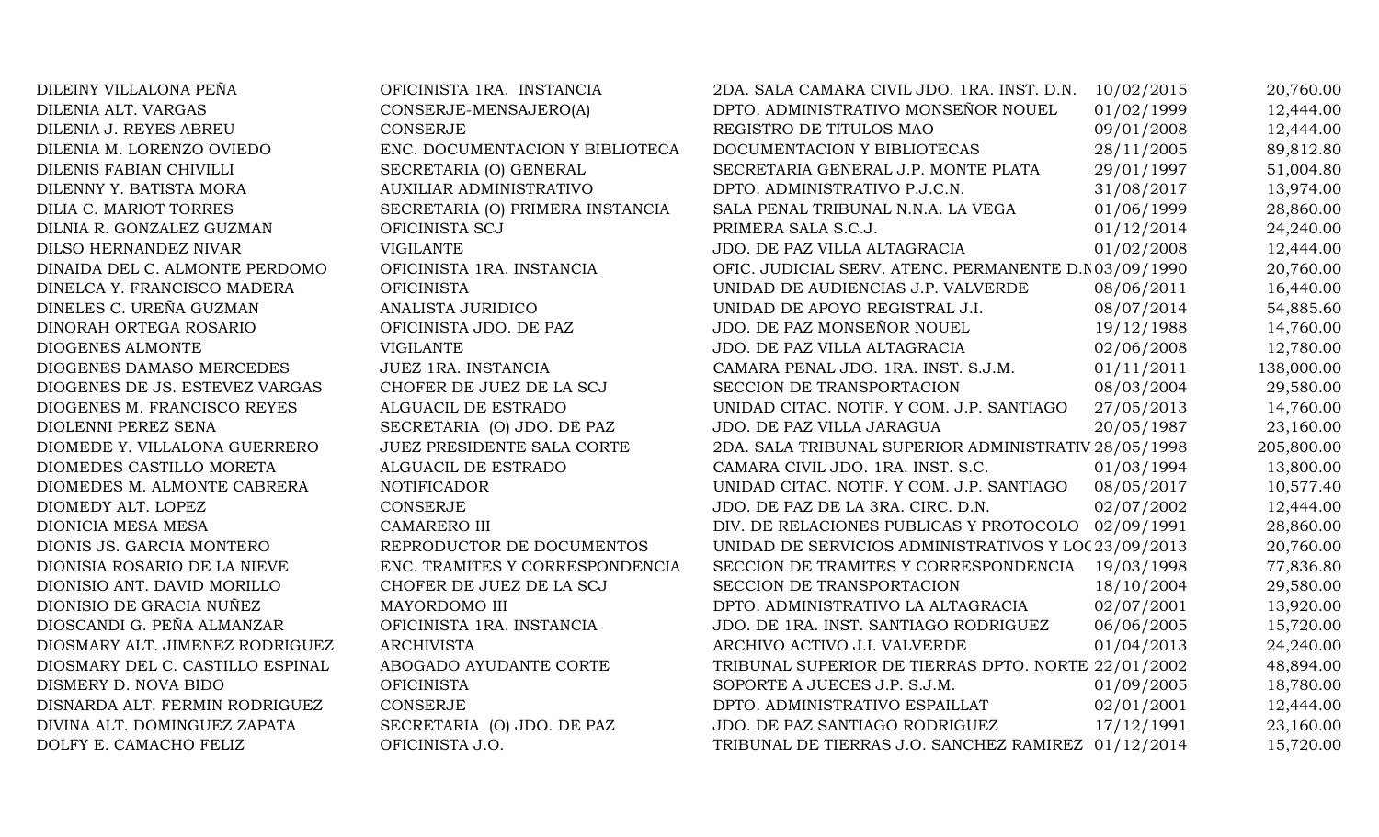| DILEINY VILLALONA PEÑA           | OFICINISTA 1RA. INSTANCIA        | 2DA. SALA CAMARA CIVIL JDO. 1RA. INST. D.N.          | 10/02/2015 | 20,760.00  |
|----------------------------------|----------------------------------|------------------------------------------------------|------------|------------|
| DILENIA ALT. VARGAS              | CONSERJE-MENSAJERO(A)            | DPTO. ADMINISTRATIVO MONSEÑOR NOUEL                  | 01/02/1999 | 12,444.00  |
| DILENIA J. REYES ABREU           | <b>CONSERJE</b>                  | REGISTRO DE TITULOS MAO                              | 09/01/2008 | 12,444.00  |
| DILENIA M. LORENZO OVIEDO        | ENC. DOCUMENTACION Y BIBLIOTECA  | DOCUMENTACION Y BIBLIOTECAS                          | 28/11/2005 | 89,812.80  |
| DILENIS FABIAN CHIVILLI          | SECRETARIA (O) GENERAL           | SECRETARIA GENERAL J.P. MONTE PLATA                  | 29/01/1997 | 51,004.80  |
| DILENNY Y. BATISTA MORA          | AUXILIAR ADMINISTRATIVO          | DPTO. ADMINISTRATIVO P.J.C.N.                        | 31/08/2017 | 13,974.00  |
| DILIA C. MARIOT TORRES           | SECRETARIA (O) PRIMERA INSTANCIA | SALA PENAL TRIBUNAL N.N.A. LA VEGA                   | 01/06/1999 | 28,860.00  |
| DILNIA R. GONZALEZ GUZMAN        | OFICINISTA SCJ                   | PRIMERA SALA S.C.J.                                  | 01/12/2014 | 24,240.00  |
| DILSO HERNANDEZ NIVAR            | <b>VIGILANTE</b>                 | JDO. DE PAZ VILLA ALTAGRACIA                         | 01/02/2008 | 12,444.00  |
| DINAIDA DEL C. ALMONTE PERDOMO   | OFICINISTA 1RA. INSTANCIA        | OFIC. JUDICIAL SERV. ATENC. PERMANENTE D.N03/09/1990 |            | 20,760.00  |
| DINELCA Y. FRANCISCO MADERA      | <b>OFICINISTA</b>                | UNIDAD DE AUDIENCIAS J.P. VALVERDE                   | 08/06/2011 | 16,440.00  |
| DINELES C. UREÑA GUZMAN          | ANALISTA JURIDICO                | UNIDAD DE APOYO REGISTRAL J.I.                       | 08/07/2014 | 54,885.60  |
| DINORAH ORTEGA ROSARIO           | OFICINISTA JDO. DE PAZ           | JDO. DE PAZ MONSEÑOR NOUEL                           | 19/12/1988 | 14,760.00  |
| DIOGENES ALMONTE                 | <b>VIGILANTE</b>                 | JDO. DE PAZ VILLA ALTAGRACIA                         | 02/06/2008 | 12,780.00  |
| DIOGENES DAMASO MERCEDES         | JUEZ 1RA. INSTANCIA              | CAMARA PENAL JDO. 1RA. INST. S.J.M.                  | 01/11/2011 | 138,000.00 |
| DIOGENES DE JS. ESTEVEZ VARGAS   | CHOFER DE JUEZ DE LA SCJ         | SECCION DE TRANSPORTACION                            | 08/03/2004 | 29,580.00  |
| DIOGENES M. FRANCISCO REYES      | ALGUACIL DE ESTRADO              | UNIDAD CITAC. NOTIF. Y COM. J.P. SANTIAGO            | 27/05/2013 | 14,760.00  |
| DIOLENNI PEREZ SENA              | SECRETARIA (O) JDO. DE PAZ       | JDO. DE PAZ VILLA JARAGUA                            | 20/05/1987 | 23,160.00  |
| DIOMEDE Y. VILLALONA GUERRERO    | JUEZ PRESIDENTE SALA CORTE       | 2DA. SALA TRIBUNAL SUPERIOR ADMINISTRATIV 28/05/1998 |            | 205,800.00 |
| DIOMEDES CASTILLO MORETA         | ALGUACIL DE ESTRADO              | CAMARA CIVIL JDO. 1RA. INST. S.C.                    | 01/03/1994 | 13,800.00  |
| DIOMEDES M. ALMONTE CABRERA      | <b>NOTIFICADOR</b>               | UNIDAD CITAC. NOTIF. Y COM. J.P. SANTIAGO            | 08/05/2017 | 10,577.40  |
| DIOMEDY ALT. LOPEZ               | <b>CONSERJE</b>                  | JDO. DE PAZ DE LA 3RA. CIRC. D.N.                    | 02/07/2002 | 12,444.00  |
| DIONICIA MESA MESA               | <b>CAMARERO III</b>              | DIV. DE RELACIONES PUBLICAS Y PROTOCOLO 02/09/1991   |            | 28,860.00  |
| DIONIS JS. GARCIA MONTERO        | REPRODUCTOR DE DOCUMENTOS        | UNIDAD DE SERVICIOS ADMINISTRATIVOS Y LOC 23/09/2013 |            | 20,760.00  |
| DIONISIA ROSARIO DE LA NIEVE     | ENC. TRAMITES Y CORRESPONDENCIA  | SECCION DE TRAMITES Y CORRESPONDENCIA 19/03/1998     |            | 77,836.80  |
| DIONISIO ANT. DAVID MORILLO      | CHOFER DE JUEZ DE LA SCJ         | SECCION DE TRANSPORTACION                            | 18/10/2004 | 29,580.00  |
| DIONISIO DE GRACIA NUÑEZ         | MAYORDOMO III                    | DPTO. ADMINISTRATIVO LA ALTAGRACIA                   | 02/07/2001 | 13,920.00  |
| DIOSCANDI G. PEÑA ALMANZAR       | OFICINISTA 1RA. INSTANCIA        | JDO. DE 1RA. INST. SANTIAGO RODRIGUEZ                | 06/06/2005 | 15,720.00  |
| DIOSMARY ALT. JIMENEZ RODRIGUEZ  | <b>ARCHIVISTA</b>                | ARCHIVO ACTIVO J.I. VALVERDE                         | 01/04/2013 | 24,240.00  |
| DIOSMARY DEL C. CASTILLO ESPINAL | ABOGADO AYUDANTE CORTE           | TRIBUNAL SUPERIOR DE TIERRAS DPTO. NORTE 22/01/2002  |            | 48,894.00  |
| DISMERY D. NOVA BIDO             | <b>OFICINISTA</b>                | SOPORTE A JUECES J.P. S.J.M.                         | 01/09/2005 | 18,780.00  |
| DISNARDA ALT. FERMIN RODRIGUEZ   | <b>CONSERJE</b>                  | DPTO. ADMINISTRATIVO ESPAILLAT                       | 02/01/2001 | 12,444.00  |
| DIVINA ALT. DOMINGUEZ ZAPATA     | SECRETARIA (O) JDO. DE PAZ       | JDO. DE PAZ SANTIAGO RODRIGUEZ                       | 17/12/1991 | 23,160.00  |
| DOLFY E. CAMACHO FELIZ           | OFICINISTA J.O.                  | TRIBUNAL DE TIERRAS J.O. SANCHEZ RAMIREZ 01/12/2014  |            | 15,720.00  |
|                                  |                                  |                                                      |            |            |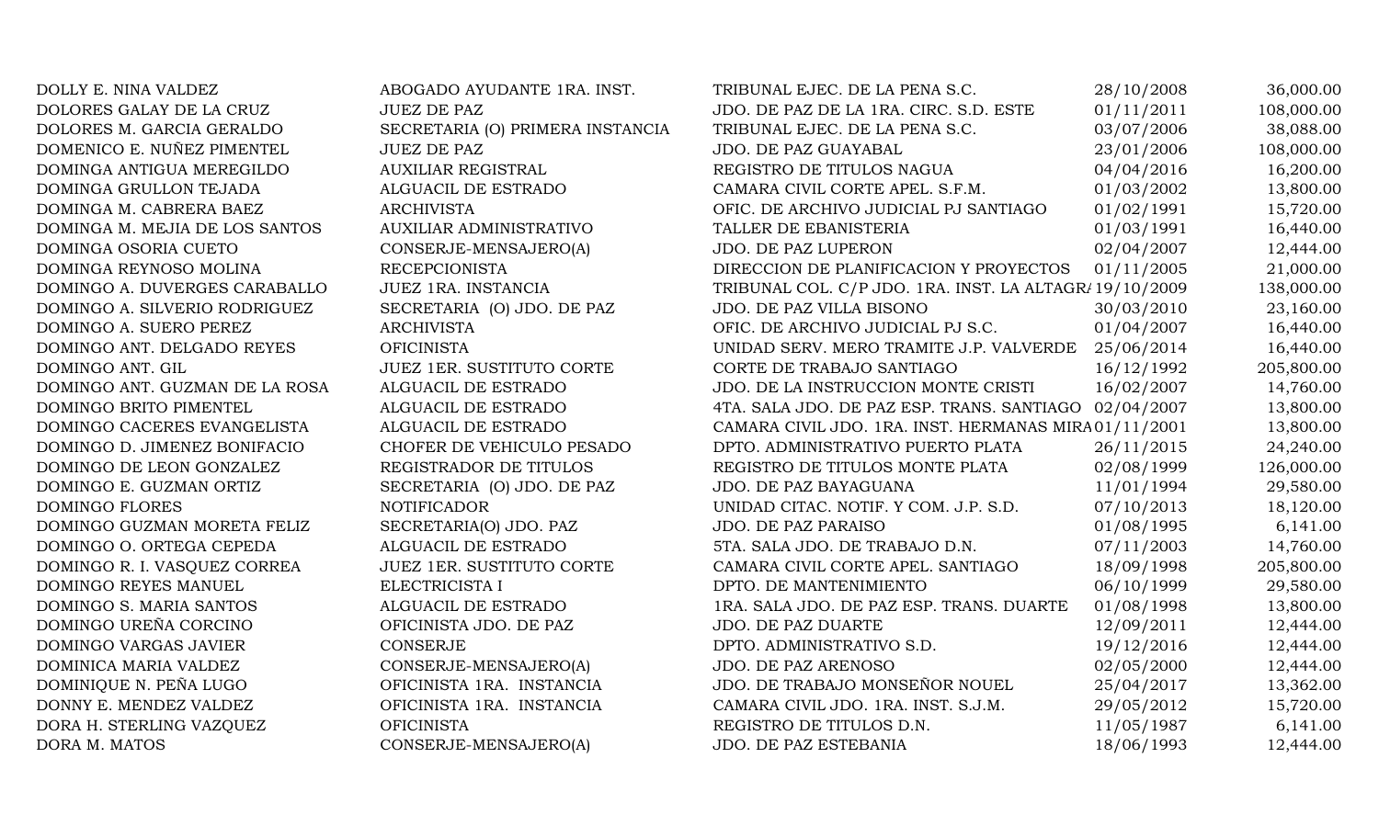| DOLLY E. NINA VALDEZ           | ABOGADO AYUDANTE 1RA. INST.      | TRIBUNAL EJEC. DE LA PENA S.C.                         | 28/10/2008 | 36,000.00  |
|--------------------------------|----------------------------------|--------------------------------------------------------|------------|------------|
| DOLORES GALAY DE LA CRUZ       | <b>JUEZ DE PAZ</b>               | JDO. DE PAZ DE LA 1RA. CIRC. S.D. ESTE                 | 01/11/2011 | 108,000.00 |
| DOLORES M. GARCIA GERALDO      | SECRETARIA (O) PRIMERA INSTANCIA | TRIBUNAL EJEC. DE LA PENA S.C.                         | 03/07/2006 | 38,088.00  |
| DOMENICO E. NUÑEZ PIMENTEL     | <b>JUEZ DE PAZ</b>               | JDO. DE PAZ GUAYABAL                                   | 23/01/2006 | 108,000.00 |
| DOMINGA ANTIGUA MEREGILDO      | <b>AUXILIAR REGISTRAL</b>        | REGISTRO DE TITULOS NAGUA                              | 04/04/2016 | 16,200.00  |
| DOMINGA GRULLON TEJADA         | ALGUACIL DE ESTRADO              | CAMARA CIVIL CORTE APEL. S.F.M.                        | 01/03/2002 | 13,800.00  |
| DOMINGA M. CABRERA BAEZ        | <b>ARCHIVISTA</b>                | OFIC. DE ARCHIVO JUDICIAL PJ SANTIAGO                  | 01/02/1991 | 15,720.00  |
| DOMINGA M. MEJIA DE LOS SANTOS | <b>AUXILIAR ADMINISTRATIVO</b>   | TALLER DE EBANISTERIA                                  | 01/03/1991 | 16,440.00  |
| DOMINGA OSORIA CUETO           | CONSERJE-MENSAJERO(A)            | <b>JDO. DE PAZ LUPERON</b>                             | 02/04/2007 | 12,444.00  |
| DOMINGA REYNOSO MOLINA         | <b>RECEPCIONISTA</b>             | DIRECCION DE PLANIFICACION Y PROYECTOS                 | 01/11/2005 | 21,000.00  |
| DOMINGO A. DUVERGES CARABALLO  | JUEZ 1RA. INSTANCIA              | TRIBUNAL COL. C/P JDO. 1RA. INST. LA ALTAGR/19/10/2009 |            | 138,000.00 |
| DOMINGO A. SILVERIO RODRIGUEZ  | SECRETARIA (O) JDO. DE PAZ       | JDO. DE PAZ VILLA BISONO                               | 30/03/2010 | 23,160.00  |
| DOMINGO A. SUERO PEREZ         | <b>ARCHIVISTA</b>                | OFIC. DE ARCHIVO JUDICIAL PJ S.C.                      | 01/04/2007 | 16,440.00  |
| DOMINGO ANT. DELGADO REYES     | <b>OFICINISTA</b>                | UNIDAD SERV. MERO TRAMITE J.P. VALVERDE                | 25/06/2014 | 16,440.00  |
| DOMINGO ANT. GIL               | <b>JUEZ 1ER. SUSTITUTO CORTE</b> | CORTE DE TRABAJO SANTIAGO                              | 16/12/1992 | 205,800.00 |
| DOMINGO ANT. GUZMAN DE LA ROSA | ALGUACIL DE ESTRADO              | JDO. DE LA INSTRUCCION MONTE CRISTI                    | 16/02/2007 | 14,760.00  |
| DOMINGO BRITO PIMENTEL         | ALGUACIL DE ESTRADO              | 4TA. SALA JDO. DE PAZ ESP. TRANS. SANTIAGO 02/04/2007  |            | 13,800.00  |
| DOMINGO CACERES EVANGELISTA    | ALGUACIL DE ESTRADO              | CAMARA CIVIL JDO. 1RA. INST. HERMANAS MIRA01/11/2001   |            | 13,800.00  |
| DOMINGO D. JIMENEZ BONIFACIO   | CHOFER DE VEHICULO PESADO        | DPTO. ADMINISTRATIVO PUERTO PLATA                      | 26/11/2015 | 24,240.00  |
| DOMINGO DE LEON GONZALEZ       | REGISTRADOR DE TITULOS           | REGISTRO DE TITULOS MONTE PLATA                        | 02/08/1999 | 126,000.00 |
| DOMINGO E. GUZMAN ORTIZ        | SECRETARIA (O) JDO. DE PAZ       | JDO. DE PAZ BAYAGUANA                                  | 11/01/1994 | 29,580.00  |
| DOMINGO FLORES                 | <b>NOTIFICADOR</b>               | UNIDAD CITAC. NOTIF. Y COM. J.P. S.D.                  | 07/10/2013 | 18,120.00  |
| DOMINGO GUZMAN MORETA FELIZ    | SECRETARIA(O) JDO. PAZ           | <b>JDO. DE PAZ PARAISO</b>                             | 01/08/1995 | 6,141.00   |
| DOMINGO O. ORTEGA CEPEDA       | ALGUACIL DE ESTRADO              | 5TA. SALA JDO. DE TRABAJO D.N.                         | 07/11/2003 | 14,760.00  |
| DOMINGO R. I. VASQUEZ CORREA   | JUEZ 1ER. SUSTITUTO CORTE        | CAMARA CIVIL CORTE APEL. SANTIAGO                      | 18/09/1998 | 205,800.00 |
| DOMINGO REYES MANUEL           | ELECTRICISTA I                   | DPTO. DE MANTENIMIENTO                                 | 06/10/1999 | 29,580.00  |
| DOMINGO S. MARIA SANTOS        | ALGUACIL DE ESTRADO              | 1RA. SALA JDO. DE PAZ ESP. TRANS. DUARTE               | 01/08/1998 | 13,800.00  |
| DOMINGO UREÑA CORCINO          | OFICINISTA JDO. DE PAZ           | <b>JDO. DE PAZ DUARTE</b>                              | 12/09/2011 | 12,444.00  |
| DOMINGO VARGAS JAVIER          | CONSERJE                         | DPTO. ADMINISTRATIVO S.D.                              | 19/12/2016 | 12,444.00  |
| DOMINICA MARIA VALDEZ          | CONSERJE-MENSAJERO(A)            | JDO. DE PAZ ARENOSO                                    | 02/05/2000 | 12,444.00  |
| DOMINIQUE N. PEÑA LUGO         | OFICINISTA 1RA. INSTANCIA        | JDO. DE TRABAJO MONSEÑOR NOUEL                         | 25/04/2017 | 13,362.00  |
| DONNY E. MENDEZ VALDEZ         | OFICINISTA 1RA. INSTANCIA        | CAMARA CIVIL JDO. 1RA. INST. S.J.M.                    | 29/05/2012 | 15,720.00  |
| DORA H. STERLING VAZQUEZ       | <b>OFICINISTA</b>                | REGISTRO DE TITULOS D.N.                               | 11/05/1987 | 6,141.00   |
| DORA M. MATOS                  | CONSERJE-MENSAJERO(A)            | JDO. DE PAZ ESTEBANIA                                  | 18/06/1993 | 12,444.00  |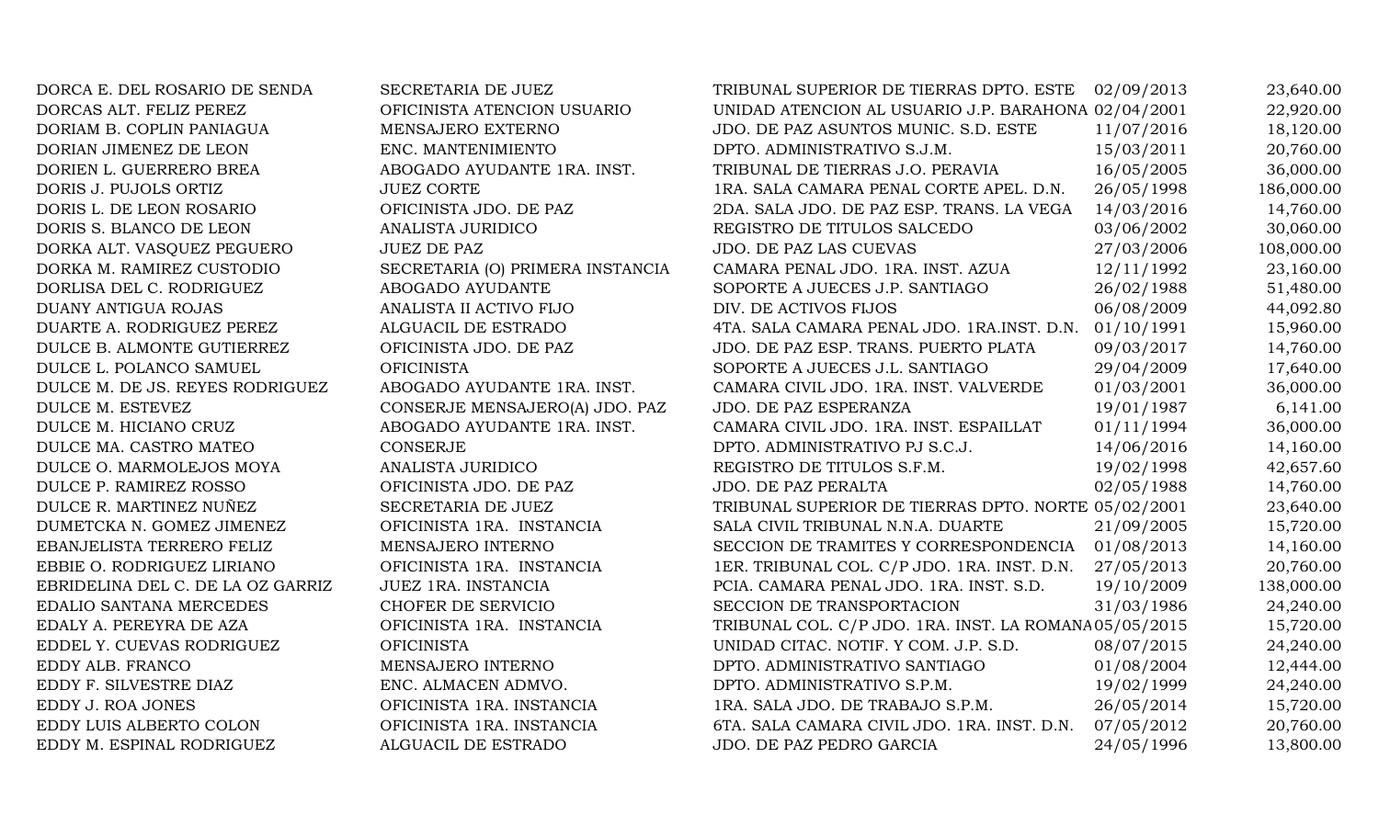DORCA E. DEL ROSARIO DE SENDA SECRETARIA DE JUEZ DORCAS ALT. FELIZ PEREZ OFICINISTA ATENCION USUARIO DORIAM B. COPLIN PANIAGUA MENSAJERO EXTERNO DORIAN JIMENEZ DE LEON ENC. MANTENIMIENTO DORIEN L. GUERRERO BREA ABOGADO AYUDANTE 1RA. INST. DORIS J. PUJOLS ORTIZ JUEZ CORTE DORIS L. DE LEON ROSARIO OFICINISTA JDO. DE PAZ DORIS S. BLANCO DE LEON ANALISTA JURIDICO DORKA ALT. VASQUEZ PEGUERO JUEZ DE PAZ DORKA M. RAMIREZ CUSTODIO SECRETARIA (O) PRIMERA INSTANCIA DORLISA DEL C. RODRIGUEZ ABOGADO AYUDANTE DUANY ANTIGUA ROJAS ANALISTA II ACTIVO FIJO DUARTE A. RODRIGUEZ PEREZ ALGUACIL DE ESTRADO DULCE B. ALMONTE GUTIERREZ OFICINISTA JDO. DE PAZ DULCE L. POLANCO SAMUEL OFICINISTA DULCE M. DE JS. REYES RODRIGUEZ ABOGADO AYUDANTE 1RA. INST. DULCE M. ESTEVEZ CONSERJE MENSAJERO(A) JDO. PAZ DULCE M. HICIANO CRUZ ABOGADO AYUDANTE 1RA. INST. DULCE MA. CASTRO MATEO CONSERJE DULCE O. MARMOLEJOS MOYA ANALISTA JURIDICO DULCE P. RAMIREZ ROSSO OFICINISTA JDO. DE PAZ DULCE R. MARTINEZ NUÑEZ SECRETARIA DE JUEZ DUMETCKA N. GOMEZ JIMENEZ OFICINISTA 1RA. INSTANCIA EBANJELISTA TERRERO FELIZ MENSAJERO INTERNO EBBIE O. RODRIGUEZ LIRIANO **OFICINISTA 1RA. INSTANCIA** EBRIDELINA DEL C. DE LA OZ GARRIZ JUEZ 1RA. INSTANCIA EDALIO SANTANA MERCEDES CHOFER DE SERVICIO EDALY A. PEREYRA DE AZA OFICINISTA 1RA. INSTANCIA EDDEL Y. CUEVAS RODRIGUEZ OFICINISTA EDDY ALB. FRANCO MENSAJERO INTERNO EDDY F. SILVESTRE DIAZ ENC. ALMACEN ADMVO. EDDY J. ROA JONES OFICINISTA 1RA. INSTANCIA EDDY LUIS ALBERTO COLON OFICINISTA 1RA. INSTANCIA EDDY M. ESPINAL RODRIGUEZ ALGUACIL DE ESTRADO

| TRIBUNAL SUPERIOR DE TIERRAS DPTO. ESTE                | 02/09/2013 | 23,640.00  |
|--------------------------------------------------------|------------|------------|
| UNIDAD ATENCION AL USUARIO J.P. BARAHONA 02/04/2001    |            | 22,920.00  |
| JDO. DE PAZ ASUNTOS MUNIC. S.D. ESTE                   | 11/07/2016 | 18,120.00  |
| DPTO. ADMINISTRATIVO S.J.M.                            | 15/03/2011 | 20,760.00  |
| TRIBUNAL DE TIERRAS J.O. PERAVIA                       | 16/05/2005 | 36,000.00  |
| 1RA. SALA CAMARA PENAL CORTE APEL. D.N.                | 26/05/1998 | 186,000.00 |
| 2DA. SALA JDO. DE PAZ ESP. TRANS. LA VEGA              | 14/03/2016 | 14,760.00  |
| REGISTRO DE TITULOS SALCEDO                            | 03/06/2002 | 30,060.00  |
| JDO. DE PAZ LAS CUEVAS                                 | 27/03/2006 | 108,000.00 |
| CAMARA PENAL JDO. 1RA. INST. AZUA                      | 12/11/1992 | 23,160.00  |
| SOPORTE A JUECES J.P. SANTIAGO                         | 26/02/1988 | 51,480.00  |
| DIV. DE ACTIVOS FIJOS                                  | 06/08/2009 | 44,092.80  |
| 4TA. SALA CAMARA PENAL JDO. 1RA.INST. D.N.             | 01/10/1991 | 15,960.00  |
| JDO. DE PAZ ESP. TRANS. PUERTO PLATA                   | 09/03/2017 | 14,760.00  |
| SOPORTE A JUECES J.L. SANTIAGO                         | 29/04/2009 | 17,640.00  |
| CAMARA CIVIL JDO. 1RA. INST. VALVERDE                  | 01/03/2001 | 36,000.00  |
| JDO. DE PAZ ESPERANZA                                  | 19/01/1987 | 6,141.00   |
| CAMARA CIVIL JDO. 1RA. INST. ESPAILLAT                 | 01/11/1994 | 36,000.00  |
| DPTO. ADMINISTRATIVO PJ S.C.J.                         | 14/06/2016 | 14,160.00  |
| REGISTRO DE TITULOS S.F.M.                             | 19/02/1998 | 42,657.60  |
| JDO. DE PAZ PERALTA                                    | 02/05/1988 | 14,760.00  |
| TRIBUNAL SUPERIOR DE TIERRAS DPTO. NORTE 05/02/2001    |            | 23,640.00  |
| SALA CIVIL TRIBUNAL N.N.A. DUARTE                      | 21/09/2005 | 15,720.00  |
| SECCION DE TRAMITES Y CORRESPONDENCIA                  | 01/08/2013 | 14,160.00  |
| 1ER. TRIBUNAL COL. C/P JDO. 1RA. INST. D.N.            | 27/05/2013 | 20,760.00  |
| PCIA. CAMARA PENAL JDO. 1RA. INST. S.D.                | 19/10/2009 | 138,000.00 |
| SECCION DE TRANSPORTACION                              | 31/03/1986 | 24,240.00  |
| TRIBUNAL COL. C/P JDO. 1RA. INST. LA ROMANA 05/05/2015 |            | 15,720.00  |
| UNIDAD CITAC. NOTIF. Y COM. J.P. S.D.                  | 08/07/2015 | 24,240.00  |
| DPTO. ADMINISTRATIVO SANTIAGO                          | 01/08/2004 | 12,444.00  |
| DPTO. ADMINISTRATIVO S.P.M.                            | 19/02/1999 | 24,240.00  |
| 1RA. SALA JDO. DE TRABAJO S.P.M.                       | 26/05/2014 | 15,720.00  |
| 6TA. SALA CAMARA CIVIL JDO. 1RA. INST. D.N.            | 07/05/2012 | 20,760.00  |
| JDO. DE PAZ PEDRO GARCIA                               | 24/05/1996 | 13,800.00  |
|                                                        |            |            |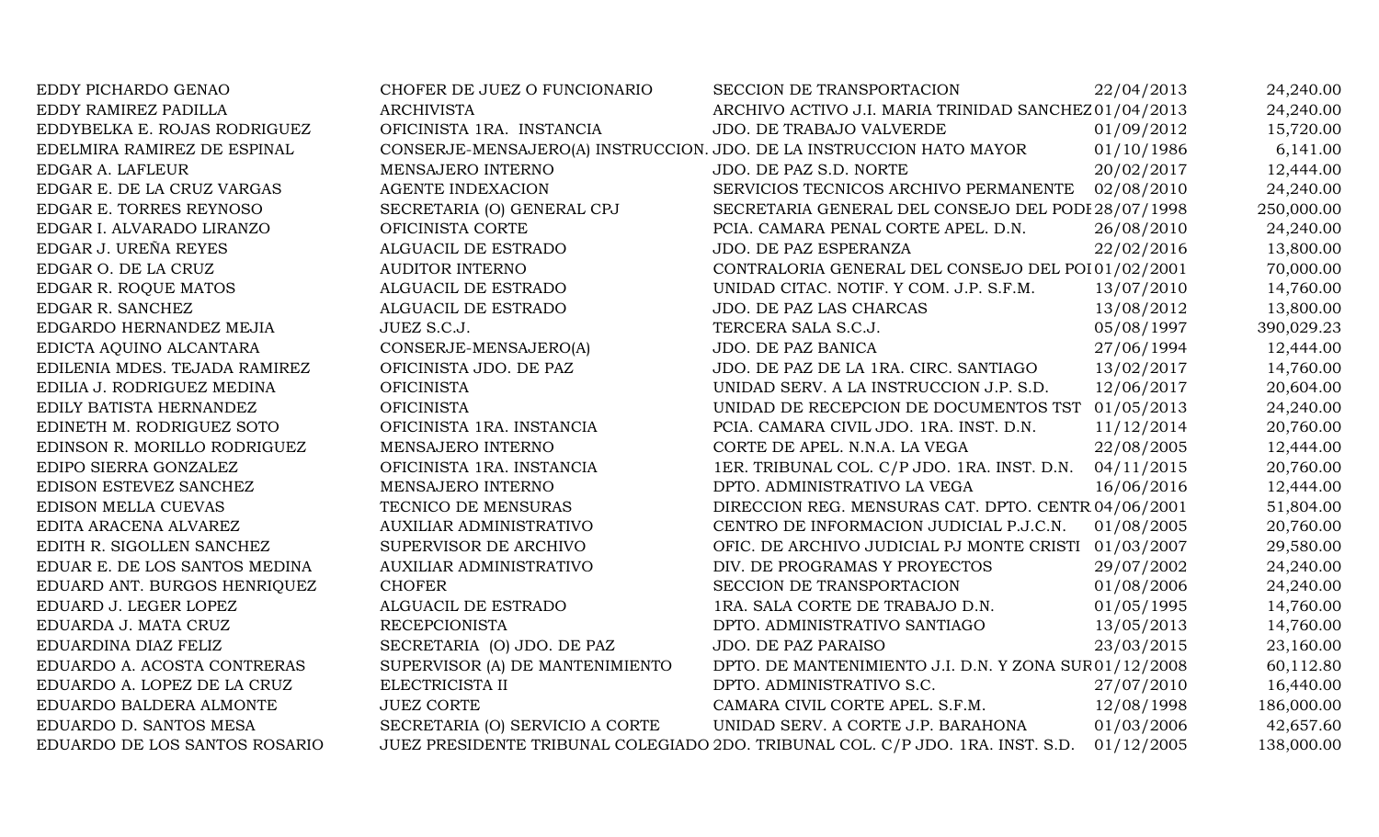| EDDY PICHARDO GENAO           | CHOFER DE JUEZ O FUNCIONARIO                                         | SECCION DE TRANSPORTACION                                                      | 22/04/2013 | 24,240.00  |
|-------------------------------|----------------------------------------------------------------------|--------------------------------------------------------------------------------|------------|------------|
| EDDY RAMIREZ PADILLA          | <b>ARCHIVISTA</b>                                                    | ARCHIVO ACTIVO J.I. MARIA TRINIDAD SANCHEZ 01/04/2013                          |            | 24,240.00  |
| EDDYBELKA E. ROJAS RODRIGUEZ  | OFICINISTA 1RA. INSTANCIA                                            | JDO. DE TRABAJO VALVERDE                                                       | 01/09/2012 | 15,720.00  |
| EDELMIRA RAMIREZ DE ESPINAL   | CONSERJE-MENSAJERO(A) INSTRUCCION. JDO. DE LA INSTRUCCION HATO MAYOR |                                                                                | 01/10/1986 | 6,141.00   |
| EDGAR A. LAFLEUR              | MENSAJERO INTERNO                                                    | JDO. DE PAZ S.D. NORTE                                                         | 20/02/2017 | 12,444.00  |
| EDGAR E. DE LA CRUZ VARGAS    | <b>AGENTE INDEXACION</b>                                             | SERVICIOS TECNICOS ARCHIVO PERMANENTE 02/08/2010                               |            | 24,240.00  |
| EDGAR E. TORRES REYNOSO       | SECRETARIA (O) GENERAL CPJ                                           | SECRETARIA GENERAL DEL CONSEJO DEL PODI 28/07/1998                             |            | 250,000.00 |
| EDGAR I. ALVARADO LIRANZO     | OFICINISTA CORTE                                                     | PCIA. CAMARA PENAL CORTE APEL. D.N.                                            | 26/08/2010 | 24,240.00  |
| EDGAR J. UREÑA REYES          | ALGUACIL DE ESTRADO                                                  | JDO. DE PAZ ESPERANZA                                                          | 22/02/2016 | 13,800.00  |
| EDGAR O. DE LA CRUZ           | <b>AUDITOR INTERNO</b>                                               | CONTRALORIA GENERAL DEL CONSEJO DEL POI 01/02/2001                             |            | 70,000.00  |
| EDGAR R. ROQUE MATOS          | ALGUACIL DE ESTRADO                                                  | UNIDAD CITAC. NOTIF. Y COM. J.P. S.F.M.                                        | 13/07/2010 | 14,760.00  |
| EDGAR R. SANCHEZ              | ALGUACIL DE ESTRADO                                                  | JDO. DE PAZ LAS CHARCAS                                                        | 13/08/2012 | 13,800.00  |
| EDGARDO HERNANDEZ MEJIA       | JUEZ S.C.J.                                                          | TERCERA SALA S.C.J.                                                            | 05/08/1997 | 390,029.23 |
| EDICTA AQUINO ALCANTARA       | CONSERJE-MENSAJERO(A)                                                | JDO. DE PAZ BANICA                                                             | 27/06/1994 | 12,444.00  |
| EDILENIA MDES. TEJADA RAMIREZ | OFICINISTA JDO. DE PAZ                                               | JDO. DE PAZ DE LA 1RA. CIRC. SANTIAGO                                          | 13/02/2017 | 14,760.00  |
| EDILIA J. RODRIGUEZ MEDINA    | <b>OFICINISTA</b>                                                    | UNIDAD SERV. A LA INSTRUCCION J.P. S.D.                                        | 12/06/2017 | 20,604.00  |
| EDILY BATISTA HERNANDEZ       | <b>OFICINISTA</b>                                                    | UNIDAD DE RECEPCION DE DOCUMENTOS TST 01/05/2013                               |            | 24,240.00  |
| EDINETH M. RODRIGUEZ SOTO     | OFICINISTA 1RA. INSTANCIA                                            | PCIA. CAMARA CIVIL JDO. 1RA. INST. D.N.                                        | 11/12/2014 | 20,760.00  |
| EDINSON R. MORILLO RODRIGUEZ  | MENSAJERO INTERNO                                                    | CORTE DE APEL. N.N.A. LA VEGA                                                  | 22/08/2005 | 12,444.00  |
| EDIPO SIERRA GONZALEZ         | OFICINISTA 1RA. INSTANCIA                                            | 1ER. TRIBUNAL COL. C/P JDO. 1RA. INST. D.N.                                    | 04/11/2015 | 20,760.00  |
| EDISON ESTEVEZ SANCHEZ        | MENSAJERO INTERNO                                                    | DPTO. ADMINISTRATIVO LA VEGA                                                   | 16/06/2016 | 12,444.00  |
| EDISON MELLA CUEVAS           | TECNICO DE MENSURAS                                                  | DIRECCION REG. MENSURAS CAT. DPTO. CENTR 04/06/2001                            |            | 51,804.00  |
| EDITA ARACENA ALVAREZ         | AUXILIAR ADMINISTRATIVO                                              | CENTRO DE INFORMACION JUDICIAL P.J.C.N.                                        | 01/08/2005 | 20,760.00  |
| EDITH R. SIGOLLEN SANCHEZ     | SUPERVISOR DE ARCHIVO                                                | OFIC. DE ARCHIVO JUDICIAL PJ MONTE CRISTI 01/03/2007                           |            | 29,580.00  |
| EDUAR E. DE LOS SANTOS MEDINA | AUXILIAR ADMINISTRATIVO                                              | DIV. DE PROGRAMAS Y PROYECTOS                                                  | 29/07/2002 | 24,240.00  |
| EDUARD ANT. BURGOS HENRIQUEZ  | <b>CHOFER</b>                                                        | SECCION DE TRANSPORTACION                                                      | 01/08/2006 | 24,240.00  |
| EDUARD J. LEGER LOPEZ         | ALGUACIL DE ESTRADO                                                  | 1RA. SALA CORTE DE TRABAJO D.N.                                                | 01/05/1995 | 14,760.00  |
| EDUARDA J. MATA CRUZ          | <b>RECEPCIONISTA</b>                                                 | DPTO. ADMINISTRATIVO SANTIAGO                                                  | 13/05/2013 | 14,760.00  |
| EDUARDINA DIAZ FELIZ          | SECRETARIA (O) JDO. DE PAZ                                           | JDO. DE PAZ PARAISO                                                            | 23/03/2015 | 23,160.00  |
| EDUARDO A. ACOSTA CONTRERAS   | SUPERVISOR (A) DE MANTENIMIENTO                                      | DPTO. DE MANTENIMIENTO J.I. D.N. Y ZONA SUR01/12/2008                          |            | 60,112.80  |
| EDUARDO A. LOPEZ DE LA CRUZ   | ELECTRICISTA II                                                      | DPTO. ADMINISTRATIVO S.C.                                                      | 27/07/2010 | 16,440.00  |
| EDUARDO BALDERA ALMONTE       | <b>JUEZ CORTE</b>                                                    | CAMARA CIVIL CORTE APEL. S.F.M.                                                | 12/08/1998 | 186,000.00 |
| EDUARDO D. SANTOS MESA        | SECRETARIA (O) SERVICIO A CORTE                                      | UNIDAD SERV. A CORTE J.P. BARAHONA                                             | 01/03/2006 | 42,657.60  |
| EDUARDO DE LOS SANTOS ROSARIO |                                                                      | JUEZ PRESIDENTE TRIBUNAL COLEGIADO 2DO. TRIBUNAL COL. C/P JDO. 1RA. INST. S.D. | 01/12/2005 | 138,000.00 |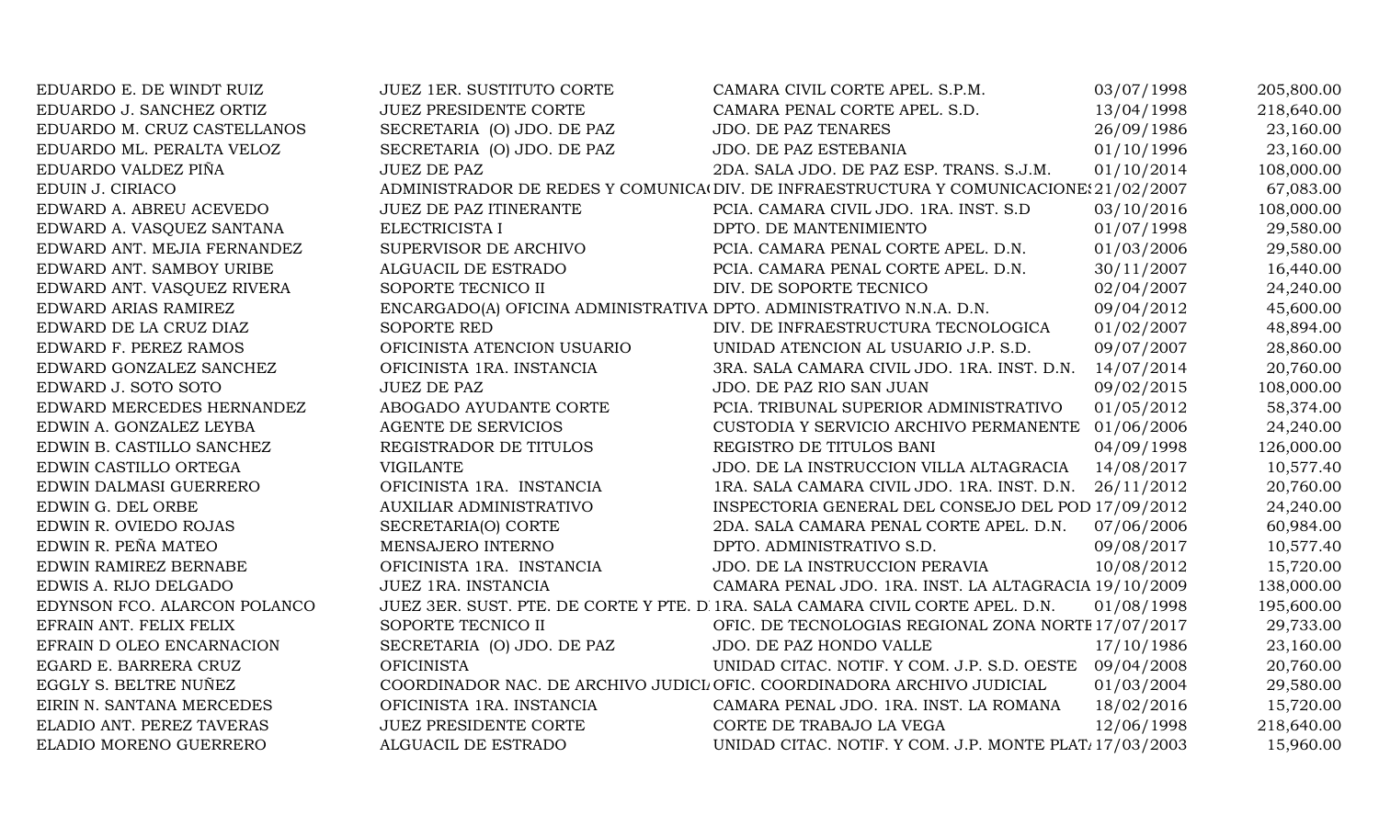| EDUARDO E. DE WINDT RUIZ     | <b>JUEZ 1ER. SUSTITUTO CORTE</b>                                     | CAMARA CIVIL CORTE APEL. S.P.M.                                                       | 03/07/1998 | 205,800.00 |
|------------------------------|----------------------------------------------------------------------|---------------------------------------------------------------------------------------|------------|------------|
| EDUARDO J. SANCHEZ ORTIZ     | <b>JUEZ PRESIDENTE CORTE</b>                                         | CAMARA PENAL CORTE APEL. S.D.                                                         | 13/04/1998 | 218,640.00 |
| EDUARDO M. CRUZ CASTELLANOS  | SECRETARIA (O) JDO. DE PAZ                                           | <b>JDO. DE PAZ TENARES</b>                                                            | 26/09/1986 | 23,160.00  |
| EDUARDO ML. PERALTA VELOZ    | SECRETARIA (O) JDO. DE PAZ                                           | JDO. DE PAZ ESTEBANIA                                                                 | 01/10/1996 | 23,160.00  |
| EDUARDO VALDEZ PIÑA          | <b>JUEZ DE PAZ</b>                                                   | 2DA. SALA JDO. DE PAZ ESP. TRANS. S.J.M.                                              | 01/10/2014 | 108,000.00 |
| EDUIN J. CIRIACO             |                                                                      | ADMINISTRADOR DE REDES Y COMUNICA(DIV. DE INFRAESTRUCTURA Y COMUNICACIONE: 21/02/2007 |            | 67,083.00  |
| EDWARD A. ABREU ACEVEDO      | <b>JUEZ DE PAZ ITINERANTE</b>                                        | PCIA. CAMARA CIVIL JDO. 1RA. INST. S.D                                                | 03/10/2016 | 108,000.00 |
| EDWARD A. VASQUEZ SANTANA    | ELECTRICISTA I                                                       | DPTO. DE MANTENIMIENTO                                                                | 01/07/1998 | 29,580.00  |
| EDWARD ANT. MEJIA FERNANDEZ  | SUPERVISOR DE ARCHIVO                                                | PCIA. CAMARA PENAL CORTE APEL. D.N.                                                   | 01/03/2006 | 29,580.00  |
| EDWARD ANT. SAMBOY URIBE     | ALGUACIL DE ESTRADO                                                  | PCIA. CAMARA PENAL CORTE APEL. D.N.                                                   | 30/11/2007 | 16,440.00  |
| EDWARD ANT. VASQUEZ RIVERA   | SOPORTE TECNICO II                                                   | DIV. DE SOPORTE TECNICO                                                               | 02/04/2007 | 24,240.00  |
| EDWARD ARIAS RAMIREZ         | ENCARGADO(A) OFICINA ADMINISTRATIVA DPTO. ADMINISTRATIVO N.N.A. D.N. |                                                                                       | 09/04/2012 | 45,600.00  |
| EDWARD DE LA CRUZ DIAZ       | SOPORTE RED                                                          | DIV. DE INFRAESTRUCTURA TECNOLOGICA                                                   | 01/02/2007 | 48,894.00  |
| EDWARD F. PEREZ RAMOS        | OFICINISTA ATENCION USUARIO                                          | UNIDAD ATENCION AL USUARIO J.P. S.D.                                                  | 09/07/2007 | 28,860.00  |
| EDWARD GONZALEZ SANCHEZ      | OFICINISTA 1RA. INSTANCIA                                            | 3RA. SALA CAMARA CIVIL JDO. 1RA. INST. D.N.                                           | 14/07/2014 | 20,760.00  |
| EDWARD J. SOTO SOTO          | <b>JUEZ DE PAZ</b>                                                   | JDO. DE PAZ RIO SAN JUAN                                                              | 09/02/2015 | 108,000.00 |
| EDWARD MERCEDES HERNANDEZ    | ABOGADO AYUDANTE CORTE                                               | PCIA. TRIBUNAL SUPERIOR ADMINISTRATIVO                                                | 01/05/2012 | 58,374.00  |
| EDWIN A. GONZALEZ LEYBA      | AGENTE DE SERVICIOS                                                  | CUSTODIA Y SERVICIO ARCHIVO PERMANENTE                                                | 01/06/2006 | 24,240.00  |
| EDWIN B. CASTILLO SANCHEZ    | REGISTRADOR DE TITULOS                                               | REGISTRO DE TITULOS BANI                                                              | 04/09/1998 | 126,000.00 |
| EDWIN CASTILLO ORTEGA        | <b>VIGILANTE</b>                                                     | JDO. DE LA INSTRUCCION VILLA ALTAGRACIA                                               | 14/08/2017 | 10,577.40  |
| EDWIN DALMASI GUERRERO       | OFICINISTA 1RA. INSTANCIA                                            | 1RA. SALA CAMARA CIVIL JDO. 1RA. INST. D.N.                                           | 26/11/2012 | 20,760.00  |
| EDWIN G. DEL ORBE            | <b>AUXILIAR ADMINISTRATIVO</b>                                       | INSPECTORIA GENERAL DEL CONSEJO DEL POD 17/09/2012                                    |            | 24,240.00  |
| EDWIN R. OVIEDO ROJAS        | SECRETARIA(O) CORTE                                                  | 2DA. SALA CAMARA PENAL CORTE APEL. D.N.                                               | 07/06/2006 | 60,984.00  |
| EDWIN R. PEÑA MATEO          | MENSAJERO INTERNO                                                    | DPTO. ADMINISTRATIVO S.D.                                                             | 09/08/2017 | 10,577.40  |
| EDWIN RAMIREZ BERNABE        | OFICINISTA 1RA. INSTANCIA                                            | JDO. DE LA INSTRUCCION PERAVIA                                                        | 10/08/2012 | 15,720.00  |
| EDWIS A. RIJO DELGADO        | JUEZ 1RA. INSTANCIA                                                  | CAMARA PENAL JDO. 1RA. INST. LA ALTAGRACIA 19/10/2009                                 |            | 138,000.00 |
| EDYNSON FCO. ALARCON POLANCO |                                                                      | JUEZ 3ER. SUST. PTE. DE CORTE Y PTE. D 1RA. SALA CAMARA CIVIL CORTE APEL. D.N.        | 01/08/1998 | 195,600.00 |
| EFRAIN ANT. FELIX FELIX      | SOPORTE TECNICO II                                                   | OFIC. DE TECNOLOGIAS REGIONAL ZONA NORTE 17/07/2017                                   |            | 29,733.00  |
| EFRAIN D OLEO ENCARNACION    | SECRETARIA (O) JDO. DE PAZ                                           | JDO. DE PAZ HONDO VALLE                                                               | 17/10/1986 | 23,160.00  |
| EGARD E. BARRERA CRUZ        | <b>OFICINISTA</b>                                                    | UNIDAD CITAC. NOTIF. Y COM. J.P. S.D. OESTE                                           | 09/04/2008 | 20,760.00  |
| EGGLY S. BELTRE NUÑEZ        |                                                                      | COORDINADOR NAC. DE ARCHIVO JUDICI OFIC. COORDINADORA ARCHIVO JUDICIAL                | 01/03/2004 | 29,580.00  |
| EIRIN N. SANTANA MERCEDES    | OFICINISTA 1RA. INSTANCIA                                            | CAMARA PENAL JDO. 1RA. INST. LA ROMANA                                                | 18/02/2016 | 15,720.00  |
| ELADIO ANT. PEREZ TAVERAS    | <b>JUEZ PRESIDENTE CORTE</b>                                         | CORTE DE TRABAJO LA VEGA                                                              | 12/06/1998 | 218,640.00 |
| ELADIO MORENO GUERRERO       | ALGUACIL DE ESTRADO                                                  | UNIDAD CITAC. NOTIF. Y COM. J.P. MONTE PLAT 17/03/2003                                |            | 15,960.00  |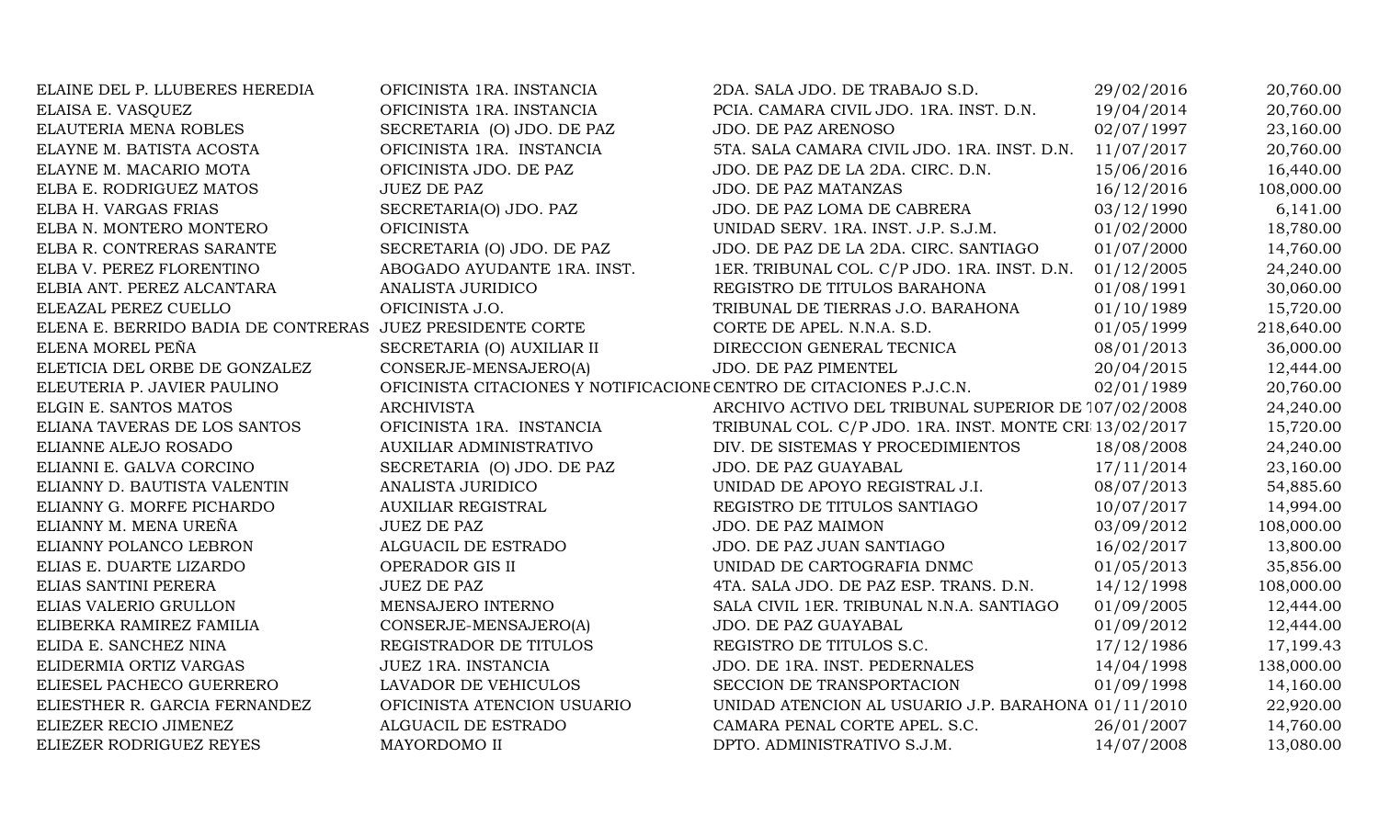| ELAINE DEL P. LLUBERES HEREDIA                            | OFICINISTA 1RA. INSTANCIA                                           | 2DA. SALA JDO. DE TRABAJO S.D.                         | 29/02/2016 | 20,760.00  |
|-----------------------------------------------------------|---------------------------------------------------------------------|--------------------------------------------------------|------------|------------|
| ELAISA E. VASQUEZ                                         | OFICINISTA 1RA. INSTANCIA                                           | PCIA. CAMARA CIVIL JDO. 1RA. INST. D.N.                | 19/04/2014 | 20,760.00  |
| ELAUTERIA MENA ROBLES                                     | SECRETARIA (O) JDO. DE PAZ                                          | JDO. DE PAZ ARENOSO                                    | 02/07/1997 | 23,160.00  |
| ELAYNE M. BATISTA ACOSTA                                  | OFICINISTA 1RA. INSTANCIA                                           | 5TA. SALA CAMARA CIVIL JDO. 1RA. INST. D.N.            | 11/07/2017 | 20,760.00  |
| ELAYNE M. MACARIO MOTA                                    | OFICINISTA JDO. DE PAZ                                              | JDO. DE PAZ DE LA 2DA. CIRC. D.N.                      | 15/06/2016 | 16,440.00  |
| ELBA E. RODRIGUEZ MATOS                                   | <b>JUEZ DE PAZ</b>                                                  | JDO. DE PAZ MATANZAS                                   | 16/12/2016 | 108,000.00 |
| ELBA H. VARGAS FRIAS                                      | SECRETARIA(O) JDO. PAZ                                              | JDO. DE PAZ LOMA DE CABRERA                            | 03/12/1990 | 6,141.00   |
| ELBA N. MONTERO MONTERO                                   | <b>OFICINISTA</b>                                                   | UNIDAD SERV. 1RA. INST. J.P. S.J.M.                    | 01/02/2000 | 18,780.00  |
| ELBA R. CONTRERAS SARANTE                                 | SECRETARIA (O) JDO. DE PAZ                                          | JDO. DE PAZ DE LA 2DA. CIRC. SANTIAGO                  | 01/07/2000 | 14,760.00  |
| ELBA V. PEREZ FLORENTINO                                  | ABOGADO AYUDANTE 1RA. INST.                                         | 1ER. TRIBUNAL COL. C/P JDO. 1RA. INST. D.N.            | 01/12/2005 | 24,240.00  |
| ELBIA ANT. PEREZ ALCANTARA                                | ANALISTA JURIDICO                                                   | REGISTRO DE TITULOS BARAHONA                           | 01/08/1991 | 30,060.00  |
| ELEAZAL PEREZ CUELLO                                      | OFICINISTA J.O.                                                     | TRIBUNAL DE TIERRAS J.O. BARAHONA                      | 01/10/1989 | 15,720.00  |
| ELENA E. BERRIDO BADIA DE CONTRERAS JUEZ PRESIDENTE CORTE |                                                                     | CORTE DE APEL. N.N.A. S.D.                             | 01/05/1999 | 218,640.00 |
| ELENA MOREL PEÑA                                          | SECRETARIA (O) AUXILIAR II                                          | DIRECCION GENERAL TECNICA                              | 08/01/2013 | 36,000.00  |
| ELETICIA DEL ORBE DE GONZALEZ                             | CONSERJE-MENSAJERO(A)                                               | JDO. DE PAZ PIMENTEL                                   | 20/04/2015 | 12,444.00  |
| ELEUTERIA P. JAVIER PAULINO                               | OFICINISTA CITACIONES Y NOTIFICACIONE CENTRO DE CITACIONES P.J.C.N. |                                                        | 02/01/1989 | 20,760.00  |
| ELGIN E. SANTOS MATOS                                     | <b>ARCHIVISTA</b>                                                   | ARCHIVO ACTIVO DEL TRIBUNAL SUPERIOR DE 107/02/2008    |            | 24,240.00  |
| ELIANA TAVERAS DE LOS SANTOS                              | OFICINISTA 1RA. INSTANCIA                                           | TRIBUNAL COL. C/P JDO. 1RA. INST. MONTE CRI 13/02/2017 |            | 15,720.00  |
| ELIANNE ALEJO ROSADO                                      | AUXILIAR ADMINISTRATIVO                                             | DIV. DE SISTEMAS Y PROCEDIMIENTOS                      | 18/08/2008 | 24,240.00  |
| ELIANNI E. GALVA CORCINO                                  | SECRETARIA (O) JDO. DE PAZ                                          | JDO. DE PAZ GUAYABAL                                   | 17/11/2014 | 23,160.00  |
| ELIANNY D. BAUTISTA VALENTIN                              | ANALISTA JURIDICO                                                   | UNIDAD DE APOYO REGISTRAL J.I.                         | 08/07/2013 | 54,885.60  |
| ELIANNY G. MORFE PICHARDO                                 | <b>AUXILIAR REGISTRAL</b>                                           | REGISTRO DE TITULOS SANTIAGO                           | 10/07/2017 | 14,994.00  |
| ELIANNY M. MENA UREÑA                                     | <b>JUEZ DE PAZ</b>                                                  | JDO. DE PAZ MAIMON                                     | 03/09/2012 | 108,000.00 |
| ELIANNY POLANCO LEBRON                                    | ALGUACIL DE ESTRADO                                                 | JDO. DE PAZ JUAN SANTIAGO                              | 16/02/2017 | 13,800.00  |
| ELIAS E. DUARTE LIZARDO                                   | OPERADOR GIS II                                                     | UNIDAD DE CARTOGRAFIA DNMC                             | 01/05/2013 | 35,856.00  |
| ELIAS SANTINI PERERA                                      | <b>JUEZ DE PAZ</b>                                                  | 4TA. SALA JDO. DE PAZ ESP. TRANS. D.N.                 | 14/12/1998 | 108,000.00 |
| ELIAS VALERIO GRULLON                                     | MENSAJERO INTERNO                                                   | SALA CIVIL 1ER. TRIBUNAL N.N.A. SANTIAGO               | 01/09/2005 | 12,444.00  |
| ELIBERKA RAMIREZ FAMILIA                                  | CONSERJE-MENSAJERO(A)                                               | JDO. DE PAZ GUAYABAL                                   | 01/09/2012 | 12,444.00  |
| ELIDA E. SANCHEZ NINA                                     | REGISTRADOR DE TITULOS                                              | REGISTRO DE TITULOS S.C.                               | 17/12/1986 | 17,199.43  |
| ELIDERMIA ORTIZ VARGAS                                    | JUEZ 1RA. INSTANCIA                                                 | JDO. DE 1RA. INST. PEDERNALES                          | 14/04/1998 | 138,000.00 |
| ELIESEL PACHECO GUERRERO                                  | LAVADOR DE VEHICULOS                                                | SECCION DE TRANSPORTACION                              | 01/09/1998 | 14,160.00  |
| ELIESTHER R. GARCIA FERNANDEZ                             | OFICINISTA ATENCION USUARIO                                         | UNIDAD ATENCION AL USUARIO J.P. BARAHONA 01/11/2010    |            | 22,920.00  |
| ELIEZER RECIO JIMENEZ                                     | ALGUACIL DE ESTRADO                                                 | CAMARA PENAL CORTE APEL. S.C.                          | 26/01/2007 | 14,760.00  |
| ELIEZER RODRIGUEZ REYES                                   | MAYORDOMO II                                                        | DPTO. ADMINISTRATIVO S.J.M.                            | 14/07/2008 | 13,080.00  |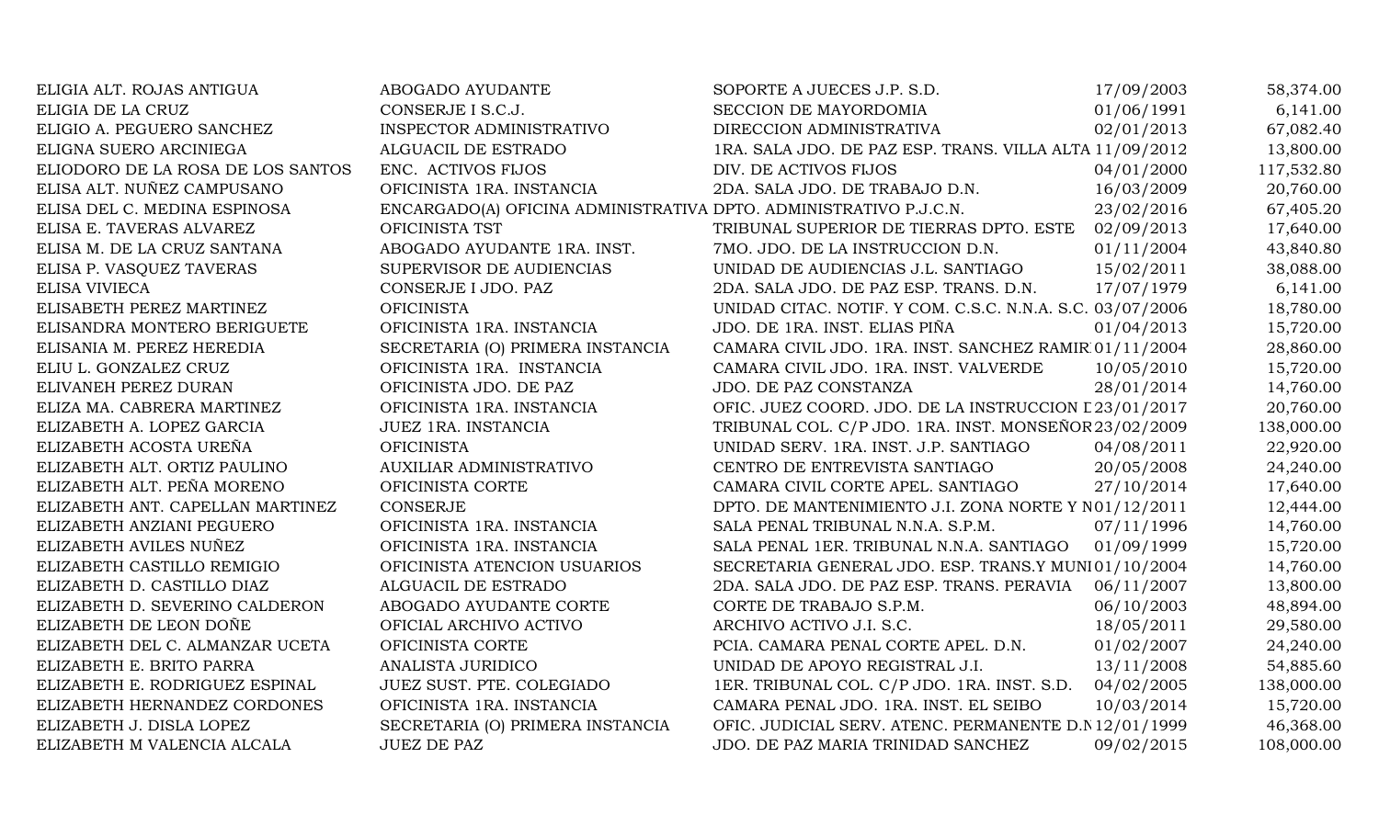| ELIGIA ALT. ROJAS ANTIGUA         | ABOGADO AYUDANTE                                                  | SOPORTE A JUECES J.P. S.D.                                | 17/09/2003 | 58,374.00  |
|-----------------------------------|-------------------------------------------------------------------|-----------------------------------------------------------|------------|------------|
| ELIGIA DE LA CRUZ                 | CONSERJE I S.C.J.                                                 | SECCION DE MAYORDOMIA                                     | 01/06/1991 | 6,141.00   |
| ELIGIO A. PEGUERO SANCHEZ         | INSPECTOR ADMINISTRATIVO                                          | DIRECCION ADMINISTRATIVA                                  | 02/01/2013 | 67,082.40  |
| ELIGNA SUERO ARCINIEGA            | ALGUACIL DE ESTRADO                                               | 1RA. SALA JDO. DE PAZ ESP. TRANS. VILLA ALTA 11/09/2012   |            | 13,800.00  |
| ELIODORO DE LA ROSA DE LOS SANTOS | ENC. ACTIVOS FIJOS                                                | DIV. DE ACTIVOS FIJOS                                     | 04/01/2000 | 117,532.80 |
| ELISA ALT. NUÑEZ CAMPUSANO        | OFICINISTA 1RA. INSTANCIA                                         | 2DA. SALA JDO. DE TRABAJO D.N.                            | 16/03/2009 | 20,760.00  |
| ELISA DEL C. MEDINA ESPINOSA      | ENCARGADO(A) OFICINA ADMINISTRATIVA DPTO. ADMINISTRATIVO P.J.C.N. |                                                           | 23/02/2016 | 67,405.20  |
| ELISA E. TAVERAS ALVAREZ          | OFICINISTA TST                                                    | TRIBUNAL SUPERIOR DE TIERRAS DPTO. ESTE                   | 02/09/2013 | 17,640.00  |
| ELISA M. DE LA CRUZ SANTANA       | ABOGADO AYUDANTE 1RA. INST.                                       | 7MO. JDO. DE LA INSTRUCCION D.N.                          | 01/11/2004 | 43,840.80  |
| ELISA P. VASQUEZ TAVERAS          | SUPERVISOR DE AUDIENCIAS                                          | UNIDAD DE AUDIENCIAS J.L. SANTIAGO                        | 15/02/2011 | 38,088.00  |
| ELISA VIVIECA                     | CONSERJE I JDO. PAZ                                               | 2DA. SALA JDO. DE PAZ ESP. TRANS. D.N.                    | 17/07/1979 | 6,141.00   |
| ELISABETH PEREZ MARTINEZ          | <b>OFICINISTA</b>                                                 | UNIDAD CITAC. NOTIF. Y COM. C.S.C. N.N.A. S.C. 03/07/2006 |            | 18,780.00  |
| ELISANDRA MONTERO BERIGUETE       | OFICINISTA 1RA. INSTANCIA                                         | JDO. DE 1RA. INST. ELIAS PIÑA                             | 01/04/2013 | 15,720.00  |
| ELISANIA M. PEREZ HEREDIA         | SECRETARIA (O) PRIMERA INSTANCIA                                  | CAMARA CIVIL JDO. 1RA. INST. SANCHEZ RAMIR 01/11/2004     |            | 28,860.00  |
| ELIU L. GONZALEZ CRUZ             | OFICINISTA 1RA. INSTANCIA                                         | CAMARA CIVIL JDO. 1RA. INST. VALVERDE                     | 10/05/2010 | 15,720.00  |
| ELIVANEH PEREZ DURAN              | OFICINISTA JDO. DE PAZ                                            | JDO. DE PAZ CONSTANZA                                     | 28/01/2014 | 14,760.00  |
| ELIZA MA. CABRERA MARTINEZ        | OFICINISTA 1RA. INSTANCIA                                         | OFIC. JUEZ COORD. JDO. DE LA INSTRUCCION L 23/01/2017     |            | 20,760.00  |
| ELIZABETH A. LOPEZ GARCIA         | JUEZ 1RA. INSTANCIA                                               | TRIBUNAL COL. C/P JDO. 1RA. INST. MONSEÑOR 23/02/2009     |            | 138,000.00 |
| ELIZABETH ACOSTA UREÑA            | <b>OFICINISTA</b>                                                 | UNIDAD SERV. 1RA. INST. J.P. SANTIAGO                     | 04/08/2011 | 22,920.00  |
| ELIZABETH ALT. ORTIZ PAULINO      | <b>AUXILIAR ADMINISTRATIVO</b>                                    | CENTRO DE ENTREVISTA SANTIAGO                             | 20/05/2008 | 24,240.00  |
| ELIZABETH ALT. PEÑA MORENO        | OFICINISTA CORTE                                                  | CAMARA CIVIL CORTE APEL. SANTIAGO                         | 27/10/2014 | 17,640.00  |
| ELIZABETH ANT. CAPELLAN MARTINEZ  | <b>CONSERJE</b>                                                   | DPTO. DE MANTENIMIENTO J.I. ZONA NORTE Y N01/12/2011      |            | 12,444.00  |
| ELIZABETH ANZIANI PEGUERO         | OFICINISTA 1RA. INSTANCIA                                         | SALA PENAL TRIBUNAL N.N.A. S.P.M.                         | 07/11/1996 | 14,760.00  |
| ELIZABETH AVILES NUÑEZ            | OFICINISTA 1RA. INSTANCIA                                         | SALA PENAL 1ER. TRIBUNAL N.N.A. SANTIAGO                  | 01/09/1999 | 15,720.00  |
| ELIZABETH CASTILLO REMIGIO        | OFICINISTA ATENCION USUARIOS                                      | SECRETARIA GENERAL JDO. ESP. TRANS.Y MUNI01/10/2004       |            | 14,760.00  |
| ELIZABETH D. CASTILLO DIAZ        | ALGUACIL DE ESTRADO                                               | 2DA. SALA JDO. DE PAZ ESP. TRANS. PERAVIA                 | 06/11/2007 | 13,800.00  |
| ELIZABETH D. SEVERINO CALDERON    | ABOGADO AYUDANTE CORTE                                            | CORTE DE TRABAJO S.P.M.                                   | 06/10/2003 | 48,894.00  |
| ELIZABETH DE LEON DOÑE            | OFICIAL ARCHIVO ACTIVO                                            | ARCHIVO ACTIVO J.I. S.C.                                  | 18/05/2011 | 29,580.00  |
| ELIZABETH DEL C. ALMANZAR UCETA   | OFICINISTA CORTE                                                  | PCIA. CAMARA PENAL CORTE APEL. D.N.                       | 01/02/2007 | 24,240.00  |
| ELIZABETH E. BRITO PARRA          | ANALISTA JURIDICO                                                 | UNIDAD DE APOYO REGISTRAL J.I.                            | 13/11/2008 | 54,885.60  |
| ELIZABETH E. RODRIGUEZ ESPINAL    | JUEZ SUST. PTE. COLEGIADO                                         | 1ER. TRIBUNAL COL. C/P JDO. 1RA. INST. S.D.               | 04/02/2005 | 138,000.00 |
| ELIZABETH HERNANDEZ CORDONES      | OFICINISTA 1RA. INSTANCIA                                         | CAMARA PENAL JDO. 1RA. INST. EL SEIBO                     | 10/03/2014 | 15,720.00  |
| ELIZABETH J. DISLA LOPEZ          | SECRETARIA (O) PRIMERA INSTANCIA                                  | OFIC. JUDICIAL SERV. ATENC. PERMANENTE D.N 12/01/1999     |            | 46,368.00  |
| ELIZABETH M VALENCIA ALCALA       | <b>JUEZ DE PAZ</b>                                                | JDO. DE PAZ MARIA TRINIDAD SANCHEZ                        | 09/02/2015 | 108,000.00 |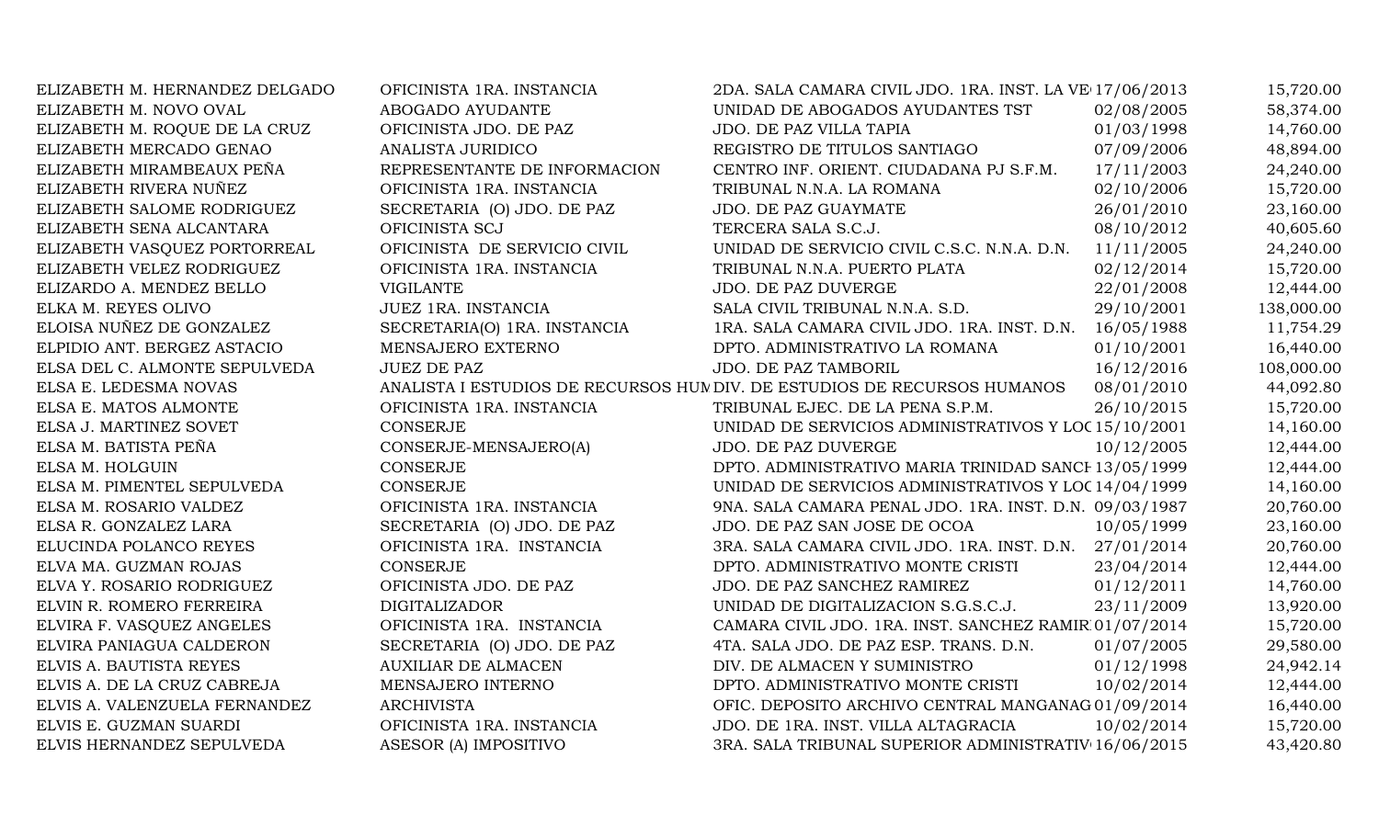| ELIZABETH M. HERNANDEZ DELGADO | OFICINISTA 1RA. INSTANCIA    | 2DA. SALA CAMARA CIVIL JDO. 1RA. INST. LA VE 17/06/2013                  |            | 15,720.00  |
|--------------------------------|------------------------------|--------------------------------------------------------------------------|------------|------------|
| ELIZABETH M. NOVO OVAL         | ABOGADO AYUDANTE             | UNIDAD DE ABOGADOS AYUDANTES TST                                         | 02/08/2005 | 58,374.00  |
| ELIZABETH M. ROQUE DE LA CRUZ  | OFICINISTA JDO. DE PAZ       | JDO. DE PAZ VILLA TAPIA                                                  | 01/03/1998 | 14,760.00  |
| ELIZABETH MERCADO GENAO        | ANALISTA JURIDICO            | REGISTRO DE TITULOS SANTIAGO                                             | 07/09/2006 | 48,894.00  |
| ELIZABETH MIRAMBEAUX PEÑA      | REPRESENTANTE DE INFORMACION | CENTRO INF. ORIENT. CIUDADANA PJ S.F.M.                                  | 17/11/2003 | 24,240.00  |
| ELIZABETH RIVERA NUÑEZ         | OFICINISTA 1RA. INSTANCIA    | TRIBUNAL N.N.A. LA ROMANA                                                | 02/10/2006 | 15,720.00  |
| ELIZABETH SALOME RODRIGUEZ     | SECRETARIA (O) JDO. DE PAZ   | JDO. DE PAZ GUAYMATE                                                     | 26/01/2010 | 23,160.00  |
| ELIZABETH SENA ALCANTARA       | OFICINISTA SCJ               | TERCERA SALA S.C.J.                                                      | 08/10/2012 | 40,605.60  |
| ELIZABETH VASQUEZ PORTORREAL   | OFICINISTA DE SERVICIO CIVIL | UNIDAD DE SERVICIO CIVIL C.S.C. N.N.A. D.N.                              | 11/11/2005 | 24,240.00  |
| ELIZABETH VELEZ RODRIGUEZ      | OFICINISTA 1RA. INSTANCIA    | TRIBUNAL N.N.A. PUERTO PLATA                                             | 02/12/2014 | 15,720.00  |
| ELIZARDO A. MENDEZ BELLO       | <b>VIGILANTE</b>             | JDO. DE PAZ DUVERGE                                                      | 22/01/2008 | 12,444.00  |
| ELKA M. REYES OLIVO            | JUEZ 1RA. INSTANCIA          | SALA CIVIL TRIBUNAL N.N.A. S.D.                                          | 29/10/2001 | 138,000.00 |
| ELOISA NUÑEZ DE GONZALEZ       | SECRETARIA(O) 1RA. INSTANCIA | 1RA. SALA CAMARA CIVIL JDO. 1RA. INST. D.N. 16/05/1988                   |            | 11,754.29  |
| ELPIDIO ANT. BERGEZ ASTACIO    | MENSAJERO EXTERNO            | DPTO. ADMINISTRATIVO LA ROMANA                                           | 01/10/2001 | 16,440.00  |
| ELSA DEL C. ALMONTE SEPULVEDA  | <b>JUEZ DE PAZ</b>           | JDO. DE PAZ TAMBORIL                                                     | 16/12/2016 | 108,000.00 |
| ELSA E. LEDESMA NOVAS          |                              | ANALISTA I ESTUDIOS DE RECURSOS HUM DIV. DE ESTUDIOS DE RECURSOS HUMANOS | 08/01/2010 | 44,092.80  |
| ELSA E. MATOS ALMONTE          | OFICINISTA 1RA. INSTANCIA    | TRIBUNAL EJEC. DE LA PENA S.P.M.                                         | 26/10/2015 | 15,720.00  |
| ELSA J. MARTINEZ SOVET         | <b>CONSERJE</b>              | UNIDAD DE SERVICIOS ADMINISTRATIVOS Y LOC 15/10/2001                     |            | 14,160.00  |
| ELSA M. BATISTA PEÑA           | CONSERJE-MENSAJERO(A)        | JDO. DE PAZ DUVERGE                                                      | 10/12/2005 | 12,444.00  |
| ELSA M. HOLGUIN                | <b>CONSERJE</b>              | DPTO. ADMINISTRATIVO MARIA TRINIDAD SANCH 13/05/1999                     |            | 12,444.00  |
| ELSA M. PIMENTEL SEPULVEDA     | <b>CONSERJE</b>              | UNIDAD DE SERVICIOS ADMINISTRATIVOS Y LOC 14/04/1999                     |            | 14,160.00  |
| ELSA M. ROSARIO VALDEZ         | OFICINISTA 1RA. INSTANCIA    | 9NA. SALA CAMARA PENAL JDO. 1RA. INST. D.N. 09/03/1987                   |            | 20,760.00  |
| ELSA R. GONZALEZ LARA          | SECRETARIA (O) JDO. DE PAZ   | JDO. DE PAZ SAN JOSE DE OCOA                                             | 10/05/1999 | 23,160.00  |
| ELUCINDA POLANCO REYES         | OFICINISTA 1RA. INSTANCIA    | 3RA. SALA CAMARA CIVIL JDO. 1RA. INST. D.N. 27/01/2014                   |            | 20,760.00  |
| ELVA MA. GUZMAN ROJAS          | CONSERJE                     | DPTO. ADMINISTRATIVO MONTE CRISTI                                        | 23/04/2014 | 12,444.00  |
| ELVA Y. ROSARIO RODRIGUEZ      | OFICINISTA JDO. DE PAZ       | JDO. DE PAZ SANCHEZ RAMIREZ                                              | 01/12/2011 | 14,760.00  |
| ELVIN R. ROMERO FERREIRA       | <b>DIGITALIZADOR</b>         | UNIDAD DE DIGITALIZACION S.G.S.C.J.                                      | 23/11/2009 | 13,920.00  |
| ELVIRA F. VASQUEZ ANGELES      | OFICINISTA 1RA. INSTANCIA    | CAMARA CIVIL JDO. 1RA. INST. SANCHEZ RAMIR 01/07/2014                    |            | 15,720.00  |
| ELVIRA PANIAGUA CALDERON       | SECRETARIA (O) JDO. DE PAZ   | 4TA. SALA JDO. DE PAZ ESP. TRANS. D.N.                                   | 01/07/2005 | 29,580.00  |
| ELVIS A. BAUTISTA REYES        | <b>AUXILIAR DE ALMACEN</b>   | DIV. DE ALMACEN Y SUMINISTRO                                             | 01/12/1998 | 24,942.14  |
| ELVIS A. DE LA CRUZ CABREJA    | MENSAJERO INTERNO            | DPTO. ADMINISTRATIVO MONTE CRISTI                                        | 10/02/2014 | 12,444.00  |
| ELVIS A. VALENZUELA FERNANDEZ  | <b>ARCHIVISTA</b>            | OFIC. DEPOSITO ARCHIVO CENTRAL MANGANAG 01/09/2014                       |            | 16,440.00  |
| ELVIS E. GUZMAN SUARDI         | OFICINISTA 1RA. INSTANCIA    | JDO. DE 1RA. INST. VILLA ALTAGRACIA                                      | 10/02/2014 | 15,720.00  |
| ELVIS HERNANDEZ SEPULVEDA      | ASESOR (A) IMPOSITIVO        | 3RA. SALA TRIBUNAL SUPERIOR ADMINISTRATIV 16/06/2015                     |            | 43,420.80  |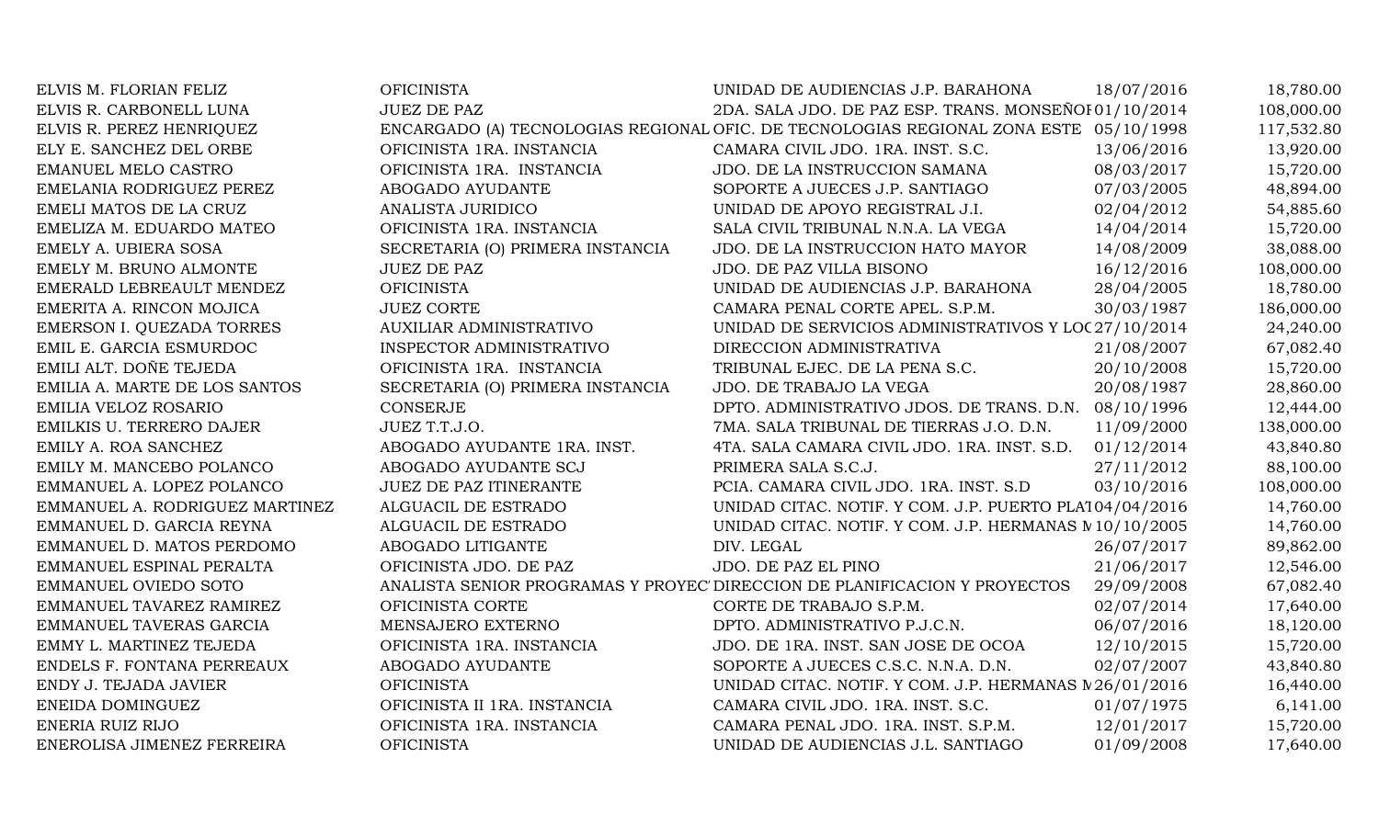| ELVIS M. FLORIAN FELIZ         | <b>OFICINISTA</b>                | UNIDAD DE AUDIENCIAS J.P. BARAHONA                                                    | 18/07/2016 | 18,780.00  |
|--------------------------------|----------------------------------|---------------------------------------------------------------------------------------|------------|------------|
| ELVIS R. CARBONELL LUNA        | <b>JUEZ DE PAZ</b>               | 2DA. SALA JDO. DE PAZ ESP. TRANS. MONSEÑOI 01/10/2014                                 |            | 108,000.00 |
| ELVIS R. PEREZ HENRIQUEZ       |                                  | ENCARGADO (A) TECNOLOGIAS REGIONAL OFIC. DE TECNOLOGIAS REGIONAL ZONA ESTE 05/10/1998 |            | 117,532.80 |
| ELY E. SANCHEZ DEL ORBE        | OFICINISTA 1RA. INSTANCIA        | CAMARA CIVIL JDO. 1RA. INST. S.C.                                                     | 13/06/2016 | 13,920.00  |
| EMANUEL MELO CASTRO            | OFICINISTA 1RA. INSTANCIA        | JDO. DE LA INSTRUCCION SAMANA                                                         | 08/03/2017 | 15,720.00  |
| EMELANIA RODRIGUEZ PEREZ       | ABOGADO AYUDANTE                 | SOPORTE A JUECES J.P. SANTIAGO                                                        | 07/03/2005 | 48,894.00  |
| EMELI MATOS DE LA CRUZ         | ANALISTA JURIDICO                | UNIDAD DE APOYO REGISTRAL J.I.                                                        | 02/04/2012 | 54,885.60  |
| EMELIZA M. EDUARDO MATEO       | OFICINISTA 1RA. INSTANCIA        | SALA CIVIL TRIBUNAL N.N.A. LA VEGA                                                    | 14/04/2014 | 15,720.00  |
| EMELY A. UBIERA SOSA           | SECRETARIA (O) PRIMERA INSTANCIA | JDO. DE LA INSTRUCCION HATO MAYOR                                                     | 14/08/2009 | 38,088.00  |
| EMELY M. BRUNO ALMONTE         | <b>JUEZ DE PAZ</b>               | JDO. DE PAZ VILLA BISONO                                                              | 16/12/2016 | 108,000.00 |
| EMERALD LEBREAULT MENDEZ       | <b>OFICINISTA</b>                | UNIDAD DE AUDIENCIAS J.P. BARAHONA                                                    | 28/04/2005 | 18,780.00  |
| EMERITA A. RINCON MOJICA       | <b>JUEZ CORTE</b>                | CAMARA PENAL CORTE APEL. S.P.M.                                                       | 30/03/1987 | 186,000.00 |
| EMERSON I. QUEZADA TORRES      | AUXILIAR ADMINISTRATIVO          | UNIDAD DE SERVICIOS ADMINISTRATIVOS Y LOC 27/10/2014                                  |            | 24,240.00  |
| EMIL E. GARCIA ESMURDOC        | INSPECTOR ADMINISTRATIVO         | DIRECCION ADMINISTRATIVA                                                              | 21/08/2007 | 67,082.40  |
| EMILI ALT. DOÑE TEJEDA         | OFICINISTA 1RA. INSTANCIA        | TRIBUNAL EJEC. DE LA PENA S.C.                                                        | 20/10/2008 | 15,720.00  |
| EMILIA A. MARTE DE LOS SANTOS  | SECRETARIA (O) PRIMERA INSTANCIA | JDO. DE TRABAJO LA VEGA                                                               | 20/08/1987 | 28,860.00  |
| EMILIA VELOZ ROSARIO           | CONSERJE                         | DPTO. ADMINISTRATIVO JDOS. DE TRANS. D.N. 08/10/1996                                  |            | 12,444.00  |
| EMILKIS U. TERRERO DAJER       | JUEZ T.T.J.O.                    | 7MA. SALA TRIBUNAL DE TIERRAS J.O. D.N.                                               | 11/09/2000 | 138,000.00 |
| EMILY A. ROA SANCHEZ           | ABOGADO AYUDANTE 1RA. INST.      | 4TA. SALA CAMARA CIVIL JDO. 1RA. INST. S.D.                                           | 01/12/2014 | 43,840.80  |
| EMILY M. MANCEBO POLANCO       | ABOGADO AYUDANTE SCJ             | PRIMERA SALA S.C.J.                                                                   | 27/11/2012 | 88,100.00  |
| EMMANUEL A. LOPEZ POLANCO      | JUEZ DE PAZ ITINERANTE           | PCIA. CAMARA CIVIL JDO. 1RA. INST. S.D                                                | 03/10/2016 | 108,000.00 |
| EMMANUEL A. RODRIGUEZ MARTINEZ | ALGUACIL DE ESTRADO              | UNIDAD CITAC. NOTIF. Y COM. J.P. PUERTO PLA104/04/2016                                |            | 14,760.00  |
| EMMANUEL D. GARCIA REYNA       | ALGUACIL DE ESTRADO              | UNIDAD CITAC. NOTIF. Y COM. J.P. HERMANAS N 10/10/2005                                |            | 14,760.00  |
| EMMANUEL D. MATOS PERDOMO      | ABOGADO LITIGANTE                | DIV. LEGAL                                                                            | 26/07/2017 | 89,862.00  |
| EMMANUEL ESPINAL PERALTA       | OFICINISTA JDO. DE PAZ           | JDO. DE PAZ EL PINO                                                                   | 21/06/2017 | 12,546.00  |
| EMMANUEL OVIEDO SOTO           |                                  | ANALISTA SENIOR PROGRAMAS Y PROYEC DIRECCION DE PLANIFICACION Y PROYECTOS             | 29/09/2008 | 67,082.40  |
| EMMANUEL TAVAREZ RAMIREZ       | OFICINISTA CORTE                 | CORTE DE TRABAJO S.P.M.                                                               | 02/07/2014 | 17,640.00  |
| EMMANUEL TAVERAS GARCIA        | MENSAJERO EXTERNO                | DPTO. ADMINISTRATIVO P.J.C.N.                                                         | 06/07/2016 | 18,120.00  |
| EMMY L. MARTINEZ TEJEDA        | OFICINISTA 1RA. INSTANCIA        | JDO. DE 1RA. INST. SAN JOSE DE OCOA                                                   | 12/10/2015 | 15,720.00  |
| ENDELS F. FONTANA PERREAUX     | ABOGADO AYUDANTE                 | SOPORTE A JUECES C.S.C. N.N.A. D.N.                                                   | 02/07/2007 | 43,840.80  |
| ENDY J. TEJADA JAVIER          | <b>OFICINISTA</b>                | UNIDAD CITAC. NOTIF. Y COM. J.P. HERMANAS N 26/01/2016                                |            | 16,440.00  |
| ENEIDA DOMINGUEZ               | OFICINISTA II 1RA. INSTANCIA     | CAMARA CIVIL JDO. 1RA. INST. S.C.                                                     | 01/07/1975 | 6,141.00   |
| ENERIA RUIZ RIJO               | OFICINISTA 1RA. INSTANCIA        | CAMARA PENAL JDO. 1RA. INST. S.P.M.                                                   | 12/01/2017 | 15,720.00  |
| ENEROLISA JIMENEZ FERREIRA     | <b>OFICINISTA</b>                | UNIDAD DE AUDIENCIAS J.L. SANTIAGO                                                    | 01/09/2008 | 17,640.00  |
|                                |                                  |                                                                                       |            |            |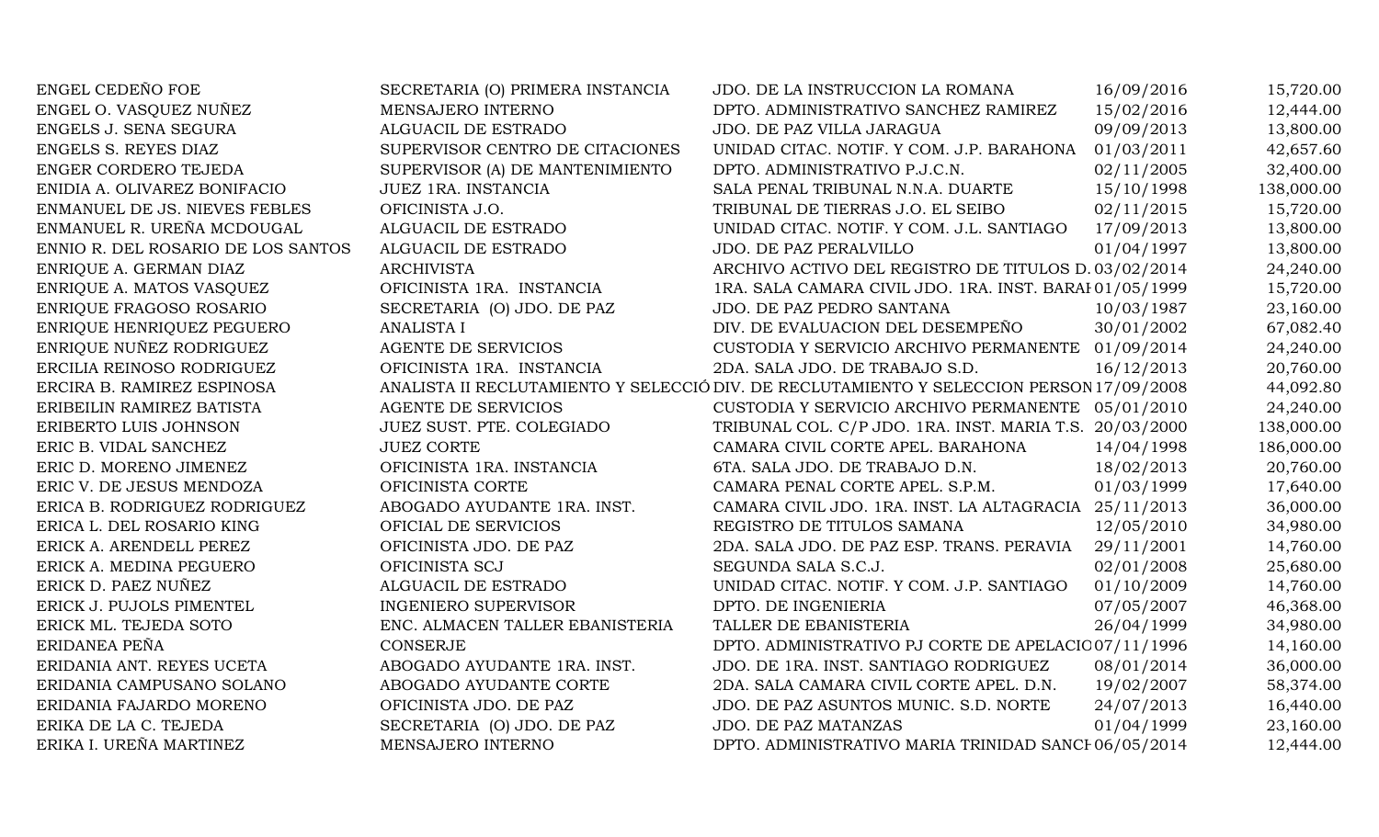| ENGEL CEDEÑO FOE                   | SECRETARIA (O) PRIMERA INSTANCIA | JDO. DE LA INSTRUCCION LA ROMANA                                                         | 16/09/2016 | 15,720.00  |
|------------------------------------|----------------------------------|------------------------------------------------------------------------------------------|------------|------------|
| ENGEL O. VASQUEZ NUÑEZ             | MENSAJERO INTERNO                | DPTO. ADMINISTRATIVO SANCHEZ RAMIREZ                                                     | 15/02/2016 | 12,444.00  |
| ENGELS J. SENA SEGURA              | ALGUACIL DE ESTRADO              | JDO. DE PAZ VILLA JARAGUA                                                                | 09/09/2013 | 13,800.00  |
| ENGELS S. REYES DIAZ               | SUPERVISOR CENTRO DE CITACIONES  | UNIDAD CITAC. NOTIF. Y COM. J.P. BARAHONA 01/03/2011                                     |            | 42,657.60  |
| ENGER CORDERO TEJEDA               | SUPERVISOR (A) DE MANTENIMIENTO  | DPTO. ADMINISTRATIVO P.J.C.N.                                                            | 02/11/2005 | 32,400.00  |
| ENIDIA A. OLIVAREZ BONIFACIO       | JUEZ 1RA. INSTANCIA              | SALA PENAL TRIBUNAL N.N.A. DUARTE                                                        | 15/10/1998 | 138,000.00 |
| ENMANUEL DE JS. NIEVES FEBLES      | OFICINISTA J.O.                  | TRIBUNAL DE TIERRAS J.O. EL SEIBO                                                        | 02/11/2015 | 15,720.00  |
| ENMANUEL R. UREÑA MCDOUGAL         | ALGUACIL DE ESTRADO              | UNIDAD CITAC. NOTIF. Y COM. J.L. SANTIAGO                                                | 17/09/2013 | 13,800.00  |
| ENNIO R. DEL ROSARIO DE LOS SANTOS | ALGUACIL DE ESTRADO              | JDO. DE PAZ PERALVILLO                                                                   | 01/04/1997 | 13,800.00  |
| ENRIQUE A. GERMAN DIAZ             | <b>ARCHIVISTA</b>                | ARCHIVO ACTIVO DEL REGISTRO DE TITULOS D. 03/02/2014                                     |            | 24,240.00  |
| ENRIQUE A. MATOS VASQUEZ           | OFICINISTA 1RA. INSTANCIA        | 1RA. SALA CAMARA CIVIL JDO. 1RA. INST. BARAI 01/05/1999                                  |            | 15,720.00  |
| ENRIQUE FRAGOSO ROSARIO            | SECRETARIA (O) JDO. DE PAZ       | JDO. DE PAZ PEDRO SANTANA                                                                | 10/03/1987 | 23,160.00  |
| ENRIQUE HENRIQUEZ PEGUERO          | <b>ANALISTA I</b>                | DIV. DE EVALUACION DEL DESEMPEÑO                                                         | 30/01/2002 | 67,082.40  |
| ENRIQUE NUÑEZ RODRIGUEZ            | <b>AGENTE DE SERVICIOS</b>       | CUSTODIA Y SERVICIO ARCHIVO PERMANENTE 01/09/2014                                        |            | 24,240.00  |
| ERCILIA REINOSO RODRIGUEZ          | OFICINISTA 1RA. INSTANCIA        | 2DA. SALA JDO. DE TRABAJO S.D.                                                           | 16/12/2013 | 20,760.00  |
| ERCIRA B. RAMIREZ ESPINOSA         |                                  | ANALISTA II RECLUTAMIENTO Y SELECCIÓ DIV. DE RECLUTAMIENTO Y SELECCION PERSON 17/09/2008 |            | 44,092.80  |
| ERIBEILIN RAMIREZ BATISTA          | <b>AGENTE DE SERVICIOS</b>       | CUSTODIA Y SERVICIO ARCHIVO PERMANENTE 05/01/2010                                        |            | 24,240.00  |
| ERIBERTO LUIS JOHNSON              | JUEZ SUST. PTE. COLEGIADO        | TRIBUNAL COL. C/P JDO. 1RA. INST. MARIA T.S. 20/03/2000                                  |            | 138,000.00 |
| ERIC B. VIDAL SANCHEZ              | <b>JUEZ CORTE</b>                | CAMARA CIVIL CORTE APEL. BARAHONA                                                        | 14/04/1998 | 186,000.00 |
| ERIC D. MORENO JIMENEZ             | OFICINISTA 1RA. INSTANCIA        | 6TA. SALA JDO. DE TRABAJO D.N.                                                           | 18/02/2013 | 20,760.00  |
| ERIC V. DE JESUS MENDOZA           | OFICINISTA CORTE                 | CAMARA PENAL CORTE APEL. S.P.M.                                                          | 01/03/1999 | 17,640.00  |
| ERICA B. RODRIGUEZ RODRIGUEZ       | ABOGADO AYUDANTE 1RA. INST.      | CAMARA CIVIL JDO. 1RA. INST. LA ALTAGRACIA 25/11/2013                                    |            | 36,000.00  |
| ERICA L. DEL ROSARIO KING          | OFICIAL DE SERVICIOS             | REGISTRO DE TITULOS SAMANA                                                               | 12/05/2010 | 34,980.00  |
| ERICK A. ARENDELL PEREZ            | OFICINISTA JDO. DE PAZ           | 2DA. SALA JDO. DE PAZ ESP. TRANS. PERAVIA                                                | 29/11/2001 | 14,760.00  |
| ERICK A. MEDINA PEGUERO            | OFICINISTA SCJ                   | SEGUNDA SALA S.C.J.                                                                      | 02/01/2008 | 25,680.00  |
| ERICK D. PAEZ NUÑEZ                | ALGUACIL DE ESTRADO              | UNIDAD CITAC. NOTIF. Y COM. J.P. SANTIAGO                                                | 01/10/2009 | 14,760.00  |
| ERICK J. PUJOLS PIMENTEL           | <b>INGENIERO SUPERVISOR</b>      | DPTO. DE INGENIERIA                                                                      | 07/05/2007 | 46,368.00  |
| ERICK ML. TEJEDA SOTO              | ENC. ALMACEN TALLER EBANISTERIA  | TALLER DE EBANISTERIA                                                                    | 26/04/1999 | 34,980.00  |
| ERIDANEA PEÑA                      | <b>CONSERJE</b>                  | DPTO. ADMINISTRATIVO PJ CORTE DE APELACIO 07/11/1996                                     |            | 14,160.00  |
| ERIDANIA ANT. REYES UCETA          | ABOGADO AYUDANTE 1RA. INST.      | JDO. DE 1RA. INST. SANTIAGO RODRIGUEZ                                                    | 08/01/2014 | 36,000.00  |
| ERIDANIA CAMPUSANO SOLANO          | ABOGADO AYUDANTE CORTE           | 2DA. SALA CAMARA CIVIL CORTE APEL. D.N.                                                  | 19/02/2007 | 58,374.00  |
| ERIDANIA FAJARDO MORENO            | OFICINISTA JDO. DE PAZ           | JDO. DE PAZ ASUNTOS MUNIC. S.D. NORTE                                                    | 24/07/2013 | 16,440.00  |
| ERIKA DE LA C. TEJEDA              | SECRETARIA (O) JDO. DE PAZ       | JDO. DE PAZ MATANZAS                                                                     | 01/04/1999 | 23,160.00  |
| ERIKA I. UREÑA MARTINEZ            | MENSAJERO INTERNO                | DPTO. ADMINISTRATIVO MARIA TRINIDAD SANCI 06/05/2014                                     |            | 12,444.00  |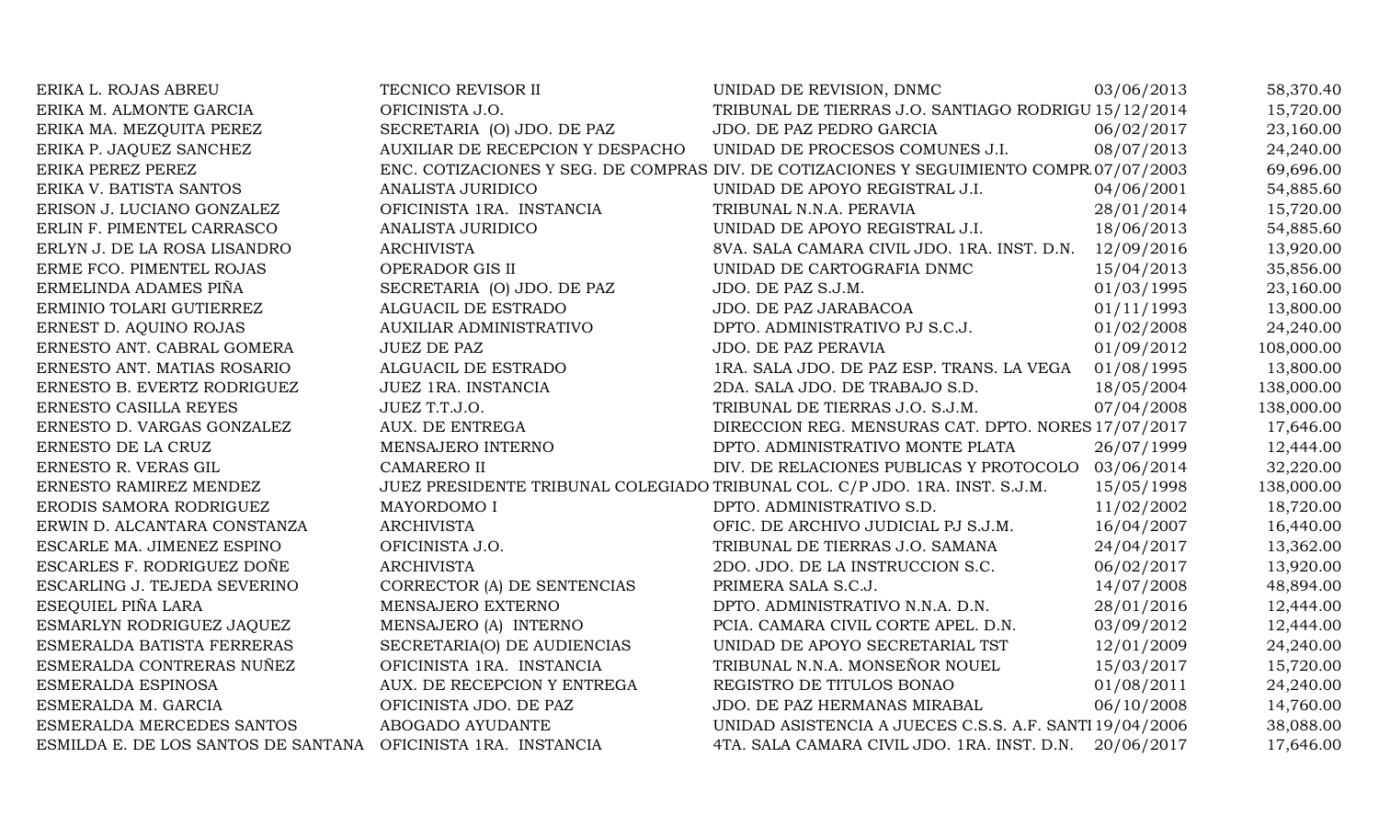| ERIKA L. ROJAS ABREU                | TECNICO REVISOR II               | UNIDAD DE REVISION, DNMC                                                                | 03/06/2013 | 58,370.40  |
|-------------------------------------|----------------------------------|-----------------------------------------------------------------------------------------|------------|------------|
| ERIKA M. ALMONTE GARCIA             | OFICINISTA J.O.                  | TRIBUNAL DE TIERRAS J.O. SANTIAGO RODRIGU 15/12/2014                                    |            | 15,720.00  |
| ERIKA MA. MEZQUITA PEREZ            | SECRETARIA (O) JDO. DE PAZ       | JDO. DE PAZ PEDRO GARCIA                                                                | 06/02/2017 | 23,160.00  |
| ERIKA P. JAQUEZ SANCHEZ             | AUXILIAR DE RECEPCION Y DESPACHO | UNIDAD DE PROCESOS COMUNES J.I.                                                         | 08/07/2013 | 24,240.00  |
| ERIKA PEREZ PEREZ                   |                                  | ENC. COTIZACIONES Y SEG. DE COMPRAS DIV. DE COTIZACIONES Y SEGUIMIENTO COMPR 07/07/2003 |            | 69,696.00  |
| ERIKA V. BATISTA SANTOS             | ANALISTA JURIDICO                | UNIDAD DE APOYO REGISTRAL J.I.                                                          | 04/06/2001 | 54,885.60  |
| ERISON J. LUCIANO GONZALEZ          | OFICINISTA 1RA. INSTANCIA        | TRIBUNAL N.N.A. PERAVIA                                                                 | 28/01/2014 | 15,720.00  |
| ERLIN F. PIMENTEL CARRASCO          | <b>ANALISTA JURIDICO</b>         | UNIDAD DE APOYO REGISTRAL J.I.                                                          | 18/06/2013 | 54,885.60  |
| ERLYN J. DE LA ROSA LISANDRO        | <b>ARCHIVISTA</b>                | 8VA. SALA CAMARA CIVIL JDO. 1RA. INST. D.N.                                             | 12/09/2016 | 13,920.00  |
| ERME FCO. PIMENTEL ROJAS            | OPERADOR GIS II                  | UNIDAD DE CARTOGRAFIA DNMC                                                              | 15/04/2013 | 35,856.00  |
| ERMELINDA ADAMES PIÑA               | SECRETARIA (O) JDO. DE PAZ       | JDO. DE PAZ S.J.M.                                                                      | 01/03/1995 | 23,160.00  |
| ERMINIO TOLARI GUTIERREZ            | ALGUACIL DE ESTRADO              | JDO. DE PAZ JARABACOA                                                                   | 01/11/1993 | 13,800.00  |
| ERNEST D. AQUINO ROJAS              | AUXILIAR ADMINISTRATIVO          | DPTO. ADMINISTRATIVO PJ S.C.J.                                                          | 01/02/2008 | 24,240.00  |
| ERNESTO ANT. CABRAL GOMERA          | <b>JUEZ DE PAZ</b>               | JDO. DE PAZ PERAVIA                                                                     | 01/09/2012 | 108,000.00 |
| ERNESTO ANT. MATIAS ROSARIO         | ALGUACIL DE ESTRADO              | 1RA. SALA JDO. DE PAZ ESP. TRANS. LA VEGA                                               | 01/08/1995 | 13,800.00  |
| ERNESTO B. EVERTZ RODRIGUEZ         | JUEZ 1RA. INSTANCIA              | 2DA. SALA JDO. DE TRABAJO S.D.                                                          | 18/05/2004 | 138,000.00 |
| ERNESTO CASILLA REYES               | JUEZ T.T.J.O.                    | TRIBUNAL DE TIERRAS J.O. S.J.M.                                                         | 07/04/2008 | 138,000.00 |
| ERNESTO D. VARGAS GONZALEZ          | AUX. DE ENTREGA                  | DIRECCION REG. MENSURAS CAT. DPTO. NORES 17/07/2017                                     |            | 17,646.00  |
| ERNESTO DE LA CRUZ                  | MENSAJERO INTERNO                | DPTO. ADMINISTRATIVO MONTE PLATA                                                        | 26/07/1999 | 12,444.00  |
| ERNESTO R. VERAS GIL                | <b>CAMARERO II</b>               | DIV. DE RELACIONES PUBLICAS Y PROTOCOLO                                                 | 03/06/2014 | 32,220.00  |
| ERNESTO RAMIREZ MENDEZ              |                                  | JUEZ PRESIDENTE TRIBUNAL COLEGIADO TRIBUNAL COL. C/P JDO. 1RA. INST. S.J.M.             | 15/05/1998 | 138,000.00 |
| ERODIS SAMORA RODRIGUEZ             | MAYORDOMO I                      | DPTO. ADMINISTRATIVO S.D.                                                               | 11/02/2002 | 18,720.00  |
| ERWIN D. ALCANTARA CONSTANZA        | <b>ARCHIVISTA</b>                | OFIC. DE ARCHIVO JUDICIAL PJ S.J.M.                                                     | 16/04/2007 | 16,440.00  |
| ESCARLE MA. JIMENEZ ESPINO          | OFICINISTA J.O.                  | TRIBUNAL DE TIERRAS J.O. SAMANA                                                         | 24/04/2017 | 13,362.00  |
| ESCARLES F. RODRIGUEZ DOÑE          | <b>ARCHIVISTA</b>                | 2DO. JDO. DE LA INSTRUCCION S.C.                                                        | 06/02/2017 | 13,920.00  |
| ESCARLING J. TEJEDA SEVERINO        | CORRECTOR (A) DE SENTENCIAS      | PRIMERA SALA S.C.J.                                                                     | 14/07/2008 | 48,894.00  |
| ESEQUIEL PIÑA LARA                  | MENSAJERO EXTERNO                | DPTO. ADMINISTRATIVO N.N.A. D.N.                                                        | 28/01/2016 | 12,444.00  |
| ESMARLYN RODRIGUEZ JAQUEZ           | MENSAJERO (A) INTERNO            | PCIA. CAMARA CIVIL CORTE APEL. D.N.                                                     | 03/09/2012 | 12,444.00  |
| ESMERALDA BATISTA FERRERAS          | SECRETARIA(O) DE AUDIENCIAS      | UNIDAD DE APOYO SECRETARIAL TST                                                         | 12/01/2009 | 24,240.00  |
| ESMERALDA CONTRERAS NUÑEZ           | OFICINISTA 1RA. INSTANCIA        | TRIBUNAL N.N.A. MONSEÑOR NOUEL                                                          | 15/03/2017 | 15,720.00  |
| ESMERALDA ESPINOSA                  | AUX. DE RECEPCION Y ENTREGA      | REGISTRO DE TITULOS BONAO                                                               | 01/08/2011 | 24,240.00  |
| ESMERALDA M. GARCIA                 | OFICINISTA JDO. DE PAZ           | JDO. DE PAZ HERMANAS MIRABAL                                                            | 06/10/2008 | 14,760.00  |
| ESMERALDA MERCEDES SANTOS           | ABOGADO AYUDANTE                 | UNIDAD ASISTENCIA A JUECES C.S.S. A.F. SANTI 19/04/2006                                 |            | 38,088.00  |
| ESMILDA E. DE LOS SANTOS DE SANTANA | OFICINISTA 1RA. INSTANCIA        | 4TA. SALA CAMARA CIVIL JDO. 1RA. INST. D.N.                                             | 20/06/2017 | 17,646.00  |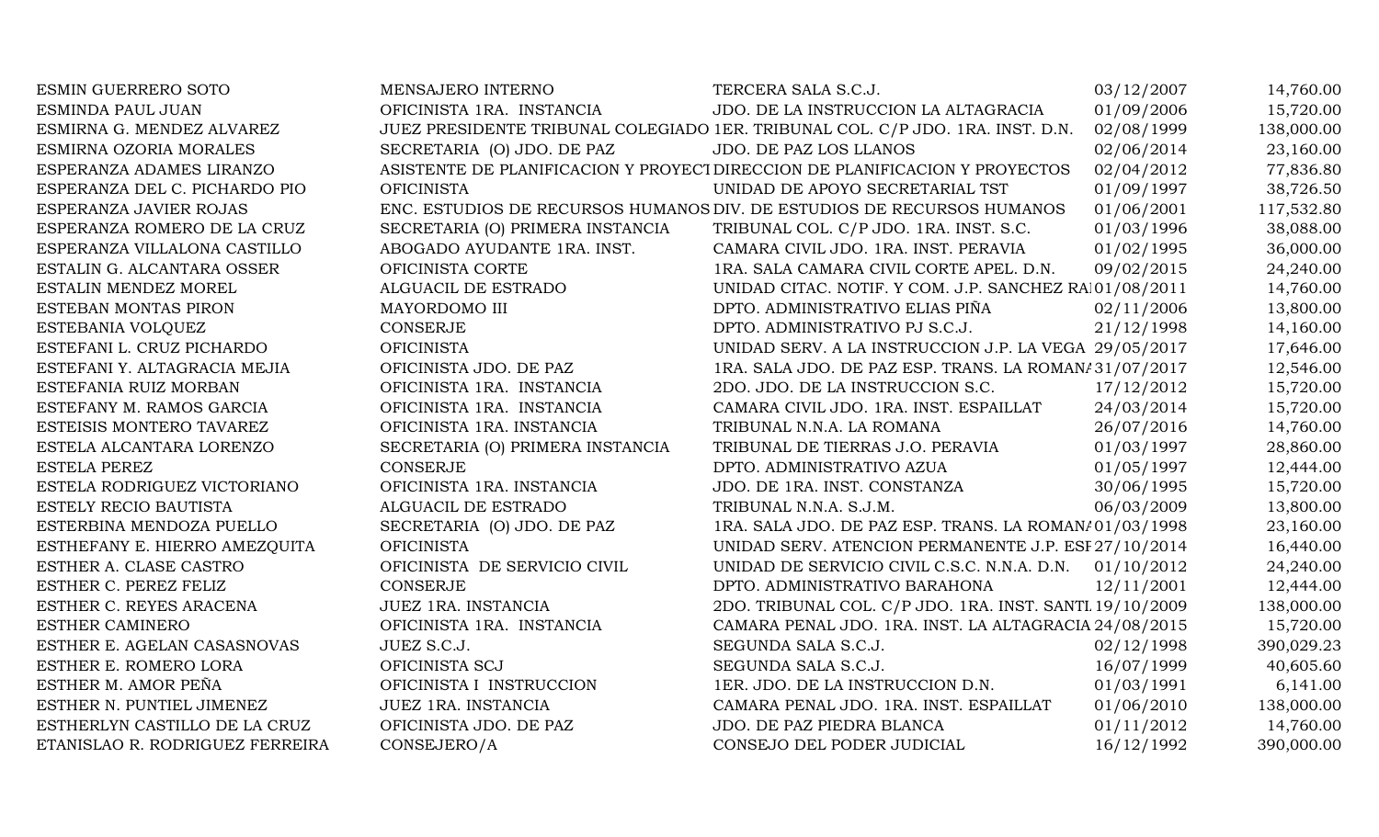| ESMIN GUERRERO SOTO             | MENSAJERO INTERNO                | TERCERA SALA S.C.J.                                                            | 03/12/2007 | 14,760.00  |
|---------------------------------|----------------------------------|--------------------------------------------------------------------------------|------------|------------|
| ESMINDA PAUL JUAN               | OFICINISTA 1RA. INSTANCIA        | JDO. DE LA INSTRUCCION LA ALTAGRACIA                                           | 01/09/2006 | 15,720.00  |
| ESMIRNA G. MENDEZ ALVAREZ       |                                  | JUEZ PRESIDENTE TRIBUNAL COLEGIADO 1ER. TRIBUNAL COL. C/P JDO. 1RA. INST. D.N. | 02/08/1999 | 138,000.00 |
| ESMIRNA OZORIA MORALES          | SECRETARIA (O) JDO. DE PAZ       | JDO. DE PAZ LOS LLANOS                                                         | 02/06/2014 | 23,160.00  |
| ESPERANZA ADAMES LIRANZO        |                                  | ASISTENTE DE PLANIFICACION Y PROYECT DIRECCION DE PLANIFICACION Y PROYECTOS    | 02/04/2012 | 77,836.80  |
| ESPERANZA DEL C. PICHARDO PIO   | <b>OFICINISTA</b>                | UNIDAD DE APOYO SECRETARIAL TST                                                | 01/09/1997 | 38,726.50  |
| ESPERANZA JAVIER ROJAS          |                                  | ENC. ESTUDIOS DE RECURSOS HUMANOS DIV. DE ESTUDIOS DE RECURSOS HUMANOS         | 01/06/2001 | 117,532.80 |
| ESPERANZA ROMERO DE LA CRUZ     | SECRETARIA (O) PRIMERA INSTANCIA | TRIBUNAL COL. C/P JDO. 1RA. INST. S.C.                                         | 01/03/1996 | 38,088.00  |
| ESPERANZA VILLALONA CASTILLO    | ABOGADO AYUDANTE 1RA. INST.      | CAMARA CIVIL JDO. 1RA. INST. PERAVIA                                           | 01/02/1995 | 36,000.00  |
| ESTALIN G. ALCANTARA OSSER      | OFICINISTA CORTE                 | 1RA. SALA CAMARA CIVIL CORTE APEL. D.N.                                        | 09/02/2015 | 24,240.00  |
| ESTALIN MENDEZ MOREL            | ALGUACIL DE ESTRADO              | UNIDAD CITAC. NOTIF. Y COM. J.P. SANCHEZ RA 01/08/2011                         |            | 14,760.00  |
| ESTEBAN MONTAS PIRON            | MAYORDOMO III                    | DPTO. ADMINISTRATIVO ELIAS PIÑA                                                | 02/11/2006 | 13,800.00  |
| ESTEBANIA VOLQUEZ               | CONSERJE                         | DPTO. ADMINISTRATIVO PJ S.C.J.                                                 | 21/12/1998 | 14,160.00  |
| ESTEFANI L. CRUZ PICHARDO       | <b>OFICINISTA</b>                | UNIDAD SERV. A LA INSTRUCCION J.P. LA VEGA 29/05/2017                          |            | 17,646.00  |
| ESTEFANI Y. ALTAGRACIA MEJIA    | OFICINISTA JDO. DE PAZ           | 1RA. SALA JDO. DE PAZ ESP. TRANS. LA ROMAN/31/07/2017                          |            | 12,546.00  |
| ESTEFANIA RUIZ MORBAN           | OFICINISTA 1RA. INSTANCIA        | 2DO. JDO. DE LA INSTRUCCION S.C.                                               | 17/12/2012 | 15,720.00  |
| ESTEFANY M. RAMOS GARCIA        | OFICINISTA 1RA. INSTANCIA        | CAMARA CIVIL JDO. 1RA. INST. ESPAILLAT                                         | 24/03/2014 | 15,720.00  |
| ESTEISIS MONTERO TAVAREZ        | OFICINISTA 1RA. INSTANCIA        | TRIBUNAL N.N.A. LA ROMANA                                                      | 26/07/2016 | 14,760.00  |
| ESTELA ALCANTARA LORENZO        | SECRETARIA (O) PRIMERA INSTANCIA | TRIBUNAL DE TIERRAS J.O. PERAVIA                                               | 01/03/1997 | 28,860.00  |
| <b>ESTELA PEREZ</b>             | <b>CONSERJE</b>                  | DPTO. ADMINISTRATIVO AZUA                                                      | 01/05/1997 | 12,444.00  |
| ESTELA RODRIGUEZ VICTORIANO     | OFICINISTA 1RA. INSTANCIA        | JDO. DE 1RA. INST. CONSTANZA                                                   | 30/06/1995 | 15,720.00  |
| ESTELY RECIO BAUTISTA           | ALGUACIL DE ESTRADO              | TRIBUNAL N.N.A. S.J.M.                                                         | 06/03/2009 | 13,800.00  |
| ESTERBINA MENDOZA PUELLO        | SECRETARIA (O) JDO. DE PAZ       | 1RA. SALA JDO. DE PAZ ESP. TRANS. LA ROMAN/01/03/1998                          |            | 23,160.00  |
| ESTHEFANY E. HIERRO AMEZQUITA   | <b>OFICINISTA</b>                | UNIDAD SERV. ATENCION PERMANENTE J.P. ESI 27/10/2014                           |            | 16,440.00  |
| ESTHER A. CLASE CASTRO          | OFICINISTA DE SERVICIO CIVIL     | UNIDAD DE SERVICIO CIVIL C.S.C. N.N.A. D.N. 01/10/2012                         |            | 24,240.00  |
| ESTHER C. PEREZ FELIZ           | <b>CONSERJE</b>                  | DPTO. ADMINISTRATIVO BARAHONA                                                  | 12/11/2001 | 12,444.00  |
| ESTHER C. REYES ARACENA         | JUEZ 1RA. INSTANCIA              | 2DO. TRIBUNAL COL. C/P JDO. 1RA. INST. SANTI 19/10/2009                        |            | 138,000.00 |
| ESTHER CAMINERO                 | OFICINISTA 1RA. INSTANCIA        | CAMARA PENAL JDO. 1RA. INST. LA ALTAGRACIA 24/08/2015                          |            | 15,720.00  |
| ESTHER E. AGELAN CASASNOVAS     | JUEZ S.C.J.                      | SEGUNDA SALA S.C.J.                                                            | 02/12/1998 | 390,029.23 |
| ESTHER E. ROMERO LORA           | OFICINISTA SCJ                   | SEGUNDA SALA S.C.J.                                                            | 16/07/1999 | 40,605.60  |
| ESTHER M. AMOR PEÑA             | OFICINISTA I INSTRUCCION         | 1ER. JDO. DE LA INSTRUCCION D.N.                                               | 01/03/1991 | 6,141.00   |
| ESTHER N. PUNTIEL JIMENEZ       | JUEZ 1RA. INSTANCIA              | CAMARA PENAL JDO. 1RA. INST. ESPAILLAT                                         | 01/06/2010 | 138,000.00 |
| ESTHERLYN CASTILLO DE LA CRUZ   | OFICINISTA JDO. DE PAZ           | JDO. DE PAZ PIEDRA BLANCA                                                      | 01/11/2012 | 14,760.00  |
| ETANISLAO R. RODRIGUEZ FERREIRA | CONSEJERO/A                      | CONSEJO DEL PODER JUDICIAL                                                     | 16/12/1992 | 390,000.00 |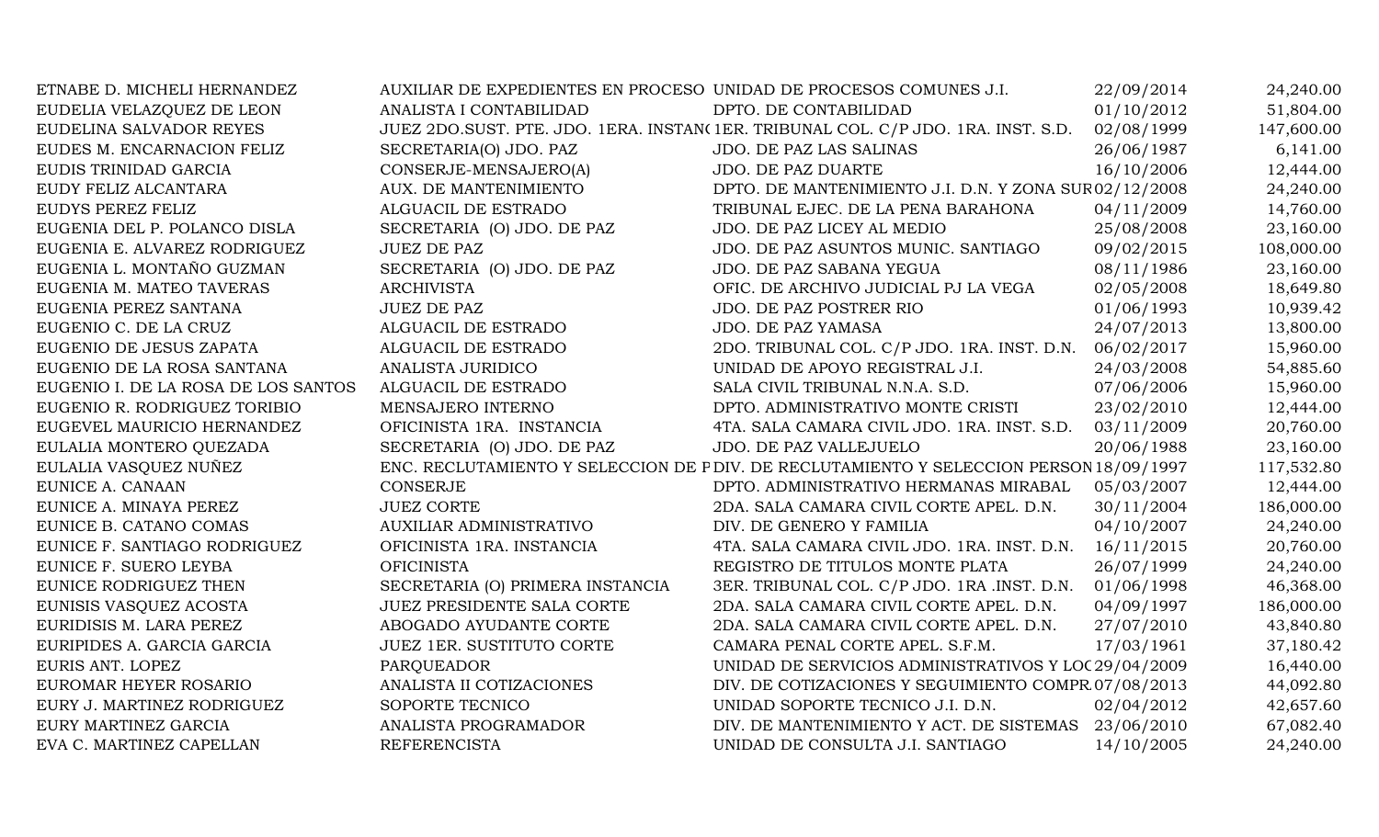| ETNABE D. MICHELI HERNANDEZ         | AUXILIAR DE EXPEDIENTES EN PROCESO UNIDAD DE PROCESOS COMUNES J.I. |                                                                                        | 22/09/2014 | 24,240.00  |
|-------------------------------------|--------------------------------------------------------------------|----------------------------------------------------------------------------------------|------------|------------|
| EUDELIA VELAZQUEZ DE LEON           | ANALISTA I CONTABILIDAD                                            | DPTO. DE CONTABILIDAD                                                                  | 01/10/2012 | 51,804.00  |
| EUDELINA SALVADOR REYES             |                                                                    | JUEZ 2DO.SUST. PTE. JDO. 1ERA. INSTAN(1ER. TRIBUNAL COL. C/P JDO. 1RA. INST. S.D.      | 02/08/1999 | 147,600.00 |
| EUDES M. ENCARNACION FELIZ          | SECRETARIA(O) JDO. PAZ                                             | JDO. DE PAZ LAS SALINAS                                                                | 26/06/1987 | 6,141.00   |
| EUDIS TRINIDAD GARCIA               | CONSERJE-MENSAJERO(A)                                              | <b>JDO. DE PAZ DUARTE</b>                                                              | 16/10/2006 | 12,444.00  |
| EUDY FELIZ ALCANTARA                | AUX. DE MANTENIMIENTO                                              | DPTO. DE MANTENIMIENTO J.I. D.N. Y ZONA SUR 02/12/2008                                 |            | 24,240.00  |
| EUDYS PEREZ FELIZ                   | ALGUACIL DE ESTRADO                                                | TRIBUNAL EJEC. DE LA PENA BARAHONA                                                     | 04/11/2009 | 14,760.00  |
| EUGENIA DEL P. POLANCO DISLA        | SECRETARIA (O) JDO. DE PAZ                                         | JDO. DE PAZ LICEY AL MEDIO                                                             | 25/08/2008 | 23,160.00  |
| EUGENIA E. ALVAREZ RODRIGUEZ        | <b>JUEZ DE PAZ</b>                                                 | JDO. DE PAZ ASUNTOS MUNIC. SANTIAGO                                                    | 09/02/2015 | 108,000.00 |
| EUGENIA L. MONTAÑO GUZMAN           | SECRETARIA (O) JDO. DE PAZ                                         | JDO. DE PAZ SABANA YEGUA                                                               | 08/11/1986 | 23,160.00  |
| EUGENIA M. MATEO TAVERAS            | <b>ARCHIVISTA</b>                                                  | OFIC. DE ARCHIVO JUDICIAL PJ LA VEGA                                                   | 02/05/2008 | 18,649.80  |
| EUGENIA PEREZ SANTANA               | <b>JUEZ DE PAZ</b>                                                 | <b>JDO. DE PAZ POSTRER RIO</b>                                                         | 01/06/1993 | 10,939.42  |
| EUGENIO C. DE LA CRUZ               | ALGUACIL DE ESTRADO                                                | JDO. DE PAZ YAMASA                                                                     | 24/07/2013 | 13,800.00  |
| EUGENIO DE JESUS ZAPATA             | ALGUACIL DE ESTRADO                                                | 2DO. TRIBUNAL COL. C/P JDO. 1RA. INST. D.N.                                            | 06/02/2017 | 15,960.00  |
| EUGENIO DE LA ROSA SANTANA          | ANALISTA JURIDICO                                                  | UNIDAD DE APOYO REGISTRAL J.I.                                                         | 24/03/2008 | 54,885.60  |
| EUGENIO I. DE LA ROSA DE LOS SANTOS | ALGUACIL DE ESTRADO                                                | SALA CIVIL TRIBUNAL N.N.A. S.D.                                                        | 07/06/2006 | 15,960.00  |
| EUGENIO R. RODRIGUEZ TORIBIO        | MENSAJERO INTERNO                                                  | DPTO. ADMINISTRATIVO MONTE CRISTI                                                      | 23/02/2010 | 12,444.00  |
| EUGEVEL MAURICIO HERNANDEZ          | OFICINISTA 1RA. INSTANCIA                                          | 4TA. SALA CAMARA CIVIL JDO. 1RA. INST. S.D.                                            | 03/11/2009 | 20,760.00  |
| EULALIA MONTERO QUEZADA             | SECRETARIA (O) JDO. DE PAZ                                         | JDO. DE PAZ VALLEJUELO                                                                 | 20/06/1988 | 23,160.00  |
| EULALIA VASQUEZ NUÑEZ               |                                                                    | ENC. RECLUTAMIENTO Y SELECCION DE PDIV. DE RECLUTAMIENTO Y SELECCION PERSON 18/09/1997 |            | 117,532.80 |
| EUNICE A. CANAAN                    | <b>CONSERJE</b>                                                    | DPTO. ADMINISTRATIVO HERMANAS MIRABAL                                                  | 05/03/2007 | 12,444.00  |
| EUNICE A. MINAYA PEREZ              | <b>JUEZ CORTE</b>                                                  | 2DA. SALA CAMARA CIVIL CORTE APEL. D.N.                                                | 30/11/2004 | 186,000.00 |
| EUNICE B. CATANO COMAS              | AUXILIAR ADMINISTRATIVO                                            | DIV. DE GENERO Y FAMILIA                                                               | 04/10/2007 | 24,240.00  |
| EUNICE F. SANTIAGO RODRIGUEZ        | OFICINISTA 1RA. INSTANCIA                                          | 4TA. SALA CAMARA CIVIL JDO. 1RA. INST. D.N.                                            | 16/11/2015 | 20,760.00  |
| EUNICE F. SUERO LEYBA               | <b>OFICINISTA</b>                                                  | REGISTRO DE TITULOS MONTE PLATA                                                        | 26/07/1999 | 24,240.00  |
| EUNICE RODRIGUEZ THEN               | SECRETARIA (O) PRIMERA INSTANCIA                                   | 3ER. TRIBUNAL COL. C/P JDO. 1RA .INST. D.N.                                            | 01/06/1998 | 46,368.00  |
| EUNISIS VASQUEZ ACOSTA              | JUEZ PRESIDENTE SALA CORTE                                         | 2DA. SALA CAMARA CIVIL CORTE APEL. D.N.                                                | 04/09/1997 | 186,000.00 |
| EURIDISIS M. LARA PEREZ             | ABOGADO AYUDANTE CORTE                                             | 2DA. SALA CAMARA CIVIL CORTE APEL. D.N.                                                | 27/07/2010 | 43,840.80  |
| EURIPIDES A. GARCIA GARCIA          | JUEZ 1ER. SUSTITUTO CORTE                                          | CAMARA PENAL CORTE APEL. S.F.M.                                                        | 17/03/1961 | 37,180.42  |
| EURIS ANT. LOPEZ                    | PARQUEADOR                                                         | UNIDAD DE SERVICIOS ADMINISTRATIVOS Y LOC 29/04/2009                                   |            | 16,440.00  |
| EUROMAR HEYER ROSARIO               | ANALISTA II COTIZACIONES                                           | DIV. DE COTIZACIONES Y SEGUIMIENTO COMPR 07/08/2013                                    |            | 44,092.80  |
| EURY J. MARTINEZ RODRIGUEZ          | SOPORTE TECNICO                                                    | UNIDAD SOPORTE TECNICO J.I. D.N.                                                       | 02/04/2012 | 42,657.60  |
| EURY MARTINEZ GARCIA                | ANALISTA PROGRAMADOR                                               | DIV. DE MANTENIMIENTO Y ACT. DE SISTEMAS                                               | 23/06/2010 | 67,082.40  |
| EVA C. MARTINEZ CAPELLAN            | <b>REFERENCISTA</b>                                                | UNIDAD DE CONSULTA J.I. SANTIAGO                                                       | 14/10/2005 | 24,240.00  |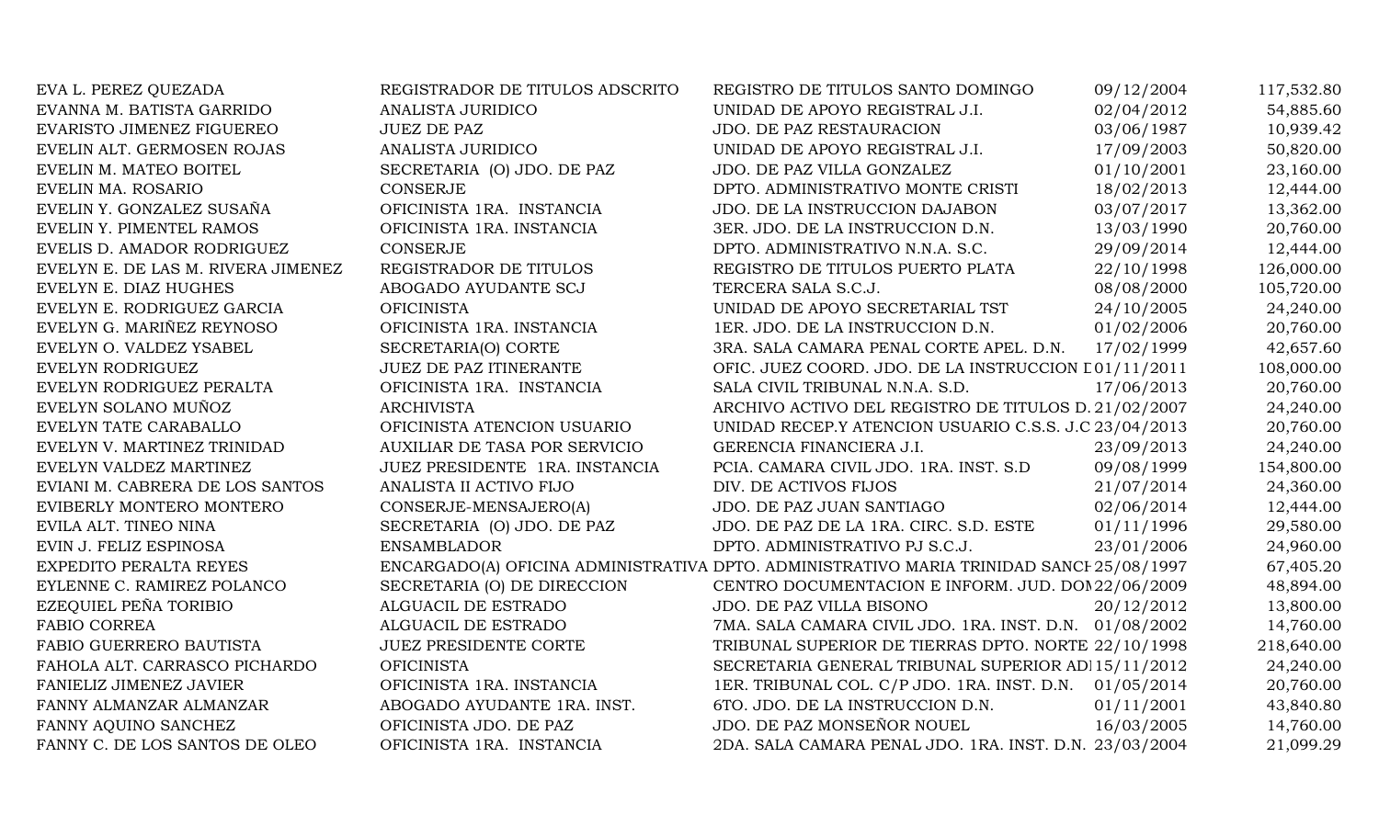| EVA L. PEREZ QUEZADA               | REGISTRADOR DE TITULOS ADSCRITO | REGISTRO DE TITULOS SANTO DOMINGO                                                        | 09/12/2004 | 117,532.80 |
|------------------------------------|---------------------------------|------------------------------------------------------------------------------------------|------------|------------|
| EVANNA M. BATISTA GARRIDO          | ANALISTA JURIDICO               | UNIDAD DE APOYO REGISTRAL J.I.                                                           | 02/04/2012 | 54,885.60  |
| EVARISTO JIMENEZ FIGUEREO          | <b>JUEZ DE PAZ</b>              | JDO. DE PAZ RESTAURACION                                                                 | 03/06/1987 | 10,939.42  |
| EVELIN ALT. GERMOSEN ROJAS         | ANALISTA JURIDICO               | UNIDAD DE APOYO REGISTRAL J.I.                                                           | 17/09/2003 | 50,820.00  |
| EVELIN M. MATEO BOITEL             | SECRETARIA (O) JDO. DE PAZ      | JDO. DE PAZ VILLA GONZALEZ                                                               | 01/10/2001 | 23,160.00  |
| EVELIN MA. ROSARIO                 | <b>CONSERJE</b>                 | DPTO. ADMINISTRATIVO MONTE CRISTI                                                        | 18/02/2013 | 12,444.00  |
| EVELIN Y. GONZALEZ SUSAÑA          | OFICINISTA 1RA. INSTANCIA       | JDO. DE LA INSTRUCCION DAJABON                                                           | 03/07/2017 | 13,362.00  |
| EVELIN Y. PIMENTEL RAMOS           | OFICINISTA 1RA. INSTANCIA       | 3ER. JDO. DE LA INSTRUCCION D.N.                                                         | 13/03/1990 | 20,760.00  |
| EVELIS D. AMADOR RODRIGUEZ         | <b>CONSERJE</b>                 | DPTO. ADMINISTRATIVO N.N.A. S.C.                                                         | 29/09/2014 | 12,444.00  |
| EVELYN E. DE LAS M. RIVERA JIMENEZ | REGISTRADOR DE TITULOS          | REGISTRO DE TITULOS PUERTO PLATA                                                         | 22/10/1998 | 126,000.00 |
| EVELYN E. DIAZ HUGHES              | ABOGADO AYUDANTE SCJ            | TERCERA SALA S.C.J.                                                                      | 08/08/2000 | 105,720.00 |
| EVELYN E. RODRIGUEZ GARCIA         | <b>OFICINISTA</b>               | UNIDAD DE APOYO SECRETARIAL TST                                                          | 24/10/2005 | 24,240.00  |
| EVELYN G. MARIÑEZ REYNOSO          | OFICINISTA 1RA. INSTANCIA       | 1ER. JDO. DE LA INSTRUCCION D.N.                                                         | 01/02/2006 | 20,760.00  |
| EVELYN O. VALDEZ YSABEL            | SECRETARIA(O) CORTE             | 3RA. SALA CAMARA PENAL CORTE APEL. D.N.                                                  | 17/02/1999 | 42,657.60  |
| EVELYN RODRIGUEZ                   | JUEZ DE PAZ ITINERANTE          | OFIC. JUEZ COORD. JDO. DE LA INSTRUCCION L01/11/2011                                     |            | 108,000.00 |
| EVELYN RODRIGUEZ PERALTA           | OFICINISTA 1RA. INSTANCIA       | SALA CIVIL TRIBUNAL N.N.A. S.D.                                                          | 17/06/2013 | 20,760.00  |
| EVELYN SOLANO MUÑOZ                | <b>ARCHIVISTA</b>               | ARCHIVO ACTIVO DEL REGISTRO DE TITULOS D. 21/02/2007                                     |            | 24,240.00  |
| EVELYN TATE CARABALLO              | OFICINISTA ATENCION USUARIO     | UNIDAD RECEP.Y ATENCION USUARIO C.S.S. J.C 23/04/2013                                    |            | 20,760.00  |
| EVELYN V. MARTINEZ TRINIDAD        | AUXILIAR DE TASA POR SERVICIO   | GERENCIA FINANCIERA J.I.                                                                 | 23/09/2013 | 24,240.00  |
| EVELYN VALDEZ MARTINEZ             | JUEZ PRESIDENTE 1RA. INSTANCIA  | PCIA. CAMARA CIVIL JDO. 1RA. INST. S.D                                                   | 09/08/1999 | 154,800.00 |
| EVIANI M. CABRERA DE LOS SANTOS    | ANALISTA II ACTIVO FIJO         | DIV. DE ACTIVOS FIJOS                                                                    | 21/07/2014 | 24,360.00  |
| EVIBERLY MONTERO MONTERO           | CONSERJE-MENSAJERO(A)           | JDO. DE PAZ JUAN SANTIAGO                                                                | 02/06/2014 | 12,444.00  |
| EVILA ALT. TINEO NINA              | SECRETARIA (O) JDO. DE PAZ      | JDO. DE PAZ DE LA 1RA. CIRC. S.D. ESTE                                                   | 01/11/1996 | 29,580.00  |
| EVIN J. FELIZ ESPINOSA             | <b>ENSAMBLADOR</b>              | DPTO. ADMINISTRATIVO PJ S.C.J.                                                           | 23/01/2006 | 24,960.00  |
| EXPEDITO PERALTA REYES             |                                 | ENCARGADO(A) OFICINA ADMINISTRATIVA DPTO. ADMINISTRATIVO MARIA TRINIDAD SANCI 25/08/1997 |            | 67,405.20  |
| EYLENNE C. RAMIREZ POLANCO         | SECRETARIA (O) DE DIRECCION     | CENTRO DOCUMENTACION E INFORM. JUD. DOI 22/06/2009                                       |            | 48,894.00  |
| EZEQUIEL PEÑA TORIBIO              | ALGUACIL DE ESTRADO             | JDO. DE PAZ VILLA BISONO                                                                 | 20/12/2012 | 13,800.00  |
| <b>FABIO CORREA</b>                | ALGUACIL DE ESTRADO             | 7MA. SALA CAMARA CIVIL JDO. 1RA. INST. D.N. 01/08/2002                                   |            | 14,760.00  |
| FABIO GUERRERO BAUTISTA            | JUEZ PRESIDENTE CORTE           | TRIBUNAL SUPERIOR DE TIERRAS DPTO. NORTE 22/10/1998                                      |            | 218,640.00 |
| FAHOLA ALT. CARRASCO PICHARDO      | <b>OFICINISTA</b>               | SECRETARIA GENERAL TRIBUNAL SUPERIOR AD 15/11/2012                                       |            | 24,240.00  |
| FANIELIZ JIMENEZ JAVIER            | OFICINISTA 1RA. INSTANCIA       | 1ER. TRIBUNAL COL. C/P JDO. 1RA. INST. D.N. 01/05/2014                                   |            | 20,760.00  |
| FANNY ALMANZAR ALMANZAR            | ABOGADO AYUDANTE 1RA. INST.     | 6TO. JDO. DE LA INSTRUCCION D.N.                                                         | 01/11/2001 | 43,840.80  |
| FANNY AQUINO SANCHEZ               | OFICINISTA JDO. DE PAZ          | JDO. DE PAZ MONSEÑOR NOUEL                                                               | 16/03/2005 | 14,760.00  |
| FANNY C. DE LOS SANTOS DE OLEO     | OFICINISTA 1RA. INSTANCIA       | 2DA. SALA CAMARA PENAL JDO. 1RA. INST. D.N. 23/03/2004                                   |            | 21,099.29  |
|                                    |                                 |                                                                                          |            |            |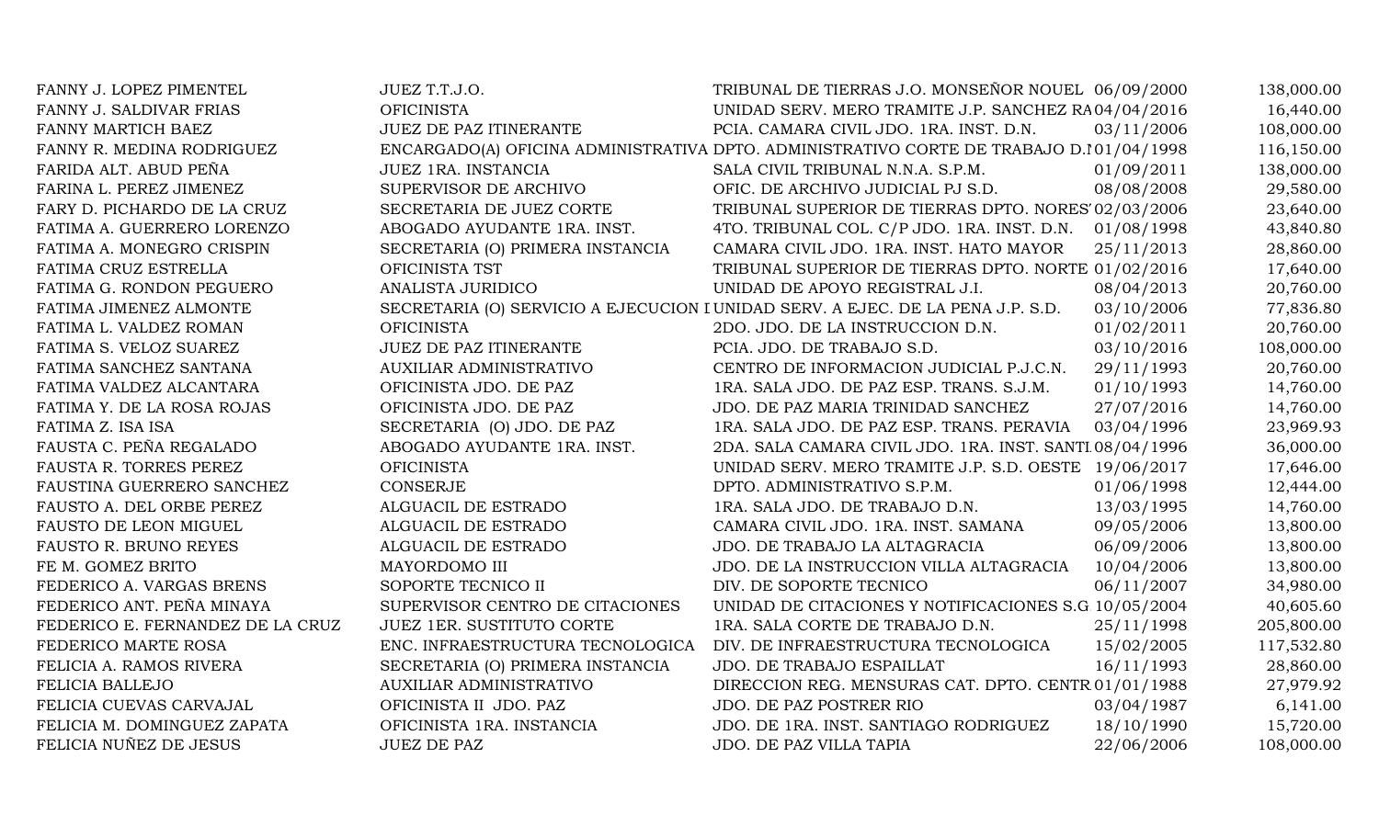| FANNY J. LOPEZ PIMENTEL          | JUEZ T.T.J.O.                    | TRIBUNAL DE TIERRAS J.O. MONSEÑOR NOUEL 06/09/2000                                      |            | 138,000.00 |
|----------------------------------|----------------------------------|-----------------------------------------------------------------------------------------|------------|------------|
| FANNY J. SALDIVAR FRIAS          | <b>OFICINISTA</b>                | UNIDAD SERV. MERO TRAMITE J.P. SANCHEZ RA04/04/2016                                     |            | 16,440.00  |
| FANNY MARTICH BAEZ               | JUEZ DE PAZ ITINERANTE           | PCIA. CAMARA CIVIL JDO. 1RA. INST. D.N.                                                 | 03/11/2006 | 108,000.00 |
| FANNY R. MEDINA RODRIGUEZ        |                                  | ENCARGADO(A) OFICINA ADMINISTRATIVA DPTO. ADMINISTRATIVO CORTE DE TRABAJO D.101/04/1998 |            | 116,150.00 |
| FARIDA ALT. ABUD PEÑA            | JUEZ 1RA. INSTANCIA              | SALA CIVIL TRIBUNAL N.N.A. S.P.M.                                                       | 01/09/2011 | 138,000.00 |
| FARINA L. PEREZ JIMENEZ          | SUPERVISOR DE ARCHIVO            | OFIC. DE ARCHIVO JUDICIAL PJ S.D.                                                       | 08/08/2008 | 29,580.00  |
| FARY D. PICHARDO DE LA CRUZ      | SECRETARIA DE JUEZ CORTE         | TRIBUNAL SUPERIOR DE TIERRAS DPTO. NORES 02/03/2006                                     |            | 23,640.00  |
| FATIMA A. GUERRERO LORENZO       | ABOGADO AYUDANTE 1RA. INST.      | 4TO. TRIBUNAL COL. C/P JDO. 1RA. INST. D.N.                                             | 01/08/1998 | 43,840.80  |
| FATIMA A. MONEGRO CRISPIN        | SECRETARIA (O) PRIMERA INSTANCIA | CAMARA CIVIL JDO. 1RA. INST. HATO MAYOR                                                 | 25/11/2013 | 28,860.00  |
| FATIMA CRUZ ESTRELLA             | OFICINISTA TST                   | TRIBUNAL SUPERIOR DE TIERRAS DPTO. NORTE 01/02/2016                                     |            | 17,640.00  |
| FATIMA G. RONDON PEGUERO         | ANALISTA JURIDICO                | UNIDAD DE APOYO REGISTRAL J.I.                                                          | 08/04/2013 | 20,760.00  |
| FATIMA JIMENEZ ALMONTE           |                                  | SECRETARIA (O) SERVICIO A EJECUCION I UNIDAD SERV. A EJEC. DE LA PENA J.P. S.D.         | 03/10/2006 | 77,836.80  |
| FATIMA L. VALDEZ ROMAN           | <b>OFICINISTA</b>                | 2DO. JDO. DE LA INSTRUCCION D.N.                                                        | 01/02/2011 | 20,760.00  |
| FATIMA S. VELOZ SUAREZ           | <b>JUEZ DE PAZ ITINERANTE</b>    | PCIA. JDO. DE TRABAJO S.D.                                                              | 03/10/2016 | 108,000.00 |
| FATIMA SANCHEZ SANTANA           | AUXILIAR ADMINISTRATIVO          | CENTRO DE INFORMACION JUDICIAL P.J.C.N.                                                 | 29/11/1993 | 20,760.00  |
| FATIMA VALDEZ ALCANTARA          | OFICINISTA JDO. DE PAZ           | 1RA. SALA JDO. DE PAZ ESP. TRANS. S.J.M.                                                | 01/10/1993 | 14,760.00  |
| FATIMA Y. DE LA ROSA ROJAS       | OFICINISTA JDO. DE PAZ           | JDO. DE PAZ MARIA TRINIDAD SANCHEZ                                                      | 27/07/2016 | 14,760.00  |
| FATIMA Z. ISA ISA                | SECRETARIA (O) JDO. DE PAZ       | 1RA. SALA JDO. DE PAZ ESP. TRANS. PERAVIA                                               | 03/04/1996 | 23,969.93  |
| FAUSTA C. PEÑA REGALADO          | ABOGADO AYUDANTE 1RA. INST.      | 2DA. SALA CAMARA CIVIL JDO. 1RA. INST. SANTI 08/04/1996                                 |            | 36,000.00  |
| FAUSTA R. TORRES PEREZ           | <b>OFICINISTA</b>                | UNIDAD SERV. MERO TRAMITE J.P. S.D. OESTE 19/06/2017                                    |            | 17,646.00  |
| FAUSTINA GUERRERO SANCHEZ        | <b>CONSERJE</b>                  | DPTO. ADMINISTRATIVO S.P.M.                                                             | 01/06/1998 | 12,444.00  |
| FAUSTO A. DEL ORBE PEREZ         | ALGUACIL DE ESTRADO              | 1RA. SALA JDO. DE TRABAJO D.N.                                                          | 13/03/1995 | 14,760.00  |
| FAUSTO DE LEON MIGUEL            | ALGUACIL DE ESTRADO              | CAMARA CIVIL JDO. 1RA. INST. SAMANA                                                     | 09/05/2006 | 13,800.00  |
| FAUSTO R. BRUNO REYES            | ALGUACIL DE ESTRADO              | JDO. DE TRABAJO LA ALTAGRACIA                                                           | 06/09/2006 | 13,800.00  |
| FE M. GOMEZ BRITO                | MAYORDOMO III                    | JDO. DE LA INSTRUCCION VILLA ALTAGRACIA                                                 | 10/04/2006 | 13,800.00  |
| FEDERICO A. VARGAS BRENS         | SOPORTE TECNICO II               | DIV. DE SOPORTE TECNICO                                                                 | 06/11/2007 | 34,980.00  |
| FEDERICO ANT. PEÑA MINAYA        | SUPERVISOR CENTRO DE CITACIONES  | UNIDAD DE CITACIONES Y NOTIFICACIONES S.G 10/05/2004                                    |            | 40,605.60  |
| FEDERICO E. FERNANDEZ DE LA CRUZ | <b>JUEZ 1ER. SUSTITUTO CORTE</b> | 1RA. SALA CORTE DE TRABAJO D.N.                                                         | 25/11/1998 | 205,800.00 |
| FEDERICO MARTE ROSA              | ENC. INFRAESTRUCTURA TECNOLOGICA | DIV. DE INFRAESTRUCTURA TECNOLOGICA                                                     | 15/02/2005 | 117,532.80 |
| FELICIA A. RAMOS RIVERA          | SECRETARIA (O) PRIMERA INSTANCIA | JDO. DE TRABAJO ESPAILLAT                                                               | 16/11/1993 | 28,860.00  |
| FELICIA BALLEJO                  | <b>AUXILIAR ADMINISTRATIVO</b>   | DIRECCION REG. MENSURAS CAT. DPTO. CENTR 01/01/1988                                     |            | 27,979.92  |
| FELICIA CUEVAS CARVAJAL          | OFICINISTA II JDO. PAZ           | JDO. DE PAZ POSTRER RIO                                                                 | 03/04/1987 | 6,141.00   |
| FELICIA M. DOMINGUEZ ZAPATA      | OFICINISTA 1RA. INSTANCIA        | JDO. DE 1RA. INST. SANTIAGO RODRIGUEZ                                                   | 18/10/1990 | 15,720.00  |
| FELICIA NUÑEZ DE JESUS           | <b>JUEZ DE PAZ</b>               | JDO. DE PAZ VILLA TAPIA                                                                 | 22/06/2006 | 108,000.00 |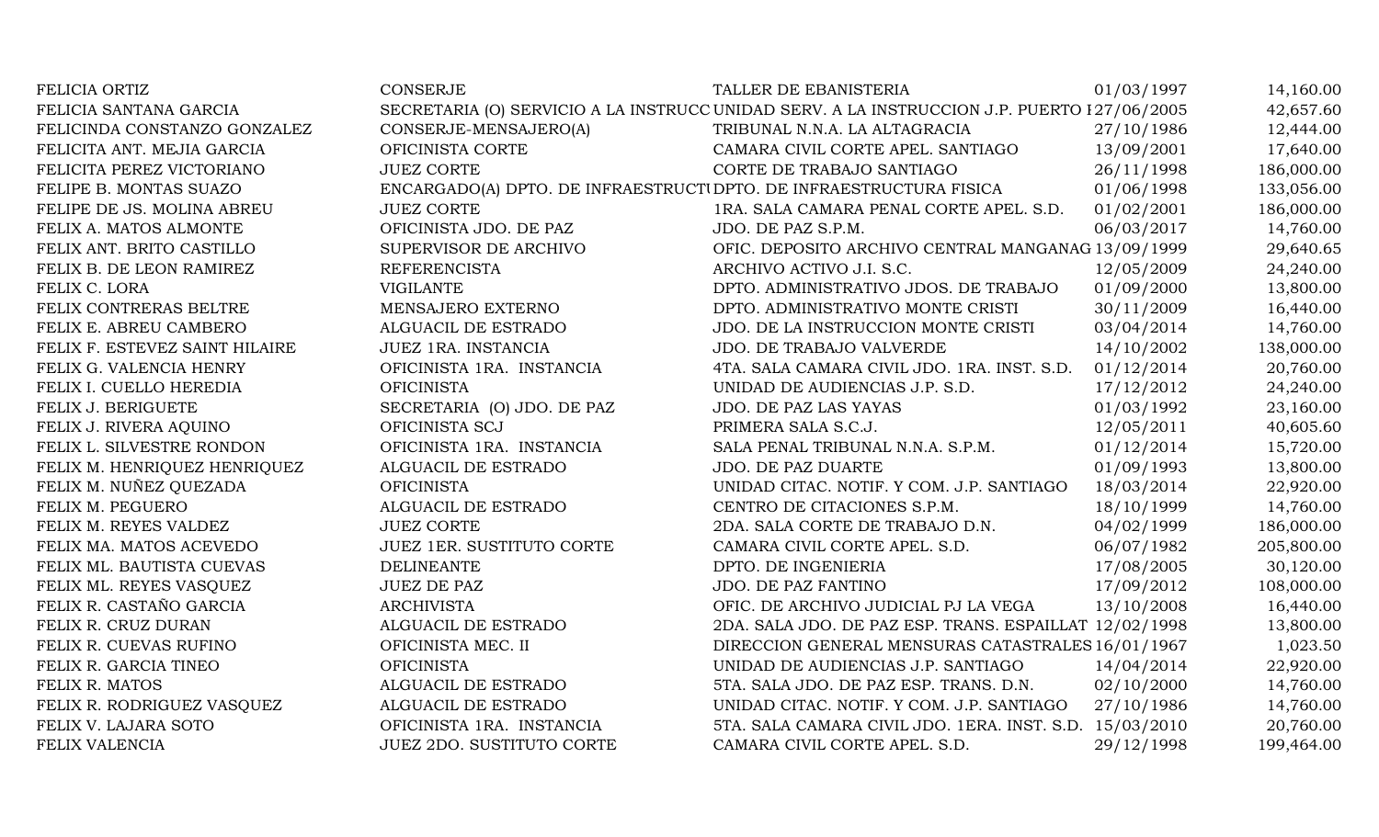| FELICIA ORTIZ                  | <b>CONSERJE</b>                                                    | TALLER DE EBANISTERIA                                                                       | 01/03/1997 | 14,160.00  |
|--------------------------------|--------------------------------------------------------------------|---------------------------------------------------------------------------------------------|------------|------------|
| FELICIA SANTANA GARCIA         |                                                                    | SECRETARIA (O) SERVICIO A LA INSTRUCC UNIDAD SERV. A LA INSTRUCCION J.P. PUERTO 127/06/2005 |            | 42,657.60  |
| FELICINDA CONSTANZO GONZALEZ   | CONSERJE-MENSAJERO(A)                                              | TRIBUNAL N.N.A. LA ALTAGRACIA                                                               | 27/10/1986 | 12,444.00  |
| FELICITA ANT. MEJIA GARCIA     | OFICINISTA CORTE                                                   | CAMARA CIVIL CORTE APEL. SANTIAGO                                                           | 13/09/2001 | 17,640.00  |
| FELICITA PEREZ VICTORIANO      | <b>JUEZ CORTE</b>                                                  | CORTE DE TRABAJO SANTIAGO                                                                   | 26/11/1998 | 186,000.00 |
| FELIPE B. MONTAS SUAZO         | ENCARGADO(A) DPTO. DE INFRAESTRUCTUDPTO. DE INFRAESTRUCTURA FISICA |                                                                                             | 01/06/1998 | 133,056.00 |
| FELIPE DE JS. MOLINA ABREU     | <b>JUEZ CORTE</b>                                                  | 1RA. SALA CAMARA PENAL CORTE APEL. S.D.                                                     | 01/02/2001 | 186,000.00 |
| FELIX A. MATOS ALMONTE         | OFICINISTA JDO. DE PAZ                                             | JDO. DE PAZ S.P.M.                                                                          | 06/03/2017 | 14,760.00  |
| FELIX ANT. BRITO CASTILLO      | SUPERVISOR DE ARCHIVO                                              | OFIC. DEPOSITO ARCHIVO CENTRAL MANGANAG 13/09/1999                                          |            | 29,640.65  |
| FELIX B. DE LEON RAMIREZ       | <b>REFERENCISTA</b>                                                | ARCHIVO ACTIVO J.I. S.C.                                                                    | 12/05/2009 | 24,240.00  |
| FELIX C. LORA                  | <b>VIGILANTE</b>                                                   | DPTO. ADMINISTRATIVO JDOS. DE TRABAJO                                                       | 01/09/2000 | 13,800.00  |
| FELIX CONTRERAS BELTRE         | MENSAJERO EXTERNO                                                  | DPTO. ADMINISTRATIVO MONTE CRISTI                                                           | 30/11/2009 | 16,440.00  |
| FELIX E. ABREU CAMBERO         | ALGUACIL DE ESTRADO                                                | JDO. DE LA INSTRUCCION MONTE CRISTI                                                         | 03/04/2014 | 14,760.00  |
| FELIX F. ESTEVEZ SAINT HILAIRE | JUEZ 1RA. INSTANCIA                                                | <b>JDO. DE TRABAJO VALVERDE</b>                                                             | 14/10/2002 | 138,000.00 |
| FELIX G. VALENCIA HENRY        | OFICINISTA 1RA. INSTANCIA                                          | 4TA. SALA CAMARA CIVIL JDO. 1RA. INST. S.D.                                                 | 01/12/2014 | 20,760.00  |
| FELIX I. CUELLO HEREDIA        | <b>OFICINISTA</b>                                                  | UNIDAD DE AUDIENCIAS J.P. S.D.                                                              | 17/12/2012 | 24,240.00  |
| FELIX J. BERIGUETE             | SECRETARIA (O) JDO. DE PAZ                                         | JDO. DE PAZ LAS YAYAS                                                                       | 01/03/1992 | 23,160.00  |
| FELIX J. RIVERA AQUINO         | OFICINISTA SCJ                                                     | PRIMERA SALA S.C.J.                                                                         | 12/05/2011 | 40,605.60  |
| FELIX L. SILVESTRE RONDON      | OFICINISTA 1RA. INSTANCIA                                          | SALA PENAL TRIBUNAL N.N.A. S.P.M.                                                           | 01/12/2014 | 15,720.00  |
| FELIX M. HENRIQUEZ HENRIQUEZ   | ALGUACIL DE ESTRADO                                                | JDO. DE PAZ DUARTE                                                                          | 01/09/1993 | 13,800.00  |
| FELIX M. NUÑEZ QUEZADA         | <b>OFICINISTA</b>                                                  | UNIDAD CITAC. NOTIF. Y COM. J.P. SANTIAGO                                                   | 18/03/2014 | 22,920.00  |
| FELIX M. PEGUERO               | ALGUACIL DE ESTRADO                                                | CENTRO DE CITACIONES S.P.M.                                                                 | 18/10/1999 | 14,760.00  |
| FELIX M. REYES VALDEZ          | <b>JUEZ CORTE</b>                                                  | 2DA. SALA CORTE DE TRABAJO D.N.                                                             | 04/02/1999 | 186,000.00 |
| FELIX MA. MATOS ACEVEDO        | JUEZ 1ER. SUSTITUTO CORTE                                          | CAMARA CIVIL CORTE APEL. S.D.                                                               | 06/07/1982 | 205,800.00 |
| FELIX ML. BAUTISTA CUEVAS      | <b>DELINEANTE</b>                                                  | DPTO. DE INGENIERIA                                                                         | 17/08/2005 | 30,120.00  |
| FELIX ML. REYES VASQUEZ        | <b>JUEZ DE PAZ</b>                                                 | JDO. DE PAZ FANTINO                                                                         | 17/09/2012 | 108,000.00 |
| FELIX R. CASTAÑO GARCIA        | <b>ARCHIVISTA</b>                                                  | OFIC. DE ARCHIVO JUDICIAL PJ LA VEGA                                                        | 13/10/2008 | 16,440.00  |
| FELIX R. CRUZ DURAN            | ALGUACIL DE ESTRADO                                                | 2DA. SALA JDO. DE PAZ ESP. TRANS. ESPAILLAT 12/02/1998                                      |            | 13,800.00  |
| FELIX R. CUEVAS RUFINO         | OFICINISTA MEC. II                                                 | DIRECCION GENERAL MENSURAS CATASTRALES 16/01/1967                                           |            | 1,023.50   |
| FELIX R. GARCIA TINEO          | <b>OFICINISTA</b>                                                  | UNIDAD DE AUDIENCIAS J.P. SANTIAGO                                                          | 14/04/2014 | 22,920.00  |
| FELIX R. MATOS                 | ALGUACIL DE ESTRADO                                                | 5TA. SALA JDO. DE PAZ ESP. TRANS. D.N.                                                      | 02/10/2000 | 14,760.00  |
| FELIX R. RODRIGUEZ VASQUEZ     | ALGUACIL DE ESTRADO                                                | UNIDAD CITAC. NOTIF. Y COM. J.P. SANTIAGO                                                   | 27/10/1986 | 14,760.00  |
| FELIX V. LAJARA SOTO           | OFICINISTA 1RA. INSTANCIA                                          | 5TA. SALA CAMARA CIVIL JDO. 1ERA. INST. S.D. 15/03/2010                                     |            | 20,760.00  |
| FELIX VALENCIA                 | <b>JUEZ 2DO. SUSTITUTO CORTE</b>                                   | CAMARA CIVIL CORTE APEL. S.D.                                                               | 29/12/1998 | 199,464.00 |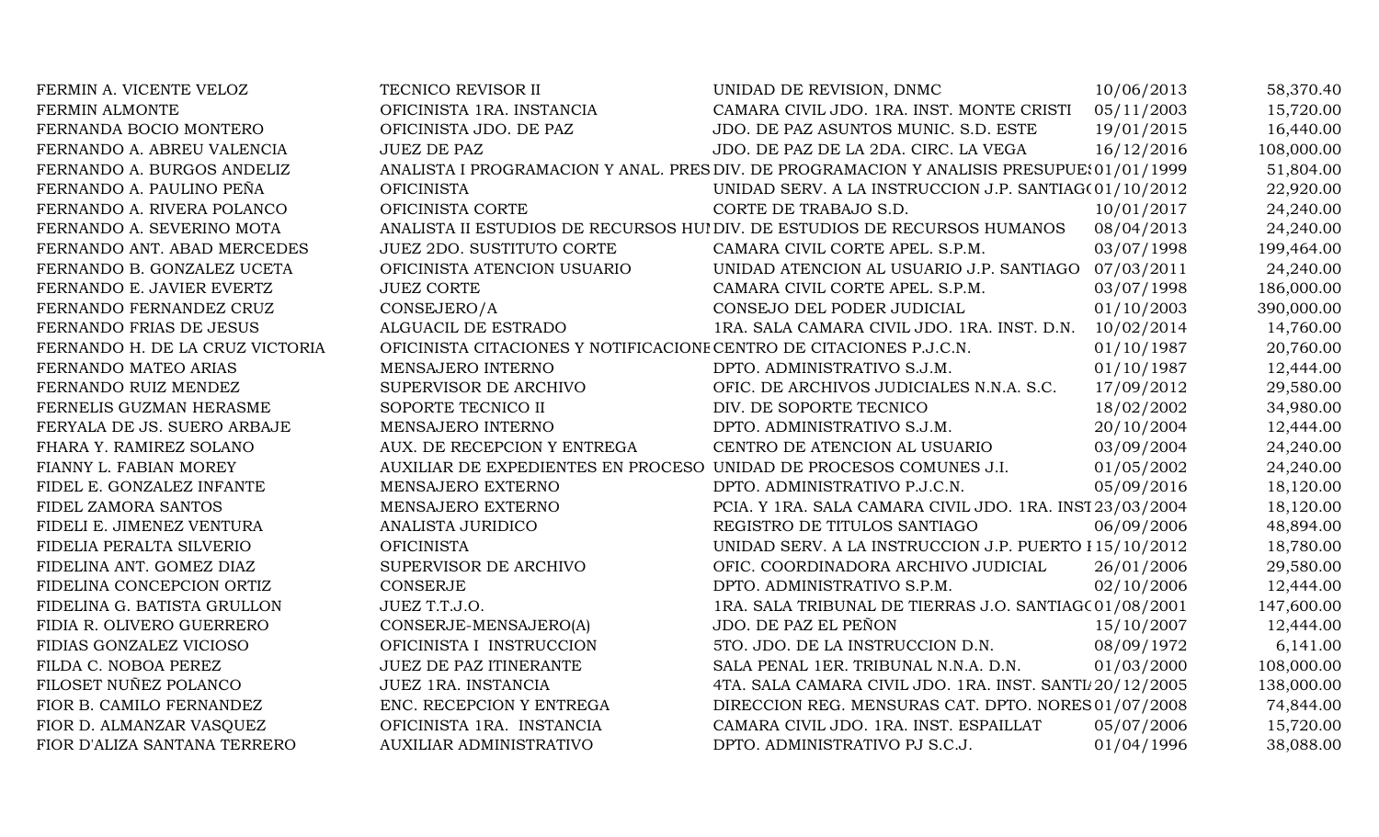| FERMIN A. VICENTE VELOZ         | TECNICO REVISOR II                                                  | UNIDAD DE REVISION, DNMC                                                                  | 10/06/2013 | 58,370.40  |
|---------------------------------|---------------------------------------------------------------------|-------------------------------------------------------------------------------------------|------------|------------|
| FERMIN ALMONTE                  | OFICINISTA 1RA. INSTANCIA                                           | CAMARA CIVIL JDO. 1RA. INST. MONTE CRISTI                                                 | 05/11/2003 | 15,720.00  |
| FERNANDA BOCIO MONTERO          | OFICINISTA JDO. DE PAZ                                              | JDO. DE PAZ ASUNTOS MUNIC. S.D. ESTE                                                      | 19/01/2015 | 16,440.00  |
| FERNANDO A. ABREU VALENCIA      | <b>JUEZ DE PAZ</b>                                                  | JDO. DE PAZ DE LA 2DA. CIRC. LA VEGA                                                      | 16/12/2016 | 108,000.00 |
| FERNANDO A. BURGOS ANDELIZ      |                                                                     | ANALISTA I PROGRAMACION Y ANAL. PRES DIV. DE PROGRAMACION Y ANALISIS PRESUPUE: 01/01/1999 |            | 51,804.00  |
| FERNANDO A. PAULINO PEÑA        | <b>OFICINISTA</b>                                                   | UNIDAD SERV. A LA INSTRUCCION J.P. SANTIAG(01/10/2012                                     |            | 22,920.00  |
| FERNANDO A. RIVERA POLANCO      | OFICINISTA CORTE                                                    | CORTE DE TRABAJO S.D.                                                                     | 10/01/2017 | 24,240.00  |
| FERNANDO A. SEVERINO MOTA       |                                                                     | ANALISTA II ESTUDIOS DE RECURSOS HUIDIV. DE ESTUDIOS DE RECURSOS HUMANOS                  | 08/04/2013 | 24,240.00  |
| FERNANDO ANT. ABAD MERCEDES     | <b>JUEZ 2DO. SUSTITUTO CORTE</b>                                    | CAMARA CIVIL CORTE APEL. S.P.M.                                                           | 03/07/1998 | 199,464.00 |
| FERNANDO B. GONZALEZ UCETA      | OFICINISTA ATENCION USUARIO                                         | UNIDAD ATENCION AL USUARIO J.P. SANTIAGO 07/03/2011                                       |            | 24,240.00  |
| FERNANDO E. JAVIER EVERTZ       | <b>JUEZ CORTE</b>                                                   | CAMARA CIVIL CORTE APEL. S.P.M.                                                           | 03/07/1998 | 186,000.00 |
| FERNANDO FERNANDEZ CRUZ         | CONSEJERO/A                                                         | CONSEJO DEL PODER JUDICIAL                                                                | 01/10/2003 | 390,000.00 |
| FERNANDO FRIAS DE JESUS         | ALGUACIL DE ESTRADO                                                 | 1RA. SALA CAMARA CIVIL JDO. 1RA. INST. D.N. 10/02/2014                                    |            | 14,760.00  |
| FERNANDO H. DE LA CRUZ VICTORIA | OFICINISTA CITACIONES Y NOTIFICACIONE CENTRO DE CITACIONES P.J.C.N. |                                                                                           | 01/10/1987 | 20,760.00  |
| FERNANDO MATEO ARIAS            | MENSAJERO INTERNO                                                   | DPTO. ADMINISTRATIVO S.J.M.                                                               | 01/10/1987 | 12,444.00  |
| FERNANDO RUIZ MENDEZ            | SUPERVISOR DE ARCHIVO                                               | OFIC. DE ARCHIVOS JUDICIALES N.N.A. S.C.                                                  | 17/09/2012 | 29,580.00  |
| FERNELIS GUZMAN HERASME         | SOPORTE TECNICO II                                                  | DIV. DE SOPORTE TECNICO                                                                   | 18/02/2002 | 34,980.00  |
| FERYALA DE JS. SUERO ARBAJE     | MENSAJERO INTERNO                                                   | DPTO. ADMINISTRATIVO S.J.M.                                                               | 20/10/2004 | 12,444.00  |
| FHARA Y. RAMIREZ SOLANO         | AUX. DE RECEPCION Y ENTREGA                                         | CENTRO DE ATENCION AL USUARIO                                                             | 03/09/2004 | 24,240.00  |
| FIANNY L. FABIAN MOREY          | AUXILIAR DE EXPEDIENTES EN PROCESO UNIDAD DE PROCESOS COMUNES J.I.  |                                                                                           | 01/05/2002 | 24,240.00  |
| FIDEL E. GONZALEZ INFANTE       | MENSAJERO EXTERNO                                                   | DPTO. ADMINISTRATIVO P.J.C.N.                                                             | 05/09/2016 | 18,120.00  |
| FIDEL ZAMORA SANTOS             | MENSAJERO EXTERNO                                                   | PCIA. Y 1RA. SALA CAMARA CIVIL JDO. 1RA. INST 23/03/2004                                  |            | 18,120.00  |
| FIDELI E. JIMENEZ VENTURA       | ANALISTA JURIDICO                                                   | REGISTRO DE TITULOS SANTIAGO                                                              | 06/09/2006 | 48,894.00  |
| FIDELIA PERALTA SILVERIO        | <b>OFICINISTA</b>                                                   | UNIDAD SERV. A LA INSTRUCCION J.P. PUERTO 115/10/2012                                     |            | 18,780.00  |
| FIDELINA ANT. GOMEZ DIAZ        | SUPERVISOR DE ARCHIVO                                               | OFIC. COORDINADORA ARCHIVO JUDICIAL                                                       | 26/01/2006 | 29,580.00  |
| FIDELINA CONCEPCION ORTIZ       | <b>CONSERJE</b>                                                     | DPTO. ADMINISTRATIVO S.P.M.                                                               | 02/10/2006 | 12,444.00  |
| FIDELINA G. BATISTA GRULLON     | JUEZ T.T.J.O.                                                       | 1RA. SALA TRIBUNAL DE TIERRAS J.O. SANTIAG(01/08/2001)                                    |            | 147,600.00 |
| FIDIA R. OLIVERO GUERRERO       | CONSERJE-MENSAJERO(A)                                               | JDO. DE PAZ EL PEÑON                                                                      | 15/10/2007 | 12,444.00  |
| FIDIAS GONZALEZ VICIOSO         | OFICINISTA I INSTRUCCION                                            | 5TO. JDO. DE LA INSTRUCCION D.N.                                                          | 08/09/1972 | 6,141.00   |
| FILDA C. NOBOA PEREZ            | JUEZ DE PAZ ITINERANTE                                              | SALA PENAL 1ER. TRIBUNAL N.N.A. D.N.                                                      | 01/03/2000 | 108,000.00 |
| FILOSET NUÑEZ POLANCO           | JUEZ 1RA. INSTANCIA                                                 | 4TA. SALA CAMARA CIVIL JDO. 1RA. INST. SANTI/20/12/2005                                   |            | 138,000.00 |
| FIOR B. CAMILO FERNANDEZ        | ENC. RECEPCION Y ENTREGA                                            | DIRECCION REG. MENSURAS CAT. DPTO. NORES 01/07/2008                                       |            | 74,844.00  |
| FIOR D. ALMANZAR VASQUEZ        | OFICINISTA 1RA. INSTANCIA                                           | CAMARA CIVIL JDO. 1RA. INST. ESPAILLAT                                                    | 05/07/2006 | 15,720.00  |
| FIOR D'ALIZA SANTANA TERRERO    | <b>AUXILIAR ADMINISTRATIVO</b>                                      | DPTO. ADMINISTRATIVO PJ S.C.J.                                                            | 01/04/1996 | 38,088.00  |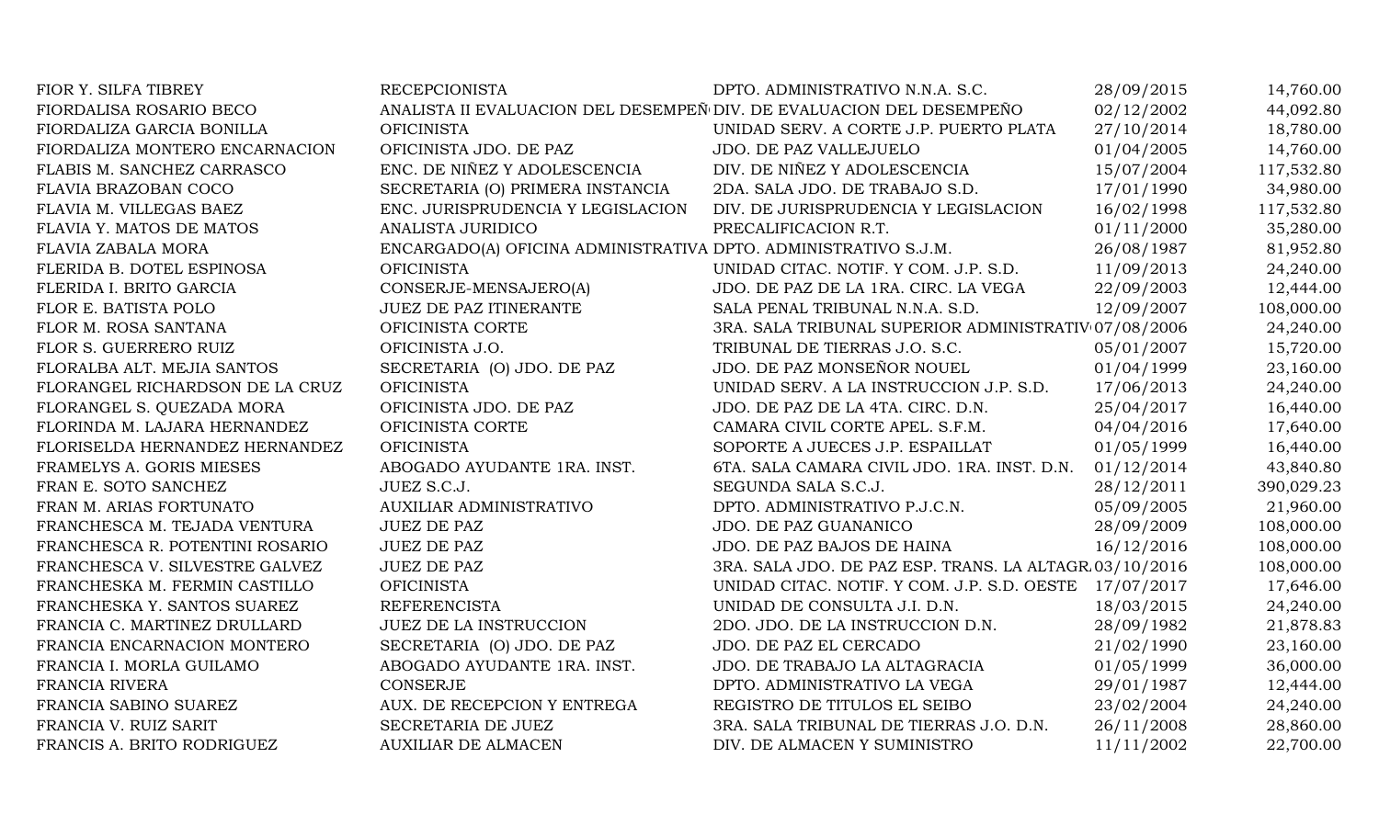| FIOR Y. SILFA TIBREY            | <b>RECEPCIONISTA</b>                                                 | DPTO. ADMINISTRATIVO N.N.A. S.C.                       | 28/09/2015 | 14,760.00  |
|---------------------------------|----------------------------------------------------------------------|--------------------------------------------------------|------------|------------|
| FIORDALISA ROSARIO BECO         | ANALISTA II EVALUACION DEL DESEMPEÑ DIV. DE EVALUACION DEL DESEMPEÑO |                                                        | 02/12/2002 | 44,092.80  |
| FIORDALIZA GARCIA BONILLA       | <b>OFICINISTA</b>                                                    | UNIDAD SERV. A CORTE J.P. PUERTO PLATA                 | 27/10/2014 | 18,780.00  |
| FIORDALIZA MONTERO ENCARNACION  | OFICINISTA JDO. DE PAZ                                               | JDO. DE PAZ VALLEJUELO                                 | 01/04/2005 | 14,760.00  |
| FLABIS M. SANCHEZ CARRASCO      | ENC. DE NIÑEZ Y ADOLESCENCIA                                         | DIV. DE NIÑEZ Y ADOLESCENCIA                           | 15/07/2004 | 117,532.80 |
| FLAVIA BRAZOBAN COCO            | SECRETARIA (O) PRIMERA INSTANCIA                                     | 2DA. SALA JDO. DE TRABAJO S.D.                         | 17/01/1990 | 34,980.00  |
| FLAVIA M. VILLEGAS BAEZ         | ENC. JURISPRUDENCIA Y LEGISLACION                                    | DIV. DE JURISPRUDENCIA Y LEGISLACION                   | 16/02/1998 | 117,532.80 |
| FLAVIA Y. MATOS DE MATOS        | ANALISTA JURIDICO                                                    | PRECALIFICACION R.T.                                   | 01/11/2000 | 35,280.00  |
| FLAVIA ZABALA MORA              | ENCARGADO(A) OFICINA ADMINISTRATIVA DPTO. ADMINISTRATIVO S.J.M.      |                                                        | 26/08/1987 | 81,952.80  |
| FLERIDA B. DOTEL ESPINOSA       | <b>OFICINISTA</b>                                                    | UNIDAD CITAC. NOTIF. Y COM. J.P. S.D.                  | 11/09/2013 | 24,240.00  |
| FLERIDA I. BRITO GARCIA         | CONSERJE-MENSAJERO(A)                                                | JDO. DE PAZ DE LA 1RA. CIRC. LA VEGA                   | 22/09/2003 | 12,444.00  |
| FLOR E. BATISTA POLO            | <b>JUEZ DE PAZ ITINERANTE</b>                                        | SALA PENAL TRIBUNAL N.N.A. S.D.                        | 12/09/2007 | 108,000.00 |
| FLOR M. ROSA SANTANA            | OFICINISTA CORTE                                                     | 3RA. SALA TRIBUNAL SUPERIOR ADMINISTRATIV 07/08/2006   |            | 24,240.00  |
| FLOR S. GUERRERO RUIZ           | OFICINISTA J.O.                                                      | TRIBUNAL DE TIERRAS J.O. S.C.                          | 05/01/2007 | 15,720.00  |
| FLORALBA ALT. MEJIA SANTOS      | SECRETARIA (O) JDO. DE PAZ                                           | JDO. DE PAZ MONSEÑOR NOUEL                             | 01/04/1999 | 23,160.00  |
| FLORANGEL RICHARDSON DE LA CRUZ | <b>OFICINISTA</b>                                                    | UNIDAD SERV. A LA INSTRUCCION J.P. S.D.                | 17/06/2013 | 24,240.00  |
| FLORANGEL S. QUEZADA MORA       | OFICINISTA JDO. DE PAZ                                               | JDO. DE PAZ DE LA 4TA. CIRC. D.N.                      | 25/04/2017 | 16,440.00  |
| FLORINDA M. LAJARA HERNANDEZ    | OFICINISTA CORTE                                                     | CAMARA CIVIL CORTE APEL. S.F.M.                        | 04/04/2016 | 17,640.00  |
| FLORISELDA HERNANDEZ HERNANDEZ  | <b>OFICINISTA</b>                                                    | SOPORTE A JUECES J.P. ESPAILLAT                        | 01/05/1999 | 16,440.00  |
| FRAMELYS A. GORIS MIESES        | ABOGADO AYUDANTE 1RA. INST.                                          | 6TA. SALA CAMARA CIVIL JDO. 1RA. INST. D.N.            | 01/12/2014 | 43,840.80  |
| FRAN E. SOTO SANCHEZ            | JUEZ S.C.J.                                                          | SEGUNDA SALA S.C.J.                                    | 28/12/2011 | 390,029.23 |
| FRAN M. ARIAS FORTUNATO         | AUXILIAR ADMINISTRATIVO                                              | DPTO. ADMINISTRATIVO P.J.C.N.                          | 05/09/2005 | 21,960.00  |
| FRANCHESCA M. TEJADA VENTURA    | <b>JUEZ DE PAZ</b>                                                   | JDO. DE PAZ GUANANICO                                  | 28/09/2009 | 108,000.00 |
| FRANCHESCA R. POTENTINI ROSARIO | <b>JUEZ DE PAZ</b>                                                   | JDO. DE PAZ BAJOS DE HAINA                             | 16/12/2016 | 108,000.00 |
| FRANCHESCA V. SILVESTRE GALVEZ  | <b>JUEZ DE PAZ</b>                                                   | 3RA. SALA JDO. DE PAZ ESP. TRANS. LA ALTAGR 03/10/2016 |            | 108,000.00 |
| FRANCHESKA M. FERMIN CASTILLO   | <b>OFICINISTA</b>                                                    | UNIDAD CITAC. NOTIF. Y COM. J.P. S.D. OESTE            | 17/07/2017 | 17,646.00  |
| FRANCHESKA Y. SANTOS SUAREZ     | <b>REFERENCISTA</b>                                                  | UNIDAD DE CONSULTA J.I. D.N.                           | 18/03/2015 | 24,240.00  |
| FRANCIA C. MARTINEZ DRULLARD    | JUEZ DE LA INSTRUCCION                                               | 2DO. JDO. DE LA INSTRUCCION D.N.                       | 28/09/1982 | 21,878.83  |
| FRANCIA ENCARNACION MONTERO     | SECRETARIA (O) JDO. DE PAZ                                           | JDO. DE PAZ EL CERCADO                                 | 21/02/1990 | 23,160.00  |
| FRANCIA I. MORLA GUILAMO        | ABOGADO AYUDANTE 1RA. INST.                                          | JDO. DE TRABAJO LA ALTAGRACIA                          | 01/05/1999 | 36,000.00  |
| FRANCIA RIVERA                  | <b>CONSERJE</b>                                                      | DPTO. ADMINISTRATIVO LA VEGA                           | 29/01/1987 | 12,444.00  |
| FRANCIA SABINO SUAREZ           | AUX. DE RECEPCION Y ENTREGA                                          | REGISTRO DE TITULOS EL SEIBO                           | 23/02/2004 | 24,240.00  |
| FRANCIA V. RUIZ SARIT           | SECRETARIA DE JUEZ                                                   | 3RA. SALA TRIBUNAL DE TIERRAS J.O. D.N.                | 26/11/2008 | 28,860.00  |
| FRANCIS A. BRITO RODRIGUEZ      | <b>AUXILIAR DE ALMACEN</b>                                           | DIV. DE ALMACEN Y SUMINISTRO                           | 11/11/2002 | 22,700.00  |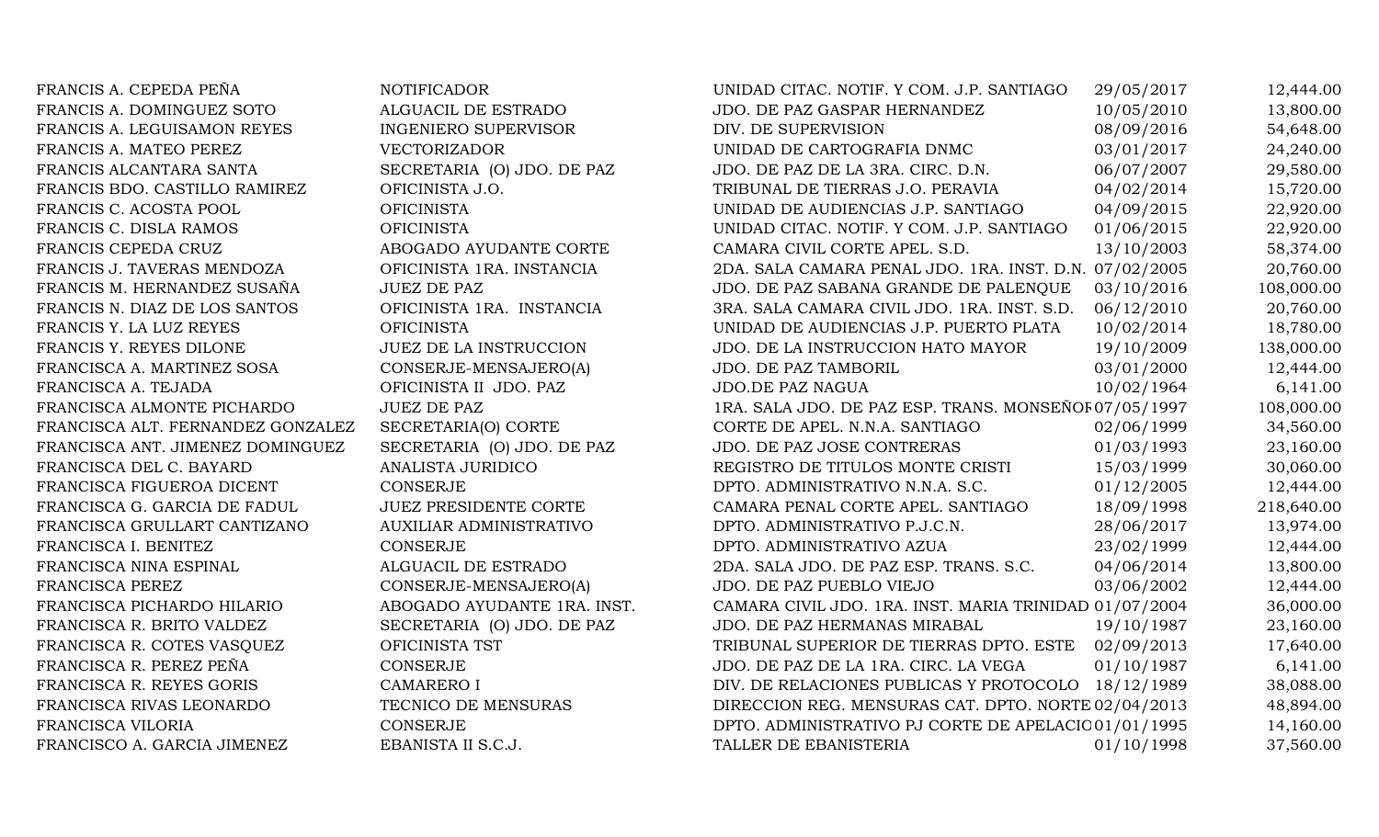| FRANCIS A. CEPEDA PEÑA            | <b>NOTIFICADOR</b>             | UNIDAD CITAC. NOTIF. Y COM. J.P. SANTIAGO              | 29/05/2017 | 12,444.00  |
|-----------------------------------|--------------------------------|--------------------------------------------------------|------------|------------|
| FRANCIS A. DOMINGUEZ SOTO         | ALGUACIL DE ESTRADO            | JDO. DE PAZ GASPAR HERNANDEZ                           | 10/05/2010 | 13,800.00  |
| FRANCIS A. LEGUISAMON REYES       | <b>INGENIERO SUPERVISOR</b>    | DIV. DE SUPERVISION                                    | 08/09/2016 | 54,648.00  |
| FRANCIS A. MATEO PEREZ            | <b>VECTORIZADOR</b>            | UNIDAD DE CARTOGRAFIA DNMC                             | 03/01/2017 | 24,240.00  |
| FRANCIS ALCANTARA SANTA           | SECRETARIA (O) JDO. DE PAZ     | JDO. DE PAZ DE LA 3RA. CIRC. D.N.                      | 06/07/2007 | 29,580.00  |
| FRANCIS BDO. CASTILLO RAMIREZ     | OFICINISTA J.O.                | TRIBUNAL DE TIERRAS J.O. PERAVIA                       | 04/02/2014 | 15,720.00  |
| FRANCIS C. ACOSTA POOL            | <b>OFICINISTA</b>              | UNIDAD DE AUDIENCIAS J.P. SANTIAGO                     | 04/09/2015 | 22,920.00  |
| FRANCIS C. DISLA RAMOS            | <b>OFICINISTA</b>              | UNIDAD CITAC. NOTIF. Y COM. J.P. SANTIAGO              | 01/06/2015 | 22,920.00  |
| FRANCIS CEPEDA CRUZ               | ABOGADO AYUDANTE CORTE         | CAMARA CIVIL CORTE APEL. S.D.                          | 13/10/2003 | 58,374.00  |
| FRANCIS J. TAVERAS MENDOZA        | OFICINISTA 1RA. INSTANCIA      | 2DA. SALA CAMARA PENAL JDO. 1RA. INST. D.N. 07/02/2005 |            | 20,760.00  |
| FRANCIS M. HERNANDEZ SUSAÑA       | <b>JUEZ DE PAZ</b>             | JDO. DE PAZ SABANA GRANDE DE PALENQUE                  | 03/10/2016 | 108,000.00 |
| FRANCIS N. DIAZ DE LOS SANTOS     | OFICINISTA 1RA. INSTANCIA      | 3RA. SALA CAMARA CIVIL JDO. 1RA. INST. S.D.            | 06/12/2010 | 20,760.00  |
| FRANCIS Y. LA LUZ REYES           | <b>OFICINISTA</b>              | UNIDAD DE AUDIENCIAS J.P. PUERTO PLATA                 | 10/02/2014 | 18,780.00  |
| FRANCIS Y. REYES DILONE           | JUEZ DE LA INSTRUCCION         | JDO. DE LA INSTRUCCION HATO MAYOR                      | 19/10/2009 | 138,000.00 |
| FRANCISCA A. MARTINEZ SOSA        | CONSERJE-MENSAJERO(A)          | JDO. DE PAZ TAMBORIL                                   | 03/01/2000 | 12,444.00  |
| FRANCISCA A. TEJADA               | OFICINISTA II JDO. PAZ         | JDO.DE PAZ NAGUA                                       | 10/02/1964 | 6,141.00   |
| FRANCISCA ALMONTE PICHARDO        | <b>JUEZ DE PAZ</b>             | 1RA. SALA JDO. DE PAZ ESP. TRANS. MONSEÑOF 07/05/1997  |            | 108,000.00 |
| FRANCISCA ALT. FERNANDEZ GONZALEZ | SECRETARIA(O) CORTE            | CORTE DE APEL. N.N.A. SANTIAGO                         | 02/06/1999 | 34,560.00  |
| FRANCISCA ANT. JIMENEZ DOMINGUEZ  | SECRETARIA (O) JDO. DE PAZ     | JDO. DE PAZ JOSE CONTRERAS                             | 01/03/1993 | 23,160.00  |
| FRANCISCA DEL C. BAYARD           | ANALISTA JURIDICO              | REGISTRO DE TITULOS MONTE CRISTI                       | 15/03/1999 | 30,060.00  |
| FRANCISCA FIGUEROA DICENT         | CONSERJE                       | DPTO. ADMINISTRATIVO N.N.A. S.C.                       | 01/12/2005 | 12,444.00  |
| FRANCISCA G. GARCIA DE FADUL      | <b>JUEZ PRESIDENTE CORTE</b>   | CAMARA PENAL CORTE APEL. SANTIAGO                      | 18/09/1998 | 218,640.00 |
| FRANCISCA GRULLART CANTIZANO      | <b>AUXILIAR ADMINISTRATIVO</b> | DPTO. ADMINISTRATIVO P.J.C.N.                          | 28/06/2017 | 13,974.00  |
| FRANCISCA I. BENITEZ              | CONSERJE                       | DPTO. ADMINISTRATIVO AZUA                              | 23/02/1999 | 12,444.00  |
| FRANCISCA NINA ESPINAL            | ALGUACIL DE ESTRADO            | 2DA. SALA JDO. DE PAZ ESP. TRANS. S.C.                 | 04/06/2014 | 13,800.00  |
| FRANCISCA PEREZ                   | CONSERJE-MENSAJERO(A)          | JDO. DE PAZ PUEBLO VIEJO                               | 03/06/2002 | 12,444.00  |
| FRANCISCA PICHARDO HILARIO        | ABOGADO AYUDANTE 1RA. INST.    | CAMARA CIVIL JDO. 1RA. INST. MARIA TRINIDAD 01/07/2004 |            | 36,000.00  |
| FRANCISCA R. BRITO VALDEZ         | SECRETARIA (O) JDO. DE PAZ     | JDO. DE PAZ HERMANAS MIRABAL                           | 19/10/1987 | 23,160.00  |
| FRANCISCA R. COTES VASQUEZ        | OFICINISTA TST                 | TRIBUNAL SUPERIOR DE TIERRAS DPTO. ESTE                | 02/09/2013 | 17,640.00  |
| FRANCISCA R. PEREZ PEÑA           | <b>CONSERJE</b>                | JDO. DE PAZ DE LA 1RA. CIRC. LA VEGA                   | 01/10/1987 | 6,141.00   |
| FRANCISCA R. REYES GORIS          | <b>CAMARERO I</b>              | DIV. DE RELACIONES PUBLICAS Y PROTOCOLO 18/12/1989     |            | 38,088.00  |
| FRANCISCA RIVAS LEONARDO          | TECNICO DE MENSURAS            | DIRECCION REG. MENSURAS CAT. DPTO. NORTE 02/04/2013    |            | 48,894.00  |
| FRANCISCA VILORIA                 | <b>CONSERJE</b>                | DPTO. ADMINISTRATIVO PJ CORTE DE APELACIO 01/01/1995   |            | 14,160.00  |
| FRANCISCO A. GARCIA JIMENEZ       | EBANISTA II S.C.J.             | TALLER DE EBANISTERIA                                  | 01/10/1998 | 37,560.00  |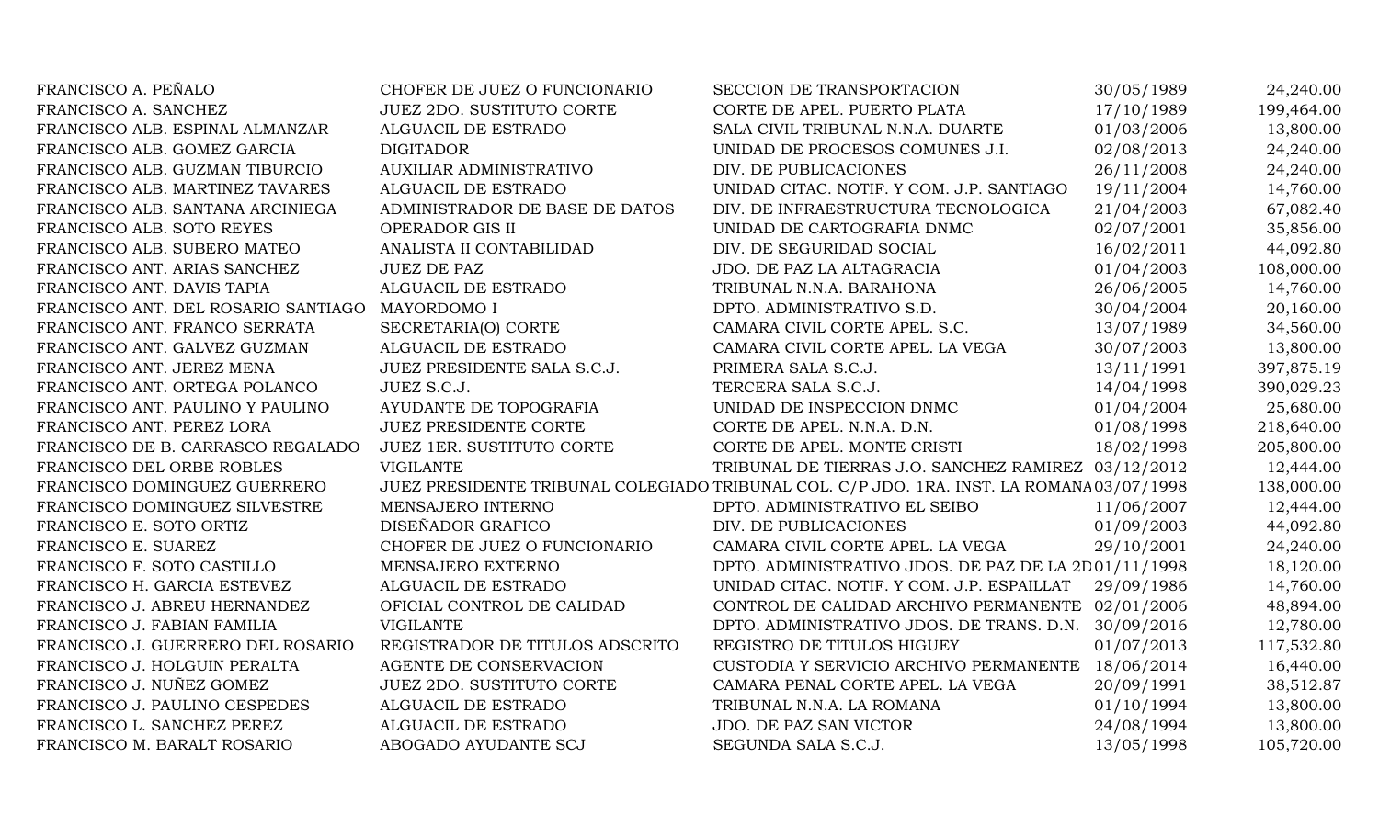| FRANCISCO A. PEÑALO                 | CHOFER DE JUEZ O FUNCIONARIO     | SECCION DE TRANSPORTACION                                                                 | 30/05/1989 | 24,240.00  |
|-------------------------------------|----------------------------------|-------------------------------------------------------------------------------------------|------------|------------|
| FRANCISCO A. SANCHEZ                | <b>JUEZ 2DO. SUSTITUTO CORTE</b> | CORTE DE APEL. PUERTO PLATA                                                               | 17/10/1989 | 199,464.00 |
| FRANCISCO ALB. ESPINAL ALMANZAR     | ALGUACIL DE ESTRADO              | SALA CIVIL TRIBUNAL N.N.A. DUARTE                                                         | 01/03/2006 | 13,800.00  |
| FRANCISCO ALB. GOMEZ GARCIA         | <b>DIGITADOR</b>                 | UNIDAD DE PROCESOS COMUNES J.I.                                                           | 02/08/2013 | 24,240.00  |
| FRANCISCO ALB. GUZMAN TIBURCIO      | AUXILIAR ADMINISTRATIVO          | DIV. DE PUBLICACIONES                                                                     | 26/11/2008 | 24,240.00  |
| FRANCISCO ALB. MARTINEZ TAVARES     | ALGUACIL DE ESTRADO              | UNIDAD CITAC. NOTIF. Y COM. J.P. SANTIAGO                                                 | 19/11/2004 | 14,760.00  |
| FRANCISCO ALB. SANTANA ARCINIEGA    | ADMINISTRADOR DE BASE DE DATOS   | DIV. DE INFRAESTRUCTURA TECNOLOGICA                                                       | 21/04/2003 | 67,082.40  |
| FRANCISCO ALB. SOTO REYES           | OPERADOR GIS II                  | UNIDAD DE CARTOGRAFIA DNMC                                                                | 02/07/2001 | 35,856.00  |
| FRANCISCO ALB. SUBERO MATEO         | ANALISTA II CONTABILIDAD         | DIV. DE SEGURIDAD SOCIAL                                                                  | 16/02/2011 | 44,092.80  |
| FRANCISCO ANT. ARIAS SANCHEZ        | <b>JUEZ DE PAZ</b>               | JDO. DE PAZ LA ALTAGRACIA                                                                 | 01/04/2003 | 108,000.00 |
| FRANCISCO ANT. DAVIS TAPIA          | ALGUACIL DE ESTRADO              | TRIBUNAL N.N.A. BARAHONA                                                                  | 26/06/2005 | 14,760.00  |
| FRANCISCO ANT. DEL ROSARIO SANTIAGO | MAYORDOMO I                      | DPTO. ADMINISTRATIVO S.D.                                                                 | 30/04/2004 | 20,160.00  |
| FRANCISCO ANT. FRANCO SERRATA       | SECRETARIA(O) CORTE              | CAMARA CIVIL CORTE APEL. S.C.                                                             | 13/07/1989 | 34,560.00  |
| FRANCISCO ANT. GALVEZ GUZMAN        | ALGUACIL DE ESTRADO              | CAMARA CIVIL CORTE APEL. LA VEGA                                                          | 30/07/2003 | 13,800.00  |
| FRANCISCO ANT. JEREZ MENA           | JUEZ PRESIDENTE SALA S.C.J.      | PRIMERA SALA S.C.J.                                                                       | 13/11/1991 | 397,875.19 |
| FRANCISCO ANT. ORTEGA POLANCO       | JUEZ S.C.J.                      | TERCERA SALA S.C.J.                                                                       | 14/04/1998 | 390,029.23 |
| FRANCISCO ANT. PAULINO Y PAULINO    | AYUDANTE DE TOPOGRAFIA           | UNIDAD DE INSPECCION DNMC                                                                 | 01/04/2004 | 25,680.00  |
| FRANCISCO ANT. PEREZ LORA           | <b>JUEZ PRESIDENTE CORTE</b>     | CORTE DE APEL. N.N.A. D.N.                                                                | 01/08/1998 | 218,640.00 |
| FRANCISCO DE B. CARRASCO REGALADO   | JUEZ 1ER. SUSTITUTO CORTE        | CORTE DE APEL. MONTE CRISTI                                                               | 18/02/1998 | 205,800.00 |
| FRANCISCO DEL ORBE ROBLES           | <b>VIGILANTE</b>                 | TRIBUNAL DE TIERRAS J.O. SANCHEZ RAMIREZ 03/12/2012                                       |            | 12,444.00  |
| FRANCISCO DOMINGUEZ GUERRERO        |                                  | JUEZ PRESIDENTE TRIBUNAL COLEGIADO TRIBUNAL COL. C/P JDO. 1RA. INST. LA ROMANA 03/07/1998 |            | 138,000.00 |
| FRANCISCO DOMINGUEZ SILVESTRE       | MENSAJERO INTERNO                | DPTO. ADMINISTRATIVO EL SEIBO                                                             | 11/06/2007 | 12,444.00  |
| FRANCISCO E. SOTO ORTIZ             | DISEÑADOR GRAFICO                | DIV. DE PUBLICACIONES                                                                     | 01/09/2003 | 44,092.80  |
| FRANCISCO E. SUAREZ                 | CHOFER DE JUEZ O FUNCIONARIO     | CAMARA CIVIL CORTE APEL. LA VEGA                                                          | 29/10/2001 | 24,240.00  |
| FRANCISCO F. SOTO CASTILLO          | MENSAJERO EXTERNO                | DPTO. ADMINISTRATIVO JDOS. DE PAZ DE LA 2D01/11/1998                                      |            | 18,120.00  |
| FRANCISCO H. GARCIA ESTEVEZ         | ALGUACIL DE ESTRADO              | UNIDAD CITAC. NOTIF. Y COM. J.P. ESPAILLAT                                                | 29/09/1986 | 14,760.00  |
| FRANCISCO J. ABREU HERNANDEZ        | OFICIAL CONTROL DE CALIDAD       | CONTROL DE CALIDAD ARCHIVO PERMANENTE 02/01/2006                                          |            | 48,894.00  |
| FRANCISCO J. FABIAN FAMILIA         | <b>VIGILANTE</b>                 | DPTO. ADMINISTRATIVO JDOS. DE TRANS. D.N. 30/09/2016                                      |            | 12,780.00  |
| FRANCISCO J. GUERRERO DEL ROSARIO   | REGISTRADOR DE TITULOS ADSCRITO  | REGISTRO DE TITULOS HIGUEY                                                                | 01/07/2013 | 117,532.80 |
| FRANCISCO J. HOLGUIN PERALTA        | AGENTE DE CONSERVACION           | CUSTODIA Y SERVICIO ARCHIVO PERMANENTE                                                    | 18/06/2014 | 16,440.00  |
| FRANCISCO J. NUÑEZ GOMEZ            | <b>JUEZ 2DO. SUSTITUTO CORTE</b> | CAMARA PENAL CORTE APEL. LA VEGA                                                          | 20/09/1991 | 38,512.87  |
| FRANCISCO J. PAULINO CESPEDES       | ALGUACIL DE ESTRADO              | TRIBUNAL N.N.A. LA ROMANA                                                                 | 01/10/1994 | 13,800.00  |
| FRANCISCO L. SANCHEZ PEREZ          | ALGUACIL DE ESTRADO              | JDO. DE PAZ SAN VICTOR                                                                    | 24/08/1994 | 13,800.00  |
| FRANCISCO M. BARALT ROSARIO         | ABOGADO AYUDANTE SCJ             | SEGUNDA SALA S.C.J.                                                                       | 13/05/1998 | 105,720.00 |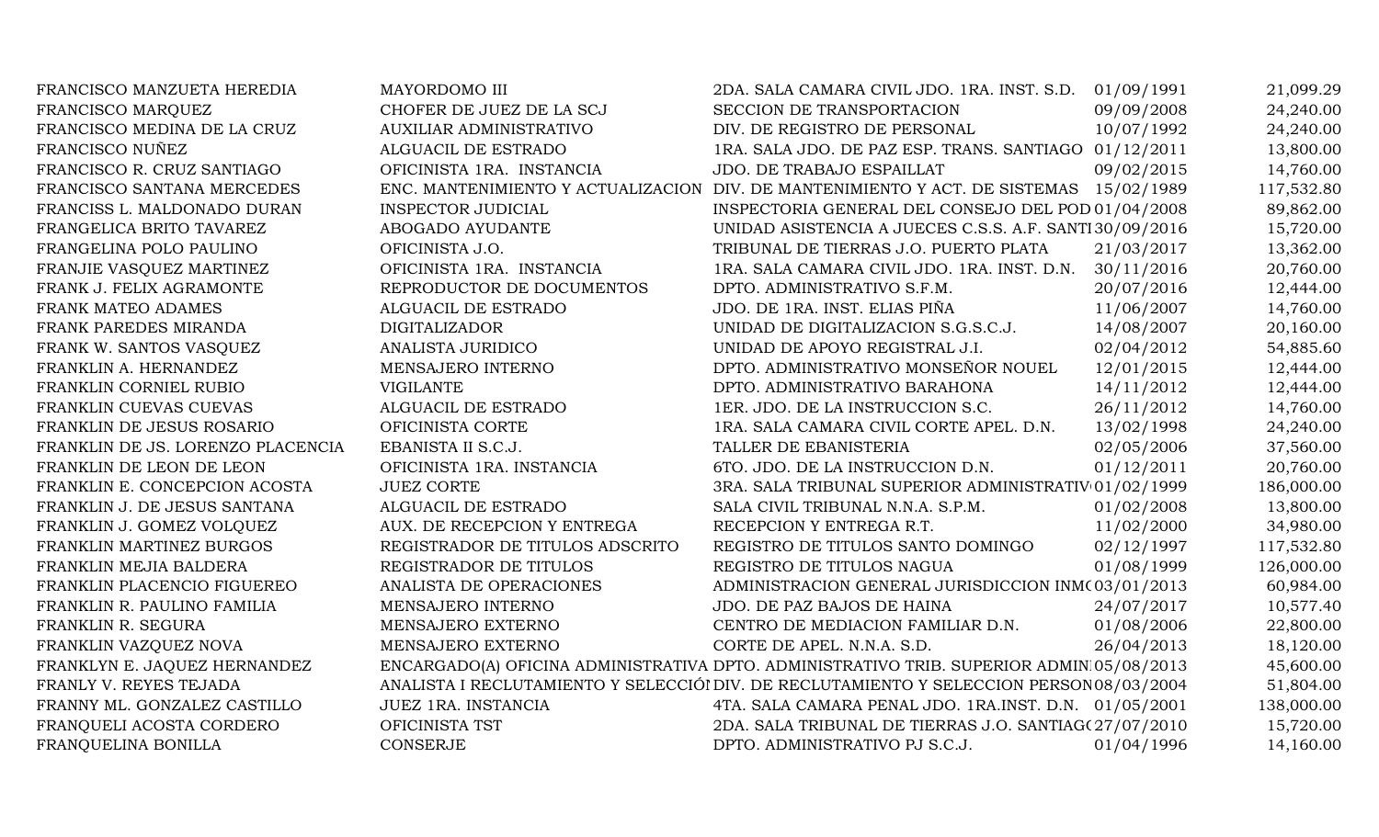| FRANCISCO MANZUETA HEREDIA        | MAYORDOMO III                   | 2DA. SALA CAMARA CIVIL JDO. 1RA. INST. S.D. 01/09/1991                                   |            | 21,099.29  |
|-----------------------------------|---------------------------------|------------------------------------------------------------------------------------------|------------|------------|
| FRANCISCO MARQUEZ                 | CHOFER DE JUEZ DE LA SCJ        | SECCION DE TRANSPORTACION                                                                | 09/09/2008 | 24,240.00  |
| FRANCISCO MEDINA DE LA CRUZ       | AUXILIAR ADMINISTRATIVO         | DIV. DE REGISTRO DE PERSONAL                                                             | 10/07/1992 | 24,240.00  |
| FRANCISCO NUÑEZ                   | ALGUACIL DE ESTRADO             | 1RA. SALA JDO. DE PAZ ESP. TRANS. SANTIAGO 01/12/2011                                    |            | 13,800.00  |
| FRANCISCO R. CRUZ SANTIAGO        | OFICINISTA 1RA. INSTANCIA       | JDO. DE TRABAJO ESPAILLAT                                                                | 09/02/2015 | 14,760.00  |
| FRANCISCO SANTANA MERCEDES        |                                 | ENC. MANTENIMIENTO Y ACTUALIZACION DIV. DE MANTENIMIENTO Y ACT. DE SISTEMAS 15/02/1989   |            | 117,532.80 |
| FRANCISS L. MALDONADO DURAN       | <b>INSPECTOR JUDICIAL</b>       | INSPECTORIA GENERAL DEL CONSEJO DEL POD 01/04/2008                                       |            | 89,862.00  |
| FRANGELICA BRITO TAVAREZ          | ABOGADO AYUDANTE                | UNIDAD ASISTENCIA A JUECES C.S.S. A.F. SANTI 30/09/2016                                  |            | 15,720.00  |
| FRANGELINA POLO PAULINO           | OFICINISTA J.O.                 | TRIBUNAL DE TIERRAS J.O. PUERTO PLATA                                                    | 21/03/2017 | 13,362.00  |
| FRANJIE VASQUEZ MARTINEZ          | OFICINISTA 1RA. INSTANCIA       | 1RA. SALA CAMARA CIVIL JDO. 1RA. INST. D.N.                                              | 30/11/2016 | 20,760.00  |
| FRANK J. FELIX AGRAMONTE          | REPRODUCTOR DE DOCUMENTOS       | DPTO. ADMINISTRATIVO S.F.M.                                                              | 20/07/2016 | 12,444.00  |
| FRANK MATEO ADAMES                | ALGUACIL DE ESTRADO             | JDO. DE 1RA. INST. ELIAS PIÑA                                                            | 11/06/2007 | 14,760.00  |
| FRANK PAREDES MIRANDA             | <b>DIGITALIZADOR</b>            | UNIDAD DE DIGITALIZACION S.G.S.C.J.                                                      | 14/08/2007 | 20,160.00  |
| FRANK W. SANTOS VASQUEZ           | ANALISTA JURIDICO               | UNIDAD DE APOYO REGISTRAL J.I.                                                           | 02/04/2012 | 54,885.60  |
| FRANKLIN A. HERNANDEZ             | MENSAJERO INTERNO               | DPTO. ADMINISTRATIVO MONSEÑOR NOUEL                                                      | 12/01/2015 | 12,444.00  |
| FRANKLIN CORNIEL RUBIO            | <b>VIGILANTE</b>                | DPTO. ADMINISTRATIVO BARAHONA                                                            | 14/11/2012 | 12,444.00  |
| FRANKLIN CUEVAS CUEVAS            | ALGUACIL DE ESTRADO             | 1ER. JDO. DE LA INSTRUCCION S.C.                                                         | 26/11/2012 | 14,760.00  |
| FRANKLIN DE JESUS ROSARIO         | OFICINISTA CORTE                | 1RA. SALA CAMARA CIVIL CORTE APEL. D.N.                                                  | 13/02/1998 | 24,240.00  |
| FRANKLIN DE JS. LORENZO PLACENCIA | EBANISTA II S.C.J.              | TALLER DE EBANISTERIA                                                                    | 02/05/2006 | 37,560.00  |
| FRANKLIN DE LEON DE LEON          | OFICINISTA 1RA. INSTANCIA       | 6TO. JDO. DE LA INSTRUCCION D.N.                                                         | 01/12/2011 | 20,760.00  |
| FRANKLIN E. CONCEPCION ACOSTA     | <b>JUEZ CORTE</b>               | 3RA. SALA TRIBUNAL SUPERIOR ADMINISTRATIV 01/02/1999                                     |            | 186,000.00 |
| FRANKLIN J. DE JESUS SANTANA      | ALGUACIL DE ESTRADO             | SALA CIVIL TRIBUNAL N.N.A. S.P.M.                                                        | 01/02/2008 | 13,800.00  |
| FRANKLIN J. GOMEZ VOLQUEZ         | AUX. DE RECEPCION Y ENTREGA     | RECEPCION Y ENTREGA R.T.                                                                 | 11/02/2000 | 34,980.00  |
| FRANKLIN MARTINEZ BURGOS          | REGISTRADOR DE TITULOS ADSCRITO | REGISTRO DE TITULOS SANTO DOMINGO                                                        | 02/12/1997 | 117,532.80 |
| FRANKLIN MEJIA BALDERA            | REGISTRADOR DE TITULOS          | REGISTRO DE TITULOS NAGUA                                                                | 01/08/1999 | 126,000.00 |
| FRANKLIN PLACENCIO FIGUEREO       | ANALISTA DE OPERACIONES         | ADMINISTRACION GENERAL JURISDICCION INM(03/01/2013                                       |            | 60,984.00  |
| FRANKLIN R. PAULINO FAMILIA       | MENSAJERO INTERNO               | JDO. DE PAZ BAJOS DE HAINA                                                               | 24/07/2017 | 10,577.40  |
| FRANKLIN R. SEGURA                | MENSAJERO EXTERNO               | CENTRO DE MEDIACION FAMILIAR D.N.                                                        | 01/08/2006 | 22,800.00  |
| FRANKLIN VAZQUEZ NOVA             | MENSAJERO EXTERNO               | CORTE DE APEL. N.N.A. S.D.                                                               | 26/04/2013 | 18,120.00  |
| FRANKLYN E. JAQUEZ HERNANDEZ      |                                 | ENCARGADO(A) OFICINA ADMINISTRATIVA DPTO. ADMINISTRATIVO TRIB. SUPERIOR ADMIN 05/08/2013 |            | 45,600.00  |
| FRANLY V. REYES TEJADA            |                                 | ANALISTA I RECLUTAMIENTO Y SELECCIÓI DIV. DE RECLUTAMIENTO Y SELECCION PERSON 08/03/2004 |            | 51,804.00  |
| FRANNY ML. GONZALEZ CASTILLO      | JUEZ 1RA. INSTANCIA             | 4TA. SALA CAMARA PENAL JDO. 1RA.INST. D.N. 01/05/2001                                    |            | 138,000.00 |
| FRANQUELI ACOSTA CORDERO          | OFICINISTA TST                  | 2DA. SALA TRIBUNAL DE TIERRAS J.O. SANTIAG(27/07/2010                                    |            | 15,720.00  |
| FRANQUELINA BONILLA               | CONSERJE                        | DPTO. ADMINISTRATIVO PJ S.C.J.                                                           | 01/04/1996 | 14,160.00  |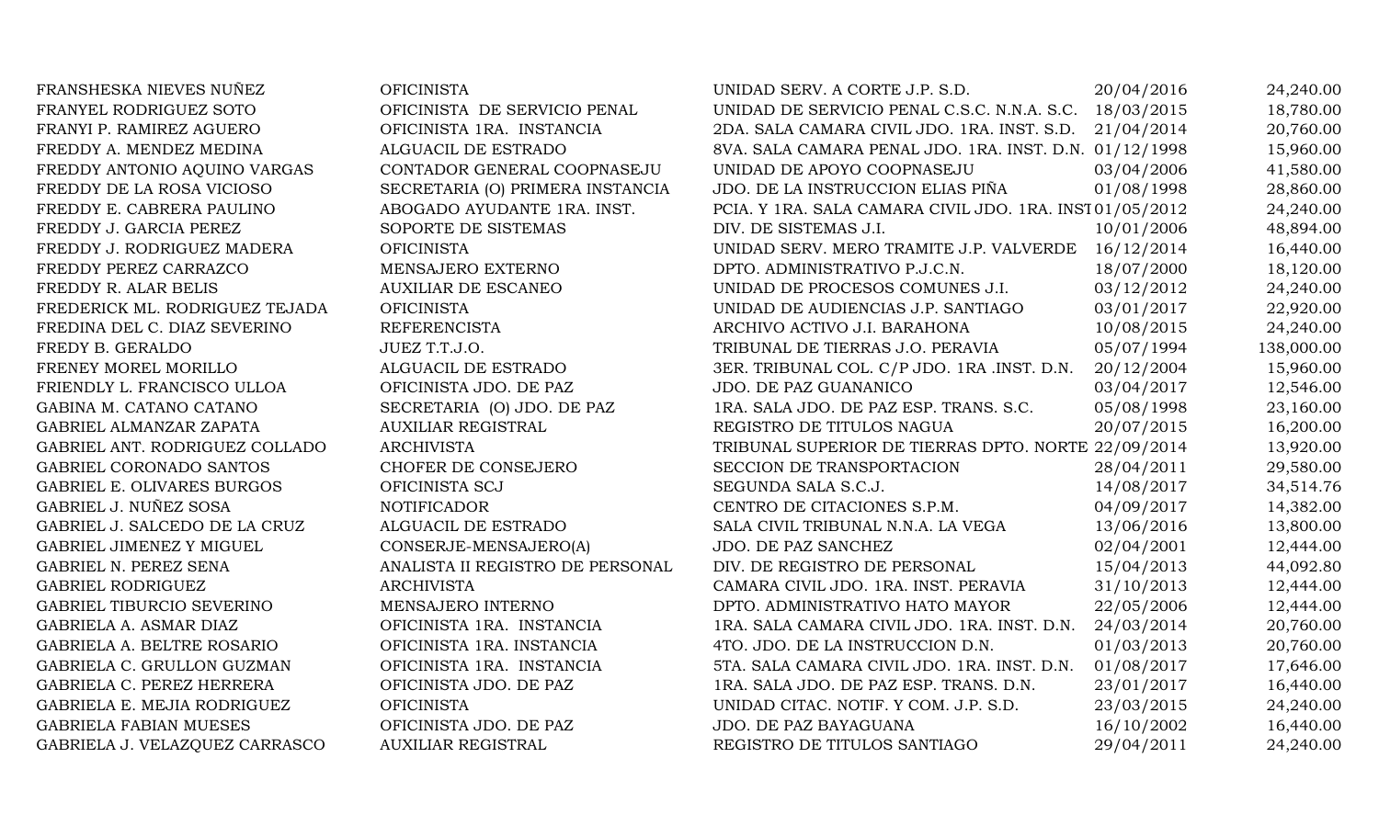| FRANSHESKA NIEVES NUÑEZ        | <b>OFICINISTA</b>                | UNIDAD SERV. A CORTE J.P. S.D.                          | 20/04/2016 | 24,240.00  |
|--------------------------------|----------------------------------|---------------------------------------------------------|------------|------------|
| FRANYEL RODRIGUEZ SOTO         | OFICINISTA DE SERVICIO PENAL     | UNIDAD DE SERVICIO PENAL C.S.C. N.N.A. S.C. 18/03/2015  |            | 18,780.00  |
| FRANYI P. RAMIREZ AGUERO       | OFICINISTA 1RA. INSTANCIA        | 2DA. SALA CAMARA CIVIL JDO. 1RA. INST. S.D.             | 21/04/2014 | 20,760.00  |
| FREDDY A. MENDEZ MEDINA        | ALGUACIL DE ESTRADO              | 8VA. SALA CAMARA PENAL JDO. 1RA. INST. D.N. 01/12/1998  |            | 15,960.00  |
| FREDDY ANTONIO AQUINO VARGAS   | CONTADOR GENERAL COOPNASEJU      | UNIDAD DE APOYO COOPNASEJU                              | 03/04/2006 | 41,580.00  |
| FREDDY DE LA ROSA VICIOSO      | SECRETARIA (O) PRIMERA INSTANCIA | JDO. DE LA INSTRUCCION ELIAS PIÑA                       | 01/08/1998 | 28,860.00  |
| FREDDY E. CABRERA PAULINO      | ABOGADO AYUDANTE 1RA. INST.      | PCIA. Y 1RA. SALA CAMARA CIVIL JDO. 1RA. INST01/05/2012 |            | 24,240.00  |
| FREDDY J. GARCIA PEREZ         | SOPORTE DE SISTEMAS              | DIV. DE SISTEMAS J.I.                                   | 10/01/2006 | 48,894.00  |
| FREDDY J. RODRIGUEZ MADERA     | <b>OFICINISTA</b>                | UNIDAD SERV. MERO TRAMITE J.P. VALVERDE 16/12/2014      |            | 16,440.00  |
| FREDDY PEREZ CARRAZCO          | MENSAJERO EXTERNO                | DPTO. ADMINISTRATIVO P.J.C.N.                           | 18/07/2000 | 18,120.00  |
| FREDDY R. ALAR BELIS           | <b>AUXILIAR DE ESCANEO</b>       | UNIDAD DE PROCESOS COMUNES J.I.                         | 03/12/2012 | 24,240.00  |
| FREDERICK ML. RODRIGUEZ TEJADA | <b>OFICINISTA</b>                | UNIDAD DE AUDIENCIAS J.P. SANTIAGO                      | 03/01/2017 | 22,920.00  |
| FREDINA DEL C. DIAZ SEVERINO   | <b>REFERENCISTA</b>              | ARCHIVO ACTIVO J.I. BARAHONA                            | 10/08/2015 | 24,240.00  |
| FREDY B. GERALDO               | JUEZ T.T.J.O.                    | TRIBUNAL DE TIERRAS J.O. PERAVIA                        | 05/07/1994 | 138,000.00 |
| FRENEY MOREL MORILLO           | ALGUACIL DE ESTRADO              | 3ER. TRIBUNAL COL. C/P JDO. 1RA .INST. D.N.             | 20/12/2004 | 15,960.00  |
| FRIENDLY L. FRANCISCO ULLOA    | OFICINISTA JDO. DE PAZ           | JDO. DE PAZ GUANANICO                                   | 03/04/2017 | 12,546.00  |
| GABINA M. CATANO CATANO        | SECRETARIA (O) JDO. DE PAZ       | 1RA. SALA JDO. DE PAZ ESP. TRANS. S.C.                  | 05/08/1998 | 23,160.00  |
| GABRIEL ALMANZAR ZAPATA        | <b>AUXILIAR REGISTRAL</b>        | REGISTRO DE TITULOS NAGUA                               | 20/07/2015 | 16,200.00  |
| GABRIEL ANT. RODRIGUEZ COLLADO | <b>ARCHIVISTA</b>                | TRIBUNAL SUPERIOR DE TIERRAS DPTO. NORTE 22/09/2014     |            | 13,920.00  |
| GABRIEL CORONADO SANTOS        | CHOFER DE CONSEJERO              | SECCION DE TRANSPORTACION                               | 28/04/2011 | 29,580.00  |
| GABRIEL E. OLIVARES BURGOS     | OFICINISTA SCJ                   | SEGUNDA SALA S.C.J.                                     | 14/08/2017 | 34,514.76  |
| GABRIEL J. NUÑEZ SOSA          | <b>NOTIFICADOR</b>               | CENTRO DE CITACIONES S.P.M.                             | 04/09/2017 | 14,382.00  |
| GABRIEL J. SALCEDO DE LA CRUZ  | ALGUACIL DE ESTRADO              | SALA CIVIL TRIBUNAL N.N.A. LA VEGA                      | 13/06/2016 | 13,800.00  |
| GABRIEL JIMENEZ Y MIGUEL       | CONSERJE-MENSAJERO(A)            | JDO. DE PAZ SANCHEZ                                     | 02/04/2001 | 12,444.00  |
| GABRIEL N. PEREZ SENA          | ANALISTA II REGISTRO DE PERSONAL | DIV. DE REGISTRO DE PERSONAL                            | 15/04/2013 | 44,092.80  |
| <b>GABRIEL RODRIGUEZ</b>       | <b>ARCHIVISTA</b>                | CAMARA CIVIL JDO. 1RA. INST. PERAVIA                    | 31/10/2013 | 12,444.00  |
| GABRIEL TIBURCIO SEVERINO      | MENSAJERO INTERNO                | DPTO. ADMINISTRATIVO HATO MAYOR                         | 22/05/2006 | 12,444.00  |
| GABRIELA A. ASMAR DIAZ         | OFICINISTA 1RA. INSTANCIA        | 1RA. SALA CAMARA CIVIL JDO. 1RA. INST. D.N.             | 24/03/2014 | 20,760.00  |
| GABRIELA A. BELTRE ROSARIO     | OFICINISTA 1RA. INSTANCIA        | 4TO. JDO. DE LA INSTRUCCION D.N.                        | 01/03/2013 | 20,760.00  |
| GABRIELA C. GRULLON GUZMAN     | OFICINISTA 1RA. INSTANCIA        | 5TA. SALA CAMARA CIVIL JDO. 1RA. INST. D.N.             | 01/08/2017 | 17,646.00  |
| GABRIELA C. PEREZ HERRERA      | OFICINISTA JDO. DE PAZ           | 1RA. SALA JDO. DE PAZ ESP. TRANS. D.N.                  | 23/01/2017 | 16,440.00  |
| GABRIELA E. MEJIA RODRIGUEZ    | <b>OFICINISTA</b>                | UNIDAD CITAC. NOTIF. Y COM. J.P. S.D.                   | 23/03/2015 | 24,240.00  |
| <b>GABRIELA FABIAN MUESES</b>  | OFICINISTA JDO. DE PAZ           | JDO. DE PAZ BAYAGUANA                                   | 16/10/2002 | 16,440.00  |
| GABRIELA J. VELAZQUEZ CARRASCO | <b>AUXILIAR REGISTRAL</b>        | REGISTRO DE TITULOS SANTIAGO                            | 29/04/2011 | 24,240.00  |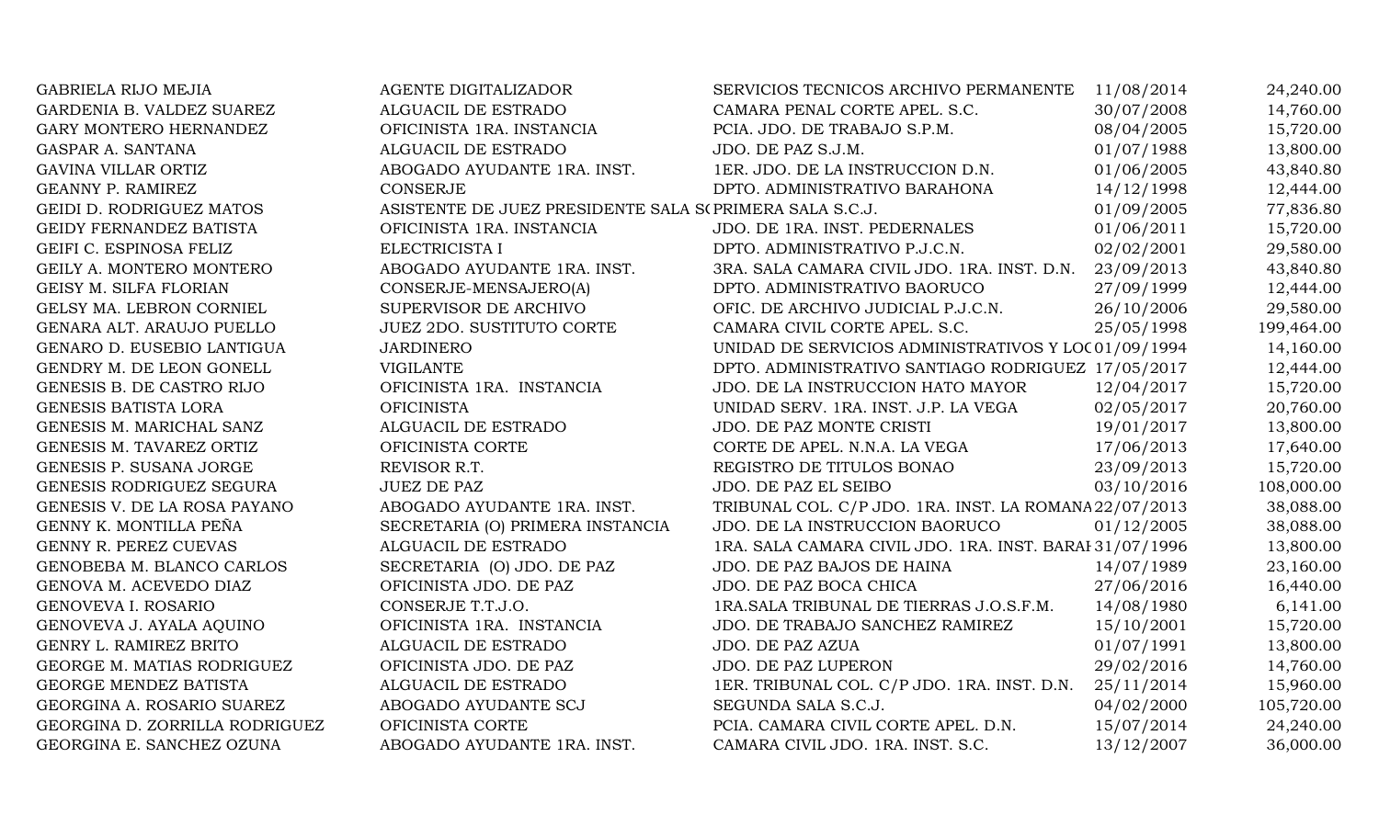| <b>GABRIELA RIJO MEJIA</b>     | AGENTE DIGITALIZADOR                                        | SERVICIOS TECNICOS ARCHIVO PERMANENTE 11/08/2014        |            | 24,240.00  |
|--------------------------------|-------------------------------------------------------------|---------------------------------------------------------|------------|------------|
| GARDENIA B. VALDEZ SUAREZ      | ALGUACIL DE ESTRADO                                         | CAMARA PENAL CORTE APEL. S.C.                           | 30/07/2008 | 14,760.00  |
| GARY MONTERO HERNANDEZ         | OFICINISTA 1RA. INSTANCIA                                   | PCIA. JDO. DE TRABAJO S.P.M.                            | 08/04/2005 | 15,720.00  |
| <b>GASPAR A. SANTANA</b>       | ALGUACIL DE ESTRADO                                         | JDO. DE PAZ S.J.M.                                      | 01/07/1988 | 13,800.00  |
| GAVINA VILLAR ORTIZ            | ABOGADO AYUDANTE 1RA. INST.                                 | 1ER. JDO. DE LA INSTRUCCION D.N.                        | 01/06/2005 | 43,840.80  |
| <b>GEANNY P. RAMIREZ</b>       | <b>CONSERJE</b>                                             | DPTO. ADMINISTRATIVO BARAHONA                           | 14/12/1998 | 12,444.00  |
| GEIDI D. RODRIGUEZ MATOS       | ASISTENTE DE JUEZ PRESIDENTE SALA S<br>(PRIMERA SALA S.C.J. |                                                         | 01/09/2005 | 77,836.80  |
| GEIDY FERNANDEZ BATISTA        | OFICINISTA 1RA. INSTANCIA                                   | JDO. DE 1RA. INST. PEDERNALES                           | 01/06/2011 | 15,720.00  |
| GEIFI C. ESPINOSA FELIZ        | ELECTRICISTA I                                              | DPTO. ADMINISTRATIVO P.J.C.N.                           | 02/02/2001 | 29,580.00  |
| GEILY A. MONTERO MONTERO       | ABOGADO AYUDANTE 1RA. INST.                                 | 3RA. SALA CAMARA CIVIL JDO. 1RA. INST. D.N. 23/09/2013  |            | 43,840.80  |
| GEISY M. SILFA FLORIAN         | CONSERJE-MENSAJERO(A)                                       | DPTO. ADMINISTRATIVO BAORUCO                            | 27/09/1999 | 12,444.00  |
| GELSY MA. LEBRON CORNIEL       | SUPERVISOR DE ARCHIVO                                       | OFIC. DE ARCHIVO JUDICIAL P.J.C.N.                      | 26/10/2006 | 29,580.00  |
| GENARA ALT. ARAUJO PUELLO      | <b>JUEZ 2DO. SUSTITUTO CORTE</b>                            | CAMARA CIVIL CORTE APEL. S.C.                           | 25/05/1998 | 199,464.00 |
| GENARO D. EUSEBIO LANTIGUA     | <b>JARDINERO</b>                                            | UNIDAD DE SERVICIOS ADMINISTRATIVOS Y LOC 01/09/1994    |            | 14,160.00  |
| GENDRY M. DE LEON GONELL       | VIGILANTE                                                   | DPTO. ADMINISTRATIVO SANTIAGO RODRIGUEZ 17/05/2017      |            | 12,444.00  |
| GENESIS B. DE CASTRO RIJO      | OFICINISTA 1RA. INSTANCIA                                   | JDO. DE LA INSTRUCCION HATO MAYOR                       | 12/04/2017 | 15,720.00  |
| GENESIS BATISTA LORA           | <b>OFICINISTA</b>                                           | UNIDAD SERV. 1RA. INST. J.P. LA VEGA                    | 02/05/2017 | 20,760.00  |
| GENESIS M. MARICHAL SANZ       | ALGUACIL DE ESTRADO                                         | JDO. DE PAZ MONTE CRISTI                                | 19/01/2017 | 13,800.00  |
| GENESIS M. TAVAREZ ORTIZ       | OFICINISTA CORTE                                            | CORTE DE APEL. N.N.A. LA VEGA                           | 17/06/2013 | 17,640.00  |
| GENESIS P. SUSANA JORGE        | REVISOR R.T.                                                | REGISTRO DE TITULOS BONAO                               | 23/09/2013 | 15,720.00  |
| GENESIS RODRIGUEZ SEGURA       | <b>JUEZ DE PAZ</b>                                          | JDO. DE PAZ EL SEIBO                                    | 03/10/2016 | 108,000.00 |
| GENESIS V. DE LA ROSA PAYANO   | ABOGADO AYUDANTE 1RA. INST.                                 | TRIBUNAL COL. C/P JDO. 1RA. INST. LA ROMANA 22/07/2013  |            | 38,088.00  |
| GENNY K. MONTILLA PEÑA         | SECRETARIA (O) PRIMERA INSTANCIA                            | JDO. DE LA INSTRUCCION BAORUCO                          | 01/12/2005 | 38,088.00  |
| GENNY R. PEREZ CUEVAS          | ALGUACIL DE ESTRADO                                         | 1RA. SALA CAMARA CIVIL JDO. 1RA. INST. BARAI 31/07/1996 |            | 13,800.00  |
| GENOBEBA M. BLANCO CARLOS      | SECRETARIA (O) JDO. DE PAZ                                  | JDO. DE PAZ BAJOS DE HAINA                              | 14/07/1989 | 23,160.00  |
| GENOVA M. ACEVEDO DIAZ         | OFICINISTA JDO. DE PAZ                                      | JDO. DE PAZ BOCA CHICA                                  | 27/06/2016 | 16,440.00  |
| <b>GENOVEVA I. ROSARIO</b>     | CONSERJE T.T.J.O.                                           | 1RA. SALA TRIBUNAL DE TIERRAS J.O.S.F.M.                | 14/08/1980 | 6,141.00   |
| GENOVEVA J. AYALA AQUINO       | OFICINISTA 1RA. INSTANCIA                                   | JDO. DE TRABAJO SANCHEZ RAMIREZ                         | 15/10/2001 | 15,720.00  |
| GENRY L. RAMIREZ BRITO         | ALGUACIL DE ESTRADO                                         | JDO. DE PAZ AZUA                                        | 01/07/1991 | 13,800.00  |
| GEORGE M. MATIAS RODRIGUEZ     | OFICINISTA JDO. DE PAZ                                      | JDO. DE PAZ LUPERON                                     | 29/02/2016 | 14,760.00  |
| GEORGE MENDEZ BATISTA          | ALGUACIL DE ESTRADO                                         | 1ER. TRIBUNAL COL. C/P JDO. 1RA. INST. D.N.             | 25/11/2014 | 15,960.00  |
| GEORGINA A. ROSARIO SUAREZ     | ABOGADO AYUDANTE SCJ                                        | SEGUNDA SALA S.C.J.                                     | 04/02/2000 | 105,720.00 |
| GEORGINA D. ZORRILLA RODRIGUEZ | OFICINISTA CORTE                                            | PCIA. CAMARA CIVIL CORTE APEL. D.N.                     | 15/07/2014 | 24,240.00  |
| GEORGINA E. SANCHEZ OZUNA      | ABOGADO AYUDANTE 1RA. INST.                                 | CAMARA CIVIL JDO. 1RA. INST. S.C.                       | 13/12/2007 | 36,000.00  |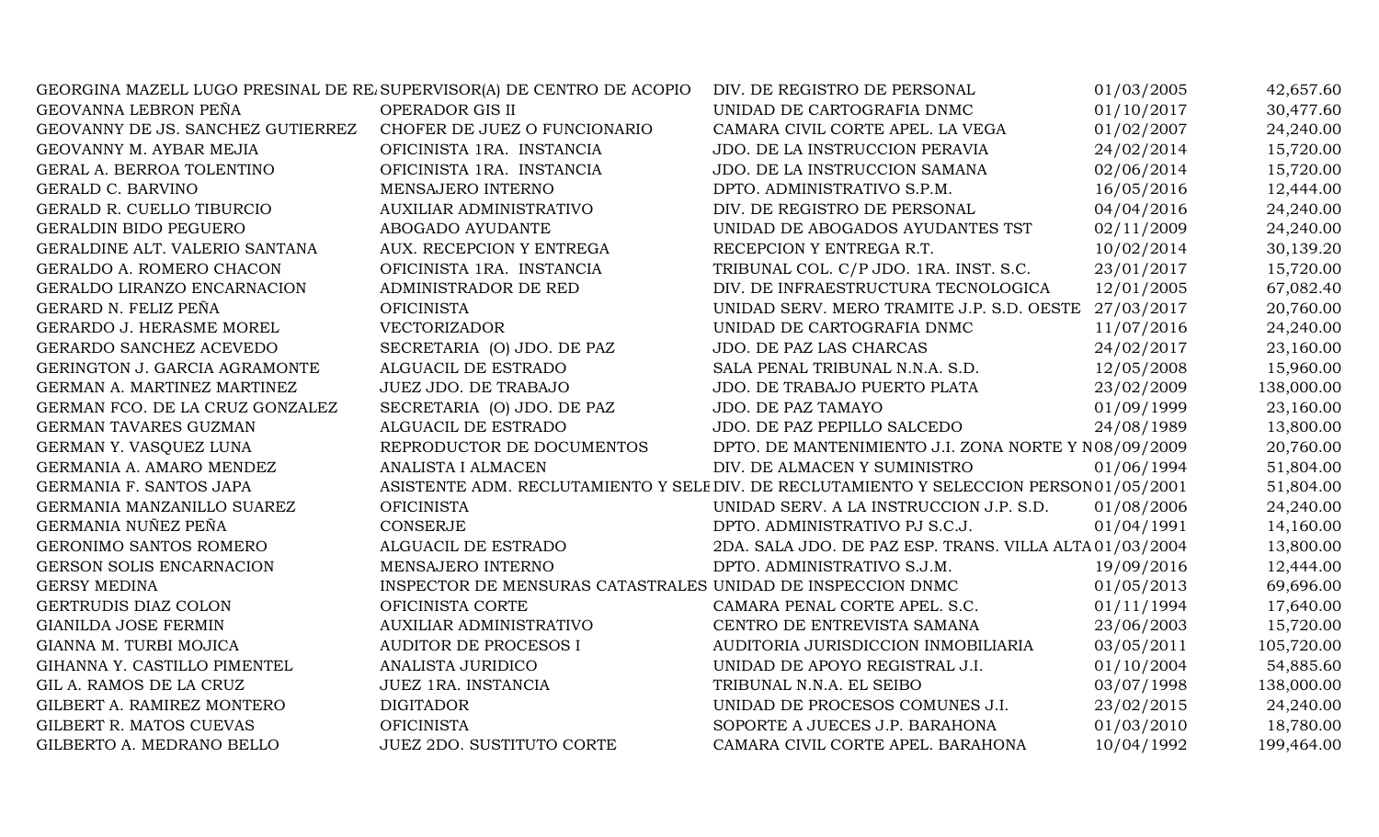| GEORGINA MAZELL LUGO PRESINAL DE RE. SUPERVISOR(A) DE CENTRO DE ACOPIO |                                                             | DIV. DE REGISTRO DE PERSONAL                                                            | 01/03/2005 | 42,657.60  |
|------------------------------------------------------------------------|-------------------------------------------------------------|-----------------------------------------------------------------------------------------|------------|------------|
| GEOVANNA LEBRON PEÑA                                                   | OPERADOR GIS II                                             | UNIDAD DE CARTOGRAFIA DNMC                                                              | 01/10/2017 | 30,477.60  |
| GEOVANNY DE JS. SANCHEZ GUTIERREZ                                      | CHOFER DE JUEZ O FUNCIONARIO                                | CAMARA CIVIL CORTE APEL. LA VEGA                                                        | 01/02/2007 | 24,240.00  |
| GEOVANNY M. AYBAR MEJIA                                                | OFICINISTA 1RA. INSTANCIA                                   | JDO. DE LA INSTRUCCION PERAVIA                                                          | 24/02/2014 | 15,720.00  |
| GERAL A. BERROA TOLENTINO                                              | OFICINISTA 1RA. INSTANCIA                                   | JDO. DE LA INSTRUCCION SAMANA                                                           | 02/06/2014 | 15,720.00  |
| GERALD C. BARVINO                                                      | MENSAJERO INTERNO                                           | DPTO. ADMINISTRATIVO S.P.M.                                                             | 16/05/2016 | 12,444.00  |
| GERALD R. CUELLO TIBURCIO                                              | AUXILIAR ADMINISTRATIVO                                     | DIV. DE REGISTRO DE PERSONAL                                                            | 04/04/2016 | 24,240.00  |
| <b>GERALDIN BIDO PEGUERO</b>                                           | ABOGADO AYUDANTE                                            | UNIDAD DE ABOGADOS AYUDANTES TST                                                        | 02/11/2009 | 24,240.00  |
| GERALDINE ALT. VALERIO SANTANA                                         | AUX. RECEPCION Y ENTREGA                                    | RECEPCION Y ENTREGA R.T.                                                                | 10/02/2014 | 30,139.20  |
| GERALDO A. ROMERO CHACON                                               | OFICINISTA 1RA. INSTANCIA                                   | TRIBUNAL COL. C/P JDO. 1RA. INST. S.C.                                                  | 23/01/2017 | 15,720.00  |
| GERALDO LIRANZO ENCARNACION                                            | ADMINISTRADOR DE RED                                        | DIV. DE INFRAESTRUCTURA TECNOLOGICA                                                     | 12/01/2005 | 67,082.40  |
| GERARD N. FELIZ PEÑA                                                   | <b>OFICINISTA</b>                                           | UNIDAD SERV. MERO TRAMITE J.P. S.D. OESTE 27/03/2017                                    |            | 20,760.00  |
| GERARDO J. HERASME MOREL                                               | <b>VECTORIZADOR</b>                                         | UNIDAD DE CARTOGRAFIA DNMC                                                              | 11/07/2016 | 24,240.00  |
| GERARDO SANCHEZ ACEVEDO                                                | SECRETARIA (O) JDO. DE PAZ                                  | JDO. DE PAZ LAS CHARCAS                                                                 | 24/02/2017 | 23,160.00  |
| GERINGTON J. GARCIA AGRAMONTE                                          | ALGUACIL DE ESTRADO                                         | SALA PENAL TRIBUNAL N.N.A. S.D.                                                         | 12/05/2008 | 15,960.00  |
| GERMAN A. MARTINEZ MARTINEZ                                            | JUEZ JDO. DE TRABAJO                                        | JDO. DE TRABAJO PUERTO PLATA                                                            | 23/02/2009 | 138,000.00 |
| GERMAN FCO. DE LA CRUZ GONZALEZ                                        | SECRETARIA (O) JDO. DE PAZ                                  | JDO. DE PAZ TAMAYO                                                                      | 01/09/1999 | 23,160.00  |
| GERMAN TAVARES GUZMAN                                                  | ALGUACIL DE ESTRADO                                         | JDO. DE PAZ PEPILLO SALCEDO                                                             | 24/08/1989 | 13,800.00  |
| GERMAN Y. VASQUEZ LUNA                                                 | REPRODUCTOR DE DOCUMENTOS                                   | DPTO. DE MANTENIMIENTO J.I. ZONA NORTE Y N08/09/2009                                    |            | 20,760.00  |
| GERMANIA A. AMARO MENDEZ                                               | ANALISTA I ALMACEN                                          | DIV. DE ALMACEN Y SUMINISTRO                                                            | 01/06/1994 | 51,804.00  |
| GERMANIA F. SANTOS JAPA                                                |                                                             | ASISTENTE ADM. RECLUTAMIENTO Y SELE DIV. DE RECLUTAMIENTO Y SELECCION PERSON 01/05/2001 |            | 51,804.00  |
| GERMANIA MANZANILLO SUAREZ                                             | <b>OFICINISTA</b>                                           | UNIDAD SERV. A LA INSTRUCCION J.P. S.D.                                                 | 01/08/2006 | 24,240.00  |
| GERMANIA NUÑEZ PEÑA                                                    | <b>CONSERJE</b>                                             | DPTO. ADMINISTRATIVO PJ S.C.J.                                                          | 01/04/1991 | 14,160.00  |
| GERONIMO SANTOS ROMERO                                                 | ALGUACIL DE ESTRADO                                         | 2DA. SALA JDO. DE PAZ ESP. TRANS. VILLA ALTA 01/03/2004                                 |            | 13,800.00  |
| GERSON SOLIS ENCARNACION                                               | MENSAJERO INTERNO                                           | DPTO. ADMINISTRATIVO S.J.M.                                                             | 19/09/2016 | 12,444.00  |
| <b>GERSY MEDINA</b>                                                    | INSPECTOR DE MENSURAS CATASTRALES UNIDAD DE INSPECCION DNMC |                                                                                         | 01/05/2013 | 69,696.00  |
| GERTRUDIS DIAZ COLON                                                   | OFICINISTA CORTE                                            | CAMARA PENAL CORTE APEL. S.C.                                                           | 01/11/1994 | 17,640.00  |
| <b>GIANILDA JOSE FERMIN</b>                                            | <b>AUXILIAR ADMINISTRATIVO</b>                              | CENTRO DE ENTREVISTA SAMANA                                                             | 23/06/2003 | 15,720.00  |
| GIANNA M. TURBI MOJICA                                                 | <b>AUDITOR DE PROCESOS I</b>                                | AUDITORIA JURISDICCION INMOBILIARIA                                                     | 03/05/2011 | 105,720.00 |
| GIHANNA Y. CASTILLO PIMENTEL                                           | <b>ANALISTA JURIDICO</b>                                    | UNIDAD DE APOYO REGISTRAL J.I.                                                          | 01/10/2004 | 54,885.60  |
| GIL A. RAMOS DE LA CRUZ                                                | JUEZ 1RA. INSTANCIA                                         | TRIBUNAL N.N.A. EL SEIBO                                                                | 03/07/1998 | 138,000.00 |
| GILBERT A. RAMIREZ MONTERO                                             | <b>DIGITADOR</b>                                            | UNIDAD DE PROCESOS COMUNES J.I.                                                         | 23/02/2015 | 24,240.00  |
| GILBERT R. MATOS CUEVAS                                                | <b>OFICINISTA</b>                                           | SOPORTE A JUECES J.P. BARAHONA                                                          | 01/03/2010 | 18,780.00  |
| GILBERTO A. MEDRANO BELLO                                              | <b>JUEZ 2DO. SUSTITUTO CORTE</b>                            | CAMARA CIVIL CORTE APEL. BARAHONA                                                       | 10/04/1992 | 199,464.00 |
|                                                                        |                                                             |                                                                                         |            |            |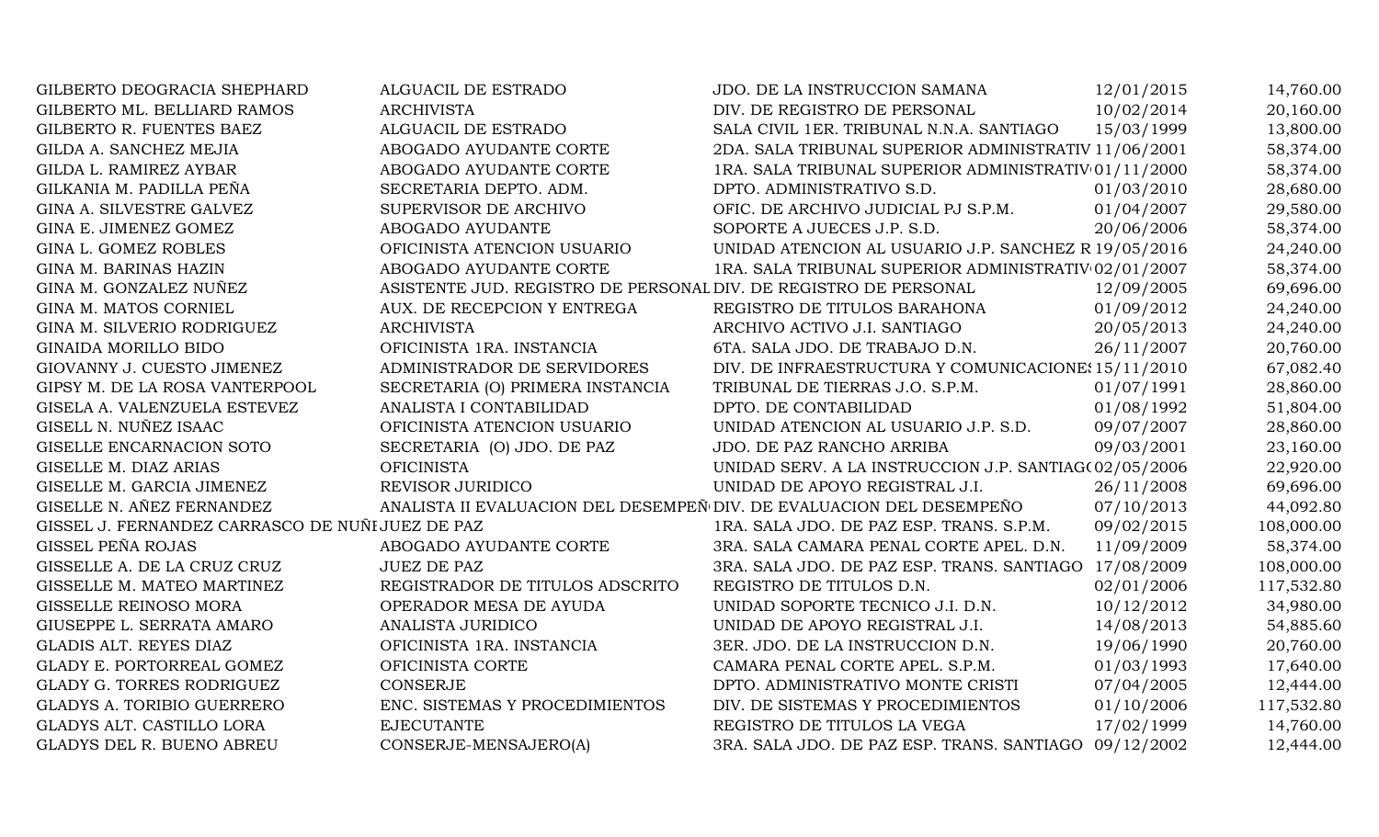| GILBERTO DEOGRACIA SHEPHARD                     | <b>ALGUACIL DE ESTRADO</b>                                           | JDO. DE LA INSTRUCCION SAMANA                          | 12/01/2015 | 14,760.00  |
|-------------------------------------------------|----------------------------------------------------------------------|--------------------------------------------------------|------------|------------|
| GILBERTO ML. BELLIARD RAMOS                     | <b>ARCHIVISTA</b>                                                    | DIV. DE REGISTRO DE PERSONAL                           | 10/02/2014 | 20,160.00  |
| GILBERTO R. FUENTES BAEZ                        | ALGUACIL DE ESTRADO                                                  | SALA CIVIL 1ER. TRIBUNAL N.N.A. SANTIAGO               | 15/03/1999 | 13,800.00  |
| GILDA A. SANCHEZ MEJIA                          | ABOGADO AYUDANTE CORTE                                               | 2DA. SALA TRIBUNAL SUPERIOR ADMINISTRATIV 11/06/2001   |            | 58,374.00  |
| GILDA L. RAMIREZ AYBAR                          | ABOGADO AYUDANTE CORTE                                               | 1RA. SALA TRIBUNAL SUPERIOR ADMINISTRATIV 01/11/2000   |            | 58,374.00  |
| GILKANIA M. PADILLA PEÑA                        | SECRETARIA DEPTO. ADM.                                               | DPTO. ADMINISTRATIVO S.D.                              | 01/03/2010 | 28,680.00  |
| GINA A. SILVESTRE GALVEZ                        | SUPERVISOR DE ARCHIVO                                                | OFIC. DE ARCHIVO JUDICIAL PJ S.P.M.                    | 01/04/2007 | 29,580.00  |
| GINA E. JIMENEZ GOMEZ                           | ABOGADO AYUDANTE                                                     | SOPORTE A JUECES J.P. S.D.                             | 20/06/2006 | 58,374.00  |
| GINA L. GOMEZ ROBLES                            | OFICINISTA ATENCION USUARIO                                          | UNIDAD ATENCION AL USUARIO J.P. SANCHEZ R 19/05/2016   |            | 24,240.00  |
| GINA M. BARINAS HAZIN                           | ABOGADO AYUDANTE CORTE                                               | 1RA. SALA TRIBUNAL SUPERIOR ADMINISTRATIV 02/01/2007   |            | 58,374.00  |
| GINA M. GONZALEZ NUÑEZ                          | ASISTENTE JUD. REGISTRO DE PERSONAL DIV. DE REGISTRO DE PERSONAL     |                                                        | 12/09/2005 | 69,696.00  |
| GINA M. MATOS CORNIEL                           | AUX. DE RECEPCION Y ENTREGA                                          | REGISTRO DE TITULOS BARAHONA                           | 01/09/2012 | 24,240.00  |
| GINA M. SILVERIO RODRIGUEZ                      | <b>ARCHIVISTA</b>                                                    | ARCHIVO ACTIVO J.I. SANTIAGO                           | 20/05/2013 | 24,240.00  |
| GINAIDA MORILLO BIDO                            | OFICINISTA 1RA. INSTANCIA                                            | 6TA. SALA JDO. DE TRABAJO D.N.                         | 26/11/2007 | 20,760.00  |
| GIOVANNY J. CUESTO JIMENEZ                      | ADMINISTRADOR DE SERVIDORES                                          | DIV. DE INFRAESTRUCTURA Y COMUNICACIONE: 15/11/2010    |            | 67,082.40  |
| GIPSY M. DE LA ROSA VANTERPOOL                  | SECRETARIA (O) PRIMERA INSTANCIA                                     | TRIBUNAL DE TIERRAS J.O. S.P.M.                        | 01/07/1991 | 28,860.00  |
| GISELA A. VALENZUELA ESTEVEZ                    | ANALISTA I CONTABILIDAD                                              | DPTO. DE CONTABILIDAD                                  | 01/08/1992 | 51,804.00  |
| GISELL N. NUÑEZ ISAAC                           | OFICINISTA ATENCION USUARIO                                          | UNIDAD ATENCION AL USUARIO J.P. S.D.                   | 09/07/2007 | 28,860.00  |
| GISELLE ENCARNACION SOTO                        | SECRETARIA (O) JDO. DE PAZ                                           | JDO. DE PAZ RANCHO ARRIBA                              | 09/03/2001 | 23,160.00  |
| GISELLE M. DIAZ ARIAS                           | <b>OFICINISTA</b>                                                    | UNIDAD SERV. A LA INSTRUCCION J.P. SANTIAG(02/05/2006) |            | 22,920.00  |
| GISELLE M. GARCIA JIMENEZ                       | REVISOR JURIDICO                                                     | UNIDAD DE APOYO REGISTRAL J.I.                         | 26/11/2008 | 69,696.00  |
| GISELLE N. AÑEZ FERNANDEZ                       | ANALISTA II EVALUACION DEL DESEMPEÑ DIV. DE EVALUACION DEL DESEMPEÑO |                                                        | 07/10/2013 | 44,092.80  |
| GISSEL J. FERNANDEZ CARRASCO DE NUÑIJUEZ DE PAZ |                                                                      | 1RA. SALA JDO. DE PAZ ESP. TRANS. S.P.M.               | 09/02/2015 | 108,000.00 |
| GISSEL PEÑA ROJAS                               | ABOGADO AYUDANTE CORTE                                               | 3RA. SALA CAMARA PENAL CORTE APEL. D.N.                | 11/09/2009 | 58,374.00  |
| GISSELLE A. DE LA CRUZ CRUZ                     | <b>JUEZ DE PAZ</b>                                                   | 3RA. SALA JDO. DE PAZ ESP. TRANS. SANTIAGO 17/08/2009  |            | 108,000.00 |
| GISSELLE M. MATEO MARTINEZ                      | REGISTRADOR DE TITULOS ADSCRITO                                      | REGISTRO DE TITULOS D.N.                               | 02/01/2006 | 117,532.80 |
| GISSELLE REINOSO MORA                           | OPERADOR MESA DE AYUDA                                               | UNIDAD SOPORTE TECNICO J.I. D.N.                       | 10/12/2012 | 34,980.00  |
| GIUSEPPE L. SERRATA AMARO                       | ANALISTA JURIDICO                                                    | UNIDAD DE APOYO REGISTRAL J.I.                         | 14/08/2013 | 54,885.60  |
| GLADIS ALT. REYES DIAZ                          | OFICINISTA 1RA. INSTANCIA                                            | 3ER. JDO. DE LA INSTRUCCION D.N.                       | 19/06/1990 | 20,760.00  |
| GLADY E. PORTORREAL GOMEZ                       | OFICINISTA CORTE                                                     | CAMARA PENAL CORTE APEL. S.P.M.                        | 01/03/1993 | 17,640.00  |
| GLADY G. TORRES RODRIGUEZ                       | CONSERJE                                                             | DPTO. ADMINISTRATIVO MONTE CRISTI                      | 07/04/2005 | 12,444.00  |
| <b>GLADYS A. TORIBIO GUERRERO</b>               | ENC. SISTEMAS Y PROCEDIMIENTOS                                       | DIV. DE SISTEMAS Y PROCEDIMIENTOS                      | 01/10/2006 | 117,532.80 |
| GLADYS ALT. CASTILLO LORA                       | <b>EJECUTANTE</b>                                                    | REGISTRO DE TITULOS LA VEGA                            | 17/02/1999 | 14,760.00  |
| GLADYS DEL R. BUENO ABREU                       | CONSERJE-MENSAJERO(A)                                                | 3RA. SALA JDO. DE PAZ ESP. TRANS. SANTIAGO 09/12/2002  |            | 12,444.00  |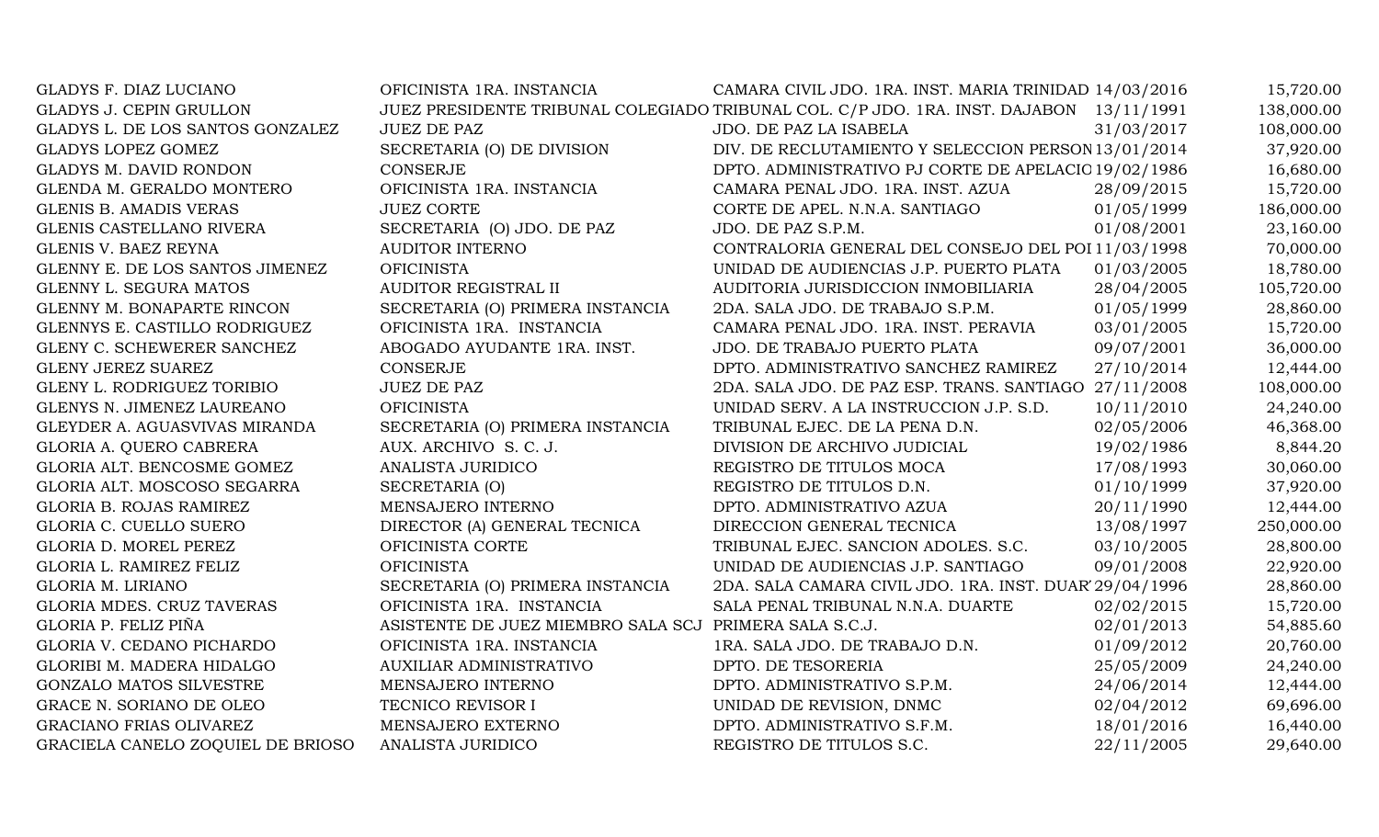| GLADYS F. DIAZ LUCIANO            | OFICINISTA 1RA. INSTANCIA          | CAMARA CIVIL JDO. 1RA. INST. MARIA TRINIDAD 14/03/2016                                  |            | 15,720.00  |
|-----------------------------------|------------------------------------|-----------------------------------------------------------------------------------------|------------|------------|
| <b>GLADYS J. CEPIN GRULLON</b>    |                                    | JUEZ PRESIDENTE TRIBUNAL COLEGIADO TRIBUNAL COL. C/P JDO. 1RA. INST. DAJABON 13/11/1991 |            | 138,000.00 |
| GLADYS L. DE LOS SANTOS GONZALEZ  | <b>JUEZ DE PAZ</b>                 | JDO. DE PAZ LA ISABELA                                                                  | 31/03/2017 | 108,000.00 |
| <b>GLADYS LOPEZ GOMEZ</b>         | SECRETARIA (O) DE DIVISION         | DIV. DE RECLUTAMIENTO Y SELECCION PERSON 13/01/2014                                     |            | 37,920.00  |
| <b>GLADYS M. DAVID RONDON</b>     | <b>CONSERJE</b>                    | DPTO. ADMINISTRATIVO PJ CORTE DE APELACIC 19/02/1986                                    |            | 16,680.00  |
| GLENDA M. GERALDO MONTERO         | OFICINISTA 1RA. INSTANCIA          | CAMARA PENAL JDO. 1RA. INST. AZUA                                                       | 28/09/2015 | 15,720.00  |
| <b>GLENIS B. AMADIS VERAS</b>     | <b>JUEZ CORTE</b>                  | CORTE DE APEL. N.N.A. SANTIAGO                                                          | 01/05/1999 | 186,000.00 |
| GLENIS CASTELLANO RIVERA          | SECRETARIA (O) JDO. DE PAZ         | JDO. DE PAZ S.P.M.                                                                      | 01/08/2001 | 23,160.00  |
| GLENIS V. BAEZ REYNA              | AUDITOR INTERNO                    | CONTRALORIA GENERAL DEL CONSEJO DEL POI 11/03/1998                                      |            | 70,000.00  |
| GLENNY E. DE LOS SANTOS JIMENEZ   | <b>OFICINISTA</b>                  | UNIDAD DE AUDIENCIAS J.P. PUERTO PLATA                                                  | 01/03/2005 | 18,780.00  |
| GLENNY L. SEGURA MATOS            | AUDITOR REGISTRAL II               | AUDITORIA JURISDICCION INMOBILIARIA                                                     | 28/04/2005 | 105,720.00 |
| GLENNY M. BONAPARTE RINCON        | SECRETARIA (O) PRIMERA INSTANCIA   | 2DA. SALA JDO. DE TRABAJO S.P.M.                                                        | 01/05/1999 | 28,860.00  |
| GLENNYS E. CASTILLO RODRIGUEZ     | OFICINISTA 1RA. INSTANCIA          | CAMARA PENAL JDO. 1RA. INST. PERAVIA                                                    | 03/01/2005 | 15,720.00  |
| GLENY C. SCHEWERER SANCHEZ        | ABOGADO AYUDANTE 1RA. INST.        | JDO. DE TRABAJO PUERTO PLATA                                                            | 09/07/2001 | 36,000.00  |
| <b>GLENY JEREZ SUAREZ</b>         | <b>CONSERJE</b>                    | DPTO. ADMINISTRATIVO SANCHEZ RAMIREZ                                                    | 27/10/2014 | 12,444.00  |
| GLENY L. RODRIGUEZ TORIBIO        | <b>JUEZ DE PAZ</b>                 | 2DA. SALA JDO. DE PAZ ESP. TRANS. SANTIAGO 27/11/2008                                   |            | 108,000.00 |
| GLENYS N. JIMENEZ LAUREANO        | <b>OFICINISTA</b>                  | UNIDAD SERV. A LA INSTRUCCION J.P. S.D.                                                 | 10/11/2010 | 24,240.00  |
| GLEYDER A. AGUASVIVAS MIRANDA     | SECRETARIA (O) PRIMERA INSTANCIA   | TRIBUNAL EJEC. DE LA PENA D.N.                                                          | 02/05/2006 | 46,368.00  |
| GLORIA A. QUERO CABRERA           | AUX. ARCHIVO S. C. J.              | DIVISION DE ARCHIVO JUDICIAL                                                            | 19/02/1986 | 8,844.20   |
| GLORIA ALT. BENCOSME GOMEZ        | ANALISTA JURIDICO                  | REGISTRO DE TITULOS MOCA                                                                | 17/08/1993 | 30,060.00  |
| GLORIA ALT. MOSCOSO SEGARRA       | SECRETARIA (O)                     | REGISTRO DE TITULOS D.N.                                                                | 01/10/1999 | 37,920.00  |
| GLORIA B. ROJAS RAMIREZ           | MENSAJERO INTERNO                  | DPTO. ADMINISTRATIVO AZUA                                                               | 20/11/1990 | 12,444.00  |
| GLORIA C. CUELLO SUERO            | DIRECTOR (A) GENERAL TECNICA       | DIRECCION GENERAL TECNICA                                                               | 13/08/1997 | 250,000.00 |
| GLORIA D. MOREL PEREZ             | OFICINISTA CORTE                   | TRIBUNAL EJEC. SANCION ADOLES. S.C.                                                     | 03/10/2005 | 28,800.00  |
| GLORIA L. RAMIREZ FELIZ           | <b>OFICINISTA</b>                  | UNIDAD DE AUDIENCIAS J.P. SANTIAGO                                                      | 09/01/2008 | 22,920.00  |
| GLORIA M. LIRIANO                 | SECRETARIA (O) PRIMERA INSTANCIA   | 2DA. SALA CAMARA CIVIL JDO. 1RA. INST. DUAR' 29/04/1996                                 |            | 28,860.00  |
| GLORIA MDES. CRUZ TAVERAS         | OFICINISTA 1RA. INSTANCIA          | SALA PENAL TRIBUNAL N.N.A. DUARTE                                                       | 02/02/2015 | 15,720.00  |
| GLORIA P. FELIZ PIÑA              | ASISTENTE DE JUEZ MIEMBRO SALA SCJ | PRIMERA SALA S.C.J.                                                                     | 02/01/2013 | 54,885.60  |
| GLORIA V. CEDANO PICHARDO         | OFICINISTA 1RA. INSTANCIA          | 1RA. SALA JDO. DE TRABAJO D.N.                                                          | 01/09/2012 | 20,760.00  |
| GLORIBI M. MADERA HIDALGO         | AUXILIAR ADMINISTRATIVO            | DPTO. DE TESORERIA                                                                      | 25/05/2009 | 24,240.00  |
| <b>GONZALO MATOS SILVESTRE</b>    | MENSAJERO INTERNO                  | DPTO. ADMINISTRATIVO S.P.M.                                                             | 24/06/2014 | 12,444.00  |
| GRACE N. SORIANO DE OLEO          | TECNICO REVISOR I                  | UNIDAD DE REVISION, DNMC                                                                | 02/04/2012 | 69,696.00  |
| <b>GRACIANO FRIAS OLIVAREZ</b>    | MENSAJERO EXTERNO                  | DPTO. ADMINISTRATIVO S.F.M.                                                             | 18/01/2016 | 16,440.00  |
| GRACIELA CANELO ZOQUIEL DE BRIOSO | ANALISTA JURIDICO                  | REGISTRO DE TITULOS S.C.                                                                | 22/11/2005 | 29,640.00  |
|                                   |                                    |                                                                                         |            |            |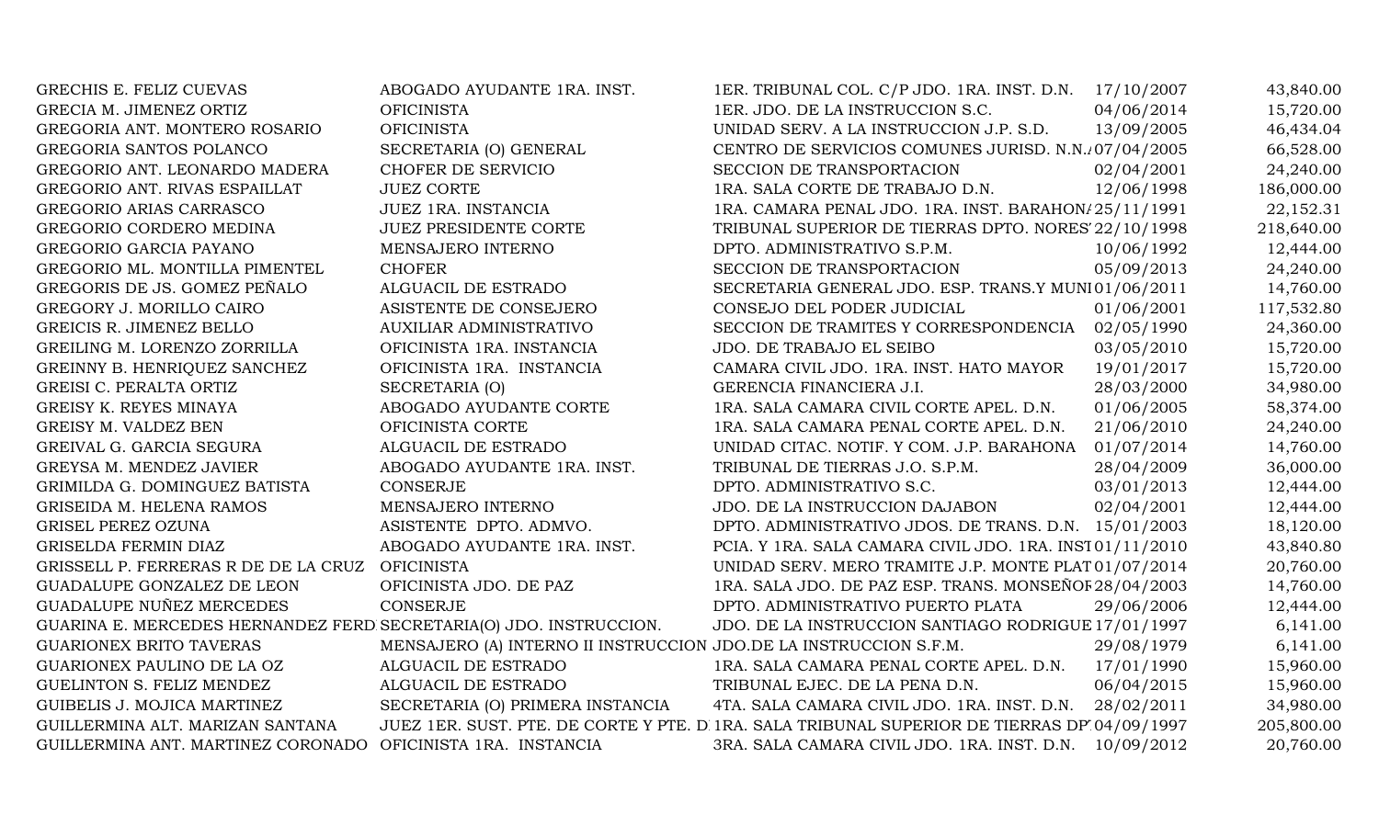| GRECHIS E. FELIZ CUEVAS                                            | ABOGADO AYUDANTE 1RA. INST.                                       | 1ER. TRIBUNAL COL. C/P JDO. 1RA. INST. D.N. 17/10/2007                                      |            | 43,840.00  |
|--------------------------------------------------------------------|-------------------------------------------------------------------|---------------------------------------------------------------------------------------------|------------|------------|
| GRECIA M. JIMENEZ ORTIZ                                            | <b>OFICINISTA</b>                                                 | 1ER. JDO. DE LA INSTRUCCION S.C.                                                            | 04/06/2014 | 15,720.00  |
| GREGORIA ANT. MONTERO ROSARIO                                      | <b>OFICINISTA</b>                                                 | UNIDAD SERV. A LA INSTRUCCION J.P. S.D.                                                     | 13/09/2005 | 46,434.04  |
| GREGORIA SANTOS POLANCO                                            | SECRETARIA (O) GENERAL                                            | CENTRO DE SERVICIOS COMUNES JURISD. N.N.107/04/2005                                         |            | 66,528.00  |
| GREGORIO ANT. LEONARDO MADERA                                      | CHOFER DE SERVICIO                                                | SECCION DE TRANSPORTACION                                                                   | 02/04/2001 | 24,240.00  |
| GREGORIO ANT. RIVAS ESPAILLAT                                      | <b>JUEZ CORTE</b>                                                 | 1RA. SALA CORTE DE TRABAJO D.N.                                                             | 12/06/1998 | 186,000.00 |
| GREGORIO ARIAS CARRASCO                                            | JUEZ 1RA. INSTANCIA                                               | 1RA. CAMARA PENAL JDO. 1RA. INST. BARAHON/25/11/1991                                        |            | 22,152.31  |
| GREGORIO CORDERO MEDINA                                            | JUEZ PRESIDENTE CORTE                                             | TRIBUNAL SUPERIOR DE TIERRAS DPTO. NORES' 22/10/1998                                        |            | 218,640.00 |
| GREGORIO GARCIA PAYANO                                             | MENSAJERO INTERNO                                                 | DPTO. ADMINISTRATIVO S.P.M.                                                                 | 10/06/1992 | 12,444.00  |
| GREGORIO ML. MONTILLA PIMENTEL                                     | <b>CHOFER</b>                                                     | SECCION DE TRANSPORTACION                                                                   | 05/09/2013 | 24,240.00  |
| GREGORIS DE JS. GOMEZ PEÑALO                                       | ALGUACIL DE ESTRADO                                               | SECRETARIA GENERAL JDO. ESP. TRANS.Y MUNI01/06/2011                                         |            | 14,760.00  |
| GREGORY J. MORILLO CAIRO                                           | ASISTENTE DE CONSEJERO                                            | CONSEJO DEL PODER JUDICIAL                                                                  | 01/06/2001 | 117,532.80 |
| GREICIS R. JIMENEZ BELLO                                           | <b>AUXILIAR ADMINISTRATIVO</b>                                    | SECCION DE TRAMITES Y CORRESPONDENCIA 02/05/1990                                            |            | 24,360.00  |
| GREILING M. LORENZO ZORRILLA                                       | OFICINISTA 1RA. INSTANCIA                                         | JDO. DE TRABAJO EL SEIBO                                                                    | 03/05/2010 | 15,720.00  |
| GREINNY B. HENRIQUEZ SANCHEZ                                       | OFICINISTA 1RA. INSTANCIA                                         | CAMARA CIVIL JDO. 1RA. INST. HATO MAYOR                                                     | 19/01/2017 | 15,720.00  |
| GREISI C. PERALTA ORTIZ                                            | SECRETARIA (O)                                                    | GERENCIA FINANCIERA J.I.                                                                    | 28/03/2000 | 34,980.00  |
| GREISY K. REYES MINAYA                                             | ABOGADO AYUDANTE CORTE                                            | 1RA. SALA CAMARA CIVIL CORTE APEL. D.N.                                                     | 01/06/2005 | 58,374.00  |
| GREISY M. VALDEZ BEN                                               | OFICINISTA CORTE                                                  | 1RA. SALA CAMARA PENAL CORTE APEL. D.N.                                                     | 21/06/2010 | 24,240.00  |
| GREIVAL G. GARCIA SEGURA                                           | ALGUACIL DE ESTRADO                                               | UNIDAD CITAC. NOTIF. Y COM. J.P. BARAHONA                                                   | 01/07/2014 | 14,760.00  |
| GREYSA M. MENDEZ JAVIER                                            | ABOGADO AYUDANTE 1RA. INST.                                       | TRIBUNAL DE TIERRAS J.O. S.P.M.                                                             | 28/04/2009 | 36,000.00  |
| GRIMILDA G. DOMINGUEZ BATISTA                                      | CONSERJE                                                          | DPTO. ADMINISTRATIVO S.C.                                                                   | 03/01/2013 | 12,444.00  |
| GRISEIDA M. HELENA RAMOS                                           | MENSAJERO INTERNO                                                 | JDO. DE LA INSTRUCCION DAJABON                                                              | 02/04/2001 | 12,444.00  |
| GRISEL PEREZ OZUNA                                                 | ASISTENTE DPTO. ADMVO.                                            | DPTO. ADMINISTRATIVO JDOS. DE TRANS. D.N. 15/01/2003                                        |            | 18,120.00  |
| GRISELDA FERMIN DIAZ                                               | ABOGADO AYUDANTE 1RA. INST.                                       | PCIA. Y 1RA. SALA CAMARA CIVIL JDO. 1RA. INST01/11/2010                                     |            | 43,840.80  |
| GRISSELL P. FERRERAS R DE DE LA CRUZ                               | <b>OFICINISTA</b>                                                 | UNIDAD SERV. MERO TRAMITE J.P. MONTE PLAT 01/07/2014                                        |            | 20,760.00  |
| GUADALUPE GONZALEZ DE LEON                                         | OFICINISTA JDO. DE PAZ                                            | 1RA. SALA JDO. DE PAZ ESP. TRANS. MONSEÑOF 28/04/2003                                       |            | 14,760.00  |
| GUADALUPE NUÑEZ MERCEDES                                           | CONSERJE                                                          | DPTO. ADMINISTRATIVO PUERTO PLATA                                                           | 29/06/2006 | 12,444.00  |
| GUARINA E. MERCEDES HERNANDEZ FERD SECRETARIA(O) JDO. INSTRUCCION. |                                                                   | JDO. DE LA INSTRUCCION SANTIAGO RODRIGUE 17/01/1997                                         |            | 6,141.00   |
| <b>GUARIONEX BRITO TAVERAS</b>                                     | MENSAJERO (A) INTERNO II INSTRUCCION JDO.DE LA INSTRUCCION S.F.M. |                                                                                             | 29/08/1979 | 6,141.00   |
| GUARIONEX PAULINO DE LA OZ                                         | ALGUACIL DE ESTRADO                                               | 1RA. SALA CAMARA PENAL CORTE APEL. D.N.                                                     | 17/01/1990 | 15,960.00  |
| GUELINTON S. FELIZ MENDEZ                                          | ALGUACIL DE ESTRADO                                               | TRIBUNAL EJEC. DE LA PENA D.N.                                                              | 06/04/2015 | 15,960.00  |
| GUIBELIS J. MOJICA MARTINEZ                                        | SECRETARIA (O) PRIMERA INSTANCIA                                  | 4TA. SALA CAMARA CIVIL JDO. 1RA. INST. D.N.                                                 | 28/02/2011 | 34,980.00  |
| GUILLERMINA ALT. MARIZAN SANTANA                                   |                                                                   | JUEZ 1ER. SUST. PTE. DE CORTE Y PTE. D 1RA. SALA TRIBUNAL SUPERIOR DE TIERRAS DP 04/09/1997 |            | 205,800.00 |
| GUILLERMINA ANT. MARTINEZ CORONADO                                 | OFICINISTA 1RA. INSTANCIA                                         | 3RA. SALA CAMARA CIVIL JDO. 1RA. INST. D.N.                                                 | 10/09/2012 | 20,760.00  |
|                                                                    |                                                                   |                                                                                             |            |            |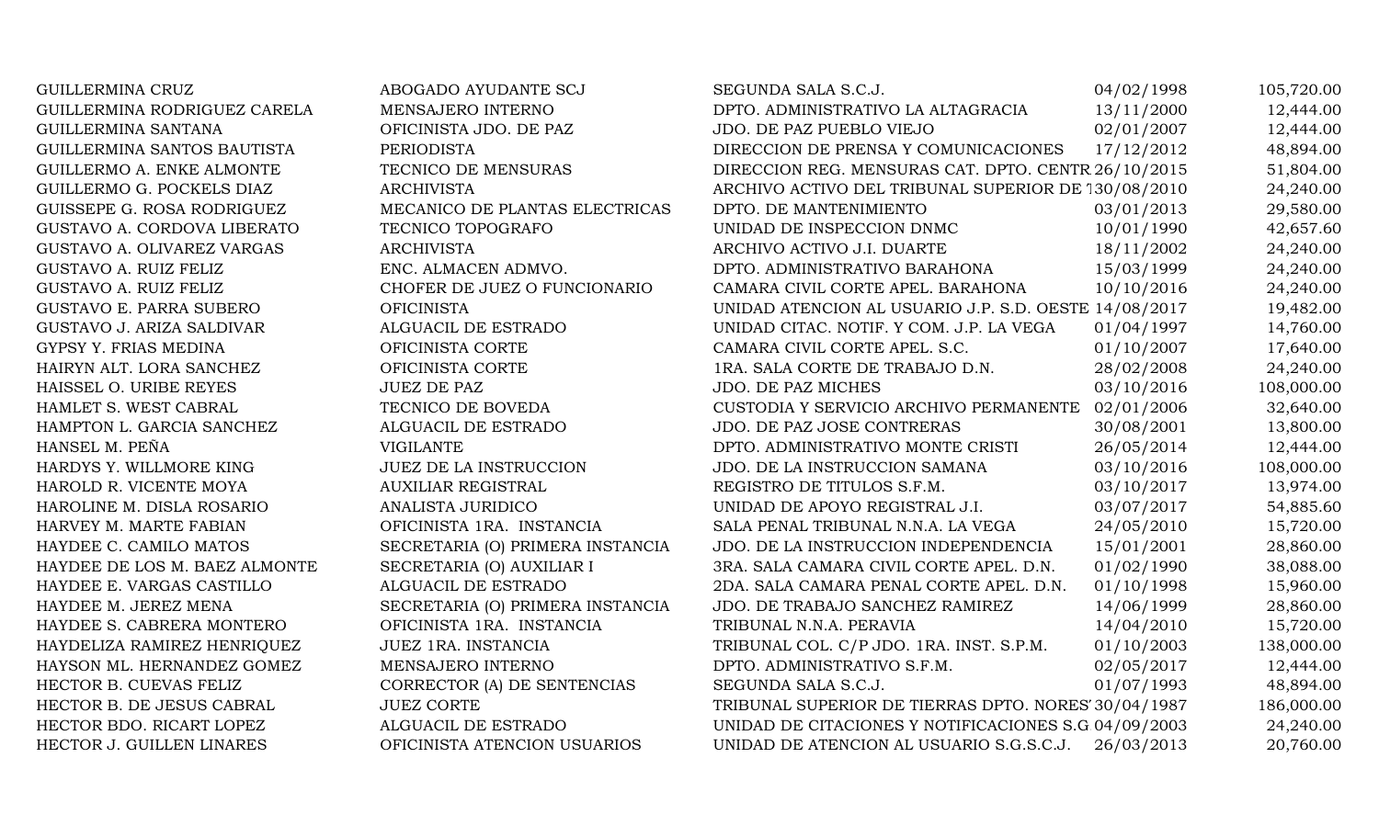GUILLERMINA CRUZ ABOGADO AYUDANTE SCJ SEGUNDA SALA S.C.J. 04/02/1998 105,720.00 GUILLERMINA RODRIGUEZ CARELA MENSAJERO INTERNO DPTO. ADMINISTRATIVO LA ALTAGRACIA 13/11/2000 12,444.00 GUILLERMINA SANTANA OFICINISTA JDO. DE PAZ JDO. DE PAZ PUEBLO VIEJO 02/01/2007 12,444.00 GUILLERMINA SANTOS BAUTISTA PERIODISTA PERIODISTA DIRECCION DE PRENSA Y COMUNICACIONES 17/12/2012 48,894.00 GUILLERMO A. ENKE ALMONTE TECNICO DE MENSURAS DIRECCION REG. MENSURAS CAT. DPTO. CENTR 26/10/2015 51,804.00 GUILLERMO G. POCKELS DIAZ ARCHIVISTA ARCHIVO ARCHIVO ACTIVO DEL TRIBUNAL SUPERIOR DE 130/08/2010 24,240.00 GUISSEPE G. ROSA RODRIGUEZ MECANICO DE PLANTAS ELECTRICAS DPTO. DE MANTENIMIENTO 03/01/2013 29,580.00 GUSTAVO A. CORDOVA LIBERATO TECNICO TOPOGRAFO UNIDAD DE INSPECCION DNMC 10/01/1990 42.657.60 GUSTAVO A. OLIVAREZ VARGAS ARCHIVISTA ARCHIVO ARCHIVO ACTIVO J.I. DUARTE 18/11/2002 24,240.00 GUSTAVO A. RUIZ FELIZ ENC. ALMACEN ADMVO. DPTO. ADMINISTRATIVO BARAHONA 15/03/1999 24,240.00 GUSTAVO A. RUIZ FELIZ CHOFER DE JUEZ O FUNCIONARIO CAMARA CIVIL CORTE APEL. BARAHONA 10/10/2016 24,240.00 GUSTAVO E. PARRA SUBERO **OFICINISTA** OFICINISTA UNIDAD ATENCION AL USUARIO J.P. S.D. OESTE 14/08/2017 19,482.00 GUSTAVO J. ARIZA SALDIVAR ALGUACIL DE ESTRADO UNIDAD CITAC. NOTIF. Y COM. J.P. LA VEGA 01/04/1997 14,760.00 GYPSY Y. FRIAS MEDINA CORTE CORTE CAMARA CIVIL CORTE APEL. S.C. 001/10/2007 17.640.00 HAIRYN ALT. LORA SANCHEZ OFICINISTA CORTE 1RA. SALA CORTE DE TRABAJO D.N. 28/02/2008 24,240.00 HAISSEL O. URIBE REYES JUEZ DE PAZ JUEZ DE PAZ JUO. DE PAZ MICHES 03/10/2016 108,000.00 HAMLET S. WEST CABRAL TECNICO DE BOVEDA CUSTODIA Y SERVICIO ARCHIVO PERMANENTE 02/01/2006 32,640.00 HAMPTON L. GARCIA SANCHEZ ALGUACIL DE ESTRADO JDO. DE PAZ JOSE CONTRERAS 30/08/2001 13.800.00 HANSEL M. PEÑA CHANTE VIGILANTE DPTO. ADMINISTRATIVO MONTE CRISTI 26/05/2014 12,444.00 HARDYS Y. WILLMORE KING JUEZ DE LA INSTRUCCION JDO. DE LA INSTRUCCION SAMANA 03/10/2016 108,000.00 HAROLD R. VICENTE MOYA AUXILIAR REGISTRAL REGISTRO DE TITULOS S.F.M. 03/10/2017 13,974.00 HAROLINE M. DISLA ROSARIO ANALISTA JURIDICO UNIDAD DE APOYO REGISTRAL J.I. 03/07/2017 54,885.60 HARVEY M. MARTE FABIAN OFICINISTA 1RA. INSTANCIA SALA PENAL TRIBUNAL N.N.A. LA VEGA 24/05/2010 15,720.00 HAYDEE C. CAMILO MATOS SECRETARIA (O) PRIMERA INSTANCIA JDO. DE LA INSTRUCCION INDEPENDENCIA 15/01/2001 28,860.00 HAYDEE DE LOS M. BAEZ ALMONTE SECRETARIA (O) AUXILIAR I 3RA. SALA CAMARA CIVIL CORTE APEL. D.N. 01/02/1990 38,088.00 HAYDEE E. VARGAS CASTILLO ALGUACIL DE ESTRADO 2DA. SALA CAMARA PENAL CORTE APEL. D.N. 01/10/1998 15,960.00 HAYDEE M. JEREZ MENA SECRETARIA (O) PRIMERA INSTANCIA JDO. DE TRABAJO SANCHEZ RAMIREZ 14/06/1999 28,860.00 HAYDEE S. CABRERA MONTERO **OFICINISTA 1RA. INSTANCIA** TRIBUNAL N.N.A. PERAVIA 14/04/2010 15,720.00 HAYDELIZA RAMIREZ HENRIQUEZ JUEZ 1RA. INSTANCIA TRIBUNAL COL. C/P JDO. 1RA. INST. S.P.M. 01/10/2003 138,000.00 HAYSON ML. HERNANDEZ GOMEZ MENSAJERO INTERNO DPTO. ADMINISTRATIVO S.F.M. 02/05/2017 12,444.00 HECTOR B. CUEVAS FELIZ CORRECTOR (A) DE SENTENCIAS SEGUNDA SALA S.C.J. 01/07/1993 48,894.00 HECTOR B. DE JESUS CABRAL JUEZ CORTE TRIBUNAL SUPERIOR DE TIERRAS DPTO. NORES' 30/04/1987 186,000.00 HECTOR BDO. RICART LOPEZ ALGUACIL DE ESTRADO UNIDAD DE CITACIONES Y NOTIFICACIONES S.G.04/09/2003 24,240.00 HECTOR J. GUILLEN LINARES OFICINISTA ATENCION USUARIOS UNIDAD DE ATENCION AL USUARIO S.G.S.C.J. 26/03/2013 20,760.00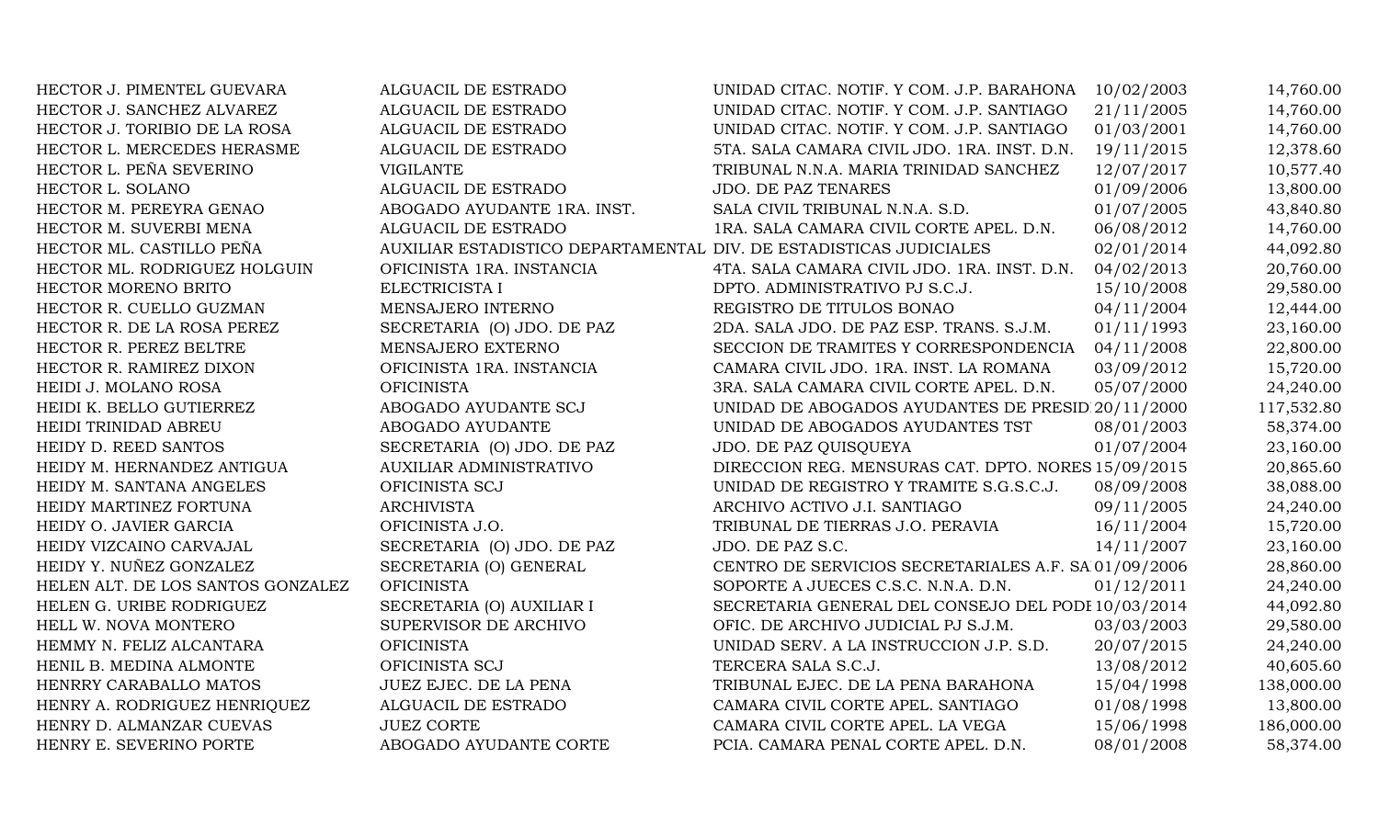| HECTOR J. PIMENTEL GUEVARA        | ALGUACIL DE ESTRADO                                                | UNIDAD CITAC. NOTIF. Y COM. J.P. BARAHONA            | 10/02/2003 | 14,760.00  |
|-----------------------------------|--------------------------------------------------------------------|------------------------------------------------------|------------|------------|
| HECTOR J. SANCHEZ ALVAREZ         | ALGUACIL DE ESTRADO                                                | UNIDAD CITAC. NOTIF. Y COM. J.P. SANTIAGO            | 21/11/2005 | 14,760.00  |
| HECTOR J. TORIBIO DE LA ROSA      | ALGUACIL DE ESTRADO                                                | UNIDAD CITAC. NOTIF. Y COM. J.P. SANTIAGO            | 01/03/2001 | 14,760.00  |
| HECTOR L. MERCEDES HERASME        | ALGUACIL DE ESTRADO                                                | 5TA. SALA CAMARA CIVIL JDO. 1RA. INST. D.N.          | 19/11/2015 | 12,378.60  |
| HECTOR L. PEÑA SEVERINO           | <b>VIGILANTE</b>                                                   | TRIBUNAL N.N.A. MARIA TRINIDAD SANCHEZ               | 12/07/2017 | 10,577.40  |
| HECTOR L. SOLANO                  | ALGUACIL DE ESTRADO                                                | <b>JDO. DE PAZ TENARES</b>                           | 01/09/2006 | 13,800.00  |
| HECTOR M. PEREYRA GENAO           | ABOGADO AYUDANTE 1RA. INST.                                        | SALA CIVIL TRIBUNAL N.N.A. S.D.                      | 01/07/2005 | 43,840.80  |
| HECTOR M. SUVERBI MENA            | ALGUACIL DE ESTRADO                                                | 1RA. SALA CAMARA CIVIL CORTE APEL. D.N.              | 06/08/2012 | 14,760.00  |
| HECTOR ML. CASTILLO PEÑA          | AUXILIAR ESTADISTICO DEPARTAMENTAL DIV. DE ESTADISTICAS JUDICIALES |                                                      | 02/01/2014 | 44,092.80  |
| HECTOR ML. RODRIGUEZ HOLGUIN      | OFICINISTA 1RA. INSTANCIA                                          | 4TA. SALA CAMARA CIVIL JDO. 1RA. INST. D.N.          | 04/02/2013 | 20,760.00  |
| HECTOR MORENO BRITO               | ELECTRICISTA I                                                     | DPTO. ADMINISTRATIVO PJ S.C.J.                       | 15/10/2008 | 29,580.00  |
| HECTOR R. CUELLO GUZMAN           | MENSAJERO INTERNO                                                  | REGISTRO DE TITULOS BONAO                            | 04/11/2004 | 12,444.00  |
| HECTOR R. DE LA ROSA PEREZ        | SECRETARIA (O) JDO. DE PAZ                                         | 2DA. SALA JDO. DE PAZ ESP. TRANS. S.J.M.             | 01/11/1993 | 23,160.00  |
| HECTOR R. PEREZ BELTRE            | MENSAJERO EXTERNO                                                  | SECCION DE TRAMITES Y CORRESPONDENCIA                | 04/11/2008 | 22,800.00  |
| HECTOR R. RAMIREZ DIXON           | OFICINISTA 1RA. INSTANCIA                                          | CAMARA CIVIL JDO. 1RA. INST. LA ROMANA               | 03/09/2012 | 15,720.00  |
| HEIDI J. MOLANO ROSA              | <b>OFICINISTA</b>                                                  | 3RA. SALA CAMARA CIVIL CORTE APEL. D.N.              | 05/07/2000 | 24,240.00  |
| HEIDI K. BELLO GUTIERREZ          | ABOGADO AYUDANTE SCJ                                               | UNIDAD DE ABOGADOS AYUDANTES DE PRESID 20/11/2000    |            | 117,532.80 |
| HEIDI TRINIDAD ABREU              | ABOGADO AYUDANTE                                                   | UNIDAD DE ABOGADOS AYUDANTES TST                     | 08/01/2003 | 58,374.00  |
| HEIDY D. REED SANTOS              | SECRETARIA (O) JDO. DE PAZ                                         | JDO. DE PAZ QUISQUEYA                                | 01/07/2004 | 23,160.00  |
| HEIDY M. HERNANDEZ ANTIGUA        | <b>AUXILIAR ADMINISTRATIVO</b>                                     | DIRECCION REG. MENSURAS CAT. DPTO. NORES 15/09/2015  |            | 20,865.60  |
| HEIDY M. SANTANA ANGELES          | OFICINISTA SCJ                                                     | UNIDAD DE REGISTRO Y TRAMITE S.G.S.C.J.              | 08/09/2008 | 38,088.00  |
| HEIDY MARTINEZ FORTUNA            | <b>ARCHIVISTA</b>                                                  | ARCHIVO ACTIVO J.I. SANTIAGO                         | 09/11/2005 | 24,240.00  |
| HEIDY O. JAVIER GARCIA            | OFICINISTA J.O.                                                    | TRIBUNAL DE TIERRAS J.O. PERAVIA                     | 16/11/2004 | 15,720.00  |
| HEIDY VIZCAINO CARVAJAL           | SECRETARIA (O) JDO. DE PAZ                                         | JDO. DE PAZ S.C.                                     | 14/11/2007 | 23,160.00  |
| HEIDY Y. NUÑEZ GONZALEZ           | SECRETARIA (O) GENERAL                                             | CENTRO DE SERVICIOS SECRETARIALES A.F. SA 01/09/2006 |            | 28,860.00  |
| HELEN ALT. DE LOS SANTOS GONZALEZ | <b>OFICINISTA</b>                                                  | SOPORTE A JUECES C.S.C. N.N.A. D.N.                  | 01/12/2011 | 24,240.00  |
| HELEN G. URIBE RODRIGUEZ          | SECRETARIA (O) AUXILIAR I                                          | SECRETARIA GENERAL DEL CONSEJO DEL PODI 10/03/2014   |            | 44,092.80  |
| HELL W. NOVA MONTERO              | SUPERVISOR DE ARCHIVO                                              | OFIC. DE ARCHIVO JUDICIAL PJ S.J.M.                  | 03/03/2003 | 29,580.00  |
| HEMMY N. FELIZ ALCANTARA          | <b>OFICINISTA</b>                                                  | UNIDAD SERV. A LA INSTRUCCION J.P. S.D.              | 20/07/2015 | 24,240.00  |
| HENIL B. MEDINA ALMONTE           | OFICINISTA SCJ                                                     | TERCERA SALA S.C.J.                                  | 13/08/2012 | 40,605.60  |
| HENRRY CARABALLO MATOS            | JUEZ EJEC. DE LA PENA                                              | TRIBUNAL EJEC. DE LA PENA BARAHONA                   | 15/04/1998 | 138,000.00 |
| HENRY A. RODRIGUEZ HENRIQUEZ      | ALGUACIL DE ESTRADO                                                | CAMARA CIVIL CORTE APEL. SANTIAGO                    | 01/08/1998 | 13,800.00  |
| HENRY D. ALMANZAR CUEVAS          | <b>JUEZ CORTE</b>                                                  | CAMARA CIVIL CORTE APEL. LA VEGA                     | 15/06/1998 | 186,000.00 |
| HENRY E. SEVERINO PORTE           | ABOGADO AYUDANTE CORTE                                             | PCIA. CAMARA PENAL CORTE APEL. D.N.                  | 08/01/2008 | 58,374.00  |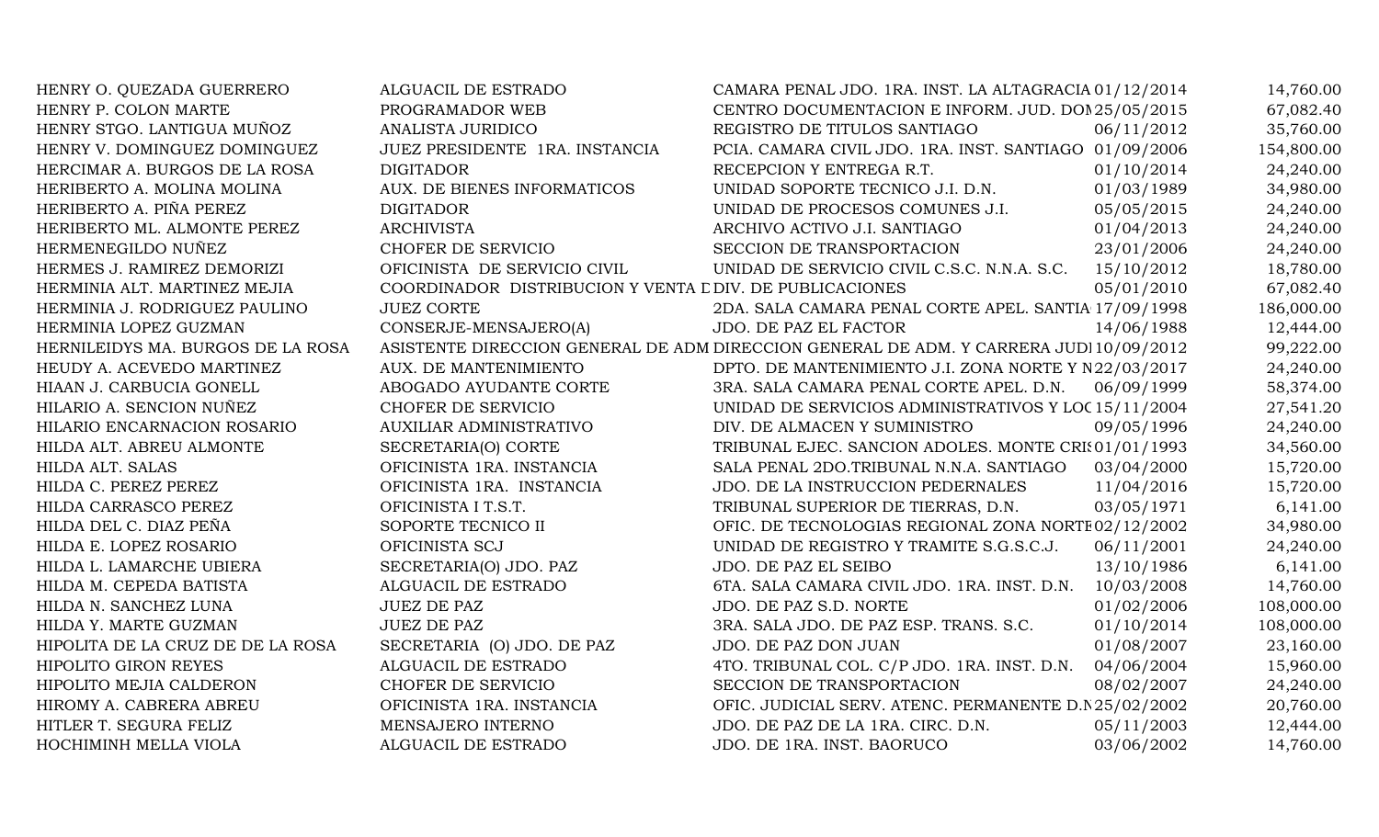| HENRY O. QUEZADA GUERRERO         | ALGUACIL DE ESTRADO                                      | CAMARA PENAL JDO. 1RA. INST. LA ALTAGRACIA 01/12/2014                                  |            | 14,760.00  |
|-----------------------------------|----------------------------------------------------------|----------------------------------------------------------------------------------------|------------|------------|
| HENRY P. COLON MARTE              | PROGRAMADOR WEB                                          | CENTRO DOCUMENTACION E INFORM. JUD. DOM25/05/2015                                      |            | 67,082.40  |
| HENRY STGO. LANTIGUA MUÑOZ        | <b>ANALISTA JURIDICO</b>                                 | REGISTRO DE TITULOS SANTIAGO                                                           | 06/11/2012 | 35,760.00  |
| HENRY V. DOMINGUEZ DOMINGUEZ      | JUEZ PRESIDENTE 1RA. INSTANCIA                           | PCIA. CAMARA CIVIL JDO. 1RA. INST. SANTIAGO 01/09/2006                                 |            | 154,800.00 |
| HERCIMAR A. BURGOS DE LA ROSA     | <b>DIGITADOR</b>                                         | RECEPCION Y ENTREGA R.T.                                                               | 01/10/2014 | 24,240.00  |
| HERIBERTO A. MOLINA MOLINA        | AUX. DE BIENES INFORMATICOS                              | UNIDAD SOPORTE TECNICO J.I. D.N.                                                       | 01/03/1989 | 34,980.00  |
| HERIBERTO A. PIÑA PEREZ           | <b>DIGITADOR</b>                                         | UNIDAD DE PROCESOS COMUNES J.I.                                                        | 05/05/2015 | 24,240.00  |
| HERIBERTO ML. ALMONTE PEREZ       | <b>ARCHIVISTA</b>                                        | ARCHIVO ACTIVO J.I. SANTIAGO                                                           | 01/04/2013 | 24,240.00  |
| HERMENEGILDO NUÑEZ                | CHOFER DE SERVICIO                                       | SECCION DE TRANSPORTACION                                                              | 23/01/2006 | 24,240.00  |
| HERMES J. RAMIREZ DEMORIZI        | OFICINISTA DE SERVICIO CIVIL                             | UNIDAD DE SERVICIO CIVIL C.S.C. N.N.A. S.C.                                            | 15/10/2012 | 18,780.00  |
| HERMINIA ALT. MARTINEZ MEJIA      | COORDINADOR DISTRIBUCION Y VENTA L DIV. DE PUBLICACIONES |                                                                                        | 05/01/2010 | 67,082.40  |
| HERMINIA J. RODRIGUEZ PAULINO     | <b>JUEZ CORTE</b>                                        | 2DA. SALA CAMARA PENAL CORTE APEL. SANTIA 17/09/1998                                   |            | 186,000.00 |
| HERMINIA LOPEZ GUZMAN             | CONSERJE-MENSAJERO(A)                                    | JDO. DE PAZ EL FACTOR                                                                  | 14/06/1988 | 12,444.00  |
| HERNILEIDYS MA. BURGOS DE LA ROSA |                                                          | ASISTENTE DIRECCION GENERAL DE ADM DIRECCION GENERAL DE ADM. Y CARRERA JUDI 10/09/2012 |            | 99,222.00  |
| HEUDY A. ACEVEDO MARTINEZ         | AUX. DE MANTENIMIENTO                                    | DPTO. DE MANTENIMIENTO J.I. ZONA NORTE Y N22/03/2017                                   |            | 24,240.00  |
| HIAAN J. CARBUCIA GONELL          | ABOGADO AYUDANTE CORTE                                   | 3RA. SALA CAMARA PENAL CORTE APEL. D.N.                                                | 06/09/1999 | 58,374.00  |
| HILARIO A. SENCION NUÑEZ          | CHOFER DE SERVICIO                                       | UNIDAD DE SERVICIOS ADMINISTRATIVOS Y LOC 15/11/2004                                   |            | 27,541.20  |
| HILARIO ENCARNACION ROSARIO       | AUXILIAR ADMINISTRATIVO                                  | DIV. DE ALMACEN Y SUMINISTRO                                                           | 09/05/1996 | 24,240.00  |
| HILDA ALT. ABREU ALMONTE          | SECRETARIA(O) CORTE                                      | TRIBUNAL EJEC. SANCION ADOLES. MONTE CRI(01/01/1993                                    |            | 34,560.00  |
| HILDA ALT. SALAS                  | OFICINISTA 1RA. INSTANCIA                                | SALA PENAL 2DO.TRIBUNAL N.N.A. SANTIAGO                                                | 03/04/2000 | 15,720.00  |
| HILDA C. PEREZ PEREZ              | OFICINISTA 1RA. INSTANCIA                                | JDO. DE LA INSTRUCCION PEDERNALES                                                      | 11/04/2016 | 15,720.00  |
| HILDA CARRASCO PEREZ              | OFICINISTA I T.S.T.                                      | TRIBUNAL SUPERIOR DE TIERRAS, D.N.                                                     | 03/05/1971 | 6,141.00   |
| HILDA DEL C. DIAZ PEÑA            | SOPORTE TECNICO II                                       | OFIC. DE TECNOLOGIAS REGIONAL ZONA NORTE 02/12/2002                                    |            | 34,980.00  |
| HILDA E. LOPEZ ROSARIO            | OFICINISTA SCJ                                           | UNIDAD DE REGISTRO Y TRAMITE S.G.S.C.J.                                                | 06/11/2001 | 24,240.00  |
| HILDA L. LAMARCHE UBIERA          | SECRETARIA(O) JDO. PAZ                                   | JDO. DE PAZ EL SEIBO                                                                   | 13/10/1986 | 6,141.00   |
| HILDA M. CEPEDA BATISTA           | ALGUACIL DE ESTRADO                                      | 6TA. SALA CAMARA CIVIL JDO. 1RA. INST. D.N.                                            | 10/03/2008 | 14,760.00  |
| HILDA N. SANCHEZ LUNA             | <b>JUEZ DE PAZ</b>                                       | JDO. DE PAZ S.D. NORTE                                                                 | 01/02/2006 | 108,000.00 |
| HILDA Y. MARTE GUZMAN             | <b>JUEZ DE PAZ</b>                                       | 3RA. SALA JDO. DE PAZ ESP. TRANS. S.C.                                                 | 01/10/2014 | 108,000.00 |
| HIPOLITA DE LA CRUZ DE DE LA ROSA | SECRETARIA (O) JDO. DE PAZ                               | JDO. DE PAZ DON JUAN                                                                   | 01/08/2007 | 23,160.00  |
| <b>HIPOLITO GIRON REYES</b>       | ALGUACIL DE ESTRADO                                      | 4TO. TRIBUNAL COL. C/P JDO. 1RA. INST. D.N.                                            | 04/06/2004 | 15,960.00  |
| HIPOLITO MEJIA CALDERON           | CHOFER DE SERVICIO                                       | SECCION DE TRANSPORTACION                                                              | 08/02/2007 | 24,240.00  |
| HIROMY A. CABRERA ABREU           | OFICINISTA 1RA. INSTANCIA                                | OFIC. JUDICIAL SERV. ATENC. PERMANENTE D.N 25/02/2002                                  |            | 20,760.00  |
| HITLER T. SEGURA FELIZ            | MENSAJERO INTERNO                                        | JDO. DE PAZ DE LA 1RA. CIRC. D.N.                                                      | 05/11/2003 | 12,444.00  |
| HOCHIMINH MELLA VIOLA             | ALGUACIL DE ESTRADO                                      | JDO. DE 1RA. INST. BAORUCO                                                             | 03/06/2002 | 14,760.00  |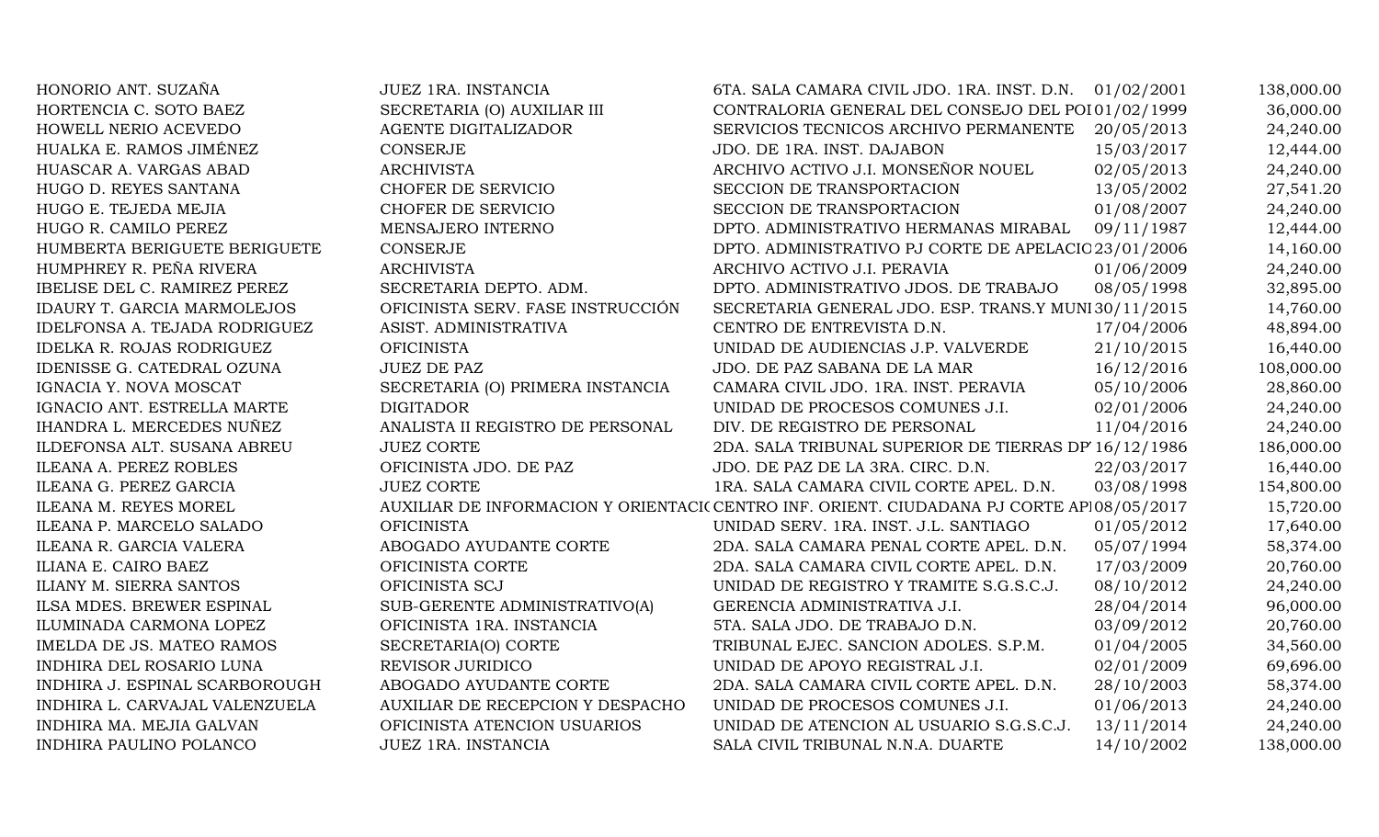| HONORIO ANT. SUZAÑA                | JUEZ 1RA. INSTANCIA               | 6TA. SALA CAMARA CIVIL JDO. 1RA. INST. D.N. 01/02/2001                                   |            | 138,000.00 |
|------------------------------------|-----------------------------------|------------------------------------------------------------------------------------------|------------|------------|
| HORTENCIA C. SOTO BAEZ             | SECRETARIA (O) AUXILIAR III       | CONTRALORIA GENERAL DEL CONSEJO DEL POI 01/02/1999                                       |            | 36,000.00  |
| HOWELL NERIO ACEVEDO               | AGENTE DIGITALIZADOR              | SERVICIOS TECNICOS ARCHIVO PERMANENTE                                                    | 20/05/2013 | 24,240.00  |
| HUALKA E. RAMOS JIMÉNEZ            | CONSERJE                          | JDO. DE 1RA. INST. DAJABON                                                               | 15/03/2017 | 12,444.00  |
| HUASCAR A. VARGAS ABAD             | <b>ARCHIVISTA</b>                 | ARCHIVO ACTIVO J.I. MONSEÑOR NOUEL                                                       | 02/05/2013 | 24,240.00  |
| HUGO D. REYES SANTANA              | CHOFER DE SERVICIO                | SECCION DE TRANSPORTACION                                                                | 13/05/2002 | 27,541.20  |
| HUGO E. TEJEDA MEJIA               | CHOFER DE SERVICIO                | SECCION DE TRANSPORTACION                                                                | 01/08/2007 | 24,240.00  |
| HUGO R. CAMILO PEREZ               | MENSAJERO INTERNO                 | DPTO. ADMINISTRATIVO HERMANAS MIRABAL                                                    | 09/11/1987 | 12,444.00  |
| HUMBERTA BERIGUETE BERIGUETE       | CONSERJE                          | DPTO. ADMINISTRATIVO PJ CORTE DE APELACIO 23/01/2006                                     |            | 14,160.00  |
| HUMPHREY R. PEÑA RIVERA            | <b>ARCHIVISTA</b>                 | ARCHIVO ACTIVO J.I. PERAVIA                                                              | 01/06/2009 | 24,240.00  |
| IBELISE DEL C. RAMIREZ PEREZ       | SECRETARIA DEPTO. ADM.            | DPTO. ADMINISTRATIVO JDOS. DE TRABAJO                                                    | 08/05/1998 | 32,895.00  |
| <b>IDAURY T. GARCIA MARMOLEJOS</b> | OFICINISTA SERV. FASE INSTRUCCIÓN | SECRETARIA GENERAL JDO. ESP. TRANS.Y MUNI30/11/2015                                      |            | 14,760.00  |
| IDELFONSA A. TEJADA RODRIGUEZ      | ASIST. ADMINISTRATIVA             | CENTRO DE ENTREVISTA D.N.                                                                | 17/04/2006 | 48,894.00  |
| <b>IDELKA R. ROJAS RODRIGUEZ</b>   | <b>OFICINISTA</b>                 | UNIDAD DE AUDIENCIAS J.P. VALVERDE                                                       | 21/10/2015 | 16,440.00  |
| IDENISSE G. CATEDRAL OZUNA         | <b>JUEZ DE PAZ</b>                | JDO. DE PAZ SABANA DE LA MAR                                                             | 16/12/2016 | 108,000.00 |
| IGNACIA Y. NOVA MOSCAT             | SECRETARIA (O) PRIMERA INSTANCIA  | CAMARA CIVIL JDO. 1RA. INST. PERAVIA                                                     | 05/10/2006 | 28,860.00  |
| IGNACIO ANT. ESTRELLA MARTE        | <b>DIGITADOR</b>                  | UNIDAD DE PROCESOS COMUNES J.I.                                                          | 02/01/2006 | 24,240.00  |
| IHANDRA L. MERCEDES NUÑEZ          | ANALISTA II REGISTRO DE PERSONAL  | DIV. DE REGISTRO DE PERSONAL                                                             | 11/04/2016 | 24,240.00  |
| ILDEFONSA ALT. SUSANA ABREU        | <b>JUEZ CORTE</b>                 | 2DA. SALA TRIBUNAL SUPERIOR DE TIERRAS DP 16/12/1986                                     |            | 186,000.00 |
| ILEANA A. PEREZ ROBLES             | OFICINISTA JDO. DE PAZ            | JDO. DE PAZ DE LA 3RA. CIRC. D.N.                                                        | 22/03/2017 | 16,440.00  |
| ILEANA G. PEREZ GARCIA             | <b>JUEZ CORTE</b>                 | 1RA. SALA CAMARA CIVIL CORTE APEL. D.N.                                                  | 03/08/1998 | 154,800.00 |
| ILEANA M. REYES MOREL              |                                   | AUXILIAR DE INFORMACION Y ORIENTACI(CENTRO INF. ORIENT. CIUDADANA PJ CORTE AP 08/05/2017 |            | 15,720.00  |
| ILEANA P. MARCELO SALADO           | <b>OFICINISTA</b>                 | UNIDAD SERV. 1RA. INST. J.L. SANTIAGO                                                    | 01/05/2012 | 17,640.00  |
| ILEANA R. GARCIA VALERA            | ABOGADO AYUDANTE CORTE            | 2DA. SALA CAMARA PENAL CORTE APEL. D.N.                                                  | 05/07/1994 | 58,374.00  |
| ILIANA E. CAIRO BAEZ               | OFICINISTA CORTE                  | 2DA. SALA CAMARA CIVIL CORTE APEL. D.N.                                                  | 17/03/2009 | 20,760.00  |
| ILIANY M. SIERRA SANTOS            | OFICINISTA SCJ                    | UNIDAD DE REGISTRO Y TRAMITE S.G.S.C.J.                                                  | 08/10/2012 | 24,240.00  |
| ILSA MDES. BREWER ESPINAL          | SUB-GERENTE ADMINISTRATIVO(A)     | GERENCIA ADMINISTRATIVA J.I.                                                             | 28/04/2014 | 96,000.00  |
| ILUMINADA CARMONA LOPEZ            | OFICINISTA 1RA. INSTANCIA         | 5TA. SALA JDO. DE TRABAJO D.N.                                                           | 03/09/2012 | 20,760.00  |
| IMELDA DE JS. MATEO RAMOS          | SECRETARIA(O) CORTE               | TRIBUNAL EJEC. SANCION ADOLES. S.P.M.                                                    | 01/04/2005 | 34,560.00  |
| INDHIRA DEL ROSARIO LUNA           | REVISOR JURIDICO                  | UNIDAD DE APOYO REGISTRAL J.I.                                                           | 02/01/2009 | 69,696.00  |
| INDHIRA J. ESPINAL SCARBOROUGH     | ABOGADO AYUDANTE CORTE            | 2DA. SALA CAMARA CIVIL CORTE APEL. D.N.                                                  | 28/10/2003 | 58,374.00  |
| INDHIRA L. CARVAJAL VALENZUELA     | AUXILIAR DE RECEPCION Y DESPACHO  | UNIDAD DE PROCESOS COMUNES J.I.                                                          | 01/06/2013 | 24,240.00  |
| INDHIRA MA. MEJIA GALVAN           | OFICINISTA ATENCION USUARIOS      | UNIDAD DE ATENCION AL USUARIO S.G.S.C.J.                                                 | 13/11/2014 | 24,240.00  |
| INDHIRA PAULINO POLANCO            | JUEZ 1RA. INSTANCIA               | SALA CIVIL TRIBUNAL N.N.A. DUARTE                                                        | 14/10/2002 | 138,000.00 |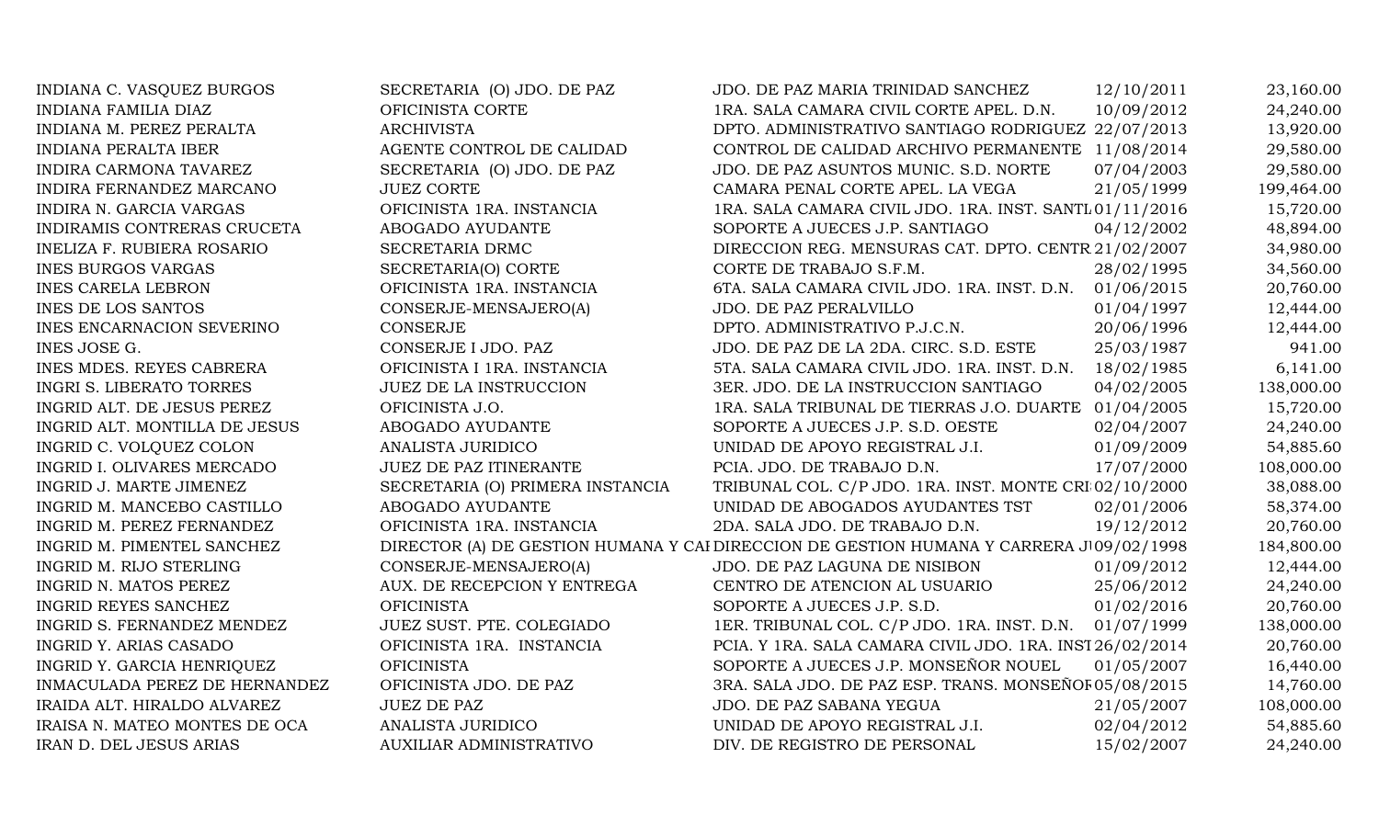| INDIANA C. VASQUEZ BURGOS     | SECRETARIA (O) JDO. DE PAZ       | JDO. DE PAZ MARIA TRINIDAD SANCHEZ                                                      | 12/10/2011 | 23,160.00  |
|-------------------------------|----------------------------------|-----------------------------------------------------------------------------------------|------------|------------|
| <b>INDIANA FAMILIA DIAZ</b>   | OFICINISTA CORTE                 | 1RA. SALA CAMARA CIVIL CORTE APEL. D.N.                                                 | 10/09/2012 | 24,240.00  |
| INDIANA M. PEREZ PERALTA      | <b>ARCHIVISTA</b>                | DPTO. ADMINISTRATIVO SANTIAGO RODRIGUEZ 22/07/2013                                      |            | 13,920.00  |
| <b>INDIANA PERALTA IBER</b>   | AGENTE CONTROL DE CALIDAD        | CONTROL DE CALIDAD ARCHIVO PERMANENTE 11/08/2014                                        |            | 29,580.00  |
| INDIRA CARMONA TAVAREZ        | SECRETARIA (O) JDO. DE PAZ       | JDO. DE PAZ ASUNTOS MUNIC. S.D. NORTE                                                   | 07/04/2003 | 29,580.00  |
| INDIRA FERNANDEZ MARCANO      | <b>JUEZ CORTE</b>                | CAMARA PENAL CORTE APEL. LA VEGA                                                        | 21/05/1999 | 199,464.00 |
| INDIRA N. GARCIA VARGAS       | OFICINISTA 1RA. INSTANCIA        | 1RA. SALA CAMARA CIVIL JDO. 1RA. INST. SANTL 01/11/2016                                 |            | 15,720.00  |
| INDIRAMIS CONTRERAS CRUCETA   | ABOGADO AYUDANTE                 | SOPORTE A JUECES J.P. SANTIAGO                                                          | 04/12/2002 | 48,894.00  |
| INELIZA F. RUBIERA ROSARIO    | SECRETARIA DRMC                  | DIRECCION REG. MENSURAS CAT. DPTO. CENTR 21/02/2007                                     |            | 34,980.00  |
| <b>INES BURGOS VARGAS</b>     | SECRETARIA(O) CORTE              | CORTE DE TRABAJO S.F.M.                                                                 | 28/02/1995 | 34,560.00  |
| <b>INES CARELA LEBRON</b>     | OFICINISTA 1RA. INSTANCIA        | 6TA. SALA CAMARA CIVIL JDO. 1RA. INST. D.N.                                             | 01/06/2015 | 20,760.00  |
| <b>INES DE LOS SANTOS</b>     | CONSERJE-MENSAJERO(A)            | JDO. DE PAZ PERALVILLO                                                                  | 01/04/1997 | 12,444.00  |
| INES ENCARNACION SEVERINO     | <b>CONSERJE</b>                  | DPTO. ADMINISTRATIVO P.J.C.N.                                                           | 20/06/1996 | 12,444.00  |
| INES JOSE G.                  | CONSERJE I JDO. PAZ              | JDO. DE PAZ DE LA 2DA. CIRC. S.D. ESTE                                                  | 25/03/1987 | 941.00     |
| INES MDES. REYES CABRERA      | OFICINISTA I 1RA. INSTANCIA      | 5TA. SALA CAMARA CIVIL JDO. 1RA. INST. D.N.                                             | 18/02/1985 | 6,141.00   |
| INGRI S. LIBERATO TORRES      | JUEZ DE LA INSTRUCCION           | 3ER. JDO. DE LA INSTRUCCION SANTIAGO                                                    | 04/02/2005 | 138,000.00 |
| INGRID ALT. DE JESUS PEREZ    | OFICINISTA J.O.                  | 1RA. SALA TRIBUNAL DE TIERRAS J.O. DUARTE 01/04/2005                                    |            | 15,720.00  |
| INGRID ALT. MONTILLA DE JESUS | ABOGADO AYUDANTE                 | SOPORTE A JUECES J.P. S.D. OESTE                                                        | 02/04/2007 | 24,240.00  |
| INGRID C. VOLQUEZ COLON       | ANALISTA JURIDICO                | UNIDAD DE APOYO REGISTRAL J.I.                                                          | 01/09/2009 | 54,885.60  |
| INGRID I. OLIVARES MERCADO    | <b>JUEZ DE PAZ ITINERANTE</b>    | PCIA. JDO. DE TRABAJO D.N.                                                              | 17/07/2000 | 108,000.00 |
| INGRID J. MARTE JIMENEZ       | SECRETARIA (O) PRIMERA INSTANCIA | TRIBUNAL COL. C/P JDO. 1RA. INST. MONTE CRI 02/10/2000                                  |            | 38,088.00  |
| INGRID M. MANCEBO CASTILLO    | ABOGADO AYUDANTE                 | UNIDAD DE ABOGADOS AYUDANTES TST                                                        | 02/01/2006 | 58,374.00  |
| INGRID M. PEREZ FERNANDEZ     | OFICINISTA 1RA. INSTANCIA        | 2DA. SALA JDO. DE TRABAJO D.N.                                                          | 19/12/2012 | 20,760.00  |
| INGRID M. PIMENTEL SANCHEZ    |                                  | DIRECTOR (A) DE GESTION HUMANA Y CAI DIRECCION DE GESTION HUMANA Y CARRERA J 09/02/1998 |            | 184,800.00 |
| INGRID M. RIJO STERLING       | CONSERJE-MENSAJERO(A)            | JDO. DE PAZ LAGUNA DE NISIBON                                                           | 01/09/2012 | 12,444.00  |
| INGRID N. MATOS PEREZ         | AUX. DE RECEPCION Y ENTREGA      | CENTRO DE ATENCION AL USUARIO                                                           | 25/06/2012 | 24,240.00  |
| INGRID REYES SANCHEZ          | <b>OFICINISTA</b>                | SOPORTE A JUECES J.P. S.D.                                                              | 01/02/2016 | 20,760.00  |
| INGRID S. FERNANDEZ MENDEZ    | JUEZ SUST. PTE. COLEGIADO        | 1ER. TRIBUNAL COL. C/P JDO. 1RA. INST. D.N.                                             | 01/07/1999 | 138,000.00 |
| INGRID Y. ARIAS CASADO        | OFICINISTA 1RA. INSTANCIA        | PCIA. Y 1RA. SALA CAMARA CIVIL JDO. 1RA. INST 26/02/2014                                |            | 20,760.00  |
| INGRID Y. GARCIA HENRIQUEZ    | <b>OFICINISTA</b>                | SOPORTE A JUECES J.P. MONSEÑOR NOUEL                                                    | 01/05/2007 | 16,440.00  |
| INMACULADA PEREZ DE HERNANDEZ | OFICINISTA JDO. DE PAZ           | 3RA. SALA JDO. DE PAZ ESP. TRANS. MONSEÑOF 05/08/2015                                   |            | 14,760.00  |
| IRAIDA ALT. HIRALDO ALVAREZ   | <b>JUEZ DE PAZ</b>               | JDO. DE PAZ SABANA YEGUA                                                                | 21/05/2007 | 108,000.00 |
| IRAISA N. MATEO MONTES DE OCA | ANALISTA JURIDICO                | UNIDAD DE APOYO REGISTRAL J.I.                                                          | 02/04/2012 | 54,885.60  |
| IRAN D. DEL JESUS ARIAS       | <b>AUXILIAR ADMINISTRATIVO</b>   | DIV. DE REGISTRO DE PERSONAL                                                            | 15/02/2007 | 24,240.00  |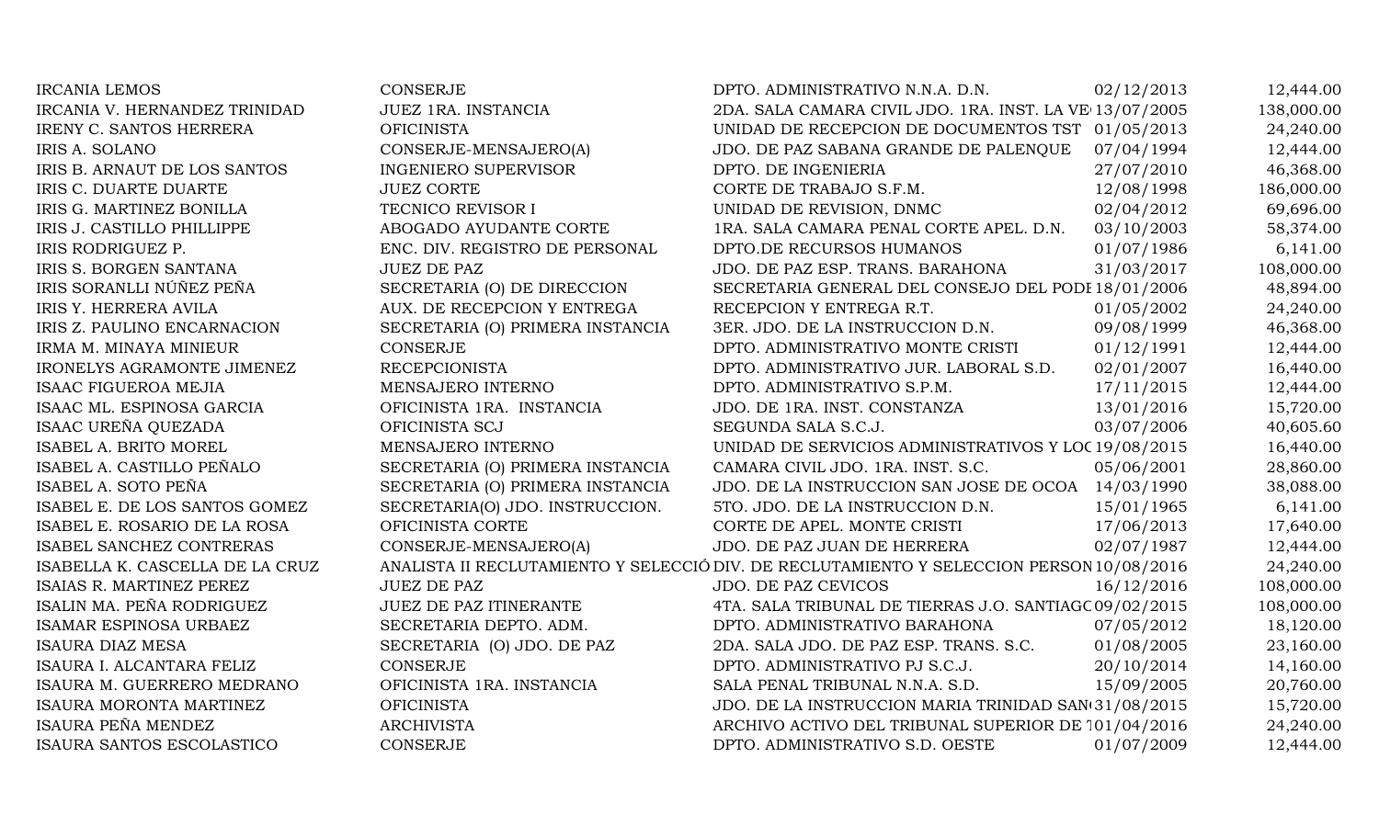| <b>IRCANIA LEMOS</b>            | <b>CONSERJE</b>                  | DPTO. ADMINISTRATIVO N.N.A. D.N.                                                         | 02/12/2013 | 12,444.00  |
|---------------------------------|----------------------------------|------------------------------------------------------------------------------------------|------------|------------|
| IRCANIA V. HERNANDEZ TRINIDAD   | JUEZ 1RA. INSTANCIA              | 2DA. SALA CAMARA CIVIL JDO. 1RA. INST. LA VE 13/07/2005                                  |            | 138,000.00 |
| <b>IRENY C. SANTOS HERRERA</b>  | <b>OFICINISTA</b>                | UNIDAD DE RECEPCION DE DOCUMENTOS TST 01/05/2013                                         |            | 24,240.00  |
| <b>IRIS A. SOLANO</b>           | CONSERJE-MENSAJERO(A)            | JDO. DE PAZ SABANA GRANDE DE PALENQUE                                                    | 07/04/1994 | 12,444.00  |
| IRIS B. ARNAUT DE LOS SANTOS    | <b>INGENIERO SUPERVISOR</b>      | DPTO. DE INGENIERIA                                                                      | 27/07/2010 | 46,368.00  |
| IRIS C. DUARTE DUARTE           | <b>JUEZ CORTE</b>                | CORTE DE TRABAJO S.F.M.                                                                  | 12/08/1998 | 186,000.00 |
| IRIS G. MARTINEZ BONILLA        | TECNICO REVISOR I                | UNIDAD DE REVISION, DNMC                                                                 | 02/04/2012 | 69,696.00  |
| IRIS J. CASTILLO PHILLIPPE      | ABOGADO AYUDANTE CORTE           | 1RA. SALA CAMARA PENAL CORTE APEL. D.N.                                                  | 03/10/2003 | 58,374.00  |
| IRIS RODRIGUEZ P.               | ENC. DIV. REGISTRO DE PERSONAL   | DPTO.DE RECURSOS HUMANOS                                                                 | 01/07/1986 | 6,141.00   |
| IRIS S. BORGEN SANTANA          | <b>JUEZ DE PAZ</b>               | JDO. DE PAZ ESP. TRANS. BARAHONA                                                         | 31/03/2017 | 108,000.00 |
| IRIS SORANLLI NÚÑEZ PEÑA        | SECRETARIA (O) DE DIRECCION      | SECRETARIA GENERAL DEL CONSEJO DEL PODI 18/01/2006                                       |            | 48,894.00  |
| IRIS Y. HERRERA AVILA           | AUX. DE RECEPCION Y ENTREGA      | RECEPCION Y ENTREGA R.T.                                                                 | 01/05/2002 | 24,240.00  |
| IRIS Z. PAULINO ENCARNACION     | SECRETARIA (O) PRIMERA INSTANCIA | 3ER. JDO. DE LA INSTRUCCION D.N.                                                         | 09/08/1999 | 46,368.00  |
| IRMA M. MINAYA MINIEUR          | CONSERJE                         | DPTO. ADMINISTRATIVO MONTE CRISTI                                                        | 01/12/1991 | 12,444.00  |
| IRONELYS AGRAMONTE JIMENEZ      | <b>RECEPCIONISTA</b>             | DPTO. ADMINISTRATIVO JUR. LABORAL S.D.                                                   | 02/01/2007 | 16,440.00  |
| <b>ISAAC FIGUEROA MEJIA</b>     | MENSAJERO INTERNO                | DPTO. ADMINISTRATIVO S.P.M.                                                              | 17/11/2015 | 12,444.00  |
| ISAAC ML. ESPINOSA GARCIA       | OFICINISTA 1RA. INSTANCIA        | JDO. DE 1RA. INST. CONSTANZA                                                             | 13/01/2016 | 15,720.00  |
| ISAAC UREÑA QUEZADA             | OFICINISTA SCJ                   | SEGUNDA SALA S.C.J.                                                                      | 03/07/2006 | 40,605.60  |
| ISABEL A. BRITO MOREL           | MENSAJERO INTERNO                | UNIDAD DE SERVICIOS ADMINISTRATIVOS Y LOC 19/08/2015                                     |            | 16,440.00  |
| ISABEL A. CASTILLO PEÑALO       | SECRETARIA (O) PRIMERA INSTANCIA | CAMARA CIVIL JDO. 1RA. INST. S.C.                                                        | 05/06/2001 | 28,860.00  |
| ISABEL A. SOTO PEÑA             | SECRETARIA (O) PRIMERA INSTANCIA | JDO. DE LA INSTRUCCION SAN JOSE DE OCOA 14/03/1990                                       |            | 38,088.00  |
| ISABEL E. DE LOS SANTOS GOMEZ   | SECRETARIA(O) JDO. INSTRUCCION.  | 5TO. JDO. DE LA INSTRUCCION D.N.                                                         | 15/01/1965 | 6,141.00   |
| ISABEL E. ROSARIO DE LA ROSA    | OFICINISTA CORTE                 | CORTE DE APEL. MONTE CRISTI                                                              | 17/06/2013 | 17,640.00  |
| ISABEL SANCHEZ CONTRERAS        | CONSERJE-MENSAJERO(A)            | JDO. DE PAZ JUAN DE HERRERA                                                              | 02/07/1987 | 12,444.00  |
| ISABELLA K. CASCELLA DE LA CRUZ |                                  | ANALISTA II RECLUTAMIENTO Y SELECCIÓ DIV. DE RECLUTAMIENTO Y SELECCION PERSON 10/08/2016 |            | 24,240.00  |
| ISAIAS R. MARTINEZ PEREZ        | <b>JUEZ DE PAZ</b>               | <b>JDO. DE PAZ CEVICOS</b>                                                               | 16/12/2016 | 108,000.00 |
| ISALIN MA. PEÑA RODRIGUEZ       | JUEZ DE PAZ ITINERANTE           | 4TA. SALA TRIBUNAL DE TIERRAS J.O. SANTIAGC 09/02/2015                                   |            | 108,000.00 |
| ISAMAR ESPINOSA URBAEZ          | SECRETARIA DEPTO. ADM.           | DPTO. ADMINISTRATIVO BARAHONA                                                            | 07/05/2012 | 18,120.00  |
| <b>ISAURA DIAZ MESA</b>         | SECRETARIA (O) JDO. DE PAZ       | 2DA. SALA JDO. DE PAZ ESP. TRANS. S.C.                                                   | 01/08/2005 | 23,160.00  |
| ISAURA I. ALCANTARA FELIZ       | <b>CONSERJE</b>                  | DPTO. ADMINISTRATIVO PJ S.C.J.                                                           | 20/10/2014 | 14,160.00  |
| ISAURA M. GUERRERO MEDRANO      | OFICINISTA 1RA. INSTANCIA        | SALA PENAL TRIBUNAL N.N.A. S.D.                                                          | 15/09/2005 | 20,760.00  |
| ISAURA MORONTA MARTINEZ         | <b>OFICINISTA</b>                | JDO. DE LA INSTRUCCION MARIA TRINIDAD SAN(31/08/2015                                     |            | 15,720.00  |
| ISAURA PEÑA MENDEZ              | <b>ARCHIVISTA</b>                | ARCHIVO ACTIVO DEL TRIBUNAL SUPERIOR DE 101/04/2016                                      |            | 24,240.00  |
| ISAURA SANTOS ESCOLASTICO       | <b>CONSERJE</b>                  | DPTO. ADMINISTRATIVO S.D. OESTE                                                          | 01/07/2009 | 12,444.00  |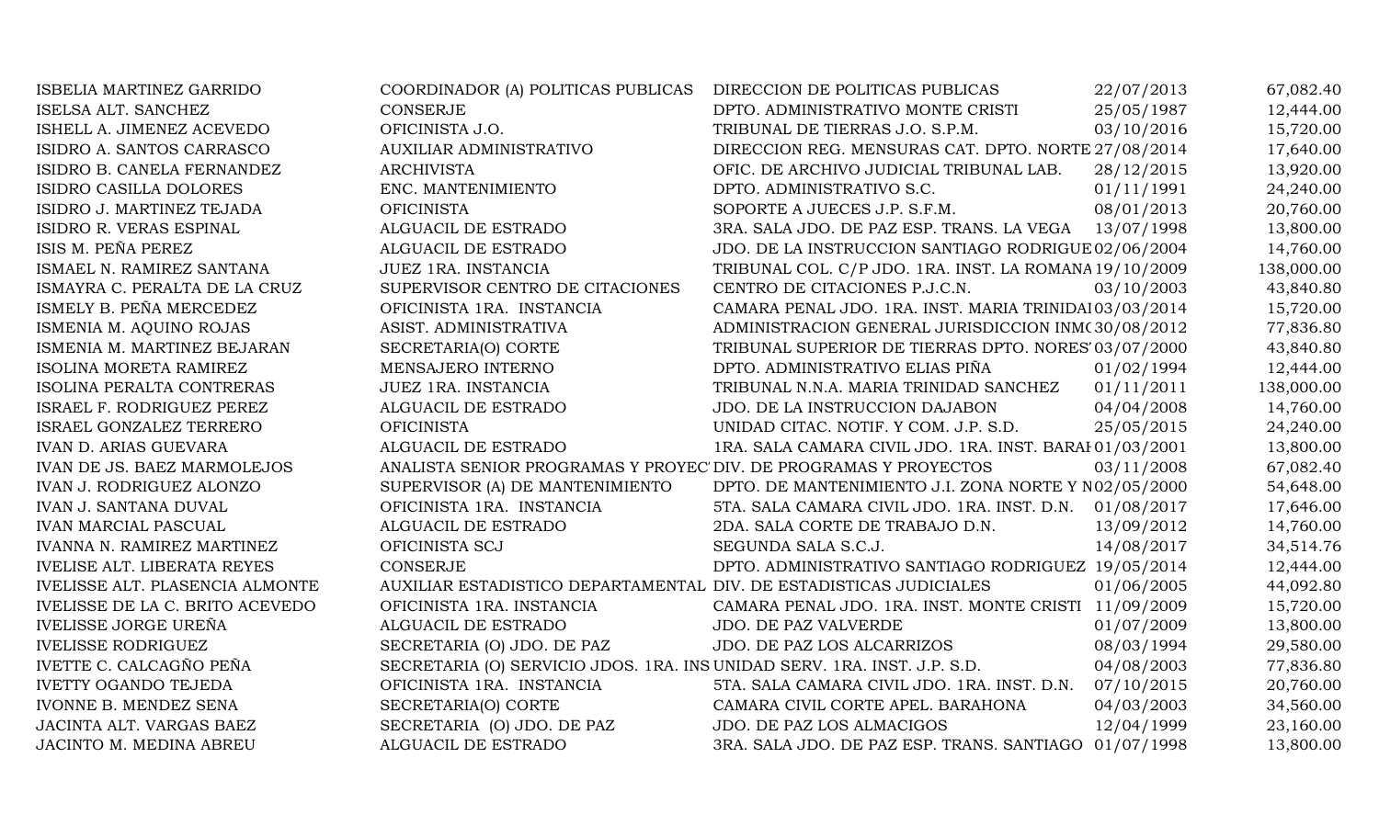| ISBELIA MARTINEZ GARRIDO           | COORDINADOR (A) POLITICAS PUBLICAS                                       | DIRECCION DE POLITICAS PUBLICAS                         | 22/07/2013 | 67,082.40  |
|------------------------------------|--------------------------------------------------------------------------|---------------------------------------------------------|------------|------------|
| ISELSA ALT. SANCHEZ                | <b>CONSERJE</b>                                                          | DPTO. ADMINISTRATIVO MONTE CRISTI                       | 25/05/1987 | 12,444.00  |
| ISHELL A. JIMENEZ ACEVEDO          | OFICINISTA J.O.                                                          | TRIBUNAL DE TIERRAS J.O. S.P.M.                         | 03/10/2016 | 15,720.00  |
| ISIDRO A. SANTOS CARRASCO          | AUXILIAR ADMINISTRATIVO                                                  | DIRECCION REG. MENSURAS CAT. DPTO. NORTE 27/08/2014     |            | 17,640.00  |
| ISIDRO B. CANELA FERNANDEZ         | <b>ARCHIVISTA</b>                                                        | OFIC. DE ARCHIVO JUDICIAL TRIBUNAL LAB.                 | 28/12/2015 | 13,920.00  |
| ISIDRO CASILLA DOLORES             | ENC. MANTENIMIENTO                                                       | DPTO. ADMINISTRATIVO S.C.                               | 01/11/1991 | 24,240.00  |
| ISIDRO J. MARTINEZ TEJADA          | <b>OFICINISTA</b>                                                        | SOPORTE A JUECES J.P. S.F.M.                            | 08/01/2013 | 20,760.00  |
| ISIDRO R. VERAS ESPINAL            | ALGUACIL DE ESTRADO                                                      | 3RA. SALA JDO. DE PAZ ESP. TRANS. LA VEGA 13/07/1998    |            | 13,800.00  |
| ISIS M. PEÑA PEREZ                 | ALGUACIL DE ESTRADO                                                      | JDO. DE LA INSTRUCCION SANTIAGO RODRIGUE 02/06/2004     |            | 14,760.00  |
| ISMAEL N. RAMIREZ SANTANA          | JUEZ 1RA. INSTANCIA                                                      | TRIBUNAL COL. C/P JDO. 1RA. INST. LA ROMANA 19/10/2009  |            | 138,000.00 |
| ISMAYRA C. PERALTA DE LA CRUZ      | SUPERVISOR CENTRO DE CITACIONES                                          | CENTRO DE CITACIONES P.J.C.N.                           | 03/10/2003 | 43,840.80  |
| ISMELY B. PEÑA MERCEDEZ            | OFICINISTA 1RA. INSTANCIA                                                | CAMARA PENAL JDO. 1RA. INST. MARIA TRINIDAI 03/03/2014  |            | 15,720.00  |
| ISMENIA M. AQUINO ROJAS            | ASIST. ADMINISTRATIVA                                                    | ADMINISTRACION GENERAL JURISDICCION INM(30/08/2012      |            | 77,836.80  |
| ISMENIA M. MARTINEZ BEJARAN        | SECRETARIA(O) CORTE                                                      | TRIBUNAL SUPERIOR DE TIERRAS DPTO. NORES' 03/07/2000    |            | 43,840.80  |
| ISOLINA MORETA RAMIREZ             | MENSAJERO INTERNO                                                        | DPTO. ADMINISTRATIVO ELIAS PIÑA                         | 01/02/1994 | 12,444.00  |
| ISOLINA PERALTA CONTRERAS          | JUEZ 1RA. INSTANCIA                                                      | TRIBUNAL N.N.A. MARIA TRINIDAD SANCHEZ                  | 01/11/2011 | 138,000.00 |
| ISRAEL F. RODRIGUEZ PEREZ          | ALGUACIL DE ESTRADO                                                      | JDO. DE LA INSTRUCCION DAJABON                          | 04/04/2008 | 14,760.00  |
| ISRAEL GONZALEZ TERRERO            | <b>OFICINISTA</b>                                                        | UNIDAD CITAC. NOTIF. Y COM. J.P. S.D.                   | 25/05/2015 | 24,240.00  |
| <b>IVAN D. ARIAS GUEVARA</b>       | ALGUACIL DE ESTRADO                                                      | 1RA. SALA CAMARA CIVIL JDO. 1RA. INST. BARAI 01/03/2001 |            | 13,800.00  |
| IVAN DE JS. BAEZ MARMOLEJOS        | ANALISTA SENIOR PROGRAMAS Y PROYEC' DIV. DE PROGRAMAS Y PROYECTOS        |                                                         | 03/11/2008 | 67,082.40  |
| IVAN J. RODRIGUEZ ALONZO           | SUPERVISOR (A) DE MANTENIMIENTO                                          | DPTO. DE MANTENIMIENTO J.I. ZONA NORTE Y N02/05/2000    |            | 54,648.00  |
| <b>IVAN J. SANTANA DUVAL</b>       | OFICINISTA 1RA. INSTANCIA                                                | 5TA. SALA CAMARA CIVIL JDO. 1RA. INST. D.N.             | 01/08/2017 | 17,646.00  |
| <b>IVAN MARCIAL PASCUAL</b>        | ALGUACIL DE ESTRADO                                                      | 2DA. SALA CORTE DE TRABAJO D.N.                         | 13/09/2012 | 14,760.00  |
| IVANNA N. RAMIREZ MARTINEZ         | OFICINISTA SCJ                                                           | SEGUNDA SALA S.C.J.                                     | 14/08/2017 | 34,514.76  |
| <b>IVELISE ALT. LIBERATA REYES</b> | <b>CONSERJE</b>                                                          | DPTO. ADMINISTRATIVO SANTIAGO RODRIGUEZ 19/05/2014      |            | 12,444.00  |
| IVELISSE ALT. PLASENCIA ALMONTE    | AUXILIAR ESTADISTICO DEPARTAMENTAL DIV. DE ESTADISTICAS JUDICIALES       |                                                         | 01/06/2005 | 44,092.80  |
| IVELISSE DE LA C. BRITO ACEVEDO    | OFICINISTA 1RA. INSTANCIA                                                | CAMARA PENAL JDO. 1RA. INST. MONTE CRISTI 11/09/2009    |            | 15,720.00  |
| <b>IVELISSE JORGE UREÑA</b>        | ALGUACIL DE ESTRADO                                                      | <b>JDO. DE PAZ VALVERDE</b>                             | 01/07/2009 | 13,800.00  |
| <b>IVELISSE RODRIGUEZ</b>          | SECRETARIA (O) JDO. DE PAZ                                               | JDO. DE PAZ LOS ALCARRIZOS                              | 08/03/1994 | 29,580.00  |
| IVETTE C. CALCAGÑO PEÑA            | SECRETARIA (O) SERVICIO JDOS. 1RA. INS UNIDAD SERV. 1RA. INST. J.P. S.D. |                                                         | 04/08/2003 | 77,836.80  |
| <b>IVETTY OGANDO TEJEDA</b>        | OFICINISTA 1RA. INSTANCIA                                                | 5TA. SALA CAMARA CIVIL JDO. 1RA. INST. D.N.             | 07/10/2015 | 20,760.00  |
| IVONNE B. MENDEZ SENA              | SECRETARIA(O) CORTE                                                      | CAMARA CIVIL CORTE APEL. BARAHONA                       | 04/03/2003 | 34,560.00  |
| JACINTA ALT. VARGAS BAEZ           | SECRETARIA (O) JDO. DE PAZ                                               | JDO. DE PAZ LOS ALMACIGOS                               | 12/04/1999 | 23,160.00  |
| JACINTO M. MEDINA ABREU            | ALGUACIL DE ESTRADO                                                      | 3RA. SALA JDO. DE PAZ ESP. TRANS. SANTIAGO 01/07/1998   |            | 13,800.00  |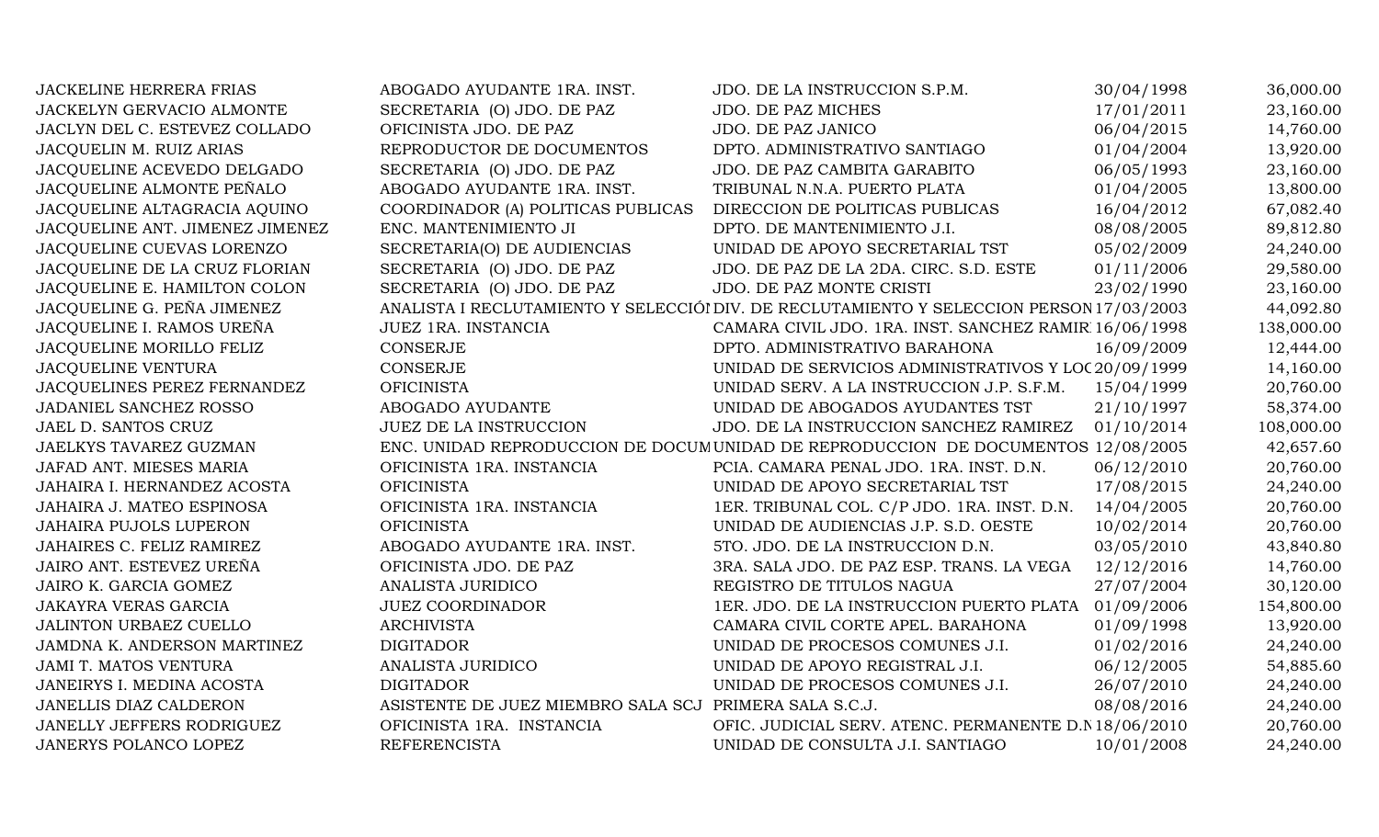| <b>JACKELINE HERRERA FRIAS</b>  | ABOGADO AYUDANTE 1RA. INST.                            | JDO. DE LA INSTRUCCION S.P.M.                                                            | 30/04/1998 | 36,000.00  |
|---------------------------------|--------------------------------------------------------|------------------------------------------------------------------------------------------|------------|------------|
| JACKELYN GERVACIO ALMONTE       | SECRETARIA (O) JDO. DE PAZ                             | <b>JDO. DE PAZ MICHES</b>                                                                | 17/01/2011 | 23,160.00  |
| JACLYN DEL C. ESTEVEZ COLLADO   | OFICINISTA JDO. DE PAZ                                 | JDO. DE PAZ JANICO                                                                       | 06/04/2015 | 14,760.00  |
| JACQUELIN M. RUIZ ARIAS         | REPRODUCTOR DE DOCUMENTOS                              | DPTO. ADMINISTRATIVO SANTIAGO                                                            | 01/04/2004 | 13,920.00  |
| JACQUELINE ACEVEDO DELGADO      | SECRETARIA (O) JDO. DE PAZ                             | JDO. DE PAZ CAMBITA GARABITO                                                             | 06/05/1993 | 23,160.00  |
| JACQUELINE ALMONTE PEÑALO       | ABOGADO AYUDANTE 1RA. INST.                            | TRIBUNAL N.N.A. PUERTO PLATA                                                             | 01/04/2005 | 13,800.00  |
| JACQUELINE ALTAGRACIA AQUINO    | COORDINADOR (A) POLITICAS PUBLICAS                     | DIRECCION DE POLITICAS PUBLICAS                                                          | 16/04/2012 | 67,082.40  |
| JACQUELINE ANT. JIMENEZ JIMENEZ | ENC. MANTENIMIENTO JI                                  | DPTO. DE MANTENIMIENTO J.I.                                                              | 08/08/2005 | 89,812.80  |
| JACQUELINE CUEVAS LORENZO       | SECRETARIA(O) DE AUDIENCIAS                            | UNIDAD DE APOYO SECRETARIAL TST                                                          | 05/02/2009 | 24,240.00  |
| JACQUELINE DE LA CRUZ FLORIAN   | SECRETARIA (O) JDO. DE PAZ                             | JDO. DE PAZ DE LA 2DA. CIRC. S.D. ESTE                                                   | 01/11/2006 | 29,580.00  |
| JACQUELINE E. HAMILTON COLON    | SECRETARIA (O) JDO. DE PAZ                             | JDO. DE PAZ MONTE CRISTI                                                                 | 23/02/1990 | 23,160.00  |
| JACQUELINE G. PEÑA JIMENEZ      |                                                        | ANALISTA I RECLUTAMIENTO Y SELECCIÓI DIV. DE RECLUTAMIENTO Y SELECCION PERSON 17/03/2003 |            | 44,092.80  |
| JACQUELINE I. RAMOS UREÑA       | JUEZ 1RA. INSTANCIA                                    | CAMARA CIVIL JDO. 1RA. INST. SANCHEZ RAMIR 16/06/1998                                    |            | 138,000.00 |
| JACQUELINE MORILLO FELIZ        | <b>CONSERJE</b>                                        | DPTO. ADMINISTRATIVO BARAHONA                                                            | 16/09/2009 | 12,444.00  |
| <b>JACQUELINE VENTURA</b>       | CONSERJE                                               | UNIDAD DE SERVICIOS ADMINISTRATIVOS Y LOC 20/09/1999                                     |            | 14,160.00  |
| JACQUELINES PEREZ FERNANDEZ     | <b>OFICINISTA</b>                                      | UNIDAD SERV. A LA INSTRUCCION J.P. S.F.M.                                                | 15/04/1999 | 20,760.00  |
| JADANIEL SANCHEZ ROSSO          | ABOGADO AYUDANTE                                       | UNIDAD DE ABOGADOS AYUDANTES TST                                                         | 21/10/1997 | 58,374.00  |
| JAEL D. SANTOS CRUZ             | JUEZ DE LA INSTRUCCION                                 | JDO. DE LA INSTRUCCION SANCHEZ RAMIREZ                                                   | 01/10/2014 | 108,000.00 |
| JAELKYS TAVAREZ GUZMAN          |                                                        | ENC. UNIDAD REPRODUCCION DE DOCUMUNIDAD DE REPRODUCCION DE DOCUMENTOS 12/08/2005         |            | 42,657.60  |
| JAFAD ANT. MIESES MARIA         | OFICINISTA 1RA. INSTANCIA                              | PCIA. CAMARA PENAL JDO. 1RA. INST. D.N.                                                  | 06/12/2010 | 20,760.00  |
| JAHAIRA I. HERNANDEZ ACOSTA     | <b>OFICINISTA</b>                                      | UNIDAD DE APOYO SECRETARIAL TST                                                          | 17/08/2015 | 24,240.00  |
| JAHAIRA J. MATEO ESPINOSA       | OFICINISTA 1RA. INSTANCIA                              | 1ER. TRIBUNAL COL. C/P JDO. 1RA. INST. D.N.                                              | 14/04/2005 | 20,760.00  |
| <b>JAHAIRA PUJOLS LUPERON</b>   | <b>OFICINISTA</b>                                      | UNIDAD DE AUDIENCIAS J.P. S.D. OESTE                                                     | 10/02/2014 | 20,760.00  |
| JAHAIRES C. FELIZ RAMIREZ       | ABOGADO AYUDANTE 1RA. INST.                            | 5TO. JDO. DE LA INSTRUCCION D.N.                                                         | 03/05/2010 | 43,840.80  |
| JAIRO ANT. ESTEVEZ UREÑA        | OFICINISTA JDO. DE PAZ                                 | 3RA. SALA JDO. DE PAZ ESP. TRANS. LA VEGA                                                | 12/12/2016 | 14,760.00  |
| JAIRO K. GARCIA GOMEZ           | ANALISTA JURIDICO                                      | REGISTRO DE TITULOS NAGUA                                                                | 27/07/2004 | 30,120.00  |
| <b>JAKAYRA VERAS GARCIA</b>     | <b>JUEZ COORDINADOR</b>                                | 1ER. JDO. DE LA INSTRUCCION PUERTO PLATA 01/09/2006                                      |            | 154,800.00 |
| JALINTON URBAEZ CUELLO          | <b>ARCHIVISTA</b>                                      | CAMARA CIVIL CORTE APEL. BARAHONA                                                        | 01/09/1998 | 13,920.00  |
| JAMDNA K. ANDERSON MARTINEZ     | <b>DIGITADOR</b>                                       | UNIDAD DE PROCESOS COMUNES J.I.                                                          | 01/02/2016 | 24,240.00  |
| <b>JAMI T. MATOS VENTURA</b>    | ANALISTA JURIDICO                                      | UNIDAD DE APOYO REGISTRAL J.I.                                                           | 06/12/2005 | 54,885.60  |
| JANEIRYS I. MEDINA ACOSTA       | <b>DIGITADOR</b>                                       | UNIDAD DE PROCESOS COMUNES J.I.                                                          | 26/07/2010 | 24,240.00  |
| JANELLIS DIAZ CALDERON          | ASISTENTE DE JUEZ MIEMBRO SALA SCJ PRIMERA SALA S.C.J. |                                                                                          | 08/08/2016 | 24,240.00  |
| JANELLY JEFFERS RODRIGUEZ       | OFICINISTA 1RA. INSTANCIA                              | OFIC. JUDICIAL SERV. ATENC. PERMANENTE D.N 18/06/2010                                    |            | 20,760.00  |
| JANERYS POLANCO LOPEZ           | <b>REFERENCISTA</b>                                    | UNIDAD DE CONSULTA J.I. SANTIAGO                                                         | 10/01/2008 | 24,240.00  |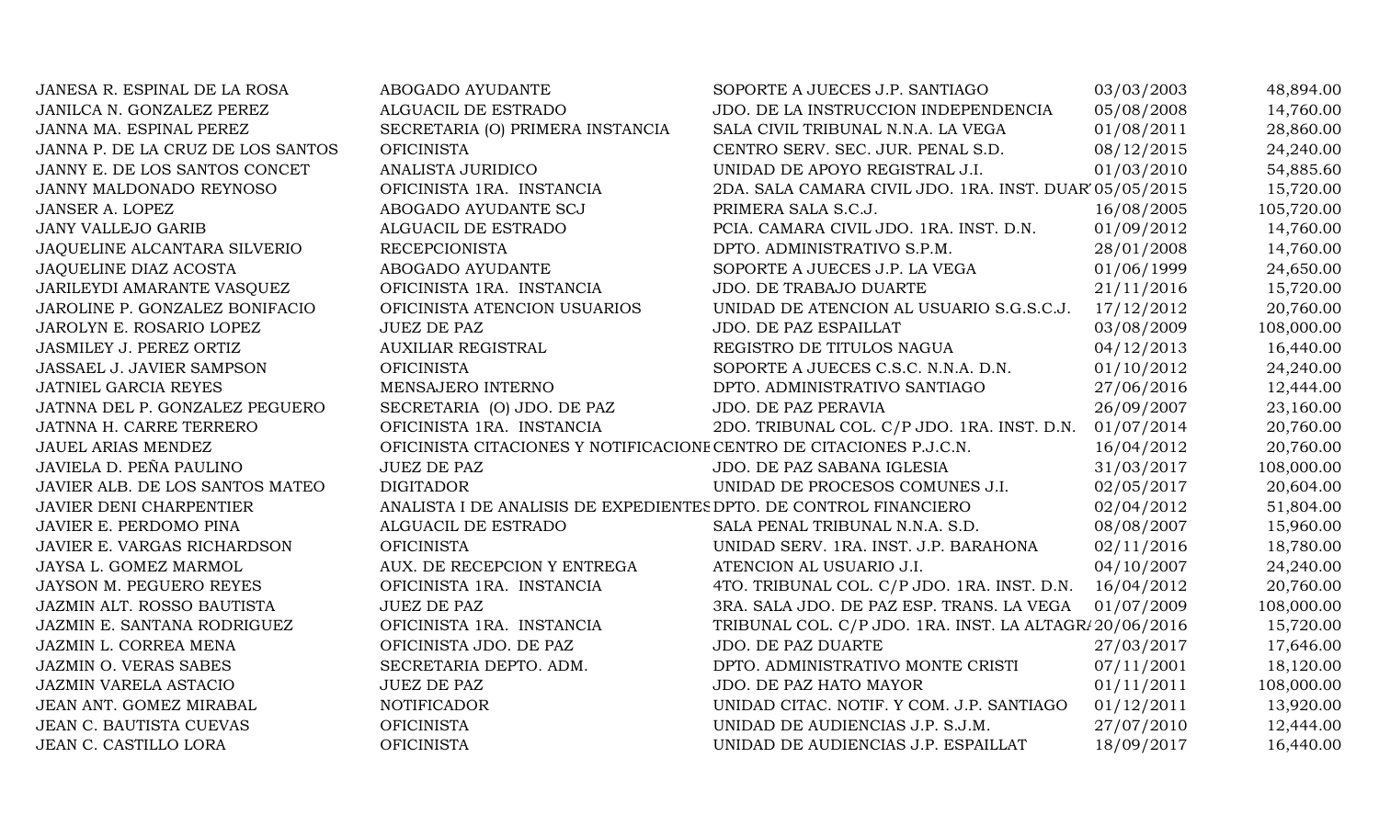| JANESA R. ESPINAL DE LA ROSA      | ABOGADO AYUDANTE                                                    | SOPORTE A JUECES J.P. SANTIAGO                         | 03/03/2003 | 48,894.00  |
|-----------------------------------|---------------------------------------------------------------------|--------------------------------------------------------|------------|------------|
| JANILCA N. GONZALEZ PEREZ         | ALGUACIL DE ESTRADO                                                 | JDO. DE LA INSTRUCCION INDEPENDENCIA                   | 05/08/2008 | 14,760.00  |
| JANNA MA. ESPINAL PEREZ           | SECRETARIA (O) PRIMERA INSTANCIA                                    | SALA CIVIL TRIBUNAL N.N.A. LA VEGA                     | 01/08/2011 | 28,860.00  |
| JANNA P. DE LA CRUZ DE LOS SANTOS | <b>OFICINISTA</b>                                                   | CENTRO SERV. SEC. JUR. PENAL S.D.                      | 08/12/2015 | 24,240.00  |
| JANNY E. DE LOS SANTOS CONCET     | ANALISTA JURIDICO                                                   | UNIDAD DE APOYO REGISTRAL J.I.                         | 01/03/2010 | 54,885.60  |
| JANNY MALDONADO REYNOSO           | OFICINISTA 1RA. INSTANCIA                                           | 2DA. SALA CAMARA CIVIL JDO. 1RA. INST. DUAR 05/05/2015 |            | 15,720.00  |
| JANSER A. LOPEZ                   | ABOGADO AYUDANTE SCJ                                                | PRIMERA SALA S.C.J.                                    | 16/08/2005 | 105,720.00 |
| <b>JANY VALLEJO GARIB</b>         | ALGUACIL DE ESTRADO                                                 | PCIA. CAMARA CIVIL JDO. 1RA. INST. D.N.                | 01/09/2012 | 14,760.00  |
| JAQUELINE ALCANTARA SILVERIO      | <b>RECEPCIONISTA</b>                                                | DPTO. ADMINISTRATIVO S.P.M.                            | 28/01/2008 | 14,760.00  |
| JAQUELINE DIAZ ACOSTA             | ABOGADO AYUDANTE                                                    | SOPORTE A JUECES J.P. LA VEGA                          | 01/06/1999 | 24,650.00  |
| JARILEYDI AMARANTE VASQUEZ        | OFICINISTA 1RA. INSTANCIA                                           | JDO. DE TRABAJO DUARTE                                 | 21/11/2016 | 15,720.00  |
| JAROLINE P. GONZALEZ BONIFACIO    | OFICINISTA ATENCION USUARIOS                                        | UNIDAD DE ATENCION AL USUARIO S.G.S.C.J.               | 17/12/2012 | 20,760.00  |
| JAROLYN E. ROSARIO LOPEZ          | <b>JUEZ DE PAZ</b>                                                  | JDO. DE PAZ ESPAILLAT                                  | 03/08/2009 | 108,000.00 |
| JASMILEY J. PEREZ ORTIZ           | <b>AUXILIAR REGISTRAL</b>                                           | REGISTRO DE TITULOS NAGUA                              | 04/12/2013 | 16,440.00  |
| JASSAEL J. JAVIER SAMPSON         | <b>OFICINISTA</b>                                                   | SOPORTE A JUECES C.S.C. N.N.A. D.N.                    | 01/10/2012 | 24,240.00  |
| JATNIEL GARCIA REYES              | MENSAJERO INTERNO                                                   | DPTO. ADMINISTRATIVO SANTIAGO                          | 27/06/2016 | 12,444.00  |
| JATNNA DEL P. GONZALEZ PEGUERO    | SECRETARIA (O) JDO. DE PAZ                                          | JDO. DE PAZ PERAVIA                                    | 26/09/2007 | 23,160.00  |
| JATNNA H. CARRE TERRERO           | OFICINISTA 1RA. INSTANCIA                                           | 2DO. TRIBUNAL COL. C/P JDO. 1RA. INST. D.N.            | 01/07/2014 | 20,760.00  |
| JAUEL ARIAS MENDEZ                | OFICINISTA CITACIONES Y NOTIFICACIONE CENTRO DE CITACIONES P.J.C.N. |                                                        | 16/04/2012 | 20,760.00  |
| JAVIELA D. PEÑA PAULINO           | <b>JUEZ DE PAZ</b>                                                  | JDO. DE PAZ SABANA IGLESIA                             | 31/03/2017 | 108,000.00 |
| JAVIER ALB. DE LOS SANTOS MATEO   | <b>DIGITADOR</b>                                                    | UNIDAD DE PROCESOS COMUNES J.I.                        | 02/05/2017 | 20,604.00  |
| JAVIER DENI CHARPENTIER           | ANALISTA I DE ANALISIS DE EXPEDIENTES DPTO. DE CONTROL FINANCIERO   |                                                        | 02/04/2012 | 51,804.00  |
| JAVIER E. PERDOMO PINA            | ALGUACIL DE ESTRADO                                                 | SALA PENAL TRIBUNAL N.N.A. S.D.                        | 08/08/2007 | 15,960.00  |
| JAVIER E. VARGAS RICHARDSON       | <b>OFICINISTA</b>                                                   | UNIDAD SERV. 1RA. INST. J.P. BARAHONA                  | 02/11/2016 | 18,780.00  |
| JAYSA L. GOMEZ MARMOL             | AUX. DE RECEPCION Y ENTREGA                                         | ATENCION AL USUARIO J.I.                               | 04/10/2007 | 24,240.00  |
| JAYSON M. PEGUERO REYES           | OFICINISTA 1RA. INSTANCIA                                           | 4TO. TRIBUNAL COL. C/P JDO. 1RA. INST. D.N.            | 16/04/2012 | 20,760.00  |
| JAZMIN ALT. ROSSO BAUTISTA        | <b>JUEZ DE PAZ</b>                                                  | 3RA. SALA JDO. DE PAZ ESP. TRANS. LA VEGA              | 01/07/2009 | 108,000.00 |
| JAZMIN E. SANTANA RODRIGUEZ       | OFICINISTA 1RA. INSTANCIA                                           | TRIBUNAL COL. C/P JDO. 1RA. INST. LA ALTAGR/20/06/2016 |            | 15,720.00  |
| JAZMIN L. CORREA MENA             | OFICINISTA JDO. DE PAZ                                              | JDO. DE PAZ DUARTE                                     | 27/03/2017 | 17,646.00  |
| <b>JAZMIN O. VERAS SABES</b>      | SECRETARIA DEPTO. ADM.                                              | DPTO. ADMINISTRATIVO MONTE CRISTI                      | 07/11/2001 | 18,120.00  |
| <b>JAZMIN VARELA ASTACIO</b>      | <b>JUEZ DE PAZ</b>                                                  | JDO. DE PAZ HATO MAYOR                                 | 01/11/2011 | 108,000.00 |
| JEAN ANT. GOMEZ MIRABAL           | <b>NOTIFICADOR</b>                                                  | UNIDAD CITAC. NOTIF. Y COM. J.P. SANTIAGO              | 01/12/2011 | 13,920.00  |
| <b>JEAN C. BAUTISTA CUEVAS</b>    | <b>OFICINISTA</b>                                                   | UNIDAD DE AUDIENCIAS J.P. S.J.M.                       | 27/07/2010 | 12,444.00  |
| JEAN C. CASTILLO LORA             | <b>OFICINISTA</b>                                                   | UNIDAD DE AUDIENCIAS J.P. ESPAILLAT                    | 18/09/2017 | 16,440.00  |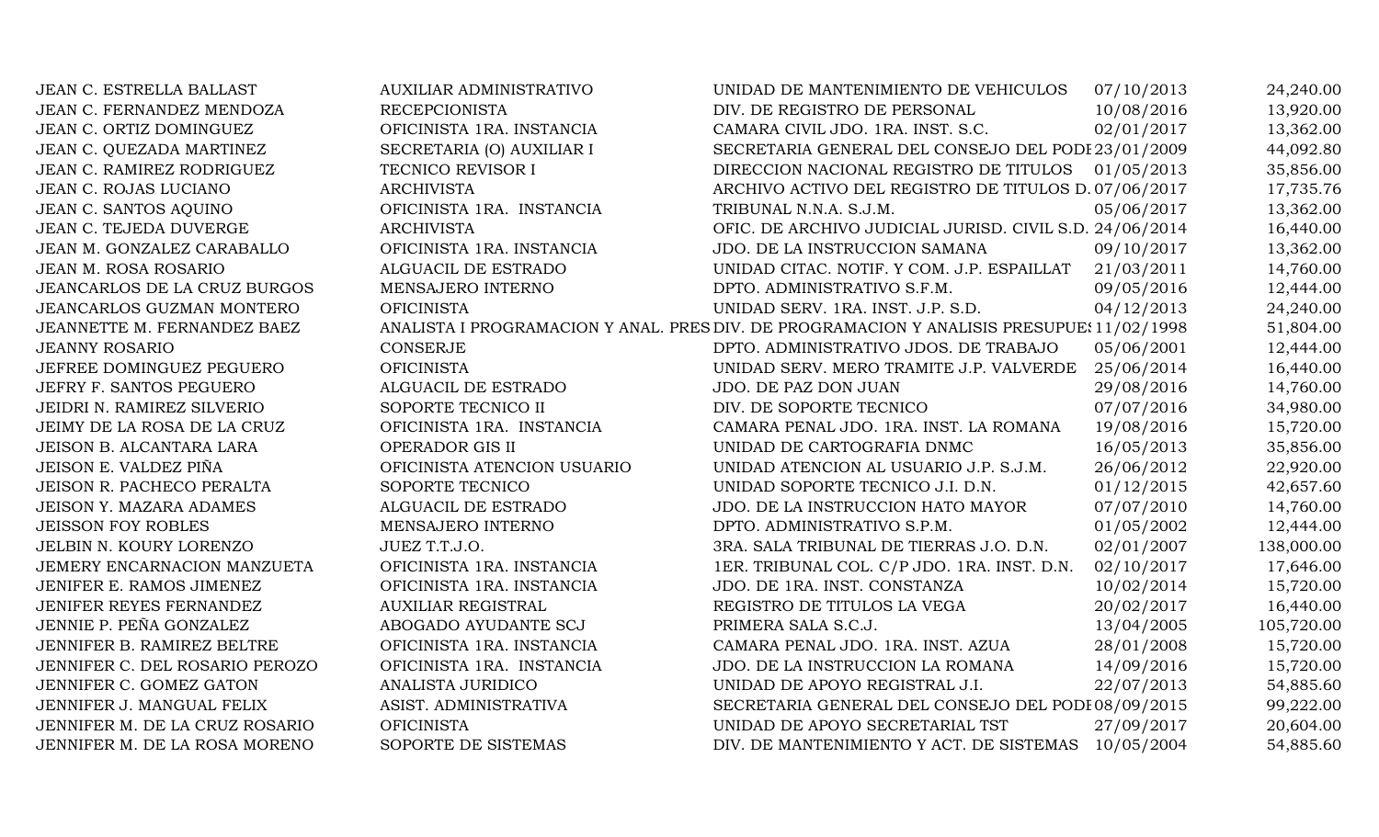| JEAN C. ESTRELLA BALLAST            | <b>AUXILIAR ADMINISTRATIVO</b> | UNIDAD DE MANTENIMIENTO DE VEHICULOS                                                      | 07/10/2013 | 24,240.00  |
|-------------------------------------|--------------------------------|-------------------------------------------------------------------------------------------|------------|------------|
| JEAN C. FERNANDEZ MENDOZA           | <b>RECEPCIONISTA</b>           | DIV. DE REGISTRO DE PERSONAL                                                              | 10/08/2016 | 13,920.00  |
| JEAN C. ORTIZ DOMINGUEZ             | OFICINISTA 1RA. INSTANCIA      | CAMARA CIVIL JDO. 1RA. INST. S.C.                                                         | 02/01/2017 | 13,362.00  |
| JEAN C. QUEZADA MARTINEZ            | SECRETARIA (O) AUXILIAR I      | SECRETARIA GENERAL DEL CONSEJO DEL PODI 23/01/2009                                        |            | 44,092.80  |
| JEAN C. RAMIREZ RODRIGUEZ           | TECNICO REVISOR I              | DIRECCION NACIONAL REGISTRO DE TITULOS 01/05/2013                                         |            | 35,856.00  |
| JEAN C. ROJAS LUCIANO               | <b>ARCHIVISTA</b>              | ARCHIVO ACTIVO DEL REGISTRO DE TITULOS D. 07/06/2017                                      |            | 17,735.76  |
| JEAN C. SANTOS AQUINO               | OFICINISTA 1RA. INSTANCIA      | TRIBUNAL N.N.A. S.J.M.                                                                    | 05/06/2017 | 13,362.00  |
| JEAN C. TEJEDA DUVERGE              | <b>ARCHIVISTA</b>              | OFIC. DE ARCHIVO JUDICIAL JURISD. CIVIL S.D. 24/06/2014                                   |            | 16,440.00  |
| JEAN M. GONZALEZ CARABALLO          | OFICINISTA 1RA. INSTANCIA      | JDO. DE LA INSTRUCCION SAMANA                                                             | 09/10/2017 | 13,362.00  |
| JEAN M. ROSA ROSARIO                | ALGUACIL DE ESTRADO            | UNIDAD CITAC. NOTIF. Y COM. J.P. ESPAILLAT                                                | 21/03/2011 | 14,760.00  |
| <b>JEANCARLOS DE LA CRUZ BURGOS</b> | MENSAJERO INTERNO              | DPTO. ADMINISTRATIVO S.F.M.                                                               | 09/05/2016 | 12,444.00  |
| JEANCARLOS GUZMAN MONTERO           | <b>OFICINISTA</b>              | UNIDAD SERV. 1RA. INST. J.P. S.D.                                                         | 04/12/2013 | 24,240.00  |
| JEANNETTE M. FERNANDEZ BAEZ         |                                | ANALISTA I PROGRAMACION Y ANAL. PRES DIV. DE PROGRAMACION Y ANALISIS PRESUPUE: 11/02/1998 |            | 51,804.00  |
| <b>JEANNY ROSARIO</b>               | <b>CONSERJE</b>                | DPTO. ADMINISTRATIVO JDOS. DE TRABAJO                                                     | 05/06/2001 | 12,444.00  |
| JEFREE DOMINGUEZ PEGUERO            | <b>OFICINISTA</b>              | UNIDAD SERV. MERO TRAMITE J.P. VALVERDE 25/06/2014                                        |            | 16,440.00  |
| JEFRY F. SANTOS PEGUERO             | ALGUACIL DE ESTRADO            | JDO. DE PAZ DON JUAN                                                                      | 29/08/2016 | 14,760.00  |
| JEIDRI N. RAMIREZ SILVERIO          | SOPORTE TECNICO II             | DIV. DE SOPORTE TECNICO                                                                   | 07/07/2016 | 34,980.00  |
| JEIMY DE LA ROSA DE LA CRUZ         | OFICINISTA 1RA. INSTANCIA      | CAMARA PENAL JDO. 1RA. INST. LA ROMANA                                                    | 19/08/2016 | 15,720.00  |
| JEISON B. ALCANTARA LARA            | OPERADOR GIS II                | UNIDAD DE CARTOGRAFIA DNMC                                                                | 16/05/2013 | 35,856.00  |
| JEISON E. VALDEZ PIÑA               | OFICINISTA ATENCION USUARIO    | UNIDAD ATENCION AL USUARIO J.P. S.J.M.                                                    | 26/06/2012 | 22,920.00  |
| JEISON R. PACHECO PERALTA           | SOPORTE TECNICO                | UNIDAD SOPORTE TECNICO J.I. D.N.                                                          | 01/12/2015 | 42,657.60  |
| <b>JEISON Y. MAZARA ADAMES</b>      | ALGUACIL DE ESTRADO            | JDO. DE LA INSTRUCCION HATO MAYOR                                                         | 07/07/2010 | 14,760.00  |
| <b>JEISSON FOY ROBLES</b>           | MENSAJERO INTERNO              | DPTO. ADMINISTRATIVO S.P.M.                                                               | 01/05/2002 | 12,444.00  |
| JELBIN N. KOURY LORENZO             | JUEZ T.T.J.O.                  | 3RA. SALA TRIBUNAL DE TIERRAS J.O. D.N.                                                   | 02/01/2007 | 138,000.00 |
| JEMERY ENCARNACION MANZUETA         | OFICINISTA 1RA. INSTANCIA      | 1ER. TRIBUNAL COL. C/P JDO. 1RA. INST. D.N.                                               | 02/10/2017 | 17,646.00  |
| JENIFER E. RAMOS JIMENEZ            | OFICINISTA 1RA. INSTANCIA      | JDO. DE 1RA. INST. CONSTANZA                                                              | 10/02/2014 | 15,720.00  |
| JENIFER REYES FERNANDEZ             | <b>AUXILIAR REGISTRAL</b>      | REGISTRO DE TITULOS LA VEGA                                                               | 20/02/2017 | 16,440.00  |
| JENNIE P. PEÑA GONZALEZ             | ABOGADO AYUDANTE SCJ           | PRIMERA SALA S.C.J.                                                                       | 13/04/2005 | 105,720.00 |
| JENNIFER B. RAMIREZ BELTRE          | OFICINISTA 1RA. INSTANCIA      | CAMARA PENAL JDO. 1RA. INST. AZUA                                                         | 28/01/2008 | 15,720.00  |
| JENNIFER C. DEL ROSARIO PEROZO      | OFICINISTA 1RA. INSTANCIA      | JDO. DE LA INSTRUCCION LA ROMANA                                                          | 14/09/2016 | 15,720.00  |
| JENNIFER C. GOMEZ GATON             | ANALISTA JURIDICO              | UNIDAD DE APOYO REGISTRAL J.I.                                                            | 22/07/2013 | 54,885.60  |
| JENNIFER J. MANGUAL FELIX           | ASIST. ADMINISTRATIVA          | SECRETARIA GENERAL DEL CONSEJO DEL PODI 08/09/2015                                        |            | 99,222.00  |
| JENNIFER M. DE LA CRUZ ROSARIO      | <b>OFICINISTA</b>              | UNIDAD DE APOYO SECRETARIAL TST                                                           | 27/09/2017 | 20,604.00  |
| JENNIFER M. DE LA ROSA MORENO       | SOPORTE DE SISTEMAS            | DIV. DE MANTENIMIENTO Y ACT. DE SISTEMAS 10/05/2004                                       |            | 54,885.60  |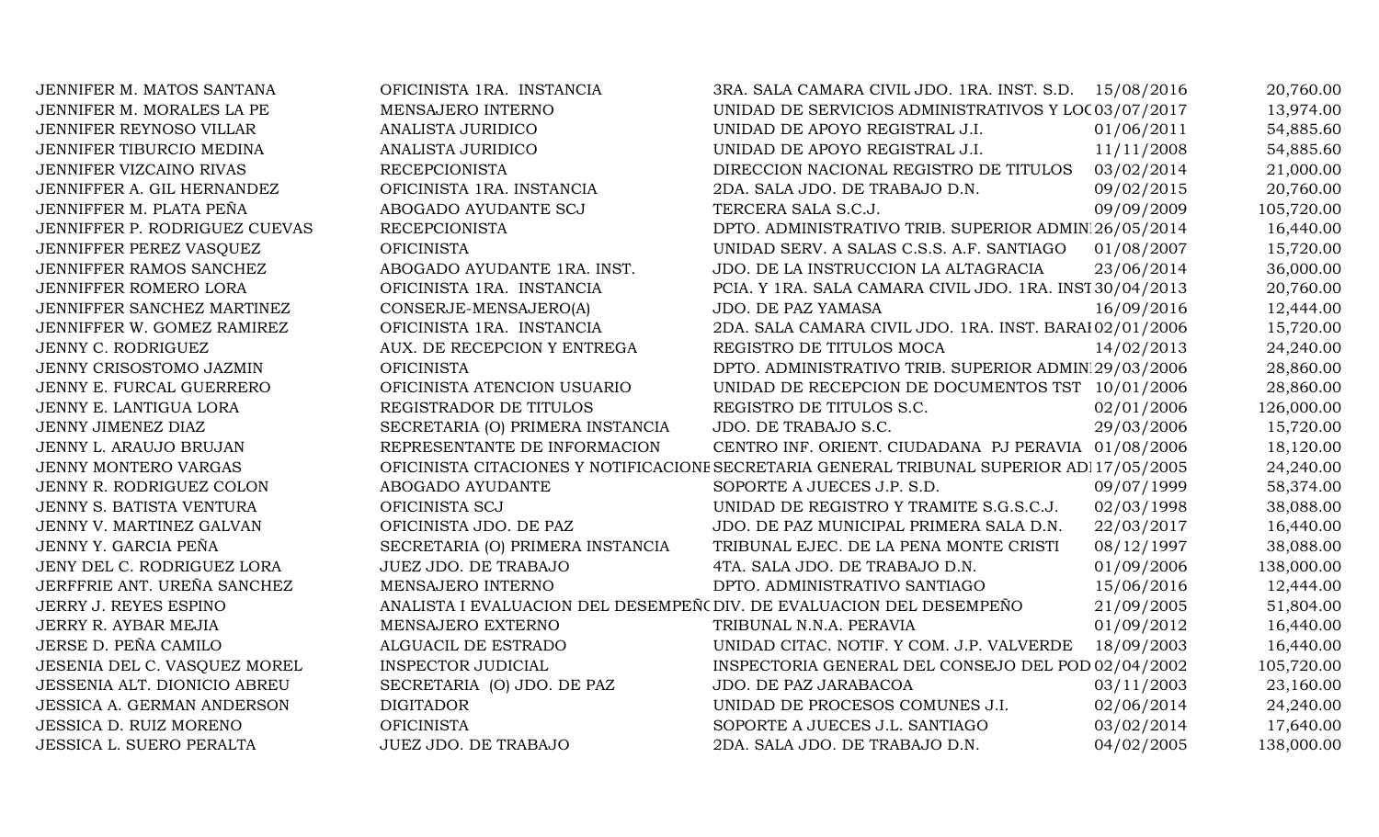| JENNIFER M. MATOS SANTANA         | OFICINISTA 1RA. INSTANCIA                                            | 3RA. SALA CAMARA CIVIL JDO. 1RA. INST. S.D. 15/08/2016                                   |            | 20,760.00  |
|-----------------------------------|----------------------------------------------------------------------|------------------------------------------------------------------------------------------|------------|------------|
| JENNIFER M. MORALES LA PE         | MENSAJERO INTERNO                                                    | UNIDAD DE SERVICIOS ADMINISTRATIVOS Y LOC 03/07/2017                                     |            | 13,974.00  |
| JENNIFER REYNOSO VILLAR           | ANALISTA JURIDICO                                                    | UNIDAD DE APOYO REGISTRAL J.I.                                                           | 01/06/2011 | 54,885.60  |
| JENNIFER TIBURCIO MEDINA          | ANALISTA JURIDICO                                                    | UNIDAD DE APOYO REGISTRAL J.I.                                                           | 11/11/2008 | 54,885.60  |
| JENNIFER VIZCAINO RIVAS           | <b>RECEPCIONISTA</b>                                                 | DIRECCION NACIONAL REGISTRO DE TITULOS                                                   | 03/02/2014 | 21,000.00  |
| JENNIFFER A. GIL HERNANDEZ        | OFICINISTA 1RA. INSTANCIA                                            | 2DA. SALA JDO. DE TRABAJO D.N.                                                           | 09/02/2015 | 20,760.00  |
| JENNIFFER M. PLATA PEÑA           | ABOGADO AYUDANTE SCJ                                                 | TERCERA SALA S.C.J.                                                                      | 09/09/2009 | 105,720.00 |
| JENNIFFER P. RODRIGUEZ CUEVAS     | <b>RECEPCIONISTA</b>                                                 | DPTO. ADMINISTRATIVO TRIB. SUPERIOR ADMIN 26/05/2014                                     |            | 16,440.00  |
| JENNIFFER PEREZ VASQUEZ           | <b>OFICINISTA</b>                                                    | UNIDAD SERV. A SALAS C.S.S. A.F. SANTIAGO                                                | 01/08/2007 | 15,720.00  |
| JENNIFFER RAMOS SANCHEZ           | ABOGADO AYUDANTE 1RA. INST.                                          | JDO. DE LA INSTRUCCION LA ALTAGRACIA                                                     | 23/06/2014 | 36,000.00  |
| JENNIFFER ROMERO LORA             | OFICINISTA 1RA. INSTANCIA                                            | PCIA. Y 1RA. SALA CAMARA CIVIL JDO. 1RA. INST 30/04/2013                                 |            | 20,760.00  |
| JENNIFFER SANCHEZ MARTINEZ        | CONSERJE-MENSAJERO(A)                                                | JDO. DE PAZ YAMASA                                                                       | 16/09/2016 | 12,444.00  |
| JENNIFFER W. GOMEZ RAMIREZ        | OFICINISTA 1RA. INSTANCIA                                            | 2DA. SALA CAMARA CIVIL JDO. 1RA. INST. BARAI 02/01/2006                                  |            | 15,720.00  |
| JENNY C. RODRIGUEZ                | AUX. DE RECEPCION Y ENTREGA                                          | REGISTRO DE TITULOS MOCA                                                                 | 14/02/2013 | 24,240.00  |
| JENNY CRISOSTOMO JAZMIN           | <b>OFICINISTA</b>                                                    | DPTO. ADMINISTRATIVO TRIB. SUPERIOR ADMIN 29/03/2006                                     |            | 28,860.00  |
| JENNY E. FURCAL GUERRERO          | OFICINISTA ATENCION USUARIO                                          | UNIDAD DE RECEPCION DE DOCUMENTOS TST 10/01/2006                                         |            | 28,860.00  |
| JENNY E. LANTIGUA LORA            | REGISTRADOR DE TITULOS                                               | REGISTRO DE TITULOS S.C.                                                                 | 02/01/2006 | 126,000.00 |
| JENNY JIMENEZ DIAZ                | SECRETARIA (O) PRIMERA INSTANCIA                                     | JDO. DE TRABAJO S.C.                                                                     | 29/03/2006 | 15,720.00  |
| JENNY L. ARAUJO BRUJAN            | REPRESENTANTE DE INFORMACION                                         | CENTRO INF. ORIENT. CIUDADANA PJ PERAVIA 01/08/2006                                      |            | 18,120.00  |
| JENNY MONTERO VARGAS              |                                                                      | OFICINISTA CITACIONES Y NOTIFICACIONE SECRETARIA GENERAL TRIBUNAL SUPERIOR AD 17/05/2005 |            | 24,240.00  |
| JENNY R. RODRIGUEZ COLON          | ABOGADO AYUDANTE                                                     | SOPORTE A JUECES J.P. S.D.                                                               | 09/07/1999 | 58,374.00  |
| JENNY S. BATISTA VENTURA          | OFICINISTA SCJ                                                       | UNIDAD DE REGISTRO Y TRAMITE S.G.S.C.J.                                                  | 02/03/1998 | 38,088.00  |
| JENNY V. MARTINEZ GALVAN          | OFICINISTA JDO. DE PAZ                                               | JDO. DE PAZ MUNICIPAL PRIMERA SALA D.N.                                                  | 22/03/2017 | 16,440.00  |
| JENNY Y. GARCIA PEÑA              | SECRETARIA (O) PRIMERA INSTANCIA                                     | TRIBUNAL EJEC. DE LA PENA MONTE CRISTI                                                   | 08/12/1997 | 38,088.00  |
| JENY DEL C. RODRIGUEZ LORA        | JUEZ JDO. DE TRABAJO                                                 | 4TA. SALA JDO. DE TRABAJO D.N.                                                           | 01/09/2006 | 138,000.00 |
| JERFFRIE ANT. UREÑA SANCHEZ       | MENSAJERO INTERNO                                                    | DPTO. ADMINISTRATIVO SANTIAGO                                                            | 15/06/2016 | 12,444.00  |
| JERRY J. REYES ESPINO             | ANALISTA I EVALUACION DEL DESEMPEÑ (DIV. DE EVALUACION DEL DESEMPEÑO |                                                                                          | 21/09/2005 | 51,804.00  |
| JERRY R. AYBAR MEJIA              | MENSAJERO EXTERNO                                                    | TRIBUNAL N.N.A. PERAVIA                                                                  | 01/09/2012 | 16,440.00  |
| JERSE D. PEÑA CAMILO              | ALGUACIL DE ESTRADO                                                  | UNIDAD CITAC. NOTIF. Y COM. J.P. VALVERDE                                                | 18/09/2003 | 16,440.00  |
| JESENIA DEL C. VASQUEZ MOREL      | <b>INSPECTOR JUDICIAL</b>                                            | INSPECTORIA GENERAL DEL CONSEJO DEL POD 02/04/2002                                       |            | 105,720.00 |
| JESSENIA ALT. DIONICIO ABREU      | SECRETARIA (O) JDO. DE PAZ                                           | JDO. DE PAZ JARABACOA                                                                    | 03/11/2003 | 23,160.00  |
| <b>JESSICA A. GERMAN ANDERSON</b> | <b>DIGITADOR</b>                                                     | UNIDAD DE PROCESOS COMUNES J.I.                                                          | 02/06/2014 | 24,240.00  |
| JESSICA D. RUIZ MORENO            | <b>OFICINISTA</b>                                                    | SOPORTE A JUECES J.L. SANTIAGO                                                           | 03/02/2014 | 17,640.00  |
| JESSICA L. SUERO PERALTA          | JUEZ JDO. DE TRABAJO                                                 | 2DA. SALA JDO. DE TRABAJO D.N.                                                           | 04/02/2005 | 138,000.00 |
|                                   |                                                                      |                                                                                          |            |            |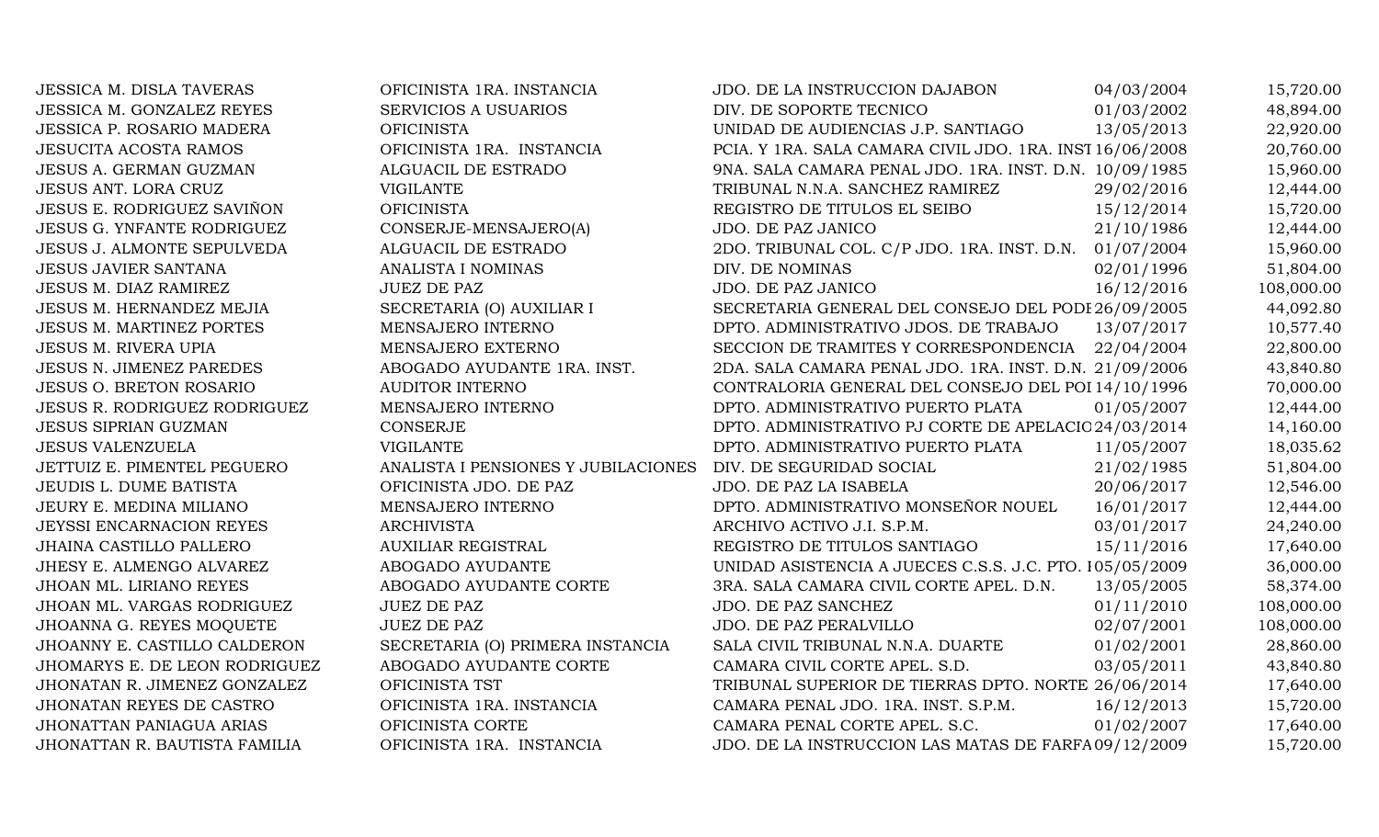| JESSICA M. DISLA TAVERAS          | OFICINISTA 1RA. INSTANCIA           | JDO. DE LA INSTRUCCION DAJABON                           | 04/03/2004 | 15,720.00  |
|-----------------------------------|-------------------------------------|----------------------------------------------------------|------------|------------|
| <b>JESSICA M. GONZALEZ REYES</b>  | <b>SERVICIOS A USUARIOS</b>         | DIV. DE SOPORTE TECNICO                                  | 01/03/2002 | 48,894.00  |
| JESSICA P. ROSARIO MADERA         | <b>OFICINISTA</b>                   | UNIDAD DE AUDIENCIAS J.P. SANTIAGO                       | 13/05/2013 | 22,920.00  |
| <b>JESUCITA ACOSTA RAMOS</b>      | OFICINISTA 1RA. INSTANCIA           | PCIA. Y 1RA. SALA CAMARA CIVIL JDO. 1RA. INST 16/06/2008 |            | 20,760.00  |
| <b>JESUS A. GERMAN GUZMAN</b>     | ALGUACIL DE ESTRADO                 | 9NA. SALA CAMARA PENAL JDO. 1RA. INST. D.N. 10/09/1985   |            | 15,960.00  |
| <b>JESUS ANT. LORA CRUZ</b>       | <b>VIGILANTE</b>                    | TRIBUNAL N.N.A. SANCHEZ RAMIREZ                          | 29/02/2016 | 12,444.00  |
| <b>JESUS E. RODRIGUEZ SAVIÑON</b> | <b>OFICINISTA</b>                   | REGISTRO DE TITULOS EL SEIBO                             | 15/12/2014 | 15,720.00  |
| <b>JESUS G. YNFANTE RODRIGUEZ</b> | CONSERJE-MENSAJERO(A)               | JDO. DE PAZ JANICO                                       | 21/10/1986 | 12,444.00  |
| JESUS J. ALMONTE SEPULVEDA        | ALGUACIL DE ESTRADO                 | 2DO. TRIBUNAL COL. C/P JDO. 1RA. INST. D.N.              | 01/07/2004 | 15,960.00  |
| <b>JESUS JAVIER SANTANA</b>       | ANALISTA I NOMINAS                  | DIV. DE NOMINAS                                          | 02/01/1996 | 51,804.00  |
| JESUS M. DIAZ RAMIREZ             | <b>JUEZ DE PAZ</b>                  | JDO. DE PAZ JANICO                                       | 16/12/2016 | 108,000.00 |
| JESUS M. HERNANDEZ MEJIA          | SECRETARIA (O) AUXILIAR I           | SECRETARIA GENERAL DEL CONSEJO DEL PODI 26/09/2005       |            | 44,092.80  |
| <b>JESUS M. MARTINEZ PORTES</b>   | MENSAJERO INTERNO                   | DPTO. ADMINISTRATIVO JDOS. DE TRABAJO                    | 13/07/2017 | 10,577.40  |
| <b>JESUS M. RIVERA UPIA</b>       | MENSAJERO EXTERNO                   | SECCION DE TRAMITES Y CORRESPONDENCIA 22/04/2004         |            | 22,800.00  |
| <b>JESUS N. JIMENEZ PAREDES</b>   | ABOGADO AYUDANTE 1RA. INST.         | 2DA. SALA CAMARA PENAL JDO. 1RA. INST. D.N. 21/09/2006   |            | 43,840.80  |
| <b>JESUS O. BRETON ROSARIO</b>    | <b>AUDITOR INTERNO</b>              | CONTRALORIA GENERAL DEL CONSEJO DEL POI 14/10/1996       |            | 70,000.00  |
| JESUS R. RODRIGUEZ RODRIGUEZ      | MENSAJERO INTERNO                   | DPTO. ADMINISTRATIVO PUERTO PLATA                        | 01/05/2007 | 12,444.00  |
| <b>JESUS SIPRIAN GUZMAN</b>       | <b>CONSERJE</b>                     | DPTO. ADMINISTRATIVO PJ CORTE DE APELACIO 24/03/2014     |            | 14,160.00  |
| <b>JESUS VALENZUELA</b>           | <b>VIGILANTE</b>                    | DPTO. ADMINISTRATIVO PUERTO PLATA                        | 11/05/2007 | 18,035.62  |
| JETTUIZ E. PIMENTEL PEGUERO       | ANALISTA I PENSIONES Y JUBILACIONES | DIV. DE SEGURIDAD SOCIAL                                 | 21/02/1985 | 51,804.00  |
| <b>JEUDIS L. DUME BATISTA</b>     | OFICINISTA JDO. DE PAZ              | JDO. DE PAZ LA ISABELA                                   | 20/06/2017 | 12,546.00  |
| JEURY E. MEDINA MILIANO           | MENSAJERO INTERNO                   | DPTO. ADMINISTRATIVO MONSEÑOR NOUEL                      | 16/01/2017 | 12,444.00  |
| JEYSSI ENCARNACION REYES          | <b>ARCHIVISTA</b>                   | ARCHIVO ACTIVO J.I. S.P.M.                               | 03/01/2017 | 24,240.00  |
| JHAINA CASTILLO PALLERO           | <b>AUXILIAR REGISTRAL</b>           | REGISTRO DE TITULOS SANTIAGO                             | 15/11/2016 | 17,640.00  |
| JHESY E. ALMENGO ALVAREZ          | ABOGADO AYUDANTE                    | UNIDAD ASISTENCIA A JUECES C.S.S. J.C. PTO. 105/05/2009  |            | 36,000.00  |
| JHOAN ML. LIRIANO REYES           | ABOGADO AYUDANTE CORTE              | 3RA. SALA CAMARA CIVIL CORTE APEL. D.N.                  | 13/05/2005 | 58,374.00  |
| JHOAN ML. VARGAS RODRIGUEZ        | <b>JUEZ DE PAZ</b>                  | JDO. DE PAZ SANCHEZ                                      | 01/11/2010 | 108,000.00 |
| JHOANNA G. REYES MOQUETE          | <b>JUEZ DE PAZ</b>                  | JDO. DE PAZ PERALVILLO                                   | 02/07/2001 | 108,000.00 |
| JHOANNY E. CASTILLO CALDERON      | SECRETARIA (O) PRIMERA INSTANCIA    | SALA CIVIL TRIBUNAL N.N.A. DUARTE                        | 01/02/2001 | 28,860.00  |
| JHOMARYS E. DE LEON RODRIGUEZ     | ABOGADO AYUDANTE CORTE              | CAMARA CIVIL CORTE APEL. S.D.                            | 03/05/2011 | 43,840.80  |
| JHONATAN R. JIMENEZ GONZALEZ      | OFICINISTA TST                      | TRIBUNAL SUPERIOR DE TIERRAS DPTO. NORTE 26/06/2014      |            | 17,640.00  |
| JHONATAN REYES DE CASTRO          | OFICINISTA 1RA. INSTANCIA           | CAMARA PENAL JDO. 1RA. INST. S.P.M.                      | 16/12/2013 | 15,720.00  |
| <b>JHONATTAN PANIAGUA ARIAS</b>   | OFICINISTA CORTE                    | CAMARA PENAL CORTE APEL. S.C.                            | 01/02/2007 | 17,640.00  |
| JHONATTAN R. BAUTISTA FAMILIA     | OFICINISTA 1RA. INSTANCIA           | JDO. DE LA INSTRUCCION LAS MATAS DE FARFA 09/12/2009     |            | 15,720.00  |
|                                   |                                     |                                                          |            |            |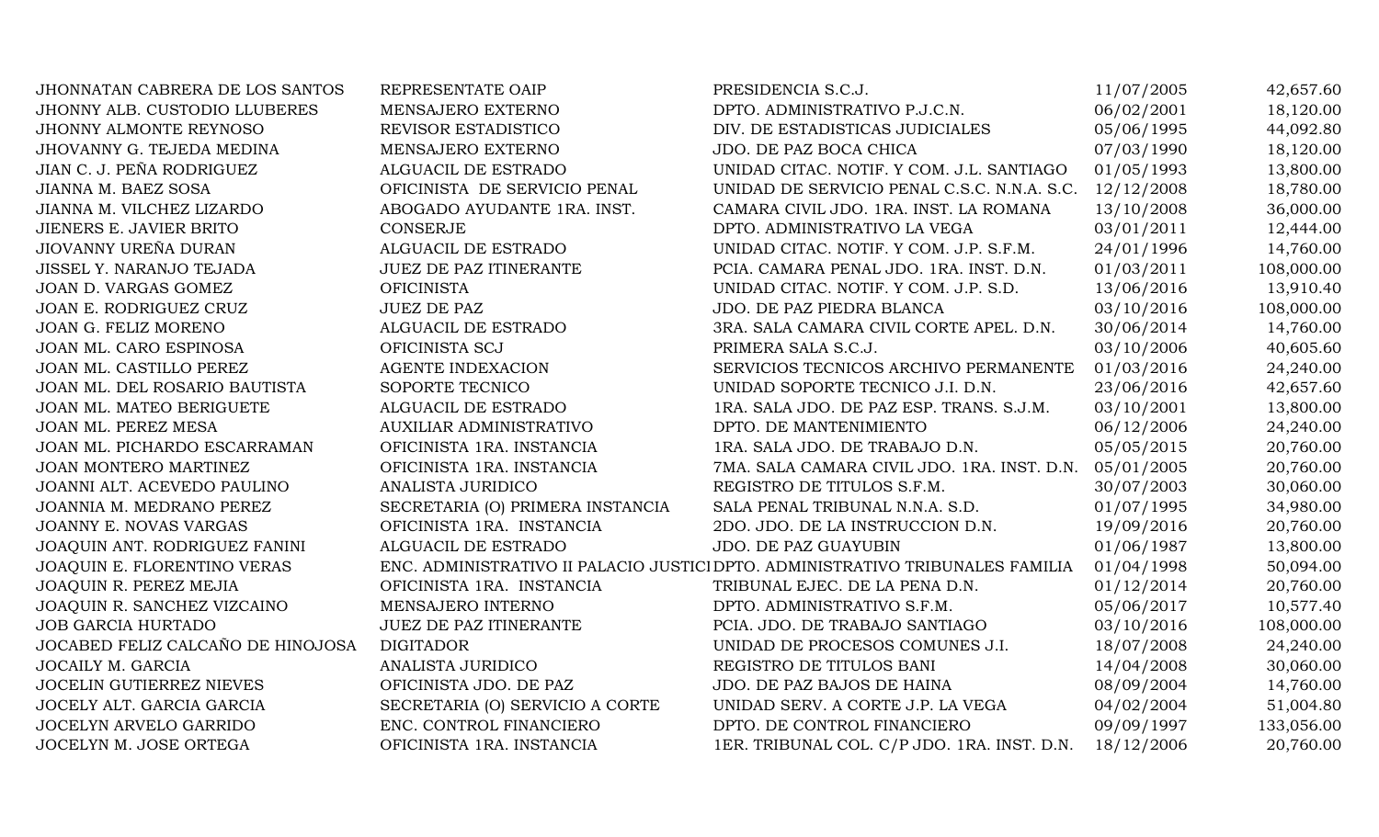| <b>JHONNATAN CABRERA DE LOS SANTOS</b> | REPRESENTATE OAIP                | PRESIDENCIA S.C.J.                                                             | 11/07/2005 | 42,657.60  |
|----------------------------------------|----------------------------------|--------------------------------------------------------------------------------|------------|------------|
| JHONNY ALB. CUSTODIO LLUBERES          | MENSAJERO EXTERNO                | DPTO. ADMINISTRATIVO P.J.C.N.                                                  | 06/02/2001 | 18,120.00  |
| JHONNY ALMONTE REYNOSO                 | REVISOR ESTADISTICO              | DIV. DE ESTADISTICAS JUDICIALES                                                | 05/06/1995 | 44,092.80  |
| JHOVANNY G. TEJEDA MEDINA              | MENSAJERO EXTERNO                | JDO. DE PAZ BOCA CHICA                                                         | 07/03/1990 | 18,120.00  |
| JIAN C. J. PEÑA RODRIGUEZ              | ALGUACIL DE ESTRADO              | UNIDAD CITAC. NOTIF. Y COM. J.L. SANTIAGO                                      | 01/05/1993 | 13,800.00  |
| JIANNA M. BAEZ SOSA                    | OFICINISTA DE SERVICIO PENAL     | UNIDAD DE SERVICIO PENAL C.S.C. N.N.A. S.C.                                    | 12/12/2008 | 18,780.00  |
| JIANNA M. VILCHEZ LIZARDO              | ABOGADO AYUDANTE 1RA. INST.      | CAMARA CIVIL JDO. 1RA. INST. LA ROMANA                                         | 13/10/2008 | 36,000.00  |
| JIENERS E. JAVIER BRITO                | <b>CONSERJE</b>                  | DPTO. ADMINISTRATIVO LA VEGA                                                   | 03/01/2011 | 12,444.00  |
| JIOVANNY UREÑA DURAN                   | ALGUACIL DE ESTRADO              | UNIDAD CITAC. NOTIF. Y COM. J.P. S.F.M.                                        | 24/01/1996 | 14,760.00  |
| JISSEL Y. NARANJO TEJADA               | <b>JUEZ DE PAZ ITINERANTE</b>    | PCIA. CAMARA PENAL JDO. 1RA. INST. D.N.                                        | 01/03/2011 | 108,000.00 |
| JOAN D. VARGAS GOMEZ                   | <b>OFICINISTA</b>                | UNIDAD CITAC. NOTIF. Y COM. J.P. S.D.                                          | 13/06/2016 | 13,910.40  |
| JOAN E. RODRIGUEZ CRUZ                 | <b>JUEZ DE PAZ</b>               | JDO. DE PAZ PIEDRA BLANCA                                                      | 03/10/2016 | 108,000.00 |
| JOAN G. FELIZ MORENO                   | ALGUACIL DE ESTRADO              | 3RA. SALA CAMARA CIVIL CORTE APEL. D.N.                                        | 30/06/2014 | 14,760.00  |
| JOAN ML. CARO ESPINOSA                 | OFICINISTA SCJ                   | PRIMERA SALA S.C.J.                                                            | 03/10/2006 | 40,605.60  |
| JOAN ML. CASTILLO PEREZ                | <b>AGENTE INDEXACION</b>         | SERVICIOS TECNICOS ARCHIVO PERMANENTE                                          | 01/03/2016 | 24,240.00  |
| JOAN ML. DEL ROSARIO BAUTISTA          | SOPORTE TECNICO                  | UNIDAD SOPORTE TECNICO J.I. D.N.                                               | 23/06/2016 | 42,657.60  |
| JOAN ML. MATEO BERIGUETE               | ALGUACIL DE ESTRADO              | 1RA. SALA JDO. DE PAZ ESP. TRANS. S.J.M.                                       | 03/10/2001 | 13,800.00  |
| JOAN ML. PEREZ MESA                    | AUXILIAR ADMINISTRATIVO          | DPTO. DE MANTENIMIENTO                                                         | 06/12/2006 | 24,240.00  |
| JOAN ML. PICHARDO ESCARRAMAN           | OFICINISTA 1RA. INSTANCIA        | 1RA. SALA JDO. DE TRABAJO D.N.                                                 | 05/05/2015 | 20,760.00  |
| JOAN MONTERO MARTINEZ                  | OFICINISTA 1RA. INSTANCIA        | 7MA. SALA CAMARA CIVIL JDO. 1RA. INST. D.N.                                    | 05/01/2005 | 20,760.00  |
| JOANNI ALT. ACEVEDO PAULINO            | ANALISTA JURIDICO                | REGISTRO DE TITULOS S.F.M.                                                     | 30/07/2003 | 30,060.00  |
| JOANNIA M. MEDRANO PEREZ               | SECRETARIA (O) PRIMERA INSTANCIA | SALA PENAL TRIBUNAL N.N.A. S.D.                                                | 01/07/1995 | 34,980.00  |
| JOANNY E. NOVAS VARGAS                 | OFICINISTA 1RA. INSTANCIA        | 2DO. JDO. DE LA INSTRUCCION D.N.                                               | 19/09/2016 | 20,760.00  |
| JOAQUIN ANT. RODRIGUEZ FANINI          | ALGUACIL DE ESTRADO              | <b>JDO. DE PAZ GUAYUBIN</b>                                                    | 01/06/1987 | 13,800.00  |
| JOAQUIN E. FLORENTINO VERAS            |                                  | ENC. ADMINISTRATIVO II PALACIO JUSTICI DPTO. ADMINISTRATIVO TRIBUNALES FAMILIA | 01/04/1998 | 50,094.00  |
| JOAQUIN R. PEREZ MEJIA                 | OFICINISTA 1RA. INSTANCIA        | TRIBUNAL EJEC. DE LA PENA D.N.                                                 | 01/12/2014 | 20,760.00  |
| JOAQUIN R. SANCHEZ VIZCAINO            | MENSAJERO INTERNO                | DPTO. ADMINISTRATIVO S.F.M.                                                    | 05/06/2017 | 10,577.40  |
| <b>JOB GARCIA HURTADO</b>              | <b>JUEZ DE PAZ ITINERANTE</b>    | PCIA. JDO. DE TRABAJO SANTIAGO                                                 | 03/10/2016 | 108,000.00 |
| JOCABED FELIZ CALCAÑO DE HINOJOSA      | <b>DIGITADOR</b>                 | UNIDAD DE PROCESOS COMUNES J.I.                                                | 18/07/2008 | 24,240.00  |
| JOCAILY M. GARCIA                      | ANALISTA JURIDICO                | REGISTRO DE TITULOS BANI                                                       | 14/04/2008 | 30,060.00  |
| JOCELIN GUTIERREZ NIEVES               | OFICINISTA JDO. DE PAZ           | JDO. DE PAZ BAJOS DE HAINA                                                     | 08/09/2004 | 14,760.00  |
| JOCELY ALT. GARCIA GARCIA              | SECRETARIA (O) SERVICIO A CORTE  | UNIDAD SERV. A CORTE J.P. LA VEGA                                              | 04/02/2004 | 51,004.80  |
| JOCELYN ARVELO GARRIDO                 | ENC. CONTROL FINANCIERO          | DPTO. DE CONTROL FINANCIERO                                                    | 09/09/1997 | 133,056.00 |
| JOCELYN M. JOSE ORTEGA                 | OFICINISTA 1RA. INSTANCIA        | 1ER. TRIBUNAL COL. C/P JDO. 1RA. INST. D.N.                                    | 18/12/2006 | 20,760.00  |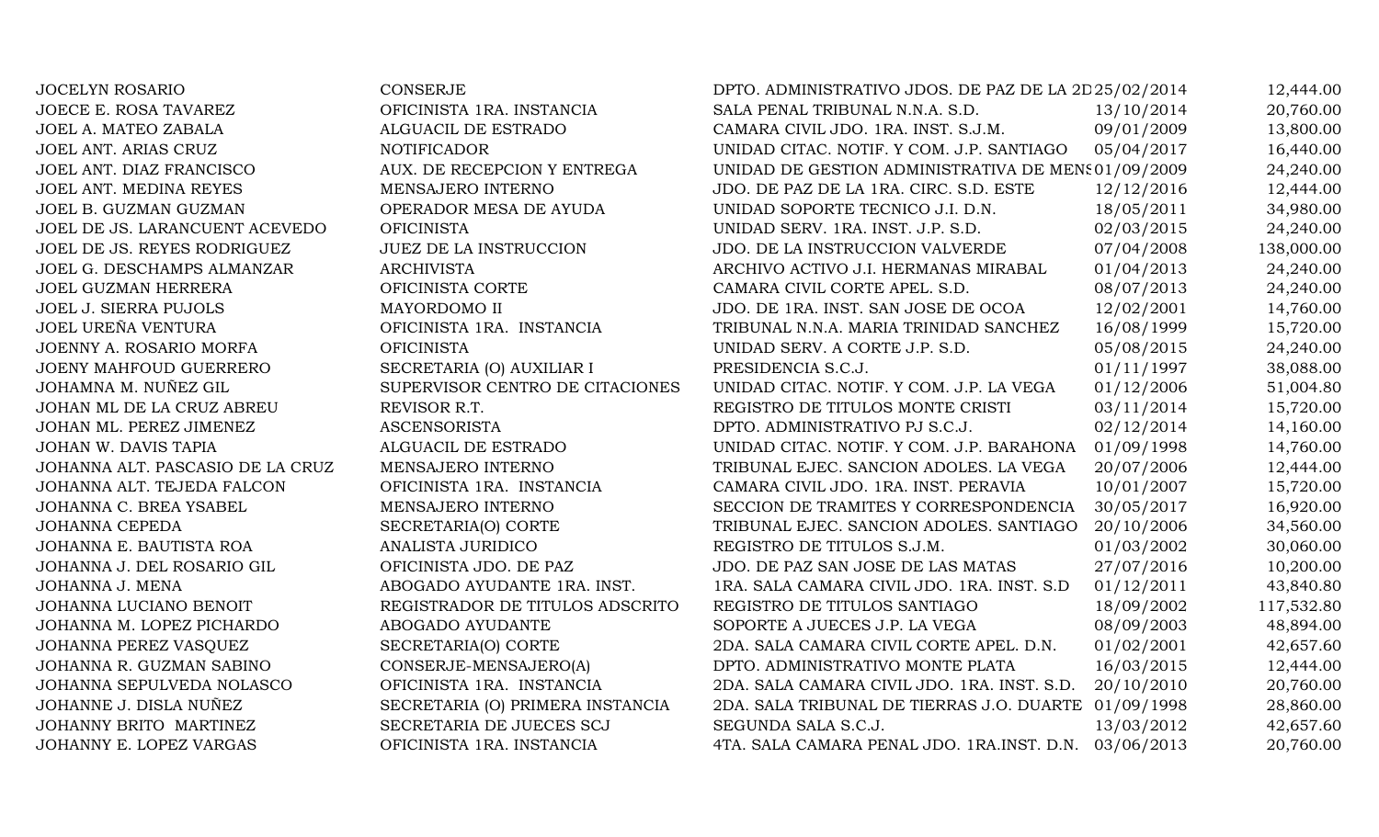JOCELYN ROSARIO CONSERJE CONSERJE DPTO. ADMINISTRATIVO JDOS. DE PAZ DE LA 2D25/02/2014 12,444.00 JOECE E. ROSA TAVAREZ **OFICINISTA 1RA. INSTANCIA** SALA PENAL TRIBUNAL N.N.A. S.D. 13/10/2014 20,760.00 JOEL A. MATEO ZABALA ALGUACIL DE ESTRADO CAMARA CIVIL JDO. 1RA. INST. S.J.M. 09/01/2009 13,800.00 JOEL ANT. ARIAS CRUZ NOTIFICADOR NOTIFICADOR UNIDAD CITAC. NOTIF. Y COM. J.P. SANTIAGO 05/04/2017 16,440.00 JOEL ANT. DIAZ FRANCISCO AUX. DE RECEPCION Y ENTREGA UNIDAD DE GESTION ADMINISTRATIVA DE MENS 01/09/2009 24,240.00 JOEL ANT. MEDINA REYES MENSAJERO INTERNO JDO. DE PAZ DE LA 1RA. CIRC. S.D. ESTE 12/12/2016 12,444.00 JOEL B. GUZMAN GUZMAN OPERADOR MESA DE AYUDA UNIDAD SOPORTE TECNICO J.I. D.N. 18/05/2011 34,980.00 JOEL DE JS. LARANCUENT ACEVEDO OFICINISTA UNIDAD SERV. 1RA. INST. J.P. S.D. 02/03/2015 24,240.00 JOEL DE JS. REYES RODRIGUEZ JUEZ DE LA INSTRUCCION JDO. DE LA INSTRUCCION VALVERDE 07/04/2008 138,000.00 JOEL G. DESCHAMPS ALMANZAR ARCHIVISTA ARCHIVO ACTIVO J.I. HERMANAS MIRABAL 01/04/2013 24,240.00 JOEL GUZMAN HERRERA **OFICINISTA CORTE** CAMARA CIVIL CORTE APEL. S.D. 08/07/2013 24.240.00 JOEL J. SIERRA PUJOLS MAYORDOMO II JDO. DE 1RA. INST. SAN JOSE DE OCOA 12/02/2001 14,760.00 JOEL UREÑA VENTURA OFICINISTA 1RA. INSTANCIA TRIBUNAL N.N.A. MARIA TRINIDAD SANCHEZ 16/08/1999 15,720.00 JOENNY A. ROSARIO MORFA OFICINISTA UNIDAD SERV. A CORTE J.P. S.D. 05/08/2015 24,240.00 JOENY MAHFOUD GUERRERO SECRETARIA (O) AUXILIAR I PRESIDENCIA S.C.J. 01/11/1997 38,088.00 JOHAMNA M. NUÑEZ GIL SUPERVISOR CENTRO DE CITACIONES UNIDAD CITAC. NOTIF. Y COM. J.P. LA VEGA 01/12/2006 51,004.80 JOHAN ML DE LA CRUZ ABREU REVISOR R.T. SAN REGISTRO DE TITULOS MONTE CRISTI 03/11/2014 15,720.00 JOHAN ML. PEREZ JIMENEZ ASCENSORISTA DPTO. ADMINISTRATIVO PJ S.C.J. 02/12/2014 14,160.00 JOHAN W. DAVIS TAPIA **ALGUACIL DE ESTRADO** UNIDAD CITAC. NOTIF. Y COM. J.P. BARAHONA 01/09/1998 14,760.00 JOHANNA ALT. PASCASIO DE LA CRUZ MENSAJERO INTERNO TRIBUNAL EJEC. SANCION ADOLES. LA VEGA 20/07/2006 12,444.00 JOHANNA ALT. TEJEDA FALCON OFICINISTA 1RA. INSTANCIA CAMARA CIVIL JDO. 1RA. INST. PERAVIA 10/01/2007 15,720.00 JOHANNA C. BREA YSABEL MENSAJERO INTERNO SECCION DE TRAMITES Y CORRESPONDENCIA 30/05/2017 16,920.00 JOHANNA CEPEDA SECRETARIA(O) CORTE TRIBUNAL EJEC. SANCION ADOLES. SANTIAGO 20/10/2006 34,560.00 JOHANNA E. BAUTISTA ROA ANALISTA JURIDICO REGISTRO DE TITULOS S.J.M. 01/03/2002 30,060.00 JOHANNA J. DEL ROSARIO GIL OFICINISTA JDO. DE PAZ JDO. DE PAZ SAN JOSE DE LAS MATAS 27/07/2016 10,200.00 JOHANNA J. MENA ANGGADO AYUDANTE 1RA. INST. 1RA. SALA CAMARA CIVIL JDO. 1RA. INST. S.D 01/12/2011 43,840.80 JOHANNA LUCIANO BENOIT REGISTRADOR DE TITULOS ADSCRITO REGISTRO DE TITULOS SANTIAGO 18/09/2002 117,532.80 JOHANNA M. LOPEZ PICHARDO ABOGADO AYUDANTE SOPORTE A JUECES J.P. LA VEGA 08/09/2003 48,894.00 JOHANNA PEREZ VASQUEZ SECRETARIA(O) CORTE 2DA. SALA CAMARA CIVIL CORTE APEL. D.N. 01/02/2001 42,657.60 JOHANNA R. GUZMAN SABINO CONSERJE-MENSAJERO(A) DPTO. ADMINISTRATIVO MONTE PLATA 16/03/2015 12,444.00 JOHANNA SEPULVEDA NOLASCO OFICINISTA 1RA. INSTANCIA 2DA. SALA CAMARA CIVIL JDO. 1RA. INST. S.D. 20/10/2010 20,760.00 JOHANNE J. DISLA NUÑEZ SECRETARIA (O) PRIMERA INSTANCIA 2DA. SALA TRIBUNAL DE TIERRAS J.O. DUARTE 01/09/1998 28,860.00 JOHANNY BRITO MARTINEZ SECRETARIA DE JUECES SCJ SEGUNDA SALA S.C.J. 13/03/2012 42.657.60 JOHANNY E. LOPEZ VARGAS OFICINISTA 1RA. INSTANCIA 4TA. SALA CAMARA PENAL JDO. 1RA.INST. D.N. 03/06/2013 20,760.00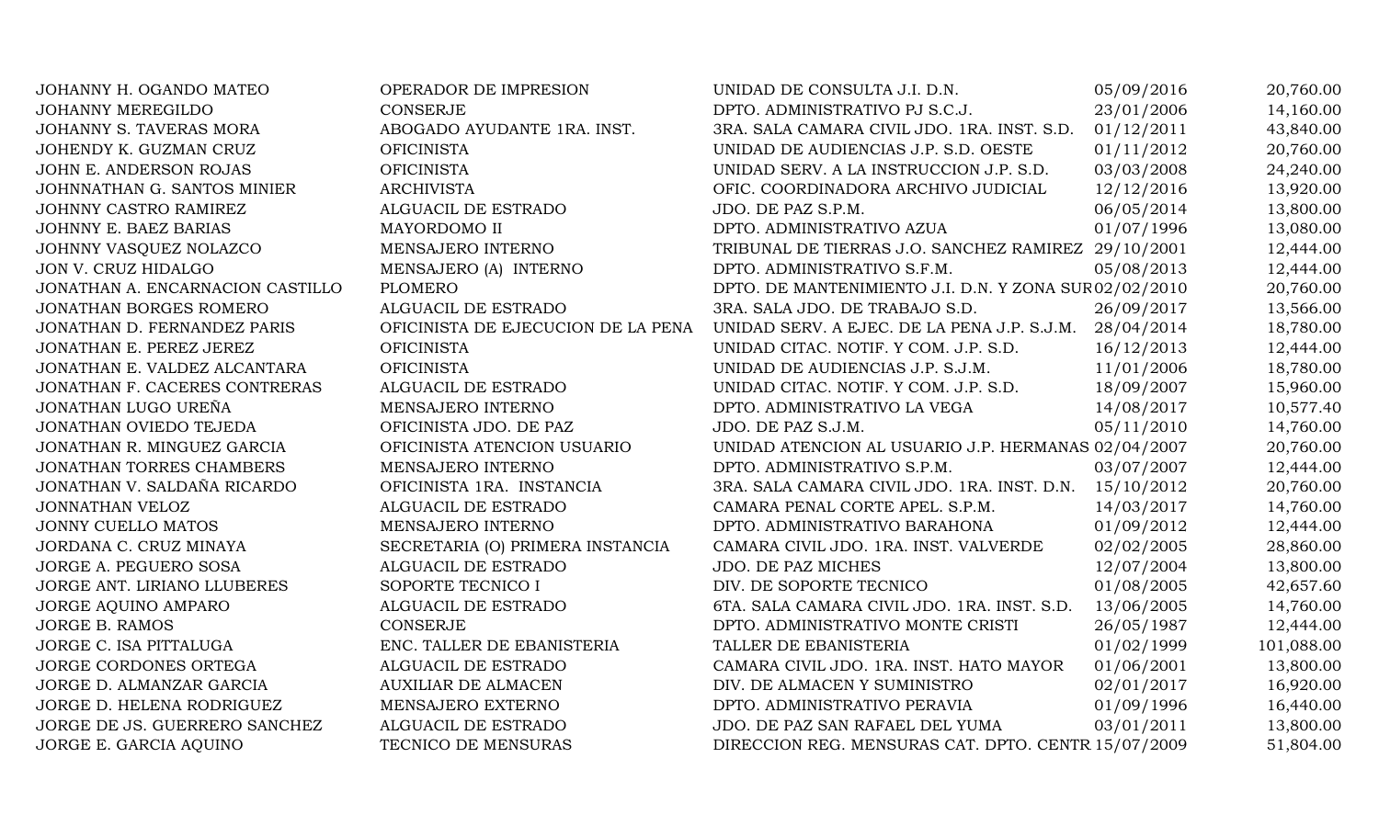| JOHANNY H. OGANDO MATEO          | OPERADOR DE IMPRESION              | UNIDAD DE CONSULTA J.I. D.N.                           | 05/09/2016 | 20,760.00  |
|----------------------------------|------------------------------------|--------------------------------------------------------|------------|------------|
| <b>JOHANNY MEREGILDO</b>         | <b>CONSERJE</b>                    | DPTO. ADMINISTRATIVO PJ S.C.J.                         | 23/01/2006 | 14,160.00  |
| JOHANNY S. TAVERAS MORA          | ABOGADO AYUDANTE 1RA. INST.        | 3RA. SALA CAMARA CIVIL JDO. 1RA. INST. S.D.            | 01/12/2011 | 43,840.00  |
| JOHENDY K. GUZMAN CRUZ           | <b>OFICINISTA</b>                  | UNIDAD DE AUDIENCIAS J.P. S.D. OESTE                   | 01/11/2012 | 20,760.00  |
| JOHN E. ANDERSON ROJAS           | <b>OFICINISTA</b>                  | UNIDAD SERV. A LA INSTRUCCION J.P. S.D.                | 03/03/2008 | 24,240.00  |
| JOHNNATHAN G. SANTOS MINIER      | <b>ARCHIVISTA</b>                  | OFIC. COORDINADORA ARCHIVO JUDICIAL                    | 12/12/2016 | 13,920.00  |
| JOHNNY CASTRO RAMIREZ            | ALGUACIL DE ESTRADO                | JDO. DE PAZ S.P.M.                                     | 06/05/2014 | 13,800.00  |
| <b>JOHNNY E. BAEZ BARIAS</b>     | MAYORDOMO II                       | DPTO. ADMINISTRATIVO AZUA                              | 01/07/1996 | 13,080.00  |
| JOHNNY VASQUEZ NOLAZCO           | MENSAJERO INTERNO                  | TRIBUNAL DE TIERRAS J.O. SANCHEZ RAMIREZ 29/10/2001    |            | 12,444.00  |
| JON V. CRUZ HIDALGO              | MENSAJERO (A) INTERNO              | DPTO. ADMINISTRATIVO S.F.M.                            | 05/08/2013 | 12,444.00  |
| JONATHAN A. ENCARNACION CASTILLO | <b>PLOMERO</b>                     | DPTO. DE MANTENIMIENTO J.I. D.N. Y ZONA SUR 02/02/2010 |            | 20,760.00  |
| JONATHAN BORGES ROMERO           | ALGUACIL DE ESTRADO                | 3RA. SALA JDO. DE TRABAJO S.D.                         | 26/09/2017 | 13,566.00  |
| JONATHAN D. FERNANDEZ PARIS      | OFICINISTA DE EJECUCION DE LA PENA | UNIDAD SERV. A EJEC. DE LA PENA J.P. S.J.M. 28/04/2014 |            | 18,780.00  |
| JONATHAN E. PEREZ JEREZ          | <b>OFICINISTA</b>                  | UNIDAD CITAC. NOTIF. Y COM. J.P. S.D.                  | 16/12/2013 | 12,444.00  |
| JONATHAN E. VALDEZ ALCANTARA     | <b>OFICINISTA</b>                  | UNIDAD DE AUDIENCIAS J.P. S.J.M.                       | 11/01/2006 | 18,780.00  |
| JONATHAN F. CACERES CONTRERAS    | ALGUACIL DE ESTRADO                | UNIDAD CITAC. NOTIF. Y COM. J.P. S.D.                  | 18/09/2007 | 15,960.00  |
| JONATHAN LUGO UREÑA              | MENSAJERO INTERNO                  | DPTO. ADMINISTRATIVO LA VEGA                           | 14/08/2017 | 10,577.40  |
| JONATHAN OVIEDO TEJEDA           | OFICINISTA JDO. DE PAZ             | JDO. DE PAZ S.J.M.                                     | 05/11/2010 | 14,760.00  |
| JONATHAN R. MINGUEZ GARCIA       | OFICINISTA ATENCION USUARIO        | UNIDAD ATENCION AL USUARIO J.P. HERMANAS 02/04/2007    |            | 20,760.00  |
| JONATHAN TORRES CHAMBERS         | MENSAJERO INTERNO                  | DPTO. ADMINISTRATIVO S.P.M.                            | 03/07/2007 | 12,444.00  |
| JONATHAN V. SALDAÑA RICARDO      | OFICINISTA 1RA. INSTANCIA          | 3RA. SALA CAMARA CIVIL JDO. 1RA. INST. D.N. 15/10/2012 |            | 20,760.00  |
| JONNATHAN VELOZ                  | ALGUACIL DE ESTRADO                | CAMARA PENAL CORTE APEL. S.P.M.                        | 14/03/2017 | 14,760.00  |
| <b>JONNY CUELLO MATOS</b>        | MENSAJERO INTERNO                  | DPTO. ADMINISTRATIVO BARAHONA                          | 01/09/2012 | 12,444.00  |
| JORDANA C. CRUZ MINAYA           | SECRETARIA (O) PRIMERA INSTANCIA   | CAMARA CIVIL JDO. 1RA. INST. VALVERDE                  | 02/02/2005 | 28,860.00  |
| JORGE A. PEGUERO SOSA            | ALGUACIL DE ESTRADO                | JDO. DE PAZ MICHES                                     | 12/07/2004 | 13,800.00  |
| JORGE ANT. LIRIANO LLUBERES      | SOPORTE TECNICO I                  | DIV. DE SOPORTE TECNICO                                | 01/08/2005 | 42,657.60  |
| JORGE AQUINO AMPARO              | ALGUACIL DE ESTRADO                | 6TA. SALA CAMARA CIVIL JDO. 1RA. INST. S.D.            | 13/06/2005 | 14,760.00  |
| JORGE B. RAMOS                   | <b>CONSERJE</b>                    | DPTO. ADMINISTRATIVO MONTE CRISTI                      | 26/05/1987 | 12,444.00  |
| JORGE C. ISA PITTALUGA           | ENC. TALLER DE EBANISTERIA         | TALLER DE EBANISTERIA                                  | 01/02/1999 | 101,088.00 |
| JORGE CORDONES ORTEGA            | ALGUACIL DE ESTRADO                | CAMARA CIVIL JDO. 1RA. INST. HATO MAYOR                | 01/06/2001 | 13,800.00  |
| JORGE D. ALMANZAR GARCIA         | <b>AUXILIAR DE ALMACEN</b>         | DIV. DE ALMACEN Y SUMINISTRO                           | 02/01/2017 | 16,920.00  |
| JORGE D. HELENA RODRIGUEZ        | MENSAJERO EXTERNO                  | DPTO. ADMINISTRATIVO PERAVIA                           | 01/09/1996 | 16,440.00  |
| JORGE DE JS. GUERRERO SANCHEZ    | ALGUACIL DE ESTRADO                | JDO. DE PAZ SAN RAFAEL DEL YUMA                        | 03/01/2011 | 13,800.00  |
| JORGE E. GARCIA AQUINO           | TECNICO DE MENSURAS                | DIRECCION REG. MENSURAS CAT. DPTO. CENTR 15/07/2009    |            | 51,804.00  |
|                                  |                                    |                                                        |            |            |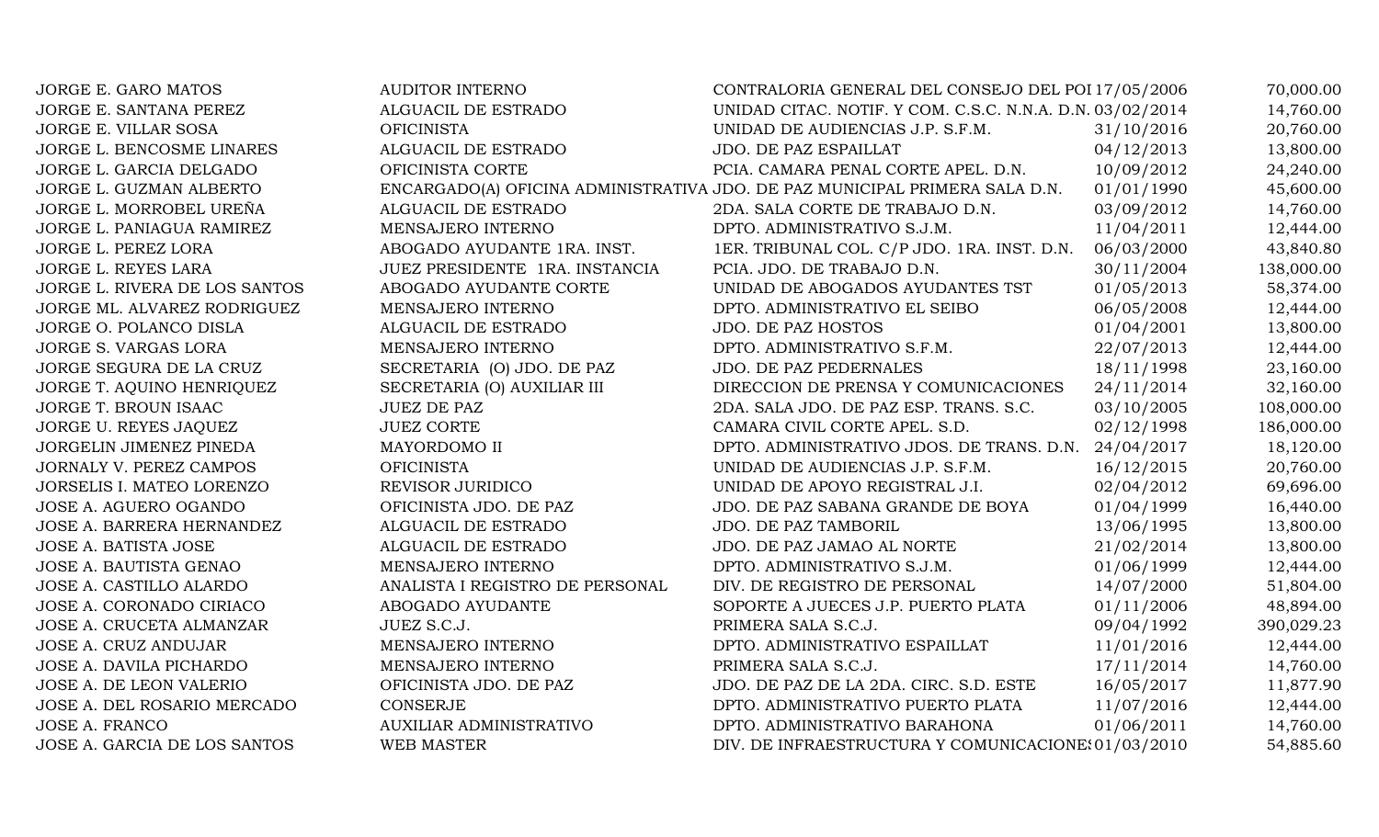| JORGE E. GARO MATOS           | <b>AUDITOR INTERNO</b>          | CONTRALORIA GENERAL DEL CONSEJO DEL POI 17/05/2006                          |            | 70,000.00  |
|-------------------------------|---------------------------------|-----------------------------------------------------------------------------|------------|------------|
| JORGE E. SANTANA PEREZ        | ALGUACIL DE ESTRADO             | UNIDAD CITAC. NOTIF. Y COM. C.S.C. N.N.A. D.N. 03/02/2014                   |            | 14,760.00  |
| JORGE E. VILLAR SOSA          | <b>OFICINISTA</b>               | UNIDAD DE AUDIENCIAS J.P. S.F.M.                                            | 31/10/2016 | 20,760.00  |
| JORGE L. BENCOSME LINARES     | ALGUACIL DE ESTRADO             | JDO. DE PAZ ESPAILLAT                                                       | 04/12/2013 | 13,800.00  |
| JORGE L. GARCIA DELGADO       | OFICINISTA CORTE                | PCIA. CAMARA PENAL CORTE APEL. D.N.                                         | 10/09/2012 | 24,240.00  |
| JORGE L. GUZMAN ALBERTO       |                                 | ENCARGADO(A) OFICINA ADMINISTRATIVA JDO. DE PAZ MUNICIPAL PRIMERA SALA D.N. | 01/01/1990 | 45,600.00  |
| JORGE L. MORROBEL UREÑA       | ALGUACIL DE ESTRADO             | 2DA. SALA CORTE DE TRABAJO D.N.                                             | 03/09/2012 | 14,760.00  |
| JORGE L. PANIAGUA RAMIREZ     | MENSAJERO INTERNO               | DPTO. ADMINISTRATIVO S.J.M.                                                 | 11/04/2011 | 12,444.00  |
| JORGE L. PEREZ LORA           | ABOGADO AYUDANTE 1RA. INST.     | 1ER. TRIBUNAL COL. C/P JDO. 1RA. INST. D.N.                                 | 06/03/2000 | 43,840.80  |
| JORGE L. REYES LARA           | JUEZ PRESIDENTE 1RA. INSTANCIA  | PCIA. JDO. DE TRABAJO D.N.                                                  | 30/11/2004 | 138,000.00 |
| JORGE L. RIVERA DE LOS SANTOS | ABOGADO AYUDANTE CORTE          | UNIDAD DE ABOGADOS AYUDANTES TST                                            | 01/05/2013 | 58,374.00  |
| JORGE ML. ALVAREZ RODRIGUEZ   | MENSAJERO INTERNO               | DPTO. ADMINISTRATIVO EL SEIBO                                               | 06/05/2008 | 12,444.00  |
| JORGE O. POLANCO DISLA        | ALGUACIL DE ESTRADO             | <b>JDO. DE PAZ HOSTOS</b>                                                   | 01/04/2001 | 13,800.00  |
| JORGE S. VARGAS LORA          | MENSAJERO INTERNO               | DPTO. ADMINISTRATIVO S.F.M.                                                 | 22/07/2013 | 12,444.00  |
| JORGE SEGURA DE LA CRUZ       | SECRETARIA (O) JDO. DE PAZ      | JDO. DE PAZ PEDERNALES                                                      | 18/11/1998 | 23,160.00  |
| JORGE T. AQUINO HENRIQUEZ     | SECRETARIA (O) AUXILIAR III     | DIRECCION DE PRENSA Y COMUNICACIONES                                        | 24/11/2014 | 32,160.00  |
| JORGE T. BROUN ISAAC          | <b>JUEZ DE PAZ</b>              | 2DA. SALA JDO. DE PAZ ESP. TRANS. S.C.                                      | 03/10/2005 | 108,000.00 |
| JORGE U. REYES JAQUEZ         | <b>JUEZ CORTE</b>               | CAMARA CIVIL CORTE APEL. S.D.                                               | 02/12/1998 | 186,000.00 |
| JORGELIN JIMENEZ PINEDA       | MAYORDOMO II                    | DPTO. ADMINISTRATIVO JDOS. DE TRANS. D.N.                                   | 24/04/2017 | 18,120.00  |
| JORNALY V. PEREZ CAMPOS       | <b>OFICINISTA</b>               | UNIDAD DE AUDIENCIAS J.P. S.F.M.                                            | 16/12/2015 | 20,760.00  |
| JORSELIS I. MATEO LORENZO     | REVISOR JURIDICO                | UNIDAD DE APOYO REGISTRAL J.I.                                              | 02/04/2012 | 69,696.00  |
| JOSE A. AGUERO OGANDO         | OFICINISTA JDO. DE PAZ          | JDO. DE PAZ SABANA GRANDE DE BOYA                                           | 01/04/1999 | 16,440.00  |
| JOSE A. BARRERA HERNANDEZ     | ALGUACIL DE ESTRADO             | JDO. DE PAZ TAMBORIL                                                        | 13/06/1995 | 13,800.00  |
| JOSE A. BATISTA JOSE          | ALGUACIL DE ESTRADO             | JDO. DE PAZ JAMAO AL NORTE                                                  | 21/02/2014 | 13,800.00  |
| JOSE A. BAUTISTA GENAO        | MENSAJERO INTERNO               | DPTO. ADMINISTRATIVO S.J.M.                                                 | 01/06/1999 | 12,444.00  |
| JOSE A. CASTILLO ALARDO       | ANALISTA I REGISTRO DE PERSONAL | DIV. DE REGISTRO DE PERSONAL                                                | 14/07/2000 | 51,804.00  |
| JOSE A. CORONADO CIRIACO      | ABOGADO AYUDANTE                | SOPORTE A JUECES J.P. PUERTO PLATA                                          | 01/11/2006 | 48,894.00  |
| JOSE A. CRUCETA ALMANZAR      | JUEZ S.C.J.                     | PRIMERA SALA S.C.J.                                                         | 09/04/1992 | 390,029.23 |
| JOSE A. CRUZ ANDUJAR          | MENSAJERO INTERNO               | DPTO. ADMINISTRATIVO ESPAILLAT                                              | 11/01/2016 | 12,444.00  |
| JOSE A. DAVILA PICHARDO       | MENSAJERO INTERNO               | PRIMERA SALA S.C.J.                                                         | 17/11/2014 | 14,760.00  |
| JOSE A. DE LEON VALERIO       | OFICINISTA JDO. DE PAZ          | JDO. DE PAZ DE LA 2DA. CIRC. S.D. ESTE                                      | 16/05/2017 | 11,877.90  |
| JOSE A. DEL ROSARIO MERCADO   | <b>CONSERJE</b>                 | DPTO. ADMINISTRATIVO PUERTO PLATA                                           | 11/07/2016 | 12,444.00  |
| <b>JOSE A. FRANCO</b>         | <b>AUXILIAR ADMINISTRATIVO</b>  | DPTO. ADMINISTRATIVO BARAHONA                                               | 01/06/2011 | 14,760.00  |
| JOSE A. GARCIA DE LOS SANTOS  | <b>WEB MASTER</b>               | DIV. DE INFRAESTRUCTURA Y COMUNICACIONE: 01/03/2010                         |            | 54,885.60  |
|                               |                                 |                                                                             |            |            |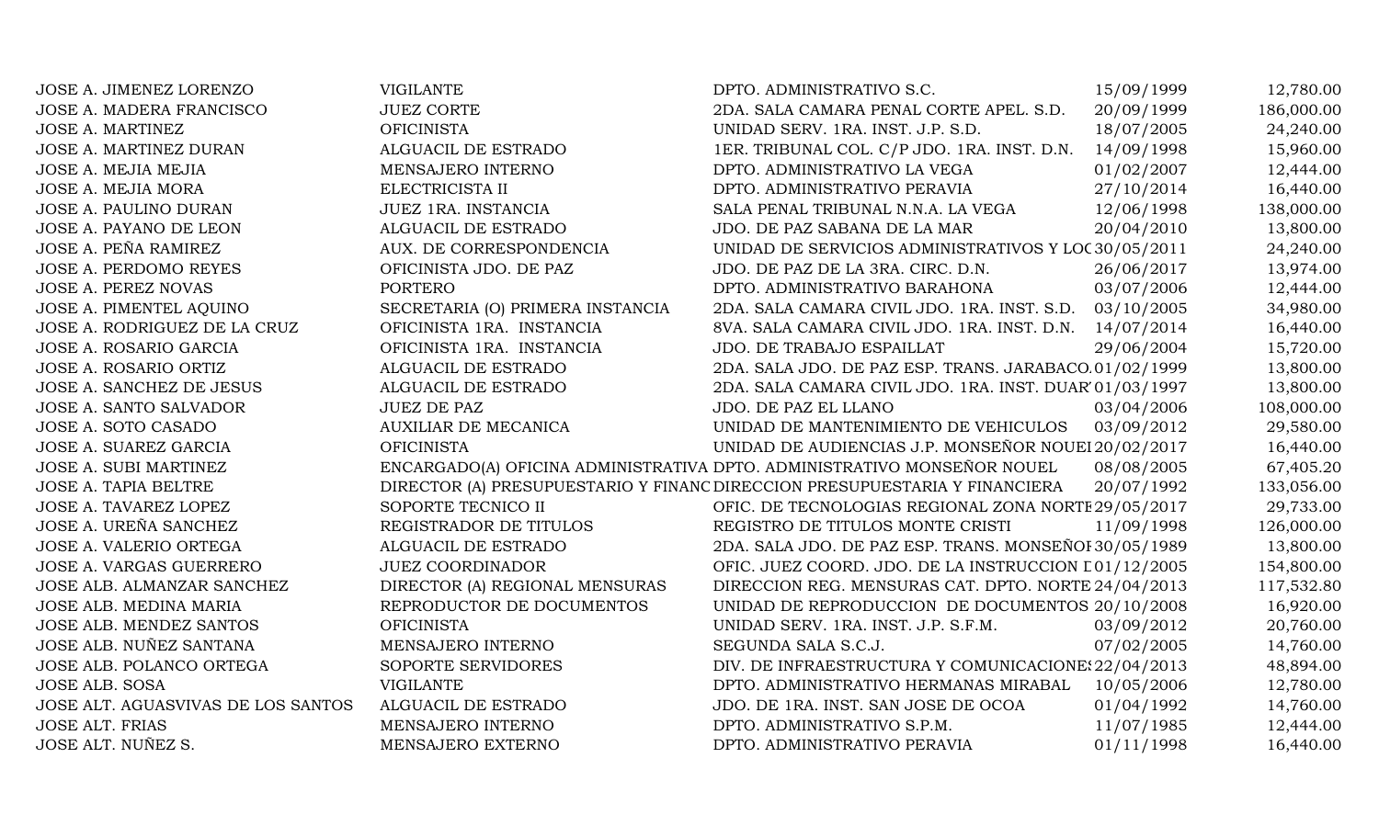| JOSE A. JIMENEZ LORENZO            | <b>VIGILANTE</b>                 | DPTO. ADMINISTRATIVO S.C.                                                  | 15/09/1999 | 12,780.00  |
|------------------------------------|----------------------------------|----------------------------------------------------------------------------|------------|------------|
| <b>JOSE A. MADERA FRANCISCO</b>    | <b>JUEZ CORTE</b>                | 2DA. SALA CAMARA PENAL CORTE APEL. S.D.                                    | 20/09/1999 | 186,000.00 |
| <b>JOSE A. MARTINEZ</b>            | <b>OFICINISTA</b>                | UNIDAD SERV. 1RA. INST. J.P. S.D.                                          | 18/07/2005 | 24,240.00  |
| JOSE A. MARTINEZ DURAN             | ALGUACIL DE ESTRADO              | 1ER. TRIBUNAL COL. C/P JDO. 1RA. INST. D.N. 14/09/1998                     |            | 15,960.00  |
| JOSE A. MEJIA MEJIA                | MENSAJERO INTERNO                | DPTO. ADMINISTRATIVO LA VEGA                                               | 01/02/2007 | 12,444.00  |
| JOSE A. MEJIA MORA                 | ELECTRICISTA II                  | DPTO. ADMINISTRATIVO PERAVIA                                               | 27/10/2014 | 16,440.00  |
| JOSE A. PAULINO DURAN              | JUEZ 1RA. INSTANCIA              | SALA PENAL TRIBUNAL N.N.A. LA VEGA                                         | 12/06/1998 | 138,000.00 |
| JOSE A. PAYANO DE LEON             | ALGUACIL DE ESTRADO              | JDO. DE PAZ SABANA DE LA MAR                                               | 20/04/2010 | 13,800.00  |
| JOSE A. PEÑA RAMIREZ               | AUX. DE CORRESPONDENCIA          | UNIDAD DE SERVICIOS ADMINISTRATIVOS Y LOC30/05/2011                        |            | 24,240.00  |
| <b>JOSE A. PERDOMO REYES</b>       | OFICINISTA JDO. DE PAZ           | JDO. DE PAZ DE LA 3RA. CIRC. D.N.                                          | 26/06/2017 | 13,974.00  |
| <b>JOSE A. PEREZ NOVAS</b>         | <b>PORTERO</b>                   | DPTO. ADMINISTRATIVO BARAHONA                                              | 03/07/2006 | 12,444.00  |
| JOSE A. PIMENTEL AQUINO            | SECRETARIA (O) PRIMERA INSTANCIA | 2DA. SALA CAMARA CIVIL JDO. 1RA. INST. S.D. 03/10/2005                     |            | 34,980.00  |
| JOSE A. RODRIGUEZ DE LA CRUZ       | OFICINISTA 1RA. INSTANCIA        | 8VA. SALA CAMARA CIVIL JDO. 1RA. INST. D.N. 14/07/2014                     |            | 16,440.00  |
| JOSE A. ROSARIO GARCIA             | OFICINISTA 1RA. INSTANCIA        | JDO. DE TRABAJO ESPAILLAT                                                  | 29/06/2004 | 15,720.00  |
| JOSE A. ROSARIO ORTIZ              | ALGUACIL DE ESTRADO              | 2DA. SALA JDO. DE PAZ ESP. TRANS. JARABACO. 01/02/1999                     |            | 13,800.00  |
| JOSE A. SANCHEZ DE JESUS           | ALGUACIL DE ESTRADO              | 2DA. SALA CAMARA CIVIL JDO. 1RA. INST. DUAR'01/03/1997                     |            | 13,800.00  |
| JOSE A. SANTO SALVADOR             | <b>JUEZ DE PAZ</b>               | JDO. DE PAZ EL LLANO                                                       | 03/04/2006 | 108,000.00 |
| JOSE A. SOTO CASADO                | <b>AUXILIAR DE MECANICA</b>      | UNIDAD DE MANTENIMIENTO DE VEHICULOS                                       | 03/09/2012 | 29,580.00  |
| JOSE A. SUAREZ GARCIA              | <b>OFICINISTA</b>                | UNIDAD DE AUDIENCIAS J.P. MONSEÑOR NOUEI 20/02/2017                        |            | 16,440.00  |
| <b>JOSE A. SUBI MARTINEZ</b>       |                                  | ENCARGADO(A) OFICINA ADMINISTRATIVA DPTO. ADMINISTRATIVO MONSEÑOR NOUEL    | 08/08/2005 | 67,405.20  |
| <b>JOSE A. TAPIA BELTRE</b>        |                                  | DIRECTOR (A) PRESUPUESTARIO Y FINANC DIRECCION PRESUPUESTARIA Y FINANCIERA | 20/07/1992 | 133,056.00 |
| JOSE A. TAVAREZ LOPEZ              | SOPORTE TECNICO II               | OFIC. DE TECNOLOGIAS REGIONAL ZONA NORTE 29/05/2017                        |            | 29,733.00  |
| JOSE A. UREÑA SANCHEZ              | REGISTRADOR DE TITULOS           | REGISTRO DE TITULOS MONTE CRISTI                                           | 11/09/1998 | 126,000.00 |
| JOSE A. VALERIO ORTEGA             | ALGUACIL DE ESTRADO              | 2DA. SALA JDO. DE PAZ ESP. TRANS. MONSEÑOI 30/05/1989                      |            | 13,800.00  |
| JOSE A. VARGAS GUERRERO            | <b>JUEZ COORDINADOR</b>          | OFIC. JUEZ COORD. JDO. DE LA INSTRUCCION L01/12/2005                       |            | 154,800.00 |
| JOSE ALB. ALMANZAR SANCHEZ         | DIRECTOR (A) REGIONAL MENSURAS   | DIRECCION REG. MENSURAS CAT. DPTO. NORTE 24/04/2013                        |            | 117,532.80 |
| JOSE ALB. MEDINA MARIA             | REPRODUCTOR DE DOCUMENTOS        | UNIDAD DE REPRODUCCION DE DOCUMENTOS 20/10/2008                            |            | 16,920.00  |
| JOSE ALB. MENDEZ SANTOS            | <b>OFICINISTA</b>                | UNIDAD SERV. 1RA. INST. J.P. S.F.M.                                        | 03/09/2012 | 20,760.00  |
| JOSE ALB. NUÑEZ SANTANA            | MENSAJERO INTERNO                | SEGUNDA SALA S.C.J.                                                        | 07/02/2005 | 14,760.00  |
| JOSE ALB. POLANCO ORTEGA           | SOPORTE SERVIDORES               | DIV. DE INFRAESTRUCTURA Y COMUNICACIONE: 22/04/2013                        |            | 48,894.00  |
| <b>JOSE ALB. SOSA</b>              | <b>VIGILANTE</b>                 | DPTO. ADMINISTRATIVO HERMANAS MIRABAL                                      | 10/05/2006 | 12,780.00  |
| JOSE ALT. AGUASVIVAS DE LOS SANTOS | ALGUACIL DE ESTRADO              | JDO. DE 1RA. INST. SAN JOSE DE OCOA                                        | 01/04/1992 | 14,760.00  |
| <b>JOSE ALT. FRIAS</b>             | MENSAJERO INTERNO                | DPTO. ADMINISTRATIVO S.P.M.                                                | 11/07/1985 | 12,444.00  |
| JOSE ALT. NUÑEZ S.                 | MENSAJERO EXTERNO                | DPTO. ADMINISTRATIVO PERAVIA                                               | 01/11/1998 | 16,440.00  |
|                                    |                                  |                                                                            |            |            |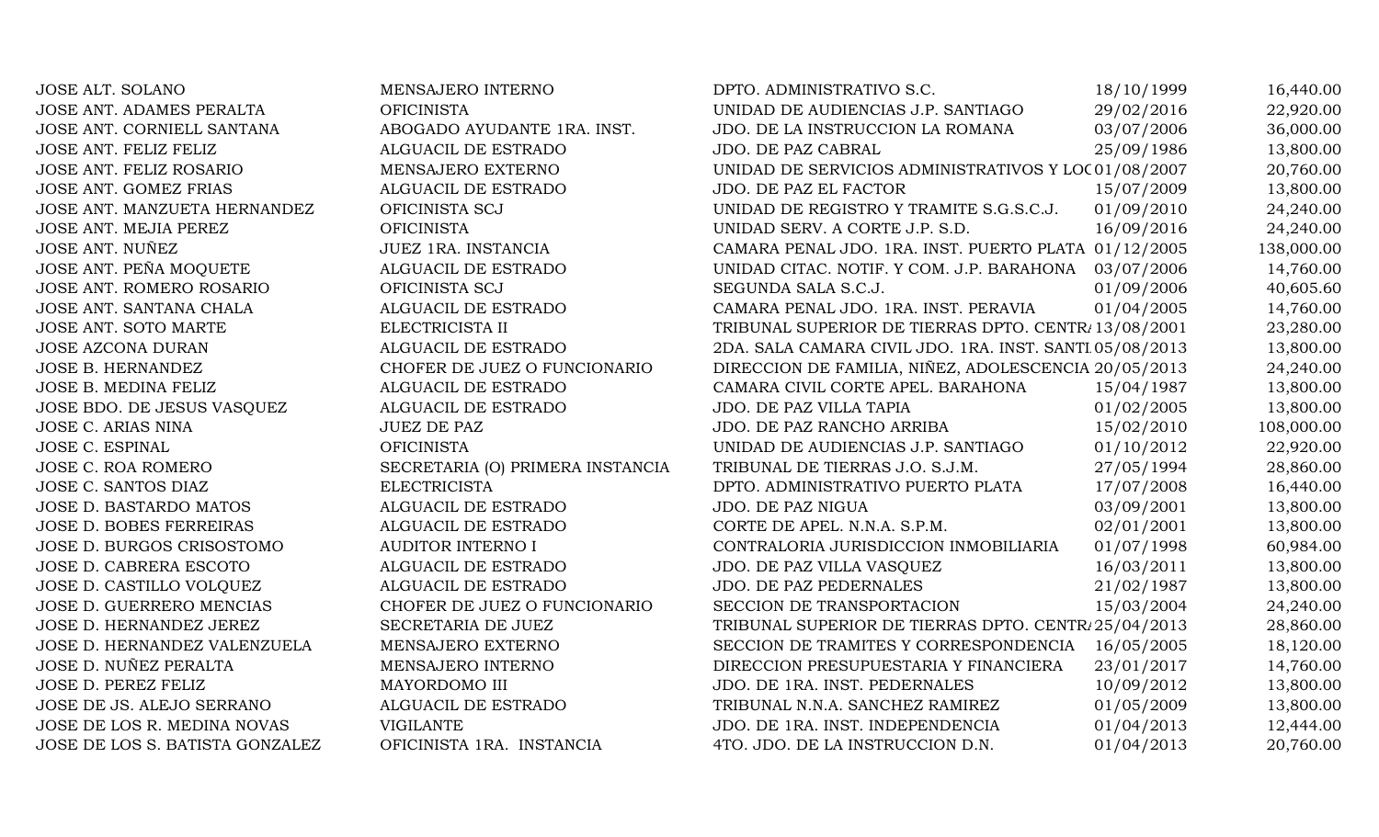| <b>JOSE ALT. SOLANO</b>         | MENSAJERO INTERNO                | DPTO. ADMINISTRATIVO S.C.                               | 18/10/1999 | 16,440.00  |
|---------------------------------|----------------------------------|---------------------------------------------------------|------------|------------|
| JOSE ANT. ADAMES PERALTA        | <b>OFICINISTA</b>                | UNIDAD DE AUDIENCIAS J.P. SANTIAGO                      | 29/02/2016 | 22,920.00  |
| JOSE ANT. CORNIELL SANTANA      | ABOGADO AYUDANTE 1RA. INST.      | JDO. DE LA INSTRUCCION LA ROMANA                        | 03/07/2006 | 36,000.00  |
| JOSE ANT. FELIZ FELIZ           | ALGUACIL DE ESTRADO              | JDO. DE PAZ CABRAL                                      | 25/09/1986 | 13,800.00  |
| JOSE ANT. FELIZ ROSARIO         | MENSAJERO EXTERNO                | UNIDAD DE SERVICIOS ADMINISTRATIVOS Y LOC 01/08/2007    |            | 20,760.00  |
| JOSE ANT. GOMEZ FRIAS           | ALGUACIL DE ESTRADO              | JDO. DE PAZ EL FACTOR                                   | 15/07/2009 | 13,800.00  |
| JOSE ANT. MANZUETA HERNANDEZ    | OFICINISTA SCJ                   | UNIDAD DE REGISTRO Y TRAMITE S.G.S.C.J.                 | 01/09/2010 | 24,240.00  |
| JOSE ANT. MEJIA PEREZ           | <b>OFICINISTA</b>                | UNIDAD SERV. A CORTE J.P. S.D.                          | 16/09/2016 | 24,240.00  |
| JOSE ANT. NUÑEZ                 | JUEZ 1RA. INSTANCIA              | CAMARA PENAL JDO. 1RA. INST. PUERTO PLATA 01/12/2005    |            | 138,000.00 |
| JOSE ANT. PEÑA MOQUETE          | ALGUACIL DE ESTRADO              | UNIDAD CITAC. NOTIF. Y COM. J.P. BARAHONA 03/07/2006    |            | 14,760.00  |
| JOSE ANT. ROMERO ROSARIO        | OFICINISTA SCJ                   | SEGUNDA SALA S.C.J.                                     | 01/09/2006 | 40,605.60  |
| JOSE ANT. SANTANA CHALA         | ALGUACIL DE ESTRADO              | CAMARA PENAL JDO. 1RA. INST. PERAVIA                    | 01/04/2005 | 14,760.00  |
| JOSE ANT. SOTO MARTE            | ELECTRICISTA II                  | TRIBUNAL SUPERIOR DE TIERRAS DPTO. CENTR. 13/08/2001    |            | 23,280.00  |
| <b>JOSE AZCONA DURAN</b>        | ALGUACIL DE ESTRADO              | 2DA. SALA CAMARA CIVIL JDO. 1RA. INST. SANTI 05/08/2013 |            | 13,800.00  |
| JOSE B. HERNANDEZ               | CHOFER DE JUEZ O FUNCIONARIO     | DIRECCION DE FAMILIA, NIÑEZ, ADOLESCENCIA 20/05/2013    |            | 24,240.00  |
| JOSE B. MEDINA FELIZ            | ALGUACIL DE ESTRADO              | CAMARA CIVIL CORTE APEL. BARAHONA                       | 15/04/1987 | 13,800.00  |
| JOSE BDO. DE JESUS VASQUEZ      | ALGUACIL DE ESTRADO              | JDO. DE PAZ VILLA TAPIA                                 | 01/02/2005 | 13,800.00  |
| <b>JOSE C. ARIAS NINA</b>       | <b>JUEZ DE PAZ</b>               | JDO. DE PAZ RANCHO ARRIBA                               | 15/02/2010 | 108,000.00 |
| <b>JOSE C. ESPINAL</b>          | <b>OFICINISTA</b>                | UNIDAD DE AUDIENCIAS J.P. SANTIAGO                      | 01/10/2012 | 22,920.00  |
| <b>JOSE C. ROA ROMERO</b>       | SECRETARIA (O) PRIMERA INSTANCIA | TRIBUNAL DE TIERRAS J.O. S.J.M.                         | 27/05/1994 | 28,860.00  |
| JOSE C. SANTOS DIAZ             | <b>ELECTRICISTA</b>              | DPTO. ADMINISTRATIVO PUERTO PLATA                       | 17/07/2008 | 16,440.00  |
| JOSE D. BASTARDO MATOS          | ALGUACIL DE ESTRADO              | JDO. DE PAZ NIGUA                                       | 03/09/2001 | 13,800.00  |
| <b>JOSE D. BOBES FERREIRAS</b>  | ALGUACIL DE ESTRADO              | CORTE DE APEL. N.N.A. S.P.M.                            | 02/01/2001 | 13,800.00  |
| JOSE D. BURGOS CRISOSTOMO       | AUDITOR INTERNO I                | CONTRALORIA JURISDICCION INMOBILIARIA                   | 01/07/1998 | 60,984.00  |
| JOSE D. CABRERA ESCOTO          | ALGUACIL DE ESTRADO              | JDO. DE PAZ VILLA VASQUEZ                               | 16/03/2011 | 13,800.00  |
| JOSE D. CASTILLO VOLQUEZ        | ALGUACIL DE ESTRADO              | <b>JDO. DE PAZ PEDERNALES</b>                           | 21/02/1987 | 13,800.00  |
| JOSE D. GUERRERO MENCIAS        | CHOFER DE JUEZ O FUNCIONARIO     | SECCION DE TRANSPORTACION                               | 15/03/2004 | 24,240.00  |
| JOSE D. HERNANDEZ JEREZ         | SECRETARIA DE JUEZ               | TRIBUNAL SUPERIOR DE TIERRAS DPTO. CENTR/25/04/2013     |            | 28,860.00  |
| JOSE D. HERNANDEZ VALENZUELA    | MENSAJERO EXTERNO                | SECCION DE TRAMITES Y CORRESPONDENCIA 16/05/2005        |            | 18,120.00  |
| JOSE D. NUÑEZ PERALTA           | MENSAJERO INTERNO                | DIRECCION PRESUPUESTARIA Y FINANCIERA                   | 23/01/2017 | 14,760.00  |
| JOSE D. PEREZ FELIZ             | MAYORDOMO III                    | JDO. DE 1RA. INST. PEDERNALES                           | 10/09/2012 | 13,800.00  |
| JOSE DE JS. ALEJO SERRANO       | ALGUACIL DE ESTRADO              | TRIBUNAL N.N.A. SANCHEZ RAMIREZ                         | 01/05/2009 | 13,800.00  |
| JOSE DE LOS R. MEDINA NOVAS     | <b>VIGILANTE</b>                 | JDO. DE 1RA. INST. INDEPENDENCIA                        | 01/04/2013 | 12,444.00  |
| JOSE DE LOS S. BATISTA GONZALEZ | OFICINISTA 1RA. INSTANCIA        | 4TO. JDO. DE LA INSTRUCCION D.N.                        | 01/04/2013 | 20,760.00  |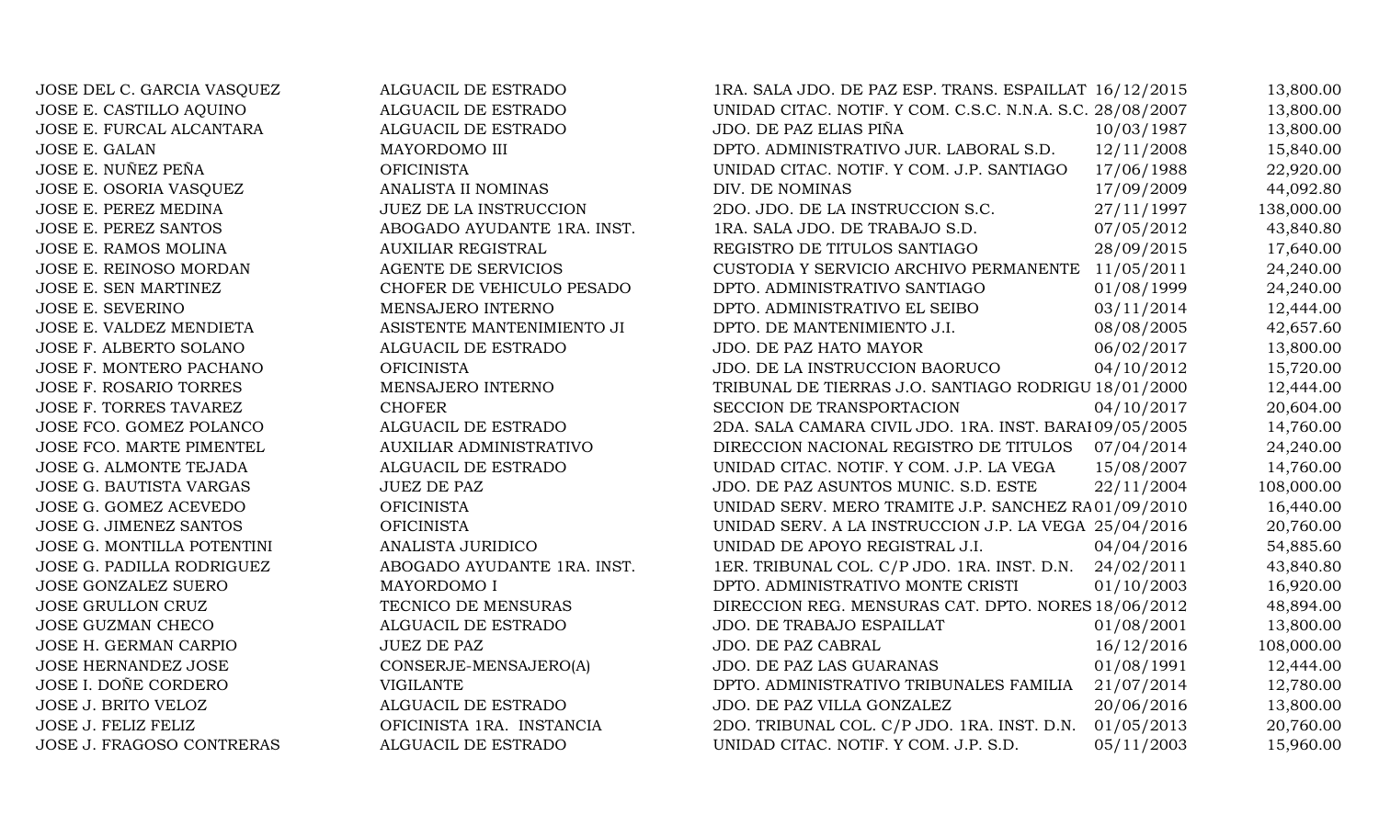JOSE DEL C. GARCIA VASQUEZ ALGUACIL DE ESTRADO 1RA. SALA JDO. DE PAZ ESP. TRANS. ESPAILLAT 16/12/2015 13,800.00 JOSE E. CASTILLO AQUINO ALGUACIL DE ESTRADO UNIDAD CITAC. NOTIF. Y COM. C.S.C. N.N.A. S.C. 28/08/2007 13,800.00 JOSE E. FURCAL ALCANTARA ALGUACIL DE ESTRADO JDO. DE PAZ ELIAS PIÑA 10/03/1987 13,800.00 JOSE E. GALAN MAYORDOMO III DPTO. ADMINISTRATIVO JUR. LABORAL S.D. 12/11/2008 15,840.00 JOSE E. NUÑEZ PEÑA OFICINISTA UNIDAD CITAC. NOTIF. Y COM. J.P. SANTIAGO 17/06/1988 22,920.00 JOSE E. OSORIA VASQUEZ ANALISTA II NOMINAS DIV. DE NOMINAS 17/09/2009 44,092.80 JOSE E. PEREZ MEDINA JUEZ DE LA INSTRUCCION 2DO. JDO. DE LA INSTRUCCION S.C. 27/11/1997 138,000.00 JOSE E. PEREZ SANTOS ANDOGADO AYUDANTE 1RA. INST. ARA. SALA JDO. DE TRABAJO S.D. 07/05/2012 43.840.80 JOSE E. RAMOS MOLINA AUXILIAR REGISTRAL REGISTRO DE TITULOS SANTIAGO 28/09/2015 17,640.00 JOSE E. REINOSO MORDAN AGENTE DE SERVICIOS CUSTODIA Y SERVICIO ARCHIVO PERMANENTE 11/05/2011 24,240.00 JOSE E. SEN MARTINEZ CHOFER DE VEHICULO PESADO DPTO. ADMINISTRATIVO SANTIAGO 01/08/1999 24,240.00 JOSE E. SEVERINO MENSAJERO INTERNO DPTO. ADMINISTRATIVO EL SEIBO 03/11/2014 12,444.00 JOSE E. VALDEZ MENDIETA ASISTENTE MANTENIMIENTO JI DPTO. DE MANTENIMIENTO J.I. 08/08/2005 42,657.60 JOSE F. ALBERTO SOLANO ALGUACIL DE ESTRADO JDO. DE PAZ HATO MAYOR 06/02/2017 13,800.00 JOSE F. MONTERO PACHANO **OFICINISTA** OFICINISTA JDO. DE LA INSTRUCCION BAORUCO 04/10/2012 15,720.00 JOSE F. ROSARIO TORRES MENSAJERO INTERNO TRIBUNAL DE TIERRAS J.O. SANTIAGO RODRIGU 18/01/2000 12,444.00 JOSE F. TORRES TAVAREZ CHOFER CHOFER SECCION DE TRANSPORTACION 04/10/2017 20.604.00 JOSE FCO. GOMEZ POLANCO ALGUACIL DE ESTRADO 2DA. SALA CAMARA CIVIL JDO. 1RA. INST. BARAHONA 09/05/2005 14,760.00 JOSE FCO. MARTE PIMENTEL AUXILIAR ADMINISTRATIVO DIRECCION NACIONAL REGISTRO DE TITULOS 07/04/2014 24,240.00 JOSE G. ALMONTE TEJADA ALGUACIL DE ESTRADO UNIDAD CITAC. NOTIF. Y COM. J.P. LA VEGA 15/08/2007 14,760.00 JOSE G. BAUTISTA VARGAS JUEZ DE PAZ JUEZ DE PAZ VEREN SERVITOS MUNIC. S.D. ESTE 22/11/2004 108,000.00 JOSE G. GOMEZ ACEVEDO OFICINISTA OFICINISTA UNIDAD SERV. MERO TRAMITE J.P. SANCHEZ RA01/09/2010 16,440.00 JOSE G. JIMENEZ SANTOS OFICINISTA OFICINISTA UNIDAD SERV. A LA INSTRUCCION J.P. LA VEGA 25/04/2016 20,760.00 JOSE G. MONTILLA POTENTINI ANALISTA JURIDICO UNIDAD DE APOYO REGISTRAL J.I. 04/04/2016 54,885.60 JOSE G. PADILLA RODRIGUEZ ABOGADO AYUDANTE 1RA. INST. 1ER. TRIBUNAL COL. C/P JDO. 1RA. INST. D.N. 24/02/2011 43,840.80 JOSE GONZALEZ SUERO MAYORDOMO I DPTO. ADMINISTRATIVO MONTE CRISTI 01/10/2003 16,920.00 JOSE GRULLON CRUZ TECNICO DE MENSURAS DIRECCION REG. MENSURAS CAT. DPTO. NORES 18/06/2012 48,894.00 JOSE GUZMAN CHECO ALGUACIL DE ESTRADO JDO. DE TRABAJO ESPAILLAT 01/08/2001 13,800.00 JOSE H. GERMAN CARPIO JUEZ DE PAZ DE PAZ VIOLO DE PAZ CABRAL 16/12/2016 108,000.00 JOSE HERNANDEZ JOSE CONSERJE-MENSAJERO(A) JDO. DE PAZ LAS GUARANAS 01/08/1991 12,444.00 JOSE I. DOÑE CORDERO VIGILANTE VIGILANTE DPTO. ADMINISTRATIVO TRIBUNALES FAMILIA 21/07/2014 12,780.00 JOSE J. BRITO VELOZ ALGUACIL DE ESTRADO JDO. DE PAZ VILLA GONZALEZ 20/06/2016 13,800.00 JOSE J. FELIZ FELIZ CHELIZ OFICINISTA 1RA. INSTANCIA 2DO. TRIBUNAL COL. C/P JDO. 1RA. INST. D.N. 01/05/2013 20.760.00 JOSE J. FRAGOSO CONTRERAS ALGUACIL DE ESTRADO UNIDAD CITAC. NOTIF. Y COM. J.P. S.D. 05/11/2003 15,960.00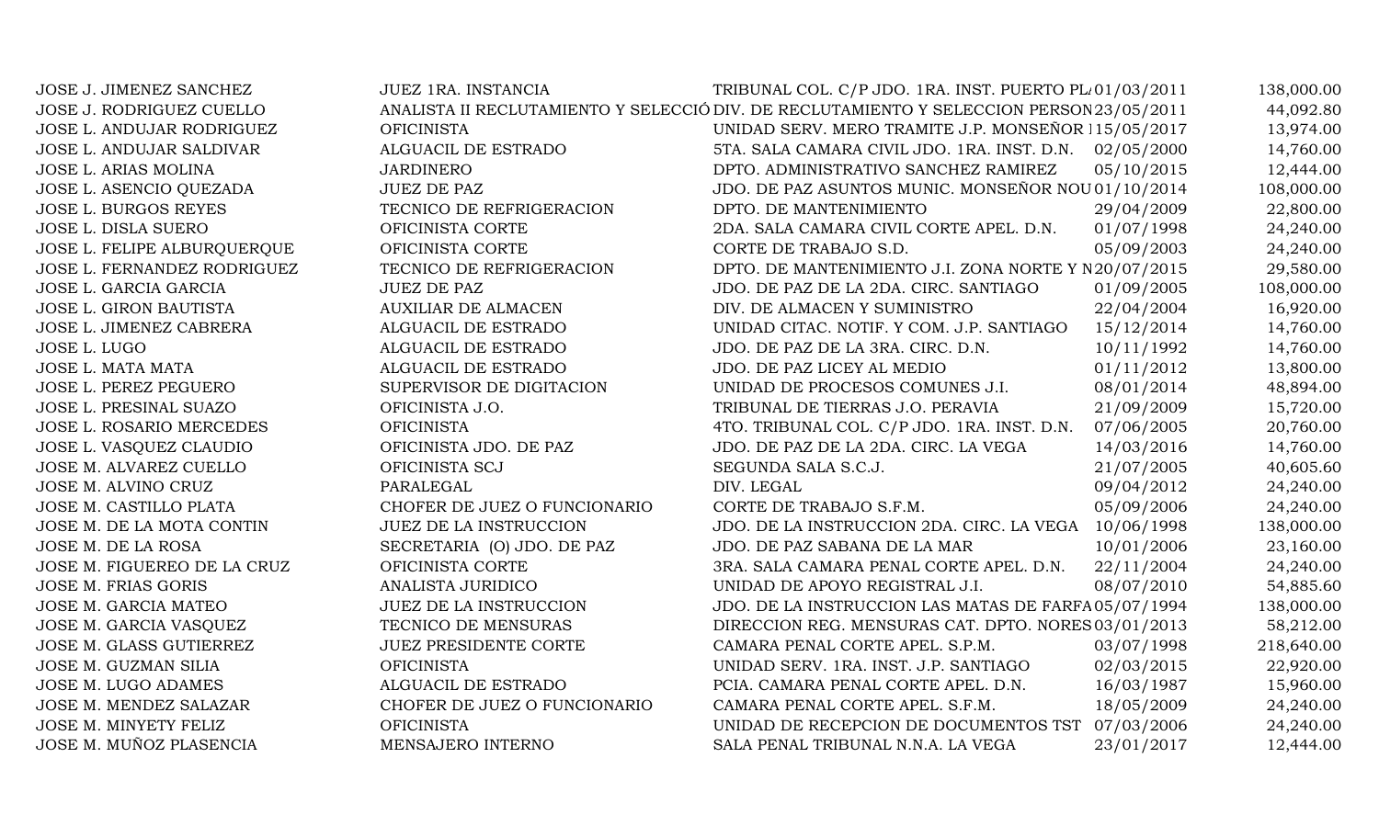| JOSE J. JIMENEZ SANCHEZ       | <b>JUEZ 1RA. INSTANCIA</b>    | TRIBUNAL COL. C/P JDO. 1RA. INST. PUERTO PL 01/03/2011                                   |            | 138,000.00 |
|-------------------------------|-------------------------------|------------------------------------------------------------------------------------------|------------|------------|
| JOSE J. RODRIGUEZ CUELLO      |                               | ANALISTA II RECLUTAMIENTO Y SELECCIÓ DIV. DE RECLUTAMIENTO Y SELECCION PERSON 23/05/2011 |            | 44,092.80  |
| JOSE L. ANDUJAR RODRIGUEZ     | <b>OFICINISTA</b>             | UNIDAD SERV. MERO TRAMITE J.P. MONSEÑOR 115/05/2017                                      |            | 13,974.00  |
| JOSE L. ANDUJAR SALDIVAR      | ALGUACIL DE ESTRADO           | 5TA. SALA CAMARA CIVIL JDO. 1RA. INST. D.N. 02/05/2000                                   |            | 14,760.00  |
| JOSE L. ARIAS MOLINA          | <b>JARDINERO</b>              | DPTO. ADMINISTRATIVO SANCHEZ RAMIREZ                                                     | 05/10/2015 | 12,444.00  |
| JOSE L. ASENCIO QUEZADA       | <b>JUEZ DE PAZ</b>            | JDO. DE PAZ ASUNTOS MUNIC. MONSEÑOR NOU 01/10/2014                                       |            | 108,000.00 |
| JOSE L. BURGOS REYES          | TECNICO DE REFRIGERACION      | DPTO. DE MANTENIMIENTO                                                                   | 29/04/2009 | 22,800.00  |
| JOSE L. DISLA SUERO           | OFICINISTA CORTE              | 2DA. SALA CAMARA CIVIL CORTE APEL. D.N.                                                  | 01/07/1998 | 24,240.00  |
| JOSE L. FELIPE ALBURQUERQUE   | OFICINISTA CORTE              | CORTE DE TRABAJO S.D.                                                                    | 05/09/2003 | 24,240.00  |
| JOSE L. FERNANDEZ RODRIGUEZ   | TECNICO DE REFRIGERACION      | DPTO. DE MANTENIMIENTO J.I. ZONA NORTE Y N 20/07/2015                                    |            | 29,580.00  |
| JOSE L. GARCIA GARCIA         | <b>JUEZ DE PAZ</b>            | JDO. DE PAZ DE LA 2DA. CIRC. SANTIAGO                                                    | 01/09/2005 | 108,000.00 |
| <b>JOSE L. GIRON BAUTISTA</b> | <b>AUXILIAR DE ALMACEN</b>    | DIV. DE ALMACEN Y SUMINISTRO                                                             | 22/04/2004 | 16,920.00  |
| JOSE L. JIMENEZ CABRERA       | ALGUACIL DE ESTRADO           | UNIDAD CITAC. NOTIF. Y COM. J.P. SANTIAGO                                                | 15/12/2014 | 14,760.00  |
| JOSE L. LUGO                  | ALGUACIL DE ESTRADO           | JDO. DE PAZ DE LA 3RA. CIRC. D.N.                                                        | 10/11/1992 | 14,760.00  |
| <b>JOSE L. MATA MATA</b>      | ALGUACIL DE ESTRADO           | JDO. DE PAZ LICEY AL MEDIO                                                               | 01/11/2012 | 13,800.00  |
| JOSE L. PEREZ PEGUERO         | SUPERVISOR DE DIGITACION      | UNIDAD DE PROCESOS COMUNES J.I.                                                          | 08/01/2014 | 48,894.00  |
| JOSE L. PRESINAL SUAZO        | OFICINISTA J.O.               | TRIBUNAL DE TIERRAS J.O. PERAVIA                                                         | 21/09/2009 | 15,720.00  |
| JOSE L. ROSARIO MERCEDES      | <b>OFICINISTA</b>             | 4TO. TRIBUNAL COL. C/P JDO. 1RA. INST. D.N.                                              | 07/06/2005 | 20,760.00  |
| JOSE L. VASQUEZ CLAUDIO       | OFICINISTA JDO. DE PAZ        | JDO. DE PAZ DE LA 2DA. CIRC. LA VEGA                                                     | 14/03/2016 | 14,760.00  |
| JOSE M. ALVAREZ CUELLO        | OFICINISTA SCJ                | SEGUNDA SALA S.C.J.                                                                      | 21/07/2005 | 40,605.60  |
| JOSE M. ALVINO CRUZ           | PARALEGAL                     | DIV. LEGAL                                                                               | 09/04/2012 | 24,240.00  |
| JOSE M. CASTILLO PLATA        | CHOFER DE JUEZ O FUNCIONARIO  | CORTE DE TRABAJO S.F.M.                                                                  | 05/09/2006 | 24,240.00  |
| JOSE M. DE LA MOTA CONTIN     | JUEZ DE LA INSTRUCCION        | JDO. DE LA INSTRUCCION 2DA. CIRC. LA VEGA 10/06/1998                                     |            | 138,000.00 |
| JOSE M. DE LA ROSA            | SECRETARIA (O) JDO. DE PAZ    | JDO. DE PAZ SABANA DE LA MAR                                                             | 10/01/2006 | 23,160.00  |
| JOSE M. FIGUEREO DE LA CRUZ   | OFICINISTA CORTE              | 3RA. SALA CAMARA PENAL CORTE APEL. D.N.                                                  | 22/11/2004 | 24,240.00  |
| JOSE M. FRIAS GORIS           | ANALISTA JURIDICO             | UNIDAD DE APOYO REGISTRAL J.I.                                                           | 08/07/2010 | 54,885.60  |
| JOSE M. GARCIA MATEO          | <b>JUEZ DE LA INSTRUCCION</b> | JDO. DE LA INSTRUCCION LAS MATAS DE FARFA 05/07/1994                                     |            | 138,000.00 |
| JOSE M. GARCIA VASQUEZ        | TECNICO DE MENSURAS           | DIRECCION REG. MENSURAS CAT. DPTO. NORES 03/01/2013                                      |            | 58,212.00  |
| JOSE M. GLASS GUTIERREZ       | <b>JUEZ PRESIDENTE CORTE</b>  | CAMARA PENAL CORTE APEL. S.P.M.                                                          | 03/07/1998 | 218,640.00 |
| JOSE M. GUZMAN SILIA          | <b>OFICINISTA</b>             | UNIDAD SERV. 1RA. INST. J.P. SANTIAGO                                                    | 02/03/2015 | 22,920.00  |
| JOSE M. LUGO ADAMES           | ALGUACIL DE ESTRADO           | PCIA. CAMARA PENAL CORTE APEL. D.N.                                                      | 16/03/1987 | 15,960.00  |
| JOSE M. MENDEZ SALAZAR        | CHOFER DE JUEZ O FUNCIONARIO  | CAMARA PENAL CORTE APEL. S.F.M.                                                          | 18/05/2009 | 24,240.00  |
| JOSE M. MINYETY FELIZ         | <b>OFICINISTA</b>             | UNIDAD DE RECEPCION DE DOCUMENTOS TST                                                    | 07/03/2006 | 24,240.00  |
| JOSE M. MUÑOZ PLASENCIA       | MENSAJERO INTERNO             | SALA PENAL TRIBUNAL N.N.A. LA VEGA                                                       | 23/01/2017 | 12,444.00  |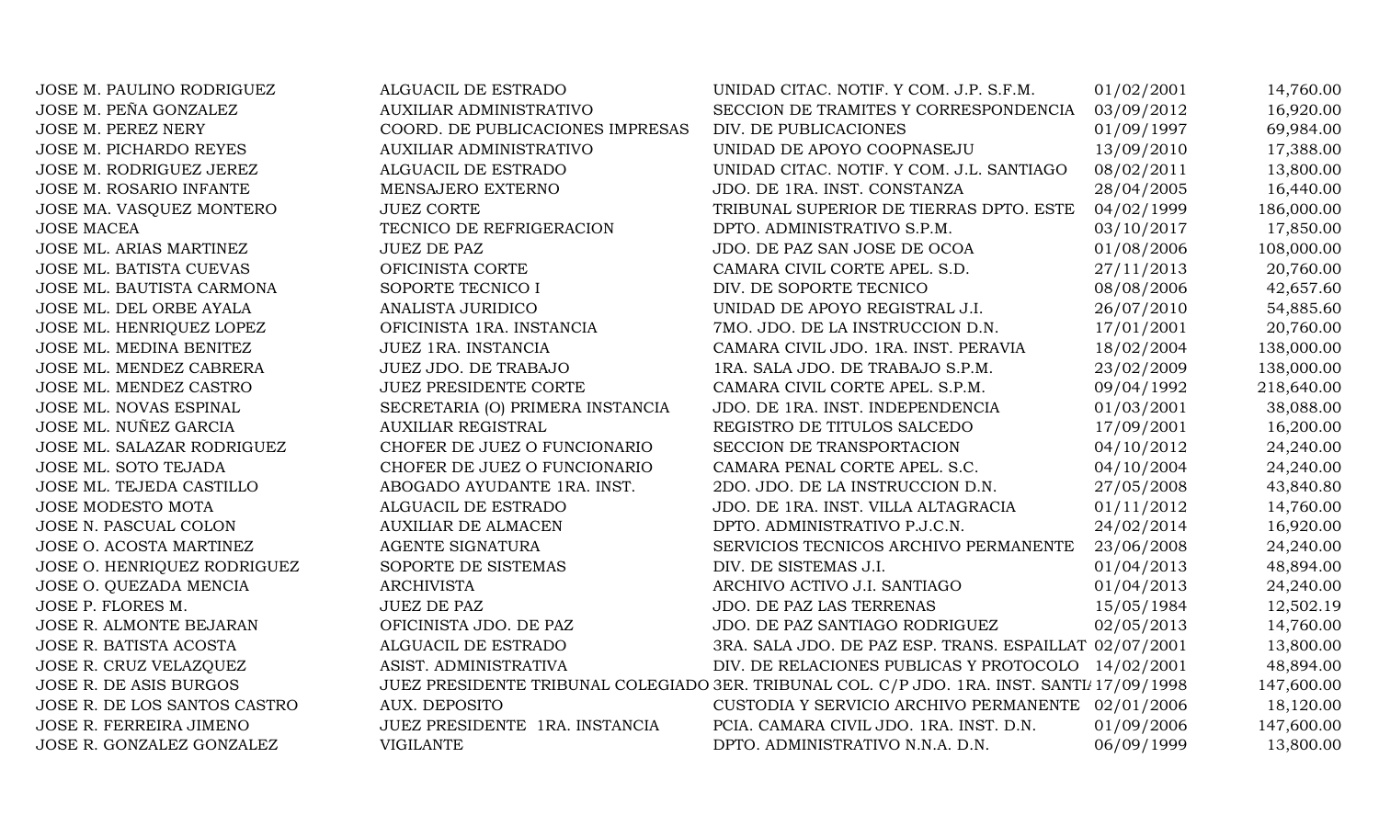| JOSE M. PAULINO RODRIGUEZ    | ALGUACIL DE ESTRADO              | UNIDAD CITAC. NOTIF. Y COM. J.P. S.F.M.                                                    | 01/02/2001 | 14,760.00  |
|------------------------------|----------------------------------|--------------------------------------------------------------------------------------------|------------|------------|
| JOSE M. PEÑA GONZALEZ        | <b>AUXILIAR ADMINISTRATIVO</b>   | SECCION DE TRAMITES Y CORRESPONDENCIA                                                      | 03/09/2012 | 16,920.00  |
| JOSE M. PEREZ NERY           | COORD. DE PUBLICACIONES IMPRESAS | DIV. DE PUBLICACIONES                                                                      | 01/09/1997 | 69,984.00  |
| JOSE M. PICHARDO REYES       | <b>AUXILIAR ADMINISTRATIVO</b>   | UNIDAD DE APOYO COOPNASEJU                                                                 | 13/09/2010 | 17,388.00  |
| JOSE M. RODRIGUEZ JEREZ      | ALGUACIL DE ESTRADO              | UNIDAD CITAC. NOTIF. Y COM. J.L. SANTIAGO                                                  | 08/02/2011 | 13,800.00  |
| JOSE M. ROSARIO INFANTE      | MENSAJERO EXTERNO                | JDO. DE 1RA. INST. CONSTANZA                                                               | 28/04/2005 | 16,440.00  |
| JOSE MA. VASQUEZ MONTERO     | <b>JUEZ CORTE</b>                | TRIBUNAL SUPERIOR DE TIERRAS DPTO. ESTE                                                    | 04/02/1999 | 186,000.00 |
| <b>JOSE MACEA</b>            | TECNICO DE REFRIGERACION         | DPTO. ADMINISTRATIVO S.P.M.                                                                | 03/10/2017 | 17,850.00  |
| JOSE ML. ARIAS MARTINEZ      | <b>JUEZ DE PAZ</b>               | JDO. DE PAZ SAN JOSE DE OCOA                                                               | 01/08/2006 | 108,000.00 |
| JOSE ML. BATISTA CUEVAS      | OFICINISTA CORTE                 | CAMARA CIVIL CORTE APEL. S.D.                                                              | 27/11/2013 | 20,760.00  |
| JOSE ML. BAUTISTA CARMONA    | SOPORTE TECNICO I                | DIV. DE SOPORTE TECNICO                                                                    | 08/08/2006 | 42,657.60  |
| JOSE ML. DEL ORBE AYALA      | ANALISTA JURIDICO                | UNIDAD DE APOYO REGISTRAL J.I.                                                             | 26/07/2010 | 54,885.60  |
| JOSE ML. HENRIQUEZ LOPEZ     | OFICINISTA 1RA. INSTANCIA        | 7MO. JDO. DE LA INSTRUCCION D.N.                                                           | 17/01/2001 | 20,760.00  |
| JOSE ML. MEDINA BENITEZ      | JUEZ 1RA. INSTANCIA              | CAMARA CIVIL JDO. 1RA. INST. PERAVIA                                                       | 18/02/2004 | 138,000.00 |
| JOSE ML. MENDEZ CABRERA      | JUEZ JDO. DE TRABAJO             | 1RA. SALA JDO. DE TRABAJO S.P.M.                                                           | 23/02/2009 | 138,000.00 |
| JOSE ML. MENDEZ CASTRO       | <b>JUEZ PRESIDENTE CORTE</b>     | CAMARA CIVIL CORTE APEL. S.P.M.                                                            | 09/04/1992 | 218,640.00 |
| JOSE ML. NOVAS ESPINAL       | SECRETARIA (O) PRIMERA INSTANCIA | JDO. DE 1RA. INST. INDEPENDENCIA                                                           | 01/03/2001 | 38,088.00  |
| JOSE ML. NUÑEZ GARCIA        | <b>AUXILIAR REGISTRAL</b>        | REGISTRO DE TITULOS SALCEDO                                                                | 17/09/2001 | 16,200.00  |
| JOSE ML. SALAZAR RODRIGUEZ   | CHOFER DE JUEZ O FUNCIONARIO     | SECCION DE TRANSPORTACION                                                                  | 04/10/2012 | 24,240.00  |
| JOSE ML. SOTO TEJADA         | CHOFER DE JUEZ O FUNCIONARIO     | CAMARA PENAL CORTE APEL. S.C.                                                              | 04/10/2004 | 24,240.00  |
| JOSE ML. TEJEDA CASTILLO     | ABOGADO AYUDANTE 1RA. INST.      | 2DO. JDO. DE LA INSTRUCCION D.N.                                                           | 27/05/2008 | 43,840.80  |
| <b>JOSE MODESTO MOTA</b>     | ALGUACIL DE ESTRADO              | JDO. DE 1RA. INST. VILLA ALTAGRACIA                                                        | 01/11/2012 | 14,760.00  |
| JOSE N. PASCUAL COLON        | <b>AUXILIAR DE ALMACEN</b>       | DPTO. ADMINISTRATIVO P.J.C.N.                                                              | 24/02/2014 | 16,920.00  |
| JOSE O. ACOSTA MARTINEZ      | <b>AGENTE SIGNATURA</b>          | SERVICIOS TECNICOS ARCHIVO PERMANENTE                                                      | 23/06/2008 | 24,240.00  |
| JOSE O. HENRIQUEZ RODRIGUEZ  | SOPORTE DE SISTEMAS              | DIV. DE SISTEMAS J.I.                                                                      | 01/04/2013 | 48,894.00  |
| JOSE O. QUEZADA MENCIA       | <b>ARCHIVISTA</b>                | ARCHIVO ACTIVO J.I. SANTIAGO                                                               | 01/04/2013 | 24,240.00  |
| JOSE P. FLORES M.            | <b>JUEZ DE PAZ</b>               | JDO. DE PAZ LAS TERRENAS                                                                   | 15/05/1984 | 12,502.19  |
| JOSE R. ALMONTE BEJARAN      | OFICINISTA JDO. DE PAZ           | JDO. DE PAZ SANTIAGO RODRIGUEZ                                                             | 02/05/2013 | 14,760.00  |
| JOSE R. BATISTA ACOSTA       | ALGUACIL DE ESTRADO              | 3RA. SALA JDO. DE PAZ ESP. TRANS. ESPAILLAT 02/07/2001                                     |            | 13,800.00  |
| JOSE R. CRUZ VELAZQUEZ       | ASIST. ADMINISTRATIVA            | DIV. DE RELACIONES PUBLICAS Y PROTOCOLO                                                    | 14/02/2001 | 48,894.00  |
| JOSE R. DE ASIS BURGOS       |                                  | JUEZ PRESIDENTE TRIBUNAL COLEGIADO 3ER. TRIBUNAL COL. C/P JDO. 1RA. INST. SANTI/17/09/1998 |            | 147,600.00 |
| JOSE R. DE LOS SANTOS CASTRO | AUX. DEPOSITO                    | CUSTODIA Y SERVICIO ARCHIVO PERMANENTE 02/01/2006                                          |            | 18,120.00  |
| JOSE R. FERREIRA JIMENO      | JUEZ PRESIDENTE 1RA. INSTANCIA   | PCIA. CAMARA CIVIL JDO. 1RA. INST. D.N.                                                    | 01/09/2006 | 147,600.00 |
| JOSE R. GONZALEZ GONZALEZ    | <b>VIGILANTE</b>                 | DPTO. ADMINISTRATIVO N.N.A. D.N.                                                           | 06/09/1999 | 13,800.00  |
|                              |                                  |                                                                                            |            |            |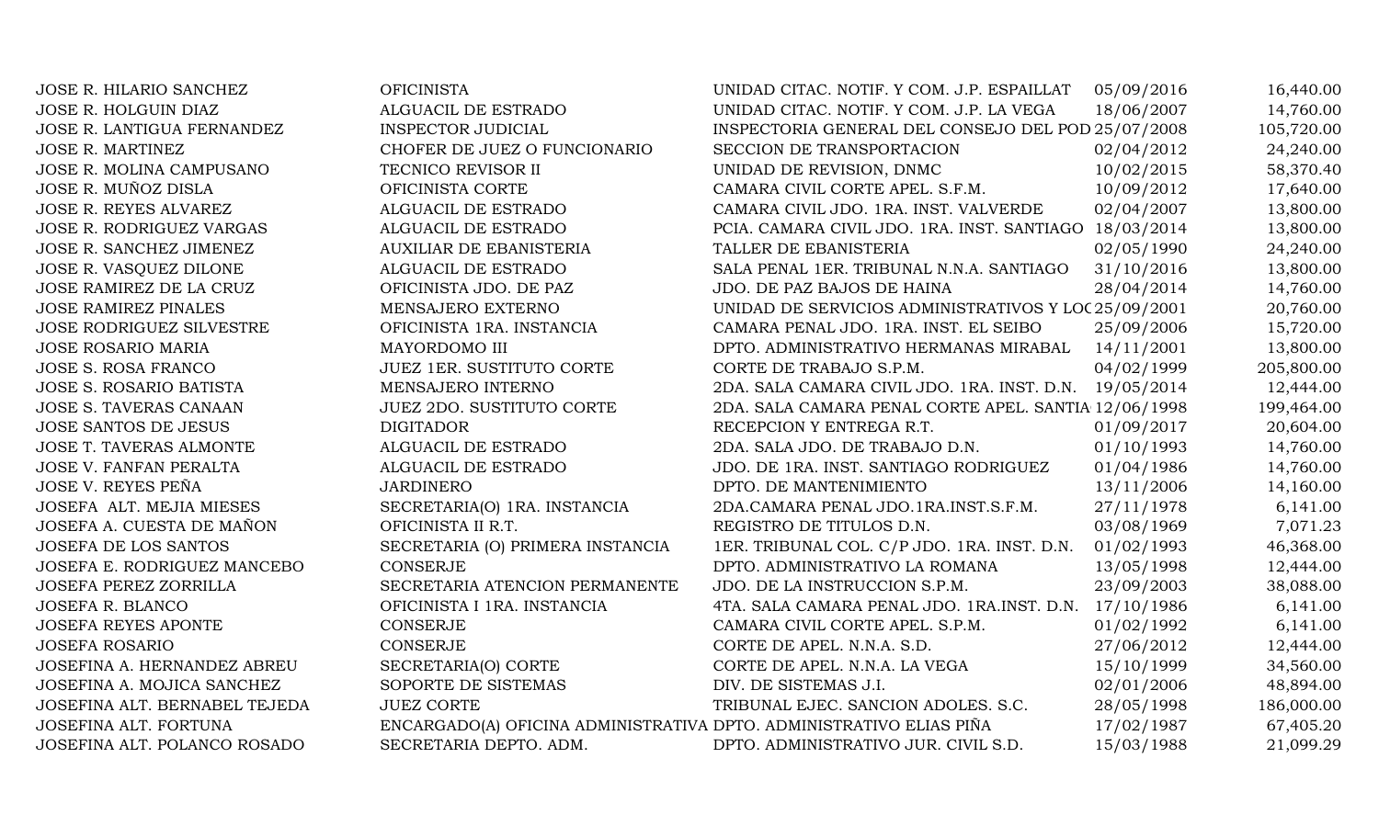| JOSE R. HILARIO SANCHEZ         | <b>OFICINISTA</b>                                                   | UNIDAD CITAC. NOTIF. Y COM. J.P. ESPAILLAT             | 05/09/2016 | 16,440.00  |
|---------------------------------|---------------------------------------------------------------------|--------------------------------------------------------|------------|------------|
| JOSE R. HOLGUIN DIAZ            | ALGUACIL DE ESTRADO                                                 | UNIDAD CITAC. NOTIF. Y COM. J.P. LA VEGA               | 18/06/2007 | 14,760.00  |
| JOSE R. LANTIGUA FERNANDEZ      | <b>INSPECTOR JUDICIAL</b>                                           | INSPECTORIA GENERAL DEL CONSEJO DEL POD 25/07/2008     |            | 105,720.00 |
| <b>JOSE R. MARTINEZ</b>         | CHOFER DE JUEZ O FUNCIONARIO                                        | SECCION DE TRANSPORTACION                              | 02/04/2012 | 24,240.00  |
| JOSE R. MOLINA CAMPUSANO        | TECNICO REVISOR II                                                  | UNIDAD DE REVISION, DNMC                               | 10/02/2015 | 58,370.40  |
| JOSE R. MUÑOZ DISLA             | OFICINISTA CORTE                                                    | CAMARA CIVIL CORTE APEL. S.F.M.                        | 10/09/2012 | 17,640.00  |
| JOSE R. REYES ALVAREZ           | ALGUACIL DE ESTRADO                                                 | CAMARA CIVIL JDO. 1RA. INST. VALVERDE                  | 02/04/2007 | 13,800.00  |
| <b>JOSE R. RODRIGUEZ VARGAS</b> | ALGUACIL DE ESTRADO                                                 | PCIA. CAMARA CIVIL JDO. 1RA. INST. SANTIAGO 18/03/2014 |            | 13,800.00  |
| JOSE R. SANCHEZ JIMENEZ         | AUXILIAR DE EBANISTERIA                                             | TALLER DE EBANISTERIA                                  | 02/05/1990 | 24,240.00  |
| JOSE R. VASQUEZ DILONE          | ALGUACIL DE ESTRADO                                                 | SALA PENAL 1ER. TRIBUNAL N.N.A. SANTIAGO               | 31/10/2016 | 13,800.00  |
| JOSE RAMIREZ DE LA CRUZ         | OFICINISTA JDO. DE PAZ                                              | JDO. DE PAZ BAJOS DE HAINA                             | 28/04/2014 | 14,760.00  |
| <b>JOSE RAMIREZ PINALES</b>     | MENSAJERO EXTERNO                                                   | UNIDAD DE SERVICIOS ADMINISTRATIVOS Y LOC 25/09/2001   |            | 20,760.00  |
| JOSE RODRIGUEZ SILVESTRE        | OFICINISTA 1RA. INSTANCIA                                           | CAMARA PENAL JDO. 1RA. INST. EL SEIBO                  | 25/09/2006 | 15,720.00  |
| <b>JOSE ROSARIO MARIA</b>       | MAYORDOMO III                                                       | DPTO. ADMINISTRATIVO HERMANAS MIRABAL                  | 14/11/2001 | 13,800.00  |
| JOSE S. ROSA FRANCO             | JUEZ 1ER. SUSTITUTO CORTE                                           | CORTE DE TRABAJO S.P.M.                                | 04/02/1999 | 205,800.00 |
| <b>JOSE S. ROSARIO BATISTA</b>  | MENSAJERO INTERNO                                                   | 2DA. SALA CAMARA CIVIL JDO. 1RA. INST. D.N. 19/05/2014 |            | 12,444.00  |
| JOSE S. TAVERAS CANAAN          | <b>JUEZ 2DO. SUSTITUTO CORTE</b>                                    | 2DA. SALA CAMARA PENAL CORTE APEL. SANTIA 12/06/1998   |            | 199,464.00 |
| JOSE SANTOS DE JESUS            | <b>DIGITADOR</b>                                                    | RECEPCION Y ENTREGA R.T.                               | 01/09/2017 | 20,604.00  |
| <b>JOSE T. TAVERAS ALMONTE</b>  | ALGUACIL DE ESTRADO                                                 | 2DA. SALA JDO. DE TRABAJO D.N.                         | 01/10/1993 | 14,760.00  |
| <b>JOSE V. FANFAN PERALTA</b>   | ALGUACIL DE ESTRADO                                                 | JDO. DE 1RA. INST. SANTIAGO RODRIGUEZ                  | 01/04/1986 | 14,760.00  |
| JOSE V. REYES PEÑA              | <b>JARDINERO</b>                                                    | DPTO. DE MANTENIMIENTO                                 | 13/11/2006 | 14,160.00  |
| JOSEFA ALT. MEJIA MIESES        | SECRETARIA(O) 1RA. INSTANCIA                                        | 2DA.CAMARA PENAL JDO.1RA.INST.S.F.M.                   | 27/11/1978 | 6,141.00   |
| JOSEFA A. CUESTA DE MAÑON       | OFICINISTA II R.T.                                                  | REGISTRO DE TITULOS D.N.                               | 03/08/1969 | 7,071.23   |
| JOSEFA DE LOS SANTOS            | SECRETARIA (O) PRIMERA INSTANCIA                                    | 1ER. TRIBUNAL COL. C/P JDO. 1RA. INST. D.N.            | 01/02/1993 | 46,368.00  |
| JOSEFA E. RODRIGUEZ MANCEBO     | CONSERJE                                                            | DPTO. ADMINISTRATIVO LA ROMANA                         | 13/05/1998 | 12,444.00  |
| JOSEFA PEREZ ZORRILLA           | SECRETARIA ATENCION PERMANENTE                                      | JDO. DE LA INSTRUCCION S.P.M.                          | 23/09/2003 | 38,088.00  |
| <b>JOSEFA R. BLANCO</b>         | OFICINISTA I 1RA. INSTANCIA                                         | 4TA. SALA CAMARA PENAL JDO. 1RA.INST. D.N.             | 17/10/1986 | 6,141.00   |
| <b>JOSEFA REYES APONTE</b>      | CONSERJE                                                            | CAMARA CIVIL CORTE APEL. S.P.M.                        | 01/02/1992 | 6,141.00   |
| <b>JOSEFA ROSARIO</b>           | CONSERJE                                                            | CORTE DE APEL. N.N.A. S.D.                             | 27/06/2012 | 12,444.00  |
| JOSEFINA A. HERNANDEZ ABREU     | SECRETARIA(O) CORTE                                                 | CORTE DE APEL. N.N.A. LA VEGA                          | 15/10/1999 | 34,560.00  |
| JOSEFINA A. MOJICA SANCHEZ      | SOPORTE DE SISTEMAS                                                 | DIV. DE SISTEMAS J.I.                                  | 02/01/2006 | 48,894.00  |
| JOSEFINA ALT. BERNABEL TEJEDA   | <b>JUEZ CORTE</b>                                                   | TRIBUNAL EJEC. SANCION ADOLES. S.C.                    | 28/05/1998 | 186,000.00 |
| JOSEFINA ALT. FORTUNA           | ENCARGADO(A) OFICINA ADMINISTRATIVA DPTO. ADMINISTRATIVO ELIAS PIÑA |                                                        | 17/02/1987 | 67,405.20  |
| JOSEFINA ALT. POLANCO ROSADO    | SECRETARIA DEPTO. ADM.                                              | DPTO. ADMINISTRATIVO JUR. CIVIL S.D.                   | 15/03/1988 | 21,099.29  |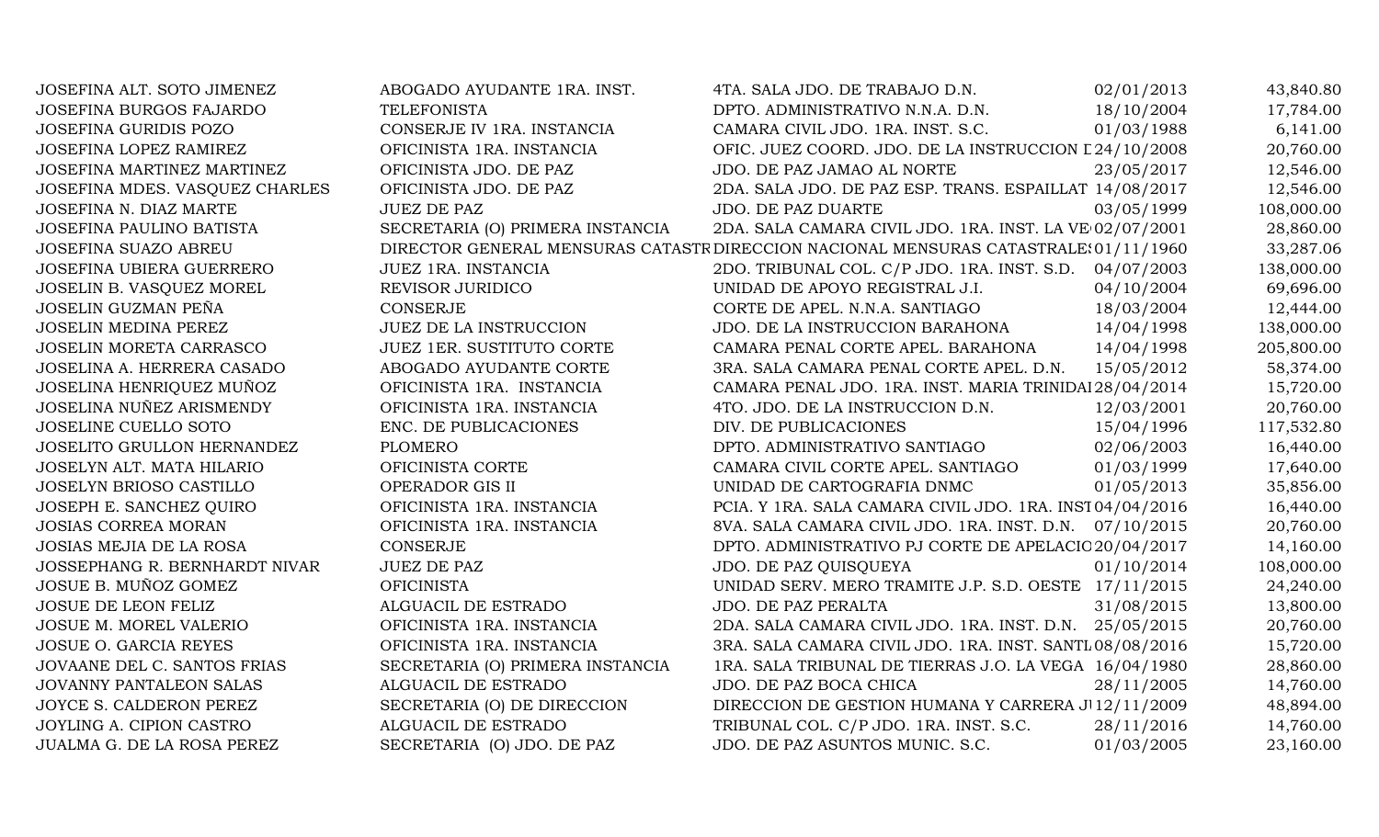| JOSEFINA ALT. SOTO JIMENEZ           | ABOGADO AYUDANTE 1RA. INST.      | 4TA. SALA JDO. DE TRABAJO D.N.                                                       | 02/01/2013 | 43,840.80  |
|--------------------------------------|----------------------------------|--------------------------------------------------------------------------------------|------------|------------|
| JOSEFINA BURGOS FAJARDO              | <b>TELEFONISTA</b>               | DPTO. ADMINISTRATIVO N.N.A. D.N.                                                     | 18/10/2004 | 17,784.00  |
| <b>JOSEFINA GURIDIS POZO</b>         | CONSERJE IV 1RA. INSTANCIA       | CAMARA CIVIL JDO. 1RA. INST. S.C.                                                    | 01/03/1988 | 6,141.00   |
| JOSEFINA LOPEZ RAMIREZ               | OFICINISTA 1RA. INSTANCIA        | OFIC. JUEZ COORD. JDO. DE LA INSTRUCCION L 24/10/2008                                |            | 20,760.00  |
| JOSEFINA MARTINEZ MARTINEZ           | OFICINISTA JDO. DE PAZ           | JDO. DE PAZ JAMAO AL NORTE                                                           | 23/05/2017 | 12,546.00  |
| JOSEFINA MDES. VASQUEZ CHARLES       | OFICINISTA JDO. DE PAZ           | 2DA. SALA JDO. DE PAZ ESP. TRANS. ESPAILLAT 14/08/2017                               |            | 12,546.00  |
| JOSEFINA N. DIAZ MARTE               | <b>JUEZ DE PAZ</b>               | JDO. DE PAZ DUARTE                                                                   | 03/05/1999 | 108,000.00 |
| <b>JOSEFINA PAULINO BATISTA</b>      | SECRETARIA (O) PRIMERA INSTANCIA | 2DA. SALA CAMARA CIVIL JDO. 1RA. INST. LA VE 02/07/2001                              |            | 28,860.00  |
| JOSEFINA SUAZO ABREU                 |                                  | DIRECTOR GENERAL MENSURAS CATASTR DIRECCION NACIONAL MENSURAS CATASTRALE: 01/11/1960 |            | 33,287.06  |
| <b>JOSEFINA UBIERA GUERRERO</b>      | JUEZ 1RA. INSTANCIA              | 2DO. TRIBUNAL COL. C/P JDO. 1RA. INST. S.D. 04/07/2003                               |            | 138,000.00 |
| JOSELIN B. VASQUEZ MOREL             | REVISOR JURIDICO                 | UNIDAD DE APOYO REGISTRAL J.I.                                                       | 04/10/2004 | 69,696.00  |
| JOSELIN GUZMAN PEÑA                  | <b>CONSERJE</b>                  | CORTE DE APEL. N.N.A. SANTIAGO                                                       | 18/03/2004 | 12,444.00  |
| <b>JOSELIN MEDINA PEREZ</b>          | <b>JUEZ DE LA INSTRUCCION</b>    | JDO. DE LA INSTRUCCION BARAHONA                                                      | 14/04/1998 | 138,000.00 |
| JOSELIN MORETA CARRASCO              | JUEZ 1ER. SUSTITUTO CORTE        | CAMARA PENAL CORTE APEL. BARAHONA                                                    | 14/04/1998 | 205,800.00 |
| JOSELINA A. HERRERA CASADO           | ABOGADO AYUDANTE CORTE           | 3RA. SALA CAMARA PENAL CORTE APEL. D.N.                                              | 15/05/2012 | 58,374.00  |
| JOSELINA HENRIQUEZ MUÑOZ             | OFICINISTA 1RA. INSTANCIA        | CAMARA PENAL JDO. 1RA. INST. MARIA TRINIDAI 28/04/2014                               |            | 15,720.00  |
| JOSELINA NUÑEZ ARISMENDY             | OFICINISTA 1RA. INSTANCIA        | 4TO. JDO. DE LA INSTRUCCION D.N.                                                     | 12/03/2001 | 20,760.00  |
| JOSELINE CUELLO SOTO                 | ENC. DE PUBLICACIONES            | DIV. DE PUBLICACIONES                                                                | 15/04/1996 | 117,532.80 |
| JOSELITO GRULLON HERNANDEZ           | <b>PLOMERO</b>                   | DPTO. ADMINISTRATIVO SANTIAGO                                                        | 02/06/2003 | 16,440.00  |
| JOSELYN ALT. MATA HILARIO            | OFICINISTA CORTE                 | CAMARA CIVIL CORTE APEL. SANTIAGO                                                    | 01/03/1999 | 17,640.00  |
| JOSELYN BRIOSO CASTILLO              | OPERADOR GIS II                  | UNIDAD DE CARTOGRAFIA DNMC                                                           | 01/05/2013 | 35,856.00  |
| JOSEPH E. SANCHEZ QUIRO              | OFICINISTA 1RA. INSTANCIA        | PCIA. Y 1RA. SALA CAMARA CIVIL JDO. 1RA. INST04/04/2016                              |            | 16,440.00  |
| <b>JOSIAS CORREA MORAN</b>           | OFICINISTA 1RA. INSTANCIA        | 8VA. SALA CAMARA CIVIL JDO. 1RA. INST. D.N. 07/10/2015                               |            | 20,760.00  |
| JOSIAS MEJIA DE LA ROSA              | <b>CONSERJE</b>                  | DPTO. ADMINISTRATIVO PJ CORTE DE APELACIO 20/04/2017                                 |            | 14,160.00  |
| <b>JOSSEPHANG R. BERNHARDT NIVAR</b> | <b>JUEZ DE PAZ</b>               | JDO. DE PAZ QUISQUEYA                                                                | 01/10/2014 | 108,000.00 |
| JOSUE B. MUÑOZ GOMEZ                 | <b>OFICINISTA</b>                | UNIDAD SERV. MERO TRAMITE J.P. S.D. OESTE 17/11/2015                                 |            | 24,240.00  |
| JOSUE DE LEON FELIZ                  | ALGUACIL DE ESTRADO              | JDO. DE PAZ PERALTA                                                                  | 31/08/2015 | 13,800.00  |
| JOSUE M. MOREL VALERIO               | OFICINISTA 1RA. INSTANCIA        | 2DA. SALA CAMARA CIVIL JDO. 1RA. INST. D.N. 25/05/2015                               |            | 20,760.00  |
| JOSUE O. GARCIA REYES                | OFICINISTA 1RA. INSTANCIA        | 3RA. SALA CAMARA CIVIL JDO. 1RA. INST. SANTL 08/08/2016                              |            | 15,720.00  |
| JOVAANE DEL C. SANTOS FRIAS          | SECRETARIA (O) PRIMERA INSTANCIA | 1RA. SALA TRIBUNAL DE TIERRAS J.O. LA VEGA 16/04/1980                                |            | 28,860.00  |
| JOVANNY PANTALEON SALAS              | ALGUACIL DE ESTRADO              | JDO. DE PAZ BOCA CHICA                                                               | 28/11/2005 | 14,760.00  |
| JOYCE S. CALDERON PEREZ              | SECRETARIA (O) DE DIRECCION      | DIRECCION DE GESTION HUMANA Y CARRERA J 12/11/2009                                   |            | 48,894.00  |
| JOYLING A. CIPION CASTRO             | ALGUACIL DE ESTRADO              | TRIBUNAL COL. C/P JDO. 1RA. INST. S.C.                                               | 28/11/2016 | 14,760.00  |
| JUALMA G. DE LA ROSA PEREZ           | SECRETARIA (O) JDO. DE PAZ       | JDO. DE PAZ ASUNTOS MUNIC. S.C.                                                      | 01/03/2005 | 23,160.00  |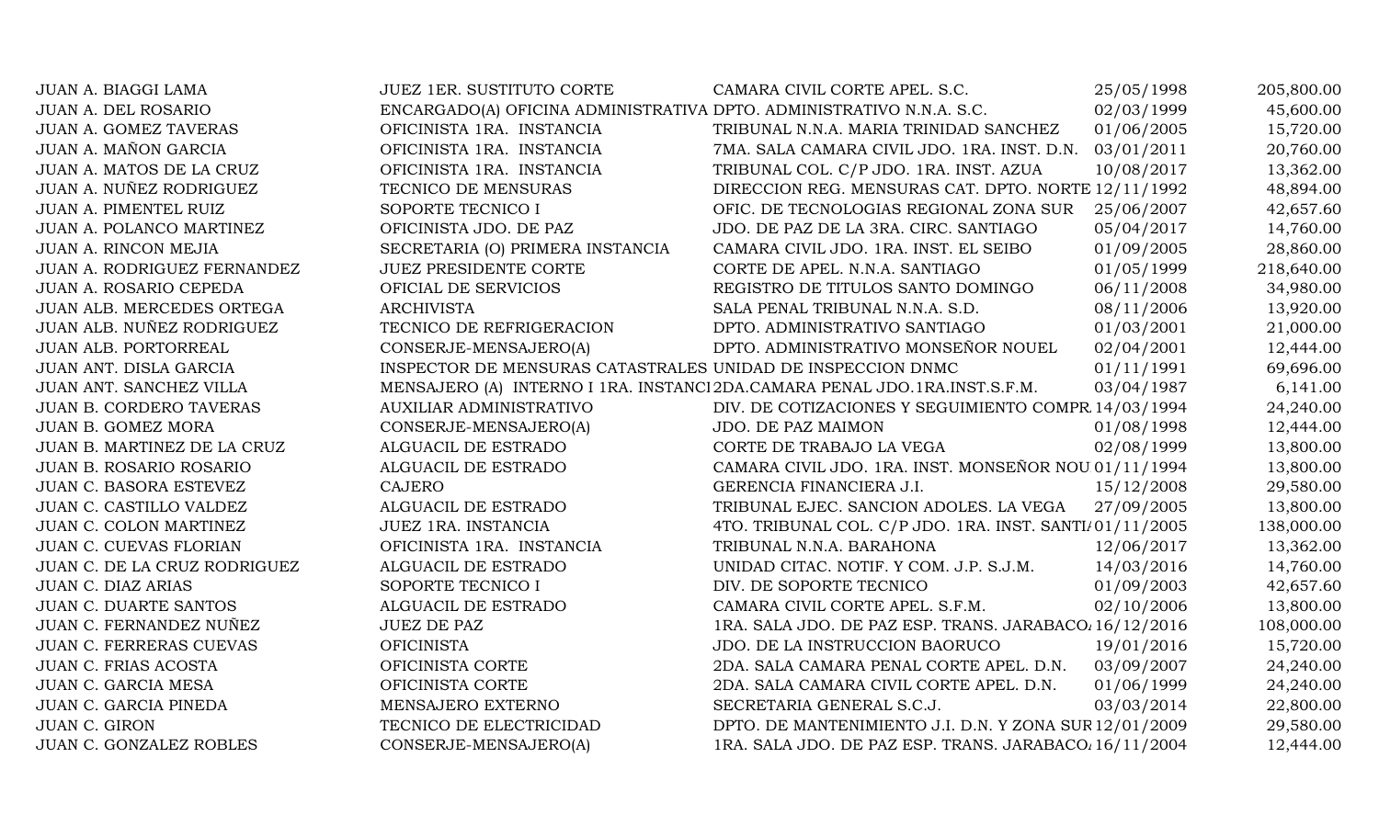| JUAN A. BIAGGI LAMA            | <b>JUEZ 1ER. SUSTITUTO CORTE</b>                                     | CAMARA CIVIL CORTE APEL. S.C.                                              | 25/05/1998 | 205,800.00 |
|--------------------------------|----------------------------------------------------------------------|----------------------------------------------------------------------------|------------|------------|
| <b>JUAN A. DEL ROSARIO</b>     | ENCARGADO(A) OFICINA ADMINISTRATIVA DPTO. ADMINISTRATIVO N.N.A. S.C. |                                                                            | 02/03/1999 | 45,600.00  |
| <b>JUAN A. GOMEZ TAVERAS</b>   | OFICINISTA 1RA. INSTANCIA                                            | TRIBUNAL N.N.A. MARIA TRINIDAD SANCHEZ                                     | 01/06/2005 | 15,720.00  |
| <b>JUAN A. MAÑON GARCIA</b>    | OFICINISTA 1RA. INSTANCIA                                            | 7MA. SALA CAMARA CIVIL JDO. 1RA. INST. D.N.                                | 03/01/2011 | 20,760.00  |
| JUAN A. MATOS DE LA CRUZ       | OFICINISTA 1RA. INSTANCIA                                            | TRIBUNAL COL. C/P JDO. 1RA. INST. AZUA                                     | 10/08/2017 | 13,362.00  |
| JUAN A. NUÑEZ RODRIGUEZ        | TECNICO DE MENSURAS                                                  | DIRECCION REG. MENSURAS CAT. DPTO. NORTE 12/11/1992                        |            | 48,894.00  |
| JUAN A. PIMENTEL RUIZ          | SOPORTE TECNICO I                                                    | OFIC. DE TECNOLOGIAS REGIONAL ZONA SUR                                     | 25/06/2007 | 42,657.60  |
| JUAN A. POLANCO MARTINEZ       | OFICINISTA JDO. DE PAZ                                               | JDO. DE PAZ DE LA 3RA. CIRC. SANTIAGO                                      | 05/04/2017 | 14,760.00  |
| JUAN A. RINCON MEJIA           | SECRETARIA (O) PRIMERA INSTANCIA                                     | CAMARA CIVIL JDO. 1RA. INST. EL SEIBO                                      | 01/09/2005 | 28,860.00  |
| JUAN A. RODRIGUEZ FERNANDEZ    | <b>JUEZ PRESIDENTE CORTE</b>                                         | CORTE DE APEL. N.N.A. SANTIAGO                                             | 01/05/1999 | 218,640.00 |
| JUAN A. ROSARIO CEPEDA         | OFICIAL DE SERVICIOS                                                 | REGISTRO DE TITULOS SANTO DOMINGO                                          | 06/11/2008 | 34,980.00  |
| JUAN ALB. MERCEDES ORTEGA      | <b>ARCHIVISTA</b>                                                    | SALA PENAL TRIBUNAL N.N.A. S.D.                                            | 08/11/2006 | 13,920.00  |
| JUAN ALB. NUÑEZ RODRIGUEZ      | TECNICO DE REFRIGERACION                                             | DPTO. ADMINISTRATIVO SANTIAGO                                              | 01/03/2001 | 21,000.00  |
| JUAN ALB. PORTORREAL           | CONSERJE-MENSAJERO(A)                                                | DPTO. ADMINISTRATIVO MONSEÑOR NOUEL                                        | 02/04/2001 | 12,444.00  |
| JUAN ANT. DISLA GARCIA         | INSPECTOR DE MENSURAS CATASTRALES UNIDAD DE INSPECCION DNMC          |                                                                            | 01/11/1991 | 69,696.00  |
| JUAN ANT. SANCHEZ VILLA        |                                                                      | MENSAJERO (A) INTERNO I 1RA. INSTANCI 2DA.CAMARA PENAL JDO.1RA.INST.S.F.M. | 03/04/1987 | 6,141.00   |
| <b>JUAN B. CORDERO TAVERAS</b> | <b>AUXILIAR ADMINISTRATIVO</b>                                       | DIV. DE COTIZACIONES Y SEGUIMIENTO COMPR 14/03/1994                        |            | 24,240.00  |
| JUAN B. GOMEZ MORA             | CONSERJE-MENSAJERO(A)                                                | JDO. DE PAZ MAIMON                                                         | 01/08/1998 | 12,444.00  |
| JUAN B. MARTINEZ DE LA CRUZ    | ALGUACIL DE ESTRADO                                                  | CORTE DE TRABAJO LA VEGA                                                   | 02/08/1999 | 13,800.00  |
| JUAN B. ROSARIO ROSARIO        | ALGUACIL DE ESTRADO                                                  | CAMARA CIVIL JDO. 1RA. INST. MONSEÑOR NOU 01/11/1994                       |            | 13,800.00  |
| JUAN C. BASORA ESTEVEZ         | <b>CAJERO</b>                                                        | GERENCIA FINANCIERA J.I.                                                   | 15/12/2008 | 29,580.00  |
| JUAN C. CASTILLO VALDEZ        | ALGUACIL DE ESTRADO                                                  | TRIBUNAL EJEC. SANCION ADOLES. LA VEGA                                     | 27/09/2005 | 13,800.00  |
| JUAN C. COLON MARTINEZ         | JUEZ 1RA. INSTANCIA                                                  | 4TO. TRIBUNAL COL. C/P JDO. 1RA. INST. SANTI/01/11/2005                    |            | 138,000.00 |
| JUAN C. CUEVAS FLORIAN         | OFICINISTA 1RA. INSTANCIA                                            | TRIBUNAL N.N.A. BARAHONA                                                   | 12/06/2017 | 13,362.00  |
| JUAN C. DE LA CRUZ RODRIGUEZ   | ALGUACIL DE ESTRADO                                                  | UNIDAD CITAC. NOTIF. Y COM. J.P. S.J.M.                                    | 14/03/2016 | 14,760.00  |
| <b>JUAN C. DIAZ ARIAS</b>      | SOPORTE TECNICO I                                                    | DIV. DE SOPORTE TECNICO                                                    | 01/09/2003 | 42,657.60  |
| <b>JUAN C. DUARTE SANTOS</b>   | ALGUACIL DE ESTRADO                                                  | CAMARA CIVIL CORTE APEL. S.F.M.                                            | 02/10/2006 | 13,800.00  |
| JUAN C. FERNANDEZ NUÑEZ        | <b>JUEZ DE PAZ</b>                                                   | 1RA. SALA JDO. DE PAZ ESP. TRANS. JARABACO. 16/12/2016                     |            | 108,000.00 |
| JUAN C. FERRERAS CUEVAS        | <b>OFICINISTA</b>                                                    | JDO. DE LA INSTRUCCION BAORUCO                                             | 19/01/2016 | 15,720.00  |
| JUAN C. FRIAS ACOSTA           | OFICINISTA CORTE                                                     | 2DA. SALA CAMARA PENAL CORTE APEL. D.N.                                    | 03/09/2007 | 24,240.00  |
| JUAN C. GARCIA MESA            | OFICINISTA CORTE                                                     | 2DA. SALA CAMARA CIVIL CORTE APEL. D.N.                                    | 01/06/1999 | 24,240.00  |
| JUAN C. GARCIA PINEDA          | MENSAJERO EXTERNO                                                    | SECRETARIA GENERAL S.C.J.                                                  | 03/03/2014 | 22,800.00  |
| <b>JUAN C. GIRON</b>           | TECNICO DE ELECTRICIDAD                                              | DPTO. DE MANTENIMIENTO J.I. D.N. Y ZONA SUR 12/01/2009                     |            | 29,580.00  |
| JUAN C. GONZALEZ ROBLES        | CONSERJE-MENSAJERO(A)                                                | 1RA. SALA JDO. DE PAZ ESP. TRANS. JARABACO. 16/11/2004                     |            | 12,444.00  |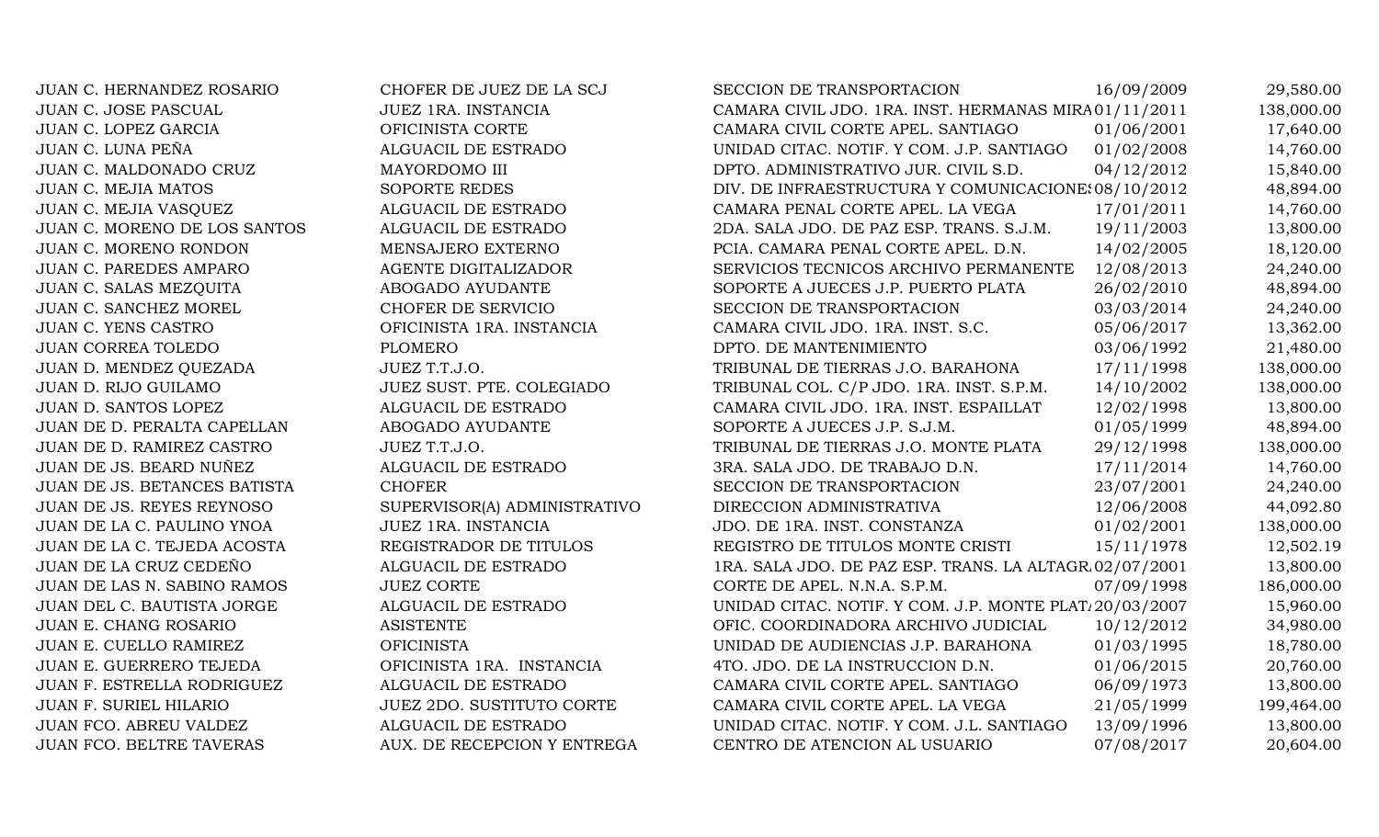| JUAN C. HERNANDEZ ROSARIO     | CHOFER DE JUEZ DE LA SCJ     | SECCION DE TRANSPORTACION                              | 16/09/2009 | 29,580.00  |
|-------------------------------|------------------------------|--------------------------------------------------------|------------|------------|
| <b>JUAN C. JOSE PASCUAL</b>   | <b>JUEZ 1RA. INSTANCIA</b>   | CAMARA CIVIL JDO. 1RA. INST. HERMANAS MIRA 01/11/2011  |            | 138,000.00 |
| JUAN C. LOPEZ GARCIA          | OFICINISTA CORTE             | CAMARA CIVIL CORTE APEL. SANTIAGO                      | 01/06/2001 | 17,640.00  |
| JUAN C. LUNA PEÑA             | ALGUACIL DE ESTRADO          | UNIDAD CITAC. NOTIF. Y COM. J.P. SANTIAGO              | 01/02/2008 | 14,760.00  |
| JUAN C. MALDONADO CRUZ        | MAYORDOMO III                | DPTO. ADMINISTRATIVO JUR. CIVIL S.D.                   | 04/12/2012 | 15,840.00  |
| <b>JUAN C. MEJIA MATOS</b>    | <b>SOPORTE REDES</b>         | DIV. DE INFRAESTRUCTURA Y COMUNICACIONE: 08/10/2012    |            | 48,894.00  |
| JUAN C. MEJIA VASQUEZ         | ALGUACIL DE ESTRADO          | CAMARA PENAL CORTE APEL. LA VEGA                       | 17/01/2011 | 14,760.00  |
| JUAN C. MORENO DE LOS SANTOS  | ALGUACIL DE ESTRADO          | 2DA. SALA JDO. DE PAZ ESP. TRANS. S.J.M.               | 19/11/2003 | 13,800.00  |
| JUAN C. MORENO RONDON         | MENSAJERO EXTERNO            | PCIA. CAMARA PENAL CORTE APEL. D.N.                    | 14/02/2005 | 18,120.00  |
| <b>JUAN C. PAREDES AMPARO</b> | AGENTE DIGITALIZADOR         | SERVICIOS TECNICOS ARCHIVO PERMANENTE                  | 12/08/2013 | 24,240.00  |
| JUAN C. SALAS MEZQUITA        | ABOGADO AYUDANTE             | SOPORTE A JUECES J.P. PUERTO PLATA                     | 26/02/2010 | 48,894.00  |
| JUAN C. SANCHEZ MOREL         | CHOFER DE SERVICIO           | SECCION DE TRANSPORTACION                              | 03/03/2014 | 24,240.00  |
| JUAN C. YENS CASTRO           | OFICINISTA 1RA. INSTANCIA    | CAMARA CIVIL JDO. 1RA. INST. S.C.                      | 05/06/2017 | 13,362.00  |
| JUAN CORREA TOLEDO            | <b>PLOMERO</b>               | DPTO. DE MANTENIMIENTO                                 | 03/06/1992 | 21,480.00  |
| JUAN D. MENDEZ QUEZADA        | JUEZ T.T.J.O.                | TRIBUNAL DE TIERRAS J.O. BARAHONA                      | 17/11/1998 | 138,000.00 |
| JUAN D. RIJO GUILAMO          | JUEZ SUST. PTE. COLEGIADO    | TRIBUNAL COL. C/P JDO. 1RA. INST. S.P.M.               | 14/10/2002 | 138,000.00 |
| JUAN D. SANTOS LOPEZ          | ALGUACIL DE ESTRADO          | CAMARA CIVIL JDO. 1RA. INST. ESPAILLAT                 | 12/02/1998 | 13,800.00  |
| JUAN DE D. PERALTA CAPELLAN   | ABOGADO AYUDANTE             | SOPORTE A JUECES J.P. S.J.M.                           | 01/05/1999 | 48,894.00  |
| JUAN DE D. RAMIREZ CASTRO     | JUEZ T.T.J.O.                | TRIBUNAL DE TIERRAS J.O. MONTE PLATA                   | 29/12/1998 | 138,000.00 |
| JUAN DE JS. BEARD NUÑEZ       | ALGUACIL DE ESTRADO          | 3RA. SALA JDO. DE TRABAJO D.N.                         | 17/11/2014 | 14,760.00  |
| JUAN DE JS. BETANCES BATISTA  | <b>CHOFER</b>                | SECCION DE TRANSPORTACION                              | 23/07/2001 | 24,240.00  |
| JUAN DE JS. REYES REYNOSO     | SUPERVISOR(A) ADMINISTRATIVO | DIRECCION ADMINISTRATIVA                               | 12/06/2008 | 44,092.80  |
| JUAN DE LA C. PAULINO YNOA    | JUEZ 1RA. INSTANCIA          | JDO. DE 1RA. INST. CONSTANZA                           | 01/02/2001 | 138,000.00 |
| JUAN DE LA C. TEJEDA ACOSTA   | REGISTRADOR DE TITULOS       | REGISTRO DE TITULOS MONTE CRISTI                       | 15/11/1978 | 12,502.19  |
| JUAN DE LA CRUZ CEDEÑO        | ALGUACIL DE ESTRADO          | 1RA. SALA JDO. DE PAZ ESP. TRANS. LA ALTAGR 02/07/2001 |            | 13,800.00  |
| JUAN DE LAS N. SABINO RAMOS   | <b>JUEZ CORTE</b>            | CORTE DE APEL. N.N.A. S.P.M.                           | 07/09/1998 | 186,000.00 |
| JUAN DEL C. BAUTISTA JORGE    | ALGUACIL DE ESTRADO          | UNIDAD CITAC. NOTIF. Y COM. J.P. MONTE PLAT 20/03/2007 |            | 15,960.00  |
| JUAN E. CHANG ROSARIO         | <b>ASISTENTE</b>             | OFIC. COORDINADORA ARCHIVO JUDICIAL                    | 10/12/2012 | 34,980.00  |
| JUAN E. CUELLO RAMIREZ        | <b>OFICINISTA</b>            | UNIDAD DE AUDIENCIAS J.P. BARAHONA                     | 01/03/1995 | 18,780.00  |
| JUAN E. GUERRERO TEJEDA       | OFICINISTA 1RA. INSTANCIA    | 4TO. JDO. DE LA INSTRUCCION D.N.                       | 01/06/2015 | 20,760.00  |
| JUAN F. ESTRELLA RODRIGUEZ    | ALGUACIL DE ESTRADO          | CAMARA CIVIL CORTE APEL. SANTIAGO                      | 06/09/1973 | 13,800.00  |
| JUAN F. SURIEL HILARIO        | JUEZ 2DO. SUSTITUTO CORTE    | CAMARA CIVIL CORTE APEL. LA VEGA                       | 21/05/1999 | 199,464.00 |
| JUAN FCO. ABREU VALDEZ        | ALGUACIL DE ESTRADO          | UNIDAD CITAC. NOTIF. Y COM. J.L. SANTIAGO              | 13/09/1996 | 13,800.00  |
| JUAN FCO. BELTRE TAVERAS      | AUX. DE RECEPCION Y ENTREGA  | CENTRO DE ATENCION AL USUARIO                          | 07/08/2017 | 20,604.00  |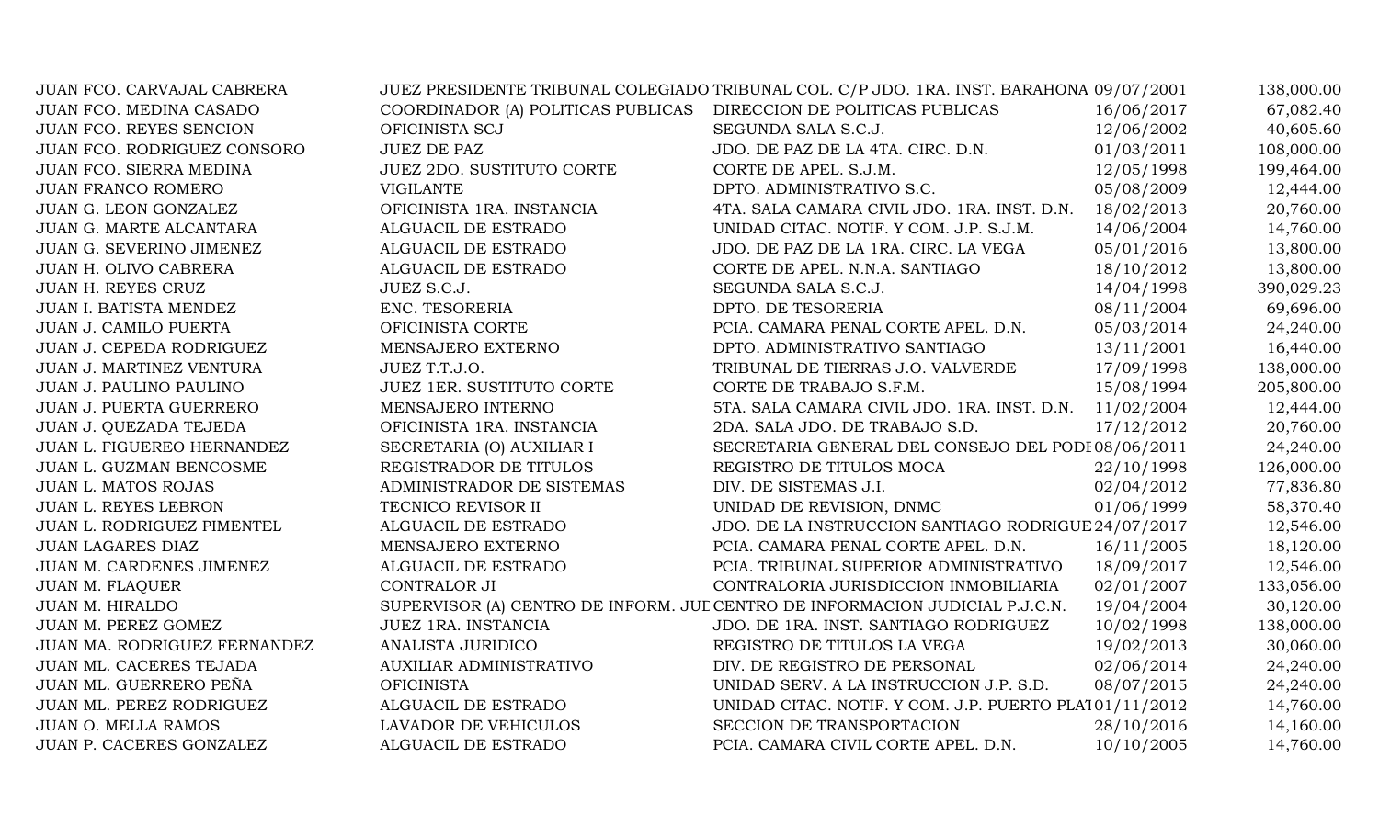| JUAN FCO. CARVAJAL CABRERA   |                                    | JUEZ PRESIDENTE TRIBUNAL COLEGIADO TRIBUNAL COL. C/P JDO. 1RA. INST. BARAHONA 09/07/2001 |            | 138,000.00 |
|------------------------------|------------------------------------|------------------------------------------------------------------------------------------|------------|------------|
| JUAN FCO. MEDINA CASADO      | COORDINADOR (A) POLITICAS PUBLICAS | DIRECCION DE POLITICAS PUBLICAS                                                          | 16/06/2017 | 67,082.40  |
| JUAN FCO. REYES SENCION      | OFICINISTA SCJ                     | SEGUNDA SALA S.C.J.                                                                      | 12/06/2002 | 40,605.60  |
| JUAN FCO. RODRIGUEZ CONSORO  | <b>JUEZ DE PAZ</b>                 | JDO. DE PAZ DE LA 4TA. CIRC. D.N.                                                        | 01/03/2011 | 108,000.00 |
| JUAN FCO. SIERRA MEDINA      | JUEZ 2DO. SUSTITUTO CORTE          | CORTE DE APEL. S.J.M.                                                                    | 12/05/1998 | 199,464.00 |
| JUAN FRANCO ROMERO           | <b>VIGILANTE</b>                   | DPTO. ADMINISTRATIVO S.C.                                                                | 05/08/2009 | 12,444.00  |
| JUAN G. LEON GONZALEZ        | OFICINISTA 1RA. INSTANCIA          | 4TA. SALA CAMARA CIVIL JDO. 1RA. INST. D.N.                                              | 18/02/2013 | 20,760.00  |
| JUAN G. MARTE ALCANTARA      | ALGUACIL DE ESTRADO                | UNIDAD CITAC. NOTIF. Y COM. J.P. S.J.M.                                                  | 14/06/2004 | 14,760.00  |
| JUAN G. SEVERINO JIMENEZ     | ALGUACIL DE ESTRADO                | JDO. DE PAZ DE LA 1RA. CIRC. LA VEGA                                                     | 05/01/2016 | 13,800.00  |
| JUAN H. OLIVO CABRERA        | ALGUACIL DE ESTRADO                | CORTE DE APEL. N.N.A. SANTIAGO                                                           | 18/10/2012 | 13,800.00  |
| JUAN H. REYES CRUZ           | JUEZ S.C.J.                        | SEGUNDA SALA S.C.J.                                                                      | 14/04/1998 | 390,029.23 |
| JUAN I. BATISTA MENDEZ       | ENC. TESORERIA                     | DPTO. DE TESORERIA                                                                       | 08/11/2004 | 69,696.00  |
| JUAN J. CAMILO PUERTA        | OFICINISTA CORTE                   | PCIA. CAMARA PENAL CORTE APEL. D.N.                                                      | 05/03/2014 | 24,240.00  |
| JUAN J. CEPEDA RODRIGUEZ     | MENSAJERO EXTERNO                  | DPTO. ADMINISTRATIVO SANTIAGO                                                            | 13/11/2001 | 16,440.00  |
| JUAN J. MARTINEZ VENTURA     | JUEZ T.T.J.O.                      | TRIBUNAL DE TIERRAS J.O. VALVERDE                                                        | 17/09/1998 | 138,000.00 |
| JUAN J. PAULINO PAULINO      | JUEZ 1ER. SUSTITUTO CORTE          | CORTE DE TRABAJO S.F.M.                                                                  | 15/08/1994 | 205,800.00 |
| JUAN J. PUERTA GUERRERO      | MENSAJERO INTERNO                  | 5TA. SALA CAMARA CIVIL JDO. 1RA. INST. D.N.                                              | 11/02/2004 | 12,444.00  |
| JUAN J. QUEZADA TEJEDA       | OFICINISTA 1RA. INSTANCIA          | 2DA. SALA JDO. DE TRABAJO S.D.                                                           | 17/12/2012 | 20,760.00  |
| JUAN L. FIGUEREO HERNANDEZ   | SECRETARIA (O) AUXILIAR I          | SECRETARIA GENERAL DEL CONSEJO DEL PODI 08/06/2011                                       |            | 24,240.00  |
| JUAN L. GUZMAN BENCOSME      | REGISTRADOR DE TITULOS             | REGISTRO DE TITULOS MOCA                                                                 | 22/10/1998 | 126,000.00 |
| JUAN L. MATOS ROJAS          | ADMINISTRADOR DE SISTEMAS          | DIV. DE SISTEMAS J.I.                                                                    | 02/04/2012 | 77,836.80  |
| JUAN L. REYES LEBRON         | TECNICO REVISOR II                 | UNIDAD DE REVISION, DNMC                                                                 | 01/06/1999 | 58,370.40  |
| JUAN L. RODRIGUEZ PIMENTEL   | ALGUACIL DE ESTRADO                | JDO. DE LA INSTRUCCION SANTIAGO RODRIGUE 24/07/2017                                      |            | 12,546.00  |
| JUAN LAGARES DIAZ            | MENSAJERO EXTERNO                  | PCIA. CAMARA PENAL CORTE APEL. D.N.                                                      | 16/11/2005 | 18,120.00  |
| JUAN M. CARDENES JIMENEZ     | ALGUACIL DE ESTRADO                | PCIA. TRIBUNAL SUPERIOR ADMINISTRATIVO                                                   | 18/09/2017 | 12,546.00  |
| <b>JUAN M. FLAQUER</b>       | CONTRALOR JI                       | CONTRALORIA JURISDICCION INMOBILIARIA                                                    | 02/01/2007 | 133,056.00 |
| <b>JUAN M. HIRALDO</b>       |                                    | SUPERVISOR (A) CENTRO DE INFORM. JUL CENTRO DE INFORMACION JUDICIAL P.J.C.N.             | 19/04/2004 | 30,120.00  |
| JUAN M. PEREZ GOMEZ          | JUEZ 1RA. INSTANCIA                | JDO. DE 1RA. INST. SANTIAGO RODRIGUEZ                                                    | 10/02/1998 | 138,000.00 |
| JUAN MA. RODRIGUEZ FERNANDEZ | ANALISTA JURIDICO                  | REGISTRO DE TITULOS LA VEGA                                                              | 19/02/2013 | 30,060.00  |
| JUAN ML. CACERES TEJADA      | AUXILIAR ADMINISTRATIVO            | DIV. DE REGISTRO DE PERSONAL                                                             | 02/06/2014 | 24,240.00  |
| JUAN ML. GUERRERO PEÑA       | <b>OFICINISTA</b>                  | UNIDAD SERV. A LA INSTRUCCION J.P. S.D.                                                  | 08/07/2015 | 24,240.00  |
| JUAN ML. PEREZ RODRIGUEZ     | ALGUACIL DE ESTRADO                | UNIDAD CITAC. NOTIF. Y COM. J.P. PUERTO PLA101/11/2012                                   |            | 14,760.00  |
| JUAN O. MELLA RAMOS          | LAVADOR DE VEHICULOS               | SECCION DE TRANSPORTACION                                                                | 28/10/2016 | 14,160.00  |
| JUAN P. CACERES GONZALEZ     | ALGUACIL DE ESTRADO                | PCIA. CAMARA CIVIL CORTE APEL. D.N.                                                      | 10/10/2005 | 14,760.00  |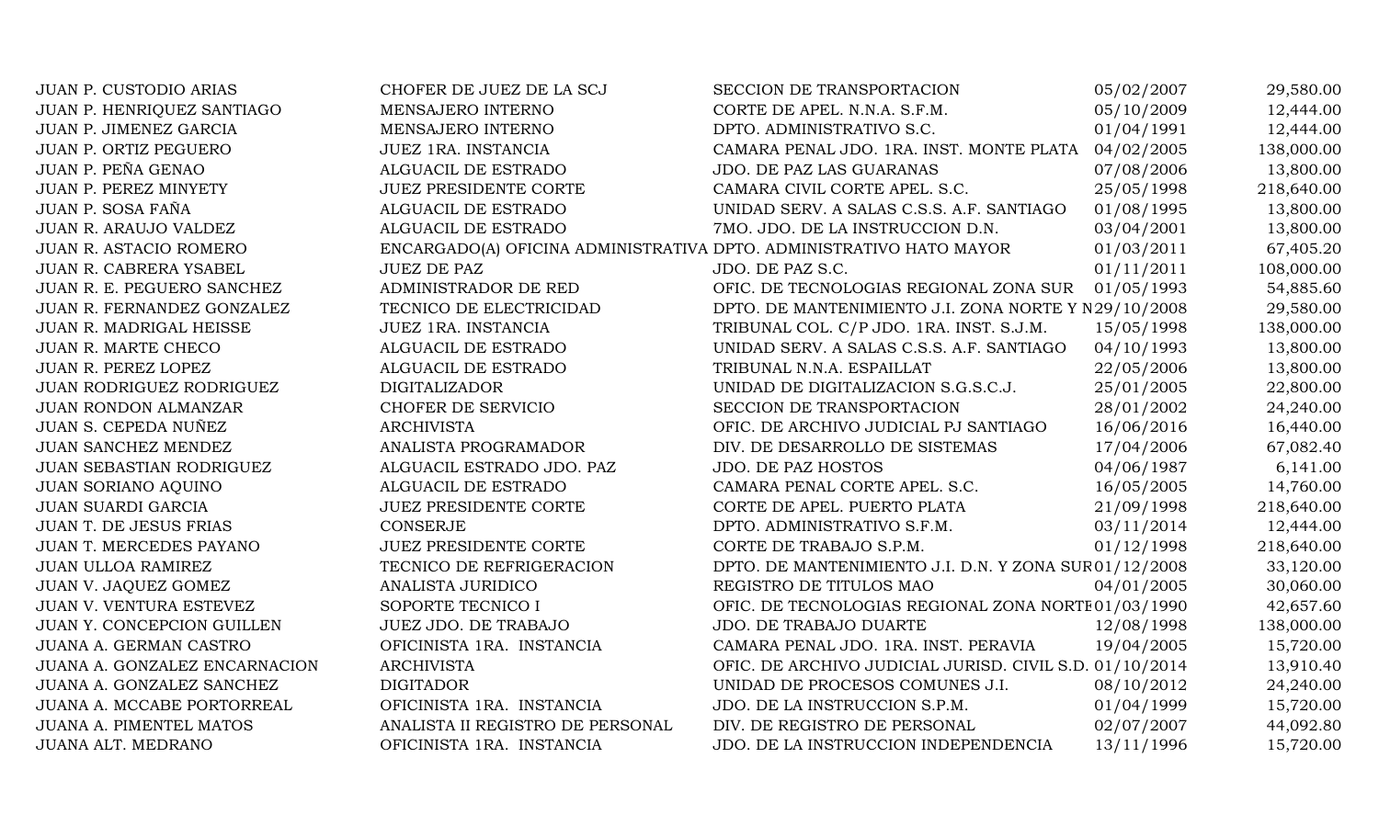| JUAN P. CUSTODIO ARIAS        | CHOFER DE JUEZ DE LA SCJ                                            | SECCION DE TRANSPORTACION                               | 05/02/2007 | 29,580.00  |
|-------------------------------|---------------------------------------------------------------------|---------------------------------------------------------|------------|------------|
| JUAN P. HENRIQUEZ SANTIAGO    | MENSAJERO INTERNO                                                   | CORTE DE APEL. N.N.A. S.F.M.                            | 05/10/2009 | 12,444.00  |
| JUAN P. JIMENEZ GARCIA        | MENSAJERO INTERNO                                                   | DPTO. ADMINISTRATIVO S.C.                               | 01/04/1991 | 12,444.00  |
| JUAN P. ORTIZ PEGUERO         | JUEZ 1RA. INSTANCIA                                                 | CAMARA PENAL JDO. 1RA. INST. MONTE PLATA 04/02/2005     |            | 138,000.00 |
| JUAN P. PEÑA GENAO            | ALGUACIL DE ESTRADO                                                 | JDO. DE PAZ LAS GUARANAS                                | 07/08/2006 | 13,800.00  |
| JUAN P. PEREZ MINYETY         | <b>JUEZ PRESIDENTE CORTE</b>                                        | CAMARA CIVIL CORTE APEL. S.C.                           | 25/05/1998 | 218,640.00 |
| JUAN P. SOSA FAÑA             | ALGUACIL DE ESTRADO                                                 | UNIDAD SERV. A SALAS C.S.S. A.F. SANTIAGO               | 01/08/1995 | 13,800.00  |
| JUAN R. ARAUJO VALDEZ         | ALGUACIL DE ESTRADO                                                 | 7MO. JDO. DE LA INSTRUCCION D.N.                        | 03/04/2001 | 13,800.00  |
| JUAN R. ASTACIO ROMERO        | ENCARGADO(A) OFICINA ADMINISTRATIVA DPTO. ADMINISTRATIVO HATO MAYOR |                                                         | 01/03/2011 | 67,405.20  |
| JUAN R. CABRERA YSABEL        | <b>JUEZ DE PAZ</b>                                                  | JDO. DE PAZ S.C.                                        | 01/11/2011 | 108,000.00 |
| JUAN R. E. PEGUERO SANCHEZ    | ADMINISTRADOR DE RED                                                | OFIC. DE TECNOLOGIAS REGIONAL ZONA SUR                  | 01/05/1993 | 54,885.60  |
| JUAN R. FERNANDEZ GONZALEZ    | TECNICO DE ELECTRICIDAD                                             | DPTO. DE MANTENIMIENTO J.I. ZONA NORTE Y N 29/10/2008   |            | 29,580.00  |
| JUAN R. MADRIGAL HEISSE       | JUEZ 1RA. INSTANCIA                                                 | TRIBUNAL COL. C/P JDO. 1RA. INST. S.J.M.                | 15/05/1998 | 138,000.00 |
| JUAN R. MARTE CHECO           | ALGUACIL DE ESTRADO                                                 | UNIDAD SERV. A SALAS C.S.S. A.F. SANTIAGO               | 04/10/1993 | 13,800.00  |
| JUAN R. PEREZ LOPEZ           | ALGUACIL DE ESTRADO                                                 | TRIBUNAL N.N.A. ESPAILLAT                               | 22/05/2006 | 13,800.00  |
| JUAN RODRIGUEZ RODRIGUEZ      | <b>DIGITALIZADOR</b>                                                | UNIDAD DE DIGITALIZACION S.G.S.C.J.                     | 25/01/2005 | 22,800.00  |
| <b>JUAN RONDON ALMANZAR</b>   | CHOFER DE SERVICIO                                                  | SECCION DE TRANSPORTACION                               | 28/01/2002 | 24,240.00  |
| JUAN S. CEPEDA NUÑEZ          | <b>ARCHIVISTA</b>                                                   | OFIC. DE ARCHIVO JUDICIAL PJ SANTIAGO                   | 16/06/2016 | 16,440.00  |
| JUAN SANCHEZ MENDEZ           | ANALISTA PROGRAMADOR                                                | DIV. DE DESARROLLO DE SISTEMAS                          | 17/04/2006 | 67,082.40  |
| JUAN SEBASTIAN RODRIGUEZ      | ALGUACIL ESTRADO JDO. PAZ                                           | <b>JDO. DE PAZ HOSTOS</b>                               | 04/06/1987 | 6,141.00   |
| <b>JUAN SORIANO AQUINO</b>    | ALGUACIL DE ESTRADO                                                 | CAMARA PENAL CORTE APEL. S.C.                           | 16/05/2005 | 14,760.00  |
| <b>JUAN SUARDI GARCIA</b>     | <b>JUEZ PRESIDENTE CORTE</b>                                        | CORTE DE APEL. PUERTO PLATA                             | 21/09/1998 | 218,640.00 |
| JUAN T. DE JESUS FRIAS        | <b>CONSERJE</b>                                                     | DPTO. ADMINISTRATIVO S.F.M.                             | 03/11/2014 | 12,444.00  |
| JUAN T. MERCEDES PAYANO       | JUEZ PRESIDENTE CORTE                                               | CORTE DE TRABAJO S.P.M.                                 | 01/12/1998 | 218,640.00 |
| JUAN ULLOA RAMIREZ            | TECNICO DE REFRIGERACION                                            | DPTO. DE MANTENIMIENTO J.I. D.N. Y ZONA SUR01/12/2008   |            | 33,120.00  |
| JUAN V. JAQUEZ GOMEZ          | ANALISTA JURIDICO                                                   | REGISTRO DE TITULOS MAO                                 | 04/01/2005 | 30,060.00  |
| JUAN V. VENTURA ESTEVEZ       | SOPORTE TECNICO I                                                   | OFIC. DE TECNOLOGIAS REGIONAL ZONA NORTE 01/03/1990     |            | 42,657.60  |
| JUAN Y. CONCEPCION GUILLEN    | JUEZ JDO. DE TRABAJO                                                | JDO. DE TRABAJO DUARTE                                  | 12/08/1998 | 138,000.00 |
| JUANA A. GERMAN CASTRO        | OFICINISTA 1RA. INSTANCIA                                           | CAMARA PENAL JDO. 1RA. INST. PERAVIA                    | 19/04/2005 | 15,720.00  |
| JUANA A. GONZALEZ ENCARNACION | <b>ARCHIVISTA</b>                                                   | OFIC. DE ARCHIVO JUDICIAL JURISD. CIVIL S.D. 01/10/2014 |            | 13,910.40  |
| JUANA A. GONZALEZ SANCHEZ     | <b>DIGITADOR</b>                                                    | UNIDAD DE PROCESOS COMUNES J.I.                         | 08/10/2012 | 24,240.00  |
| JUANA A. MCCABE PORTORREAL    | OFICINISTA 1RA. INSTANCIA                                           | JDO. DE LA INSTRUCCION S.P.M.                           | 01/04/1999 | 15,720.00  |
| JUANA A. PIMENTEL MATOS       | ANALISTA II REGISTRO DE PERSONAL                                    | DIV. DE REGISTRO DE PERSONAL                            | 02/07/2007 | 44,092.80  |
| JUANA ALT. MEDRANO            | OFICINISTA 1RA. INSTANCIA                                           | JDO. DE LA INSTRUCCION INDEPENDENCIA                    | 13/11/1996 | 15,720.00  |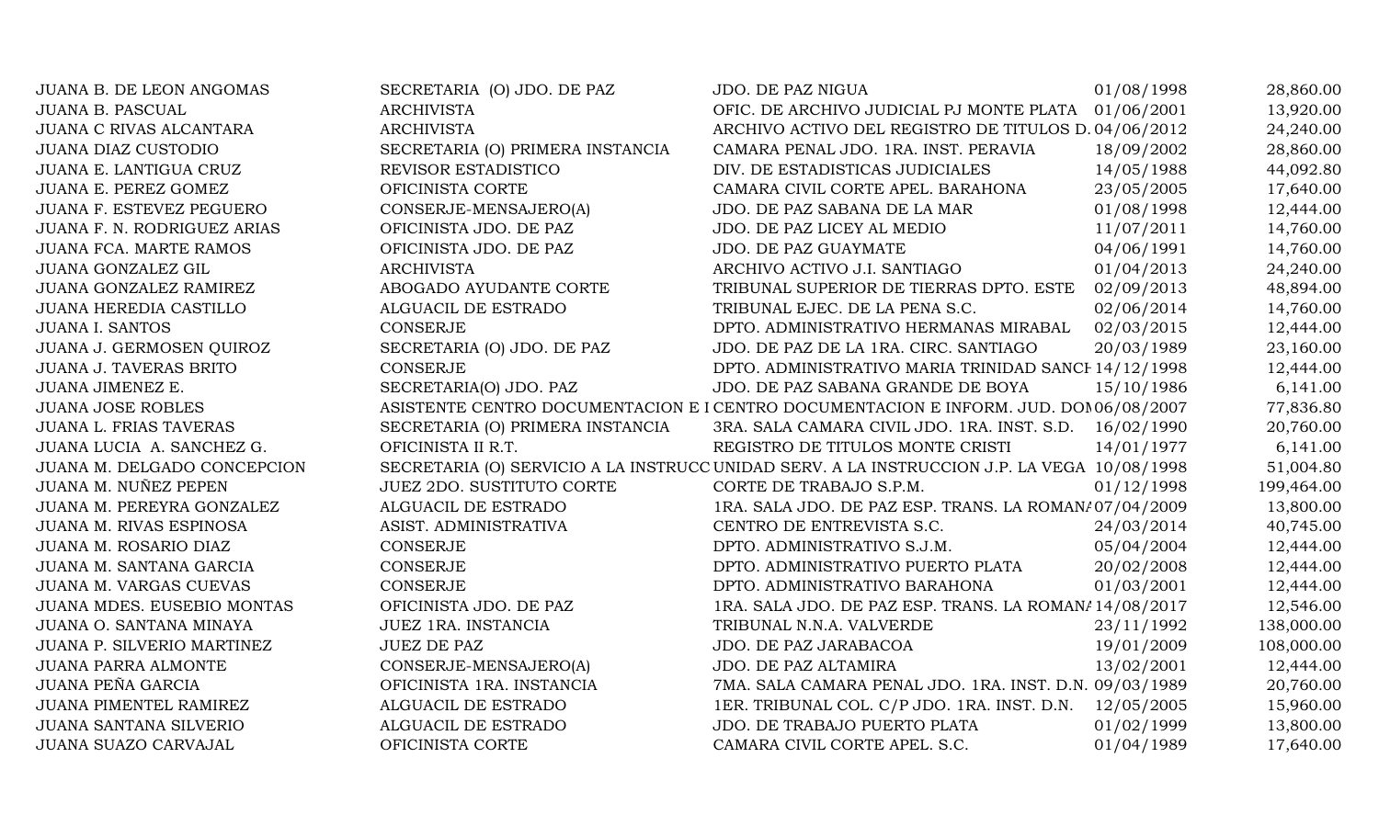| <b>JUANA B. DE LEON ANGOMAS</b> | SECRETARIA (O) JDO. DE PAZ       | <b>JDO. DE PAZ NIGUA</b>                                                                    | 01/08/1998 | 28,860.00  |
|---------------------------------|----------------------------------|---------------------------------------------------------------------------------------------|------------|------------|
| <b>JUANA B. PASCUAL</b>         | <b>ARCHIVISTA</b>                | OFIC. DE ARCHIVO JUDICIAL PJ MONTE PLATA 01/06/2001                                         |            | 13,920.00  |
| <b>JUANA C RIVAS ALCANTARA</b>  | <b>ARCHIVISTA</b>                | ARCHIVO ACTIVO DEL REGISTRO DE TITULOS D. 04/06/2012                                        |            | 24,240.00  |
| <b>JUANA DIAZ CUSTODIO</b>      | SECRETARIA (O) PRIMERA INSTANCIA | CAMARA PENAL JDO. 1RA. INST. PERAVIA                                                        | 18/09/2002 | 28,860.00  |
| JUANA E. LANTIGUA CRUZ          | REVISOR ESTADISTICO              | DIV. DE ESTADISTICAS JUDICIALES                                                             | 14/05/1988 | 44,092.80  |
| JUANA E. PEREZ GOMEZ            | OFICINISTA CORTE                 | CAMARA CIVIL CORTE APEL. BARAHONA                                                           | 23/05/2005 | 17,640.00  |
| JUANA F. ESTEVEZ PEGUERO        | CONSERJE-MENSAJERO(A)            | JDO. DE PAZ SABANA DE LA MAR                                                                | 01/08/1998 | 12,444.00  |
| JUANA F. N. RODRIGUEZ ARIAS     | OFICINISTA JDO. DE PAZ           | JDO. DE PAZ LICEY AL MEDIO                                                                  | 11/07/2011 | 14,760.00  |
| JUANA FCA. MARTE RAMOS          | OFICINISTA JDO. DE PAZ           | JDO. DE PAZ GUAYMATE                                                                        | 04/06/1991 | 14,760.00  |
| JUANA GONZALEZ GIL              | <b>ARCHIVISTA</b>                | ARCHIVO ACTIVO J.I. SANTIAGO                                                                | 01/04/2013 | 24,240.00  |
| JUANA GONZALEZ RAMIREZ          | ABOGADO AYUDANTE CORTE           | TRIBUNAL SUPERIOR DE TIERRAS DPTO. ESTE                                                     | 02/09/2013 | 48,894.00  |
| <b>JUANA HEREDIA CASTILLO</b>   | ALGUACIL DE ESTRADO              | TRIBUNAL EJEC. DE LA PENA S.C.                                                              | 02/06/2014 | 14,760.00  |
| <b>JUANA I. SANTOS</b>          | <b>CONSERJE</b>                  | DPTO. ADMINISTRATIVO HERMANAS MIRABAL                                                       | 02/03/2015 | 12,444.00  |
| JUANA J. GERMOSEN QUIROZ        | SECRETARIA (O) JDO. DE PAZ       | JDO. DE PAZ DE LA 1RA. CIRC. SANTIAGO                                                       | 20/03/1989 | 23,160.00  |
| <b>JUANA J. TAVERAS BRITO</b>   | CONSERJE                         | DPTO. ADMINISTRATIVO MARIA TRINIDAD SANCH 14/12/1998                                        |            | 12,444.00  |
| JUANA JIMENEZ E.                | SECRETARIA(O) JDO. PAZ           | JDO. DE PAZ SABANA GRANDE DE BOYA                                                           | 15/10/1986 | 6,141.00   |
| <b>JUANA JOSE ROBLES</b>        |                                  | ASISTENTE CENTRO DOCUMENTACION E I CENTRO DOCUMENTACION E INFORM. JUD. DOM06/08/2007        |            | 77,836.80  |
| JUANA L. FRIAS TAVERAS          | SECRETARIA (O) PRIMERA INSTANCIA | 3RA. SALA CAMARA CIVIL JDO. 1RA. INST. S.D.                                                 | 16/02/1990 | 20,760.00  |
| JUANA LUCIA A. SANCHEZ G.       | OFICINISTA II R.T.               | REGISTRO DE TITULOS MONTE CRISTI                                                            | 14/01/1977 | 6,141.00   |
| JUANA M. DELGADO CONCEPCION     |                                  | SECRETARIA (O) SERVICIO A LA INSTRUCC UNIDAD SERV. A LA INSTRUCCION J.P. LA VEGA 10/08/1998 |            | 51,004.80  |
| JUANA M. NUÑEZ PEPEN            | <b>JUEZ 2DO. SUSTITUTO CORTE</b> | CORTE DE TRABAJO S.P.M.                                                                     | 01/12/1998 | 199,464.00 |
| JUANA M. PEREYRA GONZALEZ       | ALGUACIL DE ESTRADO              | 1RA. SALA JDO. DE PAZ ESP. TRANS. LA ROMAN/07/04/2009                                       |            | 13,800.00  |
| JUANA M. RIVAS ESPINOSA         | ASIST. ADMINISTRATIVA            | CENTRO DE ENTREVISTA S.C.                                                                   | 24/03/2014 | 40,745.00  |
| JUANA M. ROSARIO DIAZ           | CONSERJE                         | DPTO. ADMINISTRATIVO S.J.M.                                                                 | 05/04/2004 | 12,444.00  |
| JUANA M. SANTANA GARCIA         | CONSERJE                         | DPTO. ADMINISTRATIVO PUERTO PLATA                                                           | 20/02/2008 | 12,444.00  |
| JUANA M. VARGAS CUEVAS          | CONSERJE                         | DPTO. ADMINISTRATIVO BARAHONA                                                               | 01/03/2001 | 12,444.00  |
| JUANA MDES. EUSEBIO MONTAS      | OFICINISTA JDO. DE PAZ           | 1RA. SALA JDO. DE PAZ ESP. TRANS. LA ROMAN/14/08/2017                                       |            | 12,546.00  |
| JUANA O. SANTANA MINAYA         | JUEZ 1RA. INSTANCIA              | TRIBUNAL N.N.A. VALVERDE                                                                    | 23/11/1992 | 138,000.00 |
| JUANA P. SILVERIO MARTINEZ      | <b>JUEZ DE PAZ</b>               | JDO. DE PAZ JARABACOA                                                                       | 19/01/2009 | 108,000.00 |
| <b>JUANA PARRA ALMONTE</b>      | CONSERJE-MENSAJERO(A)            | JDO. DE PAZ ALTAMIRA                                                                        | 13/02/2001 | 12,444.00  |
| JUANA PEÑA GARCIA               | OFICINISTA 1RA. INSTANCIA        | 7MA. SALA CAMARA PENAL JDO. 1RA. INST. D.N. 09/03/1989                                      |            | 20,760.00  |
| JUANA PIMENTEL RAMIREZ          | ALGUACIL DE ESTRADO              | 1ER. TRIBUNAL COL. C/P JDO. 1RA. INST. D.N. 12/05/2005                                      |            | 15,960.00  |
| JUANA SANTANA SILVERIO          | ALGUACIL DE ESTRADO              | JDO. DE TRABAJO PUERTO PLATA                                                                | 01/02/1999 | 13,800.00  |
| JUANA SUAZO CARVAJAL            | OFICINISTA CORTE                 | CAMARA CIVIL CORTE APEL. S.C.                                                               | 01/04/1989 | 17,640.00  |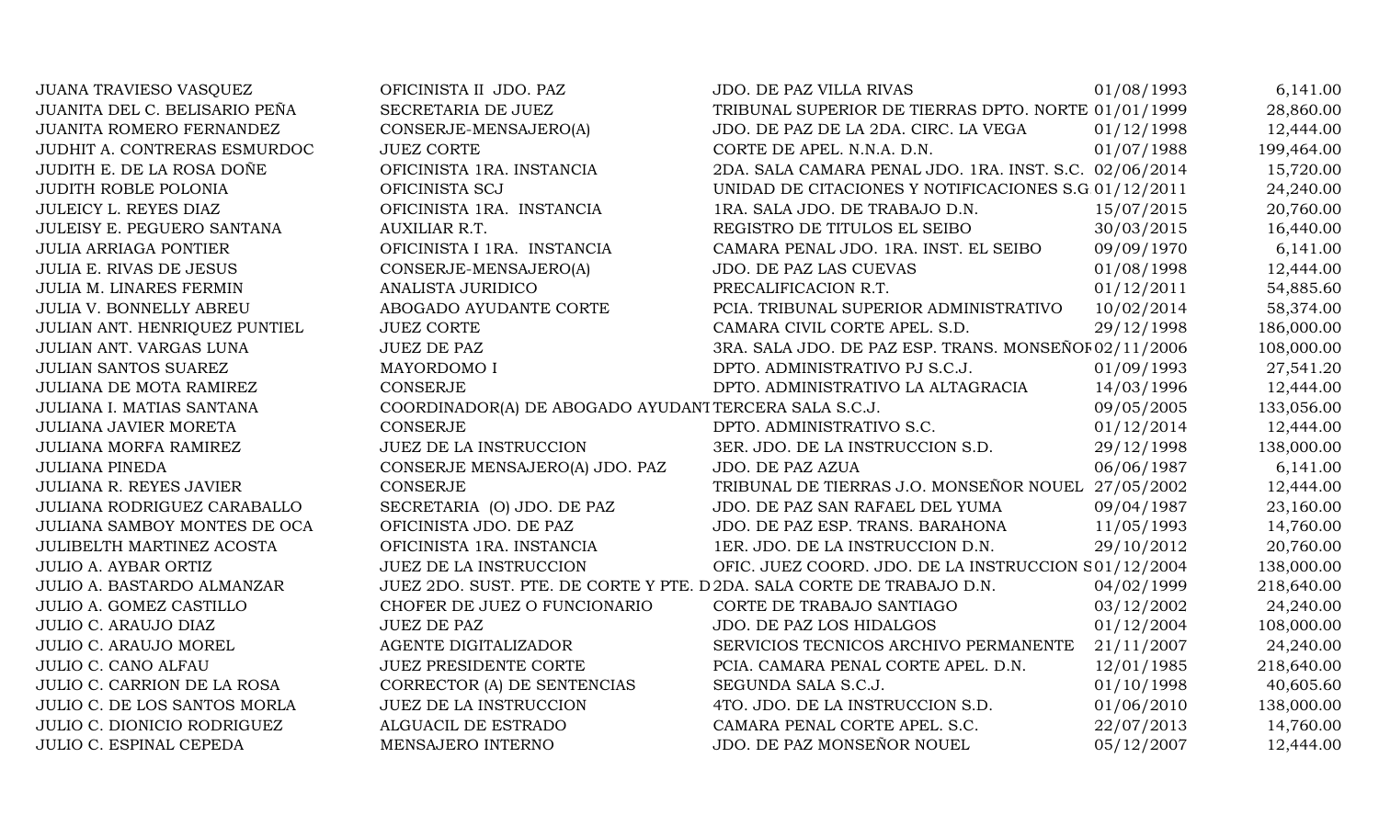| <b>JUANA TRAVIESO VASQUEZ</b>    | OFICINISTA II JDO. PAZ                                                 | <b>JDO. DE PAZ VILLA RIVAS</b>                         | 01/08/1993 | 6,141.00   |
|----------------------------------|------------------------------------------------------------------------|--------------------------------------------------------|------------|------------|
| JUANITA DEL C. BELISARIO PEÑA    | SECRETARIA DE JUEZ                                                     | TRIBUNAL SUPERIOR DE TIERRAS DPTO. NORTE 01/01/1999    |            | 28,860.00  |
| JUANITA ROMERO FERNANDEZ         | CONSERJE-MENSAJERO(A)                                                  | JDO. DE PAZ DE LA 2DA. CIRC. LA VEGA                   | 01/12/1998 | 12,444.00  |
| JUDHIT A. CONTRERAS ESMURDOC     | <b>JUEZ CORTE</b>                                                      | CORTE DE APEL. N.N.A. D.N.                             | 01/07/1988 | 199,464.00 |
| JUDITH E. DE LA ROSA DOÑE        | OFICINISTA 1RA. INSTANCIA                                              | 2DA. SALA CAMARA PENAL JDO. 1RA. INST. S.C. 02/06/2014 |            | 15,720.00  |
| JUDITH ROBLE POLONIA             | OFICINISTA SCJ                                                         | UNIDAD DE CITACIONES Y NOTIFICACIONES S.G 01/12/2011   |            | 24,240.00  |
| JULEICY L. REYES DIAZ            | OFICINISTA 1RA. INSTANCIA                                              | 1RA. SALA JDO. DE TRABAJO D.N.                         | 15/07/2015 | 20,760.00  |
| JULEISY E. PEGUERO SANTANA       | <b>AUXILIAR R.T.</b>                                                   | REGISTRO DE TITULOS EL SEIBO                           | 30/03/2015 | 16,440.00  |
| <b>JULIA ARRIAGA PONTIER</b>     | OFICINISTA I 1RA. INSTANCIA                                            | CAMARA PENAL JDO. 1RA. INST. EL SEIBO                  | 09/09/1970 | 6,141.00   |
| <b>JULIA E. RIVAS DE JESUS</b>   | CONSERJE-MENSAJERO(A)                                                  | JDO. DE PAZ LAS CUEVAS                                 | 01/08/1998 | 12,444.00  |
| <b>JULIA M. LINARES FERMIN</b>   | ANALISTA JURIDICO                                                      | PRECALIFICACION R.T.                                   | 01/12/2011 | 54,885.60  |
| <b>JULIA V. BONNELLY ABREU</b>   | ABOGADO AYUDANTE CORTE                                                 | PCIA. TRIBUNAL SUPERIOR ADMINISTRATIVO                 | 10/02/2014 | 58,374.00  |
| JULIAN ANT. HENRIQUEZ PUNTIEL    | <b>JUEZ CORTE</b>                                                      | CAMARA CIVIL CORTE APEL. S.D.                          | 29/12/1998 | 186,000.00 |
| JULIAN ANT. VARGAS LUNA          | <b>JUEZ DE PAZ</b>                                                     | 3RA. SALA JDO. DE PAZ ESP. TRANS. MONSEÑOF 02/11/2006  |            | 108,000.00 |
| JULIAN SANTOS SUAREZ             | MAYORDOMO I                                                            | DPTO. ADMINISTRATIVO PJ S.C.J.                         | 01/09/1993 | 27,541.20  |
| JULIANA DE MOTA RAMIREZ          | <b>CONSERJE</b>                                                        | DPTO. ADMINISTRATIVO LA ALTAGRACIA                     | 14/03/1996 | 12,444.00  |
| JULIANA I. MATIAS SANTANA        | COORDINADOR(A) DE ABOGADO AYUDANT TERCERA SALA S.C.J.                  |                                                        | 09/05/2005 | 133,056.00 |
| JULIANA JAVIER MORETA            | <b>CONSERJE</b>                                                        | DPTO. ADMINISTRATIVO S.C.                              | 01/12/2014 | 12,444.00  |
| JULIANA MORFA RAMIREZ            | JUEZ DE LA INSTRUCCION                                                 | 3ER. JDO. DE LA INSTRUCCION S.D.                       | 29/12/1998 | 138,000.00 |
| <b>JULIANA PINEDA</b>            | CONSERJE MENSAJERO(A) JDO. PAZ                                         | JDO. DE PAZ AZUA                                       | 06/06/1987 | 6,141.00   |
| <b>JULIANA R. REYES JAVIER</b>   | <b>CONSERJE</b>                                                        | TRIBUNAL DE TIERRAS J.O. MONSEÑOR NOUEL 27/05/2002     |            | 12,444.00  |
| JULIANA RODRIGUEZ CARABALLO      | SECRETARIA (O) JDO. DE PAZ                                             | JDO. DE PAZ SAN RAFAEL DEL YUMA                        | 09/04/1987 | 23,160.00  |
| JULIANA SAMBOY MONTES DE OCA     | OFICINISTA JDO. DE PAZ                                                 | JDO. DE PAZ ESP. TRANS. BARAHONA                       | 11/05/1993 | 14,760.00  |
| <b>JULIBELTH MARTINEZ ACOSTA</b> | OFICINISTA 1RA. INSTANCIA                                              | 1ER. JDO. DE LA INSTRUCCION D.N.                       | 29/10/2012 | 20,760.00  |
| <b>JULIO A. AYBAR ORTIZ</b>      | <b>JUEZ DE LA INSTRUCCION</b>                                          | OFIC. JUEZ COORD. JDO. DE LA INSTRUCCION S01/12/2004   |            | 138,000.00 |
| JULIO A. BASTARDO ALMANZAR       | JUEZ 2DO. SUST. PTE. DE CORTE Y PTE. D 2DA. SALA CORTE DE TRABAJO D.N. |                                                        | 04/02/1999 | 218,640.00 |
| JULIO A. GOMEZ CASTILLO          | CHOFER DE JUEZ O FUNCIONARIO                                           | CORTE DE TRABAJO SANTIAGO                              | 03/12/2002 | 24,240.00  |
| <b>JULIO C. ARAUJO DIAZ</b>      | <b>JUEZ DE PAZ</b>                                                     | JDO. DE PAZ LOS HIDALGOS                               | 01/12/2004 | 108,000.00 |
| <b>JULIO C. ARAUJO MOREL</b>     | AGENTE DIGITALIZADOR                                                   | SERVICIOS TECNICOS ARCHIVO PERMANENTE                  | 21/11/2007 | 24,240.00  |
| JULIO C. CANO ALFAU              | <b>JUEZ PRESIDENTE CORTE</b>                                           | PCIA. CAMARA PENAL CORTE APEL. D.N.                    | 12/01/1985 | 218,640.00 |
| JULIO C. CARRION DE LA ROSA      | CORRECTOR (A) DE SENTENCIAS                                            | SEGUNDA SALA S.C.J.                                    | 01/10/1998 | 40,605.60  |
| JULIO C. DE LOS SANTOS MORLA     | JUEZ DE LA INSTRUCCION                                                 | 4TO. JDO. DE LA INSTRUCCION S.D.                       | 01/06/2010 | 138,000.00 |
| JULIO C. DIONICIO RODRIGUEZ      | ALGUACIL DE ESTRADO                                                    | CAMARA PENAL CORTE APEL. S.C.                          | 22/07/2013 | 14,760.00  |
| JULIO C. ESPINAL CEPEDA          | MENSAJERO INTERNO                                                      | JDO. DE PAZ MONSEÑOR NOUEL                             | 05/12/2007 | 12,444.00  |
|                                  |                                                                        |                                                        |            |            |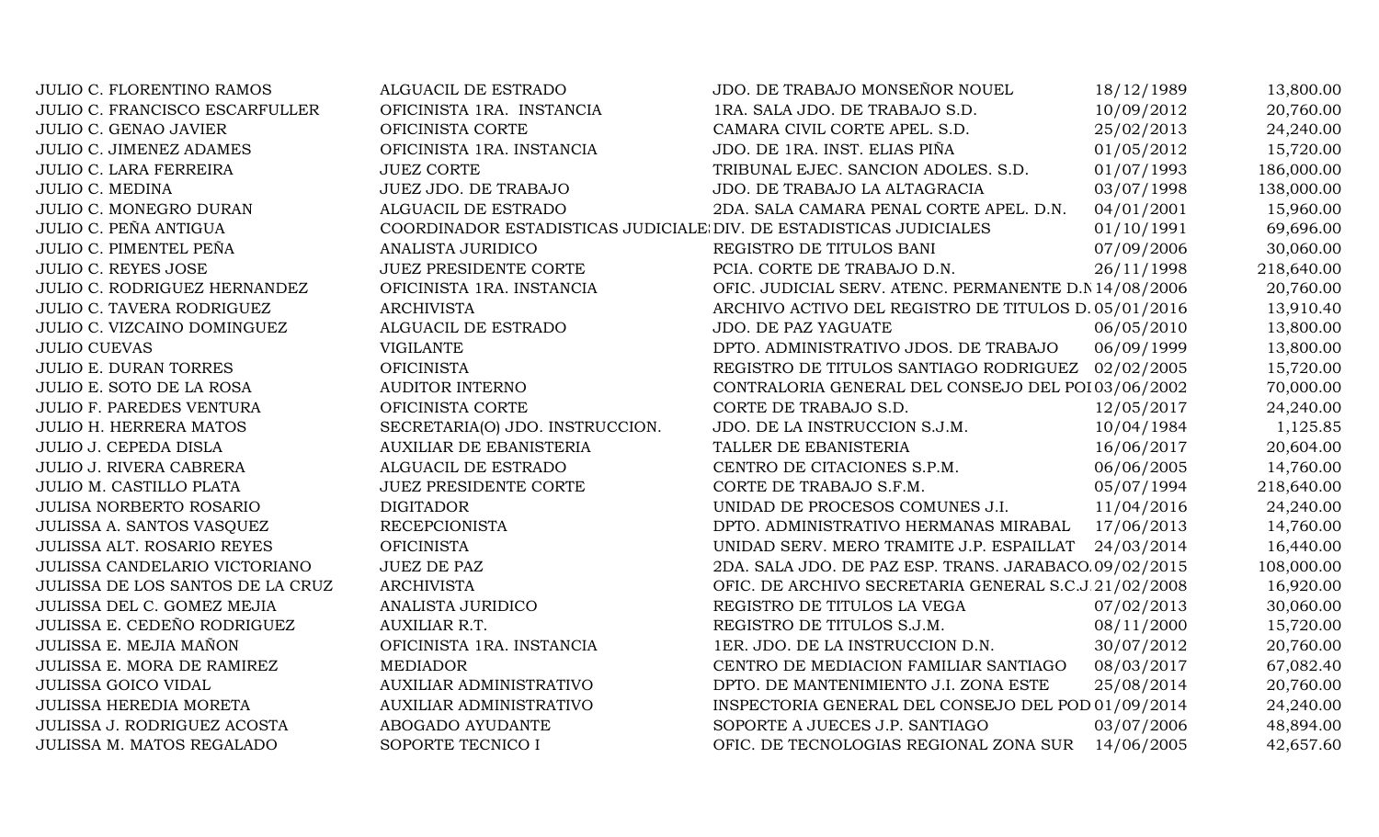| <b>JULIO C. FLORENTINO RAMOS</b>      | ALGUACIL DE ESTRADO                                                | JDO. DE TRABAJO MONSEÑOR NOUEL                         | 18/12/1989 | 13,800.00  |
|---------------------------------------|--------------------------------------------------------------------|--------------------------------------------------------|------------|------------|
| <b>JULIO C. FRANCISCO ESCARFULLER</b> | OFICINISTA 1RA. INSTANCIA                                          | 1RA. SALA JDO. DE TRABAJO S.D.                         | 10/09/2012 | 20,760.00  |
| <b>JULIO C. GENAO JAVIER</b>          | OFICINISTA CORTE                                                   | CAMARA CIVIL CORTE APEL. S.D.                          | 25/02/2013 | 24,240.00  |
| JULIO C. JIMENEZ ADAMES               | OFICINISTA 1RA. INSTANCIA                                          | JDO. DE 1RA. INST. ELIAS PIÑA                          | 01/05/2012 | 15,720.00  |
| <b>JULIO C. LARA FERREIRA</b>         | <b>JUEZ CORTE</b>                                                  | TRIBUNAL EJEC. SANCION ADOLES. S.D.                    | 01/07/1993 | 186,000.00 |
| <b>JULIO C. MEDINA</b>                | JUEZ JDO. DE TRABAJO                                               | JDO. DE TRABAJO LA ALTAGRACIA                          | 03/07/1998 | 138,000.00 |
| JULIO C. MONEGRO DURAN                | ALGUACIL DE ESTRADO                                                | 2DA. SALA CAMARA PENAL CORTE APEL. D.N.                | 04/01/2001 | 15,960.00  |
| JULIO C. PEÑA ANTIGUA                 | COORDINADOR ESTADISTICAS JUDICIALE DIV. DE ESTADISTICAS JUDICIALES |                                                        | 01/10/1991 | 69,696.00  |
| JULIO C. PIMENTEL PEÑA                | ANALISTA JURIDICO                                                  | REGISTRO DE TITULOS BANI                               | 07/09/2006 | 30,060.00  |
| <b>JULIO C. REYES JOSE</b>            | <b>JUEZ PRESIDENTE CORTE</b>                                       | PCIA. CORTE DE TRABAJO D.N.                            | 26/11/1998 | 218,640.00 |
| JULIO C. RODRIGUEZ HERNANDEZ          | OFICINISTA 1RA. INSTANCIA                                          | OFIC. JUDICIAL SERV. ATENC. PERMANENTE D.N 14/08/2006  |            | 20,760.00  |
| <b>JULIO C. TAVERA RODRIGUEZ</b>      | <b>ARCHIVISTA</b>                                                  | ARCHIVO ACTIVO DEL REGISTRO DE TITULOS D. 05/01/2016   |            | 13,910.40  |
| JULIO C. VIZCAINO DOMINGUEZ           | ALGUACIL DE ESTRADO                                                | JDO. DE PAZ YAGUATE                                    | 06/05/2010 | 13,800.00  |
| <b>JULIO CUEVAS</b>                   | <b>VIGILANTE</b>                                                   | DPTO. ADMINISTRATIVO JDOS. DE TRABAJO                  | 06/09/1999 | 13,800.00  |
| <b>JULIO E. DURAN TORRES</b>          | <b>OFICINISTA</b>                                                  | REGISTRO DE TITULOS SANTIAGO RODRIGUEZ 02/02/2005      |            | 15,720.00  |
| JULIO E. SOTO DE LA ROSA              | AUDITOR INTERNO                                                    | CONTRALORIA GENERAL DEL CONSEJO DEL POI 03/06/2002     |            | 70,000.00  |
| <b>JULIO F. PAREDES VENTURA</b>       | OFICINISTA CORTE                                                   | CORTE DE TRABAJO S.D.                                  | 12/05/2017 | 24,240.00  |
| <b>JULIO H. HERRERA MATOS</b>         | SECRETARIA(O) JDO. INSTRUCCION.                                    | JDO. DE LA INSTRUCCION S.J.M.                          | 10/04/1984 | 1,125.85   |
| <b>JULIO J. CEPEDA DISLA</b>          | <b>AUXILIAR DE EBANISTERIA</b>                                     | TALLER DE EBANISTERIA                                  | 16/06/2017 | 20,604.00  |
| <b>JULIO J. RIVERA CABRERA</b>        | ALGUACIL DE ESTRADO                                                | CENTRO DE CITACIONES S.P.M.                            | 06/06/2005 | 14,760.00  |
| JULIO M. CASTILLO PLATA               | <b>JUEZ PRESIDENTE CORTE</b>                                       | CORTE DE TRABAJO S.F.M.                                | 05/07/1994 | 218,640.00 |
| JULISA NORBERTO ROSARIO               | <b>DIGITADOR</b>                                                   | UNIDAD DE PROCESOS COMUNES J.I.                        | 11/04/2016 | 24,240.00  |
| JULISSA A. SANTOS VASQUEZ             | <b>RECEPCIONISTA</b>                                               | DPTO. ADMINISTRATIVO HERMANAS MIRABAL                  | 17/06/2013 | 14,760.00  |
| JULISSA ALT. ROSARIO REYES            | <b>OFICINISTA</b>                                                  | UNIDAD SERV. MERO TRAMITE J.P. ESPAILLAT               | 24/03/2014 | 16,440.00  |
| JULISSA CANDELARIO VICTORIANO         | <b>JUEZ DE PAZ</b>                                                 | 2DA. SALA JDO. DE PAZ ESP. TRANS. JARABACO. 09/02/2015 |            | 108,000.00 |
| JULISSA DE LOS SANTOS DE LA CRUZ      | <b>ARCHIVISTA</b>                                                  | OFIC. DE ARCHIVO SECRETARIA GENERAL S.C.J.21/02/2008   |            | 16,920.00  |
| JULISSA DEL C. GOMEZ MEJIA            | ANALISTA JURIDICO                                                  | REGISTRO DE TITULOS LA VEGA                            | 07/02/2013 | 30,060.00  |
| JULISSA E. CEDEÑO RODRIGUEZ           | <b>AUXILIAR R.T.</b>                                               | REGISTRO DE TITULOS S.J.M.                             | 08/11/2000 | 15,720.00  |
| JULISSA E. MEJIA MAÑON                | OFICINISTA 1RA. INSTANCIA                                          | 1ER. JDO. DE LA INSTRUCCION D.N.                       | 30/07/2012 | 20,760.00  |
| JULISSA E. MORA DE RAMIREZ            | <b>MEDIADOR</b>                                                    | CENTRO DE MEDIACION FAMILIAR SANTIAGO                  | 08/03/2017 | 67,082.40  |
| <b>JULISSA GOICO VIDAL</b>            | AUXILIAR ADMINISTRATIVO                                            | DPTO. DE MANTENIMIENTO J.I. ZONA ESTE                  | 25/08/2014 | 20,760.00  |
| <b>JULISSA HEREDIA MORETA</b>         | AUXILIAR ADMINISTRATIVO                                            | INSPECTORIA GENERAL DEL CONSEJO DEL POD 01/09/2014     |            | 24,240.00  |
| JULISSA J. RODRIGUEZ ACOSTA           | ABOGADO AYUDANTE                                                   | SOPORTE A JUECES J.P. SANTIAGO                         | 03/07/2006 | 48,894.00  |
| JULISSA M. MATOS REGALADO             | SOPORTE TECNICO I                                                  | OFIC. DE TECNOLOGIAS REGIONAL ZONA SUR                 | 14/06/2005 | 42,657.60  |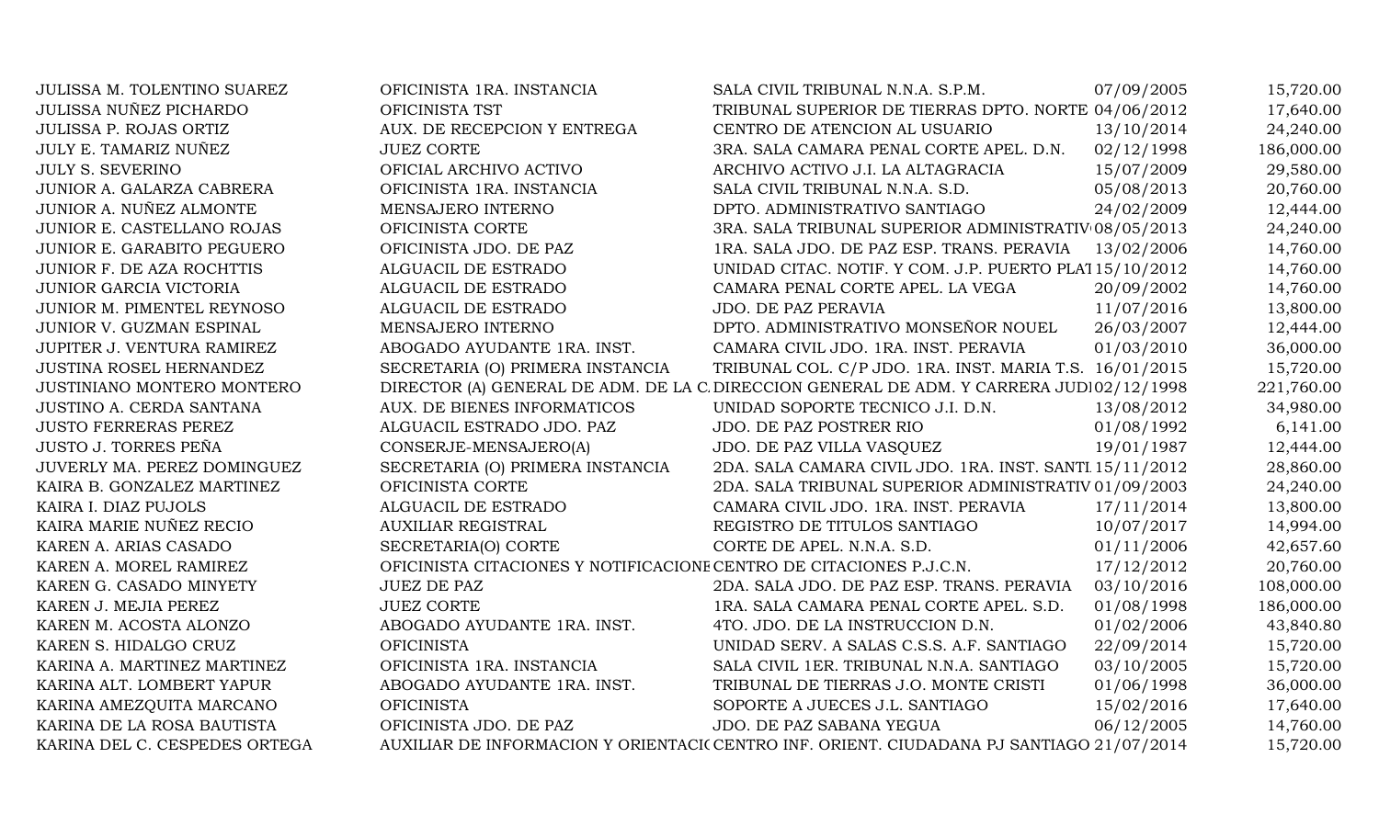| JULISSA M. TOLENTINO SUAREZ   | OFICINISTA 1RA. INSTANCIA                                           | SALA CIVIL TRIBUNAL N.N.A. S.P.M.                                                        | 07/09/2005 | 15,720.00  |
|-------------------------------|---------------------------------------------------------------------|------------------------------------------------------------------------------------------|------------|------------|
| <b>JULISSA NUÑEZ PICHARDO</b> | OFICINISTA TST                                                      | TRIBUNAL SUPERIOR DE TIERRAS DPTO. NORTE 04/06/2012                                      |            | 17,640.00  |
| JULISSA P. ROJAS ORTIZ        | AUX. DE RECEPCION Y ENTREGA                                         | CENTRO DE ATENCION AL USUARIO                                                            | 13/10/2014 | 24,240.00  |
| JULY E. TAMARIZ NUÑEZ         | <b>JUEZ CORTE</b>                                                   | 3RA. SALA CAMARA PENAL CORTE APEL. D.N.                                                  | 02/12/1998 | 186,000.00 |
| <b>JULY S. SEVERINO</b>       | OFICIAL ARCHIVO ACTIVO                                              | ARCHIVO ACTIVO J.I. LA ALTAGRACIA                                                        | 15/07/2009 | 29,580.00  |
| JUNIOR A. GALARZA CABRERA     | OFICINISTA 1RA. INSTANCIA                                           | SALA CIVIL TRIBUNAL N.N.A. S.D.                                                          | 05/08/2013 | 20,760.00  |
| JUNIOR A. NUÑEZ ALMONTE       | MENSAJERO INTERNO                                                   | DPTO. ADMINISTRATIVO SANTIAGO                                                            | 24/02/2009 | 12,444.00  |
| JUNIOR E. CASTELLANO ROJAS    | OFICINISTA CORTE                                                    | 3RA. SALA TRIBUNAL SUPERIOR ADMINISTRATIV 08/05/2013                                     |            | 24,240.00  |
| JUNIOR E. GARABITO PEGUERO    | OFICINISTA JDO. DE PAZ                                              | 1RA. SALA JDO. DE PAZ ESP. TRANS. PERAVIA                                                | 13/02/2006 | 14,760.00  |
| JUNIOR F. DE AZA ROCHTTIS     | ALGUACIL DE ESTRADO                                                 | UNIDAD CITAC. NOTIF. Y COM. J.P. PUERTO PLA115/10/2012                                   |            | 14,760.00  |
| <b>JUNIOR GARCIA VICTORIA</b> | ALGUACIL DE ESTRADO                                                 | CAMARA PENAL CORTE APEL. LA VEGA                                                         | 20/09/2002 | 14,760.00  |
| JUNIOR M. PIMENTEL REYNOSO    | ALGUACIL DE ESTRADO                                                 | JDO. DE PAZ PERAVIA                                                                      | 11/07/2016 | 13,800.00  |
| JUNIOR V. GUZMAN ESPINAL      | MENSAJERO INTERNO                                                   | DPTO. ADMINISTRATIVO MONSEÑOR NOUEL                                                      | 26/03/2007 | 12,444.00  |
| JUPITER J. VENTURA RAMIREZ    | ABOGADO AYUDANTE 1RA. INST.                                         | CAMARA CIVIL JDO. 1RA. INST. PERAVIA                                                     | 01/03/2010 | 36,000.00  |
| JUSTINA ROSEL HERNANDEZ       | SECRETARIA (O) PRIMERA INSTANCIA                                    | TRIBUNAL COL. C/P JDO. 1RA. INST. MARIA T.S. 16/01/2015                                  |            | 15,720.00  |
| JUSTINIANO MONTERO MONTERO    |                                                                     | DIRECTOR (A) GENERAL DE ADM. DE LA C DIRECCION GENERAL DE ADM. Y CARRERA JUDI02/12/1998  |            | 221,760.00 |
| JUSTINO A. CERDA SANTANA      | AUX. DE BIENES INFORMATICOS                                         | UNIDAD SOPORTE TECNICO J.I. D.N.                                                         | 13/08/2012 | 34,980.00  |
| <b>JUSTO FERRERAS PEREZ</b>   | ALGUACIL ESTRADO JDO. PAZ                                           | JDO. DE PAZ POSTRER RIO                                                                  | 01/08/1992 | 6,141.00   |
| <b>JUSTO J. TORRES PEÑA</b>   | CONSERJE-MENSAJERO(A)                                               | JDO. DE PAZ VILLA VASQUEZ                                                                | 19/01/1987 | 12,444.00  |
| JUVERLY MA. PEREZ DOMINGUEZ   | SECRETARIA (O) PRIMERA INSTANCIA                                    | 2DA. SALA CAMARA CIVIL JDO. 1RA. INST. SANTI 15/11/2012                                  |            | 28,860.00  |
| KAIRA B. GONZALEZ MARTINEZ    | OFICINISTA CORTE                                                    | 2DA. SALA TRIBUNAL SUPERIOR ADMINISTRATIV 01/09/2003                                     |            | 24,240.00  |
| KAIRA I. DIAZ PUJOLS          | ALGUACIL DE ESTRADO                                                 | CAMARA CIVIL JDO. 1RA. INST. PERAVIA                                                     | 17/11/2014 | 13,800.00  |
| KAIRA MARIE NUÑEZ RECIO       | <b>AUXILIAR REGISTRAL</b>                                           | REGISTRO DE TITULOS SANTIAGO                                                             | 10/07/2017 | 14,994.00  |
| KAREN A. ARIAS CASADO         | SECRETARIA(O) CORTE                                                 | CORTE DE APEL. N.N.A. S.D.                                                               | 01/11/2006 | 42,657.60  |
| KAREN A. MOREL RAMIREZ        | OFICINISTA CITACIONES Y NOTIFICACIONE CENTRO DE CITACIONES P.J.C.N. |                                                                                          | 17/12/2012 | 20,760.00  |
| KAREN G. CASADO MINYETY       | <b>JUEZ DE PAZ</b>                                                  | 2DA. SALA JDO. DE PAZ ESP. TRANS. PERAVIA                                                | 03/10/2016 | 108,000.00 |
| KAREN J. MEJIA PEREZ          | <b>JUEZ CORTE</b>                                                   | 1RA. SALA CAMARA PENAL CORTE APEL. S.D.                                                  | 01/08/1998 | 186,000.00 |
| KAREN M. ACOSTA ALONZO        | ABOGADO AYUDANTE 1RA. INST.                                         | 4TO. JDO. DE LA INSTRUCCION D.N.                                                         | 01/02/2006 | 43,840.80  |
| KAREN S. HIDALGO CRUZ         | <b>OFICINISTA</b>                                                   | UNIDAD SERV. A SALAS C.S.S. A.F. SANTIAGO                                                | 22/09/2014 | 15,720.00  |
| KARINA A. MARTINEZ MARTINEZ   | OFICINISTA 1RA. INSTANCIA                                           | SALA CIVIL 1ER. TRIBUNAL N.N.A. SANTIAGO                                                 | 03/10/2005 | 15,720.00  |
| KARINA ALT. LOMBERT YAPUR     | ABOGADO AYUDANTE 1RA. INST.                                         | TRIBUNAL DE TIERRAS J.O. MONTE CRISTI                                                    | 01/06/1998 | 36,000.00  |
| KARINA AMEZQUITA MARCANO      | <b>OFICINISTA</b>                                                   | SOPORTE A JUECES J.L. SANTIAGO                                                           | 15/02/2016 | 17,640.00  |
| KARINA DE LA ROSA BAUTISTA    | OFICINISTA JDO. DE PAZ                                              | JDO. DE PAZ SABANA YEGUA                                                                 | 06/12/2005 | 14,760.00  |
| KARINA DEL C. CESPEDES ORTEGA |                                                                     | AUXILIAR DE INFORMACION Y ORIENTACI(CENTRO INF. ORIENT. CIUDADANA PJ SANTIAGO 21/07/2014 |            | 15,720.00  |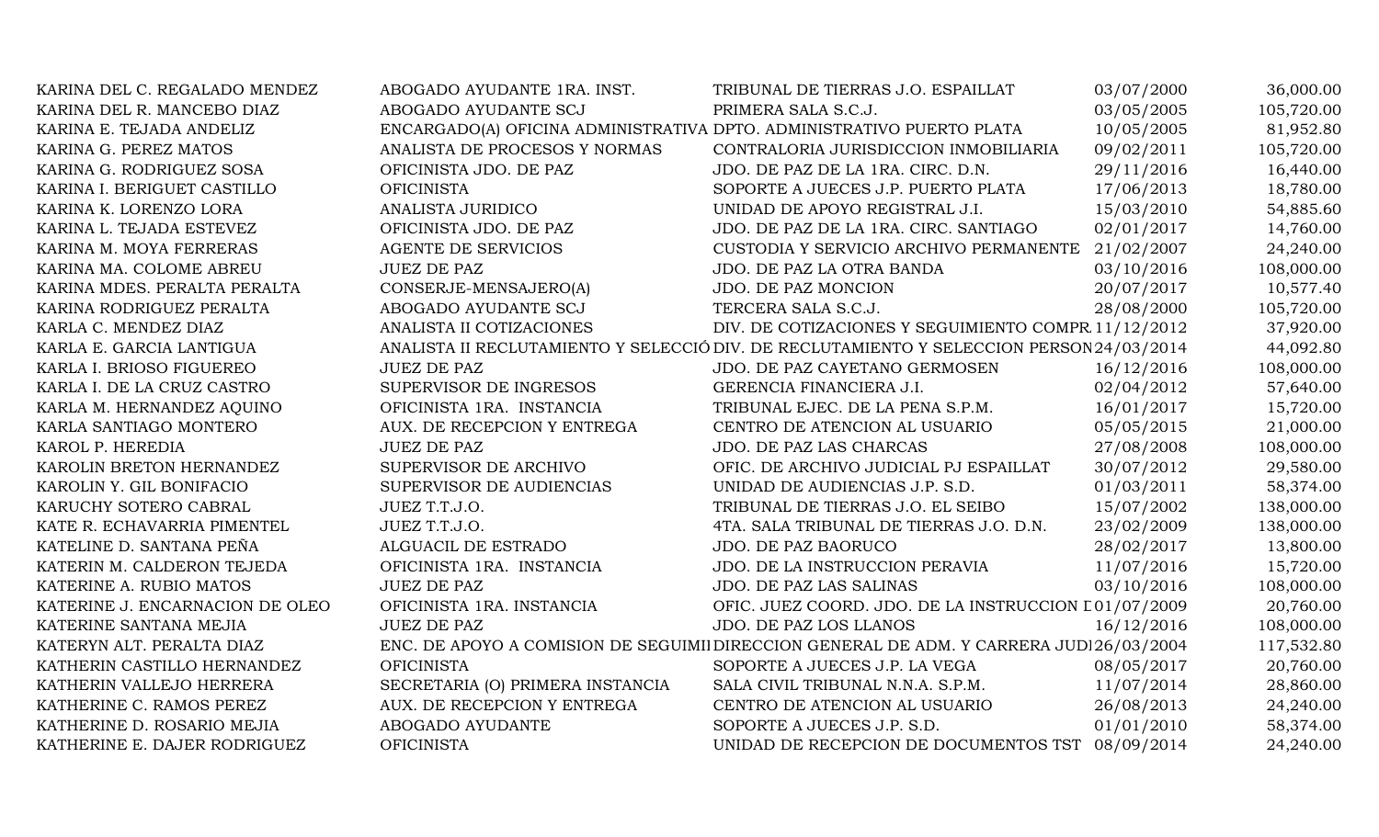| KARINA DEL C. REGALADO MENDEZ   | ABOGADO AYUDANTE 1RA. INST.                                           | TRIBUNAL DE TIERRAS J.O. ESPAILLAT                                                       | 03/07/2000 | 36,000.00  |
|---------------------------------|-----------------------------------------------------------------------|------------------------------------------------------------------------------------------|------------|------------|
| KARINA DEL R. MANCEBO DIAZ      | ABOGADO AYUDANTE SCJ                                                  | PRIMERA SALA S.C.J.                                                                      | 03/05/2005 | 105,720.00 |
| KARINA E. TEJADA ANDELIZ        | ENCARGADO(A) OFICINA ADMINISTRATIVA DPTO. ADMINISTRATIVO PUERTO PLATA |                                                                                          | 10/05/2005 | 81,952.80  |
| KARINA G. PEREZ MATOS           | ANALISTA DE PROCESOS Y NORMAS                                         | CONTRALORIA JURISDICCION INMOBILIARIA                                                    | 09/02/2011 | 105,720.00 |
| KARINA G. RODRIGUEZ SOSA        | OFICINISTA JDO. DE PAZ                                                | JDO. DE PAZ DE LA 1RA. CIRC. D.N.                                                        | 29/11/2016 | 16,440.00  |
| KARINA I. BERIGUET CASTILLO     | <b>OFICINISTA</b>                                                     | SOPORTE A JUECES J.P. PUERTO PLATA                                                       | 17/06/2013 | 18,780.00  |
| KARINA K. LORENZO LORA          | ANALISTA JURIDICO                                                     | UNIDAD DE APOYO REGISTRAL J.I.                                                           | 15/03/2010 | 54,885.60  |
| KARINA L. TEJADA ESTEVEZ        | OFICINISTA JDO. DE PAZ                                                | JDO. DE PAZ DE LA 1RA. CIRC. SANTIAGO                                                    | 02/01/2017 | 14,760.00  |
| KARINA M. MOYA FERRERAS         | <b>AGENTE DE SERVICIOS</b>                                            | CUSTODIA Y SERVICIO ARCHIVO PERMANENTE                                                   | 21/02/2007 | 24,240.00  |
| KARINA MA. COLOME ABREU         | <b>JUEZ DE PAZ</b>                                                    | JDO. DE PAZ LA OTRA BANDA                                                                | 03/10/2016 | 108,000.00 |
| KARINA MDES. PERALTA PERALTA    | CONSERJE-MENSAJERO(A)                                                 | JDO. DE PAZ MONCION                                                                      | 20/07/2017 | 10,577.40  |
| KARINA RODRIGUEZ PERALTA        | ABOGADO AYUDANTE SCJ                                                  | TERCERA SALA S.C.J.                                                                      | 28/08/2000 | 105,720.00 |
| KARLA C. MENDEZ DIAZ            | ANALISTA II COTIZACIONES                                              | DIV. DE COTIZACIONES Y SEGUIMIENTO COMPR 11/12/2012                                      |            | 37,920.00  |
| KARLA E. GARCIA LANTIGUA        |                                                                       | ANALISTA II RECLUTAMIENTO Y SELECCIÓ DIV. DE RECLUTAMIENTO Y SELECCION PERSON 24/03/2014 |            | 44,092.80  |
| KARLA I. BRIOSO FIGUEREO        | <b>JUEZ DE PAZ</b>                                                    | JDO. DE PAZ CAYETANO GERMOSEN                                                            | 16/12/2016 | 108,000.00 |
| KARLA I. DE LA CRUZ CASTRO      | SUPERVISOR DE INGRESOS                                                | GERENCIA FINANCIERA J.I.                                                                 | 02/04/2012 | 57,640.00  |
| KARLA M. HERNANDEZ AQUINO       | OFICINISTA 1RA. INSTANCIA                                             | TRIBUNAL EJEC. DE LA PENA S.P.M.                                                         | 16/01/2017 | 15,720.00  |
| KARLA SANTIAGO MONTERO          | AUX. DE RECEPCION Y ENTREGA                                           | CENTRO DE ATENCION AL USUARIO                                                            | 05/05/2015 | 21,000.00  |
| KAROL P. HEREDIA                | <b>JUEZ DE PAZ</b>                                                    | JDO. DE PAZ LAS CHARCAS                                                                  | 27/08/2008 | 108,000.00 |
| KAROLIN BRETON HERNANDEZ        | SUPERVISOR DE ARCHIVO                                                 | OFIC. DE ARCHIVO JUDICIAL PJ ESPAILLAT                                                   | 30/07/2012 | 29,580.00  |
| KAROLIN Y. GIL BONIFACIO        | SUPERVISOR DE AUDIENCIAS                                              | UNIDAD DE AUDIENCIAS J.P. S.D.                                                           | 01/03/2011 | 58,374.00  |
| KARUCHY SOTERO CABRAL           | JUEZ T.T.J.O.                                                         | TRIBUNAL DE TIERRAS J.O. EL SEIBO                                                        | 15/07/2002 | 138,000.00 |
| KATE R. ECHAVARRIA PIMENTEL     | JUEZ T.T.J.O.                                                         | 4TA. SALA TRIBUNAL DE TIERRAS J.O. D.N.                                                  | 23/02/2009 | 138,000.00 |
| KATELINE D. SANTANA PEÑA        | ALGUACIL DE ESTRADO                                                   | JDO. DE PAZ BAORUCO                                                                      | 28/02/2017 | 13,800.00  |
| KATERIN M. CALDERON TEJEDA      | OFICINISTA 1RA. INSTANCIA                                             | JDO. DE LA INSTRUCCION PERAVIA                                                           | 11/07/2016 | 15,720.00  |
| KATERINE A. RUBIO MATOS         | <b>JUEZ DE PAZ</b>                                                    | JDO. DE PAZ LAS SALINAS                                                                  | 03/10/2016 | 108,000.00 |
| KATERINE J. ENCARNACION DE OLEO | OFICINISTA 1RA. INSTANCIA                                             | OFIC. JUEZ COORD. JDO. DE LA INSTRUCCION L01/07/2009                                     |            | 20,760.00  |
| KATERINE SANTANA MEJIA          | <b>JUEZ DE PAZ</b>                                                    | JDO. DE PAZ LOS LLANOS                                                                   | 16/12/2016 | 108,000.00 |
| KATERYN ALT. PERALTA DIAZ       |                                                                       | ENC. DE APOYO A COMISION DE SEGUIMII DIRECCION GENERAL DE ADM. Y CARRERA JUDI 26/03/2004 |            | 117,532.80 |
| KATHERIN CASTILLO HERNANDEZ     | <b>OFICINISTA</b>                                                     | SOPORTE A JUECES J.P. LA VEGA                                                            | 08/05/2017 | 20,760.00  |
| KATHERIN VALLEJO HERRERA        | SECRETARIA (O) PRIMERA INSTANCIA                                      | SALA CIVIL TRIBUNAL N.N.A. S.P.M.                                                        | 11/07/2014 | 28,860.00  |
| KATHERINE C. RAMOS PEREZ        | AUX. DE RECEPCION Y ENTREGA                                           | CENTRO DE ATENCION AL USUARIO                                                            | 26/08/2013 | 24,240.00  |
| KATHERINE D. ROSARIO MEJIA      | ABOGADO AYUDANTE                                                      | SOPORTE A JUECES J.P. S.D.                                                               | 01/01/2010 | 58,374.00  |
| KATHERINE E. DAJER RODRIGUEZ    | <b>OFICINISTA</b>                                                     | UNIDAD DE RECEPCION DE DOCUMENTOS TST 08/09/2014                                         |            | 24,240.00  |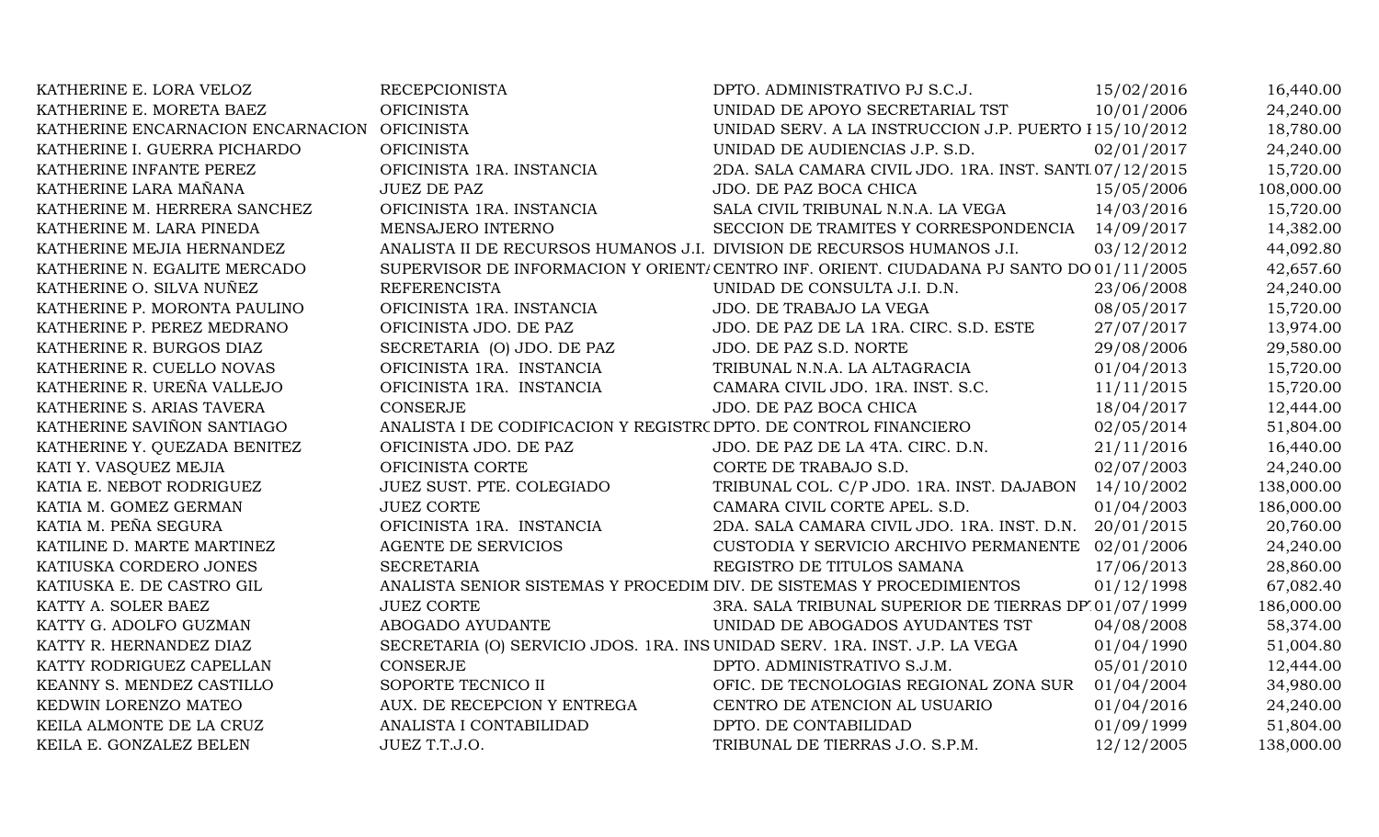| KATHERINE E. LORA VELOZ           | <b>RECEPCIONISTA</b>                                                        | DPTO. ADMINISTRATIVO PJ S.C.J.                                                          | 15/02/2016 | 16,440.00  |
|-----------------------------------|-----------------------------------------------------------------------------|-----------------------------------------------------------------------------------------|------------|------------|
| KATHERINE E. MORETA BAEZ          | <b>OFICINISTA</b>                                                           | UNIDAD DE APOYO SECRETARIAL TST                                                         | 10/01/2006 | 24,240.00  |
| KATHERINE ENCARNACION ENCARNACION | <b>OFICINISTA</b>                                                           | UNIDAD SERV. A LA INSTRUCCION J.P. PUERTO I 15/10/2012                                  |            | 18,780.00  |
| KATHERINE I. GUERRA PICHARDO      | <b>OFICINISTA</b>                                                           | UNIDAD DE AUDIENCIAS J.P. S.D.                                                          | 02/01/2017 | 24,240.00  |
| KATHERINE INFANTE PEREZ           | OFICINISTA 1RA. INSTANCIA                                                   | 2DA. SALA CAMARA CIVIL JDO. 1RA. INST. SANTI 07/12/2015                                 |            | 15,720.00  |
| KATHERINE LARA MAÑANA             | <b>JUEZ DE PAZ</b>                                                          | JDO. DE PAZ BOCA CHICA                                                                  | 15/05/2006 | 108,000.00 |
| KATHERINE M. HERRERA SANCHEZ      | OFICINISTA 1RA. INSTANCIA                                                   | SALA CIVIL TRIBUNAL N.N.A. LA VEGA                                                      | 14/03/2016 | 15,720.00  |
| KATHERINE M. LARA PINEDA          | MENSAJERO INTERNO                                                           | SECCION DE TRAMITES Y CORRESPONDENCIA                                                   | 14/09/2017 | 14,382.00  |
| KATHERINE MEJIA HERNANDEZ         | ANALISTA II DE RECURSOS HUMANOS J.I. DIVISION DE RECURSOS HUMANOS J.I.      |                                                                                         | 03/12/2012 | 44,092.80  |
| KATHERINE N. EGALITE MERCADO      |                                                                             | SUPERVISOR DE INFORMACION Y ORIENT/CENTRO INF. ORIENT. CIUDADANA PJ SANTO DO 01/11/2005 |            | 42,657.60  |
| KATHERINE O. SILVA NUÑEZ          | <b>REFERENCISTA</b>                                                         | UNIDAD DE CONSULTA J.I. D.N.                                                            | 23/06/2008 | 24,240.00  |
| KATHERINE P. MORONTA PAULINO      | OFICINISTA 1RA. INSTANCIA                                                   | JDO. DE TRABAJO LA VEGA                                                                 | 08/05/2017 | 15,720.00  |
| KATHERINE P. PEREZ MEDRANO        | OFICINISTA JDO. DE PAZ                                                      | JDO. DE PAZ DE LA 1RA. CIRC. S.D. ESTE                                                  | 27/07/2017 | 13,974.00  |
| KATHERINE R. BURGOS DIAZ          | SECRETARIA (O) JDO. DE PAZ                                                  | JDO. DE PAZ S.D. NORTE                                                                  | 29/08/2006 | 29,580.00  |
| KATHERINE R. CUELLO NOVAS         | OFICINISTA 1RA. INSTANCIA                                                   | TRIBUNAL N.N.A. LA ALTAGRACIA                                                           | 01/04/2013 | 15,720.00  |
| KATHERINE R. UREÑA VALLEJO        | OFICINISTA 1RA. INSTANCIA                                                   | CAMARA CIVIL JDO. 1RA. INST. S.C.                                                       | 11/11/2015 | 15,720.00  |
| KATHERINE S. ARIAS TAVERA         | <b>CONSERJE</b>                                                             | JDO. DE PAZ BOCA CHICA                                                                  | 18/04/2017 | 12,444.00  |
| KATHERINE SAVIÑON SANTIAGO        | ANALISTA I DE CODIFICACION Y REGISTR( DPTO. DE CONTROL FINANCIERO           |                                                                                         | 02/05/2014 | 51,804.00  |
| KATHERINE Y. QUEZADA BENITEZ      | OFICINISTA JDO. DE PAZ                                                      | JDO. DE PAZ DE LA 4TA. CIRC. D.N.                                                       | 21/11/2016 | 16,440.00  |
| KATI Y. VASQUEZ MEJIA             | OFICINISTA CORTE                                                            | CORTE DE TRABAJO S.D.                                                                   | 02/07/2003 | 24,240.00  |
| KATIA E. NEBOT RODRIGUEZ          | JUEZ SUST. PTE. COLEGIADO                                                   | TRIBUNAL COL. C/P JDO. 1RA. INST. DAJABON 14/10/2002                                    |            | 138,000.00 |
| KATIA M. GOMEZ GERMAN             | <b>JUEZ CORTE</b>                                                           | CAMARA CIVIL CORTE APEL. S.D.                                                           | 01/04/2003 | 186,000.00 |
| KATIA M. PEÑA SEGURA              | OFICINISTA 1RA. INSTANCIA                                                   | 2DA. SALA CAMARA CIVIL JDO. 1RA. INST. D.N.                                             | 20/01/2015 | 20,760.00  |
| KATILINE D. MARTE MARTINEZ        | <b>AGENTE DE SERVICIOS</b>                                                  | CUSTODIA Y SERVICIO ARCHIVO PERMANENTE                                                  | 02/01/2006 | 24,240.00  |
| KATIUSKA CORDERO JONES            | <b>SECRETARIA</b>                                                           | REGISTRO DE TITULOS SAMANA                                                              | 17/06/2013 | 28,860.00  |
| KATIUSKA E. DE CASTRO GIL         | ANALISTA SENIOR SISTEMAS Y PROCEDIM DIV. DE SISTEMAS Y PROCEDIMIENTOS       |                                                                                         | 01/12/1998 | 67,082.40  |
| KATTY A. SOLER BAEZ               | <b>JUEZ CORTE</b>                                                           | 3RA. SALA TRIBUNAL SUPERIOR DE TIERRAS DP 01/07/1999                                    |            | 186,000.00 |
| KATTY G. ADOLFO GUZMAN            | ABOGADO AYUDANTE                                                            | UNIDAD DE ABOGADOS AYUDANTES TST                                                        | 04/08/2008 | 58,374.00  |
| KATTY R. HERNANDEZ DIAZ           | SECRETARIA (O) SERVICIO JDOS. 1RA. INS UNIDAD SERV. 1RA. INST. J.P. LA VEGA |                                                                                         | 01/04/1990 | 51,004.80  |
| KATTY RODRIGUEZ CAPELLAN          | <b>CONSERJE</b>                                                             | DPTO. ADMINISTRATIVO S.J.M.                                                             | 05/01/2010 | 12,444.00  |
| KEANNY S. MENDEZ CASTILLO         | SOPORTE TECNICO II                                                          | OFIC. DE TECNOLOGIAS REGIONAL ZONA SUR                                                  | 01/04/2004 | 34,980.00  |
| KEDWIN LORENZO MATEO              | AUX. DE RECEPCION Y ENTREGA                                                 | CENTRO DE ATENCION AL USUARIO                                                           | 01/04/2016 | 24,240.00  |
| KEILA ALMONTE DE LA CRUZ          | ANALISTA I CONTABILIDAD                                                     | DPTO. DE CONTABILIDAD                                                                   | 01/09/1999 | 51,804.00  |
| KEILA E. GONZALEZ BELEN           | JUEZ T.T.J.O.                                                               | TRIBUNAL DE TIERRAS J.O. S.P.M.                                                         | 12/12/2005 | 138,000.00 |
|                                   |                                                                             |                                                                                         |            |            |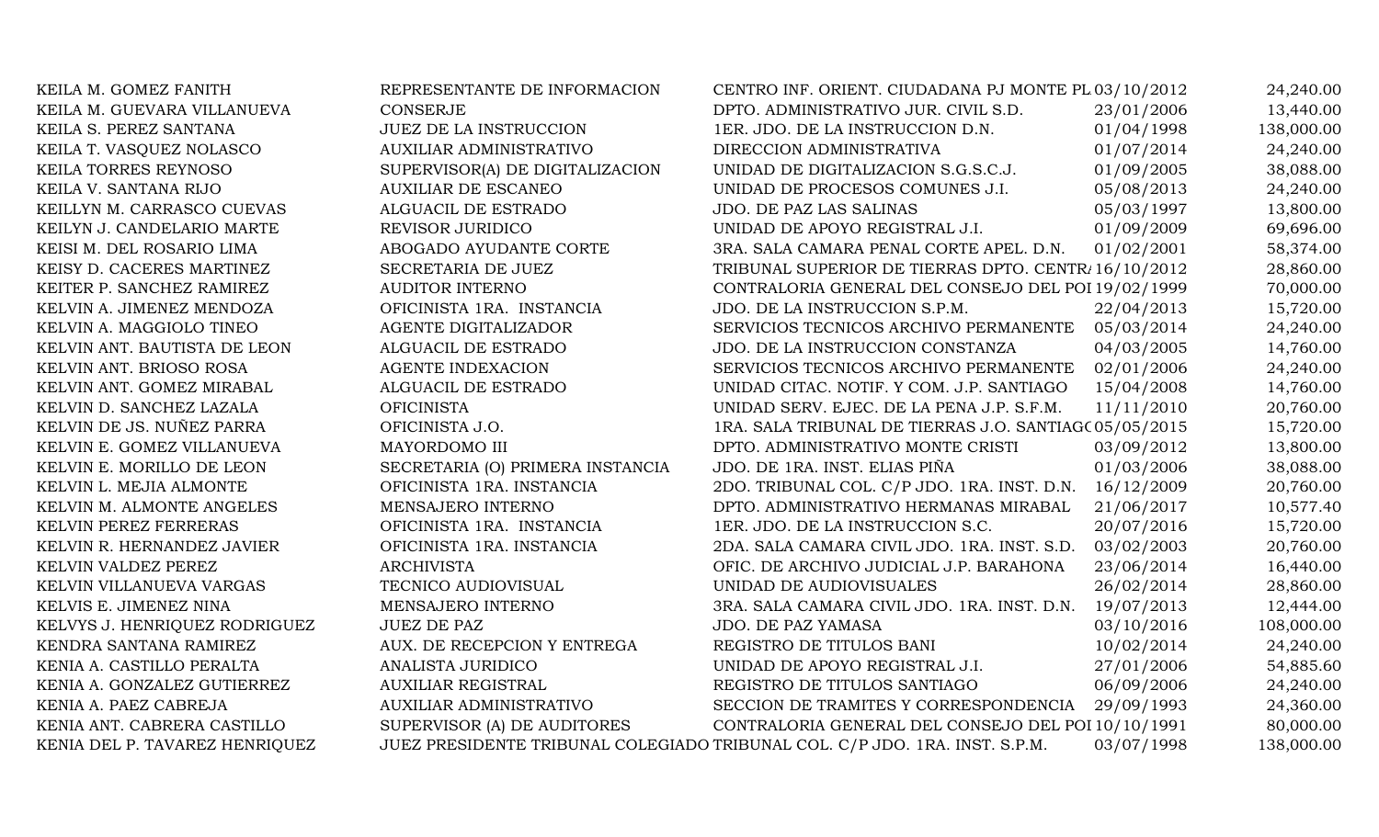| KEILA M. GOMEZ FANITH          | REPRESENTANTE DE INFORMACION     | CENTRO INF. ORIENT. CIUDADANA PJ MONTE PL 03/10/2012                        |            | 24,240.00  |
|--------------------------------|----------------------------------|-----------------------------------------------------------------------------|------------|------------|
| KEILA M. GUEVARA VILLANUEVA    | <b>CONSERJE</b>                  | DPTO. ADMINISTRATIVO JUR. CIVIL S.D.                                        | 23/01/2006 | 13,440.00  |
| KEILA S. PEREZ SANTANA         | JUEZ DE LA INSTRUCCION           | 1ER. JDO. DE LA INSTRUCCION D.N.                                            | 01/04/1998 | 138,000.00 |
| KEILA T. VASQUEZ NOLASCO       | <b>AUXILIAR ADMINISTRATIVO</b>   | DIRECCION ADMINISTRATIVA                                                    | 01/07/2014 | 24,240.00  |
| KEILA TORRES REYNOSO           | SUPERVISOR(A) DE DIGITALIZACION  | UNIDAD DE DIGITALIZACION S.G.S.C.J.                                         | 01/09/2005 | 38,088.00  |
| KEILA V. SANTANA RIJO          | <b>AUXILIAR DE ESCANEO</b>       | UNIDAD DE PROCESOS COMUNES J.I.                                             | 05/08/2013 | 24,240.00  |
| KEILLYN M. CARRASCO CUEVAS     | ALGUACIL DE ESTRADO              | JDO. DE PAZ LAS SALINAS                                                     | 05/03/1997 | 13,800.00  |
| KEILYN J. CANDELARIO MARTE     | REVISOR JURIDICO                 | UNIDAD DE APOYO REGISTRAL J.I.                                              | 01/09/2009 | 69,696.00  |
| KEISI M. DEL ROSARIO LIMA      | ABOGADO AYUDANTE CORTE           | 3RA. SALA CAMARA PENAL CORTE APEL. D.N.                                     | 01/02/2001 | 58,374.00  |
| KEISY D. CACERES MARTINEZ      | SECRETARIA DE JUEZ               | TRIBUNAL SUPERIOR DE TIERRAS DPTO. CENTR. 16/10/2012                        |            | 28,860.00  |
| KEITER P. SANCHEZ RAMIREZ      | <b>AUDITOR INTERNO</b>           | CONTRALORIA GENERAL DEL CONSEJO DEL POI 19/02/1999                          |            | 70,000.00  |
| KELVIN A. JIMENEZ MENDOZA      | OFICINISTA 1RA. INSTANCIA        | JDO. DE LA INSTRUCCION S.P.M.                                               | 22/04/2013 | 15,720.00  |
| KELVIN A. MAGGIOLO TINEO       | AGENTE DIGITALIZADOR             | SERVICIOS TECNICOS ARCHIVO PERMANENTE                                       | 05/03/2014 | 24,240.00  |
| KELVIN ANT. BAUTISTA DE LEON   | ALGUACIL DE ESTRADO              | JDO. DE LA INSTRUCCION CONSTANZA                                            | 04/03/2005 | 14,760.00  |
| KELVIN ANT. BRIOSO ROSA        | <b>AGENTE INDEXACION</b>         | SERVICIOS TECNICOS ARCHIVO PERMANENTE                                       | 02/01/2006 | 24,240.00  |
| KELVIN ANT. GOMEZ MIRABAL      | ALGUACIL DE ESTRADO              | UNIDAD CITAC. NOTIF. Y COM. J.P. SANTIAGO                                   | 15/04/2008 | 14,760.00  |
| KELVIN D. SANCHEZ LAZALA       | <b>OFICINISTA</b>                | UNIDAD SERV. EJEC. DE LA PENA J.P. S.F.M.                                   | 11/11/2010 | 20,760.00  |
| KELVIN DE JS. NUÑEZ PARRA      | OFICINISTA J.O.                  | 1RA. SALA TRIBUNAL DE TIERRAS J.O. SANTIAGO 05/05/2015                      |            | 15,720.00  |
| KELVIN E. GOMEZ VILLANUEVA     | MAYORDOMO III                    | DPTO. ADMINISTRATIVO MONTE CRISTI                                           | 03/09/2012 | 13,800.00  |
| KELVIN E. MORILLO DE LEON      | SECRETARIA (O) PRIMERA INSTANCIA | JDO. DE 1RA. INST. ELIAS PIÑA                                               | 01/03/2006 | 38,088.00  |
| KELVIN L. MEJIA ALMONTE        | OFICINISTA 1RA. INSTANCIA        | 2DO. TRIBUNAL COL. C/P JDO. 1RA. INST. D.N.                                 | 16/12/2009 | 20,760.00  |
| KELVIN M. ALMONTE ANGELES      | MENSAJERO INTERNO                | DPTO. ADMINISTRATIVO HERMANAS MIRABAL                                       | 21/06/2017 | 10,577.40  |
| KELVIN PEREZ FERRERAS          | OFICINISTA 1RA. INSTANCIA        | 1ER. JDO. DE LA INSTRUCCION S.C.                                            | 20/07/2016 | 15,720.00  |
| KELVIN R. HERNANDEZ JAVIER     | OFICINISTA 1RA. INSTANCIA        | 2DA. SALA CAMARA CIVIL JDO. 1RA. INST. S.D.                                 | 03/02/2003 | 20,760.00  |
| KELVIN VALDEZ PEREZ            | <b>ARCHIVISTA</b>                | OFIC. DE ARCHIVO JUDICIAL J.P. BARAHONA                                     | 23/06/2014 | 16,440.00  |
| KELVIN VILLANUEVA VARGAS       | TECNICO AUDIOVISUAL              | UNIDAD DE AUDIOVISUALES                                                     | 26/02/2014 | 28,860.00  |
| KELVIS E. JIMENEZ NINA         | MENSAJERO INTERNO                | 3RA. SALA CAMARA CIVIL JDO. 1RA. INST. D.N.                                 | 19/07/2013 | 12,444.00  |
| KELVYS J. HENRIQUEZ RODRIGUEZ  | <b>JUEZ DE PAZ</b>               | JDO. DE PAZ YAMASA                                                          | 03/10/2016 | 108,000.00 |
| KENDRA SANTANA RAMIREZ         | AUX. DE RECEPCION Y ENTREGA      | REGISTRO DE TITULOS BANI                                                    | 10/02/2014 | 24,240.00  |
| KENIA A. CASTILLO PERALTA      | ANALISTA JURIDICO                | UNIDAD DE APOYO REGISTRAL J.I.                                              | 27/01/2006 | 54,885.60  |
| KENIA A. GONZALEZ GUTIERREZ    | <b>AUXILIAR REGISTRAL</b>        | REGISTRO DE TITULOS SANTIAGO                                                | 06/09/2006 | 24,240.00  |
| KENIA A. PAEZ CABREJA          | <b>AUXILIAR ADMINISTRATIVO</b>   | SECCION DE TRAMITES Y CORRESPONDENCIA                                       | 29/09/1993 | 24,360.00  |
| KENIA ANT. CABRERA CASTILLO    | SUPERVISOR (A) DE AUDITORES      | CONTRALORIA GENERAL DEL CONSEJO DEL POI 10/10/1991                          |            | 80,000.00  |
| KENIA DEL P. TAVAREZ HENRIQUEZ |                                  | JUEZ PRESIDENTE TRIBUNAL COLEGIADO TRIBUNAL COL. C/P JDO. 1RA. INST. S.P.M. | 03/07/1998 | 138,000.00 |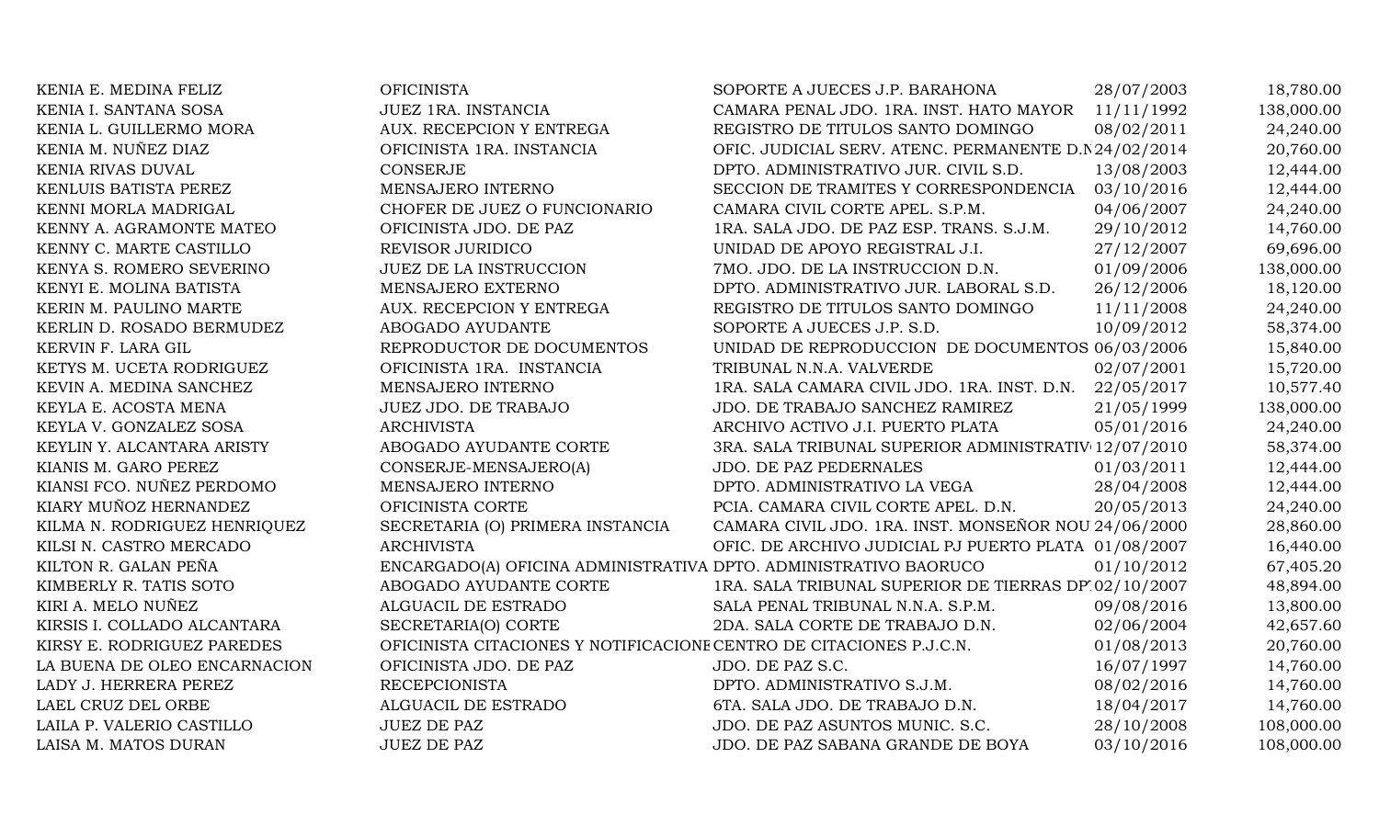| KENIA E. MEDINA FELIZ        | <b>OFICINISTA</b>                                                   | SOPORTE A JUECES J.P. BARAHONA                        | 28/07/2003 | 18,780.00  |
|------------------------------|---------------------------------------------------------------------|-------------------------------------------------------|------------|------------|
| KENIA I. SANTANA SOSA        | JUEZ 1RA. INSTANCIA                                                 | CAMARA PENAL JDO. 1RA. INST. HATO MAYOR               | 11/11/1992 | 138,000.00 |
| KENIA L. GUILLERMO MORA      | AUX. RECEPCION Y ENTREGA                                            | REGISTRO DE TITULOS SANTO DOMINGO                     | 08/02/2011 | 24,240.00  |
| KENIA M. NUÑEZ DIAZ          | OFICINISTA 1RA. INSTANCIA                                           | OFIC. JUDICIAL SERV. ATENC. PERMANENTE D.N 24/02/2014 |            | 20,760.00  |
| KENIA RIVAS DUVAL            | <b>CONSERJE</b>                                                     | DPTO. ADMINISTRATIVO JUR. CIVIL S.D.                  | 13/08/2003 | 12,444.00  |
| KENLUIS BATISTA PEREZ        | MENSAJERO INTERNO                                                   | SECCION DE TRAMITES Y CORRESPONDENCIA                 | 03/10/2016 | 12,444.00  |
| KENNI MORLA MADRIGAL         | CHOFER DE JUEZ O FUNCIONARIO                                        | CAMARA CIVIL CORTE APEL. S.P.M.                       | 04/06/2007 | 24,240.00  |
| KENNY A. AGRAMONTE MATEO     | OFICINISTA JDO. DE PAZ                                              | 1RA. SALA JDO. DE PAZ ESP. TRANS. S.J.M.              | 29/10/2012 | 14,760.00  |
| KENNY C. MARTE CASTILLO      | REVISOR JURIDICO                                                    | UNIDAD DE APOYO REGISTRAL J.I.                        | 27/12/2007 | 69,696.00  |
| KENYA S. ROMERO SEVERINO     | <b>JUEZ DE LA INSTRUCCION</b>                                       | 7MO. JDO. DE LA INSTRUCCION D.N.                      | 01/09/2006 | 138,000.00 |
| KENYI E. MOLINA BATISTA      | MENSAJERO EXTERNO                                                   | DPTO. ADMINISTRATIVO JUR. LABORAL S.D.                | 26/12/2006 | 18,120.00  |
| KERIN M. PAULINO MARTE       | AUX. RECEPCION Y ENTREGA                                            | REGISTRO DE TITULOS SANTO DOMINGO                     | 11/11/2008 | 24,240.00  |
| KERLIN D. ROSADO BERMUDEZ    | ABOGADO AYUDANTE                                                    | SOPORTE A JUECES J.P. S.D.                            | 10/09/2012 | 58,374.00  |
| KERVIN F. LARA GIL           | REPRODUCTOR DE DOCUMENTOS                                           | UNIDAD DE REPRODUCCION DE DOCUMENTOS 06/03/2006       |            | 15,840.00  |
| KETYS M. UCETA RODRIGUEZ     | OFICINISTA 1RA. INSTANCIA                                           | TRIBUNAL N.N.A. VALVERDE                              | 02/07/2001 | 15,720.00  |
| KEVIN A. MEDINA SANCHEZ      | MENSAJERO INTERNO                                                   | 1RA. SALA CAMARA CIVIL JDO. 1RA. INST. D.N.           | 22/05/2017 | 10,577.40  |
| KEYLA E. ACOSTA MENA         | <b>JUEZ JDO. DE TRABAJO</b>                                         | JDO. DE TRABAJO SANCHEZ RAMIREZ                       | 21/05/1999 | 138,000.00 |
| KEYLA V. GONZALEZ SOSA       | <b>ARCHIVISTA</b>                                                   | ARCHIVO ACTIVO J.I. PUERTO PLATA                      | 05/01/2016 | 24,240.00  |
| KEYLIN Y. ALCANTARA ARISTY   | ABOGADO AYUDANTE CORTE                                              | 3RA. SALA TRIBUNAL SUPERIOR ADMINISTRATIV 12/07/2010  |            | 58,374.00  |
| KIANIS M. GARO PEREZ         | CONSERJE-MENSAJERO(A)                                               | JDO. DE PAZ PEDERNALES                                | 01/03/2011 | 12,444.00  |
| KIANSI FCO. NUÑEZ PERDOMO    | MENSAJERO INTERNO                                                   | DPTO. ADMINISTRATIVO LA VEGA                          | 28/04/2008 | 12,444.00  |
| KIARY MUÑOZ HERNANDEZ        | OFICINISTA CORTE                                                    | PCIA. CAMARA CIVIL CORTE APEL. D.N.                   | 20/05/2013 | 24,240.00  |
| KILMA N. RODRIGUEZ HENRIQUEZ | SECRETARIA (O) PRIMERA INSTANCIA                                    | CAMARA CIVIL JDO. 1RA. INST. MONSEÑOR NOU 24/06/2000  |            | 28,860.00  |
| KILSI N. CASTRO MERCADO      | <b>ARCHIVISTA</b>                                                   | OFIC. DE ARCHIVO JUDICIAL PJ PUERTO PLATA 01/08/2007  |            | 16,440.00  |
| KILTON R. GALAN PEÑA         | ENCARGADO(A) OFICINA ADMINISTRATIVA DPTO. ADMINISTRATIVO BAORUCO    |                                                       | 01/10/2012 | 67,405.20  |
| KIMBERLY R. TATIS SOTO       | ABOGADO AYUDANTE CORTE                                              | 1RA. SALA TRIBUNAL SUPERIOR DE TIERRAS DP 02/10/2007  |            | 48,894.00  |
| KIRI A. MELO NUÑEZ           | ALGUACIL DE ESTRADO                                                 | SALA PENAL TRIBUNAL N.N.A. S.P.M.                     | 09/08/2016 | 13,800.00  |
| KIRSIS I. COLLADO ALCANTARA  | SECRETARIA(O) CORTE                                                 | 2DA. SALA CORTE DE TRABAJO D.N.                       | 02/06/2004 | 42,657.60  |
| KIRSY E. RODRIGUEZ PAREDES   | OFICINISTA CITACIONES Y NOTIFICACIONE CENTRO DE CITACIONES P.J.C.N. |                                                       | 01/08/2013 | 20,760.00  |
| LA BUENA DE OLEO ENCARNACION | OFICINISTA JDO. DE PAZ                                              | JDO. DE PAZ S.C.                                      | 16/07/1997 | 14,760.00  |
| LADY J. HERRERA PEREZ        | <b>RECEPCIONISTA</b>                                                | DPTO. ADMINISTRATIVO S.J.M.                           | 08/02/2016 | 14,760.00  |
| LAEL CRUZ DEL ORBE           | ALGUACIL DE ESTRADO                                                 | 6TA. SALA JDO. DE TRABAJO D.N.                        | 18/04/2017 | 14,760.00  |
| LAILA P. VALERIO CASTILLO    | <b>JUEZ DE PAZ</b>                                                  | JDO. DE PAZ ASUNTOS MUNIC. S.C.                       | 28/10/2008 | 108,000.00 |
| LAISA M. MATOS DURAN         | <b>JUEZ DE PAZ</b>                                                  | JDO. DE PAZ SABANA GRANDE DE BOYA                     | 03/10/2016 | 108,000.00 |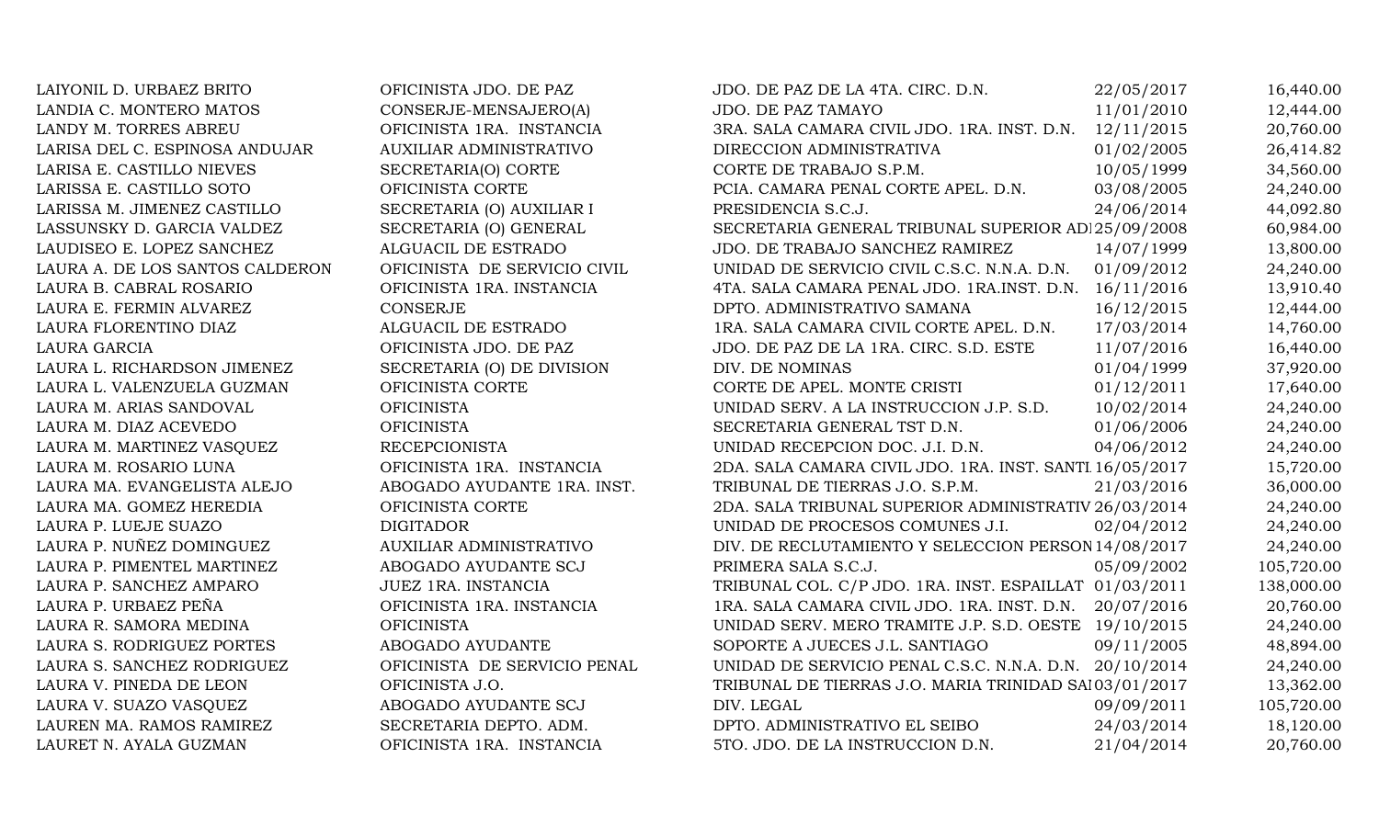| LAIYONIL D. URBAEZ BRITO        | OFICINISTA JDO. DE PAZ         | JDO. DE PAZ DE LA 4TA. CIRC. D.N.                       | 22/05/2017 | 16,440.00  |
|---------------------------------|--------------------------------|---------------------------------------------------------|------------|------------|
| LANDIA C. MONTERO MATOS         | CONSERJE-MENSAJERO(A)          | <b>JDO. DE PAZ TAMAYO</b>                               | 11/01/2010 | 12,444.00  |
| LANDY M. TORRES ABREU           | OFICINISTA 1RA. INSTANCIA      | 3RA. SALA CAMARA CIVIL JDO. 1RA. INST. D.N.             | 12/11/2015 | 20,760.00  |
| LARISA DEL C. ESPINOSA ANDUJAR  | AUXILIAR ADMINISTRATIVO        | DIRECCION ADMINISTRATIVA                                | 01/02/2005 | 26,414.82  |
| LARISA E. CASTILLO NIEVES       | SECRETARIA(O) CORTE            | CORTE DE TRABAJO S.P.M.                                 | 10/05/1999 | 34,560.00  |
| LARISSA E. CASTILLO SOTO        | OFICINISTA CORTE               | PCIA. CAMARA PENAL CORTE APEL. D.N.                     | 03/08/2005 | 24,240.00  |
| LARISSA M. JIMENEZ CASTILLO     | SECRETARIA (O) AUXILIAR I      | PRESIDENCIA S.C.J.                                      | 24/06/2014 | 44,092.80  |
| LASSUNSKY D. GARCIA VALDEZ      | SECRETARIA (O) GENERAL         | SECRETARIA GENERAL TRIBUNAL SUPERIOR AD 25/09/2008      |            | 60,984.00  |
| LAUDISEO E. LOPEZ SANCHEZ       | ALGUACIL DE ESTRADO            | JDO. DE TRABAJO SANCHEZ RAMIREZ                         | 14/07/1999 | 13,800.00  |
| LAURA A. DE LOS SANTOS CALDERON | OFICINISTA DE SERVICIO CIVIL   | UNIDAD DE SERVICIO CIVIL C.S.C. N.N.A. D.N.             | 01/09/2012 | 24,240.00  |
| LAURA B. CABRAL ROSARIO         | OFICINISTA 1RA. INSTANCIA      | 4TA. SALA CAMARA PENAL JDO. 1RA.INST. D.N. 16/11/2016   |            | 13,910.40  |
| LAURA E. FERMIN ALVAREZ         | <b>CONSERJE</b>                | DPTO. ADMINISTRATIVO SAMANA                             | 16/12/2015 | 12,444.00  |
| LAURA FLORENTINO DIAZ           | ALGUACIL DE ESTRADO            | 1RA. SALA CAMARA CIVIL CORTE APEL. D.N.                 | 17/03/2014 | 14,760.00  |
| LAURA GARCIA                    | OFICINISTA JDO. DE PAZ         | JDO. DE PAZ DE LA 1RA. CIRC. S.D. ESTE                  | 11/07/2016 | 16,440.00  |
| LAURA L. RICHARDSON JIMENEZ     | SECRETARIA (O) DE DIVISION     | DIV. DE NOMINAS                                         | 01/04/1999 | 37,920.00  |
| LAURA L. VALENZUELA GUZMAN      | OFICINISTA CORTE               | CORTE DE APEL. MONTE CRISTI                             | 01/12/2011 | 17,640.00  |
| LAURA M. ARIAS SANDOVAL         | <b>OFICINISTA</b>              | UNIDAD SERV. A LA INSTRUCCION J.P. S.D.                 | 10/02/2014 | 24,240.00  |
| LAURA M. DIAZ ACEVEDO           | <b>OFICINISTA</b>              | SECRETARIA GENERAL TST D.N.                             | 01/06/2006 | 24,240.00  |
| LAURA M. MARTINEZ VASQUEZ       | <b>RECEPCIONISTA</b>           | UNIDAD RECEPCION DOC. J.I. D.N.                         | 04/06/2012 | 24,240.00  |
| LAURA M. ROSARIO LUNA           | OFICINISTA 1RA. INSTANCIA      | 2DA. SALA CAMARA CIVIL JDO. 1RA. INST. SANTI 16/05/2017 |            | 15,720.00  |
| LAURA MA. EVANGELISTA ALEJO     | ABOGADO AYUDANTE 1RA. INST.    | TRIBUNAL DE TIERRAS J.O. S.P.M.                         | 21/03/2016 | 36,000.00  |
| LAURA MA. GOMEZ HEREDIA         | OFICINISTA CORTE               | 2DA. SALA TRIBUNAL SUPERIOR ADMINISTRATIV 26/03/2014    |            | 24,240.00  |
| LAURA P. LUEJE SUAZO            | <b>DIGITADOR</b>               | UNIDAD DE PROCESOS COMUNES J.I.                         | 02/04/2012 | 24,240.00  |
| LAURA P. NUÑEZ DOMINGUEZ        | <b>AUXILIAR ADMINISTRATIVO</b> | DIV. DE RECLUTAMIENTO Y SELECCION PERSON 14/08/2017     |            | 24,240.00  |
| LAURA P. PIMENTEL MARTINEZ      | ABOGADO AYUDANTE SCJ           | PRIMERA SALA S.C.J.                                     | 05/09/2002 | 105,720.00 |
| LAURA P. SANCHEZ AMPARO         | JUEZ 1RA. INSTANCIA            | TRIBUNAL COL. C/P JDO. 1RA. INST. ESPAILLAT 01/03/2011  |            | 138,000.00 |
| LAURA P. URBAEZ PEÑA            | OFICINISTA 1RA. INSTANCIA      | 1RA. SALA CAMARA CIVIL JDO. 1RA. INST. D.N. 20/07/2016  |            | 20,760.00  |
| LAURA R. SAMORA MEDINA          | <b>OFICINISTA</b>              | UNIDAD SERV. MERO TRAMITE J.P. S.D. OESTE 19/10/2015    |            | 24,240.00  |
| LAURA S. RODRIGUEZ PORTES       | ABOGADO AYUDANTE               | SOPORTE A JUECES J.L. SANTIAGO                          | 09/11/2005 | 48,894.00  |
| LAURA S. SANCHEZ RODRIGUEZ      | OFICINISTA DE SERVICIO PENAL   | UNIDAD DE SERVICIO PENAL C.S.C. N.N.A. D.N. 20/10/2014  |            | 24,240.00  |
| LAURA V. PINEDA DE LEON         | OFICINISTA J.O.                | TRIBUNAL DE TIERRAS J.O. MARIA TRINIDAD SA103/01/2017   |            | 13,362.00  |
| LAURA V. SUAZO VASQUEZ          | ABOGADO AYUDANTE SCJ           | DIV. LEGAL                                              | 09/09/2011 | 105,720.00 |
| LAUREN MA. RAMOS RAMIREZ        | SECRETARIA DEPTO. ADM.         | DPTO. ADMINISTRATIVO EL SEIBO                           | 24/03/2014 | 18,120.00  |
| LAURET N. AYALA GUZMAN          | OFICINISTA 1RA. INSTANCIA      | 5TO. JDO. DE LA INSTRUCCION D.N.                        | 21/04/2014 | 20,760.00  |
|                                 |                                |                                                         |            |            |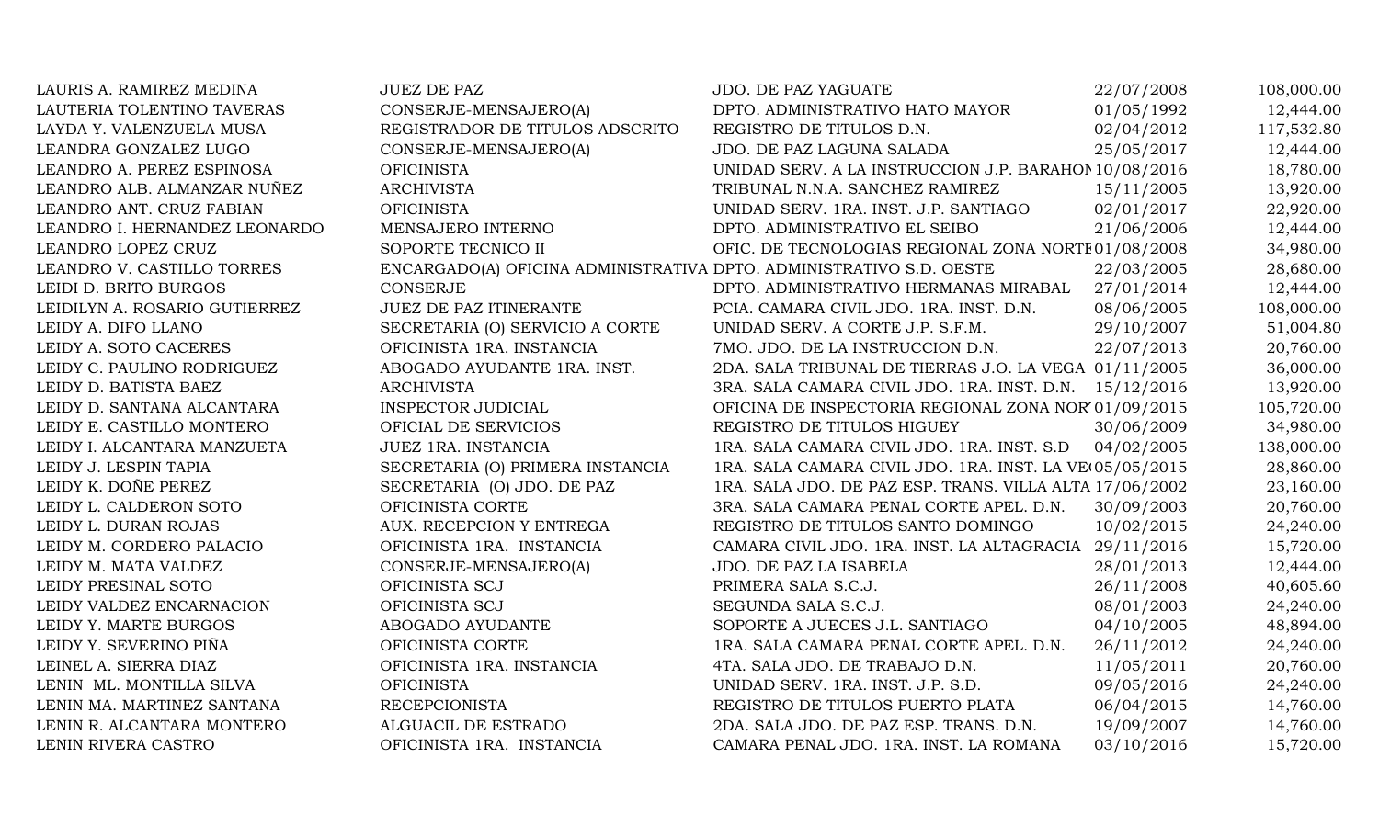| LAURIS A. RAMIREZ MEDINA      | JUEZ DE PAZ                                                         | JDO. DE PAZ YAGUATE                                     | 22/07/2008 | 108,000.00 |
|-------------------------------|---------------------------------------------------------------------|---------------------------------------------------------|------------|------------|
| LAUTERIA TOLENTINO TAVERAS    | CONSERJE-MENSAJERO(A)                                               | DPTO. ADMINISTRATIVO HATO MAYOR                         | 01/05/1992 | 12,444.00  |
| LAYDA Y. VALENZUELA MUSA      | REGISTRADOR DE TITULOS ADSCRITO                                     | REGISTRO DE TITULOS D.N.                                | 02/04/2012 | 117,532.80 |
| LEANDRA GONZALEZ LUGO         | CONSERJE-MENSAJERO(A)                                               | JDO. DE PAZ LAGUNA SALADA                               | 25/05/2017 | 12,444.00  |
| LEANDRO A. PEREZ ESPINOSA     | <b>OFICINISTA</b>                                                   | UNIDAD SERV. A LA INSTRUCCION J.P. BARAHOI 10/08/2016   |            | 18,780.00  |
| LEANDRO ALB. ALMANZAR NUÑEZ   | <b>ARCHIVISTA</b>                                                   | TRIBUNAL N.N.A. SANCHEZ RAMIREZ                         | 15/11/2005 | 13,920.00  |
| LEANDRO ANT. CRUZ FABIAN      | <b>OFICINISTA</b>                                                   | UNIDAD SERV. 1RA. INST. J.P. SANTIAGO                   | 02/01/2017 | 22,920.00  |
| LEANDRO I. HERNANDEZ LEONARDO | MENSAJERO INTERNO                                                   | DPTO. ADMINISTRATIVO EL SEIBO                           | 21/06/2006 | 12,444.00  |
| LEANDRO LOPEZ CRUZ            | SOPORTE TECNICO II                                                  | OFIC. DE TECNOLOGIAS REGIONAL ZONA NORTE 01/08/2008     |            | 34,980.00  |
| LEANDRO V. CASTILLO TORRES    | ENCARGADO(A) OFICINA ADMINISTRATIVA DPTO. ADMINISTRATIVO S.D. OESTE |                                                         | 22/03/2005 | 28,680.00  |
| LEIDI D. BRITO BURGOS         | <b>CONSERJE</b>                                                     | DPTO. ADMINISTRATIVO HERMANAS MIRABAL                   | 27/01/2014 | 12,444.00  |
| LEIDILYN A. ROSARIO GUTIERREZ | JUEZ DE PAZ ITINERANTE                                              | PCIA. CAMARA CIVIL JDO. 1RA. INST. D.N.                 | 08/06/2005 | 108,000.00 |
| LEIDY A. DIFO LLANO           | SECRETARIA (O) SERVICIO A CORTE                                     | UNIDAD SERV. A CORTE J.P. S.F.M.                        | 29/10/2007 | 51,004.80  |
| LEIDY A. SOTO CACERES         | OFICINISTA 1RA. INSTANCIA                                           | 7MO. JDO. DE LA INSTRUCCION D.N.                        | 22/07/2013 | 20,760.00  |
| LEIDY C. PAULINO RODRIGUEZ    | ABOGADO AYUDANTE 1RA. INST.                                         | 2DA. SALA TRIBUNAL DE TIERRAS J.O. LA VEGA 01/11/2005   |            | 36,000.00  |
| LEIDY D. BATISTA BAEZ         | <b>ARCHIVISTA</b>                                                   | 3RA. SALA CAMARA CIVIL JDO. 1RA. INST. D.N. 15/12/2016  |            | 13,920.00  |
| LEIDY D. SANTANA ALCANTARA    | <b>INSPECTOR JUDICIAL</b>                                           | OFICINA DE INSPECTORIA REGIONAL ZONA NOR'01/09/2015     |            | 105,720.00 |
| LEIDY E. CASTILLO MONTERO     | OFICIAL DE SERVICIOS                                                | REGISTRO DE TITULOS HIGUEY                              | 30/06/2009 | 34,980.00  |
| LEIDY I. ALCANTARA MANZUETA   | JUEZ 1RA. INSTANCIA                                                 | 1RA. SALA CAMARA CIVIL JDO. 1RA. INST. S.D              | 04/02/2005 | 138,000.00 |
| LEIDY J. LESPIN TAPIA         | SECRETARIA (O) PRIMERA INSTANCIA                                    | 1RA. SALA CAMARA CIVIL JDO. 1RA. INST. LA VE(05/05/2015 |            | 28,860.00  |
| LEIDY K. DOÑE PEREZ           | SECRETARIA (O) JDO. DE PAZ                                          | 1RA. SALA JDO. DE PAZ ESP. TRANS. VILLA ALTA 17/06/2002 |            | 23,160.00  |
| LEIDY L. CALDERON SOTO        | OFICINISTA CORTE                                                    | 3RA. SALA CAMARA PENAL CORTE APEL. D.N.                 | 30/09/2003 | 20,760.00  |
| LEIDY L. DURAN ROJAS          | AUX. RECEPCION Y ENTREGA                                            | REGISTRO DE TITULOS SANTO DOMINGO                       | 10/02/2015 | 24,240.00  |
| LEIDY M. CORDERO PALACIO      | OFICINISTA 1RA. INSTANCIA                                           | CAMARA CIVIL JDO. 1RA. INST. LA ALTAGRACIA 29/11/2016   |            | 15,720.00  |
| LEIDY M. MATA VALDEZ          | CONSERJE-MENSAJERO(A)                                               | JDO. DE PAZ LA ISABELA                                  | 28/01/2013 | 12,444.00  |
| LEIDY PRESINAL SOTO           | OFICINISTA SCJ                                                      | PRIMERA SALA S.C.J.                                     | 26/11/2008 | 40,605.60  |
| LEIDY VALDEZ ENCARNACION      | OFICINISTA SCJ                                                      | SEGUNDA SALA S.C.J.                                     | 08/01/2003 | 24,240.00  |
| LEIDY Y. MARTE BURGOS         | ABOGADO AYUDANTE                                                    | SOPORTE A JUECES J.L. SANTIAGO                          | 04/10/2005 | 48,894.00  |
| LEIDY Y. SEVERINO PIÑA        | OFICINISTA CORTE                                                    | 1RA. SALA CAMARA PENAL CORTE APEL. D.N.                 | 26/11/2012 | 24,240.00  |
| LEINEL A. SIERRA DIAZ         | OFICINISTA 1RA. INSTANCIA                                           | 4TA. SALA JDO. DE TRABAJO D.N.                          | 11/05/2011 | 20,760.00  |
| LENIN ML. MONTILLA SILVA      | <b>OFICINISTA</b>                                                   | UNIDAD SERV. 1RA. INST. J.P. S.D.                       | 09/05/2016 | 24,240.00  |
| LENIN MA. MARTINEZ SANTANA    | <b>RECEPCIONISTA</b>                                                | REGISTRO DE TITULOS PUERTO PLATA                        | 06/04/2015 | 14,760.00  |
| LENIN R. ALCANTARA MONTERO    | ALGUACIL DE ESTRADO                                                 | 2DA. SALA JDO. DE PAZ ESP. TRANS. D.N.                  | 19/09/2007 | 14,760.00  |
| LENIN RIVERA CASTRO           | OFICINISTA 1RA. INSTANCIA                                           | CAMARA PENAL JDO. 1RA. INST. LA ROMANA                  | 03/10/2016 | 15,720.00  |
|                               |                                                                     |                                                         |            |            |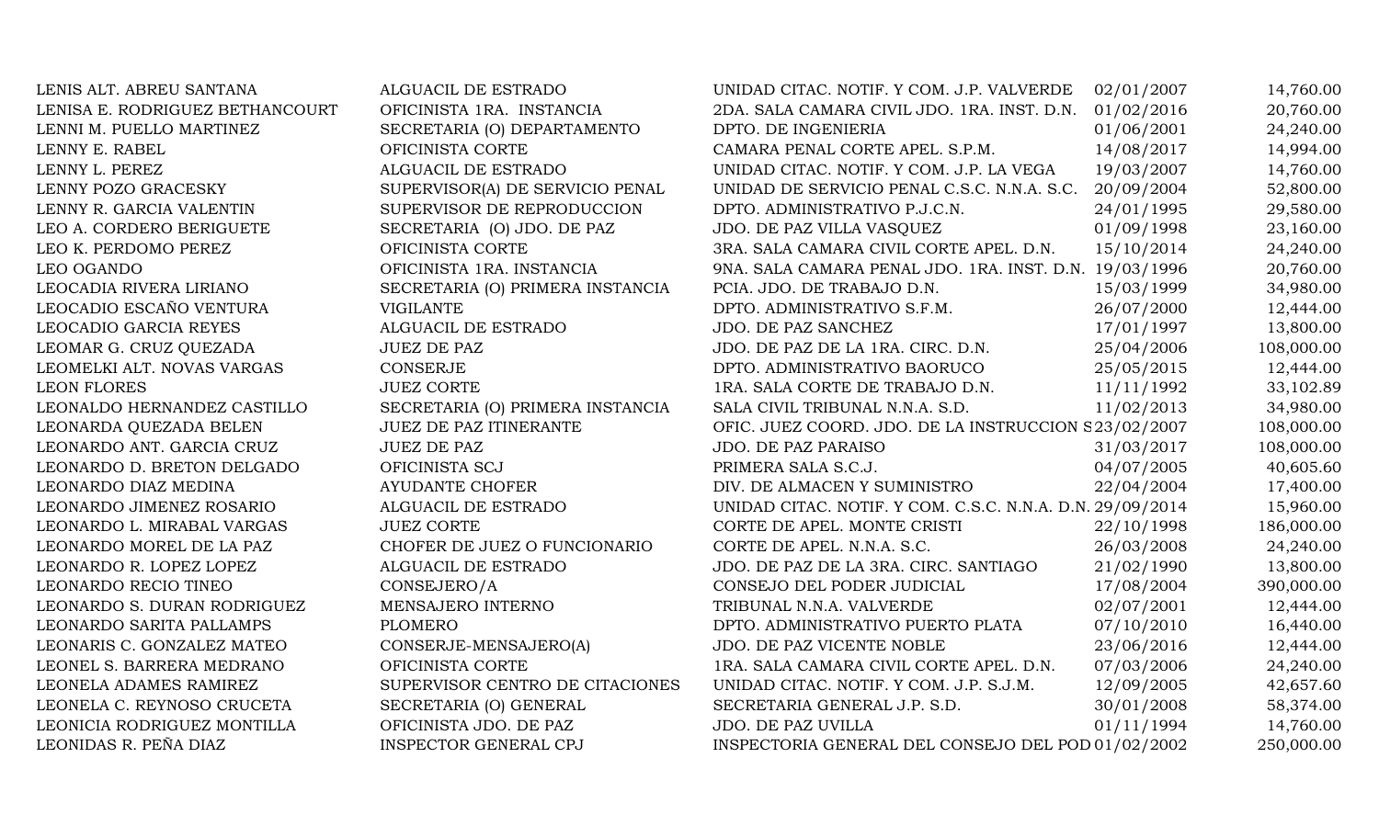| LENIS ALT. ABREU SANTANA        | ALGUACIL DE ESTRADO              | UNIDAD CITAC. NOTIF. Y COM. J.P. VALVERDE                 | 02/01/2007 | 14,760.00  |
|---------------------------------|----------------------------------|-----------------------------------------------------------|------------|------------|
| LENISA E. RODRIGUEZ BETHANCOURT | OFICINISTA 1RA. INSTANCIA        | 2DA. SALA CAMARA CIVIL JDO. 1RA. INST. D.N.               | 01/02/2016 | 20,760.00  |
| LENNI M. PUELLO MARTINEZ        | SECRETARIA (O) DEPARTAMENTO      | DPTO. DE INGENIERIA                                       | 01/06/2001 | 24,240.00  |
| LENNY E. RABEL                  | OFICINISTA CORTE                 | CAMARA PENAL CORTE APEL. S.P.M.                           | 14/08/2017 | 14,994.00  |
| LENNY L. PEREZ                  | ALGUACIL DE ESTRADO              | UNIDAD CITAC. NOTIF. Y COM. J.P. LA VEGA                  | 19/03/2007 | 14,760.00  |
| LENNY POZO GRACESKY             | SUPERVISOR(A) DE SERVICIO PENAL  | UNIDAD DE SERVICIO PENAL C.S.C. N.N.A. S.C.               | 20/09/2004 | 52,800.00  |
| LENNY R. GARCIA VALENTIN        | SUPERVISOR DE REPRODUCCION       | DPTO. ADMINISTRATIVO P.J.C.N.                             | 24/01/1995 | 29,580.00  |
| LEO A. CORDERO BERIGUETE        | SECRETARIA (O) JDO. DE PAZ       | JDO. DE PAZ VILLA VASQUEZ                                 | 01/09/1998 | 23,160.00  |
| LEO K. PERDOMO PEREZ            | OFICINISTA CORTE                 | 3RA. SALA CAMARA CIVIL CORTE APEL. D.N.                   | 15/10/2014 | 24,240.00  |
| LEO OGANDO                      | OFICINISTA 1RA. INSTANCIA        | 9NA. SALA CAMARA PENAL JDO. 1RA. INST. D.N. 19/03/1996    |            | 20,760.00  |
| LEOCADIA RIVERA LIRIANO         | SECRETARIA (O) PRIMERA INSTANCIA | PCIA. JDO. DE TRABAJO D.N.                                | 15/03/1999 | 34,980.00  |
| LEOCADIO ESCAÑO VENTURA         | <b>VIGILANTE</b>                 | DPTO. ADMINISTRATIVO S.F.M.                               | 26/07/2000 | 12,444.00  |
| LEOCADIO GARCIA REYES           | ALGUACIL DE ESTRADO              | JDO. DE PAZ SANCHEZ                                       | 17/01/1997 | 13,800.00  |
| LEOMAR G. CRUZ QUEZADA          | <b>JUEZ DE PAZ</b>               | JDO. DE PAZ DE LA 1RA. CIRC. D.N.                         | 25/04/2006 | 108,000.00 |
| LEOMELKI ALT. NOVAS VARGAS      | CONSERJE                         | DPTO. ADMINISTRATIVO BAORUCO                              | 25/05/2015 | 12,444.00  |
| LEON FLORES                     | <b>JUEZ CORTE</b>                | 1RA. SALA CORTE DE TRABAJO D.N.                           | 11/11/1992 | 33,102.89  |
| LEONALDO HERNANDEZ CASTILLO     | SECRETARIA (O) PRIMERA INSTANCIA | SALA CIVIL TRIBUNAL N.N.A. S.D.                           | 11/02/2013 | 34,980.00  |
| LEONARDA QUEZADA BELEN          | <b>JUEZ DE PAZ ITINERANTE</b>    | OFIC. JUEZ COORD. JDO. DE LA INSTRUCCION S23/02/2007      |            | 108,000.00 |
| LEONARDO ANT. GARCIA CRUZ       | <b>JUEZ DE PAZ</b>               | JDO. DE PAZ PARAISO                                       | 31/03/2017 | 108,000.00 |
| LEONARDO D. BRETON DELGADO      | OFICINISTA SCJ                   | PRIMERA SALA S.C.J.                                       | 04/07/2005 | 40,605.60  |
| LEONARDO DIAZ MEDINA            | <b>AYUDANTE CHOFER</b>           | DIV. DE ALMACEN Y SUMINISTRO                              | 22/04/2004 | 17,400.00  |
| LEONARDO JIMENEZ ROSARIO        | ALGUACIL DE ESTRADO              | UNIDAD CITAC. NOTIF. Y COM. C.S.C. N.N.A. D.N. 29/09/2014 |            | 15,960.00  |
| LEONARDO L. MIRABAL VARGAS      | <b>JUEZ CORTE</b>                | CORTE DE APEL. MONTE CRISTI                               | 22/10/1998 | 186,000.00 |
| LEONARDO MOREL DE LA PAZ        | CHOFER DE JUEZ O FUNCIONARIO     | CORTE DE APEL. N.N.A. S.C.                                | 26/03/2008 | 24,240.00  |
| LEONARDO R. LOPEZ LOPEZ         | ALGUACIL DE ESTRADO              | JDO. DE PAZ DE LA 3RA. CIRC. SANTIAGO                     | 21/02/1990 | 13,800.00  |
| LEONARDO RECIO TINEO            | CONSEJERO/A                      | CONSEJO DEL PODER JUDICIAL                                | 17/08/2004 | 390,000.00 |
| LEONARDO S. DURAN RODRIGUEZ     | MENSAJERO INTERNO                | TRIBUNAL N.N.A. VALVERDE                                  | 02/07/2001 | 12,444.00  |
| LEONARDO SARITA PALLAMPS        | <b>PLOMERO</b>                   | DPTO. ADMINISTRATIVO PUERTO PLATA                         | 07/10/2010 | 16,440.00  |
| LEONARIS C. GONZALEZ MATEO      | CONSERJE-MENSAJERO(A)            | JDO. DE PAZ VICENTE NOBLE                                 | 23/06/2016 | 12,444.00  |
| LEONEL S. BARRERA MEDRANO       | OFICINISTA CORTE                 | 1RA. SALA CAMARA CIVIL CORTE APEL. D.N.                   | 07/03/2006 | 24,240.00  |
| LEONELA ADAMES RAMIREZ          | SUPERVISOR CENTRO DE CITACIONES  | UNIDAD CITAC. NOTIF. Y COM. J.P. S.J.M.                   | 12/09/2005 | 42,657.60  |
| LEONELA C. REYNOSO CRUCETA      | SECRETARIA (O) GENERAL           | SECRETARIA GENERAL J.P. S.D.                              | 30/01/2008 | 58,374.00  |
| LEONICIA RODRIGUEZ MONTILLA     | OFICINISTA JDO. DE PAZ           | JDO. DE PAZ UVILLA                                        | 01/11/1994 | 14,760.00  |
| LEONIDAS R. PEÑA DIAZ           | <b>INSPECTOR GENERAL CPJ</b>     | INSPECTORIA GENERAL DEL CONSEJO DEL POD 01/02/2002        |            | 250,000.00 |
|                                 |                                  |                                                           |            |            |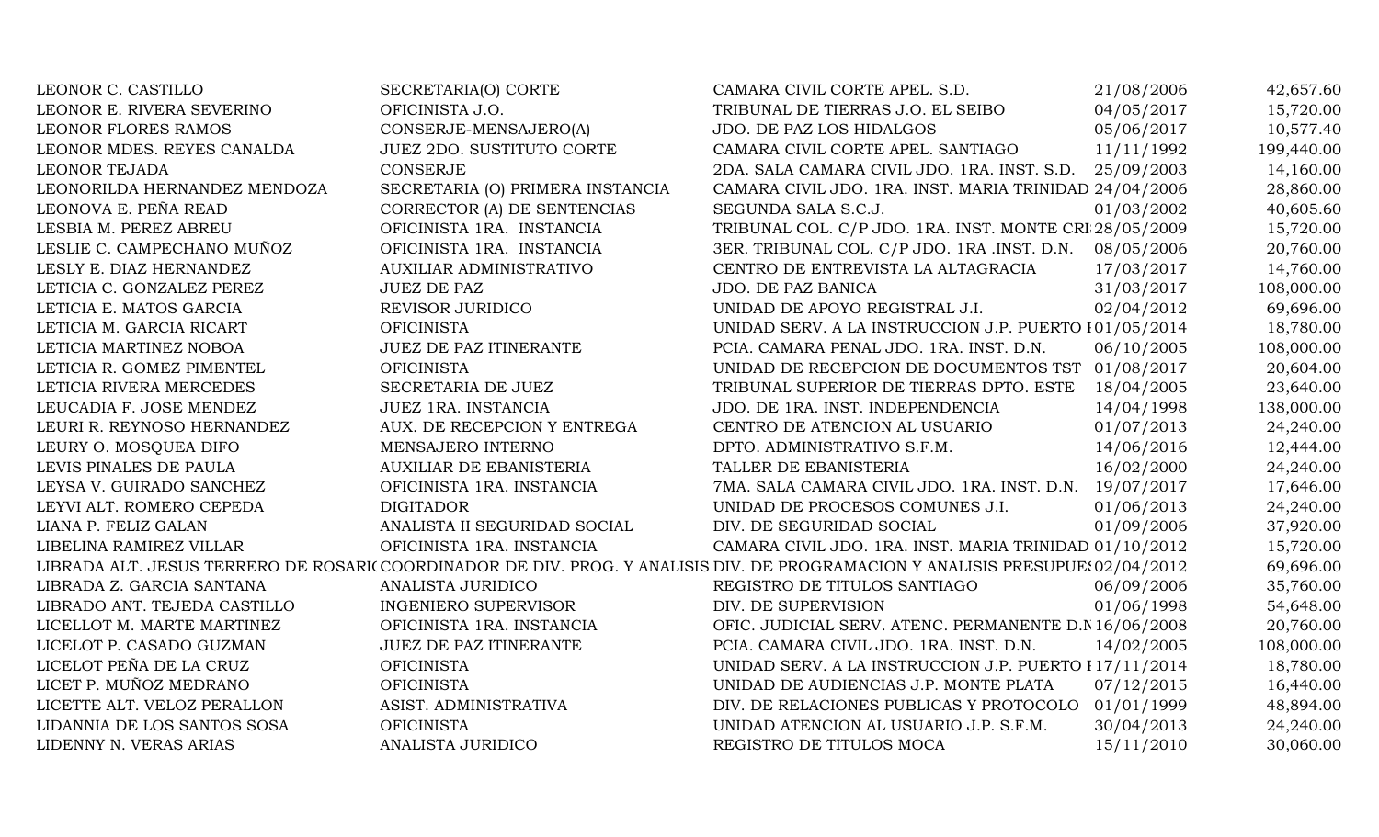| LEONOR C. CASTILLO           | SECRETARIA(O) CORTE              | CAMARA CIVIL CORTE APEL. S.D.                                                                                                  | 21/08/2006 | 42,657.60  |
|------------------------------|----------------------------------|--------------------------------------------------------------------------------------------------------------------------------|------------|------------|
| LEONOR E. RIVERA SEVERINO    | OFICINISTA J.O.                  | TRIBUNAL DE TIERRAS J.O. EL SEIBO                                                                                              | 04/05/2017 | 15,720.00  |
| <b>LEONOR FLORES RAMOS</b>   | CONSERJE-MENSAJERO(A)            | JDO. DE PAZ LOS HIDALGOS                                                                                                       | 05/06/2017 | 10,577.40  |
| LEONOR MDES. REYES CANALDA   | JUEZ 2DO. SUSTITUTO CORTE        | CAMARA CIVIL CORTE APEL. SANTIAGO                                                                                              | 11/11/1992 | 199,440.00 |
| <b>LEONOR TEJADA</b>         | <b>CONSERJE</b>                  | 2DA. SALA CAMARA CIVIL JDO. 1RA. INST. S.D.                                                                                    | 25/09/2003 | 14,160.00  |
| LEONORILDA HERNANDEZ MENDOZA | SECRETARIA (O) PRIMERA INSTANCIA | CAMARA CIVIL JDO. 1RA. INST. MARIA TRINIDAD 24/04/2006                                                                         |            | 28,860.00  |
| LEONOVA E. PEÑA READ         | CORRECTOR (A) DE SENTENCIAS      | SEGUNDA SALA S.C.J.                                                                                                            | 01/03/2002 | 40,605.60  |
| LESBIA M. PEREZ ABREU        | OFICINISTA 1RA. INSTANCIA        | TRIBUNAL COL. C/P JDO. 1RA. INST. MONTE CRI 28/05/2009                                                                         |            | 15,720.00  |
| LESLIE C. CAMPECHANO MUÑOZ   | OFICINISTA 1RA. INSTANCIA        | 3ER. TRIBUNAL COL. C/P JDO. 1RA .INST. D.N.                                                                                    | 08/05/2006 | 20,760.00  |
| LESLY E. DIAZ HERNANDEZ      | <b>AUXILIAR ADMINISTRATIVO</b>   | CENTRO DE ENTREVISTA LA ALTAGRACIA                                                                                             | 17/03/2017 | 14,760.00  |
| LETICIA C. GONZALEZ PEREZ    | <b>JUEZ DE PAZ</b>               | JDO. DE PAZ BANICA                                                                                                             | 31/03/2017 | 108,000.00 |
| LETICIA E. MATOS GARCIA      | REVISOR JURIDICO                 | UNIDAD DE APOYO REGISTRAL J.I.                                                                                                 | 02/04/2012 | 69,696.00  |
| LETICIA M. GARCIA RICART     | <b>OFICINISTA</b>                | UNIDAD SERV. A LA INSTRUCCION J.P. PUERTO 101/05/2014                                                                          |            | 18,780.00  |
| LETICIA MARTINEZ NOBOA       | JUEZ DE PAZ ITINERANTE           | PCIA. CAMARA PENAL JDO. 1RA. INST. D.N.                                                                                        | 06/10/2005 | 108,000.00 |
| LETICIA R. GOMEZ PIMENTEL    | <b>OFICINISTA</b>                | UNIDAD DE RECEPCION DE DOCUMENTOS TST 01/08/2017                                                                               |            | 20,604.00  |
| LETICIA RIVERA MERCEDES      | SECRETARIA DE JUEZ               | TRIBUNAL SUPERIOR DE TIERRAS DPTO. ESTE                                                                                        | 18/04/2005 | 23,640.00  |
| LEUCADIA F. JOSE MENDEZ      | <b>JUEZ 1RA. INSTANCIA</b>       | JDO. DE 1RA. INST. INDEPENDENCIA                                                                                               | 14/04/1998 | 138,000.00 |
| LEURI R. REYNOSO HERNANDEZ   | AUX. DE RECEPCION Y ENTREGA      | CENTRO DE ATENCION AL USUARIO                                                                                                  | 01/07/2013 | 24,240.00  |
| LEURY O. MOSQUEA DIFO        | MENSAJERO INTERNO                | DPTO. ADMINISTRATIVO S.F.M.                                                                                                    | 14/06/2016 | 12,444.00  |
| LEVIS PINALES DE PAULA       | <b>AUXILIAR DE EBANISTERIA</b>   | TALLER DE EBANISTERIA                                                                                                          | 16/02/2000 | 24,240.00  |
| LEYSA V. GUIRADO SANCHEZ     | OFICINISTA 1RA. INSTANCIA        | 7MA. SALA CAMARA CIVIL JDO. 1RA. INST. D.N. 19/07/2017                                                                         |            | 17,646.00  |
| LEYVI ALT. ROMERO CEPEDA     | <b>DIGITADOR</b>                 | UNIDAD DE PROCESOS COMUNES J.I.                                                                                                | 01/06/2013 | 24,240.00  |
| LIANA P. FELIZ GALAN         | ANALISTA II SEGURIDAD SOCIAL     | DIV. DE SEGURIDAD SOCIAL                                                                                                       | 01/09/2006 | 37,920.00  |
| LIBELINA RAMIREZ VILLAR      | OFICINISTA 1RA. INSTANCIA        | CAMARA CIVIL JDO. 1RA. INST. MARIA TRINIDAD 01/10/2012                                                                         |            | 15,720.00  |
|                              |                                  | LIBRADA ALT. JESUS TERRERO DE ROSARI(COORDINADOR DE DIV. PROG. Y ANALISIS DIV. DE PROGRAMACION Y ANALISIS PRESUPUE: 02/04/2012 |            | 69,696.00  |
| LIBRADA Z. GARCIA SANTANA    | ANALISTA JURIDICO                | REGISTRO DE TITULOS SANTIAGO                                                                                                   | 06/09/2006 | 35,760.00  |
| LIBRADO ANT. TEJEDA CASTILLO | <b>INGENIERO SUPERVISOR</b>      | DIV. DE SUPERVISION                                                                                                            | 01/06/1998 | 54,648.00  |
| LICELLOT M. MARTE MARTINEZ   | OFICINISTA 1RA. INSTANCIA        | OFIC. JUDICIAL SERV. ATENC. PERMANENTE D.N 16/06/2008                                                                          |            | 20,760.00  |
| LICELOT P. CASADO GUZMAN     | JUEZ DE PAZ ITINERANTE           | PCIA. CAMARA CIVIL JDO. 1RA. INST. D.N.                                                                                        | 14/02/2005 | 108,000.00 |
| LICELOT PEÑA DE LA CRUZ      | <b>OFICINISTA</b>                | UNIDAD SERV. A LA INSTRUCCION J.P. PUERTO 117/11/2014                                                                          |            | 18,780.00  |
| LICET P. MUÑOZ MEDRANO       | <b>OFICINISTA</b>                | UNIDAD DE AUDIENCIAS J.P. MONTE PLATA                                                                                          | 07/12/2015 | 16,440.00  |
| LICETTE ALT. VELOZ PERALLON  | ASIST. ADMINISTRATIVA            | DIV. DE RELACIONES PUBLICAS Y PROTOCOLO                                                                                        | 01/01/1999 | 48,894.00  |
| LIDANNIA DE LOS SANTOS SOSA  | <b>OFICINISTA</b>                | UNIDAD ATENCION AL USUARIO J.P. S.F.M.                                                                                         | 30/04/2013 | 24,240.00  |
| LIDENNY N. VERAS ARIAS       | ANALISTA JURIDICO                | REGISTRO DE TITULOS MOCA                                                                                                       | 15/11/2010 | 30,060.00  |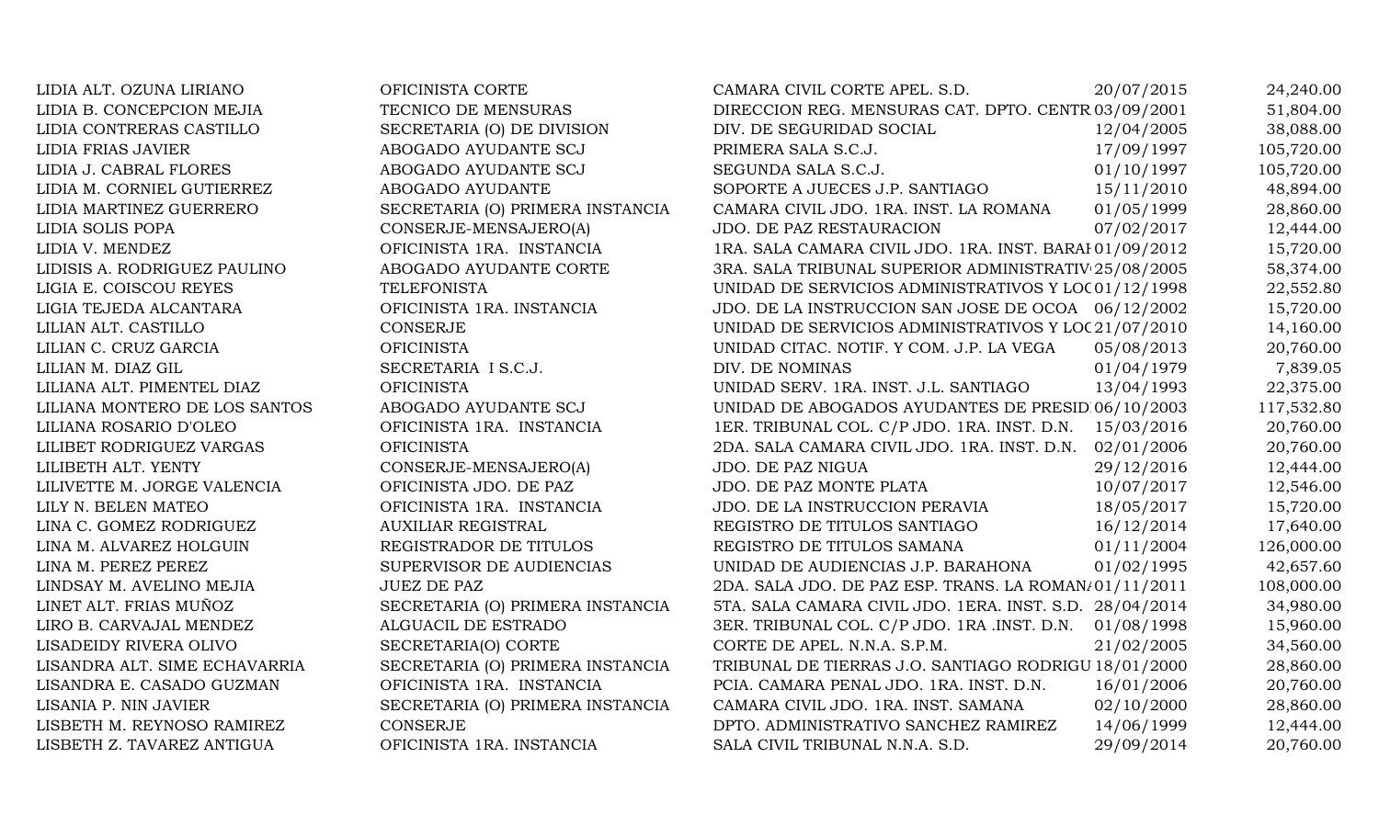LIDIA ALT. OZUNA LIRIANO OFICINISTA CORTE CAMARA CIVIL CORTE APEL. S.D. 20/07/2015 24,240.00 LIDIA B. CONCEPCION MEJIA TECNICO DE MENSURAS DIRECCION REG. MENSURAS CAT. DPTO. CENTR 03/09/2001 51,804.00 LIDIA CONTRERAS CASTILLO SECRETARIA (O) DE DIVISION DIV. DE SEGURIDAD SOCIAL 12/04/2005 38,088.00 LIDIA FRIAS JAVIER ABOGADO AYUDANTE SCJ PRIMERA SALA S.C.J. 17/09/1997 105,720.00 LIDIA J. CABRAL FLORES ABOGADO AYUDANTE SCJ SEGUNDA SALA S.C.J. 01/10/1997 105,720.00 LIDIA M. CORNIEL GUTIERREZ ABOGADO AYUDANTE SOPORTE A JUECES J.P. SANTIAGO 15/11/2010 48,894.00 LIDIA MARTINEZ GUERRERO SECRETARIA (O) PRIMERA INSTANCIA CAMARA CIVIL JDO. 1RA. INST. LA ROMANA 01/05/1999 28,860.00 LIDIA SOLIS POPA CONSERJE-MENSAJERO(A) JDO. DE PAZ RESTAURACION 07/02/2017 12,444.00 LIDIA V. MENDEZ OFICINISTA 1RA. INSTANCIA 1RA. SALA CAMARA CIVIL JDO. 1RA. INST. BARAH 01/09/2012 15,720.00 LIDISIS A. RODRIGUEZ PAULINO ABOGADO AYUDANTE CORTE 3RA. SALA TRIBUNAL SUPERIOR ADMINISTRATIV 25/08/2005 58,374.00 LIGIA E. COISCOU REYES TELEFONISTA TELEFONISTA UNIDAD DE SERVICIOS ADMINISTRATIVOS Y LOC01/12/1998 22,552.80 LIGIA TEJEDA ALCANTARA OFICINISTA 1RA. INSTANCIA JDO. DE LA INSTRUCCION SAN JOSE DE OCOA 06/12/2002 15,720.00 LILIAN ALT. CASTILLO CONSERJE CONSERUE UNIDAD DE SERVICIOS ADMINISTRATIVOS Y LOC 21/07/2010 14,160.00 LILIAN C. CRUZ GARCIA OFICINISTA UNIDAD CITAC. NOTIF. Y COM. J.P. LA VEGA 05/08/2013 20,760.00 LILIAN M. DIAZ GIL SECRETARIA I S.C.J. DIV. DE NOMINAS 01/04/1979 7,839.05 LILIANA ALT. PIMENTEL DIAZ OFICINISTA UNIDAD SERV. 1RA. INST. J.L. SANTIAGO 13/04/1993 22,375.00 LILIANA MONTERO DE LOS SANTOS ABOGADO AYUDANTE SCJ UNIDAD DE ABOGADOS AYUDANTES DE PRESID 06/10/2003 117,532.80 LILIANA ROSARIO D'OLEO OFICINISTA 1RA. INSTANCIA 1ER. TRIBUNAL COL. C/P JDO. 1RA. INST. D.N. 15/03/2016 20,760.00 LILIBET RODRIGUEZ VARGAS OFICINISTA 2DA. SALA CAMARA CIVIL JDO. 1RA. INST. D.N. 02/01/2006 20,760.00 LILIBETH ALT. YENTY CONSERJE-MENSAJERO(A) JDO. DE PAZ NIGUA 29/12/2016 12,444.00 LILIVETTE M. JORGE VALENCIA CFICINISTA JDO. DE PAZ JDO. DE PAZ MONTE PLATA 10/07/2017 12,546.00 LILY N. BELEN MATEO OFICINISTA 1RA. INSTANCIA JDO. DE LA INSTRUCCION PERAVIA 18/05/2017 15,720.00 LINA C. GOMEZ RODRIGUEZ AUXILIAR REGISTRAL REGISTRO DE TITULOS SANTIAGO 16/12/2014 17,640.00 LINA M. ALVAREZ HOLGUIN REGISTRADOR DE TITULOS REGISTRO DE TITULOS SAMANA 01/11/2004 126,000.00 LINA M. PEREZ PEREZ SUPERVISOR DE AUDIENCIAS UNIDAD DE AUDIENCIAS J.P. BARAHONA 01/02/1995 42,657.60 LINDSAY M. AVELINO MEJIA JUEZ DE PAZ 2DA 2DA. SALA JDO. DE PAZ ESP. TRANS. LA ROMAN<sub>1</sub>01/11/2011 108,000.00 LINET ALT. FRIAS MUÑOZ SECRETARIA (O) PRIMERA INSTANCIA 5TA. SALA CAMARA CIVIL JDO. 1ERA. INST. S.D. 28/04/2014 34,980.00 LIRO B. CARVAJAL MENDEZ ALGUACIL DE ESTRADO 3ER. TRIBUNAL COL. C/P JDO. 1RA .INST. D.N. 01/08/1998 15,960.00 LISADEIDY RIVERA OLIVO SECRETARIA(O) CORTE CORTE DE APEL. N.N.A. S.P.M. 21/02/2005 34,560.00 LISANDRA ALT. SIME ECHAVARRIA SECRETARIA (O) PRIMERA INSTANCIA TRIBUNAL DE TIERRAS J.O. SANTIAGO RODRIGU 18/01/2000 28,860.00 LISANDRA E. CASADO GUZMAN OFICINISTA 1RA. INSTANCIA PCIA. CAMARA PENAL JDO. 1RA. INST. D.N. 16/01/2006 20,760.00 LISANIA P. NIN JAVIER SECRETARIA (O) PRIMERA INSTANCIA CAMARA CIVIL JDO. 1RA. INST. SAMANA 02/10/2000 28,860.00 LISBETH M. REYNOSO RAMIREZ CONSERJE CONSERUE DPTO. ADMINISTRATIVO SANCHEZ RAMIREZ 14/06/1999 12,444.00 LISBETH Z. TAVAREZ ANTIGUA OFICINISTA 1RA. INSTANCIA SALA CIVIL TRIBUNAL N.N.A. S.D. 29/09/2014 20,760.00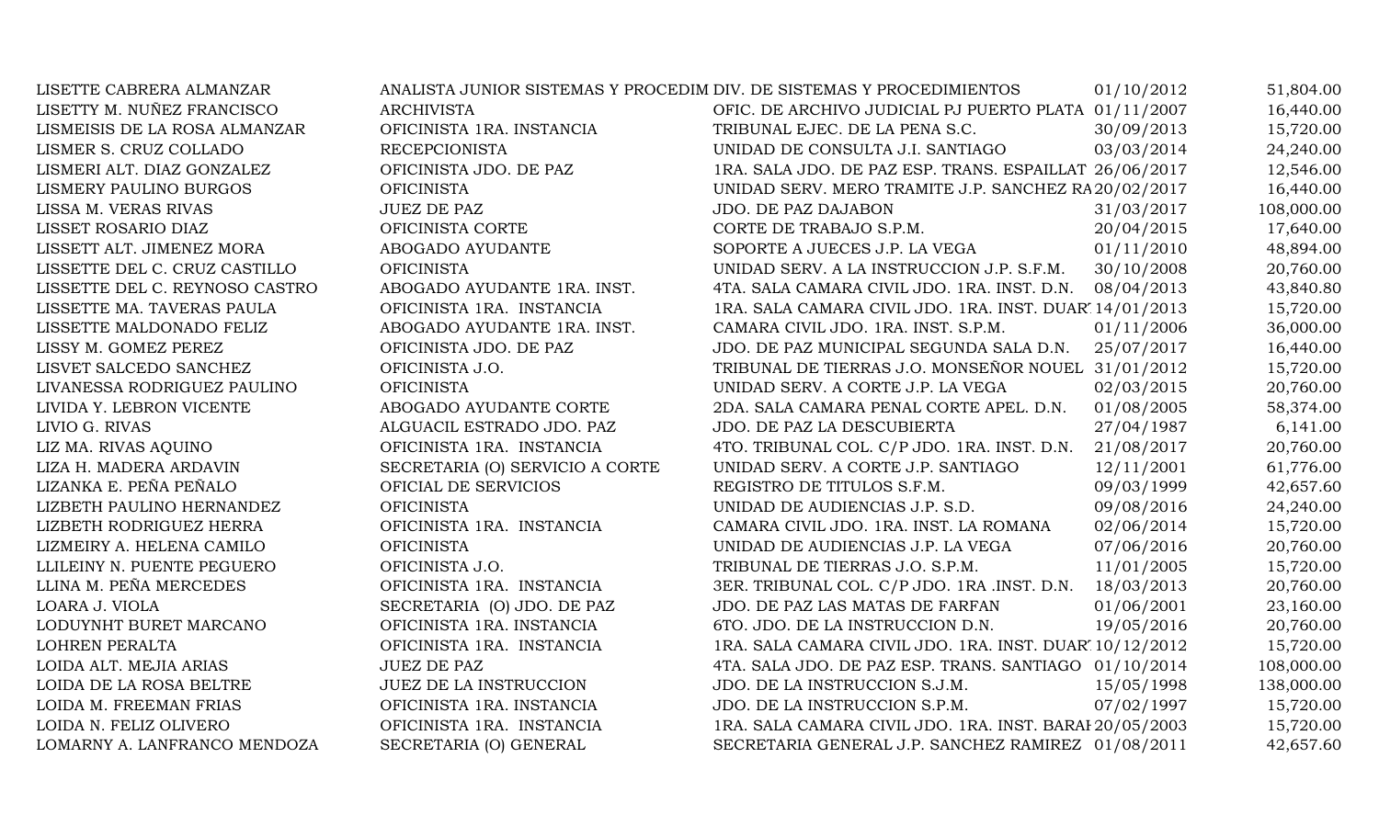| LISETTE CABRERA ALMANZAR       |                                 | ANALISTA JUNIOR SISTEMAS Y PROCEDIM DIV. DE SISTEMAS Y PROCEDIMIENTOS | 01/10/2012 | 51,804.00  |
|--------------------------------|---------------------------------|-----------------------------------------------------------------------|------------|------------|
| LISETTY M. NUÑEZ FRANCISCO     | <b>ARCHIVISTA</b>               | OFIC. DE ARCHIVO JUDICIAL PJ PUERTO PLATA 01/11/2007                  |            | 16,440.00  |
| LISMEISIS DE LA ROSA ALMANZAR  | OFICINISTA 1RA. INSTANCIA       | TRIBUNAL EJEC. DE LA PENA S.C.                                        | 30/09/2013 | 15,720.00  |
| LISMER S. CRUZ COLLADO         | <b>RECEPCIONISTA</b>            | UNIDAD DE CONSULTA J.I. SANTIAGO                                      | 03/03/2014 | 24,240.00  |
| LISMERI ALT. DIAZ GONZALEZ     | OFICINISTA JDO. DE PAZ          | 1RA. SALA JDO. DE PAZ ESP. TRANS. ESPAILLAT 26/06/2017                |            | 12,546.00  |
| LISMERY PAULINO BURGOS         | <b>OFICINISTA</b>               | UNIDAD SERV. MERO TRAMITE J.P. SANCHEZ RA 20/02/2017                  |            | 16,440.00  |
| LISSA M. VERAS RIVAS           | <b>JUEZ DE PAZ</b>              | JDO. DE PAZ DAJABON                                                   | 31/03/2017 | 108,000.00 |
| LISSET ROSARIO DIAZ            | OFICINISTA CORTE                | CORTE DE TRABAJO S.P.M.                                               | 20/04/2015 | 17,640.00  |
| LISSETT ALT. JIMENEZ MORA      | ABOGADO AYUDANTE                | SOPORTE A JUECES J.P. LA VEGA                                         | 01/11/2010 | 48,894.00  |
| LISSETTE DEL C. CRUZ CASTILLO  | <b>OFICINISTA</b>               | UNIDAD SERV. A LA INSTRUCCION J.P. S.F.M.                             | 30/10/2008 | 20,760.00  |
| LISSETTE DEL C. REYNOSO CASTRO | ABOGADO AYUDANTE 1RA. INST.     | 4TA. SALA CAMARA CIVIL JDO. 1RA. INST. D.N. 08/04/2013                |            | 43,840.80  |
| LISSETTE MA. TAVERAS PAULA     | OFICINISTA 1RA. INSTANCIA       | 1RA. SALA CAMARA CIVIL JDO. 1RA. INST. DUAR' 14/01/2013               |            | 15,720.00  |
| LISSETTE MALDONADO FELIZ       | ABOGADO AYUDANTE 1RA. INST.     | CAMARA CIVIL JDO. 1RA. INST. S.P.M.                                   | 01/11/2006 | 36,000.00  |
| LISSY M. GOMEZ PEREZ           | OFICINISTA JDO. DE PAZ          | JDO. DE PAZ MUNICIPAL SEGUNDA SALA D.N.                               | 25/07/2017 | 16,440.00  |
| LISVET SALCEDO SANCHEZ         | OFICINISTA J.O.                 | TRIBUNAL DE TIERRAS J.O. MONSEÑOR NOUEL 31/01/2012                    |            | 15,720.00  |
| LIVANESSA RODRIGUEZ PAULINO    | <b>OFICINISTA</b>               | UNIDAD SERV. A CORTE J.P. LA VEGA                                     | 02/03/2015 | 20,760.00  |
| LIVIDA Y. LEBRON VICENTE       | ABOGADO AYUDANTE CORTE          | 2DA. SALA CAMARA PENAL CORTE APEL. D.N.                               | 01/08/2005 | 58,374.00  |
| LIVIO G. RIVAS                 | ALGUACIL ESTRADO JDO. PAZ       | JDO. DE PAZ LA DESCUBIERTA                                            | 27/04/1987 | 6,141.00   |
| LIZ MA. RIVAS AQUINO           | OFICINISTA 1RA. INSTANCIA       | 4TO. TRIBUNAL COL. C/P JDO. 1RA. INST. D.N.                           | 21/08/2017 | 20,760.00  |
| LIZA H. MADERA ARDAVIN         | SECRETARIA (O) SERVICIO A CORTE | UNIDAD SERV. A CORTE J.P. SANTIAGO                                    | 12/11/2001 | 61,776.00  |
| LIZANKA E. PEÑA PEÑALO         | OFICIAL DE SERVICIOS            | REGISTRO DE TITULOS S.F.M.                                            | 09/03/1999 | 42,657.60  |
| LIZBETH PAULINO HERNANDEZ      | <b>OFICINISTA</b>               | UNIDAD DE AUDIENCIAS J.P. S.D.                                        | 09/08/2016 | 24,240.00  |
| LIZBETH RODRIGUEZ HERRA        | OFICINISTA 1RA. INSTANCIA       | CAMARA CIVIL JDO. 1RA. INST. LA ROMANA                                | 02/06/2014 | 15,720.00  |
| LIZMEIRY A. HELENA CAMILO      | <b>OFICINISTA</b>               | UNIDAD DE AUDIENCIAS J.P. LA VEGA                                     | 07/06/2016 | 20,760.00  |
| LLILEINY N. PUENTE PEGUERO     | OFICINISTA J.O.                 | TRIBUNAL DE TIERRAS J.O. S.P.M.                                       | 11/01/2005 | 15,720.00  |
| LLINA M. PEÑA MERCEDES         | OFICINISTA 1RA. INSTANCIA       | 3ER. TRIBUNAL COL. C/P JDO. 1RA .INST. D.N.                           | 18/03/2013 | 20,760.00  |
| LOARA J. VIOLA                 | SECRETARIA (O) JDO. DE PAZ      | JDO. DE PAZ LAS MATAS DE FARFAN                                       | 01/06/2001 | 23,160.00  |
| LODUYNHT BURET MARCANO         | OFICINISTA 1RA. INSTANCIA       | 6TO. JDO. DE LA INSTRUCCION D.N.                                      | 19/05/2016 | 20,760.00  |
| LOHREN PERALTA                 | OFICINISTA 1RA. INSTANCIA       | 1RA. SALA CAMARA CIVIL JDO. 1RA. INST. DUAR' 10/12/2012               |            | 15,720.00  |
| LOIDA ALT. MEJIA ARIAS         | <b>JUEZ DE PAZ</b>              | 4TA. SALA JDO. DE PAZ ESP. TRANS. SANTIAGO 01/10/2014                 |            | 108,000.00 |
| LOIDA DE LA ROSA BELTRE        | JUEZ DE LA INSTRUCCION          | JDO. DE LA INSTRUCCION S.J.M.                                         | 15/05/1998 | 138,000.00 |
| LOIDA M. FREEMAN FRIAS         | OFICINISTA 1RA. INSTANCIA       | JDO. DE LA INSTRUCCION S.P.M.                                         | 07/02/1997 | 15,720.00  |
| LOIDA N. FELIZ OLIVERO         | OFICINISTA 1RA. INSTANCIA       | 1RA. SALA CAMARA CIVIL JDO. 1RA. INST. BARAI 20/05/2003               |            | 15,720.00  |
| LOMARNY A. LANFRANCO MENDOZA   | SECRETARIA (O) GENERAL          | SECRETARIA GENERAL J.P. SANCHEZ RAMIREZ 01/08/2011                    |            | 42,657.60  |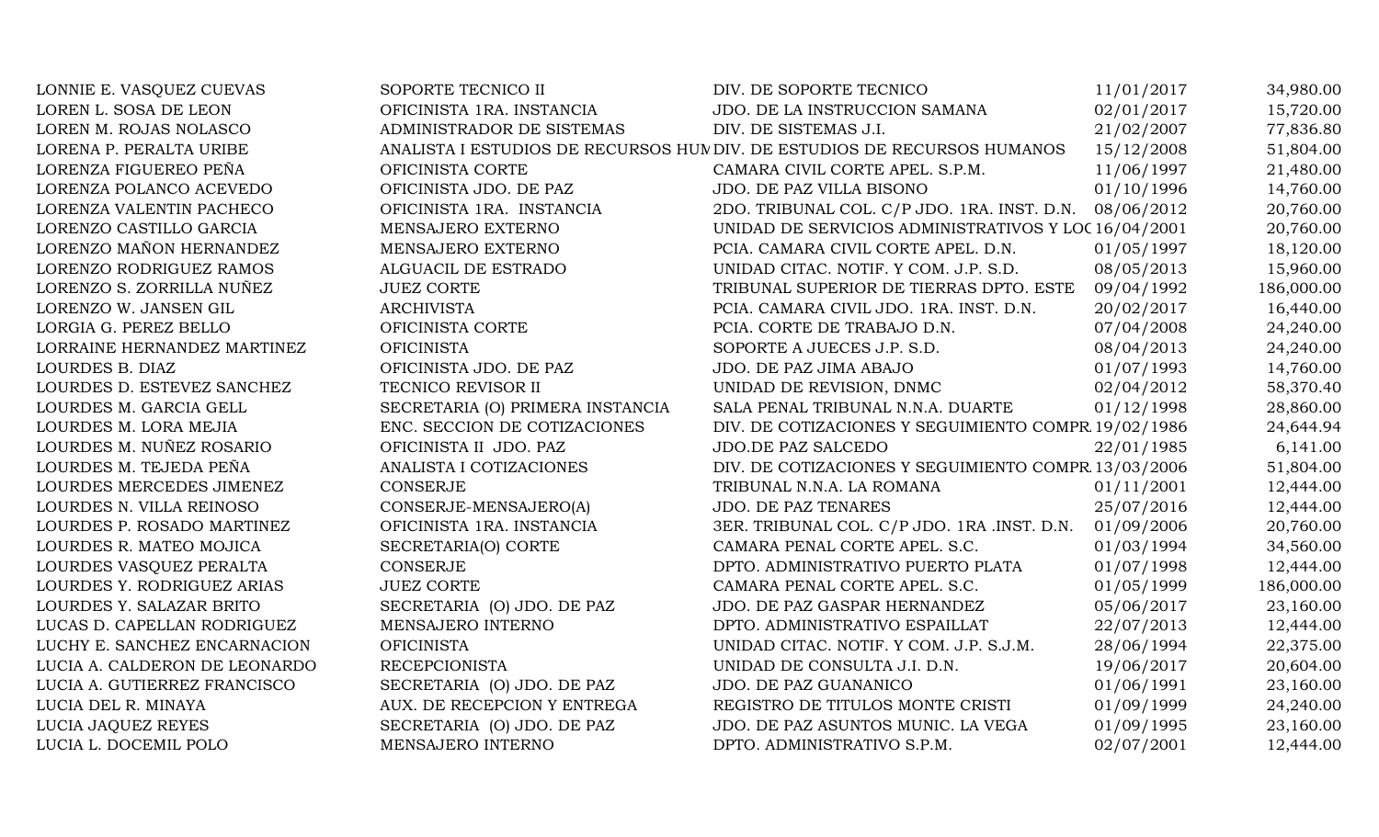| LONNIE E. VASQUEZ CUEVAS      | SOPORTE TECNICO II               | DIV. DE SOPORTE TECNICO                                                  | 11/01/2017 | 34,980.00  |
|-------------------------------|----------------------------------|--------------------------------------------------------------------------|------------|------------|
| LOREN L. SOSA DE LEON         | OFICINISTA 1RA. INSTANCIA        | JDO. DE LA INSTRUCCION SAMANA                                            | 02/01/2017 | 15,720.00  |
| LOREN M. ROJAS NOLASCO        | ADMINISTRADOR DE SISTEMAS        | DIV. DE SISTEMAS J.I.                                                    | 21/02/2007 | 77,836.80  |
| LORENA P. PERALTA URIBE       |                                  | ANALISTA I ESTUDIOS DE RECURSOS HUN DIV. DE ESTUDIOS DE RECURSOS HUMANOS | 15/12/2008 | 51,804.00  |
| LORENZA FIGUEREO PEÑA         | OFICINISTA CORTE                 | CAMARA CIVIL CORTE APEL. S.P.M.                                          | 11/06/1997 | 21,480.00  |
| LORENZA POLANCO ACEVEDO       | OFICINISTA JDO. DE PAZ           | JDO. DE PAZ VILLA BISONO                                                 | 01/10/1996 | 14,760.00  |
| LORENZA VALENTIN PACHECO      | OFICINISTA 1RA. INSTANCIA        | 2DO. TRIBUNAL COL. C/P JDO. 1RA. INST. D.N.                              | 08/06/2012 | 20,760.00  |
| LORENZO CASTILLO GARCIA       | MENSAJERO EXTERNO                | UNIDAD DE SERVICIOS ADMINISTRATIVOS Y LOC 16/04/2001                     |            | 20,760.00  |
| LORENZO MAÑON HERNANDEZ       | MENSAJERO EXTERNO                | PCIA. CAMARA CIVIL CORTE APEL. D.N.                                      | 01/05/1997 | 18,120.00  |
| LORENZO RODRIGUEZ RAMOS       | ALGUACIL DE ESTRADO              | UNIDAD CITAC. NOTIF. Y COM. J.P. S.D.                                    | 08/05/2013 | 15,960.00  |
| LORENZO S. ZORRILLA NUÑEZ     | <b>JUEZ CORTE</b>                | TRIBUNAL SUPERIOR DE TIERRAS DPTO. ESTE                                  | 09/04/1992 | 186,000.00 |
| LORENZO W. JANSEN GIL         | <b>ARCHIVISTA</b>                | PCIA. CAMARA CIVIL JDO. 1RA. INST. D.N.                                  | 20/02/2017 | 16,440.00  |
| LORGIA G. PEREZ BELLO         | OFICINISTA CORTE                 | PCIA. CORTE DE TRABAJO D.N.                                              | 07/04/2008 | 24,240.00  |
| LORRAINE HERNANDEZ MARTINEZ   | <b>OFICINISTA</b>                | SOPORTE A JUECES J.P. S.D.                                               | 08/04/2013 | 24,240.00  |
| LOURDES B. DIAZ               | OFICINISTA JDO. DE PAZ           | JDO. DE PAZ JIMA ABAJO                                                   | 01/07/1993 | 14,760.00  |
| LOURDES D. ESTEVEZ SANCHEZ    | TECNICO REVISOR II               | UNIDAD DE REVISION, DNMC                                                 | 02/04/2012 | 58,370.40  |
| LOURDES M. GARCIA GELL        | SECRETARIA (O) PRIMERA INSTANCIA | SALA PENAL TRIBUNAL N.N.A. DUARTE                                        | 01/12/1998 | 28,860.00  |
| LOURDES M. LORA MEJIA         | ENC. SECCION DE COTIZACIONES     | DIV. DE COTIZACIONES Y SEGUIMIENTO COMPR 19/02/1986                      |            | 24,644.94  |
| LOURDES M. NUÑEZ ROSARIO      | OFICINISTA II JDO. PAZ           | JDO.DE PAZ SALCEDO                                                       | 22/01/1985 | 6,141.00   |
| LOURDES M. TEJEDA PEÑA        | ANALISTA I COTIZACIONES          | DIV. DE COTIZACIONES Y SEGUIMIENTO COMPR 13/03/2006                      |            | 51,804.00  |
| LOURDES MERCEDES JIMENEZ      | <b>CONSERJE</b>                  | TRIBUNAL N.N.A. LA ROMANA                                                | 01/11/2001 | 12,444.00  |
| LOURDES N. VILLA REINOSO      | CONSERJE-MENSAJERO(A)            | <b>JDO. DE PAZ TENARES</b>                                               | 25/07/2016 | 12,444.00  |
| LOURDES P. ROSADO MARTINEZ    | OFICINISTA 1RA. INSTANCIA        | 3ER. TRIBUNAL COL. C/P JDO. 1RA .INST. D.N.                              | 01/09/2006 | 20,760.00  |
| LOURDES R. MATEO MOJICA       | SECRETARIA(O) CORTE              | CAMARA PENAL CORTE APEL. S.C.                                            | 01/03/1994 | 34,560.00  |
| LOURDES VASQUEZ PERALTA       | CONSERJE                         | DPTO. ADMINISTRATIVO PUERTO PLATA                                        | 01/07/1998 | 12,444.00  |
| LOURDES Y. RODRIGUEZ ARIAS    | <b>JUEZ CORTE</b>                | CAMARA PENAL CORTE APEL. S.C.                                            | 01/05/1999 | 186,000.00 |
| LOURDES Y. SALAZAR BRITO      | SECRETARIA (O) JDO. DE PAZ       | JDO. DE PAZ GASPAR HERNANDEZ                                             | 05/06/2017 | 23,160.00  |
| LUCAS D. CAPELLAN RODRIGUEZ   | MENSAJERO INTERNO                | DPTO. ADMINISTRATIVO ESPAILLAT                                           | 22/07/2013 | 12,444.00  |
| LUCHY E. SANCHEZ ENCARNACION  | <b>OFICINISTA</b>                | UNIDAD CITAC. NOTIF. Y COM. J.P. S.J.M.                                  | 28/06/1994 | 22,375.00  |
| LUCIA A. CALDERON DE LEONARDO | <b>RECEPCIONISTA</b>             | UNIDAD DE CONSULTA J.I. D.N.                                             | 19/06/2017 | 20,604.00  |
| LUCIA A. GUTIERREZ FRANCISCO  | SECRETARIA (O) JDO. DE PAZ       | JDO. DE PAZ GUANANICO                                                    | 01/06/1991 | 23,160.00  |
| LUCIA DEL R. MINAYA           | AUX. DE RECEPCION Y ENTREGA      | REGISTRO DE TITULOS MONTE CRISTI                                         | 01/09/1999 | 24,240.00  |
| LUCIA JAQUEZ REYES            | SECRETARIA (O) JDO. DE PAZ       | JDO. DE PAZ ASUNTOS MUNIC. LA VEGA                                       | 01/09/1995 | 23,160.00  |
| LUCIA L. DOCEMIL POLO         | MENSAJERO INTERNO                | DPTO. ADMINISTRATIVO S.P.M.                                              | 02/07/2001 | 12,444.00  |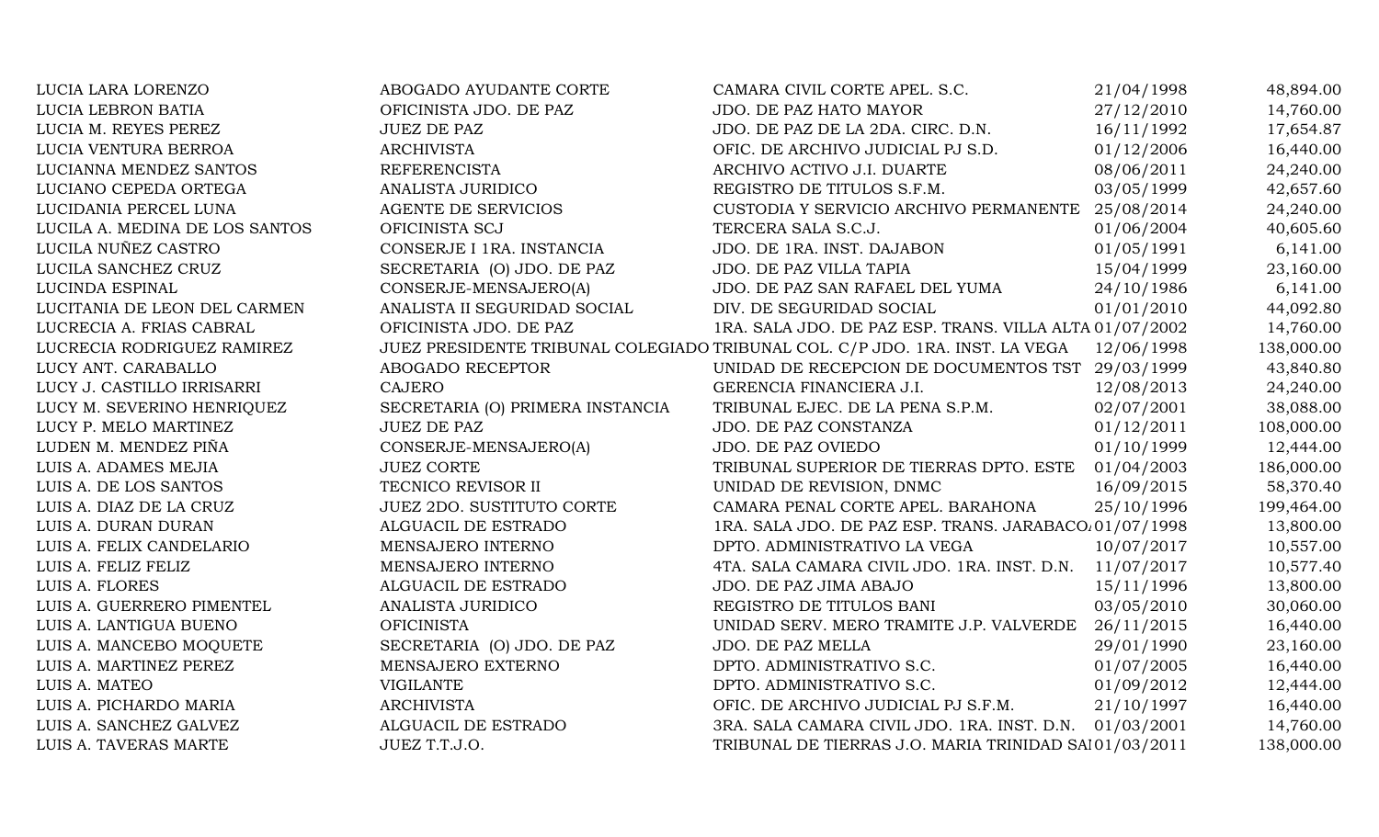| LUCIA LARA LORENZO             | ABOGADO AYUDANTE CORTE           | CAMARA CIVIL CORTE APEL. S.C.                                                | 21/04/1998 | 48,894.00  |
|--------------------------------|----------------------------------|------------------------------------------------------------------------------|------------|------------|
| LUCIA LEBRON BATIA             | OFICINISTA JDO. DE PAZ           | JDO. DE PAZ HATO MAYOR                                                       | 27/12/2010 | 14,760.00  |
| LUCIA M. REYES PEREZ           | <b>JUEZ DE PAZ</b>               | JDO. DE PAZ DE LA 2DA. CIRC. D.N.                                            | 16/11/1992 | 17,654.87  |
| LUCIA VENTURA BERROA           | <b>ARCHIVISTA</b>                | OFIC. DE ARCHIVO JUDICIAL PJ S.D.                                            | 01/12/2006 | 16,440.00  |
| LUCIANNA MENDEZ SANTOS         | <b>REFERENCISTA</b>              | ARCHIVO ACTIVO J.I. DUARTE                                                   | 08/06/2011 | 24,240.00  |
| LUCIANO CEPEDA ORTEGA          | ANALISTA JURIDICO                | REGISTRO DE TITULOS S.F.M.                                                   | 03/05/1999 | 42,657.60  |
| LUCIDANIA PERCEL LUNA          | <b>AGENTE DE SERVICIOS</b>       | CUSTODIA Y SERVICIO ARCHIVO PERMANENTE                                       | 25/08/2014 | 24,240.00  |
| LUCILA A. MEDINA DE LOS SANTOS | OFICINISTA SCJ                   | TERCERA SALA S.C.J.                                                          | 01/06/2004 | 40,605.60  |
| LUCILA NUÑEZ CASTRO            | CONSERJE I 1RA. INSTANCIA        | JDO. DE 1RA. INST. DAJABON                                                   | 01/05/1991 | 6,141.00   |
| LUCILA SANCHEZ CRUZ            | SECRETARIA (O) JDO. DE PAZ       | JDO. DE PAZ VILLA TAPIA                                                      | 15/04/1999 | 23,160.00  |
| LUCINDA ESPINAL                | CONSERJE-MENSAJERO(A)            | JDO. DE PAZ SAN RAFAEL DEL YUMA                                              | 24/10/1986 | 6,141.00   |
| LUCITANIA DE LEON DEL CARMEN   | ANALISTA II SEGURIDAD SOCIAL     | DIV. DE SEGURIDAD SOCIAL                                                     | 01/01/2010 | 44,092.80  |
| LUCRECIA A. FRIAS CABRAL       | OFICINISTA JDO. DE PAZ           | 1RA. SALA JDO. DE PAZ ESP. TRANS. VILLA ALTA 01/07/2002                      |            | 14,760.00  |
| LUCRECIA RODRIGUEZ RAMIREZ     |                                  | JUEZ PRESIDENTE TRIBUNAL COLEGIADO TRIBUNAL COL. C/P JDO. 1RA. INST. LA VEGA | 12/06/1998 | 138,000.00 |
| LUCY ANT. CARABALLO            | ABOGADO RECEPTOR                 | UNIDAD DE RECEPCION DE DOCUMENTOS TST 29/03/1999                             |            | 43,840.80  |
| LUCY J. CASTILLO IRRISARRI     | CAJERO                           | GERENCIA FINANCIERA J.I.                                                     | 12/08/2013 | 24,240.00  |
| LUCY M. SEVERINO HENRIQUEZ     | SECRETARIA (O) PRIMERA INSTANCIA | TRIBUNAL EJEC. DE LA PENA S.P.M.                                             | 02/07/2001 | 38,088.00  |
| LUCY P. MELO MARTINEZ          | <b>JUEZ DE PAZ</b>               | JDO. DE PAZ CONSTANZA                                                        | 01/12/2011 | 108,000.00 |
| LUDEN M. MENDEZ PIÑA           | CONSERJE-MENSAJERO(A)            | JDO. DE PAZ OVIEDO                                                           | 01/10/1999 | 12,444.00  |
| LUIS A. ADAMES MEJIA           | <b>JUEZ CORTE</b>                | TRIBUNAL SUPERIOR DE TIERRAS DPTO. ESTE                                      | 01/04/2003 | 186,000.00 |
| LUIS A. DE LOS SANTOS          | TECNICO REVISOR II               | UNIDAD DE REVISION, DNMC                                                     | 16/09/2015 | 58,370.40  |
| LUIS A. DIAZ DE LA CRUZ        | JUEZ 2DO. SUSTITUTO CORTE        | CAMARA PENAL CORTE APEL. BARAHONA                                            | 25/10/1996 | 199,464.00 |
| LUIS A. DURAN DURAN            | ALGUACIL DE ESTRADO              | 1RA. SALA JDO. DE PAZ ESP. TRANS. JARABACO. 01/07/1998                       |            | 13,800.00  |
| LUIS A. FELIX CANDELARIO       | MENSAJERO INTERNO                | DPTO. ADMINISTRATIVO LA VEGA                                                 | 10/07/2017 | 10,557.00  |
| LUIS A. FELIZ FELIZ            | MENSAJERO INTERNO                | 4TA. SALA CAMARA CIVIL JDO. 1RA. INST. D.N. 11/07/2017                       |            | 10,577.40  |
| LUIS A. FLORES                 | ALGUACIL DE ESTRADO              | JDO. DE PAZ JIMA ABAJO                                                       | 15/11/1996 | 13,800.00  |
| LUIS A. GUERRERO PIMENTEL      | ANALISTA JURIDICO                | REGISTRO DE TITULOS BANI                                                     | 03/05/2010 | 30,060.00  |
| LUIS A. LANTIGUA BUENO         | <b>OFICINISTA</b>                | UNIDAD SERV. MERO TRAMITE J.P. VALVERDE                                      | 26/11/2015 | 16,440.00  |
| LUIS A. MANCEBO MOQUETE        | SECRETARIA (O) JDO. DE PAZ       | JDO. DE PAZ MELLA                                                            | 29/01/1990 | 23,160.00  |
| LUIS A. MARTINEZ PEREZ         | MENSAJERO EXTERNO                | DPTO. ADMINISTRATIVO S.C.                                                    | 01/07/2005 | 16,440.00  |
| LUIS A. MATEO                  | <b>VIGILANTE</b>                 | DPTO. ADMINISTRATIVO S.C.                                                    | 01/09/2012 | 12,444.00  |
| LUIS A. PICHARDO MARIA         | <b>ARCHIVISTA</b>                | OFIC. DE ARCHIVO JUDICIAL PJ S.F.M.                                          | 21/10/1997 | 16,440.00  |
| LUIS A. SANCHEZ GALVEZ         | ALGUACIL DE ESTRADO              | 3RA. SALA CAMARA CIVIL JDO. 1RA. INST. D.N.                                  | 01/03/2001 | 14,760.00  |
| LUIS A. TAVERAS MARTE          | JUEZ T.T.J.O.                    | TRIBUNAL DE TIERRAS J.O. MARIA TRINIDAD SAI 01/03/2011                       |            | 138,000.00 |
|                                |                                  |                                                                              |            |            |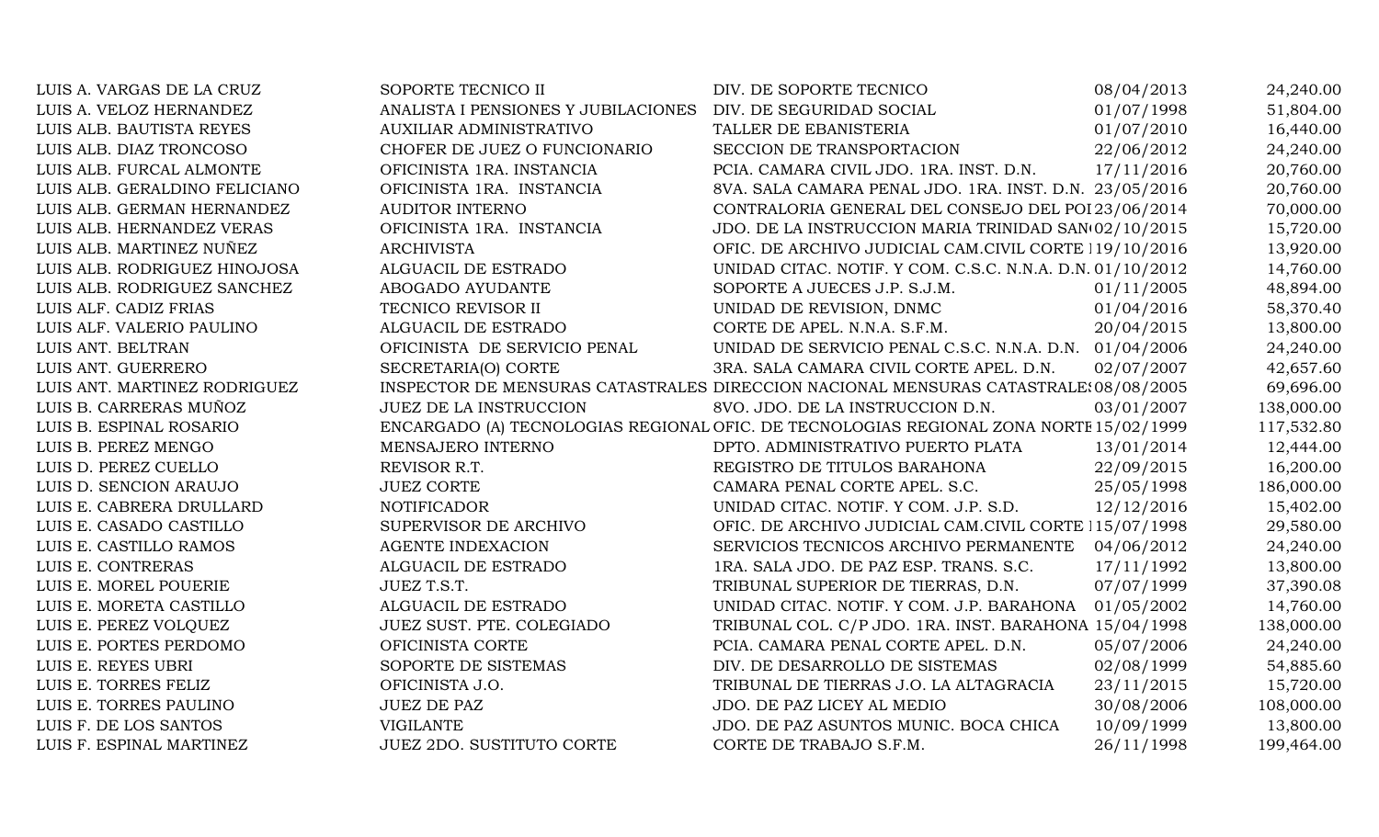| LUIS A. VARGAS DE LA CRUZ     | SOPORTE TECNICO II                  | DIV. DE SOPORTE TECNICO                                                                | 08/04/2013 | 24,240.00  |
|-------------------------------|-------------------------------------|----------------------------------------------------------------------------------------|------------|------------|
| LUIS A. VELOZ HERNANDEZ       | ANALISTA I PENSIONES Y JUBILACIONES | DIV. DE SEGURIDAD SOCIAL                                                               | 01/07/1998 | 51,804.00  |
| LUIS ALB. BAUTISTA REYES      | <b>AUXILIAR ADMINISTRATIVO</b>      | TALLER DE EBANISTERIA                                                                  | 01/07/2010 | 16,440.00  |
| LUIS ALB. DIAZ TRONCOSO       | CHOFER DE JUEZ O FUNCIONARIO        | SECCION DE TRANSPORTACION                                                              | 22/06/2012 | 24,240.00  |
| LUIS ALB. FURCAL ALMONTE      | OFICINISTA 1RA. INSTANCIA           | PCIA. CAMARA CIVIL JDO. 1RA. INST. D.N.                                                | 17/11/2016 | 20,760.00  |
| LUIS ALB. GERALDINO FELICIANO | OFICINISTA 1RA. INSTANCIA           | 8VA. SALA CAMARA PENAL JDO. 1RA. INST. D.N. 23/05/2016                                 |            | 20,760.00  |
| LUIS ALB. GERMAN HERNANDEZ    | <b>AUDITOR INTERNO</b>              | CONTRALORIA GENERAL DEL CONSEJO DEL POI 23/06/2014                                     |            | 70,000.00  |
| LUIS ALB. HERNANDEZ VERAS     | OFICINISTA 1RA. INSTANCIA           | JDO. DE LA INSTRUCCION MARIA TRINIDAD SAN(02/10/2015                                   |            | 15,720.00  |
| LUIS ALB. MARTINEZ NUÑEZ      | <b>ARCHIVISTA</b>                   | OFIC. DE ARCHIVO JUDICIAL CAM.CIVIL CORTE 19/10/2016                                   |            | 13,920.00  |
| LUIS ALB. RODRIGUEZ HINOJOSA  | ALGUACIL DE ESTRADO                 | UNIDAD CITAC. NOTIF. Y COM. C.S.C. N.N.A. D.N. 01/10/2012                              |            | 14,760.00  |
| LUIS ALB. RODRIGUEZ SANCHEZ   | ABOGADO AYUDANTE                    | SOPORTE A JUECES J.P. S.J.M.                                                           | 01/11/2005 | 48,894.00  |
| LUIS ALF. CADIZ FRIAS         | TECNICO REVISOR II                  | UNIDAD DE REVISION, DNMC                                                               | 01/04/2016 | 58,370.40  |
| LUIS ALF. VALERIO PAULINO     | ALGUACIL DE ESTRADO                 | CORTE DE APEL. N.N.A. S.F.M.                                                           | 20/04/2015 | 13,800.00  |
| LUIS ANT. BELTRAN             | OFICINISTA DE SERVICIO PENAL        | UNIDAD DE SERVICIO PENAL C.S.C. N.N.A. D.N. 01/04/2006                                 |            | 24,240.00  |
| LUIS ANT. GUERRERO            | SECRETARIA(O) CORTE                 | 3RA. SALA CAMARA CIVIL CORTE APEL. D.N.                                                | 02/07/2007 | 42,657.60  |
| LUIS ANT. MARTINEZ RODRIGUEZ  |                                     | INSPECTOR DE MENSURAS CATASTRALES DIRECCION NACIONAL MENSURAS CATASTRALE: 08/08/2005   |            | 69,696.00  |
| LUIS B. CARRERAS MUÑOZ        | JUEZ DE LA INSTRUCCION              | 8VO. JDO. DE LA INSTRUCCION D.N.                                                       | 03/01/2007 | 138,000.00 |
| LUIS B. ESPINAL ROSARIO       |                                     | ENCARGADO (A) TECNOLOGIAS REGIONAL OFIC. DE TECNOLOGIAS REGIONAL ZONA NORTE 15/02/1999 |            | 117,532.80 |
| LUIS B. PEREZ MENGO           | MENSAJERO INTERNO                   | DPTO. ADMINISTRATIVO PUERTO PLATA                                                      | 13/01/2014 | 12,444.00  |
| LUIS D. PEREZ CUELLO          | REVISOR R.T.                        | REGISTRO DE TITULOS BARAHONA                                                           | 22/09/2015 | 16,200.00  |
| LUIS D. SENCION ARAUJO        | <b>JUEZ CORTE</b>                   | CAMARA PENAL CORTE APEL. S.C.                                                          | 25/05/1998 | 186,000.00 |
| LUIS E. CABRERA DRULLARD      | <b>NOTIFICADOR</b>                  | UNIDAD CITAC. NOTIF. Y COM. J.P. S.D.                                                  | 12/12/2016 | 15,402.00  |
| LUIS E. CASADO CASTILLO       | SUPERVISOR DE ARCHIVO               | OFIC. DE ARCHIVO JUDICIAL CAM.CIVIL CORTE 115/07/1998                                  |            | 29,580.00  |
| LUIS E. CASTILLO RAMOS        | <b>AGENTE INDEXACION</b>            | SERVICIOS TECNICOS ARCHIVO PERMANENTE                                                  | 04/06/2012 | 24,240.00  |
| LUIS E. CONTRERAS             | ALGUACIL DE ESTRADO                 | 1RA. SALA JDO. DE PAZ ESP. TRANS. S.C.                                                 | 17/11/1992 | 13,800.00  |
| LUIS E. MOREL POUERIE         | JUEZ T.S.T.                         | TRIBUNAL SUPERIOR DE TIERRAS, D.N.                                                     | 07/07/1999 | 37,390.08  |
| LUIS E. MORETA CASTILLO       | ALGUACIL DE ESTRADO                 | UNIDAD CITAC. NOTIF. Y COM. J.P. BARAHONA                                              | 01/05/2002 | 14,760.00  |
| LUIS E. PEREZ VOLQUEZ         | JUEZ SUST. PTE. COLEGIADO           | TRIBUNAL COL. C/P JDO. 1RA. INST. BARAHONA 15/04/1998                                  |            | 138,000.00 |
| LUIS E. PORTES PERDOMO        | OFICINISTA CORTE                    | PCIA. CAMARA PENAL CORTE APEL. D.N.                                                    | 05/07/2006 | 24,240.00  |
| LUIS E. REYES UBRI            | SOPORTE DE SISTEMAS                 | DIV. DE DESARROLLO DE SISTEMAS                                                         | 02/08/1999 | 54,885.60  |
| LUIS E. TORRES FELIZ          | OFICINISTA J.O.                     | TRIBUNAL DE TIERRAS J.O. LA ALTAGRACIA                                                 | 23/11/2015 | 15,720.00  |
| LUIS E. TORRES PAULINO        | <b>JUEZ DE PAZ</b>                  | JDO. DE PAZ LICEY AL MEDIO                                                             | 30/08/2006 | 108,000.00 |
| LUIS F. DE LOS SANTOS         | <b>VIGILANTE</b>                    | JDO. DE PAZ ASUNTOS MUNIC. BOCA CHICA                                                  | 10/09/1999 | 13,800.00  |
| LUIS F. ESPINAL MARTINEZ      | <b>JUEZ 2DO. SUSTITUTO CORTE</b>    | CORTE DE TRABAJO S.F.M.                                                                | 26/11/1998 | 199,464.00 |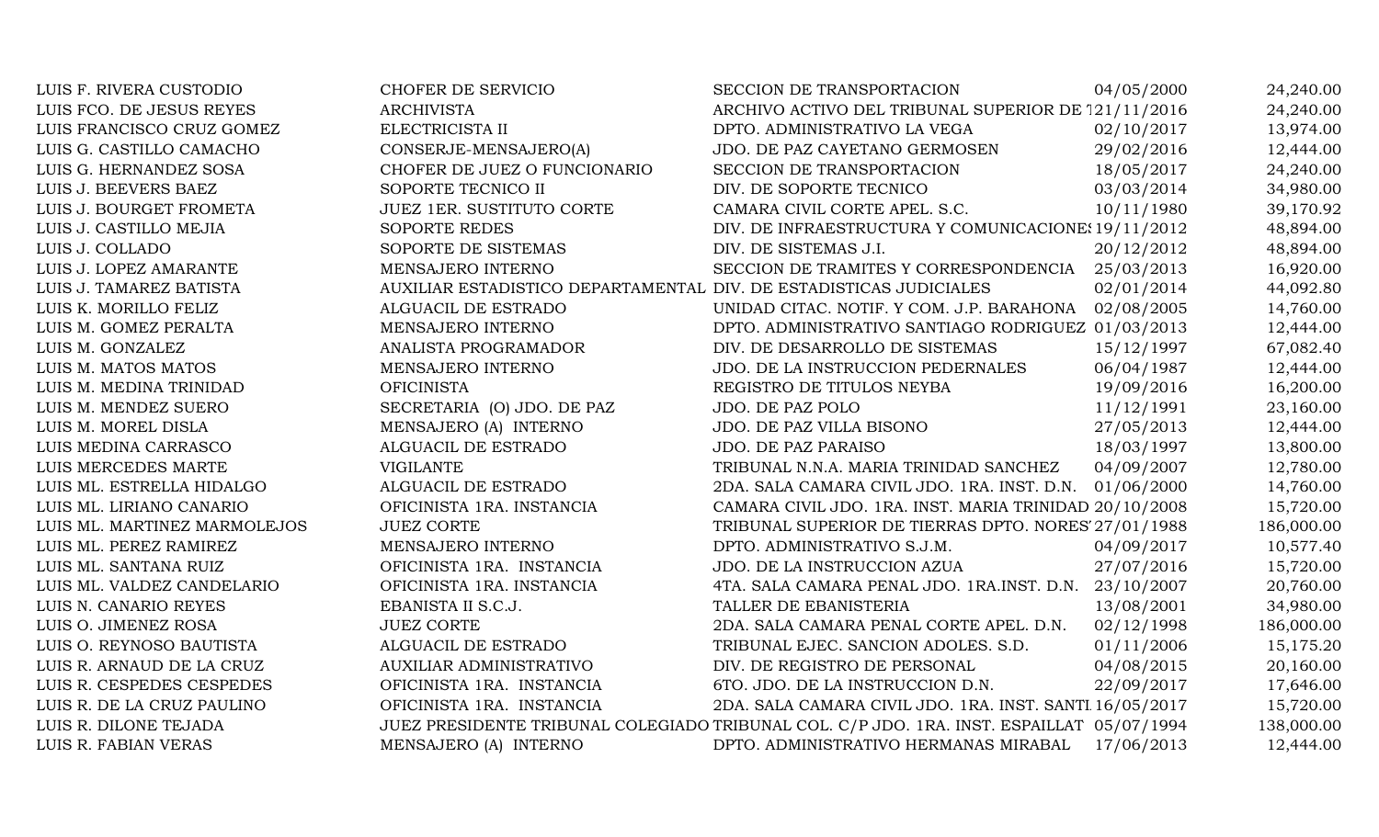| LUIS F. RIVERA CUSTODIO      | CHOFER DE SERVICIO                                                 | SECCION DE TRANSPORTACION                                                                 | 04/05/2000 | 24,240.00  |
|------------------------------|--------------------------------------------------------------------|-------------------------------------------------------------------------------------------|------------|------------|
| LUIS FCO. DE JESUS REYES     | <b>ARCHIVISTA</b>                                                  | ARCHIVO ACTIVO DEL TRIBUNAL SUPERIOR DE 121/11/2016                                       |            | 24,240.00  |
| LUIS FRANCISCO CRUZ GOMEZ    | ELECTRICISTA II                                                    | DPTO. ADMINISTRATIVO LA VEGA                                                              | 02/10/2017 | 13,974.00  |
| LUIS G. CASTILLO CAMACHO     | CONSERJE-MENSAJERO(A)                                              | JDO. DE PAZ CAYETANO GERMOSEN                                                             | 29/02/2016 | 12,444.00  |
| LUIS G. HERNANDEZ SOSA       | CHOFER DE JUEZ O FUNCIONARIO                                       | SECCION DE TRANSPORTACION                                                                 | 18/05/2017 | 24,240.00  |
| LUIS J. BEEVERS BAEZ         | SOPORTE TECNICO II                                                 | DIV. DE SOPORTE TECNICO                                                                   | 03/03/2014 | 34,980.00  |
| LUIS J. BOURGET FROMETA      | JUEZ 1ER. SUSTITUTO CORTE                                          | CAMARA CIVIL CORTE APEL. S.C.                                                             | 10/11/1980 | 39,170.92  |
| LUIS J. CASTILLO MEJIA       | <b>SOPORTE REDES</b>                                               | DIV. DE INFRAESTRUCTURA Y COMUNICACIONE: 19/11/2012                                       |            | 48,894.00  |
| LUIS J. COLLADO              | SOPORTE DE SISTEMAS                                                | DIV. DE SISTEMAS J.I.                                                                     | 20/12/2012 | 48,894.00  |
| LUIS J. LOPEZ AMARANTE       | MENSAJERO INTERNO                                                  | SECCION DE TRAMITES Y CORRESPONDENCIA                                                     | 25/03/2013 | 16,920.00  |
| LUIS J. TAMAREZ BATISTA      | AUXILIAR ESTADISTICO DEPARTAMENTAL DIV. DE ESTADISTICAS JUDICIALES |                                                                                           | 02/01/2014 | 44,092.80  |
| LUIS K. MORILLO FELIZ        | ALGUACIL DE ESTRADO                                                | UNIDAD CITAC. NOTIF. Y COM. J.P. BARAHONA 02/08/2005                                      |            | 14,760.00  |
| LUIS M. GOMEZ PERALTA        | MENSAJERO INTERNO                                                  | DPTO. ADMINISTRATIVO SANTIAGO RODRIGUEZ 01/03/2013                                        |            | 12,444.00  |
| LUIS M. GONZALEZ             | ANALISTA PROGRAMADOR                                               | DIV. DE DESARROLLO DE SISTEMAS                                                            | 15/12/1997 | 67,082.40  |
| LUIS M. MATOS MATOS          | MENSAJERO INTERNO                                                  | JDO. DE LA INSTRUCCION PEDERNALES                                                         | 06/04/1987 | 12,444.00  |
| LUIS M. MEDINA TRINIDAD      | <b>OFICINISTA</b>                                                  | REGISTRO DE TITULOS NEYBA                                                                 | 19/09/2016 | 16,200.00  |
| LUIS M. MENDEZ SUERO         | SECRETARIA (O) JDO. DE PAZ                                         | JDO. DE PAZ POLO                                                                          | 11/12/1991 | 23,160.00  |
| LUIS M. MOREL DISLA          | MENSAJERO (A) INTERNO                                              | JDO. DE PAZ VILLA BISONO                                                                  | 27/05/2013 | 12,444.00  |
| LUIS MEDINA CARRASCO         | ALGUACIL DE ESTRADO                                                | <b>JDO. DE PAZ PARAISO</b>                                                                | 18/03/1997 | 13,800.00  |
| LUIS MERCEDES MARTE          | <b>VIGILANTE</b>                                                   | TRIBUNAL N.N.A. MARIA TRINIDAD SANCHEZ                                                    | 04/09/2007 | 12,780.00  |
| LUIS ML. ESTRELLA HIDALGO    | ALGUACIL DE ESTRADO                                                | 2DA. SALA CAMARA CIVIL JDO. 1RA. INST. D.N. 01/06/2000                                    |            | 14,760.00  |
| LUIS ML. LIRIANO CANARIO     | OFICINISTA 1RA. INSTANCIA                                          | CAMARA CIVIL JDO. 1RA. INST. MARIA TRINIDAD 20/10/2008                                    |            | 15,720.00  |
| LUIS ML. MARTINEZ MARMOLEJOS | <b>JUEZ CORTE</b>                                                  | TRIBUNAL SUPERIOR DE TIERRAS DPTO. NORES' 27/01/1988                                      |            | 186,000.00 |
| LUIS ML. PEREZ RAMIREZ       | MENSAJERO INTERNO                                                  | DPTO. ADMINISTRATIVO S.J.M.                                                               | 04/09/2017 | 10,577.40  |
| LUIS ML. SANTANA RUIZ        | OFICINISTA 1RA. INSTANCIA                                          | JDO. DE LA INSTRUCCION AZUA                                                               | 27/07/2016 | 15,720.00  |
| LUIS ML. VALDEZ CANDELARIO   | OFICINISTA 1RA. INSTANCIA                                          | 4TA. SALA CAMARA PENAL JDO. 1RA.INST. D.N. 23/10/2007                                     |            | 20,760.00  |
| LUIS N. CANARIO REYES        | EBANISTA II S.C.J.                                                 | TALLER DE EBANISTERIA                                                                     | 13/08/2001 | 34,980.00  |
| LUIS O. JIMENEZ ROSA         | <b>JUEZ CORTE</b>                                                  | 2DA. SALA CAMARA PENAL CORTE APEL. D.N.                                                   | 02/12/1998 | 186,000.00 |
| LUIS O. REYNOSO BAUTISTA     | ALGUACIL DE ESTRADO                                                | TRIBUNAL EJEC. SANCION ADOLES. S.D.                                                       | 01/11/2006 | 15,175.20  |
| LUIS R. ARNAUD DE LA CRUZ    | AUXILIAR ADMINISTRATIVO                                            | DIV. DE REGISTRO DE PERSONAL                                                              | 04/08/2015 | 20,160.00  |
| LUIS R. CESPEDES CESPEDES    | OFICINISTA 1RA. INSTANCIA                                          | 6TO. JDO. DE LA INSTRUCCION D.N.                                                          | 22/09/2017 | 17,646.00  |
| LUIS R. DE LA CRUZ PAULINO   | OFICINISTA 1RA. INSTANCIA                                          | 2DA. SALA CAMARA CIVIL JDO. 1RA. INST. SANTI 16/05/2017                                   |            | 15,720.00  |
| LUIS R. DILONE TEJADA        |                                                                    | JUEZ PRESIDENTE TRIBUNAL COLEGIADO TRIBUNAL COL. C/P JDO. 1RA. INST. ESPAILLAT 05/07/1994 |            | 138,000.00 |
| LUIS R. FABIAN VERAS         | MENSAJERO (A) INTERNO                                              | DPTO. ADMINISTRATIVO HERMANAS MIRABAL                                                     | 17/06/2013 | 12,444.00  |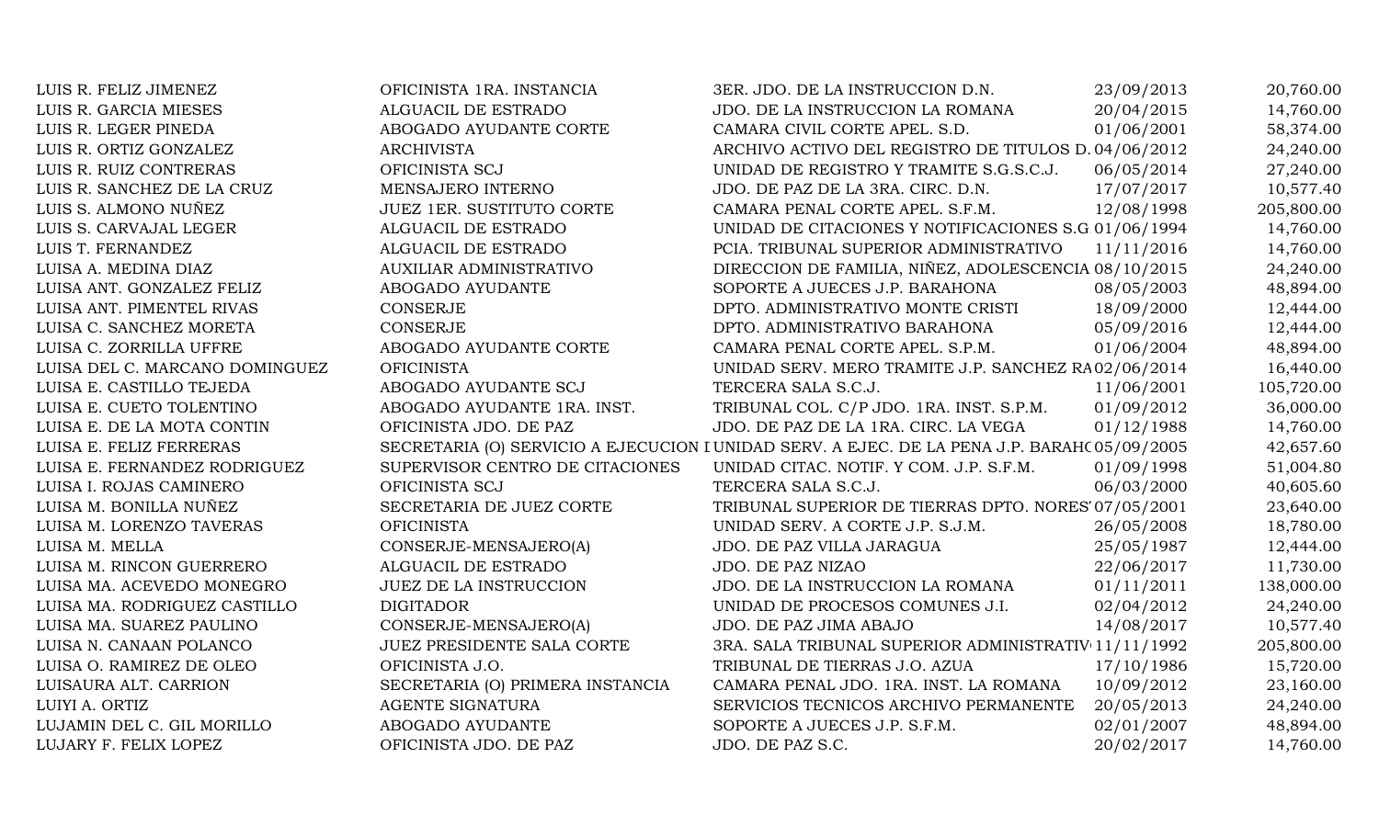| LUIS R. FELIZ JIMENEZ          | OFICINISTA 1RA. INSTANCIA        | 3ER. JDO. DE LA INSTRUCCION D.N.                                                             | 23/09/2013 | 20,760.00  |
|--------------------------------|----------------------------------|----------------------------------------------------------------------------------------------|------------|------------|
| LUIS R. GARCIA MIESES          | ALGUACIL DE ESTRADO              | JDO. DE LA INSTRUCCION LA ROMANA                                                             | 20/04/2015 | 14,760.00  |
| LUIS R. LEGER PINEDA           | ABOGADO AYUDANTE CORTE           | CAMARA CIVIL CORTE APEL. S.D.                                                                | 01/06/2001 | 58,374.00  |
| LUIS R. ORTIZ GONZALEZ         | <b>ARCHIVISTA</b>                | ARCHIVO ACTIVO DEL REGISTRO DE TITULOS D. 04/06/2012                                         |            | 24,240.00  |
| LUIS R. RUIZ CONTRERAS         | OFICINISTA SCJ                   | UNIDAD DE REGISTRO Y TRAMITE S.G.S.C.J.                                                      | 06/05/2014 | 27,240.00  |
| LUIS R. SANCHEZ DE LA CRUZ     | MENSAJERO INTERNO                | JDO. DE PAZ DE LA 3RA. CIRC. D.N.                                                            | 17/07/2017 | 10,577.40  |
| LUIS S. ALMONO NUÑEZ           | <b>JUEZ 1ER. SUSTITUTO CORTE</b> | CAMARA PENAL CORTE APEL. S.F.M.                                                              | 12/08/1998 | 205,800.00 |
| LUIS S. CARVAJAL LEGER         | ALGUACIL DE ESTRADO              | UNIDAD DE CITACIONES Y NOTIFICACIONES S.G 01/06/1994                                         |            | 14,760.00  |
| LUIS T. FERNANDEZ              | ALGUACIL DE ESTRADO              | PCIA. TRIBUNAL SUPERIOR ADMINISTRATIVO                                                       | 11/11/2016 | 14,760.00  |
| LUISA A. MEDINA DIAZ           | AUXILIAR ADMINISTRATIVO          | DIRECCION DE FAMILIA, NIÑEZ, ADOLESCENCIA 08/10/2015                                         |            | 24,240.00  |
| LUISA ANT. GONZALEZ FELIZ      | ABOGADO AYUDANTE                 | SOPORTE A JUECES J.P. BARAHONA                                                               | 08/05/2003 | 48,894.00  |
| LUISA ANT. PIMENTEL RIVAS      | <b>CONSERJE</b>                  | DPTO. ADMINISTRATIVO MONTE CRISTI                                                            | 18/09/2000 | 12,444.00  |
| LUISA C. SANCHEZ MORETA        | <b>CONSERJE</b>                  | DPTO. ADMINISTRATIVO BARAHONA                                                                | 05/09/2016 | 12,444.00  |
| LUISA C. ZORRILLA UFFRE        | ABOGADO AYUDANTE CORTE           | CAMARA PENAL CORTE APEL. S.P.M.                                                              | 01/06/2004 | 48,894.00  |
| LUISA DEL C. MARCANO DOMINGUEZ | <b>OFICINISTA</b>                | UNIDAD SERV. MERO TRAMITE J.P. SANCHEZ RA02/06/2014                                          |            | 16,440.00  |
| LUISA E. CASTILLO TEJEDA       | ABOGADO AYUDANTE SCJ             | TERCERA SALA S.C.J.                                                                          | 11/06/2001 | 105,720.00 |
| LUISA E. CUETO TOLENTINO       | ABOGADO AYUDANTE 1RA. INST.      | TRIBUNAL COL. C/P JDO. 1RA. INST. S.P.M.                                                     | 01/09/2012 | 36,000.00  |
| LUISA E. DE LA MOTA CONTIN     | OFICINISTA JDO. DE PAZ           | JDO. DE PAZ DE LA 1RA. CIRC. LA VEGA                                                         | 01/12/1988 | 14,760.00  |
| LUISA E. FELIZ FERRERAS        |                                  | SECRETARIA (O) SERVICIO A EJECUCION I UNIDAD SERV. A EJEC. DE LA PENA J.P. BARAH(05/09/2005) |            | 42,657.60  |
| LUISA E. FERNANDEZ RODRIGUEZ   | SUPERVISOR CENTRO DE CITACIONES  | UNIDAD CITAC. NOTIF. Y COM. J.P. S.F.M.                                                      | 01/09/1998 | 51,004.80  |
| LUISA I. ROJAS CAMINERO        | OFICINISTA SCJ                   | TERCERA SALA S.C.J.                                                                          | 06/03/2000 | 40,605.60  |
| LUISA M. BONILLA NUÑEZ         | SECRETARIA DE JUEZ CORTE         | TRIBUNAL SUPERIOR DE TIERRAS DPTO. NORES 07/05/2001                                          |            | 23,640.00  |
| LUISA M. LORENZO TAVERAS       | <b>OFICINISTA</b>                | UNIDAD SERV. A CORTE J.P. S.J.M.                                                             | 26/05/2008 | 18,780.00  |
| LUISA M. MELLA                 | CONSERJE-MENSAJERO(A)            | JDO. DE PAZ VILLA JARAGUA                                                                    | 25/05/1987 | 12,444.00  |
| LUISA M. RINCON GUERRERO       | ALGUACIL DE ESTRADO              | JDO. DE PAZ NIZAO                                                                            | 22/06/2017 | 11,730.00  |
| LUISA MA. ACEVEDO MONEGRO      | <b>JUEZ DE LA INSTRUCCION</b>    | JDO. DE LA INSTRUCCION LA ROMANA                                                             | 01/11/2011 | 138,000.00 |
| LUISA MA. RODRIGUEZ CASTILLO   | <b>DIGITADOR</b>                 | UNIDAD DE PROCESOS COMUNES J.I.                                                              | 02/04/2012 | 24,240.00  |
| LUISA MA. SUAREZ PAULINO       | CONSERJE-MENSAJERO(A)            | JDO. DE PAZ JIMA ABAJO                                                                       | 14/08/2017 | 10,577.40  |
| LUISA N. CANAAN POLANCO        | JUEZ PRESIDENTE SALA CORTE       | 3RA. SALA TRIBUNAL SUPERIOR ADMINISTRATIV 11/11/1992                                         |            | 205,800.00 |
| LUISA O. RAMIREZ DE OLEO       | OFICINISTA J.O.                  | TRIBUNAL DE TIERRAS J.O. AZUA                                                                | 17/10/1986 | 15,720.00  |
| LUISAURA ALT. CARRION          | SECRETARIA (O) PRIMERA INSTANCIA | CAMARA PENAL JDO. 1RA. INST. LA ROMANA                                                       | 10/09/2012 | 23,160.00  |
| LUIYI A. ORTIZ                 | AGENTE SIGNATURA                 | SERVICIOS TECNICOS ARCHIVO PERMANENTE                                                        | 20/05/2013 | 24,240.00  |
| LUJAMIN DEL C. GIL MORILLO     | ABOGADO AYUDANTE                 | SOPORTE A JUECES J.P. S.F.M.                                                                 | 02/01/2007 | 48,894.00  |
| LUJARY F. FELIX LOPEZ          | OFICINISTA JDO. DE PAZ           | JDO. DE PAZ S.C.                                                                             | 20/02/2017 | 14,760.00  |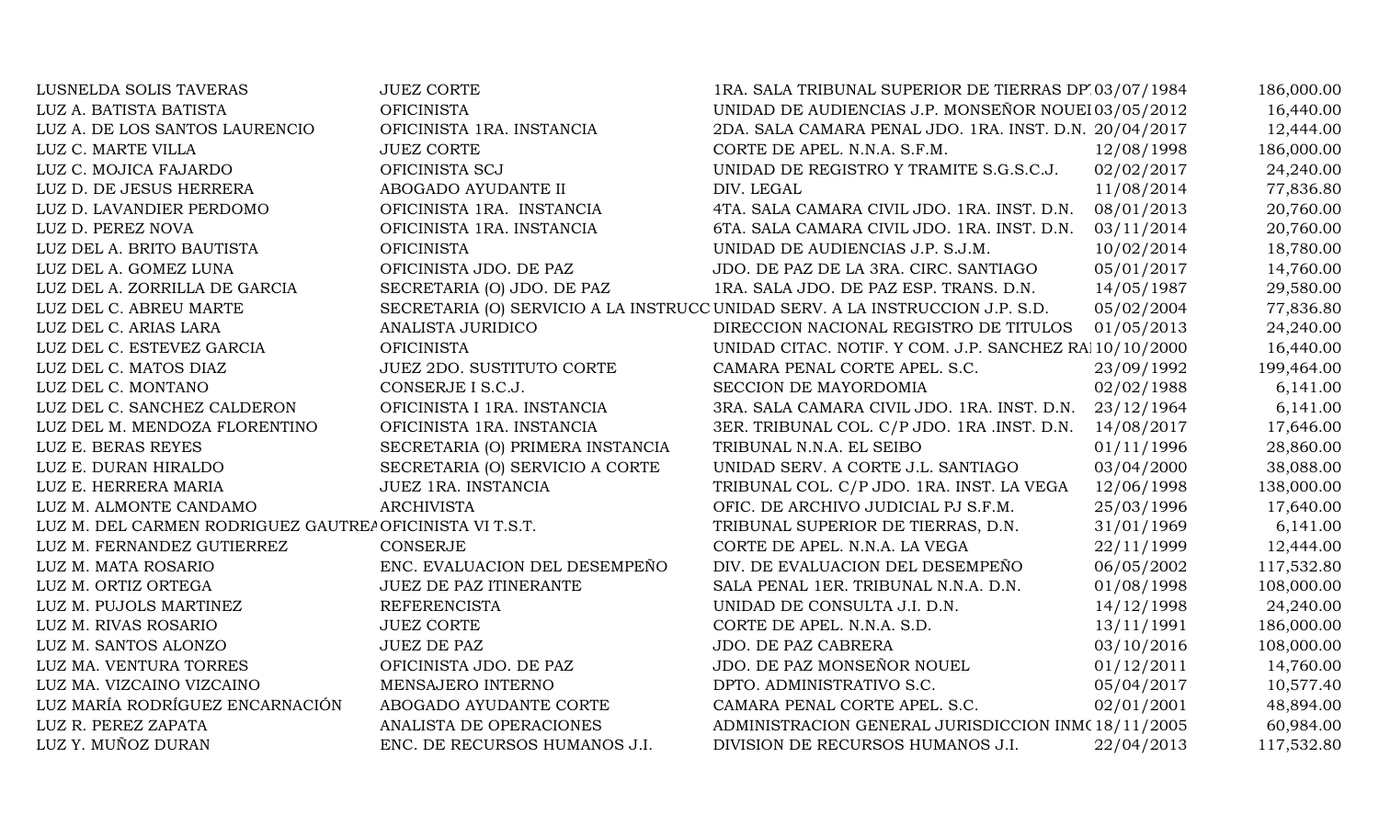| LUSNELDA SOLIS TAVERAS                                   | <b>JUEZ CORTE</b>                | 1RA. SALA TRIBUNAL SUPERIOR DE TIERRAS DP 03/07/1984                          |            | 186,000.00 |
|----------------------------------------------------------|----------------------------------|-------------------------------------------------------------------------------|------------|------------|
| LUZ A. BATISTA BATISTA                                   | <b>OFICINISTA</b>                | UNIDAD DE AUDIENCIAS J.P. MONSEÑOR NOUEI 03/05/2012                           |            | 16,440.00  |
| LUZ A. DE LOS SANTOS LAURENCIO                           | OFICINISTA 1RA. INSTANCIA        | 2DA. SALA CAMARA PENAL JDO. 1RA. INST. D.N. 20/04/2017                        |            | 12,444.00  |
| LUZ C. MARTE VILLA                                       | <b>JUEZ CORTE</b>                | CORTE DE APEL. N.N.A. S.F.M.                                                  | 12/08/1998 | 186,000.00 |
| LUZ C. MOJICA FAJARDO                                    | OFICINISTA SCJ                   | UNIDAD DE REGISTRO Y TRAMITE S.G.S.C.J.                                       | 02/02/2017 | 24,240.00  |
| LUZ D. DE JESUS HERRERA                                  | ABOGADO AYUDANTE II              | DIV. LEGAL                                                                    | 11/08/2014 | 77,836.80  |
| LUZ D. LAVANDIER PERDOMO                                 | OFICINISTA 1RA. INSTANCIA        | 4TA. SALA CAMARA CIVIL JDO. 1RA. INST. D.N.                                   | 08/01/2013 | 20,760.00  |
| LUZ D. PEREZ NOVA                                        | OFICINISTA 1RA. INSTANCIA        | 6TA. SALA CAMARA CIVIL JDO. 1RA. INST. D.N.                                   | 03/11/2014 | 20,760.00  |
| LUZ DEL A. BRITO BAUTISTA                                | <b>OFICINISTA</b>                | UNIDAD DE AUDIENCIAS J.P. S.J.M.                                              | 10/02/2014 | 18,780.00  |
| LUZ DEL A. GOMEZ LUNA                                    | OFICINISTA JDO. DE PAZ           | JDO. DE PAZ DE LA 3RA. CIRC. SANTIAGO                                         | 05/01/2017 | 14,760.00  |
| LUZ DEL A. ZORRILLA DE GARCIA                            | SECRETARIA (O) JDO. DE PAZ       | 1RA. SALA JDO. DE PAZ ESP. TRANS. D.N.                                        | 14/05/1987 | 29,580.00  |
| LUZ DEL C. ABREU MARTE                                   |                                  | SECRETARIA (O) SERVICIO A LA INSTRUCC UNIDAD SERV. A LA INSTRUCCION J.P. S.D. | 05/02/2004 | 77,836.80  |
| LUZ DEL C. ARIAS LARA                                    | ANALISTA JURIDICO                | DIRECCION NACIONAL REGISTRO DE TITULOS                                        | 01/05/2013 | 24,240.00  |
| LUZ DEL C. ESTEVEZ GARCIA                                | <b>OFICINISTA</b>                | UNIDAD CITAC. NOTIF. Y COM. J.P. SANCHEZ RA 10/10/2000                        |            | 16,440.00  |
| LUZ DEL C. MATOS DIAZ                                    | <b>JUEZ 2DO. SUSTITUTO CORTE</b> | CAMARA PENAL CORTE APEL. S.C.                                                 | 23/09/1992 | 199,464.00 |
| LUZ DEL C. MONTANO                                       | CONSERJE I S.C.J.                | SECCION DE MAYORDOMIA                                                         | 02/02/1988 | 6,141.00   |
| LUZ DEL C. SANCHEZ CALDERON                              | OFICINISTA I 1RA. INSTANCIA      | 3RA. SALA CAMARA CIVIL JDO. 1RA. INST. D.N.                                   | 23/12/1964 | 6,141.00   |
| LUZ DEL M. MENDOZA FLORENTINO                            | OFICINISTA 1RA. INSTANCIA        | 3ER. TRIBUNAL COL. C/P JDO. 1RA .INST. D.N.                                   | 14/08/2017 | 17,646.00  |
| LUZ E. BERAS REYES                                       | SECRETARIA (O) PRIMERA INSTANCIA | TRIBUNAL N.N.A. EL SEIBO                                                      | 01/11/1996 | 28,860.00  |
| LUZ E. DURAN HIRALDO                                     | SECRETARIA (O) SERVICIO A CORTE  | UNIDAD SERV. A CORTE J.L. SANTIAGO                                            | 03/04/2000 | 38,088.00  |
| LUZ E. HERRERA MARIA                                     | JUEZ 1RA. INSTANCIA              | TRIBUNAL COL. C/P JDO. 1RA. INST. LA VEGA                                     | 12/06/1998 | 138,000.00 |
| LUZ M. ALMONTE CANDAMO                                   | <b>ARCHIVISTA</b>                | OFIC. DE ARCHIVO JUDICIAL PJ S.F.M.                                           | 25/03/1996 | 17,640.00  |
| LUZ M. DEL CARMEN RODRIGUEZ GAUTREA OFICINISTA VI T.S.T. |                                  | TRIBUNAL SUPERIOR DE TIERRAS, D.N.                                            | 31/01/1969 | 6,141.00   |
| LUZ M. FERNANDEZ GUTIERREZ                               | <b>CONSERJE</b>                  | CORTE DE APEL. N.N.A. LA VEGA                                                 | 22/11/1999 | 12,444.00  |
| LUZ M. MATA ROSARIO                                      | ENC. EVALUACION DEL DESEMPEÑO    | DIV. DE EVALUACION DEL DESEMPEÑO                                              | 06/05/2002 | 117,532.80 |
| LUZ M. ORTIZ ORTEGA                                      | JUEZ DE PAZ ITINERANTE           | SALA PENAL 1ER. TRIBUNAL N.N.A. D.N.                                          | 01/08/1998 | 108,000.00 |
| LUZ M. PUJOLS MARTINEZ                                   | <b>REFERENCISTA</b>              | UNIDAD DE CONSULTA J.I. D.N.                                                  | 14/12/1998 | 24,240.00  |
| LUZ M. RIVAS ROSARIO                                     | <b>JUEZ CORTE</b>                | CORTE DE APEL. N.N.A. S.D.                                                    | 13/11/1991 | 186,000.00 |
| LUZ M. SANTOS ALONZO                                     | <b>JUEZ DE PAZ</b>               | JDO. DE PAZ CABRERA                                                           | 03/10/2016 | 108,000.00 |
| LUZ MA. VENTURA TORRES                                   | OFICINISTA JDO. DE PAZ           | JDO. DE PAZ MONSEÑOR NOUEL                                                    | 01/12/2011 | 14,760.00  |
| LUZ MA. VIZCAINO VIZCAINO                                | MENSAJERO INTERNO                | DPTO. ADMINISTRATIVO S.C.                                                     | 05/04/2017 | 10,577.40  |
| LUZ MARÍA RODRÍGUEZ ENCARNACIÓN                          | ABOGADO AYUDANTE CORTE           | CAMARA PENAL CORTE APEL. S.C.                                                 | 02/01/2001 | 48,894.00  |
| LUZ R. PEREZ ZAPATA                                      | ANALISTA DE OPERACIONES          | ADMINISTRACION GENERAL JURISDICCION INM(18/11/2005                            |            | 60,984.00  |
| LUZ Y. MUÑOZ DURAN                                       | ENC. DE RECURSOS HUMANOS J.I.    | DIVISION DE RECURSOS HUMANOS J.I.                                             | 22/04/2013 | 117,532.80 |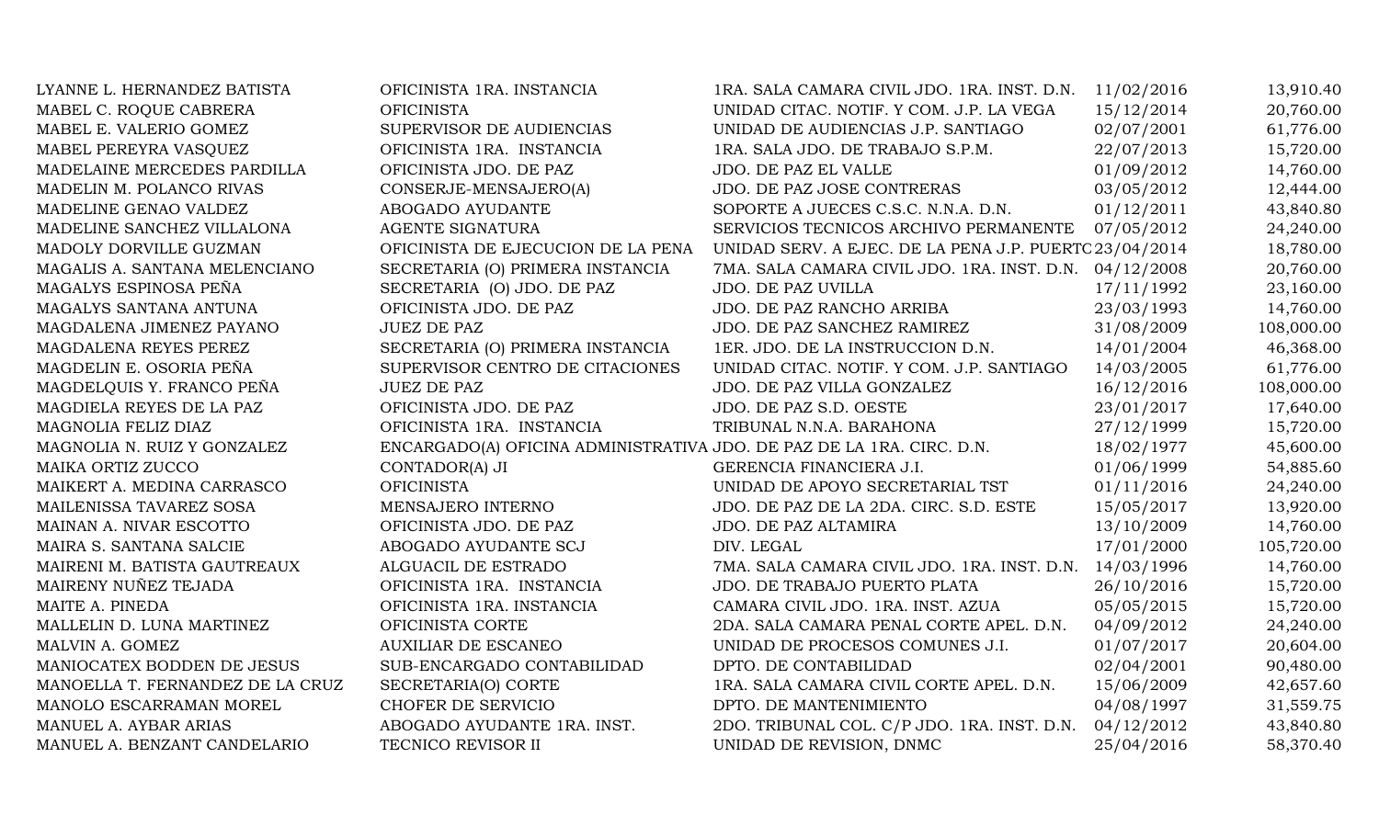| LYANNE L. HERNANDEZ BATISTA      | OFICINISTA 1RA. INSTANCIA                                             | 1RA. SALA CAMARA CIVIL JDO. 1RA. INST. D.N.            | 11/02/2016 | 13,910.40  |
|----------------------------------|-----------------------------------------------------------------------|--------------------------------------------------------|------------|------------|
| MABEL C. ROQUE CABRERA           | <b>OFICINISTA</b>                                                     | UNIDAD CITAC. NOTIF. Y COM. J.P. LA VEGA               | 15/12/2014 | 20,760.00  |
| MABEL E. VALERIO GOMEZ           | SUPERVISOR DE AUDIENCIAS                                              | UNIDAD DE AUDIENCIAS J.P. SANTIAGO                     | 02/07/2001 | 61,776.00  |
| MABEL PEREYRA VASQUEZ            | OFICINISTA 1RA. INSTANCIA                                             | 1RA. SALA JDO. DE TRABAJO S.P.M.                       | 22/07/2013 | 15,720.00  |
| MADELAINE MERCEDES PARDILLA      | OFICINISTA JDO. DE PAZ                                                | JDO. DE PAZ EL VALLE                                   | 01/09/2012 | 14,760.00  |
| MADELIN M. POLANCO RIVAS         | CONSERJE-MENSAJERO(A)                                                 | JDO. DE PAZ JOSE CONTRERAS                             | 03/05/2012 | 12,444.00  |
| MADELINE GENAO VALDEZ            | ABOGADO AYUDANTE                                                      | SOPORTE A JUECES C.S.C. N.N.A. D.N.                    | 01/12/2011 | 43,840.80  |
| MADELINE SANCHEZ VILLALONA       | AGENTE SIGNATURA                                                      | SERVICIOS TECNICOS ARCHIVO PERMANENTE                  | 07/05/2012 | 24,240.00  |
| MADOLY DORVILLE GUZMAN           | OFICINISTA DE EJECUCION DE LA PENA                                    | UNIDAD SERV. A EJEC. DE LA PENA J.P. PUERTC 23/04/2014 |            | 18,780.00  |
| MAGALIS A. SANTANA MELENCIANO    | SECRETARIA (O) PRIMERA INSTANCIA                                      | 7MA. SALA CAMARA CIVIL JDO. 1RA. INST. D.N.            | 04/12/2008 | 20,760.00  |
| MAGALYS ESPINOSA PEÑA            | SECRETARIA (O) JDO. DE PAZ                                            | JDO. DE PAZ UVILLA                                     | 17/11/1992 | 23,160.00  |
| MAGALYS SANTANA ANTUNA           | OFICINISTA JDO. DE PAZ                                                | JDO. DE PAZ RANCHO ARRIBA                              | 23/03/1993 | 14,760.00  |
| MAGDALENA JIMENEZ PAYANO         | <b>JUEZ DE PAZ</b>                                                    | JDO. DE PAZ SANCHEZ RAMIREZ                            | 31/08/2009 | 108,000.00 |
| MAGDALENA REYES PEREZ            | SECRETARIA (O) PRIMERA INSTANCIA                                      | 1ER. JDO. DE LA INSTRUCCION D.N.                       | 14/01/2004 | 46,368.00  |
| MAGDELIN E. OSORIA PEÑA          | SUPERVISOR CENTRO DE CITACIONES                                       | UNIDAD CITAC. NOTIF. Y COM. J.P. SANTIAGO              | 14/03/2005 | 61,776.00  |
| MAGDELQUIS Y. FRANCO PEÑA        | <b>JUEZ DE PAZ</b>                                                    | JDO. DE PAZ VILLA GONZALEZ                             | 16/12/2016 | 108,000.00 |
| MAGDIELA REYES DE LA PAZ         | OFICINISTA JDO. DE PAZ                                                | JDO. DE PAZ S.D. OESTE                                 | 23/01/2017 | 17,640.00  |
| MAGNOLIA FELIZ DIAZ              | OFICINISTA 1RA. INSTANCIA                                             | TRIBUNAL N.N.A. BARAHONA                               | 27/12/1999 | 15,720.00  |
| MAGNOLIA N. RUIZ Y GONZALEZ      | ENCARGADO(A) OFICINA ADMINISTRATIVA JDO. DE PAZ DE LA 1RA. CIRC. D.N. |                                                        | 18/02/1977 | 45,600.00  |
| MAIKA ORTIZ ZUCCO                | CONTADOR(A) JI                                                        | GERENCIA FINANCIERA J.I.                               | 01/06/1999 | 54,885.60  |
| MAIKERT A. MEDINA CARRASCO       | <b>OFICINISTA</b>                                                     | UNIDAD DE APOYO SECRETARIAL TST                        | 01/11/2016 | 24,240.00  |
| MAILENISSA TAVAREZ SOSA          | MENSAJERO INTERNO                                                     | JDO. DE PAZ DE LA 2DA. CIRC. S.D. ESTE                 | 15/05/2017 | 13,920.00  |
| MAINAN A. NIVAR ESCOTTO          | OFICINISTA JDO. DE PAZ                                                | JDO. DE PAZ ALTAMIRA                                   | 13/10/2009 | 14,760.00  |
| MAIRA S. SANTANA SALCIE          | ABOGADO AYUDANTE SCJ                                                  | DIV. LEGAL                                             | 17/01/2000 | 105,720.00 |
| MAIRENI M. BATISTA GAUTREAUX     | ALGUACIL DE ESTRADO                                                   | 7MA. SALA CAMARA CIVIL JDO. 1RA. INST. D.N.            | 14/03/1996 | 14,760.00  |
| MAIRENY NUÑEZ TEJADA             | OFICINISTA 1RA. INSTANCIA                                             | JDO. DE TRABAJO PUERTO PLATA                           | 26/10/2016 | 15,720.00  |
| MAITE A. PINEDA                  | OFICINISTA 1RA. INSTANCIA                                             | CAMARA CIVIL JDO. 1RA. INST. AZUA                      | 05/05/2015 | 15,720.00  |
| MALLELIN D. LUNA MARTINEZ        | OFICINISTA CORTE                                                      | 2DA. SALA CAMARA PENAL CORTE APEL. D.N.                | 04/09/2012 | 24,240.00  |
| MALVIN A. GOMEZ                  | <b>AUXILIAR DE ESCANEO</b>                                            | UNIDAD DE PROCESOS COMUNES J.I.                        | 01/07/2017 | 20,604.00  |
| MANIOCATEX BODDEN DE JESUS       | SUB-ENCARGADO CONTABILIDAD                                            | DPTO. DE CONTABILIDAD                                  | 02/04/2001 | 90,480.00  |
| MANOELLA T. FERNANDEZ DE LA CRUZ | SECRETARIA(O) CORTE                                                   | 1RA. SALA CAMARA CIVIL CORTE APEL. D.N.                | 15/06/2009 | 42,657.60  |
| MANOLO ESCARRAMAN MOREL          | CHOFER DE SERVICIO                                                    | DPTO. DE MANTENIMIENTO                                 | 04/08/1997 | 31,559.75  |
| MANUEL A. AYBAR ARIAS            | ABOGADO AYUDANTE 1RA. INST.                                           | 2DO. TRIBUNAL COL. C/P JDO. 1RA. INST. D.N.            | 04/12/2012 | 43,840.80  |
| MANUEL A. BENZANT CANDELARIO     | TECNICO REVISOR II                                                    | UNIDAD DE REVISION, DNMC                               | 25/04/2016 | 58,370.40  |
|                                  |                                                                       |                                                        |            |            |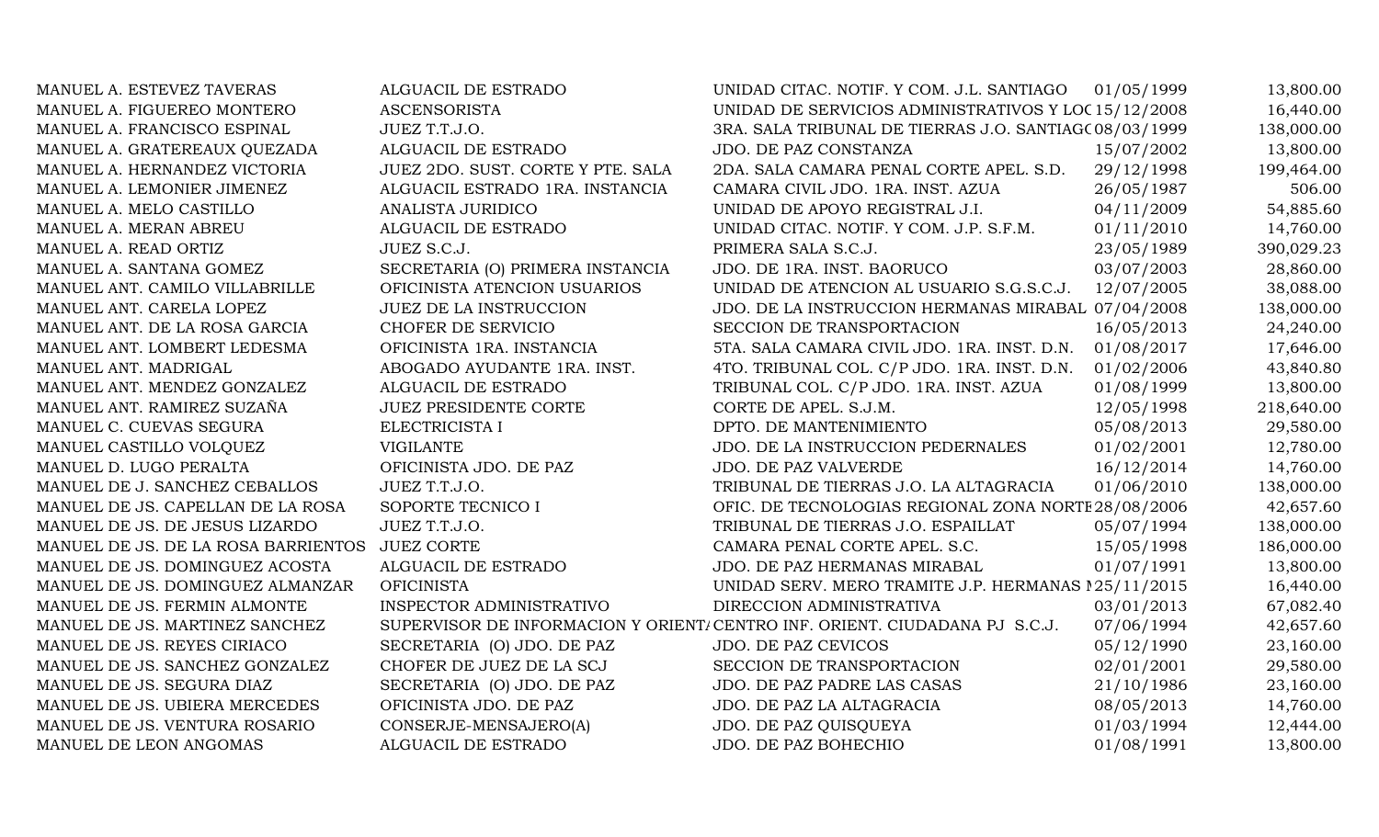| MANUEL A. ESTEVEZ TAVERAS           | ALGUACIL DE ESTRADO               | UNIDAD CITAC. NOTIF. Y COM. J.L. SANTIAGO                                   | 01/05/1999 | 13,800.00  |
|-------------------------------------|-----------------------------------|-----------------------------------------------------------------------------|------------|------------|
| MANUEL A. FIGUEREO MONTERO          | <b>ASCENSORISTA</b>               | UNIDAD DE SERVICIOS ADMINISTRATIVOS Y LOC 15/12/2008                        |            | 16,440.00  |
| MANUEL A. FRANCISCO ESPINAL         | JUEZ T.T.J.O.                     | 3RA. SALA TRIBUNAL DE TIERRAS J.O. SANTIAG(08/03/1999                       |            | 138,000.00 |
| MANUEL A. GRATEREAUX QUEZADA        | ALGUACIL DE ESTRADO               | JDO. DE PAZ CONSTANZA                                                       | 15/07/2002 | 13,800.00  |
| MANUEL A. HERNANDEZ VICTORIA        | JUEZ 2DO. SUST. CORTE Y PTE. SALA | 2DA. SALA CAMARA PENAL CORTE APEL. S.D.                                     | 29/12/1998 | 199,464.00 |
| MANUEL A. LEMONIER JIMENEZ          | ALGUACIL ESTRADO 1RA. INSTANCIA   | CAMARA CIVIL JDO. 1RA. INST. AZUA                                           | 26/05/1987 | 506.00     |
| MANUEL A. MELO CASTILLO             | ANALISTA JURIDICO                 | UNIDAD DE APOYO REGISTRAL J.I.                                              | 04/11/2009 | 54,885.60  |
| MANUEL A. MERAN ABREU               | ALGUACIL DE ESTRADO               | UNIDAD CITAC. NOTIF. Y COM. J.P. S.F.M.                                     | 01/11/2010 | 14,760.00  |
| MANUEL A. READ ORTIZ                | JUEZ S.C.J.                       | PRIMERA SALA S.C.J.                                                         | 23/05/1989 | 390,029.23 |
| MANUEL A. SANTANA GOMEZ             | SECRETARIA (O) PRIMERA INSTANCIA  | JDO. DE 1RA. INST. BAORUCO                                                  | 03/07/2003 | 28,860.00  |
| MANUEL ANT. CAMILO VILLABRILLE      | OFICINISTA ATENCION USUARIOS      | UNIDAD DE ATENCION AL USUARIO S.G.S.C.J.                                    | 12/07/2005 | 38,088.00  |
| MANUEL ANT. CARELA LOPEZ            | <b>JUEZ DE LA INSTRUCCION</b>     | JDO. DE LA INSTRUCCION HERMANAS MIRABAL 07/04/2008                          |            | 138,000.00 |
| MANUEL ANT. DE LA ROSA GARCIA       | CHOFER DE SERVICIO                | SECCION DE TRANSPORTACION                                                   | 16/05/2013 | 24,240.00  |
| MANUEL ANT. LOMBERT LEDESMA         | OFICINISTA 1RA. INSTANCIA         | 5TA. SALA CAMARA CIVIL JDO. 1RA. INST. D.N.                                 | 01/08/2017 | 17,646.00  |
| MANUEL ANT. MADRIGAL                | ABOGADO AYUDANTE 1RA. INST.       | 4TO. TRIBUNAL COL. C/P JDO. 1RA. INST. D.N.                                 | 01/02/2006 | 43,840.80  |
| MANUEL ANT. MENDEZ GONZALEZ         | ALGUACIL DE ESTRADO               | TRIBUNAL COL. C/P JDO. 1RA. INST. AZUA                                      | 01/08/1999 | 13,800.00  |
| MANUEL ANT. RAMIREZ SUZAÑA          | <b>JUEZ PRESIDENTE CORTE</b>      | CORTE DE APEL. S.J.M.                                                       | 12/05/1998 | 218,640.00 |
| MANUEL C. CUEVAS SEGURA             | ELECTRICISTA I                    | DPTO. DE MANTENIMIENTO                                                      | 05/08/2013 | 29,580.00  |
| MANUEL CASTILLO VOLQUEZ             | <b>VIGILANTE</b>                  | JDO. DE LA INSTRUCCION PEDERNALES                                           | 01/02/2001 | 12,780.00  |
| MANUEL D. LUGO PERALTA              | OFICINISTA JDO. DE PAZ            | JDO. DE PAZ VALVERDE                                                        | 16/12/2014 | 14,760.00  |
| MANUEL DE J. SANCHEZ CEBALLOS       | JUEZ T.T.J.O.                     | TRIBUNAL DE TIERRAS J.O. LA ALTAGRACIA                                      | 01/06/2010 | 138,000.00 |
| MANUEL DE JS. CAPELLAN DE LA ROSA   | SOPORTE TECNICO I                 | OFIC. DE TECNOLOGIAS REGIONAL ZONA NORTE 28/08/2006                         |            | 42,657.60  |
| MANUEL DE JS. DE JESUS LIZARDO      | JUEZ T.T.J.O.                     | TRIBUNAL DE TIERRAS J.O. ESPAILLAT                                          | 05/07/1994 | 138,000.00 |
| MANUEL DE JS. DE LA ROSA BARRIENTOS | <b>JUEZ CORTE</b>                 | CAMARA PENAL CORTE APEL. S.C.                                               | 15/05/1998 | 186,000.00 |
| MANUEL DE JS. DOMINGUEZ ACOSTA      | ALGUACIL DE ESTRADO               | JDO. DE PAZ HERMANAS MIRABAL                                                | 01/07/1991 | 13,800.00  |
| MANUEL DE JS. DOMINGUEZ ALMANZAR    | <b>OFICINISTA</b>                 | UNIDAD SERV. MERO TRAMITE J.P. HERMANAS 125/11/2015                         |            | 16,440.00  |
| MANUEL DE JS. FERMIN ALMONTE        | INSPECTOR ADMINISTRATIVO          | DIRECCION ADMINISTRATIVA                                                    | 03/01/2013 | 67,082.40  |
| MANUEL DE JS. MARTINEZ SANCHEZ      |                                   | SUPERVISOR DE INFORMACION Y ORIENTI CENTRO INF. ORIENT. CIUDADANA PJ S.C.J. | 07/06/1994 | 42,657.60  |
| MANUEL DE JS. REYES CIRIACO         | SECRETARIA (O) JDO. DE PAZ        | JDO. DE PAZ CEVICOS                                                         | 05/12/1990 | 23,160.00  |
| MANUEL DE JS. SANCHEZ GONZALEZ      | CHOFER DE JUEZ DE LA SCJ          | SECCION DE TRANSPORTACION                                                   | 02/01/2001 | 29,580.00  |
| MANUEL DE JS. SEGURA DIAZ           | SECRETARIA (O) JDO. DE PAZ        | JDO. DE PAZ PADRE LAS CASAS                                                 | 21/10/1986 | 23,160.00  |
| MANUEL DE JS. UBIERA MERCEDES       | OFICINISTA JDO. DE PAZ            | JDO. DE PAZ LA ALTAGRACIA                                                   | 08/05/2013 | 14,760.00  |
| MANUEL DE JS. VENTURA ROSARIO       | CONSERJE-MENSAJERO(A)             | JDO. DE PAZ QUISQUEYA                                                       | 01/03/1994 | 12,444.00  |
| MANUEL DE LEON ANGOMAS              | ALGUACIL DE ESTRADO               | JDO. DE PAZ BOHECHIO                                                        | 01/08/1991 | 13,800.00  |
|                                     |                                   |                                                                             |            |            |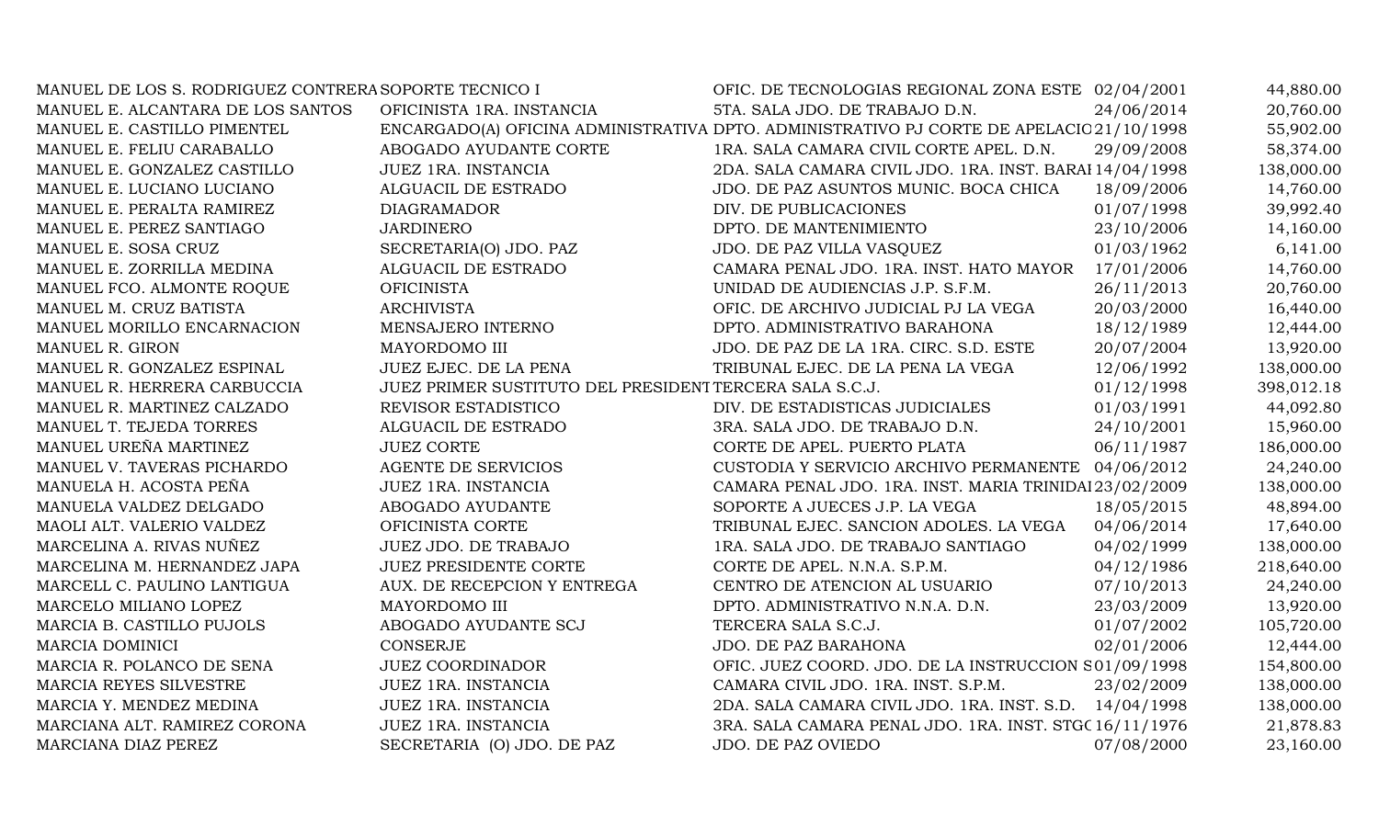| MANUEL DE LOS S. RODRIGUEZ CONTRERA SOPORTE TECNICO I |                                                         | OFIC. DE TECNOLOGIAS REGIONAL ZONA ESTE 02/04/2001                                       |            | 44,880.00  |
|-------------------------------------------------------|---------------------------------------------------------|------------------------------------------------------------------------------------------|------------|------------|
| MANUEL E. ALCANTARA DE LOS SANTOS                     | OFICINISTA 1RA. INSTANCIA                               | 5TA. SALA JDO. DE TRABAJO D.N.                                                           | 24/06/2014 | 20,760.00  |
| MANUEL E. CASTILLO PIMENTEL                           |                                                         | ENCARGADO(A) OFICINA ADMINISTRATIVA DPTO. ADMINISTRATIVO PJ CORTE DE APELACIC 21/10/1998 |            | 55,902.00  |
| MANUEL E. FELIU CARABALLO                             | ABOGADO AYUDANTE CORTE                                  | 1RA. SALA CAMARA CIVIL CORTE APEL. D.N.                                                  | 29/09/2008 | 58,374.00  |
| MANUEL E. GONZALEZ CASTILLO                           | JUEZ 1RA. INSTANCIA                                     | 2DA. SALA CAMARA CIVIL JDO. 1RA. INST. BARAI 14/04/1998                                  |            | 138,000.00 |
| MANUEL E. LUCIANO LUCIANO                             | ALGUACIL DE ESTRADO                                     | JDO. DE PAZ ASUNTOS MUNIC. BOCA CHICA                                                    | 18/09/2006 | 14,760.00  |
| MANUEL E. PERALTA RAMIREZ                             | <b>DIAGRAMADOR</b>                                      | DIV. DE PUBLICACIONES                                                                    | 01/07/1998 | 39,992.40  |
| MANUEL E. PEREZ SANTIAGO                              | <b>JARDINERO</b>                                        | DPTO. DE MANTENIMIENTO                                                                   | 23/10/2006 | 14,160.00  |
| MANUEL E. SOSA CRUZ                                   | SECRETARIA(O) JDO. PAZ                                  | JDO. DE PAZ VILLA VASQUEZ                                                                | 01/03/1962 | 6,141.00   |
| MANUEL E. ZORRILLA MEDINA                             | ALGUACIL DE ESTRADO                                     | CAMARA PENAL JDO. 1RA. INST. HATO MAYOR                                                  | 17/01/2006 | 14,760.00  |
| MANUEL FCO. ALMONTE ROQUE                             | <b>OFICINISTA</b>                                       | UNIDAD DE AUDIENCIAS J.P. S.F.M.                                                         | 26/11/2013 | 20,760.00  |
| MANUEL M. CRUZ BATISTA                                | <b>ARCHIVISTA</b>                                       | OFIC. DE ARCHIVO JUDICIAL PJ LA VEGA                                                     | 20/03/2000 | 16,440.00  |
| MANUEL MORILLO ENCARNACION                            | MENSAJERO INTERNO                                       | DPTO. ADMINISTRATIVO BARAHONA                                                            | 18/12/1989 | 12,444.00  |
| MANUEL R. GIRON                                       | MAYORDOMO III                                           | JDO. DE PAZ DE LA 1RA. CIRC. S.D. ESTE                                                   | 20/07/2004 | 13,920.00  |
| MANUEL R. GONZALEZ ESPINAL                            | JUEZ EJEC. DE LA PENA                                   | TRIBUNAL EJEC. DE LA PENA LA VEGA                                                        | 12/06/1992 | 138,000.00 |
| MANUEL R. HERRERA CARBUCCIA                           | JUEZ PRIMER SUSTITUTO DEL PRESIDENT TERCERA SALA S.C.J. |                                                                                          | 01/12/1998 | 398,012.18 |
| MANUEL R. MARTINEZ CALZADO                            | REVISOR ESTADISTICO                                     | DIV. DE ESTADISTICAS JUDICIALES                                                          | 01/03/1991 | 44,092.80  |
| MANUEL T. TEJEDA TORRES                               | ALGUACIL DE ESTRADO                                     | 3RA. SALA JDO. DE TRABAJO D.N.                                                           | 24/10/2001 | 15,960.00  |
| MANUEL UREÑA MARTINEZ                                 | <b>JUEZ CORTE</b>                                       | CORTE DE APEL. PUERTO PLATA                                                              | 06/11/1987 | 186,000.00 |
| MANUEL V. TAVERAS PICHARDO                            | <b>AGENTE DE SERVICIOS</b>                              | CUSTODIA Y SERVICIO ARCHIVO PERMANENTE 04/06/2012                                        |            | 24,240.00  |
| MANUELA H. ACOSTA PEÑA                                | JUEZ 1RA. INSTANCIA                                     | CAMARA PENAL JDO. 1RA. INST. MARIA TRINIDAI 23/02/2009                                   |            | 138,000.00 |
| MANUELA VALDEZ DELGADO                                | ABOGADO AYUDANTE                                        | SOPORTE A JUECES J.P. LA VEGA                                                            | 18/05/2015 | 48,894.00  |
| MAOLI ALT. VALERIO VALDEZ                             | OFICINISTA CORTE                                        | TRIBUNAL EJEC. SANCION ADOLES. LA VEGA                                                   | 04/06/2014 | 17,640.00  |
| MARCELINA A. RIVAS NUÑEZ                              | JUEZ JDO. DE TRABAJO                                    | 1RA. SALA JDO. DE TRABAJO SANTIAGO                                                       | 04/02/1999 | 138,000.00 |
| MARCELINA M. HERNANDEZ JAPA                           | <b>JUEZ PRESIDENTE CORTE</b>                            | CORTE DE APEL. N.N.A. S.P.M.                                                             | 04/12/1986 | 218,640.00 |
| MARCELL C. PAULINO LANTIGUA                           | AUX. DE RECEPCION Y ENTREGA                             | CENTRO DE ATENCION AL USUARIO                                                            | 07/10/2013 | 24,240.00  |
| MARCELO MILIANO LOPEZ                                 | MAYORDOMO III                                           | DPTO. ADMINISTRATIVO N.N.A. D.N.                                                         | 23/03/2009 | 13,920.00  |
| MARCIA B. CASTILLO PUJOLS                             | ABOGADO AYUDANTE SCJ                                    | TERCERA SALA S.C.J.                                                                      | 01/07/2002 | 105,720.00 |
| <b>MARCIA DOMINICI</b>                                | <b>CONSERJE</b>                                         | JDO. DE PAZ BARAHONA                                                                     | 02/01/2006 | 12,444.00  |
| MARCIA R. POLANCO DE SENA                             | <b>JUEZ COORDINADOR</b>                                 | OFIC. JUEZ COORD. JDO. DE LA INSTRUCCION S01/09/1998                                     |            | 154,800.00 |
| MARCIA REYES SILVESTRE                                | JUEZ 1RA. INSTANCIA                                     | CAMARA CIVIL JDO. 1RA. INST. S.P.M.                                                      | 23/02/2009 | 138,000.00 |
| MARCIA Y. MENDEZ MEDINA                               | JUEZ 1RA. INSTANCIA                                     | 2DA. SALA CAMARA CIVIL JDO. 1RA. INST. S.D. 14/04/1998                                   |            | 138,000.00 |
| MARCIANA ALT. RAMIREZ CORONA                          | JUEZ 1RA. INSTANCIA                                     | 3RA. SALA CAMARA PENAL JDO. 1RA. INST. STGC 16/11/1976                                   |            | 21,878.83  |
| MARCIANA DIAZ PEREZ                                   | SECRETARIA (O) JDO. DE PAZ                              | JDO. DE PAZ OVIEDO                                                                       | 07/08/2000 | 23,160.00  |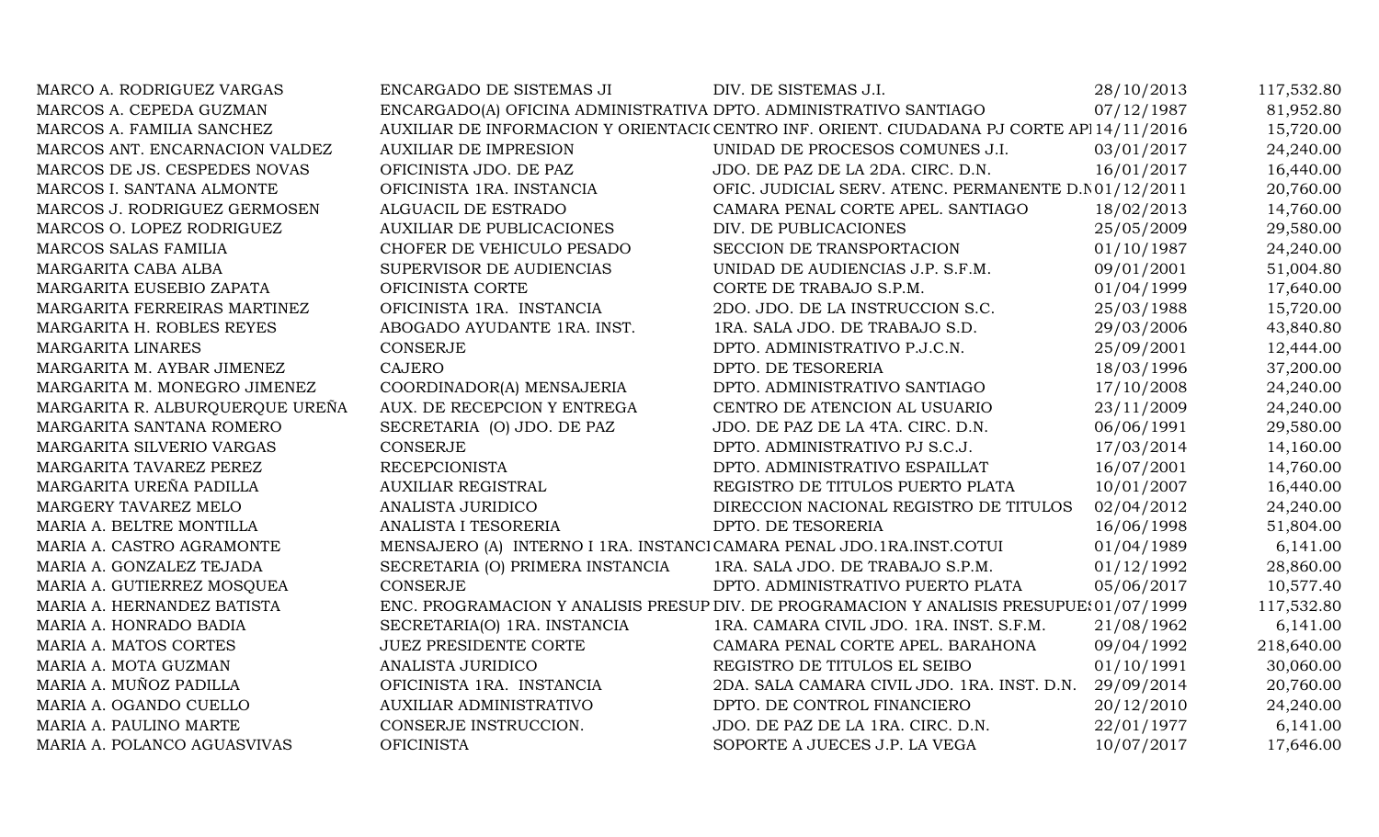| MARCO A. RODRIGUEZ VARGAS       | ENCARGADO DE SISTEMAS JI                                             | DIV. DE SISTEMAS J.I.                                                                     | 28/10/2013 | 117,532.80 |
|---------------------------------|----------------------------------------------------------------------|-------------------------------------------------------------------------------------------|------------|------------|
| MARCOS A. CEPEDA GUZMAN         | ENCARGADO(A) OFICINA ADMINISTRATIVA DPTO. ADMINISTRATIVO SANTIAGO    |                                                                                           | 07/12/1987 | 81,952.80  |
| MARCOS A. FAMILIA SANCHEZ       |                                                                      | AUXILIAR DE INFORMACION Y ORIENTACI(CENTRO INF. ORIENT. CIUDADANA PJ CORTE API 14/11/2016 |            | 15,720.00  |
| MARCOS ANT. ENCARNACION VALDEZ  | <b>AUXILIAR DE IMPRESION</b>                                         | UNIDAD DE PROCESOS COMUNES J.I.                                                           | 03/01/2017 | 24,240.00  |
| MARCOS DE JS. CESPEDES NOVAS    | OFICINISTA JDO. DE PAZ                                               | JDO. DE PAZ DE LA 2DA. CIRC. D.N.                                                         | 16/01/2017 | 16,440.00  |
| MARCOS I. SANTANA ALMONTE       | OFICINISTA 1RA. INSTANCIA                                            | OFIC. JUDICIAL SERV. ATENC. PERMANENTE D.N01/12/2011                                      |            | 20,760.00  |
| MARCOS J. RODRIGUEZ GERMOSEN    | ALGUACIL DE ESTRADO                                                  | CAMARA PENAL CORTE APEL. SANTIAGO                                                         | 18/02/2013 | 14,760.00  |
| MARCOS O. LOPEZ RODRIGUEZ       | <b>AUXILIAR DE PUBLICACIONES</b>                                     | DIV. DE PUBLICACIONES                                                                     | 25/05/2009 | 29,580.00  |
| MARCOS SALAS FAMILIA            | CHOFER DE VEHICULO PESADO                                            | SECCION DE TRANSPORTACION                                                                 | 01/10/1987 | 24,240.00  |
| MARGARITA CABA ALBA             | SUPERVISOR DE AUDIENCIAS                                             | UNIDAD DE AUDIENCIAS J.P. S.F.M.                                                          | 09/01/2001 | 51,004.80  |
| MARGARITA EUSEBIO ZAPATA        | OFICINISTA CORTE                                                     | CORTE DE TRABAJO S.P.M.                                                                   | 01/04/1999 | 17,640.00  |
| MARGARITA FERREIRAS MARTINEZ    | OFICINISTA 1RA. INSTANCIA                                            | 2DO. JDO. DE LA INSTRUCCION S.C.                                                          | 25/03/1988 | 15,720.00  |
| MARGARITA H. ROBLES REYES       | ABOGADO AYUDANTE 1RA. INST.                                          | 1RA. SALA JDO. DE TRABAJO S.D.                                                            | 29/03/2006 | 43,840.80  |
| <b>MARGARITA LINARES</b>        | <b>CONSERJE</b>                                                      | DPTO. ADMINISTRATIVO P.J.C.N.                                                             | 25/09/2001 | 12,444.00  |
| MARGARITA M. AYBAR JIMENEZ      | <b>CAJERO</b>                                                        | DPTO. DE TESORERIA                                                                        | 18/03/1996 | 37,200.00  |
| MARGARITA M. MONEGRO JIMENEZ    | COORDINADOR(A) MENSAJERIA                                            | DPTO. ADMINISTRATIVO SANTIAGO                                                             | 17/10/2008 | 24,240.00  |
| MARGARITA R. ALBURQUERQUE UREÑA | AUX. DE RECEPCION Y ENTREGA                                          | CENTRO DE ATENCION AL USUARIO                                                             | 23/11/2009 | 24,240.00  |
| MARGARITA SANTANA ROMERO        | SECRETARIA (O) JDO. DE PAZ                                           | JDO. DE PAZ DE LA 4TA. CIRC. D.N.                                                         | 06/06/1991 | 29,580.00  |
| MARGARITA SILVERIO VARGAS       | <b>CONSERJE</b>                                                      | DPTO. ADMINISTRATIVO PJ S.C.J.                                                            | 17/03/2014 | 14,160.00  |
| MARGARITA TAVAREZ PEREZ         | <b>RECEPCIONISTA</b>                                                 | DPTO. ADMINISTRATIVO ESPAILLAT                                                            | 16/07/2001 | 14,760.00  |
| MARGARITA UREÑA PADILLA         | <b>AUXILIAR REGISTRAL</b>                                            | REGISTRO DE TITULOS PUERTO PLATA                                                          | 10/01/2007 | 16,440.00  |
| MARGERY TAVAREZ MELO            | ANALISTA JURIDICO                                                    | DIRECCION NACIONAL REGISTRO DE TITULOS                                                    | 02/04/2012 | 24,240.00  |
| MARIA A. BELTRE MONTILLA        | ANALISTA I TESORERIA                                                 | DPTO. DE TESORERIA                                                                        | 16/06/1998 | 51,804.00  |
| MARIA A. CASTRO AGRAMONTE       | MENSAJERO (A) INTERNO I 1RA. INSTANCICAMARA PENAL JDO.1RA.INST.COTUI |                                                                                           | 01/04/1989 | 6,141.00   |
| MARIA A. GONZALEZ TEJADA        | SECRETARIA (O) PRIMERA INSTANCIA                                     | 1RA. SALA JDO. DE TRABAJO S.P.M.                                                          | 01/12/1992 | 28,860.00  |
| MARIA A. GUTIERREZ MOSQUEA      | CONSERJE                                                             | DPTO. ADMINISTRATIVO PUERTO PLATA                                                         | 05/06/2017 | 10,577.40  |
| MARIA A. HERNANDEZ BATISTA      |                                                                      | ENC. PROGRAMACION Y ANALISIS PRESUP DIV. DE PROGRAMACION Y ANALISIS PRESUPUE: 01/07/1999  |            | 117,532.80 |
| MARIA A. HONRADO BADIA          | SECRETARIA(O) 1RA. INSTANCIA                                         | 1RA. CAMARA CIVIL JDO. 1RA. INST. S.F.M.                                                  | 21/08/1962 | 6,141.00   |
| MARIA A. MATOS CORTES           | <b>JUEZ PRESIDENTE CORTE</b>                                         | CAMARA PENAL CORTE APEL. BARAHONA                                                         | 09/04/1992 | 218,640.00 |
| MARIA A. MOTA GUZMAN            | ANALISTA JURIDICO                                                    | REGISTRO DE TITULOS EL SEIBO                                                              | 01/10/1991 | 30,060.00  |
| MARIA A. MUÑOZ PADILLA          | OFICINISTA 1RA. INSTANCIA                                            | 2DA. SALA CAMARA CIVIL JDO. 1RA. INST. D.N.                                               | 29/09/2014 | 20,760.00  |
| MARIA A. OGANDO CUELLO          | <b>AUXILIAR ADMINISTRATIVO</b>                                       | DPTO. DE CONTROL FINANCIERO                                                               | 20/12/2010 | 24,240.00  |
| MARIA A. PAULINO MARTE          | CONSERJE INSTRUCCION.                                                | JDO. DE PAZ DE LA 1RA. CIRC. D.N.                                                         | 22/01/1977 | 6,141.00   |
| MARIA A. POLANCO AGUASVIVAS     | <b>OFICINISTA</b>                                                    | SOPORTE A JUECES J.P. LA VEGA                                                             | 10/07/2017 | 17,646.00  |
|                                 |                                                                      |                                                                                           |            |            |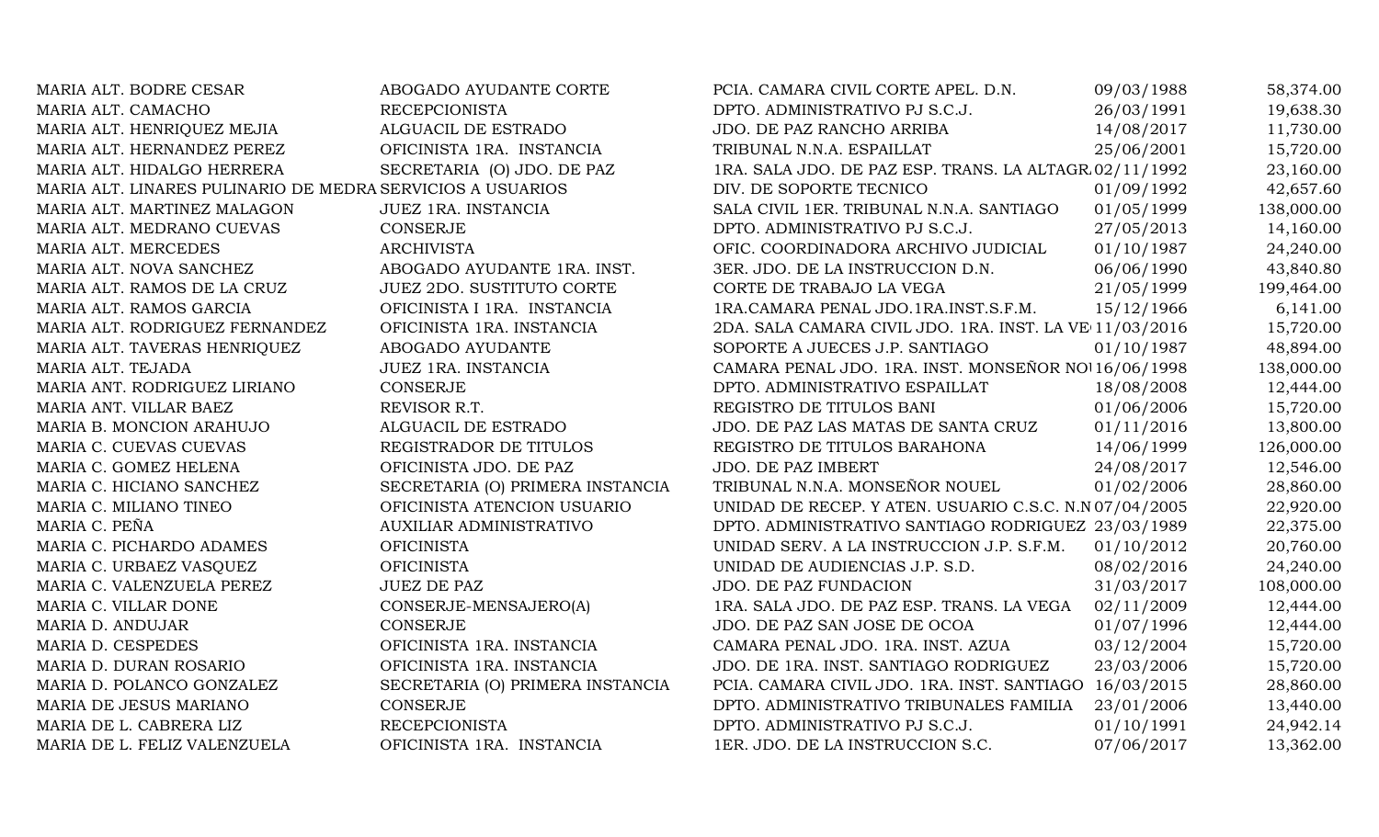| MARIA ALT. BODRE CESAR                                     | ABOGADO AYUDANTE CORTE           | PCIA. CAMARA CIVIL CORTE APEL. D.N.                     | 09/03/1988 | 58,374.00  |
|------------------------------------------------------------|----------------------------------|---------------------------------------------------------|------------|------------|
| MARIA ALT. CAMACHO                                         | <b>RECEPCIONISTA</b>             | DPTO. ADMINISTRATIVO PJ S.C.J.                          | 26/03/1991 | 19,638.30  |
| MARIA ALT. HENRIQUEZ MEJIA                                 | ALGUACIL DE ESTRADO              | JDO. DE PAZ RANCHO ARRIBA                               | 14/08/2017 | 11,730.00  |
| MARIA ALT. HERNANDEZ PEREZ                                 | OFICINISTA 1RA. INSTANCIA        | TRIBUNAL N.N.A. ESPAILLAT                               | 25/06/2001 | 15,720.00  |
| MARIA ALT. HIDALGO HERRERA                                 | SECRETARIA (O) JDO. DE PAZ       | 1RA. SALA JDO. DE PAZ ESP. TRANS. LA ALTAGR 02/11/1992  |            | 23,160.00  |
| MARIA ALT. LINARES PULINARIO DE MEDRA SERVICIOS A USUARIOS |                                  | DIV. DE SOPORTE TECNICO                                 | 01/09/1992 | 42,657.60  |
| MARIA ALT. MARTINEZ MALAGON                                | JUEZ 1RA. INSTANCIA              | SALA CIVIL 1ER. TRIBUNAL N.N.A. SANTIAGO                | 01/05/1999 | 138,000.00 |
| MARIA ALT. MEDRANO CUEVAS                                  | <b>CONSERJE</b>                  | DPTO. ADMINISTRATIVO PJ S.C.J.                          | 27/05/2013 | 14,160.00  |
| MARIA ALT. MERCEDES                                        | <b>ARCHIVISTA</b>                | OFIC. COORDINADORA ARCHIVO JUDICIAL                     | 01/10/1987 | 24,240.00  |
| MARIA ALT. NOVA SANCHEZ                                    | ABOGADO AYUDANTE 1RA. INST.      | 3ER. JDO. DE LA INSTRUCCION D.N.                        | 06/06/1990 | 43,840.80  |
| MARIA ALT. RAMOS DE LA CRUZ                                | <b>JUEZ 2DO. SUSTITUTO CORTE</b> | CORTE DE TRABAJO LA VEGA                                | 21/05/1999 | 199,464.00 |
| MARIA ALT. RAMOS GARCIA                                    | OFICINISTA I 1RA. INSTANCIA      | 1RA.CAMARA PENAL JDO.1RA.INST.S.F.M.                    | 15/12/1966 | 6,141.00   |
| MARIA ALT. RODRIGUEZ FERNANDEZ                             | OFICINISTA 1RA. INSTANCIA        | 2DA. SALA CAMARA CIVIL JDO. 1RA. INST. LA VE 11/03/2016 |            | 15,720.00  |
| MARIA ALT. TAVERAS HENRIQUEZ                               | ABOGADO AYUDANTE                 | SOPORTE A JUECES J.P. SANTIAGO                          | 01/10/1987 | 48,894.00  |
| MARIA ALT. TEJADA                                          | JUEZ 1RA. INSTANCIA              | CAMARA PENAL JDO. 1RA. INST. MONSEÑOR NO 16/06/1998     |            | 138,000.00 |
| MARIA ANT. RODRIGUEZ LIRIANO                               | <b>CONSERJE</b>                  | DPTO. ADMINISTRATIVO ESPAILLAT                          | 18/08/2008 | 12,444.00  |
| MARIA ANT. VILLAR BAEZ                                     | REVISOR R.T.                     | REGISTRO DE TITULOS BANI                                | 01/06/2006 | 15,720.00  |
| MARIA B. MONCION ARAHUJO                                   | ALGUACIL DE ESTRADO              | JDO. DE PAZ LAS MATAS DE SANTA CRUZ                     | 01/11/2016 | 13,800.00  |
| MARIA C. CUEVAS CUEVAS                                     | REGISTRADOR DE TITULOS           | REGISTRO DE TITULOS BARAHONA                            | 14/06/1999 | 126,000.00 |
| MARIA C. GOMEZ HELENA                                      | OFICINISTA JDO. DE PAZ           | JDO. DE PAZ IMBERT                                      | 24/08/2017 | 12,546.00  |
| MARIA C. HICIANO SANCHEZ                                   | SECRETARIA (O) PRIMERA INSTANCIA | TRIBUNAL N.N.A. MONSEÑOR NOUEL                          | 01/02/2006 | 28,860.00  |
| MARIA C. MILIANO TINEO                                     | OFICINISTA ATENCION USUARIO      | UNIDAD DE RECEP. Y ATEN. USUARIO C.S.C. N.N 07/04/2005  |            | 22,920.00  |
| MARIA C. PEÑA                                              | <b>AUXILIAR ADMINISTRATIVO</b>   | DPTO. ADMINISTRATIVO SANTIAGO RODRIGUEZ 23/03/1989      |            | 22,375.00  |
| MARIA C. PICHARDO ADAMES                                   | <b>OFICINISTA</b>                | UNIDAD SERV. A LA INSTRUCCION J.P. S.F.M.               | 01/10/2012 | 20,760.00  |
| MARIA C. URBAEZ VASQUEZ                                    | <b>OFICINISTA</b>                | UNIDAD DE AUDIENCIAS J.P. S.D.                          | 08/02/2016 | 24,240.00  |
| MARIA C. VALENZUELA PEREZ                                  | <b>JUEZ DE PAZ</b>               | JDO. DE PAZ FUNDACION                                   | 31/03/2017 | 108,000.00 |
| MARIA C. VILLAR DONE                                       | CONSERJE-MENSAJERO(A)            | 1RA. SALA JDO. DE PAZ ESP. TRANS. LA VEGA               | 02/11/2009 | 12,444.00  |
| MARIA D. ANDUJAR                                           | <b>CONSERJE</b>                  | JDO. DE PAZ SAN JOSE DE OCOA                            | 01/07/1996 | 12,444.00  |
| MARIA D. CESPEDES                                          | OFICINISTA 1RA. INSTANCIA        | CAMARA PENAL JDO. 1RA. INST. AZUA                       | 03/12/2004 | 15,720.00  |
| MARIA D. DURAN ROSARIO                                     | OFICINISTA 1RA. INSTANCIA        | JDO. DE 1RA. INST. SANTIAGO RODRIGUEZ                   | 23/03/2006 | 15,720.00  |
| MARIA D. POLANCO GONZALEZ                                  | SECRETARIA (O) PRIMERA INSTANCIA | PCIA. CAMARA CIVIL JDO. 1RA. INST. SANTIAGO 16/03/2015  |            | 28,860.00  |
| MARIA DE JESUS MARIANO                                     | <b>CONSERJE</b>                  | DPTO. ADMINISTRATIVO TRIBUNALES FAMILIA                 | 23/01/2006 | 13,440.00  |
| MARIA DE L. CABRERA LIZ                                    | <b>RECEPCIONISTA</b>             | DPTO. ADMINISTRATIVO PJ S.C.J.                          | 01/10/1991 | 24,942.14  |
| MARIA DE L. FELIZ VALENZUELA                               | OFICINISTA 1RA. INSTANCIA        | 1ER. JDO. DE LA INSTRUCCION S.C.                        | 07/06/2017 | 13,362.00  |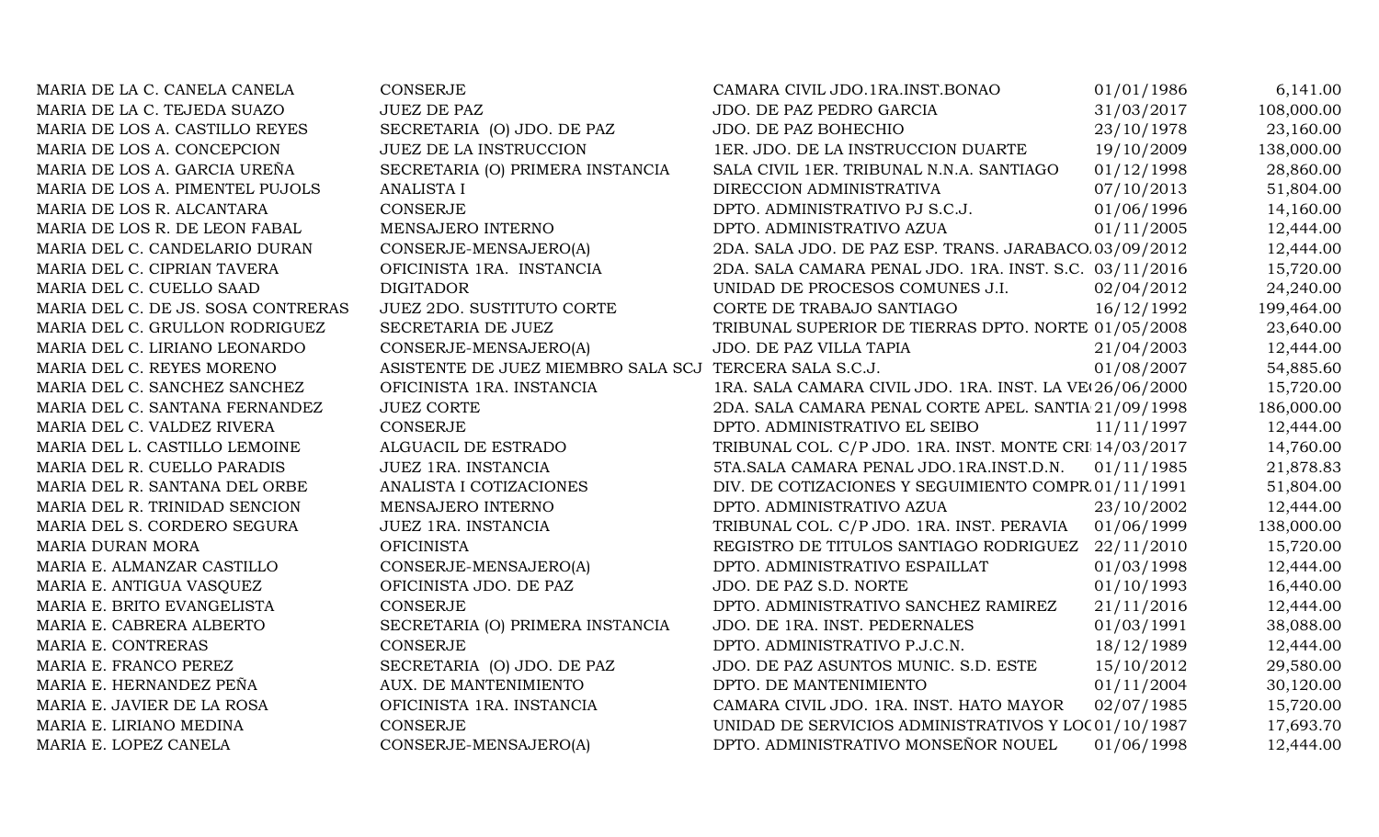| MARIA DE LA C. CANELA CANELA       | CONSERJE                                               | CAMARA CIVIL JDO.1RA.INST.BONAO                         | 01/01/1986 | 6,141.00   |
|------------------------------------|--------------------------------------------------------|---------------------------------------------------------|------------|------------|
| MARIA DE LA C. TEJEDA SUAZO        | <b>JUEZ DE PAZ</b>                                     | JDO. DE PAZ PEDRO GARCIA                                | 31/03/2017 | 108,000.00 |
| MARIA DE LOS A. CASTILLO REYES     | SECRETARIA (O) JDO. DE PAZ                             | JDO. DE PAZ BOHECHIO                                    | 23/10/1978 | 23,160.00  |
| MARIA DE LOS A. CONCEPCION         | JUEZ DE LA INSTRUCCION                                 | 1ER. JDO. DE LA INSTRUCCION DUARTE                      | 19/10/2009 | 138,000.00 |
| MARIA DE LOS A. GARCIA UREÑA       | SECRETARIA (O) PRIMERA INSTANCIA                       | SALA CIVIL 1ER. TRIBUNAL N.N.A. SANTIAGO                | 01/12/1998 | 28,860.00  |
| MARIA DE LOS A. PIMENTEL PUJOLS    | <b>ANALISTA I</b>                                      | DIRECCION ADMINISTRATIVA                                | 07/10/2013 | 51,804.00  |
| MARIA DE LOS R. ALCANTARA          | CONSERJE                                               | DPTO. ADMINISTRATIVO PJ S.C.J.                          | 01/06/1996 | 14,160.00  |
| MARIA DE LOS R. DE LEON FABAL      | MENSAJERO INTERNO                                      | DPTO. ADMINISTRATIVO AZUA                               | 01/11/2005 | 12,444.00  |
| MARIA DEL C. CANDELARIO DURAN      | CONSERJE-MENSAJERO(A)                                  | 2DA. SALA JDO. DE PAZ ESP. TRANS. JARABACO 03/09/2012   |            | 12,444.00  |
| MARIA DEL C. CIPRIAN TAVERA        | OFICINISTA 1RA. INSTANCIA                              | 2DA. SALA CAMARA PENAL JDO. 1RA. INST. S.C. 03/11/2016  |            | 15,720.00  |
| MARIA DEL C. CUELLO SAAD           | <b>DIGITADOR</b>                                       | UNIDAD DE PROCESOS COMUNES J.I.                         | 02/04/2012 | 24,240.00  |
| MARIA DEL C. DE JS. SOSA CONTRERAS | <b>JUEZ 2DO. SUSTITUTO CORTE</b>                       | CORTE DE TRABAJO SANTIAGO                               | 16/12/1992 | 199,464.00 |
| MARIA DEL C. GRULLON RODRIGUEZ     | SECRETARIA DE JUEZ                                     | TRIBUNAL SUPERIOR DE TIERRAS DPTO. NORTE 01/05/2008     |            | 23,640.00  |
| MARIA DEL C. LIRIANO LEONARDO      | CONSERJE-MENSAJERO(A)                                  | JDO. DE PAZ VILLA TAPIA                                 | 21/04/2003 | 12,444.00  |
| MARIA DEL C. REYES MORENO          | ASISTENTE DE JUEZ MIEMBRO SALA SCJ TERCERA SALA S.C.J. |                                                         | 01/08/2007 | 54,885.60  |
| MARIA DEL C. SANCHEZ SANCHEZ       | OFICINISTA 1RA. INSTANCIA                              | 1RA. SALA CAMARA CIVIL JDO. 1RA. INST. LA VE 26/06/2000 |            | 15,720.00  |
| MARIA DEL C. SANTANA FERNANDEZ     | <b>JUEZ CORTE</b>                                      | 2DA. SALA CAMARA PENAL CORTE APEL. SANTIA 21/09/1998    |            | 186,000.00 |
| MARIA DEL C. VALDEZ RIVERA         | <b>CONSERJE</b>                                        | DPTO. ADMINISTRATIVO EL SEIBO                           | 11/11/1997 | 12,444.00  |
| MARIA DEL L. CASTILLO LEMOINE      | ALGUACIL DE ESTRADO                                    | TRIBUNAL COL. C/P JDO. 1RA. INST. MONTE CRI 14/03/2017  |            | 14,760.00  |
| MARIA DEL R. CUELLO PARADIS        | JUEZ 1RA. INSTANCIA                                    | 5TA. SALA CAMARA PENAL JDO. 1RA. INST.D.N.              | 01/11/1985 | 21,878.83  |
| MARIA DEL R. SANTANA DEL ORBE      | ANALISTA I COTIZACIONES                                | DIV. DE COTIZACIONES Y SEGUIMIENTO COMPR 01/11/1991     |            | 51,804.00  |
| MARIA DEL R. TRINIDAD SENCION      | MENSAJERO INTERNO                                      | DPTO. ADMINISTRATIVO AZUA                               | 23/10/2002 | 12,444.00  |
| MARIA DEL S. CORDERO SEGURA        | JUEZ 1RA. INSTANCIA                                    | TRIBUNAL COL. C/P JDO. 1RA. INST. PERAVIA               | 01/06/1999 | 138,000.00 |
| MARIA DURAN MORA                   | <b>OFICINISTA</b>                                      | REGISTRO DE TITULOS SANTIAGO RODRIGUEZ 22/11/2010       |            | 15,720.00  |
| MARIA E. ALMANZAR CASTILLO         | CONSERJE-MENSAJERO(A)                                  | DPTO. ADMINISTRATIVO ESPAILLAT                          | 01/03/1998 | 12,444.00  |
| MARIA E. ANTIGUA VASQUEZ           | OFICINISTA JDO. DE PAZ                                 | JDO. DE PAZ S.D. NORTE                                  | 01/10/1993 | 16,440.00  |
| MARIA E. BRITO EVANGELISTA         | <b>CONSERJE</b>                                        | DPTO. ADMINISTRATIVO SANCHEZ RAMIREZ                    | 21/11/2016 | 12,444.00  |
| MARIA E. CABRERA ALBERTO           | SECRETARIA (O) PRIMERA INSTANCIA                       | JDO. DE 1RA. INST. PEDERNALES                           | 01/03/1991 | 38,088.00  |
| MARIA E. CONTRERAS                 | <b>CONSERJE</b>                                        | DPTO. ADMINISTRATIVO P.J.C.N.                           | 18/12/1989 | 12,444.00  |
| MARIA E. FRANCO PEREZ              | SECRETARIA (O) JDO. DE PAZ                             | JDO. DE PAZ ASUNTOS MUNIC. S.D. ESTE                    | 15/10/2012 | 29,580.00  |
| MARIA E. HERNANDEZ PEÑA            | AUX. DE MANTENIMIENTO                                  | DPTO. DE MANTENIMIENTO                                  | 01/11/2004 | 30,120.00  |
| MARIA E. JAVIER DE LA ROSA         | OFICINISTA 1RA. INSTANCIA                              | CAMARA CIVIL JDO. 1RA. INST. HATO MAYOR                 | 02/07/1985 | 15,720.00  |
| MARIA E. LIRIANO MEDINA            | <b>CONSERJE</b>                                        | UNIDAD DE SERVICIOS ADMINISTRATIVOS Y LOC01/10/1987     |            | 17,693.70  |
| MARIA E. LOPEZ CANELA              | CONSERJE-MENSAJERO(A)                                  | DPTO. ADMINISTRATIVO MONSEÑOR NOUEL                     | 01/06/1998 | 12,444.00  |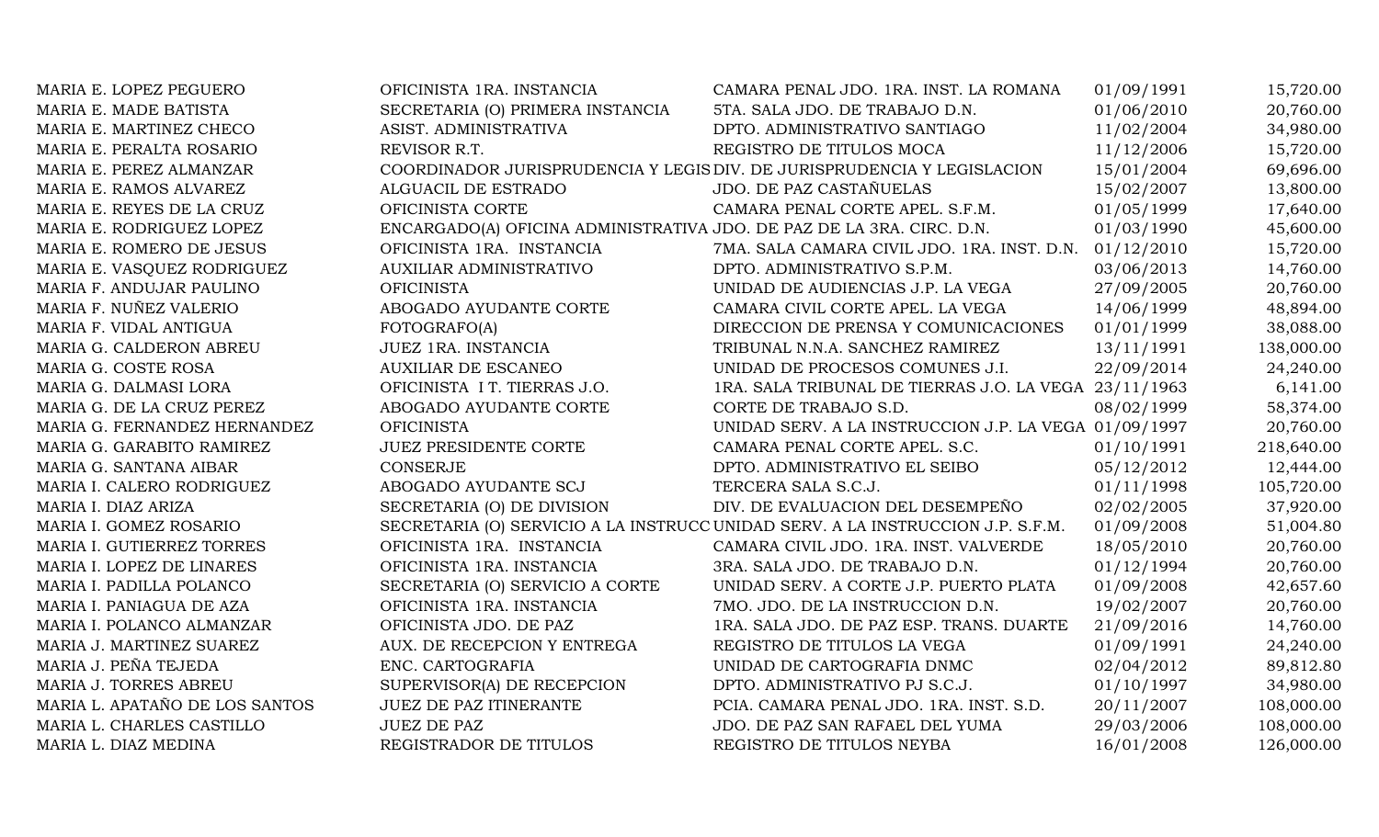| MARIA E. LOPEZ PEGUERO         | OFICINISTA 1RA. INSTANCIA                                             | CAMARA PENAL JDO. 1RA. INST. LA ROMANA                                          | 01/09/1991 | 15,720.00  |
|--------------------------------|-----------------------------------------------------------------------|---------------------------------------------------------------------------------|------------|------------|
| MARIA E. MADE BATISTA          | SECRETARIA (O) PRIMERA INSTANCIA                                      | 5TA. SALA JDO. DE TRABAJO D.N.                                                  | 01/06/2010 | 20,760.00  |
| MARIA E. MARTINEZ CHECO        | ASIST. ADMINISTRATIVA                                                 | DPTO. ADMINISTRATIVO SANTIAGO                                                   | 11/02/2004 | 34,980.00  |
| MARIA E. PERALTA ROSARIO       | REVISOR R.T.                                                          | REGISTRO DE TITULOS MOCA                                                        | 11/12/2006 | 15,720.00  |
| MARIA E. PEREZ ALMANZAR        |                                                                       | COORDINADOR JURISPRUDENCIA Y LEGIS DIV. DE JURISPRUDENCIA Y LEGISLACION         | 15/01/2004 | 69,696.00  |
| MARIA E. RAMOS ALVAREZ         | ALGUACIL DE ESTRADO                                                   | JDO. DE PAZ CASTAÑUELAS                                                         | 15/02/2007 | 13,800.00  |
| MARIA E. REYES DE LA CRUZ      | OFICINISTA CORTE                                                      | CAMARA PENAL CORTE APEL. S.F.M.                                                 | 01/05/1999 | 17,640.00  |
| MARIA E. RODRIGUEZ LOPEZ       | ENCARGADO(A) OFICINA ADMINISTRATIVA JDO. DE PAZ DE LA 3RA. CIRC. D.N. |                                                                                 | 01/03/1990 | 45,600.00  |
| MARIA E. ROMERO DE JESUS       | OFICINISTA 1RA. INSTANCIA                                             | 7MA. SALA CAMARA CIVIL JDO. 1RA. INST. D.N. 01/12/2010                          |            | 15,720.00  |
| MARIA E. VASQUEZ RODRIGUEZ     | <b>AUXILIAR ADMINISTRATIVO</b>                                        | DPTO. ADMINISTRATIVO S.P.M.                                                     | 03/06/2013 | 14,760.00  |
| MARIA F. ANDUJAR PAULINO       | <b>OFICINISTA</b>                                                     | UNIDAD DE AUDIENCIAS J.P. LA VEGA                                               | 27/09/2005 | 20,760.00  |
| MARIA F. NUÑEZ VALERIO         | ABOGADO AYUDANTE CORTE                                                | CAMARA CIVIL CORTE APEL. LA VEGA                                                | 14/06/1999 | 48,894.00  |
| MARIA F. VIDAL ANTIGUA         | FOTOGRAFO(A)                                                          | DIRECCION DE PRENSA Y COMUNICACIONES                                            | 01/01/1999 | 38,088.00  |
| MARIA G. CALDERON ABREU        | JUEZ 1RA. INSTANCIA                                                   | TRIBUNAL N.N.A. SANCHEZ RAMIREZ                                                 | 13/11/1991 | 138,000.00 |
| MARIA G. COSTE ROSA            | <b>AUXILIAR DE ESCANEO</b>                                            | UNIDAD DE PROCESOS COMUNES J.I.                                                 | 22/09/2014 | 24,240.00  |
| MARIA G. DALMASI LORA          | OFICINISTA I T. TIERRAS J.O.                                          | 1RA. SALA TRIBUNAL DE TIERRAS J.O. LA VEGA 23/11/1963                           |            | 6,141.00   |
| MARIA G. DE LA CRUZ PEREZ      | ABOGADO AYUDANTE CORTE                                                | CORTE DE TRABAJO S.D.                                                           | 08/02/1999 | 58,374.00  |
| MARIA G. FERNANDEZ HERNANDEZ   | <b>OFICINISTA</b>                                                     | UNIDAD SERV. A LA INSTRUCCION J.P. LA VEGA 01/09/1997                           |            | 20,760.00  |
| MARIA G. GARABITO RAMIREZ      | JUEZ PRESIDENTE CORTE                                                 | CAMARA PENAL CORTE APEL. S.C.                                                   | 01/10/1991 | 218,640.00 |
| MARIA G. SANTANA AIBAR         | <b>CONSERJE</b>                                                       | DPTO. ADMINISTRATIVO EL SEIBO                                                   | 05/12/2012 | 12,444.00  |
| MARIA I. CALERO RODRIGUEZ      | ABOGADO AYUDANTE SCJ                                                  | TERCERA SALA S.C.J.                                                             | 01/11/1998 | 105,720.00 |
| MARIA I. DIAZ ARIZA            | SECRETARIA (O) DE DIVISION                                            | DIV. DE EVALUACION DEL DESEMPEÑO                                                | 02/02/2005 | 37,920.00  |
| MARIA I. GOMEZ ROSARIO         |                                                                       | SECRETARIA (O) SERVICIO A LA INSTRUCC UNIDAD SERV. A LA INSTRUCCION J.P. S.F.M. | 01/09/2008 | 51,004.80  |
| MARIA I. GUTIERREZ TORRES      | OFICINISTA 1RA. INSTANCIA                                             | CAMARA CIVIL JDO. 1RA. INST. VALVERDE                                           | 18/05/2010 | 20,760.00  |
| MARIA I. LOPEZ DE LINARES      | OFICINISTA 1RA. INSTANCIA                                             | 3RA. SALA JDO. DE TRABAJO D.N.                                                  | 01/12/1994 | 20,760.00  |
| MARIA I. PADILLA POLANCO       | SECRETARIA (O) SERVICIO A CORTE                                       | UNIDAD SERV. A CORTE J.P. PUERTO PLATA                                          | 01/09/2008 | 42,657.60  |
| MARIA I. PANIAGUA DE AZA       | OFICINISTA 1RA. INSTANCIA                                             | 7MO. JDO. DE LA INSTRUCCION D.N.                                                | 19/02/2007 | 20,760.00  |
| MARIA I. POLANCO ALMANZAR      | OFICINISTA JDO. DE PAZ                                                | 1RA. SALA JDO. DE PAZ ESP. TRANS. DUARTE                                        | 21/09/2016 | 14,760.00  |
| MARIA J. MARTINEZ SUAREZ       | AUX. DE RECEPCION Y ENTREGA                                           | REGISTRO DE TITULOS LA VEGA                                                     | 01/09/1991 | 24,240.00  |
| MARIA J. PEÑA TEJEDA           | ENC. CARTOGRAFIA                                                      | UNIDAD DE CARTOGRAFIA DNMC                                                      | 02/04/2012 | 89,812.80  |
| MARIA J. TORRES ABREU          | SUPERVISOR(A) DE RECEPCION                                            | DPTO. ADMINISTRATIVO PJ S.C.J.                                                  | 01/10/1997 | 34,980.00  |
| MARIA L. APATAÑO DE LOS SANTOS | <b>JUEZ DE PAZ ITINERANTE</b>                                         | PCIA. CAMARA PENAL JDO. 1RA. INST. S.D.                                         | 20/11/2007 | 108,000.00 |
| MARIA L. CHARLES CASTILLO      | <b>JUEZ DE PAZ</b>                                                    | JDO. DE PAZ SAN RAFAEL DEL YUMA                                                 | 29/03/2006 | 108,000.00 |
| MARIA L. DIAZ MEDINA           | REGISTRADOR DE TITULOS                                                | REGISTRO DE TITULOS NEYBA                                                       | 16/01/2008 | 126,000.00 |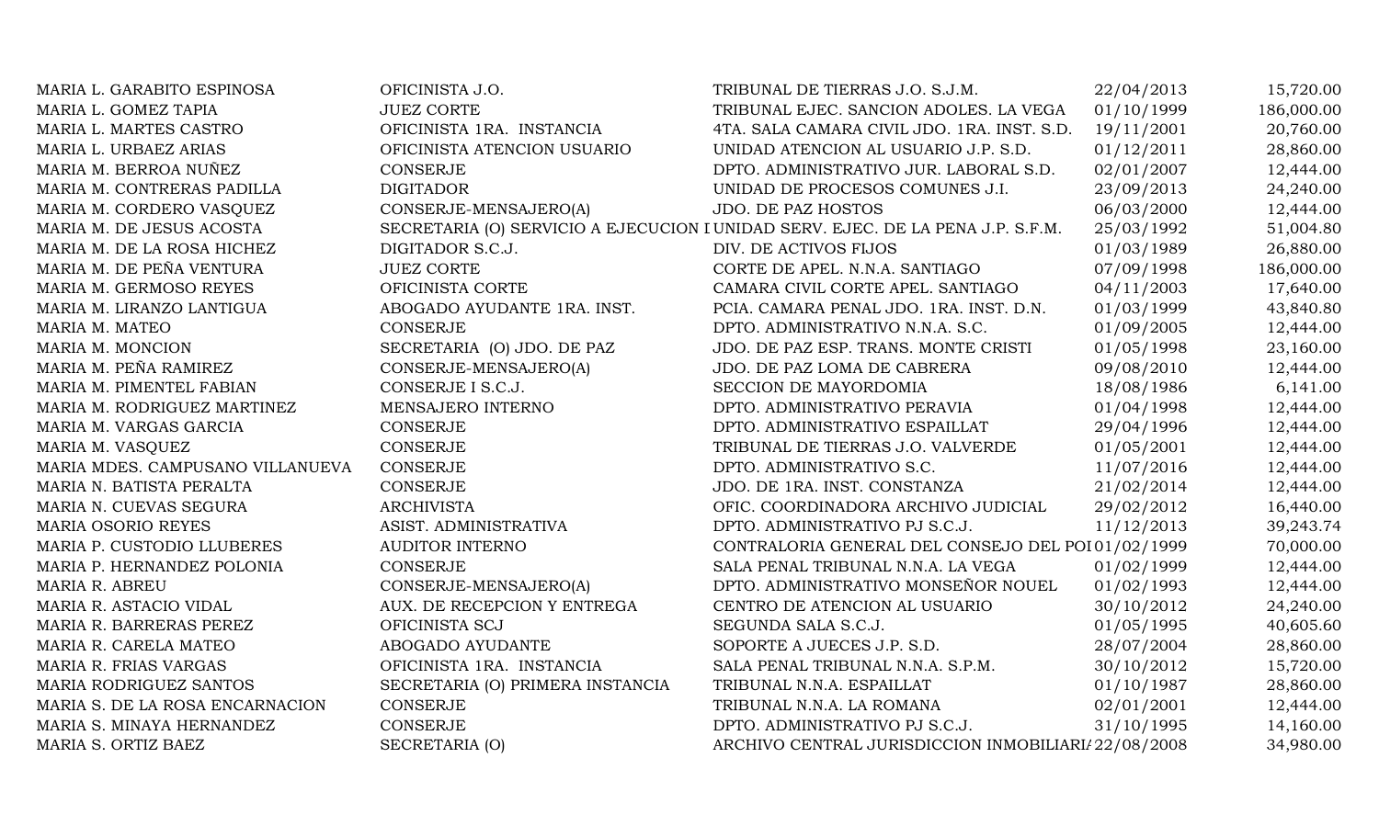| MARIA L. GARABITO ESPINOSA       | OFICINISTA J.O.                  | TRIBUNAL DE TIERRAS J.O. S.J.M.                                                 | 22/04/2013 | 15,720.00  |
|----------------------------------|----------------------------------|---------------------------------------------------------------------------------|------------|------------|
| MARIA L. GOMEZ TAPIA             | <b>JUEZ CORTE</b>                | TRIBUNAL EJEC. SANCION ADOLES. LA VEGA                                          | 01/10/1999 | 186,000.00 |
| MARIA L. MARTES CASTRO           | OFICINISTA 1RA. INSTANCIA        | 4TA. SALA CAMARA CIVIL JDO. 1RA. INST. S.D.                                     | 19/11/2001 | 20,760.00  |
| MARIA L. URBAEZ ARIAS            | OFICINISTA ATENCION USUARIO      | UNIDAD ATENCION AL USUARIO J.P. S.D.                                            | 01/12/2011 | 28,860.00  |
| MARIA M. BERROA NUÑEZ            | CONSERJE                         | DPTO. ADMINISTRATIVO JUR. LABORAL S.D.                                          | 02/01/2007 | 12,444.00  |
| MARIA M. CONTRERAS PADILLA       | <b>DIGITADOR</b>                 | UNIDAD DE PROCESOS COMUNES J.I.                                                 | 23/09/2013 | 24,240.00  |
| MARIA M. CORDERO VASQUEZ         | CONSERJE-MENSAJERO(A)            | <b>JDO. DE PAZ HOSTOS</b>                                                       | 06/03/2000 | 12,444.00  |
| MARIA M. DE JESUS ACOSTA         |                                  | SECRETARIA (O) SERVICIO A EJECUCION I UNIDAD SERV. EJEC. DE LA PENA J.P. S.F.M. | 25/03/1992 | 51,004.80  |
| MARIA M. DE LA ROSA HICHEZ       | DIGITADOR S.C.J.                 | DIV. DE ACTIVOS FIJOS                                                           | 01/03/1989 | 26,880.00  |
| MARIA M. DE PEÑA VENTURA         | <b>JUEZ CORTE</b>                | CORTE DE APEL. N.N.A. SANTIAGO                                                  | 07/09/1998 | 186,000.00 |
| MARIA M. GERMOSO REYES           | OFICINISTA CORTE                 | CAMARA CIVIL CORTE APEL. SANTIAGO                                               | 04/11/2003 | 17,640.00  |
| MARIA M. LIRANZO LANTIGUA        | ABOGADO AYUDANTE 1RA. INST.      | PCIA. CAMARA PENAL JDO. 1RA. INST. D.N.                                         | 01/03/1999 | 43,840.80  |
| MARIA M. MATEO                   | <b>CONSERJE</b>                  | DPTO. ADMINISTRATIVO N.N.A. S.C.                                                | 01/09/2005 | 12,444.00  |
| MARIA M. MONCION                 | SECRETARIA (O) JDO. DE PAZ       | JDO. DE PAZ ESP. TRANS. MONTE CRISTI                                            | 01/05/1998 | 23,160.00  |
| MARIA M. PEÑA RAMIREZ            | CONSERJE-MENSAJERO(A)            | JDO. DE PAZ LOMA DE CABRERA                                                     | 09/08/2010 | 12,444.00  |
| MARIA M. PIMENTEL FABIAN         | CONSERJE I S.C.J.                | SECCION DE MAYORDOMIA                                                           | 18/08/1986 | 6,141.00   |
| MARIA M. RODRIGUEZ MARTINEZ      | MENSAJERO INTERNO                | DPTO. ADMINISTRATIVO PERAVIA                                                    | 01/04/1998 | 12,444.00  |
| MARIA M. VARGAS GARCIA           | <b>CONSERJE</b>                  | DPTO. ADMINISTRATIVO ESPAILLAT                                                  | 29/04/1996 | 12,444.00  |
| MARIA M. VASQUEZ                 | CONSERJE                         | TRIBUNAL DE TIERRAS J.O. VALVERDE                                               | 01/05/2001 | 12,444.00  |
| MARIA MDES. CAMPUSANO VILLANUEVA | CONSERJE                         | DPTO. ADMINISTRATIVO S.C.                                                       | 11/07/2016 | 12,444.00  |
| MARIA N. BATISTA PERALTA         | <b>CONSERJE</b>                  | JDO. DE 1RA. INST. CONSTANZA                                                    | 21/02/2014 | 12,444.00  |
| MARIA N. CUEVAS SEGURA           | <b>ARCHIVISTA</b>                | OFIC. COORDINADORA ARCHIVO JUDICIAL                                             | 29/02/2012 | 16,440.00  |
| MARIA OSORIO REYES               | ASIST. ADMINISTRATIVA            | DPTO. ADMINISTRATIVO PJ S.C.J.                                                  | 11/12/2013 | 39,243.74  |
| MARIA P. CUSTODIO LLUBERES       | <b>AUDITOR INTERNO</b>           | CONTRALORIA GENERAL DEL CONSEJO DEL POI 01/02/1999                              |            | 70,000.00  |
| MARIA P. HERNANDEZ POLONIA       | CONSERJE                         | SALA PENAL TRIBUNAL N.N.A. LA VEGA                                              | 01/02/1999 | 12,444.00  |
| MARIA R. ABREU                   | CONSERJE-MENSAJERO(A)            | DPTO. ADMINISTRATIVO MONSEÑOR NOUEL                                             | 01/02/1993 | 12,444.00  |
| MARIA R. ASTACIO VIDAL           | AUX. DE RECEPCION Y ENTREGA      | CENTRO DE ATENCION AL USUARIO                                                   | 30/10/2012 | 24,240.00  |
| MARIA R. BARRERAS PEREZ          | OFICINISTA SCJ                   | SEGUNDA SALA S.C.J.                                                             | 01/05/1995 | 40,605.60  |
| MARIA R. CARELA MATEO            | ABOGADO AYUDANTE                 | SOPORTE A JUECES J.P. S.D.                                                      | 28/07/2004 | 28,860.00  |
| MARIA R. FRIAS VARGAS            | OFICINISTA 1RA. INSTANCIA        | SALA PENAL TRIBUNAL N.N.A. S.P.M.                                               | 30/10/2012 | 15,720.00  |
| MARIA RODRIGUEZ SANTOS           | SECRETARIA (O) PRIMERA INSTANCIA | TRIBUNAL N.N.A. ESPAILLAT                                                       | 01/10/1987 | 28,860.00  |
| MARIA S. DE LA ROSA ENCARNACION  | <b>CONSERJE</b>                  | TRIBUNAL N.N.A. LA ROMANA                                                       | 02/01/2001 | 12,444.00  |
| MARIA S. MINAYA HERNANDEZ        | <b>CONSERJE</b>                  | DPTO. ADMINISTRATIVO PJ S.C.J.                                                  | 31/10/1995 | 14,160.00  |
| MARIA S. ORTIZ BAEZ              | SECRETARIA (O)                   | ARCHIVO CENTRAL JURISDICCION INMOBILIARI/ 22/08/2008                            |            | 34,980.00  |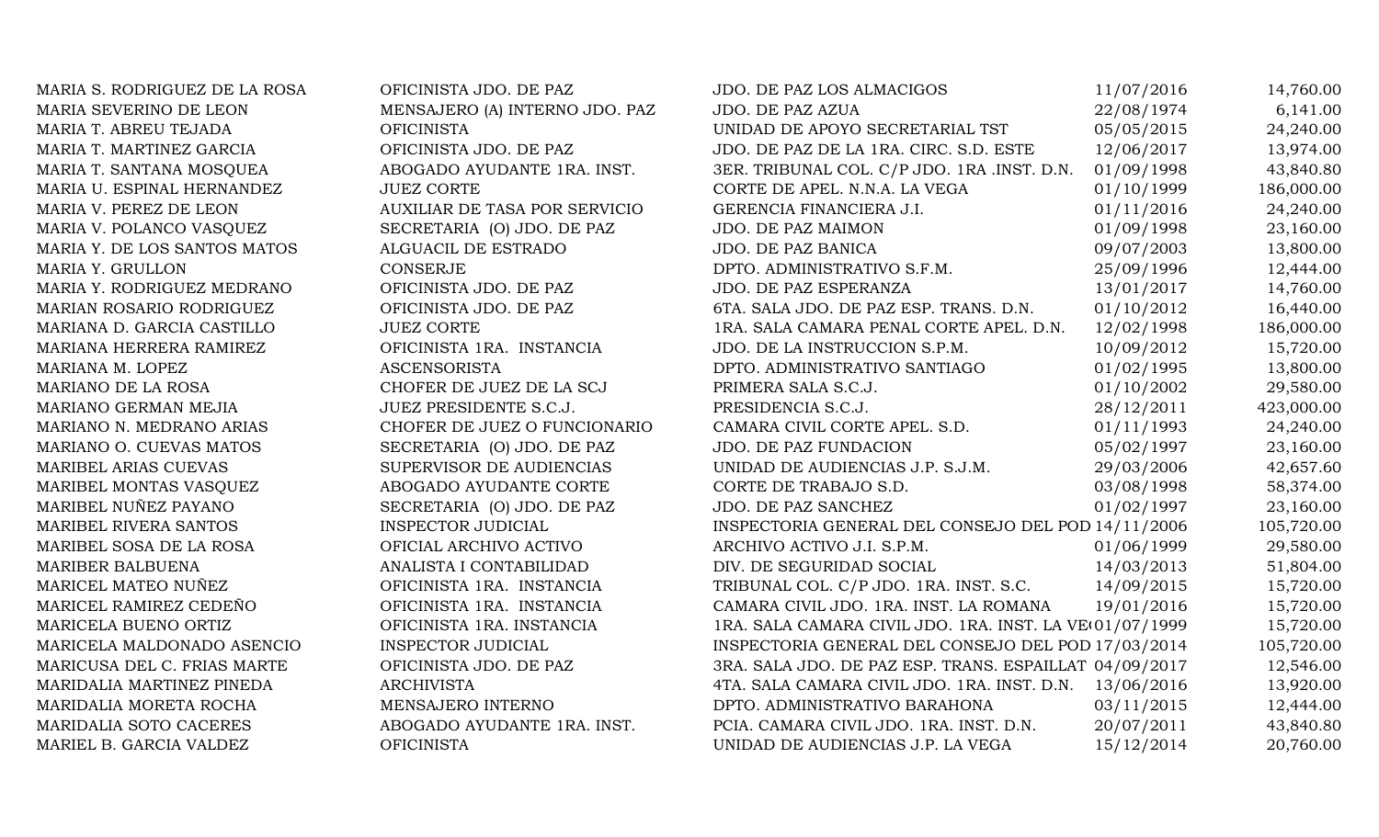MARIA S. RODRIGUEZ DE LA ROSA OFICINISTA JDO. DE PAZ JDO. DE PAZ LOS ALMACIGOS 11/07/2016 14,760.00 MARIA SEVERINO DE LEON MENSAJERO (A) INTERNO JDO. PAZ JDO. DE PAZ AZUA 22/08/1974 6,141.00 MARIA T. ABREU TEJADA **OFICINISTA** OFICINISTA UNIDAD DE APOYO SECRETARIAL TST 05/05/2015 24,240.00 MARIA T. MARTINEZ GARCIA **OFICINISTA JDO. DE PAZ** JDO. DE PAZ DE LA 1RA. CIRC. S.D. ESTE 12/06/2017 13,974.00 MARIA T. SANTANA MOSQUEA ABOGADO AYUDANTE 1RA. INST. 3ER. TRIBUNAL COL. C/P JDO. 1RA .INST. D.N. 01/09/1998 43,840.80 MARIA U. ESPINAL HERNANDEZ JUEZ CORTE CORTE CORTE DE APEL. N.N.A. LA VEGA 01/10/1999 186,000.00 MARIA V. PEREZ DE LEON AUXILIAR DE TASA POR SERVICIO GERENCIA FINANCIERA J.I. 01/11/2016 24,240.00 MARIA V. POLANCO VASOUEZ SECRETARIA (O) JDO. DE PAZ JDO. DE PAZ MAIMON 01/09/1998 23,160.00 MARIA Y. DE LOS SANTOS MATOS ALGUACIL DE ESTRADO JDO. DE PAZ BANICA 09/07/2003 13,800.00 MARIA Y. GRULLON CONSERJE CONSERIE DPTO. ADMINISTRATIVO S.F.M. 25/09/1996 12,444.00 MARIA Y. RODRIGUEZ MEDRANO OFICINISTA JDO. DE PAZ  $JDO$ . DE PAZ ESPERANZA 13/01/2017 14,760.00 MARIAN ROSARIO RODRIGUEZ OFICINISTA JDO. DE PAZ 6TA. SALA JDO. DE PAZ ESP. TRANS. D.N. 01/10/2012 16,440.00 MARIANA D. GARCIA CASTILLO JUEZ CORTE 1RA. SALA CAMARA PENAL CORTE APEL. D.N. 12/02/1998 186,000.00 MARIANA HERRERA RAMIREZ **OFICINISTA 1RA. INSTANCIA** JDO. DE LA INSTRUCCION S.P.M. 10/09/2012 15.720.00 MARIANA M. LOPEZ ASCENSORISTA ASCENSORISTA DPTO. ADMINISTRATIVO SANTIAGO 01/02/1995 13,800.00 MARIANO DE LA ROSA CHOFER DE JUEZ DE LA SCJ PRIMERA SALA S.C.J. 01/10/2002 29,580.00 MARIANO GERMAN MEJIA JUEZ PRESIDENTE S.C.J. PRESIDENCIA S.C.J. 28/12/2011 423,000.00 MARIANO N. MEDRANO ARIAS CHOFER DE JUEZ O FUNCIONARIO CAMARA CIVIL CORTE APEL. S.D. 01/11/1993 24,240.00 MARIANO O. CUEVAS MATOS SECRETARIA (O) JDO. DE PAZ JDO. DE PAZ FUNDACION 05/02/1997 23,160.00 MARIBEL ARIAS CUEVAS SUPERVISOR DE AUDIENCIAS UNIDAD DE AUDIENCIAS J.P. S.J.M. 29/03/2006 42,657.60 MARIBEL MONTAS VASQUEZ ABOGADO AYUDANTE CORTE CORTE DE TRABAJO S.D. 03/08/1998 58,374.00 MARIBEL NUÑEZ PAYANO SECRETARIA (O) JDO. DE PAZ JDO. DE PAZ SANCHEZ 01/02/1997 23,160.00 MARIBEL RIVERA SANTOS INSPECTOR JUDICIAL INSPECTORIA GENERAL DEL CONSEJO DEL POD 14/11/2006 105,720.00 MARIBEL SOSA DE LA ROSA **OFICIAL ARCHIVO ACTIVO ARCHIVO ACTIVO J.I. S.P.M.** 01/06/1999 29,580.00 MARIBER BALBUENA ANALISTA I CONTABILIDAD DIV. DE SEGURIDAD SOCIAL 14/03/2013 51,804.00 MARICEL MATEO NUÑEZ **OFICINISTA 1RA. INSTANCIA** TRIBUNAL COL. C/P JDO. 1RA. INST. S.C. 14/09/2015 15,720.00 MARICEL RAMIREZ CEDEÑO **OFICINISTA 1RA. INSTANCIA** CAMARA CIVIL JDO. 1RA. INST. LA ROMANA 19/01/2016 15,720.00 MARICELA BUENO ORTIZ OFICINISTA 1RA. INSTANCIA 1RA. SALA CAMARA CIVIL JDO. 1RA. INST. LA VE(01/07/1999 15,720.00 MARICELA MALDONADO ASENCIO INSPECTOR JUDICIAL INSPECTORIA GENERAL DEL CONSEJO DEL POD 17/03/2014 105,720.00 MARICUSA DEL C. FRIAS MARTE OFICINISTA JDO. DE PAZ 3RA. SALA JDO. DE PAZ ESP. TRANS. ESPAILLAT 04/09/2017 12,546.00 MARIDALIA MARTINEZ PINEDA ARCHIVISTA ARCHIVISTA 4TA. SALA CAMARA CIVIL JDO. 1RA. INST. D.N. 13/06/2016 13,920.00 MARIDALIA MORETA ROCHA MENSAJERO INTERNO DPTO. ADMINISTRATIVO BARAHONA 03/11/2015 12,444.00 MARIDALIA SOTO CACERES ABOGADO AYUDANTE 1RA. INST. PCIA. CAMARA CIVIL JDO. 1RA. INST. D.N. 20/07/2011 43,840.80 MARIEL B. GARCIA VALDEZ OFICINISTA OFICINISTA UNIDAD DE AUDIENCIAS J.P. LA VEGA 15/12/2014 20,760.00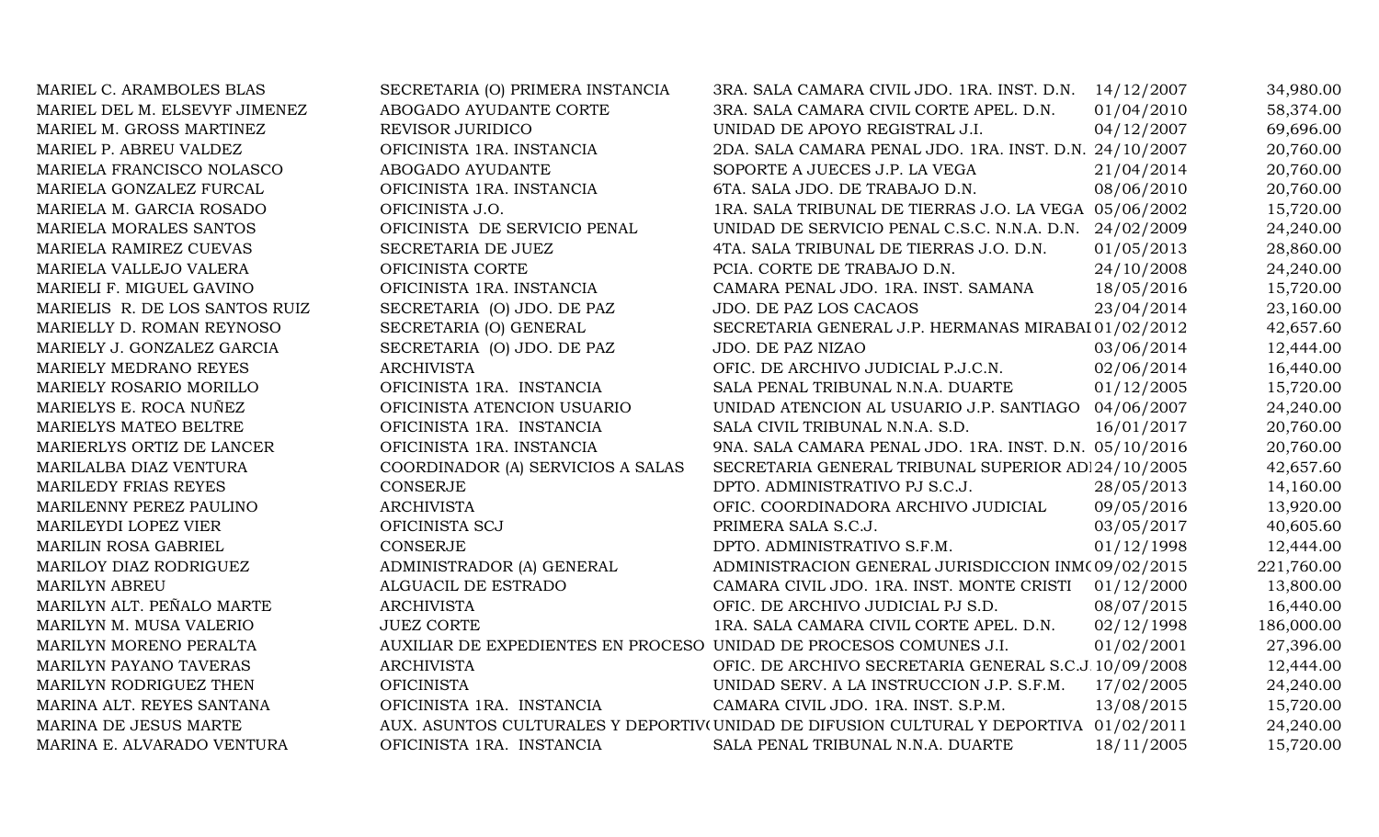| MARIEL C. ARAMBOLES BLAS       | SECRETARIA (O) PRIMERA INSTANCIA                                   | 3RA. SALA CAMARA CIVIL JDO. 1RA. INST. D.N. 14/12/2007                                |            | 34,980.00  |
|--------------------------------|--------------------------------------------------------------------|---------------------------------------------------------------------------------------|------------|------------|
| MARIEL DEL M. ELSEVYF JIMENEZ  | ABOGADO AYUDANTE CORTE                                             | 3RA. SALA CAMARA CIVIL CORTE APEL. D.N.                                               | 01/04/2010 | 58,374.00  |
| MARIEL M. GROSS MARTINEZ       | REVISOR JURIDICO                                                   | UNIDAD DE APOYO REGISTRAL J.I.                                                        | 04/12/2007 | 69,696.00  |
| MARIEL P. ABREU VALDEZ         | OFICINISTA 1RA. INSTANCIA                                          | 2DA. SALA CAMARA PENAL JDO. 1RA. INST. D.N. 24/10/2007                                |            | 20,760.00  |
| MARIELA FRANCISCO NOLASCO      | ABOGADO AYUDANTE                                                   | SOPORTE A JUECES J.P. LA VEGA                                                         | 21/04/2014 | 20,760.00  |
| MARIELA GONZALEZ FURCAL        | OFICINISTA 1RA. INSTANCIA                                          | 6TA. SALA JDO. DE TRABAJO D.N.                                                        | 08/06/2010 | 20,760.00  |
| MARIELA M. GARCIA ROSADO       | OFICINISTA J.O.                                                    | 1RA. SALA TRIBUNAL DE TIERRAS J.O. LA VEGA 05/06/2002                                 |            | 15,720.00  |
| MARIELA MORALES SANTOS         | OFICINISTA DE SERVICIO PENAL                                       | UNIDAD DE SERVICIO PENAL C.S.C. N.N.A. D.N.                                           | 24/02/2009 | 24,240.00  |
| MARIELA RAMIREZ CUEVAS         | SECRETARIA DE JUEZ                                                 | 4TA. SALA TRIBUNAL DE TIERRAS J.O. D.N.                                               | 01/05/2013 | 28,860.00  |
| MARIELA VALLEJO VALERA         | OFICINISTA CORTE                                                   | PCIA. CORTE DE TRABAJO D.N.                                                           | 24/10/2008 | 24,240.00  |
| MARIELI F. MIGUEL GAVINO       | OFICINISTA 1RA. INSTANCIA                                          | CAMARA PENAL JDO. 1RA. INST. SAMANA                                                   | 18/05/2016 | 15,720.00  |
| MARIELIS R. DE LOS SANTOS RUIZ | SECRETARIA (O) JDO. DE PAZ                                         | JDO. DE PAZ LOS CACAOS                                                                | 23/04/2014 | 23,160.00  |
| MARIELLY D. ROMAN REYNOSO      | SECRETARIA (O) GENERAL                                             | SECRETARIA GENERAL J.P. HERMANAS MIRABAI 01/02/2012                                   |            | 42,657.60  |
| MARIELY J. GONZALEZ GARCIA     | SECRETARIA (O) JDO. DE PAZ                                         | JDO. DE PAZ NIZAO                                                                     | 03/06/2014 | 12,444.00  |
| MARIELY MEDRANO REYES          | <b>ARCHIVISTA</b>                                                  | OFIC. DE ARCHIVO JUDICIAL P.J.C.N.                                                    | 02/06/2014 | 16,440.00  |
| MARIELY ROSARIO MORILLO        | OFICINISTA 1RA. INSTANCIA                                          | SALA PENAL TRIBUNAL N.N.A. DUARTE                                                     | 01/12/2005 | 15,720.00  |
| MARIELYS E. ROCA NUÑEZ         | OFICINISTA ATENCION USUARIO                                        | UNIDAD ATENCION AL USUARIO J.P. SANTIAGO                                              | 04/06/2007 | 24,240.00  |
| MARIELYS MATEO BELTRE          | OFICINISTA 1RA. INSTANCIA                                          | SALA CIVIL TRIBUNAL N.N.A. S.D.                                                       | 16/01/2017 | 20,760.00  |
| MARIERLYS ORTIZ DE LANCER      | OFICINISTA 1RA. INSTANCIA                                          | 9NA. SALA CAMARA PENAL JDO. 1RA. INST. D.N. 05/10/2016                                |            | 20,760.00  |
| MARILALBA DIAZ VENTURA         | COORDINADOR (A) SERVICIOS A SALAS                                  | SECRETARIA GENERAL TRIBUNAL SUPERIOR AD 24/10/2005                                    |            | 42,657.60  |
| <b>MARILEDY FRIAS REYES</b>    | <b>CONSERJE</b>                                                    | DPTO. ADMINISTRATIVO PJ S.C.J.                                                        | 28/05/2013 | 14,160.00  |
| MARILENNY PEREZ PAULINO        | <b>ARCHIVISTA</b>                                                  | OFIC. COORDINADORA ARCHIVO JUDICIAL                                                   | 09/05/2016 | 13,920.00  |
| MARILEYDI LOPEZ VIER           | OFICINISTA SCJ                                                     | PRIMERA SALA S.C.J.                                                                   | 03/05/2017 | 40,605.60  |
| <b>MARILIN ROSA GABRIEL</b>    | <b>CONSERJE</b>                                                    | DPTO. ADMINISTRATIVO S.F.M.                                                           | 01/12/1998 | 12,444.00  |
| MARILOY DIAZ RODRIGUEZ         | ADMINISTRADOR (A) GENERAL                                          | ADMINISTRACION GENERAL JURISDICCION INM(09/02/2015                                    |            | 221,760.00 |
| <b>MARILYN ABREU</b>           | ALGUACIL DE ESTRADO                                                | CAMARA CIVIL JDO. 1RA. INST. MONTE CRISTI                                             | 01/12/2000 | 13,800.00  |
| MARILYN ALT. PEÑALO MARTE      | <b>ARCHIVISTA</b>                                                  | OFIC. DE ARCHIVO JUDICIAL PJ S.D.                                                     | 08/07/2015 | 16,440.00  |
| MARILYN M. MUSA VALERIO        | <b>JUEZ CORTE</b>                                                  | 1RA. SALA CAMARA CIVIL CORTE APEL. D.N.                                               | 02/12/1998 | 186,000.00 |
| MARILYN MORENO PERALTA         | AUXILIAR DE EXPEDIENTES EN PROCESO UNIDAD DE PROCESOS COMUNES J.I. |                                                                                       | 01/02/2001 | 27,396.00  |
| <b>MARILYN PAYANO TAVERAS</b>  | <b>ARCHIVISTA</b>                                                  | OFIC. DE ARCHIVO SECRETARIA GENERAL S.C.J. 10/09/2008                                 |            | 12,444.00  |
| MARILYN RODRIGUEZ THEN         | <b>OFICINISTA</b>                                                  | UNIDAD SERV. A LA INSTRUCCION J.P. S.F.M.                                             | 17/02/2005 | 24,240.00  |
| MARINA ALT. REYES SANTANA      | OFICINISTA 1RA. INSTANCIA                                          | CAMARA CIVIL JDO. 1RA. INST. S.P.M.                                                   | 13/08/2015 | 15,720.00  |
| MARINA DE JESUS MARTE          |                                                                    | AUX. ASUNTOS CULTURALES Y DEPORTIV(UNIDAD DE DIFUSION CULTURAL Y DEPORTIVA 01/02/2011 |            | 24,240.00  |
| MARINA E. ALVARADO VENTURA     | OFICINISTA 1RA. INSTANCIA                                          | SALA PENAL TRIBUNAL N.N.A. DUARTE                                                     | 18/11/2005 | 15,720.00  |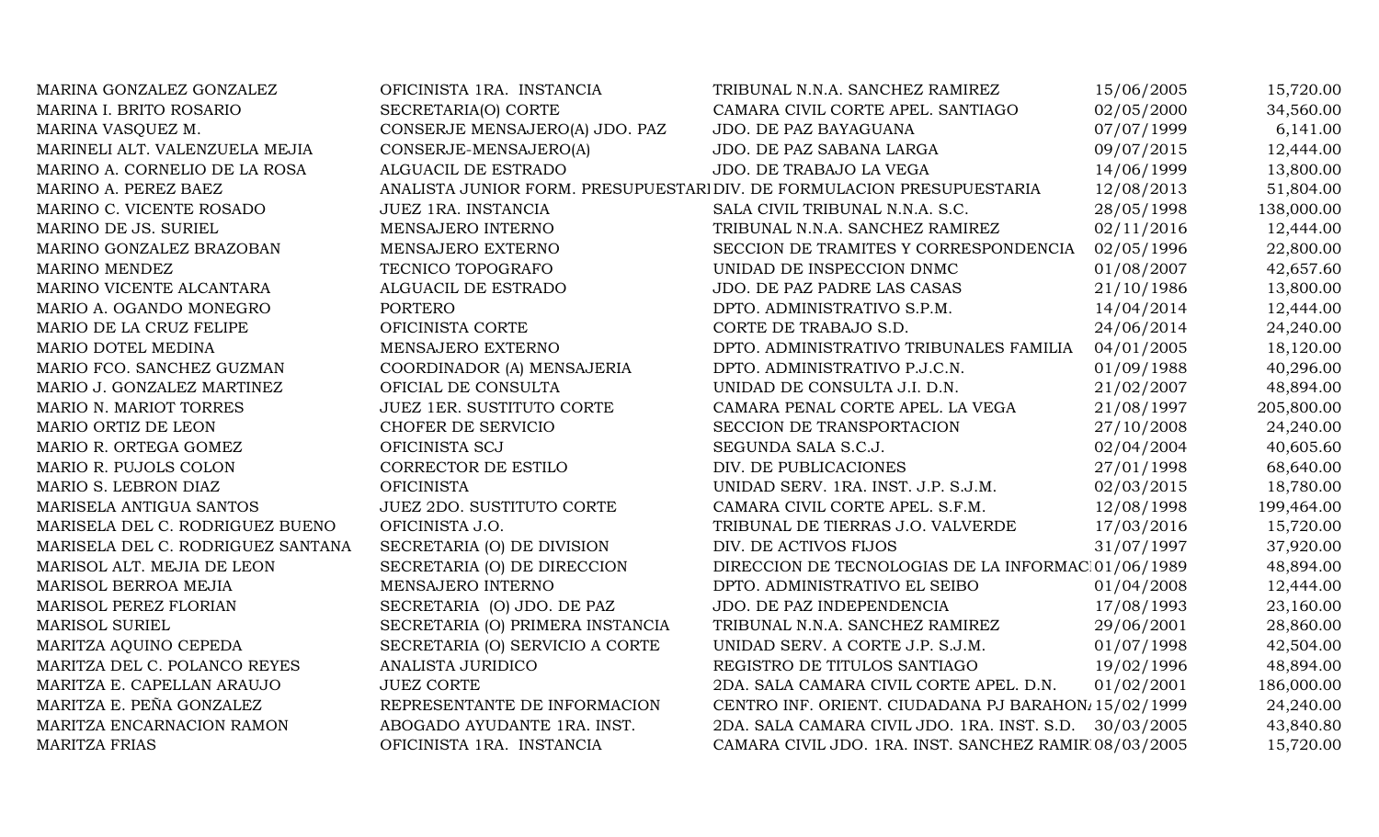| MARINA GONZALEZ GONZALEZ          | OFICINISTA 1RA. INSTANCIA        | TRIBUNAL N.N.A. SANCHEZ RAMIREZ                                        | 15/06/2005 | 15,720.00  |
|-----------------------------------|----------------------------------|------------------------------------------------------------------------|------------|------------|
| MARINA I. BRITO ROSARIO           | SECRETARIA(O) CORTE              | CAMARA CIVIL CORTE APEL. SANTIAGO                                      | 02/05/2000 | 34,560.00  |
| MARINA VASQUEZ M.                 | CONSERJE MENSAJERO(A) JDO. PAZ   | JDO. DE PAZ BAYAGUANA                                                  | 07/07/1999 | 6,141.00   |
| MARINELI ALT. VALENZUELA MEJIA    | CONSERJE-MENSAJERO(A)            | JDO. DE PAZ SABANA LARGA                                               | 09/07/2015 | 12,444.00  |
| MARINO A. CORNELIO DE LA ROSA     | ALGUACIL DE ESTRADO              | JDO. DE TRABAJO LA VEGA                                                | 14/06/1999 | 13,800.00  |
| MARINO A. PEREZ BAEZ              |                                  | ANALISTA JUNIOR FORM. PRESUPUESTARI DIV. DE FORMULACION PRESUPUESTARIA | 12/08/2013 | 51,804.00  |
| MARINO C. VICENTE ROSADO          | JUEZ 1RA. INSTANCIA              | SALA CIVIL TRIBUNAL N.N.A. S.C.                                        | 28/05/1998 | 138,000.00 |
| MARINO DE JS. SURIEL              | MENSAJERO INTERNO                | TRIBUNAL N.N.A. SANCHEZ RAMIREZ                                        | 02/11/2016 | 12,444.00  |
| MARINO GONZALEZ BRAZOBAN          | MENSAJERO EXTERNO                | SECCION DE TRAMITES Y CORRESPONDENCIA                                  | 02/05/1996 | 22,800.00  |
| MARINO MENDEZ                     | TECNICO TOPOGRAFO                | UNIDAD DE INSPECCION DNMC                                              | 01/08/2007 | 42,657.60  |
| MARINO VICENTE ALCANTARA          | ALGUACIL DE ESTRADO              | JDO. DE PAZ PADRE LAS CASAS                                            | 21/10/1986 | 13,800.00  |
| MARIO A. OGANDO MONEGRO           | PORTERO                          | DPTO. ADMINISTRATIVO S.P.M.                                            | 14/04/2014 | 12,444.00  |
| MARIO DE LA CRUZ FELIPE           | OFICINISTA CORTE                 | CORTE DE TRABAJO S.D.                                                  | 24/06/2014 | 24,240.00  |
| MARIO DOTEL MEDINA                | MENSAJERO EXTERNO                | DPTO. ADMINISTRATIVO TRIBUNALES FAMILIA                                | 04/01/2005 | 18,120.00  |
| MARIO FCO. SANCHEZ GUZMAN         | COORDINADOR (A) MENSAJERIA       | DPTO. ADMINISTRATIVO P.J.C.N.                                          | 01/09/1988 | 40,296.00  |
| MARIO J. GONZALEZ MARTINEZ        | OFICIAL DE CONSULTA              | UNIDAD DE CONSULTA J.I. D.N.                                           | 21/02/2007 | 48,894.00  |
| MARIO N. MARIOT TORRES            | JUEZ 1ER. SUSTITUTO CORTE        | CAMARA PENAL CORTE APEL. LA VEGA                                       | 21/08/1997 | 205,800.00 |
| MARIO ORTIZ DE LEON               | CHOFER DE SERVICIO               | SECCION DE TRANSPORTACION                                              | 27/10/2008 | 24,240.00  |
| MARIO R. ORTEGA GOMEZ             | OFICINISTA SCJ                   | SEGUNDA SALA S.C.J.                                                    | 02/04/2004 | 40,605.60  |
| MARIO R. PUJOLS COLON             | CORRECTOR DE ESTILO              | DIV. DE PUBLICACIONES                                                  | 27/01/1998 | 68,640.00  |
| MARIO S. LEBRON DIAZ              | <b>OFICINISTA</b>                | UNIDAD SERV. 1RA. INST. J.P. S.J.M.                                    | 02/03/2015 | 18,780.00  |
| MARISELA ANTIGUA SANTOS           | JUEZ 2DO. SUSTITUTO CORTE        | CAMARA CIVIL CORTE APEL. S.F.M.                                        | 12/08/1998 | 199,464.00 |
| MARISELA DEL C. RODRIGUEZ BUENO   | OFICINISTA J.O.                  | TRIBUNAL DE TIERRAS J.O. VALVERDE                                      | 17/03/2016 | 15,720.00  |
| MARISELA DEL C. RODRIGUEZ SANTANA | SECRETARIA (O) DE DIVISION       | DIV. DE ACTIVOS FIJOS                                                  | 31/07/1997 | 37,920.00  |
| MARISOL ALT. MEJIA DE LEON        | SECRETARIA (O) DE DIRECCION      | DIRECCION DE TECNOLOGIAS DE LA INFORMAC 01/06/1989                     |            | 48,894.00  |
| MARISOL BERROA MEJIA              | MENSAJERO INTERNO                | DPTO. ADMINISTRATIVO EL SEIBO                                          | 01/04/2008 | 12,444.00  |
| MARISOL PEREZ FLORIAN             | SECRETARIA (O) JDO. DE PAZ       | JDO. DE PAZ INDEPENDENCIA                                              | 17/08/1993 | 23,160.00  |
| <b>MARISOL SURIEL</b>             | SECRETARIA (O) PRIMERA INSTANCIA | TRIBUNAL N.N.A. SANCHEZ RAMIREZ                                        | 29/06/2001 | 28,860.00  |
| MARITZA AQUINO CEPEDA             | SECRETARIA (O) SERVICIO A CORTE  | UNIDAD SERV. A CORTE J.P. S.J.M.                                       | 01/07/1998 | 42,504.00  |
| MARITZA DEL C. POLANCO REYES      | ANALISTA JURIDICO                | REGISTRO DE TITULOS SANTIAGO                                           | 19/02/1996 | 48,894.00  |
| MARITZA E. CAPELLAN ARAUJO        | <b>JUEZ CORTE</b>                | 2DA. SALA CAMARA CIVIL CORTE APEL. D.N.                                | 01/02/2001 | 186,000.00 |
| MARITZA E. PEÑA GONZALEZ          | REPRESENTANTE DE INFORMACION     | CENTRO INF. ORIENT. CIUDADANA PJ BARAHON 15/02/1999                    |            | 24,240.00  |
| MARITZA ENCARNACION RAMON         | ABOGADO AYUDANTE 1RA. INST.      | 2DA. SALA CAMARA CIVIL JDO. 1RA. INST. S.D. 30/03/2005                 |            | 43,840.80  |
| <b>MARITZA FRIAS</b>              | OFICINISTA 1RA. INSTANCIA        | CAMARA CIVIL JDO. 1RA. INST. SANCHEZ RAMIR 08/03/2005                  |            | 15,720.00  |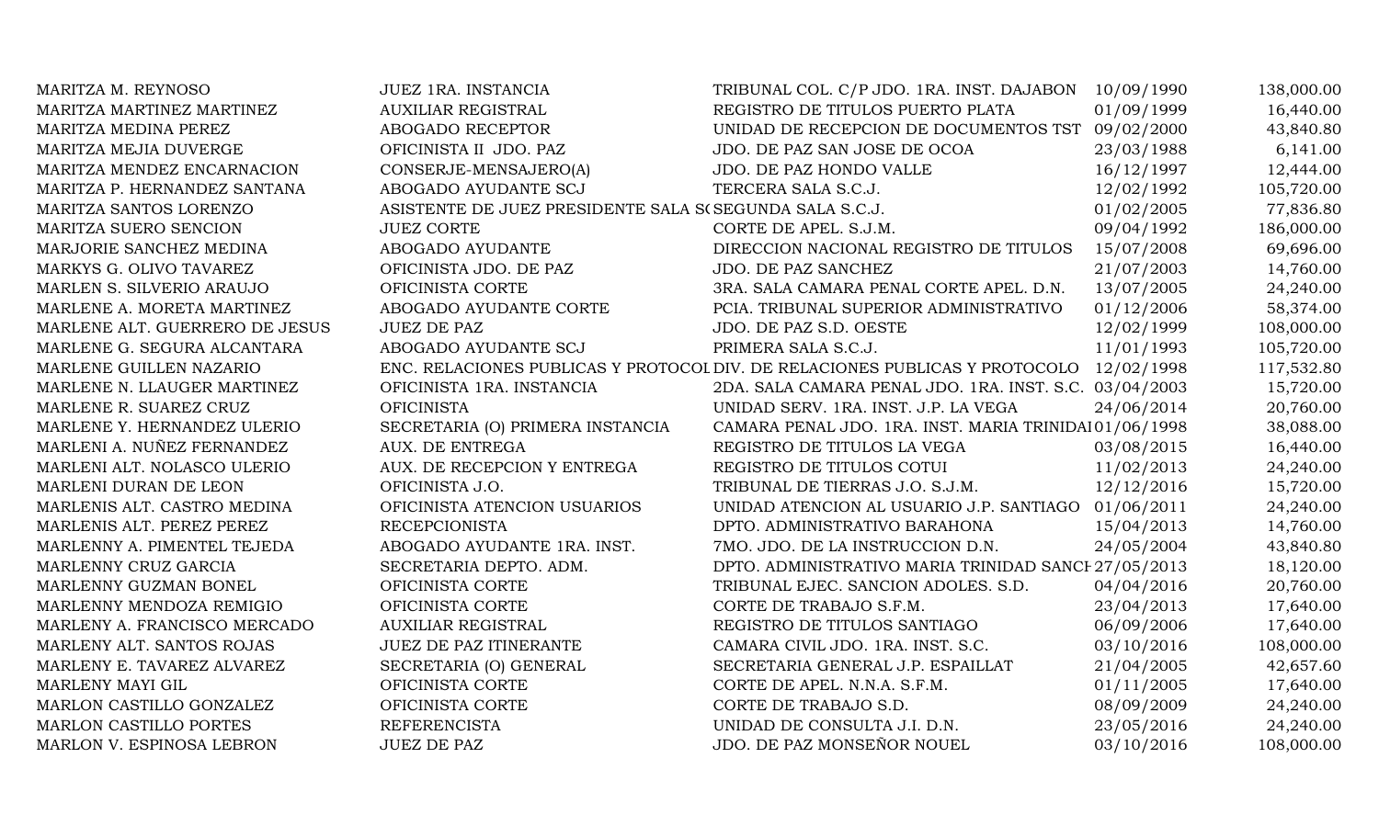| MARITZA M. REYNOSO             | <b>JUEZ 1RA. INSTANCIA</b>                                  | TRIBUNAL COL. C/P JDO. 1RA. INST. DAJABON                                              | 10/09/1990 | 138,000.00 |
|--------------------------------|-------------------------------------------------------------|----------------------------------------------------------------------------------------|------------|------------|
| MARITZA MARTINEZ MARTINEZ      | <b>AUXILIAR REGISTRAL</b>                                   | REGISTRO DE TITULOS PUERTO PLATA                                                       | 01/09/1999 | 16,440.00  |
| MARITZA MEDINA PEREZ           | ABOGADO RECEPTOR                                            | UNIDAD DE RECEPCION DE DOCUMENTOS TST 09/02/2000                                       |            | 43,840.80  |
| MARITZA MEJIA DUVERGE          | OFICINISTA II JDO. PAZ                                      | JDO. DE PAZ SAN JOSE DE OCOA                                                           | 23/03/1988 | 6,141.00   |
| MARITZA MENDEZ ENCARNACION     | CONSERJE-MENSAJERO(A)                                       | JDO. DE PAZ HONDO VALLE                                                                | 16/12/1997 | 12,444.00  |
| MARITZA P. HERNANDEZ SANTANA   | ABOGADO AYUDANTE SCJ                                        | TERCERA SALA S.C.J.                                                                    | 12/02/1992 | 105,720.00 |
| MARITZA SANTOS LORENZO         | ASISTENTE DE JUEZ PRESIDENTE SALA S<br>(SEGUNDA SALA S.C.J. |                                                                                        | 01/02/2005 | 77,836.80  |
| MARITZA SUERO SENCION          | <b>JUEZ CORTE</b>                                           | CORTE DE APEL. S.J.M.                                                                  | 09/04/1992 | 186,000.00 |
| MARJORIE SANCHEZ MEDINA        | ABOGADO AYUDANTE                                            | DIRECCION NACIONAL REGISTRO DE TITULOS                                                 | 15/07/2008 | 69,696.00  |
| MARKYS G. OLIVO TAVAREZ        | OFICINISTA JDO. DE PAZ                                      | JDO. DE PAZ SANCHEZ                                                                    | 21/07/2003 | 14,760.00  |
| MARLEN S. SILVERIO ARAUJO      | OFICINISTA CORTE                                            | 3RA. SALA CAMARA PENAL CORTE APEL. D.N.                                                | 13/07/2005 | 24,240.00  |
| MARLENE A. MORETA MARTINEZ     | ABOGADO AYUDANTE CORTE                                      | PCIA. TRIBUNAL SUPERIOR ADMINISTRATIVO                                                 | 01/12/2006 | 58,374.00  |
| MARLENE ALT. GUERRERO DE JESUS | <b>JUEZ DE PAZ</b>                                          | JDO. DE PAZ S.D. OESTE                                                                 | 12/02/1999 | 108,000.00 |
| MARLENE G. SEGURA ALCANTARA    | ABOGADO AYUDANTE SCJ                                        | PRIMERA SALA S.C.J.                                                                    | 11/01/1993 | 105,720.00 |
| MARLENE GUILLEN NAZARIO        |                                                             | ENC. RELACIONES PUBLICAS Y PROTOCOL DIV. DE RELACIONES PUBLICAS Y PROTOCOLO 12/02/1998 |            | 117,532.80 |
| MARLENE N. LLAUGER MARTINEZ    | OFICINISTA 1RA. INSTANCIA                                   | 2DA. SALA CAMARA PENAL JDO. 1RA. INST. S.C. 03/04/2003                                 |            | 15,720.00  |
| MARLENE R. SUAREZ CRUZ         | <b>OFICINISTA</b>                                           | UNIDAD SERV. 1RA. INST. J.P. LA VEGA                                                   | 24/06/2014 | 20,760.00  |
| MARLENE Y. HERNANDEZ ULERIO    | SECRETARIA (O) PRIMERA INSTANCIA                            | CAMARA PENAL JDO. 1RA. INST. MARIA TRINIDAI 01/06/1998                                 |            | 38,088.00  |
| MARLENI A. NUÑEZ FERNANDEZ     | AUX. DE ENTREGA                                             | REGISTRO DE TITULOS LA VEGA                                                            | 03/08/2015 | 16,440.00  |
| MARLENI ALT. NOLASCO ULERIO    | AUX. DE RECEPCION Y ENTREGA                                 | REGISTRO DE TITULOS COTUI                                                              | 11/02/2013 | 24,240.00  |
| MARLENI DURAN DE LEON          | OFICINISTA J.O.                                             | TRIBUNAL DE TIERRAS J.O. S.J.M.                                                        | 12/12/2016 | 15,720.00  |
| MARLENIS ALT. CASTRO MEDINA    | OFICINISTA ATENCION USUARIOS                                | UNIDAD ATENCION AL USUARIO J.P. SANTIAGO                                               | 01/06/2011 | 24,240.00  |
| MARLENIS ALT. PEREZ PEREZ      | <b>RECEPCIONISTA</b>                                        | DPTO. ADMINISTRATIVO BARAHONA                                                          | 15/04/2013 | 14,760.00  |
| MARLENNY A. PIMENTEL TEJEDA    | ABOGADO AYUDANTE 1RA. INST.                                 | 7MO. JDO. DE LA INSTRUCCION D.N.                                                       | 24/05/2004 | 43,840.80  |
| MARLENNY CRUZ GARCIA           | SECRETARIA DEPTO. ADM.                                      | DPTO. ADMINISTRATIVO MARIA TRINIDAD SANCI 27/05/2013                                   |            | 18,120.00  |
| MARLENNY GUZMAN BONEL          | OFICINISTA CORTE                                            | TRIBUNAL EJEC. SANCION ADOLES. S.D.                                                    | 04/04/2016 | 20,760.00  |
| MARLENNY MENDOZA REMIGIO       | OFICINISTA CORTE                                            | CORTE DE TRABAJO S.F.M.                                                                | 23/04/2013 | 17,640.00  |
| MARLENY A. FRANCISCO MERCADO   | <b>AUXILIAR REGISTRAL</b>                                   | REGISTRO DE TITULOS SANTIAGO                                                           | 06/09/2006 | 17,640.00  |
| MARLENY ALT. SANTOS ROJAS      | JUEZ DE PAZ ITINERANTE                                      | CAMARA CIVIL JDO. 1RA. INST. S.C.                                                      | 03/10/2016 | 108,000.00 |
| MARLENY E. TAVAREZ ALVAREZ     | SECRETARIA (O) GENERAL                                      | SECRETARIA GENERAL J.P. ESPAILLAT                                                      | 21/04/2005 | 42,657.60  |
| MARLENY MAYI GIL               | OFICINISTA CORTE                                            | CORTE DE APEL. N.N.A. S.F.M.                                                           | 01/11/2005 | 17,640.00  |
| MARLON CASTILLO GONZALEZ       | OFICINISTA CORTE                                            | CORTE DE TRABAJO S.D.                                                                  | 08/09/2009 | 24,240.00  |
| MARLON CASTILLO PORTES         | <b>REFERENCISTA</b>                                         | UNIDAD DE CONSULTA J.I. D.N.                                                           | 23/05/2016 | 24,240.00  |
| MARLON V. ESPINOSA LEBRON      | <b>JUEZ DE PAZ</b>                                          | JDO. DE PAZ MONSEÑOR NOUEL                                                             | 03/10/2016 | 108,000.00 |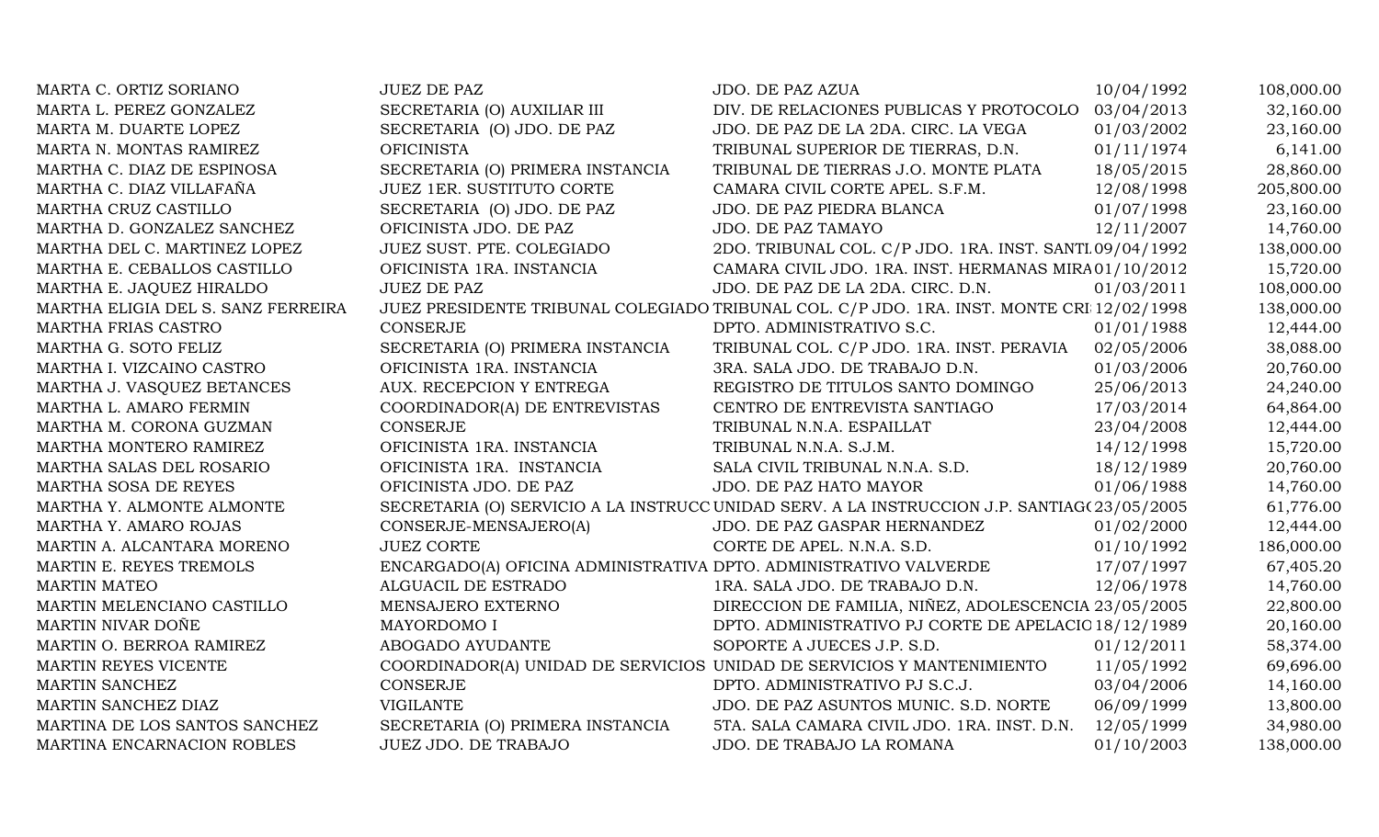| 03/04/2013<br>32,160.00<br>MARTA L. PEREZ GONZALEZ<br>SECRETARIA (O) AUXILIAR III<br>DIV. DE RELACIONES PUBLICAS Y PROTOCOLO<br>01/03/2002<br>23,160.00<br>MARTA M. DUARTE LOPEZ<br>SECRETARIA (O) JDO. DE PAZ<br>JDO. DE PAZ DE LA 2DA. CIRC. LA VEGA<br>01/11/1974<br><b>OFICINISTA</b><br>TRIBUNAL SUPERIOR DE TIERRAS, D.N.<br>6,141.00<br>MARTA N. MONTAS RAMIREZ<br>SECRETARIA (O) PRIMERA INSTANCIA<br>18/05/2015<br>28,860.00<br>MARTHA C. DIAZ DE ESPINOSA<br>TRIBUNAL DE TIERRAS J.O. MONTE PLATA<br>MARTHA C. DIAZ VILLAFAÑA<br>JUEZ 1ER. SUSTITUTO CORTE<br>12/08/1998<br>205,800.00<br>CAMARA CIVIL CORTE APEL. S.F.M.<br>MARTHA CRUZ CASTILLO<br>JDO. DE PAZ PIEDRA BLANCA<br>SECRETARIA (O) JDO. DE PAZ<br>01/07/1998<br>23,160.00<br>JDO. DE PAZ TAMAYO<br>MARTHA D. GONZALEZ SANCHEZ<br>OFICINISTA JDO. DE PAZ<br>12/11/2007<br>14,760.00<br>JUEZ SUST. PTE. COLEGIADO<br>2DO. TRIBUNAL COL. C/P JDO. 1RA. INST. SANTI 09/04/1992<br>138,000.00<br>MARTHA DEL C. MARTINEZ LOPEZ<br>CAMARA CIVIL JDO. 1RA. INST. HERMANAS MIRA01/10/2012<br>15,720.00<br>MARTHA E. CEBALLOS CASTILLO<br>OFICINISTA 1RA. INSTANCIA<br><b>JUEZ DE PAZ</b><br>108,000.00<br>MARTHA E. JAQUEZ HIRALDO<br>JDO. DE PAZ DE LA 2DA. CIRC. D.N.<br>01/03/2011<br>MARTHA ELIGIA DEL S. SANZ FERREIRA<br>JUEZ PRESIDENTE TRIBUNAL COLEGIADO TRIBUNAL COL. C/P JDO. 1RA. INST. MONTE CRI 12/02/1998<br>138,000.00<br>MARTHA FRIAS CASTRO<br><b>CONSERJE</b><br>DPTO. ADMINISTRATIVO S.C.<br>01/01/1988<br>12,444.00<br>SECRETARIA (O) PRIMERA INSTANCIA<br>TRIBUNAL COL. C/P JDO. 1RA. INST. PERAVIA<br>02/05/2006<br>38,088.00<br>MARTHA G. SOTO FELIZ<br>01/03/2006<br>20,760.00<br>MARTHA I. VIZCAINO CASTRO<br>OFICINISTA 1RA. INSTANCIA<br>3RA. SALA JDO. DE TRABAJO D.N.<br>25/06/2013<br>24,240.00<br>MARTHA J. VASQUEZ BETANCES<br>AUX. RECEPCION Y ENTREGA<br>REGISTRO DE TITULOS SANTO DOMINGO<br>MARTHA L. AMARO FERMIN<br>COORDINADOR(A) DE ENTREVISTAS<br>CENTRO DE ENTREVISTA SANTIAGO<br>17/03/2014<br>64,864.00<br>MARTHA M. CORONA GUZMAN<br><b>CONSERJE</b><br>12,444.00<br>TRIBUNAL N.N.A. ESPAILLAT<br>23/04/2008<br>MARTHA MONTERO RAMIREZ<br>OFICINISTA 1RA. INSTANCIA<br>14/12/1998<br>15,720.00<br>TRIBUNAL N.N.A. S.J.M.<br>18/12/1989<br>MARTHA SALAS DEL ROSARIO<br>OFICINISTA 1RA. INSTANCIA<br>SALA CIVIL TRIBUNAL N.N.A. S.D.<br>20,760.00<br>01/06/1988<br>MARTHA SOSA DE REYES<br>OFICINISTA JDO. DE PAZ<br>JDO. DE PAZ HATO MAYOR<br>14,760.00<br>SECRETARIA (O) SERVICIO A LA INSTRUCC UNIDAD SERV. A LA INSTRUCCION J.P. SANTIAG(23/05/2005<br>61,776.00<br>MARTHA Y. ALMONTE ALMONTE<br>CONSERJE-MENSAJERO(A)<br>JDO. DE PAZ GASPAR HERNANDEZ<br>01/02/2000<br>12,444.00<br>MARTHA Y. AMARO ROJAS<br>01/10/1992<br>MARTIN A. ALCANTARA MORENO<br><b>JUEZ CORTE</b><br>CORTE DE APEL. N.N.A. S.D.<br>186,000.00<br>17/07/1997<br>ENCARGADO(A) OFICINA ADMINISTRATIVA DPTO. ADMINISTRATIVO VALVERDE<br>67,405.20<br>MARTIN E. REYES TREMOLS<br>12/06/1978<br><b>MARTIN MATEO</b><br>ALGUACIL DE ESTRADO<br>1RA. SALA JDO. DE TRABAJO D.N.<br>14,760.00<br>DIRECCION DE FAMILIA, NIÑEZ, ADOLESCENCIA 23/05/2005<br>MARTIN MELENCIANO CASTILLO<br>MENSAJERO EXTERNO<br>22,800.00<br>MARTIN NIVAR DOÑE<br>MAYORDOMO I<br>DPTO. ADMINISTRATIVO PJ CORTE DE APELACIO 18/12/1989<br>20,160.00<br>01/12/2011<br>MARTIN O. BERROA RAMIREZ<br>ABOGADO AYUDANTE<br>SOPORTE A JUECES J.P. S.D.<br>58,374.00<br>COORDINADOR(A) UNIDAD DE SERVICIOS UNIDAD DE SERVICIOS Y MANTENIMIENTO<br>11/05/1992<br>69,696.00<br>MARTIN REYES VICENTE<br><b>CONSERJE</b><br>MARTIN SANCHEZ<br>DPTO. ADMINISTRATIVO PJ S.C.J.<br>03/04/2006<br>14,160.00<br><b>VIGILANTE</b><br>JDO. DE PAZ ASUNTOS MUNIC. S.D. NORTE<br>06/09/1999<br>13,800.00<br>MARTIN SANCHEZ DIAZ<br>MARTINA DE LOS SANTOS SANCHEZ<br>SECRETARIA (O) PRIMERA INSTANCIA<br>5TA. SALA CAMARA CIVIL JDO. 1RA. INST. D.N.<br>12/05/1999<br>34,980.00<br>MARTINA ENCARNACION ROBLES<br>JUEZ JDO. DE TRABAJO<br>JDO. DE TRABAJO LA ROMANA<br>01/10/2003<br>138,000.00 | MARTA C. ORTIZ SORIANO | <b>JUEZ DE PAZ</b> | JDO. DE PAZ AZUA | 10/04/1992 | 108,000.00 |
|------------------------------------------------------------------------------------------------------------------------------------------------------------------------------------------------------------------------------------------------------------------------------------------------------------------------------------------------------------------------------------------------------------------------------------------------------------------------------------------------------------------------------------------------------------------------------------------------------------------------------------------------------------------------------------------------------------------------------------------------------------------------------------------------------------------------------------------------------------------------------------------------------------------------------------------------------------------------------------------------------------------------------------------------------------------------------------------------------------------------------------------------------------------------------------------------------------------------------------------------------------------------------------------------------------------------------------------------------------------------------------------------------------------------------------------------------------------------------------------------------------------------------------------------------------------------------------------------------------------------------------------------------------------------------------------------------------------------------------------------------------------------------------------------------------------------------------------------------------------------------------------------------------------------------------------------------------------------------------------------------------------------------------------------------------------------------------------------------------------------------------------------------------------------------------------------------------------------------------------------------------------------------------------------------------------------------------------------------------------------------------------------------------------------------------------------------------------------------------------------------------------------------------------------------------------------------------------------------------------------------------------------------------------------------------------------------------------------------------------------------------------------------------------------------------------------------------------------------------------------------------------------------------------------------------------------------------------------------------------------------------------------------------------------------------------------------------------------------------------------------------------------------------------------------------------------------------------------------------------------------------------------------------------------------------------------------------------------------------------------------------------------------------------------------------------------------------------------------------------------------------------------------------------------------------------------------------------------------------------------------------------------------------------------------------------------------------------------------------------------------------------------------------------------------------------------------------------------------------------------------------------------------------------------------------------------------------------------------------------------------------------------------------|------------------------|--------------------|------------------|------------|------------|
|                                                                                                                                                                                                                                                                                                                                                                                                                                                                                                                                                                                                                                                                                                                                                                                                                                                                                                                                                                                                                                                                                                                                                                                                                                                                                                                                                                                                                                                                                                                                                                                                                                                                                                                                                                                                                                                                                                                                                                                                                                                                                                                                                                                                                                                                                                                                                                                                                                                                                                                                                                                                                                                                                                                                                                                                                                                                                                                                                                                                                                                                                                                                                                                                                                                                                                                                                                                                                                                                                                                                                                                                                                                                                                                                                                                                                                                                                                                                                                                                                                    |                        |                    |                  |            |            |
|                                                                                                                                                                                                                                                                                                                                                                                                                                                                                                                                                                                                                                                                                                                                                                                                                                                                                                                                                                                                                                                                                                                                                                                                                                                                                                                                                                                                                                                                                                                                                                                                                                                                                                                                                                                                                                                                                                                                                                                                                                                                                                                                                                                                                                                                                                                                                                                                                                                                                                                                                                                                                                                                                                                                                                                                                                                                                                                                                                                                                                                                                                                                                                                                                                                                                                                                                                                                                                                                                                                                                                                                                                                                                                                                                                                                                                                                                                                                                                                                                                    |                        |                    |                  |            |            |
|                                                                                                                                                                                                                                                                                                                                                                                                                                                                                                                                                                                                                                                                                                                                                                                                                                                                                                                                                                                                                                                                                                                                                                                                                                                                                                                                                                                                                                                                                                                                                                                                                                                                                                                                                                                                                                                                                                                                                                                                                                                                                                                                                                                                                                                                                                                                                                                                                                                                                                                                                                                                                                                                                                                                                                                                                                                                                                                                                                                                                                                                                                                                                                                                                                                                                                                                                                                                                                                                                                                                                                                                                                                                                                                                                                                                                                                                                                                                                                                                                                    |                        |                    |                  |            |            |
|                                                                                                                                                                                                                                                                                                                                                                                                                                                                                                                                                                                                                                                                                                                                                                                                                                                                                                                                                                                                                                                                                                                                                                                                                                                                                                                                                                                                                                                                                                                                                                                                                                                                                                                                                                                                                                                                                                                                                                                                                                                                                                                                                                                                                                                                                                                                                                                                                                                                                                                                                                                                                                                                                                                                                                                                                                                                                                                                                                                                                                                                                                                                                                                                                                                                                                                                                                                                                                                                                                                                                                                                                                                                                                                                                                                                                                                                                                                                                                                                                                    |                        |                    |                  |            |            |
|                                                                                                                                                                                                                                                                                                                                                                                                                                                                                                                                                                                                                                                                                                                                                                                                                                                                                                                                                                                                                                                                                                                                                                                                                                                                                                                                                                                                                                                                                                                                                                                                                                                                                                                                                                                                                                                                                                                                                                                                                                                                                                                                                                                                                                                                                                                                                                                                                                                                                                                                                                                                                                                                                                                                                                                                                                                                                                                                                                                                                                                                                                                                                                                                                                                                                                                                                                                                                                                                                                                                                                                                                                                                                                                                                                                                                                                                                                                                                                                                                                    |                        |                    |                  |            |            |
|                                                                                                                                                                                                                                                                                                                                                                                                                                                                                                                                                                                                                                                                                                                                                                                                                                                                                                                                                                                                                                                                                                                                                                                                                                                                                                                                                                                                                                                                                                                                                                                                                                                                                                                                                                                                                                                                                                                                                                                                                                                                                                                                                                                                                                                                                                                                                                                                                                                                                                                                                                                                                                                                                                                                                                                                                                                                                                                                                                                                                                                                                                                                                                                                                                                                                                                                                                                                                                                                                                                                                                                                                                                                                                                                                                                                                                                                                                                                                                                                                                    |                        |                    |                  |            |            |
|                                                                                                                                                                                                                                                                                                                                                                                                                                                                                                                                                                                                                                                                                                                                                                                                                                                                                                                                                                                                                                                                                                                                                                                                                                                                                                                                                                                                                                                                                                                                                                                                                                                                                                                                                                                                                                                                                                                                                                                                                                                                                                                                                                                                                                                                                                                                                                                                                                                                                                                                                                                                                                                                                                                                                                                                                                                                                                                                                                                                                                                                                                                                                                                                                                                                                                                                                                                                                                                                                                                                                                                                                                                                                                                                                                                                                                                                                                                                                                                                                                    |                        |                    |                  |            |            |
|                                                                                                                                                                                                                                                                                                                                                                                                                                                                                                                                                                                                                                                                                                                                                                                                                                                                                                                                                                                                                                                                                                                                                                                                                                                                                                                                                                                                                                                                                                                                                                                                                                                                                                                                                                                                                                                                                                                                                                                                                                                                                                                                                                                                                                                                                                                                                                                                                                                                                                                                                                                                                                                                                                                                                                                                                                                                                                                                                                                                                                                                                                                                                                                                                                                                                                                                                                                                                                                                                                                                                                                                                                                                                                                                                                                                                                                                                                                                                                                                                                    |                        |                    |                  |            |            |
|                                                                                                                                                                                                                                                                                                                                                                                                                                                                                                                                                                                                                                                                                                                                                                                                                                                                                                                                                                                                                                                                                                                                                                                                                                                                                                                                                                                                                                                                                                                                                                                                                                                                                                                                                                                                                                                                                                                                                                                                                                                                                                                                                                                                                                                                                                                                                                                                                                                                                                                                                                                                                                                                                                                                                                                                                                                                                                                                                                                                                                                                                                                                                                                                                                                                                                                                                                                                                                                                                                                                                                                                                                                                                                                                                                                                                                                                                                                                                                                                                                    |                        |                    |                  |            |            |
|                                                                                                                                                                                                                                                                                                                                                                                                                                                                                                                                                                                                                                                                                                                                                                                                                                                                                                                                                                                                                                                                                                                                                                                                                                                                                                                                                                                                                                                                                                                                                                                                                                                                                                                                                                                                                                                                                                                                                                                                                                                                                                                                                                                                                                                                                                                                                                                                                                                                                                                                                                                                                                                                                                                                                                                                                                                                                                                                                                                                                                                                                                                                                                                                                                                                                                                                                                                                                                                                                                                                                                                                                                                                                                                                                                                                                                                                                                                                                                                                                                    |                        |                    |                  |            |            |
|                                                                                                                                                                                                                                                                                                                                                                                                                                                                                                                                                                                                                                                                                                                                                                                                                                                                                                                                                                                                                                                                                                                                                                                                                                                                                                                                                                                                                                                                                                                                                                                                                                                                                                                                                                                                                                                                                                                                                                                                                                                                                                                                                                                                                                                                                                                                                                                                                                                                                                                                                                                                                                                                                                                                                                                                                                                                                                                                                                                                                                                                                                                                                                                                                                                                                                                                                                                                                                                                                                                                                                                                                                                                                                                                                                                                                                                                                                                                                                                                                                    |                        |                    |                  |            |            |
|                                                                                                                                                                                                                                                                                                                                                                                                                                                                                                                                                                                                                                                                                                                                                                                                                                                                                                                                                                                                                                                                                                                                                                                                                                                                                                                                                                                                                                                                                                                                                                                                                                                                                                                                                                                                                                                                                                                                                                                                                                                                                                                                                                                                                                                                                                                                                                                                                                                                                                                                                                                                                                                                                                                                                                                                                                                                                                                                                                                                                                                                                                                                                                                                                                                                                                                                                                                                                                                                                                                                                                                                                                                                                                                                                                                                                                                                                                                                                                                                                                    |                        |                    |                  |            |            |
|                                                                                                                                                                                                                                                                                                                                                                                                                                                                                                                                                                                                                                                                                                                                                                                                                                                                                                                                                                                                                                                                                                                                                                                                                                                                                                                                                                                                                                                                                                                                                                                                                                                                                                                                                                                                                                                                                                                                                                                                                                                                                                                                                                                                                                                                                                                                                                                                                                                                                                                                                                                                                                                                                                                                                                                                                                                                                                                                                                                                                                                                                                                                                                                                                                                                                                                                                                                                                                                                                                                                                                                                                                                                                                                                                                                                                                                                                                                                                                                                                                    |                        |                    |                  |            |            |
|                                                                                                                                                                                                                                                                                                                                                                                                                                                                                                                                                                                                                                                                                                                                                                                                                                                                                                                                                                                                                                                                                                                                                                                                                                                                                                                                                                                                                                                                                                                                                                                                                                                                                                                                                                                                                                                                                                                                                                                                                                                                                                                                                                                                                                                                                                                                                                                                                                                                                                                                                                                                                                                                                                                                                                                                                                                                                                                                                                                                                                                                                                                                                                                                                                                                                                                                                                                                                                                                                                                                                                                                                                                                                                                                                                                                                                                                                                                                                                                                                                    |                        |                    |                  |            |            |
|                                                                                                                                                                                                                                                                                                                                                                                                                                                                                                                                                                                                                                                                                                                                                                                                                                                                                                                                                                                                                                                                                                                                                                                                                                                                                                                                                                                                                                                                                                                                                                                                                                                                                                                                                                                                                                                                                                                                                                                                                                                                                                                                                                                                                                                                                                                                                                                                                                                                                                                                                                                                                                                                                                                                                                                                                                                                                                                                                                                                                                                                                                                                                                                                                                                                                                                                                                                                                                                                                                                                                                                                                                                                                                                                                                                                                                                                                                                                                                                                                                    |                        |                    |                  |            |            |
|                                                                                                                                                                                                                                                                                                                                                                                                                                                                                                                                                                                                                                                                                                                                                                                                                                                                                                                                                                                                                                                                                                                                                                                                                                                                                                                                                                                                                                                                                                                                                                                                                                                                                                                                                                                                                                                                                                                                                                                                                                                                                                                                                                                                                                                                                                                                                                                                                                                                                                                                                                                                                                                                                                                                                                                                                                                                                                                                                                                                                                                                                                                                                                                                                                                                                                                                                                                                                                                                                                                                                                                                                                                                                                                                                                                                                                                                                                                                                                                                                                    |                        |                    |                  |            |            |
|                                                                                                                                                                                                                                                                                                                                                                                                                                                                                                                                                                                                                                                                                                                                                                                                                                                                                                                                                                                                                                                                                                                                                                                                                                                                                                                                                                                                                                                                                                                                                                                                                                                                                                                                                                                                                                                                                                                                                                                                                                                                                                                                                                                                                                                                                                                                                                                                                                                                                                                                                                                                                                                                                                                                                                                                                                                                                                                                                                                                                                                                                                                                                                                                                                                                                                                                                                                                                                                                                                                                                                                                                                                                                                                                                                                                                                                                                                                                                                                                                                    |                        |                    |                  |            |            |
|                                                                                                                                                                                                                                                                                                                                                                                                                                                                                                                                                                                                                                                                                                                                                                                                                                                                                                                                                                                                                                                                                                                                                                                                                                                                                                                                                                                                                                                                                                                                                                                                                                                                                                                                                                                                                                                                                                                                                                                                                                                                                                                                                                                                                                                                                                                                                                                                                                                                                                                                                                                                                                                                                                                                                                                                                                                                                                                                                                                                                                                                                                                                                                                                                                                                                                                                                                                                                                                                                                                                                                                                                                                                                                                                                                                                                                                                                                                                                                                                                                    |                        |                    |                  |            |            |
|                                                                                                                                                                                                                                                                                                                                                                                                                                                                                                                                                                                                                                                                                                                                                                                                                                                                                                                                                                                                                                                                                                                                                                                                                                                                                                                                                                                                                                                                                                                                                                                                                                                                                                                                                                                                                                                                                                                                                                                                                                                                                                                                                                                                                                                                                                                                                                                                                                                                                                                                                                                                                                                                                                                                                                                                                                                                                                                                                                                                                                                                                                                                                                                                                                                                                                                                                                                                                                                                                                                                                                                                                                                                                                                                                                                                                                                                                                                                                                                                                                    |                        |                    |                  |            |            |
|                                                                                                                                                                                                                                                                                                                                                                                                                                                                                                                                                                                                                                                                                                                                                                                                                                                                                                                                                                                                                                                                                                                                                                                                                                                                                                                                                                                                                                                                                                                                                                                                                                                                                                                                                                                                                                                                                                                                                                                                                                                                                                                                                                                                                                                                                                                                                                                                                                                                                                                                                                                                                                                                                                                                                                                                                                                                                                                                                                                                                                                                                                                                                                                                                                                                                                                                                                                                                                                                                                                                                                                                                                                                                                                                                                                                                                                                                                                                                                                                                                    |                        |                    |                  |            |            |
|                                                                                                                                                                                                                                                                                                                                                                                                                                                                                                                                                                                                                                                                                                                                                                                                                                                                                                                                                                                                                                                                                                                                                                                                                                                                                                                                                                                                                                                                                                                                                                                                                                                                                                                                                                                                                                                                                                                                                                                                                                                                                                                                                                                                                                                                                                                                                                                                                                                                                                                                                                                                                                                                                                                                                                                                                                                                                                                                                                                                                                                                                                                                                                                                                                                                                                                                                                                                                                                                                                                                                                                                                                                                                                                                                                                                                                                                                                                                                                                                                                    |                        |                    |                  |            |            |
|                                                                                                                                                                                                                                                                                                                                                                                                                                                                                                                                                                                                                                                                                                                                                                                                                                                                                                                                                                                                                                                                                                                                                                                                                                                                                                                                                                                                                                                                                                                                                                                                                                                                                                                                                                                                                                                                                                                                                                                                                                                                                                                                                                                                                                                                                                                                                                                                                                                                                                                                                                                                                                                                                                                                                                                                                                                                                                                                                                                                                                                                                                                                                                                                                                                                                                                                                                                                                                                                                                                                                                                                                                                                                                                                                                                                                                                                                                                                                                                                                                    |                        |                    |                  |            |            |
|                                                                                                                                                                                                                                                                                                                                                                                                                                                                                                                                                                                                                                                                                                                                                                                                                                                                                                                                                                                                                                                                                                                                                                                                                                                                                                                                                                                                                                                                                                                                                                                                                                                                                                                                                                                                                                                                                                                                                                                                                                                                                                                                                                                                                                                                                                                                                                                                                                                                                                                                                                                                                                                                                                                                                                                                                                                                                                                                                                                                                                                                                                                                                                                                                                                                                                                                                                                                                                                                                                                                                                                                                                                                                                                                                                                                                                                                                                                                                                                                                                    |                        |                    |                  |            |            |
|                                                                                                                                                                                                                                                                                                                                                                                                                                                                                                                                                                                                                                                                                                                                                                                                                                                                                                                                                                                                                                                                                                                                                                                                                                                                                                                                                                                                                                                                                                                                                                                                                                                                                                                                                                                                                                                                                                                                                                                                                                                                                                                                                                                                                                                                                                                                                                                                                                                                                                                                                                                                                                                                                                                                                                                                                                                                                                                                                                                                                                                                                                                                                                                                                                                                                                                                                                                                                                                                                                                                                                                                                                                                                                                                                                                                                                                                                                                                                                                                                                    |                        |                    |                  |            |            |
|                                                                                                                                                                                                                                                                                                                                                                                                                                                                                                                                                                                                                                                                                                                                                                                                                                                                                                                                                                                                                                                                                                                                                                                                                                                                                                                                                                                                                                                                                                                                                                                                                                                                                                                                                                                                                                                                                                                                                                                                                                                                                                                                                                                                                                                                                                                                                                                                                                                                                                                                                                                                                                                                                                                                                                                                                                                                                                                                                                                                                                                                                                                                                                                                                                                                                                                                                                                                                                                                                                                                                                                                                                                                                                                                                                                                                                                                                                                                                                                                                                    |                        |                    |                  |            |            |
|                                                                                                                                                                                                                                                                                                                                                                                                                                                                                                                                                                                                                                                                                                                                                                                                                                                                                                                                                                                                                                                                                                                                                                                                                                                                                                                                                                                                                                                                                                                                                                                                                                                                                                                                                                                                                                                                                                                                                                                                                                                                                                                                                                                                                                                                                                                                                                                                                                                                                                                                                                                                                                                                                                                                                                                                                                                                                                                                                                                                                                                                                                                                                                                                                                                                                                                                                                                                                                                                                                                                                                                                                                                                                                                                                                                                                                                                                                                                                                                                                                    |                        |                    |                  |            |            |
|                                                                                                                                                                                                                                                                                                                                                                                                                                                                                                                                                                                                                                                                                                                                                                                                                                                                                                                                                                                                                                                                                                                                                                                                                                                                                                                                                                                                                                                                                                                                                                                                                                                                                                                                                                                                                                                                                                                                                                                                                                                                                                                                                                                                                                                                                                                                                                                                                                                                                                                                                                                                                                                                                                                                                                                                                                                                                                                                                                                                                                                                                                                                                                                                                                                                                                                                                                                                                                                                                                                                                                                                                                                                                                                                                                                                                                                                                                                                                                                                                                    |                        |                    |                  |            |            |
|                                                                                                                                                                                                                                                                                                                                                                                                                                                                                                                                                                                                                                                                                                                                                                                                                                                                                                                                                                                                                                                                                                                                                                                                                                                                                                                                                                                                                                                                                                                                                                                                                                                                                                                                                                                                                                                                                                                                                                                                                                                                                                                                                                                                                                                                                                                                                                                                                                                                                                                                                                                                                                                                                                                                                                                                                                                                                                                                                                                                                                                                                                                                                                                                                                                                                                                                                                                                                                                                                                                                                                                                                                                                                                                                                                                                                                                                                                                                                                                                                                    |                        |                    |                  |            |            |
|                                                                                                                                                                                                                                                                                                                                                                                                                                                                                                                                                                                                                                                                                                                                                                                                                                                                                                                                                                                                                                                                                                                                                                                                                                                                                                                                                                                                                                                                                                                                                                                                                                                                                                                                                                                                                                                                                                                                                                                                                                                                                                                                                                                                                                                                                                                                                                                                                                                                                                                                                                                                                                                                                                                                                                                                                                                                                                                                                                                                                                                                                                                                                                                                                                                                                                                                                                                                                                                                                                                                                                                                                                                                                                                                                                                                                                                                                                                                                                                                                                    |                        |                    |                  |            |            |
|                                                                                                                                                                                                                                                                                                                                                                                                                                                                                                                                                                                                                                                                                                                                                                                                                                                                                                                                                                                                                                                                                                                                                                                                                                                                                                                                                                                                                                                                                                                                                                                                                                                                                                                                                                                                                                                                                                                                                                                                                                                                                                                                                                                                                                                                                                                                                                                                                                                                                                                                                                                                                                                                                                                                                                                                                                                                                                                                                                                                                                                                                                                                                                                                                                                                                                                                                                                                                                                                                                                                                                                                                                                                                                                                                                                                                                                                                                                                                                                                                                    |                        |                    |                  |            |            |
|                                                                                                                                                                                                                                                                                                                                                                                                                                                                                                                                                                                                                                                                                                                                                                                                                                                                                                                                                                                                                                                                                                                                                                                                                                                                                                                                                                                                                                                                                                                                                                                                                                                                                                                                                                                                                                                                                                                                                                                                                                                                                                                                                                                                                                                                                                                                                                                                                                                                                                                                                                                                                                                                                                                                                                                                                                                                                                                                                                                                                                                                                                                                                                                                                                                                                                                                                                                                                                                                                                                                                                                                                                                                                                                                                                                                                                                                                                                                                                                                                                    |                        |                    |                  |            |            |
|                                                                                                                                                                                                                                                                                                                                                                                                                                                                                                                                                                                                                                                                                                                                                                                                                                                                                                                                                                                                                                                                                                                                                                                                                                                                                                                                                                                                                                                                                                                                                                                                                                                                                                                                                                                                                                                                                                                                                                                                                                                                                                                                                                                                                                                                                                                                                                                                                                                                                                                                                                                                                                                                                                                                                                                                                                                                                                                                                                                                                                                                                                                                                                                                                                                                                                                                                                                                                                                                                                                                                                                                                                                                                                                                                                                                                                                                                                                                                                                                                                    |                        |                    |                  |            |            |
|                                                                                                                                                                                                                                                                                                                                                                                                                                                                                                                                                                                                                                                                                                                                                                                                                                                                                                                                                                                                                                                                                                                                                                                                                                                                                                                                                                                                                                                                                                                                                                                                                                                                                                                                                                                                                                                                                                                                                                                                                                                                                                                                                                                                                                                                                                                                                                                                                                                                                                                                                                                                                                                                                                                                                                                                                                                                                                                                                                                                                                                                                                                                                                                                                                                                                                                                                                                                                                                                                                                                                                                                                                                                                                                                                                                                                                                                                                                                                                                                                                    |                        |                    |                  |            |            |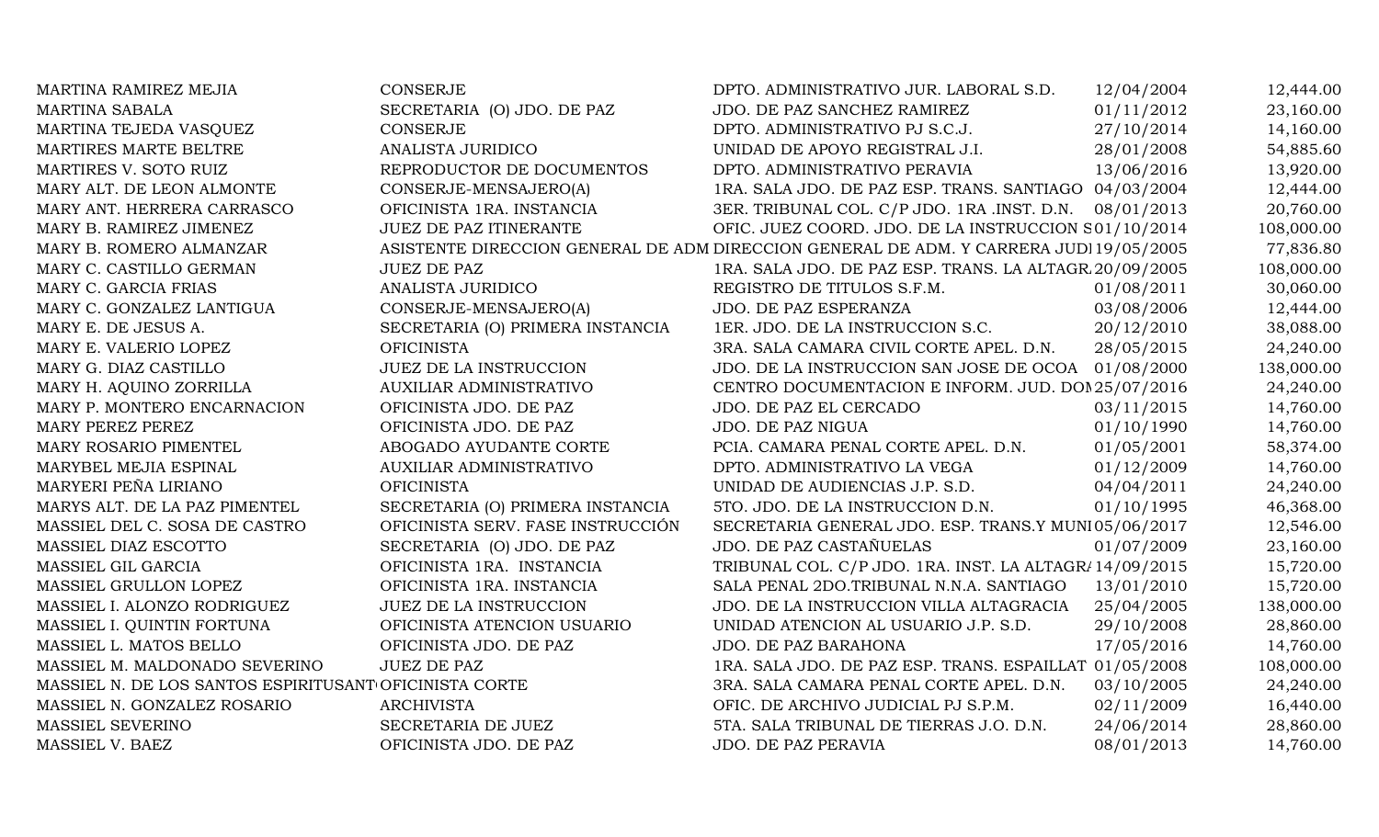| MARTINA RAMIREZ MEJIA                                  | CONSERJE                          | DPTO. ADMINISTRATIVO JUR. LABORAL S.D.                                                 | 12/04/2004 | 12,444.00  |
|--------------------------------------------------------|-----------------------------------|----------------------------------------------------------------------------------------|------------|------------|
| <b>MARTINA SABALA</b>                                  | SECRETARIA (O) JDO. DE PAZ        | JDO. DE PAZ SANCHEZ RAMIREZ                                                            | 01/11/2012 | 23,160.00  |
| MARTINA TEJEDA VASQUEZ                                 | <b>CONSERJE</b>                   | DPTO. ADMINISTRATIVO PJ S.C.J.                                                         | 27/10/2014 | 14,160.00  |
| MARTIRES MARTE BELTRE                                  | ANALISTA JURIDICO                 | UNIDAD DE APOYO REGISTRAL J.I.                                                         | 28/01/2008 | 54,885.60  |
| MARTIRES V. SOTO RUIZ                                  | REPRODUCTOR DE DOCUMENTOS         | DPTO. ADMINISTRATIVO PERAVIA                                                           | 13/06/2016 | 13,920.00  |
| MARY ALT. DE LEON ALMONTE                              | CONSERJE-MENSAJERO(A)             | 1RA. SALA JDO. DE PAZ ESP. TRANS. SANTIAGO 04/03/2004                                  |            | 12,444.00  |
| MARY ANT. HERRERA CARRASCO                             | OFICINISTA 1RA. INSTANCIA         | 3ER. TRIBUNAL COL. C/P JDO. 1RA .INST. D.N. 08/01/2013                                 |            | 20,760.00  |
| MARY B. RAMIREZ JIMENEZ                                | JUEZ DE PAZ ITINERANTE            | OFIC. JUEZ COORD. JDO. DE LA INSTRUCCION S01/10/2014                                   |            | 108,000.00 |
| MARY B. ROMERO ALMANZAR                                |                                   | ASISTENTE DIRECCION GENERAL DE ADM DIRECCION GENERAL DE ADM. Y CARRERA JUDI 19/05/2005 |            | 77,836.80  |
| MARY C. CASTILLO GERMAN                                | <b>JUEZ DE PAZ</b>                | 1RA. SALA JDO. DE PAZ ESP. TRANS. LA ALTAGR 20/09/2005                                 |            | 108,000.00 |
| MARY C. GARCIA FRIAS                                   | ANALISTA JURIDICO                 | REGISTRO DE TITULOS S.F.M.                                                             | 01/08/2011 | 30,060.00  |
| MARY C. GONZALEZ LANTIGUA                              | CONSERJE-MENSAJERO(A)             | JDO. DE PAZ ESPERANZA                                                                  | 03/08/2006 | 12,444.00  |
| MARY E. DE JESUS A.                                    | SECRETARIA (O) PRIMERA INSTANCIA  | 1ER. JDO. DE LA INSTRUCCION S.C.                                                       | 20/12/2010 | 38,088.00  |
| MARY E. VALERIO LOPEZ                                  | <b>OFICINISTA</b>                 | 3RA. SALA CAMARA CIVIL CORTE APEL. D.N.                                                | 28/05/2015 | 24,240.00  |
| MARY G. DIAZ CASTILLO                                  | <b>JUEZ DE LA INSTRUCCION</b>     | JDO. DE LA INSTRUCCION SAN JOSE DE OCOA 01/08/2000                                     |            | 138,000.00 |
| MARY H. AQUINO ZORRILLA                                | AUXILIAR ADMINISTRATIVO           | CENTRO DOCUMENTACION E INFORM. JUD. DOI 25/07/2016                                     |            | 24,240.00  |
| MARY P. MONTERO ENCARNACION                            | OFICINISTA JDO. DE PAZ            | JDO. DE PAZ EL CERCADO                                                                 | 03/11/2015 | 14,760.00  |
| MARY PEREZ PEREZ                                       | OFICINISTA JDO. DE PAZ            | JDO. DE PAZ NIGUA                                                                      | 01/10/1990 | 14,760.00  |
| MARY ROSARIO PIMENTEL                                  | ABOGADO AYUDANTE CORTE            | PCIA. CAMARA PENAL CORTE APEL. D.N.                                                    | 01/05/2001 | 58,374.00  |
| MARYBEL MEJIA ESPINAL                                  | AUXILIAR ADMINISTRATIVO           | DPTO. ADMINISTRATIVO LA VEGA                                                           | 01/12/2009 | 14,760.00  |
| MARYERI PEÑA LIRIANO                                   | <b>OFICINISTA</b>                 | UNIDAD DE AUDIENCIAS J.P. S.D.                                                         | 04/04/2011 | 24,240.00  |
| MARYS ALT. DE LA PAZ PIMENTEL                          | SECRETARIA (O) PRIMERA INSTANCIA  | 5TO. JDO. DE LA INSTRUCCION D.N.                                                       | 01/10/1995 | 46,368.00  |
| MASSIEL DEL C. SOSA DE CASTRO                          | OFICINISTA SERV. FASE INSTRUCCIÓN | SECRETARIA GENERAL JDO. ESP. TRANS.Y MUNI05/06/2017                                    |            | 12,546.00  |
| MASSIEL DIAZ ESCOTTO                                   | SECRETARIA (O) JDO. DE PAZ        | JDO. DE PAZ CASTAÑUELAS                                                                | 01/07/2009 | 23,160.00  |
| MASSIEL GIL GARCIA                                     | OFICINISTA 1RA. INSTANCIA         | TRIBUNAL COL. C/P JDO. 1RA. INST. LA ALTAGR/14/09/2015                                 |            | 15,720.00  |
| MASSIEL GRULLON LOPEZ                                  | OFICINISTA 1RA. INSTANCIA         | SALA PENAL 2DO.TRIBUNAL N.N.A. SANTIAGO                                                | 13/01/2010 | 15,720.00  |
| MASSIEL I. ALONZO RODRIGUEZ                            | <b>JUEZ DE LA INSTRUCCION</b>     | JDO. DE LA INSTRUCCION VILLA ALTAGRACIA                                                | 25/04/2005 | 138,000.00 |
| MASSIEL I. QUINTIN FORTUNA                             | OFICINISTA ATENCION USUARIO       | UNIDAD ATENCION AL USUARIO J.P. S.D.                                                   | 29/10/2008 | 28,860.00  |
| MASSIEL L. MATOS BELLO                                 | OFICINISTA JDO. DE PAZ            | JDO. DE PAZ BARAHONA                                                                   | 17/05/2016 | 14,760.00  |
| MASSIEL M. MALDONADO SEVERINO                          | <b>JUEZ DE PAZ</b>                | 1RA. SALA JDO. DE PAZ ESP. TRANS. ESPAILLAT 01/05/2008                                 |            | 108,000.00 |
| MASSIEL N. DE LOS SANTOS ESPIRITUSANT OFICINISTA CORTE |                                   | 3RA. SALA CAMARA PENAL CORTE APEL. D.N.                                                | 03/10/2005 | 24,240.00  |
| MASSIEL N. GONZALEZ ROSARIO                            | <b>ARCHIVISTA</b>                 | OFIC. DE ARCHIVO JUDICIAL PJ S.P.M.                                                    | 02/11/2009 | 16,440.00  |
| MASSIEL SEVERINO                                       | SECRETARIA DE JUEZ                | 5TA. SALA TRIBUNAL DE TIERRAS J.O. D.N.                                                | 24/06/2014 | 28,860.00  |
| MASSIEL V. BAEZ                                        | OFICINISTA JDO. DE PAZ            | JDO. DE PAZ PERAVIA                                                                    | 08/01/2013 | 14,760.00  |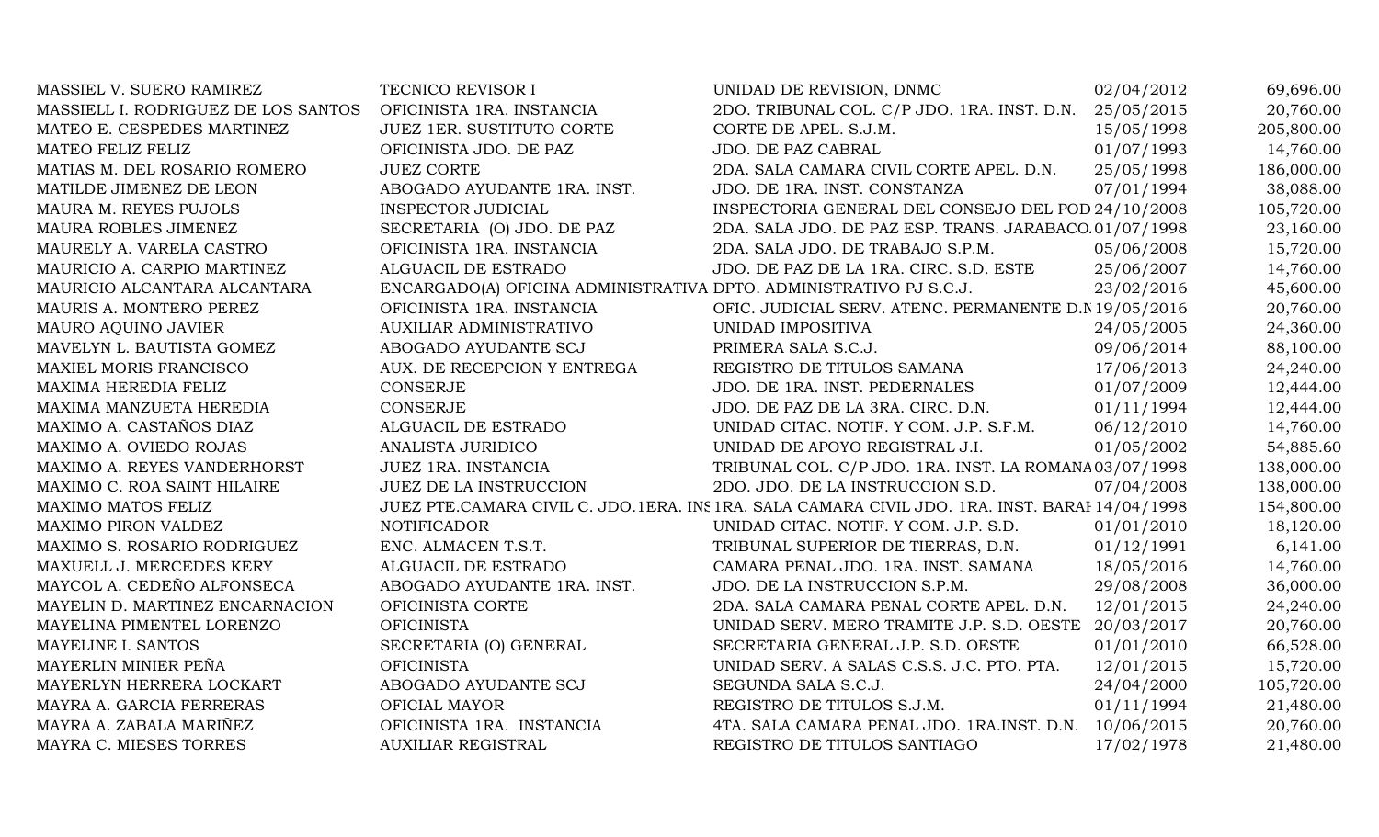| MASSIEL V. SUERO RAMIREZ            | TECNICO REVISOR I                                                  | UNIDAD DE REVISION, DNMC                                                                       | 02/04/2012 | 69,696.00  |
|-------------------------------------|--------------------------------------------------------------------|------------------------------------------------------------------------------------------------|------------|------------|
| MASSIELL I. RODRIGUEZ DE LOS SANTOS | OFICINISTA 1RA. INSTANCIA                                          | 2DO. TRIBUNAL COL. C/P JDO. 1RA. INST. D.N.                                                    | 25/05/2015 | 20,760.00  |
| MATEO E. CESPEDES MARTINEZ          | JUEZ 1ER. SUSTITUTO CORTE                                          | CORTE DE APEL. S.J.M.                                                                          | 15/05/1998 | 205,800.00 |
| MATEO FELIZ FELIZ                   | OFICINISTA JDO. DE PAZ                                             | JDO. DE PAZ CABRAL                                                                             | 01/07/1993 | 14,760.00  |
| MATIAS M. DEL ROSARIO ROMERO        | <b>JUEZ CORTE</b>                                                  | 2DA. SALA CAMARA CIVIL CORTE APEL. D.N.                                                        | 25/05/1998 | 186,000.00 |
| MATILDE JIMENEZ DE LEON             | ABOGADO AYUDANTE 1RA. INST.                                        | JDO. DE 1RA. INST. CONSTANZA                                                                   | 07/01/1994 | 38,088.00  |
| MAURA M. REYES PUJOLS               | <b>INSPECTOR JUDICIAL</b>                                          | INSPECTORIA GENERAL DEL CONSEJO DEL POD 24/10/2008                                             |            | 105,720.00 |
| MAURA ROBLES JIMENEZ                | SECRETARIA (O) JDO. DE PAZ                                         | 2DA. SALA JDO. DE PAZ ESP. TRANS. JARABACO. 01/07/1998                                         |            | 23,160.00  |
| MAURELY A. VARELA CASTRO            | OFICINISTA 1RA. INSTANCIA                                          | 2DA. SALA JDO. DE TRABAJO S.P.M.                                                               | 05/06/2008 | 15,720.00  |
| MAURICIO A. CARPIO MARTINEZ         | ALGUACIL DE ESTRADO                                                | JDO. DE PAZ DE LA 1RA. CIRC. S.D. ESTE                                                         | 25/06/2007 | 14,760.00  |
| MAURICIO ALCANTARA ALCANTARA        | ENCARGADO(A) OFICINA ADMINISTRATIVA DPTO. ADMINISTRATIVO PJ S.C.J. |                                                                                                | 23/02/2016 | 45,600.00  |
| MAURIS A. MONTERO PEREZ             | OFICINISTA 1RA. INSTANCIA                                          | OFIC. JUDICIAL SERV. ATENC. PERMANENTE D.N 19/05/2016                                          |            | 20,760.00  |
| MAURO AQUINO JAVIER                 | AUXILIAR ADMINISTRATIVO                                            | UNIDAD IMPOSITIVA                                                                              | 24/05/2005 | 24,360.00  |
| MAVELYN L. BAUTISTA GOMEZ           | ABOGADO AYUDANTE SCJ                                               | PRIMERA SALA S.C.J.                                                                            | 09/06/2014 | 88,100.00  |
| MAXIEL MORIS FRANCISCO              | AUX. DE RECEPCION Y ENTREGA                                        | REGISTRO DE TITULOS SAMANA                                                                     | 17/06/2013 | 24,240.00  |
| MAXIMA HEREDIA FELIZ                | <b>CONSERJE</b>                                                    | JDO. DE 1RA. INST. PEDERNALES                                                                  | 01/07/2009 | 12,444.00  |
| MAXIMA MANZUETA HEREDIA             | <b>CONSERJE</b>                                                    | JDO. DE PAZ DE LA 3RA. CIRC. D.N.                                                              | 01/11/1994 | 12,444.00  |
| MAXIMO A. CASTAÑOS DIAZ             | ALGUACIL DE ESTRADO                                                | UNIDAD CITAC. NOTIF. Y COM. J.P. S.F.M.                                                        | 06/12/2010 | 14,760.00  |
| MAXIMO A. OVIEDO ROJAS              | ANALISTA JURIDICO                                                  | UNIDAD DE APOYO REGISTRAL J.I.                                                                 | 01/05/2002 | 54,885.60  |
| MAXIMO A. REYES VANDERHORST         | JUEZ 1RA. INSTANCIA                                                | TRIBUNAL COL. C/P JDO. 1RA. INST. LA ROMANA03/07/1998                                          |            | 138,000.00 |
| MAXIMO C. ROA SAINT HILAIRE         | JUEZ DE LA INSTRUCCION                                             | 2DO. JDO. DE LA INSTRUCCION S.D.                                                               | 07/04/2008 | 138,000.00 |
| MAXIMO MATOS FELIZ                  |                                                                    | JUEZ PTE.CAMARA CIVIL C. JDO.1ERA. INS 1RA. SALA CAMARA CIVIL JDO. 1RA. INST. BARAI 14/04/1998 |            | 154,800.00 |
| MAXIMO PIRON VALDEZ                 | <b>NOTIFICADOR</b>                                                 | UNIDAD CITAC. NOTIF. Y COM. J.P. S.D.                                                          | 01/01/2010 | 18,120.00  |
| MAXIMO S. ROSARIO RODRIGUEZ         | ENC. ALMACEN T.S.T.                                                | TRIBUNAL SUPERIOR DE TIERRAS, D.N.                                                             | 01/12/1991 | 6,141.00   |
| MAXUELL J. MERCEDES KERY            | ALGUACIL DE ESTRADO                                                | CAMARA PENAL JDO. 1RA. INST. SAMANA                                                            | 18/05/2016 | 14,760.00  |
| MAYCOL A. CEDEÑO ALFONSECA          | ABOGADO AYUDANTE 1RA. INST.                                        | JDO. DE LA INSTRUCCION S.P.M.                                                                  | 29/08/2008 | 36,000.00  |
| MAYELIN D. MARTINEZ ENCARNACION     | OFICINISTA CORTE                                                   | 2DA. SALA CAMARA PENAL CORTE APEL. D.N.                                                        | 12/01/2015 | 24,240.00  |
| MAYELINA PIMENTEL LORENZO           | <b>OFICINISTA</b>                                                  | UNIDAD SERV. MERO TRAMITE J.P. S.D. OESTE 20/03/2017                                           |            | 20,760.00  |
| MAYELINE I. SANTOS                  | SECRETARIA (O) GENERAL                                             | SECRETARIA GENERAL J.P. S.D. OESTE                                                             | 01/01/2010 | 66,528.00  |
| MAYERLIN MINIER PEÑA                | <b>OFICINISTA</b>                                                  | UNIDAD SERV. A SALAS C.S.S. J.C. PTO. PTA.                                                     | 12/01/2015 | 15,720.00  |
| MAYERLYN HERRERA LOCKART            | ABOGADO AYUDANTE SCJ                                               | SEGUNDA SALA S.C.J.                                                                            | 24/04/2000 | 105,720.00 |
| MAYRA A. GARCIA FERRERAS            | OFICIAL MAYOR                                                      | REGISTRO DE TITULOS S.J.M.                                                                     | 01/11/1994 | 21,480.00  |
| MAYRA A. ZABALA MARIÑEZ             | OFICINISTA 1RA. INSTANCIA                                          | 4TA. SALA CAMARA PENAL JDO. 1RA.INST. D.N. 10/06/2015                                          |            | 20,760.00  |
| MAYRA C. MIESES TORRES              | <b>AUXILIAR REGISTRAL</b>                                          | REGISTRO DE TITULOS SANTIAGO                                                                   | 17/02/1978 | 21,480.00  |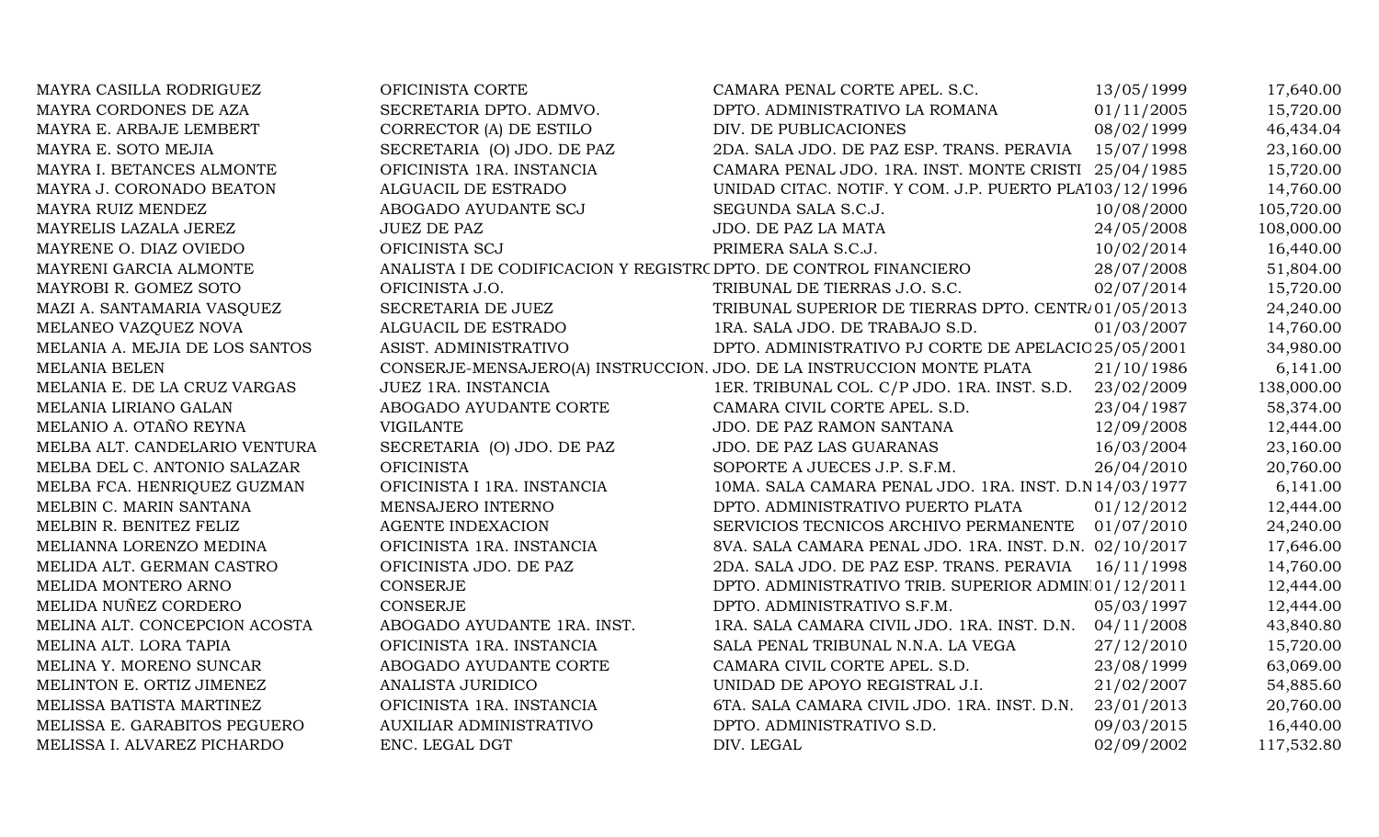| MAYRA CASILLA RODRIGUEZ        | OFICINISTA CORTE                                                  | CAMARA PENAL CORTE APEL. S.C.                                         | 13/05/1999 | 17,640.00  |
|--------------------------------|-------------------------------------------------------------------|-----------------------------------------------------------------------|------------|------------|
| MAYRA CORDONES DE AZA          | SECRETARIA DPTO. ADMVO.                                           | DPTO. ADMINISTRATIVO LA ROMANA                                        | 01/11/2005 | 15,720.00  |
| MAYRA E. ARBAJE LEMBERT        | CORRECTOR (A) DE ESTILO                                           | DIV. DE PUBLICACIONES                                                 | 08/02/1999 | 46,434.04  |
| MAYRA E. SOTO MEJIA            | SECRETARIA (O) JDO. DE PAZ                                        | 2DA. SALA JDO. DE PAZ ESP. TRANS. PERAVIA                             | 15/07/1998 | 23,160.00  |
| MAYRA I. BETANCES ALMONTE      | OFICINISTA 1RA. INSTANCIA                                         | CAMARA PENAL JDO. 1RA. INST. MONTE CRISTI 25/04/1985                  |            | 15,720.00  |
| MAYRA J. CORONADO BEATON       | ALGUACIL DE ESTRADO                                               | UNIDAD CITAC. NOTIF. Y COM. J.P. PUERTO PLA103/12/1996                |            | 14,760.00  |
| MAYRA RUIZ MENDEZ              | ABOGADO AYUDANTE SCJ                                              | SEGUNDA SALA S.C.J.                                                   | 10/08/2000 | 105,720.00 |
| MAYRELIS LAZALA JEREZ          | <b>JUEZ DE PAZ</b>                                                | JDO. DE PAZ LA MATA                                                   | 24/05/2008 | 108,000.00 |
| MAYRENE O. DIAZ OVIEDO         | OFICINISTA SCJ                                                    | PRIMERA SALA S.C.J.                                                   | 10/02/2014 | 16,440.00  |
| MAYRENI GARCIA ALMONTE         | ANALISTA I DE CODIFICACION Y REGISTR( DPTO. DE CONTROL FINANCIERO |                                                                       | 28/07/2008 | 51,804.00  |
| MAYROBI R. GOMEZ SOTO          | OFICINISTA J.O.                                                   | TRIBUNAL DE TIERRAS J.O. S.C.                                         | 02/07/2014 | 15,720.00  |
| MAZI A. SANTAMARIA VASQUEZ     | SECRETARIA DE JUEZ                                                | TRIBUNAL SUPERIOR DE TIERRAS DPTO. CENTR/01/05/2013                   |            | 24,240.00  |
| MELANEO VAZQUEZ NOVA           | ALGUACIL DE ESTRADO                                               | 1RA. SALA JDO. DE TRABAJO S.D.                                        | 01/03/2007 | 14,760.00  |
| MELANIA A. MEJIA DE LOS SANTOS | ASIST. ADMINISTRATIVO                                             | DPTO. ADMINISTRATIVO PJ CORTE DE APELACIC 25/05/2001                  |            | 34,980.00  |
| MELANIA BELEN                  |                                                                   | CONSERJE-MENSAJERO(A) INSTRUCCION. JDO. DE LA INSTRUCCION MONTE PLATA | 21/10/1986 | 6,141.00   |
| MELANIA E. DE LA CRUZ VARGAS   | JUEZ 1RA. INSTANCIA                                               | 1ER. TRIBUNAL COL. C/P JDO. 1RA. INST. S.D.                           | 23/02/2009 | 138,000.00 |
| MELANIA LIRIANO GALAN          | ABOGADO AYUDANTE CORTE                                            | CAMARA CIVIL CORTE APEL. S.D.                                         | 23/04/1987 | 58,374.00  |
| MELANIO A. OTAÑO REYNA         | <b>VIGILANTE</b>                                                  | JDO. DE PAZ RAMON SANTANA                                             | 12/09/2008 | 12,444.00  |
| MELBA ALT. CANDELARIO VENTURA  | SECRETARIA (O) JDO. DE PAZ                                        | JDO. DE PAZ LAS GUARANAS                                              | 16/03/2004 | 23,160.00  |
| MELBA DEL C. ANTONIO SALAZAR   | <b>OFICINISTA</b>                                                 | SOPORTE A JUECES J.P. S.F.M.                                          | 26/04/2010 | 20,760.00  |
| MELBA FCA. HENRIQUEZ GUZMAN    | OFICINISTA I 1RA. INSTANCIA                                       | 10MA. SALA CAMARA PENAL JDO. 1RA. INST. D.N 14/03/1977                |            | 6,141.00   |
| MELBIN C. MARIN SANTANA        | MENSAJERO INTERNO                                                 | DPTO. ADMINISTRATIVO PUERTO PLATA                                     | 01/12/2012 | 12,444.00  |
| MELBIN R. BENITEZ FELIZ        | <b>AGENTE INDEXACION</b>                                          | SERVICIOS TECNICOS ARCHIVO PERMANENTE                                 | 01/07/2010 | 24,240.00  |
| MELIANNA LORENZO MEDINA        | OFICINISTA 1RA. INSTANCIA                                         | 8VA. SALA CAMARA PENAL JDO. 1RA. INST. D.N. 02/10/2017                |            | 17,646.00  |
| MELIDA ALT. GERMAN CASTRO      | OFICINISTA JDO. DE PAZ                                            | 2DA. SALA JDO. DE PAZ ESP. TRANS. PERAVIA                             | 16/11/1998 | 14,760.00  |
| MELIDA MONTERO ARNO            | <b>CONSERJE</b>                                                   | DPTO. ADMINISTRATIVO TRIB. SUPERIOR ADMIN 01/12/2011                  |            | 12,444.00  |
| MELIDA NUÑEZ CORDERO           | <b>CONSERJE</b>                                                   | DPTO. ADMINISTRATIVO S.F.M.                                           | 05/03/1997 | 12,444.00  |
| MELINA ALT. CONCEPCION ACOSTA  | ABOGADO AYUDANTE 1RA. INST.                                       | 1RA. SALA CAMARA CIVIL JDO. 1RA. INST. D.N.                           | 04/11/2008 | 43,840.80  |
| MELINA ALT. LORA TAPIA         | OFICINISTA 1RA. INSTANCIA                                         | SALA PENAL TRIBUNAL N.N.A. LA VEGA                                    | 27/12/2010 | 15,720.00  |
| MELINA Y. MORENO SUNCAR        | ABOGADO AYUDANTE CORTE                                            | CAMARA CIVIL CORTE APEL. S.D.                                         | 23/08/1999 | 63,069.00  |
| MELINTON E. ORTIZ JIMENEZ      | ANALISTA JURIDICO                                                 | UNIDAD DE APOYO REGISTRAL J.I.                                        | 21/02/2007 | 54,885.60  |
| MELISSA BATISTA MARTINEZ       | OFICINISTA 1RA. INSTANCIA                                         | 6TA. SALA CAMARA CIVIL JDO. 1RA. INST. D.N.                           | 23/01/2013 | 20,760.00  |
| MELISSA E. GARABITOS PEGUERO   | <b>AUXILIAR ADMINISTRATIVO</b>                                    | DPTO. ADMINISTRATIVO S.D.                                             | 09/03/2015 | 16,440.00  |
| MELISSA I. ALVAREZ PICHARDO    | ENC. LEGAL DGT                                                    | DIV. LEGAL                                                            | 02/09/2002 | 117,532.80 |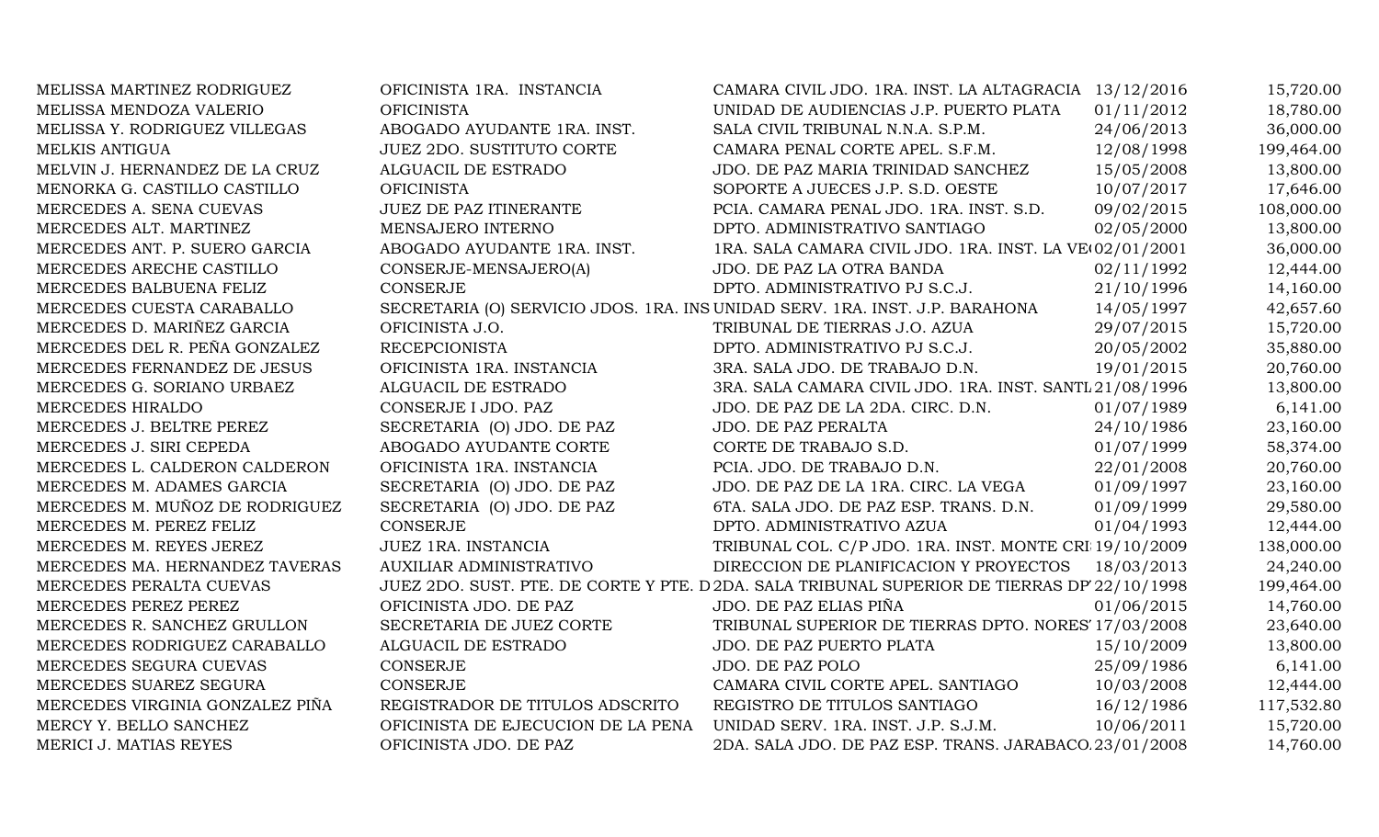| MELISSA MARTINEZ RODRIGUEZ      | OFICINISTA 1RA. INSTANCIA          | CAMARA CIVIL JDO. 1RA. INST. LA ALTAGRACIA 13/12/2016                                       |            | 15,720.00  |
|---------------------------------|------------------------------------|---------------------------------------------------------------------------------------------|------------|------------|
| MELISSA MENDOZA VALERIO         | <b>OFICINISTA</b>                  | UNIDAD DE AUDIENCIAS J.P. PUERTO PLATA                                                      | 01/11/2012 | 18,780.00  |
| MELISSA Y. RODRIGUEZ VILLEGAS   | ABOGADO AYUDANTE 1RA. INST.        | SALA CIVIL TRIBUNAL N.N.A. S.P.M.                                                           | 24/06/2013 | 36,000.00  |
| MELKIS ANTIGUA                  | <b>JUEZ 2DO. SUSTITUTO CORTE</b>   | CAMARA PENAL CORTE APEL. S.F.M.                                                             | 12/08/1998 | 199,464.00 |
| MELVIN J. HERNANDEZ DE LA CRUZ  | ALGUACIL DE ESTRADO                | JDO. DE PAZ MARIA TRINIDAD SANCHEZ                                                          | 15/05/2008 | 13,800.00  |
| MENORKA G. CASTILLO CASTILLO    | <b>OFICINISTA</b>                  | SOPORTE A JUECES J.P. S.D. OESTE                                                            | 10/07/2017 | 17,646.00  |
| MERCEDES A. SENA CUEVAS         | <b>JUEZ DE PAZ ITINERANTE</b>      | PCIA. CAMARA PENAL JDO. 1RA. INST. S.D.                                                     | 09/02/2015 | 108,000.00 |
| MERCEDES ALT. MARTINEZ          | MENSAJERO INTERNO                  | DPTO. ADMINISTRATIVO SANTIAGO                                                               | 02/05/2000 | 13,800.00  |
| MERCEDES ANT. P. SUERO GARCIA   | ABOGADO AYUDANTE 1RA. INST.        | 1RA. SALA CAMARA CIVIL JDO. 1RA. INST. LA VE 02/01/2001                                     |            | 36,000.00  |
| MERCEDES ARECHE CASTILLO        | CONSERJE-MENSAJERO(A)              | JDO. DE PAZ LA OTRA BANDA                                                                   | 02/11/1992 | 12,444.00  |
| MERCEDES BALBUENA FELIZ         | <b>CONSERJE</b>                    | DPTO. ADMINISTRATIVO PJ S.C.J.                                                              | 21/10/1996 | 14,160.00  |
| MERCEDES CUESTA CARABALLO       |                                    | SECRETARIA (O) SERVICIO JDOS. 1RA. INS UNIDAD SERV. 1RA. INST. J.P. BARAHONA                | 14/05/1997 | 42,657.60  |
| MERCEDES D. MARIÑEZ GARCIA      | OFICINISTA J.O.                    | TRIBUNAL DE TIERRAS J.O. AZUA                                                               | 29/07/2015 | 15,720.00  |
| MERCEDES DEL R. PEÑA GONZALEZ   | <b>RECEPCIONISTA</b>               | DPTO. ADMINISTRATIVO PJ S.C.J.                                                              | 20/05/2002 | 35,880.00  |
| MERCEDES FERNANDEZ DE JESUS     | OFICINISTA 1RA. INSTANCIA          | 3RA. SALA JDO. DE TRABAJO D.N.                                                              | 19/01/2015 | 20,760.00  |
| MERCEDES G. SORIANO URBAEZ      | ALGUACIL DE ESTRADO                | 3RA. SALA CAMARA CIVIL JDO. 1RA. INST. SANTL 21/08/1996                                     |            | 13,800.00  |
| MERCEDES HIRALDO                | CONSERJE I JDO. PAZ                | JDO. DE PAZ DE LA 2DA. CIRC. D.N.                                                           | 01/07/1989 | 6,141.00   |
| MERCEDES J. BELTRE PEREZ        | SECRETARIA (O) JDO. DE PAZ         | JDO. DE PAZ PERALTA                                                                         | 24/10/1986 | 23,160.00  |
| MERCEDES J. SIRI CEPEDA         | ABOGADO AYUDANTE CORTE             | CORTE DE TRABAJO S.D.                                                                       | 01/07/1999 | 58,374.00  |
| MERCEDES L. CALDERON CALDERON   | OFICINISTA 1RA. INSTANCIA          | PCIA. JDO. DE TRABAJO D.N.                                                                  | 22/01/2008 | 20,760.00  |
| MERCEDES M. ADAMES GARCIA       | SECRETARIA (O) JDO. DE PAZ         | JDO. DE PAZ DE LA 1RA. CIRC. LA VEGA                                                        | 01/09/1997 | 23,160.00  |
| MERCEDES M. MUÑOZ DE RODRIGUEZ  | SECRETARIA (O) JDO. DE PAZ         | 6TA. SALA JDO. DE PAZ ESP. TRANS. D.N.                                                      | 01/09/1999 | 29,580.00  |
| MERCEDES M. PEREZ FELIZ         | <b>CONSERJE</b>                    | DPTO. ADMINISTRATIVO AZUA                                                                   | 01/04/1993 | 12,444.00  |
| MERCEDES M. REYES JEREZ         | JUEZ 1RA. INSTANCIA                | TRIBUNAL COL. C/P JDO. 1RA. INST. MONTE CRI 19/10/2009                                      |            | 138,000.00 |
| MERCEDES MA. HERNANDEZ TAVERAS  | AUXILIAR ADMINISTRATIVO            | DIRECCION DE PLANIFICACION Y PROYECTOS                                                      | 18/03/2013 | 24,240.00  |
| MERCEDES PERALTA CUEVAS         |                                    | JUEZ 2DO. SUST. PTE. DE CORTE Y PTE. D 2DA. SALA TRIBUNAL SUPERIOR DE TIERRAS DP 22/10/1998 |            | 199,464.00 |
| MERCEDES PEREZ PEREZ            | OFICINISTA JDO. DE PAZ             | JDO. DE PAZ ELIAS PIÑA                                                                      | 01/06/2015 | 14,760.00  |
| MERCEDES R. SANCHEZ GRULLON     | SECRETARIA DE JUEZ CORTE           | TRIBUNAL SUPERIOR DE TIERRAS DPTO. NORES' 17/03/2008                                        |            | 23,640.00  |
| MERCEDES RODRIGUEZ CARABALLO    | ALGUACIL DE ESTRADO                | JDO. DE PAZ PUERTO PLATA                                                                    | 15/10/2009 | 13,800.00  |
| MERCEDES SEGURA CUEVAS          | CONSERJE                           | JDO. DE PAZ POLO                                                                            | 25/09/1986 | 6,141.00   |
| MERCEDES SUAREZ SEGURA          | <b>CONSERJE</b>                    | CAMARA CIVIL CORTE APEL. SANTIAGO                                                           | 10/03/2008 | 12,444.00  |
| MERCEDES VIRGINIA GONZALEZ PIÑA | REGISTRADOR DE TITULOS ADSCRITO    | REGISTRO DE TITULOS SANTIAGO                                                                | 16/12/1986 | 117,532.80 |
| MERCY Y. BELLO SANCHEZ          | OFICINISTA DE EJECUCION DE LA PENA | UNIDAD SERV. 1RA. INST. J.P. S.J.M.                                                         | 10/06/2011 | 15,720.00  |
| MERICI J. MATIAS REYES          | OFICINISTA JDO. DE PAZ             | 2DA. SALA JDO. DE PAZ ESP. TRANS. JARABACO 23/01/2008                                       |            | 14,760.00  |
|                                 |                                    |                                                                                             |            |            |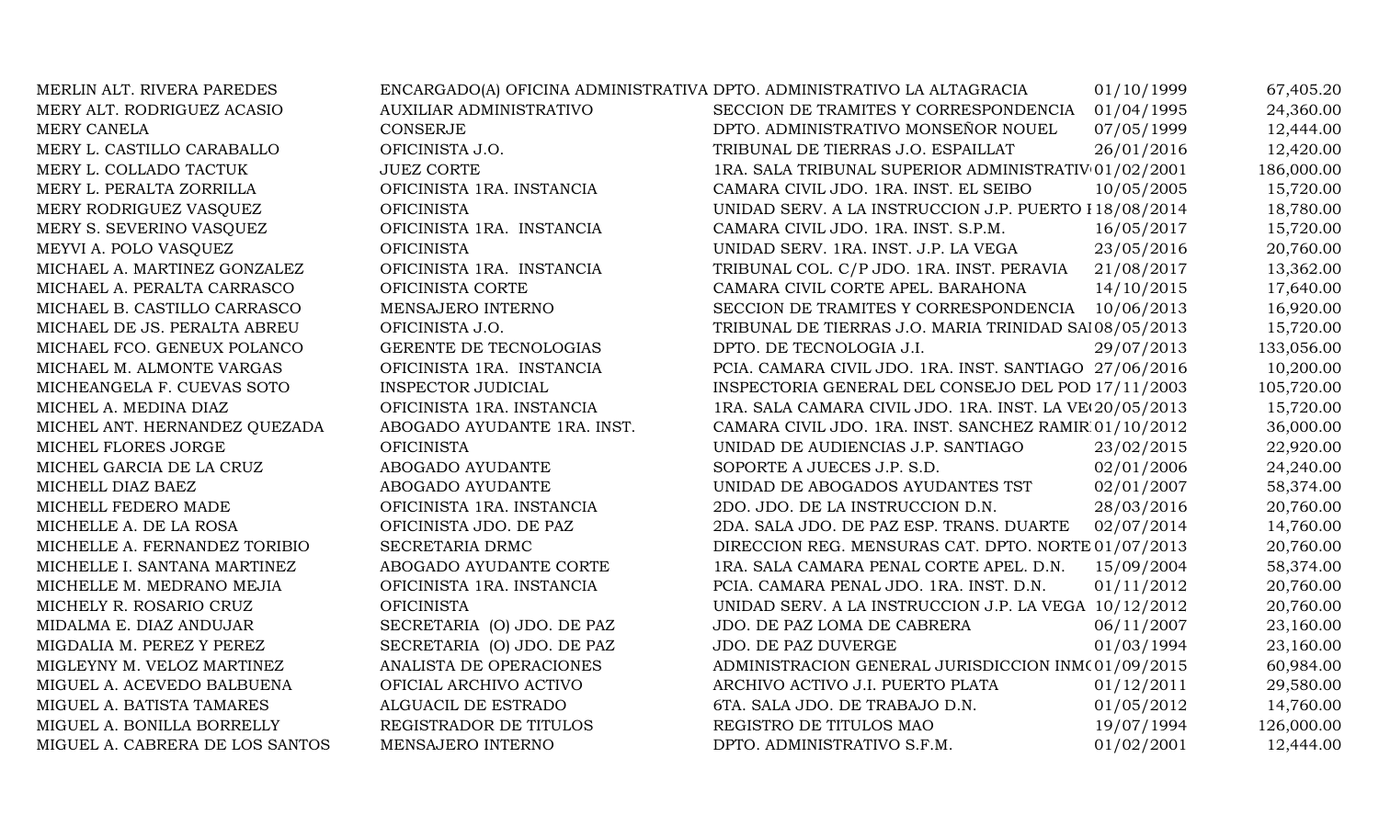| MERLIN ALT. RIVERA PAREDES      | ENCARGADO(A) OFICINA ADMINISTRATIVA DPTO. ADMINISTRATIVO LA ALTAGRACIA |                                                         | 01/10/1999 | 67,405.20  |
|---------------------------------|------------------------------------------------------------------------|---------------------------------------------------------|------------|------------|
| MERY ALT. RODRIGUEZ ACASIO      | <b>AUXILIAR ADMINISTRATIVO</b>                                         | SECCION DE TRAMITES Y CORRESPONDENCIA                   | 01/04/1995 | 24,360.00  |
| MERY CANELA                     | <b>CONSERJE</b>                                                        | DPTO. ADMINISTRATIVO MONSEÑOR NOUEL                     | 07/05/1999 | 12,444.00  |
| MERY L. CASTILLO CARABALLO      | OFICINISTA J.O.                                                        | TRIBUNAL DE TIERRAS J.O. ESPAILLAT                      | 26/01/2016 | 12,420.00  |
| MERY L. COLLADO TACTUK          | <b>JUEZ CORTE</b>                                                      | 1RA. SALA TRIBUNAL SUPERIOR ADMINISTRATIV 01/02/2001    |            | 186,000.00 |
| MERY L. PERALTA ZORRILLA        | OFICINISTA 1RA. INSTANCIA                                              | CAMARA CIVIL JDO. 1RA. INST. EL SEIBO                   | 10/05/2005 | 15,720.00  |
| MERY RODRIGUEZ VASQUEZ          | <b>OFICINISTA</b>                                                      | UNIDAD SERV. A LA INSTRUCCION J.P. PUERTO 118/08/2014   |            | 18,780.00  |
| MERY S. SEVERINO VASQUEZ        | OFICINISTA 1RA. INSTANCIA                                              | CAMARA CIVIL JDO. 1RA. INST. S.P.M.                     | 16/05/2017 | 15,720.00  |
| MEYVI A. POLO VASQUEZ           | <b>OFICINISTA</b>                                                      | UNIDAD SERV. 1RA. INST. J.P. LA VEGA                    | 23/05/2016 | 20,760.00  |
| MICHAEL A. MARTINEZ GONZALEZ    | OFICINISTA 1RA. INSTANCIA                                              | TRIBUNAL COL. C/P JDO. 1RA. INST. PERAVIA               | 21/08/2017 | 13,362.00  |
| MICHAEL A. PERALTA CARRASCO     | OFICINISTA CORTE                                                       | CAMARA CIVIL CORTE APEL. BARAHONA                       | 14/10/2015 | 17,640.00  |
| MICHAEL B. CASTILLO CARRASCO    | MENSAJERO INTERNO                                                      | SECCION DE TRAMITES Y CORRESPONDENCIA 10/06/2013        |            | 16,920.00  |
| MICHAEL DE JS. PERALTA ABREU    | OFICINISTA J.O.                                                        | TRIBUNAL DE TIERRAS J.O. MARIA TRINIDAD SAJ08/05/2013   |            | 15,720.00  |
| MICHAEL FCO. GENEUX POLANCO     | GERENTE DE TECNOLOGIAS                                                 | DPTO. DE TECNOLOGIA J.I.                                | 29/07/2013 | 133,056.00 |
| MICHAEL M. ALMONTE VARGAS       | OFICINISTA 1RA. INSTANCIA                                              | PCIA. CAMARA CIVIL JDO. 1RA. INST. SANTIAGO 27/06/2016  |            | 10,200.00  |
| MICHEANGELA F. CUEVAS SOTO      | <b>INSPECTOR JUDICIAL</b>                                              | INSPECTORIA GENERAL DEL CONSEJO DEL POD 17/11/2003      |            | 105,720.00 |
| MICHEL A. MEDINA DIAZ           | OFICINISTA 1RA. INSTANCIA                                              | 1RA. SALA CAMARA CIVIL JDO. 1RA. INST. LA VE 20/05/2013 |            | 15,720.00  |
| MICHEL ANT. HERNANDEZ QUEZADA   | ABOGADO AYUDANTE 1RA. INST.                                            | CAMARA CIVIL JDO. 1RA. INST. SANCHEZ RAMIR 01/10/2012   |            | 36,000.00  |
| MICHEL FLORES JORGE             | <b>OFICINISTA</b>                                                      | UNIDAD DE AUDIENCIAS J.P. SANTIAGO                      | 23/02/2015 | 22,920.00  |
| MICHEL GARCIA DE LA CRUZ        | ABOGADO AYUDANTE                                                       | SOPORTE A JUECES J.P. S.D.                              | 02/01/2006 | 24,240.00  |
| MICHELL DIAZ BAEZ               | ABOGADO AYUDANTE                                                       | UNIDAD DE ABOGADOS AYUDANTES TST                        | 02/01/2007 | 58,374.00  |
| MICHELL FEDERO MADE             | OFICINISTA 1RA. INSTANCIA                                              | 2DO. JDO. DE LA INSTRUCCION D.N.                        | 28/03/2016 | 20,760.00  |
| MICHELLE A. DE LA ROSA          | OFICINISTA JDO. DE PAZ                                                 | 2DA. SALA JDO. DE PAZ ESP. TRANS. DUARTE                | 02/07/2014 | 14,760.00  |
| MICHELLE A. FERNANDEZ TORIBIO   | SECRETARIA DRMC                                                        | DIRECCION REG. MENSURAS CAT. DPTO. NORTE 01/07/2013     |            | 20,760.00  |
| MICHELLE I. SANTANA MARTINEZ    | ABOGADO AYUDANTE CORTE                                                 | 1RA. SALA CAMARA PENAL CORTE APEL. D.N.                 | 15/09/2004 | 58,374.00  |
| MICHELLE M. MEDRANO MEJIA       | OFICINISTA 1RA. INSTANCIA                                              | PCIA. CAMARA PENAL JDO. 1RA. INST. D.N.                 | 01/11/2012 | 20,760.00  |
| MICHELY R. ROSARIO CRUZ         | <b>OFICINISTA</b>                                                      | UNIDAD SERV. A LA INSTRUCCION J.P. LA VEGA 10/12/2012   |            | 20,760.00  |
| MIDALMA E. DIAZ ANDUJAR         | SECRETARIA (O) JDO. DE PAZ                                             | JDO. DE PAZ LOMA DE CABRERA                             | 06/11/2007 | 23,160.00  |
| MIGDALIA M. PEREZ Y PEREZ       | SECRETARIA (O) JDO. DE PAZ                                             | JDO. DE PAZ DUVERGE                                     | 01/03/1994 | 23,160.00  |
| MIGLEYNY M. VELOZ MARTINEZ      | ANALISTA DE OPERACIONES                                                | ADMINISTRACION GENERAL JURISDICCION INM(01/09/2015      |            | 60,984.00  |
| MIGUEL A. ACEVEDO BALBUENA      | OFICIAL ARCHIVO ACTIVO                                                 | ARCHIVO ACTIVO J.I. PUERTO PLATA                        | 01/12/2011 | 29,580.00  |
| MIGUEL A. BATISTA TAMARES       | ALGUACIL DE ESTRADO                                                    | 6TA. SALA JDO. DE TRABAJO D.N.                          | 01/05/2012 | 14,760.00  |
| MIGUEL A. BONILLA BORRELLY      | REGISTRADOR DE TITULOS                                                 | REGISTRO DE TITULOS MAO                                 | 19/07/1994 | 126,000.00 |
| MIGUEL A. CABRERA DE LOS SANTOS | MENSAJERO INTERNO                                                      | DPTO. ADMINISTRATIVO S.F.M.                             | 01/02/2001 | 12,444.00  |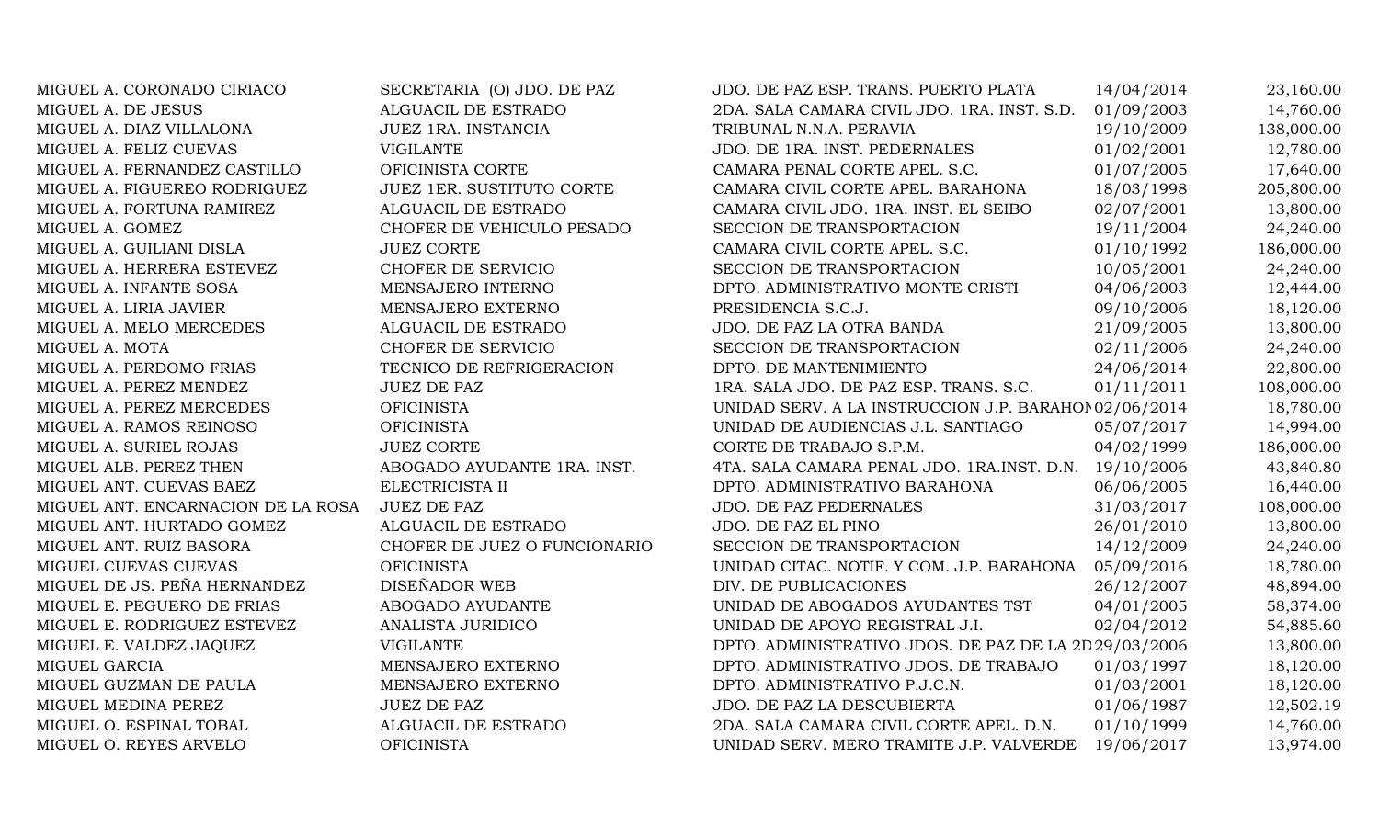| MIGUEL A. CORONADO CIRIACO         | SECRETARIA (O) JDO. DE PAZ       | JDO. DE PAZ ESP. TRANS. PUERTO PLATA                  | 14/04/2014 | 23,160.00  |
|------------------------------------|----------------------------------|-------------------------------------------------------|------------|------------|
| MIGUEL A. DE JESUS                 | ALGUACIL DE ESTRADO              | 2DA. SALA CAMARA CIVIL JDO. 1RA. INST. S.D.           | 01/09/2003 | 14,760.00  |
| MIGUEL A. DIAZ VILLALONA           | JUEZ 1RA. INSTANCIA              | TRIBUNAL N.N.A. PERAVIA                               | 19/10/2009 | 138,000.00 |
| MIGUEL A. FELIZ CUEVAS             | <b>VIGILANTE</b>                 | JDO. DE 1RA. INST. PEDERNALES                         | 01/02/2001 | 12,780.00  |
| MIGUEL A. FERNANDEZ CASTILLO       | OFICINISTA CORTE                 | CAMARA PENAL CORTE APEL. S.C.                         | 01/07/2005 | 17,640.00  |
| MIGUEL A. FIGUEREO RODRIGUEZ       | <b>JUEZ 1ER. SUSTITUTO CORTE</b> | CAMARA CIVIL CORTE APEL. BARAHONA                     | 18/03/1998 | 205,800.00 |
| MIGUEL A. FORTUNA RAMIREZ          | ALGUACIL DE ESTRADO              | CAMARA CIVIL JDO. 1RA. INST. EL SEIBO                 | 02/07/2001 | 13,800.00  |
| MIGUEL A. GOMEZ                    | CHOFER DE VEHICULO PESADO        | SECCION DE TRANSPORTACION                             | 19/11/2004 | 24,240.00  |
| MIGUEL A. GUILIANI DISLA           | <b>JUEZ CORTE</b>                | CAMARA CIVIL CORTE APEL. S.C.                         | 01/10/1992 | 186,000.00 |
| MIGUEL A. HERRERA ESTEVEZ          | CHOFER DE SERVICIO               | SECCION DE TRANSPORTACION                             | 10/05/2001 | 24,240.00  |
| MIGUEL A. INFANTE SOSA             | MENSAJERO INTERNO                | DPTO. ADMINISTRATIVO MONTE CRISTI                     | 04/06/2003 | 12,444.00  |
| MIGUEL A. LIRIA JAVIER             | MENSAJERO EXTERNO                | PRESIDENCIA S.C.J.                                    | 09/10/2006 | 18,120.00  |
| MIGUEL A. MELO MERCEDES            | ALGUACIL DE ESTRADO              | JDO. DE PAZ LA OTRA BANDA                             | 21/09/2005 | 13,800.00  |
| MIGUEL A. MOTA                     | CHOFER DE SERVICIO               | SECCION DE TRANSPORTACION                             | 02/11/2006 | 24,240.00  |
| MIGUEL A. PERDOMO FRIAS            | TECNICO DE REFRIGERACION         | DPTO. DE MANTENIMIENTO                                | 24/06/2014 | 22,800.00  |
| MIGUEL A. PEREZ MENDEZ             | <b>JUEZ DE PAZ</b>               | 1RA. SALA JDO. DE PAZ ESP. TRANS. S.C.                | 01/11/2011 | 108,000.00 |
| MIGUEL A. PEREZ MERCEDES           | <b>OFICINISTA</b>                | UNIDAD SERV. A LA INSTRUCCION J.P. BARAHOI 02/06/2014 |            | 18,780.00  |
| MIGUEL A. RAMOS REINOSO            | <b>OFICINISTA</b>                | UNIDAD DE AUDIENCIAS J.L. SANTIAGO                    | 05/07/2017 | 14,994.00  |
| MIGUEL A. SURIEL ROJAS             | <b>JUEZ CORTE</b>                | CORTE DE TRABAJO S.P.M.                               | 04/02/1999 | 186,000.00 |
| MIGUEL ALB. PEREZ THEN             | ABOGADO AYUDANTE 1RA. INST.      | 4TA. SALA CAMARA PENAL JDO. 1RA.INST. D.N. 19/10/2006 |            | 43,840.80  |
| MIGUEL ANT. CUEVAS BAEZ            | ELECTRICISTA II                  | DPTO. ADMINISTRATIVO BARAHONA                         | 06/06/2005 | 16,440.00  |
| MIGUEL ANT. ENCARNACION DE LA ROSA | <b>JUEZ DE PAZ</b>               | JDO. DE PAZ PEDERNALES                                | 31/03/2017 | 108,000.00 |
| MIGUEL ANT. HURTADO GOMEZ          | ALGUACIL DE ESTRADO              | JDO. DE PAZ EL PINO                                   | 26/01/2010 | 13,800.00  |
| MIGUEL ANT. RUIZ BASORA            | CHOFER DE JUEZ O FUNCIONARIO     | SECCION DE TRANSPORTACION                             | 14/12/2009 | 24,240.00  |
| MIGUEL CUEVAS CUEVAS               | <b>OFICINISTA</b>                | UNIDAD CITAC. NOTIF. Y COM. J.P. BARAHONA             | 05/09/2016 | 18,780.00  |
| MIGUEL DE JS. PEÑA HERNANDEZ       | DISEÑADOR WEB                    | DIV. DE PUBLICACIONES                                 | 26/12/2007 | 48,894.00  |
| MIGUEL E. PEGUERO DE FRIAS         | ABOGADO AYUDANTE                 | UNIDAD DE ABOGADOS AYUDANTES TST                      | 04/01/2005 | 58,374.00  |
| MIGUEL E. RODRIGUEZ ESTEVEZ        | ANALISTA JURIDICO                | UNIDAD DE APOYO REGISTRAL J.I.                        | 02/04/2012 | 54,885.60  |
| MIGUEL E. VALDEZ JAQUEZ            | <b>VIGILANTE</b>                 | DPTO. ADMINISTRATIVO JDOS. DE PAZ DE LA 2D 29/03/2006 |            | 13,800.00  |
| MIGUEL GARCIA                      | MENSAJERO EXTERNO                | DPTO. ADMINISTRATIVO JDOS. DE TRABAJO                 | 01/03/1997 | 18,120.00  |
| MIGUEL GUZMAN DE PAULA             | MENSAJERO EXTERNO                | DPTO. ADMINISTRATIVO P.J.C.N.                         | 01/03/2001 | 18,120.00  |
| MIGUEL MEDINA PEREZ                | <b>JUEZ DE PAZ</b>               | JDO. DE PAZ LA DESCUBIERTA                            | 01/06/1987 | 12,502.19  |
| MIGUEL O. ESPINAL TOBAL            | ALGUACIL DE ESTRADO              | 2DA. SALA CAMARA CIVIL CORTE APEL. D.N.               | 01/10/1999 | 14,760.00  |
| MIGUEL O. REYES ARVELO             | <b>OFICINISTA</b>                | UNIDAD SERV. MERO TRAMITE J.P. VALVERDE               | 19/06/2017 | 13,974.00  |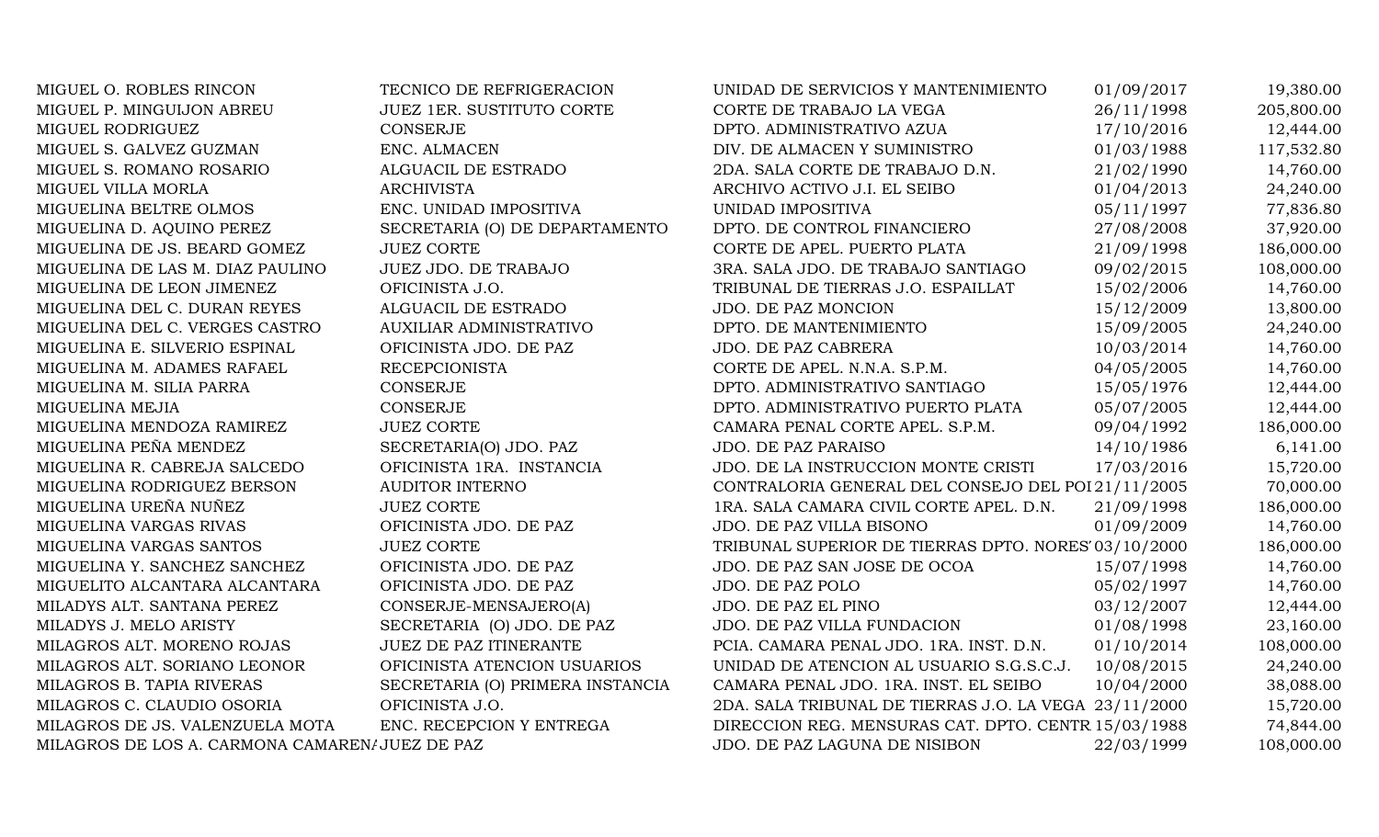| MIGUEL O. ROBLES RINCON                        | TECNICO DE REFRIGERACION         | UNIDAD DE SERVICIOS Y MANTENIMIENTO                   | 01/09/2017 | 19,380.00  |
|------------------------------------------------|----------------------------------|-------------------------------------------------------|------------|------------|
| MIGUEL P. MINGUIJON ABREU                      | <b>JUEZ 1ER. SUSTITUTO CORTE</b> | CORTE DE TRABAJO LA VEGA                              | 26/11/1998 | 205,800.00 |
| MIGUEL RODRIGUEZ                               | <b>CONSERJE</b>                  | DPTO. ADMINISTRATIVO AZUA                             | 17/10/2016 | 12,444.00  |
| MIGUEL S. GALVEZ GUZMAN                        | ENC. ALMACEN                     | DIV. DE ALMACEN Y SUMINISTRO                          | 01/03/1988 | 117,532.80 |
| MIGUEL S. ROMANO ROSARIO                       | ALGUACIL DE ESTRADO              | 2DA. SALA CORTE DE TRABAJO D.N.                       | 21/02/1990 | 14,760.00  |
| MIGUEL VILLA MORLA                             | <b>ARCHIVISTA</b>                | ARCHIVO ACTIVO J.I. EL SEIBO                          | 01/04/2013 | 24,240.00  |
| MIGUELINA BELTRE OLMOS                         | ENC. UNIDAD IMPOSITIVA           | UNIDAD IMPOSITIVA                                     | 05/11/1997 | 77,836.80  |
| MIGUELINA D. AQUINO PEREZ                      | SECRETARIA (O) DE DEPARTAMENTO   | DPTO. DE CONTROL FINANCIERO                           | 27/08/2008 | 37,920.00  |
| MIGUELINA DE JS. BEARD GOMEZ                   | <b>JUEZ CORTE</b>                | CORTE DE APEL. PUERTO PLATA                           | 21/09/1998 | 186,000.00 |
| MIGUELINA DE LAS M. DIAZ PAULINO               | JUEZ JDO. DE TRABAJO             | 3RA. SALA JDO. DE TRABAJO SANTIAGO                    | 09/02/2015 | 108,000.00 |
| MIGUELINA DE LEON JIMENEZ                      | OFICINISTA J.O.                  | TRIBUNAL DE TIERRAS J.O. ESPAILLAT                    | 15/02/2006 | 14,760.00  |
| MIGUELINA DEL C. DURAN REYES                   | ALGUACIL DE ESTRADO              | JDO. DE PAZ MONCION                                   | 15/12/2009 | 13,800.00  |
| MIGUELINA DEL C. VERGES CASTRO                 | AUXILIAR ADMINISTRATIVO          | DPTO. DE MANTENIMIENTO                                | 15/09/2005 | 24,240.00  |
| MIGUELINA E. SILVERIO ESPINAL                  | OFICINISTA JDO. DE PAZ           | JDO. DE PAZ CABRERA                                   | 10/03/2014 | 14,760.00  |
| MIGUELINA M. ADAMES RAFAEL                     | <b>RECEPCIONISTA</b>             | CORTE DE APEL. N.N.A. S.P.M.                          | 04/05/2005 | 14,760.00  |
| MIGUELINA M. SILIA PARRA                       | <b>CONSERJE</b>                  | DPTO. ADMINISTRATIVO SANTIAGO                         | 15/05/1976 | 12,444.00  |
| MIGUELINA MEJIA                                | <b>CONSERJE</b>                  | DPTO. ADMINISTRATIVO PUERTO PLATA                     | 05/07/2005 | 12,444.00  |
| MIGUELINA MENDOZA RAMIREZ                      | <b>JUEZ CORTE</b>                | CAMARA PENAL CORTE APEL. S.P.M.                       | 09/04/1992 | 186,000.00 |
| MIGUELINA PEÑA MENDEZ                          | SECRETARIA(O) JDO. PAZ           | <b>JDO. DE PAZ PARAISO</b>                            | 14/10/1986 | 6,141.00   |
| MIGUELINA R. CABREJA SALCEDO                   | OFICINISTA 1RA. INSTANCIA        | JDO. DE LA INSTRUCCION MONTE CRISTI                   | 17/03/2016 | 15,720.00  |
| MIGUELINA RODRIGUEZ BERSON                     | <b>AUDITOR INTERNO</b>           | CONTRALORIA GENERAL DEL CONSEJO DEL POI 21/11/2005    |            | 70,000.00  |
| MIGUELINA UREÑA NUÑEZ                          | <b>JUEZ CORTE</b>                | 1RA. SALA CAMARA CIVIL CORTE APEL. D.N.               | 21/09/1998 | 186,000.00 |
| MIGUELINA VARGAS RIVAS                         | OFICINISTA JDO. DE PAZ           | JDO. DE PAZ VILLA BISONO                              | 01/09/2009 | 14,760.00  |
| MIGUELINA VARGAS SANTOS                        | <b>JUEZ CORTE</b>                | TRIBUNAL SUPERIOR DE TIERRAS DPTO. NORES' 03/10/2000  |            | 186,000.00 |
| MIGUELINA Y. SANCHEZ SANCHEZ                   | OFICINISTA JDO. DE PAZ           | JDO. DE PAZ SAN JOSE DE OCOA                          | 15/07/1998 | 14,760.00  |
| MIGUELITO ALCANTARA ALCANTARA                  | OFICINISTA JDO. DE PAZ           | JDO. DE PAZ POLO                                      | 05/02/1997 | 14,760.00  |
| MILADYS ALT. SANTANA PEREZ                     | CONSERJE-MENSAJERO(A)            | JDO. DE PAZ EL PINO                                   | 03/12/2007 | 12,444.00  |
| MILADYS J. MELO ARISTY                         | SECRETARIA (O) JDO. DE PAZ       | JDO. DE PAZ VILLA FUNDACION                           | 01/08/1998 | 23,160.00  |
| MILAGROS ALT. MORENO ROJAS                     | <b>JUEZ DE PAZ ITINERANTE</b>    | PCIA. CAMARA PENAL JDO. 1RA. INST. D.N.               | 01/10/2014 | 108,000.00 |
| MILAGROS ALT. SORIANO LEONOR                   | OFICINISTA ATENCION USUARIOS     | UNIDAD DE ATENCION AL USUARIO S.G.S.C.J.              | 10/08/2015 | 24,240.00  |
| MILAGROS B. TAPIA RIVERAS                      | SECRETARIA (O) PRIMERA INSTANCIA | CAMARA PENAL JDO. 1RA. INST. EL SEIBO                 | 10/04/2000 | 38,088.00  |
| MILAGROS C. CLAUDIO OSORIA                     | OFICINISTA J.O.                  | 2DA. SALA TRIBUNAL DE TIERRAS J.O. LA VEGA 23/11/2000 |            | 15,720.00  |
| MILAGROS DE JS. VALENZUELA MOTA                | ENC. RECEPCION Y ENTREGA         | DIRECCION REG. MENSURAS CAT. DPTO. CENTR 15/03/1988   |            | 74,844.00  |
| MILAGROS DE LOS A. CARMONA CAMAREN/JUEZ DE PAZ |                                  | JDO. DE PAZ LAGUNA DE NISIBON                         | 22/03/1999 | 108,000.00 |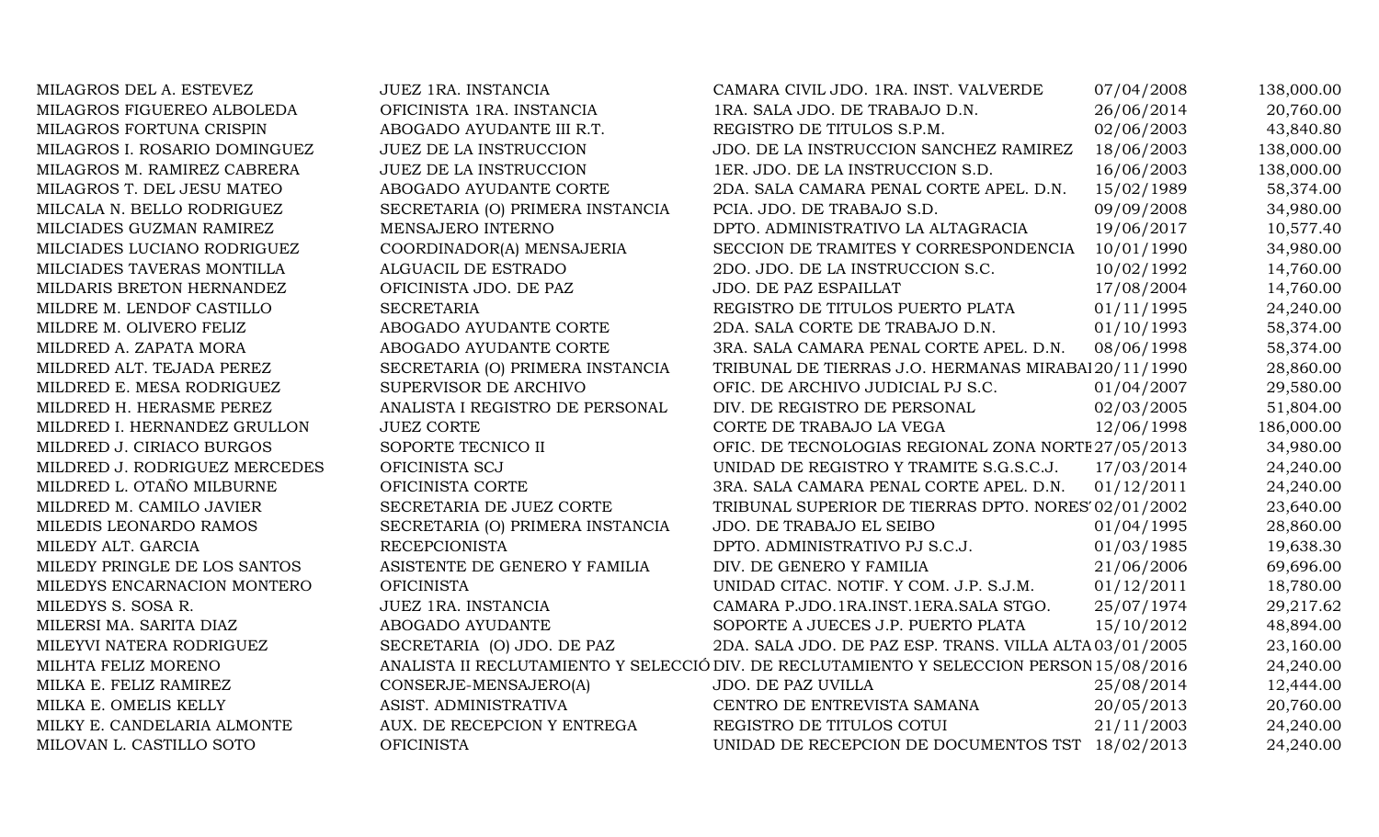| MILAGROS DEL A. ESTEVEZ       | JUEZ 1RA. INSTANCIA              | CAMARA CIVIL JDO. 1RA. INST. VALVERDE                                                    | 07/04/2008 | 138,000.00 |
|-------------------------------|----------------------------------|------------------------------------------------------------------------------------------|------------|------------|
| MILAGROS FIGUEREO ALBOLEDA    | OFICINISTA 1RA. INSTANCIA        | 1RA. SALA JDO. DE TRABAJO D.N.                                                           | 26/06/2014 | 20,760.00  |
| MILAGROS FORTUNA CRISPIN      | ABOGADO AYUDANTE III R.T.        | REGISTRO DE TITULOS S.P.M.                                                               | 02/06/2003 | 43,840.80  |
| MILAGROS I. ROSARIO DOMINGUEZ | <b>JUEZ DE LA INSTRUCCION</b>    | JDO. DE LA INSTRUCCION SANCHEZ RAMIREZ                                                   | 18/06/2003 | 138,000.00 |
| MILAGROS M. RAMIREZ CABRERA   | <b>JUEZ DE LA INSTRUCCION</b>    | 1ER. JDO. DE LA INSTRUCCION S.D.                                                         | 16/06/2003 | 138,000.00 |
| MILAGROS T. DEL JESU MATEO    | ABOGADO AYUDANTE CORTE           | 2DA. SALA CAMARA PENAL CORTE APEL. D.N.                                                  | 15/02/1989 | 58,374.00  |
| MILCALA N. BELLO RODRIGUEZ    | SECRETARIA (O) PRIMERA INSTANCIA | PCIA. JDO. DE TRABAJO S.D.                                                               | 09/09/2008 | 34,980.00  |
| MILCIADES GUZMAN RAMIREZ      | MENSAJERO INTERNO                | DPTO. ADMINISTRATIVO LA ALTAGRACIA                                                       | 19/06/2017 | 10,577.40  |
| MILCIADES LUCIANO RODRIGUEZ   | COORDINADOR(A) MENSAJERIA        | SECCION DE TRAMITES Y CORRESPONDENCIA                                                    | 10/01/1990 | 34,980.00  |
| MILCIADES TAVERAS MONTILLA    | ALGUACIL DE ESTRADO              | 2DO. JDO. DE LA INSTRUCCION S.C.                                                         | 10/02/1992 | 14,760.00  |
| MILDARIS BRETON HERNANDEZ     | OFICINISTA JDO. DE PAZ           | JDO. DE PAZ ESPAILLAT                                                                    | 17/08/2004 | 14,760.00  |
| MILDRE M. LENDOF CASTILLO     | <b>SECRETARIA</b>                | REGISTRO DE TITULOS PUERTO PLATA                                                         | 01/11/1995 | 24,240.00  |
| MILDRE M. OLIVERO FELIZ       | ABOGADO AYUDANTE CORTE           | 2DA. SALA CORTE DE TRABAJO D.N.                                                          | 01/10/1993 | 58,374.00  |
| MILDRED A. ZAPATA MORA        | ABOGADO AYUDANTE CORTE           | 3RA. SALA CAMARA PENAL CORTE APEL. D.N.                                                  | 08/06/1998 | 58,374.00  |
| MILDRED ALT. TEJADA PEREZ     | SECRETARIA (O) PRIMERA INSTANCIA | TRIBUNAL DE TIERRAS J.O. HERMANAS MIRABAI 20/11/1990                                     |            | 28,860.00  |
| MILDRED E. MESA RODRIGUEZ     | SUPERVISOR DE ARCHIVO            | OFIC. DE ARCHIVO JUDICIAL PJ S.C.                                                        | 01/04/2007 | 29,580.00  |
| MILDRED H. HERASME PEREZ      | ANALISTA I REGISTRO DE PERSONAL  | DIV. DE REGISTRO DE PERSONAL                                                             | 02/03/2005 | 51,804.00  |
| MILDRED I. HERNANDEZ GRULLON  | <b>JUEZ CORTE</b>                | CORTE DE TRABAJO LA VEGA                                                                 | 12/06/1998 | 186,000.00 |
| MILDRED J. CIRIACO BURGOS     | SOPORTE TECNICO II               | OFIC. DE TECNOLOGIAS REGIONAL ZONA NORTE 27/05/2013                                      |            | 34,980.00  |
| MILDRED J. RODRIGUEZ MERCEDES | OFICINISTA SCJ                   | UNIDAD DE REGISTRO Y TRAMITE S.G.S.C.J.                                                  | 17/03/2014 | 24,240.00  |
| MILDRED L. OTAÑO MILBURNE     | OFICINISTA CORTE                 | 3RA. SALA CAMARA PENAL CORTE APEL. D.N.                                                  | 01/12/2011 | 24,240.00  |
| MILDRED M. CAMILO JAVIER      | SECRETARIA DE JUEZ CORTE         | TRIBUNAL SUPERIOR DE TIERRAS DPTO. NORES' 02/01/2002                                     |            | 23,640.00  |
| MILEDIS LEONARDO RAMOS        | SECRETARIA (O) PRIMERA INSTANCIA | JDO. DE TRABAJO EL SEIBO                                                                 | 01/04/1995 | 28,860.00  |
| MILEDY ALT. GARCIA            | <b>RECEPCIONISTA</b>             | DPTO. ADMINISTRATIVO PJ S.C.J.                                                           | 01/03/1985 | 19,638.30  |
| MILEDY PRINGLE DE LOS SANTOS  | ASISTENTE DE GENERO Y FAMILIA    | DIV. DE GENERO Y FAMILIA                                                                 | 21/06/2006 | 69,696.00  |
| MILEDYS ENCARNACION MONTERO   | <b>OFICINISTA</b>                | UNIDAD CITAC. NOTIF. Y COM. J.P. S.J.M.                                                  | 01/12/2011 | 18,780.00  |
| MILEDYS S. SOSA R.            | JUEZ 1RA. INSTANCIA              | CAMARA P.JDO.1RA.INST.1ERA.SALA STGO.                                                    | 25/07/1974 | 29,217.62  |
| MILERSI MA. SARITA DIAZ       | ABOGADO AYUDANTE                 | SOPORTE A JUECES J.P. PUERTO PLATA                                                       | 15/10/2012 | 48,894.00  |
| MILEYVI NATERA RODRIGUEZ      | SECRETARIA (O) JDO. DE PAZ       | 2DA. SALA JDO. DE PAZ ESP. TRANS. VILLA ALTA 03/01/2005                                  |            | 23,160.00  |
| MILHTA FELIZ MORENO           |                                  | ANALISTA II RECLUTAMIENTO Y SELECCIÓ DIV. DE RECLUTAMIENTO Y SELECCION PERSON 15/08/2016 |            | 24,240.00  |
| MILKA E. FELIZ RAMIREZ        | CONSERJE-MENSAJERO(A)            | JDO. DE PAZ UVILLA                                                                       | 25/08/2014 | 12,444.00  |
| MILKA E. OMELIS KELLY         | ASIST. ADMINISTRATIVA            | CENTRO DE ENTREVISTA SAMANA                                                              | 20/05/2013 | 20,760.00  |
| MILKY E. CANDELARIA ALMONTE   | AUX. DE RECEPCION Y ENTREGA      | REGISTRO DE TITULOS COTUI                                                                | 21/11/2003 | 24,240.00  |
| MILOVAN L. CASTILLO SOTO      | <b>OFICINISTA</b>                | UNIDAD DE RECEPCION DE DOCUMENTOS TST                                                    | 18/02/2013 | 24,240.00  |
|                               |                                  |                                                                                          |            |            |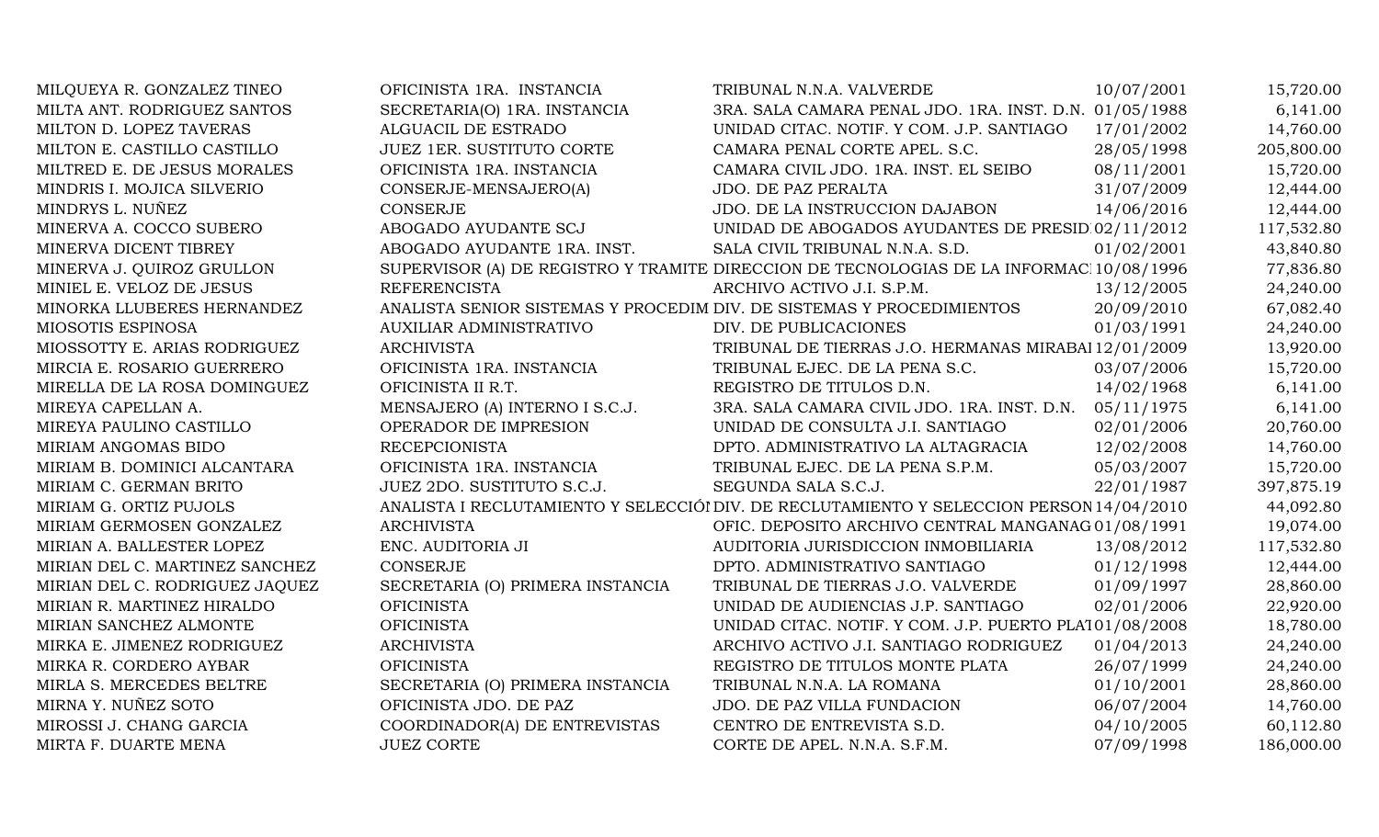| MILQUEYA R. GONZALEZ TINEO     | OFICINISTA 1RA. INSTANCIA                                             | TRIBUNAL N.N.A. VALVERDE                                                                 | 10/07/2001 | 15,720.00  |
|--------------------------------|-----------------------------------------------------------------------|------------------------------------------------------------------------------------------|------------|------------|
| MILTA ANT. RODRIGUEZ SANTOS    | SECRETARIA(O) 1RA. INSTANCIA                                          | 3RA. SALA CAMARA PENAL JDO. 1RA. INST. D.N. 01/05/1988                                   |            | 6,141.00   |
| MILTON D. LOPEZ TAVERAS        | ALGUACIL DE ESTRADO                                                   | UNIDAD CITAC. NOTIF. Y COM. J.P. SANTIAGO                                                | 17/01/2002 | 14,760.00  |
| MILTON E. CASTILLO CASTILLO    | <b>JUEZ 1ER. SUSTITUTO CORTE</b>                                      | CAMARA PENAL CORTE APEL. S.C.                                                            | 28/05/1998 | 205,800.00 |
| MILTRED E. DE JESUS MORALES    | OFICINISTA 1RA. INSTANCIA                                             | CAMARA CIVIL JDO. 1RA. INST. EL SEIBO                                                    | 08/11/2001 | 15,720.00  |
| MINDRIS I. MOJICA SILVERIO     | CONSERJE-MENSAJERO(A)                                                 | JDO. DE PAZ PERALTA                                                                      | 31/07/2009 | 12,444.00  |
| MINDRYS L. NUÑEZ               | <b>CONSERJE</b>                                                       | JDO. DE LA INSTRUCCION DAJABON                                                           | 14/06/2016 | 12,444.00  |
| MINERVA A. COCCO SUBERO        | ABOGADO AYUDANTE SCJ                                                  | UNIDAD DE ABOGADOS AYUDANTES DE PRESID 02/11/2012                                        |            | 117,532.80 |
| MINERVA DICENT TIBREY          | ABOGADO AYUDANTE 1RA. INST.                                           | SALA CIVIL TRIBUNAL N.N.A. S.D.                                                          | 01/02/2001 | 43,840.80  |
| MINERVA J. QUIROZ GRULLON      |                                                                       | SUPERVISOR (A) DE REGISTRO Y TRAMITE DIRECCION DE TECNOLOGIAS DE LA INFORMAC 10/08/1996  |            | 77,836.80  |
| MINIEL E. VELOZ DE JESUS       | <b>REFERENCISTA</b>                                                   | ARCHIVO ACTIVO J.I. S.P.M.                                                               | 13/12/2005 | 24,240.00  |
| MINORKA LLUBERES HERNANDEZ     | ANALISTA SENIOR SISTEMAS Y PROCEDIM DIV. DE SISTEMAS Y PROCEDIMIENTOS |                                                                                          | 20/09/2010 | 67,082.40  |
| MIOSOTIS ESPINOSA              | AUXILIAR ADMINISTRATIVO                                               | DIV. DE PUBLICACIONES                                                                    | 01/03/1991 | 24,240.00  |
| MIOSSOTTY E. ARIAS RODRIGUEZ   | <b>ARCHIVISTA</b>                                                     | TRIBUNAL DE TIERRAS J.O. HERMANAS MIRABAI 12/01/2009                                     |            | 13,920.00  |
| MIRCIA E. ROSARIO GUERRERO     | OFICINISTA 1RA. INSTANCIA                                             | TRIBUNAL EJEC. DE LA PENA S.C.                                                           | 03/07/2006 | 15,720.00  |
| MIRELLA DE LA ROSA DOMINGUEZ   | OFICINISTA II R.T.                                                    | REGISTRO DE TITULOS D.N.                                                                 | 14/02/1968 | 6,141.00   |
| MIREYA CAPELLAN A.             | MENSAJERO (A) INTERNO I S.C.J.                                        | 3RA. SALA CAMARA CIVIL JDO. 1RA. INST. D.N.                                              | 05/11/1975 | 6,141.00   |
| MIREYA PAULINO CASTILLO        | OPERADOR DE IMPRESION                                                 | UNIDAD DE CONSULTA J.I. SANTIAGO                                                         | 02/01/2006 | 20,760.00  |
| MIRIAM ANGOMAS BIDO            | <b>RECEPCIONISTA</b>                                                  | DPTO. ADMINISTRATIVO LA ALTAGRACIA                                                       | 12/02/2008 | 14,760.00  |
| MIRIAM B. DOMINICI ALCANTARA   | OFICINISTA 1RA. INSTANCIA                                             | TRIBUNAL EJEC. DE LA PENA S.P.M.                                                         | 05/03/2007 | 15,720.00  |
| MIRIAM C. GERMAN BRITO         | JUEZ 2DO. SUSTITUTO S.C.J.                                            | SEGUNDA SALA S.C.J.                                                                      | 22/01/1987 | 397,875.19 |
| MIRIAM G. ORTIZ PUJOLS         |                                                                       | ANALISTA I RECLUTAMIENTO Y SELECCIÓI DIV. DE RECLUTAMIENTO Y SELECCION PERSON 14/04/2010 |            | 44,092.80  |
| MIRIAM GERMOSEN GONZALEZ       | <b>ARCHIVISTA</b>                                                     | OFIC. DEPOSITO ARCHIVO CENTRAL MANGANAG 01/08/1991                                       |            | 19,074.00  |
| MIRIAN A. BALLESTER LOPEZ      | ENC. AUDITORIA JI                                                     | AUDITORIA JURISDICCION INMOBILIARIA                                                      | 13/08/2012 | 117,532.80 |
| MIRIAN DEL C. MARTINEZ SANCHEZ | <b>CONSERJE</b>                                                       | DPTO. ADMINISTRATIVO SANTIAGO                                                            | 01/12/1998 | 12,444.00  |
| MIRIAN DEL C. RODRIGUEZ JAQUEZ | SECRETARIA (O) PRIMERA INSTANCIA                                      | TRIBUNAL DE TIERRAS J.O. VALVERDE                                                        | 01/09/1997 | 28,860.00  |
| MIRIAN R. MARTINEZ HIRALDO     | <b>OFICINISTA</b>                                                     | UNIDAD DE AUDIENCIAS J.P. SANTIAGO                                                       | 02/01/2006 | 22,920.00  |
| MIRIAN SANCHEZ ALMONTE         | <b>OFICINISTA</b>                                                     | UNIDAD CITAC. NOTIF. Y COM. J.P. PUERTO PLA101/08/2008                                   |            | 18,780.00  |
| MIRKA E. JIMENEZ RODRIGUEZ     | <b>ARCHIVISTA</b>                                                     | ARCHIVO ACTIVO J.I. SANTIAGO RODRIGUEZ                                                   | 01/04/2013 | 24,240.00  |
| MIRKA R. CORDERO AYBAR         | <b>OFICINISTA</b>                                                     | REGISTRO DE TITULOS MONTE PLATA                                                          | 26/07/1999 | 24,240.00  |
| MIRLA S. MERCEDES BELTRE       | SECRETARIA (O) PRIMERA INSTANCIA                                      | TRIBUNAL N.N.A. LA ROMANA                                                                | 01/10/2001 | 28,860.00  |
| MIRNA Y. NUÑEZ SOTO            | OFICINISTA JDO. DE PAZ                                                | JDO. DE PAZ VILLA FUNDACION                                                              | 06/07/2004 | 14,760.00  |
| MIROSSI J. CHANG GARCIA        | COORDINADOR(A) DE ENTREVISTAS                                         | CENTRO DE ENTREVISTA S.D.                                                                | 04/10/2005 | 60,112.80  |
| MIRTA F. DUARTE MENA           | <b>JUEZ CORTE</b>                                                     | CORTE DE APEL. N.N.A. S.F.M.                                                             | 07/09/1998 | 186,000.00 |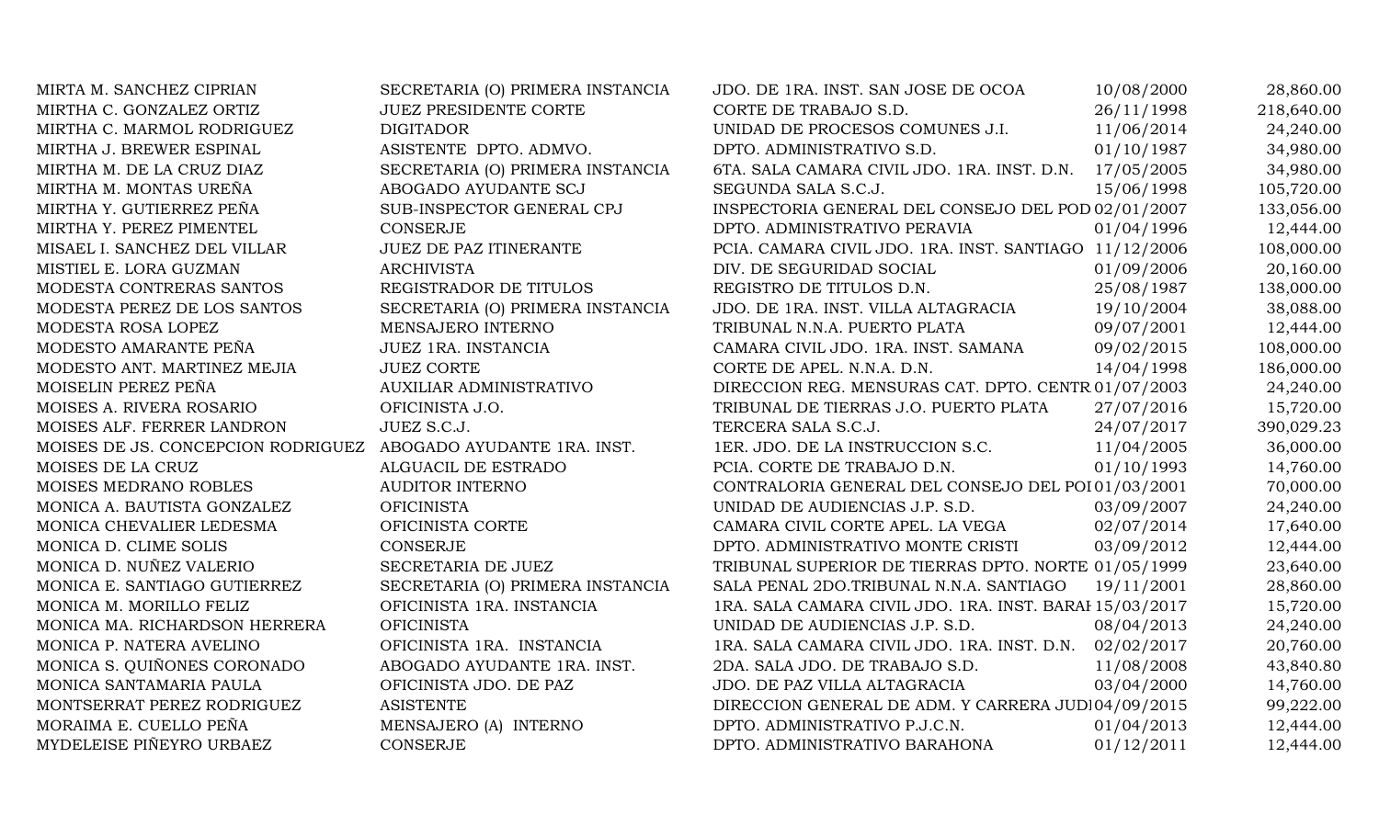| MIRTA M. SANCHEZ CIPRIAN           | SECRETARIA (O) PRIMERA INSTANCIA | JDO. DE 1RA. INST. SAN JOSE DE OCOA                     | 10/08/2000 | 28,860.00  |
|------------------------------------|----------------------------------|---------------------------------------------------------|------------|------------|
| MIRTHA C. GONZALEZ ORTIZ           | <b>JUEZ PRESIDENTE CORTE</b>     | CORTE DE TRABAJO S.D.                                   | 26/11/1998 | 218,640.00 |
| MIRTHA C. MARMOL RODRIGUEZ         | <b>DIGITADOR</b>                 | UNIDAD DE PROCESOS COMUNES J.I.                         | 11/06/2014 | 24,240.00  |
| MIRTHA J. BREWER ESPINAL           | ASISTENTE DPTO. ADMVO.           | DPTO. ADMINISTRATIVO S.D.                               | 01/10/1987 | 34,980.00  |
| MIRTHA M. DE LA CRUZ DIAZ          | SECRETARIA (O) PRIMERA INSTANCIA | 6TA. SALA CAMARA CIVIL JDO. 1RA. INST. D.N. 17/05/2005  |            | 34,980.00  |
| MIRTHA M. MONTAS UREÑA             | ABOGADO AYUDANTE SCJ             | SEGUNDA SALA S.C.J.                                     | 15/06/1998 | 105,720.00 |
| MIRTHA Y. GUTIERREZ PEÑA           | SUB-INSPECTOR GENERAL CPJ        | INSPECTORIA GENERAL DEL CONSEJO DEL POD 02/01/2007      |            | 133,056.00 |
| MIRTHA Y. PEREZ PIMENTEL           | <b>CONSERJE</b>                  | DPTO. ADMINISTRATIVO PERAVIA                            | 01/04/1996 | 12,444.00  |
| MISAEL I. SANCHEZ DEL VILLAR       | <b>JUEZ DE PAZ ITINERANTE</b>    | PCIA. CAMARA CIVIL JDO. 1RA. INST. SANTIAGO 11/12/2006  |            | 108,000.00 |
| MISTIEL E. LORA GUZMAN             | <b>ARCHIVISTA</b>                | DIV. DE SEGURIDAD SOCIAL                                | 01/09/2006 | 20,160.00  |
| MODESTA CONTRERAS SANTOS           | REGISTRADOR DE TITULOS           | REGISTRO DE TITULOS D.N.                                | 25/08/1987 | 138,000.00 |
| MODESTA PEREZ DE LOS SANTOS        | SECRETARIA (O) PRIMERA INSTANCIA | JDO. DE 1RA. INST. VILLA ALTAGRACIA                     | 19/10/2004 | 38,088.00  |
| MODESTA ROSA LOPEZ                 | MENSAJERO INTERNO                | TRIBUNAL N.N.A. PUERTO PLATA                            | 09/07/2001 | 12,444.00  |
| MODESTO AMARANTE PEÑA              | JUEZ 1RA. INSTANCIA              | CAMARA CIVIL JDO. 1RA. INST. SAMANA                     | 09/02/2015 | 108,000.00 |
| MODESTO ANT. MARTINEZ MEJIA        | <b>JUEZ CORTE</b>                | CORTE DE APEL. N.N.A. D.N.                              | 14/04/1998 | 186,000.00 |
| MOISELIN PEREZ PEÑA                | <b>AUXILIAR ADMINISTRATIVO</b>   | DIRECCION REG. MENSURAS CAT. DPTO. CENTR 01/07/2003     |            | 24,240.00  |
| MOISES A. RIVERA ROSARIO           | OFICINISTA J.O.                  | TRIBUNAL DE TIERRAS J.O. PUERTO PLATA                   | 27/07/2016 | 15,720.00  |
| MOISES ALF. FERRER LANDRON         | JUEZ S.C.J.                      | TERCERA SALA S.C.J.                                     | 24/07/2017 | 390,029.23 |
| MOISES DE JS. CONCEPCION RODRIGUEZ | ABOGADO AYUDANTE 1RA. INST.      | 1ER. JDO. DE LA INSTRUCCION S.C.                        | 11/04/2005 | 36,000.00  |
| MOISES DE LA CRUZ                  | ALGUACIL DE ESTRADO              | PCIA. CORTE DE TRABAJO D.N.                             | 01/10/1993 | 14,760.00  |
| MOISES MEDRANO ROBLES              | <b>AUDITOR INTERNO</b>           | CONTRALORIA GENERAL DEL CONSEJO DEL POI 01/03/2001      |            | 70,000.00  |
| MONICA A. BAUTISTA GONZALEZ        | <b>OFICINISTA</b>                | UNIDAD DE AUDIENCIAS J.P. S.D.                          | 03/09/2007 | 24,240.00  |
| MONICA CHEVALIER LEDESMA           | OFICINISTA CORTE                 | CAMARA CIVIL CORTE APEL. LA VEGA                        | 02/07/2014 | 17,640.00  |
| MONICA D. CLIME SOLIS              | <b>CONSERJE</b>                  | DPTO. ADMINISTRATIVO MONTE CRISTI                       | 03/09/2012 | 12,444.00  |
| MONICA D. NUÑEZ VALERIO            | SECRETARIA DE JUEZ               | TRIBUNAL SUPERIOR DE TIERRAS DPTO. NORTE 01/05/1999     |            | 23,640.00  |
| MONICA E. SANTIAGO GUTIERREZ       | SECRETARIA (O) PRIMERA INSTANCIA | SALA PENAL 2DO.TRIBUNAL N.N.A. SANTIAGO                 | 19/11/2001 | 28,860.00  |
| MONICA M. MORILLO FELIZ            | OFICINISTA 1RA. INSTANCIA        | 1RA. SALA CAMARA CIVIL JDO. 1RA. INST. BARAI 15/03/2017 |            | 15,720.00  |
| MONICA MA. RICHARDSON HERRERA      | <b>OFICINISTA</b>                | UNIDAD DE AUDIENCIAS J.P. S.D.                          | 08/04/2013 | 24,240.00  |
| MONICA P. NATERA AVELINO           | OFICINISTA 1RA. INSTANCIA        | 1RA. SALA CAMARA CIVIL JDO. 1RA. INST. D.N.             | 02/02/2017 | 20,760.00  |
| MONICA S. QUIÑONES CORONADO        | ABOGADO AYUDANTE 1RA. INST.      | 2DA. SALA JDO. DE TRABAJO S.D.                          | 11/08/2008 | 43,840.80  |
| MONICA SANTAMARIA PAULA            | OFICINISTA JDO. DE PAZ           | JDO. DE PAZ VILLA ALTAGRACIA                            | 03/04/2000 | 14,760.00  |
| MONTSERRAT PEREZ RODRIGUEZ         | <b>ASISTENTE</b>                 | DIRECCION GENERAL DE ADM. Y CARRERA JUDI04/09/2015      |            | 99,222.00  |
| MORAIMA E. CUELLO PEÑA             | MENSAJERO (A) INTERNO            | DPTO. ADMINISTRATIVO P.J.C.N.                           | 01/04/2013 | 12,444.00  |
| MYDELEISE PIÑEYRO URBAEZ           | <b>CONSERJE</b>                  | DPTO. ADMINISTRATIVO BARAHONA                           | 01/12/2011 | 12,444.00  |
|                                    |                                  |                                                         |            |            |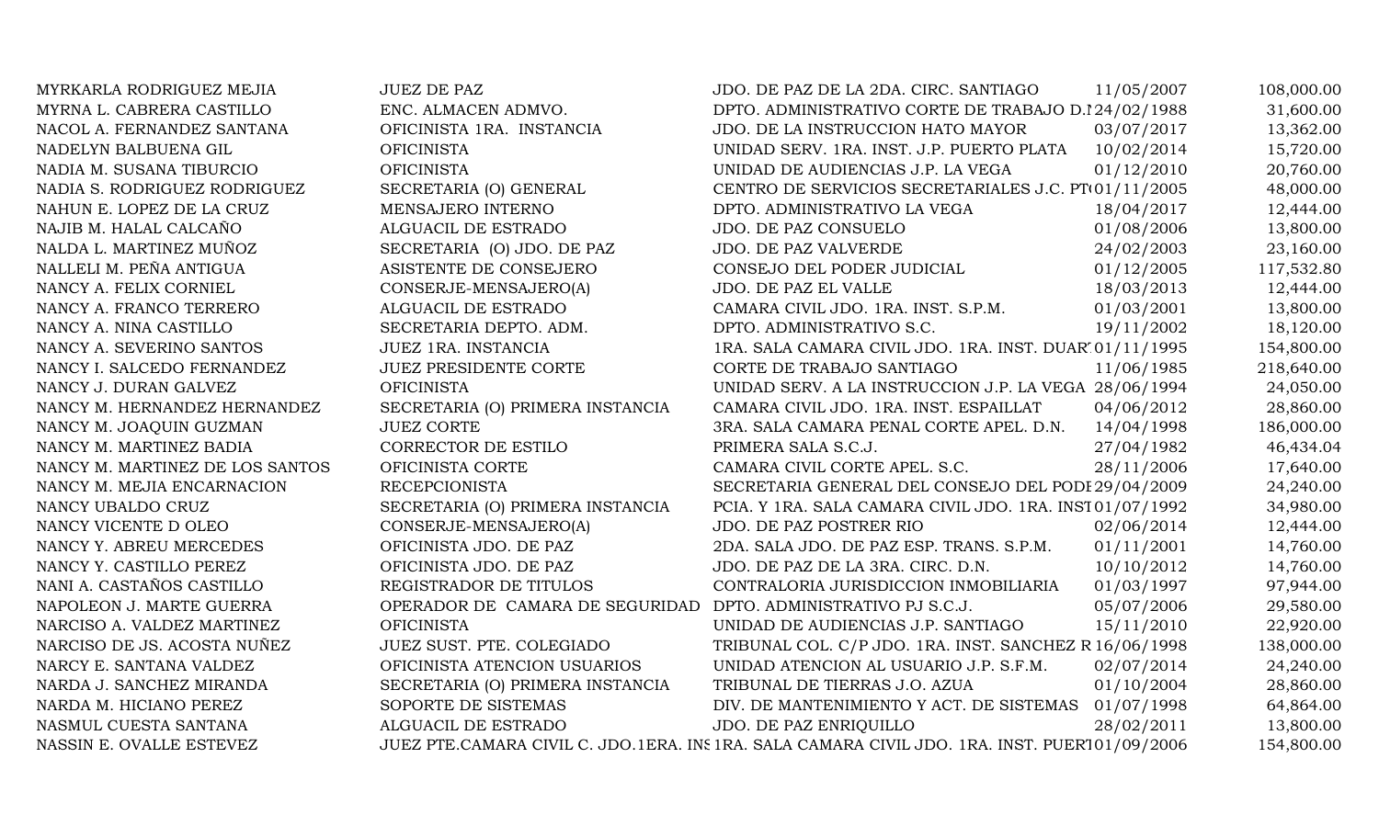| MYRKARLA RODRIGUEZ MEJIA        | <b>JUEZ DE PAZ</b>               | JDO. DE PAZ DE LA 2DA. CIRC. SANTIAGO                                                         | 11/05/2007 | 108,000.00 |
|---------------------------------|----------------------------------|-----------------------------------------------------------------------------------------------|------------|------------|
| MYRNA L. CABRERA CASTILLO       | ENC. ALMACEN ADMVO.              | DPTO. ADMINISTRATIVO CORTE DE TRABAJO D.I24/02/1988                                           |            | 31,600.00  |
| NACOL A. FERNANDEZ SANTANA      | OFICINISTA 1RA. INSTANCIA        | JDO. DE LA INSTRUCCION HATO MAYOR                                                             | 03/07/2017 | 13,362.00  |
| NADELYN BALBUENA GIL            | <b>OFICINISTA</b>                | UNIDAD SERV. 1RA. INST. J.P. PUERTO PLATA                                                     | 10/02/2014 | 15,720.00  |
| NADIA M. SUSANA TIBURCIO        | <b>OFICINISTA</b>                | UNIDAD DE AUDIENCIAS J.P. LA VEGA                                                             | 01/12/2010 | 20,760.00  |
| NADIA S. RODRIGUEZ RODRIGUEZ    | SECRETARIA (O) GENERAL           | CENTRO DE SERVICIOS SECRETARIALES J.C. PT01/11/2005                                           |            | 48,000.00  |
| NAHUN E. LOPEZ DE LA CRUZ       | MENSAJERO INTERNO                | DPTO. ADMINISTRATIVO LA VEGA                                                                  | 18/04/2017 | 12,444.00  |
| NAJIB M. HALAL CALCAÑO          | ALGUACIL DE ESTRADO              | JDO. DE PAZ CONSUELO                                                                          | 01/08/2006 | 13,800.00  |
| NALDA L. MARTINEZ MUÑOZ         | SECRETARIA (O) JDO. DE PAZ       | JDO. DE PAZ VALVERDE                                                                          | 24/02/2003 | 23,160.00  |
| NALLELI M. PEÑA ANTIGUA         | ASISTENTE DE CONSEJERO           | CONSEJO DEL PODER JUDICIAL                                                                    | 01/12/2005 | 117,532.80 |
| NANCY A. FELIX CORNIEL          | CONSERJE-MENSAJERO(A)            | JDO. DE PAZ EL VALLE                                                                          | 18/03/2013 | 12,444.00  |
| NANCY A. FRANCO TERRERO         | ALGUACIL DE ESTRADO              | CAMARA CIVIL JDO. 1RA. INST. S.P.M.                                                           | 01/03/2001 | 13,800.00  |
| NANCY A. NINA CASTILLO          | SECRETARIA DEPTO. ADM.           | DPTO. ADMINISTRATIVO S.C.                                                                     | 19/11/2002 | 18,120.00  |
| NANCY A. SEVERINO SANTOS        | JUEZ 1RA. INSTANCIA              | 1RA. SALA CAMARA CIVIL JDO. 1RA. INST. DUAR 01/11/1995                                        |            | 154,800.00 |
| NANCY I. SALCEDO FERNANDEZ      | <b>JUEZ PRESIDENTE CORTE</b>     | CORTE DE TRABAJO SANTIAGO                                                                     | 11/06/1985 | 218,640.00 |
| NANCY J. DURAN GALVEZ           | <b>OFICINISTA</b>                | UNIDAD SERV. A LA INSTRUCCION J.P. LA VEGA 28/06/1994                                         |            | 24,050.00  |
| NANCY M. HERNANDEZ HERNANDEZ    | SECRETARIA (O) PRIMERA INSTANCIA | CAMARA CIVIL JDO. 1RA. INST. ESPAILLAT                                                        | 04/06/2012 | 28,860.00  |
| NANCY M. JOAQUIN GUZMAN         | <b>JUEZ CORTE</b>                | 3RA. SALA CAMARA PENAL CORTE APEL. D.N.                                                       | 14/04/1998 | 186,000.00 |
| NANCY M. MARTINEZ BADIA         | CORRECTOR DE ESTILO              | PRIMERA SALA S.C.J.                                                                           | 27/04/1982 | 46,434.04  |
| NANCY M. MARTINEZ DE LOS SANTOS | OFICINISTA CORTE                 | CAMARA CIVIL CORTE APEL. S.C.                                                                 | 28/11/2006 | 17,640.00  |
| NANCY M. MEJIA ENCARNACION      | <b>RECEPCIONISTA</b>             | SECRETARIA GENERAL DEL CONSEJO DEL PODI 29/04/2009                                            |            | 24,240.00  |
| NANCY UBALDO CRUZ               | SECRETARIA (O) PRIMERA INSTANCIA | PCIA. Y 1RA. SALA CAMARA CIVIL JDO. 1RA. INST01/07/1992                                       |            | 34,980.00  |
| NANCY VICENTE D OLEO            | CONSERJE-MENSAJERO(A)            | JDO. DE PAZ POSTRER RIO                                                                       | 02/06/2014 | 12,444.00  |
| NANCY Y. ABREU MERCEDES         | OFICINISTA JDO. DE PAZ           | 2DA. SALA JDO. DE PAZ ESP. TRANS. S.P.M.                                                      | 01/11/2001 | 14,760.00  |
| NANCY Y. CASTILLO PEREZ         | OFICINISTA JDO. DE PAZ           | JDO. DE PAZ DE LA 3RA. CIRC. D.N.                                                             | 10/10/2012 | 14,760.00  |
| NANI A. CASTAÑOS CASTILLO       | REGISTRADOR DE TITULOS           | CONTRALORIA JURISDICCION INMOBILIARIA                                                         | 01/03/1997 | 97,944.00  |
| NAPOLEON J. MARTE GUERRA        | OPERADOR DE CAMARA DE SEGURIDAD  | DPTO. ADMINISTRATIVO PJ S.C.J.                                                                | 05/07/2006 | 29,580.00  |
| NARCISO A. VALDEZ MARTINEZ      | <b>OFICINISTA</b>                | UNIDAD DE AUDIENCIAS J.P. SANTIAGO                                                            | 15/11/2010 | 22,920.00  |
| NARCISO DE JS. ACOSTA NUÑEZ     | JUEZ SUST. PTE. COLEGIADO        | TRIBUNAL COL. C/P JDO. 1RA. INST. SANCHEZ R 16/06/1998                                        |            | 138,000.00 |
| NARCY E. SANTANA VALDEZ         | OFICINISTA ATENCION USUARIOS     | UNIDAD ATENCION AL USUARIO J.P. S.F.M.                                                        | 02/07/2014 | 24,240.00  |
| NARDA J. SANCHEZ MIRANDA        | SECRETARIA (O) PRIMERA INSTANCIA | TRIBUNAL DE TIERRAS J.O. AZUA                                                                 | 01/10/2004 | 28,860.00  |
| NARDA M. HICIANO PEREZ          | SOPORTE DE SISTEMAS              | DIV. DE MANTENIMIENTO Y ACT. DE SISTEMAS 01/07/1998                                           |            | 64,864.00  |
| NASMUL CUESTA SANTANA           | ALGUACIL DE ESTRADO              | JDO. DE PAZ ENRIQUILLO                                                                        | 28/02/2011 | 13,800.00  |
| NASSIN E. OVALLE ESTEVEZ        |                                  | JUEZ PTE.CAMARA CIVIL C. JDO.1ERA. INS 1RA. SALA CAMARA CIVIL JDO. 1RA. INST. PUER101/09/2006 |            | 154,800.00 |
|                                 |                                  |                                                                                               |            |            |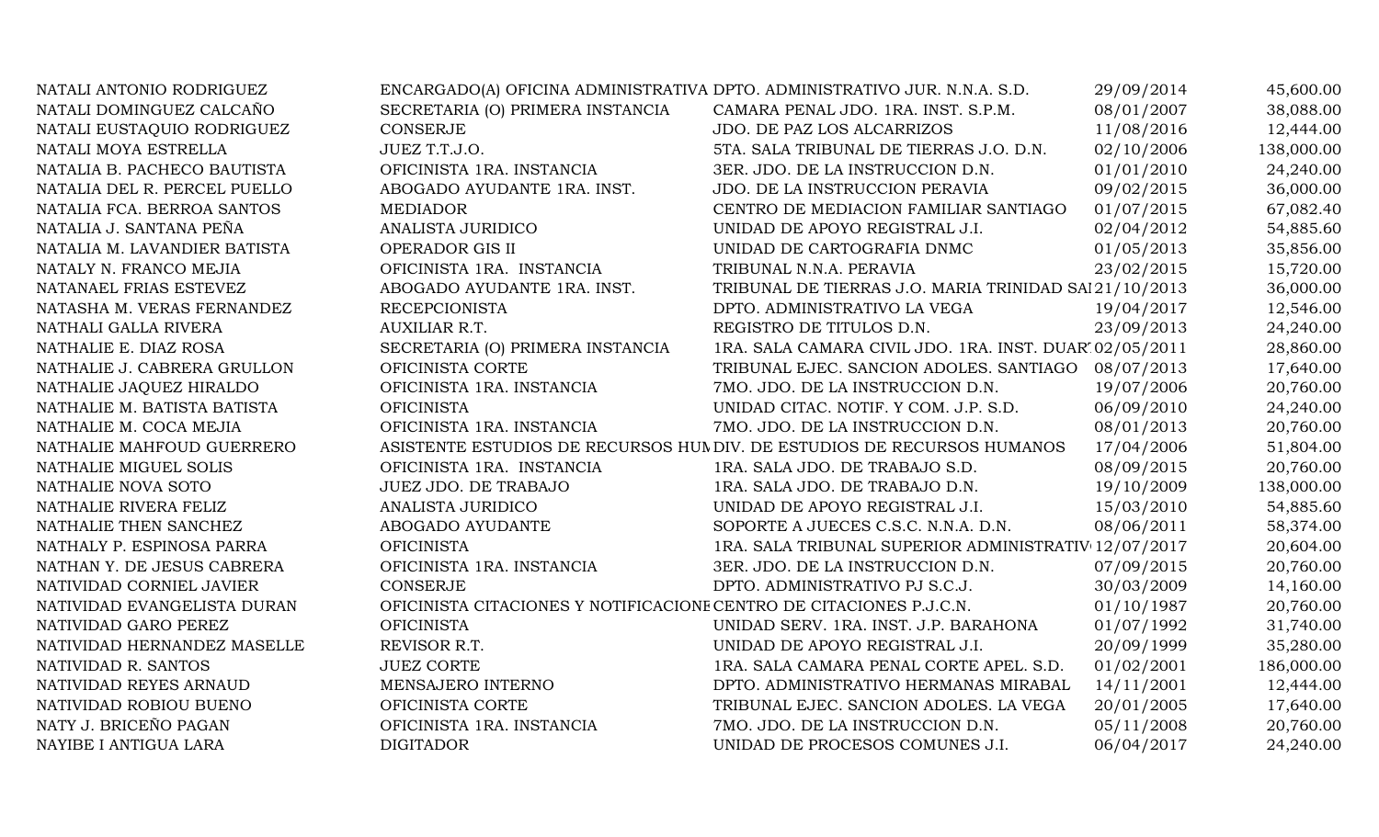| NATALI ANTONIO RODRIGUEZ     |                                                                     | ENCARGADO(A) OFICINA ADMINISTRATIVA DPTO. ADMINISTRATIVO JUR. N.N.A. S.D. | 29/09/2014 | 45,600.00  |
|------------------------------|---------------------------------------------------------------------|---------------------------------------------------------------------------|------------|------------|
| NATALI DOMINGUEZ CALCAÑO     | SECRETARIA (O) PRIMERA INSTANCIA                                    | CAMARA PENAL JDO. 1RA. INST. S.P.M.                                       | 08/01/2007 | 38,088.00  |
| NATALI EUSTAQUIO RODRIGUEZ   | <b>CONSERJE</b>                                                     | JDO. DE PAZ LOS ALCARRIZOS                                                | 11/08/2016 | 12,444.00  |
| NATALI MOYA ESTRELLA         | JUEZ T.T.J.O.                                                       | 5TA. SALA TRIBUNAL DE TIERRAS J.O. D.N.                                   | 02/10/2006 | 138,000.00 |
| NATALIA B. PACHECO BAUTISTA  | OFICINISTA 1RA. INSTANCIA                                           | 3ER. JDO. DE LA INSTRUCCION D.N.                                          | 01/01/2010 | 24,240.00  |
| NATALIA DEL R. PERCEL PUELLO | ABOGADO AYUDANTE 1RA. INST.                                         | JDO. DE LA INSTRUCCION PERAVIA                                            | 09/02/2015 | 36,000.00  |
| NATALIA FCA. BERROA SANTOS   | <b>MEDIADOR</b>                                                     | CENTRO DE MEDIACION FAMILIAR SANTIAGO                                     | 01/07/2015 | 67,082.40  |
| NATALIA J. SANTANA PEÑA      | ANALISTA JURIDICO                                                   | UNIDAD DE APOYO REGISTRAL J.I.                                            | 02/04/2012 | 54,885.60  |
| NATALIA M. LAVANDIER BATISTA | OPERADOR GIS II                                                     | UNIDAD DE CARTOGRAFIA DNMC                                                | 01/05/2013 | 35,856.00  |
| NATALY N. FRANCO MEJIA       | OFICINISTA 1RA. INSTANCIA                                           | TRIBUNAL N.N.A. PERAVIA                                                   | 23/02/2015 | 15,720.00  |
| NATANAEL FRIAS ESTEVEZ       | ABOGADO AYUDANTE 1RA. INST.                                         | TRIBUNAL DE TIERRAS J.O. MARIA TRINIDAD SA121/10/2013                     |            | 36,000.00  |
| NATASHA M. VERAS FERNANDEZ   | <b>RECEPCIONISTA</b>                                                | DPTO. ADMINISTRATIVO LA VEGA                                              | 19/04/2017 | 12,546.00  |
| NATHALI GALLA RIVERA         | AUXILIAR R.T.                                                       | REGISTRO DE TITULOS D.N.                                                  | 23/09/2013 | 24,240.00  |
| NATHALIE E. DIAZ ROSA        | SECRETARIA (O) PRIMERA INSTANCIA                                    | 1RA. SALA CAMARA CIVIL JDO. 1RA. INST. DUAR' 02/05/2011                   |            | 28,860.00  |
| NATHALIE J. CABRERA GRULLON  | OFICINISTA CORTE                                                    | TRIBUNAL EJEC. SANCION ADOLES. SANTIAGO 08/07/2013                        |            | 17,640.00  |
| NATHALIE JAQUEZ HIRALDO      | OFICINISTA 1RA. INSTANCIA                                           | 7MO. JDO. DE LA INSTRUCCION D.N.                                          | 19/07/2006 | 20,760.00  |
| NATHALIE M. BATISTA BATISTA  | <b>OFICINISTA</b>                                                   | UNIDAD CITAC. NOTIF. Y COM. J.P. S.D.                                     | 06/09/2010 | 24,240.00  |
| NATHALIE M. COCA MEJIA       | OFICINISTA 1RA. INSTANCIA                                           | 7MO. JDO. DE LA INSTRUCCION D.N.                                          | 08/01/2013 | 20,760.00  |
| NATHALIE MAHFOUD GUERRERO    |                                                                     | ASISTENTE ESTUDIOS DE RECURSOS HUM DIV. DE ESTUDIOS DE RECURSOS HUMANOS   | 17/04/2006 | 51,804.00  |
| NATHALIE MIGUEL SOLIS        | OFICINISTA 1RA. INSTANCIA                                           | 1RA. SALA JDO. DE TRABAJO S.D.                                            | 08/09/2015 | 20,760.00  |
| NATHALIE NOVA SOTO           | JUEZ JDO. DE TRABAJO                                                | 1RA. SALA JDO. DE TRABAJO D.N.                                            | 19/10/2009 | 138,000.00 |
| NATHALIE RIVERA FELIZ        | ANALISTA JURIDICO                                                   | UNIDAD DE APOYO REGISTRAL J.I.                                            | 15/03/2010 | 54,885.60  |
| NATHALIE THEN SANCHEZ        | ABOGADO AYUDANTE                                                    | SOPORTE A JUECES C.S.C. N.N.A. D.N.                                       | 08/06/2011 | 58,374.00  |
| NATHALY P. ESPINOSA PARRA    | <b>OFICINISTA</b>                                                   | 1RA. SALA TRIBUNAL SUPERIOR ADMINISTRATIV 12/07/2017                      |            | 20,604.00  |
| NATHAN Y. DE JESUS CABRERA   | OFICINISTA 1RA. INSTANCIA                                           | 3ER. JDO. DE LA INSTRUCCION D.N.                                          | 07/09/2015 | 20,760.00  |
| NATIVIDAD CORNIEL JAVIER     | <b>CONSERJE</b>                                                     | DPTO. ADMINISTRATIVO PJ S.C.J.                                            | 30/03/2009 | 14,160.00  |
| NATIVIDAD EVANGELISTA DURAN  | OFICINISTA CITACIONES Y NOTIFICACIONE CENTRO DE CITACIONES P.J.C.N. |                                                                           | 01/10/1987 | 20,760.00  |
| NATIVIDAD GARO PEREZ         | <b>OFICINISTA</b>                                                   | UNIDAD SERV. 1RA. INST. J.P. BARAHONA                                     | 01/07/1992 | 31,740.00  |
| NATIVIDAD HERNANDEZ MASELLE  | REVISOR R.T.                                                        | UNIDAD DE APOYO REGISTRAL J.I.                                            | 20/09/1999 | 35,280.00  |
| NATIVIDAD R. SANTOS          | <b>JUEZ CORTE</b>                                                   | 1RA. SALA CAMARA PENAL CORTE APEL. S.D.                                   | 01/02/2001 | 186,000.00 |
| NATIVIDAD REYES ARNAUD       | MENSAJERO INTERNO                                                   | DPTO. ADMINISTRATIVO HERMANAS MIRABAL                                     | 14/11/2001 | 12,444.00  |
| NATIVIDAD ROBIOU BUENO       | OFICINISTA CORTE                                                    | TRIBUNAL EJEC. SANCION ADOLES. LA VEGA                                    | 20/01/2005 | 17,640.00  |
| NATY J. BRICEÑO PAGAN        | OFICINISTA 1RA. INSTANCIA                                           | 7MO. JDO. DE LA INSTRUCCION D.N.                                          | 05/11/2008 | 20,760.00  |
| NAYIBE I ANTIGUA LARA        | <b>DIGITADOR</b>                                                    | UNIDAD DE PROCESOS COMUNES J.I.                                           | 06/04/2017 | 24,240.00  |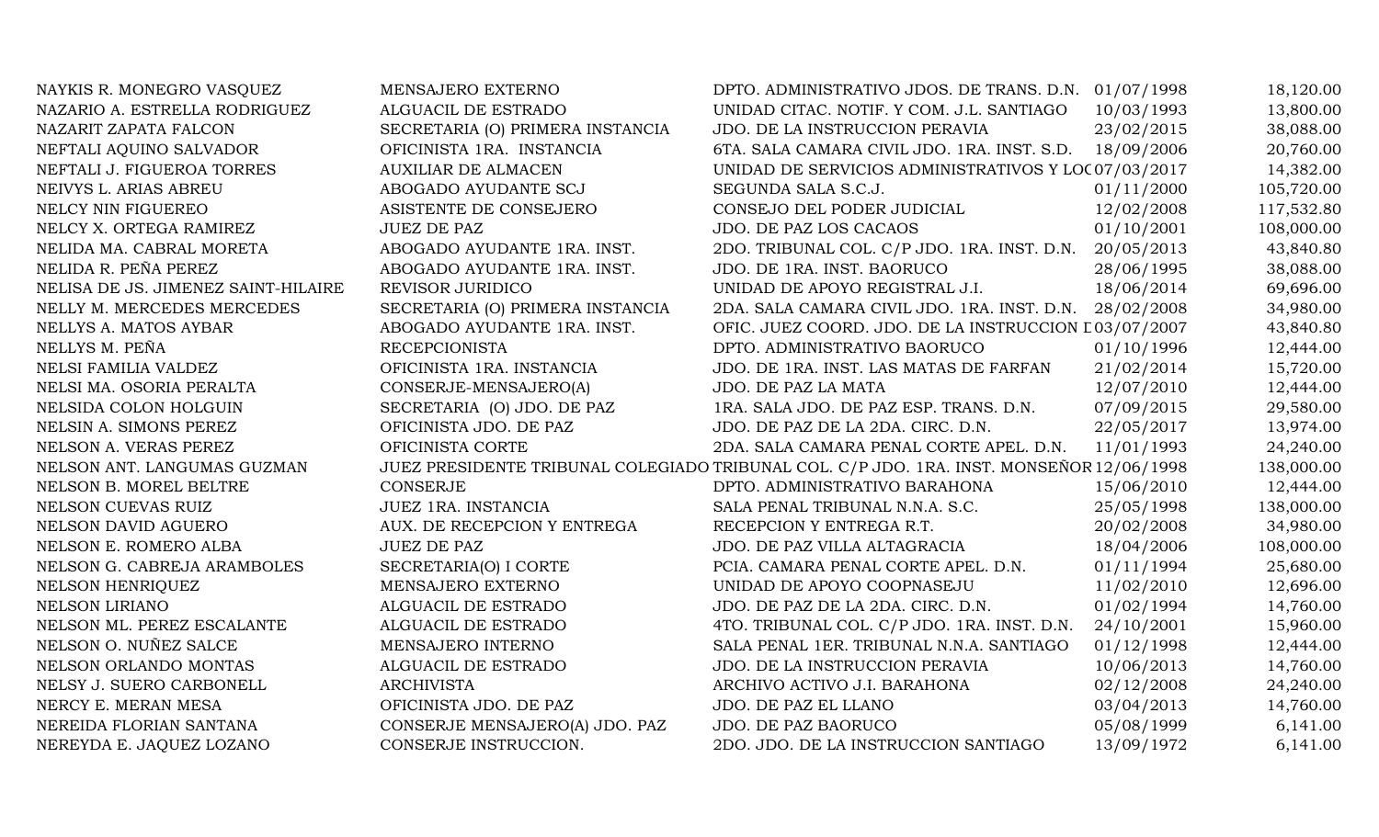| NAYKIS R. MONEGRO VASQUEZ           | MENSAJERO EXTERNO                | DPTO. ADMINISTRATIVO JDOS. DE TRANS. D.N. 01/07/1998                                     |            | 18,120.00  |
|-------------------------------------|----------------------------------|------------------------------------------------------------------------------------------|------------|------------|
| NAZARIO A. ESTRELLA RODRIGUEZ       | ALGUACIL DE ESTRADO              | UNIDAD CITAC. NOTIF. Y COM. J.L. SANTIAGO                                                | 10/03/1993 | 13,800.00  |
| NAZARIT ZAPATA FALCON               | SECRETARIA (O) PRIMERA INSTANCIA | JDO. DE LA INSTRUCCION PERAVIA                                                           | 23/02/2015 | 38,088.00  |
| NEFTALI AQUINO SALVADOR             | OFICINISTA 1RA. INSTANCIA        | 6TA. SALA CAMARA CIVIL JDO. 1RA. INST. S.D.                                              | 18/09/2006 | 20,760.00  |
| NEFTALI J. FIGUEROA TORRES          | <b>AUXILIAR DE ALMACEN</b>       | UNIDAD DE SERVICIOS ADMINISTRATIVOS Y LOC 07/03/2017                                     |            | 14,382.00  |
| NEIVYS L. ARIAS ABREU               | ABOGADO AYUDANTE SCJ             | SEGUNDA SALA S.C.J.                                                                      | 01/11/2000 | 105,720.00 |
| NELCY NIN FIGUEREO                  | ASISTENTE DE CONSEJERO           | CONSEJO DEL PODER JUDICIAL                                                               | 12/02/2008 | 117,532.80 |
| NELCY X. ORTEGA RAMIREZ             | <b>JUEZ DE PAZ</b>               | JDO. DE PAZ LOS CACAOS                                                                   | 01/10/2001 | 108,000.00 |
| NELIDA MA. CABRAL MORETA            | ABOGADO AYUDANTE 1RA. INST.      | 2DO. TRIBUNAL COL. C/P JDO. 1RA. INST. D.N.                                              | 20/05/2013 | 43,840.80  |
| NELIDA R. PEÑA PEREZ                | ABOGADO AYUDANTE 1RA. INST.      | JDO. DE 1RA. INST. BAORUCO                                                               | 28/06/1995 | 38,088.00  |
| NELISA DE JS. JIMENEZ SAINT-HILAIRE | REVISOR JURIDICO                 | UNIDAD DE APOYO REGISTRAL J.I.                                                           | 18/06/2014 | 69,696.00  |
| NELLY M. MERCEDES MERCEDES          | SECRETARIA (O) PRIMERA INSTANCIA | 2DA. SALA CAMARA CIVIL JDO. 1RA. INST. D.N.                                              | 28/02/2008 | 34,980.00  |
| NELLYS A. MATOS AYBAR               | ABOGADO AYUDANTE 1RA. INST.      | OFIC. JUEZ COORD. JDO. DE LA INSTRUCCION L03/07/2007                                     |            | 43,840.80  |
| NELLYS M. PEÑA                      | <b>RECEPCIONISTA</b>             | DPTO. ADMINISTRATIVO BAORUCO                                                             | 01/10/1996 | 12,444.00  |
| NELSI FAMILIA VALDEZ                | OFICINISTA 1RA. INSTANCIA        | JDO. DE 1RA. INST. LAS MATAS DE FARFAN                                                   | 21/02/2014 | 15,720.00  |
| NELSI MA. OSORIA PERALTA            | CONSERJE-MENSAJERO(A)            | JDO. DE PAZ LA MATA                                                                      | 12/07/2010 | 12,444.00  |
| NELSIDA COLON HOLGUIN               | SECRETARIA (O) JDO. DE PAZ       | 1RA. SALA JDO. DE PAZ ESP. TRANS. D.N.                                                   | 07/09/2015 | 29,580.00  |
| NELSIN A. SIMONS PEREZ              | OFICINISTA JDO. DE PAZ           | JDO. DE PAZ DE LA 2DA. CIRC. D.N.                                                        | 22/05/2017 | 13,974.00  |
| NELSON A. VERAS PEREZ               | OFICINISTA CORTE                 | 2DA. SALA CAMARA PENAL CORTE APEL. D.N.                                                  | 11/01/1993 | 24,240.00  |
| NELSON ANT. LANGUMAS GUZMAN         |                                  | JUEZ PRESIDENTE TRIBUNAL COLEGIADO TRIBUNAL COL. C/P JDO. 1RA. INST. MONSEÑOR 12/06/1998 |            | 138,000.00 |
| NELSON B. MOREL BELTRE              | <b>CONSERJE</b>                  | DPTO. ADMINISTRATIVO BARAHONA                                                            | 15/06/2010 | 12,444.00  |
| NELSON CUEVAS RUIZ                  | JUEZ 1RA. INSTANCIA              | SALA PENAL TRIBUNAL N.N.A. S.C.                                                          | 25/05/1998 | 138,000.00 |
| NELSON DAVID AGUERO                 | AUX. DE RECEPCION Y ENTREGA      | RECEPCION Y ENTREGA R.T.                                                                 | 20/02/2008 | 34,980.00  |
| NELSON E. ROMERO ALBA               | <b>JUEZ DE PAZ</b>               | JDO. DE PAZ VILLA ALTAGRACIA                                                             | 18/04/2006 | 108,000.00 |
| NELSON G. CABREJA ARAMBOLES         | SECRETARIA(O) I CORTE            | PCIA. CAMARA PENAL CORTE APEL. D.N.                                                      | 01/11/1994 | 25,680.00  |
| NELSON HENRIQUEZ                    | MENSAJERO EXTERNO                | UNIDAD DE APOYO COOPNASEJU                                                               | 11/02/2010 | 12,696.00  |
| <b>NELSON LIRIANO</b>               | ALGUACIL DE ESTRADO              | JDO. DE PAZ DE LA 2DA. CIRC. D.N.                                                        | 01/02/1994 | 14,760.00  |
| NELSON ML. PEREZ ESCALANTE          | ALGUACIL DE ESTRADO              | 4TO. TRIBUNAL COL. C/P JDO. 1RA. INST. D.N.                                              | 24/10/2001 | 15,960.00  |
| NELSON O. NUÑEZ SALCE               | MENSAJERO INTERNO                | SALA PENAL 1ER. TRIBUNAL N.N.A. SANTIAGO                                                 | 01/12/1998 | 12,444.00  |
| NELSON ORLANDO MONTAS               | ALGUACIL DE ESTRADO              | JDO. DE LA INSTRUCCION PERAVIA                                                           | 10/06/2013 | 14,760.00  |
| NELSY J. SUERO CARBONELL            | <b>ARCHIVISTA</b>                | ARCHIVO ACTIVO J.I. BARAHONA                                                             | 02/12/2008 | 24,240.00  |
| NERCY E. MERAN MESA                 | OFICINISTA JDO. DE PAZ           | JDO. DE PAZ EL LLANO                                                                     | 03/04/2013 | 14,760.00  |
| NEREIDA FLORIAN SANTANA             | CONSERJE MENSAJERO(A) JDO. PAZ   | JDO. DE PAZ BAORUCO                                                                      | 05/08/1999 | 6,141.00   |
| NEREYDA E. JAQUEZ LOZANO            | CONSERJE INSTRUCCION.            | 2DO. JDO. DE LA INSTRUCCION SANTIAGO                                                     | 13/09/1972 | 6,141.00   |
|                                     |                                  |                                                                                          |            |            |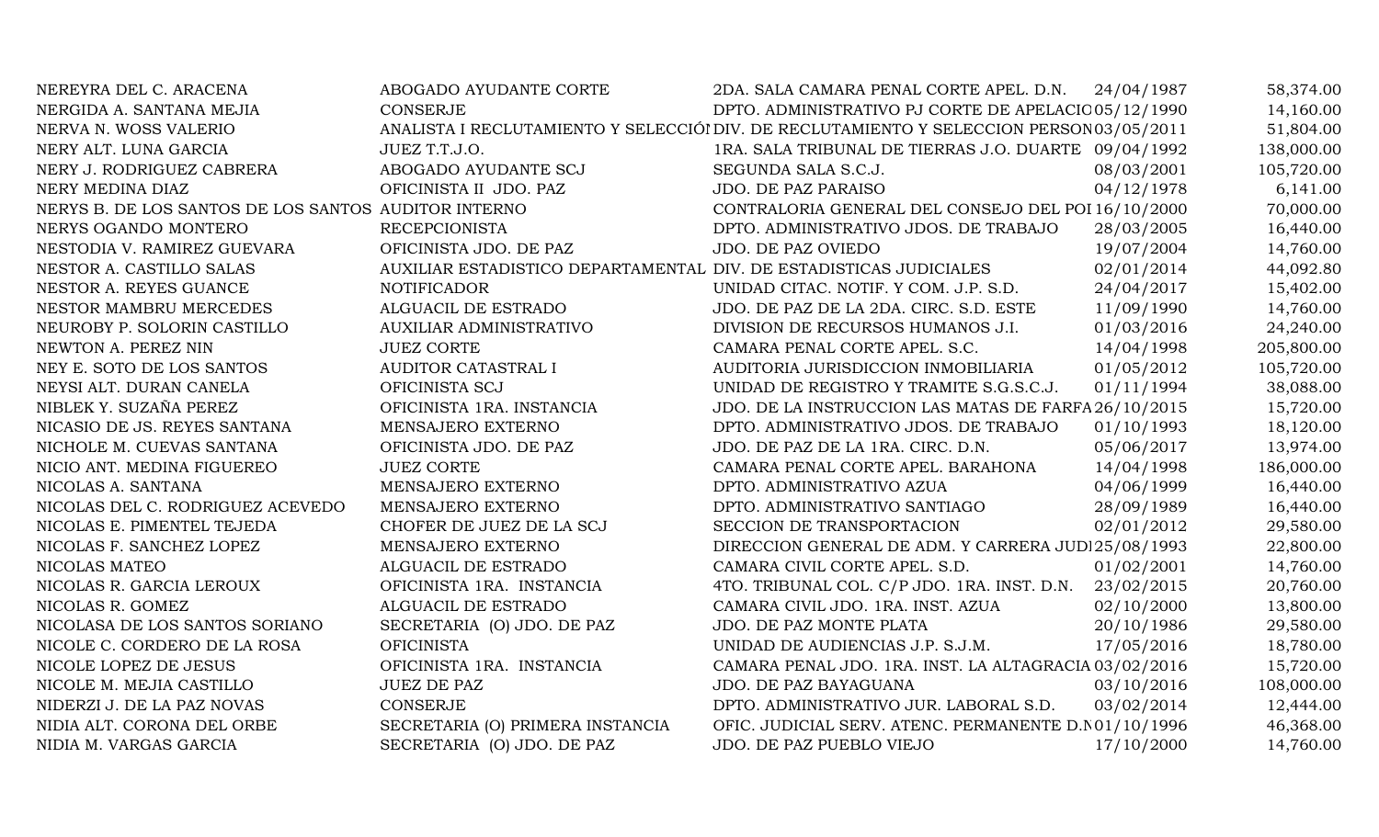| NEREYRA DEL C. ARACENA                               | ABOGADO AYUDANTE CORTE                                             | 2DA. SALA CAMARA PENAL CORTE APEL. D.N. 24/04/1987                                       |            | 58,374.00  |
|------------------------------------------------------|--------------------------------------------------------------------|------------------------------------------------------------------------------------------|------------|------------|
| NERGIDA A. SANTANA MEJIA                             | <b>CONSERJE</b>                                                    | DPTO. ADMINISTRATIVO PJ CORTE DE APELACIC 05/12/1990                                     |            | 14,160.00  |
| NERVA N. WOSS VALERIO                                |                                                                    | ANALISTA I RECLUTAMIENTO Y SELECCIÓI DIV. DE RECLUTAMIENTO Y SELECCION PERSON 03/05/2011 |            | 51,804.00  |
| NERY ALT. LUNA GARCIA                                | JUEZ T.T.J.O.                                                      | 1RA. SALA TRIBUNAL DE TIERRAS J.O. DUARTE 09/04/1992                                     |            | 138,000.00 |
| NERY J. RODRIGUEZ CABRERA                            | ABOGADO AYUDANTE SCJ                                               | SEGUNDA SALA S.C.J.                                                                      | 08/03/2001 | 105,720.00 |
| NERY MEDINA DIAZ                                     | OFICINISTA II JDO. PAZ                                             | JDO. DE PAZ PARAISO                                                                      | 04/12/1978 | 6,141.00   |
| NERYS B. DE LOS SANTOS DE LOS SANTOS AUDITOR INTERNO |                                                                    | CONTRALORIA GENERAL DEL CONSEJO DEL POI 16/10/2000                                       |            | 70,000.00  |
| NERYS OGANDO MONTERO                                 | <b>RECEPCIONISTA</b>                                               | DPTO. ADMINISTRATIVO JDOS. DE TRABAJO                                                    | 28/03/2005 | 16,440.00  |
| NESTODIA V. RAMIREZ GUEVARA                          | OFICINISTA JDO. DE PAZ                                             | JDO. DE PAZ OVIEDO                                                                       | 19/07/2004 | 14,760.00  |
| NESTOR A. CASTILLO SALAS                             | AUXILIAR ESTADISTICO DEPARTAMENTAL DIV. DE ESTADISTICAS JUDICIALES |                                                                                          | 02/01/2014 | 44,092.80  |
| NESTOR A. REYES GUANCE                               | <b>NOTIFICADOR</b>                                                 | UNIDAD CITAC. NOTIF. Y COM. J.P. S.D.                                                    | 24/04/2017 | 15,402.00  |
| NESTOR MAMBRU MERCEDES                               | ALGUACIL DE ESTRADO                                                | JDO. DE PAZ DE LA 2DA. CIRC. S.D. ESTE                                                   | 11/09/1990 | 14,760.00  |
| NEUROBY P. SOLORIN CASTILLO                          | AUXILIAR ADMINISTRATIVO                                            | DIVISION DE RECURSOS HUMANOS J.I.                                                        | 01/03/2016 | 24,240.00  |
| NEWTON A. PEREZ NIN                                  | <b>JUEZ CORTE</b>                                                  | CAMARA PENAL CORTE APEL. S.C.                                                            | 14/04/1998 | 205,800.00 |
| NEY E. SOTO DE LOS SANTOS                            | AUDITOR CATASTRAL I                                                | AUDITORIA JURISDICCION INMOBILIARIA                                                      | 01/05/2012 | 105,720.00 |
| NEYSI ALT. DURAN CANELA                              | OFICINISTA SCJ                                                     | UNIDAD DE REGISTRO Y TRAMITE S.G.S.C.J.                                                  | 01/11/1994 | 38,088.00  |
| NIBLEK Y. SUZAÑA PEREZ                               | OFICINISTA 1RA. INSTANCIA                                          | JDO. DE LA INSTRUCCION LAS MATAS DE FARFA 26/10/2015                                     |            | 15,720.00  |
| NICASIO DE JS. REYES SANTANA                         | MENSAJERO EXTERNO                                                  | DPTO. ADMINISTRATIVO JDOS. DE TRABAJO                                                    | 01/10/1993 | 18,120.00  |
| NICHOLE M. CUEVAS SANTANA                            | OFICINISTA JDO. DE PAZ                                             | JDO. DE PAZ DE LA 1RA. CIRC. D.N.                                                        | 05/06/2017 | 13,974.00  |
| NICIO ANT. MEDINA FIGUEREO                           | <b>JUEZ CORTE</b>                                                  | CAMARA PENAL CORTE APEL. BARAHONA                                                        | 14/04/1998 | 186,000.00 |
| NICOLAS A. SANTANA                                   | MENSAJERO EXTERNO                                                  | DPTO. ADMINISTRATIVO AZUA                                                                | 04/06/1999 | 16,440.00  |
| NICOLAS DEL C. RODRIGUEZ ACEVEDO                     | MENSAJERO EXTERNO                                                  | DPTO. ADMINISTRATIVO SANTIAGO                                                            | 28/09/1989 | 16,440.00  |
| NICOLAS E. PIMENTEL TEJEDA                           | CHOFER DE JUEZ DE LA SCJ                                           | SECCION DE TRANSPORTACION                                                                | 02/01/2012 | 29,580.00  |
| NICOLAS F. SANCHEZ LOPEZ                             | MENSAJERO EXTERNO                                                  | DIRECCION GENERAL DE ADM. Y CARRERA JUDI 25/08/1993                                      |            | 22,800.00  |
| NICOLAS MATEO                                        | ALGUACIL DE ESTRADO                                                | CAMARA CIVIL CORTE APEL. S.D.                                                            | 01/02/2001 | 14,760.00  |
| NICOLAS R. GARCIA LEROUX                             | OFICINISTA 1RA. INSTANCIA                                          | 4TO. TRIBUNAL COL. C/P JDO. 1RA. INST. D.N.                                              | 23/02/2015 | 20,760.00  |
| NICOLAS R. GOMEZ                                     | ALGUACIL DE ESTRADO                                                | CAMARA CIVIL JDO. 1RA. INST. AZUA                                                        | 02/10/2000 | 13,800.00  |
| NICOLASA DE LOS SANTOS SORIANO                       | SECRETARIA (O) JDO. DE PAZ                                         | JDO. DE PAZ MONTE PLATA                                                                  | 20/10/1986 | 29,580.00  |
| NICOLE C. CORDERO DE LA ROSA                         | <b>OFICINISTA</b>                                                  | UNIDAD DE AUDIENCIAS J.P. S.J.M.                                                         | 17/05/2016 | 18,780.00  |
| NICOLE LOPEZ DE JESUS                                | OFICINISTA 1RA. INSTANCIA                                          | CAMARA PENAL JDO. 1RA. INST. LA ALTAGRACIA 03/02/2016                                    |            | 15,720.00  |
| NICOLE M. MEJIA CASTILLO                             | <b>JUEZ DE PAZ</b>                                                 | JDO. DE PAZ BAYAGUANA                                                                    | 03/10/2016 | 108,000.00 |
| NIDERZI J. DE LA PAZ NOVAS                           | <b>CONSERJE</b>                                                    | DPTO. ADMINISTRATIVO JUR. LABORAL S.D.                                                   | 03/02/2014 | 12,444.00  |
| NIDIA ALT. CORONA DEL ORBE                           | SECRETARIA (O) PRIMERA INSTANCIA                                   | OFIC. JUDICIAL SERV. ATENC. PERMANENTE D.N01/10/1996                                     |            | 46,368.00  |
| NIDIA M. VARGAS GARCIA                               | SECRETARIA (O) JDO. DE PAZ                                         | <b>JDO. DE PAZ PUEBLO VIEJO</b>                                                          | 17/10/2000 | 14,760.00  |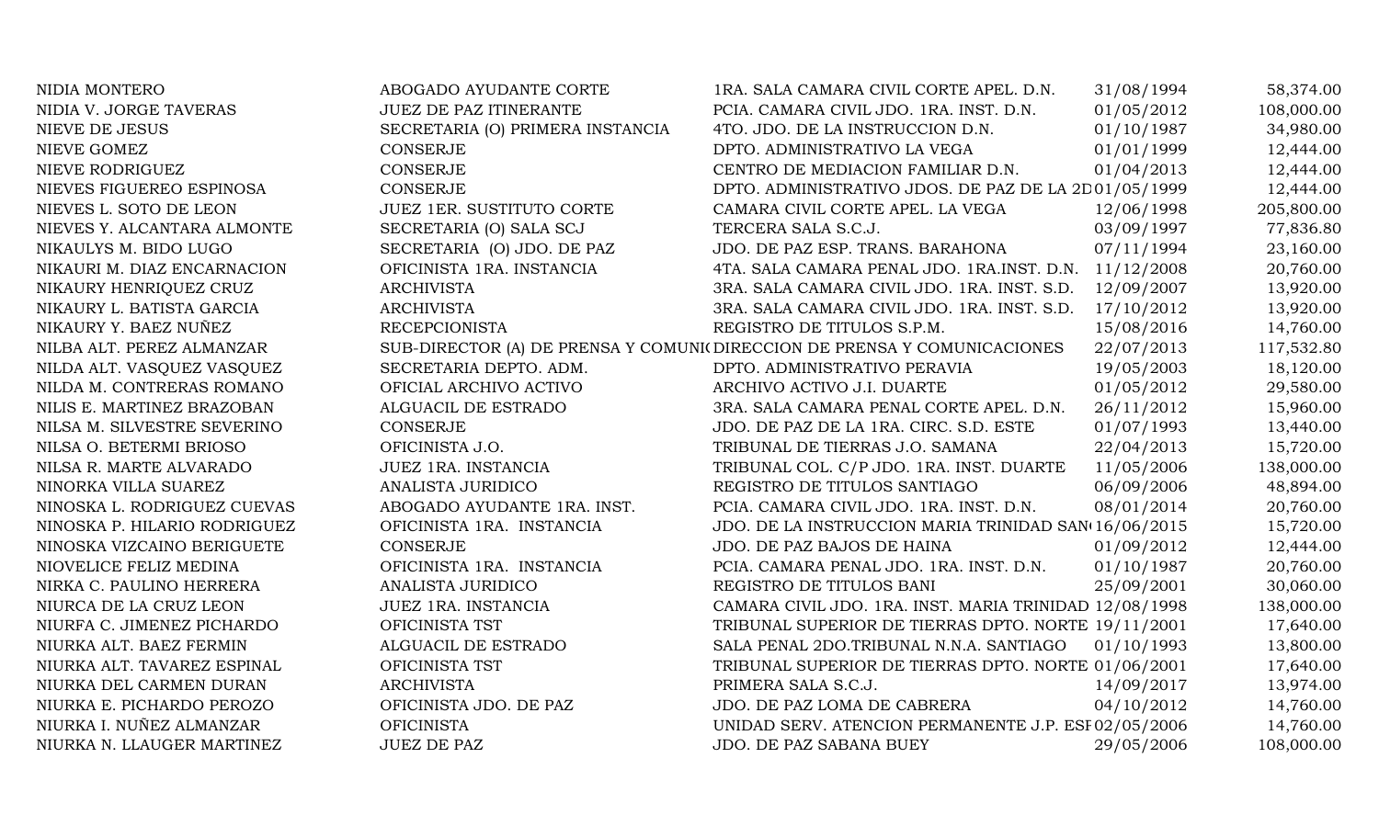| NIDIA MONTERO                | ABOGADO AYUDANTE CORTE           | 1RA. SALA CAMARA CIVIL CORTE APEL. D.N.                                  | 31/08/1994 | 58,374.00  |
|------------------------------|----------------------------------|--------------------------------------------------------------------------|------------|------------|
| NIDIA V. JORGE TAVERAS       | JUEZ DE PAZ ITINERANTE           | PCIA. CAMARA CIVIL JDO. 1RA. INST. D.N.                                  | 01/05/2012 | 108,000.00 |
| NIEVE DE JESUS               | SECRETARIA (O) PRIMERA INSTANCIA | 4TO. JDO. DE LA INSTRUCCION D.N.                                         | 01/10/1987 | 34,980.00  |
| NIEVE GOMEZ                  | <b>CONSERJE</b>                  | DPTO. ADMINISTRATIVO LA VEGA                                             | 01/01/1999 | 12,444.00  |
| NIEVE RODRIGUEZ              | <b>CONSERJE</b>                  | CENTRO DE MEDIACION FAMILIAR D.N.                                        | 01/04/2013 | 12,444.00  |
| NIEVES FIGUEREO ESPINOSA     | <b>CONSERJE</b>                  | DPTO. ADMINISTRATIVO JDOS. DE PAZ DE LA 2D01/05/1999                     |            | 12,444.00  |
| NIEVES L. SOTO DE LEON       | <b>JUEZ 1ER. SUSTITUTO CORTE</b> | CAMARA CIVIL CORTE APEL. LA VEGA                                         | 12/06/1998 | 205,800.00 |
| NIEVES Y. ALCANTARA ALMONTE  | SECRETARIA (O) SALA SCJ          | TERCERA SALA S.C.J.                                                      | 03/09/1997 | 77,836.80  |
| NIKAULYS M. BIDO LUGO        | SECRETARIA (O) JDO. DE PAZ       | JDO. DE PAZ ESP. TRANS. BARAHONA                                         | 07/11/1994 | 23,160.00  |
| NIKAURI M. DIAZ ENCARNACION  | OFICINISTA 1RA. INSTANCIA        | 4TA. SALA CAMARA PENAL JDO. 1RA.INST. D.N. 11/12/2008                    |            | 20,760.00  |
| NIKAURY HENRIQUEZ CRUZ       | <b>ARCHIVISTA</b>                | 3RA. SALA CAMARA CIVIL JDO. 1RA. INST. S.D.                              | 12/09/2007 | 13,920.00  |
| NIKAURY L. BATISTA GARCIA    | <b>ARCHIVISTA</b>                | 3RA. SALA CAMARA CIVIL JDO. 1RA. INST. S.D.                              | 17/10/2012 | 13,920.00  |
| NIKAURY Y. BAEZ NUÑEZ        | <b>RECEPCIONISTA</b>             | REGISTRO DE TITULOS S.P.M.                                               | 15/08/2016 | 14,760.00  |
| NILBA ALT. PEREZ ALMANZAR    |                                  | SUB-DIRECTOR (A) DE PRENSA Y COMUNI(DIRECCION DE PRENSA Y COMUNICACIONES | 22/07/2013 | 117,532.80 |
| NILDA ALT. VASQUEZ VASQUEZ   | SECRETARIA DEPTO. ADM.           | DPTO. ADMINISTRATIVO PERAVIA                                             | 19/05/2003 | 18,120.00  |
| NILDA M. CONTRERAS ROMANO    | OFICIAL ARCHIVO ACTIVO           | ARCHIVO ACTIVO J.I. DUARTE                                               | 01/05/2012 | 29,580.00  |
| NILIS E. MARTINEZ BRAZOBAN   | ALGUACIL DE ESTRADO              | 3RA. SALA CAMARA PENAL CORTE APEL. D.N.                                  | 26/11/2012 | 15,960.00  |
| NILSA M. SILVESTRE SEVERINO  | <b>CONSERJE</b>                  | JDO. DE PAZ DE LA 1RA. CIRC. S.D. ESTE                                   | 01/07/1993 | 13,440.00  |
| NILSA O. BETERMI BRIOSO      | OFICINISTA J.O.                  | TRIBUNAL DE TIERRAS J.O. SAMANA                                          | 22/04/2013 | 15,720.00  |
| NILSA R. MARTE ALVARADO      | JUEZ 1RA. INSTANCIA              | TRIBUNAL COL. C/P JDO. 1RA. INST. DUARTE                                 | 11/05/2006 | 138,000.00 |
| NINORKA VILLA SUAREZ         | ANALISTA JURIDICO                | REGISTRO DE TITULOS SANTIAGO                                             | 06/09/2006 | 48,894.00  |
| NINOSKA L. RODRIGUEZ CUEVAS  | ABOGADO AYUDANTE 1RA. INST.      | PCIA. CAMARA CIVIL JDO. 1RA. INST. D.N.                                  | 08/01/2014 | 20,760.00  |
| NINOSKA P. HILARIO RODRIGUEZ | OFICINISTA 1RA. INSTANCIA        | JDO. DE LA INSTRUCCION MARIA TRINIDAD SAN(16/06/2015                     |            | 15,720.00  |
| NINOSKA VIZCAINO BERIGUETE   | CONSERJE                         | JDO. DE PAZ BAJOS DE HAINA                                               | 01/09/2012 | 12,444.00  |
| NIOVELICE FELIZ MEDINA       | OFICINISTA 1RA. INSTANCIA        | PCIA. CAMARA PENAL JDO. 1RA. INST. D.N.                                  | 01/10/1987 | 20,760.00  |
| NIRKA C. PAULINO HERRERA     | ANALISTA JURIDICO                | REGISTRO DE TITULOS BANI                                                 | 25/09/2001 | 30,060.00  |
| NIURCA DE LA CRUZ LEON       | JUEZ 1RA. INSTANCIA              | CAMARA CIVIL JDO. 1RA. INST. MARIA TRINIDAD 12/08/1998                   |            | 138,000.00 |
| NIURFA C. JIMENEZ PICHARDO   | OFICINISTA TST                   | TRIBUNAL SUPERIOR DE TIERRAS DPTO. NORTE 19/11/2001                      |            | 17,640.00  |
| NIURKA ALT. BAEZ FERMIN      | ALGUACIL DE ESTRADO              | SALA PENAL 2DO.TRIBUNAL N.N.A. SANTIAGO                                  | 01/10/1993 | 13,800.00  |
| NIURKA ALT. TAVAREZ ESPINAL  | OFICINISTA TST                   | TRIBUNAL SUPERIOR DE TIERRAS DPTO. NORTE 01/06/2001                      |            | 17,640.00  |
| NIURKA DEL CARMEN DURAN      | <b>ARCHIVISTA</b>                | PRIMERA SALA S.C.J.                                                      | 14/09/2017 | 13,974.00  |
| NIURKA E. PICHARDO PEROZO    | OFICINISTA JDO. DE PAZ           | JDO. DE PAZ LOMA DE CABRERA                                              | 04/10/2012 | 14,760.00  |
| NIURKA I. NUÑEZ ALMANZAR     | <b>OFICINISTA</b>                | UNIDAD SERV. ATENCION PERMANENTE J.P. ESI 02/05/2006                     |            | 14,760.00  |
| NIURKA N. LLAUGER MARTINEZ   | <b>JUEZ DE PAZ</b>               | JDO. DE PAZ SABANA BUEY                                                  | 29/05/2006 | 108,000.00 |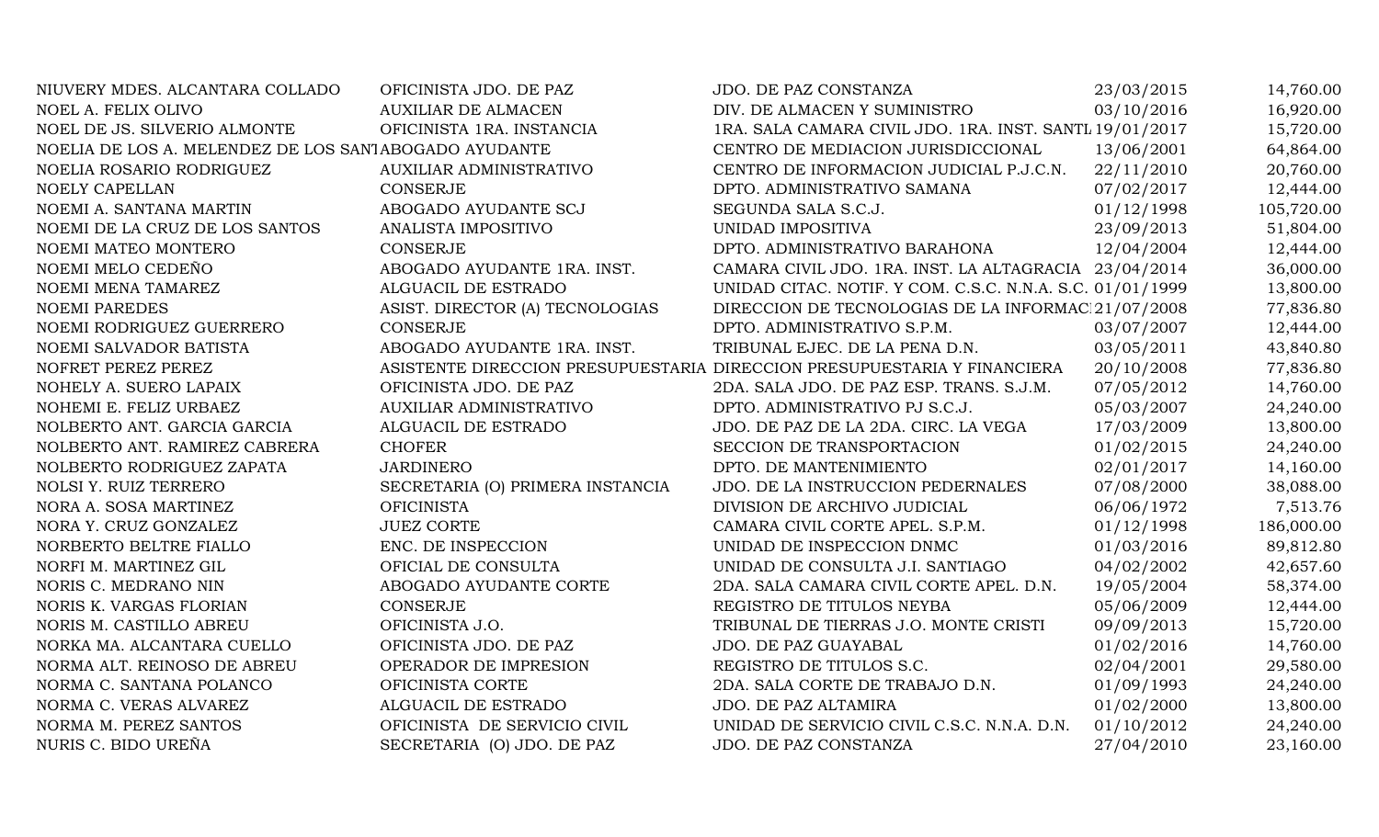| NIUVERY MDES. ALCANTARA COLLADO                       | OFICINISTA JDO. DE PAZ           | JDO. DE PAZ CONSTANZA                                                    | 23/03/2015 | 14,760.00  |
|-------------------------------------------------------|----------------------------------|--------------------------------------------------------------------------|------------|------------|
| NOEL A. FELIX OLIVO                                   | <b>AUXILIAR DE ALMACEN</b>       | DIV. DE ALMACEN Y SUMINISTRO                                             | 03/10/2016 | 16,920.00  |
| NOEL DE JS. SILVERIO ALMONTE                          | OFICINISTA 1RA. INSTANCIA        | 1RA. SALA CAMARA CIVIL JDO. 1RA. INST. SANTI 19/01/2017                  |            | 15,720.00  |
| NOELIA DE LOS A. MELENDEZ DE LOS SANJABOGADO AYUDANTE |                                  | CENTRO DE MEDIACION JURISDICCIONAL                                       | 13/06/2001 | 64,864.00  |
| NOELIA ROSARIO RODRIGUEZ                              | AUXILIAR ADMINISTRATIVO          | CENTRO DE INFORMACION JUDICIAL P.J.C.N.                                  | 22/11/2010 | 20,760.00  |
| <b>NOELY CAPELLAN</b>                                 | <b>CONSERJE</b>                  | DPTO. ADMINISTRATIVO SAMANA                                              | 07/02/2017 | 12,444.00  |
| NOEMI A. SANTANA MARTIN                               | ABOGADO AYUDANTE SCJ             | SEGUNDA SALA S.C.J.                                                      | 01/12/1998 | 105,720.00 |
| NOEMI DE LA CRUZ DE LOS SANTOS                        | ANALISTA IMPOSITIVO              | UNIDAD IMPOSITIVA                                                        | 23/09/2013 | 51,804.00  |
| NOEMI MATEO MONTERO                                   | <b>CONSERJE</b>                  | DPTO. ADMINISTRATIVO BARAHONA                                            | 12/04/2004 | 12,444.00  |
| NOEMI MELO CEDEÑO                                     | ABOGADO AYUDANTE 1RA. INST.      | CAMARA CIVIL JDO. 1RA. INST. LA ALTAGRACIA 23/04/2014                    |            | 36,000.00  |
| NOEMI MENA TAMAREZ                                    | ALGUACIL DE ESTRADO              | UNIDAD CITAC. NOTIF. Y COM. C.S.C. N.N.A. S.C. 01/01/1999                |            | 13,800.00  |
| <b>NOEMI PAREDES</b>                                  | ASIST. DIRECTOR (A) TECNOLOGIAS  | DIRECCION DE TECNOLOGIAS DE LA INFORMAC 21/07/2008                       |            | 77,836.80  |
| NOEMI RODRIGUEZ GUERRERO                              | <b>CONSERJE</b>                  | DPTO. ADMINISTRATIVO S.P.M.                                              | 03/07/2007 | 12,444.00  |
| NOEMI SALVADOR BATISTA                                | ABOGADO AYUDANTE 1RA. INST.      | TRIBUNAL EJEC. DE LA PENA D.N.                                           | 03/05/2011 | 43,840.80  |
| NOFRET PEREZ PEREZ                                    |                                  | ASISTENTE DIRECCION PRESUPUESTARIA DIRECCION PRESUPUESTARIA Y FINANCIERA | 20/10/2008 | 77,836.80  |
| NOHELY A. SUERO LAPAIX                                | OFICINISTA JDO. DE PAZ           | 2DA. SALA JDO. DE PAZ ESP. TRANS. S.J.M.                                 | 07/05/2012 | 14,760.00  |
| NOHEMI E. FELIZ URBAEZ                                | <b>AUXILIAR ADMINISTRATIVO</b>   | DPTO. ADMINISTRATIVO PJ S.C.J.                                           | 05/03/2007 | 24,240.00  |
| NOLBERTO ANT. GARCIA GARCIA                           | ALGUACIL DE ESTRADO              | JDO. DE PAZ DE LA 2DA. CIRC. LA VEGA                                     | 17/03/2009 | 13,800.00  |
| NOLBERTO ANT. RAMIREZ CABRERA                         | <b>CHOFER</b>                    | SECCION DE TRANSPORTACION                                                | 01/02/2015 | 24,240.00  |
| NOLBERTO RODRIGUEZ ZAPATA                             | <b>JARDINERO</b>                 | DPTO. DE MANTENIMIENTO                                                   | 02/01/2017 | 14,160.00  |
| <b>NOLSI Y. RUIZ TERRERO</b>                          | SECRETARIA (O) PRIMERA INSTANCIA | JDO. DE LA INSTRUCCION PEDERNALES                                        | 07/08/2000 | 38,088.00  |
| NORA A. SOSA MARTINEZ                                 | <b>OFICINISTA</b>                | DIVISION DE ARCHIVO JUDICIAL                                             | 06/06/1972 | 7,513.76   |
| NORA Y. CRUZ GONZALEZ                                 | <b>JUEZ CORTE</b>                | CAMARA CIVIL CORTE APEL. S.P.M.                                          | 01/12/1998 | 186,000.00 |
| NORBERTO BELTRE FIALLO                                | ENC. DE INSPECCION               | UNIDAD DE INSPECCION DNMC                                                | 01/03/2016 | 89,812.80  |
| NORFI M. MARTINEZ GIL                                 | OFICIAL DE CONSULTA              | UNIDAD DE CONSULTA J.I. SANTIAGO                                         | 04/02/2002 | 42,657.60  |
| NORIS C. MEDRANO NIN                                  | ABOGADO AYUDANTE CORTE           | 2DA. SALA CAMARA CIVIL CORTE APEL. D.N.                                  | 19/05/2004 | 58,374.00  |
| NORIS K. VARGAS FLORIAN                               | <b>CONSERJE</b>                  | REGISTRO DE TITULOS NEYBA                                                | 05/06/2009 | 12,444.00  |
| NORIS M. CASTILLO ABREU                               | OFICINISTA J.O.                  | TRIBUNAL DE TIERRAS J.O. MONTE CRISTI                                    | 09/09/2013 | 15,720.00  |
| NORKA MA. ALCANTARA CUELLO                            | OFICINISTA JDO. DE PAZ           | JDO. DE PAZ GUAYABAL                                                     | 01/02/2016 | 14,760.00  |
| NORMA ALT. REINOSO DE ABREU                           | OPERADOR DE IMPRESION            | REGISTRO DE TITULOS S.C.                                                 | 02/04/2001 | 29,580.00  |
| NORMA C. SANTANA POLANCO                              | OFICINISTA CORTE                 | 2DA. SALA CORTE DE TRABAJO D.N.                                          | 01/09/1993 | 24,240.00  |
| NORMA C. VERAS ALVAREZ                                | ALGUACIL DE ESTRADO              | JDO. DE PAZ ALTAMIRA                                                     | 01/02/2000 | 13,800.00  |
| NORMA M. PEREZ SANTOS                                 | OFICINISTA DE SERVICIO CIVIL     | UNIDAD DE SERVICIO CIVIL C.S.C. N.N.A. D.N.                              | 01/10/2012 | 24,240.00  |
| NURIS C. BIDO UREÑA                                   | SECRETARIA (O) JDO. DE PAZ       | JDO. DE PAZ CONSTANZA                                                    | 27/04/2010 | 23,160.00  |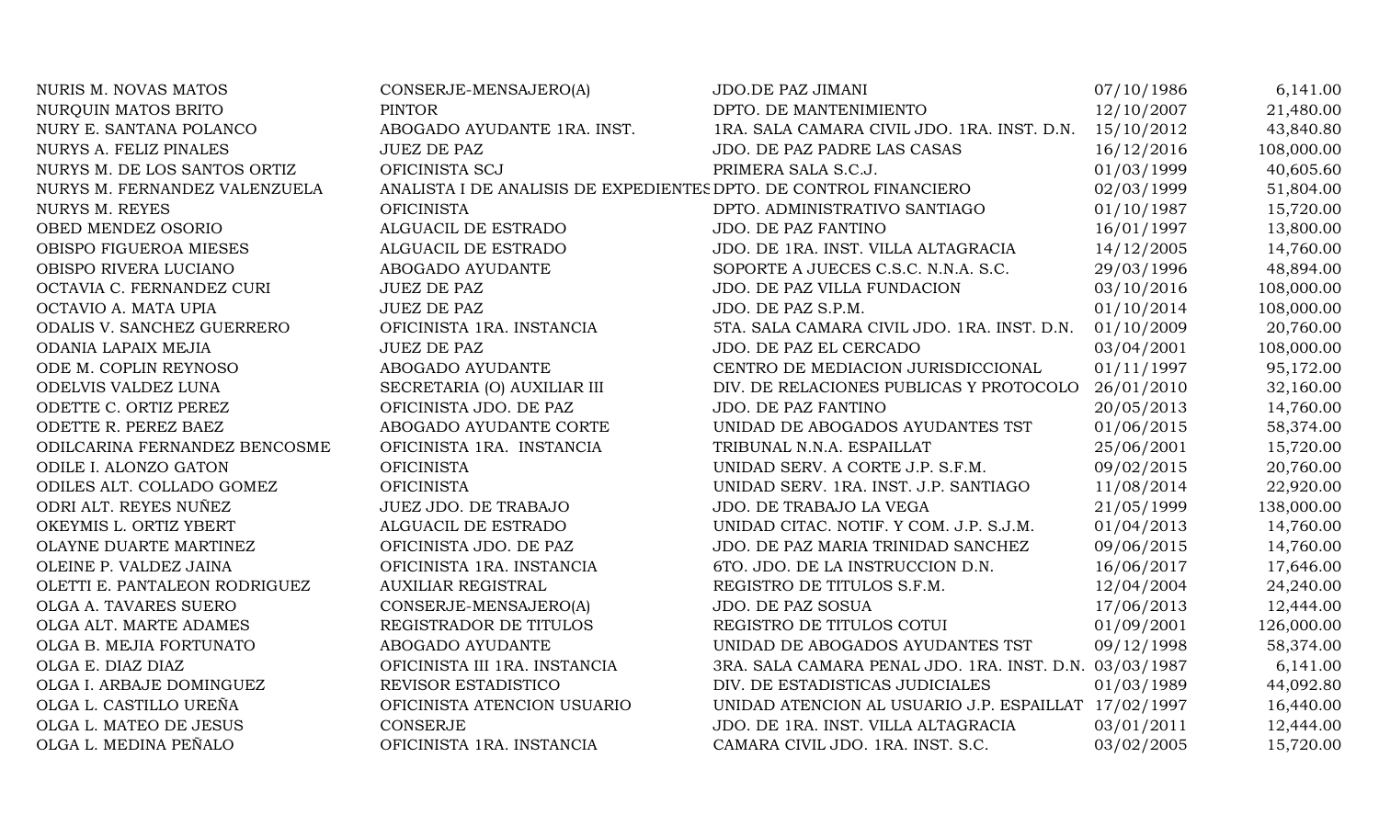| <b>NURIS M. NOVAS MATOS</b>   | CONSERJE-MENSAJERO(A)                                             | <b>JDO.DE PAZ JIMANI</b>                               | 07/10/1986 | 6,141.00   |
|-------------------------------|-------------------------------------------------------------------|--------------------------------------------------------|------------|------------|
| NURQUIN MATOS BRITO           | <b>PINTOR</b>                                                     | DPTO. DE MANTENIMIENTO                                 | 12/10/2007 | 21,480.00  |
| NURY E. SANTANA POLANCO       | ABOGADO AYUDANTE 1RA. INST.                                       | 1RA. SALA CAMARA CIVIL JDO. 1RA. INST. D.N.            | 15/10/2012 | 43,840.80  |
| NURYS A. FELIZ PINALES        | <b>JUEZ DE PAZ</b>                                                | JDO. DE PAZ PADRE LAS CASAS                            | 16/12/2016 | 108,000.00 |
| NURYS M. DE LOS SANTOS ORTIZ  | OFICINISTA SCJ                                                    | PRIMERA SALA S.C.J.                                    | 01/03/1999 | 40,605.60  |
| NURYS M. FERNANDEZ VALENZUELA | ANALISTA I DE ANALISIS DE EXPEDIENTES DPTO. DE CONTROL FINANCIERO |                                                        | 02/03/1999 | 51,804.00  |
| NURYS M. REYES                | <b>OFICINISTA</b>                                                 | DPTO. ADMINISTRATIVO SANTIAGO                          | 01/10/1987 | 15,720.00  |
| OBED MENDEZ OSORIO            | ALGUACIL DE ESTRADO                                               | <b>JDO. DE PAZ FANTINO</b>                             | 16/01/1997 | 13,800.00  |
| OBISPO FIGUEROA MIESES        | ALGUACIL DE ESTRADO                                               | JDO. DE 1RA. INST. VILLA ALTAGRACIA                    | 14/12/2005 | 14,760.00  |
| OBISPO RIVERA LUCIANO         | ABOGADO AYUDANTE                                                  | SOPORTE A JUECES C.S.C. N.N.A. S.C.                    | 29/03/1996 | 48,894.00  |
| OCTAVIA C. FERNANDEZ CURI     | <b>JUEZ DE PAZ</b>                                                | JDO. DE PAZ VILLA FUNDACION                            | 03/10/2016 | 108,000.00 |
| OCTAVIO A. MATA UPIA          | <b>JUEZ DE PAZ</b>                                                | JDO. DE PAZ S.P.M.                                     | 01/10/2014 | 108,000.00 |
| ODALIS V. SANCHEZ GUERRERO    | OFICINISTA 1RA. INSTANCIA                                         | 5TA. SALA CAMARA CIVIL JDO. 1RA. INST. D.N.            | 01/10/2009 | 20,760.00  |
| ODANIA LAPAIX MEJIA           | <b>JUEZ DE PAZ</b>                                                | JDO. DE PAZ EL CERCADO                                 | 03/04/2001 | 108,000.00 |
| ODE M. COPLIN REYNOSO         | ABOGADO AYUDANTE                                                  | CENTRO DE MEDIACION JURISDICCIONAL                     | 01/11/1997 | 95,172.00  |
| ODELVIS VALDEZ LUNA           | SECRETARIA (O) AUXILIAR III                                       | DIV. DE RELACIONES PUBLICAS Y PROTOCOLO                | 26/01/2010 | 32,160.00  |
| ODETTE C. ORTIZ PEREZ         | OFICINISTA JDO. DE PAZ                                            | JDO. DE PAZ FANTINO                                    | 20/05/2013 | 14,760.00  |
| ODETTE R. PEREZ BAEZ          | ABOGADO AYUDANTE CORTE                                            | UNIDAD DE ABOGADOS AYUDANTES TST                       | 01/06/2015 | 58,374.00  |
| ODILCARINA FERNANDEZ BENCOSME | OFICINISTA 1RA. INSTANCIA                                         | TRIBUNAL N.N.A. ESPAILLAT                              | 25/06/2001 | 15,720.00  |
| ODILE I. ALONZO GATON         | <b>OFICINISTA</b>                                                 | UNIDAD SERV. A CORTE J.P. S.F.M.                       | 09/02/2015 | 20,760.00  |
| ODILES ALT. COLLADO GOMEZ     | <b>OFICINISTA</b>                                                 | UNIDAD SERV. 1RA. INST. J.P. SANTIAGO                  | 11/08/2014 | 22,920.00  |
| ODRI ALT. REYES NUÑEZ         | JUEZ JDO. DE TRABAJO                                              | JDO. DE TRABAJO LA VEGA                                | 21/05/1999 | 138,000.00 |
| OKEYMIS L. ORTIZ YBERT        | ALGUACIL DE ESTRADO                                               | UNIDAD CITAC. NOTIF. Y COM. J.P. S.J.M.                | 01/04/2013 | 14,760.00  |
| OLAYNE DUARTE MARTINEZ        | OFICINISTA JDO. DE PAZ                                            | JDO. DE PAZ MARIA TRINIDAD SANCHEZ                     | 09/06/2015 | 14,760.00  |
| OLEINE P. VALDEZ JAINA        | OFICINISTA 1RA. INSTANCIA                                         | 6TO. JDO. DE LA INSTRUCCION D.N.                       | 16/06/2017 | 17,646.00  |
| OLETTI E. PANTALEON RODRIGUEZ | <b>AUXILIAR REGISTRAL</b>                                         | REGISTRO DE TITULOS S.F.M.                             | 12/04/2004 | 24,240.00  |
| OLGA A. TAVARES SUERO         | CONSERJE-MENSAJERO(A)                                             | JDO. DE PAZ SOSUA                                      | 17/06/2013 | 12,444.00  |
| OLGA ALT. MARTE ADAMES        | REGISTRADOR DE TITULOS                                            | REGISTRO DE TITULOS COTUI                              | 01/09/2001 | 126,000.00 |
| OLGA B. MEJIA FORTUNATO       | ABOGADO AYUDANTE                                                  | UNIDAD DE ABOGADOS AYUDANTES TST                       | 09/12/1998 | 58,374.00  |
| OLGA E. DIAZ DIAZ             | OFICINISTA III 1RA. INSTANCIA                                     | 3RA. SALA CAMARA PENAL JDO. 1RA. INST. D.N. 03/03/1987 |            | 6,141.00   |
| OLGA I. ARBAJE DOMINGUEZ      | REVISOR ESTADISTICO                                               | DIV. DE ESTADISTICAS JUDICIALES                        | 01/03/1989 | 44,092.80  |
| OLGA L. CASTILLO UREÑA        | OFICINISTA ATENCION USUARIO                                       | UNIDAD ATENCION AL USUARIO J.P. ESPAILLAT 17/02/1997   |            | 16,440.00  |
| OLGA L. MATEO DE JESUS        | <b>CONSERJE</b>                                                   | JDO. DE 1RA. INST. VILLA ALTAGRACIA                    | 03/01/2011 | 12,444.00  |
| OLGA L. MEDINA PEÑALO         | OFICINISTA 1RA. INSTANCIA                                         | CAMARA CIVIL JDO. 1RA. INST. S.C.                      | 03/02/2005 | 15,720.00  |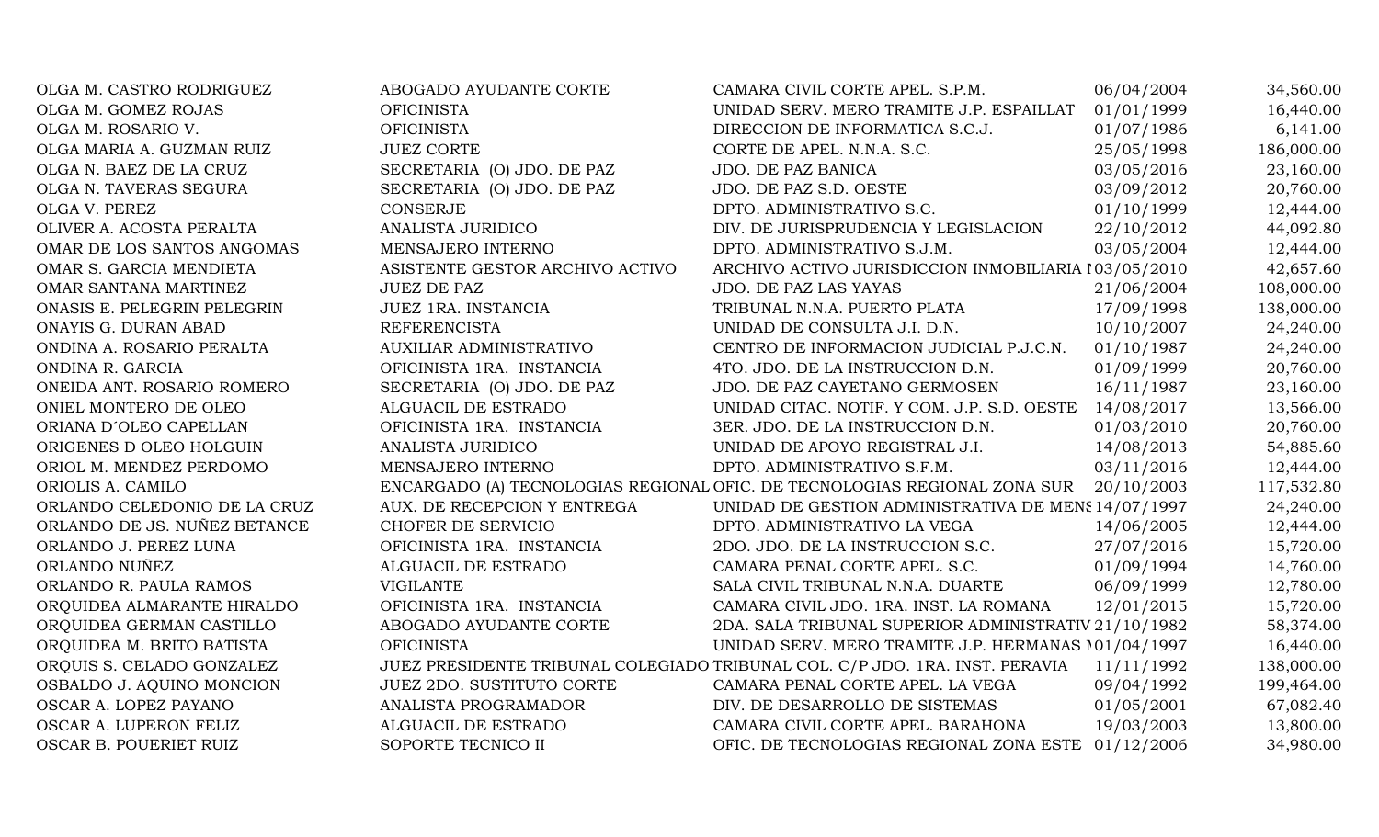| OLGA M. CASTRO RODRIGUEZ     | ABOGADO AYUDANTE CORTE           | CAMARA CIVIL CORTE APEL. S.P.M.                                              | 06/04/2004 | 34,560.00  |
|------------------------------|----------------------------------|------------------------------------------------------------------------------|------------|------------|
| OLGA M. GOMEZ ROJAS          | <b>OFICINISTA</b>                | UNIDAD SERV. MERO TRAMITE J.P. ESPAILLAT                                     | 01/01/1999 | 16,440.00  |
| OLGA M. ROSARIO V.           | <b>OFICINISTA</b>                | DIRECCION DE INFORMATICA S.C.J.                                              | 01/07/1986 | 6,141.00   |
|                              | <b>JUEZ CORTE</b>                |                                                                              |            |            |
| OLGA MARIA A. GUZMAN RUIZ    |                                  | CORTE DE APEL. N.N.A. S.C.                                                   | 25/05/1998 | 186,000.00 |
| OLGA N. BAEZ DE LA CRUZ      | SECRETARIA (O) JDO. DE PAZ       | JDO. DE PAZ BANICA                                                           | 03/05/2016 | 23,160.00  |
| OLGA N. TAVERAS SEGURA       | SECRETARIA (O) JDO. DE PAZ       | JDO. DE PAZ S.D. OESTE                                                       | 03/09/2012 | 20,760.00  |
| OLGA V. PEREZ                | <b>CONSERJE</b>                  | DPTO. ADMINISTRATIVO S.C.                                                    | 01/10/1999 | 12,444.00  |
| OLIVER A. ACOSTA PERALTA     | <b>ANALISTA JURIDICO</b>         | DIV. DE JURISPRUDENCIA Y LEGISLACION                                         | 22/10/2012 | 44,092.80  |
| OMAR DE LOS SANTOS ANGOMAS   | MENSAJERO INTERNO                | DPTO. ADMINISTRATIVO S.J.M.                                                  | 03/05/2004 | 12,444.00  |
| OMAR S. GARCIA MENDIETA      | ASISTENTE GESTOR ARCHIVO ACTIVO  | ARCHIVO ACTIVO JURISDICCION INMOBILIARIA 103/05/2010                         |            | 42,657.60  |
| OMAR SANTANA MARTINEZ        | <b>JUEZ DE PAZ</b>               | JDO. DE PAZ LAS YAYAS                                                        | 21/06/2004 | 108,000.00 |
| ONASIS E. PELEGRIN PELEGRIN  | JUEZ 1RA. INSTANCIA              | TRIBUNAL N.N.A. PUERTO PLATA                                                 | 17/09/1998 | 138,000.00 |
| ONAYIS G. DURAN ABAD         | <b>REFERENCISTA</b>              | UNIDAD DE CONSULTA J.I. D.N.                                                 | 10/10/2007 | 24,240.00  |
| ONDINA A. ROSARIO PERALTA    | AUXILIAR ADMINISTRATIVO          | CENTRO DE INFORMACION JUDICIAL P.J.C.N.                                      | 01/10/1987 | 24,240.00  |
| ONDINA R. GARCIA             | OFICINISTA 1RA. INSTANCIA        | 4TO. JDO. DE LA INSTRUCCION D.N.                                             | 01/09/1999 | 20,760.00  |
| ONEIDA ANT. ROSARIO ROMERO   | SECRETARIA (O) JDO. DE PAZ       | JDO. DE PAZ CAYETANO GERMOSEN                                                | 16/11/1987 | 23,160.00  |
| ONIEL MONTERO DE OLEO        | ALGUACIL DE ESTRADO              | UNIDAD CITAC. NOTIF. Y COM. J.P. S.D. OESTE                                  | 14/08/2017 | 13,566.00  |
| ORIANA D'OLEO CAPELLAN       | OFICINISTA 1RA. INSTANCIA        | 3ER. JDO. DE LA INSTRUCCION D.N.                                             | 01/03/2010 | 20,760.00  |
| ORIGENES D OLEO HOLGUIN      | ANALISTA JURIDICO                | UNIDAD DE APOYO REGISTRAL J.I.                                               | 14/08/2013 | 54,885.60  |
| ORIOL M. MENDEZ PERDOMO      | MENSAJERO INTERNO                | DPTO. ADMINISTRATIVO S.F.M.                                                  | 03/11/2016 | 12,444.00  |
| ORIOLIS A. CAMILO            |                                  | ENCARGADO (A) TECNOLOGIAS REGIONAL OFIC. DE TECNOLOGIAS REGIONAL ZONA SUR    | 20/10/2003 | 117,532.80 |
| ORLANDO CELEDONIO DE LA CRUZ | AUX. DE RECEPCION Y ENTREGA      | UNIDAD DE GESTION ADMINISTRATIVA DE MENS 14/07/1997                          |            | 24,240.00  |
| ORLANDO DE JS. NUÑEZ BETANCE | CHOFER DE SERVICIO               | DPTO. ADMINISTRATIVO LA VEGA                                                 | 14/06/2005 | 12,444.00  |
| ORLANDO J. PEREZ LUNA        | OFICINISTA 1RA. INSTANCIA        | 2DO. JDO. DE LA INSTRUCCION S.C.                                             | 27/07/2016 | 15,720.00  |
| ORLANDO NUÑEZ                | ALGUACIL DE ESTRADO              | CAMARA PENAL CORTE APEL. S.C.                                                | 01/09/1994 | 14,760.00  |
| ORLANDO R. PAULA RAMOS       | <b>VIGILANTE</b>                 | SALA CIVIL TRIBUNAL N.N.A. DUARTE                                            | 06/09/1999 | 12,780.00  |
| ORQUIDEA ALMARANTE HIRALDO   | OFICINISTA 1RA. INSTANCIA        | CAMARA CIVIL JDO. 1RA. INST. LA ROMANA                                       | 12/01/2015 | 15,720.00  |
| ORQUIDEA GERMAN CASTILLO     | ABOGADO AYUDANTE CORTE           | 2DA. SALA TRIBUNAL SUPERIOR ADMINISTRATIV 21/10/1982                         |            | 58,374.00  |
| ORQUIDEA M. BRITO BATISTA    | <b>OFICINISTA</b>                | UNIDAD SERV. MERO TRAMITE J.P. HERMANAS 101/04/1997                          |            | 16,440.00  |
| ORQUIS S. CELADO GONZALEZ    |                                  | JUEZ PRESIDENTE TRIBUNAL COLEGIADO TRIBUNAL COL. C/P JDO. 1RA. INST. PERAVIA | 11/11/1992 | 138,000.00 |
| OSBALDO J. AQUINO MONCION    | <b>JUEZ 2DO. SUSTITUTO CORTE</b> | CAMARA PENAL CORTE APEL. LA VEGA                                             | 09/04/1992 | 199,464.00 |
| OSCAR A. LOPEZ PAYANO        | ANALISTA PROGRAMADOR             | DIV. DE DESARROLLO DE SISTEMAS                                               | 01/05/2001 | 67,082.40  |
| OSCAR A. LUPERON FELIZ       | ALGUACIL DE ESTRADO              | CAMARA CIVIL CORTE APEL. BARAHONA                                            | 19/03/2003 | 13,800.00  |
| OSCAR B. POUERIET RUIZ       | SOPORTE TECNICO II               | OFIC. DE TECNOLOGIAS REGIONAL ZONA ESTE 01/12/2006                           |            | 34,980.00  |
|                              |                                  |                                                                              |            |            |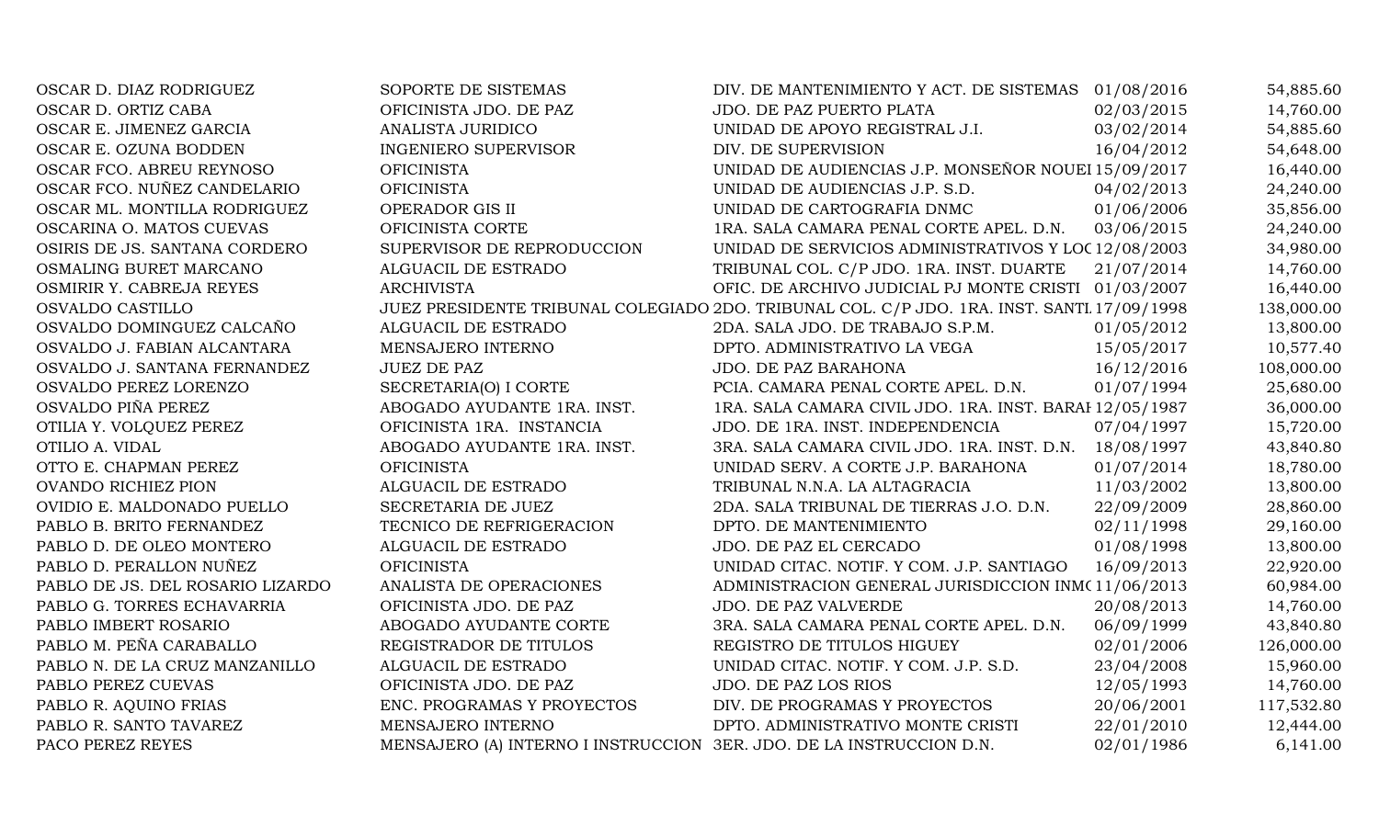| OSCAR D. DIAZ RODRIGUEZ          | SOPORTE DE SISTEMAS                                                  | DIV. DE MANTENIMIENTO Y ACT. DE SISTEMAS 01/08/2016                                        |            | 54,885.60  |
|----------------------------------|----------------------------------------------------------------------|--------------------------------------------------------------------------------------------|------------|------------|
| OSCAR D. ORTIZ CABA              | OFICINISTA JDO. DE PAZ                                               | JDO. DE PAZ PUERTO PLATA                                                                   | 02/03/2015 | 14,760.00  |
| OSCAR E. JIMENEZ GARCIA          | ANALISTA JURIDICO                                                    | UNIDAD DE APOYO REGISTRAL J.I.                                                             | 03/02/2014 | 54,885.60  |
| OSCAR E. OZUNA BODDEN            | <b>INGENIERO SUPERVISOR</b>                                          | DIV. DE SUPERVISION                                                                        | 16/04/2012 | 54,648.00  |
| OSCAR FCO. ABREU REYNOSO         | <b>OFICINISTA</b>                                                    | UNIDAD DE AUDIENCIAS J.P. MONSEÑOR NOUEI 15/09/2017                                        |            | 16,440.00  |
| OSCAR FCO. NUÑEZ CANDELARIO      | <b>OFICINISTA</b>                                                    | UNIDAD DE AUDIENCIAS J.P. S.D.                                                             | 04/02/2013 | 24,240.00  |
| OSCAR ML. MONTILLA RODRIGUEZ     | OPERADOR GIS II                                                      | UNIDAD DE CARTOGRAFIA DNMC                                                                 | 01/06/2006 | 35,856.00  |
| OSCARINA O. MATOS CUEVAS         | OFICINISTA CORTE                                                     | 1RA. SALA CAMARA PENAL CORTE APEL. D.N.                                                    | 03/06/2015 | 24,240.00  |
| OSIRIS DE JS. SANTANA CORDERO    | SUPERVISOR DE REPRODUCCION                                           | UNIDAD DE SERVICIOS ADMINISTRATIVOS Y LOC 12/08/2003                                       |            | 34,980.00  |
| OSMALING BURET MARCANO           | ALGUACIL DE ESTRADO                                                  | TRIBUNAL COL. C/P JDO. 1RA. INST. DUARTE                                                   | 21/07/2014 | 14,760.00  |
| OSMIRIR Y. CABREJA REYES         | <b>ARCHIVISTA</b>                                                    | OFIC. DE ARCHIVO JUDICIAL PJ MONTE CRISTI 01/03/2007                                       |            | 16,440.00  |
| OSVALDO CASTILLO                 |                                                                      | JUEZ PRESIDENTE TRIBUNAL COLEGIADO 2DO. TRIBUNAL COL. C/P JDO. 1RA. INST. SANTI 17/09/1998 |            | 138,000.00 |
| OSVALDO DOMINGUEZ CALCAÑO        | ALGUACIL DE ESTRADO                                                  | 2DA. SALA JDO. DE TRABAJO S.P.M.                                                           | 01/05/2012 | 13,800.00  |
| OSVALDO J. FABIAN ALCANTARA      | MENSAJERO INTERNO                                                    | DPTO. ADMINISTRATIVO LA VEGA                                                               | 15/05/2017 | 10,577.40  |
| OSVALDO J. SANTANA FERNANDEZ     | <b>JUEZ DE PAZ</b>                                                   | JDO. DE PAZ BARAHONA                                                                       | 16/12/2016 | 108,000.00 |
| OSVALDO PEREZ LORENZO            | SECRETARIA(O) I CORTE                                                | PCIA. CAMARA PENAL CORTE APEL. D.N.                                                        | 01/07/1994 | 25,680.00  |
| OSVALDO PIÑA PEREZ               | ABOGADO AYUDANTE 1RA. INST.                                          | 1RA. SALA CAMARA CIVIL JDO. 1RA. INST. BARAI 12/05/1987                                    |            | 36,000.00  |
| OTILIA Y. VOLQUEZ PEREZ          | OFICINISTA 1RA. INSTANCIA                                            | JDO. DE 1RA. INST. INDEPENDENCIA                                                           | 07/04/1997 | 15,720.00  |
| OTILIO A. VIDAL                  | ABOGADO AYUDANTE 1RA. INST.                                          | 3RA. SALA CAMARA CIVIL JDO. 1RA. INST. D.N. 18/08/1997                                     |            | 43,840.80  |
| OTTO E. CHAPMAN PEREZ            | <b>OFICINISTA</b>                                                    | UNIDAD SERV. A CORTE J.P. BARAHONA                                                         | 01/07/2014 | 18,780.00  |
| OVANDO RICHIEZ PION              | ALGUACIL DE ESTRADO                                                  | TRIBUNAL N.N.A. LA ALTAGRACIA                                                              | 11/03/2002 | 13,800.00  |
| OVIDIO E. MALDONADO PUELLO       | SECRETARIA DE JUEZ                                                   | 2DA. SALA TRIBUNAL DE TIERRAS J.O. D.N.                                                    | 22/09/2009 | 28,860.00  |
| PABLO B. BRITO FERNANDEZ         | TECNICO DE REFRIGERACION                                             | DPTO. DE MANTENIMIENTO                                                                     | 02/11/1998 | 29,160.00  |
| PABLO D. DE OLEO MONTERO         | ALGUACIL DE ESTRADO                                                  | JDO. DE PAZ EL CERCADO                                                                     | 01/08/1998 | 13,800.00  |
| PABLO D. PERALLON NUÑEZ          | <b>OFICINISTA</b>                                                    | UNIDAD CITAC. NOTIF. Y COM. J.P. SANTIAGO                                                  | 16/09/2013 | 22,920.00  |
| PABLO DE JS. DEL ROSARIO LIZARDO | ANALISTA DE OPERACIONES                                              | ADMINISTRACION GENERAL JURISDICCION INM(11/06/2013                                         |            | 60,984.00  |
| PABLO G. TORRES ECHAVARRIA       | OFICINISTA JDO. DE PAZ                                               | <b>JDO. DE PAZ VALVERDE</b>                                                                | 20/08/2013 | 14,760.00  |
| PABLO IMBERT ROSARIO             | ABOGADO AYUDANTE CORTE                                               | 3RA. SALA CAMARA PENAL CORTE APEL. D.N.                                                    | 06/09/1999 | 43,840.80  |
| PABLO M. PEÑA CARABALLO          | REGISTRADOR DE TITULOS                                               | REGISTRO DE TITULOS HIGUEY                                                                 | 02/01/2006 | 126,000.00 |
| PABLO N. DE LA CRUZ MANZANILLO   | ALGUACIL DE ESTRADO                                                  | UNIDAD CITAC. NOTIF. Y COM. J.P. S.D.                                                      | 23/04/2008 | 15,960.00  |
| PABLO PEREZ CUEVAS               | OFICINISTA JDO. DE PAZ                                               | JDO. DE PAZ LOS RIOS                                                                       | 12/05/1993 | 14,760.00  |
| PABLO R. AQUINO FRIAS            | ENC. PROGRAMAS Y PROYECTOS                                           | DIV. DE PROGRAMAS Y PROYECTOS                                                              | 20/06/2001 | 117,532.80 |
| PABLO R. SANTO TAVAREZ           | MENSAJERO INTERNO                                                    | DPTO. ADMINISTRATIVO MONTE CRISTI                                                          | 22/01/2010 | 12,444.00  |
| PACO PEREZ REYES                 | MENSAJERO (A) INTERNO I INSTRUCCION 3ER. JDO. DE LA INSTRUCCION D.N. |                                                                                            | 02/01/1986 | 6,141.00   |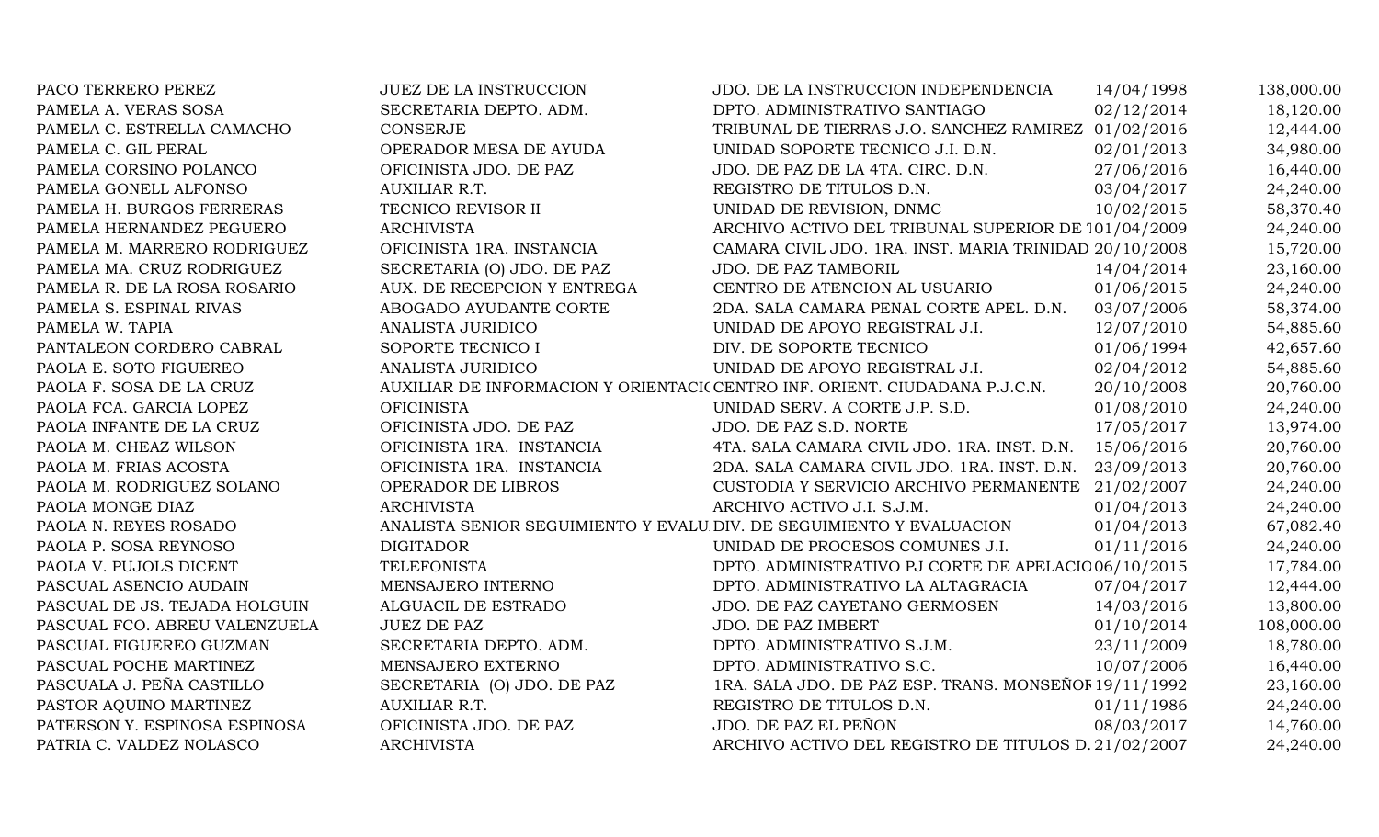| PACO TERRERO PEREZ            | <b>JUEZ DE LA INSTRUCCION</b>                                        | JDO. DE LA INSTRUCCION INDEPENDENCIA                                       | 14/04/1998 | 138,000.00 |
|-------------------------------|----------------------------------------------------------------------|----------------------------------------------------------------------------|------------|------------|
| PAMELA A. VERAS SOSA          | SECRETARIA DEPTO. ADM.                                               | DPTO. ADMINISTRATIVO SANTIAGO                                              | 02/12/2014 | 18,120.00  |
| PAMELA C. ESTRELLA CAMACHO    | <b>CONSERJE</b>                                                      | TRIBUNAL DE TIERRAS J.O. SANCHEZ RAMIREZ 01/02/2016                        |            | 12,444.00  |
| PAMELA C. GIL PERAL           | OPERADOR MESA DE AYUDA                                               | UNIDAD SOPORTE TECNICO J.I. D.N.                                           | 02/01/2013 | 34,980.00  |
| PAMELA CORSINO POLANCO        | OFICINISTA JDO. DE PAZ                                               | JDO. DE PAZ DE LA 4TA. CIRC. D.N.                                          | 27/06/2016 | 16,440.00  |
| PAMELA GONELL ALFONSO         | AUXILIAR R.T.                                                        | REGISTRO DE TITULOS D.N.                                                   | 03/04/2017 | 24,240.00  |
| PAMELA H. BURGOS FERRERAS     | TECNICO REVISOR II                                                   | UNIDAD DE REVISION, DNMC                                                   | 10/02/2015 | 58,370.40  |
| PAMELA HERNANDEZ PEGUERO      | <b>ARCHIVISTA</b>                                                    | ARCHIVO ACTIVO DEL TRIBUNAL SUPERIOR DE 101/04/2009                        |            | 24,240.00  |
| PAMELA M. MARRERO RODRIGUEZ   | OFICINISTA 1RA. INSTANCIA                                            | CAMARA CIVIL JDO. 1RA. INST. MARIA TRINIDAD 20/10/2008                     |            | 15,720.00  |
| PAMELA MA. CRUZ RODRIGUEZ     | SECRETARIA (O) JDO. DE PAZ                                           | JDO. DE PAZ TAMBORIL                                                       | 14/04/2014 | 23,160.00  |
| PAMELA R. DE LA ROSA ROSARIO  | AUX. DE RECEPCION Y ENTREGA                                          | CENTRO DE ATENCION AL USUARIO                                              | 01/06/2015 | 24,240.00  |
| PAMELA S. ESPINAL RIVAS       | ABOGADO AYUDANTE CORTE                                               | 2DA. SALA CAMARA PENAL CORTE APEL. D.N.                                    | 03/07/2006 | 58,374.00  |
| PAMELA W. TAPIA               | ANALISTA JURIDICO                                                    | UNIDAD DE APOYO REGISTRAL J.I.                                             | 12/07/2010 | 54,885.60  |
| PANTALEON CORDERO CABRAL      | SOPORTE TECNICO I                                                    | DIV. DE SOPORTE TECNICO                                                    | 01/06/1994 | 42,657.60  |
| PAOLA E. SOTO FIGUEREO        | ANALISTA JURIDICO                                                    | UNIDAD DE APOYO REGISTRAL J.I.                                             | 02/04/2012 | 54,885.60  |
| PAOLA F. SOSA DE LA CRUZ      |                                                                      | AUXILIAR DE INFORMACION Y ORIENTACI(CENTRO INF. ORIENT. CIUDADANA P.J.C.N. | 20/10/2008 | 20,760.00  |
| PAOLA FCA. GARCIA LOPEZ       | <b>OFICINISTA</b>                                                    | UNIDAD SERV. A CORTE J.P. S.D.                                             | 01/08/2010 | 24,240.00  |
| PAOLA INFANTE DE LA CRUZ      | OFICINISTA JDO. DE PAZ                                               | JDO. DE PAZ S.D. NORTE                                                     | 17/05/2017 | 13,974.00  |
| PAOLA M. CHEAZ WILSON         | OFICINISTA 1RA. INSTANCIA                                            | 4TA. SALA CAMARA CIVIL JDO. 1RA. INST. D.N. 15/06/2016                     |            | 20,760.00  |
| PAOLA M. FRIAS ACOSTA         | OFICINISTA 1RA. INSTANCIA                                            | 2DA. SALA CAMARA CIVIL JDO. 1RA. INST. D.N. 23/09/2013                     |            | 20,760.00  |
| PAOLA M. RODRIGUEZ SOLANO     | OPERADOR DE LIBROS                                                   | CUSTODIA Y SERVICIO ARCHIVO PERMANENTE 21/02/2007                          |            | 24,240.00  |
| PAOLA MONGE DIAZ              | <b>ARCHIVISTA</b>                                                    | ARCHIVO ACTIVO J.I. S.J.M.                                                 | 01/04/2013 | 24,240.00  |
| PAOLA N. REYES ROSADO         | ANALISTA SENIOR SEGUIMIENTO Y EVALU DIV. DE SEGUIMIENTO Y EVALUACION |                                                                            | 01/04/2013 | 67,082.40  |
| PAOLA P. SOSA REYNOSO         | <b>DIGITADOR</b>                                                     | UNIDAD DE PROCESOS COMUNES J.I.                                            | 01/11/2016 | 24,240.00  |
| PAOLA V. PUJOLS DICENT        | <b>TELEFONISTA</b>                                                   | DPTO. ADMINISTRATIVO PJ CORTE DE APELACIO 06/10/2015                       |            | 17,784.00  |
| PASCUAL ASENCIO AUDAIN        | MENSAJERO INTERNO                                                    | DPTO. ADMINISTRATIVO LA ALTAGRACIA                                         | 07/04/2017 | 12,444.00  |
| PASCUAL DE JS. TEJADA HOLGUIN | ALGUACIL DE ESTRADO                                                  | JDO. DE PAZ CAYETANO GERMOSEN                                              | 14/03/2016 | 13,800.00  |
| PASCUAL FCO. ABREU VALENZUELA | <b>JUEZ DE PAZ</b>                                                   | JDO. DE PAZ IMBERT                                                         | 01/10/2014 | 108,000.00 |
| PASCUAL FIGUEREO GUZMAN       | SECRETARIA DEPTO. ADM.                                               | DPTO. ADMINISTRATIVO S.J.M.                                                | 23/11/2009 | 18,780.00  |
| PASCUAL POCHE MARTINEZ        | MENSAJERO EXTERNO                                                    | DPTO. ADMINISTRATIVO S.C.                                                  | 10/07/2006 | 16,440.00  |
| PASCUALA J. PEÑA CASTILLO     | SECRETARIA (O) JDO. DE PAZ                                           | 1RA. SALA JDO. DE PAZ ESP. TRANS. MONSEÑOF 19/11/1992                      |            | 23,160.00  |
| PASTOR AQUINO MARTINEZ        | AUXILIAR R.T.                                                        | REGISTRO DE TITULOS D.N.                                                   | 01/11/1986 | 24,240.00  |
| PATERSON Y. ESPINOSA ESPINOSA | OFICINISTA JDO. DE PAZ                                               | JDO. DE PAZ EL PEÑON                                                       | 08/03/2017 | 14,760.00  |
| PATRIA C. VALDEZ NOLASCO      | <b>ARCHIVISTA</b>                                                    | ARCHIVO ACTIVO DEL REGISTRO DE TITULOS D. 21/02/2007                       |            | 24,240.00  |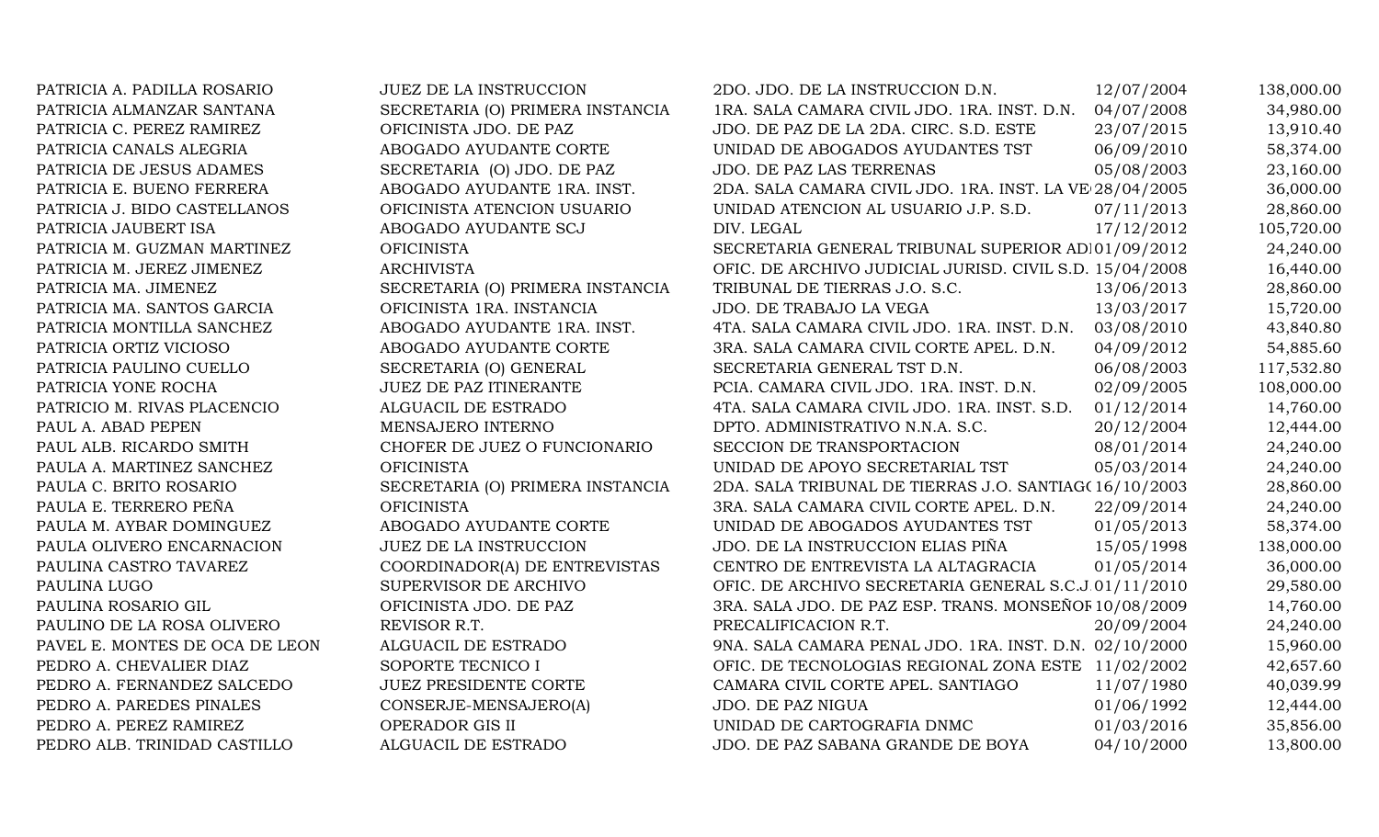| PATRICIA A. PADILLA ROSARIO    | <b>JUEZ DE LA INSTRUCCION</b>    | 2DO. JDO. DE LA INSTRUCCION D.N.                        | 12/07/2004 | 138,000.00 |
|--------------------------------|----------------------------------|---------------------------------------------------------|------------|------------|
| PATRICIA ALMANZAR SANTANA      | SECRETARIA (O) PRIMERA INSTANCIA | 1RA. SALA CAMARA CIVIL JDO. 1RA. INST. D.N.             | 04/07/2008 | 34,980.00  |
| PATRICIA C. PEREZ RAMIREZ      | OFICINISTA JDO. DE PAZ           | JDO. DE PAZ DE LA 2DA. CIRC. S.D. ESTE                  | 23/07/2015 | 13,910.40  |
| PATRICIA CANALS ALEGRIA        | ABOGADO AYUDANTE CORTE           | UNIDAD DE ABOGADOS AYUDANTES TST                        | 06/09/2010 | 58,374.00  |
| PATRICIA DE JESUS ADAMES       | SECRETARIA (O) JDO. DE PAZ       | JDO. DE PAZ LAS TERRENAS                                | 05/08/2003 | 23,160.00  |
| PATRICIA E. BUENO FERRERA      | ABOGADO AYUDANTE 1RA. INST.      | 2DA. SALA CAMARA CIVIL JDO. 1RA. INST. LA VE 28/04/2005 |            | 36,000.00  |
| PATRICIA J. BIDO CASTELLANOS   | OFICINISTA ATENCION USUARIO      | UNIDAD ATENCION AL USUARIO J.P. S.D.                    | 07/11/2013 | 28,860.00  |
| PATRICIA JAUBERT ISA           | ABOGADO AYUDANTE SCJ             | DIV. LEGAL                                              | 17/12/2012 | 105,720.00 |
| PATRICIA M. GUZMAN MARTINEZ    | <b>OFICINISTA</b>                | SECRETARIA GENERAL TRIBUNAL SUPERIOR AD 01/09/2012      |            | 24,240.00  |
| PATRICIA M. JEREZ JIMENEZ      | <b>ARCHIVISTA</b>                | OFIC. DE ARCHIVO JUDICIAL JURISD. CIVIL S.D. 15/04/2008 |            | 16,440.00  |
| PATRICIA MA. JIMENEZ           | SECRETARIA (O) PRIMERA INSTANCIA | TRIBUNAL DE TIERRAS J.O. S.C.                           | 13/06/2013 | 28,860.00  |
| PATRICIA MA. SANTOS GARCIA     | OFICINISTA 1RA. INSTANCIA        | JDO. DE TRABAJO LA VEGA                                 | 13/03/2017 | 15,720.00  |
| PATRICIA MONTILLA SANCHEZ      | ABOGADO AYUDANTE 1RA. INST.      | 4TA. SALA CAMARA CIVIL JDO. 1RA. INST. D.N.             | 03/08/2010 | 43,840.80  |
| PATRICIA ORTIZ VICIOSO         | ABOGADO AYUDANTE CORTE           | 3RA. SALA CAMARA CIVIL CORTE APEL. D.N.                 | 04/09/2012 | 54,885.60  |
| PATRICIA PAULINO CUELLO        | SECRETARIA (O) GENERAL           | SECRETARIA GENERAL TST D.N.                             | 06/08/2003 | 117,532.80 |
| PATRICIA YONE ROCHA            | JUEZ DE PAZ ITINERANTE           | PCIA. CAMARA CIVIL JDO. 1RA. INST. D.N.                 | 02/09/2005 | 108,000.00 |
| PATRICIO M. RIVAS PLACENCIO    | ALGUACIL DE ESTRADO              | 4TA. SALA CAMARA CIVIL JDO. 1RA. INST. S.D.             | 01/12/2014 | 14,760.00  |
| PAUL A. ABAD PEPEN             | MENSAJERO INTERNO                | DPTO. ADMINISTRATIVO N.N.A. S.C.                        | 20/12/2004 | 12,444.00  |
| PAUL ALB. RICARDO SMITH        | CHOFER DE JUEZ O FUNCIONARIO     | SECCION DE TRANSPORTACION                               | 08/01/2014 | 24,240.00  |
| PAULA A. MARTINEZ SANCHEZ      | <b>OFICINISTA</b>                | UNIDAD DE APOYO SECRETARIAL TST                         | 05/03/2014 | 24,240.00  |
| PAULA C. BRITO ROSARIO         | SECRETARIA (O) PRIMERA INSTANCIA | 2DA. SALA TRIBUNAL DE TIERRAS J.O. SANTIAG(16/10/2003)  |            | 28,860.00  |
| PAULA E. TERRERO PEÑA          | <b>OFICINISTA</b>                | 3RA. SALA CAMARA CIVIL CORTE APEL. D.N.                 | 22/09/2014 | 24,240.00  |
| PAULA M. AYBAR DOMINGUEZ       | ABOGADO AYUDANTE CORTE           | UNIDAD DE ABOGADOS AYUDANTES TST                        | 01/05/2013 | 58,374.00  |
| PAULA OLIVERO ENCARNACION      | <b>JUEZ DE LA INSTRUCCION</b>    | JDO. DE LA INSTRUCCION ELIAS PIÑA                       | 15/05/1998 | 138,000.00 |
| PAULINA CASTRO TAVAREZ         | COORDINADOR(A) DE ENTREVISTAS    | CENTRO DE ENTREVISTA LA ALTAGRACIA                      | 01/05/2014 | 36,000.00  |
| PAULINA LUGO                   | SUPERVISOR DE ARCHIVO            | OFIC. DE ARCHIVO SECRETARIA GENERAL S.C.J.01/11/2010    |            | 29,580.00  |
| PAULINA ROSARIO GIL            | OFICINISTA JDO. DE PAZ           | 3RA. SALA JDO. DE PAZ ESP. TRANS. MONSEÑOF 10/08/2009   |            | 14,760.00  |
| PAULINO DE LA ROSA OLIVERO     | REVISOR R.T.                     | PRECALIFICACION R.T.                                    | 20/09/2004 | 24,240.00  |
| PAVEL E. MONTES DE OCA DE LEON | ALGUACIL DE ESTRADO              | 9NA. SALA CAMARA PENAL JDO. 1RA. INST. D.N. 02/10/2000  |            | 15,960.00  |
| PEDRO A. CHEVALIER DIAZ        | SOPORTE TECNICO I                | OFIC. DE TECNOLOGIAS REGIONAL ZONA ESTE 11/02/2002      |            | 42,657.60  |
| PEDRO A. FERNANDEZ SALCEDO     | <b>JUEZ PRESIDENTE CORTE</b>     | CAMARA CIVIL CORTE APEL. SANTIAGO                       | 11/07/1980 | 40,039.99  |
| PEDRO A. PAREDES PINALES       | CONSERJE-MENSAJERO(A)            | JDO. DE PAZ NIGUA                                       | 01/06/1992 | 12,444.00  |
| PEDRO A. PEREZ RAMIREZ         | OPERADOR GIS II                  | UNIDAD DE CARTOGRAFIA DNMC                              | 01/03/2016 | 35,856.00  |
| PEDRO ALB. TRINIDAD CASTILLO   | ALGUACIL DE ESTRADO              | JDO. DE PAZ SABANA GRANDE DE BOYA                       | 04/10/2000 | 13,800.00  |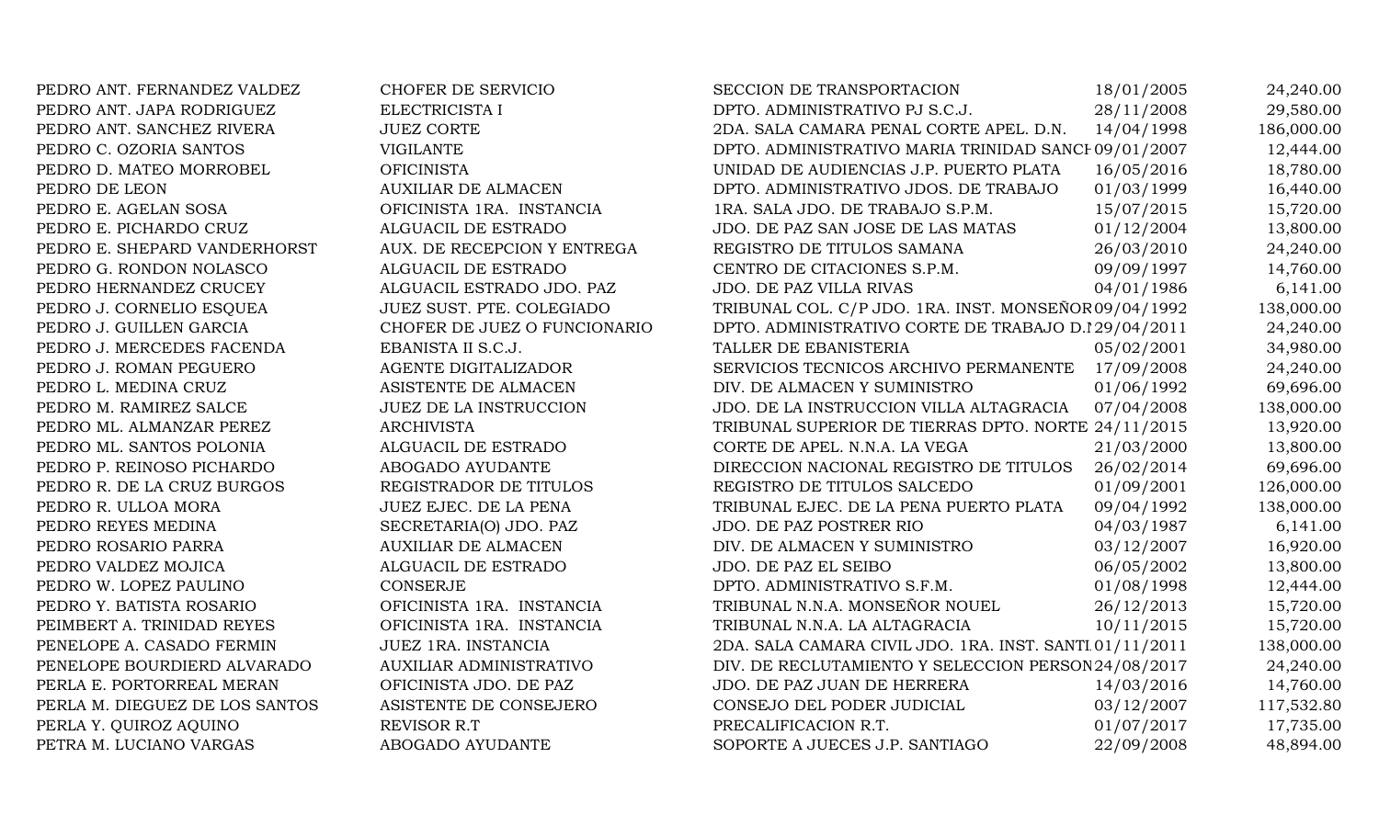PEDRO ANT. FERNANDEZ VALDEZ CHOFER DE SERVICIO PEDRO ANT. JAPA RODRIGUEZ ELECTRICISTA I PEDRO ANT. SANCHEZ RIVERA JUEZ CORTE PEDRO C. OZORIA SANTOS VIGILANTE PEDRO D. MATEO MORROBEL OFICINISTA PEDRO DE LEON AUXILIAR DE ALMACEN PEDRO E. AGELAN SOSA OFICINISTA 1RA. INSTANCIA PEDRO E. PICHARDO CRUZ ALGUACIL DE ESTRADO PEDRO E. SHEPARD VANDERHORST AUX. DE RECEPCION Y ENTREGA PEDRO G. RONDON NOLASCO ALGUACIL DE ESTRADO PEDRO HERNANDEZ CRUCEY ALGUACIL ESTRADO JDO. PAZ PEDRO J. CORNELIO ESOUEA JUEZ SUST. PTE. COLEGIADO PEDRO J. GUILLEN GARCIA CHOFER DE JUEZ O FUNCIONARIO PEDRO J. MERCEDES FACENDA EBANISTA II S.C.J. PEDRO J. ROMAN PEGUERO AGENTE DIGITALIZADOR PEDRO L. MEDINA CRUZ ASISTENTE DE ALMACEN PEDRO M. RAMIREZ SALCE JUEZ DE LA INSTRUCCION PEDRO ML. ALMANZAR PEREZ ARCHIVISTA PEDRO ML. SANTOS POLONIA ALGUACIL DE ESTRADO PEDRO P. REINOSO PICHARDO ABOGADO AYUDANTE PEDRO R. DE LA CRUZ BURGOS REGISTRADOR DE TITULOS PEDRO R. ULLOA MORA JUEZ EJEC. DE LA PENA PEDRO REYES MEDINA SECRETARIA(O) JDO. PAZ PEDRO ROSARIO PARRA AUXILIAR DE ALMACEN PEDRO VALDEZ MOJICA ALGUACIL DE ESTRADO PEDRO W. LOPEZ PAULINO CONSERJE PEDRO Y. BATISTA ROSARIO OFICINISTA 1RA. INSTANCIA PEIMBERT A. TRINIDAD REYES OFICINISTA 1RA. INSTANCIA PENELOPE A. CASADO FERMIN JUEZ 1RA. INSTANCIA PENELOPE BOURDIERD ALVARADO AUXILIAR ADMINISTRATIVO PERLA E. PORTORREAL MERAN OFICINISTA JDO. DE PAZ PERLA M. DIEGUEZ DE LOS SANTOS ASISTENTE DE CONSEJERO PERLA Y. QUIROZ AQUINO REVISOR R.T. PETRA M. LUCIANO VARGAS ABOGADO AYUDANTE

| <b>SECCION DE TRANSPORTACION</b>                        | 18/01/2005 | 24,240.00  |
|---------------------------------------------------------|------------|------------|
| DPTO. ADMINISTRATIVO PJ S.C.J.                          | 28/11/2008 | 29,580.00  |
| 2DA. SALA CAMARA PENAL CORTE APEL. D.N.                 | 14/04/1998 | 186,000.00 |
| DPTO. ADMINISTRATIVO MARIA TRINIDAD SANCI 09/01/2007    |            | 12,444.00  |
| UNIDAD DE AUDIENCIAS J.P. PUERTO PLATA                  | 16/05/2016 | 18,780.00  |
| DPTO. ADMINISTRATIVO JDOS. DE TRABAJO                   | 01/03/1999 | 16,440.00  |
| 1RA. SALA JDO. DE TRABAJO S.P.M.                        | 15/07/2015 | 15,720.00  |
| JDO. DE PAZ SAN JOSE DE LAS MATAS                       | 01/12/2004 | 13,800.00  |
| REGISTRO DE TITULOS SAMANA                              | 26/03/2010 | 24,240.00  |
| CENTRO DE CITACIONES S.P.M.                             | 09/09/1997 | 14,760.00  |
| JDO. DE PAZ VILLA RIVAS                                 | 04/01/1986 | 6,141.00   |
| TRIBUNAL COL. C/P JDO. 1RA. INST. MONSEÑOR 09/04/1992   |            | 138,000.00 |
| DPTO. ADMINISTRATIVO CORTE DE TRABAJO D.I29/04/2011     |            | 24,240.00  |
| TALLER DE EBANISTERIA                                   | 05/02/2001 | 34,980.00  |
| SERVICIOS TECNICOS ARCHIVO PERMANENTE                   | 17/09/2008 | 24,240.00  |
| DIV. DE ALMACEN Y SUMINISTRO                            | 01/06/1992 | 69,696.00  |
| JDO. DE LA INSTRUCCION VILLA ALTAGRACIA                 | 07/04/2008 | 138,000.00 |
| TRIBUNAL SUPERIOR DE TIERRAS DPTO. NORTE 24/11/2015     |            | 13,920.00  |
| CORTE DE APEL. N.N.A. LA VEGA                           | 21/03/2000 | 13,800.00  |
| DIRECCION NACIONAL REGISTRO DE TITULOS                  | 26/02/2014 | 69,696.00  |
| REGISTRO DE TITULOS SALCEDO                             | 01/09/2001 | 126,000.00 |
| TRIBUNAL EJEC. DE LA PENA PUERTO PLATA                  | 09/04/1992 | 138,000.00 |
| JDO. DE PAZ POSTRER RIO                                 | 04/03/1987 | 6,141.00   |
| DIV. DE ALMACEN Y SUMINISTRO                            | 03/12/2007 | 16,920.00  |
| JDO. DE PAZ EL SEIBO                                    | 06/05/2002 | 13,800.00  |
| DPTO. ADMINISTRATIVO S.F.M.                             | 01/08/1998 | 12,444.00  |
| TRIBUNAL N.N.A. MONSEÑOR NOUEL                          | 26/12/2013 | 15,720.00  |
| TRIBUNAL N.N.A. LA ALTAGRACIA                           | 10/11/2015 | 15,720.00  |
| 2DA. SALA CAMARA CIVIL JDO. 1RA. INST. SANTI 01/11/2011 |            | 138,000.00 |
| DIV. DE RECLUTAMIENTO Y SELECCION PERSON 24/08/2017     |            | 24,240.00  |
| JDO. DE PAZ JUAN DE HERRERA                             | 14/03/2016 | 14,760.00  |
| CONSEJO DEL PODER JUDICIAL                              | 03/12/2007 | 117,532.80 |
| PRECALIFICACION R.T.                                    | 01/07/2017 | 17,735.00  |
| SOPORTE A JUECES J.P. SANTIAGO                          | 22/09/2008 | 48,894.00  |
|                                                         |            |            |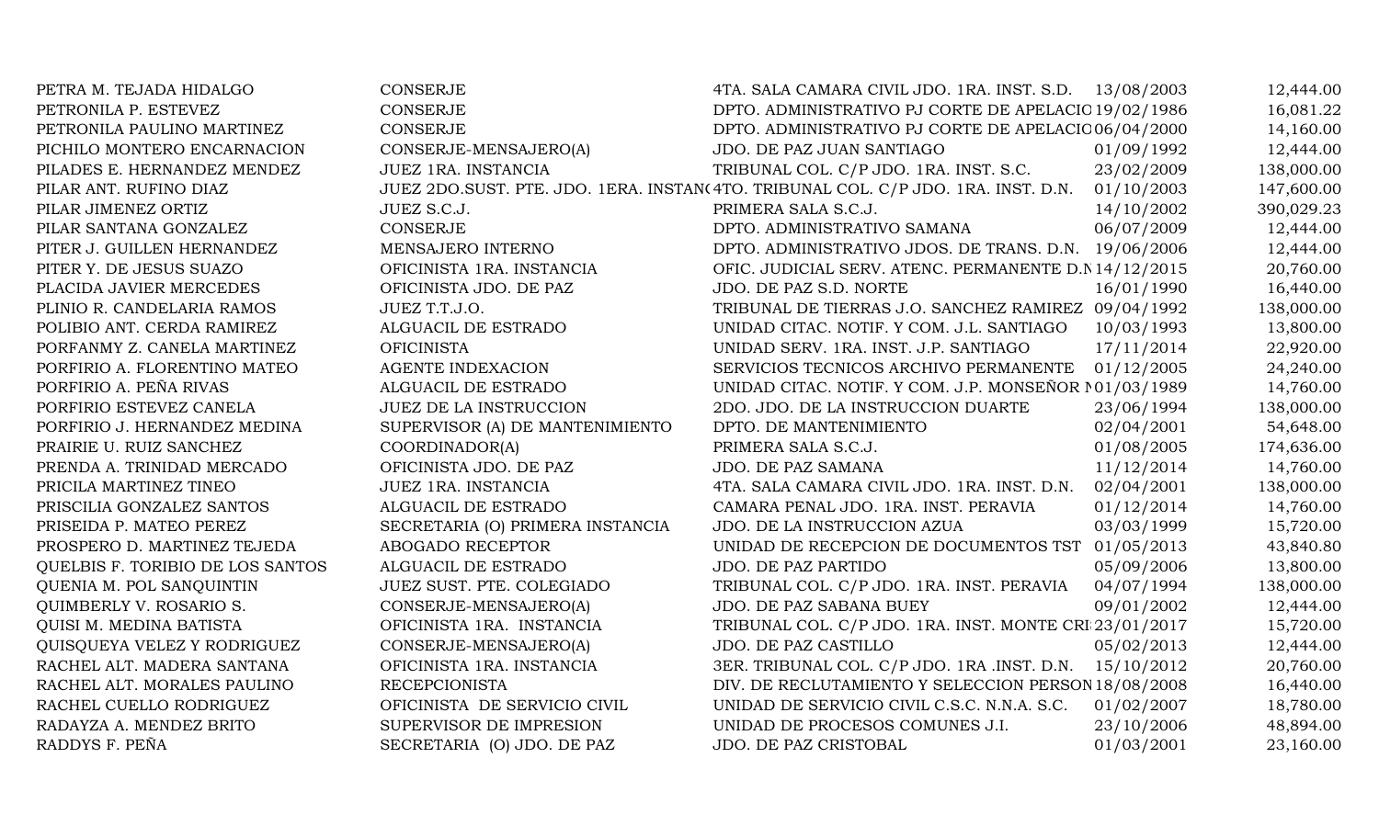| PETRA M. TEJADA HIDALGO          | <b>CONSERJE</b>                  | 4TA. SALA CAMARA CIVIL JDO. 1RA. INST. S.D. 13/08/2003                            |            | 12,444.00  |
|----------------------------------|----------------------------------|-----------------------------------------------------------------------------------|------------|------------|
| PETRONILA P. ESTEVEZ             | <b>CONSERJE</b>                  | DPTO. ADMINISTRATIVO PJ CORTE DE APELACIO 19/02/1986                              |            | 16,081.22  |
| PETRONILA PAULINO MARTINEZ       | CONSERJE                         | DPTO. ADMINISTRATIVO PJ CORTE DE APELACIO 06/04/2000                              |            | 14,160.00  |
| PICHILO MONTERO ENCARNACION      | CONSERJE-MENSAJERO(A)            | JDO. DE PAZ JUAN SANTIAGO                                                         | 01/09/1992 | 12,444.00  |
| PILADES E. HERNANDEZ MENDEZ      | JUEZ 1RA. INSTANCIA              | TRIBUNAL COL. C/P JDO. 1RA. INST. S.C.                                            | 23/02/2009 | 138,000.00 |
| PILAR ANT. RUFINO DIAZ           |                                  | JUEZ 2DO.SUST. PTE. JDO. 1ERA. INSTAN(4TO. TRIBUNAL COL. C/P JDO. 1RA. INST. D.N. | 01/10/2003 | 147,600.00 |
| PILAR JIMENEZ ORTIZ              | JUEZ S.C.J.                      | PRIMERA SALA S.C.J.                                                               | 14/10/2002 | 390,029.23 |
| PILAR SANTANA GONZALEZ           | <b>CONSERJE</b>                  | DPTO. ADMINISTRATIVO SAMANA                                                       | 06/07/2009 | 12,444.00  |
| PITER J. GUILLEN HERNANDEZ       | MENSAJERO INTERNO                | DPTO. ADMINISTRATIVO JDOS. DE TRANS. D.N. 19/06/2006                              |            | 12,444.00  |
| PITER Y. DE JESUS SUAZO          | OFICINISTA 1RA. INSTANCIA        | OFIC. JUDICIAL SERV. ATENC. PERMANENTE D.N 14/12/2015                             |            | 20,760.00  |
| PLACIDA JAVIER MERCEDES          | OFICINISTA JDO. DE PAZ           | JDO. DE PAZ S.D. NORTE                                                            | 16/01/1990 | 16,440.00  |
| PLINIO R. CANDELARIA RAMOS       | JUEZ T.T.J.O.                    | TRIBUNAL DE TIERRAS J.O. SANCHEZ RAMIREZ 09/04/1992                               |            | 138,000.00 |
| POLIBIO ANT. CERDA RAMIREZ       | ALGUACIL DE ESTRADO              | UNIDAD CITAC. NOTIF. Y COM. J.L. SANTIAGO                                         | 10/03/1993 | 13,800.00  |
| PORFANMY Z. CANELA MARTINEZ      | <b>OFICINISTA</b>                | UNIDAD SERV. 1RA. INST. J.P. SANTIAGO                                             | 17/11/2014 | 22,920.00  |
| PORFIRIO A. FLORENTINO MATEO     | <b>AGENTE INDEXACION</b>         | SERVICIOS TECNICOS ARCHIVO PERMANENTE                                             | 01/12/2005 | 24,240.00  |
| PORFIRIO A. PEÑA RIVAS           | ALGUACIL DE ESTRADO              | UNIDAD CITAC. NOTIF. Y COM. J.P. MONSEÑOR 101/03/1989                             |            | 14,760.00  |
| PORFIRIO ESTEVEZ CANELA          | JUEZ DE LA INSTRUCCION           | 2DO. JDO. DE LA INSTRUCCION DUARTE                                                | 23/06/1994 | 138,000.00 |
| PORFIRIO J. HERNANDEZ MEDINA     | SUPERVISOR (A) DE MANTENIMIENTO  | DPTO. DE MANTENIMIENTO                                                            | 02/04/2001 | 54,648.00  |
| PRAIRIE U. RUIZ SANCHEZ          | COORDINADOR(A)                   | PRIMERA SALA S.C.J.                                                               | 01/08/2005 | 174,636.00 |
| PRENDA A. TRINIDAD MERCADO       | OFICINISTA JDO. DE PAZ           | <b>JDO. DE PAZ SAMANA</b>                                                         | 11/12/2014 | 14,760.00  |
| PRICILA MARTINEZ TINEO           | JUEZ 1RA. INSTANCIA              | 4TA. SALA CAMARA CIVIL JDO. 1RA. INST. D.N.                                       | 02/04/2001 | 138,000.00 |
| PRISCILIA GONZALEZ SANTOS        | ALGUACIL DE ESTRADO              | CAMARA PENAL JDO. 1RA. INST. PERAVIA                                              | 01/12/2014 | 14,760.00  |
| PRISEIDA P. MATEO PEREZ          | SECRETARIA (O) PRIMERA INSTANCIA | JDO. DE LA INSTRUCCION AZUA                                                       | 03/03/1999 | 15,720.00  |
| PROSPERO D. MARTINEZ TEJEDA      | ABOGADO RECEPTOR                 | UNIDAD DE RECEPCION DE DOCUMENTOS TST 01/05/2013                                  |            | 43,840.80  |
| QUELBIS F. TORIBIO DE LOS SANTOS | ALGUACIL DE ESTRADO              | JDO. DE PAZ PARTIDO                                                               | 05/09/2006 | 13,800.00  |
| QUENIA M. POL SANQUINTIN         | JUEZ SUST. PTE. COLEGIADO        | TRIBUNAL COL. C/P JDO. 1RA. INST. PERAVIA                                         | 04/07/1994 | 138,000.00 |
| QUIMBERLY V. ROSARIO S.          | CONSERJE-MENSAJERO(A)            | JDO. DE PAZ SABANA BUEY                                                           | 09/01/2002 | 12,444.00  |
| QUISI M. MEDINA BATISTA          | OFICINISTA 1RA. INSTANCIA        | TRIBUNAL COL. C/P JDO. 1RA. INST. MONTE CRI 23/01/2017                            |            | 15,720.00  |
| QUISQUEYA VELEZ Y RODRIGUEZ      | CONSERJE-MENSAJERO(A)            | JDO. DE PAZ CASTILLO                                                              | 05/02/2013 | 12,444.00  |
| RACHEL ALT. MADERA SANTANA       | OFICINISTA 1RA. INSTANCIA        | 3ER. TRIBUNAL COL. C/P JDO. 1RA .INST. D.N. 15/10/2012                            |            | 20,760.00  |
| RACHEL ALT. MORALES PAULINO      | <b>RECEPCIONISTA</b>             | DIV. DE RECLUTAMIENTO Y SELECCION PERSON 18/08/2008                               |            | 16,440.00  |
| RACHEL CUELLO RODRIGUEZ          | OFICINISTA DE SERVICIO CIVIL     | UNIDAD DE SERVICIO CIVIL C.S.C. N.N.A. S.C.                                       | 01/02/2007 | 18,780.00  |
| RADAYZA A. MENDEZ BRITO          | SUPERVISOR DE IMPRESION          | UNIDAD DE PROCESOS COMUNES J.I.                                                   | 23/10/2006 | 48,894.00  |
| RADDYS F. PEÑA                   | SECRETARIA (O) JDO. DE PAZ       | JDO. DE PAZ CRISTOBAL                                                             | 01/03/2001 | 23,160.00  |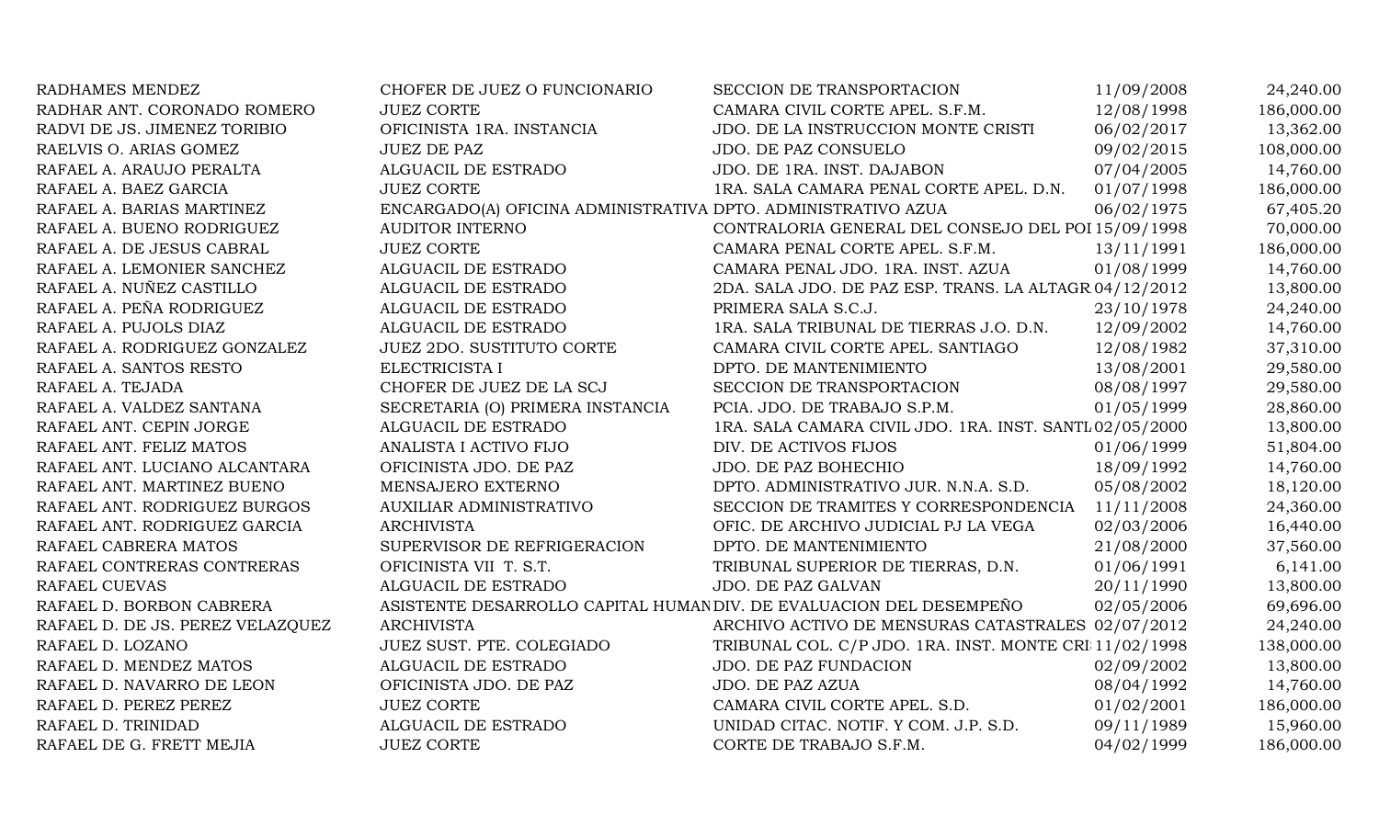| RADHAMES MENDEZ                  | CHOFER DE JUEZ O FUNCIONARIO                                        | SECCION DE TRANSPORTACION                               | 11/09/2008 | 24,240.00  |
|----------------------------------|---------------------------------------------------------------------|---------------------------------------------------------|------------|------------|
| RADHAR ANT. CORONADO ROMERO      | <b>JUEZ CORTE</b>                                                   | CAMARA CIVIL CORTE APEL. S.F.M.                         | 12/08/1998 | 186,000.00 |
| RADVI DE JS. JIMENEZ TORIBIO     | OFICINISTA 1RA. INSTANCIA                                           | JDO. DE LA INSTRUCCION MONTE CRISTI                     | 06/02/2017 | 13,362.00  |
| RAELVIS O. ARIAS GOMEZ           | <b>JUEZ DE PAZ</b>                                                  | JDO. DE PAZ CONSUELO                                    | 09/02/2015 | 108,000.00 |
| RAFAEL A. ARAUJO PERALTA         | ALGUACIL DE ESTRADO                                                 | JDO. DE 1RA. INST. DAJABON                              | 07/04/2005 | 14,760.00  |
| RAFAEL A. BAEZ GARCIA            | <b>JUEZ CORTE</b>                                                   | 1RA. SALA CAMARA PENAL CORTE APEL. D.N.                 | 01/07/1998 | 186,000.00 |
| RAFAEL A. BARIAS MARTINEZ        | ENCARGADO(A) OFICINA ADMINISTRATIVA DPTO. ADMINISTRATIVO AZUA       |                                                         | 06/02/1975 | 67,405.20  |
| RAFAEL A. BUENO RODRIGUEZ        | <b>AUDITOR INTERNO</b>                                              | CONTRALORIA GENERAL DEL CONSEJO DEL POI 15/09/1998      |            | 70,000.00  |
| RAFAEL A. DE JESUS CABRAL        | <b>JUEZ CORTE</b>                                                   | CAMARA PENAL CORTE APEL. S.F.M.                         | 13/11/1991 | 186,000.00 |
| RAFAEL A. LEMONIER SANCHEZ       | ALGUACIL DE ESTRADO                                                 | CAMARA PENAL JDO. 1RA. INST. AZUA                       | 01/08/1999 | 14,760.00  |
| RAFAEL A. NUÑEZ CASTILLO         | ALGUACIL DE ESTRADO                                                 | 2DA. SALA JDO. DE PAZ ESP. TRANS. LA ALTAGR 04/12/2012  |            | 13,800.00  |
| RAFAEL A. PEÑA RODRIGUEZ         | ALGUACIL DE ESTRADO                                                 | PRIMERA SALA S.C.J.                                     | 23/10/1978 | 24,240.00  |
| RAFAEL A. PUJOLS DIAZ            | ALGUACIL DE ESTRADO                                                 | 1RA. SALA TRIBUNAL DE TIERRAS J.O. D.N.                 | 12/09/2002 | 14,760.00  |
| RAFAEL A. RODRIGUEZ GONZALEZ     | <b>JUEZ 2DO. SUSTITUTO CORTE</b>                                    | CAMARA CIVIL CORTE APEL. SANTIAGO                       | 12/08/1982 | 37,310.00  |
| RAFAEL A. SANTOS RESTO           | ELECTRICISTA I                                                      | DPTO. DE MANTENIMIENTO                                  | 13/08/2001 | 29,580.00  |
| RAFAEL A. TEJADA                 | CHOFER DE JUEZ DE LA SCJ                                            | SECCION DE TRANSPORTACION                               | 08/08/1997 | 29,580.00  |
| RAFAEL A. VALDEZ SANTANA         | SECRETARIA (O) PRIMERA INSTANCIA                                    | PCIA. JDO. DE TRABAJO S.P.M.                            | 01/05/1999 | 28,860.00  |
| RAFAEL ANT. CEPIN JORGE          | ALGUACIL DE ESTRADO                                                 | 1RA. SALA CAMARA CIVIL JDO. 1RA. INST. SANTL 02/05/2000 |            | 13,800.00  |
| RAFAEL ANT. FELIZ MATOS          | ANALISTA I ACTIVO FIJO                                              | DIV. DE ACTIVOS FIJOS                                   | 01/06/1999 | 51,804.00  |
| RAFAEL ANT. LUCIANO ALCANTARA    | OFICINISTA JDO. DE PAZ                                              | JDO. DE PAZ BOHECHIO                                    | 18/09/1992 | 14,760.00  |
| RAFAEL ANT. MARTINEZ BUENO       | MENSAJERO EXTERNO                                                   | DPTO. ADMINISTRATIVO JUR. N.N.A. S.D.                   | 05/08/2002 | 18,120.00  |
| RAFAEL ANT. RODRIGUEZ BURGOS     | <b>AUXILIAR ADMINISTRATIVO</b>                                      | SECCION DE TRAMITES Y CORRESPONDENCIA                   | 11/11/2008 | 24,360.00  |
| RAFAEL ANT. RODRIGUEZ GARCIA     | <b>ARCHIVISTA</b>                                                   | OFIC. DE ARCHIVO JUDICIAL PJ LA VEGA                    | 02/03/2006 | 16,440.00  |
| RAFAEL CABRERA MATOS             | SUPERVISOR DE REFRIGERACION                                         | DPTO. DE MANTENIMIENTO                                  | 21/08/2000 | 37,560.00  |
| RAFAEL CONTRERAS CONTRERAS       | OFICINISTA VII T. S.T.                                              | TRIBUNAL SUPERIOR DE TIERRAS, D.N.                      | 01/06/1991 | 6,141.00   |
| RAFAEL CUEVAS                    | ALGUACIL DE ESTRADO                                                 | JDO. DE PAZ GALVAN                                      | 20/11/1990 | 13,800.00  |
| RAFAEL D. BORBON CABRERA         | ASISTENTE DESARROLLO CAPITAL HUMAN DIV. DE EVALUACION DEL DESEMPEÑO |                                                         | 02/05/2006 | 69,696.00  |
| RAFAEL D. DE JS. PEREZ VELAZQUEZ | <b>ARCHIVISTA</b>                                                   | ARCHIVO ACTIVO DE MENSURAS CATASTRALES 02/07/2012       |            | 24,240.00  |
| RAFAEL D. LOZANO                 | JUEZ SUST. PTE. COLEGIADO                                           | TRIBUNAL COL. C/P JDO. 1RA. INST. MONTE CRI 11/02/1998  |            | 138,000.00 |
| RAFAEL D. MENDEZ MATOS           | ALGUACIL DE ESTRADO                                                 | JDO. DE PAZ FUNDACION                                   | 02/09/2002 | 13,800.00  |
| RAFAEL D. NAVARRO DE LEON        | OFICINISTA JDO. DE PAZ                                              | JDO. DE PAZ AZUA                                        | 08/04/1992 | 14,760.00  |
| RAFAEL D. PEREZ PEREZ            | <b>JUEZ CORTE</b>                                                   | CAMARA CIVIL CORTE APEL. S.D.                           | 01/02/2001 | 186,000.00 |
| RAFAEL D. TRINIDAD               | ALGUACIL DE ESTRADO                                                 | UNIDAD CITAC. NOTIF. Y COM. J.P. S.D.                   | 09/11/1989 | 15,960.00  |
| RAFAEL DE G. FRETT MEJIA         | <b>JUEZ CORTE</b>                                                   | CORTE DE TRABAJO S.F.M.                                 | 04/02/1999 | 186,000.00 |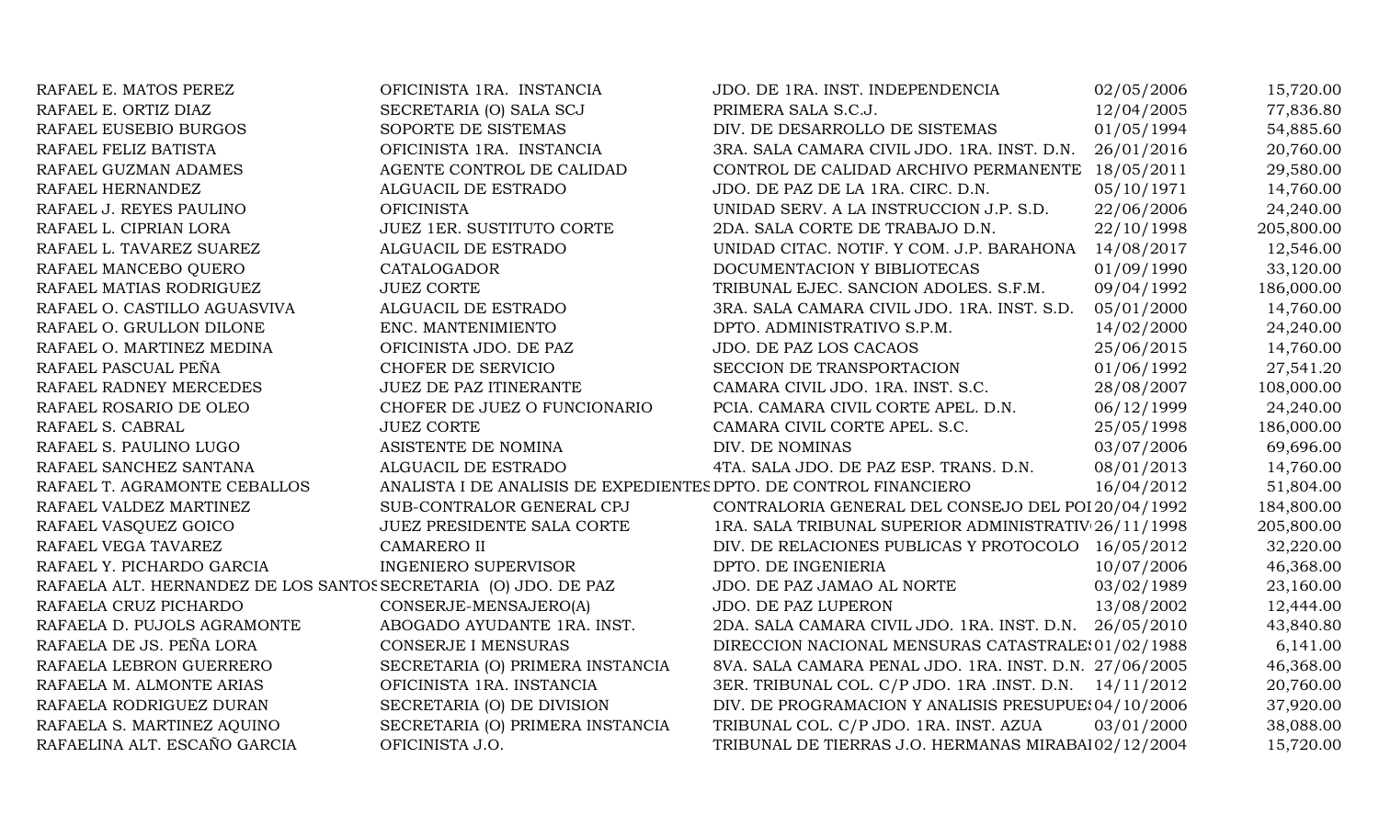| RAFAEL E. MATOS PEREZ                                           | OFICINISTA 1RA. INSTANCIA                                         | JDO. DE 1RA. INST. INDEPENDENCIA                       | 02/05/2006 | 15,720.00  |
|-----------------------------------------------------------------|-------------------------------------------------------------------|--------------------------------------------------------|------------|------------|
| RAFAEL E. ORTIZ DIAZ                                            | SECRETARIA (O) SALA SCJ                                           | PRIMERA SALA S.C.J.                                    | 12/04/2005 | 77,836.80  |
| RAFAEL EUSEBIO BURGOS                                           | SOPORTE DE SISTEMAS                                               | DIV. DE DESARROLLO DE SISTEMAS                         | 01/05/1994 | 54,885.60  |
| RAFAEL FELIZ BATISTA                                            | OFICINISTA 1RA. INSTANCIA                                         | 3RA. SALA CAMARA CIVIL JDO. 1RA. INST. D.N.            | 26/01/2016 | 20,760.00  |
| RAFAEL GUZMAN ADAMES                                            | AGENTE CONTROL DE CALIDAD                                         | CONTROL DE CALIDAD ARCHIVO PERMANENTE 18/05/2011       |            | 29,580.00  |
| RAFAEL HERNANDEZ                                                | ALGUACIL DE ESTRADO                                               | JDO. DE PAZ DE LA 1RA. CIRC. D.N.                      | 05/10/1971 | 14,760.00  |
| RAFAEL J. REYES PAULINO                                         | <b>OFICINISTA</b>                                                 | UNIDAD SERV. A LA INSTRUCCION J.P. S.D.                | 22/06/2006 | 24,240.00  |
| RAFAEL L. CIPRIAN LORA                                          | JUEZ 1ER. SUSTITUTO CORTE                                         | 2DA. SALA CORTE DE TRABAJO D.N.                        | 22/10/1998 | 205,800.00 |
| RAFAEL L. TAVAREZ SUAREZ                                        | ALGUACIL DE ESTRADO                                               | UNIDAD CITAC. NOTIF. Y COM. J.P. BARAHONA              | 14/08/2017 | 12,546.00  |
| RAFAEL MANCEBO QUERO                                            | CATALOGADOR                                                       | DOCUMENTACION Y BIBLIOTECAS                            | 01/09/1990 | 33,120.00  |
| RAFAEL MATIAS RODRIGUEZ                                         | <b>JUEZ CORTE</b>                                                 | TRIBUNAL EJEC. SANCION ADOLES. S.F.M.                  | 09/04/1992 | 186,000.00 |
| RAFAEL O. CASTILLO AGUASVIVA                                    | ALGUACIL DE ESTRADO                                               | 3RA. SALA CAMARA CIVIL JDO. 1RA. INST. S.D.            | 05/01/2000 | 14,760.00  |
| RAFAEL O. GRULLON DILONE                                        | ENC. MANTENIMIENTO                                                | DPTO. ADMINISTRATIVO S.P.M.                            | 14/02/2000 | 24,240.00  |
| RAFAEL O. MARTINEZ MEDINA                                       | OFICINISTA JDO. DE PAZ                                            | JDO. DE PAZ LOS CACAOS                                 | 25/06/2015 | 14,760.00  |
| RAFAEL PASCUAL PEÑA                                             | CHOFER DE SERVICIO                                                | SECCION DE TRANSPORTACION                              | 01/06/1992 | 27,541.20  |
| RAFAEL RADNEY MERCEDES                                          | JUEZ DE PAZ ITINERANTE                                            | CAMARA CIVIL JDO. 1RA. INST. S.C.                      | 28/08/2007 | 108,000.00 |
| RAFAEL ROSARIO DE OLEO                                          | CHOFER DE JUEZ O FUNCIONARIO                                      | PCIA. CAMARA CIVIL CORTE APEL. D.N.                    | 06/12/1999 | 24,240.00  |
| RAFAEL S. CABRAL                                                | <b>JUEZ CORTE</b>                                                 | CAMARA CIVIL CORTE APEL. S.C.                          | 25/05/1998 | 186,000.00 |
| RAFAEL S. PAULINO LUGO                                          | ASISTENTE DE NOMINA                                               | DIV. DE NOMINAS                                        | 03/07/2006 | 69,696.00  |
| RAFAEL SANCHEZ SANTANA                                          | ALGUACIL DE ESTRADO                                               | 4TA. SALA JDO. DE PAZ ESP. TRANS. D.N.                 | 08/01/2013 | 14,760.00  |
| RAFAEL T. AGRAMONTE CEBALLOS                                    | ANALISTA I DE ANALISIS DE EXPEDIENTES DPTO. DE CONTROL FINANCIERO |                                                        | 16/04/2012 | 51,804.00  |
| RAFAEL VALDEZ MARTINEZ                                          | SUB-CONTRALOR GENERAL CPJ                                         | CONTRALORIA GENERAL DEL CONSEJO DEL POI 20/04/1992     |            | 184,800.00 |
| RAFAEL VASQUEZ GOICO                                            | JUEZ PRESIDENTE SALA CORTE                                        | 1RA. SALA TRIBUNAL SUPERIOR ADMINISTRATIV 26/11/1998   |            | 205,800.00 |
| RAFAEL VEGA TAVAREZ                                             | <b>CAMARERO II</b>                                                | DIV. DE RELACIONES PUBLICAS Y PROTOCOLO 16/05/2012     |            | 32,220.00  |
| RAFAEL Y. PICHARDO GARCIA                                       | <b>INGENIERO SUPERVISOR</b>                                       | DPTO. DE INGENIERIA                                    | 10/07/2006 | 46,368.00  |
| RAFAELA ALT. HERNANDEZ DE LOS SANTOS SECRETARIA (O) JDO. DE PAZ |                                                                   | JDO. DE PAZ JAMAO AL NORTE                             | 03/02/1989 | 23,160.00  |
| RAFAELA CRUZ PICHARDO                                           | CONSERJE-MENSAJERO(A)                                             | JDO. DE PAZ LUPERON                                    | 13/08/2002 | 12,444.00  |
| RAFAELA D. PUJOLS AGRAMONTE                                     | ABOGADO AYUDANTE 1RA. INST.                                       | 2DA. SALA CAMARA CIVIL JDO. 1RA. INST. D.N.            | 26/05/2010 | 43,840.80  |
| RAFAELA DE JS. PEÑA LORA                                        | <b>CONSERJE I MENSURAS</b>                                        | DIRECCION NACIONAL MENSURAS CATASTRALE: 01/02/1988     |            | 6,141.00   |
| RAFAELA LEBRON GUERRERO                                         | SECRETARIA (O) PRIMERA INSTANCIA                                  | 8VA. SALA CAMARA PENAL JDO. 1RA. INST. D.N. 27/06/2005 |            | 46,368.00  |
| RAFAELA M. ALMONTE ARIAS                                        | OFICINISTA 1RA. INSTANCIA                                         | 3ER. TRIBUNAL COL. C/P JDO. 1RA .INST. D.N.            | 14/11/2012 | 20,760.00  |
| RAFAELA RODRIGUEZ DURAN                                         | SECRETARIA (O) DE DIVISION                                        | DIV. DE PROGRAMACION Y ANALISIS PRESUPUE: 04/10/2006   |            | 37,920.00  |
| RAFAELA S. MARTINEZ AQUINO                                      | SECRETARIA (O) PRIMERA INSTANCIA                                  | TRIBUNAL COL. C/P JDO. 1RA. INST. AZUA                 | 03/01/2000 | 38,088.00  |
| RAFAELINA ALT. ESCAÑO GARCIA                                    | OFICINISTA J.O.                                                   | TRIBUNAL DE TIERRAS J.O. HERMANAS MIRABAI 02/12/2004   |            | 15,720.00  |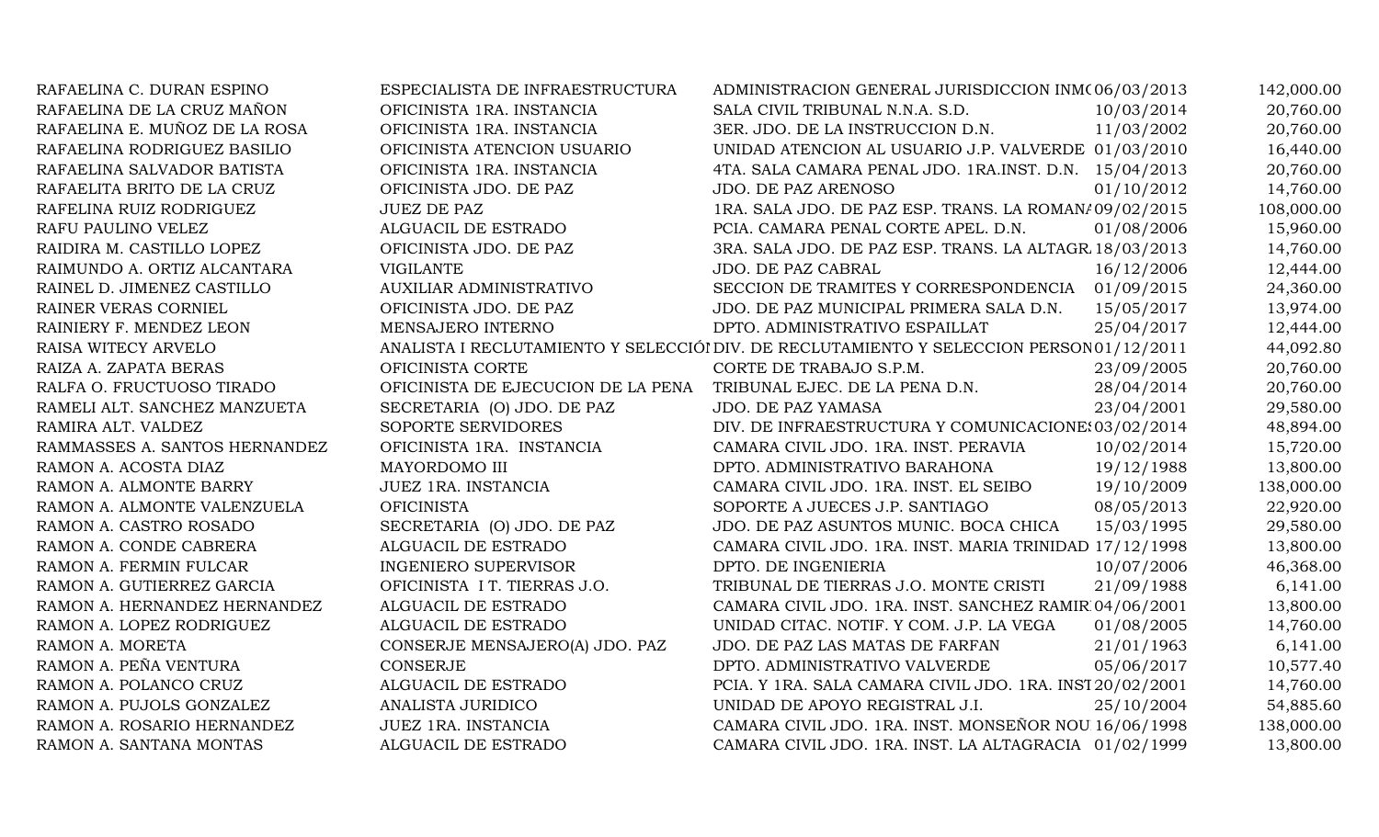| RAFAELINA C. DURAN ESPINO     | ESPECIALISTA DE INFRAESTRUCTURA    | ADMINISTRACION GENERAL JURISDICCION INM(06/03/2013                                      |            | 142,000.00 |
|-------------------------------|------------------------------------|-----------------------------------------------------------------------------------------|------------|------------|
| RAFAELINA DE LA CRUZ MAÑON    | OFICINISTA 1RA. INSTANCIA          | SALA CIVIL TRIBUNAL N.N.A. S.D.                                                         | 10/03/2014 | 20,760.00  |
| RAFAELINA E. MUÑOZ DE LA ROSA | OFICINISTA 1RA. INSTANCIA          | 3ER. JDO. DE LA INSTRUCCION D.N.                                                        | 11/03/2002 | 20,760.00  |
| RAFAELINA RODRIGUEZ BASILIO   | OFICINISTA ATENCION USUARIO        | UNIDAD ATENCION AL USUARIO J.P. VALVERDE 01/03/2010                                     |            | 16,440.00  |
| RAFAELINA SALVADOR BATISTA    | OFICINISTA 1RA. INSTANCIA          | 4TA. SALA CAMARA PENAL JDO. 1RA.INST. D.N. 15/04/2013                                   |            | 20,760.00  |
| RAFAELITA BRITO DE LA CRUZ    | OFICINISTA JDO. DE PAZ             | JDO. DE PAZ ARENOSO                                                                     | 01/10/2012 | 14,760.00  |
| RAFELINA RUIZ RODRIGUEZ       | <b>JUEZ DE PAZ</b>                 | 1RA. SALA JDO. DE PAZ ESP. TRANS. LA ROMAN/09/02/2015                                   |            | 108,000.00 |
| RAFU PAULINO VELEZ            | ALGUACIL DE ESTRADO                | PCIA. CAMARA PENAL CORTE APEL. D.N.                                                     | 01/08/2006 | 15,960.00  |
| RAIDIRA M. CASTILLO LOPEZ     | OFICINISTA JDO. DE PAZ             | 3RA. SALA JDO. DE PAZ ESP. TRANS. LA ALTAGR 18/03/2013                                  |            | 14,760.00  |
| RAIMUNDO A. ORTIZ ALCANTARA   | <b>VIGILANTE</b>                   | JDO. DE PAZ CABRAL                                                                      | 16/12/2006 | 12,444.00  |
| RAINEL D. JIMENEZ CASTILLO    | AUXILIAR ADMINISTRATIVO            | SECCION DE TRAMITES Y CORRESPONDENCIA 01/09/2015                                        |            | 24,360.00  |
| RAINER VERAS CORNIEL          | OFICINISTA JDO. DE PAZ             | JDO. DE PAZ MUNICIPAL PRIMERA SALA D.N.                                                 | 15/05/2017 | 13,974.00  |
| RAINIERY F. MENDEZ LEON       | MENSAJERO INTERNO                  | DPTO. ADMINISTRATIVO ESPAILLAT                                                          | 25/04/2017 | 12,444.00  |
| RAISA WITECY ARVELO           |                                    | ANALISTA I RECLUTAMIENTO Y SELECCIÓI DIV. DE RECLUTAMIENTO Y SELECCION PERSON01/12/2011 |            | 44,092.80  |
| RAIZA A. ZAPATA BERAS         | OFICINISTA CORTE                   | CORTE DE TRABAJO S.P.M.                                                                 | 23/09/2005 | 20,760.00  |
| RALFA O. FRUCTUOSO TIRADO     | OFICINISTA DE EJECUCION DE LA PENA | TRIBUNAL EJEC. DE LA PENA D.N.                                                          | 28/04/2014 | 20,760.00  |
| RAMELI ALT. SANCHEZ MANZUETA  | SECRETARIA (O) JDO. DE PAZ         | JDO. DE PAZ YAMASA                                                                      | 23/04/2001 | 29,580.00  |
| RAMIRA ALT. VALDEZ            | SOPORTE SERVIDORES                 | DIV. DE INFRAESTRUCTURA Y COMUNICACIONE: 03/02/2014                                     |            | 48,894.00  |
| RAMMASSES A. SANTOS HERNANDEZ | OFICINISTA 1RA. INSTANCIA          | CAMARA CIVIL JDO. 1RA. INST. PERAVIA                                                    | 10/02/2014 | 15,720.00  |
| RAMON A. ACOSTA DIAZ          | MAYORDOMO III                      | DPTO. ADMINISTRATIVO BARAHONA                                                           | 19/12/1988 | 13,800.00  |
| RAMON A. ALMONTE BARRY        | JUEZ 1RA. INSTANCIA                | CAMARA CIVIL JDO. 1RA. INST. EL SEIBO                                                   | 19/10/2009 | 138,000.00 |
| RAMON A. ALMONTE VALENZUELA   | <b>OFICINISTA</b>                  | SOPORTE A JUECES J.P. SANTIAGO                                                          | 08/05/2013 | 22,920.00  |
| RAMON A. CASTRO ROSADO        | SECRETARIA (O) JDO. DE PAZ         | JDO. DE PAZ ASUNTOS MUNIC. BOCA CHICA                                                   | 15/03/1995 | 29,580.00  |
| RAMON A. CONDE CABRERA        | ALGUACIL DE ESTRADO                | CAMARA CIVIL JDO. 1RA. INST. MARIA TRINIDAD 17/12/1998                                  |            | 13,800.00  |
| RAMON A. FERMIN FULCAR        | <b>INGENIERO SUPERVISOR</b>        | DPTO. DE INGENIERIA                                                                     | 10/07/2006 | 46,368.00  |
| RAMON A. GUTIERREZ GARCIA     | OFICINISTA I T. TIERRAS J.O.       | TRIBUNAL DE TIERRAS J.O. MONTE CRISTI                                                   | 21/09/1988 | 6,141.00   |
| RAMON A. HERNANDEZ HERNANDEZ  | ALGUACIL DE ESTRADO                | CAMARA CIVIL JDO. 1RA. INST. SANCHEZ RAMIR 04/06/2001                                   |            | 13,800.00  |
| RAMON A. LOPEZ RODRIGUEZ      | ALGUACIL DE ESTRADO                | UNIDAD CITAC. NOTIF. Y COM. J.P. LA VEGA                                                | 01/08/2005 | 14,760.00  |
| RAMON A. MORETA               | CONSERJE MENSAJERO(A) JDO. PAZ     | JDO. DE PAZ LAS MATAS DE FARFAN                                                         | 21/01/1963 | 6,141.00   |
| RAMON A. PEÑA VENTURA         | <b>CONSERJE</b>                    | DPTO. ADMINISTRATIVO VALVERDE                                                           | 05/06/2017 | 10,577.40  |
| RAMON A. POLANCO CRUZ         | ALGUACIL DE ESTRADO                | PCIA. Y 1RA. SALA CAMARA CIVIL JDO. 1RA. INST 20/02/2001                                |            | 14,760.00  |
| RAMON A. PUJOLS GONZALEZ      | ANALISTA JURIDICO                  | UNIDAD DE APOYO REGISTRAL J.I.                                                          | 25/10/2004 | 54,885.60  |
| RAMON A. ROSARIO HERNANDEZ    | JUEZ 1RA. INSTANCIA                | CAMARA CIVIL JDO. 1RA. INST. MONSEÑOR NOU 16/06/1998                                    |            | 138,000.00 |
| RAMON A. SANTANA MONTAS       | ALGUACIL DE ESTRADO                | CAMARA CIVIL JDO. 1RA. INST. LA ALTAGRACIA 01/02/1999                                   |            | 13,800.00  |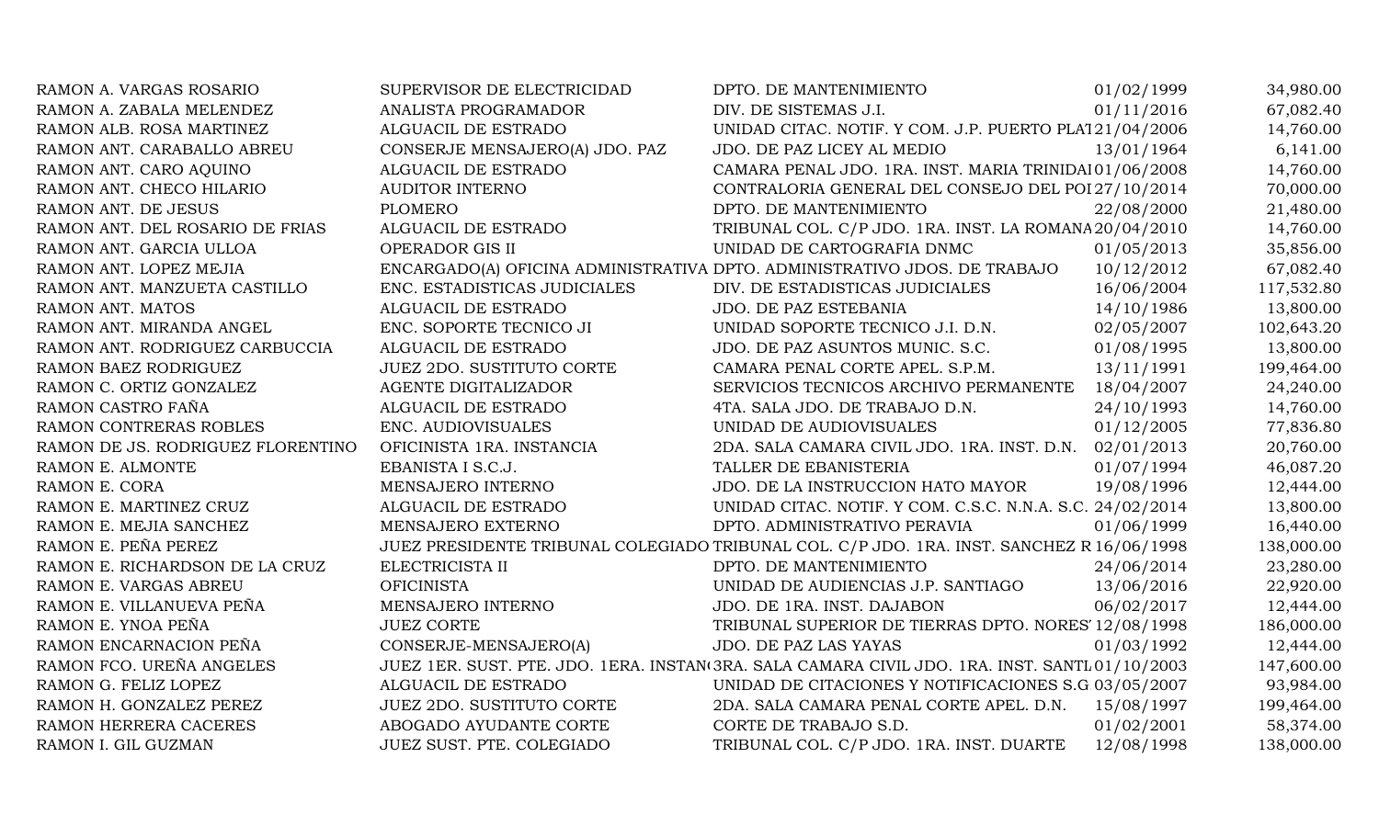| RAMON A. VARGAS ROSARIO           | SUPERVISOR DE ELECTRICIDAD       | DPTO. DE MANTENIMIENTO                                                                         | 01/02/1999 | 34,980.00  |
|-----------------------------------|----------------------------------|------------------------------------------------------------------------------------------------|------------|------------|
| RAMON A. ZABALA MELENDEZ          | ANALISTA PROGRAMADOR             | DIV. DE SISTEMAS J.I.                                                                          | 01/11/2016 | 67,082.40  |
| RAMON ALB. ROSA MARTINEZ          | ALGUACIL DE ESTRADO              | UNIDAD CITAC. NOTIF. Y COM. J.P. PUERTO PLA121/04/2006                                         |            | 14,760.00  |
| RAMON ANT. CARABALLO ABREU        | CONSERJE MENSAJERO(A) JDO. PAZ   | JDO. DE PAZ LICEY AL MEDIO                                                                     | 13/01/1964 | 6,141.00   |
| RAMON ANT. CARO AQUINO            | ALGUACIL DE ESTRADO              | CAMARA PENAL JDO. 1RA. INST. MARIA TRINIDAI 01/06/2008                                         |            | 14,760.00  |
| RAMON ANT. CHECO HILARIO          | <b>AUDITOR INTERNO</b>           | CONTRALORIA GENERAL DEL CONSEJO DEL POI 27/10/2014                                             |            | 70,000.00  |
| RAMON ANT. DE JESUS               | <b>PLOMERO</b>                   | DPTO. DE MANTENIMIENTO                                                                         | 22/08/2000 | 21,480.00  |
| RAMON ANT. DEL ROSARIO DE FRIAS   | ALGUACIL DE ESTRADO              | TRIBUNAL COL. C/P JDO. 1RA. INST. LA ROMANA 20/04/2010                                         |            | 14,760.00  |
| RAMON ANT. GARCIA ULLOA           | OPERADOR GIS II                  | UNIDAD DE CARTOGRAFIA DNMC                                                                     | 01/05/2013 | 35,856.00  |
| RAMON ANT. LOPEZ MEJIA            |                                  | ENCARGADO(A) OFICINA ADMINISTRATIVA DPTO. ADMINISTRATIVO JDOS. DE TRABAJO                      | 10/12/2012 | 67,082.40  |
| RAMON ANT. MANZUETA CASTILLO      | ENC. ESTADISTICAS JUDICIALES     | DIV. DE ESTADISTICAS JUDICIALES                                                                | 16/06/2004 | 117,532.80 |
| RAMON ANT. MATOS                  | ALGUACIL DE ESTRADO              | JDO. DE PAZ ESTEBANIA                                                                          | 14/10/1986 | 13,800.00  |
| RAMON ANT. MIRANDA ANGEL          | ENC. SOPORTE TECNICO JI          | UNIDAD SOPORTE TECNICO J.I. D.N.                                                               | 02/05/2007 | 102,643.20 |
| RAMON ANT. RODRIGUEZ CARBUCCIA    | ALGUACIL DE ESTRADO              | JDO. DE PAZ ASUNTOS MUNIC. S.C.                                                                | 01/08/1995 | 13,800.00  |
| RAMON BAEZ RODRIGUEZ              | <b>JUEZ 2DO. SUSTITUTO CORTE</b> | CAMARA PENAL CORTE APEL. S.P.M.                                                                | 13/11/1991 | 199,464.00 |
| RAMON C. ORTIZ GONZALEZ           | AGENTE DIGITALIZADOR             | SERVICIOS TECNICOS ARCHIVO PERMANENTE                                                          | 18/04/2007 | 24,240.00  |
| RAMON CASTRO FAÑA                 | ALGUACIL DE ESTRADO              | 4TA. SALA JDO. DE TRABAJO D.N.                                                                 | 24/10/1993 | 14,760.00  |
| RAMON CONTRERAS ROBLES            | ENC. AUDIOVISUALES               | UNIDAD DE AUDIOVISUALES                                                                        | 01/12/2005 | 77,836.80  |
| RAMON DE JS. RODRIGUEZ FLORENTINO | OFICINISTA 1RA. INSTANCIA        | 2DA. SALA CAMARA CIVIL JDO. 1RA. INST. D.N.                                                    | 02/01/2013 | 20,760.00  |
| RAMON E. ALMONTE                  | EBANISTA I S.C.J.                | TALLER DE EBANISTERIA                                                                          | 01/07/1994 | 46,087.20  |
| RAMON E. CORA                     | MENSAJERO INTERNO                | JDO. DE LA INSTRUCCION HATO MAYOR                                                              | 19/08/1996 | 12,444.00  |
| RAMON E. MARTINEZ CRUZ            | ALGUACIL DE ESTRADO              | UNIDAD CITAC. NOTIF. Y COM. C.S.C. N.N.A. S.C. 24/02/2014                                      |            | 13,800.00  |
| RAMON E. MEJIA SANCHEZ            | MENSAJERO EXTERNO                | DPTO. ADMINISTRATIVO PERAVIA                                                                   | 01/06/1999 | 16,440.00  |
| RAMON E. PEÑA PEREZ               |                                  | JUEZ PRESIDENTE TRIBUNAL COLEGIADO TRIBUNAL COL. C/P JDO. 1RA. INST. SANCHEZ R 16/06/1998      |            | 138,000.00 |
| RAMON E. RICHARDSON DE LA CRUZ    | ELECTRICISTA II                  | DPTO. DE MANTENIMIENTO                                                                         | 24/06/2014 | 23,280.00  |
| RAMON E. VARGAS ABREU             | <b>OFICINISTA</b>                | UNIDAD DE AUDIENCIAS J.P. SANTIAGO                                                             | 13/06/2016 | 22,920.00  |
| RAMON E. VILLANUEVA PEÑA          | MENSAJERO INTERNO                | JDO. DE 1RA. INST. DAJABON                                                                     | 06/02/2017 | 12,444.00  |
| RAMON E. YNOA PEÑA                | <b>JUEZ CORTE</b>                | TRIBUNAL SUPERIOR DE TIERRAS DPTO. NORES' 12/08/1998                                           |            | 186,000.00 |
| RAMON ENCARNACION PEÑA            | CONSERJE-MENSAJERO(A)            | JDO. DE PAZ LAS YAYAS                                                                          | 01/03/1992 | 12,444.00  |
| RAMON FCO. UREÑA ANGELES          |                                  | JUEZ 1ER. SUST. PTE. JDO. 1ERA. INSTAN(3RA. SALA CAMARA CIVIL JDO. 1RA. INST. SANTI.01/10/2003 |            | 147,600.00 |
| RAMON G. FELIZ LOPEZ              | ALGUACIL DE ESTRADO              | UNIDAD DE CITACIONES Y NOTIFICACIONES S.G 03/05/2007                                           |            | 93,984.00  |
| RAMON H. GONZALEZ PEREZ           | JUEZ 2DO. SUSTITUTO CORTE        | 2DA. SALA CAMARA PENAL CORTE APEL. D.N. 15/08/1997                                             |            | 199,464.00 |
| RAMON HERRERA CACERES             | ABOGADO AYUDANTE CORTE           | CORTE DE TRABAJO S.D.                                                                          | 01/02/2001 | 58,374.00  |
| RAMON I. GIL GUZMAN               | JUEZ SUST. PTE. COLEGIADO        | TRIBUNAL COL. C/P JDO. 1RA. INST. DUARTE                                                       | 12/08/1998 | 138,000.00 |
|                                   |                                  |                                                                                                |            |            |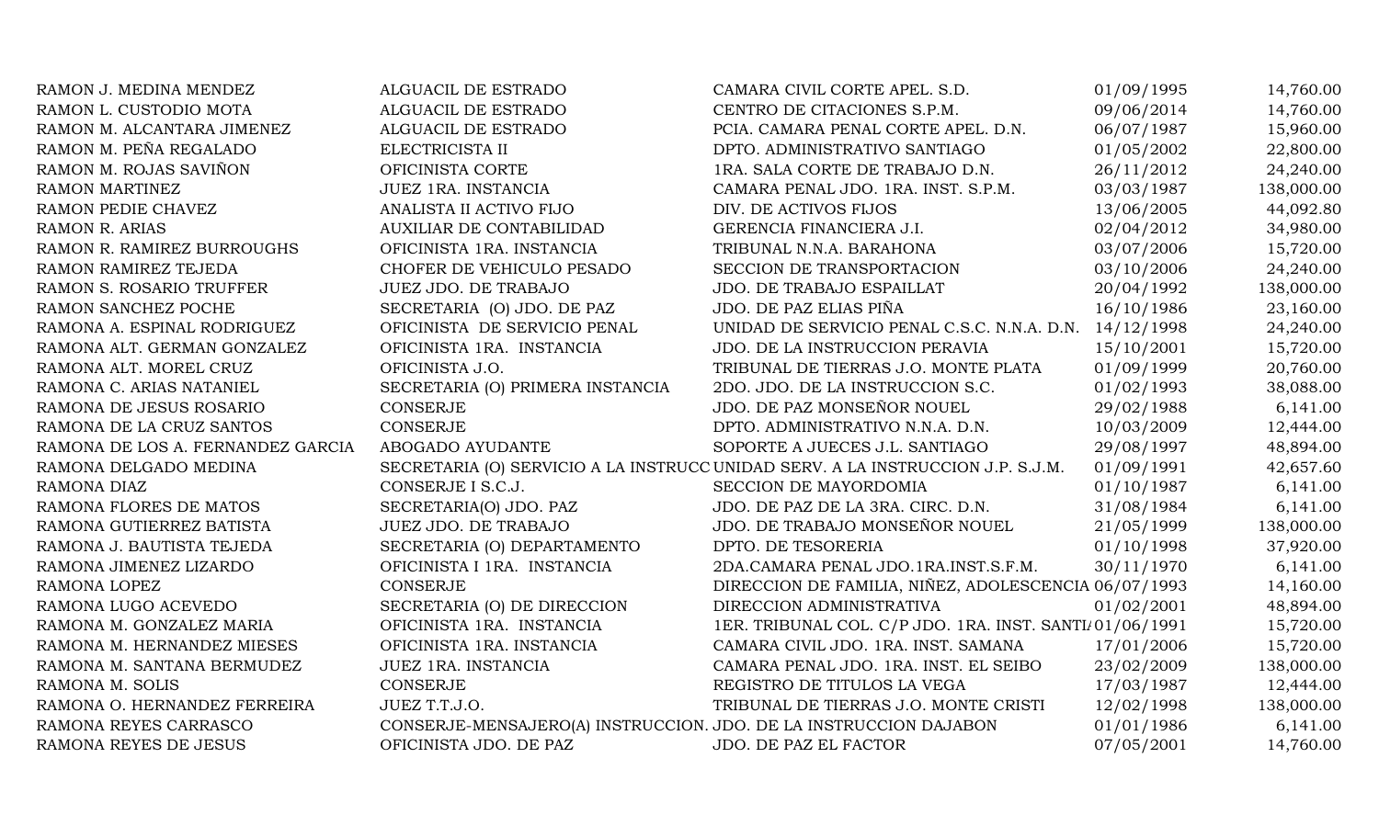| RAMON J. MEDINA MENDEZ            | ALGUACIL DE ESTRADO                                               | CAMARA CIVIL CORTE APEL. S.D.                                                   | 01/09/1995 | 14,760.00  |
|-----------------------------------|-------------------------------------------------------------------|---------------------------------------------------------------------------------|------------|------------|
| RAMON L. CUSTODIO MOTA            | ALGUACIL DE ESTRADO                                               | CENTRO DE CITACIONES S.P.M.                                                     | 09/06/2014 | 14,760.00  |
| RAMON M. ALCANTARA JIMENEZ        | ALGUACIL DE ESTRADO                                               | PCIA. CAMARA PENAL CORTE APEL. D.N.                                             | 06/07/1987 | 15,960.00  |
| RAMON M. PEÑA REGALADO            | ELECTRICISTA II                                                   | DPTO. ADMINISTRATIVO SANTIAGO                                                   | 01/05/2002 | 22,800.00  |
| RAMON M. ROJAS SAVIÑON            | OFICINISTA CORTE                                                  | 1RA. SALA CORTE DE TRABAJO D.N.                                                 | 26/11/2012 | 24,240.00  |
| RAMON MARTINEZ                    | JUEZ 1RA. INSTANCIA                                               | CAMARA PENAL JDO. 1RA. INST. S.P.M.                                             | 03/03/1987 | 138,000.00 |
| RAMON PEDIE CHAVEZ                | ANALISTA II ACTIVO FIJO                                           | DIV. DE ACTIVOS FIJOS                                                           | 13/06/2005 | 44,092.80  |
| <b>RAMON R. ARIAS</b>             | AUXILIAR DE CONTABILIDAD                                          | GERENCIA FINANCIERA J.I.                                                        | 02/04/2012 | 34,980.00  |
| RAMON R. RAMIREZ BURROUGHS        | OFICINISTA 1RA. INSTANCIA                                         | TRIBUNAL N.N.A. BARAHONA                                                        | 03/07/2006 | 15,720.00  |
| RAMON RAMIREZ TEJEDA              | CHOFER DE VEHICULO PESADO                                         | SECCION DE TRANSPORTACION                                                       | 03/10/2006 | 24,240.00  |
| RAMON S. ROSARIO TRUFFER          | JUEZ JDO. DE TRABAJO                                              | JDO. DE TRABAJO ESPAILLAT                                                       | 20/04/1992 | 138,000.00 |
| RAMON SANCHEZ POCHE               | SECRETARIA (O) JDO. DE PAZ                                        | JDO. DE PAZ ELIAS PIÑA                                                          | 16/10/1986 | 23,160.00  |
| RAMONA A. ESPINAL RODRIGUEZ       | OFICINISTA DE SERVICIO PENAL                                      | UNIDAD DE SERVICIO PENAL C.S.C. N.N.A. D.N. 14/12/1998                          |            | 24,240.00  |
| RAMONA ALT. GERMAN GONZALEZ       | OFICINISTA 1RA. INSTANCIA                                         | JDO. DE LA INSTRUCCION PERAVIA                                                  | 15/10/2001 | 15,720.00  |
| RAMONA ALT. MOREL CRUZ            | OFICINISTA J.O.                                                   | TRIBUNAL DE TIERRAS J.O. MONTE PLATA                                            | 01/09/1999 | 20,760.00  |
| RAMONA C. ARIAS NATANIEL          | SECRETARIA (O) PRIMERA INSTANCIA                                  | 2DO. JDO. DE LA INSTRUCCION S.C.                                                | 01/02/1993 | 38,088.00  |
| RAMONA DE JESUS ROSARIO           | <b>CONSERJE</b>                                                   | JDO. DE PAZ MONSEÑOR NOUEL                                                      | 29/02/1988 | 6,141.00   |
| RAMONA DE LA CRUZ SANTOS          | <b>CONSERJE</b>                                                   | DPTO. ADMINISTRATIVO N.N.A. D.N.                                                | 10/03/2009 | 12,444.00  |
| RAMONA DE LOS A. FERNANDEZ GARCIA | ABOGADO AYUDANTE                                                  | SOPORTE A JUECES J.L. SANTIAGO                                                  | 29/08/1997 | 48,894.00  |
| RAMONA DELGADO MEDINA             |                                                                   | SECRETARIA (O) SERVICIO A LA INSTRUCC UNIDAD SERV. A LA INSTRUCCION J.P. S.J.M. | 01/09/1991 | 42,657.60  |
| RAMONA DIAZ                       | CONSERJE I S.C.J.                                                 | SECCION DE MAYORDOMIA                                                           | 01/10/1987 | 6,141.00   |
| RAMONA FLORES DE MATOS            | SECRETARIA(O) JDO. PAZ                                            | JDO. DE PAZ DE LA 3RA. CIRC. D.N.                                               | 31/08/1984 | 6,141.00   |
| RAMONA GUTIERREZ BATISTA          | JUEZ JDO. DE TRABAJO                                              | JDO. DE TRABAJO MONSEÑOR NOUEL                                                  | 21/05/1999 | 138,000.00 |
| RAMONA J. BAUTISTA TEJEDA         | SECRETARIA (O) DEPARTAMENTO                                       | DPTO. DE TESORERIA                                                              | 01/10/1998 | 37,920.00  |
| RAMONA JIMENEZ LIZARDO            | OFICINISTA I 1RA. INSTANCIA                                       | 2DA.CAMARA PENAL JDO.1RA.INST.S.F.M.                                            | 30/11/1970 | 6,141.00   |
| RAMONA LOPEZ                      | <b>CONSERJE</b>                                                   | DIRECCION DE FAMILIA, NIÑEZ, ADOLESCENCIA 06/07/1993                            |            | 14,160.00  |
| RAMONA LUGO ACEVEDO               | SECRETARIA (O) DE DIRECCION                                       | DIRECCION ADMINISTRATIVA                                                        | 01/02/2001 | 48,894.00  |
| RAMONA M. GONZALEZ MARIA          | OFICINISTA 1RA. INSTANCIA                                         | 1ER. TRIBUNAL COL. C/P JDO. 1RA. INST. SANTI/01/06/1991                         |            | 15,720.00  |
| RAMONA M. HERNANDEZ MIESES        | OFICINISTA 1RA. INSTANCIA                                         | CAMARA CIVIL JDO. 1RA. INST. SAMANA                                             | 17/01/2006 | 15,720.00  |
| RAMONA M. SANTANA BERMUDEZ        | JUEZ 1RA. INSTANCIA                                               | CAMARA PENAL JDO. 1RA. INST. EL SEIBO                                           | 23/02/2009 | 138,000.00 |
| RAMONA M. SOLIS                   | <b>CONSERJE</b>                                                   | REGISTRO DE TITULOS LA VEGA                                                     | 17/03/1987 | 12,444.00  |
| RAMONA O. HERNANDEZ FERREIRA      | JUEZ T.T.J.O.                                                     | TRIBUNAL DE TIERRAS J.O. MONTE CRISTI                                           | 12/02/1998 | 138,000.00 |
| RAMONA REYES CARRASCO             | CONSERJE-MENSAJERO(A) INSTRUCCION. JDO. DE LA INSTRUCCION DAJABON |                                                                                 | 01/01/1986 | 6,141.00   |
| RAMONA REYES DE JESUS             | OFICINISTA JDO. DE PAZ                                            | JDO. DE PAZ EL FACTOR                                                           | 07/05/2001 | 14,760.00  |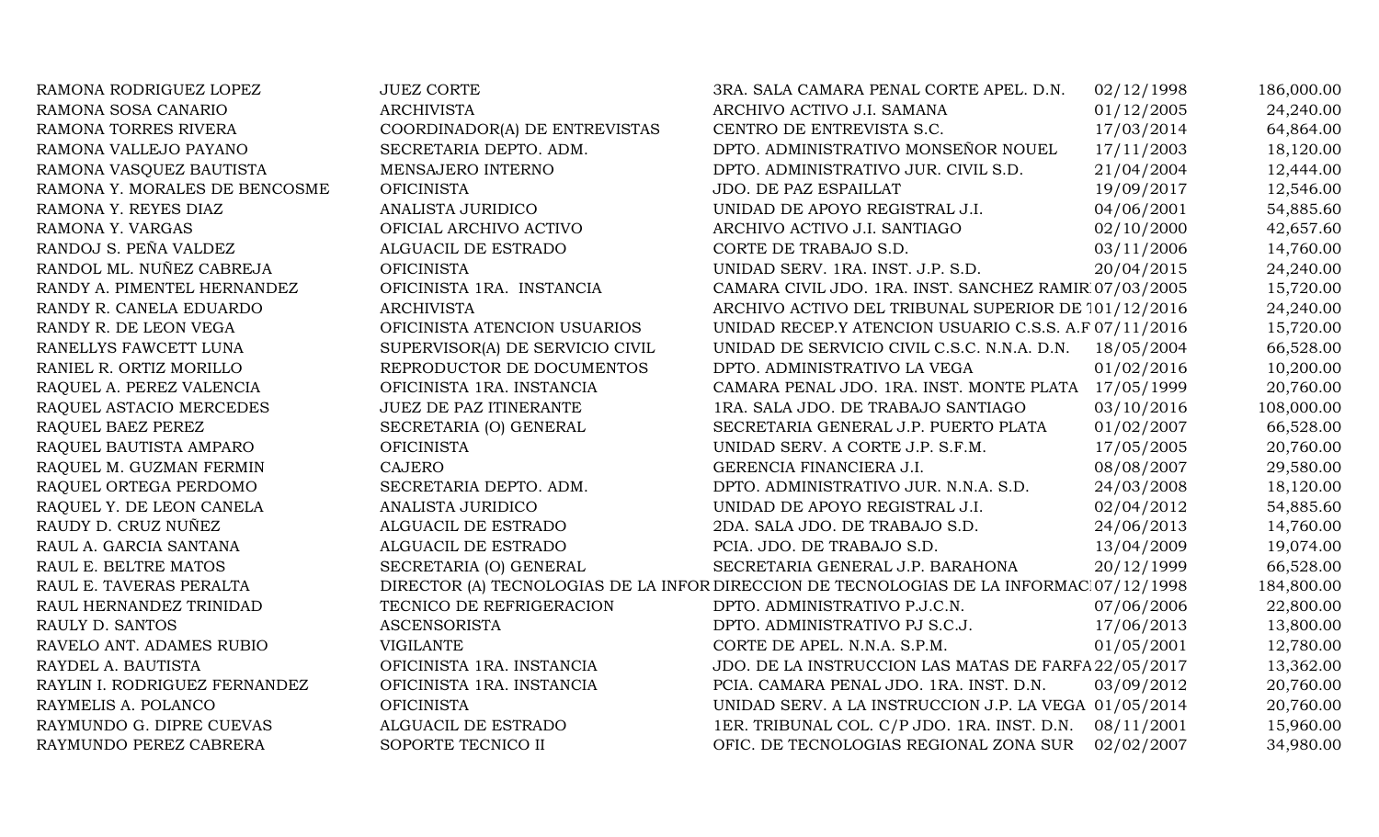| RAMONA RODRIGUEZ LOPEZ        | <b>JUEZ CORTE</b>               | 3RA. SALA CAMARA PENAL CORTE APEL. D.N.                                                 | 02/12/1998 | 186,000.00 |
|-------------------------------|---------------------------------|-----------------------------------------------------------------------------------------|------------|------------|
| RAMONA SOSA CANARIO           | <b>ARCHIVISTA</b>               | ARCHIVO ACTIVO J.I. SAMANA                                                              | 01/12/2005 | 24,240.00  |
| RAMONA TORRES RIVERA          | COORDINADOR(A) DE ENTREVISTAS   | CENTRO DE ENTREVISTA S.C.                                                               | 17/03/2014 | 64,864.00  |
| RAMONA VALLEJO PAYANO         | SECRETARIA DEPTO. ADM.          | DPTO. ADMINISTRATIVO MONSEÑOR NOUEL                                                     | 17/11/2003 | 18,120.00  |
| RAMONA VASQUEZ BAUTISTA       | MENSAJERO INTERNO               | DPTO. ADMINISTRATIVO JUR. CIVIL S.D.                                                    | 21/04/2004 | 12,444.00  |
| RAMONA Y. MORALES DE BENCOSME | <b>OFICINISTA</b>               | JDO. DE PAZ ESPAILLAT                                                                   | 19/09/2017 | 12,546.00  |
| RAMONA Y. REYES DIAZ          | ANALISTA JURIDICO               | UNIDAD DE APOYO REGISTRAL J.I.                                                          | 04/06/2001 | 54,885.60  |
| RAMONA Y. VARGAS              | OFICIAL ARCHIVO ACTIVO          | ARCHIVO ACTIVO J.I. SANTIAGO                                                            | 02/10/2000 | 42,657.60  |
| RANDOJ S. PEÑA VALDEZ         | ALGUACIL DE ESTRADO             | CORTE DE TRABAJO S.D.                                                                   | 03/11/2006 | 14,760.00  |
| RANDOL ML. NUÑEZ CABREJA      | <b>OFICINISTA</b>               | UNIDAD SERV. 1RA. INST. J.P. S.D.                                                       | 20/04/2015 | 24,240.00  |
| RANDY A. PIMENTEL HERNANDEZ   | OFICINISTA 1RA. INSTANCIA       | CAMARA CIVIL JDO. 1RA. INST. SANCHEZ RAMIR 07/03/2005                                   |            | 15,720.00  |
| RANDY R. CANELA EDUARDO       | <b>ARCHIVISTA</b>               | ARCHIVO ACTIVO DEL TRIBUNAL SUPERIOR DE 101/12/2016                                     |            | 24,240.00  |
| RANDY R. DE LEON VEGA         | OFICINISTA ATENCION USUARIOS    | UNIDAD RECEP.Y ATENCION USUARIO C.S.S. A.F 07/11/2016                                   |            | 15,720.00  |
| RANELLYS FAWCETT LUNA         | SUPERVISOR(A) DE SERVICIO CIVIL | UNIDAD DE SERVICIO CIVIL C.S.C. N.N.A. D.N.                                             | 18/05/2004 | 66,528.00  |
| RANIEL R. ORTIZ MORILLO       | REPRODUCTOR DE DOCUMENTOS       | DPTO. ADMINISTRATIVO LA VEGA                                                            | 01/02/2016 | 10,200.00  |
| RAQUEL A. PEREZ VALENCIA      | OFICINISTA 1RA. INSTANCIA       | CAMARA PENAL JDO. 1RA. INST. MONTE PLATA 17/05/1999                                     |            | 20,760.00  |
| RAQUEL ASTACIO MERCEDES       | JUEZ DE PAZ ITINERANTE          | 1RA. SALA JDO. DE TRABAJO SANTIAGO                                                      | 03/10/2016 | 108,000.00 |
| RAQUEL BAEZ PEREZ             | SECRETARIA (O) GENERAL          | SECRETARIA GENERAL J.P. PUERTO PLATA                                                    | 01/02/2007 | 66,528.00  |
| RAQUEL BAUTISTA AMPARO        | <b>OFICINISTA</b>               | UNIDAD SERV. A CORTE J.P. S.F.M.                                                        | 17/05/2005 | 20,760.00  |
| RAQUEL M. GUZMAN FERMIN       | <b>CAJERO</b>                   | GERENCIA FINANCIERA J.I.                                                                | 08/08/2007 | 29,580.00  |
| RAQUEL ORTEGA PERDOMO         | SECRETARIA DEPTO. ADM.          | DPTO. ADMINISTRATIVO JUR. N.N.A. S.D.                                                   | 24/03/2008 | 18,120.00  |
| RAQUEL Y. DE LEON CANELA      | ANALISTA JURIDICO               | UNIDAD DE APOYO REGISTRAL J.I.                                                          | 02/04/2012 | 54,885.60  |
| RAUDY D. CRUZ NUÑEZ           | ALGUACIL DE ESTRADO             | 2DA. SALA JDO. DE TRABAJO S.D.                                                          | 24/06/2013 | 14,760.00  |
| RAUL A. GARCIA SANTANA        | ALGUACIL DE ESTRADO             | PCIA. JDO. DE TRABAJO S.D.                                                              | 13/04/2009 | 19,074.00  |
| RAUL E. BELTRE MATOS          | SECRETARIA (O) GENERAL          | SECRETARIA GENERAL J.P. BARAHONA                                                        | 20/12/1999 | 66,528.00  |
| RAUL E. TAVERAS PERALTA       |                                 | DIRECTOR (A) TECNOLOGIAS DE LA INFOR DIRECCION DE TECNOLOGIAS DE LA INFORMAC 07/12/1998 |            | 184,800.00 |
| RAUL HERNANDEZ TRINIDAD       | TECNICO DE REFRIGERACION        | DPTO. ADMINISTRATIVO P.J.C.N.                                                           | 07/06/2006 | 22,800.00  |
| RAULY D. SANTOS               | <b>ASCENSORISTA</b>             | DPTO. ADMINISTRATIVO PJ S.C.J.                                                          | 17/06/2013 | 13,800.00  |
| RAVELO ANT. ADAMES RUBIO      | <b>VIGILANTE</b>                | CORTE DE APEL. N.N.A. S.P.M.                                                            | 01/05/2001 | 12,780.00  |
| RAYDEL A. BAUTISTA            | OFICINISTA 1RA. INSTANCIA       | JDO. DE LA INSTRUCCION LAS MATAS DE FARFA 22/05/2017                                    |            | 13,362.00  |
| RAYLIN I. RODRIGUEZ FERNANDEZ | OFICINISTA 1RA. INSTANCIA       | PCIA. CAMARA PENAL JDO. 1RA. INST. D.N.                                                 | 03/09/2012 | 20,760.00  |
| RAYMELIS A. POLANCO           | <b>OFICINISTA</b>               | UNIDAD SERV. A LA INSTRUCCION J.P. LA VEGA 01/05/2014                                   |            | 20,760.00  |
| RAYMUNDO G. DIPRE CUEVAS      | ALGUACIL DE ESTRADO             | 1ER. TRIBUNAL COL. C/P JDO. 1RA. INST. D.N.                                             | 08/11/2001 | 15,960.00  |
| RAYMUNDO PEREZ CABRERA        | SOPORTE TECNICO II              | OFIC. DE TECNOLOGIAS REGIONAL ZONA SUR                                                  | 02/02/2007 | 34,980.00  |
|                               |                                 |                                                                                         |            |            |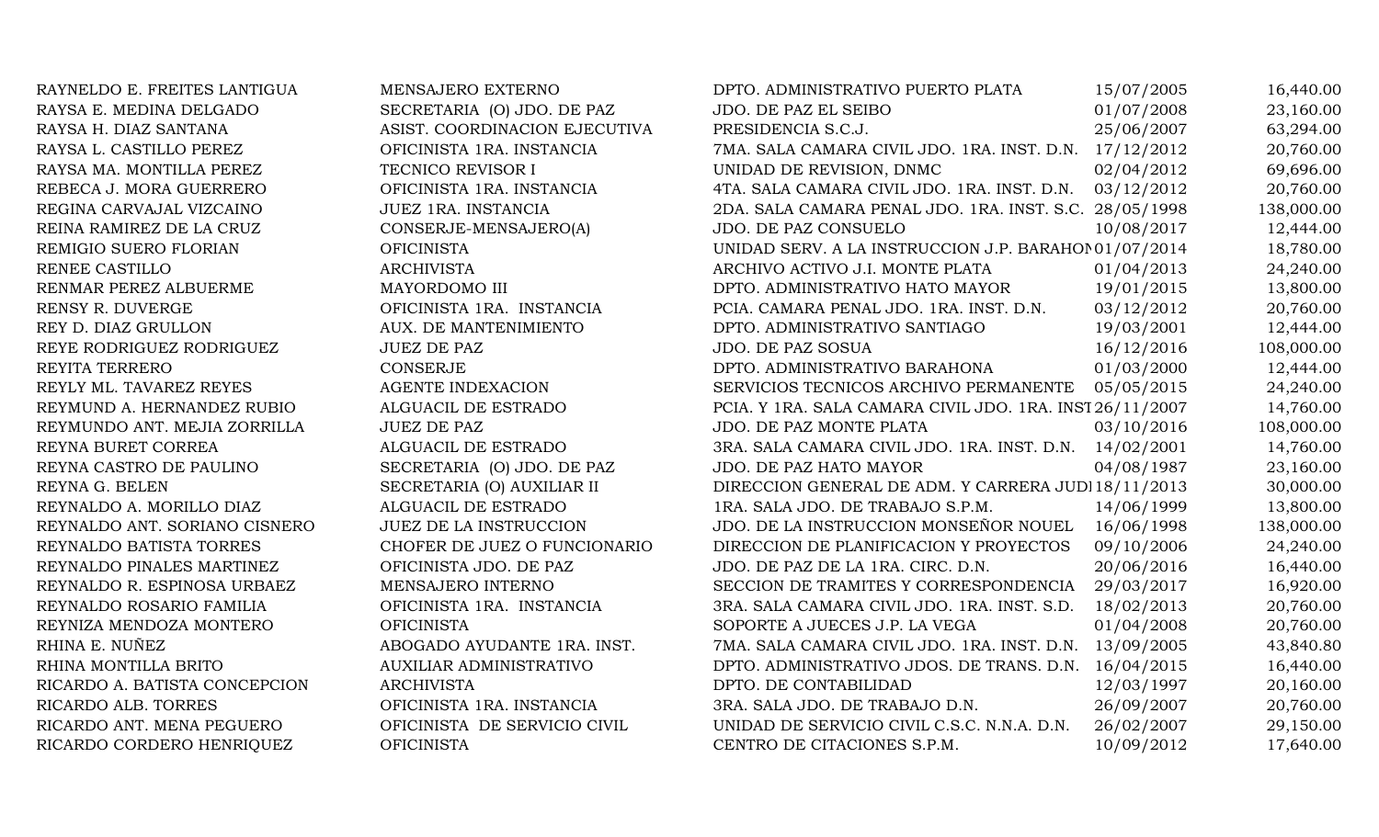| RAYNELDO E. FREITES LANTIGUA  | MENSAJERO EXTERNO              | DPTO. ADMINISTRATIVO PUERTO PLATA                        | 15/07/2005 | 16,440.00  |
|-------------------------------|--------------------------------|----------------------------------------------------------|------------|------------|
| RAYSA E. MEDINA DELGADO       | SECRETARIA (O) JDO. DE PAZ     | JDO. DE PAZ EL SEIBO                                     | 01/07/2008 | 23,160.00  |
| RAYSA H. DIAZ SANTANA         | ASIST. COORDINACION EJECUTIVA  | PRESIDENCIA S.C.J.                                       | 25/06/2007 | 63,294.00  |
| RAYSA L. CASTILLO PEREZ       | OFICINISTA 1RA. INSTANCIA      | 7MA. SALA CAMARA CIVIL JDO. 1RA. INST. D.N. 17/12/2012   |            | 20,760.00  |
| RAYSA MA. MONTILLA PEREZ      | TECNICO REVISOR I              | UNIDAD DE REVISION, DNMC                                 | 02/04/2012 | 69,696.00  |
| REBECA J. MORA GUERRERO       | OFICINISTA 1RA. INSTANCIA      | 4TA. SALA CAMARA CIVIL JDO. 1RA. INST. D.N. 03/12/2012   |            | 20,760.00  |
| REGINA CARVAJAL VIZCAINO      | JUEZ 1RA. INSTANCIA            | 2DA. SALA CAMARA PENAL JDO. 1RA. INST. S.C. 28/05/1998   |            | 138,000.00 |
| REINA RAMIREZ DE LA CRUZ      | CONSERJE-MENSAJERO(A)          | JDO. DE PAZ CONSUELO                                     | 10/08/2017 | 12,444.00  |
| REMIGIO SUERO FLORIAN         | <b>OFICINISTA</b>              | UNIDAD SERV. A LA INSTRUCCION J.P. BARAHOI 01/07/2014    |            | 18,780.00  |
| RENEE CASTILLO                | <b>ARCHIVISTA</b>              | ARCHIVO ACTIVO J.I. MONTE PLATA                          | 01/04/2013 | 24,240.00  |
| RENMAR PEREZ ALBUERME         | MAYORDOMO III                  | DPTO. ADMINISTRATIVO HATO MAYOR                          | 19/01/2015 | 13,800.00  |
| RENSY R. DUVERGE              | OFICINISTA 1RA. INSTANCIA      | PCIA. CAMARA PENAL JDO. 1RA. INST. D.N.                  | 03/12/2012 | 20,760.00  |
| REY D. DIAZ GRULLON           | AUX. DE MANTENIMIENTO          | DPTO. ADMINISTRATIVO SANTIAGO                            | 19/03/2001 | 12,444.00  |
| REYE RODRIGUEZ RODRIGUEZ      | <b>JUEZ DE PAZ</b>             | <b>JDO. DE PAZ SOSUA</b>                                 | 16/12/2016 | 108,000.00 |
| REYITA TERRERO                | <b>CONSERJE</b>                | DPTO. ADMINISTRATIVO BARAHONA                            | 01/03/2000 | 12,444.00  |
| REYLY ML. TAVAREZ REYES       | <b>AGENTE INDEXACION</b>       | SERVICIOS TECNICOS ARCHIVO PERMANENTE                    | 05/05/2015 | 24,240.00  |
| REYMUND A. HERNANDEZ RUBIO    | ALGUACIL DE ESTRADO            | PCIA. Y 1RA. SALA CAMARA CIVIL JDO. 1RA. INST 26/11/2007 |            | 14,760.00  |
| REYMUNDO ANT. MEJIA ZORRILLA  | <b>JUEZ DE PAZ</b>             | JDO. DE PAZ MONTE PLATA                                  | 03/10/2016 | 108,000.00 |
| REYNA BURET CORREA            | ALGUACIL DE ESTRADO            | 3RA. SALA CAMARA CIVIL JDO. 1RA. INST. D.N.              | 14/02/2001 | 14,760.00  |
| REYNA CASTRO DE PAULINO       | SECRETARIA (O) JDO. DE PAZ     | JDO. DE PAZ HATO MAYOR                                   | 04/08/1987 | 23,160.00  |
| REYNA G. BELEN                | SECRETARIA (O) AUXILIAR II     | DIRECCION GENERAL DE ADM. Y CARRERA JUDI 18/11/2013      |            | 30,000.00  |
| REYNALDO A. MORILLO DIAZ      | ALGUACIL DE ESTRADO            | 1RA. SALA JDO. DE TRABAJO S.P.M.                         | 14/06/1999 | 13,800.00  |
| REYNALDO ANT. SORIANO CISNERO | <b>JUEZ DE LA INSTRUCCION</b>  | JDO. DE LA INSTRUCCION MONSEÑOR NOUEL                    | 16/06/1998 | 138,000.00 |
| REYNALDO BATISTA TORRES       | CHOFER DE JUEZ O FUNCIONARIO   | DIRECCION DE PLANIFICACION Y PROYECTOS                   | 09/10/2006 | 24,240.00  |
| REYNALDO PINALES MARTINEZ     | OFICINISTA JDO. DE PAZ         | JDO. DE PAZ DE LA 1RA. CIRC. D.N.                        | 20/06/2016 | 16,440.00  |
| REYNALDO R. ESPINOSA URBAEZ   | MENSAJERO INTERNO              | SECCION DE TRAMITES Y CORRESPONDENCIA                    | 29/03/2017 | 16,920.00  |
| REYNALDO ROSARIO FAMILIA      | OFICINISTA 1RA. INSTANCIA      | 3RA. SALA CAMARA CIVIL JDO. 1RA. INST. S.D.              | 18/02/2013 | 20,760.00  |
| REYNIZA MENDOZA MONTERO       | <b>OFICINISTA</b>              | SOPORTE A JUECES J.P. LA VEGA                            | 01/04/2008 | 20,760.00  |
| RHINA E. NUÑEZ                | ABOGADO AYUDANTE 1RA. INST.    | 7MA. SALA CAMARA CIVIL JDO. 1RA. INST. D.N.              | 13/09/2005 | 43,840.80  |
| RHINA MONTILLA BRITO          | <b>AUXILIAR ADMINISTRATIVO</b> | DPTO. ADMINISTRATIVO JDOS. DE TRANS. D.N. 16/04/2015     |            | 16,440.00  |
| RICARDO A. BATISTA CONCEPCION | <b>ARCHIVISTA</b>              | DPTO. DE CONTABILIDAD                                    | 12/03/1997 | 20,160.00  |
| RICARDO ALB. TORRES           | OFICINISTA 1RA. INSTANCIA      | 3RA. SALA JDO. DE TRABAJO D.N.                           | 26/09/2007 | 20,760.00  |
| RICARDO ANT. MENA PEGUERO     | OFICINISTA DE SERVICIO CIVIL   | UNIDAD DE SERVICIO CIVIL C.S.C. N.N.A. D.N.              | 26/02/2007 | 29,150.00  |
| RICARDO CORDERO HENRIQUEZ     | <b>OFICINISTA</b>              | CENTRO DE CITACIONES S.P.M.                              | 10/09/2012 | 17,640.00  |
|                               |                                |                                                          |            |            |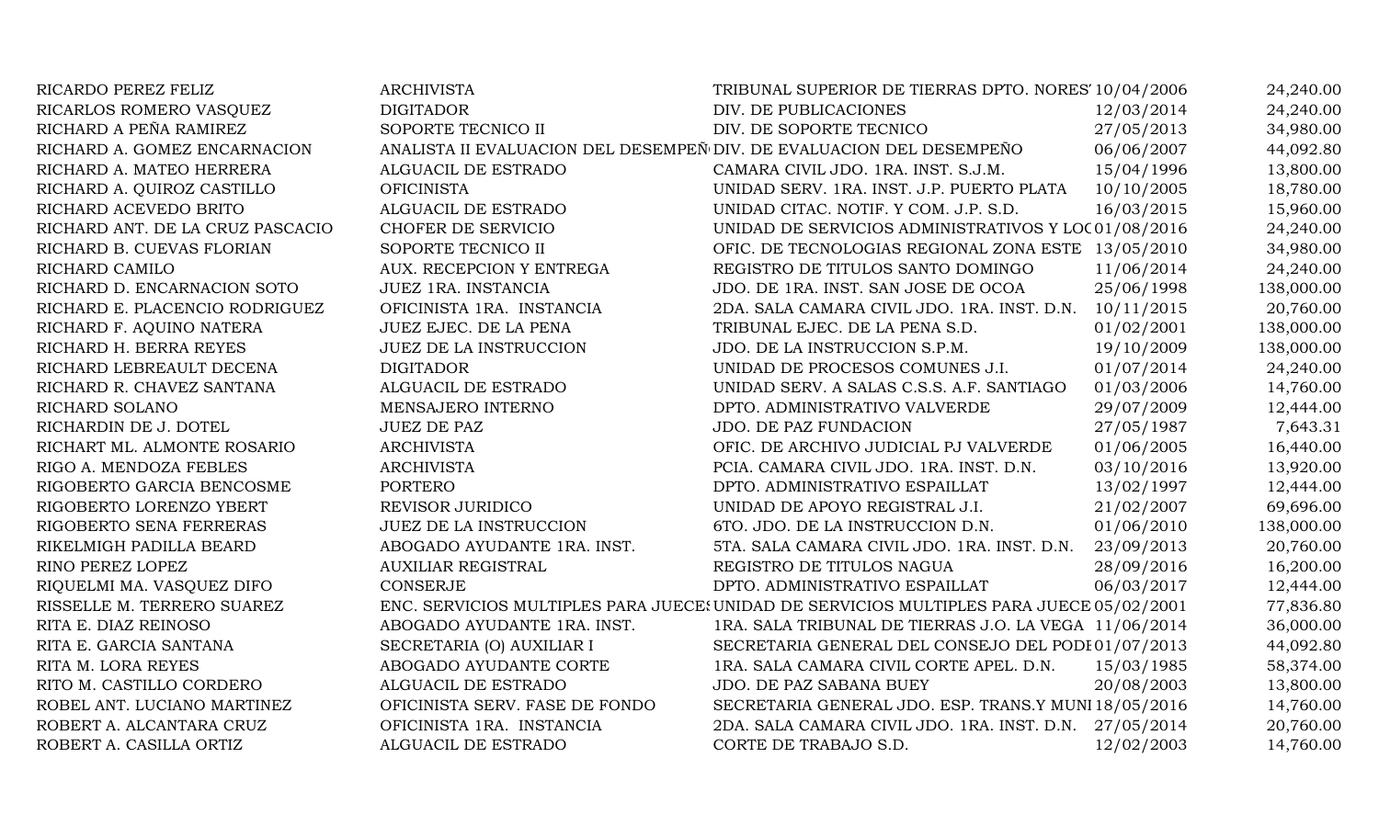| RICARDO PEREZ FELIZ              | <b>ARCHIVISTA</b>                                                    | TRIBUNAL SUPERIOR DE TIERRAS DPTO. NORES' 10/04/2006                                     |            | 24,240.00  |
|----------------------------------|----------------------------------------------------------------------|------------------------------------------------------------------------------------------|------------|------------|
| RICARLOS ROMERO VASQUEZ          | <b>DIGITADOR</b>                                                     | DIV. DE PUBLICACIONES                                                                    | 12/03/2014 | 24,240.00  |
| RICHARD A PEÑA RAMIREZ           | SOPORTE TECNICO II                                                   | DIV. DE SOPORTE TECNICO                                                                  | 27/05/2013 | 34,980.00  |
| RICHARD A. GOMEZ ENCARNACION     | ANALISTA II EVALUACION DEL DESEMPEÑ DIV. DE EVALUACION DEL DESEMPEÑO |                                                                                          | 06/06/2007 | 44,092.80  |
| RICHARD A. MATEO HERRERA         | ALGUACIL DE ESTRADO                                                  | CAMARA CIVIL JDO. 1RA. INST. S.J.M.                                                      | 15/04/1996 | 13,800.00  |
| RICHARD A. QUIROZ CASTILLO       | <b>OFICINISTA</b>                                                    | UNIDAD SERV. 1RA. INST. J.P. PUERTO PLATA                                                | 10/10/2005 | 18,780.00  |
| RICHARD ACEVEDO BRITO            | ALGUACIL DE ESTRADO                                                  | UNIDAD CITAC. NOTIF. Y COM. J.P. S.D.                                                    | 16/03/2015 | 15,960.00  |
| RICHARD ANT. DE LA CRUZ PASCACIO | CHOFER DE SERVICIO                                                   | UNIDAD DE SERVICIOS ADMINISTRATIVOS Y LOC01/08/2016                                      |            | 24,240.00  |
| RICHARD B. CUEVAS FLORIAN        | SOPORTE TECNICO II                                                   | OFIC. DE TECNOLOGIAS REGIONAL ZONA ESTE 13/05/2010                                       |            | 34,980.00  |
| RICHARD CAMILO                   | AUX. RECEPCION Y ENTREGA                                             | REGISTRO DE TITULOS SANTO DOMINGO                                                        | 11/06/2014 | 24,240.00  |
| RICHARD D. ENCARNACION SOTO      | JUEZ 1RA. INSTANCIA                                                  | JDO. DE 1RA. INST. SAN JOSE DE OCOA                                                      | 25/06/1998 | 138,000.00 |
| RICHARD E. PLACENCIO RODRIGUEZ   | OFICINISTA 1RA. INSTANCIA                                            | 2DA. SALA CAMARA CIVIL JDO. 1RA. INST. D.N.                                              | 10/11/2015 | 20,760.00  |
| RICHARD F. AQUINO NATERA         | JUEZ EJEC. DE LA PENA                                                | TRIBUNAL EJEC. DE LA PENA S.D.                                                           | 01/02/2001 | 138,000.00 |
| RICHARD H. BERRA REYES           | <b>JUEZ DE LA INSTRUCCION</b>                                        | JDO. DE LA INSTRUCCION S.P.M.                                                            | 19/10/2009 | 138,000.00 |
| RICHARD LEBREAULT DECENA         | <b>DIGITADOR</b>                                                     | UNIDAD DE PROCESOS COMUNES J.I.                                                          | 01/07/2014 | 24,240.00  |
| RICHARD R. CHAVEZ SANTANA        | ALGUACIL DE ESTRADO                                                  | UNIDAD SERV. A SALAS C.S.S. A.F. SANTIAGO                                                | 01/03/2006 | 14,760.00  |
| RICHARD SOLANO                   | MENSAJERO INTERNO                                                    | DPTO. ADMINISTRATIVO VALVERDE                                                            | 29/07/2009 | 12,444.00  |
| RICHARDIN DE J. DOTEL            | <b>JUEZ DE PAZ</b>                                                   | <b>JDO. DE PAZ FUNDACION</b>                                                             | 27/05/1987 | 7,643.31   |
| RICHART ML. ALMONTE ROSARIO      | <b>ARCHIVISTA</b>                                                    | OFIC. DE ARCHIVO JUDICIAL PJ VALVERDE                                                    | 01/06/2005 | 16,440.00  |
| RIGO A. MENDOZA FEBLES           | <b>ARCHIVISTA</b>                                                    | PCIA. CAMARA CIVIL JDO. 1RA. INST. D.N.                                                  | 03/10/2016 | 13,920.00  |
| RIGOBERTO GARCIA BENCOSME        | <b>PORTERO</b>                                                       | DPTO. ADMINISTRATIVO ESPAILLAT                                                           | 13/02/1997 | 12,444.00  |
| RIGOBERTO LORENZO YBERT          | REVISOR JURIDICO                                                     | UNIDAD DE APOYO REGISTRAL J.I.                                                           | 21/02/2007 | 69,696.00  |
| RIGOBERTO SENA FERRERAS          | <b>JUEZ DE LA INSTRUCCION</b>                                        | 6TO. JDO. DE LA INSTRUCCION D.N.                                                         | 01/06/2010 | 138,000.00 |
| RIKELMIGH PADILLA BEARD          | ABOGADO AYUDANTE 1RA. INST.                                          | 5TA. SALA CAMARA CIVIL JDO. 1RA. INST. D.N.                                              | 23/09/2013 | 20,760.00  |
| RINO PEREZ LOPEZ                 | <b>AUXILIAR REGISTRAL</b>                                            | REGISTRO DE TITULOS NAGUA                                                                | 28/09/2016 | 16,200.00  |
| RIQUELMI MA. VASQUEZ DIFO        | <b>CONSERJE</b>                                                      | DPTO. ADMINISTRATIVO ESPAILLAT                                                           | 06/03/2017 | 12,444.00  |
| RISSELLE M. TERRERO SUAREZ       |                                                                      | ENC. SERVICIOS MULTIPLES PARA JUECE: UNIDAD DE SERVICIOS MULTIPLES PARA JUECE 05/02/2001 |            | 77,836.80  |
| RITA E. DIAZ REINOSO             | ABOGADO AYUDANTE 1RA. INST.                                          | 1RA. SALA TRIBUNAL DE TIERRAS J.O. LA VEGA 11/06/2014                                    |            | 36,000.00  |
| RITA E. GARCIA SANTANA           | SECRETARIA (O) AUXILIAR I                                            | SECRETARIA GENERAL DEL CONSEJO DEL PODI 01/07/2013                                       |            | 44,092.80  |
| RITA M. LORA REYES               | ABOGADO AYUDANTE CORTE                                               | 1RA. SALA CAMARA CIVIL CORTE APEL. D.N.                                                  | 15/03/1985 | 58,374.00  |
| RITO M. CASTILLO CORDERO         | ALGUACIL DE ESTRADO                                                  | JDO. DE PAZ SABANA BUEY                                                                  | 20/08/2003 | 13,800.00  |
| ROBEL ANT. LUCIANO MARTINEZ      | OFICINISTA SERV. FASE DE FONDO                                       | SECRETARIA GENERAL JDO. ESP. TRANS.Y MUNI 18/05/2016                                     |            | 14,760.00  |
| ROBERT A. ALCANTARA CRUZ         | OFICINISTA 1RA. INSTANCIA                                            | 2DA. SALA CAMARA CIVIL JDO. 1RA. INST. D.N. 27/05/2014                                   |            | 20,760.00  |
| ROBERT A. CASILLA ORTIZ          | ALGUACIL DE ESTRADO                                                  | CORTE DE TRABAJO S.D.                                                                    | 12/02/2003 | 14,760.00  |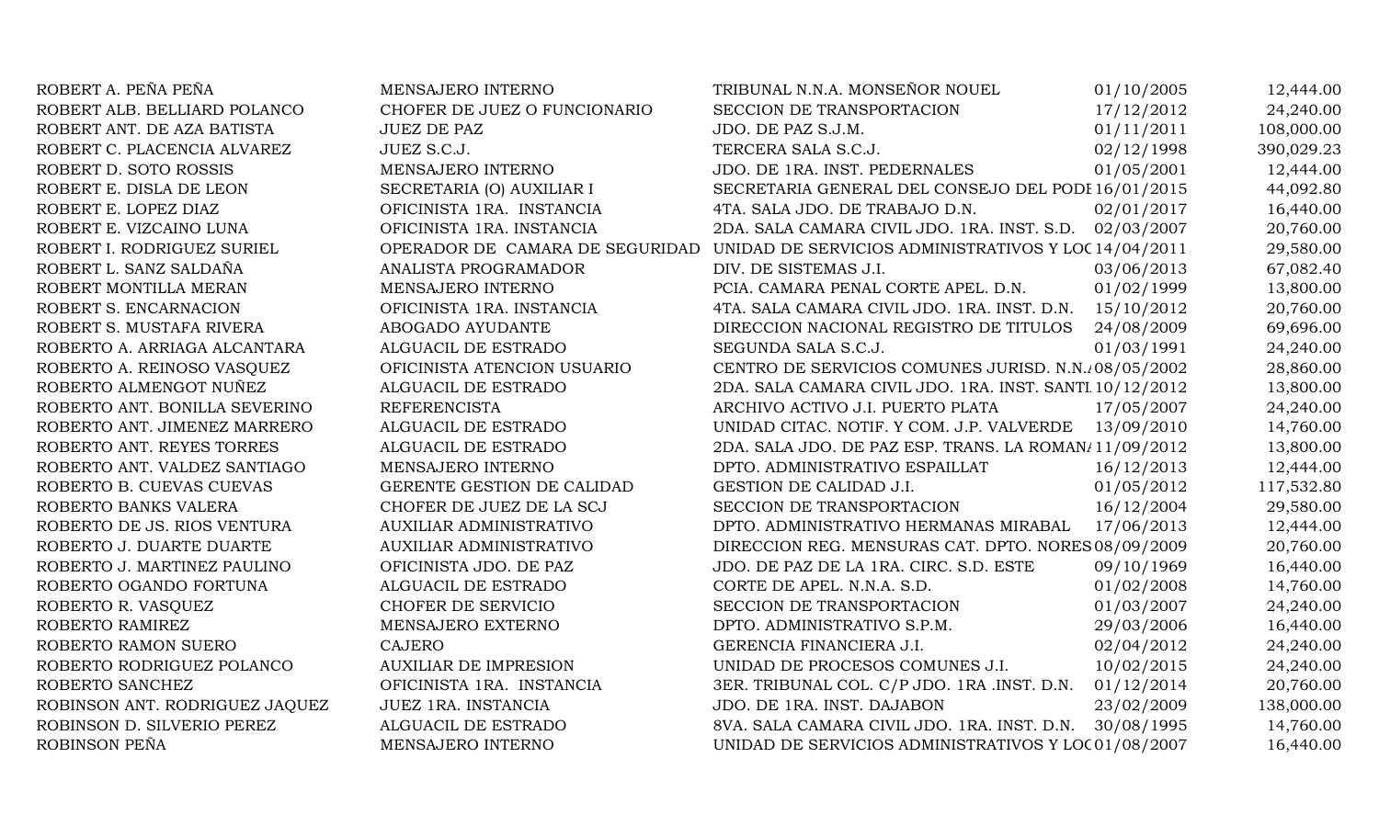| ROBERT A. PEÑA PEÑA            | MENSAJERO INTERNO              | TRIBUNAL N.N.A. MONSEÑOR NOUEL                                                       | 01/10/2005 | 12,444.00  |
|--------------------------------|--------------------------------|--------------------------------------------------------------------------------------|------------|------------|
| ROBERT ALB. BELLIARD POLANCO   | CHOFER DE JUEZ O FUNCIONARIO   | SECCION DE TRANSPORTACION                                                            | 17/12/2012 | 24,240.00  |
| ROBERT ANT. DE AZA BATISTA     | <b>JUEZ DE PAZ</b>             | JDO. DE PAZ S.J.M.                                                                   | 01/11/2011 | 108,000.00 |
| ROBERT C. PLACENCIA ALVAREZ    | JUEZ S.C.J.                    | TERCERA SALA S.C.J.                                                                  | 02/12/1998 | 390,029.23 |
| ROBERT D. SOTO ROSSIS          | MENSAJERO INTERNO              | JDO. DE 1RA. INST. PEDERNALES                                                        | 01/05/2001 | 12,444.00  |
| ROBERT E. DISLA DE LEON        | SECRETARIA (O) AUXILIAR I      | SECRETARIA GENERAL DEL CONSEJO DEL PODI 16/01/2015                                   |            | 44,092.80  |
| ROBERT E. LOPEZ DIAZ           | OFICINISTA 1RA. INSTANCIA      | 4TA. SALA JDO. DE TRABAJO D.N.                                                       | 02/01/2017 | 16,440.00  |
| ROBERT E. VIZCAINO LUNA        | OFICINISTA 1RA. INSTANCIA      | 2DA. SALA CAMARA CIVIL JDO. 1RA. INST. S.D. 02/03/2007                               |            | 20,760.00  |
| ROBERT I. RODRIGUEZ SURIEL     |                                | OPERADOR DE CAMARA DE SEGURIDAD UNIDAD DE SERVICIOS ADMINISTRATIVOS Y LOC 14/04/2011 |            | 29,580.00  |
| ROBERT L. SANZ SALDAÑA         | ANALISTA PROGRAMADOR           | DIV. DE SISTEMAS J.I.                                                                | 03/06/2013 | 67,082.40  |
| ROBERT MONTILLA MERAN          | MENSAJERO INTERNO              | PCIA. CAMARA PENAL CORTE APEL. D.N.                                                  | 01/02/1999 | 13,800.00  |
| ROBERT S. ENCARNACION          | OFICINISTA 1RA. INSTANCIA      | 4TA. SALA CAMARA CIVIL JDO. 1RA. INST. D.N.                                          | 15/10/2012 | 20,760.00  |
| ROBERT S. MUSTAFA RIVERA       | ABOGADO AYUDANTE               | DIRECCION NACIONAL REGISTRO DE TITULOS                                               | 24/08/2009 | 69,696.00  |
| ROBERTO A. ARRIAGA ALCANTARA   | ALGUACIL DE ESTRADO            | SEGUNDA SALA S.C.J.                                                                  | 01/03/1991 | 24,240.00  |
| ROBERTO A. REINOSO VASQUEZ     | OFICINISTA ATENCION USUARIO    | CENTRO DE SERVICIOS COMUNES JURISD. N.N. 08/05/2002                                  |            | 28,860.00  |
| ROBERTO ALMENGOT NUÑEZ         | ALGUACIL DE ESTRADO            | 2DA. SALA CAMARA CIVIL JDO. 1RA. INST. SANTI 10/12/2012                              |            | 13,800.00  |
| ROBERTO ANT. BONILLA SEVERINO  | <b>REFERENCISTA</b>            | ARCHIVO ACTIVO J.I. PUERTO PLATA                                                     | 17/05/2007 | 24,240.00  |
| ROBERTO ANT. JIMENEZ MARRERO   | ALGUACIL DE ESTRADO            | UNIDAD CITAC. NOTIF. Y COM. J.P. VALVERDE                                            | 13/09/2010 | 14,760.00  |
| ROBERTO ANT. REYES TORRES      | ALGUACIL DE ESTRADO            | 2DA. SALA JDO. DE PAZ ESP. TRANS. LA ROMAN/11/09/2012                                |            | 13,800.00  |
| ROBERTO ANT. VALDEZ SANTIAGO   | MENSAJERO INTERNO              | DPTO. ADMINISTRATIVO ESPAILLAT                                                       | 16/12/2013 | 12,444.00  |
| ROBERTO B. CUEVAS CUEVAS       | GERENTE GESTION DE CALIDAD     | GESTION DE CALIDAD J.I.                                                              | 01/05/2012 | 117,532.80 |
| ROBERTO BANKS VALERA           | CHOFER DE JUEZ DE LA SCJ       | SECCION DE TRANSPORTACION                                                            | 16/12/2004 | 29,580.00  |
| ROBERTO DE JS. RIOS VENTURA    | <b>AUXILIAR ADMINISTRATIVO</b> | DPTO. ADMINISTRATIVO HERMANAS MIRABAL                                                | 17/06/2013 | 12,444.00  |
| ROBERTO J. DUARTE DUARTE       | AUXILIAR ADMINISTRATIVO        | DIRECCION REG. MENSURAS CAT. DPTO. NORES 08/09/2009                                  |            | 20,760.00  |
| ROBERTO J. MARTINEZ PAULINO    | OFICINISTA JDO. DE PAZ         | JDO. DE PAZ DE LA 1RA. CIRC. S.D. ESTE                                               | 09/10/1969 | 16,440.00  |
| ROBERTO OGANDO FORTUNA         | ALGUACIL DE ESTRADO            | CORTE DE APEL. N.N.A. S.D.                                                           | 01/02/2008 | 14,760.00  |
| ROBERTO R. VASQUEZ             | CHOFER DE SERVICIO             | SECCION DE TRANSPORTACION                                                            | 01/03/2007 | 24,240.00  |
| ROBERTO RAMIREZ                | MENSAJERO EXTERNO              | DPTO. ADMINISTRATIVO S.P.M.                                                          | 29/03/2006 | 16,440.00  |
| ROBERTO RAMON SUERO            | <b>CAJERO</b>                  | GERENCIA FINANCIERA J.I.                                                             | 02/04/2012 | 24,240.00  |
| ROBERTO RODRIGUEZ POLANCO      | <b>AUXILIAR DE IMPRESION</b>   | UNIDAD DE PROCESOS COMUNES J.I.                                                      | 10/02/2015 | 24,240.00  |
| ROBERTO SANCHEZ                | OFICINISTA 1RA. INSTANCIA      | 3ER. TRIBUNAL COL. C/P JDO. 1RA .INST. D.N.                                          | 01/12/2014 | 20,760.00  |
| ROBINSON ANT. RODRIGUEZ JAQUEZ | JUEZ 1RA. INSTANCIA            | JDO. DE 1RA. INST. DAJABON                                                           | 23/02/2009 | 138,000.00 |
| ROBINSON D. SILVERIO PEREZ     | ALGUACIL DE ESTRADO            | 8VA. SALA CAMARA CIVIL JDO. 1RA. INST. D.N.                                          | 30/08/1995 | 14,760.00  |
| ROBINSON PEÑA                  | MENSAJERO INTERNO              | UNIDAD DE SERVICIOS ADMINISTRATIVOS Y LOC 01/08/2007                                 |            | 16,440.00  |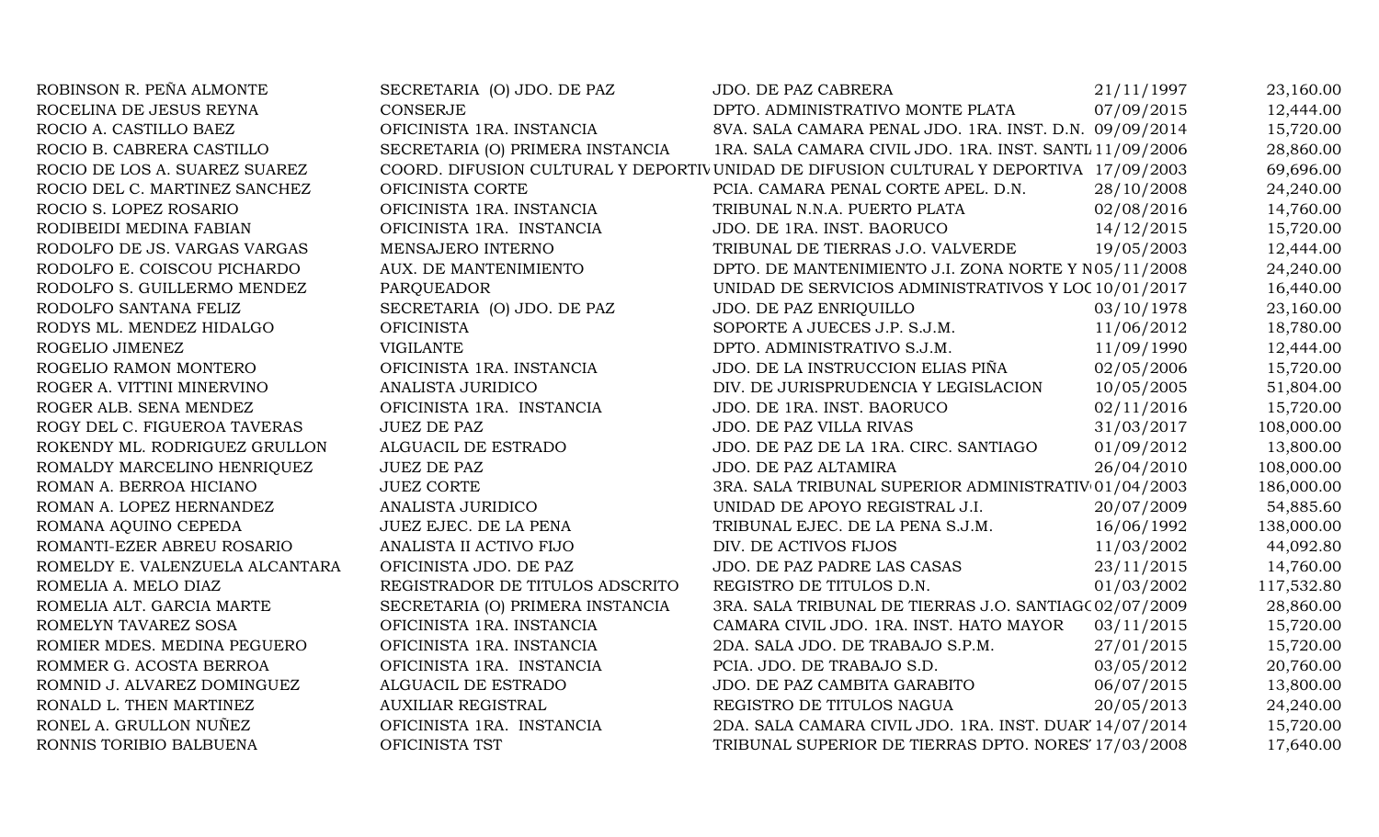| ROBINSON R. PEÑA ALMONTE        | SECRETARIA (O) JDO. DE PAZ       | JDO. DE PAZ CABRERA                                                                   | 21/11/1997 | 23,160.00  |
|---------------------------------|----------------------------------|---------------------------------------------------------------------------------------|------------|------------|
| ROCELINA DE JESUS REYNA         | <b>CONSERJE</b>                  | DPTO. ADMINISTRATIVO MONTE PLATA                                                      | 07/09/2015 | 12,444.00  |
| ROCIO A. CASTILLO BAEZ          | OFICINISTA 1RA. INSTANCIA        | 8VA. SALA CAMARA PENAL JDO. 1RA. INST. D.N. 09/09/2014                                |            | 15,720.00  |
| ROCIO B. CABRERA CASTILLO       | SECRETARIA (O) PRIMERA INSTANCIA | 1RA. SALA CAMARA CIVIL JDO. 1RA. INST. SANTL 11/09/2006                               |            | 28,860.00  |
| ROCIO DE LOS A. SUAREZ SUAREZ   |                                  | COORD. DIFUSION CULTURAL Y DEPORTIVUNIDAD DE DIFUSION CULTURAL Y DEPORTIVA 17/09/2003 |            | 69,696.00  |
| ROCIO DEL C. MARTINEZ SANCHEZ   | OFICINISTA CORTE                 | PCIA. CAMARA PENAL CORTE APEL. D.N.                                                   | 28/10/2008 | 24,240.00  |
| ROCIO S. LOPEZ ROSARIO          | OFICINISTA 1RA. INSTANCIA        | TRIBUNAL N.N.A. PUERTO PLATA                                                          | 02/08/2016 | 14,760.00  |
| RODIBEIDI MEDINA FABIAN         | OFICINISTA 1RA. INSTANCIA        | JDO. DE 1RA. INST. BAORUCO                                                            | 14/12/2015 | 15,720.00  |
| RODOLFO DE JS. VARGAS VARGAS    | MENSAJERO INTERNO                | TRIBUNAL DE TIERRAS J.O. VALVERDE                                                     | 19/05/2003 | 12,444.00  |
| RODOLFO E. COISCOU PICHARDO     | AUX. DE MANTENIMIENTO            | DPTO. DE MANTENIMIENTO J.I. ZONA NORTE Y N05/11/2008                                  |            | 24,240.00  |
| RODOLFO S. GUILLERMO MENDEZ     | <b>PARQUEADOR</b>                | UNIDAD DE SERVICIOS ADMINISTRATIVOS Y LOC 10/01/2017                                  |            | 16,440.00  |
| RODOLFO SANTANA FELIZ           | SECRETARIA (O) JDO. DE PAZ       | JDO. DE PAZ ENRIQUILLO                                                                | 03/10/1978 | 23,160.00  |
| RODYS ML. MENDEZ HIDALGO        | <b>OFICINISTA</b>                | SOPORTE A JUECES J.P. S.J.M.                                                          | 11/06/2012 | 18,780.00  |
| ROGELIO JIMENEZ                 | <b>VIGILANTE</b>                 | DPTO. ADMINISTRATIVO S.J.M.                                                           | 11/09/1990 | 12,444.00  |
| ROGELIO RAMON MONTERO           | OFICINISTA 1RA. INSTANCIA        | JDO. DE LA INSTRUCCION ELIAS PIÑA                                                     | 02/05/2006 | 15,720.00  |
| ROGER A. VITTINI MINERVINO      | ANALISTA JURIDICO                | DIV. DE JURISPRUDENCIA Y LEGISLACION                                                  | 10/05/2005 | 51,804.00  |
| ROGER ALB. SENA MENDEZ          | OFICINISTA 1RA. INSTANCIA        | JDO. DE 1RA. INST. BAORUCO                                                            | 02/11/2016 | 15,720.00  |
| ROGY DEL C. FIGUEROA TAVERAS    | <b>JUEZ DE PAZ</b>               | JDO. DE PAZ VILLA RIVAS                                                               | 31/03/2017 | 108,000.00 |
| ROKENDY ML. RODRIGUEZ GRULLON   | ALGUACIL DE ESTRADO              | JDO. DE PAZ DE LA 1RA. CIRC. SANTIAGO                                                 | 01/09/2012 | 13,800.00  |
| ROMALDY MARCELINO HENRIQUEZ     | <b>JUEZ DE PAZ</b>               | JDO. DE PAZ ALTAMIRA                                                                  | 26/04/2010 | 108,000.00 |
| ROMAN A. BERROA HICIANO         | <b>JUEZ CORTE</b>                | 3RA. SALA TRIBUNAL SUPERIOR ADMINISTRATIV 01/04/2003                                  |            | 186,000.00 |
| ROMAN A. LOPEZ HERNANDEZ        | ANALISTA JURIDICO                | UNIDAD DE APOYO REGISTRAL J.I.                                                        | 20/07/2009 | 54,885.60  |
| ROMANA AQUINO CEPEDA            | JUEZ EJEC. DE LA PENA            | TRIBUNAL EJEC. DE LA PENA S.J.M.                                                      | 16/06/1992 | 138,000.00 |
| ROMANTI-EZER ABREU ROSARIO      | ANALISTA II ACTIVO FIJO          | DIV. DE ACTIVOS FIJOS                                                                 | 11/03/2002 | 44,092.80  |
| ROMELDY E. VALENZUELA ALCANTARA | OFICINISTA JDO. DE PAZ           | JDO. DE PAZ PADRE LAS CASAS                                                           | 23/11/2015 | 14,760.00  |
| ROMELIA A. MELO DIAZ            | REGISTRADOR DE TITULOS ADSCRITO  | REGISTRO DE TITULOS D.N.                                                              | 01/03/2002 | 117,532.80 |
| ROMELIA ALT. GARCIA MARTE       | SECRETARIA (O) PRIMERA INSTANCIA | 3RA. SALA TRIBUNAL DE TIERRAS J.O. SANTIAG(02/07/2009                                 |            | 28,860.00  |
| ROMELYN TAVAREZ SOSA            | OFICINISTA 1RA. INSTANCIA        | CAMARA CIVIL JDO. 1RA. INST. HATO MAYOR                                               | 03/11/2015 | 15,720.00  |
| ROMIER MDES. MEDINA PEGUERO     | OFICINISTA 1RA. INSTANCIA        | 2DA. SALA JDO. DE TRABAJO S.P.M.                                                      | 27/01/2015 | 15,720.00  |
| ROMMER G. ACOSTA BERROA         | OFICINISTA 1RA. INSTANCIA        | PCIA. JDO. DE TRABAJO S.D.                                                            | 03/05/2012 | 20,760.00  |
| ROMNID J. ALVAREZ DOMINGUEZ     | ALGUACIL DE ESTRADO              | JDO. DE PAZ CAMBITA GARABITO                                                          | 06/07/2015 | 13,800.00  |
| RONALD L. THEN MARTINEZ         | <b>AUXILIAR REGISTRAL</b>        | REGISTRO DE TITULOS NAGUA                                                             | 20/05/2013 | 24,240.00  |
| RONEL A. GRULLON NUÑEZ          | OFICINISTA 1RA. INSTANCIA        | 2DA. SALA CAMARA CIVIL JDO. 1RA. INST. DUAR' 14/07/2014                               |            | 15,720.00  |
| RONNIS TORIBIO BALBUENA         | OFICINISTA TST                   | TRIBUNAL SUPERIOR DE TIERRAS DPTO. NORES' 17/03/2008                                  |            | 17,640.00  |
|                                 |                                  |                                                                                       |            |            |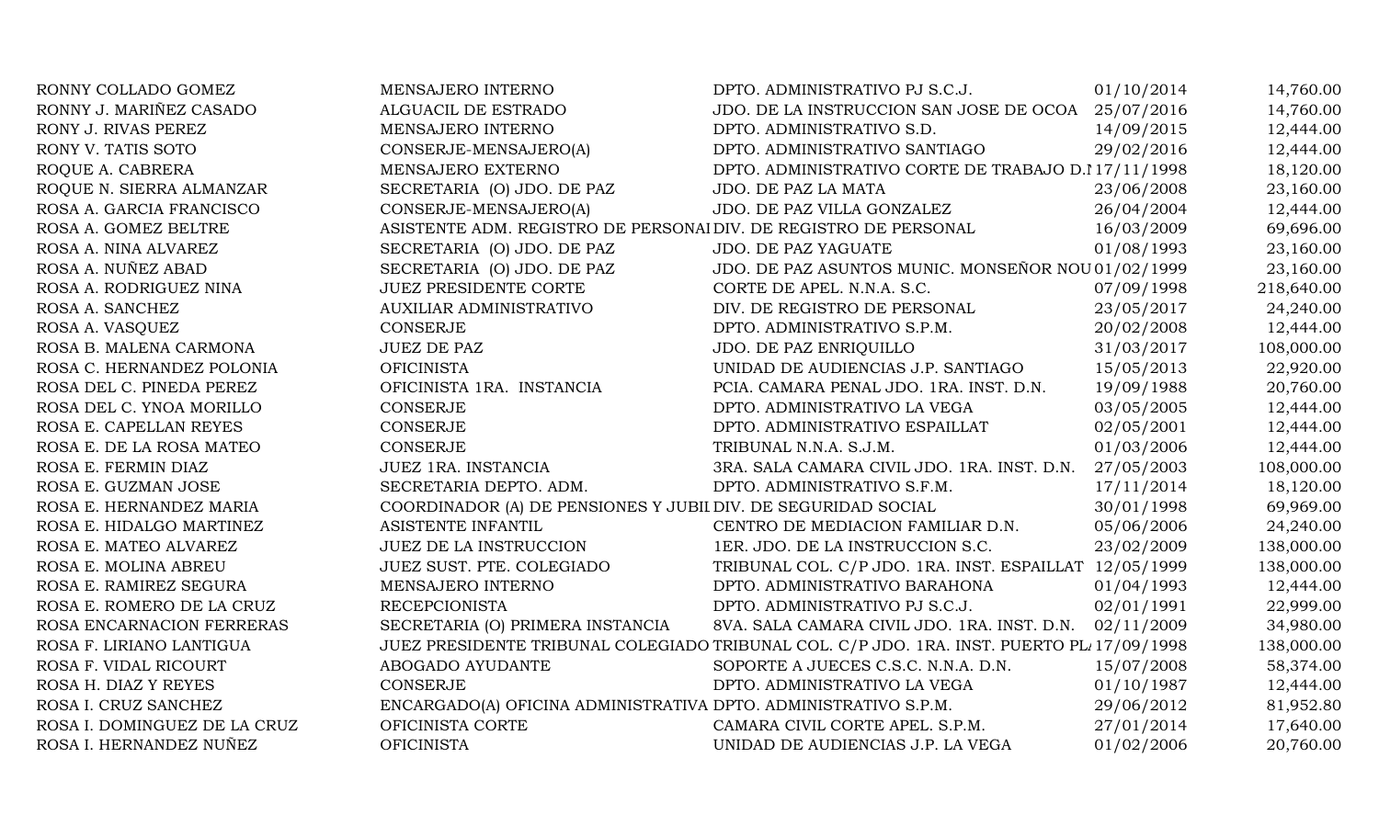| RONNY COLLADO GOMEZ          | MENSAJERO INTERNO                                                | DPTO. ADMINISTRATIVO PJ S.C.J.                                                            | 01/10/2014 | 14,760.00  |
|------------------------------|------------------------------------------------------------------|-------------------------------------------------------------------------------------------|------------|------------|
| RONNY J. MARIÑEZ CASADO      | ALGUACIL DE ESTRADO                                              | JDO. DE LA INSTRUCCION SAN JOSE DE OCOA 25/07/2016                                        |            | 14,760.00  |
| RONY J. RIVAS PEREZ          | MENSAJERO INTERNO                                                | DPTO. ADMINISTRATIVO S.D.                                                                 | 14/09/2015 | 12,444.00  |
| RONY V. TATIS SOTO           | CONSERJE-MENSAJERO(A)                                            | DPTO. ADMINISTRATIVO SANTIAGO                                                             | 29/02/2016 | 12,444.00  |
| ROQUE A. CABRERA             | MENSAJERO EXTERNO                                                | DPTO. ADMINISTRATIVO CORTE DE TRABAJO D.I 17/11/1998                                      |            | 18,120.00  |
| ROQUE N. SIERRA ALMANZAR     | SECRETARIA (O) JDO. DE PAZ                                       | JDO. DE PAZ LA MATA                                                                       | 23/06/2008 | 23,160.00  |
| ROSA A. GARCIA FRANCISCO     | CONSERJE-MENSAJERO(A)                                            | JDO. DE PAZ VILLA GONZALEZ                                                                | 26/04/2004 | 12,444.00  |
| ROSA A. GOMEZ BELTRE         | ASISTENTE ADM. REGISTRO DE PERSONAI DIV. DE REGISTRO DE PERSONAL |                                                                                           | 16/03/2009 | 69,696.00  |
| ROSA A. NINA ALVAREZ         | SECRETARIA (O) JDO. DE PAZ                                       | JDO. DE PAZ YAGUATE                                                                       | 01/08/1993 | 23,160.00  |
| ROSA A. NUÑEZ ABAD           | SECRETARIA (O) JDO. DE PAZ                                       | JDO. DE PAZ ASUNTOS MUNIC. MONSEÑOR NOU 01/02/1999                                        |            | 23,160.00  |
| ROSA A. RODRIGUEZ NINA       | JUEZ PRESIDENTE CORTE                                            | CORTE DE APEL. N.N.A. S.C.                                                                | 07/09/1998 | 218,640.00 |
| ROSA A. SANCHEZ              | AUXILIAR ADMINISTRATIVO                                          | DIV. DE REGISTRO DE PERSONAL                                                              | 23/05/2017 | 24,240.00  |
| ROSA A. VASQUEZ              | <b>CONSERJE</b>                                                  | DPTO. ADMINISTRATIVO S.P.M.                                                               | 20/02/2008 | 12,444.00  |
| ROSA B. MALENA CARMONA       | <b>JUEZ DE PAZ</b>                                               | JDO. DE PAZ ENRIQUILLO                                                                    | 31/03/2017 | 108,000.00 |
| ROSA C. HERNANDEZ POLONIA    | <b>OFICINISTA</b>                                                | UNIDAD DE AUDIENCIAS J.P. SANTIAGO                                                        | 15/05/2013 | 22,920.00  |
| ROSA DEL C. PINEDA PEREZ     | OFICINISTA 1RA. INSTANCIA                                        | PCIA. CAMARA PENAL JDO. 1RA. INST. D.N.                                                   | 19/09/1988 | 20,760.00  |
| ROSA DEL C. YNOA MORILLO     | <b>CONSERJE</b>                                                  | DPTO. ADMINISTRATIVO LA VEGA                                                              | 03/05/2005 | 12,444.00  |
| ROSA E. CAPELLAN REYES       | CONSERJE                                                         | DPTO. ADMINISTRATIVO ESPAILLAT                                                            | 02/05/2001 | 12,444.00  |
| ROSA E. DE LA ROSA MATEO     | <b>CONSERJE</b>                                                  | TRIBUNAL N.N.A. S.J.M.                                                                    | 01/03/2006 | 12,444.00  |
| ROSA E. FERMIN DIAZ          | JUEZ 1RA. INSTANCIA                                              | 3RA. SALA CAMARA CIVIL JDO. 1RA. INST. D.N.                                               | 27/05/2003 | 108,000.00 |
| ROSA E. GUZMAN JOSE          | SECRETARIA DEPTO. ADM.                                           | DPTO. ADMINISTRATIVO S.F.M.                                                               | 17/11/2014 | 18,120.00  |
| ROSA E. HERNANDEZ MARIA      | COORDINADOR (A) DE PENSIONES Y JUBII DIV. DE SEGURIDAD SOCIAL    |                                                                                           | 30/01/1998 | 69,969.00  |
| ROSA E. HIDALGO MARTINEZ     | ASISTENTE INFANTIL                                               | CENTRO DE MEDIACION FAMILIAR D.N.                                                         | 05/06/2006 | 24,240.00  |
| ROSA E. MATEO ALVAREZ        | <b>JUEZ DE LA INSTRUCCION</b>                                    | 1ER. JDO. DE LA INSTRUCCION S.C.                                                          | 23/02/2009 | 138,000.00 |
| ROSA E. MOLINA ABREU         | JUEZ SUST. PTE. COLEGIADO                                        | TRIBUNAL COL. C/P JDO. 1RA. INST. ESPAILLAT 12/05/1999                                    |            | 138,000.00 |
| ROSA E. RAMIREZ SEGURA       | MENSAJERO INTERNO                                                | DPTO. ADMINISTRATIVO BARAHONA                                                             | 01/04/1993 | 12,444.00  |
| ROSA E. ROMERO DE LA CRUZ    | <b>RECEPCIONISTA</b>                                             | DPTO. ADMINISTRATIVO PJ S.C.J.                                                            | 02/01/1991 | 22,999.00  |
| ROSA ENCARNACION FERRERAS    | SECRETARIA (O) PRIMERA INSTANCIA                                 | 8VA. SALA CAMARA CIVIL JDO. 1RA. INST. D.N.                                               | 02/11/2009 | 34,980.00  |
| ROSA F. LIRIANO LANTIGUA     |                                                                  | JUEZ PRESIDENTE TRIBUNAL COLEGIADO TRIBUNAL COL. C/P JDO. 1RA. INST. PUERTO PL 17/09/1998 |            | 138,000.00 |
| ROSA F. VIDAL RICOURT        | ABOGADO AYUDANTE                                                 | SOPORTE A JUECES C.S.C. N.N.A. D.N.                                                       | 15/07/2008 | 58,374.00  |
| ROSA H. DIAZ Y REYES         | <b>CONSERJE</b>                                                  | DPTO. ADMINISTRATIVO LA VEGA                                                              | 01/10/1987 | 12,444.00  |
| ROSA I. CRUZ SANCHEZ         | ENCARGADO(A) OFICINA ADMINISTRATIVA DPTO. ADMINISTRATIVO S.P.M.  |                                                                                           | 29/06/2012 | 81,952.80  |
| ROSA I. DOMINGUEZ DE LA CRUZ | OFICINISTA CORTE                                                 | CAMARA CIVIL CORTE APEL. S.P.M.                                                           | 27/01/2014 | 17,640.00  |
| ROSA I. HERNANDEZ NUÑEZ      | <b>OFICINISTA</b>                                                | UNIDAD DE AUDIENCIAS J.P. LA VEGA                                                         | 01/02/2006 | 20,760.00  |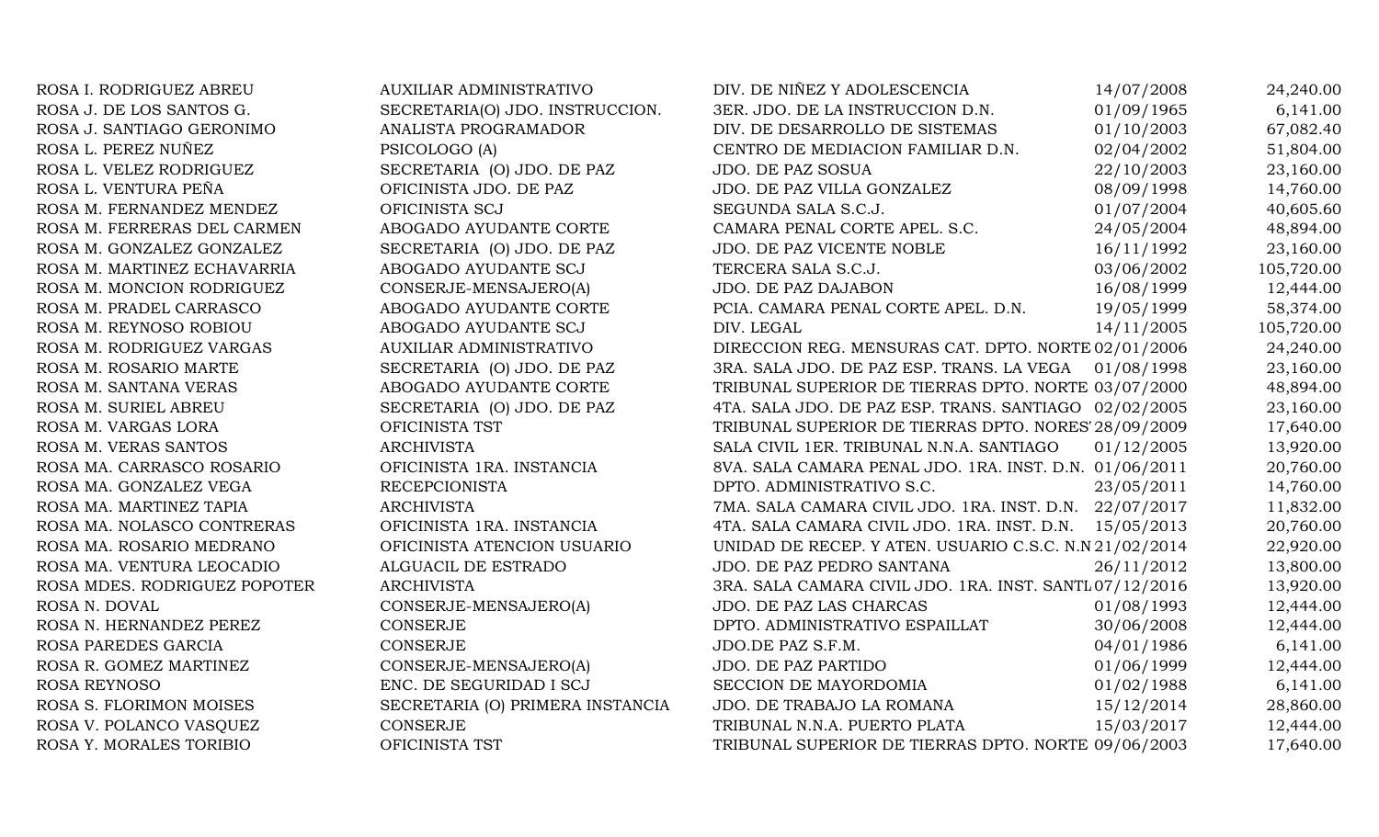| ROSA I. RODRIGUEZ ABREU      | <b>AUXILIAR ADMINISTRATIVO</b>   | DIV. DE NIÑEZ Y ADOLESCENCIA                            | 14/07/2008 | 24,240.00  |
|------------------------------|----------------------------------|---------------------------------------------------------|------------|------------|
| ROSA J. DE LOS SANTOS G.     | SECRETARIA(O) JDO. INSTRUCCION.  | 3ER. JDO. DE LA INSTRUCCION D.N.                        | 01/09/1965 | 6,141.00   |
| ROSA J. SANTIAGO GERONIMO    | ANALISTA PROGRAMADOR             | DIV. DE DESARROLLO DE SISTEMAS                          | 01/10/2003 | 67,082.40  |
| ROSA L. PEREZ NUÑEZ          | PSICOLOGO (A)                    | CENTRO DE MEDIACION FAMILIAR D.N.                       | 02/04/2002 | 51,804.00  |
| ROSA L. VELEZ RODRIGUEZ      | SECRETARIA (O) JDO. DE PAZ       | JDO. DE PAZ SOSUA                                       | 22/10/2003 | 23,160.00  |
| ROSA L. VENTURA PEÑA         | OFICINISTA JDO. DE PAZ           | JDO. DE PAZ VILLA GONZALEZ                              | 08/09/1998 | 14,760.00  |
| ROSA M. FERNANDEZ MENDEZ     | OFICINISTA SCJ                   | SEGUNDA SALA S.C.J.                                     | 01/07/2004 | 40,605.60  |
| ROSA M. FERRERAS DEL CARMEN  | ABOGADO AYUDANTE CORTE           | CAMARA PENAL CORTE APEL. S.C.                           | 24/05/2004 | 48,894.00  |
| ROSA M. GONZALEZ GONZALEZ    | SECRETARIA (O) JDO. DE PAZ       | JDO. DE PAZ VICENTE NOBLE                               | 16/11/1992 | 23,160.00  |
| ROSA M. MARTINEZ ECHAVARRIA  | ABOGADO AYUDANTE SCJ             | TERCERA SALA S.C.J.                                     | 03/06/2002 | 105,720.00 |
| ROSA M. MONCION RODRIGUEZ    | CONSERJE-MENSAJERO(A)            | JDO. DE PAZ DAJABON                                     | 16/08/1999 | 12,444.00  |
| ROSA M. PRADEL CARRASCO      | ABOGADO AYUDANTE CORTE           | PCIA. CAMARA PENAL CORTE APEL. D.N.                     | 19/05/1999 | 58,374.00  |
| ROSA M. REYNOSO ROBIOU       | ABOGADO AYUDANTE SCJ             | DIV. LEGAL                                              | 14/11/2005 | 105,720.00 |
| ROSA M. RODRIGUEZ VARGAS     | <b>AUXILIAR ADMINISTRATIVO</b>   | DIRECCION REG. MENSURAS CAT. DPTO. NORTE 02/01/2006     |            | 24,240.00  |
| ROSA M. ROSARIO MARTE        | SECRETARIA (O) JDO. DE PAZ       | 3RA. SALA JDO. DE PAZ ESP. TRANS. LA VEGA 01/08/1998    |            | 23,160.00  |
| ROSA M. SANTANA VERAS        | ABOGADO AYUDANTE CORTE           | TRIBUNAL SUPERIOR DE TIERRAS DPTO. NORTE 03/07/2000     |            | 48,894.00  |
| ROSA M. SURIEL ABREU         | SECRETARIA (O) JDO. DE PAZ       | 4TA. SALA JDO. DE PAZ ESP. TRANS. SANTIAGO 02/02/2005   |            | 23,160.00  |
| ROSA M. VARGAS LORA          | OFICINISTA TST                   | TRIBUNAL SUPERIOR DE TIERRAS DPTO. NORES' 28/09/2009    |            | 17,640.00  |
| ROSA M. VERAS SANTOS         | <b>ARCHIVISTA</b>                | SALA CIVIL 1ER. TRIBUNAL N.N.A. SANTIAGO                | 01/12/2005 | 13,920.00  |
| ROSA MA. CARRASCO ROSARIO    | OFICINISTA 1RA. INSTANCIA        | 8VA. SALA CAMARA PENAL JDO. 1RA. INST. D.N. 01/06/2011  |            | 20,760.00  |
| ROSA MA. GONZALEZ VEGA       | <b>RECEPCIONISTA</b>             | DPTO. ADMINISTRATIVO S.C.                               | 23/05/2011 | 14,760.00  |
| ROSA MA. MARTINEZ TAPIA      | <b>ARCHIVISTA</b>                | 7MA. SALA CAMARA CIVIL JDO. 1RA. INST. D.N. 22/07/2017  |            | 11,832.00  |
| ROSA MA. NOLASCO CONTRERAS   | OFICINISTA 1RA. INSTANCIA        | 4TA. SALA CAMARA CIVIL JDO. 1RA. INST. D.N.             | 15/05/2013 | 20,760.00  |
| ROSA MA. ROSARIO MEDRANO     | OFICINISTA ATENCION USUARIO      | UNIDAD DE RECEP. Y ATEN. USUARIO C.S.C. N.N 21/02/2014  |            | 22,920.00  |
| ROSA MA. VENTURA LEOCADIO    | ALGUACIL DE ESTRADO              | JDO. DE PAZ PEDRO SANTANA                               | 26/11/2012 | 13,800.00  |
| ROSA MDES. RODRIGUEZ POPOTER | <b>ARCHIVISTA</b>                | 3RA. SALA CAMARA CIVIL JDO. 1RA. INST. SANTL 07/12/2016 |            | 13,920.00  |
| ROSA N. DOVAL                | CONSERJE-MENSAJERO(A)            | JDO. DE PAZ LAS CHARCAS                                 | 01/08/1993 | 12,444.00  |
| ROSA N. HERNANDEZ PEREZ      | <b>CONSERJE</b>                  | DPTO. ADMINISTRATIVO ESPAILLAT                          | 30/06/2008 | 12,444.00  |
| ROSA PAREDES GARCIA          | <b>CONSERJE</b>                  | JDO.DE PAZ S.F.M.                                       | 04/01/1986 | 6,141.00   |
| ROSA R. GOMEZ MARTINEZ       | CONSERJE-MENSAJERO(A)            | JDO. DE PAZ PARTIDO                                     | 01/06/1999 | 12,444.00  |
| <b>ROSA REYNOSO</b>          | ENC. DE SEGURIDAD I SCJ          | SECCION DE MAYORDOMIA                                   | 01/02/1988 | 6,141.00   |
| ROSA S. FLORIMON MOISES      | SECRETARIA (O) PRIMERA INSTANCIA | JDO. DE TRABAJO LA ROMANA                               | 15/12/2014 | 28,860.00  |
| ROSA V. POLANCO VASQUEZ      | <b>CONSERJE</b>                  | TRIBUNAL N.N.A. PUERTO PLATA                            | 15/03/2017 | 12,444.00  |
| ROSA Y. MORALES TORIBIO      | OFICINISTA TST                   | TRIBUNAL SUPERIOR DE TIERRAS DPTO. NORTE 09/06/2003     |            | 17,640.00  |
|                              |                                  |                                                         |            |            |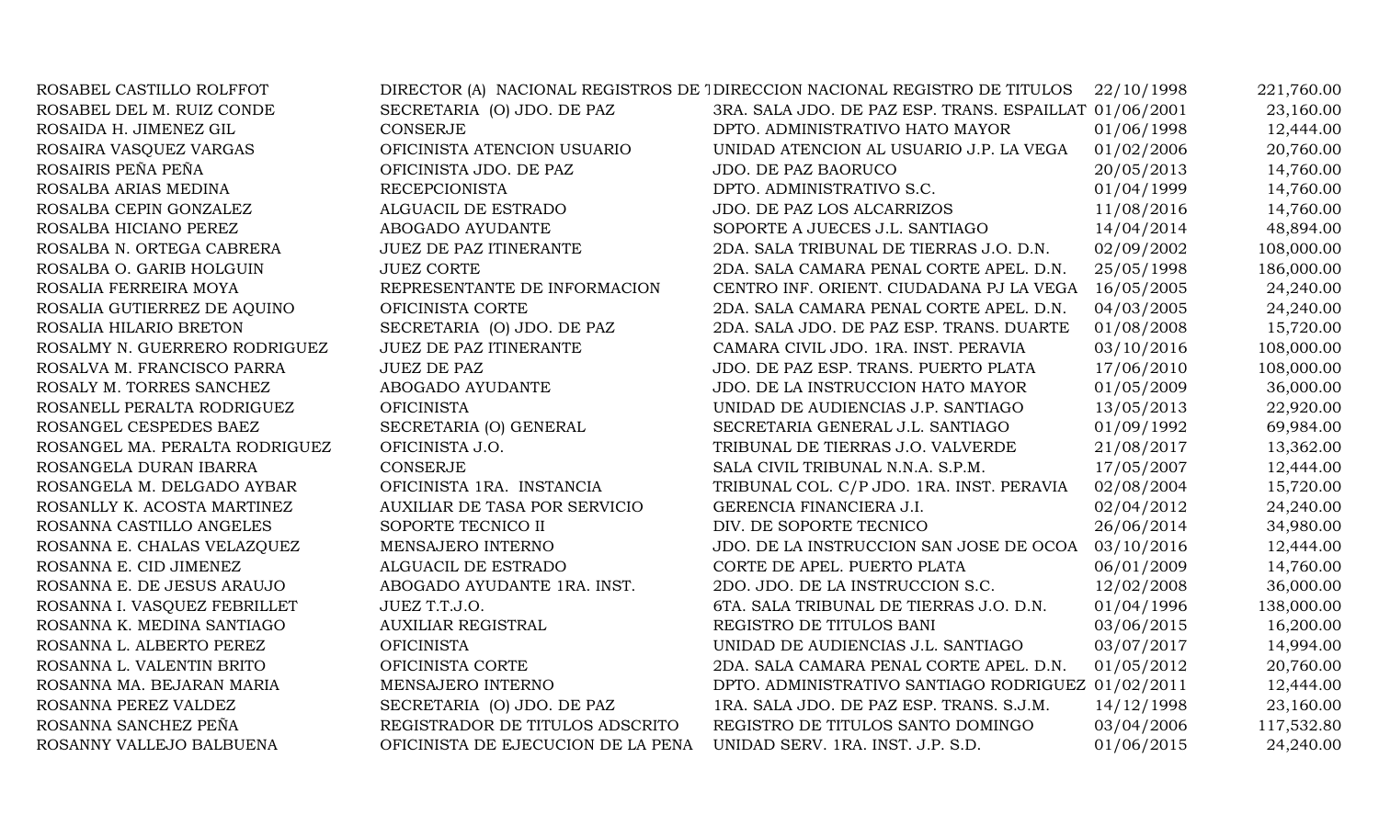| ROSABEL CASTILLO ROLFFOT       |                                    | DIRECTOR (A) NACIONAL REGISTROS DE 1 DIRECCION NACIONAL REGISTRO DE TITULOS | 22/10/1998 | 221,760.00 |
|--------------------------------|------------------------------------|-----------------------------------------------------------------------------|------------|------------|
| ROSABEL DEL M. RUIZ CONDE      | SECRETARIA (O) JDO. DE PAZ         | 3RA. SALA JDO. DE PAZ ESP. TRANS. ESPAILLAT 01/06/2001                      |            | 23,160.00  |
| ROSAIDA H. JIMENEZ GIL         | <b>CONSERJE</b>                    | DPTO. ADMINISTRATIVO HATO MAYOR                                             | 01/06/1998 | 12,444.00  |
| ROSAIRA VASQUEZ VARGAS         | OFICINISTA ATENCION USUARIO        | UNIDAD ATENCION AL USUARIO J.P. LA VEGA                                     | 01/02/2006 | 20,760.00  |
| ROSAIRIS PEÑA PEÑA             | OFICINISTA JDO. DE PAZ             | <b>JDO. DE PAZ BAORUCO</b>                                                  | 20/05/2013 | 14,760.00  |
| ROSALBA ARIAS MEDINA           | <b>RECEPCIONISTA</b>               | DPTO. ADMINISTRATIVO S.C.                                                   | 01/04/1999 | 14,760.00  |
| ROSALBA CEPIN GONZALEZ         | ALGUACIL DE ESTRADO                | JDO. DE PAZ LOS ALCARRIZOS                                                  | 11/08/2016 | 14,760.00  |
| ROSALBA HICIANO PEREZ          | ABOGADO AYUDANTE                   | SOPORTE A JUECES J.L. SANTIAGO                                              | 14/04/2014 | 48,894.00  |
| ROSALBA N. ORTEGA CABRERA      | JUEZ DE PAZ ITINERANTE             | 2DA. SALA TRIBUNAL DE TIERRAS J.O. D.N.                                     | 02/09/2002 | 108,000.00 |
| ROSALBA O. GARIB HOLGUIN       | <b>JUEZ CORTE</b>                  | 2DA. SALA CAMARA PENAL CORTE APEL. D.N.                                     | 25/05/1998 | 186,000.00 |
| ROSALIA FERREIRA MOYA          | REPRESENTANTE DE INFORMACION       | CENTRO INF. ORIENT. CIUDADANA PJ LA VEGA                                    | 16/05/2005 | 24,240.00  |
| ROSALIA GUTIERREZ DE AQUINO    | OFICINISTA CORTE                   | 2DA. SALA CAMARA PENAL CORTE APEL. D.N.                                     | 04/03/2005 | 24,240.00  |
| ROSALIA HILARIO BRETON         | SECRETARIA (O) JDO. DE PAZ         | 2DA. SALA JDO. DE PAZ ESP. TRANS. DUARTE                                    | 01/08/2008 | 15,720.00  |
| ROSALMY N. GUERRERO RODRIGUEZ  | <b>JUEZ DE PAZ ITINERANTE</b>      | CAMARA CIVIL JDO. 1RA. INST. PERAVIA                                        | 03/10/2016 | 108,000.00 |
| ROSALVA M. FRANCISCO PARRA     | <b>JUEZ DE PAZ</b>                 | JDO. DE PAZ ESP. TRANS. PUERTO PLATA                                        | 17/06/2010 | 108,000.00 |
| ROSALY M. TORRES SANCHEZ       | ABOGADO AYUDANTE                   | JDO. DE LA INSTRUCCION HATO MAYOR                                           | 01/05/2009 | 36,000.00  |
| ROSANELL PERALTA RODRIGUEZ     | <b>OFICINISTA</b>                  | UNIDAD DE AUDIENCIAS J.P. SANTIAGO                                          | 13/05/2013 | 22,920.00  |
| ROSANGEL CESPEDES BAEZ         | SECRETARIA (O) GENERAL             | SECRETARIA GENERAL J.L. SANTIAGO                                            | 01/09/1992 | 69,984.00  |
| ROSANGEL MA. PERALTA RODRIGUEZ | OFICINISTA J.O.                    | TRIBUNAL DE TIERRAS J.O. VALVERDE                                           | 21/08/2017 | 13,362.00  |
| ROSANGELA DURAN IBARRA         | <b>CONSERJE</b>                    | SALA CIVIL TRIBUNAL N.N.A. S.P.M.                                           | 17/05/2007 | 12,444.00  |
| ROSANGELA M. DELGADO AYBAR     | OFICINISTA 1RA. INSTANCIA          | TRIBUNAL COL. C/P JDO. 1RA. INST. PERAVIA                                   | 02/08/2004 | 15,720.00  |
| ROSANLLY K. ACOSTA MARTINEZ    | AUXILIAR DE TASA POR SERVICIO      | GERENCIA FINANCIERA J.I.                                                    | 02/04/2012 | 24,240.00  |
| ROSANNA CASTILLO ANGELES       | SOPORTE TECNICO II                 | DIV. DE SOPORTE TECNICO                                                     | 26/06/2014 | 34,980.00  |
| ROSANNA E. CHALAS VELAZQUEZ    | MENSAJERO INTERNO                  | JDO. DE LA INSTRUCCION SAN JOSE DE OCOA                                     | 03/10/2016 | 12,444.00  |
| ROSANNA E. CID JIMENEZ         | ALGUACIL DE ESTRADO                | CORTE DE APEL. PUERTO PLATA                                                 | 06/01/2009 | 14,760.00  |
| ROSANNA E. DE JESUS ARAUJO     | ABOGADO AYUDANTE 1RA. INST.        | 2DO. JDO. DE LA INSTRUCCION S.C.                                            | 12/02/2008 | 36,000.00  |
| ROSANNA I. VASQUEZ FEBRILLET   | JUEZ T.T.J.O.                      | 6TA. SALA TRIBUNAL DE TIERRAS J.O. D.N.                                     | 01/04/1996 | 138,000.00 |
| ROSANNA K. MEDINA SANTIAGO     | <b>AUXILIAR REGISTRAL</b>          | REGISTRO DE TITULOS BANI                                                    | 03/06/2015 | 16,200.00  |
| ROSANNA L. ALBERTO PEREZ       | <b>OFICINISTA</b>                  | UNIDAD DE AUDIENCIAS J.L. SANTIAGO                                          | 03/07/2017 | 14,994.00  |
| ROSANNA L. VALENTIN BRITO      | OFICINISTA CORTE                   | 2DA. SALA CAMARA PENAL CORTE APEL. D.N.                                     | 01/05/2012 | 20,760.00  |
| ROSANNA MA. BEJARAN MARIA      | MENSAJERO INTERNO                  | DPTO. ADMINISTRATIVO SANTIAGO RODRIGUEZ 01/02/2011                          |            | 12,444.00  |
| ROSANNA PEREZ VALDEZ           | SECRETARIA (O) JDO. DE PAZ         | 1RA. SALA JDO. DE PAZ ESP. TRANS. S.J.M.                                    | 14/12/1998 | 23,160.00  |
| ROSANNA SANCHEZ PEÑA           | REGISTRADOR DE TITULOS ADSCRITO    | REGISTRO DE TITULOS SANTO DOMINGO                                           | 03/04/2006 | 117,532.80 |
| ROSANNY VALLEJO BALBUENA       | OFICINISTA DE EJECUCION DE LA PENA | UNIDAD SERV. 1RA. INST. J.P. S.D.                                           | 01/06/2015 | 24,240.00  |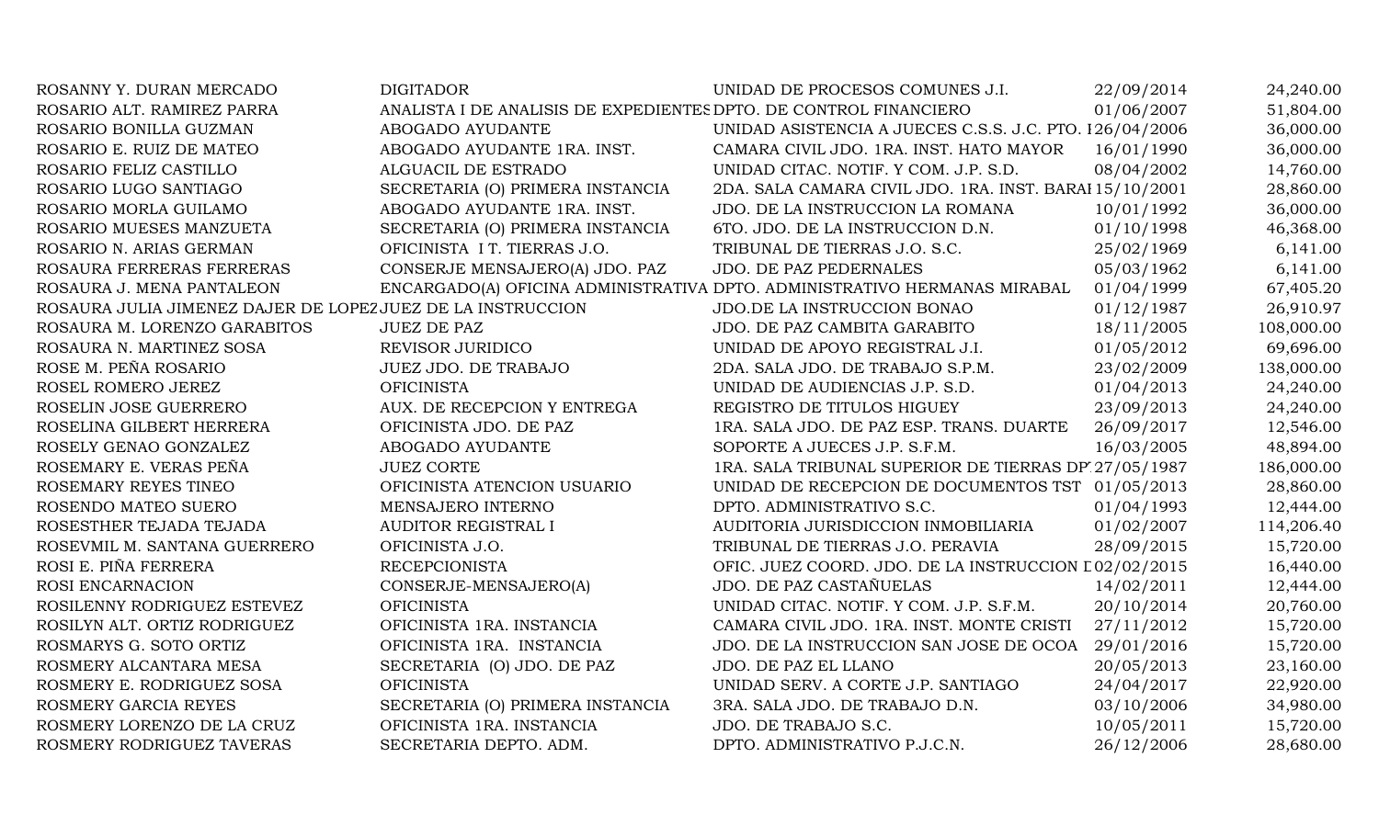| ROSANNY Y. DURAN MERCADO                                    | <b>DIGITADOR</b>                                                  | UNIDAD DE PROCESOS COMUNES J.I.                                           | 22/09/2014 | 24,240.00  |
|-------------------------------------------------------------|-------------------------------------------------------------------|---------------------------------------------------------------------------|------------|------------|
| ROSARIO ALT. RAMIREZ PARRA                                  | ANALISTA I DE ANALISIS DE EXPEDIENTES DPTO. DE CONTROL FINANCIERO |                                                                           | 01/06/2007 | 51,804.00  |
| ROSARIO BONILLA GUZMAN                                      | ABOGADO AYUDANTE                                                  | UNIDAD ASISTENCIA A JUECES C.S.S. J.C. PTO. 126/04/2006                   |            | 36,000.00  |
| ROSARIO E. RUIZ DE MATEO                                    | ABOGADO AYUDANTE 1RA. INST.                                       | CAMARA CIVIL JDO. 1RA. INST. HATO MAYOR                                   | 16/01/1990 | 36,000.00  |
| ROSARIO FELIZ CASTILLO                                      | ALGUACIL DE ESTRADO                                               | UNIDAD CITAC. NOTIF. Y COM. J.P. S.D.                                     | 08/04/2002 | 14,760.00  |
| ROSARIO LUGO SANTIAGO                                       | SECRETARIA (O) PRIMERA INSTANCIA                                  | 2DA. SALA CAMARA CIVIL JDO. 1RA. INST. BARAI 15/10/2001                   |            | 28,860.00  |
| ROSARIO MORLA GUILAMO                                       | ABOGADO AYUDANTE 1RA. INST.                                       | JDO. DE LA INSTRUCCION LA ROMANA                                          | 10/01/1992 | 36,000.00  |
| ROSARIO MUESES MANZUETA                                     | SECRETARIA (O) PRIMERA INSTANCIA                                  | 6TO. JDO. DE LA INSTRUCCION D.N.                                          | 01/10/1998 | 46,368.00  |
| ROSARIO N. ARIAS GERMAN                                     | OFICINISTA I T. TIERRAS J.O.                                      | TRIBUNAL DE TIERRAS J.O. S.C.                                             | 25/02/1969 | 6,141.00   |
| ROSAURA FERRERAS FERRERAS                                   | CONSERJE MENSAJERO(A) JDO. PAZ                                    | JDO. DE PAZ PEDERNALES                                                    | 05/03/1962 | 6,141.00   |
| ROSAURA J. MENA PANTALEON                                   |                                                                   | ENCARGADO(A) OFICINA ADMINISTRATIVA DPTO. ADMINISTRATIVO HERMANAS MIRABAL | 01/04/1999 | 67,405.20  |
| ROSAURA JULIA JIMENEZ DAJER DE LOPEZ JUEZ DE LA INSTRUCCION |                                                                   | JDO.DE LA INSTRUCCION BONAO                                               | 01/12/1987 | 26,910.97  |
| ROSAURA M. LORENZO GARABITOS                                | <b>JUEZ DE PAZ</b>                                                | JDO. DE PAZ CAMBITA GARABITO                                              | 18/11/2005 | 108,000.00 |
| ROSAURA N. MARTINEZ SOSA                                    | REVISOR JURIDICO                                                  | UNIDAD DE APOYO REGISTRAL J.I.                                            | 01/05/2012 | 69,696.00  |
| ROSE M. PEÑA ROSARIO                                        | JUEZ JDO. DE TRABAJO                                              | 2DA. SALA JDO. DE TRABAJO S.P.M.                                          | 23/02/2009 | 138,000.00 |
| ROSEL ROMERO JEREZ                                          | <b>OFICINISTA</b>                                                 | UNIDAD DE AUDIENCIAS J.P. S.D.                                            | 01/04/2013 | 24,240.00  |
| ROSELIN JOSE GUERRERO                                       | AUX. DE RECEPCION Y ENTREGA                                       | REGISTRO DE TITULOS HIGUEY                                                | 23/09/2013 | 24,240.00  |
| ROSELINA GILBERT HERRERA                                    | OFICINISTA JDO. DE PAZ                                            | 1RA. SALA JDO. DE PAZ ESP. TRANS. DUARTE                                  | 26/09/2017 | 12,546.00  |
| ROSELY GENAO GONZALEZ                                       | ABOGADO AYUDANTE                                                  | SOPORTE A JUECES J.P. S.F.M.                                              | 16/03/2005 | 48,894.00  |
| ROSEMARY E. VERAS PEÑA                                      | <b>JUEZ CORTE</b>                                                 | 1RA. SALA TRIBUNAL SUPERIOR DE TIERRAS DP 27/05/1987                      |            | 186,000.00 |
| ROSEMARY REYES TINEO                                        | OFICINISTA ATENCION USUARIO                                       | UNIDAD DE RECEPCION DE DOCUMENTOS TST 01/05/2013                          |            | 28,860.00  |
| ROSENDO MATEO SUERO                                         | MENSAJERO INTERNO                                                 | DPTO. ADMINISTRATIVO S.C.                                                 | 01/04/1993 | 12,444.00  |
| ROSESTHER TEJADA TEJADA                                     | AUDITOR REGISTRAL I                                               | AUDITORIA JURISDICCION INMOBILIARIA                                       | 01/02/2007 | 114,206.40 |
| ROSEVMIL M. SANTANA GUERRERO                                | OFICINISTA J.O.                                                   | TRIBUNAL DE TIERRAS J.O. PERAVIA                                          | 28/09/2015 | 15,720.00  |
| ROSI E. PIÑA FERRERA                                        | <b>RECEPCIONISTA</b>                                              | OFIC. JUEZ COORD. JDO. DE LA INSTRUCCION L02/02/2015                      |            | 16,440.00  |
| ROSI ENCARNACION                                            | CONSERJE-MENSAJERO(A)                                             | JDO. DE PAZ CASTAÑUELAS                                                   | 14/02/2011 | 12,444.00  |
| ROSILENNY RODRIGUEZ ESTEVEZ                                 | <b>OFICINISTA</b>                                                 | UNIDAD CITAC. NOTIF. Y COM. J.P. S.F.M.                                   | 20/10/2014 | 20,760.00  |
| ROSILYN ALT. ORTIZ RODRIGUEZ                                | OFICINISTA 1RA. INSTANCIA                                         | CAMARA CIVIL JDO. 1RA. INST. MONTE CRISTI                                 | 27/11/2012 | 15,720.00  |
| ROSMARYS G. SOTO ORTIZ                                      | OFICINISTA 1RA. INSTANCIA                                         | JDO. DE LA INSTRUCCION SAN JOSE DE OCOA                                   | 29/01/2016 | 15,720.00  |
| ROSMERY ALCANTARA MESA                                      | SECRETARIA (O) JDO. DE PAZ                                        | JDO. DE PAZ EL LLANO                                                      | 20/05/2013 | 23,160.00  |
| ROSMERY E. RODRIGUEZ SOSA                                   | <b>OFICINISTA</b>                                                 | UNIDAD SERV. A CORTE J.P. SANTIAGO                                        | 24/04/2017 | 22,920.00  |
| ROSMERY GARCIA REYES                                        | SECRETARIA (O) PRIMERA INSTANCIA                                  | 3RA. SALA JDO. DE TRABAJO D.N.                                            | 03/10/2006 | 34,980.00  |
| ROSMERY LORENZO DE LA CRUZ                                  | OFICINISTA 1RA. INSTANCIA                                         | JDO. DE TRABAJO S.C.                                                      | 10/05/2011 | 15,720.00  |
| ROSMERY RODRIGUEZ TAVERAS                                   | SECRETARIA DEPTO. ADM.                                            | DPTO. ADMINISTRATIVO P.J.C.N.                                             | 26/12/2006 | 28,680.00  |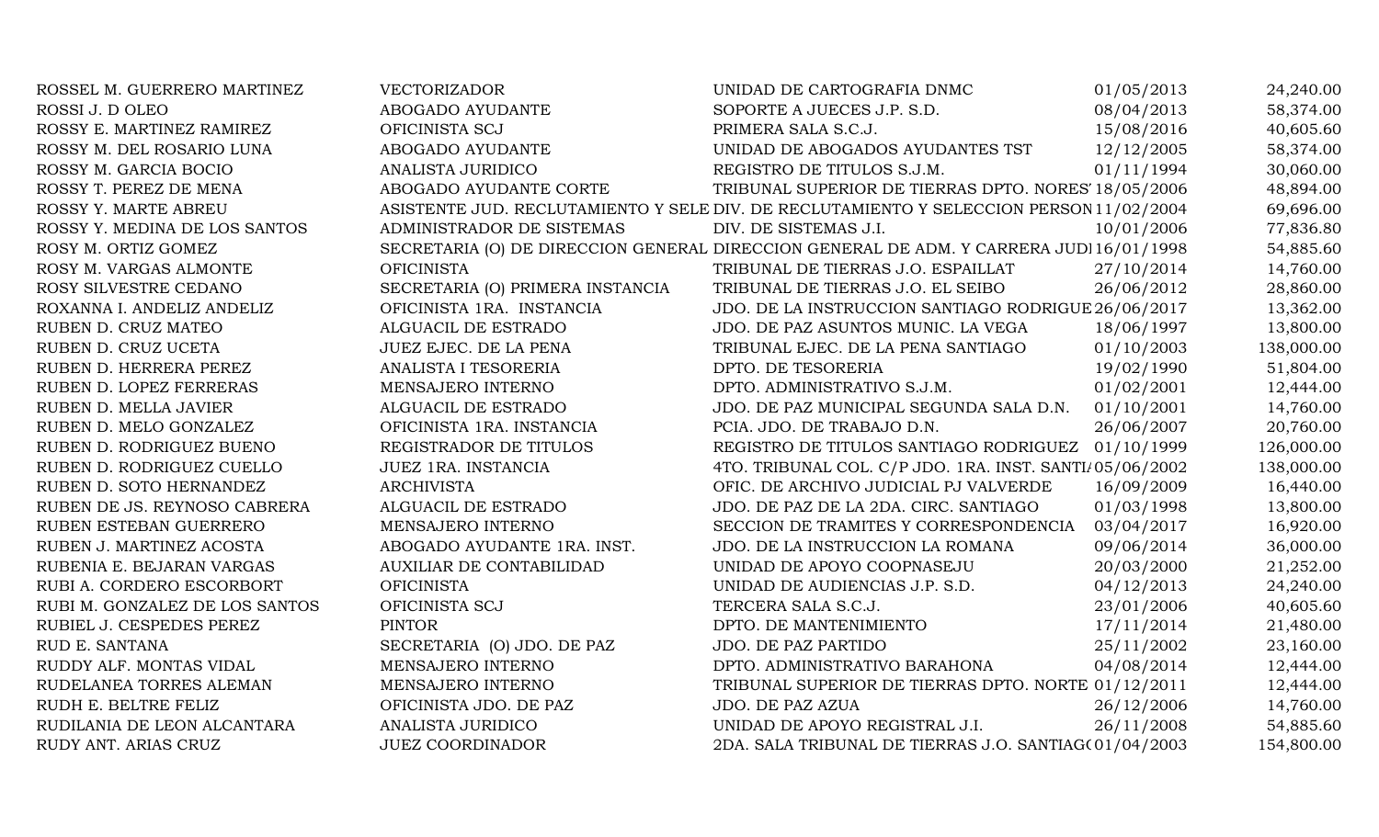| ROSSEL M. GUERRERO MARTINEZ    | VECTORIZADOR                     | UNIDAD DE CARTOGRAFIA DNMC                                                              | 01/05/2013 | 24,240.00  |
|--------------------------------|----------------------------------|-----------------------------------------------------------------------------------------|------------|------------|
| ROSSI J. D OLEO                | ABOGADO AYUDANTE                 | SOPORTE A JUECES J.P. S.D.                                                              | 08/04/2013 | 58,374.00  |
| ROSSY E. MARTINEZ RAMIREZ      | OFICINISTA SCJ                   | PRIMERA SALA S.C.J.                                                                     | 15/08/2016 | 40,605.60  |
| ROSSY M. DEL ROSARIO LUNA      | ABOGADO AYUDANTE                 | UNIDAD DE ABOGADOS AYUDANTES TST                                                        | 12/12/2005 | 58,374.00  |
| ROSSY M. GARCIA BOCIO          | ANALISTA JURIDICO                | REGISTRO DE TITULOS S.J.M.                                                              | 01/11/1994 | 30,060.00  |
| ROSSY T. PEREZ DE MENA         | ABOGADO AYUDANTE CORTE           | TRIBUNAL SUPERIOR DE TIERRAS DPTO. NORES' 18/05/2006                                    |            | 48,894.00  |
| ROSSY Y. MARTE ABREU           |                                  | ASISTENTE JUD. RECLUTAMIENTO Y SELE DIV. DE RECLUTAMIENTO Y SELECCION PERSON 11/02/2004 |            | 69,696.00  |
| ROSSY Y. MEDINA DE LOS SANTOS  | ADMINISTRADOR DE SISTEMAS        | DIV. DE SISTEMAS J.I.                                                                   | 10/01/2006 | 77,836.80  |
| ROSY M. ORTIZ GOMEZ            |                                  | SECRETARIA (O) DE DIRECCION GENERAL DIRECCION GENERAL DE ADM. Y CARRERA JUDI 16/01/1998 |            | 54,885.60  |
| ROSY M. VARGAS ALMONTE         | <b>OFICINISTA</b>                | TRIBUNAL DE TIERRAS J.O. ESPAILLAT                                                      | 27/10/2014 | 14,760.00  |
| ROSY SILVESTRE CEDANO          | SECRETARIA (O) PRIMERA INSTANCIA | TRIBUNAL DE TIERRAS J.O. EL SEIBO                                                       | 26/06/2012 | 28,860.00  |
| ROXANNA I. ANDELIZ ANDELIZ     | OFICINISTA 1RA. INSTANCIA        | JDO. DE LA INSTRUCCION SANTIAGO RODRIGUE 26/06/2017                                     |            | 13,362.00  |
| RUBEN D. CRUZ MATEO            | ALGUACIL DE ESTRADO              | JDO. DE PAZ ASUNTOS MUNIC. LA VEGA                                                      | 18/06/1997 | 13,800.00  |
| RUBEN D. CRUZ UCETA            | JUEZ EJEC. DE LA PENA            | TRIBUNAL EJEC. DE LA PENA SANTIAGO                                                      | 01/10/2003 | 138,000.00 |
| RUBEN D. HERRERA PEREZ         | ANALISTA I TESORERIA             | DPTO. DE TESORERIA                                                                      | 19/02/1990 | 51,804.00  |
| RUBEN D. LOPEZ FERRERAS        | MENSAJERO INTERNO                | DPTO. ADMINISTRATIVO S.J.M.                                                             | 01/02/2001 | 12,444.00  |
| RUBEN D. MELLA JAVIER          | ALGUACIL DE ESTRADO              | JDO. DE PAZ MUNICIPAL SEGUNDA SALA D.N.                                                 | 01/10/2001 | 14,760.00  |
| RUBEN D. MELO GONZALEZ         | OFICINISTA 1RA. INSTANCIA        | PCIA. JDO. DE TRABAJO D.N.                                                              | 26/06/2007 | 20,760.00  |
| RUBEN D. RODRIGUEZ BUENO       | REGISTRADOR DE TITULOS           | REGISTRO DE TITULOS SANTIAGO RODRIGUEZ 01/10/1999                                       |            | 126,000.00 |
| RUBEN D. RODRIGUEZ CUELLO      | JUEZ 1RA. INSTANCIA              | 4TO. TRIBUNAL COL. C/P JDO. 1RA. INST. SANTI/05/06/2002                                 |            | 138,000.00 |
| RUBEN D. SOTO HERNANDEZ        | <b>ARCHIVISTA</b>                | OFIC. DE ARCHIVO JUDICIAL PJ VALVERDE                                                   | 16/09/2009 | 16,440.00  |
| RUBEN DE JS. REYNOSO CABRERA   | ALGUACIL DE ESTRADO              | JDO. DE PAZ DE LA 2DA. CIRC. SANTIAGO                                                   | 01/03/1998 | 13,800.00  |
| RUBEN ESTEBAN GUERRERO         | MENSAJERO INTERNO                | SECCION DE TRAMITES Y CORRESPONDENCIA                                                   | 03/04/2017 | 16,920.00  |
| RUBEN J. MARTINEZ ACOSTA       | ABOGADO AYUDANTE 1RA. INST.      | JDO. DE LA INSTRUCCION LA ROMANA                                                        | 09/06/2014 | 36,000.00  |
| RUBENIA E. BEJARAN VARGAS      | AUXILIAR DE CONTABILIDAD         | UNIDAD DE APOYO COOPNASEJU                                                              | 20/03/2000 | 21,252.00  |
| RUBI A. CORDERO ESCORBORT      | <b>OFICINISTA</b>                | UNIDAD DE AUDIENCIAS J.P. S.D.                                                          | 04/12/2013 | 24,240.00  |
| RUBI M. GONZALEZ DE LOS SANTOS | OFICINISTA SCJ                   | TERCERA SALA S.C.J.                                                                     | 23/01/2006 | 40,605.60  |
| RUBIEL J. CESPEDES PEREZ       | <b>PINTOR</b>                    | DPTO. DE MANTENIMIENTO                                                                  | 17/11/2014 | 21,480.00  |
| RUD E. SANTANA                 | SECRETARIA (O) JDO. DE PAZ       | <b>JDO. DE PAZ PARTIDO</b>                                                              | 25/11/2002 | 23,160.00  |
| RUDDY ALF. MONTAS VIDAL        | MENSAJERO INTERNO                | DPTO. ADMINISTRATIVO BARAHONA                                                           | 04/08/2014 | 12,444.00  |
| RUDELANEA TORRES ALEMAN        | MENSAJERO INTERNO                | TRIBUNAL SUPERIOR DE TIERRAS DPTO. NORTE 01/12/2011                                     |            | 12,444.00  |
| RUDH E. BELTRE FELIZ           | OFICINISTA JDO. DE PAZ           | JDO. DE PAZ AZUA                                                                        | 26/12/2006 | 14,760.00  |
| RUDILANIA DE LEON ALCANTARA    | ANALISTA JURIDICO                | UNIDAD DE APOYO REGISTRAL J.I.                                                          | 26/11/2008 | 54,885.60  |
| RUDY ANT. ARIAS CRUZ           | <b>JUEZ COORDINADOR</b>          | 2DA. SALA TRIBUNAL DE TIERRAS J.O. SANTIAG(01/04/2003                                   |            | 154,800.00 |
|                                |                                  |                                                                                         |            |            |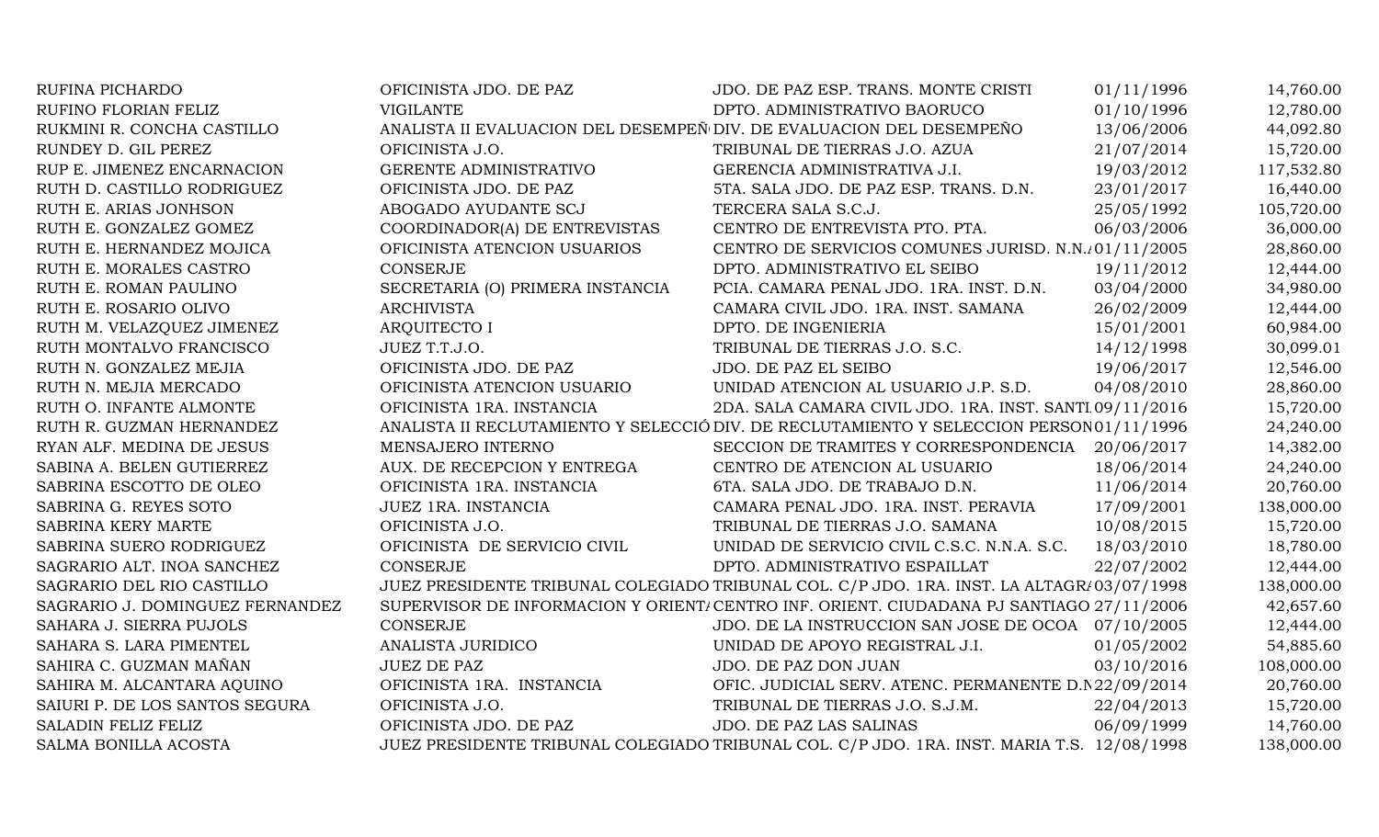| RUFINA PICHARDO                 | OFICINISTA JDO. DE PAZ                                               | JDO. DE PAZ ESP. TRANS. MONTE CRISTI                                                       | 01/11/1996 | 14,760.00  |
|---------------------------------|----------------------------------------------------------------------|--------------------------------------------------------------------------------------------|------------|------------|
| RUFINO FLORIAN FELIZ            | <b>VIGILANTE</b>                                                     | DPTO. ADMINISTRATIVO BAORUCO                                                               | 01/10/1996 | 12,780.00  |
| RUKMINI R. CONCHA CASTILLO      | ANALISTA II EVALUACION DEL DESEMPEÑ DIV. DE EVALUACION DEL DESEMPEÑO |                                                                                            | 13/06/2006 | 44,092.80  |
| RUNDEY D. GIL PEREZ             | OFICINISTA J.O.                                                      | TRIBUNAL DE TIERRAS J.O. AZUA                                                              | 21/07/2014 | 15,720.00  |
| RUP E. JIMENEZ ENCARNACION      | GERENTE ADMINISTRATIVO                                               | GERENCIA ADMINISTRATIVA J.I.                                                               | 19/03/2012 | 117,532.80 |
| RUTH D. CASTILLO RODRIGUEZ      | OFICINISTA JDO. DE PAZ                                               | 5TA. SALA JDO. DE PAZ ESP. TRANS. D.N.                                                     | 23/01/2017 | 16,440.00  |
| RUTH E. ARIAS JONHSON           | ABOGADO AYUDANTE SCJ                                                 | TERCERA SALA S.C.J.                                                                        | 25/05/1992 | 105,720.00 |
| RUTH E. GONZALEZ GOMEZ          | COORDINADOR(A) DE ENTREVISTAS                                        | CENTRO DE ENTREVISTA PTO. PTA.                                                             | 06/03/2006 | 36,000.00  |
| RUTH E. HERNANDEZ MOJICA        | OFICINISTA ATENCION USUARIOS                                         | CENTRO DE SERVICIOS COMUNES JURISD. N.N. 01/11/2005                                        |            | 28,860.00  |
| RUTH E. MORALES CASTRO          | CONSERJE                                                             | DPTO. ADMINISTRATIVO EL SEIBO                                                              | 19/11/2012 | 12,444.00  |
| RUTH E. ROMAN PAULINO           | SECRETARIA (O) PRIMERA INSTANCIA                                     | PCIA. CAMARA PENAL JDO. 1RA. INST. D.N.                                                    | 03/04/2000 | 34,980.00  |
| RUTH E. ROSARIO OLIVO           | <b>ARCHIVISTA</b>                                                    | CAMARA CIVIL JDO. 1RA. INST. SAMANA                                                        | 26/02/2009 | 12,444.00  |
| RUTH M. VELAZQUEZ JIMENEZ       | ARQUITECTO I                                                         | DPTO. DE INGENIERIA                                                                        | 15/01/2001 | 60,984.00  |
| RUTH MONTALVO FRANCISCO         | JUEZ T.T.J.O.                                                        | TRIBUNAL DE TIERRAS J.O. S.C.                                                              | 14/12/1998 | 30,099.01  |
| RUTH N. GONZALEZ MEJIA          | OFICINISTA JDO. DE PAZ                                               | JDO. DE PAZ EL SEIBO                                                                       | 19/06/2017 | 12,546.00  |
| RUTH N. MEJIA MERCADO           | OFICINISTA ATENCION USUARIO                                          | UNIDAD ATENCION AL USUARIO J.P. S.D.                                                       | 04/08/2010 | 28,860.00  |
| RUTH O. INFANTE ALMONTE         | OFICINISTA 1RA. INSTANCIA                                            | 2DA. SALA CAMARA CIVIL JDO. 1RA. INST. SANTI 09/11/2016                                    |            | 15,720.00  |
| RUTH R. GUZMAN HERNANDEZ        |                                                                      | ANALISTA II RECLUTAMIENTO Y SELECCIÓ DIV. DE RECLUTAMIENTO Y SELECCION PERSON 01/11/1996   |            | 24,240.00  |
| RYAN ALF. MEDINA DE JESUS       | MENSAJERO INTERNO                                                    | SECCION DE TRAMITES Y CORRESPONDENCIA                                                      | 20/06/2017 | 14,382.00  |
| SABINA A. BELEN GUTIERREZ       | AUX. DE RECEPCION Y ENTREGA                                          | CENTRO DE ATENCION AL USUARIO                                                              | 18/06/2014 | 24,240.00  |
| SABRINA ESCOTTO DE OLEO         | OFICINISTA 1RA. INSTANCIA                                            | 6TA. SALA JDO. DE TRABAJO D.N.                                                             | 11/06/2014 | 20,760.00  |
| SABRINA G. REYES SOTO           | JUEZ 1RA. INSTANCIA                                                  | CAMARA PENAL JDO. 1RA. INST. PERAVIA                                                       | 17/09/2001 | 138,000.00 |
| SABRINA KERY MARTE              | OFICINISTA J.O.                                                      | TRIBUNAL DE TIERRAS J.O. SAMANA                                                            | 10/08/2015 | 15,720.00  |
| SABRINA SUERO RODRIGUEZ         | OFICINISTA DE SERVICIO CIVIL                                         | UNIDAD DE SERVICIO CIVIL C.S.C. N.N.A. S.C.                                                | 18/03/2010 | 18,780.00  |
| SAGRARIO ALT. INOA SANCHEZ      | <b>CONSERJE</b>                                                      | DPTO. ADMINISTRATIVO ESPAILLAT                                                             | 22/07/2002 | 12,444.00  |
| SAGRARIO DEL RIO CASTILLO       |                                                                      | JUEZ PRESIDENTE TRIBUNAL COLEGIADO TRIBUNAL COL. C/P JDO. 1RA. INST. LA ALTAGR/03/07/1998  |            | 138,000.00 |
| SAGRARIO J. DOMINGUEZ FERNANDEZ |                                                                      | SUPERVISOR DE INFORMACION Y ORIENT/CENTRO INF. ORIENT. CIUDADANA PJ SANTIAGO 27/11/2006    |            | 42,657.60  |
| SAHARA J. SIERRA PUJOLS         | CONSERJE                                                             | JDO. DE LA INSTRUCCION SAN JOSE DE OCOA 07/10/2005                                         |            | 12,444.00  |
| SAHARA S. LARA PIMENTEL         | ANALISTA JURIDICO                                                    | UNIDAD DE APOYO REGISTRAL J.I.                                                             | 01/05/2002 | 54,885.60  |
| SAHIRA C. GUZMAN MAÑAN          | <b>JUEZ DE PAZ</b>                                                   | JDO. DE PAZ DON JUAN                                                                       | 03/10/2016 | 108,000.00 |
| SAHIRA M. ALCANTARA AQUINO      | OFICINISTA 1RA. INSTANCIA                                            | OFIC. JUDICIAL SERV. ATENC. PERMANENTE D.N 22/09/2014                                      |            | 20,760.00  |
| SAIURI P. DE LOS SANTOS SEGURA  | OFICINISTA J.O.                                                      | TRIBUNAL DE TIERRAS J.O. S.J.M.                                                            | 22/04/2013 | 15,720.00  |
| SALADIN FELIZ FELIZ             | OFICINISTA JDO. DE PAZ                                               | <b>JDO. DE PAZ LAS SALINAS</b>                                                             | 06/09/1999 | 14,760.00  |
| SALMA BONILLA ACOSTA            |                                                                      | JUEZ PRESIDENTE TRIBUNAL COLEGIADO TRIBUNAL COL. C/P JDO. 1RA. INST. MARIA T.S. 12/08/1998 |            | 138,000.00 |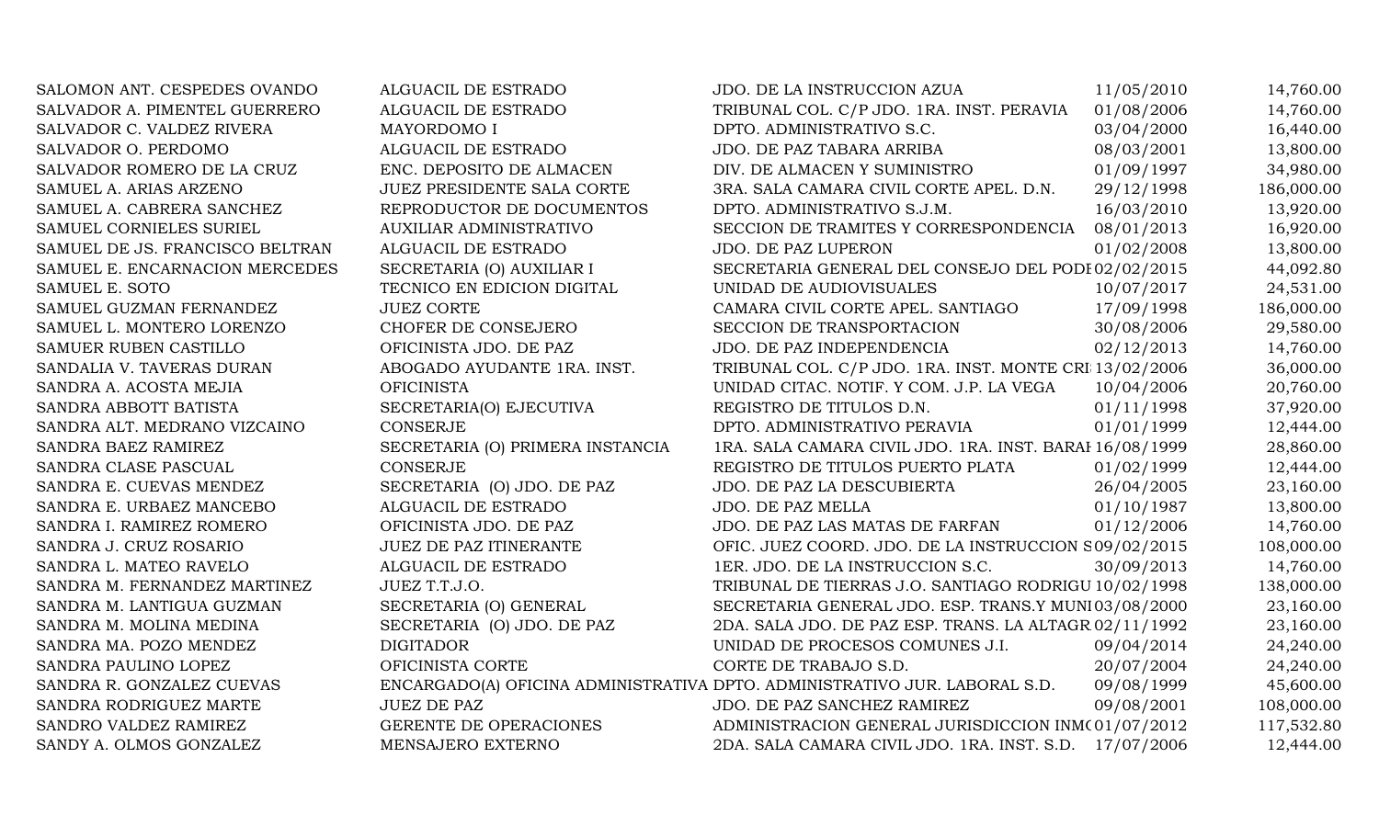| SALOMON ANT. CESPEDES OVANDO    | ALGUACIL DE ESTRADO              | JDO. DE LA INSTRUCCION AZUA                                                | 11/05/2010 | 14,760.00  |
|---------------------------------|----------------------------------|----------------------------------------------------------------------------|------------|------------|
| SALVADOR A. PIMENTEL GUERRERO   | ALGUACIL DE ESTRADO              | TRIBUNAL COL. C/P JDO. 1RA. INST. PERAVIA                                  | 01/08/2006 | 14,760.00  |
| SALVADOR C. VALDEZ RIVERA       | MAYORDOMO I                      | DPTO. ADMINISTRATIVO S.C.                                                  | 03/04/2000 | 16,440.00  |
| SALVADOR O. PERDOMO             | ALGUACIL DE ESTRADO              | JDO. DE PAZ TABARA ARRIBA                                                  | 08/03/2001 | 13,800.00  |
| SALVADOR ROMERO DE LA CRUZ      | ENC. DEPOSITO DE ALMACEN         | DIV. DE ALMACEN Y SUMINISTRO                                               | 01/09/1997 | 34,980.00  |
| SAMUEL A. ARIAS ARZENO          | JUEZ PRESIDENTE SALA CORTE       | 3RA. SALA CAMARA CIVIL CORTE APEL. D.N.                                    | 29/12/1998 | 186,000.00 |
| SAMUEL A. CABRERA SANCHEZ       | REPRODUCTOR DE DOCUMENTOS        | DPTO. ADMINISTRATIVO S.J.M.                                                | 16/03/2010 | 13,920.00  |
| SAMUEL CORNIELES SURIEL         | <b>AUXILIAR ADMINISTRATIVO</b>   | SECCION DE TRAMITES Y CORRESPONDENCIA                                      | 08/01/2013 | 16,920.00  |
| SAMUEL DE JS. FRANCISCO BELTRAN | ALGUACIL DE ESTRADO              | <b>JDO. DE PAZ LUPERON</b>                                                 | 01/02/2008 | 13,800.00  |
| SAMUEL E. ENCARNACION MERCEDES  | SECRETARIA (O) AUXILIAR I        | SECRETARIA GENERAL DEL CONSEJO DEL PODI 02/02/2015                         |            | 44,092.80  |
| SAMUEL E. SOTO                  | TECNICO EN EDICION DIGITAL       | UNIDAD DE AUDIOVISUALES                                                    | 10/07/2017 | 24,531.00  |
| SAMUEL GUZMAN FERNANDEZ         | <b>JUEZ CORTE</b>                | CAMARA CIVIL CORTE APEL. SANTIAGO                                          | 17/09/1998 | 186,000.00 |
| SAMUEL L. MONTERO LORENZO       | CHOFER DE CONSEJERO              | SECCION DE TRANSPORTACION                                                  | 30/08/2006 | 29,580.00  |
| SAMUER RUBEN CASTILLO           | OFICINISTA JDO. DE PAZ           | JDO. DE PAZ INDEPENDENCIA                                                  | 02/12/2013 | 14,760.00  |
| SANDALIA V. TAVERAS DURAN       | ABOGADO AYUDANTE 1RA. INST.      | TRIBUNAL COL. C/P JDO. 1RA. INST. MONTE CRI 13/02/2006                     |            | 36,000.00  |
| SANDRA A. ACOSTA MEJIA          | <b>OFICINISTA</b>                | UNIDAD CITAC. NOTIF. Y COM. J.P. LA VEGA                                   | 10/04/2006 | 20,760.00  |
| SANDRA ABBOTT BATISTA           | SECRETARIA(O) EJECUTIVA          | REGISTRO DE TITULOS D.N.                                                   | 01/11/1998 | 37,920.00  |
| SANDRA ALT. MEDRANO VIZCAINO    | <b>CONSERJE</b>                  | DPTO. ADMINISTRATIVO PERAVIA                                               | 01/01/1999 | 12,444.00  |
| SANDRA BAEZ RAMIREZ             | SECRETARIA (O) PRIMERA INSTANCIA | 1RA. SALA CAMARA CIVIL JDO. 1RA. INST. BARAI 16/08/1999                    |            | 28,860.00  |
| SANDRA CLASE PASCUAL            | <b>CONSERJE</b>                  | REGISTRO DE TITULOS PUERTO PLATA                                           | 01/02/1999 | 12,444.00  |
| SANDRA E. CUEVAS MENDEZ         | SECRETARIA (O) JDO. DE PAZ       | JDO. DE PAZ LA DESCUBIERTA                                                 | 26/04/2005 | 23,160.00  |
| SANDRA E. URBAEZ MANCEBO        | ALGUACIL DE ESTRADO              | JDO. DE PAZ MELLA                                                          | 01/10/1987 | 13,800.00  |
| SANDRA I. RAMIREZ ROMERO        | OFICINISTA JDO. DE PAZ           | JDO. DE PAZ LAS MATAS DE FARFAN                                            | 01/12/2006 | 14,760.00  |
| SANDRA J. CRUZ ROSARIO          | <b>JUEZ DE PAZ ITINERANTE</b>    | OFIC. JUEZ COORD. JDO. DE LA INSTRUCCION S09/02/2015                       |            | 108,000.00 |
| SANDRA L. MATEO RAVELO          | ALGUACIL DE ESTRADO              | 1ER. JDO. DE LA INSTRUCCION S.C.                                           | 30/09/2013 | 14,760.00  |
| SANDRA M. FERNANDEZ MARTINEZ    | JUEZ T.T.J.O.                    | TRIBUNAL DE TIERRAS J.O. SANTIAGO RODRIGU 10/02/1998                       |            | 138,000.00 |
| SANDRA M. LANTIGUA GUZMAN       | SECRETARIA (O) GENERAL           | SECRETARIA GENERAL JDO. ESP. TRANS.Y MUNI03/08/2000                        |            | 23,160.00  |
| SANDRA M. MOLINA MEDINA         | SECRETARIA (O) JDO. DE PAZ       | 2DA. SALA JDO. DE PAZ ESP. TRANS. LA ALTAGR 02/11/1992                     |            | 23,160.00  |
| SANDRA MA. POZO MENDEZ          | <b>DIGITADOR</b>                 | UNIDAD DE PROCESOS COMUNES J.I.                                            | 09/04/2014 | 24,240.00  |
| SANDRA PAULINO LOPEZ            | OFICINISTA CORTE                 | CORTE DE TRABAJO S.D.                                                      | 20/07/2004 | 24,240.00  |
| SANDRA R. GONZALEZ CUEVAS       |                                  | ENCARGADO(A) OFICINA ADMINISTRATIVA DPTO. ADMINISTRATIVO JUR. LABORAL S.D. | 09/08/1999 | 45,600.00  |
| SANDRA RODRIGUEZ MARTE          | <b>JUEZ DE PAZ</b>               | JDO. DE PAZ SANCHEZ RAMIREZ                                                | 09/08/2001 | 108,000.00 |
| SANDRO VALDEZ RAMIREZ           | GERENTE DE OPERACIONES           | ADMINISTRACION GENERAL JURISDICCION INM(01/07/2012)                        |            | 117,532.80 |
| SANDY A. OLMOS GONZALEZ         | MENSAJERO EXTERNO                | 2DA. SALA CAMARA CIVIL JDO. 1RA. INST. S.D.                                | 17/07/2006 | 12,444.00  |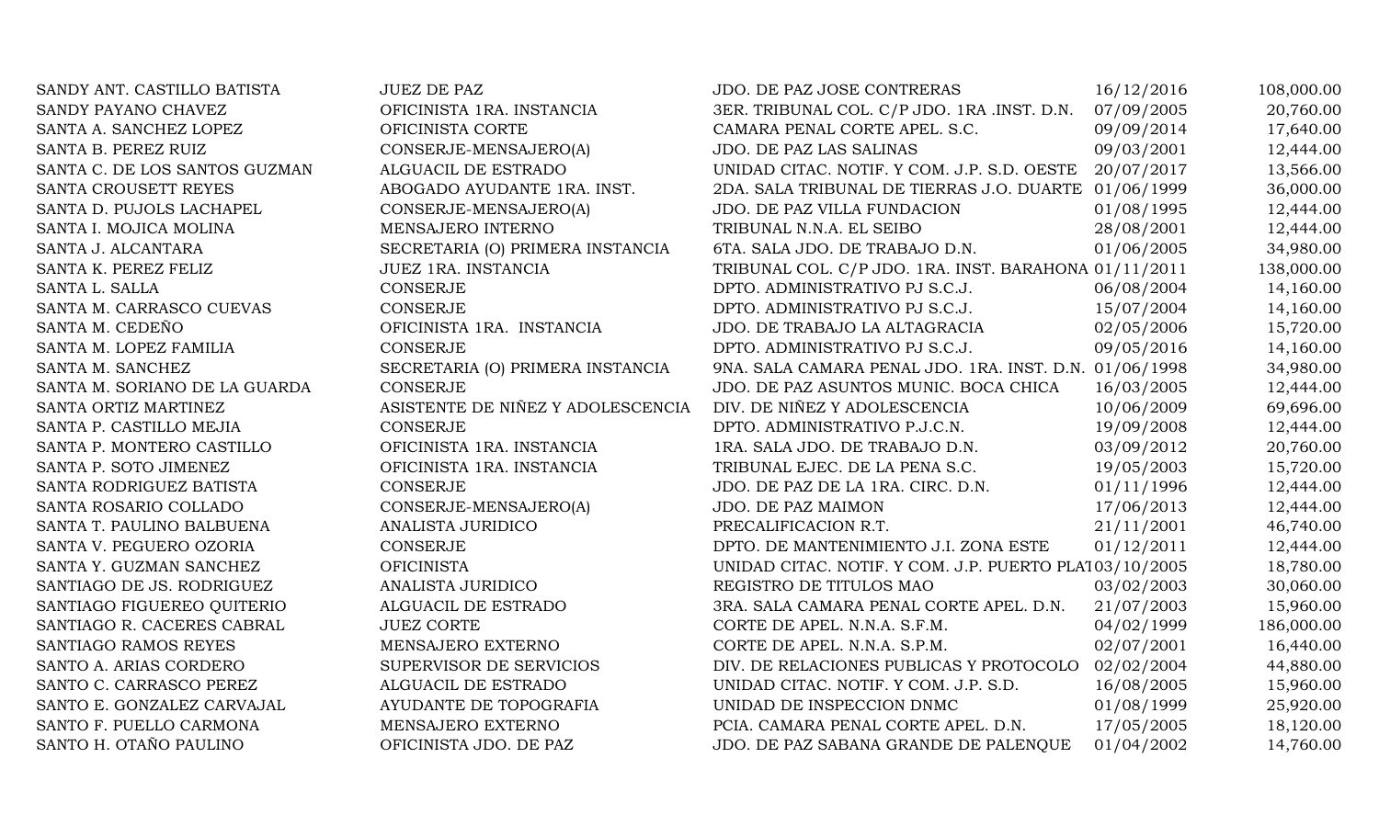| SANDY ANT. CASTILLO BATISTA   | <b>JUEZ DE PAZ</b>                | JDO. DE PAZ JOSE CONTRERAS                             | 16/12/2016 | 108,000.00 |
|-------------------------------|-----------------------------------|--------------------------------------------------------|------------|------------|
| SANDY PAYANO CHAVEZ           | OFICINISTA 1RA. INSTANCIA         | 3ER. TRIBUNAL COL. C/P JDO. 1RA .INST. D.N. 07/09/2005 |            | 20,760.00  |
| SANTA A. SANCHEZ LOPEZ        | OFICINISTA CORTE                  | CAMARA PENAL CORTE APEL. S.C.                          | 09/09/2014 | 17,640.00  |
| SANTA B. PEREZ RUIZ           | CONSERJE-MENSAJERO(A)             | JDO. DE PAZ LAS SALINAS                                | 09/03/2001 | 12,444.00  |
| SANTA C. DE LOS SANTOS GUZMAN | ALGUACIL DE ESTRADO               | UNIDAD CITAC. NOTIF. Y COM. J.P. S.D. OESTE 20/07/2017 |            | 13,566.00  |
| SANTA CROUSETT REYES          | ABOGADO AYUDANTE 1RA. INST.       | 2DA. SALA TRIBUNAL DE TIERRAS J.O. DUARTE 01/06/1999   |            | 36,000.00  |
| SANTA D. PUJOLS LACHAPEL      | CONSERJE-MENSAJERO(A)             | JDO. DE PAZ VILLA FUNDACION                            | 01/08/1995 | 12,444.00  |
| SANTA I. MOJICA MOLINA        | MENSAJERO INTERNO                 | TRIBUNAL N.N.A. EL SEIBO                               | 28/08/2001 | 12,444.00  |
| SANTA J. ALCANTARA            | SECRETARIA (O) PRIMERA INSTANCIA  | 6TA. SALA JDO. DE TRABAJO D.N.                         | 01/06/2005 | 34,980.00  |
| SANTA K. PEREZ FELIZ          | JUEZ 1RA. INSTANCIA               | TRIBUNAL COL. C/P JDO. 1RA. INST. BARAHONA 01/11/2011  |            | 138,000.00 |
| SANTA L. SALLA                | <b>CONSERJE</b>                   | DPTO. ADMINISTRATIVO PJ S.C.J.                         | 06/08/2004 | 14,160.00  |
| SANTA M. CARRASCO CUEVAS      | <b>CONSERJE</b>                   | DPTO. ADMINISTRATIVO PJ S.C.J.                         | 15/07/2004 | 14,160.00  |
| SANTA M. CEDEÑO               | OFICINISTA 1RA. INSTANCIA         | JDO. DE TRABAJO LA ALTAGRACIA                          | 02/05/2006 | 15,720.00  |
| SANTA M. LOPEZ FAMILIA        | <b>CONSERJE</b>                   | DPTO. ADMINISTRATIVO PJ S.C.J.                         | 09/05/2016 | 14,160.00  |
| SANTA M. SANCHEZ              | SECRETARIA (O) PRIMERA INSTANCIA  | 9NA. SALA CAMARA PENAL JDO. 1RA. INST. D.N. 01/06/1998 |            | 34,980.00  |
| SANTA M. SORIANO DE LA GUARDA | CONSERJE                          | JDO. DE PAZ ASUNTOS MUNIC. BOCA CHICA                  | 16/03/2005 | 12,444.00  |
| SANTA ORTIZ MARTINEZ          | ASISTENTE DE NIÑEZ Y ADOLESCENCIA | DIV. DE NIÑEZ Y ADOLESCENCIA                           | 10/06/2009 | 69,696.00  |
| SANTA P. CASTILLO MEJIA       | <b>CONSERJE</b>                   | DPTO. ADMINISTRATIVO P.J.C.N.                          | 19/09/2008 | 12,444.00  |
| SANTA P. MONTERO CASTILLO     | OFICINISTA 1RA. INSTANCIA         | 1RA. SALA JDO. DE TRABAJO D.N.                         | 03/09/2012 | 20,760.00  |
| SANTA P. SOTO JIMENEZ         | OFICINISTA 1RA. INSTANCIA         | TRIBUNAL EJEC. DE LA PENA S.C.                         | 19/05/2003 | 15,720.00  |
| SANTA RODRIGUEZ BATISTA       | CONSERJE                          | JDO. DE PAZ DE LA 1RA. CIRC. D.N.                      | 01/11/1996 | 12,444.00  |
| SANTA ROSARIO COLLADO         | CONSERJE-MENSAJERO(A)             | JDO. DE PAZ MAIMON                                     | 17/06/2013 | 12,444.00  |
| SANTA T. PAULINO BALBUENA     | ANALISTA JURIDICO                 | PRECALIFICACION R.T.                                   | 21/11/2001 | 46,740.00  |
| SANTA V. PEGUERO OZORIA       | CONSERJE                          | DPTO. DE MANTENIMIENTO J.I. ZONA ESTE                  | 01/12/2011 | 12,444.00  |
| SANTA Y. GUZMAN SANCHEZ       | <b>OFICINISTA</b>                 | UNIDAD CITAC. NOTIF. Y COM. J.P. PUERTO PLA103/10/2005 |            | 18,780.00  |
| SANTIAGO DE JS. RODRIGUEZ     | ANALISTA JURIDICO                 | REGISTRO DE TITULOS MAO                                | 03/02/2003 | 30,060.00  |
| SANTIAGO FIGUEREO QUITERIO    | ALGUACIL DE ESTRADO               | 3RA. SALA CAMARA PENAL CORTE APEL. D.N.                | 21/07/2003 | 15,960.00  |
| SANTIAGO R. CACERES CABRAL    | <b>JUEZ CORTE</b>                 | CORTE DE APEL. N.N.A. S.F.M.                           | 04/02/1999 | 186,000.00 |
| SANTIAGO RAMOS REYES          | MENSAJERO EXTERNO                 | CORTE DE APEL. N.N.A. S.P.M.                           | 02/07/2001 | 16,440.00  |
| SANTO A. ARIAS CORDERO        | SUPERVISOR DE SERVICIOS           | DIV. DE RELACIONES PUBLICAS Y PROTOCOLO                | 02/02/2004 | 44,880.00  |
| SANTO C. CARRASCO PEREZ       | ALGUACIL DE ESTRADO               | UNIDAD CITAC. NOTIF. Y COM. J.P. S.D.                  | 16/08/2005 | 15,960.00  |
| SANTO E. GONZALEZ CARVAJAL    | AYUDANTE DE TOPOGRAFIA            | UNIDAD DE INSPECCION DNMC                              | 01/08/1999 | 25,920.00  |
| SANTO F. PUELLO CARMONA       | MENSAJERO EXTERNO                 | PCIA. CAMARA PENAL CORTE APEL. D.N.                    | 17/05/2005 | 18,120.00  |
| SANTO H. OTAÑO PAULINO        | OFICINISTA JDO. DE PAZ            | JDO. DE PAZ SABANA GRANDE DE PALENQUE                  | 01/04/2002 | 14,760.00  |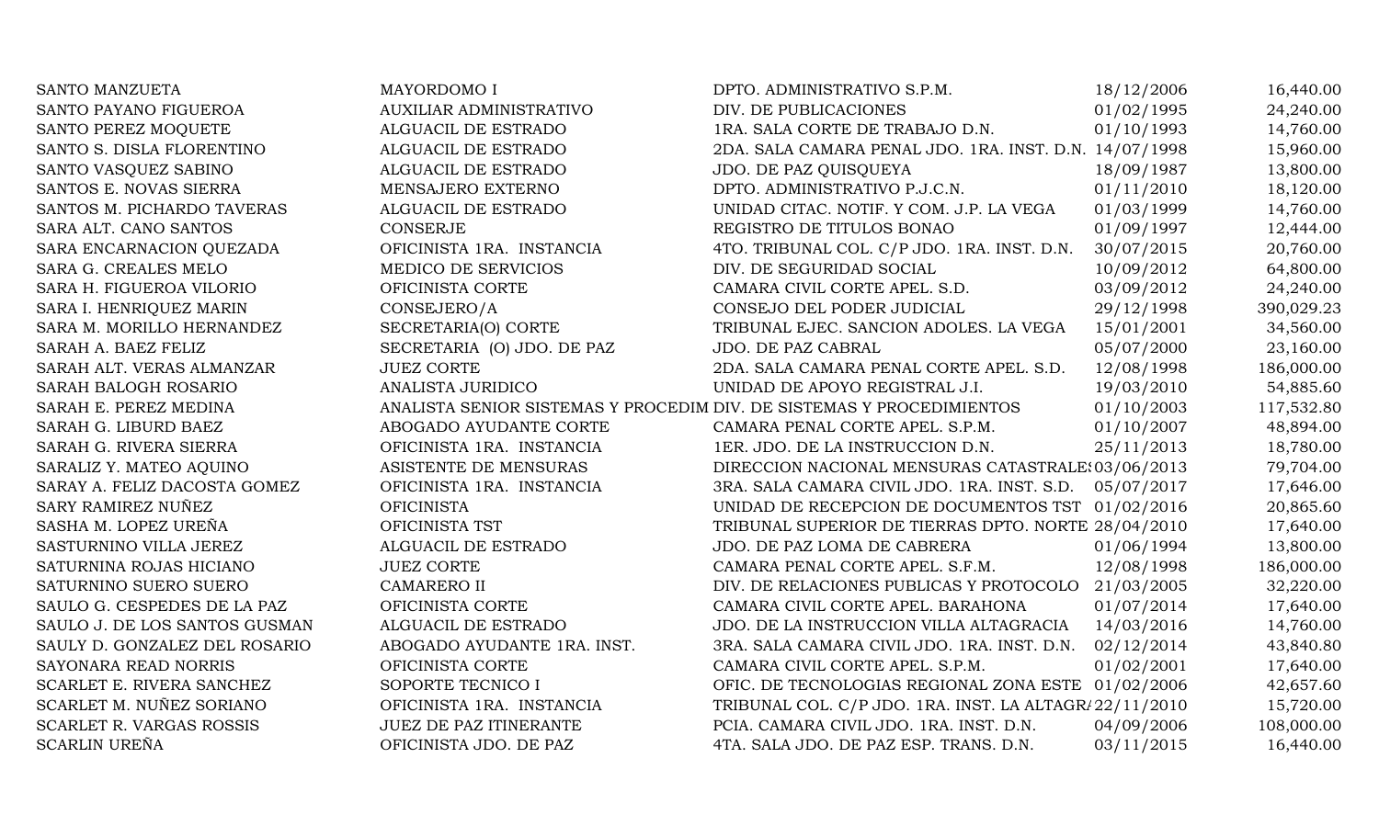| SANTO MANZUETA                | MAYORDOMO I                                                           | DPTO. ADMINISTRATIVO S.P.M.                            | 18/12/2006 | 16,440.00  |
|-------------------------------|-----------------------------------------------------------------------|--------------------------------------------------------|------------|------------|
| SANTO PAYANO FIGUEROA         | AUXILIAR ADMINISTRATIVO                                               | DIV. DE PUBLICACIONES                                  | 01/02/1995 | 24,240.00  |
| SANTO PEREZ MOQUETE           | ALGUACIL DE ESTRADO                                                   | 1RA. SALA CORTE DE TRABAJO D.N.                        | 01/10/1993 | 14,760.00  |
| SANTO S. DISLA FLORENTINO     | ALGUACIL DE ESTRADO                                                   | 2DA. SALA CAMARA PENAL JDO. 1RA. INST. D.N. 14/07/1998 |            | 15,960.00  |
| SANTO VASQUEZ SABINO          | ALGUACIL DE ESTRADO                                                   | JDO. DE PAZ QUISQUEYA                                  | 18/09/1987 | 13,800.00  |
| SANTOS E. NOVAS SIERRA        | MENSAJERO EXTERNO                                                     | DPTO. ADMINISTRATIVO P.J.C.N.                          | 01/11/2010 | 18,120.00  |
| SANTOS M. PICHARDO TAVERAS    | ALGUACIL DE ESTRADO                                                   | UNIDAD CITAC. NOTIF. Y COM. J.P. LA VEGA               | 01/03/1999 | 14,760.00  |
| SARA ALT. CANO SANTOS         | <b>CONSERJE</b>                                                       | REGISTRO DE TITULOS BONAO                              | 01/09/1997 | 12,444.00  |
| SARA ENCARNACION QUEZADA      | OFICINISTA 1RA. INSTANCIA                                             | 4TO. TRIBUNAL COL. C/P JDO. 1RA. INST. D.N.            | 30/07/2015 | 20,760.00  |
| SARA G. CREALES MELO          | MEDICO DE SERVICIOS                                                   | DIV. DE SEGURIDAD SOCIAL                               | 10/09/2012 | 64,800.00  |
| SARA H. FIGUEROA VILORIO      | OFICINISTA CORTE                                                      | CAMARA CIVIL CORTE APEL. S.D.                          | 03/09/2012 | 24,240.00  |
| SARA I. HENRIQUEZ MARIN       | CONSEJERO/A                                                           | CONSEJO DEL PODER JUDICIAL                             | 29/12/1998 | 390,029.23 |
| SARA M. MORILLO HERNANDEZ     | SECRETARIA(O) CORTE                                                   | TRIBUNAL EJEC. SANCION ADOLES. LA VEGA                 | 15/01/2001 | 34,560.00  |
| SARAH A. BAEZ FELIZ           | SECRETARIA (O) JDO. DE PAZ                                            | JDO. DE PAZ CABRAL                                     | 05/07/2000 | 23,160.00  |
| SARAH ALT. VERAS ALMANZAR     | <b>JUEZ CORTE</b>                                                     | 2DA. SALA CAMARA PENAL CORTE APEL. S.D.                | 12/08/1998 | 186,000.00 |
| SARAH BALOGH ROSARIO          | ANALISTA JURIDICO                                                     | UNIDAD DE APOYO REGISTRAL J.I.                         | 19/03/2010 | 54,885.60  |
| SARAH E. PEREZ MEDINA         | ANALISTA SENIOR SISTEMAS Y PROCEDIM DIV. DE SISTEMAS Y PROCEDIMIENTOS |                                                        | 01/10/2003 | 117,532.80 |
| SARAH G. LIBURD BAEZ          | ABOGADO AYUDANTE CORTE                                                | CAMARA PENAL CORTE APEL. S.P.M.                        | 01/10/2007 | 48,894.00  |
| SARAH G. RIVERA SIERRA        | OFICINISTA 1RA. INSTANCIA                                             | 1ER. JDO. DE LA INSTRUCCION D.N.                       | 25/11/2013 | 18,780.00  |
| SARALIZ Y. MATEO AQUINO       | ASISTENTE DE MENSURAS                                                 | DIRECCION NACIONAL MENSURAS CATASTRALE: 03/06/2013     |            | 79,704.00  |
| SARAY A. FELIZ DACOSTA GOMEZ  | OFICINISTA 1RA. INSTANCIA                                             | 3RA. SALA CAMARA CIVIL JDO. 1RA. INST. S.D.            | 05/07/2017 | 17,646.00  |
| SARY RAMIREZ NUÑEZ            | <b>OFICINISTA</b>                                                     | UNIDAD DE RECEPCION DE DOCUMENTOS TST 01/02/2016       |            | 20,865.60  |
| SASHA M. LOPEZ UREÑA          | OFICINISTA TST                                                        | TRIBUNAL SUPERIOR DE TIERRAS DPTO. NORTE 28/04/2010    |            | 17,640.00  |
| SASTURNINO VILLA JEREZ        | ALGUACIL DE ESTRADO                                                   | JDO. DE PAZ LOMA DE CABRERA                            | 01/06/1994 | 13,800.00  |
| SATURNINA ROJAS HICIANO       | <b>JUEZ CORTE</b>                                                     | CAMARA PENAL CORTE APEL. S.F.M.                        | 12/08/1998 | 186,000.00 |
| SATURNINO SUERO SUERO         | <b>CAMARERO II</b>                                                    | DIV. DE RELACIONES PUBLICAS Y PROTOCOLO                | 21/03/2005 | 32,220.00  |
| SAULO G. CESPEDES DE LA PAZ   | OFICINISTA CORTE                                                      | CAMARA CIVIL CORTE APEL. BARAHONA                      | 01/07/2014 | 17,640.00  |
| SAULO J. DE LOS SANTOS GUSMAN | ALGUACIL DE ESTRADO                                                   | JDO. DE LA INSTRUCCION VILLA ALTAGRACIA                | 14/03/2016 | 14,760.00  |
| SAULY D. GONZALEZ DEL ROSARIO | ABOGADO AYUDANTE 1RA. INST.                                           | 3RA. SALA CAMARA CIVIL JDO. 1RA. INST. D.N.            | 02/12/2014 | 43,840.80  |
| SAYONARA READ NORRIS          | OFICINISTA CORTE                                                      | CAMARA CIVIL CORTE APEL. S.P.M.                        | 01/02/2001 | 17,640.00  |
| SCARLET E. RIVERA SANCHEZ     | SOPORTE TECNICO I                                                     | OFIC. DE TECNOLOGIAS REGIONAL ZONA ESTE 01/02/2006     |            | 42,657.60  |
| SCARLET M. NUÑEZ SORIANO      | OFICINISTA 1RA. INSTANCIA                                             | TRIBUNAL COL. C/P JDO. 1RA. INST. LA ALTAGR/22/11/2010 |            | 15,720.00  |
| SCARLET R. VARGAS ROSSIS      | JUEZ DE PAZ ITINERANTE                                                | PCIA. CAMARA CIVIL JDO. 1RA. INST. D.N.                | 04/09/2006 | 108,000.00 |
| <b>SCARLIN UREÑA</b>          | OFICINISTA JDO. DE PAZ                                                | 4TA. SALA JDO. DE PAZ ESP. TRANS. D.N.                 | 03/11/2015 | 16,440.00  |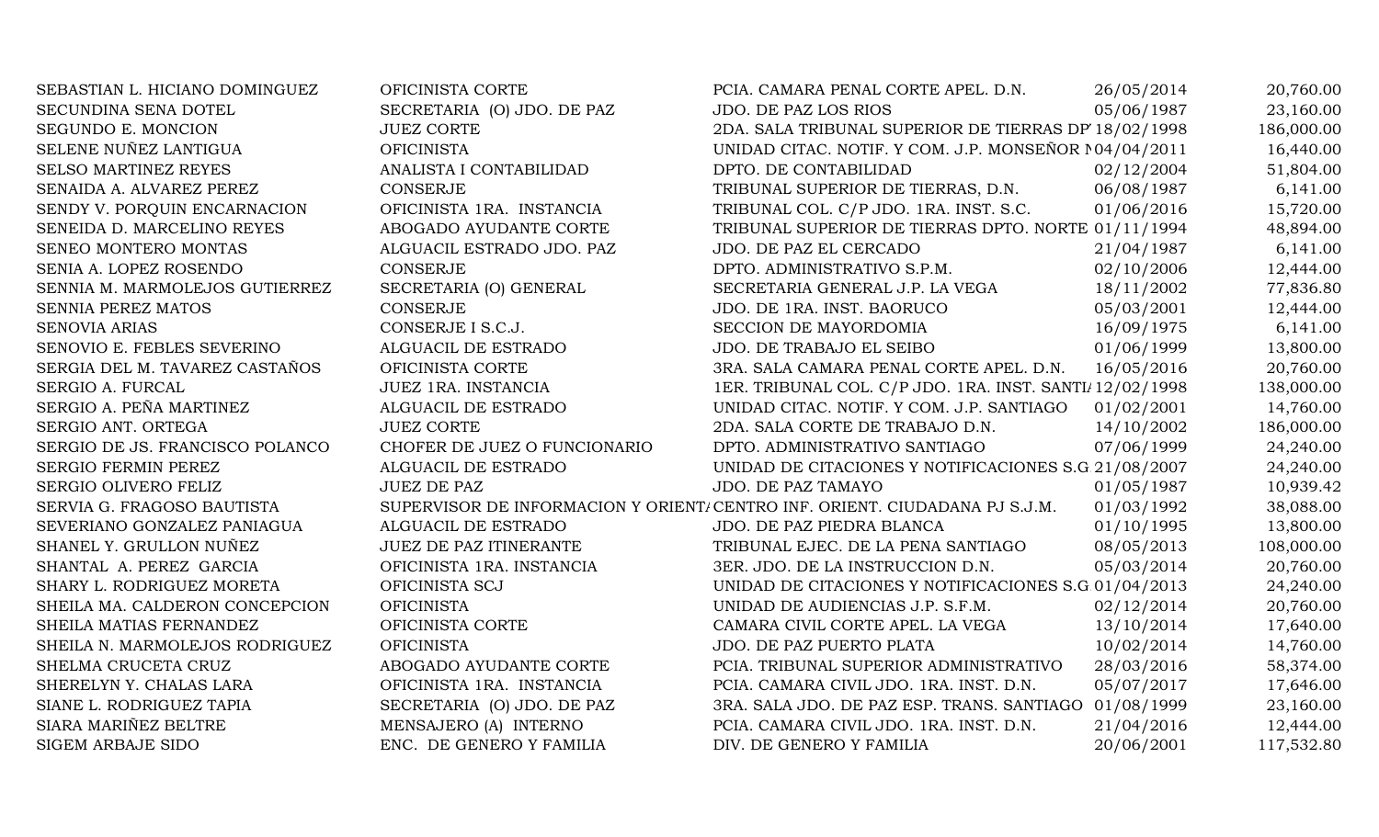| SEBASTIAN L. HICIANO DOMINGUEZ  | OFICINISTA CORTE              | PCIA. CAMARA PENAL CORTE APEL. D.N.                                         | 26/05/2014 | 20,760.00  |
|---------------------------------|-------------------------------|-----------------------------------------------------------------------------|------------|------------|
| SECUNDINA SENA DOTEL            | SECRETARIA (O) JDO. DE PAZ    | <b>JDO. DE PAZ LOS RIOS</b>                                                 | 05/06/1987 | 23,160.00  |
| SEGUNDO E. MONCION              | <b>JUEZ CORTE</b>             | 2DA. SALA TRIBUNAL SUPERIOR DE TIERRAS DP 18/02/1998                        |            | 186,000.00 |
| SELENE NUÑEZ LANTIGUA           | <b>OFICINISTA</b>             | UNIDAD CITAC. NOTIF. Y COM. J.P. MONSEÑOR 104/04/2011                       |            | 16,440.00  |
| SELSO MARTINEZ REYES            | ANALISTA I CONTABILIDAD       | DPTO. DE CONTABILIDAD                                                       | 02/12/2004 | 51,804.00  |
| SENAIDA A. ALVAREZ PEREZ        | <b>CONSERJE</b>               | TRIBUNAL SUPERIOR DE TIERRAS, D.N.                                          | 06/08/1987 | 6,141.00   |
| SENDY V. PORQUIN ENCARNACION    | OFICINISTA 1RA. INSTANCIA     | TRIBUNAL COL. C/P JDO. 1RA. INST. S.C.                                      | 01/06/2016 | 15,720.00  |
| SENEIDA D. MARCELINO REYES      | ABOGADO AYUDANTE CORTE        | TRIBUNAL SUPERIOR DE TIERRAS DPTO. NORTE 01/11/1994                         |            | 48,894.00  |
| SENEO MONTERO MONTAS            | ALGUACIL ESTRADO JDO. PAZ     | JDO. DE PAZ EL CERCADO                                                      | 21/04/1987 | 6,141.00   |
| SENIA A. LOPEZ ROSENDO          | <b>CONSERJE</b>               | DPTO. ADMINISTRATIVO S.P.M.                                                 | 02/10/2006 | 12,444.00  |
| SENNIA M. MARMOLEJOS GUTIERREZ  | SECRETARIA (O) GENERAL        | SECRETARIA GENERAL J.P. LA VEGA                                             | 18/11/2002 | 77,836.80  |
| <b>SENNIA PEREZ MATOS</b>       | <b>CONSERJE</b>               | JDO. DE 1RA. INST. BAORUCO                                                  | 05/03/2001 | 12,444.00  |
| SENOVIA ARIAS                   | CONSERJE I S.C.J.             | SECCION DE MAYORDOMIA                                                       | 16/09/1975 | 6,141.00   |
| SENOVIO E. FEBLES SEVERINO      | ALGUACIL DE ESTRADO           | JDO. DE TRABAJO EL SEIBO                                                    | 01/06/1999 | 13,800.00  |
| SERGIA DEL M. TAVAREZ CASTAÑOS  | OFICINISTA CORTE              | 3RA. SALA CAMARA PENAL CORTE APEL. D.N.                                     | 16/05/2016 | 20,760.00  |
| SERGIO A. FURCAL                | JUEZ 1RA. INSTANCIA           | 1ER. TRIBUNAL COL. C/P JDO. 1RA. INST. SANTI/12/02/1998                     |            | 138,000.00 |
| SERGIO A. PEÑA MARTINEZ         | ALGUACIL DE ESTRADO           | UNIDAD CITAC. NOTIF. Y COM. J.P. SANTIAGO                                   | 01/02/2001 | 14,760.00  |
| SERGIO ANT. ORTEGA              | <b>JUEZ CORTE</b>             | 2DA. SALA CORTE DE TRABAJO D.N.                                             | 14/10/2002 | 186,000.00 |
| SERGIO DE JS. FRANCISCO POLANCO | CHOFER DE JUEZ O FUNCIONARIO  | DPTO. ADMINISTRATIVO SANTIAGO                                               | 07/06/1999 | 24,240.00  |
| SERGIO FERMIN PEREZ             | ALGUACIL DE ESTRADO           | UNIDAD DE CITACIONES Y NOTIFICACIONES S.G 21/08/2007                        |            | 24,240.00  |
| SERGIO OLIVERO FELIZ            | <b>JUEZ DE PAZ</b>            | <b>JDO. DE PAZ TAMAYO</b>                                                   | 01/05/1987 | 10,939.42  |
| SERVIA G. FRAGOSO BAUTISTA      |                               | SUPERVISOR DE INFORMACION Y ORIENT/ CENTRO INF. ORIENT. CIUDADANA PJ S.J.M. | 01/03/1992 | 38,088.00  |
| SEVERIANO GONZALEZ PANIAGUA     | ALGUACIL DE ESTRADO           | JDO. DE PAZ PIEDRA BLANCA                                                   | 01/10/1995 | 13,800.00  |
| SHANEL Y. GRULLON NUÑEZ         | <b>JUEZ DE PAZ ITINERANTE</b> | TRIBUNAL EJEC. DE LA PENA SANTIAGO                                          | 08/05/2013 | 108,000.00 |
| SHANTAL A. PEREZ GARCIA         | OFICINISTA 1RA. INSTANCIA     | 3ER. JDO. DE LA INSTRUCCION D.N.                                            | 05/03/2014 | 20,760.00  |
| SHARY L. RODRIGUEZ MORETA       | OFICINISTA SCJ                | UNIDAD DE CITACIONES Y NOTIFICACIONES S.G 01/04/2013                        |            | 24,240.00  |
| SHEILA MA. CALDERON CONCEPCION  | <b>OFICINISTA</b>             | UNIDAD DE AUDIENCIAS J.P. S.F.M.                                            | 02/12/2014 | 20,760.00  |
| SHEILA MATIAS FERNANDEZ         | OFICINISTA CORTE              | CAMARA CIVIL CORTE APEL. LA VEGA                                            | 13/10/2014 | 17,640.00  |
| SHEILA N. MARMOLEJOS RODRIGUEZ  | <b>OFICINISTA</b>             | JDO. DE PAZ PUERTO PLATA                                                    | 10/02/2014 | 14,760.00  |
| SHELMA CRUCETA CRUZ             | ABOGADO AYUDANTE CORTE        | PCIA. TRIBUNAL SUPERIOR ADMINISTRATIVO                                      | 28/03/2016 | 58,374.00  |
| SHERELYN Y. CHALAS LARA         | OFICINISTA 1RA. INSTANCIA     | PCIA. CAMARA CIVIL JDO. 1RA. INST. D.N.                                     | 05/07/2017 | 17,646.00  |
| SIANE L. RODRIGUEZ TAPIA        | SECRETARIA (O) JDO. DE PAZ    | 3RA. SALA JDO. DE PAZ ESP. TRANS. SANTIAGO 01/08/1999                       |            | 23,160.00  |
| SIARA MARIÑEZ BELTRE            | MENSAJERO (A) INTERNO         | PCIA. CAMARA CIVIL JDO. 1RA. INST. D.N.                                     | 21/04/2016 | 12,444.00  |
| <b>SIGEM ARBAJE SIDO</b>        | ENC. DE GENERO Y FAMILIA      | DIV. DE GENERO Y FAMILIA                                                    | 20/06/2001 | 117,532.80 |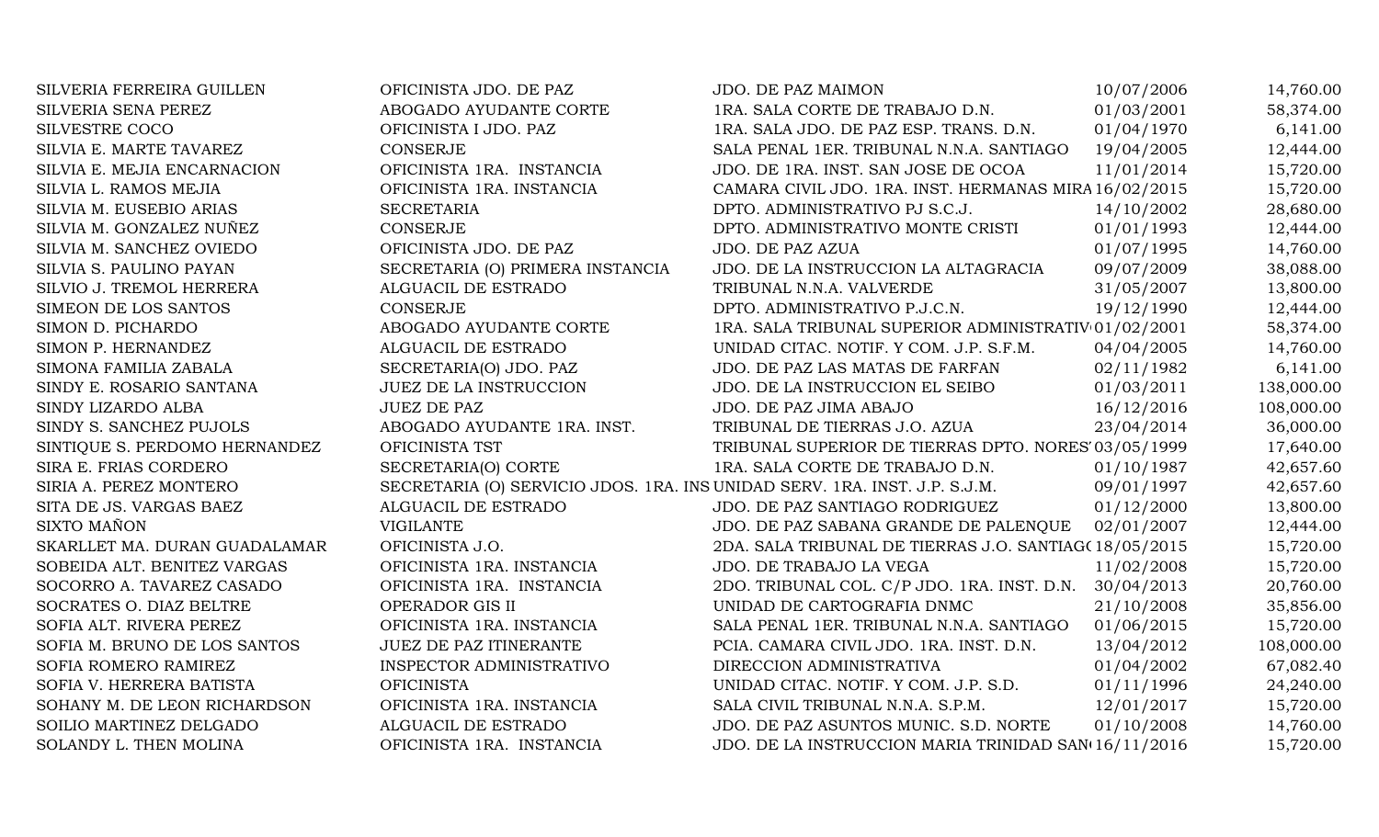| SILVERIA FERREIRA GUILLEN     | OFICINISTA JDO. DE PAZ                                                     | JDO. DE PAZ MAIMON                                     | 10/07/2006 | 14,760.00  |
|-------------------------------|----------------------------------------------------------------------------|--------------------------------------------------------|------------|------------|
| SILVERIA SENA PEREZ           | ABOGADO AYUDANTE CORTE                                                     | 1RA. SALA CORTE DE TRABAJO D.N.                        | 01/03/2001 | 58,374.00  |
| SILVESTRE COCO                | OFICINISTA I JDO. PAZ                                                      | 1RA. SALA JDO. DE PAZ ESP. TRANS. D.N.                 | 01/04/1970 | 6,141.00   |
| SILVIA E. MARTE TAVAREZ       | <b>CONSERJE</b>                                                            | SALA PENAL 1ER. TRIBUNAL N.N.A. SANTIAGO               | 19/04/2005 | 12,444.00  |
| SILVIA E. MEJIA ENCARNACION   | OFICINISTA 1RA. INSTANCIA                                                  | JDO. DE 1RA. INST. SAN JOSE DE OCOA                    | 11/01/2014 | 15,720.00  |
| SILVIA L. RAMOS MEJIA         | OFICINISTA 1RA. INSTANCIA                                                  | CAMARA CIVIL JDO. 1RA. INST. HERMANAS MIRA 16/02/2015  |            | 15,720.00  |
| SILVIA M. EUSEBIO ARIAS       | <b>SECRETARIA</b>                                                          | DPTO. ADMINISTRATIVO PJ S.C.J.                         | 14/10/2002 | 28,680.00  |
| SILVIA M. GONZALEZ NUÑEZ      | <b>CONSERJE</b>                                                            | DPTO. ADMINISTRATIVO MONTE CRISTI                      | 01/01/1993 | 12,444.00  |
| SILVIA M. SANCHEZ OVIEDO      | OFICINISTA JDO. DE PAZ                                                     | JDO. DE PAZ AZUA                                       | 01/07/1995 | 14,760.00  |
| SILVIA S. PAULINO PAYAN       | SECRETARIA (O) PRIMERA INSTANCIA                                           | JDO. DE LA INSTRUCCION LA ALTAGRACIA                   | 09/07/2009 | 38,088.00  |
| SILVIO J. TREMOL HERRERA      | ALGUACIL DE ESTRADO                                                        | TRIBUNAL N.N.A. VALVERDE                               | 31/05/2007 | 13,800.00  |
| SIMEON DE LOS SANTOS          | <b>CONSERJE</b>                                                            | DPTO. ADMINISTRATIVO P.J.C.N.                          | 19/12/1990 | 12,444.00  |
| SIMON D. PICHARDO             | ABOGADO AYUDANTE CORTE                                                     | 1RA. SALA TRIBUNAL SUPERIOR ADMINISTRATIV 01/02/2001   |            | 58,374.00  |
| SIMON P. HERNANDEZ            | ALGUACIL DE ESTRADO                                                        | UNIDAD CITAC. NOTIF. Y COM. J.P. S.F.M.                | 04/04/2005 | 14,760.00  |
| SIMONA FAMILIA ZABALA         | SECRETARIA(O) JDO. PAZ                                                     | JDO. DE PAZ LAS MATAS DE FARFAN                        | 02/11/1982 | 6,141.00   |
| SINDY E. ROSARIO SANTANA      | JUEZ DE LA INSTRUCCION                                                     | JDO. DE LA INSTRUCCION EL SEIBO                        | 01/03/2011 | 138,000.00 |
| SINDY LIZARDO ALBA            | <b>JUEZ DE PAZ</b>                                                         | JDO. DE PAZ JIMA ABAJO                                 | 16/12/2016 | 108,000.00 |
| SINDY S. SANCHEZ PUJOLS       | ABOGADO AYUDANTE 1RA. INST.                                                | TRIBUNAL DE TIERRAS J.O. AZUA                          | 23/04/2014 | 36,000.00  |
| SINTIQUE S. PERDOMO HERNANDEZ | OFICINISTA TST                                                             | TRIBUNAL SUPERIOR DE TIERRAS DPTO. NORES' 03/05/1999   |            | 17,640.00  |
| SIRA E. FRIAS CORDERO         | SECRETARIA(O) CORTE                                                        | 1RA. SALA CORTE DE TRABAJO D.N.                        | 01/10/1987 | 42,657.60  |
| SIRIA A. PEREZ MONTERO        | SECRETARIA (O) SERVICIO JDOS. 1RA. INS UNIDAD SERV. 1RA. INST. J.P. S.J.M. |                                                        | 09/01/1997 | 42,657.60  |
| SITA DE JS. VARGAS BAEZ       | ALGUACIL DE ESTRADO                                                        | JDO. DE PAZ SANTIAGO RODRIGUEZ                         | 01/12/2000 | 13,800.00  |
| SIXTO MAÑON                   | <b>VIGILANTE</b>                                                           | JDO. DE PAZ SABANA GRANDE DE PALENQUE                  | 02/01/2007 | 12,444.00  |
| SKARLLET MA. DURAN GUADALAMAR | OFICINISTA J.O.                                                            | 2DA. SALA TRIBUNAL DE TIERRAS J.O. SANTIAG(18/05/2015) |            | 15,720.00  |
| SOBEIDA ALT. BENITEZ VARGAS   | OFICINISTA 1RA. INSTANCIA                                                  | JDO. DE TRABAJO LA VEGA                                | 11/02/2008 | 15,720.00  |
| SOCORRO A. TAVAREZ CASADO     | OFICINISTA 1RA. INSTANCIA                                                  | 2DO. TRIBUNAL COL. C/P JDO. 1RA. INST. D.N.            | 30/04/2013 | 20,760.00  |
| SOCRATES O. DIAZ BELTRE       | OPERADOR GIS II                                                            | UNIDAD DE CARTOGRAFIA DNMC                             | 21/10/2008 | 35,856.00  |
| SOFIA ALT. RIVERA PEREZ       | OFICINISTA 1RA. INSTANCIA                                                  | SALA PENAL 1ER. TRIBUNAL N.N.A. SANTIAGO               | 01/06/2015 | 15,720.00  |
| SOFIA M. BRUNO DE LOS SANTOS  | JUEZ DE PAZ ITINERANTE                                                     | PCIA. CAMARA CIVIL JDO. 1RA. INST. D.N.                | 13/04/2012 | 108,000.00 |
| SOFIA ROMERO RAMIREZ          | INSPECTOR ADMINISTRATIVO                                                   | DIRECCION ADMINISTRATIVA                               | 01/04/2002 | 67,082.40  |
| SOFIA V. HERRERA BATISTA      | <b>OFICINISTA</b>                                                          | UNIDAD CITAC. NOTIF. Y COM. J.P. S.D.                  | 01/11/1996 | 24,240.00  |
| SOHANY M. DE LEON RICHARDSON  | OFICINISTA 1RA. INSTANCIA                                                  | SALA CIVIL TRIBUNAL N.N.A. S.P.M.                      | 12/01/2017 | 15,720.00  |
| SOILIO MARTINEZ DELGADO       | ALGUACIL DE ESTRADO                                                        | JDO. DE PAZ ASUNTOS MUNIC. S.D. NORTE                  | 01/10/2008 | 14,760.00  |
| SOLANDY L. THEN MOLINA        | OFICINISTA 1RA. INSTANCIA                                                  | JDO. DE LA INSTRUCCION MARIA TRINIDAD SAN 16/11/2016   |            | 15,720.00  |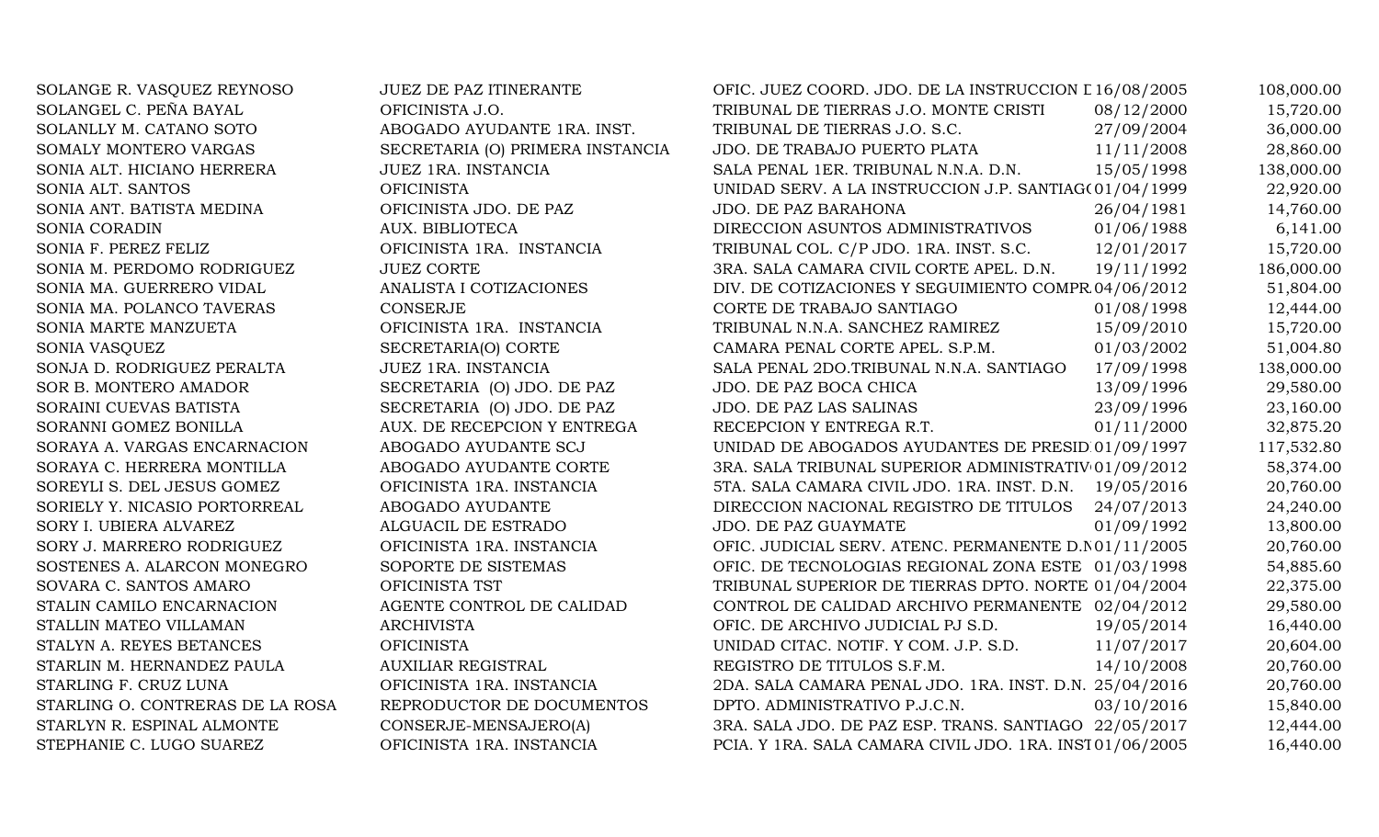| SOLANGE R. VASQUEZ REYNOSO       | <b>JUEZ DE PAZ ITINERANTE</b>    | OFIC. JUEZ COORD. JDO. DE LA INSTRUCCION L 16/08/2005   |            | 108,000.00 |
|----------------------------------|----------------------------------|---------------------------------------------------------|------------|------------|
| SOLANGEL C. PEÑA BAYAL           | OFICINISTA J.O.                  | TRIBUNAL DE TIERRAS J.O. MONTE CRISTI                   | 08/12/2000 | 15,720.00  |
| SOLANLLY M. CATANO SOTO          | ABOGADO AYUDANTE 1RA. INST.      | TRIBUNAL DE TIERRAS J.O. S.C.                           | 27/09/2004 | 36,000.00  |
| SOMALY MONTERO VARGAS            | SECRETARIA (O) PRIMERA INSTANCIA | JDO. DE TRABAJO PUERTO PLATA                            | 11/11/2008 | 28,860.00  |
| SONIA ALT. HICIANO HERRERA       | JUEZ 1RA. INSTANCIA              | SALA PENAL 1ER. TRIBUNAL N.N.A. D.N.                    | 15/05/1998 | 138,000.00 |
| SONIA ALT. SANTOS                | <b>OFICINISTA</b>                | UNIDAD SERV. A LA INSTRUCCION J.P. SANTIAG(01/04/1999   |            | 22,920.00  |
| SONIA ANT. BATISTA MEDINA        | OFICINISTA JDO. DE PAZ           | JDO. DE PAZ BARAHONA                                    | 26/04/1981 | 14,760.00  |
| <b>SONIA CORADIN</b>             | AUX. BIBLIOTECA                  | DIRECCION ASUNTOS ADMINISTRATIVOS                       | 01/06/1988 | 6,141.00   |
| SONIA F. PEREZ FELIZ             | OFICINISTA 1RA. INSTANCIA        | TRIBUNAL COL. C/P JDO. 1RA. INST. S.C.                  | 12/01/2017 | 15,720.00  |
| SONIA M. PERDOMO RODRIGUEZ       | <b>JUEZ CORTE</b>                | 3RA. SALA CAMARA CIVIL CORTE APEL. D.N.                 | 19/11/1992 | 186,000.00 |
| SONIA MA. GUERRERO VIDAL         | ANALISTA I COTIZACIONES          | DIV. DE COTIZACIONES Y SEGUIMIENTO COMPR 04/06/2012     |            | 51,804.00  |
| SONIA MA. POLANCO TAVERAS        | <b>CONSERJE</b>                  | CORTE DE TRABAJO SANTIAGO                               | 01/08/1998 | 12,444.00  |
| SONIA MARTE MANZUETA             | OFICINISTA 1RA. INSTANCIA        | TRIBUNAL N.N.A. SANCHEZ RAMIREZ                         | 15/09/2010 | 15,720.00  |
| SONIA VASQUEZ                    | SECRETARIA(O) CORTE              | CAMARA PENAL CORTE APEL. S.P.M.                         | 01/03/2002 | 51,004.80  |
| SONJA D. RODRIGUEZ PERALTA       | JUEZ 1RA. INSTANCIA              | SALA PENAL 2DO.TRIBUNAL N.N.A. SANTIAGO                 | 17/09/1998 | 138,000.00 |
| SOR B. MONTERO AMADOR            | SECRETARIA (O) JDO. DE PAZ       | JDO. DE PAZ BOCA CHICA                                  | 13/09/1996 | 29,580.00  |
| SORAINI CUEVAS BATISTA           | SECRETARIA (O) JDO. DE PAZ       | JDO. DE PAZ LAS SALINAS                                 | 23/09/1996 | 23,160.00  |
| SORANNI GOMEZ BONILLA            | AUX. DE RECEPCION Y ENTREGA      | RECEPCION Y ENTREGA R.T.                                | 01/11/2000 | 32,875.20  |
| SORAYA A. VARGAS ENCARNACION     | ABOGADO AYUDANTE SCJ             | UNIDAD DE ABOGADOS AYUDANTES DE PRESID 01/09/1997       |            | 117,532.80 |
| SORAYA C. HERRERA MONTILLA       | ABOGADO AYUDANTE CORTE           | 3RA. SALA TRIBUNAL SUPERIOR ADMINISTRATIV 01/09/2012    |            | 58,374.00  |
| SOREYLI S. DEL JESUS GOMEZ       | OFICINISTA 1RA. INSTANCIA        | 5TA. SALA CAMARA CIVIL JDO. 1RA. INST. D.N.             | 19/05/2016 | 20,760.00  |
| SORIELY Y. NICASIO PORTORREAL    | ABOGADO AYUDANTE                 | DIRECCION NACIONAL REGISTRO DE TITULOS                  | 24/07/2013 | 24,240.00  |
| SORY I. UBIERA ALVAREZ           | ALGUACIL DE ESTRADO              | JDO. DE PAZ GUAYMATE                                    | 01/09/1992 | 13,800.00  |
| SORY J. MARRERO RODRIGUEZ        | OFICINISTA 1RA. INSTANCIA        | OFIC. JUDICIAL SERV. ATENC. PERMANENTE D.N01/11/2005    |            | 20,760.00  |
| SOSTENES A. ALARCON MONEGRO      | SOPORTE DE SISTEMAS              | OFIC. DE TECNOLOGIAS REGIONAL ZONA ESTE 01/03/1998      |            | 54,885.60  |
| SOVARA C. SANTOS AMARO           | OFICINISTA TST                   | TRIBUNAL SUPERIOR DE TIERRAS DPTO. NORTE 01/04/2004     |            | 22,375.00  |
| STALIN CAMILO ENCARNACION        | AGENTE CONTROL DE CALIDAD        | CONTROL DE CALIDAD ARCHIVO PERMANENTE 02/04/2012        |            | 29,580.00  |
| STALLIN MATEO VILLAMAN           | <b>ARCHIVISTA</b>                | OFIC. DE ARCHIVO JUDICIAL PJ S.D.                       | 19/05/2014 | 16,440.00  |
| STALYN A. REYES BETANCES         | <b>OFICINISTA</b>                | UNIDAD CITAC. NOTIF. Y COM. J.P. S.D.                   | 11/07/2017 | 20,604.00  |
| STARLIN M. HERNANDEZ PAULA       | <b>AUXILIAR REGISTRAL</b>        | REGISTRO DE TITULOS S.F.M.                              | 14/10/2008 | 20,760.00  |
| STARLING F. CRUZ LUNA            | OFICINISTA 1RA. INSTANCIA        | 2DA. SALA CAMARA PENAL JDO. 1RA. INST. D.N. 25/04/2016  |            | 20,760.00  |
| STARLING O. CONTRERAS DE LA ROSA | REPRODUCTOR DE DOCUMENTOS        | DPTO. ADMINISTRATIVO P.J.C.N.                           | 03/10/2016 | 15,840.00  |
| STARLYN R. ESPINAL ALMONTE       | CONSERJE-MENSAJERO(A)            | 3RA. SALA JDO. DE PAZ ESP. TRANS. SANTIAGO 22/05/2017   |            | 12,444.00  |
| STEPHANIE C. LUGO SUAREZ         | OFICINISTA 1RA. INSTANCIA        | PCIA. Y 1RA. SALA CAMARA CIVIL JDO. 1RA. INST01/06/2005 |            | 16,440.00  |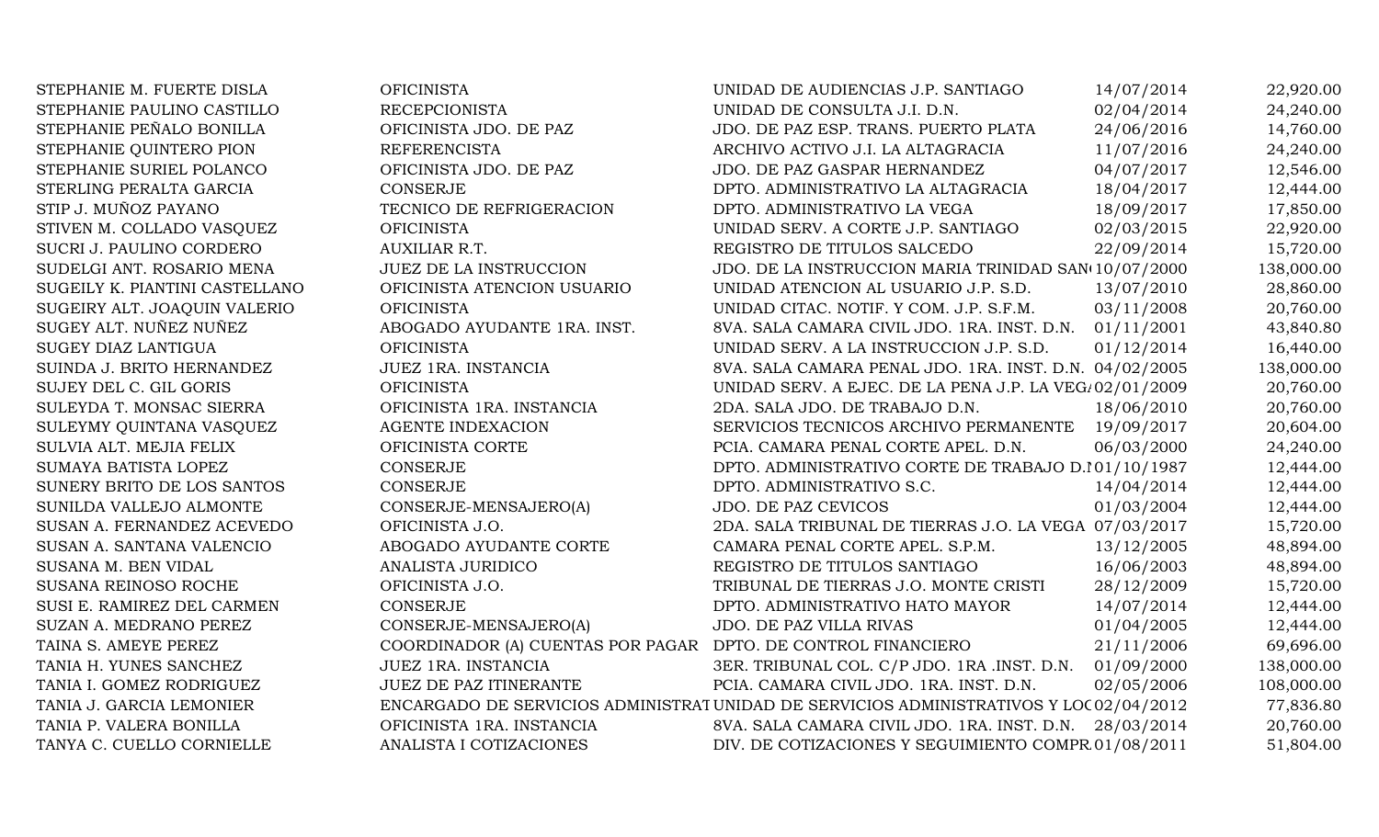STEPHANIE M. FUERTE DISLA STEPHANIE PAULINO CASTILLO STEPHANIE PEÑALO BONILLA STEPHANIE QUINTERO PION STEPHANIE SURIEL POLANCO STERLING PERALTA GARCIA STIP J. MUÑOZ PAYANO STIVEN M. COLLADO VASOUEZ SUCRI J. PAULINO CORDERO SUDELGI ANT. ROSARIO MENA SUGEILY K. PIANTINI CASTELLANO SUGEIRY ALT. JOAQUIN VALERIO SUGEY ALT. NUÑEZ NUÑEZ SUGEY DIAZ LANTIGUA SUINDA J. BRITO HERNANDEZ SUJEY DEL C. GIL GORIS SULEYDA T. MONSAC SIERRA SULEYMY QUINTANA VASQUEZ SULVIA ALT. MEJIA FELIX SUMAYA BATISTA LOPEZ SUNERY BRITO DE LOS SANTOS SUNILDA VALLEJO ALMONTE SUSAN A. FERNANDEZ ACEVEDO SUSAN A. SANTANA VALENCIO SUSANA M. BEN VIDAL SUSANA REINOSO ROCHE SUSI E. RAMIREZ DEL CARMEN SUZAN A. MEDRANO PEREZ TAINA S. AMEYE PEREZ TANIA H. YUNES SANCHEZ TANIA I. GOMEZ RODRIGUEZ TANIA J. GARCIA LEMONIER TANIA P. VALERA BONILLA TANYA C. CUELLO CORNIELLE

| <b>OFICINISTA</b>                                             | UNIDAD DE AUDIENCIAS J.P. SANTIAGO                                                     | 14/07/2014 | 22,920.00  |
|---------------------------------------------------------------|----------------------------------------------------------------------------------------|------------|------------|
| <b>RECEPCIONISTA</b>                                          | UNIDAD DE CONSULTA J.I. D.N.                                                           | 02/04/2014 | 24,240.00  |
| OFICINISTA JDO. DE PAZ                                        | JDO. DE PAZ ESP. TRANS. PUERTO PLATA                                                   | 24/06/2016 | 14,760.00  |
| <b>REFERENCISTA</b>                                           | ARCHIVO ACTIVO J.I. LA ALTAGRACIA                                                      | 11/07/2016 | 24,240.00  |
| OFICINISTA JDO. DE PAZ                                        | JDO. DE PAZ GASPAR HERNANDEZ                                                           | 04/07/2017 | 12,546.00  |
| <b>CONSERJE</b>                                               | DPTO. ADMINISTRATIVO LA ALTAGRACIA                                                     | 18/04/2017 | 12,444.00  |
| TECNICO DE REFRIGERACION                                      | DPTO. ADMINISTRATIVO LA VEGA                                                           | 18/09/2017 | 17,850.00  |
| <b>OFICINISTA</b>                                             | UNIDAD SERV. A CORTE J.P. SANTIAGO                                                     | 02/03/2015 | 22,920.00  |
| AUXILIAR R.T.                                                 | REGISTRO DE TITULOS SALCEDO                                                            | 22/09/2014 | 15,720.00  |
| <b>JUEZ DE LA INSTRUCCION</b>                                 | JDO. DE LA INSTRUCCION MARIA TRINIDAD SAN(10/07/2000                                   |            | 138,000.00 |
| OFICINISTA ATENCION USUARIO                                   | UNIDAD ATENCION AL USUARIO J.P. S.D.                                                   | 13/07/2010 | 28,860.00  |
| <b>OFICINISTA</b>                                             | UNIDAD CITAC. NOTIF. Y COM. J.P. S.F.M.                                                | 03/11/2008 | 20,760.00  |
| ABOGADO AYUDANTE 1RA. INST.                                   | 8VA. SALA CAMARA CIVIL JDO. 1RA. INST. D.N.                                            | 01/11/2001 | 43,840.80  |
| <b>OFICINISTA</b>                                             | UNIDAD SERV. A LA INSTRUCCION J.P. S.D.                                                | 01/12/2014 | 16,440.00  |
| JUEZ 1RA. INSTANCIA                                           | 8VA. SALA CAMARA PENAL JDO. 1RA. INST. D.N. 04/02/2005                                 |            | 138,000.00 |
| <b>OFICINISTA</b>                                             | UNIDAD SERV. A EJEC. DE LA PENA J.P. LA VEG/02/01/2009                                 |            | 20,760.00  |
| OFICINISTA 1RA. INSTANCIA                                     | 2DA. SALA JDO. DE TRABAJO D.N.                                                         | 18/06/2010 | 20,760.00  |
| <b>AGENTE INDEXACION</b>                                      | SERVICIOS TECNICOS ARCHIVO PERMANENTE                                                  | 19/09/2017 | 20,604.00  |
| OFICINISTA CORTE                                              | PCIA. CAMARA PENAL CORTE APEL. D.N.                                                    | 06/03/2000 | 24,240.00  |
| <b>CONSERJE</b>                                               | DPTO. ADMINISTRATIVO CORTE DE TRABAJO D.101/10/1987                                    |            | 12,444.00  |
| <b>CONSERJE</b>                                               | DPTO. ADMINISTRATIVO S.C.                                                              | 14/04/2014 | 12,444.00  |
| CONSERJE-MENSAJERO(A)                                         | JDO. DE PAZ CEVICOS                                                                    | 01/03/2004 | 12,444.00  |
| OFICINISTA J.O.                                               | 2DA. SALA TRIBUNAL DE TIERRAS J.O. LA VEGA 07/03/2017                                  |            | 15,720.00  |
| ABOGADO AYUDANTE CORTE                                        | CAMARA PENAL CORTE APEL. S.P.M.                                                        | 13/12/2005 | 48,894.00  |
| ANALISTA JURIDICO                                             | REGISTRO DE TITULOS SANTIAGO                                                           | 16/06/2003 | 48,894.00  |
| OFICINISTA J.O.                                               | TRIBUNAL DE TIERRAS J.O. MONTE CRISTI                                                  | 28/12/2009 | 15,720.00  |
| <b>CONSERJE</b>                                               | DPTO. ADMINISTRATIVO HATO MAYOR                                                        | 14/07/2014 | 12,444.00  |
| CONSERJE-MENSAJERO(A)                                         | JDO. DE PAZ VILLA RIVAS                                                                | 01/04/2005 | 12,444.00  |
| COORDINADOR (A) CUENTAS POR PAGAR DPTO. DE CONTROL FINANCIERO |                                                                                        | 21/11/2006 | 69,696.00  |
| JUEZ 1RA. INSTANCIA                                           | 3ER. TRIBUNAL COL. C/P JDO. 1RA .INST. D.N.                                            | 01/09/2000 | 138,000.00 |
| <b>JUEZ DE PAZ ITINERANTE</b>                                 | PCIA. CAMARA CIVIL JDO. 1RA. INST. D.N.                                                | 02/05/2006 | 108,000.00 |
|                                                               | ENCARGADO DE SERVICIOS ADMINISTRATUNIDAD DE SERVICIOS ADMINISTRATIVOS Y LOC 02/04/2012 |            | 77,836.80  |
| OFICINISTA 1RA. INSTANCIA                                     | 8VA. SALA CAMARA CIVIL JDO. 1RA. INST. D.N.                                            | 28/03/2014 | 20,760.00  |
| ANALISTA I COTIZACIONES                                       | DIV. DE COTIZACIONES Y SEGUIMIENTO COMPR 01/08/2011                                    |            | 51,804.00  |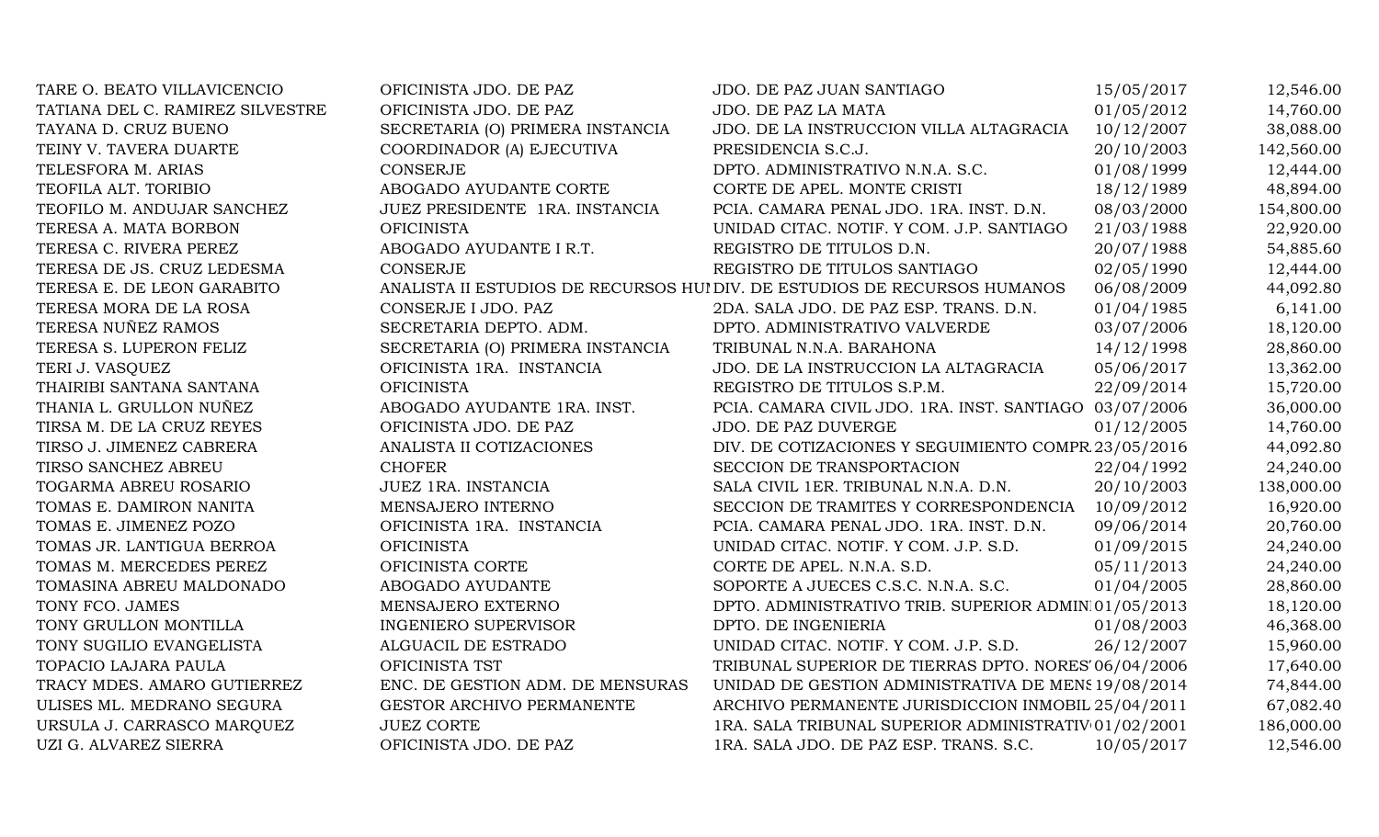| TARE O. BEATO VILLAVICENCIO      | OFICINISTA JDO. DE PAZ           | JDO. DE PAZ JUAN SANTIAGO                                                 | 15/05/2017 | 12,546.00  |
|----------------------------------|----------------------------------|---------------------------------------------------------------------------|------------|------------|
| TATIANA DEL C. RAMIREZ SILVESTRE | OFICINISTA JDO. DE PAZ           | JDO. DE PAZ LA MATA                                                       | 01/05/2012 | 14,760.00  |
| TAYANA D. CRUZ BUENO             | SECRETARIA (O) PRIMERA INSTANCIA | JDO. DE LA INSTRUCCION VILLA ALTAGRACIA                                   | 10/12/2007 | 38,088.00  |
| TEINY V. TAVERA DUARTE           | COORDINADOR (A) EJECUTIVA        | PRESIDENCIA S.C.J.                                                        | 20/10/2003 | 142,560.00 |
| TELESFORA M. ARIAS               | CONSERJE                         | DPTO. ADMINISTRATIVO N.N.A. S.C.                                          | 01/08/1999 | 12,444.00  |
| TEOFILA ALT. TORIBIO             | ABOGADO AYUDANTE CORTE           | CORTE DE APEL. MONTE CRISTI                                               | 18/12/1989 | 48,894.00  |
| TEOFILO M. ANDUJAR SANCHEZ       | JUEZ PRESIDENTE 1RA. INSTANCIA   | PCIA. CAMARA PENAL JDO. 1RA. INST. D.N.                                   | 08/03/2000 | 154,800.00 |
| TERESA A. MATA BORBON            | <b>OFICINISTA</b>                | UNIDAD CITAC. NOTIF. Y COM. J.P. SANTIAGO                                 | 21/03/1988 | 22,920.00  |
| TERESA C. RIVERA PEREZ           | ABOGADO AYUDANTE I R.T.          | REGISTRO DE TITULOS D.N.                                                  | 20/07/1988 | 54,885.60  |
| TERESA DE JS. CRUZ LEDESMA       | <b>CONSERJE</b>                  | REGISTRO DE TITULOS SANTIAGO                                              | 02/05/1990 | 12,444.00  |
| TERESA E. DE LEON GARABITO       |                                  | ANALISTA II ESTUDIOS DE RECURSOS HUI DIV. DE ESTUDIOS DE RECURSOS HUMANOS | 06/08/2009 | 44,092.80  |
| TERESA MORA DE LA ROSA           | CONSERJE I JDO. PAZ              | 2DA. SALA JDO. DE PAZ ESP. TRANS. D.N.                                    | 01/04/1985 | 6,141.00   |
| TERESA NUÑEZ RAMOS               | SECRETARIA DEPTO. ADM.           | DPTO. ADMINISTRATIVO VALVERDE                                             | 03/07/2006 | 18,120.00  |
| TERESA S. LUPERON FELIZ          | SECRETARIA (O) PRIMERA INSTANCIA | TRIBUNAL N.N.A. BARAHONA                                                  | 14/12/1998 | 28,860.00  |
| TERI J. VASQUEZ                  | OFICINISTA 1RA. INSTANCIA        | JDO. DE LA INSTRUCCION LA ALTAGRACIA                                      | 05/06/2017 | 13,362.00  |
| THAIRIBI SANTANA SANTANA         | <b>OFICINISTA</b>                | REGISTRO DE TITULOS S.P.M.                                                | 22/09/2014 | 15,720.00  |
| THANIA L. GRULLON NUÑEZ          | ABOGADO AYUDANTE 1RA. INST.      | PCIA. CAMARA CIVIL JDO. 1RA. INST. SANTIAGO 03/07/2006                    |            | 36,000.00  |
| TIRSA M. DE LA CRUZ REYES        | OFICINISTA JDO. DE PAZ           | JDO. DE PAZ DUVERGE                                                       | 01/12/2005 | 14,760.00  |
| TIRSO J. JIMENEZ CABRERA         | ANALISTA II COTIZACIONES         | DIV. DE COTIZACIONES Y SEGUIMIENTO COMPR 23/05/2016                       |            | 44,092.80  |
| TIRSO SANCHEZ ABREU              | <b>CHOFER</b>                    | SECCION DE TRANSPORTACION                                                 | 22/04/1992 | 24,240.00  |
| TOGARMA ABREU ROSARIO            | JUEZ 1RA. INSTANCIA              | SALA CIVIL 1ER. TRIBUNAL N.N.A. D.N.                                      | 20/10/2003 | 138,000.00 |
| TOMAS E. DAMIRON NANITA          | MENSAJERO INTERNO                | SECCION DE TRAMITES Y CORRESPONDENCIA                                     | 10/09/2012 | 16,920.00  |
| TOMAS E. JIMENEZ POZO            | OFICINISTA 1RA. INSTANCIA        | PCIA. CAMARA PENAL JDO. 1RA. INST. D.N.                                   | 09/06/2014 | 20,760.00  |
| TOMAS JR. LANTIGUA BERROA        | <b>OFICINISTA</b>                | UNIDAD CITAC. NOTIF. Y COM. J.P. S.D.                                     | 01/09/2015 | 24,240.00  |
| TOMAS M. MERCEDES PEREZ          | OFICINISTA CORTE                 | CORTE DE APEL. N.N.A. S.D.                                                | 05/11/2013 | 24,240.00  |
| TOMASINA ABREU MALDONADO         | ABOGADO AYUDANTE                 | SOPORTE A JUECES C.S.C. N.N.A. S.C.                                       | 01/04/2005 | 28,860.00  |
| TONY FCO. JAMES                  | MENSAJERO EXTERNO                | DPTO. ADMINISTRATIVO TRIB. SUPERIOR ADMIN 01/05/2013                      |            | 18,120.00  |
| TONY GRULLON MONTILLA            | <b>INGENIERO SUPERVISOR</b>      | DPTO. DE INGENIERIA                                                       | 01/08/2003 | 46,368.00  |
| TONY SUGILIO EVANGELISTA         | ALGUACIL DE ESTRADO              | UNIDAD CITAC. NOTIF. Y COM. J.P. S.D.                                     | 26/12/2007 | 15,960.00  |
| TOPACIO LAJARA PAULA             | OFICINISTA TST                   | TRIBUNAL SUPERIOR DE TIERRAS DPTO. NORES 06/04/2006                       |            | 17,640.00  |
| TRACY MDES. AMARO GUTIERREZ      | ENC. DE GESTION ADM. DE MENSURAS | UNIDAD DE GESTION ADMINISTRATIVA DE MENS 19/08/2014                       |            | 74,844.00  |
| ULISES ML. MEDRANO SEGURA        | GESTOR ARCHIVO PERMANENTE        | ARCHIVO PERMANENTE JURISDICCION INMOBIL 25/04/2011                        |            | 67,082.40  |
| URSULA J. CARRASCO MARQUEZ       | <b>JUEZ CORTE</b>                | 1RA. SALA TRIBUNAL SUPERIOR ADMINISTRATIV 01/02/2001                      |            | 186,000.00 |
| UZI G. ALVAREZ SIERRA            | OFICINISTA JDO. DE PAZ           | 1RA. SALA JDO. DE PAZ ESP. TRANS. S.C.                                    | 10/05/2017 | 12,546.00  |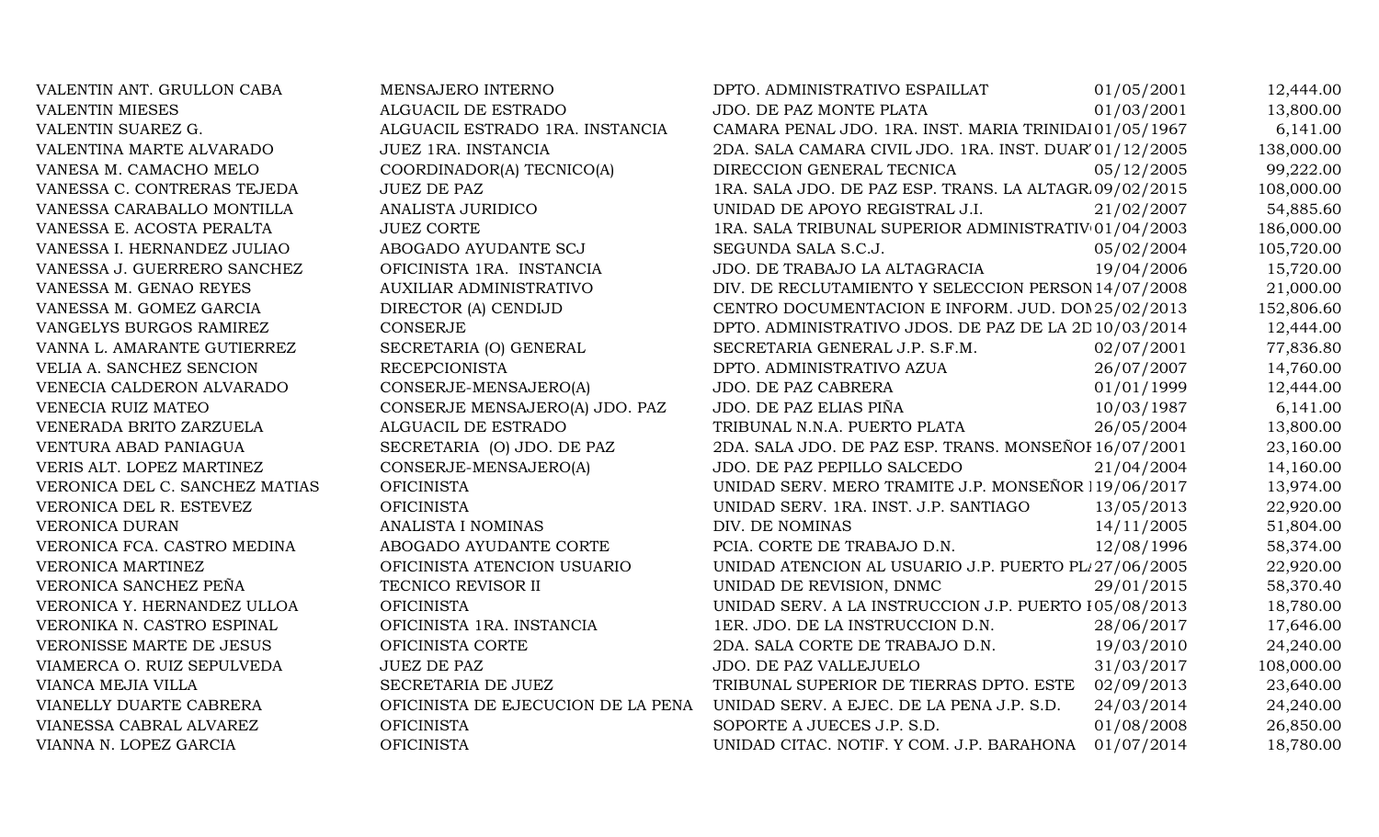VALENTIN ANT. GRULLON CABA MENSAJERO INTERNO DPTO. ADMINISTRATIVO ESPAILLAT 01/05/2001 12,444.00 VALENTIN MIESES ALGUACIL DE ESTRADO JDO. DE PAZ MONTE PLATA 01/03/2001 13,800.00 VALENTIN SUAREZ G. ALGUACIL ESTRADO 1RA. INSTANCIA CAMARA PENAL JDO. 1RA. INST. MARIA TRINIDAI 01/05/1967 6,141.00 VALENTINA MARTE ALVARADO JUEZ 1RA. INSTANCIA 2DA. SALA CAMARA CIVIL JDO. 1RA. INST. DUAR'01/12/2005 138,000.00 VANESA M. CAMACHO MELO COORDINADOR(A) TECNICO(A) DIRECCION GENERAL TECNICA 05/12/2005 99,222.00 VANESSA C. CONTRERAS TEJEDA JUEZ DE PAZ 1RA. SALA JDO. DE PAZ ESP. TRANS. LA ALTAGRO 9/02/2015 108,000.00 VANESSA CARABALLO MONTILLA ANALISTA JURIDICO UNIDAD DE APOYO REGISTRAL J.I. 21/02/2007 54,885.60 VANESSA E. ACOSTA PERALTA JUEZ CORTE 1RA. SALA TRIBUNAL SUPERIOR ADMINISTRATIV 01/04/2003 186,000.00 VANESSA I. HERNANDEZ JULIAO ABOGADO AYUDANTE SCJ SEGUNDA SALA S.C.J. 05/02/2004 105,720.00 VANESSA J. GUERRERO SANCHEZ OFICINISTA 1RA. INSTANCIA JDO. DE TRABAJO LA ALTAGRACIA 19/04/2006 15,720.00 VANESSA M. GENAO REYES AUXILIAR ADMINISTRATIVO DIV. DE RECLUTAMIENTO Y SELECCION PERSON 14/07/2008 21,000.00 VANESSA M. GOMEZ GARCIA DIRECTOR (A) CENDIJD CENTRO DOCUMENTACION E INFORM. JUD. DON 25/02/2013 152,806.60 VANGELYS BURGOS RAMIREZ CONSERJE CONSERJE DPTO. ADMINISTRATIVO JDOS. DE PAZ DE LA 2D10/03/2014 12,444.00 VANNA L. AMARANTE GUTIERREZ SECRETARIA (O) GENERAL SECRETARIA GENERAL J.P. S.F.M. 02/07/2001 77,836.80 VELIA A. SANCHEZ SENCION RECEPCIONISTA DPTO. ADMINISTRATIVO AZUA 26/07/2007 14,760.00 VENECIA CALDERON ALVARADO CONSERJE-MENSAJERO(A) JDO. DE PAZ CABRERA 01/01/1999 12,444.00 VENECIA RUIZ MATEO CONSERJE MENSAJERO(A) JDO. PAZ JDO. DE PAZ ELIAS PIÑA 10/03/1987 6,141.00 VENERADA BRITO ZARZUELA ALGUACIL DE ESTRADO TRIBUNAL N.N.A. PUERTO PLATA 26/05/2004 13,800.00 VENTURA ABAD PANIAGUA SECRETARIA (O) JDO. DE PAZ 2DA. SALA JDO. DE PAZ ESP. TRANS. MONSEÑOI 16/07/2001 23,160.00 VERIS ALT. LOPEZ MARTINEZ CONSERJE-MENSAJERO(A) JDO. DE PAZ PEPILLO SALCEDO 21/04/2004 14,160.00 VERONICA DEL C. SANCHEZ MATIAS OFICINISTA OFICINISTA UNIDAD SERV. MERO TRAMITE J.P. MONSEÑOR 119/06/2017 13,974.00 VERONICA DEL R. ESTEVEZ OFICINISTA OFICINISTA UNIDAD SERV. 1RA. INST. J.P. SANTIAGO 13/05/2013 22,920.00 VERONICA DURAN ANALISTA I NOMINAS DIV. DE NOMINAS 14/11/2005 51,804.00 VERONICA FCA. CASTRO MEDINA ABOGADO AYUDANTE CORTE PCIA. CORTE DE TRABAJO D.N. 12/08/1996 58,374.00 VERONICA MARTINEZ OFICINISTA ATENCION USUARIO UNIDAD ATENCION AL USUARIO J.P. PUERTO PLATAZ7/06/2005 22,920.00 VERONICA SANCHEZ PEÑA TECNICO REVISOR II UNIDAD DE REVISION, DNMC 29/01/2015 58,370.40 VERONICA Y. HERNANDEZ ULLOA OFICINISTA OFICINISTA UNIDAD SERV. A LA INSTRUCCION J.P. PUERTO 105/08/2013 18,780.00 VERONIKA N. CASTRO ESPINAL **OFICINISTA 1RA. INSTANCIA** 1ER. JDO. DE LA INSTRUCCION D.N. 28/06/2017 17,646.00 VERONISSE MARTE DE JESUS OFICINISTA CORTE 2DA. SALA CORTE DE TRABAJO D.N. 19/03/2010 24,240.00 VIAMERCA O. RUIZ SEPULVEDA JUEZ DE PAZ  $JDO$ . DE PAZ VALLEJUELO 31/03/2017 108,000.00 VIANCA MEJIA VILLA SECRETARIA DE JUEZ TRIBUNAL SUPERIOR DE TIERRAS DPTO. ESTE 02/09/2013 23,640.00 VIANELLY DUARTE CABRERA OFICINISTA DE EJECUCION DE LA PENA UNIDAD SERV. A EJEC. DE LA PENA J.P. S.D. 24/03/2014 24,240.00 VIANESSA CABRAL ALVAREZ CHICINISTA OFICINISTA SOPORTE A JUECES J.P. S.D. 01/08/2008 26.850.00 VIANNA N. LOPEZ GARCIA OFICINISTA UNIDAD CITAC. NOTIF. Y COM. J.P. BARAHONA 01/07/2014 18,780.00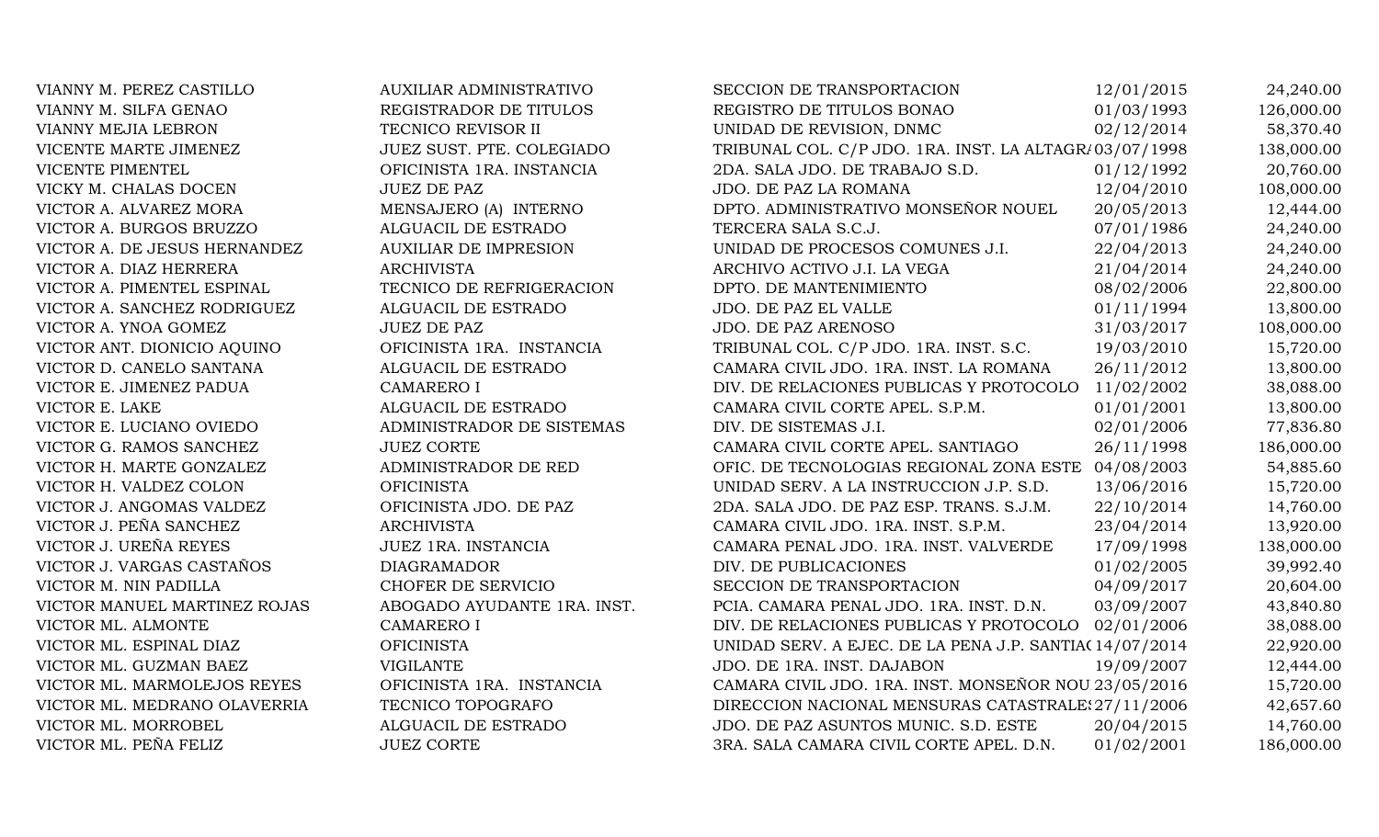| VIANNY M. PEREZ CASTILLO     | <b>AUXILIAR ADMINISTRATIVO</b> | SECCION DE TRANSPORTACION                              | 12/01/2015 | 24,240.00  |
|------------------------------|--------------------------------|--------------------------------------------------------|------------|------------|
| VIANNY M. SILFA GENAO        | REGISTRADOR DE TITULOS         | REGISTRO DE TITULOS BONAO                              | 01/03/1993 | 126,000.00 |
| VIANNY MEJIA LEBRON          | TECNICO REVISOR II             | UNIDAD DE REVISION, DNMC                               | 02/12/2014 | 58,370.40  |
| VICENTE MARTE JIMENEZ        | JUEZ SUST. PTE. COLEGIADO      | TRIBUNAL COL. C/P JDO. 1RA. INST. LA ALTAGR/03/07/1998 |            | 138,000.00 |
| VICENTE PIMENTEL             | OFICINISTA 1RA. INSTANCIA      | 2DA. SALA JDO. DE TRABAJO S.D.                         | 01/12/1992 | 20,760.00  |
| VICKY M. CHALAS DOCEN        | <b>JUEZ DE PAZ</b>             | JDO. DE PAZ LA ROMANA                                  | 12/04/2010 | 108,000.00 |
| VICTOR A. ALVAREZ MORA       | MENSAJERO (A) INTERNO          | DPTO. ADMINISTRATIVO MONSEÑOR NOUEL                    | 20/05/2013 | 12,444.00  |
| VICTOR A. BURGOS BRUZZO      | ALGUACIL DE ESTRADO            | TERCERA SALA S.C.J.                                    | 07/01/1986 | 24,240.00  |
| VICTOR A. DE JESUS HERNANDEZ | <b>AUXILIAR DE IMPRESION</b>   | UNIDAD DE PROCESOS COMUNES J.I.                        | 22/04/2013 | 24,240.00  |
| VICTOR A. DIAZ HERRERA       | <b>ARCHIVISTA</b>              | ARCHIVO ACTIVO J.I. LA VEGA                            | 21/04/2014 | 24,240.00  |
| VICTOR A. PIMENTEL ESPINAL   | TECNICO DE REFRIGERACION       | DPTO. DE MANTENIMIENTO                                 | 08/02/2006 | 22,800.00  |
| VICTOR A. SANCHEZ RODRIGUEZ  | ALGUACIL DE ESTRADO            | JDO. DE PAZ EL VALLE                                   | 01/11/1994 | 13,800.00  |
| VICTOR A. YNOA GOMEZ         | <b>JUEZ DE PAZ</b>             | JDO. DE PAZ ARENOSO                                    | 31/03/2017 | 108,000.00 |
| VICTOR ANT. DIONICIO AQUINO  | OFICINISTA 1RA. INSTANCIA      | TRIBUNAL COL. C/P JDO. 1RA. INST. S.C.                 | 19/03/2010 | 15,720.00  |
| VICTOR D. CANELO SANTANA     | ALGUACIL DE ESTRADO            | CAMARA CIVIL JDO. 1RA. INST. LA ROMANA                 | 26/11/2012 | 13,800.00  |
| VICTOR E. JIMENEZ PADUA      | <b>CAMARERO I</b>              | DIV. DE RELACIONES PUBLICAS Y PROTOCOLO                | 11/02/2002 | 38,088.00  |
| VICTOR E. LAKE               | ALGUACIL DE ESTRADO            | CAMARA CIVIL CORTE APEL. S.P.M.                        | 01/01/2001 | 13,800.00  |
| VICTOR E. LUCIANO OVIEDO     | ADMINISTRADOR DE SISTEMAS      | DIV. DE SISTEMAS J.I.                                  | 02/01/2006 | 77,836.80  |
| VICTOR G. RAMOS SANCHEZ      | <b>JUEZ CORTE</b>              | CAMARA CIVIL CORTE APEL. SANTIAGO                      | 26/11/1998 | 186,000.00 |
| VICTOR H. MARTE GONZALEZ     | ADMINISTRADOR DE RED           | OFIC. DE TECNOLOGIAS REGIONAL ZONA ESTE 04/08/2003     |            | 54,885.60  |
| VICTOR H. VALDEZ COLON       | <b>OFICINISTA</b>              | UNIDAD SERV. A LA INSTRUCCION J.P. S.D.                | 13/06/2016 | 15,720.00  |
| VICTOR J. ANGOMAS VALDEZ     | OFICINISTA JDO. DE PAZ         | 2DA. SALA JDO. DE PAZ ESP. TRANS. S.J.M.               | 22/10/2014 | 14,760.00  |
| VICTOR J. PEÑA SANCHEZ       | <b>ARCHIVISTA</b>              | CAMARA CIVIL JDO. 1RA. INST. S.P.M.                    | 23/04/2014 | 13,920.00  |
| VICTOR J. UREÑA REYES        | JUEZ 1RA. INSTANCIA            | CAMARA PENAL JDO. 1RA. INST. VALVERDE                  | 17/09/1998 | 138,000.00 |
| VICTOR J. VARGAS CASTAÑOS    | <b>DIAGRAMADOR</b>             | DIV. DE PUBLICACIONES                                  | 01/02/2005 | 39,992.40  |
| VICTOR M. NIN PADILLA        | CHOFER DE SERVICIO             | SECCION DE TRANSPORTACION                              | 04/09/2017 | 20,604.00  |
| VICTOR MANUEL MARTINEZ ROJAS | ABOGADO AYUDANTE 1RA. INST.    | PCIA. CAMARA PENAL JDO. 1RA. INST. D.N.                | 03/09/2007 | 43,840.80  |
| VICTOR ML. ALMONTE           | <b>CAMARERO I</b>              | DIV. DE RELACIONES PUBLICAS Y PROTOCOLO 02/01/2006     |            | 38,088.00  |
| VICTOR ML. ESPINAL DIAZ      | <b>OFICINISTA</b>              | UNIDAD SERV. A EJEC. DE LA PENA J.P. SANTIA(14/07/2014 |            | 22,920.00  |
| VICTOR ML. GUZMAN BAEZ       | <b>VIGILANTE</b>               | JDO. DE 1RA. INST. DAJABON                             | 19/09/2007 | 12,444.00  |
| VICTOR ML. MARMOLEJOS REYES  | OFICINISTA 1RA. INSTANCIA      | CAMARA CIVIL JDO. 1RA. INST. MONSEÑOR NOU 23/05/2016   |            | 15,720.00  |
| VICTOR ML. MEDRANO OLAVERRIA | TECNICO TOPOGRAFO              | DIRECCION NACIONAL MENSURAS CATASTRALE: 27/11/2006     |            | 42,657.60  |
| VICTOR ML. MORROBEL          | ALGUACIL DE ESTRADO            | JDO. DE PAZ ASUNTOS MUNIC. S.D. ESTE                   | 20/04/2015 | 14,760.00  |
| VICTOR ML. PEÑA FELIZ        | <b>JUEZ CORTE</b>              | 3RA. SALA CAMARA CIVIL CORTE APEL. D.N.                | 01/02/2001 | 186,000.00 |
|                              |                                |                                                        |            |            |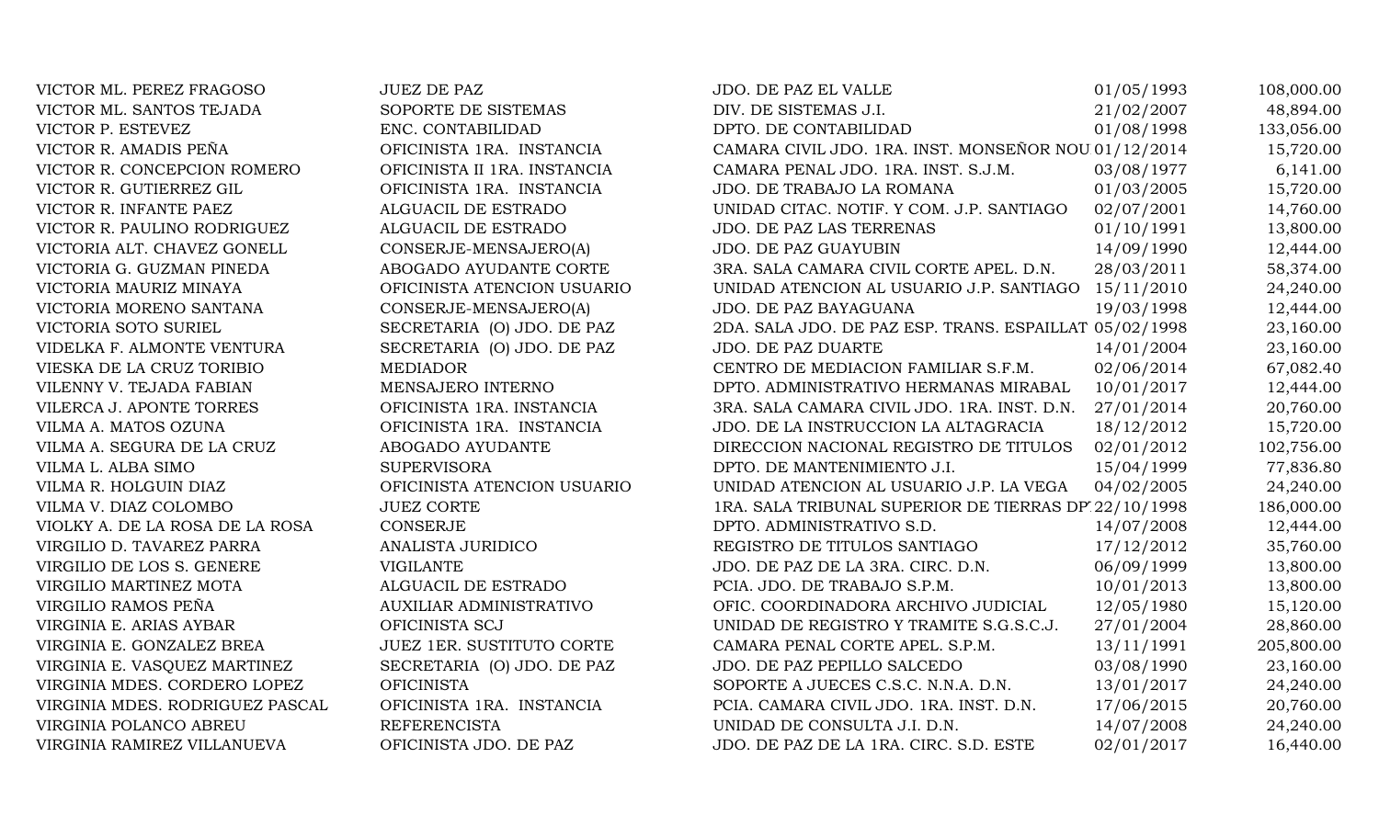| VICTOR ML. PEREZ FRAGOSO        | <b>JUEZ DE PAZ</b>               | JDO. DE PAZ EL VALLE                                   | 01/05/1993 | 108,000.00 |
|---------------------------------|----------------------------------|--------------------------------------------------------|------------|------------|
| VICTOR ML. SANTOS TEJADA        | SOPORTE DE SISTEMAS              | DIV. DE SISTEMAS J.I.                                  | 21/02/2007 | 48,894.00  |
| VICTOR P. ESTEVEZ               | ENC. CONTABILIDAD                | DPTO. DE CONTABILIDAD                                  | 01/08/1998 | 133,056.00 |
| VICTOR R. AMADIS PEÑA           | OFICINISTA 1RA. INSTANCIA        | CAMARA CIVIL JDO. 1RA. INST. MONSEÑOR NOU 01/12/2014   |            | 15,720.00  |
| VICTOR R. CONCEPCION ROMERO     | OFICINISTA II 1RA. INSTANCIA     | CAMARA PENAL JDO. 1RA. INST. S.J.M.                    | 03/08/1977 | 6,141.00   |
| VICTOR R. GUTIERREZ GIL         | OFICINISTA 1RA. INSTANCIA        | JDO. DE TRABAJO LA ROMANA                              | 01/03/2005 | 15,720.00  |
| VICTOR R. INFANTE PAEZ          | ALGUACIL DE ESTRADO              | UNIDAD CITAC. NOTIF. Y COM. J.P. SANTIAGO              | 02/07/2001 | 14,760.00  |
| VICTOR R. PAULINO RODRIGUEZ     | ALGUACIL DE ESTRADO              | JDO. DE PAZ LAS TERRENAS                               | 01/10/1991 | 13,800.00  |
| VICTORIA ALT. CHAVEZ GONELL     | CONSERJE-MENSAJERO(A)            | JDO. DE PAZ GUAYUBIN                                   | 14/09/1990 | 12,444.00  |
| VICTORIA G. GUZMAN PINEDA       | ABOGADO AYUDANTE CORTE           | 3RA. SALA CAMARA CIVIL CORTE APEL. D.N.                | 28/03/2011 | 58,374.00  |
| VICTORIA MAURIZ MINAYA          | OFICINISTA ATENCION USUARIO      | UNIDAD ATENCION AL USUARIO J.P. SANTIAGO               | 15/11/2010 | 24,240.00  |
| VICTORIA MORENO SANTANA         | CONSERJE-MENSAJERO(A)            | JDO. DE PAZ BAYAGUANA                                  | 19/03/1998 | 12,444.00  |
| VICTORIA SOTO SURIEL            | SECRETARIA (O) JDO. DE PAZ       | 2DA. SALA JDO. DE PAZ ESP. TRANS. ESPAILLAT 05/02/1998 |            | 23,160.00  |
| VIDELKA F. ALMONTE VENTURA      | SECRETARIA (O) JDO. DE PAZ       | JDO. DE PAZ DUARTE                                     | 14/01/2004 | 23,160.00  |
| VIESKA DE LA CRUZ TORIBIO       | <b>MEDIADOR</b>                  | CENTRO DE MEDIACION FAMILIAR S.F.M.                    | 02/06/2014 | 67,082.40  |
| VILENNY V. TEJADA FABIAN        | MENSAJERO INTERNO                | DPTO. ADMINISTRATIVO HERMANAS MIRABAL                  | 10/01/2017 | 12,444.00  |
| VILERCA J. APONTE TORRES        | OFICINISTA 1RA. INSTANCIA        | 3RA. SALA CAMARA CIVIL JDO. 1RA. INST. D.N.            | 27/01/2014 | 20,760.00  |
| VILMA A. MATOS OZUNA            | OFICINISTA 1RA. INSTANCIA        | JDO. DE LA INSTRUCCION LA ALTAGRACIA                   | 18/12/2012 | 15,720.00  |
| VILMA A. SEGURA DE LA CRUZ      | ABOGADO AYUDANTE                 | DIRECCION NACIONAL REGISTRO DE TITULOS                 | 02/01/2012 | 102,756.00 |
| VILMA L. ALBA SIMO              | <b>SUPERVISORA</b>               | DPTO. DE MANTENIMIENTO J.I.                            | 15/04/1999 | 77,836.80  |
| VILMA R. HOLGUIN DIAZ           | OFICINISTA ATENCION USUARIO      | UNIDAD ATENCION AL USUARIO J.P. LA VEGA                | 04/02/2005 | 24,240.00  |
| VILMA V. DIAZ COLOMBO           | <b>JUEZ CORTE</b>                | 1RA. SALA TRIBUNAL SUPERIOR DE TIERRAS DP 22/10/1998   |            | 186,000.00 |
| VIOLKY A. DE LA ROSA DE LA ROSA | <b>CONSERJE</b>                  | DPTO. ADMINISTRATIVO S.D.                              | 14/07/2008 | 12,444.00  |
| VIRGILIO D. TAVAREZ PARRA       | ANALISTA JURIDICO                | REGISTRO DE TITULOS SANTIAGO                           | 17/12/2012 | 35,760.00  |
| VIRGILIO DE LOS S. GENERE       | <b>VIGILANTE</b>                 | JDO. DE PAZ DE LA 3RA. CIRC. D.N.                      | 06/09/1999 | 13,800.00  |
| VIRGILIO MARTINEZ MOTA          | ALGUACIL DE ESTRADO              | PCIA. JDO. DE TRABAJO S.P.M.                           | 10/01/2013 | 13,800.00  |
| VIRGILIO RAMOS PEÑA             | <b>AUXILIAR ADMINISTRATIVO</b>   | OFIC. COORDINADORA ARCHIVO JUDICIAL                    | 12/05/1980 | 15,120.00  |
| VIRGINIA E. ARIAS AYBAR         | OFICINISTA SCJ                   | UNIDAD DE REGISTRO Y TRAMITE S.G.S.C.J.                | 27/01/2004 | 28,860.00  |
| VIRGINIA E. GONZALEZ BREA       | <b>JUEZ 1ER. SUSTITUTO CORTE</b> | CAMARA PENAL CORTE APEL. S.P.M.                        | 13/11/1991 | 205,800.00 |
| VIRGINIA E. VASQUEZ MARTINEZ    | SECRETARIA (O) JDO. DE PAZ       | JDO. DE PAZ PEPILLO SALCEDO                            | 03/08/1990 | 23,160.00  |
| VIRGINIA MDES. CORDERO LOPEZ    | <b>OFICINISTA</b>                | SOPORTE A JUECES C.S.C. N.N.A. D.N.                    | 13/01/2017 | 24,240.00  |
| VIRGINIA MDES. RODRIGUEZ PASCAL | OFICINISTA 1RA. INSTANCIA        | PCIA. CAMARA CIVIL JDO. 1RA. INST. D.N.                | 17/06/2015 | 20,760.00  |
| VIRGINIA POLANCO ABREU          | <b>REFERENCISTA</b>              | UNIDAD DE CONSULTA J.I. D.N.                           | 14/07/2008 | 24,240.00  |
| VIRGINIA RAMIREZ VILLANUEVA     | OFICINISTA JDO. DE PAZ           | JDO. DE PAZ DE LA 1RA. CIRC. S.D. ESTE                 | 02/01/2017 | 16,440.00  |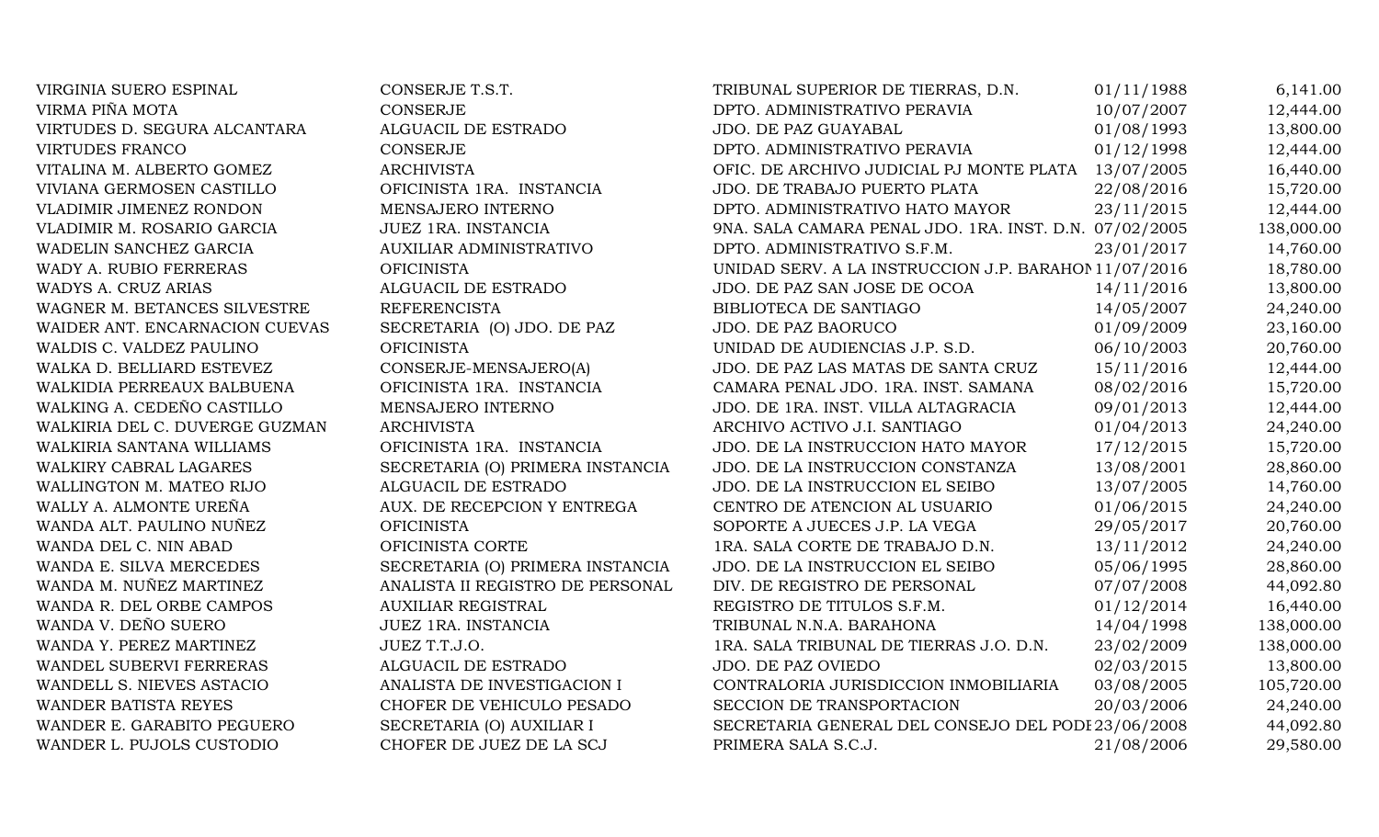| VIRGINIA SUERO ESPINAL         | CONSERJE T.S.T.                  | TRIBUNAL SUPERIOR DE TIERRAS, D.N.                     | 01/11/1988 | 6,141.00   |
|--------------------------------|----------------------------------|--------------------------------------------------------|------------|------------|
| VIRMA PIÑA MOTA                | <b>CONSERJE</b>                  | DPTO. ADMINISTRATIVO PERAVIA                           | 10/07/2007 | 12,444.00  |
| VIRTUDES D. SEGURA ALCANTARA   | ALGUACIL DE ESTRADO              | JDO. DE PAZ GUAYABAL                                   | 01/08/1993 | 13,800.00  |
| <b>VIRTUDES FRANCO</b>         | <b>CONSERJE</b>                  | DPTO. ADMINISTRATIVO PERAVIA                           | 01/12/1998 | 12,444.00  |
| VITALINA M. ALBERTO GOMEZ      | <b>ARCHIVISTA</b>                | OFIC. DE ARCHIVO JUDICIAL PJ MONTE PLATA               | 13/07/2005 | 16,440.00  |
| VIVIANA GERMOSEN CASTILLO      | OFICINISTA 1RA. INSTANCIA        | JDO. DE TRABAJO PUERTO PLATA                           | 22/08/2016 | 15,720.00  |
| VLADIMIR JIMENEZ RONDON        | MENSAJERO INTERNO                | DPTO. ADMINISTRATIVO HATO MAYOR                        | 23/11/2015 | 12,444.00  |
| VLADIMIR M. ROSARIO GARCIA     | <b>JUEZ 1RA. INSTANCIA</b>       | 9NA. SALA CAMARA PENAL JDO. 1RA. INST. D.N. 07/02/2005 |            | 138,000.00 |
| WADELIN SANCHEZ GARCIA         | <b>AUXILIAR ADMINISTRATIVO</b>   | DPTO. ADMINISTRATIVO S.F.M.                            | 23/01/2017 | 14,760.00  |
| WADY A. RUBIO FERRERAS         | <b>OFICINISTA</b>                | UNIDAD SERV. A LA INSTRUCCION J.P. BARAHOI 11/07/2016  |            | 18,780.00  |
| WADYS A. CRUZ ARIAS            | ALGUACIL DE ESTRADO              | JDO. DE PAZ SAN JOSE DE OCOA                           | 14/11/2016 | 13,800.00  |
| WAGNER M. BETANCES SILVESTRE   | <b>REFERENCISTA</b>              | BIBLIOTECA DE SANTIAGO                                 | 14/05/2007 | 24,240.00  |
| WAIDER ANT. ENCARNACION CUEVAS | SECRETARIA (O) JDO. DE PAZ       | JDO. DE PAZ BAORUCO                                    | 01/09/2009 | 23,160.00  |
| WALDIS C. VALDEZ PAULINO       | <b>OFICINISTA</b>                | UNIDAD DE AUDIENCIAS J.P. S.D.                         | 06/10/2003 | 20,760.00  |
| WALKA D. BELLIARD ESTEVEZ      | CONSERJE-MENSAJERO(A)            | JDO. DE PAZ LAS MATAS DE SANTA CRUZ                    | 15/11/2016 | 12,444.00  |
| WALKIDIA PERREAUX BALBUENA     | OFICINISTA 1RA. INSTANCIA        | CAMARA PENAL JDO. 1RA. INST. SAMANA                    | 08/02/2016 | 15,720.00  |
| WALKING A. CEDEÑO CASTILLO     | MENSAJERO INTERNO                | JDO. DE 1RA. INST. VILLA ALTAGRACIA                    | 09/01/2013 | 12,444.00  |
| WALKIRIA DEL C. DUVERGE GUZMAN | <b>ARCHIVISTA</b>                | ARCHIVO ACTIVO J.I. SANTIAGO                           | 01/04/2013 | 24,240.00  |
| WALKIRIA SANTANA WILLIAMS      | OFICINISTA 1RA. INSTANCIA        | JDO. DE LA INSTRUCCION HATO MAYOR                      | 17/12/2015 | 15,720.00  |
| WALKIRY CABRAL LAGARES         | SECRETARIA (O) PRIMERA INSTANCIA | JDO. DE LA INSTRUCCION CONSTANZA                       | 13/08/2001 | 28,860.00  |
| WALLINGTON M. MATEO RIJO       | ALGUACIL DE ESTRADO              | JDO. DE LA INSTRUCCION EL SEIBO                        | 13/07/2005 | 14,760.00  |
| WALLY A. ALMONTE UREÑA         | AUX. DE RECEPCION Y ENTREGA      | CENTRO DE ATENCION AL USUARIO                          | 01/06/2015 | 24,240.00  |
| WANDA ALT. PAULINO NUÑEZ       | <b>OFICINISTA</b>                | SOPORTE A JUECES J.P. LA VEGA                          | 29/05/2017 | 20,760.00  |
| WANDA DEL C. NIN ABAD          | OFICINISTA CORTE                 | 1RA. SALA CORTE DE TRABAJO D.N.                        | 13/11/2012 | 24,240.00  |
| WANDA E. SILVA MERCEDES        | SECRETARIA (O) PRIMERA INSTANCIA | JDO. DE LA INSTRUCCION EL SEIBO                        | 05/06/1995 | 28,860.00  |
| WANDA M. NUÑEZ MARTINEZ        | ANALISTA II REGISTRO DE PERSONAL | DIV. DE REGISTRO DE PERSONAL                           | 07/07/2008 | 44,092.80  |
| WANDA R. DEL ORBE CAMPOS       | <b>AUXILIAR REGISTRAL</b>        | REGISTRO DE TITULOS S.F.M.                             | 01/12/2014 | 16,440.00  |
| WANDA V. DEÑO SUERO            | JUEZ 1RA. INSTANCIA              | TRIBUNAL N.N.A. BARAHONA                               | 14/04/1998 | 138,000.00 |
| WANDA Y. PEREZ MARTINEZ        | JUEZ T.T.J.O.                    | 1RA. SALA TRIBUNAL DE TIERRAS J.O. D.N.                | 23/02/2009 | 138,000.00 |
| WANDEL SUBERVI FERRERAS        | ALGUACIL DE ESTRADO              | <b>JDO. DE PAZ OVIEDO</b>                              | 02/03/2015 | 13,800.00  |
| WANDELL S. NIEVES ASTACIO      | ANALISTA DE INVESTIGACION I      | CONTRALORIA JURISDICCION INMOBILIARIA                  | 03/08/2005 | 105,720.00 |
| <b>WANDER BATISTA REYES</b>    | CHOFER DE VEHICULO PESADO        | SECCION DE TRANSPORTACION                              | 20/03/2006 | 24,240.00  |
| WANDER E. GARABITO PEGUERO     | SECRETARIA (O) AUXILIAR I        | SECRETARIA GENERAL DEL CONSEJO DEL PODI 23/06/2008     |            | 44,092.80  |
| WANDER L. PUJOLS CUSTODIO      | CHOFER DE JUEZ DE LA SCJ         | PRIMERA SALA S.C.J.                                    | 21/08/2006 | 29,580.00  |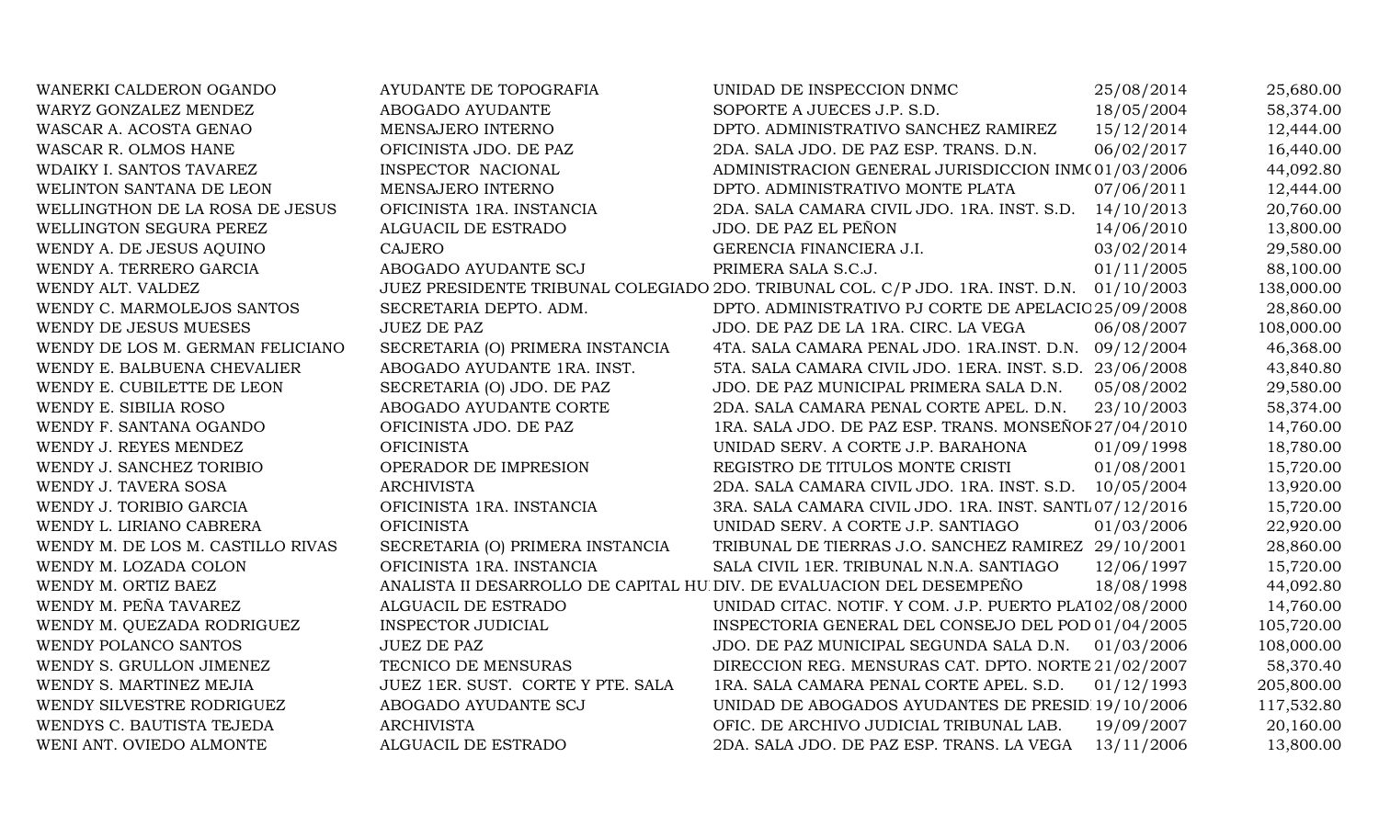| WANERKI CALDERON OGANDO           | AYUDANTE DE TOPOGRAFIA            | UNIDAD DE INSPECCION DNMC                                                      | 25/08/2014 | 25,680.00  |
|-----------------------------------|-----------------------------------|--------------------------------------------------------------------------------|------------|------------|
| WARYZ GONZALEZ MENDEZ             | ABOGADO AYUDANTE                  | SOPORTE A JUECES J.P. S.D.                                                     | 18/05/2004 | 58,374.00  |
| WASCAR A. ACOSTA GENAO            | MENSAJERO INTERNO                 | DPTO. ADMINISTRATIVO SANCHEZ RAMIREZ                                           | 15/12/2014 | 12,444.00  |
| WASCAR R. OLMOS HANE              | OFICINISTA JDO. DE PAZ            | 2DA. SALA JDO. DE PAZ ESP. TRANS. D.N.                                         | 06/02/2017 | 16,440.00  |
| WDAIKY I. SANTOS TAVAREZ          | INSPECTOR NACIONAL                | ADMINISTRACION GENERAL JURISDICCION INM(01/03/2006                             |            | 44,092.80  |
| WELINTON SANTANA DE LEON          | MENSAJERO INTERNO                 | DPTO. ADMINISTRATIVO MONTE PLATA                                               | 07/06/2011 | 12,444.00  |
| WELLINGTHON DE LA ROSA DE JESUS   | OFICINISTA 1RA. INSTANCIA         | 2DA. SALA CAMARA CIVIL JDO. 1RA. INST. S.D.                                    | 14/10/2013 | 20,760.00  |
| WELLINGTON SEGURA PEREZ           | ALGUACIL DE ESTRADO               | JDO. DE PAZ EL PEÑON                                                           | 14/06/2010 | 13,800.00  |
| WENDY A. DE JESUS AQUINO          | <b>CAJERO</b>                     | GERENCIA FINANCIERA J.I.                                                       | 03/02/2014 | 29,580.00  |
| WENDY A. TERRERO GARCIA           | ABOGADO AYUDANTE SCJ              | PRIMERA SALA S.C.J.                                                            | 01/11/2005 | 88,100.00  |
| WENDY ALT. VALDEZ                 |                                   | JUEZ PRESIDENTE TRIBUNAL COLEGIADO 2DO. TRIBUNAL COL. C/P JDO. 1RA. INST. D.N. | 01/10/2003 | 138,000.00 |
| WENDY C. MARMOLEJOS SANTOS        | SECRETARIA DEPTO. ADM.            | DPTO. ADMINISTRATIVO PJ CORTE DE APELACIO 25/09/2008                           |            | 28,860.00  |
| WENDY DE JESUS MUESES             | <b>JUEZ DE PAZ</b>                | JDO. DE PAZ DE LA 1RA. CIRC. LA VEGA                                           | 06/08/2007 | 108,000.00 |
| WENDY DE LOS M. GERMAN FELICIANO  | SECRETARIA (O) PRIMERA INSTANCIA  | 4TA. SALA CAMARA PENAL JDO. 1RA.INST. D.N.                                     | 09/12/2004 | 46,368.00  |
| WENDY E. BALBUENA CHEVALIER       | ABOGADO AYUDANTE 1RA. INST.       | 5TA. SALA CAMARA CIVIL JDO. 1ERA. INST. S.D.                                   | 23/06/2008 | 43,840.80  |
| WENDY E. CUBILETTE DE LEON        | SECRETARIA (O) JDO. DE PAZ        | JDO. DE PAZ MUNICIPAL PRIMERA SALA D.N.                                        | 05/08/2002 | 29,580.00  |
| WENDY E. SIBILIA ROSO             | ABOGADO AYUDANTE CORTE            | 2DA. SALA CAMARA PENAL CORTE APEL. D.N.                                        | 23/10/2003 | 58,374.00  |
| WENDY F. SANTANA OGANDO           | OFICINISTA JDO. DE PAZ            | 1RA. SALA JDO. DE PAZ ESP. TRANS. MONSEÑOF 27/04/2010                          |            | 14,760.00  |
| WENDY J. REYES MENDEZ             | <b>OFICINISTA</b>                 | UNIDAD SERV. A CORTE J.P. BARAHONA                                             | 01/09/1998 | 18,780.00  |
| WENDY J. SANCHEZ TORIBIO          | OPERADOR DE IMPRESION             | REGISTRO DE TITULOS MONTE CRISTI                                               | 01/08/2001 | 15,720.00  |
| WENDY J. TAVERA SOSA              | <b>ARCHIVISTA</b>                 | 2DA. SALA CAMARA CIVIL JDO. 1RA. INST. S.D.                                    | 10/05/2004 | 13,920.00  |
| WENDY J. TORIBIO GARCIA           | OFICINISTA 1RA. INSTANCIA         | 3RA. SALA CAMARA CIVIL JDO. 1RA. INST. SANTL 07/12/2016                        |            | 15,720.00  |
| WENDY L. LIRIANO CABRERA          | <b>OFICINISTA</b>                 | UNIDAD SERV. A CORTE J.P. SANTIAGO                                             | 01/03/2006 | 22,920.00  |
| WENDY M. DE LOS M. CASTILLO RIVAS | SECRETARIA (O) PRIMERA INSTANCIA  | TRIBUNAL DE TIERRAS J.O. SANCHEZ RAMIREZ 29/10/2001                            |            | 28,860.00  |
| WENDY M. LOZADA COLON             | OFICINISTA 1RA. INSTANCIA         | SALA CIVIL 1ER. TRIBUNAL N.N.A. SANTIAGO                                       | 12/06/1997 | 15,720.00  |
| WENDY M. ORTIZ BAEZ               |                                   | ANALISTA II DESARROLLO DE CAPITAL HU DIV. DE EVALUACION DEL DESEMPEÑO          | 18/08/1998 | 44,092.80  |
| WENDY M. PEÑA TAVAREZ             | ALGUACIL DE ESTRADO               | UNIDAD CITAC. NOTIF. Y COM. J.P. PUERTO PLA102/08/2000                         |            | 14,760.00  |
| WENDY M. QUEZADA RODRIGUEZ        | <b>INSPECTOR JUDICIAL</b>         | INSPECTORIA GENERAL DEL CONSEJO DEL POD 01/04/2005                             |            | 105,720.00 |
| WENDY POLANCO SANTOS              | <b>JUEZ DE PAZ</b>                | JDO. DE PAZ MUNICIPAL SEGUNDA SALA D.N.                                        | 01/03/2006 | 108,000.00 |
| WENDY S. GRULLON JIMENEZ          | TECNICO DE MENSURAS               | DIRECCION REG. MENSURAS CAT. DPTO. NORTE 21/02/2007                            |            | 58,370.40  |
| WENDY S. MARTINEZ MEJIA           | JUEZ 1ER. SUST. CORTE Y PTE. SALA | 1RA. SALA CAMARA PENAL CORTE APEL. S.D.                                        | 01/12/1993 | 205,800.00 |
| WENDY SILVESTRE RODRIGUEZ         | ABOGADO AYUDANTE SCJ              | UNIDAD DE ABOGADOS AYUDANTES DE PRESID 19/10/2006                              |            | 117,532.80 |
| WENDYS C. BAUTISTA TEJEDA         | <b>ARCHIVISTA</b>                 | OFIC. DE ARCHIVO JUDICIAL TRIBUNAL LAB.                                        | 19/09/2007 | 20,160.00  |
| WENI ANT. OVIEDO ALMONTE          | ALGUACIL DE ESTRADO               | 2DA. SALA JDO. DE PAZ ESP. TRANS. LA VEGA                                      | 13/11/2006 | 13,800.00  |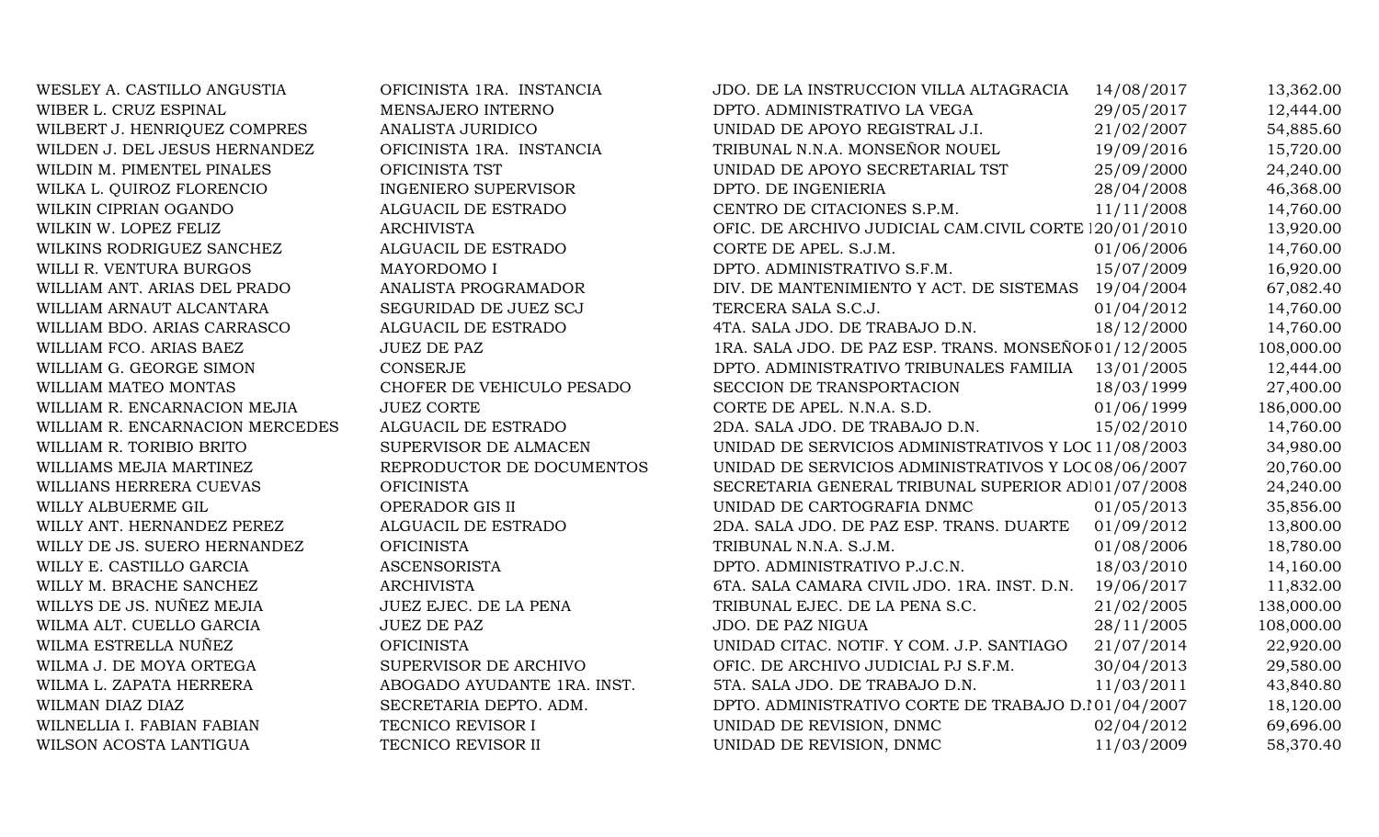| WESLEY A. CASTILLO ANGUSTIA     | OFICINISTA 1RA. INSTANCIA   | JDO. DE LA INSTRUCCION VILLA ALTAGRACIA               | 14/08/2017 | 13,362.00  |
|---------------------------------|-----------------------------|-------------------------------------------------------|------------|------------|
| WIBER L. CRUZ ESPINAL           | MENSAJERO INTERNO           | DPTO. ADMINISTRATIVO LA VEGA                          | 29/05/2017 | 12,444.00  |
| WILBERT J. HENRIQUEZ COMPRES    | ANALISTA JURIDICO           | UNIDAD DE APOYO REGISTRAL J.I.                        | 21/02/2007 | 54,885.60  |
| WILDEN J. DEL JESUS HERNANDEZ   | OFICINISTA 1RA. INSTANCIA   | TRIBUNAL N.N.A. MONSEÑOR NOUEL                        | 19/09/2016 | 15,720.00  |
| WILDIN M. PIMENTEL PINALES      | OFICINISTA TST              | UNIDAD DE APOYO SECRETARIAL TST                       | 25/09/2000 | 24,240.00  |
| WILKA L. QUIROZ FLORENCIO       | <b>INGENIERO SUPERVISOR</b> | DPTO. DE INGENIERIA                                   | 28/04/2008 | 46,368.00  |
| WILKIN CIPRIAN OGANDO           | ALGUACIL DE ESTRADO         | CENTRO DE CITACIONES S.P.M.                           | 11/11/2008 | 14,760.00  |
| WILKIN W. LOPEZ FELIZ           | <b>ARCHIVISTA</b>           | OFIC. DE ARCHIVO JUDICIAL CAM.CIVIL CORTE 120/01/2010 |            | 13,920.00  |
| WILKINS RODRIGUEZ SANCHEZ       | ALGUACIL DE ESTRADO         | CORTE DE APEL. S.J.M.                                 | 01/06/2006 | 14,760.00  |
| WILLI R. VENTURA BURGOS         | MAYORDOMO I                 | DPTO. ADMINISTRATIVO S.F.M.                           | 15/07/2009 | 16,920.00  |
| WILLIAM ANT. ARIAS DEL PRADO    | ANALISTA PROGRAMADOR        | DIV. DE MANTENIMIENTO Y ACT. DE SISTEMAS 19/04/2004   |            | 67,082.40  |
| WILLIAM ARNAUT ALCANTARA        | SEGURIDAD DE JUEZ SCJ       | TERCERA SALA S.C.J.                                   | 01/04/2012 | 14,760.00  |
| WILLIAM BDO. ARIAS CARRASCO     | ALGUACIL DE ESTRADO         | 4TA. SALA JDO. DE TRABAJO D.N.                        | 18/12/2000 | 14,760.00  |
| WILLIAM FCO. ARIAS BAEZ         | <b>JUEZ DE PAZ</b>          | 1RA. SALA JDO. DE PAZ ESP. TRANS. MONSEÑOF 01/12/2005 |            | 108,000.00 |
| WILLIAM G. GEORGE SIMON         | <b>CONSERJE</b>             | DPTO. ADMINISTRATIVO TRIBUNALES FAMILIA 13/01/2005    |            | 12,444.00  |
| WILLIAM MATEO MONTAS            | CHOFER DE VEHICULO PESADO   | SECCION DE TRANSPORTACION                             | 18/03/1999 | 27,400.00  |
| WILLIAM R. ENCARNACION MEJIA    | <b>JUEZ CORTE</b>           | CORTE DE APEL. N.N.A. S.D.                            | 01/06/1999 | 186,000.00 |
| WILLIAM R. ENCARNACION MERCEDES | ALGUACIL DE ESTRADO         | 2DA. SALA JDO. DE TRABAJO D.N.                        | 15/02/2010 | 14,760.00  |
| WILLIAM R. TORIBIO BRITO        | SUPERVISOR DE ALMACEN       | UNIDAD DE SERVICIOS ADMINISTRATIVOS Y LOC 11/08/2003  |            | 34,980.00  |
| WILLIAMS MEJIA MARTINEZ         | REPRODUCTOR DE DOCUMENTOS   | UNIDAD DE SERVICIOS ADMINISTRATIVOS Y LOC 08/06/2007  |            | 20,760.00  |
| WILLIANS HERRERA CUEVAS         | <b>OFICINISTA</b>           | SECRETARIA GENERAL TRIBUNAL SUPERIOR AD101/07/2008    |            | 24,240.00  |
| WILLY ALBUERME GIL              | OPERADOR GIS II             | UNIDAD DE CARTOGRAFIA DNMC                            | 01/05/2013 | 35,856.00  |
| WILLY ANT. HERNANDEZ PEREZ      | ALGUACIL DE ESTRADO         | 2DA. SALA JDO. DE PAZ ESP. TRANS. DUARTE 01/09/2012   |            | 13,800.00  |
| WILLY DE JS. SUERO HERNANDEZ    | <b>OFICINISTA</b>           | TRIBUNAL N.N.A. S.J.M.                                | 01/08/2006 | 18,780.00  |
| WILLY E. CASTILLO GARCIA        | <b>ASCENSORISTA</b>         | DPTO. ADMINISTRATIVO P.J.C.N.                         | 18/03/2010 | 14,160.00  |
| WILLY M. BRACHE SANCHEZ         | <b>ARCHIVISTA</b>           | 6TA. SALA CAMARA CIVIL JDO. 1RA. INST. D.N.           | 19/06/2017 | 11,832.00  |
| WILLYS DE JS. NUÑEZ MEJIA       | JUEZ EJEC. DE LA PENA       | TRIBUNAL EJEC. DE LA PENA S.C.                        | 21/02/2005 | 138,000.00 |
| WILMA ALT. CUELLO GARCIA        | <b>JUEZ DE PAZ</b>          | JDO. DE PAZ NIGUA                                     | 28/11/2005 | 108,000.00 |
| WILMA ESTRELLA NUÑEZ            | <b>OFICINISTA</b>           | UNIDAD CITAC. NOTIF. Y COM. J.P. SANTIAGO             | 21/07/2014 | 22,920.00  |
| WILMA J. DE MOYA ORTEGA         | SUPERVISOR DE ARCHIVO       | OFIC. DE ARCHIVO JUDICIAL PJ S.F.M.                   | 30/04/2013 | 29,580.00  |
| WILMA L. ZAPATA HERRERA         | ABOGADO AYUDANTE 1RA. INST. | 5TA. SALA JDO. DE TRABAJO D.N.                        | 11/03/2011 | 43,840.80  |
| WILMAN DIAZ DIAZ                | SECRETARIA DEPTO. ADM.      | DPTO. ADMINISTRATIVO CORTE DE TRABAJO D.101/04/2007   |            | 18,120.00  |
| WILNELLIA I. FABIAN FABIAN      | TECNICO REVISOR I           | UNIDAD DE REVISION, DNMC                              | 02/04/2012 | 69,696.00  |
| WILSON ACOSTA LANTIGUA          | TECNICO REVISOR II          | UNIDAD DE REVISION, DNMC                              | 11/03/2009 | 58,370.40  |
|                                 |                             |                                                       |            |            |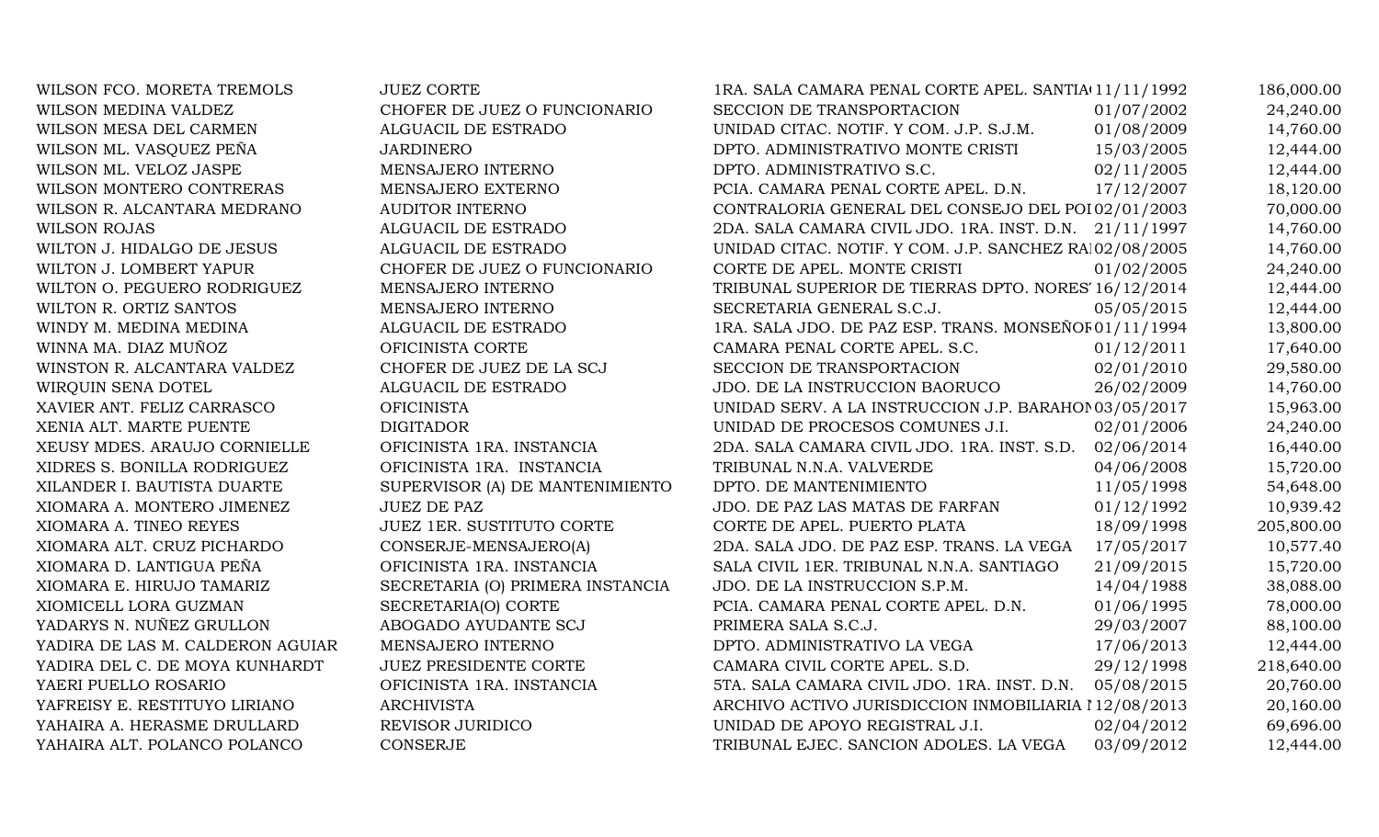WILSON FCO. MORETA TREMOLS JUEZ CORTE WILSON MEDINA VALDEZ CHOFER DE JUEZ O FUNCIONARIO WILSON MESA DEL CARMEN ALGUACIL DE ESTRADO WILSON ML. VASQUEZ PEÑA JARDINERO WILSON ML. VELOZ JASPE MENSAJERO INTERNO WILSON MONTERO CONTRERAS MENSAJERO EXTERNO WILSON R. ALCANTARA MEDRANO AUDITOR INTERNO WILSON ROJAS ALGUACIL DE ESTRADO WILTON J. HIDALGO DE JESUS ALGUACIL DE ESTRADO WILTON J. LOMBERT YAPUR CHOFER DE JUEZ O FUNCIONARIO WILTON O. PEGUERO RODRIGUEZ MENSAJERO INTERNO WILTON R. ORTIZ SANTOS MENSAJERO INTERNO WINDY M. MEDINA MEDINA 1994 1995 ALGUACIL DE ESTRADO. WINNA MA. DIAZ MUÑOZ OFICINISTA CORTE WINSTON R. ALCANTARA VALDEZ CHOFER DE JUEZ DE LA SCJ WIRQUIN SENA DOTEL ALGUACIL DE ESTRADO XAVIER ANT. FELIZ CARRASCO OFICINISTA XENIA ALT. MARTE PUENTE DIGITADOR XEUSY MDES. ARAUJO CORNIELLE OFICINISTA 1RA. INSTANCIA XIDRES S. BONILLA RODRIGUEZ OFICINISTA 1RA. INSTANCIA XILANDER I. BAUTISTA DUARTE SUPERVISOR (A) DE MANTENIMIENTO XIOMARA A. MONTERO JIMENEZ JUEZ DE PAZ XIOMARA A. TINEO REYES JUEZ 1ER. SUSTITUTO CORTE XIOMARA ALT. CRUZ PICHARDO CONSERJE-MENSAJERO(A) XIOMARA D. LANTIGUA PEÑA OFICINISTA 1RA. INSTANCIA XIOMARA E. HIRUJO TAMARIZ SECRETARIA (O) PRIMERA INSTANCIA XIOMICELL LORA GUZMAN SECRETARIA(O) CORTE YADARYS N. NUÑEZ GRULLON ABOGADO AYUDANTE SCJ YADIRA DE LAS M. CALDERON AGUIAR MENSAJERO INTERNO YADIRA DEL C. DE MOYA KUNHARDT JUEZ PRESIDENTE CORTE YAERI PUELLO ROSARIO OFICINISTA 1RA. INSTANCIA YAFREISY E. RESTITUYO LIRIANO ARCHIVISTA YAHAIRA A. HERASME DRULLARD REVISOR JURIDICO YAHAIRA ALT. POLANCO POLANCO CONSERJE

| 1RA. SALA CAMARA PENAL CORTE APEL. SANTIA 11/11/1992   |            | 186,000.00 |
|--------------------------------------------------------|------------|------------|
| SECCION DE TRANSPORTACION                              | 01/07/2002 | 24,240.00  |
| UNIDAD CITAC. NOTIF. Y COM. J.P. S.J.M.                | 01/08/2009 | 14,760.00  |
| DPTO. ADMINISTRATIVO MONTE CRISTI                      | 15/03/2005 | 12,444.00  |
| DPTO. ADMINISTRATIVO S.C.                              | 02/11/2005 | 12,444.00  |
| PCIA. CAMARA PENAL CORTE APEL. D.N.                    | 17/12/2007 | 18,120.00  |
| CONTRALORIA GENERAL DEL CONSEJO DEL POI 02/01/2003     |            | 70,000.00  |
| 2DA. SALA CAMARA CIVIL JDO. 1RA. INST. D.N.            | 21/11/1997 | 14,760.00  |
| UNIDAD CITAC. NOTIF. Y COM. J.P. SANCHEZ RA 02/08/2005 |            | 14,760.00  |
| CORTE DE APEL. MONTE CRISTI                            | 01/02/2005 | 24,240.00  |
| TRIBUNAL SUPERIOR DE TIERRAS DPTO. NORES' 16/12/2014   |            | 12,444.00  |
| SECRETARIA GENERAL S.C.J.                              | 05/05/2015 | 12,444.00  |
| 1RA. SALA JDO. DE PAZ ESP. TRANS. MONSEÑOF 01/11/1994  |            | 13,800.00  |
| CAMARA PENAL CORTE APEL. S.C.                          | 01/12/2011 | 17,640.00  |
| SECCION DE TRANSPORTACION                              | 02/01/2010 | 29,580.00  |
| JDO. DE LA INSTRUCCION BAORUCO                         | 26/02/2009 | 14,760.00  |
| UNIDAD SERV. A LA INSTRUCCION J.P. BARAHOI 03/05/2017  |            | 15,963.00  |
| UNIDAD DE PROCESOS COMUNES J.I.                        | 02/01/2006 | 24,240.00  |
| 2DA. SALA CAMARA CIVIL JDO. 1RA. INST. S.D.            | 02/06/2014 | 16,440.00  |
| TRIBUNAL N.N.A. VALVERDE                               | 04/06/2008 | 15,720.00  |
| DPTO. DE MANTENIMIENTO                                 | 11/05/1998 | 54,648.00  |
| JDO. DE PAZ LAS MATAS DE FARFAN                        | 01/12/1992 | 10,939.42  |
| CORTE DE APEL. PUERTO PLATA                            | 18/09/1998 | 205,800.00 |
| 2DA. SALA JDO. DE PAZ ESP. TRANS. LA VEGA              | 17/05/2017 | 10,577.40  |
| SALA CIVIL 1ER. TRIBUNAL N.N.A. SANTIAGO               | 21/09/2015 | 15,720.00  |
| JDO. DE LA INSTRUCCION S.P.M.                          | 14/04/1988 | 38,088.00  |
| PCIA. CAMARA PENAL CORTE APEL. D.N.                    | 01/06/1995 | 78,000.00  |
| PRIMERA SALA S.C.J.                                    | 29/03/2007 | 88,100.00  |
| DPTO. ADMINISTRATIVO LA VEGA                           | 17/06/2013 | 12,444.00  |
| CAMARA CIVIL CORTE APEL. S.D.                          | 29/12/1998 | 218,640.00 |
| 5TA. SALA CAMARA CIVIL JDO. 1RA. INST. D.N.            | 05/08/2015 | 20,760.00  |
| ARCHIVO ACTIVO JURISDICCION INMOBILIARIA 112/08/2013   |            | 20,160.00  |
| UNIDAD DE APOYO REGISTRAL J.I.                         | 02/04/2012 | 69,696.00  |
| TRIBUNAL EJEC. SANCION ADOLES. LA VEGA                 | 03/09/2012 | 12,444.00  |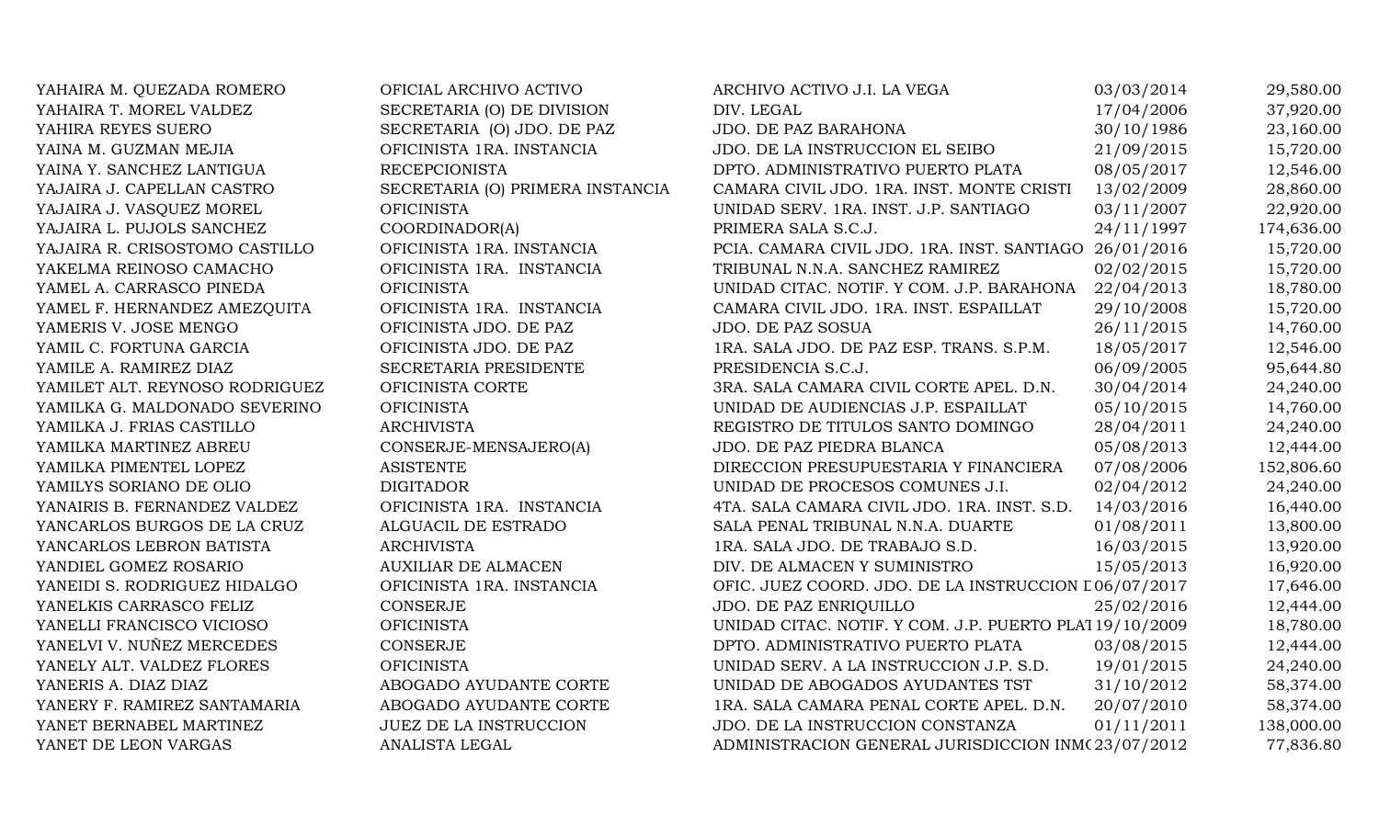| YAHAIRA M. QUEZADA ROMERO      | OFICIAL ARCHIVO ACTIVO           | ARCHIVO ACTIVO J.I. LA VEGA                            | 03/03/2014 | 29,580.00  |
|--------------------------------|----------------------------------|--------------------------------------------------------|------------|------------|
| YAHAIRA T. MOREL VALDEZ        | SECRETARIA (O) DE DIVISION       | DIV. LEGAL                                             | 17/04/2006 | 37,920.00  |
| YAHIRA REYES SUERO             | SECRETARIA (O) JDO. DE PAZ       | JDO. DE PAZ BARAHONA                                   | 30/10/1986 | 23,160.00  |
| YAINA M. GUZMAN MEJIA          | OFICINISTA 1RA. INSTANCIA        | JDO. DE LA INSTRUCCION EL SEIBO                        | 21/09/2015 | 15,720.00  |
| YAINA Y. SANCHEZ LANTIGUA      | <b>RECEPCIONISTA</b>             | DPTO. ADMINISTRATIVO PUERTO PLATA                      | 08/05/2017 | 12,546.00  |
| YAJAIRA J. CAPELLAN CASTRO     | SECRETARIA (O) PRIMERA INSTANCIA | CAMARA CIVIL JDO. 1RA. INST. MONTE CRISTI              | 13/02/2009 | 28,860.00  |
| YAJAIRA J. VASQUEZ MOREL       | <b>OFICINISTA</b>                | UNIDAD SERV. 1RA. INST. J.P. SANTIAGO                  | 03/11/2007 | 22,920.00  |
| YAJAIRA L. PUJOLS SANCHEZ      | COORDINADOR(A)                   | PRIMERA SALA S.C.J.                                    | 24/11/1997 | 174,636.00 |
| YAJAIRA R. CRISOSTOMO CASTILLO | OFICINISTA 1RA. INSTANCIA        | PCIA. CAMARA CIVIL JDO. 1RA. INST. SANTIAGO 26/01/2016 |            | 15,720.00  |
| YAKELMA REINOSO CAMACHO        | OFICINISTA 1RA. INSTANCIA        | TRIBUNAL N.N.A. SANCHEZ RAMIREZ                        | 02/02/2015 | 15,720.00  |
| YAMEL A. CARRASCO PINEDA       | <b>OFICINISTA</b>                | UNIDAD CITAC. NOTIF. Y COM. J.P. BARAHONA              | 22/04/2013 | 18,780.00  |
| YAMEL F. HERNANDEZ AMEZQUITA   | OFICINISTA 1RA. INSTANCIA        | CAMARA CIVIL JDO. 1RA. INST. ESPAILLAT                 | 29/10/2008 | 15,720.00  |
| YAMERIS V. JOSE MENGO          | OFICINISTA JDO. DE PAZ           | JDO. DE PAZ SOSUA                                      | 26/11/2015 | 14,760.00  |
| YAMIL C. FORTUNA GARCIA        | OFICINISTA JDO. DE PAZ           | 1RA. SALA JDO. DE PAZ ESP. TRANS. S.P.M.               | 18/05/2017 | 12,546.00  |
| YAMILE A. RAMIREZ DIAZ         | SECRETARIA PRESIDENTE            | PRESIDENCIA S.C.J.                                     | 06/09/2005 | 95,644.80  |
| YAMILET ALT. REYNOSO RODRIGUEZ | OFICINISTA CORTE                 | 3RA. SALA CAMARA CIVIL CORTE APEL. D.N.                | 30/04/2014 | 24,240.00  |
| YAMILKA G. MALDONADO SEVERINO  | <b>OFICINISTA</b>                | UNIDAD DE AUDIENCIAS J.P. ESPAILLAT                    | 05/10/2015 | 14,760.00  |
| YAMILKA J. FRIAS CASTILLO      | <b>ARCHIVISTA</b>                | REGISTRO DE TITULOS SANTO DOMINGO                      | 28/04/2011 | 24,240.00  |
| YAMILKA MARTINEZ ABREU         | CONSERJE-MENSAJERO(A)            | JDO. DE PAZ PIEDRA BLANCA                              | 05/08/2013 | 12,444.00  |
| YAMILKA PIMENTEL LOPEZ         | <b>ASISTENTE</b>                 | DIRECCION PRESUPUESTARIA Y FINANCIERA                  | 07/08/2006 | 152,806.60 |
| YAMILYS SORIANO DE OLIO        | <b>DIGITADOR</b>                 | UNIDAD DE PROCESOS COMUNES J.I.                        | 02/04/2012 | 24,240.00  |
| YANAIRIS B. FERNANDEZ VALDEZ   | OFICINISTA 1RA. INSTANCIA        | 4TA. SALA CAMARA CIVIL JDO. 1RA. INST. S.D.            | 14/03/2016 | 16,440.00  |
| YANCARLOS BURGOS DE LA CRUZ    | ALGUACIL DE ESTRADO              | SALA PENAL TRIBUNAL N.N.A. DUARTE                      | 01/08/2011 | 13,800.00  |
| YANCARLOS LEBRON BATISTA       | <b>ARCHIVISTA</b>                | 1RA. SALA JDO. DE TRABAJO S.D.                         | 16/03/2015 | 13,920.00  |
| YANDIEL GOMEZ ROSARIO          | <b>AUXILIAR DE ALMACEN</b>       | DIV. DE ALMACEN Y SUMINISTRO                           | 15/05/2013 | 16,920.00  |
| YANEIDI S. RODRIGUEZ HIDALGO   | OFICINISTA 1RA. INSTANCIA        | OFIC. JUEZ COORD. JDO. DE LA INSTRUCCION L06/07/2017   |            | 17,646.00  |
| YANELKIS CARRASCO FELIZ        | CONSERJE                         | JDO. DE PAZ ENRIQUILLO                                 | 25/02/2016 | 12,444.00  |
| YANELLI FRANCISCO VICIOSO      | <b>OFICINISTA</b>                | UNIDAD CITAC. NOTIF. Y COM. J.P. PUERTO PLA119/10/2009 |            | 18,780.00  |
| YANELVI V. NUÑEZ MERCEDES      | CONSERJE                         | DPTO. ADMINISTRATIVO PUERTO PLATA                      | 03/08/2015 | 12,444.00  |
| YANELY ALT. VALDEZ FLORES      | <b>OFICINISTA</b>                | UNIDAD SERV. A LA INSTRUCCION J.P. S.D.                | 19/01/2015 | 24,240.00  |
| YANERIS A. DIAZ DIAZ           | ABOGADO AYUDANTE CORTE           | UNIDAD DE ABOGADOS AYUDANTES TST                       | 31/10/2012 | 58,374.00  |
| YANERY F. RAMIREZ SANTAMARIA   | ABOGADO AYUDANTE CORTE           | 1RA. SALA CAMARA PENAL CORTE APEL. D.N.                | 20/07/2010 | 58,374.00  |
| YANET BERNABEL MARTINEZ        | <b>JUEZ DE LA INSTRUCCION</b>    | JDO. DE LA INSTRUCCION CONSTANZA                       | 01/11/2011 | 138,000.00 |
| YANET DE LEON VARGAS           | ANALISTA LEGAL                   | ADMINISTRACION GENERAL JURISDICCION INM(23/07/2012)    |            | 77,836.80  |
|                                |                                  |                                                        |            |            |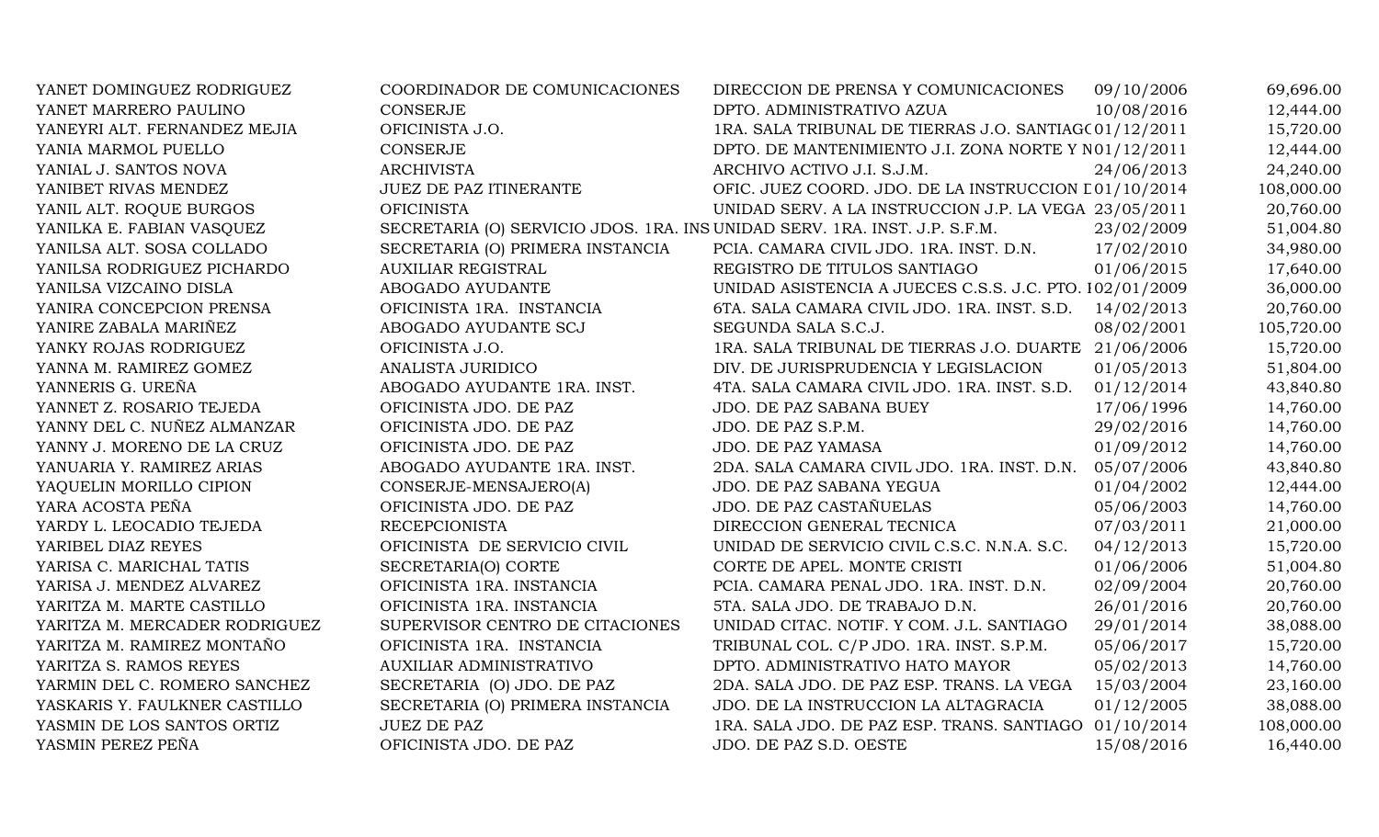| YANET DOMINGUEZ RODRIGUEZ     | COORDINADOR DE COMUNICACIONES                                              | DIRECCION DE PRENSA Y COMUNICACIONES                    | 09/10/2006 | 69,696.00  |
|-------------------------------|----------------------------------------------------------------------------|---------------------------------------------------------|------------|------------|
| YANET MARRERO PAULINO         | <b>CONSERJE</b>                                                            | DPTO. ADMINISTRATIVO AZUA                               | 10/08/2016 | 12,444.00  |
| YANEYRI ALT. FERNANDEZ MEJIA  | OFICINISTA J.O.                                                            | 1RA. SALA TRIBUNAL DE TIERRAS J.O. SANTIAG(01/12/2011   |            | 15,720.00  |
| YANIA MARMOL PUELLO           | <b>CONSERJE</b>                                                            | DPTO. DE MANTENIMIENTO J.I. ZONA NORTE Y N01/12/2011    |            | 12,444.00  |
| YANIAL J. SANTOS NOVA         | <b>ARCHIVISTA</b>                                                          | ARCHIVO ACTIVO J.I. S.J.M.                              | 24/06/2013 | 24,240.00  |
| YANIBET RIVAS MENDEZ          | <b>JUEZ DE PAZ ITINERANTE</b>                                              | OFIC. JUEZ COORD. JDO. DE LA INSTRUCCION L01/10/2014    |            | 108,000.00 |
| YANIL ALT. ROQUE BURGOS       | <b>OFICINISTA</b>                                                          | UNIDAD SERV. A LA INSTRUCCION J.P. LA VEGA 23/05/2011   |            | 20,760.00  |
| YANILKA E. FABIAN VASQUEZ     | SECRETARIA (O) SERVICIO JDOS. 1RA. INS UNIDAD SERV. 1RA. INST. J.P. S.F.M. |                                                         | 23/02/2009 | 51,004.80  |
| YANILSA ALT. SOSA COLLADO     | SECRETARIA (O) PRIMERA INSTANCIA                                           | PCIA. CAMARA CIVIL JDO. 1RA. INST. D.N.                 | 17/02/2010 | 34,980.00  |
| YANILSA RODRIGUEZ PICHARDO    | <b>AUXILIAR REGISTRAL</b>                                                  | REGISTRO DE TITULOS SANTIAGO                            | 01/06/2015 | 17,640.00  |
| YANILSA VIZCAINO DISLA        | ABOGADO AYUDANTE                                                           | UNIDAD ASISTENCIA A JUECES C.S.S. J.C. PTO. 102/01/2009 |            | 36,000.00  |
| YANIRA CONCEPCION PRENSA      | OFICINISTA 1RA. INSTANCIA                                                  | 6TA. SALA CAMARA CIVIL JDO. 1RA. INST. S.D.             | 14/02/2013 | 20,760.00  |
| YANIRE ZABALA MARIÑEZ         | ABOGADO AYUDANTE SCJ                                                       | SEGUNDA SALA S.C.J.                                     | 08/02/2001 | 105,720.00 |
| YANKY ROJAS RODRIGUEZ         | OFICINISTA J.O.                                                            | 1RA. SALA TRIBUNAL DE TIERRAS J.O. DUARTE 21/06/2006    |            | 15,720.00  |
| YANNA M. RAMIREZ GOMEZ        | ANALISTA JURIDICO                                                          | DIV. DE JURISPRUDENCIA Y LEGISLACION                    | 01/05/2013 | 51,804.00  |
| YANNERIS G. UREÑA             | ABOGADO AYUDANTE 1RA. INST.                                                | 4TA. SALA CAMARA CIVIL JDO. 1RA. INST. S.D.             | 01/12/2014 | 43,840.80  |
| YANNET Z. ROSARIO TEJEDA      | OFICINISTA JDO. DE PAZ                                                     | JDO. DE PAZ SABANA BUEY                                 | 17/06/1996 | 14,760.00  |
| YANNY DEL C. NUÑEZ ALMANZAR   | OFICINISTA JDO. DE PAZ                                                     | JDO. DE PAZ S.P.M.                                      | 29/02/2016 | 14,760.00  |
| YANNY J. MORENO DE LA CRUZ    | OFICINISTA JDO. DE PAZ                                                     | <b>JDO. DE PAZ YAMASA</b>                               | 01/09/2012 | 14,760.00  |
| YANUARIA Y. RAMIREZ ARIAS     | ABOGADO AYUDANTE 1RA. INST.                                                | 2DA. SALA CAMARA CIVIL JDO. 1RA. INST. D.N.             | 05/07/2006 | 43,840.80  |
| YAQUELIN MORILLO CIPION       | CONSERJE-MENSAJERO(A)                                                      | JDO. DE PAZ SABANA YEGUA                                | 01/04/2002 | 12,444.00  |
| YARA ACOSTA PEÑA              | OFICINISTA JDO. DE PAZ                                                     | JDO. DE PAZ CASTAÑUELAS                                 | 05/06/2003 | 14,760.00  |
| YARDY L. LEOCADIO TEJEDA      | <b>RECEPCIONISTA</b>                                                       | DIRECCION GENERAL TECNICA                               | 07/03/2011 | 21,000.00  |
| YARIBEL DIAZ REYES            | OFICINISTA DE SERVICIO CIVIL                                               | UNIDAD DE SERVICIO CIVIL C.S.C. N.N.A. S.C.             | 04/12/2013 | 15,720.00  |
| YARISA C. MARICHAL TATIS      | SECRETARIA(O) CORTE                                                        | CORTE DE APEL. MONTE CRISTI                             | 01/06/2006 | 51,004.80  |
| YARISA J. MENDEZ ALVAREZ      | OFICINISTA 1RA. INSTANCIA                                                  | PCIA. CAMARA PENAL JDO. 1RA. INST. D.N.                 | 02/09/2004 | 20,760.00  |
| YARITZA M. MARTE CASTILLO     | OFICINISTA 1RA. INSTANCIA                                                  | 5TA. SALA JDO. DE TRABAJO D.N.                          | 26/01/2016 | 20,760.00  |
| YARITZA M. MERCADER RODRIGUEZ | SUPERVISOR CENTRO DE CITACIONES                                            | UNIDAD CITAC. NOTIF. Y COM. J.L. SANTIAGO               | 29/01/2014 | 38,088.00  |
| YARITZA M. RAMIREZ MONTAÑO    | OFICINISTA 1RA. INSTANCIA                                                  | TRIBUNAL COL. C/P JDO. 1RA. INST. S.P.M.                | 05/06/2017 | 15,720.00  |
| YARITZA S. RAMOS REYES        | <b>AUXILIAR ADMINISTRATIVO</b>                                             | DPTO. ADMINISTRATIVO HATO MAYOR                         | 05/02/2013 | 14,760.00  |
| YARMIN DEL C. ROMERO SANCHEZ  | SECRETARIA (O) JDO. DE PAZ                                                 | 2DA. SALA JDO. DE PAZ ESP. TRANS. LA VEGA               | 15/03/2004 | 23,160.00  |
| YASKARIS Y. FAULKNER CASTILLO | SECRETARIA (O) PRIMERA INSTANCIA                                           | JDO. DE LA INSTRUCCION LA ALTAGRACIA                    | 01/12/2005 | 38,088.00  |
| YASMIN DE LOS SANTOS ORTIZ    | <b>JUEZ DE PAZ</b>                                                         | 1RA. SALA JDO. DE PAZ ESP. TRANS. SANTIAGO 01/10/2014   |            | 108,000.00 |
| YASMIN PEREZ PEÑA             | OFICINISTA JDO. DE PAZ                                                     | JDO. DE PAZ S.D. OESTE                                  | 15/08/2016 | 16,440.00  |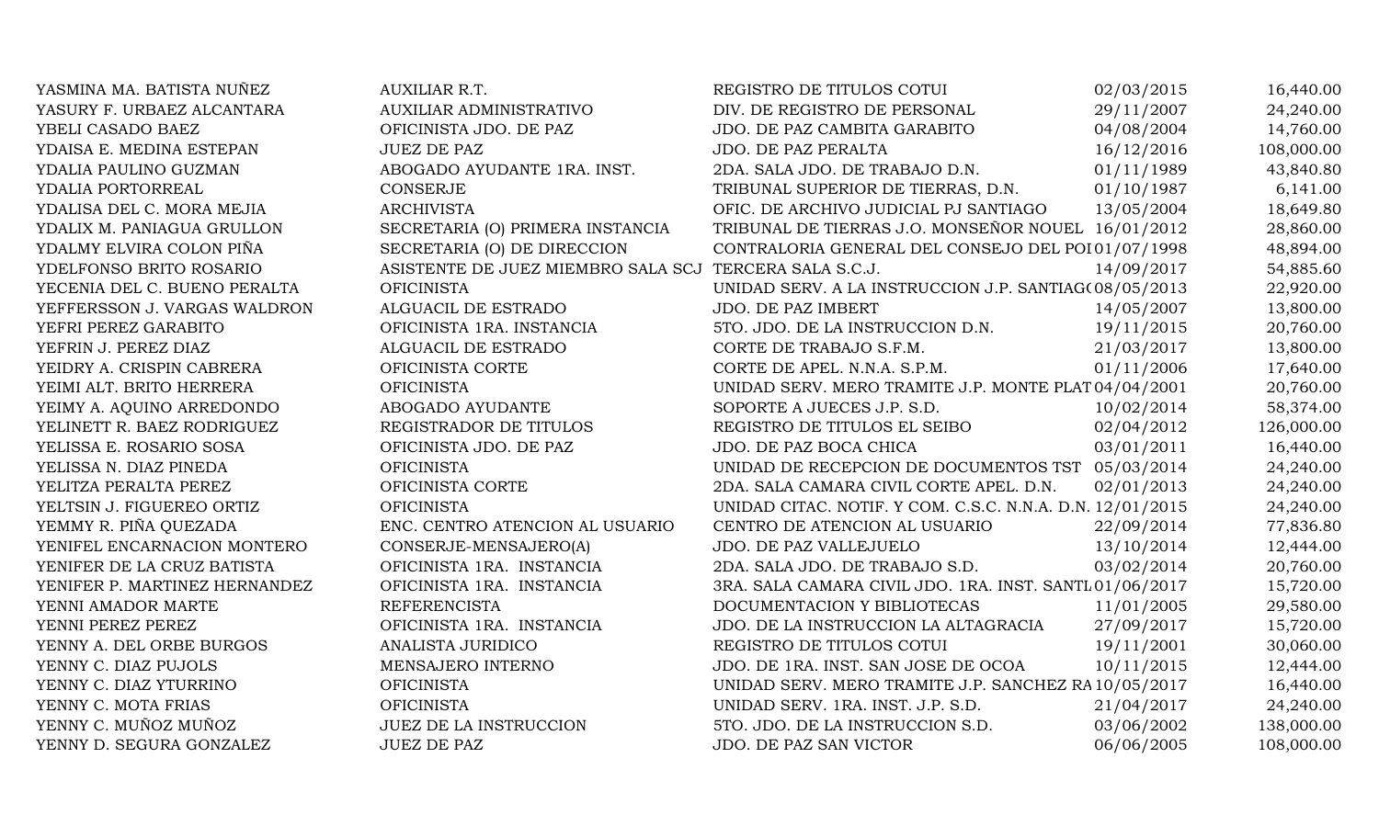YASMINA MA. BATISTA NUÑEZ AU YASURY F. URBAEZ ALCANTARA AU YBELI CASADO BAEZ OF YDAISA E. MEDINA ESTEPAN JU YDALIA PAULINO GUZMAN AB YDALIA PORTORREAL CO YDALISA DEL C. MORA MEJIA AR YDALIX M. PANIAGUA GRULLON SE YDALMY ELVIRA COLON PIÑA SECRETARIA DEL CONTRA YDELFONSO BRITO ROSARIO AS YECENIA DEL C. BUENO PERALTA OF YEFFERSSON J. VARGAS WALDRON AL YEFRI PEREZ GARABITO OFICINISTA 1RA. INSTANCIA 5TO. JDO. DE LA INSTRUCCION D.N. 19/11/2015 20,760.00 YEFRIN J. PEREZ DIAZ ALGUACI YEIDRY A. CRISPIN CABRERA OF YEIMI ALT. BRITO HERRERA OF YEIMY A. AQUINO ARREDONDO AB YELINETT R. BAEZ RODRIGUEZ REGISTRADOR DE TITULOS EL SE YELISSA E. ROSARIO SOSA OF YELISSA N. DIAZ PINEDA OF YELITZA PERALTA PEREZ OF YELTSIN J. FIGUEREO ORTIZ. OF YEMMY R. PIÑA QUEZADA EN YENIFEL ENCARNACION MONTERO CO YENIFER DE LA CRUZ BATISTA 1999. OF YENIFER P. MARTINEZ HERNANDEZ OF YENNI AMADOR MARTE RE YENNI PEREZ PEREZ **IRA. INSTANCIA 1889. INSTANCIA 1889.** OF YENNY A. DEL ORBE BURGOS AN YENNY C. DIAZ PUJOLS ME YENNY C. DIAZ YTURRINO OF YENNY C. MOTA FRIAS OF YENNY C. MUÑOZ MUÑOZ DE LA INSTRUCCION SERVE YENNY D. SEGURA GONZALEZ JU

| JXILIAR R.T.                          | REGISTRO DE TITULOS COTUI                                 | 02/03/2015 | 16,440.00  |
|---------------------------------------|-----------------------------------------------------------|------------|------------|
| <b>JXILIAR ADMINISTRATIVO</b>         | DIV. DE REGISTRO DE PERSONAL                              | 29/11/2007 | 24,240.00  |
| FICINISTA JDO. DE PAZ                 | JDO. DE PAZ CAMBITA GARABITO                              | 04/08/2004 | 14,760.00  |
| JEZ DE PAZ                            | JDO. DE PAZ PERALTA                                       | 16/12/2016 | 108,000.00 |
| BOGADO AYUDANTE 1RA. INST.            | 2DA. SALA JDO. DE TRABAJO D.N.                            | 01/11/1989 | 43,840.80  |
| <b>DNSERJE</b>                        | TRIBUNAL SUPERIOR DE TIERRAS, D.N.                        | 01/10/1987 | 6,141.00   |
| RCHIVISTA                             | OFIC. DE ARCHIVO JUDICIAL PJ SANTIAGO                     | 13/05/2004 | 18,649.80  |
| CCRETARIA (O) PRIMERA INSTANCIA       | TRIBUNAL DE TIERRAS J.O. MONSEÑOR NOUEL 16/01/2012        |            | 28,860.00  |
| CCRETARIA (O) DE DIRECCION            | CONTRALORIA GENERAL DEL CONSEJO DEL POI 01/07/1998        |            | 48,894.00  |
| SISTENTE DE JUEZ MIEMBRO SALA SCJ     | TERCERA SALA S.C.J.                                       | 14/09/2017 | 54,885.60  |
| FICINISTA                             | UNIDAD SERV. A LA INSTRUCCION J.P. SANTIAG(08/05/2013     |            | 22,920.00  |
| <b>GUACIL DE ESTRADO</b>              | <b>JDO. DE PAZ IMBERT</b>                                 | 14/05/2007 | 13,800.00  |
| FICINISTA 1RA. INSTANCIA              | 5TO. JDO. DE LA INSTRUCCION D.N.                          | 19/11/2015 | 20,760.00  |
| <b>GUACIL DE ESTRADO</b>              | CORTE DE TRABAJO S.F.M.                                   | 21/03/2017 | 13,800.00  |
| FICINISTA CORTE                       | CORTE DE APEL. N.N.A. S.P.M.                              | 01/11/2006 | 17,640.00  |
| FICINISTA                             | UNIDAD SERV. MERO TRAMITE J.P. MONTE PLAT 04/04/2001      |            | 20,760.00  |
| <b>BOGADO AYUDANTE</b>                | SOPORTE A JUECES J.P. S.D.                                | 10/02/2014 | 58,374.00  |
| <b>EGISTRADOR DE TITULOS</b>          | REGISTRO DE TITULOS EL SEIBO                              | 02/04/2012 | 126,000.00 |
| FICINISTA JDO. DE PAZ                 | JDO. DE PAZ BOCA CHICA                                    | 03/01/2011 | 16,440.00  |
| FICINISTA                             | UNIDAD DE RECEPCION DE DOCUMENTOS TST                     | 05/03/2014 | 24,240.00  |
| FICINISTA CORTE                       | 2DA. SALA CAMARA CIVIL CORTE APEL. D.N.                   | 02/01/2013 | 24,240.00  |
| FICINISTA                             | UNIDAD CITAC. NOTIF. Y COM. C.S.C. N.N.A. D.N. 12/01/2015 |            | 24,240.00  |
| <b>IC. CENTRO ATENCION AL USUARIO</b> | CENTRO DE ATENCION AL USUARIO                             | 22/09/2014 | 77,836.80  |
| ONSERJE-MENSAJERO(A)                  | JDO. DE PAZ VALLEJUELO                                    | 13/10/2014 | 12,444.00  |
| FICINISTA 1RA. INSTANCIA              | 2DA. SALA JDO. DE TRABAJO S.D.                            | 03/02/2014 | 20,760.00  |
| FICINISTA 1RA. INSTANCIA              | 3RA. SALA CAMARA CIVIL JDO. 1RA. INST. SANTL 01/06/2017   |            | 15,720.00  |
| <b>EFERENCISTA</b>                    | DOCUMENTACION Y BIBLIOTECAS                               | 11/01/2005 | 29,580.00  |
| FICINISTA 1RA. INSTANCIA              | JDO. DE LA INSTRUCCION LA ALTAGRACIA                      | 27/09/2017 | 15,720.00  |
| <b>NALISTA JURIDICO</b>               | REGISTRO DE TITULOS COTUI                                 | 19/11/2001 | 30,060.00  |
| ENSAJERO INTERNO                      | JDO. DE 1RA. INST. SAN JOSE DE OCOA                       | 10/11/2015 | 12,444.00  |
| FICINISTA                             | UNIDAD SERV. MERO TRAMITE J.P. SANCHEZ RA 10/05/2017      |            | 16,440.00  |
| FICINISTA                             | UNIDAD SERV. 1RA. INST. J.P. S.D.                         | 21/04/2017 | 24,240.00  |
| JEZ DE LA INSTRUCCION                 | 5TO. JDO. DE LA INSTRUCCION S.D.                          | 03/06/2002 | 138,000.00 |
| JEZ DE PAZ                            | JDO. DE PAZ SAN VICTOR                                    | 06/06/2005 | 108,000.00 |
|                                       |                                                           |            |            |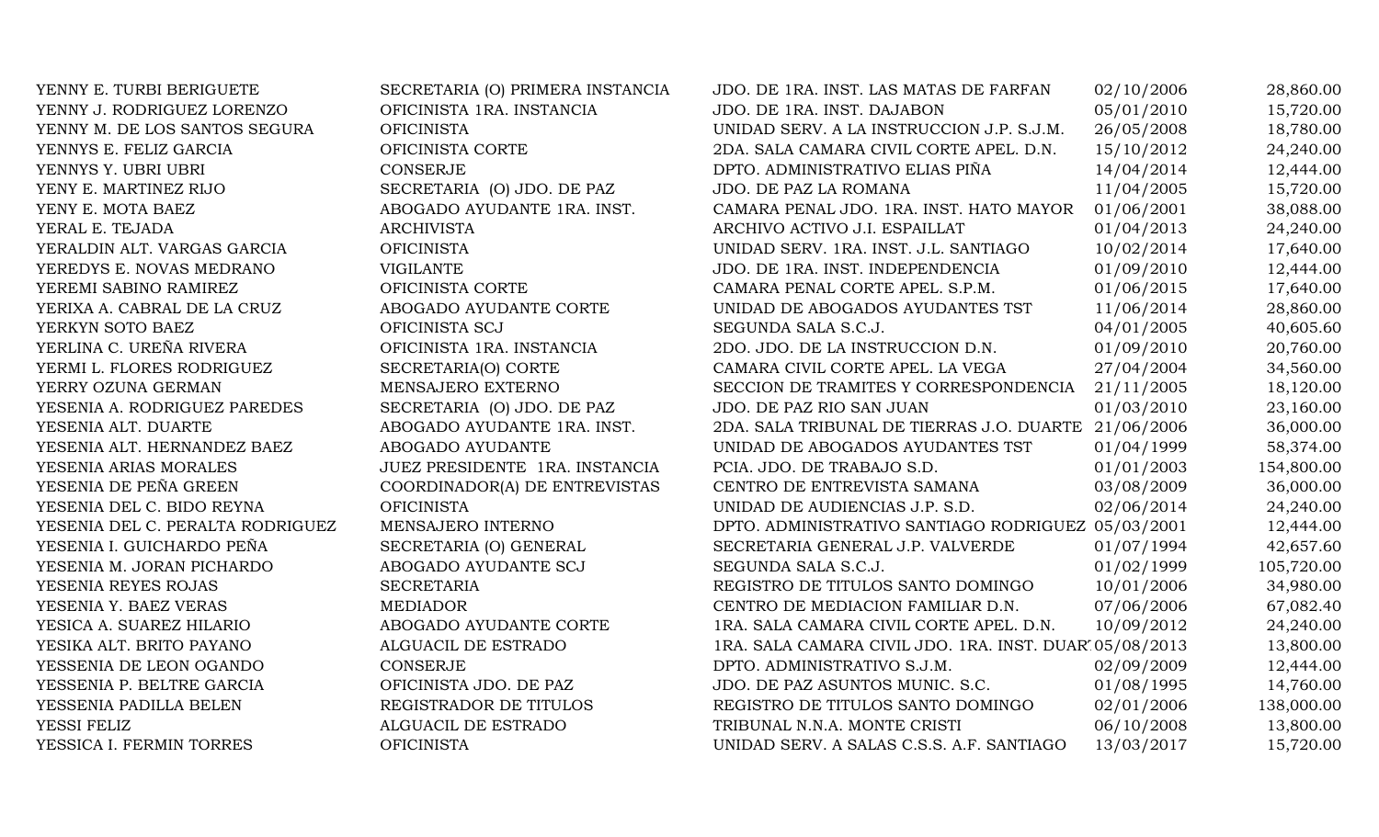| YENNY E. TURBI BERIGUETE         | SECRETARIA (O) PRIMERA INSTANCIA | JDO. DE 1RA. INST. LAS MATAS DE FARFAN                 | 02/10/2006 | 28,860.00  |
|----------------------------------|----------------------------------|--------------------------------------------------------|------------|------------|
| YENNY J. RODRIGUEZ LORENZO       | OFICINISTA 1RA. INSTANCIA        | JDO. DE 1RA. INST. DAJABON                             | 05/01/2010 | 15,720.00  |
| YENNY M. DE LOS SANTOS SEGURA    | <b>OFICINISTA</b>                | UNIDAD SERV. A LA INSTRUCCION J.P. S.J.M.              | 26/05/2008 | 18,780.00  |
| YENNYS E. FELIZ GARCIA           | OFICINISTA CORTE                 | 2DA. SALA CAMARA CIVIL CORTE APEL. D.N.                | 15/10/2012 | 24,240.00  |
| YENNYS Y. UBRI UBRI              | <b>CONSERJE</b>                  | DPTO. ADMINISTRATIVO ELIAS PIÑA                        | 14/04/2014 | 12,444.00  |
| YENY E. MARTINEZ RIJO            | SECRETARIA (O) JDO. DE PAZ       | JDO. DE PAZ LA ROMANA                                  | 11/04/2005 | 15,720.00  |
| YENY E. MOTA BAEZ                | ABOGADO AYUDANTE 1RA. INST.      | CAMARA PENAL JDO. 1RA. INST. HATO MAYOR                | 01/06/2001 | 38,088.00  |
| YERAL E. TEJADA                  | <b>ARCHIVISTA</b>                | ARCHIVO ACTIVO J.I. ESPAILLAT                          | 01/04/2013 | 24,240.00  |
| YERALDIN ALT. VARGAS GARCIA      | <b>OFICINISTA</b>                | UNIDAD SERV. 1RA. INST. J.L. SANTIAGO                  | 10/02/2014 | 17,640.00  |
| YEREDYS E. NOVAS MEDRANO         | <b>VIGILANTE</b>                 | JDO. DE 1RA. INST. INDEPENDENCIA                       | 01/09/2010 | 12,444.00  |
| YEREMI SABINO RAMIREZ            | OFICINISTA CORTE                 | CAMARA PENAL CORTE APEL. S.P.M.                        | 01/06/2015 | 17,640.00  |
| YERIXA A. CABRAL DE LA CRUZ      | ABOGADO AYUDANTE CORTE           | UNIDAD DE ABOGADOS AYUDANTES TST                       | 11/06/2014 | 28,860.00  |
| YERKYN SOTO BAEZ                 | OFICINISTA SCJ                   | SEGUNDA SALA S.C.J.                                    | 04/01/2005 | 40,605.60  |
| YERLINA C. UREÑA RIVERA          | OFICINISTA 1RA. INSTANCIA        | 2DO. JDO. DE LA INSTRUCCION D.N.                       | 01/09/2010 | 20,760.00  |
| YERMI L. FLORES RODRIGUEZ        | SECRETARIA(O) CORTE              | CAMARA CIVIL CORTE APEL. LA VEGA                       | 27/04/2004 | 34,560.00  |
| YERRY OZUNA GERMAN               | MENSAJERO EXTERNO                | SECCION DE TRAMITES Y CORRESPONDENCIA                  | 21/11/2005 | 18,120.00  |
| YESENIA A. RODRIGUEZ PAREDES     | SECRETARIA (O) JDO. DE PAZ       | JDO. DE PAZ RIO SAN JUAN                               | 01/03/2010 | 23,160.00  |
| YESENIA ALT. DUARTE              | ABOGADO AYUDANTE 1RA. INST.      | 2DA. SALA TRIBUNAL DE TIERRAS J.O. DUARTE              | 21/06/2006 | 36,000.00  |
| YESENIA ALT. HERNANDEZ BAEZ      | ABOGADO AYUDANTE                 | UNIDAD DE ABOGADOS AYUDANTES TST                       | 01/04/1999 | 58,374.00  |
| YESENIA ARIAS MORALES            | JUEZ PRESIDENTE 1RA. INSTANCIA   | PCIA. JDO. DE TRABAJO S.D.                             | 01/01/2003 | 154,800.00 |
| YESENIA DE PEÑA GREEN            | COORDINADOR(A) DE ENTREVISTAS    | CENTRO DE ENTREVISTA SAMANA                            | 03/08/2009 | 36,000.00  |
| YESENIA DEL C. BIDO REYNA        | <b>OFICINISTA</b>                | UNIDAD DE AUDIENCIAS J.P. S.D.                         | 02/06/2014 | 24,240.00  |
| YESENIA DEL C. PERALTA RODRIGUEZ | MENSAJERO INTERNO                | DPTO. ADMINISTRATIVO SANTIAGO RODRIGUEZ 05/03/2001     |            | 12,444.00  |
| YESENIA I. GUICHARDO PEÑA        | SECRETARIA (O) GENERAL           | SECRETARIA GENERAL J.P. VALVERDE                       | 01/07/1994 | 42,657.60  |
| YESENIA M. JORAN PICHARDO        | ABOGADO AYUDANTE SCJ             | SEGUNDA SALA S.C.J.                                    | 01/02/1999 | 105,720.00 |
| YESENIA REYES ROJAS              | <b>SECRETARIA</b>                | REGISTRO DE TITULOS SANTO DOMINGO                      | 10/01/2006 | 34,980.00  |
| YESENIA Y. BAEZ VERAS            | <b>MEDIADOR</b>                  | CENTRO DE MEDIACION FAMILIAR D.N.                      | 07/06/2006 | 67,082.40  |
| YESICA A. SUAREZ HILARIO         | ABOGADO AYUDANTE CORTE           | 1RA. SALA CAMARA CIVIL CORTE APEL. D.N.                | 10/09/2012 | 24,240.00  |
| YESIKA ALT. BRITO PAYANO         | ALGUACIL DE ESTRADO              | 1RA. SALA CAMARA CIVIL JDO. 1RA. INST. DUAR 05/08/2013 |            | 13,800.00  |
| YESSENIA DE LEON OGANDO          | <b>CONSERJE</b>                  | DPTO. ADMINISTRATIVO S.J.M.                            | 02/09/2009 | 12,444.00  |
| YESSENIA P. BELTRE GARCIA        | OFICINISTA JDO. DE PAZ           | JDO. DE PAZ ASUNTOS MUNIC. S.C.                        | 01/08/1995 | 14,760.00  |
| YESSENIA PADILLA BELEN           | REGISTRADOR DE TITULOS           | REGISTRO DE TITULOS SANTO DOMINGO                      | 02/01/2006 | 138,000.00 |
| YESSI FELIZ                      | ALGUACIL DE ESTRADO              | TRIBUNAL N.N.A. MONTE CRISTI                           | 06/10/2008 | 13,800.00  |
| YESSICA I. FERMIN TORRES         | <b>OFICINISTA</b>                | UNIDAD SERV. A SALAS C.S.S. A.F. SANTIAGO              | 13/03/2017 | 15,720.00  |
|                                  |                                  |                                                        |            |            |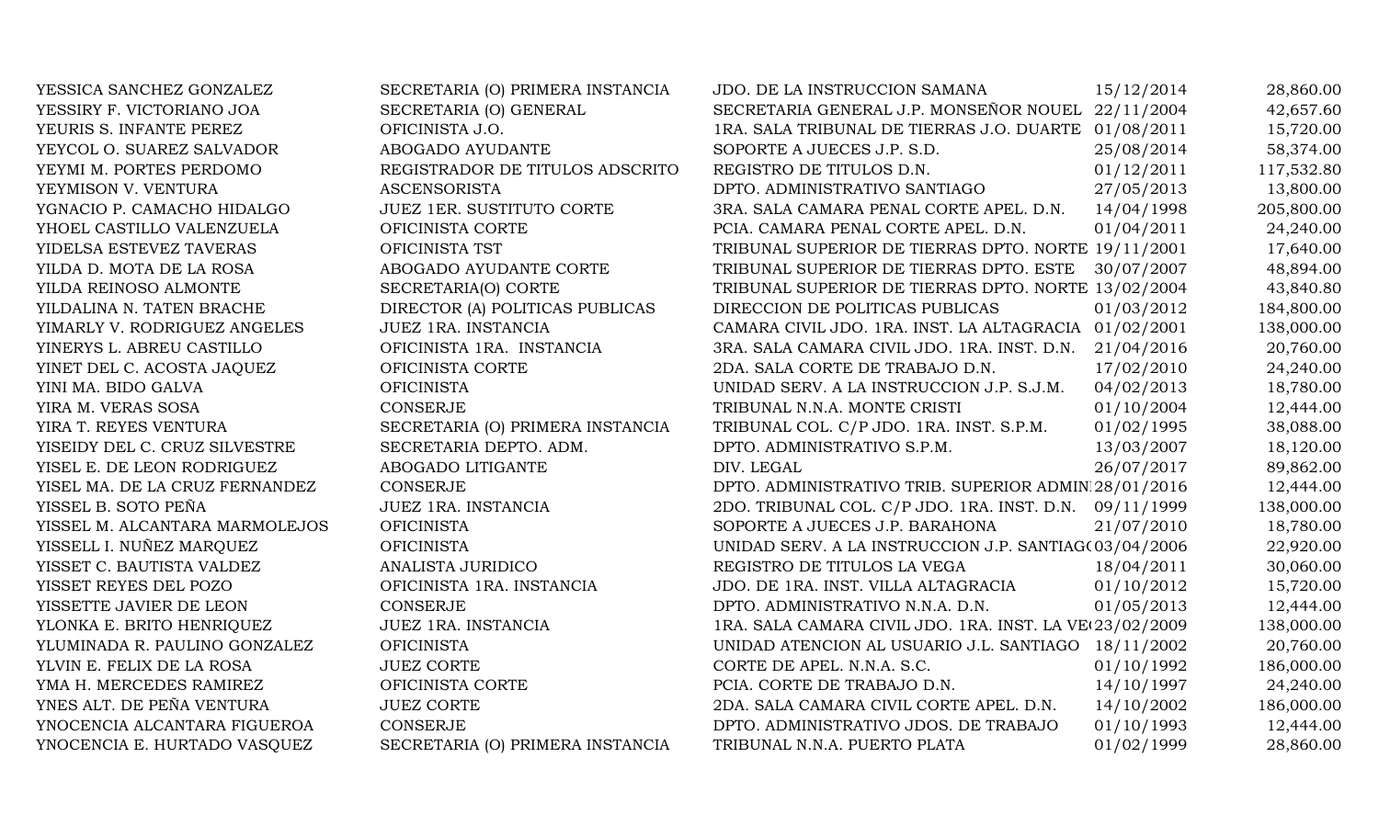| YESSICA SANCHEZ GONZALEZ       | SECRETARIA (O) PRIMERA INSTANCIA | JDO. DE LA INSTRUCCION SAMANA                            | 15/12/2014 | 28,860.00  |
|--------------------------------|----------------------------------|----------------------------------------------------------|------------|------------|
| YESSIRY F. VICTORIANO JOA      | SECRETARIA (O) GENERAL           | SECRETARIA GENERAL J.P. MONSEÑOR NOUEL 22/11/2004        |            | 42,657.60  |
| YEURIS S. INFANTE PEREZ        | OFICINISTA J.O.                  | 1RA. SALA TRIBUNAL DE TIERRAS J.O. DUARTE 01/08/2011     |            | 15,720.00  |
| YEYCOL O. SUAREZ SALVADOR      | ABOGADO AYUDANTE                 | SOPORTE A JUECES J.P. S.D.                               | 25/08/2014 | 58,374.00  |
| YEYMI M. PORTES PERDOMO        | REGISTRADOR DE TITULOS ADSCRITO  | REGISTRO DE TITULOS D.N.                                 | 01/12/2011 | 117,532.80 |
| YEYMISON V. VENTURA            | <b>ASCENSORISTA</b>              | DPTO. ADMINISTRATIVO SANTIAGO                            | 27/05/2013 | 13,800.00  |
| YGNACIO P. CAMACHO HIDALGO     | <b>JUEZ 1ER. SUSTITUTO CORTE</b> | 3RA. SALA CAMARA PENAL CORTE APEL. D.N.                  | 14/04/1998 | 205,800.00 |
| YHOEL CASTILLO VALENZUELA      | OFICINISTA CORTE                 | PCIA. CAMARA PENAL CORTE APEL. D.N.                      | 01/04/2011 | 24,240.00  |
| YIDELSA ESTEVEZ TAVERAS        | OFICINISTA TST                   | TRIBUNAL SUPERIOR DE TIERRAS DPTO. NORTE 19/11/2001      |            | 17,640.00  |
| YILDA D. MOTA DE LA ROSA       | ABOGADO AYUDANTE CORTE           | TRIBUNAL SUPERIOR DE TIERRAS DPTO. ESTE                  | 30/07/2007 | 48,894.00  |
| YILDA REINOSO ALMONTE          | SECRETARIA(O) CORTE              | TRIBUNAL SUPERIOR DE TIERRAS DPTO. NORTE 13/02/2004      |            | 43,840.80  |
| YILDALINA N. TATEN BRACHE      | DIRECTOR (A) POLITICAS PUBLICAS  | DIRECCION DE POLITICAS PUBLICAS                          | 01/03/2012 | 184,800.00 |
| YIMARLY V. RODRIGUEZ ANGELES   | JUEZ 1RA. INSTANCIA              | CAMARA CIVIL JDO. 1RA. INST. LA ALTAGRACIA 01/02/2001    |            | 138,000.00 |
| YINERYS L. ABREU CASTILLO      | OFICINISTA 1RA. INSTANCIA        | 3RA. SALA CAMARA CIVIL JDO. 1RA. INST. D.N. 21/04/2016   |            | 20,760.00  |
| YINET DEL C. ACOSTA JAQUEZ     | OFICINISTA CORTE                 | 2DA. SALA CORTE DE TRABAJO D.N.                          | 17/02/2010 | 24,240.00  |
| YINI MA. BIDO GALVA            | <b>OFICINISTA</b>                | UNIDAD SERV. A LA INSTRUCCION J.P. S.J.M.                | 04/02/2013 | 18,780.00  |
| YIRA M. VERAS SOSA             | <b>CONSERJE</b>                  | TRIBUNAL N.N.A. MONTE CRISTI                             | 01/10/2004 | 12,444.00  |
| YIRA T. REYES VENTURA          | SECRETARIA (O) PRIMERA INSTANCIA | TRIBUNAL COL. C/P JDO. 1RA. INST. S.P.M.                 | 01/02/1995 | 38,088.00  |
| YISEIDY DEL C. CRUZ SILVESTRE  | SECRETARIA DEPTO. ADM.           | DPTO. ADMINISTRATIVO S.P.M.                              | 13/03/2007 | 18,120.00  |
| YISEL E. DE LEON RODRIGUEZ     | ABOGADO LITIGANTE                | DIV. LEGAL                                               | 26/07/2017 | 89,862.00  |
| YISEL MA. DE LA CRUZ FERNANDEZ | <b>CONSERJE</b>                  | DPTO. ADMINISTRATIVO TRIB. SUPERIOR ADMIN 28/01/2016     |            | 12,444.00  |
| YISSEL B. SOTO PEÑA            | JUEZ 1RA. INSTANCIA              | 2DO. TRIBUNAL COL. C/P JDO. 1RA. INST. D.N. 09/11/1999   |            | 138,000.00 |
| YISSEL M. ALCANTARA MARMOLEJOS | <b>OFICINISTA</b>                | SOPORTE A JUECES J.P. BARAHONA                           | 21/07/2010 | 18,780.00  |
| YISSELL I. NUÑEZ MARQUEZ       | <b>OFICINISTA</b>                | UNIDAD SERV. A LA INSTRUCCION J.P. SANTIAG(03/04/2006)   |            | 22,920.00  |
| YISSET C. BAUTISTA VALDEZ      | ANALISTA JURIDICO                | REGISTRO DE TITULOS LA VEGA                              | 18/04/2011 | 30,060.00  |
| YISSET REYES DEL POZO          | OFICINISTA 1RA. INSTANCIA        | JDO. DE 1RA. INST. VILLA ALTAGRACIA                      | 01/10/2012 | 15,720.00  |
| YISSETTE JAVIER DE LEON        | <b>CONSERJE</b>                  | DPTO. ADMINISTRATIVO N.N.A. D.N.                         | 01/05/2013 | 12,444.00  |
| YLONKA E. BRITO HENRIQUEZ      | JUEZ 1RA. INSTANCIA              | 1RA. SALA CAMARA CIVIL JDO. 1RA. INST. LA VE(23/02/2009) |            | 138,000.00 |
| YLUMINADA R. PAULINO GONZALEZ  | <b>OFICINISTA</b>                | UNIDAD ATENCION AL USUARIO J.L. SANTIAGO 18/11/2002      |            | 20,760.00  |
| YLVIN E. FELIX DE LA ROSA      | <b>JUEZ CORTE</b>                | CORTE DE APEL. N.N.A. S.C.                               | 01/10/1992 | 186,000.00 |
| YMA H. MERCEDES RAMIREZ        | OFICINISTA CORTE                 | PCIA. CORTE DE TRABAJO D.N.                              | 14/10/1997 | 24,240.00  |
| YNES ALT. DE PEÑA VENTURA      | <b>JUEZ CORTE</b>                | 2DA. SALA CAMARA CIVIL CORTE APEL. D.N.                  | 14/10/2002 | 186,000.00 |
| YNOCENCIA ALCANTARA FIGUEROA   | <b>CONSERJE</b>                  | DPTO. ADMINISTRATIVO JDOS. DE TRABAJO                    | 01/10/1993 | 12,444.00  |
| YNOCENCIA E. HURTADO VASQUEZ   | SECRETARIA (O) PRIMERA INSTANCIA | TRIBUNAL N.N.A. PUERTO PLATA                             | 01/02/1999 | 28,860.00  |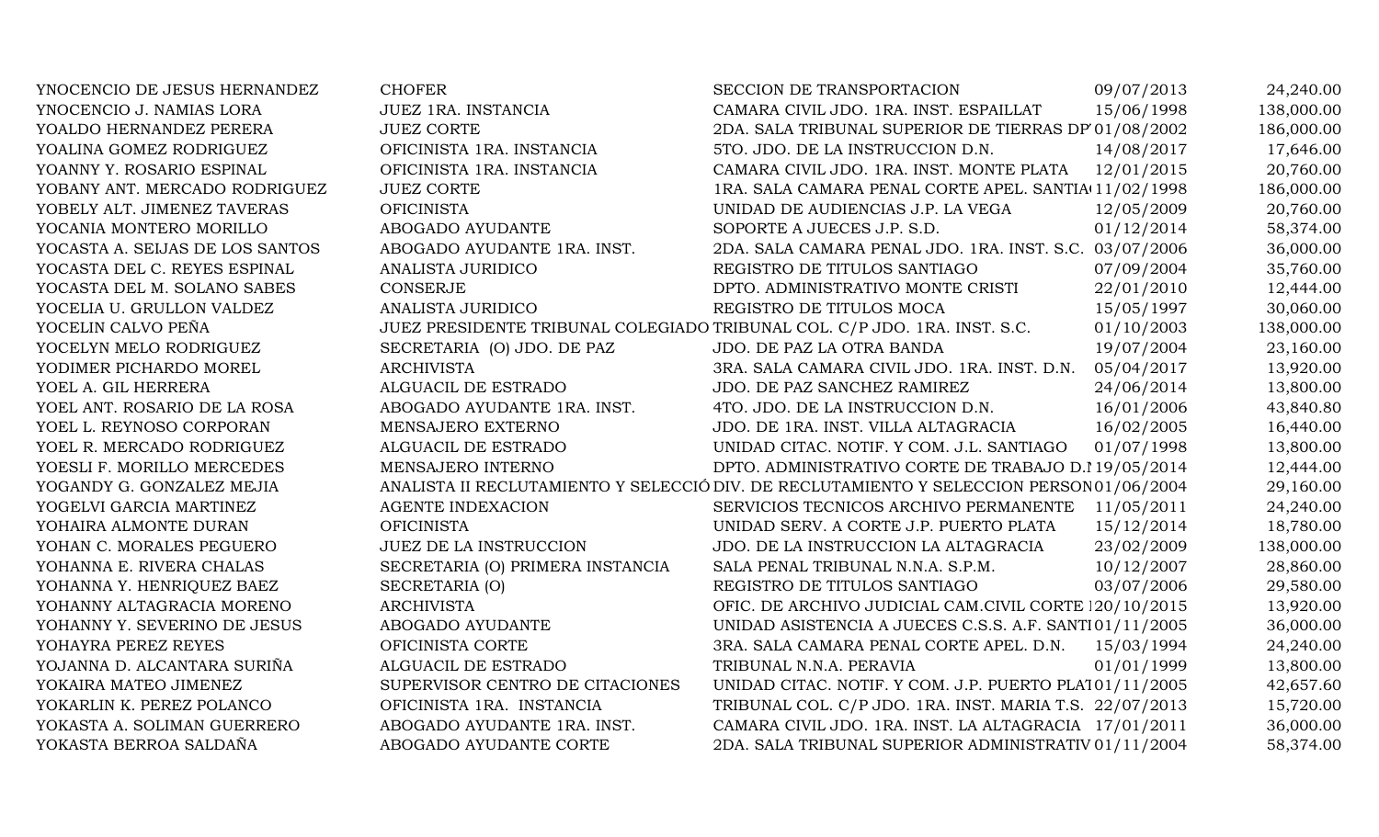| YNOCENCIO DE JESUS HERNANDEZ    | <b>CHOFER</b>                    | SECCION DE TRANSPORTACION                                                                | 09/07/2013 | 24,240.00  |
|---------------------------------|----------------------------------|------------------------------------------------------------------------------------------|------------|------------|
| YNOCENCIO J. NAMIAS LORA        | JUEZ 1RA. INSTANCIA              | CAMARA CIVIL JDO. 1RA. INST. ESPAILLAT                                                   | 15/06/1998 | 138,000.00 |
| YOALDO HERNANDEZ PERERA         | <b>JUEZ CORTE</b>                | 2DA. SALA TRIBUNAL SUPERIOR DE TIERRAS DP 01/08/2002                                     |            | 186,000.00 |
| YOALINA GOMEZ RODRIGUEZ         | OFICINISTA 1RA. INSTANCIA        | 5TO. JDO. DE LA INSTRUCCION D.N.                                                         | 14/08/2017 | 17,646.00  |
| YOANNY Y. ROSARIO ESPINAL       | OFICINISTA 1RA. INSTANCIA        | CAMARA CIVIL JDO. 1RA. INST. MONTE PLATA                                                 | 12/01/2015 | 20,760.00  |
| YOBANY ANT. MERCADO RODRIGUEZ   | <b>JUEZ CORTE</b>                | 1RA. SALA CAMARA PENAL CORTE APEL. SANTIA 11/02/1998                                     |            | 186,000.00 |
| YOBELY ALT. JIMENEZ TAVERAS     | <b>OFICINISTA</b>                | UNIDAD DE AUDIENCIAS J.P. LA VEGA                                                        | 12/05/2009 | 20,760.00  |
| YOCANIA MONTERO MORILLO         | ABOGADO AYUDANTE                 | SOPORTE A JUECES J.P. S.D.                                                               | 01/12/2014 | 58,374.00  |
| YOCASTA A. SEIJAS DE LOS SANTOS | ABOGADO AYUDANTE 1RA. INST.      | 2DA. SALA CAMARA PENAL JDO. 1RA. INST. S.C. 03/07/2006                                   |            | 36,000.00  |
| YOCASTA DEL C. REYES ESPINAL    | ANALISTA JURIDICO                | REGISTRO DE TITULOS SANTIAGO                                                             | 07/09/2004 | 35,760.00  |
| YOCASTA DEL M. SOLANO SABES     | CONSERJE                         | DPTO. ADMINISTRATIVO MONTE CRISTI                                                        | 22/01/2010 | 12,444.00  |
| YOCELIA U. GRULLON VALDEZ       | ANALISTA JURIDICO                | REGISTRO DE TITULOS MOCA                                                                 | 15/05/1997 | 30,060.00  |
| YOCELIN CALVO PEÑA              |                                  | JUEZ PRESIDENTE TRIBUNAL COLEGIADO TRIBUNAL COL. C/P JDO. 1RA. INST. S.C.                | 01/10/2003 | 138,000.00 |
| YOCELYN MELO RODRIGUEZ          | SECRETARIA (O) JDO. DE PAZ       | JDO. DE PAZ LA OTRA BANDA                                                                | 19/07/2004 | 23,160.00  |
| YODIMER PICHARDO MOREL          | <b>ARCHIVISTA</b>                | 3RA. SALA CAMARA CIVIL JDO. 1RA. INST. D.N.                                              | 05/04/2017 | 13,920.00  |
| YOEL A. GIL HERRERA             | ALGUACIL DE ESTRADO              | JDO. DE PAZ SANCHEZ RAMIREZ                                                              | 24/06/2014 | 13,800.00  |
| YOEL ANT. ROSARIO DE LA ROSA    | ABOGADO AYUDANTE 1RA. INST.      | 4TO. JDO. DE LA INSTRUCCION D.N.                                                         | 16/01/2006 | 43,840.80  |
| YOEL L. REYNOSO CORPORAN        | MENSAJERO EXTERNO                | JDO. DE 1RA. INST. VILLA ALTAGRACIA                                                      | 16/02/2005 | 16,440.00  |
| YOEL R. MERCADO RODRIGUEZ       | ALGUACIL DE ESTRADO              | UNIDAD CITAC. NOTIF. Y COM. J.L. SANTIAGO                                                | 01/07/1998 | 13,800.00  |
| YOESLI F. MORILLO MERCEDES      | MENSAJERO INTERNO                | DPTO. ADMINISTRATIVO CORTE DE TRABAJO D.I 19/05/2014                                     |            | 12,444.00  |
| YOGANDY G. GONZALEZ MEJIA       |                                  | ANALISTA II RECLUTAMIENTO Y SELECCIÓ DIV. DE RECLUTAMIENTO Y SELECCION PERSON 01/06/2004 |            | 29,160.00  |
| YOGELVI GARCIA MARTINEZ         | <b>AGENTE INDEXACION</b>         | SERVICIOS TECNICOS ARCHIVO PERMANENTE                                                    | 11/05/2011 | 24,240.00  |
| YOHAIRA ALMONTE DURAN           | <b>OFICINISTA</b>                | UNIDAD SERV. A CORTE J.P. PUERTO PLATA                                                   | 15/12/2014 | 18,780.00  |
| YOHAN C. MORALES PEGUERO        | <b>JUEZ DE LA INSTRUCCION</b>    | JDO. DE LA INSTRUCCION LA ALTAGRACIA                                                     | 23/02/2009 | 138,000.00 |
| YOHANNA E. RIVERA CHALAS        | SECRETARIA (O) PRIMERA INSTANCIA | SALA PENAL TRIBUNAL N.N.A. S.P.M.                                                        | 10/12/2007 | 28,860.00  |
| YOHANNA Y. HENRIQUEZ BAEZ       | SECRETARIA (O)                   | REGISTRO DE TITULOS SANTIAGO                                                             | 03/07/2006 | 29,580.00  |
| YOHANNY ALTAGRACIA MORENO       | <b>ARCHIVISTA</b>                | OFIC. DE ARCHIVO JUDICIAL CAM.CIVIL CORTE 120/10/2015                                    |            | 13,920.00  |
| YOHANNY Y. SEVERINO DE JESUS    | ABOGADO AYUDANTE                 | UNIDAD ASISTENCIA A JUECES C.S.S. A.F. SANTI01/11/2005                                   |            | 36,000.00  |
| YOHAYRA PEREZ REYES             | OFICINISTA CORTE                 | 3RA. SALA CAMARA PENAL CORTE APEL. D.N.                                                  | 15/03/1994 | 24,240.00  |
| YOJANNA D. ALCANTARA SURIÑA     | ALGUACIL DE ESTRADO              | TRIBUNAL N.N.A. PERAVIA                                                                  | 01/01/1999 | 13,800.00  |
| YOKAIRA MATEO JIMENEZ           | SUPERVISOR CENTRO DE CITACIONES  | UNIDAD CITAC. NOTIF. Y COM. J.P. PUERTO PLA101/11/2005                                   |            | 42,657.60  |
| YOKARLIN K. PEREZ POLANCO       | OFICINISTA 1RA. INSTANCIA        | TRIBUNAL COL. C/P JDO. 1RA. INST. MARIA T.S. 22/07/2013                                  |            | 15,720.00  |
| YOKASTA A. SOLIMAN GUERRERO     | ABOGADO AYUDANTE 1RA. INST.      | CAMARA CIVIL JDO. 1RA. INST. LA ALTAGRACIA 17/01/2011                                    |            | 36,000.00  |
| YOKASTA BERROA SALDAÑA          | ABOGADO AYUDANTE CORTE           | 2DA. SALA TRIBUNAL SUPERIOR ADMINISTRATIV 01/11/2004                                     |            | 58,374.00  |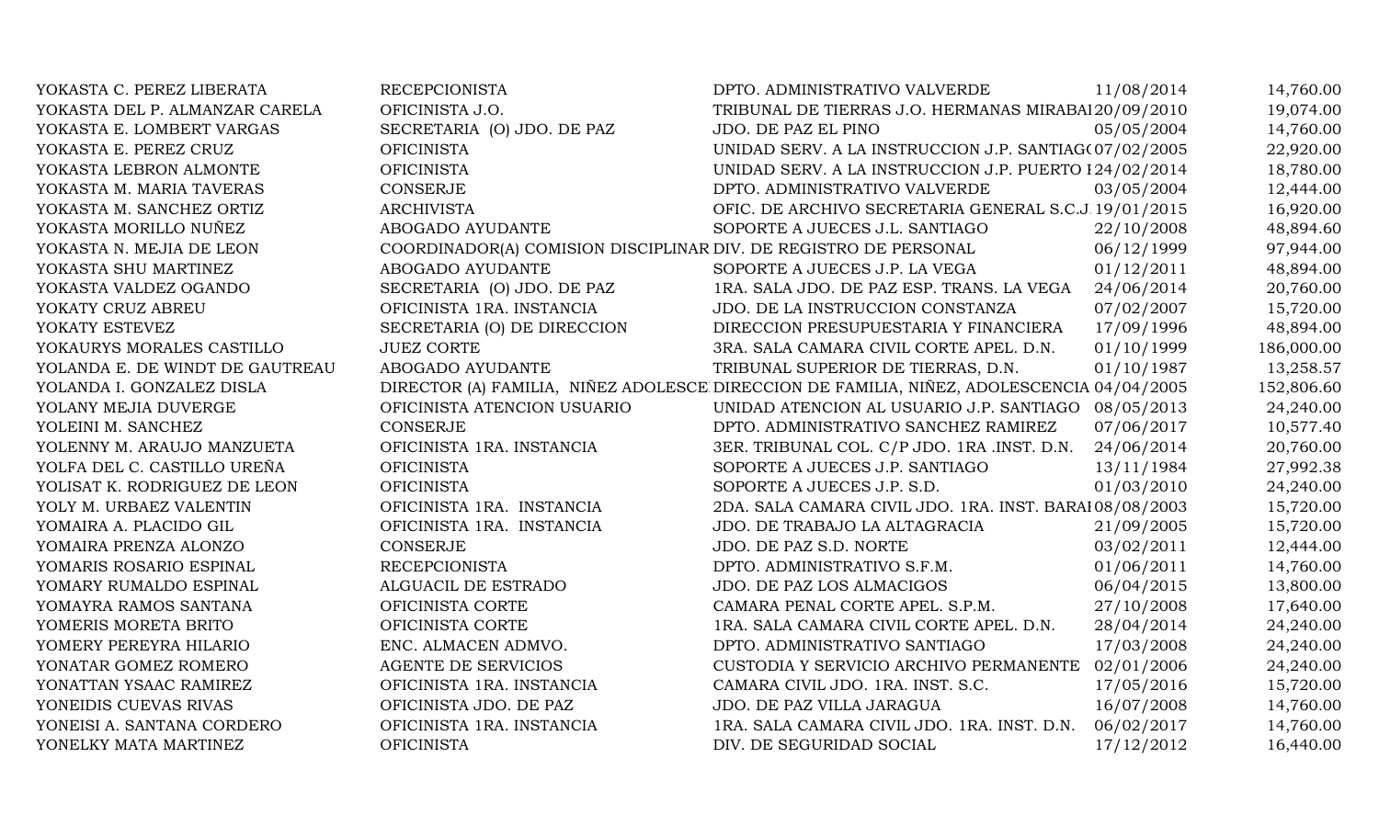| YOKASTA C. PEREZ LIBERATA       | <b>RECEPCIONISTA</b>                                             | DPTO. ADMINISTRATIVO VALVERDE                                                             | 11/08/2014 | 14,760.00  |
|---------------------------------|------------------------------------------------------------------|-------------------------------------------------------------------------------------------|------------|------------|
| YOKASTA DEL P. ALMANZAR CARELA  | OFICINISTA J.O.                                                  | TRIBUNAL DE TIERRAS J.O. HERMANAS MIRABAI 20/09/2010                                      |            | 19,074.00  |
| YOKASTA E. LOMBERT VARGAS       | SECRETARIA (O) JDO. DE PAZ                                       | JDO. DE PAZ EL PINO                                                                       | 05/05/2004 | 14,760.00  |
| YOKASTA E. PEREZ CRUZ           | <b>OFICINISTA</b>                                                | UNIDAD SERV. A LA INSTRUCCION J.P. SANTIAG(07/02/2005                                     |            | 22,920.00  |
| YOKASTA LEBRON ALMONTE          | <b>OFICINISTA</b>                                                | UNIDAD SERV. A LA INSTRUCCION J.P. PUERTO 124/02/2014                                     |            | 18,780.00  |
| YOKASTA M. MARIA TAVERAS        | <b>CONSERJE</b>                                                  | DPTO. ADMINISTRATIVO VALVERDE                                                             | 03/05/2004 | 12,444.00  |
| YOKASTA M. SANCHEZ ORTIZ        | <b>ARCHIVISTA</b>                                                | OFIC. DE ARCHIVO SECRETARIA GENERAL S.C.J 19/01/2015                                      |            | 16,920.00  |
| YOKASTA MORILLO NUÑEZ           | ABOGADO AYUDANTE                                                 | SOPORTE A JUECES J.L. SANTIAGO                                                            | 22/10/2008 | 48,894.60  |
| YOKASTA N. MEJIA DE LEON        | COORDINADOR(A) COMISION DISCIPLINAR DIV. DE REGISTRO DE PERSONAL |                                                                                           | 06/12/1999 | 97,944.00  |
| YOKASTA SHU MARTINEZ            | ABOGADO AYUDANTE                                                 | SOPORTE A JUECES J.P. LA VEGA                                                             | 01/12/2011 | 48,894.00  |
| YOKASTA VALDEZ OGANDO           | SECRETARIA (O) JDO. DE PAZ                                       | 1RA. SALA JDO. DE PAZ ESP. TRANS. LA VEGA                                                 | 24/06/2014 | 20,760.00  |
| YOKATY CRUZ ABREU               | OFICINISTA 1RA. INSTANCIA                                        | JDO. DE LA INSTRUCCION CONSTANZA                                                          | 07/02/2007 | 15,720.00  |
| YOKATY ESTEVEZ                  | SECRETARIA (O) DE DIRECCION                                      | DIRECCION PRESUPUESTARIA Y FINANCIERA                                                     | 17/09/1996 | 48,894.00  |
| YOKAURYS MORALES CASTILLO       | <b>JUEZ CORTE</b>                                                | 3RA. SALA CAMARA CIVIL CORTE APEL. D.N.                                                   | 01/10/1999 | 186,000.00 |
| YOLANDA E. DE WINDT DE GAUTREAU | ABOGADO AYUDANTE                                                 | TRIBUNAL SUPERIOR DE TIERRAS, D.N.                                                        | 01/10/1987 | 13,258.57  |
| YOLANDA I. GONZALEZ DISLA       |                                                                  | DIRECTOR (A) FAMILIA, NIÑEZ ADOLESCE DIRECCION DE FAMILIA, NIÑEZ, ADOLESCENCIA 04/04/2005 |            | 152,806.60 |
| YOLANY MEJIA DUVERGE            | OFICINISTA ATENCION USUARIO                                      | UNIDAD ATENCION AL USUARIO J.P. SANTIAGO                                                  | 08/05/2013 | 24,240.00  |
| YOLEINI M. SANCHEZ              | <b>CONSERJE</b>                                                  | DPTO. ADMINISTRATIVO SANCHEZ RAMIREZ                                                      | 07/06/2017 | 10,577.40  |
| YOLENNY M. ARAUJO MANZUETA      | OFICINISTA 1RA. INSTANCIA                                        | 3ER. TRIBUNAL COL. C/P JDO. 1RA .INST. D.N.                                               | 24/06/2014 | 20,760.00  |
| YOLFA DEL C. CASTILLO UREÑA     | <b>OFICINISTA</b>                                                | SOPORTE A JUECES J.P. SANTIAGO                                                            | 13/11/1984 | 27,992.38  |
| YOLISAT K. RODRIGUEZ DE LEON    | <b>OFICINISTA</b>                                                | SOPORTE A JUECES J.P. S.D.                                                                | 01/03/2010 | 24,240.00  |
| YOLY M. URBAEZ VALENTIN         | OFICINISTA 1RA. INSTANCIA                                        | 2DA. SALA CAMARA CIVIL JDO. 1RA. INST. BARAI 08/08/2003                                   |            | 15,720.00  |
| YOMAIRA A. PLACIDO GIL          | OFICINISTA 1RA. INSTANCIA                                        | JDO. DE TRABAJO LA ALTAGRACIA                                                             | 21/09/2005 | 15,720.00  |
| YOMAIRA PRENZA ALONZO           | <b>CONSERJE</b>                                                  | JDO. DE PAZ S.D. NORTE                                                                    | 03/02/2011 | 12,444.00  |
| YOMARIS ROSARIO ESPINAL         | <b>RECEPCIONISTA</b>                                             | DPTO. ADMINISTRATIVO S.F.M.                                                               | 01/06/2011 | 14,760.00  |
| YOMARY RUMALDO ESPINAL          | ALGUACIL DE ESTRADO                                              | JDO. DE PAZ LOS ALMACIGOS                                                                 | 06/04/2015 | 13,800.00  |
| YOMAYRA RAMOS SANTANA           | OFICINISTA CORTE                                                 | CAMARA PENAL CORTE APEL. S.P.M.                                                           | 27/10/2008 | 17,640.00  |
| YOMERIS MORETA BRITO            | OFICINISTA CORTE                                                 | 1RA. SALA CAMARA CIVIL CORTE APEL. D.N.                                                   | 28/04/2014 | 24,240.00  |
| YOMERY PEREYRA HILARIO          | ENC. ALMACEN ADMVO.                                              | DPTO. ADMINISTRATIVO SANTIAGO                                                             | 17/03/2008 | 24,240.00  |
| YONATAR GOMEZ ROMERO            | AGENTE DE SERVICIOS                                              | CUSTODIA Y SERVICIO ARCHIVO PERMANENTE                                                    | 02/01/2006 | 24,240.00  |
| YONATTAN YSAAC RAMIREZ          | OFICINISTA 1RA. INSTANCIA                                        | CAMARA CIVIL JDO. 1RA. INST. S.C.                                                         | 17/05/2016 | 15,720.00  |
| YONEIDIS CUEVAS RIVAS           | OFICINISTA JDO. DE PAZ                                           | JDO. DE PAZ VILLA JARAGUA                                                                 | 16/07/2008 | 14,760.00  |
| YONEISI A. SANTANA CORDERO      | OFICINISTA 1RA. INSTANCIA                                        | 1RA. SALA CAMARA CIVIL JDO. 1RA. INST. D.N.                                               | 06/02/2017 | 14,760.00  |
| YONELKY MATA MARTINEZ           | <b>OFICINISTA</b>                                                | DIV. DE SEGURIDAD SOCIAL                                                                  | 17/12/2012 | 16,440.00  |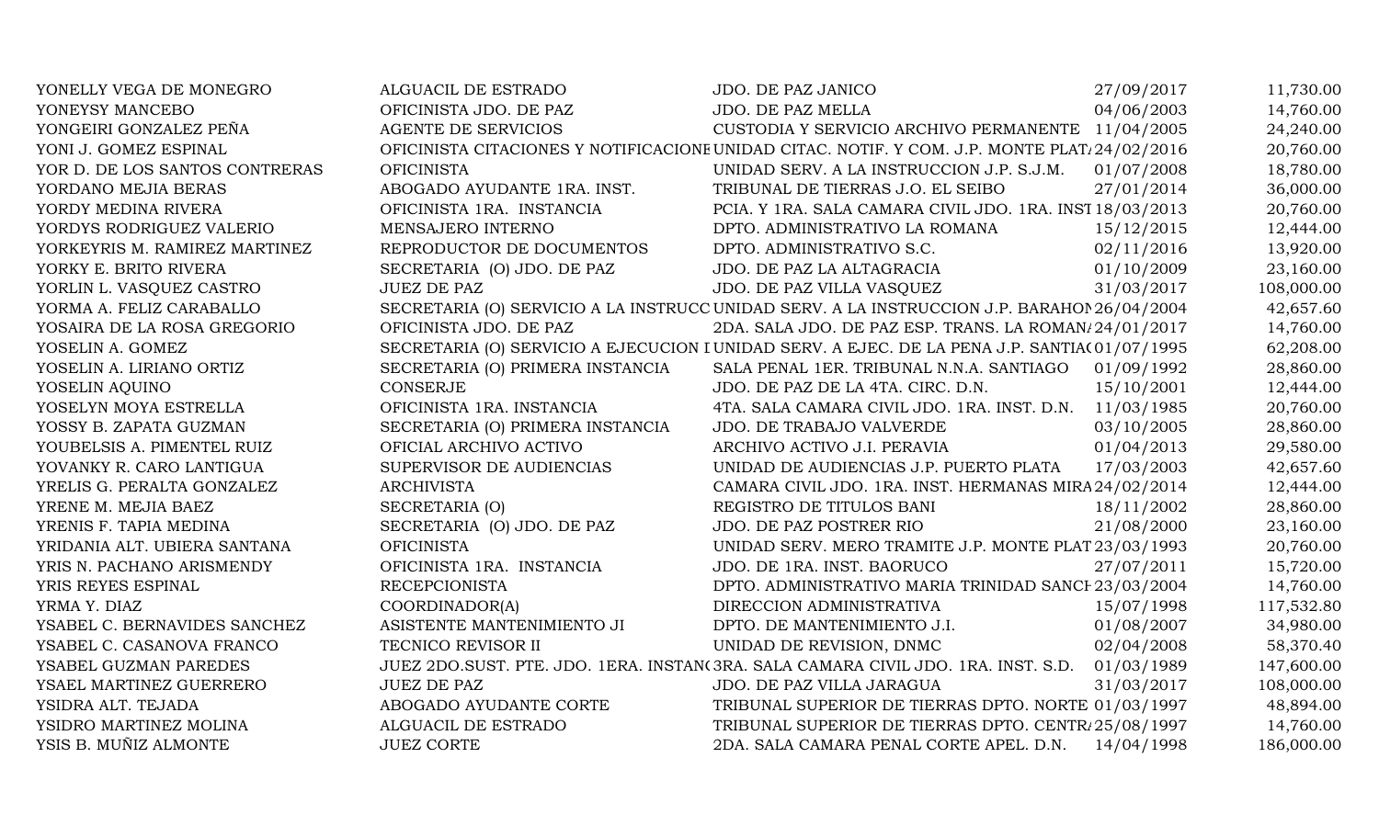| YONELLY VEGA DE MONEGRO        | ALGUACIL DE ESTRADO              | JDO. DE PAZ JANICO                                                                                        | 27/09/2017 | 11,730.00  |
|--------------------------------|----------------------------------|-----------------------------------------------------------------------------------------------------------|------------|------------|
| YONEYSY MANCEBO                | OFICINISTA JDO. DE PAZ           | JDO. DE PAZ MELLA                                                                                         | 04/06/2003 | 14,760.00  |
| YONGEIRI GONZALEZ PEÑA         | <b>AGENTE DE SERVICIOS</b>       | CUSTODIA Y SERVICIO ARCHIVO PERMANENTE 11/04/2005                                                         |            | 24,240.00  |
| YONI J. GOMEZ ESPINAL          |                                  | OFICINISTA CITACIONES Y NOTIFICACIONE UNIDAD CITAC. NOTIF. Y COM. J.P. MONTE PLAT <sub>1</sub> 24/02/2016 |            | 20,760.00  |
| YOR D. DE LOS SANTOS CONTRERAS | <b>OFICINISTA</b>                | UNIDAD SERV. A LA INSTRUCCION J.P. S.J.M.                                                                 | 01/07/2008 | 18,780.00  |
| YORDANO MEJIA BERAS            | ABOGADO AYUDANTE 1RA. INST.      | TRIBUNAL DE TIERRAS J.O. EL SEIBO                                                                         | 27/01/2014 | 36,000.00  |
| YORDY MEDINA RIVERA            | OFICINISTA 1RA. INSTANCIA        | PCIA. Y 1RA. SALA CAMARA CIVIL JDO. 1RA. INST 18/03/2013                                                  |            | 20,760.00  |
| YORDYS RODRIGUEZ VALERIO       | MENSAJERO INTERNO                | DPTO. ADMINISTRATIVO LA ROMANA                                                                            | 15/12/2015 | 12,444.00  |
| YORKEYRIS M. RAMIREZ MARTINEZ  | REPRODUCTOR DE DOCUMENTOS        | DPTO. ADMINISTRATIVO S.C.                                                                                 | 02/11/2016 | 13,920.00  |
| YORKY E. BRITO RIVERA          | SECRETARIA (O) JDO. DE PAZ       | JDO. DE PAZ LA ALTAGRACIA                                                                                 | 01/10/2009 | 23,160.00  |
| YORLIN L. VASQUEZ CASTRO       | <b>JUEZ DE PAZ</b>               | JDO. DE PAZ VILLA VASQUEZ                                                                                 | 31/03/2017 | 108,000.00 |
| YORMA A. FELIZ CARABALLO       |                                  | SECRETARIA (O) SERVICIO A LA INSTRUCC UNIDAD SERV. A LA INSTRUCCION J.P. BARAHOI 26/04/2004               |            | 42,657.60  |
| YOSAIRA DE LA ROSA GREGORIO    | OFICINISTA JDO. DE PAZ           | 2DA. SALA JDO. DE PAZ ESP. TRANS. LA ROMAN/24/01/2017                                                     |            | 14,760.00  |
| YOSELIN A. GOMEZ               |                                  | SECRETARIA (O) SERVICIO A EJECUCION I UNIDAD SERV. A EJEC. DE LA PENA J.P. SANTIA(01/07/1995              |            | 62,208.00  |
| YOSELIN A. LIRIANO ORTIZ       | SECRETARIA (O) PRIMERA INSTANCIA | SALA PENAL 1ER. TRIBUNAL N.N.A. SANTIAGO 01/09/1992                                                       |            | 28,860.00  |
| YOSELIN AQUINO                 | CONSERJE                         | JDO. DE PAZ DE LA 4TA. CIRC. D.N.                                                                         | 15/10/2001 | 12,444.00  |
| YOSELYN MOYA ESTRELLA          | OFICINISTA 1RA. INSTANCIA        | 4TA. SALA CAMARA CIVIL JDO. 1RA. INST. D.N. 11/03/1985                                                    |            | 20,760.00  |
| YOSSY B. ZAPATA GUZMAN         | SECRETARIA (O) PRIMERA INSTANCIA | <b>JDO. DE TRABAJO VALVERDE</b>                                                                           | 03/10/2005 | 28,860.00  |
| YOUBELSIS A. PIMENTEL RUIZ     | OFICIAL ARCHIVO ACTIVO           | ARCHIVO ACTIVO J.I. PERAVIA                                                                               | 01/04/2013 | 29,580.00  |
| YOVANKY R. CARO LANTIGUA       | SUPERVISOR DE AUDIENCIAS         | UNIDAD DE AUDIENCIAS J.P. PUERTO PLATA                                                                    | 17/03/2003 | 42,657.60  |
| YRELIS G. PERALTA GONZALEZ     | <b>ARCHIVISTA</b>                | CAMARA CIVIL JDO. 1RA. INST. HERMANAS MIRA 24/02/2014                                                     |            | 12,444.00  |
| YRENE M. MEJIA BAEZ            | SECRETARIA (O)                   | REGISTRO DE TITULOS BANI                                                                                  | 18/11/2002 | 28,860.00  |
| YRENIS F. TAPIA MEDINA         | SECRETARIA (O) JDO. DE PAZ       | JDO. DE PAZ POSTRER RIO                                                                                   | 21/08/2000 | 23,160.00  |
| YRIDANIA ALT. UBIERA SANTANA   | <b>OFICINISTA</b>                | UNIDAD SERV. MERO TRAMITE J.P. MONTE PLAT 23/03/1993                                                      |            | 20,760.00  |
| YRIS N. PACHANO ARISMENDY      | OFICINISTA 1RA. INSTANCIA        | JDO. DE 1RA. INST. BAORUCO                                                                                | 27/07/2011 | 15,720.00  |
| YRIS REYES ESPINAL             | <b>RECEPCIONISTA</b>             | DPTO. ADMINISTRATIVO MARIA TRINIDAD SANCI 23/03/2004                                                      |            | 14,760.00  |
| YRMA Y. DIAZ                   | COORDINADOR(A)                   | DIRECCION ADMINISTRATIVA                                                                                  | 15/07/1998 | 117,532.80 |
| YSABEL C. BERNAVIDES SANCHEZ   | ASISTENTE MANTENIMIENTO JI       | DPTO. DE MANTENIMIENTO J.I.                                                                               | 01/08/2007 | 34,980.00  |
| YSABEL C. CASANOVA FRANCO      | TECNICO REVISOR II               | UNIDAD DE REVISION, DNMC                                                                                  | 02/04/2008 | 58,370.40  |
| YSABEL GUZMAN PAREDES          |                                  | JUEZ 2DO.SUST. PTE. JDO. 1ERA. INSTAN(3RA. SALA CAMARA CIVIL JDO. 1RA. INST. S.D.                         | 01/03/1989 | 147,600.00 |
| YSAEL MARTINEZ GUERRERO        | <b>JUEZ DE PAZ</b>               | JDO. DE PAZ VILLA JARAGUA                                                                                 | 31/03/2017 | 108,000.00 |
| YSIDRA ALT. TEJADA             | ABOGADO AYUDANTE CORTE           | TRIBUNAL SUPERIOR DE TIERRAS DPTO. NORTE 01/03/1997                                                       |            | 48,894.00  |
| YSIDRO MARTINEZ MOLINA         | ALGUACIL DE ESTRADO              | TRIBUNAL SUPERIOR DE TIERRAS DPTO. CENTR. 25/08/1997                                                      |            | 14,760.00  |
| YSIS B. MUÑIZ ALMONTE          | <b>JUEZ CORTE</b>                | 2DA. SALA CAMARA PENAL CORTE APEL. D.N.                                                                   | 14/04/1998 | 186,000.00 |
|                                |                                  |                                                                                                           |            |            |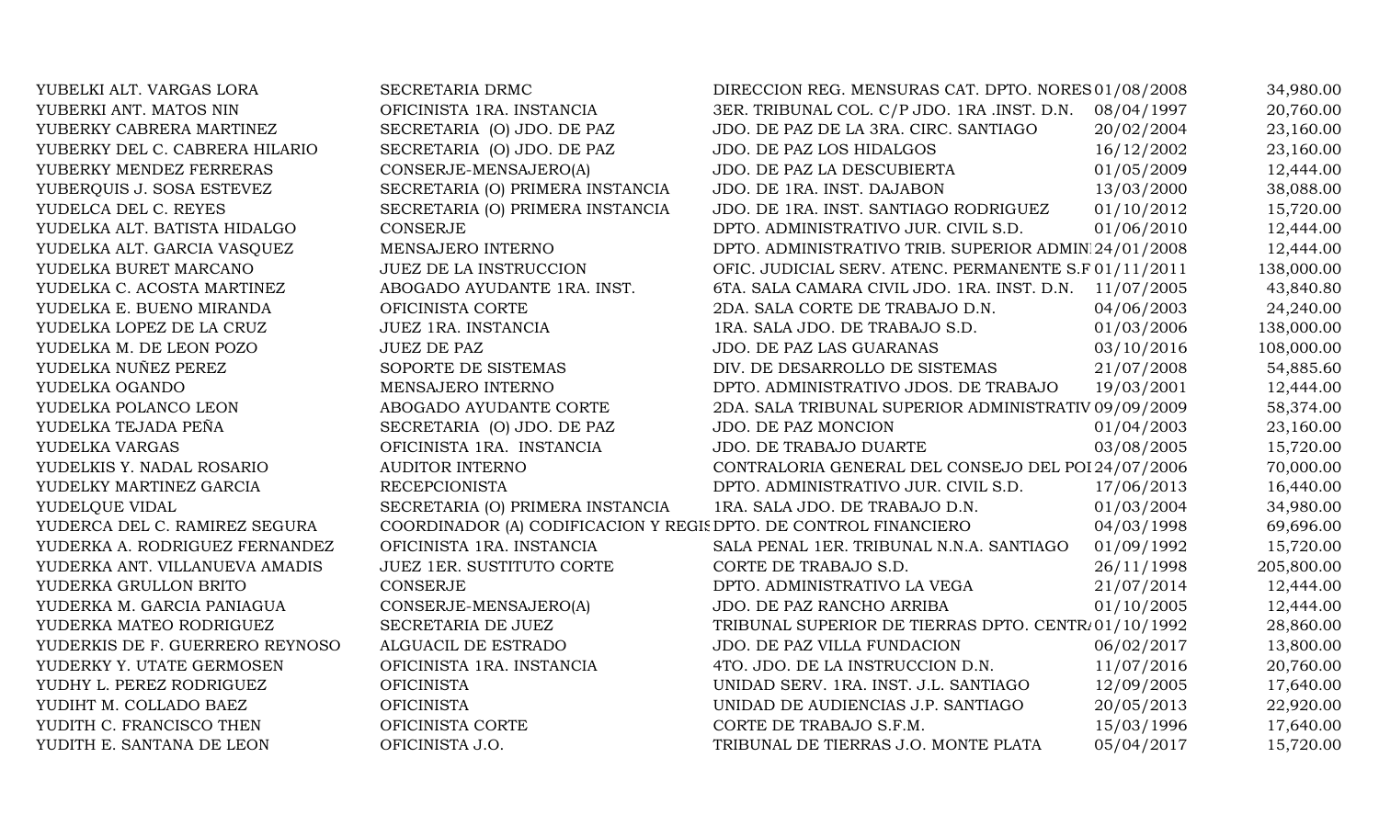| YUBELKI ALT. VARGAS LORA        | SECRETARIA DRMC                                                  | DIRECCION REG. MENSURAS CAT. DPTO. NORES 01/08/2008   |            | 34,980.00  |
|---------------------------------|------------------------------------------------------------------|-------------------------------------------------------|------------|------------|
| YUBERKI ANT. MATOS NIN          | OFICINISTA 1RA. INSTANCIA                                        | 3ER. TRIBUNAL COL. C/P JDO. 1RA .INST. D.N.           | 08/04/1997 | 20,760.00  |
| YUBERKY CABRERA MARTINEZ        | SECRETARIA (O) JDO. DE PAZ                                       | JDO. DE PAZ DE LA 3RA. CIRC. SANTIAGO                 | 20/02/2004 | 23,160.00  |
| YUBERKY DEL C. CABRERA HILARIO  | SECRETARIA (O) JDO. DE PAZ                                       | JDO. DE PAZ LOS HIDALGOS                              | 16/12/2002 | 23,160.00  |
| YUBERKY MENDEZ FERRERAS         | CONSERJE-MENSAJERO(A)                                            | JDO. DE PAZ LA DESCUBIERTA                            | 01/05/2009 | 12,444.00  |
| YUBERQUIS J. SOSA ESTEVEZ       | SECRETARIA (O) PRIMERA INSTANCIA                                 | JDO. DE 1RA. INST. DAJABON                            | 13/03/2000 | 38,088.00  |
| YUDELCA DEL C. REYES            | SECRETARIA (O) PRIMERA INSTANCIA                                 | JDO. DE 1RA. INST. SANTIAGO RODRIGUEZ                 | 01/10/2012 | 15,720.00  |
| YUDELKA ALT. BATISTA HIDALGO    | <b>CONSERJE</b>                                                  | DPTO. ADMINISTRATIVO JUR. CIVIL S.D.                  | 01/06/2010 | 12,444.00  |
| YUDELKA ALT. GARCIA VASQUEZ     | MENSAJERO INTERNO                                                | DPTO. ADMINISTRATIVO TRIB. SUPERIOR ADMIN 24/01/2008  |            | 12,444.00  |
| YUDELKA BURET MARCANO           | <b>JUEZ DE LA INSTRUCCION</b>                                    | OFIC. JUDICIAL SERV. ATENC. PERMANENTE S.F 01/11/2011 |            | 138,000.00 |
| YUDELKA C. ACOSTA MARTINEZ      | ABOGADO AYUDANTE 1RA. INST.                                      | 6TA. SALA CAMARA CIVIL JDO. 1RA. INST. D.N.           | 11/07/2005 | 43,840.80  |
| YUDELKA E. BUENO MIRANDA        | OFICINISTA CORTE                                                 | 2DA. SALA CORTE DE TRABAJO D.N.                       | 04/06/2003 | 24,240.00  |
| YUDELKA LOPEZ DE LA CRUZ        | JUEZ 1RA. INSTANCIA                                              | 1RA. SALA JDO. DE TRABAJO S.D.                        | 01/03/2006 | 138,000.00 |
| YUDELKA M. DE LEON POZO         | <b>JUEZ DE PAZ</b>                                               | JDO. DE PAZ LAS GUARANAS                              | 03/10/2016 | 108,000.00 |
| YUDELKA NUÑEZ PEREZ             | SOPORTE DE SISTEMAS                                              | DIV. DE DESARROLLO DE SISTEMAS                        | 21/07/2008 | 54,885.60  |
| YUDELKA OGANDO                  | MENSAJERO INTERNO                                                | DPTO. ADMINISTRATIVO JDOS. DE TRABAJO                 | 19/03/2001 | 12,444.00  |
| YUDELKA POLANCO LEON            | ABOGADO AYUDANTE CORTE                                           | 2DA. SALA TRIBUNAL SUPERIOR ADMINISTRATIV 09/09/2009  |            | 58,374.00  |
| YUDELKA TEJADA PEÑA             | SECRETARIA (O) JDO. DE PAZ                                       | JDO. DE PAZ MONCION                                   | 01/04/2003 | 23,160.00  |
| YUDELKA VARGAS                  | OFICINISTA 1RA. INSTANCIA                                        | JDO. DE TRABAJO DUARTE                                | 03/08/2005 | 15,720.00  |
| YUDELKIS Y. NADAL ROSARIO       | <b>AUDITOR INTERNO</b>                                           | CONTRALORIA GENERAL DEL CONSEJO DEL POI 24/07/2006    |            | 70,000.00  |
| YUDELKY MARTINEZ GARCIA         | <b>RECEPCIONISTA</b>                                             | DPTO. ADMINISTRATIVO JUR. CIVIL S.D.                  | 17/06/2013 | 16,440.00  |
| YUDELQUE VIDAL                  | SECRETARIA (O) PRIMERA INSTANCIA                                 | 1RA. SALA JDO. DE TRABAJO D.N.                        | 01/03/2004 | 34,980.00  |
| YUDERCA DEL C. RAMIREZ SEGURA   | COORDINADOR (A) CODIFICACION Y REGIS DPTO. DE CONTROL FINANCIERO |                                                       | 04/03/1998 | 69,696.00  |
| YUDERKA A. RODRIGUEZ FERNANDEZ  | OFICINISTA 1RA. INSTANCIA                                        | SALA PENAL 1ER. TRIBUNAL N.N.A. SANTIAGO              | 01/09/1992 | 15,720.00  |
| YUDERKA ANT. VILLANUEVA AMADIS  | JUEZ 1ER. SUSTITUTO CORTE                                        | CORTE DE TRABAJO S.D.                                 | 26/11/1998 | 205,800.00 |
| YUDERKA GRULLON BRITO           | <b>CONSERJE</b>                                                  | DPTO. ADMINISTRATIVO LA VEGA                          | 21/07/2014 | 12,444.00  |
| YUDERKA M. GARCIA PANIAGUA      | CONSERJE-MENSAJERO(A)                                            | JDO. DE PAZ RANCHO ARRIBA                             | 01/10/2005 | 12,444.00  |
| YUDERKA MATEO RODRIGUEZ         | SECRETARIA DE JUEZ                                               | TRIBUNAL SUPERIOR DE TIERRAS DPTO. CENTR/01/10/1992   |            | 28,860.00  |
| YUDERKIS DE F. GUERRERO REYNOSO | ALGUACIL DE ESTRADO                                              | JDO. DE PAZ VILLA FUNDACION                           | 06/02/2017 | 13,800.00  |
| YUDERKY Y. UTATE GERMOSEN       | OFICINISTA 1RA. INSTANCIA                                        | 4TO. JDO. DE LA INSTRUCCION D.N.                      | 11/07/2016 | 20,760.00  |
| YUDHY L. PEREZ RODRIGUEZ        | <b>OFICINISTA</b>                                                | UNIDAD SERV. 1RA. INST. J.L. SANTIAGO                 | 12/09/2005 | 17,640.00  |
| YUDIHT M. COLLADO BAEZ          | <b>OFICINISTA</b>                                                | UNIDAD DE AUDIENCIAS J.P. SANTIAGO                    | 20/05/2013 | 22,920.00  |
| YUDITH C. FRANCISCO THEN        | OFICINISTA CORTE                                                 | CORTE DE TRABAJO S.F.M.                               | 15/03/1996 | 17,640.00  |
| YUDITH E. SANTANA DE LEON       | OFICINISTA J.O.                                                  | TRIBUNAL DE TIERRAS J.O. MONTE PLATA                  | 05/04/2017 | 15,720.00  |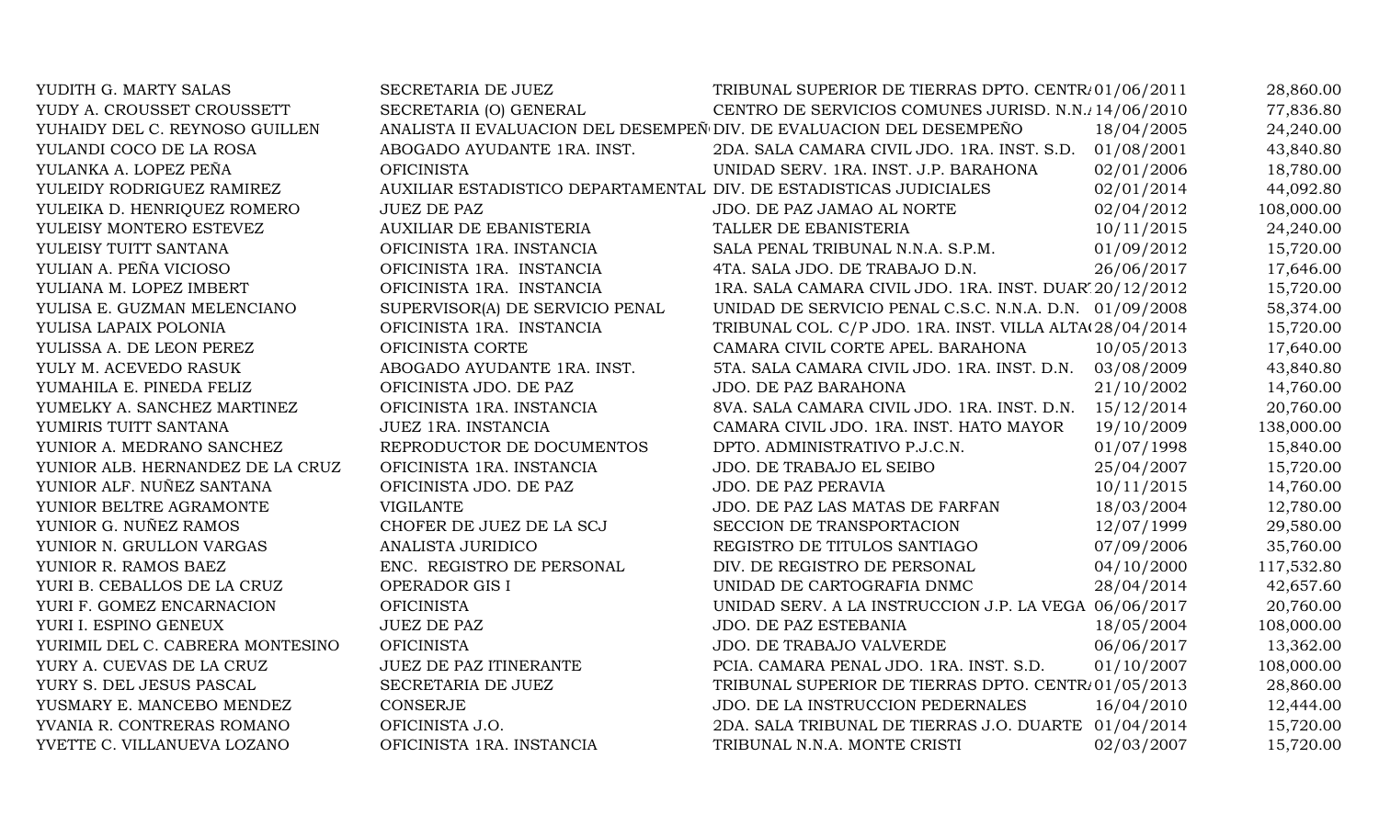| YUDITH G. MARTY SALAS            | SECRETARIA DE JUEZ                                                   | TRIBUNAL SUPERIOR DE TIERRAS DPTO. CENTR/01/06/2011      |            | 28,860.00  |
|----------------------------------|----------------------------------------------------------------------|----------------------------------------------------------|------------|------------|
| YUDY A. CROUSSET CROUSSETT       | SECRETARIA (O) GENERAL                                               | CENTRO DE SERVICIOS COMUNES JURISD. N.N. 14/06/2010      |            | 77,836.80  |
| YUHAIDY DEL C. REYNOSO GUILLEN   | ANALISTA II EVALUACION DEL DESEMPEÑ DIV. DE EVALUACION DEL DESEMPEÑO |                                                          | 18/04/2005 | 24,240.00  |
| YULANDI COCO DE LA ROSA          | ABOGADO AYUDANTE 1RA. INST.                                          | 2DA. SALA CAMARA CIVIL JDO. 1RA. INST. S.D.              | 01/08/2001 | 43,840.80  |
| YULANKA A. LOPEZ PEÑA            | <b>OFICINISTA</b>                                                    | UNIDAD SERV. 1RA. INST. J.P. BARAHONA                    | 02/01/2006 | 18,780.00  |
| YULEIDY RODRIGUEZ RAMIREZ        | AUXILIAR ESTADISTICO DEPARTAMENTAL DIV. DE ESTADISTICAS JUDICIALES   |                                                          | 02/01/2014 | 44,092.80  |
| YULEIKA D. HENRIQUEZ ROMERO      | <b>JUEZ DE PAZ</b>                                                   | JDO. DE PAZ JAMAO AL NORTE                               | 02/04/2012 | 108,000.00 |
| YULEISY MONTERO ESTEVEZ          | AUXILIAR DE EBANISTERIA                                              | TALLER DE EBANISTERIA                                    | 10/11/2015 | 24,240.00  |
| YULEISY TUITT SANTANA            | OFICINISTA 1RA. INSTANCIA                                            | SALA PENAL TRIBUNAL N.N.A. S.P.M.                        | 01/09/2012 | 15,720.00  |
| YULIAN A. PEÑA VICIOSO           | OFICINISTA 1RA. INSTANCIA                                            | 4TA. SALA JDO. DE TRABAJO D.N.                           | 26/06/2017 | 17,646.00  |
| YULIANA M. LOPEZ IMBERT          | OFICINISTA 1RA. INSTANCIA                                            | 1RA. SALA CAMARA CIVIL JDO. 1RA. INST. DUAR' 20/12/2012  |            | 15,720.00  |
| YULISA E. GUZMAN MELENCIANO      | SUPERVISOR(A) DE SERVICIO PENAL                                      | UNIDAD DE SERVICIO PENAL C.S.C. N.N.A. D.N. 01/09/2008   |            | 58,374.00  |
| YULISA LAPAIX POLONIA            | OFICINISTA 1RA. INSTANCIA                                            | TRIBUNAL COL. C/P JDO. 1RA. INST. VILLA ALTA(28/04/2014) |            | 15,720.00  |
| YULISSA A. DE LEON PEREZ         | OFICINISTA CORTE                                                     | CAMARA CIVIL CORTE APEL. BARAHONA                        | 10/05/2013 | 17,640.00  |
| YULY M. ACEVEDO RASUK            | ABOGADO AYUDANTE 1RA. INST.                                          | 5TA. SALA CAMARA CIVIL JDO. 1RA. INST. D.N.              | 03/08/2009 | 43,840.80  |
| YUMAHILA E. PINEDA FELIZ         | OFICINISTA JDO. DE PAZ                                               | JDO. DE PAZ BARAHONA                                     | 21/10/2002 | 14,760.00  |
| YUMELKY A. SANCHEZ MARTINEZ      | OFICINISTA 1RA. INSTANCIA                                            | 8VA. SALA CAMARA CIVIL JDO. 1RA. INST. D.N.              | 15/12/2014 | 20,760.00  |
| YUMIRIS TUITT SANTANA            | JUEZ 1RA. INSTANCIA                                                  | CAMARA CIVIL JDO. 1RA. INST. HATO MAYOR                  | 19/10/2009 | 138,000.00 |
| YUNIOR A. MEDRANO SANCHEZ        | REPRODUCTOR DE DOCUMENTOS                                            | DPTO. ADMINISTRATIVO P.J.C.N.                            | 01/07/1998 | 15,840.00  |
| YUNIOR ALB. HERNANDEZ DE LA CRUZ | OFICINISTA 1RA. INSTANCIA                                            | JDO. DE TRABAJO EL SEIBO                                 | 25/04/2007 | 15,720.00  |
| YUNIOR ALF. NUÑEZ SANTANA        | OFICINISTA JDO. DE PAZ                                               | JDO. DE PAZ PERAVIA                                      | 10/11/2015 | 14,760.00  |
| YUNIOR BELTRE AGRAMONTE          | <b>VIGILANTE</b>                                                     | JDO. DE PAZ LAS MATAS DE FARFAN                          | 18/03/2004 | 12,780.00  |
| YUNIOR G. NUÑEZ RAMOS            | CHOFER DE JUEZ DE LA SCJ                                             | SECCION DE TRANSPORTACION                                | 12/07/1999 | 29,580.00  |
| YUNIOR N. GRULLON VARGAS         | ANALISTA JURIDICO                                                    | REGISTRO DE TITULOS SANTIAGO                             | 07/09/2006 | 35,760.00  |
| YUNIOR R. RAMOS BAEZ             | ENC. REGISTRO DE PERSONAL                                            | DIV. DE REGISTRO DE PERSONAL                             | 04/10/2000 | 117,532.80 |
| YURI B. CEBALLOS DE LA CRUZ      | OPERADOR GIS I                                                       | UNIDAD DE CARTOGRAFIA DNMC                               | 28/04/2014 | 42,657.60  |
| YURI F. GOMEZ ENCARNACION        | <b>OFICINISTA</b>                                                    | UNIDAD SERV. A LA INSTRUCCION J.P. LA VEGA 06/06/2017    |            | 20,760.00  |
| YURI I. ESPINO GENEUX            | <b>JUEZ DE PAZ</b>                                                   | JDO. DE PAZ ESTEBANIA                                    | 18/05/2004 | 108,000.00 |
| YURIMIL DEL C. CABRERA MONTESINO | <b>OFICINISTA</b>                                                    | <b>JDO. DE TRABAJO VALVERDE</b>                          | 06/06/2017 | 13,362.00  |
| YURY A. CUEVAS DE LA CRUZ        | <b>JUEZ DE PAZ ITINERANTE</b>                                        | PCIA. CAMARA PENAL JDO. 1RA. INST. S.D.                  | 01/10/2007 | 108,000.00 |
| YURY S. DEL JESUS PASCAL         | SECRETARIA DE JUEZ                                                   | TRIBUNAL SUPERIOR DE TIERRAS DPTO. CENTR/01/05/2013      |            | 28,860.00  |
| YUSMARY E. MANCEBO MENDEZ        | <b>CONSERJE</b>                                                      | JDO. DE LA INSTRUCCION PEDERNALES                        | 16/04/2010 | 12,444.00  |
| YVANIA R. CONTRERAS ROMANO       | OFICINISTA J.O.                                                      | 2DA. SALA TRIBUNAL DE TIERRAS J.O. DUARTE 01/04/2014     |            | 15,720.00  |
| YVETTE C. VILLANUEVA LOZANO      | OFICINISTA 1RA. INSTANCIA                                            | TRIBUNAL N.N.A. MONTE CRISTI                             | 02/03/2007 | 15,720.00  |
|                                  |                                                                      |                                                          |            |            |